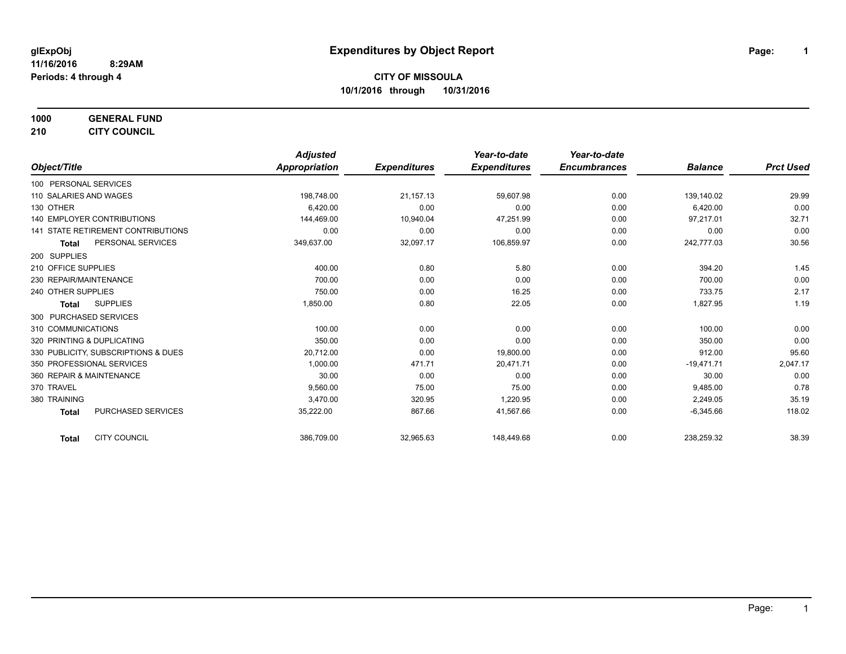**1000 GENERAL FUND 210 CITY COUNCIL**

|                                           | <b>Adjusted</b>      |                     | Year-to-date        | Year-to-date        |                |                  |
|-------------------------------------------|----------------------|---------------------|---------------------|---------------------|----------------|------------------|
| Object/Title                              | <b>Appropriation</b> | <b>Expenditures</b> | <b>Expenditures</b> | <b>Encumbrances</b> | <b>Balance</b> | <b>Prct Used</b> |
| 100 PERSONAL SERVICES                     |                      |                     |                     |                     |                |                  |
| 110 SALARIES AND WAGES                    | 198,748.00           | 21,157.13           | 59,607.98           | 0.00                | 139,140.02     | 29.99            |
| 130 OTHER                                 | 6,420.00             | 0.00                | 0.00                | 0.00                | 6,420.00       | 0.00             |
| 140 EMPLOYER CONTRIBUTIONS                | 144,469.00           | 10,940.04           | 47,251.99           | 0.00                | 97,217.01      | 32.71            |
| <b>141 STATE RETIREMENT CONTRIBUTIONS</b> | 0.00                 | 0.00                | 0.00                | 0.00                | 0.00           | 0.00             |
| PERSONAL SERVICES<br><b>Total</b>         | 349,637.00           | 32,097.17           | 106,859.97          | 0.00                | 242,777.03     | 30.56            |
| 200 SUPPLIES                              |                      |                     |                     |                     |                |                  |
| 210 OFFICE SUPPLIES                       | 400.00               | 0.80                | 5.80                | 0.00                | 394.20         | 1.45             |
| 230 REPAIR/MAINTENANCE                    | 700.00               | 0.00                | 0.00                | 0.00                | 700.00         | 0.00             |
| 240 OTHER SUPPLIES                        | 750.00               | 0.00                | 16.25               | 0.00                | 733.75         | 2.17             |
| <b>SUPPLIES</b><br>Total                  | 1,850.00             | 0.80                | 22.05               | 0.00                | 1,827.95       | 1.19             |
| 300 PURCHASED SERVICES                    |                      |                     |                     |                     |                |                  |
| 310 COMMUNICATIONS                        | 100.00               | 0.00                | 0.00                | 0.00                | 100.00         | 0.00             |
| 320 PRINTING & DUPLICATING                | 350.00               | 0.00                | 0.00                | 0.00                | 350.00         | 0.00             |
| 330 PUBLICITY, SUBSCRIPTIONS & DUES       | 20,712.00            | 0.00                | 19,800.00           | 0.00                | 912.00         | 95.60            |
| 350 PROFESSIONAL SERVICES                 | 1.000.00             | 471.71              | 20,471.71           | 0.00                | $-19,471.71$   | 2,047.17         |
| 360 REPAIR & MAINTENANCE                  | 30.00                | 0.00                | 0.00                | 0.00                | 30.00          | 0.00             |
| 370 TRAVEL                                | 9,560.00             | 75.00               | 75.00               | 0.00                | 9,485.00       | 0.78             |
| 380 TRAINING                              | 3,470.00             | 320.95              | 1,220.95            | 0.00                | 2,249.05       | 35.19            |
| PURCHASED SERVICES<br><b>Total</b>        | 35,222.00            | 867.66              | 41,567.66           | 0.00                | $-6,345.66$    | 118.02           |
| <b>CITY COUNCIL</b><br><b>Total</b>       | 386,709.00           | 32,965.63           | 148,449.68          | 0.00                | 238,259.32     | 38.39            |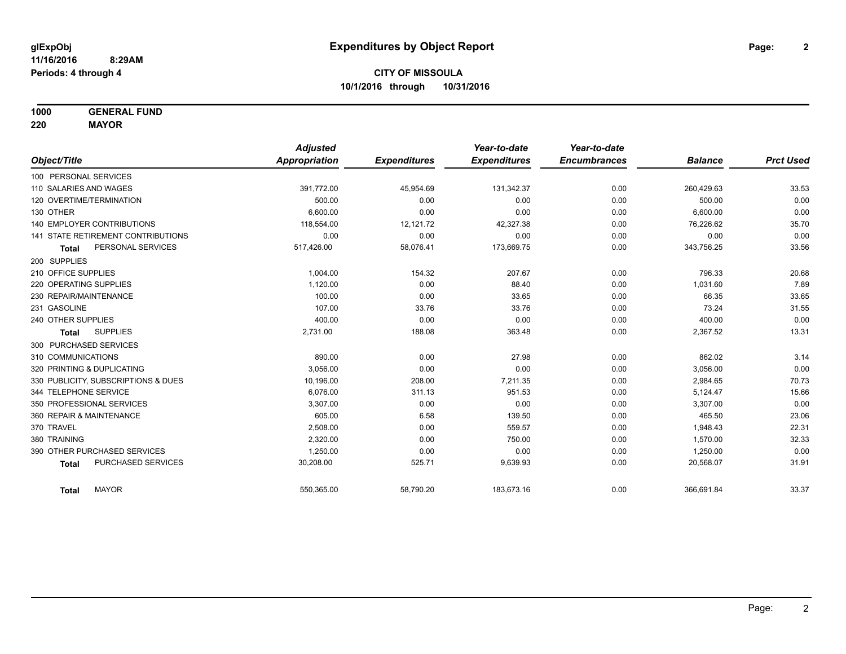**1000 GENERAL FUND**

**220 MAYOR**

|                                     | <b>Adjusted</b> |                     | Year-to-date        | Year-to-date        |                |                  |
|-------------------------------------|-----------------|---------------------|---------------------|---------------------|----------------|------------------|
| Object/Title                        | Appropriation   | <b>Expenditures</b> | <b>Expenditures</b> | <b>Encumbrances</b> | <b>Balance</b> | <b>Prct Used</b> |
| 100 PERSONAL SERVICES               |                 |                     |                     |                     |                |                  |
| 110 SALARIES AND WAGES              | 391,772.00      | 45,954.69           | 131,342.37          | 0.00                | 260,429.63     | 33.53            |
| 120 OVERTIME/TERMINATION            | 500.00          | 0.00                | 0.00                | 0.00                | 500.00         | 0.00             |
| 130 OTHER                           | 6,600.00        | 0.00                | 0.00                | 0.00                | 6,600.00       | 0.00             |
| <b>140 EMPLOYER CONTRIBUTIONS</b>   | 118,554.00      | 12,121.72           | 42,327.38           | 0.00                | 76,226.62      | 35.70            |
| 141 STATE RETIREMENT CONTRIBUTIONS  | 0.00            | 0.00                | 0.00                | 0.00                | 0.00           | 0.00             |
| PERSONAL SERVICES<br><b>Total</b>   | 517,426.00      | 58,076.41           | 173,669.75          | 0.00                | 343,756.25     | 33.56            |
| 200 SUPPLIES                        |                 |                     |                     |                     |                |                  |
| 210 OFFICE SUPPLIES                 | 1,004.00        | 154.32              | 207.67              | 0.00                | 796.33         | 20.68            |
| 220 OPERATING SUPPLIES              | 1,120.00        | 0.00                | 88.40               | 0.00                | 1,031.60       | 7.89             |
| 230 REPAIR/MAINTENANCE              | 100.00          | 0.00                | 33.65               | 0.00                | 66.35          | 33.65            |
| 231 GASOLINE                        | 107.00          | 33.76               | 33.76               | 0.00                | 73.24          | 31.55            |
| 240 OTHER SUPPLIES                  | 400.00          | 0.00                | 0.00                | 0.00                | 400.00         | 0.00             |
| <b>SUPPLIES</b><br><b>Total</b>     | 2,731.00        | 188.08              | 363.48              | 0.00                | 2,367.52       | 13.31            |
| 300 PURCHASED SERVICES              |                 |                     |                     |                     |                |                  |
| 310 COMMUNICATIONS                  | 890.00          | 0.00                | 27.98               | 0.00                | 862.02         | 3.14             |
| 320 PRINTING & DUPLICATING          | 3,056.00        | 0.00                | 0.00                | 0.00                | 3,056.00       | 0.00             |
| 330 PUBLICITY, SUBSCRIPTIONS & DUES | 10,196.00       | 208.00              | 7,211.35            | 0.00                | 2,984.65       | 70.73            |
| 344 TELEPHONE SERVICE               | 6.076.00        | 311.13              | 951.53              | 0.00                | 5,124.47       | 15.66            |
| 350 PROFESSIONAL SERVICES           | 3,307.00        | 0.00                | 0.00                | 0.00                | 3,307.00       | 0.00             |
| 360 REPAIR & MAINTENANCE            | 605.00          | 6.58                | 139.50              | 0.00                | 465.50         | 23.06            |
| 370 TRAVEL                          | 2,508.00        | 0.00                | 559.57              | 0.00                | 1,948.43       | 22.31            |
| 380 TRAINING                        | 2,320.00        | 0.00                | 750.00              | 0.00                | 1,570.00       | 32.33            |
| 390 OTHER PURCHASED SERVICES        | 1,250.00        | 0.00                | 0.00                | 0.00                | 1,250.00       | 0.00             |
| PURCHASED SERVICES<br><b>Total</b>  | 30,208.00       | 525.71              | 9,639.93            | 0.00                | 20,568.07      | 31.91            |
| <b>MAYOR</b><br><b>Total</b>        | 550,365.00      | 58,790.20           | 183,673.16          | 0.00                | 366,691.84     | 33.37            |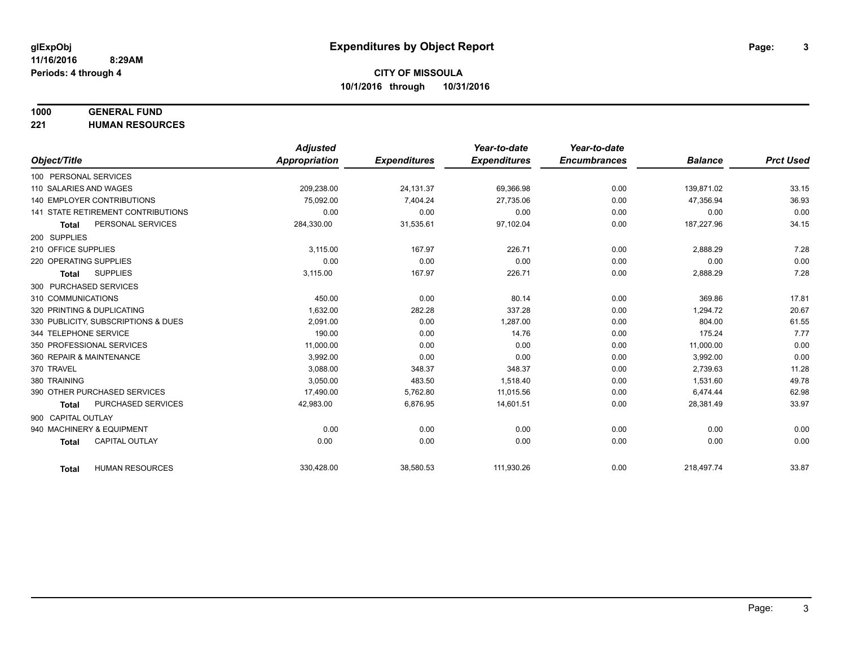# **1000 GENERAL FUND**

**221 HUMAN RESOURCES**

|                                           | <b>Adjusted</b>      |                     | Year-to-date        | Year-to-date        |                |                  |
|-------------------------------------------|----------------------|---------------------|---------------------|---------------------|----------------|------------------|
| Object/Title                              | <b>Appropriation</b> | <b>Expenditures</b> | <b>Expenditures</b> | <b>Encumbrances</b> | <b>Balance</b> | <b>Prct Used</b> |
| 100 PERSONAL SERVICES                     |                      |                     |                     |                     |                |                  |
| 110 SALARIES AND WAGES                    | 209,238.00           | 24,131.37           | 69,366.98           | 0.00                | 139,871.02     | 33.15            |
| <b>140 EMPLOYER CONTRIBUTIONS</b>         | 75,092.00            | 7,404.24            | 27,735.06           | 0.00                | 47,356.94      | 36.93            |
| <b>141 STATE RETIREMENT CONTRIBUTIONS</b> | 0.00                 | 0.00                | 0.00                | 0.00                | 0.00           | 0.00             |
| PERSONAL SERVICES<br><b>Total</b>         | 284,330.00           | 31,535.61           | 97,102.04           | 0.00                | 187,227.96     | 34.15            |
| 200 SUPPLIES                              |                      |                     |                     |                     |                |                  |
| 210 OFFICE SUPPLIES                       | 3,115.00             | 167.97              | 226.71              | 0.00                | 2,888.29       | 7.28             |
| 220 OPERATING SUPPLIES                    | 0.00                 | 0.00                | 0.00                | 0.00                | 0.00           | 0.00             |
| <b>SUPPLIES</b><br><b>Total</b>           | 3,115.00             | 167.97              | 226.71              | 0.00                | 2,888.29       | 7.28             |
| 300 PURCHASED SERVICES                    |                      |                     |                     |                     |                |                  |
| 310 COMMUNICATIONS                        | 450.00               | 0.00                | 80.14               | 0.00                | 369.86         | 17.81            |
| 320 PRINTING & DUPLICATING                | 1,632.00             | 282.28              | 337.28              | 0.00                | 1,294.72       | 20.67            |
| 330 PUBLICITY, SUBSCRIPTIONS & DUES       | 2.091.00             | 0.00                | 1,287.00            | 0.00                | 804.00         | 61.55            |
| 344 TELEPHONE SERVICE                     | 190.00               | 0.00                | 14.76               | 0.00                | 175.24         | 7.77             |
| 350 PROFESSIONAL SERVICES                 | 11,000.00            | 0.00                | 0.00                | 0.00                | 11,000.00      | 0.00             |
| 360 REPAIR & MAINTENANCE                  | 3.992.00             | 0.00                | 0.00                | 0.00                | 3,992.00       | 0.00             |
| 370 TRAVEL                                | 3,088.00             | 348.37              | 348.37              | 0.00                | 2,739.63       | 11.28            |
| 380 TRAINING                              | 3,050.00             | 483.50              | 1,518.40            | 0.00                | 1,531.60       | 49.78            |
| 390 OTHER PURCHASED SERVICES              | 17,490.00            | 5,762.80            | 11,015.56           | 0.00                | 6,474.44       | 62.98            |
| PURCHASED SERVICES<br><b>Total</b>        | 42,983.00            | 6,876.95            | 14,601.51           | 0.00                | 28,381.49      | 33.97            |
| 900 CAPITAL OUTLAY                        |                      |                     |                     |                     |                |                  |
| 940 MACHINERY & EQUIPMENT                 | 0.00                 | 0.00                | 0.00                | 0.00                | 0.00           | 0.00             |
| <b>CAPITAL OUTLAY</b><br><b>Total</b>     | 0.00                 | 0.00                | 0.00                | 0.00                | 0.00           | 0.00             |
|                                           |                      |                     |                     |                     |                |                  |
| <b>HUMAN RESOURCES</b><br><b>Total</b>    | 330,428.00           | 38,580.53           | 111,930.26          | 0.00                | 218,497.74     | 33.87            |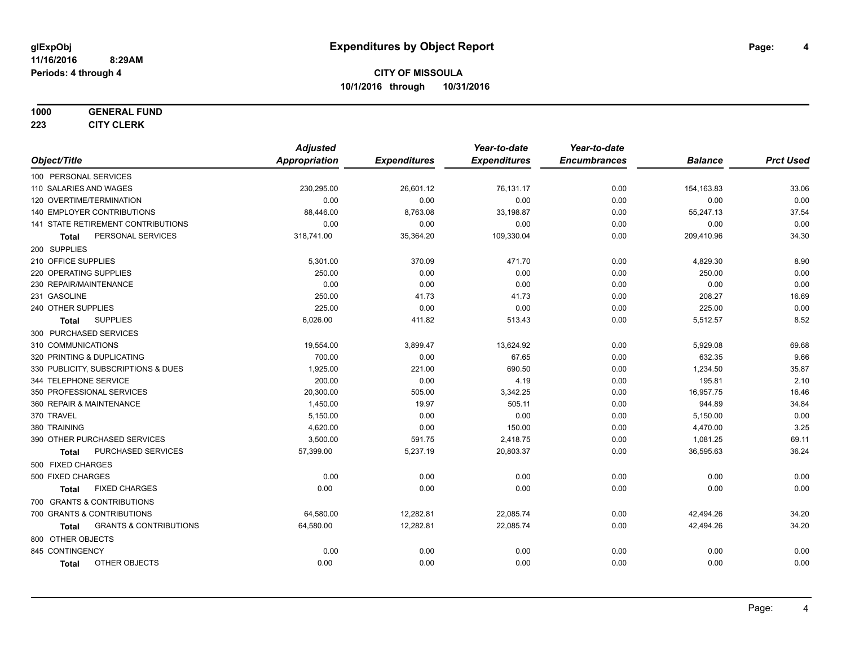#### **1000 GENERAL FUND**

**223 CITY CLERK**

|                                                   | <b>Adjusted</b>      |                     | Year-to-date        | Year-to-date        |                |                  |
|---------------------------------------------------|----------------------|---------------------|---------------------|---------------------|----------------|------------------|
| Object/Title                                      | <b>Appropriation</b> | <b>Expenditures</b> | <b>Expenditures</b> | <b>Encumbrances</b> | <b>Balance</b> | <b>Prct Used</b> |
| 100 PERSONAL SERVICES                             |                      |                     |                     |                     |                |                  |
| 110 SALARIES AND WAGES                            | 230,295.00           | 26,601.12           | 76,131.17           | 0.00                | 154,163.83     | 33.06            |
| 120 OVERTIME/TERMINATION                          | 0.00                 | 0.00                | 0.00                | 0.00                | 0.00           | 0.00             |
| 140 EMPLOYER CONTRIBUTIONS                        | 88,446.00            | 8,763.08            | 33,198.87           | 0.00                | 55,247.13      | 37.54            |
| 141 STATE RETIREMENT CONTRIBUTIONS                | 0.00                 | 0.00                | 0.00                | 0.00                | 0.00           | 0.00             |
| PERSONAL SERVICES<br><b>Total</b>                 | 318,741.00           | 35,364.20           | 109,330.04          | 0.00                | 209,410.96     | 34.30            |
| 200 SUPPLIES                                      |                      |                     |                     |                     |                |                  |
| 210 OFFICE SUPPLIES                               | 5,301.00             | 370.09              | 471.70              | 0.00                | 4,829.30       | 8.90             |
| 220 OPERATING SUPPLIES                            | 250.00               | 0.00                | 0.00                | 0.00                | 250.00         | 0.00             |
| 230 REPAIR/MAINTENANCE                            | 0.00                 | 0.00                | 0.00                | 0.00                | 0.00           | 0.00             |
| 231 GASOLINE                                      | 250.00               | 41.73               | 41.73               | 0.00                | 208.27         | 16.69            |
| 240 OTHER SUPPLIES                                | 225.00               | 0.00                | 0.00                | 0.00                | 225.00         | 0.00             |
| <b>SUPPLIES</b><br><b>Total</b>                   | 6,026.00             | 411.82              | 513.43              | 0.00                | 5,512.57       | 8.52             |
| 300 PURCHASED SERVICES                            |                      |                     |                     |                     |                |                  |
| 310 COMMUNICATIONS                                | 19,554.00            | 3,899.47            | 13,624.92           | 0.00                | 5,929.08       | 69.68            |
| 320 PRINTING & DUPLICATING                        | 700.00               | 0.00                | 67.65               | 0.00                | 632.35         | 9.66             |
| 330 PUBLICITY, SUBSCRIPTIONS & DUES               | 1,925.00             | 221.00              | 690.50              | 0.00                | 1,234.50       | 35.87            |
| 344 TELEPHONE SERVICE                             | 200.00               | 0.00                | 4.19                | 0.00                | 195.81         | 2.10             |
| 350 PROFESSIONAL SERVICES                         | 20,300.00            | 505.00              | 3,342.25            | 0.00                | 16,957.75      | 16.46            |
| 360 REPAIR & MAINTENANCE                          | 1,450.00             | 19.97               | 505.11              | 0.00                | 944.89         | 34.84            |
| 370 TRAVEL                                        | 5,150.00             | 0.00                | 0.00                | 0.00                | 5,150.00       | 0.00             |
| 380 TRAINING                                      | 4,620.00             | 0.00                | 150.00              | 0.00                | 4,470.00       | 3.25             |
| 390 OTHER PURCHASED SERVICES                      | 3,500.00             | 591.75              | 2,418.75            | 0.00                | 1,081.25       | 69.11            |
| <b>PURCHASED SERVICES</b><br><b>Total</b>         | 57,399.00            | 5,237.19            | 20,803.37           | 0.00                | 36,595.63      | 36.24            |
| 500 FIXED CHARGES                                 |                      |                     |                     |                     |                |                  |
| 500 FIXED CHARGES                                 | 0.00                 | 0.00                | 0.00                | 0.00                | 0.00           | 0.00             |
| <b>FIXED CHARGES</b><br><b>Total</b>              | 0.00                 | 0.00                | 0.00                | 0.00                | 0.00           | 0.00             |
| 700 GRANTS & CONTRIBUTIONS                        |                      |                     |                     |                     |                |                  |
| 700 GRANTS & CONTRIBUTIONS                        | 64,580.00            | 12,282.81           | 22,085.74           | 0.00                | 42,494.26      | 34.20            |
| <b>GRANTS &amp; CONTRIBUTIONS</b><br><b>Total</b> | 64,580.00            | 12,282.81           | 22,085.74           | 0.00                | 42,494.26      | 34.20            |
| 800 OTHER OBJECTS                                 |                      |                     |                     |                     |                |                  |
| 845 CONTINGENCY                                   | 0.00                 | 0.00                | 0.00                | 0.00                | 0.00           | 0.00             |
| OTHER OBJECTS<br><b>Total</b>                     | 0.00                 | 0.00                | 0.00                | 0.00                | 0.00           | 0.00             |
|                                                   |                      |                     |                     |                     |                |                  |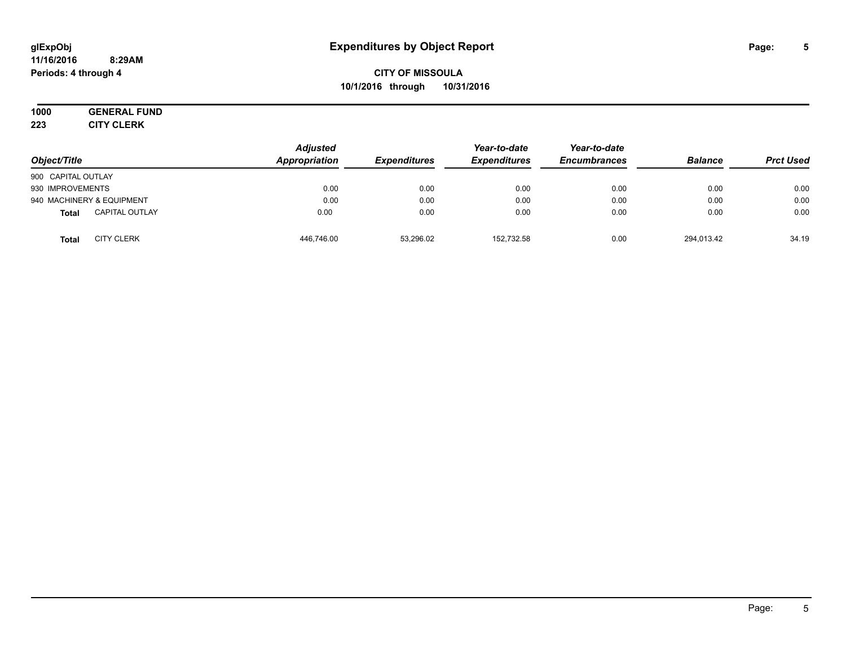#### **11/16/2016 8:29AM Periods: 4 through 4**

**CITY OF MISSOULA 10/1/2016 through 10/31/2016**

#### **1000 GENERAL FUND 223 CITY CLERK**

| Object/Title                          | <b>Adjusted</b><br>Appropriation | <b>Expenditures</b> | Year-to-date<br><b>Expenditures</b> | Year-to-date<br><b>Encumbrances</b> | <b>Balance</b> | <b>Prct Used</b> |
|---------------------------------------|----------------------------------|---------------------|-------------------------------------|-------------------------------------|----------------|------------------|
| 900 CAPITAL OUTLAY                    |                                  |                     |                                     |                                     |                |                  |
| 930 IMPROVEMENTS                      | 0.00                             | 0.00                | 0.00                                | 0.00                                | 0.00           | 0.00             |
| 940 MACHINERY & EQUIPMENT             | 0.00                             | 0.00                | 0.00                                | 0.00                                | 0.00           | 0.00             |
| <b>CAPITAL OUTLAY</b><br><b>Total</b> | 0.00                             | 0.00                | 0.00                                | 0.00                                | 0.00           | 0.00             |
| <b>CITY CLERK</b><br>Total            | 446,746.00                       | 53,296.02           | 152.732.58                          | 0.00                                | 294.013.42     | 34.19            |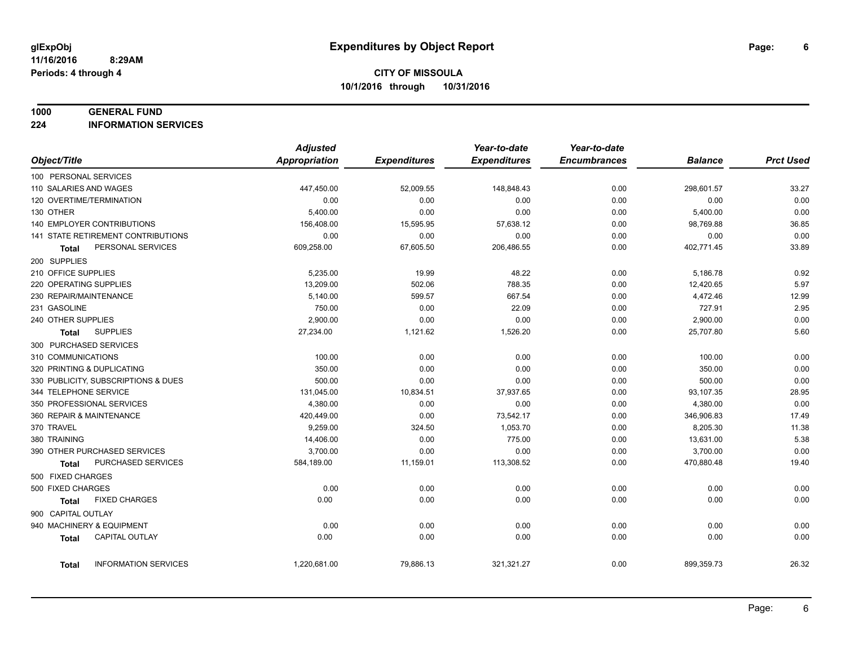#### **1000 GENERAL FUND**

**224 INFORMATION SERVICES**

|                                             | <b>Adjusted</b>      |                     | Year-to-date        | Year-to-date        |                |                  |
|---------------------------------------------|----------------------|---------------------|---------------------|---------------------|----------------|------------------|
| Object/Title                                | <b>Appropriation</b> | <b>Expenditures</b> | <b>Expenditures</b> | <b>Encumbrances</b> | <b>Balance</b> | <b>Prct Used</b> |
| 100 PERSONAL SERVICES                       |                      |                     |                     |                     |                |                  |
| 110 SALARIES AND WAGES                      | 447,450.00           | 52,009.55           | 148,848.43          | 0.00                | 298,601.57     | 33.27            |
| 120 OVERTIME/TERMINATION                    | 0.00                 | 0.00                | 0.00                | 0.00                | 0.00           | 0.00             |
| 130 OTHER                                   | 5,400.00             | 0.00                | 0.00                | 0.00                | 5,400.00       | 0.00             |
| <b>140 EMPLOYER CONTRIBUTIONS</b>           | 156,408.00           | 15,595.95           | 57,638.12           | 0.00                | 98,769.88      | 36.85            |
| 141 STATE RETIREMENT CONTRIBUTIONS          | 0.00                 | 0.00                | 0.00                | 0.00                | 0.00           | 0.00             |
| PERSONAL SERVICES<br>Total                  | 609,258.00           | 67,605.50           | 206,486.55          | 0.00                | 402,771.45     | 33.89            |
| 200 SUPPLIES                                |                      |                     |                     |                     |                |                  |
| 210 OFFICE SUPPLIES                         | 5,235.00             | 19.99               | 48.22               | 0.00                | 5,186.78       | 0.92             |
| 220 OPERATING SUPPLIES                      | 13,209.00            | 502.06              | 788.35              | 0.00                | 12,420.65      | 5.97             |
| 230 REPAIR/MAINTENANCE                      | 5,140.00             | 599.57              | 667.54              | 0.00                | 4,472.46       | 12.99            |
| 231 GASOLINE                                | 750.00               | 0.00                | 22.09               | 0.00                | 727.91         | 2.95             |
| 240 OTHER SUPPLIES                          | 2,900.00             | 0.00                | 0.00                | 0.00                | 2,900.00       | 0.00             |
| <b>SUPPLIES</b><br><b>Total</b>             | 27,234.00            | 1,121.62            | 1,526.20            | 0.00                | 25,707.80      | 5.60             |
| 300 PURCHASED SERVICES                      |                      |                     |                     |                     |                |                  |
| 310 COMMUNICATIONS                          | 100.00               | 0.00                | 0.00                | 0.00                | 100.00         | 0.00             |
| 320 PRINTING & DUPLICATING                  | 350.00               | 0.00                | 0.00                | 0.00                | 350.00         | 0.00             |
| 330 PUBLICITY, SUBSCRIPTIONS & DUES         | 500.00               | 0.00                | 0.00                | 0.00                | 500.00         | 0.00             |
| 344 TELEPHONE SERVICE                       | 131,045.00           | 10,834.51           | 37,937.65           | 0.00                | 93,107.35      | 28.95            |
| 350 PROFESSIONAL SERVICES                   | 4,380.00             | 0.00                | 0.00                | 0.00                | 4,380.00       | 0.00             |
| 360 REPAIR & MAINTENANCE                    | 420,449.00           | 0.00                | 73,542.17           | 0.00                | 346,906.83     | 17.49            |
| 370 TRAVEL                                  | 9,259.00             | 324.50              | 1,053.70            | 0.00                | 8,205.30       | 11.38            |
| 380 TRAINING                                | 14,406.00            | 0.00                | 775.00              | 0.00                | 13,631.00      | 5.38             |
| 390 OTHER PURCHASED SERVICES                | 3,700.00             | 0.00                | 0.00                | 0.00                | 3,700.00       | 0.00             |
| PURCHASED SERVICES<br><b>Total</b>          | 584,189.00           | 11,159.01           | 113,308.52          | 0.00                | 470,880.48     | 19.40            |
| 500 FIXED CHARGES                           |                      |                     |                     |                     |                |                  |
| 500 FIXED CHARGES                           | 0.00                 | 0.00                | 0.00                | 0.00                | 0.00           | 0.00             |
| <b>FIXED CHARGES</b><br><b>Total</b>        | 0.00                 | 0.00                | 0.00                | 0.00                | 0.00           | 0.00             |
| 900 CAPITAL OUTLAY                          |                      |                     |                     |                     |                |                  |
| 940 MACHINERY & EQUIPMENT                   | 0.00                 | 0.00                | 0.00                | 0.00                | 0.00           | 0.00             |
| CAPITAL OUTLAY<br><b>Total</b>              | 0.00                 | 0.00                | 0.00                | 0.00                | 0.00           | 0.00             |
|                                             |                      |                     |                     |                     |                |                  |
| <b>INFORMATION SERVICES</b><br><b>Total</b> | 1,220,681.00         | 79,886.13           | 321,321.27          | 0.00                | 899,359.73     | 26.32            |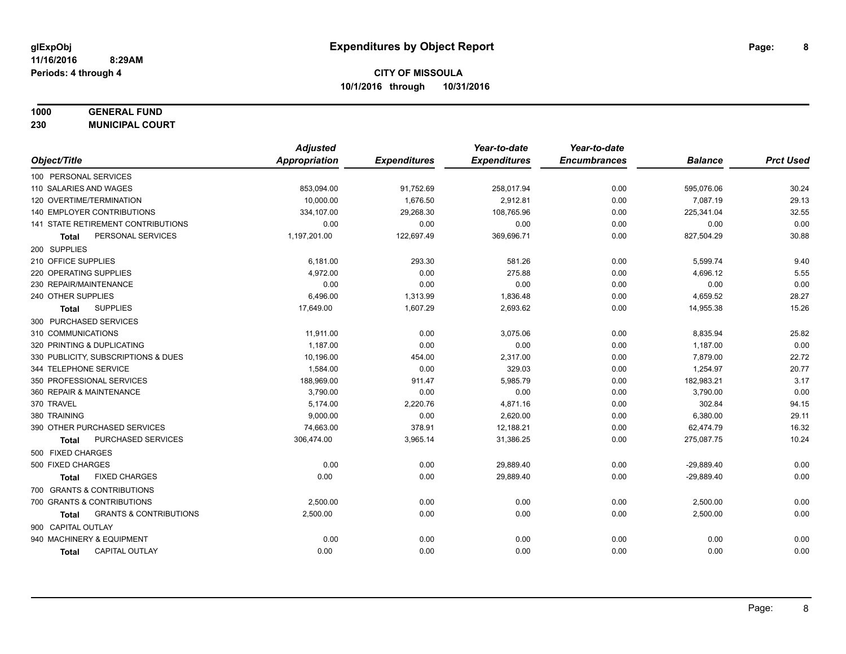# **1000 GENERAL FUND**

**230 MUNICIPAL COURT**

|                                            | <b>Adjusted</b>      |                     | Year-to-date        | Year-to-date        |                |                  |
|--------------------------------------------|----------------------|---------------------|---------------------|---------------------|----------------|------------------|
| Object/Title                               | <b>Appropriation</b> | <b>Expenditures</b> | <b>Expenditures</b> | <b>Encumbrances</b> | <b>Balance</b> | <b>Prct Used</b> |
| 100 PERSONAL SERVICES                      |                      |                     |                     |                     |                |                  |
| 110 SALARIES AND WAGES                     | 853,094.00           | 91,752.69           | 258,017.94          | 0.00                | 595,076.06     | 30.24            |
| 120 OVERTIME/TERMINATION                   | 10,000.00            | 1,676.50            | 2,912.81            | 0.00                | 7,087.19       | 29.13            |
| <b>140 EMPLOYER CONTRIBUTIONS</b>          | 334,107.00           | 29,268.30           | 108,765.96          | 0.00                | 225,341.04     | 32.55            |
| 141 STATE RETIREMENT CONTRIBUTIONS         | 0.00                 | 0.00                | 0.00                | 0.00                | 0.00           | 0.00             |
| PERSONAL SERVICES<br>Total                 | 1,197,201.00         | 122,697.49          | 369,696.71          | 0.00                | 827,504.29     | 30.88            |
| 200 SUPPLIES                               |                      |                     |                     |                     |                |                  |
| 210 OFFICE SUPPLIES                        | 6,181.00             | 293.30              | 581.26              | 0.00                | 5,599.74       | 9.40             |
| 220 OPERATING SUPPLIES                     | 4,972.00             | 0.00                | 275.88              | 0.00                | 4,696.12       | 5.55             |
| 230 REPAIR/MAINTENANCE                     | 0.00                 | 0.00                | 0.00                | 0.00                | 0.00           | 0.00             |
| 240 OTHER SUPPLIES                         | 6,496.00             | 1,313.99            | 1,836.48            | 0.00                | 4,659.52       | 28.27            |
| <b>SUPPLIES</b><br>Total                   | 17,649.00            | 1,607.29            | 2,693.62            | 0.00                | 14,955.38      | 15.26            |
| 300 PURCHASED SERVICES                     |                      |                     |                     |                     |                |                  |
| 310 COMMUNICATIONS                         | 11,911.00            | 0.00                | 3,075.06            | 0.00                | 8,835.94       | 25.82            |
| 320 PRINTING & DUPLICATING                 | 1,187.00             | 0.00                | 0.00                | 0.00                | 1,187.00       | 0.00             |
| 330 PUBLICITY, SUBSCRIPTIONS & DUES        | 10,196.00            | 454.00              | 2,317.00            | 0.00                | 7,879.00       | 22.72            |
| 344 TELEPHONE SERVICE                      | 1,584.00             | 0.00                | 329.03              | 0.00                | 1,254.97       | 20.77            |
| 350 PROFESSIONAL SERVICES                  | 188,969.00           | 911.47              | 5,985.79            | 0.00                | 182,983.21     | 3.17             |
| 360 REPAIR & MAINTENANCE                   | 3,790.00             | 0.00                | 0.00                | 0.00                | 3,790.00       | 0.00             |
| 370 TRAVEL                                 | 5,174.00             | 2,220.76            | 4,871.16            | 0.00                | 302.84         | 94.15            |
| 380 TRAINING                               | 9,000.00             | 0.00                | 2,620.00            | 0.00                | 6,380.00       | 29.11            |
| 390 OTHER PURCHASED SERVICES               | 74,663.00            | 378.91              | 12,188.21           | 0.00                | 62,474.79      | 16.32            |
| <b>PURCHASED SERVICES</b><br><b>Total</b>  | 306,474.00           | 3,965.14            | 31,386.25           | 0.00                | 275,087.75     | 10.24            |
| 500 FIXED CHARGES                          |                      |                     |                     |                     |                |                  |
| 500 FIXED CHARGES                          | 0.00                 | 0.00                | 29,889.40           | 0.00                | $-29,889.40$   | 0.00             |
| <b>FIXED CHARGES</b><br>Total              | 0.00                 | 0.00                | 29,889.40           | 0.00                | $-29,889.40$   | 0.00             |
| 700 GRANTS & CONTRIBUTIONS                 |                      |                     |                     |                     |                |                  |
| 700 GRANTS & CONTRIBUTIONS                 | 2,500.00             | 0.00                | 0.00                | 0.00                | 2,500.00       | 0.00             |
| <b>GRANTS &amp; CONTRIBUTIONS</b><br>Total | 2,500.00             | 0.00                | 0.00                | 0.00                | 2,500.00       | 0.00             |
| 900 CAPITAL OUTLAY                         |                      |                     |                     |                     |                |                  |
| 940 MACHINERY & EQUIPMENT                  | 0.00                 | 0.00                | 0.00                | 0.00                | 0.00           | 0.00             |
| <b>CAPITAL OUTLAY</b><br>Total             | 0.00                 | 0.00                | 0.00                | 0.00                | 0.00           | 0.00             |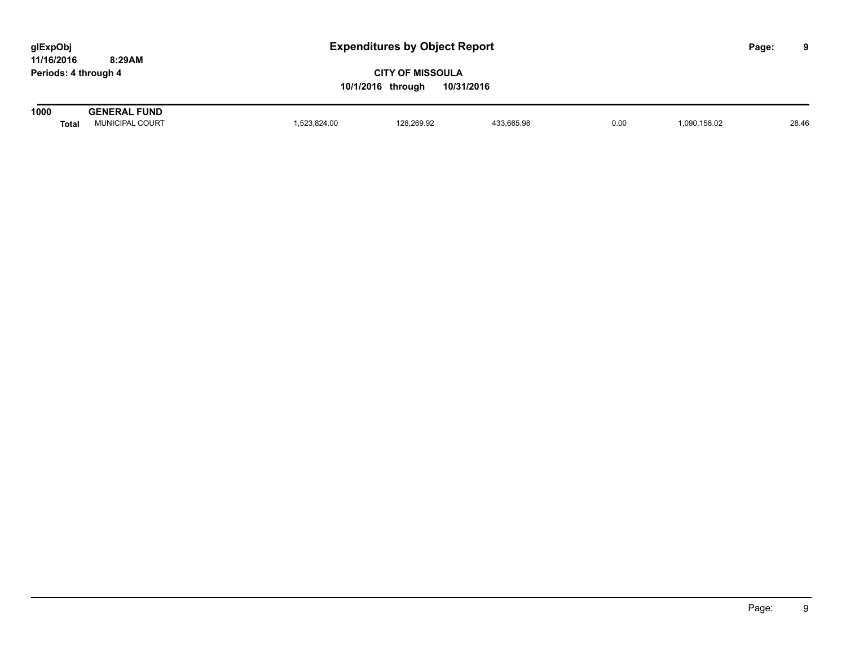| glExpObj             |        |
|----------------------|--------|
| 11/16/2016           | 8:29AM |
| Periods: 4 through 4 |        |

| 1000  | . FUND                   |          |            |                      |      |               |       |
|-------|--------------------------|----------|------------|----------------------|------|---------------|-------|
| Tota. | COURT<br><b>JUNICIP'</b> | 3.824.00 | 128.269.92 | $\sim$ $\sim$ $\sim$ | 0.00 | 158.02<br>ng. | 28.46 |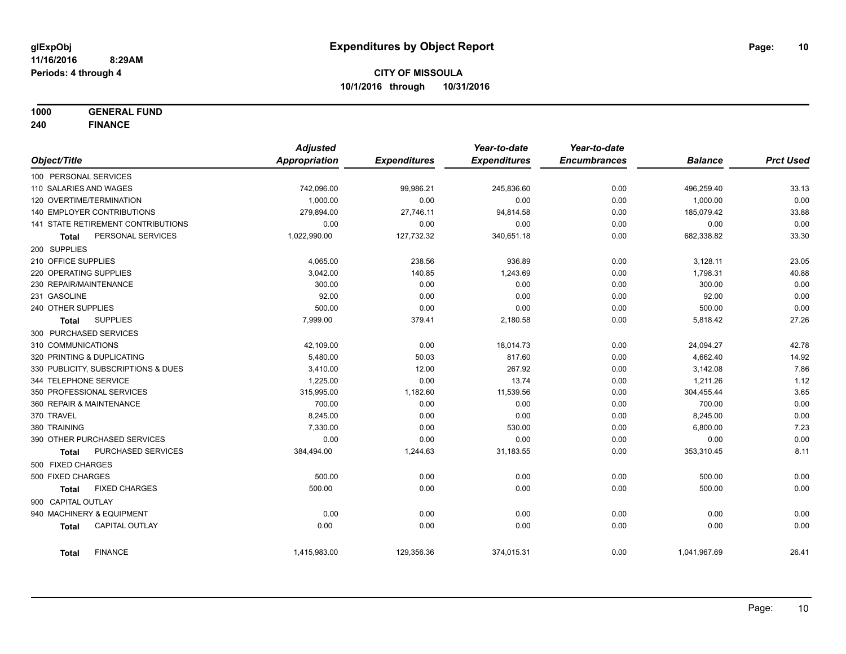**1000 GENERAL FUND**

**240 FINANCE**

|                        |                                     | <b>Adjusted</b> |                     | Year-to-date        | Year-to-date        |                |                  |
|------------------------|-------------------------------------|-----------------|---------------------|---------------------|---------------------|----------------|------------------|
| Object/Title           |                                     | Appropriation   | <b>Expenditures</b> | <b>Expenditures</b> | <b>Encumbrances</b> | <b>Balance</b> | <b>Prct Used</b> |
| 100 PERSONAL SERVICES  |                                     |                 |                     |                     |                     |                |                  |
| 110 SALARIES AND WAGES |                                     | 742,096.00      | 99,986.21           | 245,836.60          | 0.00                | 496,259.40     | 33.13            |
|                        | 120 OVERTIME/TERMINATION            | 1,000.00        | 0.00                | 0.00                | 0.00                | 1,000.00       | 0.00             |
|                        | 140 EMPLOYER CONTRIBUTIONS          | 279,894.00      | 27,746.11           | 94,814.58           | 0.00                | 185,079.42     | 33.88            |
|                        | 141 STATE RETIREMENT CONTRIBUTIONS  | 0.00            | 0.00                | 0.00                | 0.00                | 0.00           | 0.00             |
| Total                  | PERSONAL SERVICES                   | 1,022,990.00    | 127,732.32          | 340,651.18          | 0.00                | 682,338.82     | 33.30            |
| 200 SUPPLIES           |                                     |                 |                     |                     |                     |                |                  |
| 210 OFFICE SUPPLIES    |                                     | 4,065.00        | 238.56              | 936.89              | 0.00                | 3,128.11       | 23.05            |
| 220 OPERATING SUPPLIES |                                     | 3,042.00        | 140.85              | 1,243.69            | 0.00                | 1,798.31       | 40.88            |
| 230 REPAIR/MAINTENANCE |                                     | 300.00          | 0.00                | 0.00                | 0.00                | 300.00         | 0.00             |
| 231 GASOLINE           |                                     | 92.00           | 0.00                | 0.00                | 0.00                | 92.00          | 0.00             |
| 240 OTHER SUPPLIES     |                                     | 500.00          | 0.00                | 0.00                | 0.00                | 500.00         | 0.00             |
| <b>Total</b>           | <b>SUPPLIES</b>                     | 7,999.00        | 379.41              | 2,180.58            | 0.00                | 5,818.42       | 27.26            |
| 300 PURCHASED SERVICES |                                     |                 |                     |                     |                     |                |                  |
| 310 COMMUNICATIONS     |                                     | 42,109.00       | 0.00                | 18,014.73           | 0.00                | 24,094.27      | 42.78            |
|                        | 320 PRINTING & DUPLICATING          | 5,480.00        | 50.03               | 817.60              | 0.00                | 4,662.40       | 14.92            |
|                        | 330 PUBLICITY, SUBSCRIPTIONS & DUES | 3,410.00        | 12.00               | 267.92              | 0.00                | 3,142.08       | 7.86             |
| 344 TELEPHONE SERVICE  |                                     | 1,225.00        | 0.00                | 13.74               | 0.00                | 1,211.26       | 1.12             |
|                        | 350 PROFESSIONAL SERVICES           | 315,995.00      | 1,182.60            | 11,539.56           | 0.00                | 304,455.44     | 3.65             |
|                        | 360 REPAIR & MAINTENANCE            | 700.00          | 0.00                | 0.00                | 0.00                | 700.00         | 0.00             |
| 370 TRAVEL             |                                     | 8,245.00        | 0.00                | 0.00                | 0.00                | 8,245.00       | 0.00             |
| 380 TRAINING           |                                     | 7,330.00        | 0.00                | 530.00              | 0.00                | 6,800.00       | 7.23             |
|                        | 390 OTHER PURCHASED SERVICES        | 0.00            | 0.00                | 0.00                | 0.00                | 0.00           | 0.00             |
| <b>Total</b>           | PURCHASED SERVICES                  | 384,494.00      | 1,244.63            | 31,183.55           | 0.00                | 353,310.45     | 8.11             |
| 500 FIXED CHARGES      |                                     |                 |                     |                     |                     |                |                  |
| 500 FIXED CHARGES      |                                     | 500.00          | 0.00                | 0.00                | 0.00                | 500.00         | 0.00             |
| <b>Total</b>           | <b>FIXED CHARGES</b>                | 500.00          | 0.00                | 0.00                | 0.00                | 500.00         | 0.00             |
| 900 CAPITAL OUTLAY     |                                     |                 |                     |                     |                     |                |                  |
|                        | 940 MACHINERY & EQUIPMENT           | 0.00            | 0.00                | 0.00                | 0.00                | 0.00           | 0.00             |
| <b>Total</b>           | <b>CAPITAL OUTLAY</b>               | 0.00            | 0.00                | 0.00                | 0.00                | 0.00           | 0.00             |
| Total                  | <b>FINANCE</b>                      | 1,415,983.00    | 129,356.36          | 374,015.31          | 0.00                | 1,041,967.69   | 26.41            |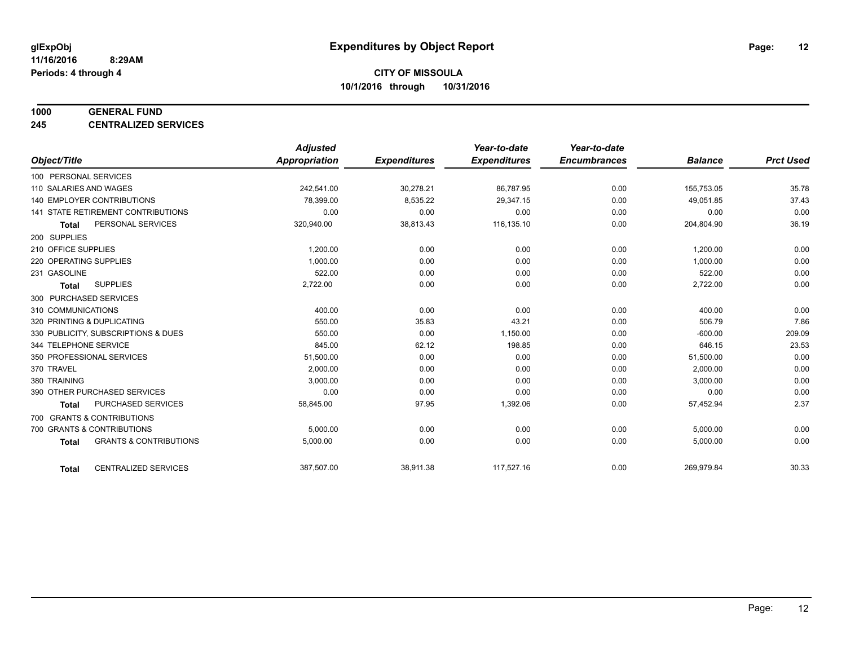#### **1000 GENERAL FUND**

**245 CENTRALIZED SERVICES**

|                                           |                                   | <b>Adjusted</b> |                     | Year-to-date        | Year-to-date        |                |                  |
|-------------------------------------------|-----------------------------------|-----------------|---------------------|---------------------|---------------------|----------------|------------------|
| Object/Title                              |                                   | Appropriation   | <b>Expenditures</b> | <b>Expenditures</b> | <b>Encumbrances</b> | <b>Balance</b> | <b>Prct Used</b> |
| 100 PERSONAL SERVICES                     |                                   |                 |                     |                     |                     |                |                  |
| 110 SALARIES AND WAGES                    |                                   | 242.541.00      | 30,278.21           | 86,787.95           | 0.00                | 155,753.05     | 35.78            |
| 140 EMPLOYER CONTRIBUTIONS                |                                   | 78.399.00       | 8,535.22            | 29,347.15           | 0.00                | 49,051.85      | 37.43            |
| 141 STATE RETIREMENT CONTRIBUTIONS        |                                   | 0.00            | 0.00                | 0.00                | 0.00                | 0.00           | 0.00             |
| PERSONAL SERVICES<br><b>Total</b>         |                                   | 320,940.00      | 38,813.43           | 116,135.10          | 0.00                | 204,804.90     | 36.19            |
| 200 SUPPLIES                              |                                   |                 |                     |                     |                     |                |                  |
| 210 OFFICE SUPPLIES                       |                                   | 1,200.00        | 0.00                | 0.00                | 0.00                | 1,200.00       | 0.00             |
| 220 OPERATING SUPPLIES                    |                                   | 1,000.00        | 0.00                | 0.00                | 0.00                | 1,000.00       | 0.00             |
| 231 GASOLINE                              |                                   | 522.00          | 0.00                | 0.00                | 0.00                | 522.00         | 0.00             |
| <b>SUPPLIES</b><br><b>Total</b>           |                                   | 2,722.00        | 0.00                | 0.00                | 0.00                | 2,722.00       | 0.00             |
| 300 PURCHASED SERVICES                    |                                   |                 |                     |                     |                     |                |                  |
| 310 COMMUNICATIONS                        |                                   | 400.00          | 0.00                | 0.00                | 0.00                | 400.00         | 0.00             |
| 320 PRINTING & DUPLICATING                |                                   | 550.00          | 35.83               | 43.21               | 0.00                | 506.79         | 7.86             |
| 330 PUBLICITY, SUBSCRIPTIONS & DUES       |                                   | 550.00          | 0.00                | 1,150.00            | 0.00                | $-600.00$      | 209.09           |
| 344 TELEPHONE SERVICE                     |                                   | 845.00          | 62.12               | 198.85              | 0.00                | 646.15         | 23.53            |
| 350 PROFESSIONAL SERVICES                 |                                   | 51,500.00       | 0.00                | 0.00                | 0.00                | 51,500.00      | 0.00             |
| 370 TRAVEL                                |                                   | 2,000.00        | 0.00                | 0.00                | 0.00                | 2,000.00       | 0.00             |
| 380 TRAINING                              |                                   | 3,000.00        | 0.00                | 0.00                | 0.00                | 3,000.00       | 0.00             |
| 390 OTHER PURCHASED SERVICES              |                                   | 0.00            | 0.00                | 0.00                | 0.00                | 0.00           | 0.00             |
| <b>PURCHASED SERVICES</b><br><b>Total</b> |                                   | 58,845.00       | 97.95               | 1,392.06            | 0.00                | 57,452.94      | 2.37             |
| 700 GRANTS & CONTRIBUTIONS                |                                   |                 |                     |                     |                     |                |                  |
| 700 GRANTS & CONTRIBUTIONS                |                                   | 5,000.00        | 0.00                | 0.00                | 0.00                | 5,000.00       | 0.00             |
| <b>Total</b>                              | <b>GRANTS &amp; CONTRIBUTIONS</b> | 5,000.00        | 0.00                | 0.00                | 0.00                | 5,000.00       | 0.00             |
|                                           |                                   |                 |                     |                     |                     |                |                  |
| <b>Total</b>                              | <b>CENTRALIZED SERVICES</b>       | 387,507.00      | 38,911.38           | 117,527.16          | 0.00                | 269,979.84     | 30.33            |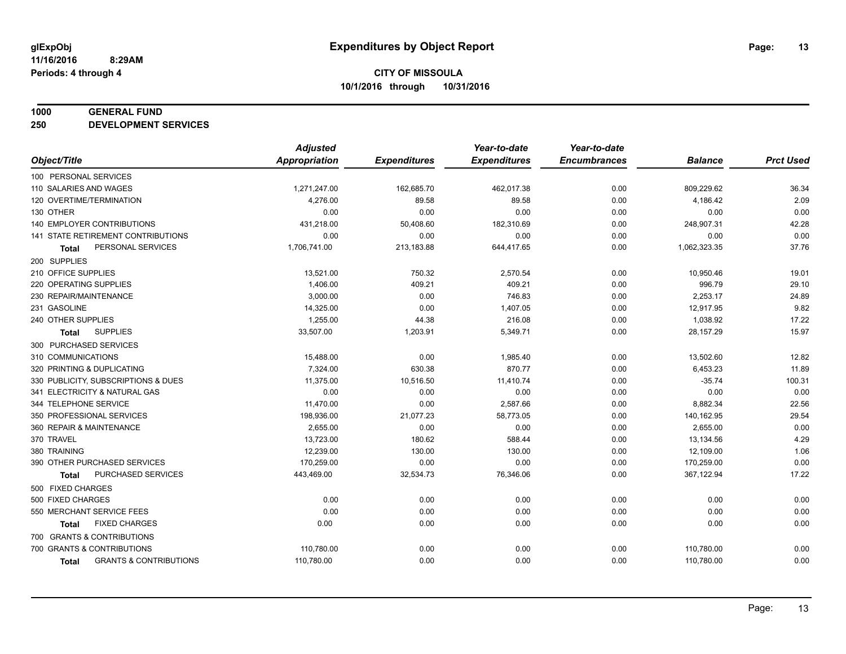#### **1000 GENERAL FUND**

**250 DEVELOPMENT SERVICES**

| <b>Appropriation</b><br><b>Expenditures</b><br><b>Expenditures</b><br><b>Encumbrances</b><br><b>Balance</b><br><b>Prct Used</b><br>1,271,247.00<br>0.00<br>809,229.62<br>36.34<br>162,685.70<br>462,017.38<br>2.09<br>4,276.00<br>89.58<br>0.00<br>4,186.42<br>89.58<br>0.00<br>0.00<br>0.00<br>0.00<br>0.00<br>0.00<br>42.28<br>431,218.00<br>182,310.69<br>248,907.31<br>50,408.60<br>0.00<br>0.00<br>0.00<br>0.00<br>0.00<br>0.00<br>0.00<br>37.76<br>1,706,741.00<br>213,183.88<br>644,417.65<br>0.00<br>1,062,323.35<br>PERSONAL SERVICES<br><b>Total</b><br>13,521.00<br>750.32<br>2,570.54<br>0.00<br>19.01<br>10,950.46<br>29.10<br>1,406.00<br>409.21<br>996.79<br>409.21<br>0.00<br>24.89<br>3,000.00<br>0.00<br>746.83<br>2,253.17<br>0.00<br>9.82<br>14,325.00<br>0.00<br>12,917.95<br>1,407.05<br>0.00<br>17.22<br>1,255.00<br>44.38<br>216.08<br>0.00<br>1,038.92<br>15.97<br><b>SUPPLIES</b><br>33,507.00<br>1,203.91<br>0.00<br>28,157.29<br>5,349.71<br>Total<br>15,488.00<br>0.00<br>1,985.40<br>0.00<br>13,502.60<br>12.82<br>7,324.00<br>630.38<br>11.89<br>870.77<br>0.00<br>6,453.23<br>100.31<br>11,375.00<br>10,516.50<br>$-35.74$<br>11,410.74<br>0.00<br>0.00<br>0.00<br>0.00<br>0.00<br>0.00<br>0.00<br>22.56<br>11,470.00<br>0.00<br>2,587.66<br>8,882.34<br>0.00<br>29.54<br>198,936.00<br>21,077.23<br>58,773.05<br>0.00<br>140,162.95<br>0.00<br>0.00<br>2,655.00<br>0.00<br>0.00<br>2,655.00<br>4.29<br>13,723.00<br>180.62<br>13,134.56<br>588.44<br>0.00<br>1.06<br>12,239.00<br>130.00<br>130.00<br>0.00<br>12,109.00<br>0.00<br>170,259.00<br>0.00<br>0.00<br>0.00<br>170,259.00<br>17.22<br>PURCHASED SERVICES<br>0.00<br>443,469.00<br>32,534.73<br>76,346.06<br>367,122.94<br><b>Total</b><br>0.00<br>0.00<br>0.00<br>0.00<br>0.00<br>0.00<br>0.00<br>0.00<br>0.00<br>0.00<br>0.00<br>0.00<br>0.00<br><b>FIXED CHARGES</b><br>0.00<br>0.00<br>0.00<br>0.00<br>0.00<br>Total<br>0.00<br>110,780.00<br>0.00<br>0.00<br>0.00<br>110,780.00 |                                     | <b>Adjusted</b> |      | Year-to-date | Year-to-date |            |      |
|--------------------------------------------------------------------------------------------------------------------------------------------------------------------------------------------------------------------------------------------------------------------------------------------------------------------------------------------------------------------------------------------------------------------------------------------------------------------------------------------------------------------------------------------------------------------------------------------------------------------------------------------------------------------------------------------------------------------------------------------------------------------------------------------------------------------------------------------------------------------------------------------------------------------------------------------------------------------------------------------------------------------------------------------------------------------------------------------------------------------------------------------------------------------------------------------------------------------------------------------------------------------------------------------------------------------------------------------------------------------------------------------------------------------------------------------------------------------------------------------------------------------------------------------------------------------------------------------------------------------------------------------------------------------------------------------------------------------------------------------------------------------------------------------------------------------------------------------------------------------------------------------------------------------------------------------------------------------------------|-------------------------------------|-----------------|------|--------------|--------------|------------|------|
|                                                                                                                                                                                                                                                                                                                                                                                                                                                                                                                                                                                                                                                                                                                                                                                                                                                                                                                                                                                                                                                                                                                                                                                                                                                                                                                                                                                                                                                                                                                                                                                                                                                                                                                                                                                                                                                                                                                                                                                | Object/Title                        |                 |      |              |              |            |      |
|                                                                                                                                                                                                                                                                                                                                                                                                                                                                                                                                                                                                                                                                                                                                                                                                                                                                                                                                                                                                                                                                                                                                                                                                                                                                                                                                                                                                                                                                                                                                                                                                                                                                                                                                                                                                                                                                                                                                                                                | 100 PERSONAL SERVICES               |                 |      |              |              |            |      |
|                                                                                                                                                                                                                                                                                                                                                                                                                                                                                                                                                                                                                                                                                                                                                                                                                                                                                                                                                                                                                                                                                                                                                                                                                                                                                                                                                                                                                                                                                                                                                                                                                                                                                                                                                                                                                                                                                                                                                                                | 110 SALARIES AND WAGES              |                 |      |              |              |            |      |
|                                                                                                                                                                                                                                                                                                                                                                                                                                                                                                                                                                                                                                                                                                                                                                                                                                                                                                                                                                                                                                                                                                                                                                                                                                                                                                                                                                                                                                                                                                                                                                                                                                                                                                                                                                                                                                                                                                                                                                                | 120 OVERTIME/TERMINATION            |                 |      |              |              |            |      |
|                                                                                                                                                                                                                                                                                                                                                                                                                                                                                                                                                                                                                                                                                                                                                                                                                                                                                                                                                                                                                                                                                                                                                                                                                                                                                                                                                                                                                                                                                                                                                                                                                                                                                                                                                                                                                                                                                                                                                                                | 130 OTHER                           |                 |      |              |              |            |      |
|                                                                                                                                                                                                                                                                                                                                                                                                                                                                                                                                                                                                                                                                                                                                                                                                                                                                                                                                                                                                                                                                                                                                                                                                                                                                                                                                                                                                                                                                                                                                                                                                                                                                                                                                                                                                                                                                                                                                                                                | 140 EMPLOYER CONTRIBUTIONS          |                 |      |              |              |            |      |
|                                                                                                                                                                                                                                                                                                                                                                                                                                                                                                                                                                                                                                                                                                                                                                                                                                                                                                                                                                                                                                                                                                                                                                                                                                                                                                                                                                                                                                                                                                                                                                                                                                                                                                                                                                                                                                                                                                                                                                                | 141 STATE RETIREMENT CONTRIBUTIONS  |                 |      |              |              |            |      |
|                                                                                                                                                                                                                                                                                                                                                                                                                                                                                                                                                                                                                                                                                                                                                                                                                                                                                                                                                                                                                                                                                                                                                                                                                                                                                                                                                                                                                                                                                                                                                                                                                                                                                                                                                                                                                                                                                                                                                                                |                                     |                 |      |              |              |            |      |
|                                                                                                                                                                                                                                                                                                                                                                                                                                                                                                                                                                                                                                                                                                                                                                                                                                                                                                                                                                                                                                                                                                                                                                                                                                                                                                                                                                                                                                                                                                                                                                                                                                                                                                                                                                                                                                                                                                                                                                                | 200 SUPPLIES                        |                 |      |              |              |            |      |
|                                                                                                                                                                                                                                                                                                                                                                                                                                                                                                                                                                                                                                                                                                                                                                                                                                                                                                                                                                                                                                                                                                                                                                                                                                                                                                                                                                                                                                                                                                                                                                                                                                                                                                                                                                                                                                                                                                                                                                                | 210 OFFICE SUPPLIES                 |                 |      |              |              |            |      |
|                                                                                                                                                                                                                                                                                                                                                                                                                                                                                                                                                                                                                                                                                                                                                                                                                                                                                                                                                                                                                                                                                                                                                                                                                                                                                                                                                                                                                                                                                                                                                                                                                                                                                                                                                                                                                                                                                                                                                                                | 220 OPERATING SUPPLIES              |                 |      |              |              |            |      |
|                                                                                                                                                                                                                                                                                                                                                                                                                                                                                                                                                                                                                                                                                                                                                                                                                                                                                                                                                                                                                                                                                                                                                                                                                                                                                                                                                                                                                                                                                                                                                                                                                                                                                                                                                                                                                                                                                                                                                                                | 230 REPAIR/MAINTENANCE              |                 |      |              |              |            |      |
|                                                                                                                                                                                                                                                                                                                                                                                                                                                                                                                                                                                                                                                                                                                                                                                                                                                                                                                                                                                                                                                                                                                                                                                                                                                                                                                                                                                                                                                                                                                                                                                                                                                                                                                                                                                                                                                                                                                                                                                | 231 GASOLINE                        |                 |      |              |              |            |      |
|                                                                                                                                                                                                                                                                                                                                                                                                                                                                                                                                                                                                                                                                                                                                                                                                                                                                                                                                                                                                                                                                                                                                                                                                                                                                                                                                                                                                                                                                                                                                                                                                                                                                                                                                                                                                                                                                                                                                                                                | 240 OTHER SUPPLIES                  |                 |      |              |              |            |      |
|                                                                                                                                                                                                                                                                                                                                                                                                                                                                                                                                                                                                                                                                                                                                                                                                                                                                                                                                                                                                                                                                                                                                                                                                                                                                                                                                                                                                                                                                                                                                                                                                                                                                                                                                                                                                                                                                                                                                                                                |                                     |                 |      |              |              |            |      |
|                                                                                                                                                                                                                                                                                                                                                                                                                                                                                                                                                                                                                                                                                                                                                                                                                                                                                                                                                                                                                                                                                                                                                                                                                                                                                                                                                                                                                                                                                                                                                                                                                                                                                                                                                                                                                                                                                                                                                                                | 300 PURCHASED SERVICES              |                 |      |              |              |            |      |
|                                                                                                                                                                                                                                                                                                                                                                                                                                                                                                                                                                                                                                                                                                                                                                                                                                                                                                                                                                                                                                                                                                                                                                                                                                                                                                                                                                                                                                                                                                                                                                                                                                                                                                                                                                                                                                                                                                                                                                                | 310 COMMUNICATIONS                  |                 |      |              |              |            |      |
|                                                                                                                                                                                                                                                                                                                                                                                                                                                                                                                                                                                                                                                                                                                                                                                                                                                                                                                                                                                                                                                                                                                                                                                                                                                                                                                                                                                                                                                                                                                                                                                                                                                                                                                                                                                                                                                                                                                                                                                | 320 PRINTING & DUPLICATING          |                 |      |              |              |            |      |
|                                                                                                                                                                                                                                                                                                                                                                                                                                                                                                                                                                                                                                                                                                                                                                                                                                                                                                                                                                                                                                                                                                                                                                                                                                                                                                                                                                                                                                                                                                                                                                                                                                                                                                                                                                                                                                                                                                                                                                                | 330 PUBLICITY, SUBSCRIPTIONS & DUES |                 |      |              |              |            |      |
|                                                                                                                                                                                                                                                                                                                                                                                                                                                                                                                                                                                                                                                                                                                                                                                                                                                                                                                                                                                                                                                                                                                                                                                                                                                                                                                                                                                                                                                                                                                                                                                                                                                                                                                                                                                                                                                                                                                                                                                | 341 ELECTRICITY & NATURAL GAS       |                 |      |              |              |            |      |
|                                                                                                                                                                                                                                                                                                                                                                                                                                                                                                                                                                                                                                                                                                                                                                                                                                                                                                                                                                                                                                                                                                                                                                                                                                                                                                                                                                                                                                                                                                                                                                                                                                                                                                                                                                                                                                                                                                                                                                                | 344 TELEPHONE SERVICE               |                 |      |              |              |            |      |
|                                                                                                                                                                                                                                                                                                                                                                                                                                                                                                                                                                                                                                                                                                                                                                                                                                                                                                                                                                                                                                                                                                                                                                                                                                                                                                                                                                                                                                                                                                                                                                                                                                                                                                                                                                                                                                                                                                                                                                                | 350 PROFESSIONAL SERVICES           |                 |      |              |              |            |      |
|                                                                                                                                                                                                                                                                                                                                                                                                                                                                                                                                                                                                                                                                                                                                                                                                                                                                                                                                                                                                                                                                                                                                                                                                                                                                                                                                                                                                                                                                                                                                                                                                                                                                                                                                                                                                                                                                                                                                                                                | 360 REPAIR & MAINTENANCE            |                 |      |              |              |            |      |
|                                                                                                                                                                                                                                                                                                                                                                                                                                                                                                                                                                                                                                                                                                                                                                                                                                                                                                                                                                                                                                                                                                                                                                                                                                                                                                                                                                                                                                                                                                                                                                                                                                                                                                                                                                                                                                                                                                                                                                                | 370 TRAVEL                          |                 |      |              |              |            |      |
|                                                                                                                                                                                                                                                                                                                                                                                                                                                                                                                                                                                                                                                                                                                                                                                                                                                                                                                                                                                                                                                                                                                                                                                                                                                                                                                                                                                                                                                                                                                                                                                                                                                                                                                                                                                                                                                                                                                                                                                | 380 TRAINING                        |                 |      |              |              |            |      |
|                                                                                                                                                                                                                                                                                                                                                                                                                                                                                                                                                                                                                                                                                                                                                                                                                                                                                                                                                                                                                                                                                                                                                                                                                                                                                                                                                                                                                                                                                                                                                                                                                                                                                                                                                                                                                                                                                                                                                                                | 390 OTHER PURCHASED SERVICES        |                 |      |              |              |            |      |
|                                                                                                                                                                                                                                                                                                                                                                                                                                                                                                                                                                                                                                                                                                                                                                                                                                                                                                                                                                                                                                                                                                                                                                                                                                                                                                                                                                                                                                                                                                                                                                                                                                                                                                                                                                                                                                                                                                                                                                                |                                     |                 |      |              |              |            |      |
|                                                                                                                                                                                                                                                                                                                                                                                                                                                                                                                                                                                                                                                                                                                                                                                                                                                                                                                                                                                                                                                                                                                                                                                                                                                                                                                                                                                                                                                                                                                                                                                                                                                                                                                                                                                                                                                                                                                                                                                | 500 FIXED CHARGES                   |                 |      |              |              |            |      |
|                                                                                                                                                                                                                                                                                                                                                                                                                                                                                                                                                                                                                                                                                                                                                                                                                                                                                                                                                                                                                                                                                                                                                                                                                                                                                                                                                                                                                                                                                                                                                                                                                                                                                                                                                                                                                                                                                                                                                                                | 500 FIXED CHARGES                   |                 |      |              |              |            |      |
|                                                                                                                                                                                                                                                                                                                                                                                                                                                                                                                                                                                                                                                                                                                                                                                                                                                                                                                                                                                                                                                                                                                                                                                                                                                                                                                                                                                                                                                                                                                                                                                                                                                                                                                                                                                                                                                                                                                                                                                | 550 MERCHANT SERVICE FEES           |                 |      |              |              |            |      |
|                                                                                                                                                                                                                                                                                                                                                                                                                                                                                                                                                                                                                                                                                                                                                                                                                                                                                                                                                                                                                                                                                                                                                                                                                                                                                                                                                                                                                                                                                                                                                                                                                                                                                                                                                                                                                                                                                                                                                                                |                                     |                 |      |              |              |            |      |
|                                                                                                                                                                                                                                                                                                                                                                                                                                                                                                                                                                                                                                                                                                                                                                                                                                                                                                                                                                                                                                                                                                                                                                                                                                                                                                                                                                                                                                                                                                                                                                                                                                                                                                                                                                                                                                                                                                                                                                                | 700 GRANTS & CONTRIBUTIONS          |                 |      |              |              |            |      |
|                                                                                                                                                                                                                                                                                                                                                                                                                                                                                                                                                                                                                                                                                                                                                                                                                                                                                                                                                                                                                                                                                                                                                                                                                                                                                                                                                                                                                                                                                                                                                                                                                                                                                                                                                                                                                                                                                                                                                                                | 700 GRANTS & CONTRIBUTIONS          |                 |      |              |              |            |      |
| Total                                                                                                                                                                                                                                                                                                                                                                                                                                                                                                                                                                                                                                                                                                                                                                                                                                                                                                                                                                                                                                                                                                                                                                                                                                                                                                                                                                                                                                                                                                                                                                                                                                                                                                                                                                                                                                                                                                                                                                          | <b>GRANTS &amp; CONTRIBUTIONS</b>   | 110,780.00      | 0.00 | 0.00         | 0.00         | 110,780.00 | 0.00 |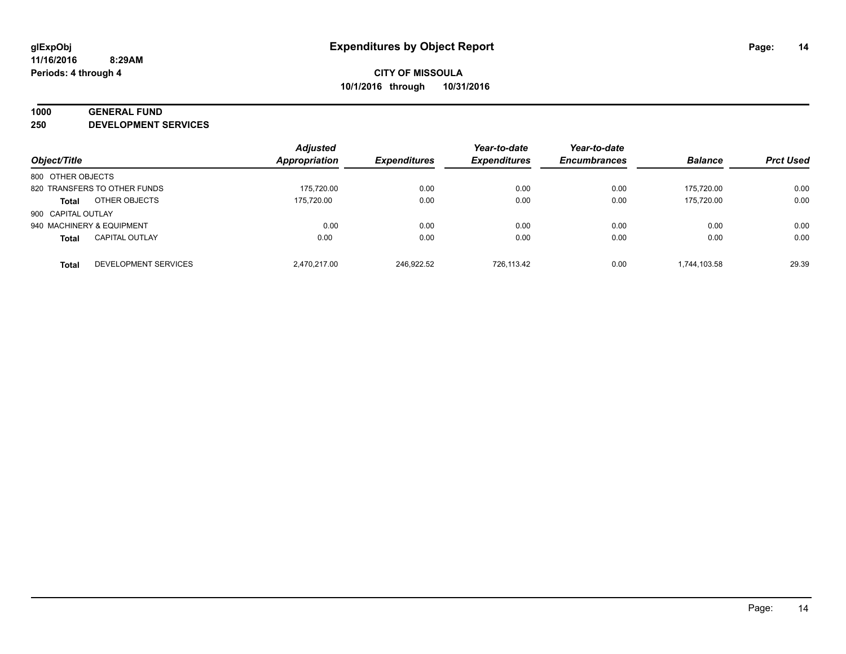# **1000 GENERAL FUND**

**250 DEVELOPMENT SERVICES**

| Object/Title              |                              | <b>Adjusted</b><br>Appropriation | <b>Expenditures</b> | Year-to-date<br><b>Expenditures</b> | Year-to-date<br><b>Encumbrances</b> | <b>Balance</b> | <b>Prct Used</b> |
|---------------------------|------------------------------|----------------------------------|---------------------|-------------------------------------|-------------------------------------|----------------|------------------|
|                           |                              |                                  |                     |                                     |                                     |                |                  |
| 800 OTHER OBJECTS         |                              |                                  |                     |                                     |                                     |                |                  |
|                           | 820 TRANSFERS TO OTHER FUNDS | 175.720.00                       | 0.00                | 0.00                                | 0.00                                | 175.720.00     | 0.00             |
| <b>Total</b>              | OTHER OBJECTS                | 175.720.00                       | 0.00                | 0.00                                | 0.00                                | 175.720.00     | 0.00             |
| 900 CAPITAL OUTLAY        |                              |                                  |                     |                                     |                                     |                |                  |
| 940 MACHINERY & EQUIPMENT |                              | 0.00                             | 0.00                | 0.00                                | 0.00                                | 0.00           | 0.00             |
| <b>Total</b>              | <b>CAPITAL OUTLAY</b>        | 0.00                             | 0.00                | 0.00                                | 0.00                                | 0.00           | 0.00             |
| <b>Total</b>              | DEVELOPMENT SERVICES         | 2.470.217.00                     | 246.922.52          | 726.113.42                          | 0.00                                | 1.744.103.58   | 29.39            |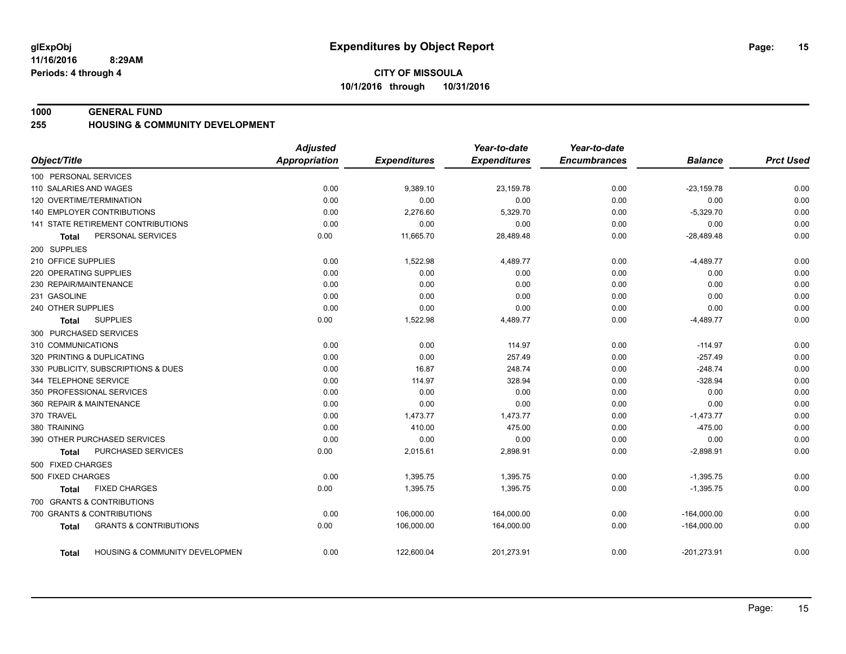#### **1000 GENERAL FUND**

#### **255 HOUSING & COMMUNITY DEVELOPMENT**

|                                                   | <b>Adjusted</b> |                     | Year-to-date        | Year-to-date        |                |                  |
|---------------------------------------------------|-----------------|---------------------|---------------------|---------------------|----------------|------------------|
| Object/Title                                      | Appropriation   | <b>Expenditures</b> | <b>Expenditures</b> | <b>Encumbrances</b> | <b>Balance</b> | <b>Prct Used</b> |
| 100 PERSONAL SERVICES                             |                 |                     |                     |                     |                |                  |
| 110 SALARIES AND WAGES                            | 0.00            | 9,389.10            | 23,159.78           | 0.00                | $-23,159.78$   | 0.00             |
| 120 OVERTIME/TERMINATION                          | 0.00            | 0.00                | 0.00                | 0.00                | 0.00           | 0.00             |
| <b>140 EMPLOYER CONTRIBUTIONS</b>                 | 0.00            | 2,276.60            | 5,329.70            | 0.00                | $-5,329.70$    | 0.00             |
| 141 STATE RETIREMENT CONTRIBUTIONS                | 0.00            | 0.00                | 0.00                | 0.00                | 0.00           | 0.00             |
| PERSONAL SERVICES<br>Total                        | 0.00            | 11,665.70           | 28,489.48           | 0.00                | $-28,489.48$   | 0.00             |
| 200 SUPPLIES                                      |                 |                     |                     |                     |                |                  |
| 210 OFFICE SUPPLIES                               | 0.00            | 1,522.98            | 4,489.77            | 0.00                | $-4,489.77$    | 0.00             |
| 220 OPERATING SUPPLIES                            | 0.00            | 0.00                | 0.00                | 0.00                | 0.00           | 0.00             |
| 230 REPAIR/MAINTENANCE                            | 0.00            | 0.00                | 0.00                | 0.00                | 0.00           | 0.00             |
| 231 GASOLINE                                      | 0.00            | 0.00                | 0.00                | 0.00                | 0.00           | 0.00             |
| 240 OTHER SUPPLIES                                | 0.00            | 0.00                | 0.00                | 0.00                | 0.00           | 0.00             |
| <b>SUPPLIES</b><br>Total                          | 0.00            | 1,522.98            | 4,489.77            | 0.00                | $-4,489.77$    | 0.00             |
| 300 PURCHASED SERVICES                            |                 |                     |                     |                     |                |                  |
| 310 COMMUNICATIONS                                | 0.00            | 0.00                | 114.97              | 0.00                | $-114.97$      | 0.00             |
| 320 PRINTING & DUPLICATING                        | 0.00            | 0.00                | 257.49              | 0.00                | $-257.49$      | 0.00             |
| 330 PUBLICITY, SUBSCRIPTIONS & DUES               | 0.00            | 16.87               | 248.74              | 0.00                | $-248.74$      | 0.00             |
| 344 TELEPHONE SERVICE                             | 0.00            | 114.97              | 328.94              | 0.00                | $-328.94$      | 0.00             |
| 350 PROFESSIONAL SERVICES                         | 0.00            | 0.00                | 0.00                | 0.00                | 0.00           | 0.00             |
| 360 REPAIR & MAINTENANCE                          | 0.00            | 0.00                | 0.00                | 0.00                | 0.00           | 0.00             |
| 370 TRAVEL                                        | 0.00            | 1,473.77            | 1,473.77            | 0.00                | $-1,473.77$    | 0.00             |
| 380 TRAINING                                      | 0.00            | 410.00              | 475.00              | 0.00                | $-475.00$      | 0.00             |
| 390 OTHER PURCHASED SERVICES                      | 0.00            | 0.00                | 0.00                | 0.00                | 0.00           | 0.00             |
| PURCHASED SERVICES<br><b>Total</b>                | 0.00            | 2,015.61            | 2,898.91            | 0.00                | $-2,898.91$    | 0.00             |
| 500 FIXED CHARGES                                 |                 |                     |                     |                     |                |                  |
| 500 FIXED CHARGES                                 | 0.00            | 1,395.75            | 1,395.75            | 0.00                | $-1,395.75$    | 0.00             |
| <b>FIXED CHARGES</b><br>Total                     | 0.00            | 1,395.75            | 1,395.75            | 0.00                | $-1,395.75$    | 0.00             |
| 700 GRANTS & CONTRIBUTIONS                        |                 |                     |                     |                     |                |                  |
| 700 GRANTS & CONTRIBUTIONS                        | 0.00            | 106,000.00          | 164,000.00          | 0.00                | $-164,000.00$  | 0.00             |
| <b>GRANTS &amp; CONTRIBUTIONS</b><br><b>Total</b> | 0.00            | 106,000.00          | 164,000.00          | 0.00                | $-164,000.00$  | 0.00             |
| HOUSING & COMMUNITY DEVELOPMEN<br>Total           | 0.00            | 122,600.04          | 201,273.91          | 0.00                | $-201,273.91$  | 0.00             |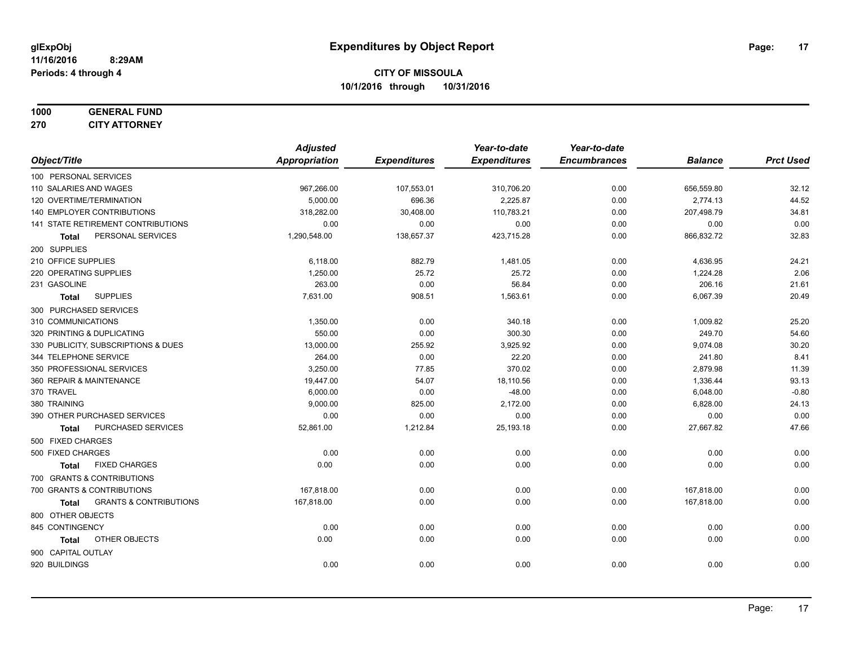#### **1000 GENERAL FUND 270 CITY ATTORNEY**

|                                            | <b>Adjusted</b> |                     | Year-to-date        | Year-to-date        |                |                  |
|--------------------------------------------|-----------------|---------------------|---------------------|---------------------|----------------|------------------|
| Object/Title                               | Appropriation   | <b>Expenditures</b> | <b>Expenditures</b> | <b>Encumbrances</b> | <b>Balance</b> | <b>Prct Used</b> |
| 100 PERSONAL SERVICES                      |                 |                     |                     |                     |                |                  |
| 110 SALARIES AND WAGES                     | 967,266.00      | 107,553.01          | 310,706.20          | 0.00                | 656,559.80     | 32.12            |
| 120 OVERTIME/TERMINATION                   | 5,000.00        | 696.36              | 2,225.87            | 0.00                | 2,774.13       | 44.52            |
| 140 EMPLOYER CONTRIBUTIONS                 | 318,282.00      | 30,408.00           | 110,783.21          | 0.00                | 207,498.79     | 34.81            |
| 141 STATE RETIREMENT CONTRIBUTIONS         | 0.00            | 0.00                | 0.00                | 0.00                | 0.00           | 0.00             |
| PERSONAL SERVICES<br>Total                 | 1,290,548.00    | 138,657.37          | 423,715.28          | 0.00                | 866,832.72     | 32.83            |
| 200 SUPPLIES                               |                 |                     |                     |                     |                |                  |
| 210 OFFICE SUPPLIES                        | 6,118.00        | 882.79              | 1,481.05            | 0.00                | 4,636.95       | 24.21            |
| 220 OPERATING SUPPLIES                     | 1,250.00        | 25.72               | 25.72               | 0.00                | 1,224.28       | 2.06             |
| 231 GASOLINE                               | 263.00          | 0.00                | 56.84               | 0.00                | 206.16         | 21.61            |
| <b>SUPPLIES</b><br><b>Total</b>            | 7,631.00        | 908.51              | 1,563.61            | 0.00                | 6,067.39       | 20.49            |
| 300 PURCHASED SERVICES                     |                 |                     |                     |                     |                |                  |
| 310 COMMUNICATIONS                         | 1,350.00        | 0.00                | 340.18              | 0.00                | 1,009.82       | 25.20            |
| 320 PRINTING & DUPLICATING                 | 550.00          | 0.00                | 300.30              | 0.00                | 249.70         | 54.60            |
| 330 PUBLICITY, SUBSCRIPTIONS & DUES        | 13,000.00       | 255.92              | 3,925.92            | 0.00                | 9,074.08       | 30.20            |
| 344 TELEPHONE SERVICE                      | 264.00          | 0.00                | 22.20               | 0.00                | 241.80         | 8.41             |
| 350 PROFESSIONAL SERVICES                  | 3,250.00        | 77.85               | 370.02              | 0.00                | 2,879.98       | 11.39            |
| 360 REPAIR & MAINTENANCE                   | 19,447.00       | 54.07               | 18,110.56           | 0.00                | 1,336.44       | 93.13            |
| 370 TRAVEL                                 | 6,000.00        | 0.00                | $-48.00$            | 0.00                | 6,048.00       | $-0.80$          |
| 380 TRAINING                               | 9,000.00        | 825.00              | 2,172.00            | 0.00                | 6,828.00       | 24.13            |
| 390 OTHER PURCHASED SERVICES               | 0.00            | 0.00                | 0.00                | 0.00                | 0.00           | 0.00             |
| PURCHASED SERVICES<br>Total                | 52,861.00       | 1,212.84            | 25,193.18           | 0.00                | 27,667.82      | 47.66            |
| 500 FIXED CHARGES                          |                 |                     |                     |                     |                |                  |
| 500 FIXED CHARGES                          | 0.00            | 0.00                | 0.00                | 0.00                | 0.00           | 0.00             |
| <b>FIXED CHARGES</b><br><b>Total</b>       | 0.00            | 0.00                | 0.00                | 0.00                | 0.00           | 0.00             |
| 700 GRANTS & CONTRIBUTIONS                 |                 |                     |                     |                     |                |                  |
| 700 GRANTS & CONTRIBUTIONS                 | 167,818.00      | 0.00                | 0.00                | 0.00                | 167,818.00     | 0.00             |
| <b>GRANTS &amp; CONTRIBUTIONS</b><br>Total | 167,818.00      | 0.00                | 0.00                | 0.00                | 167,818.00     | 0.00             |
| 800 OTHER OBJECTS                          |                 |                     |                     |                     |                |                  |
| 845 CONTINGENCY                            | 0.00            | 0.00                | 0.00                | 0.00                | 0.00           | 0.00             |
| OTHER OBJECTS<br>Total                     | 0.00            | 0.00                | 0.00                | 0.00                | 0.00           | 0.00             |
| 900 CAPITAL OUTLAY                         |                 |                     |                     |                     |                |                  |
| 920 BUILDINGS                              | 0.00            | 0.00                | 0.00                | 0.00                | 0.00           | 0.00             |
|                                            |                 |                     |                     |                     |                |                  |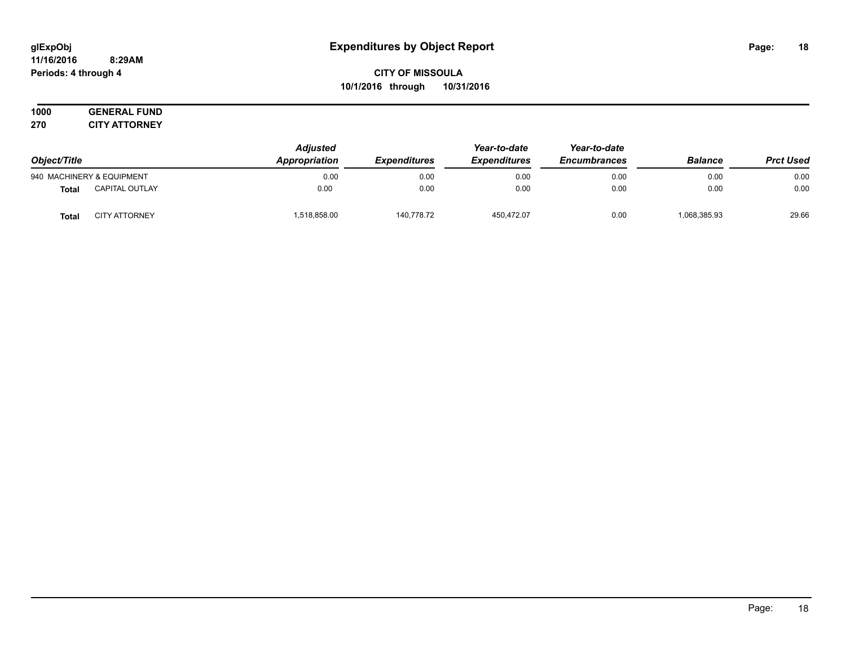#### **11/16/2016 8:29AM Periods: 4 through 4**

**CITY OF MISSOULA 10/1/2016 through 10/31/2016**

**1000 GENERAL FUND 270 CITY ATTORNEY**

| Object/Title |                           | <b>Adjusted</b><br>Appropriation<br><b>Expenditures</b> |            | Year-to-date<br><b>Expenditures</b> | Year-to-date<br><b>Encumbrances</b> | <b>Balance</b> | <b>Prct Used</b> |
|--------------|---------------------------|---------------------------------------------------------|------------|-------------------------------------|-------------------------------------|----------------|------------------|
|              | 940 MACHINERY & EQUIPMENT | 0.00                                                    | 0.00       | 0.00                                | 0.00                                | 0.00           | 0.00             |
| Total        | <b>CAPITAL OUTLAY</b>     | 0.00                                                    | 0.00       | 0.00                                | 0.00                                | 0.00           | 0.00             |
| <b>Total</b> | <b>CITY ATTORNEY</b>      | 1,518,858.00                                            | 140,778.72 | 450,472.07                          | 0.00                                | 068,385.93     | 29.66            |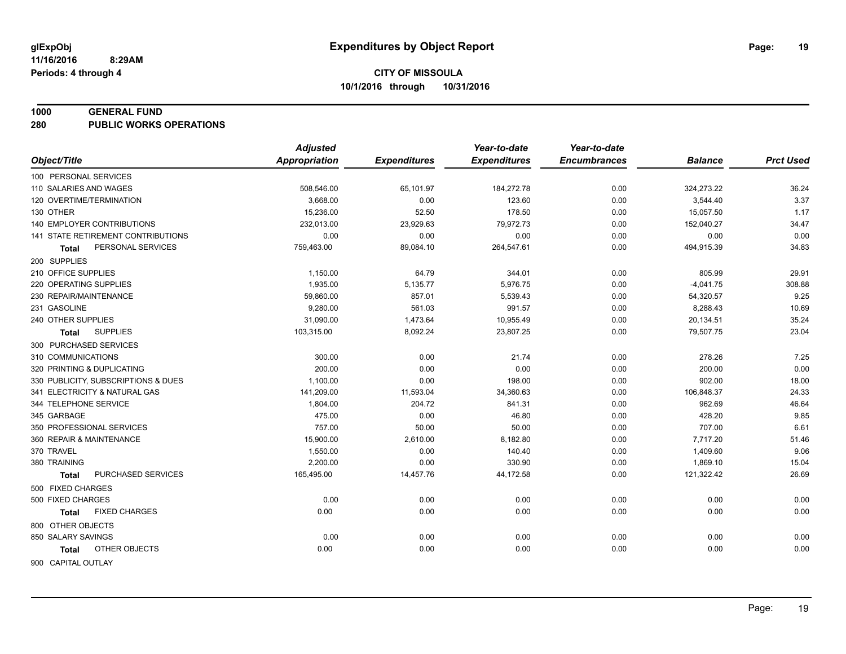#### **1000 GENERAL FUND**

**280 PUBLIC WORKS OPERATIONS**

|                                     | <b>Adjusted</b>      |                     | Year-to-date        | Year-to-date        |                |                  |
|-------------------------------------|----------------------|---------------------|---------------------|---------------------|----------------|------------------|
| Object/Title                        | <b>Appropriation</b> | <b>Expenditures</b> | <b>Expenditures</b> | <b>Encumbrances</b> | <b>Balance</b> | <b>Prct Used</b> |
| 100 PERSONAL SERVICES               |                      |                     |                     |                     |                |                  |
| 110 SALARIES AND WAGES              | 508,546.00           | 65,101.97           | 184,272.78          | 0.00                | 324,273.22     | 36.24            |
| 120 OVERTIME/TERMINATION            | 3.668.00             | 0.00                | 123.60              | 0.00                | 3,544.40       | 3.37             |
| 130 OTHER                           | 15,236.00            | 52.50               | 178.50              | 0.00                | 15,057.50      | 1.17             |
| <b>140 EMPLOYER CONTRIBUTIONS</b>   | 232,013.00           | 23,929.63           | 79,972.73           | 0.00                | 152,040.27     | 34.47            |
| 141 STATE RETIREMENT CONTRIBUTIONS  | 0.00                 | 0.00                | 0.00                | 0.00                | 0.00           | 0.00             |
| PERSONAL SERVICES<br>Total          | 759,463.00           | 89,084.10           | 264,547.61          | 0.00                | 494,915.39     | 34.83            |
| 200 SUPPLIES                        |                      |                     |                     |                     |                |                  |
| 210 OFFICE SUPPLIES                 | 1,150.00             | 64.79               | 344.01              | 0.00                | 805.99         | 29.91            |
| 220 OPERATING SUPPLIES              | 1,935.00             | 5,135.77            | 5,976.75            | 0.00                | $-4,041.75$    | 308.88           |
| 230 REPAIR/MAINTENANCE              | 59,860.00            | 857.01              | 5,539.43            | 0.00                | 54,320.57      | 9.25             |
| 231 GASOLINE                        | 9,280.00             | 561.03              | 991.57              | 0.00                | 8,288.43       | 10.69            |
| 240 OTHER SUPPLIES                  | 31,090.00            | 1,473.64            | 10,955.49           | 0.00                | 20,134.51      | 35.24            |
| <b>SUPPLIES</b><br>Total            | 103,315.00           | 8,092.24            | 23,807.25           | 0.00                | 79,507.75      | 23.04            |
| 300 PURCHASED SERVICES              |                      |                     |                     |                     |                |                  |
| 310 COMMUNICATIONS                  | 300.00               | 0.00                | 21.74               | 0.00                | 278.26         | 7.25             |
| 320 PRINTING & DUPLICATING          | 200.00               | 0.00                | 0.00                | 0.00                | 200.00         | 0.00             |
| 330 PUBLICITY, SUBSCRIPTIONS & DUES | 1,100.00             | 0.00                | 198.00              | 0.00                | 902.00         | 18.00            |
| 341 ELECTRICITY & NATURAL GAS       | 141,209.00           | 11,593.04           | 34,360.63           | 0.00                | 106,848.37     | 24.33            |
| 344 TELEPHONE SERVICE               | 1,804.00             | 204.72              | 841.31              | 0.00                | 962.69         | 46.64            |
| 345 GARBAGE                         | 475.00               | 0.00                | 46.80               | 0.00                | 428.20         | 9.85             |
| 350 PROFESSIONAL SERVICES           | 757.00               | 50.00               | 50.00               | 0.00                | 707.00         | 6.61             |
| 360 REPAIR & MAINTENANCE            | 15,900.00            | 2,610.00            | 8,182.80            | 0.00                | 7,717.20       | 51.46            |
| 370 TRAVEL                          | 1,550.00             | 0.00                | 140.40              | 0.00                | 1,409.60       | 9.06             |
| 380 TRAINING                        | 2,200.00             | 0.00                | 330.90              | 0.00                | 1,869.10       | 15.04            |
| PURCHASED SERVICES<br><b>Total</b>  | 165,495.00           | 14,457.76           | 44,172.58           | 0.00                | 121,322.42     | 26.69            |
| 500 FIXED CHARGES                   |                      |                     |                     |                     |                |                  |
| 500 FIXED CHARGES                   | 0.00                 | 0.00                | 0.00                | 0.00                | 0.00           | 0.00             |
| <b>FIXED CHARGES</b><br>Total       | 0.00                 | 0.00                | 0.00                | 0.00                | 0.00           | 0.00             |
| 800 OTHER OBJECTS                   |                      |                     |                     |                     |                |                  |
| 850 SALARY SAVINGS                  | 0.00                 | 0.00                | 0.00                | 0.00                | 0.00           | 0.00             |
| OTHER OBJECTS<br><b>Total</b>       | 0.00                 | 0.00                | 0.00                | 0.00                | 0.00           | 0.00             |
|                                     |                      |                     |                     |                     |                |                  |
| 900 CAPITAL OUTLAY                  |                      |                     |                     |                     |                |                  |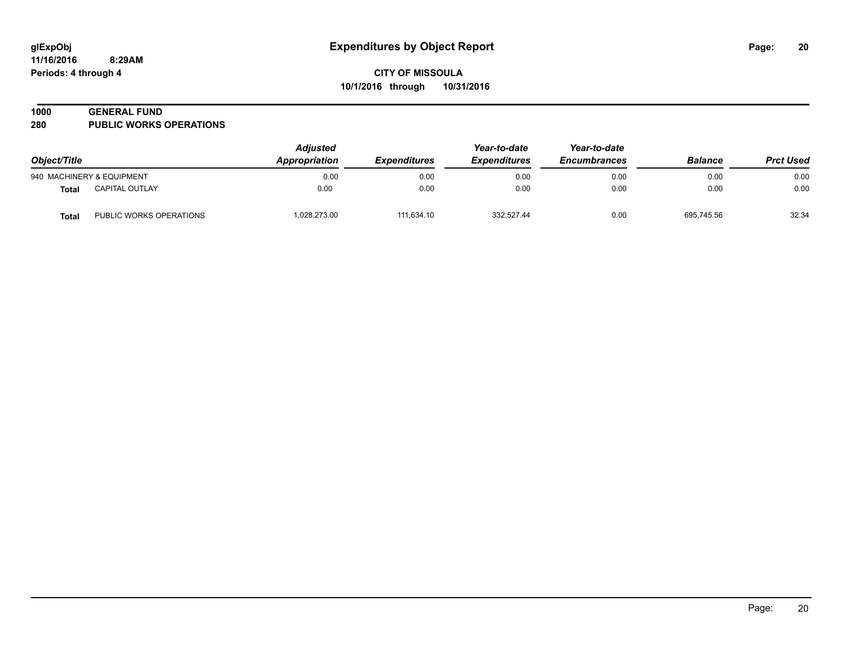# **1000 GENERAL FUND**

**280 PUBLIC WORKS OPERATIONS**

| Object/Title |                           | <b>Adjusted</b><br>Appropriation | <i><b>Expenditures</b></i> | Year-to-date<br><b>Expenditures</b> | Year-to-date<br><b>Encumbrances</b> | <b>Balance</b> | <b>Prct Used</b> |
|--------------|---------------------------|----------------------------------|----------------------------|-------------------------------------|-------------------------------------|----------------|------------------|
|              | 940 MACHINERY & EQUIPMENT | 0.00                             | 0.00                       | 0.00                                | 0.00                                | 0.00           | 0.00             |
| <b>Total</b> | <b>CAPITAL OUTLAY</b>     | 0.00                             | 0.00                       | 0.00                                | 0.00                                | 0.00           | 0.00             |
| <b>Total</b> | PUBLIC WORKS OPERATIONS   | 1,028,273.00                     | 111.634.10                 | 332.527.44                          | 0.00                                | 695.745.56     | 32.34            |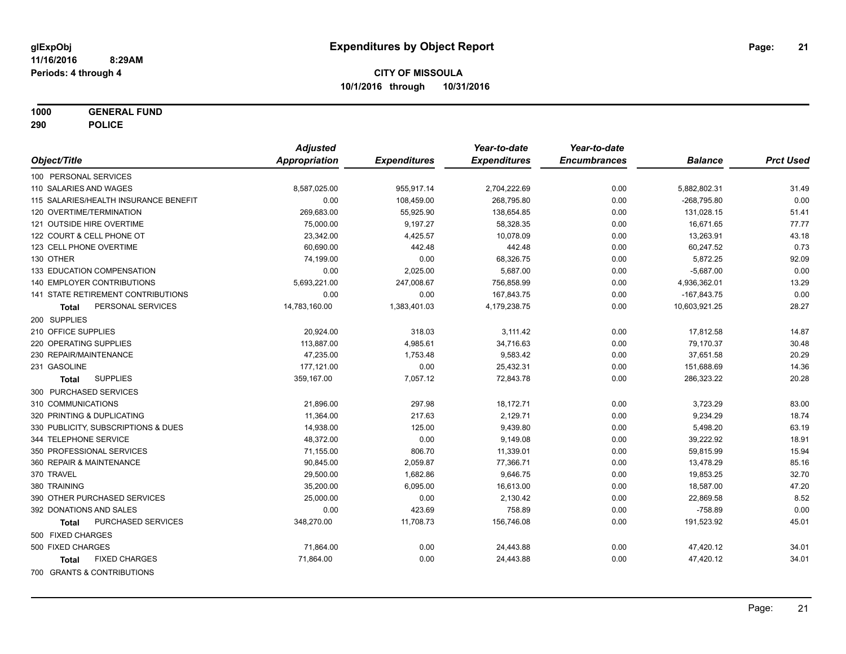**1000 GENERAL FUND**

**290 POLICE**

|                                           | <b>Adjusted</b>      |                     | Year-to-date        | Year-to-date        |                |                  |
|-------------------------------------------|----------------------|---------------------|---------------------|---------------------|----------------|------------------|
| Object/Title                              | <b>Appropriation</b> | <b>Expenditures</b> | <b>Expenditures</b> | <b>Encumbrances</b> | <b>Balance</b> | <b>Prct Used</b> |
| 100 PERSONAL SERVICES                     |                      |                     |                     |                     |                |                  |
| 110 SALARIES AND WAGES                    | 8,587,025.00         | 955,917.14          | 2,704,222.69        | 0.00                | 5,882,802.31   | 31.49            |
| 115 SALARIES/HEALTH INSURANCE BENEFIT     | 0.00                 | 108,459.00          | 268,795.80          | 0.00                | $-268,795.80$  | 0.00             |
| 120 OVERTIME/TERMINATION                  | 269,683.00           | 55,925.90           | 138,654.85          | 0.00                | 131,028.15     | 51.41            |
| 121 OUTSIDE HIRE OVERTIME                 | 75,000.00            | 9,197.27            | 58,328.35           | 0.00                | 16,671.65      | 77.77            |
| 122 COURT & CELL PHONE OT                 | 23,342.00            | 4,425.57            | 10,078.09           | 0.00                | 13,263.91      | 43.18            |
| 123 CELL PHONE OVERTIME                   | 60,690.00            | 442.48              | 442.48              | 0.00                | 60,247.52      | 0.73             |
| 130 OTHER                                 | 74,199.00            | 0.00                | 68,326.75           | 0.00                | 5,872.25       | 92.09            |
| 133 EDUCATION COMPENSATION                | 0.00                 | 2,025.00            | 5,687.00            | 0.00                | $-5,687.00$    | 0.00             |
| 140 EMPLOYER CONTRIBUTIONS                | 5,693,221.00         | 247,008.67          | 756,858.99          | 0.00                | 4,936,362.01   | 13.29            |
| 141 STATE RETIREMENT CONTRIBUTIONS        | 0.00                 | 0.00                | 167,843.75          | 0.00                | $-167,843.75$  | 0.00             |
| PERSONAL SERVICES<br>Total                | 14,783,160.00        | 1,383,401.03        | 4,179,238.75        | 0.00                | 10,603,921.25  | 28.27            |
| 200 SUPPLIES                              |                      |                     |                     |                     |                |                  |
| 210 OFFICE SUPPLIES                       | 20,924.00            | 318.03              | 3,111.42            | 0.00                | 17,812.58      | 14.87            |
| 220 OPERATING SUPPLIES                    | 113,887.00           | 4,985.61            | 34,716.63           | 0.00                | 79,170.37      | 30.48            |
| 230 REPAIR/MAINTENANCE                    | 47,235.00            | 1,753.48            | 9,583.42            | 0.00                | 37,651.58      | 20.29            |
| 231 GASOLINE                              | 177,121.00           | 0.00                | 25,432.31           | 0.00                | 151,688.69     | 14.36            |
| <b>SUPPLIES</b><br><b>Total</b>           | 359,167.00           | 7,057.12            | 72,843.78           | 0.00                | 286,323.22     | 20.28            |
| 300 PURCHASED SERVICES                    |                      |                     |                     |                     |                |                  |
| 310 COMMUNICATIONS                        | 21,896.00            | 297.98              | 18,172.71           | 0.00                | 3,723.29       | 83.00            |
| 320 PRINTING & DUPLICATING                | 11,364.00            | 217.63              | 2,129.71            | 0.00                | 9,234.29       | 18.74            |
| 330 PUBLICITY, SUBSCRIPTIONS & DUES       | 14,938.00            | 125.00              | 9,439.80            | 0.00                | 5,498.20       | 63.19            |
| 344 TELEPHONE SERVICE                     | 48,372.00            | 0.00                | 9,149.08            | 0.00                | 39,222.92      | 18.91            |
| 350 PROFESSIONAL SERVICES                 | 71,155.00            | 806.70              | 11,339.01           | 0.00                | 59,815.99      | 15.94            |
| 360 REPAIR & MAINTENANCE                  | 90,845.00            | 2,059.87            | 77,366.71           | 0.00                | 13,478.29      | 85.16            |
| 370 TRAVEL                                | 29,500.00            | 1,682.86            | 9,646.75            | 0.00                | 19,853.25      | 32.70            |
| 380 TRAINING                              | 35,200.00            | 6,095.00            | 16,613.00           | 0.00                | 18,587.00      | 47.20            |
| 390 OTHER PURCHASED SERVICES              | 25,000.00            | 0.00                | 2,130.42            | 0.00                | 22,869.58      | 8.52             |
| 392 DONATIONS AND SALES                   | 0.00                 | 423.69              | 758.89              | 0.00                | $-758.89$      | 0.00             |
| <b>PURCHASED SERVICES</b><br><b>Total</b> | 348,270.00           | 11,708.73           | 156,746.08          | 0.00                | 191,523.92     | 45.01            |
| 500 FIXED CHARGES                         |                      |                     |                     |                     |                |                  |
| 500 FIXED CHARGES                         | 71,864.00            | 0.00                | 24,443.88           | 0.00                | 47,420.12      | 34.01            |
| <b>FIXED CHARGES</b><br><b>Total</b>      | 71,864.00            | 0.00                | 24,443.88           | 0.00                | 47,420.12      | 34.01            |
| 700 GRANTS & CONTRIBUTIONS                |                      |                     |                     |                     |                |                  |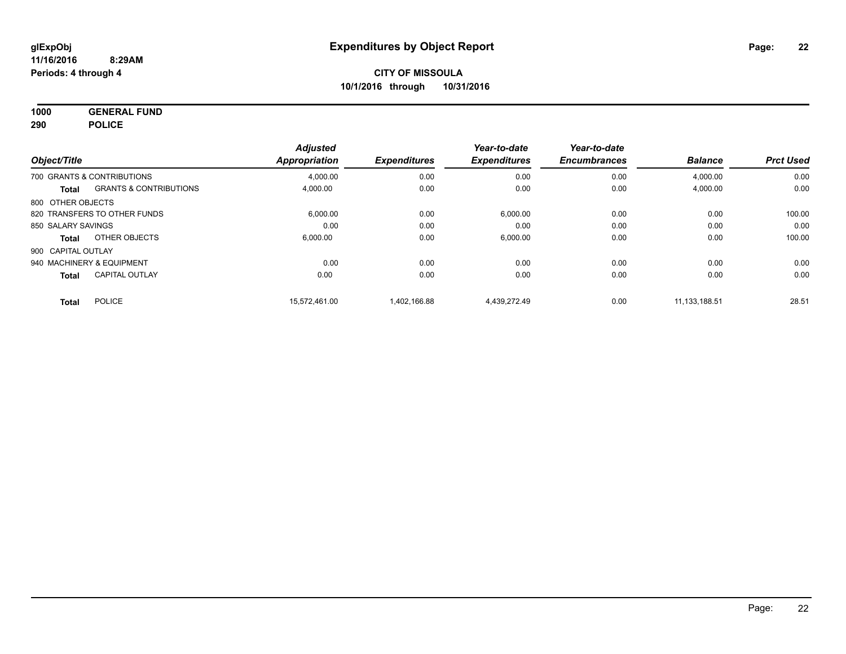**1000 GENERAL FUND 290 POLICE**

|                    |                                   | <b>Adjusted</b> |                     | Year-to-date        | Year-to-date        |                |                  |
|--------------------|-----------------------------------|-----------------|---------------------|---------------------|---------------------|----------------|------------------|
| Object/Title       |                                   | Appropriation   | <b>Expenditures</b> | <b>Expenditures</b> | <b>Encumbrances</b> | <b>Balance</b> | <b>Prct Used</b> |
|                    | 700 GRANTS & CONTRIBUTIONS        | 4,000.00        | 0.00                | 0.00                | 0.00                | 4,000.00       | 0.00             |
| Total              | <b>GRANTS &amp; CONTRIBUTIONS</b> | 4,000.00        | 0.00                | 0.00                | 0.00                | 4,000.00       | 0.00             |
| 800 OTHER OBJECTS  |                                   |                 |                     |                     |                     |                |                  |
|                    | 820 TRANSFERS TO OTHER FUNDS      | 6,000.00        | 0.00                | 6,000.00            | 0.00                | 0.00           | 100.00           |
| 850 SALARY SAVINGS |                                   | 0.00            | 0.00                | 0.00                | 0.00                | 0.00           | 0.00             |
| Total              | OTHER OBJECTS                     | 6.000.00        | 0.00                | 6,000.00            | 0.00                | 0.00           | 100.00           |
| 900 CAPITAL OUTLAY |                                   |                 |                     |                     |                     |                |                  |
|                    | 940 MACHINERY & EQUIPMENT         | 0.00            | 0.00                | 0.00                | 0.00                | 0.00           | 0.00             |
| <b>Total</b>       | <b>CAPITAL OUTLAY</b>             | 0.00            | 0.00                | 0.00                | 0.00                | 0.00           | 0.00             |
| <b>Total</b>       | <b>POLICE</b>                     | 15.572.461.00   | 1.402.166.88        | 4.439.272.49        | 0.00                | 11.133.188.51  | 28.51            |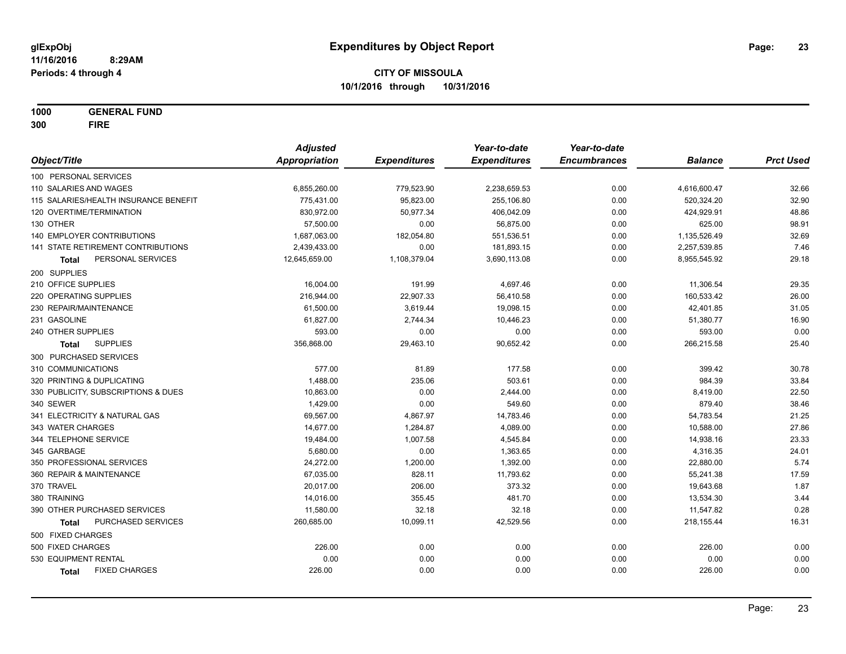**1000 GENERAL FUND 300 FIRE**

|                                           | <b>Adjusted</b> |                     | Year-to-date        | Year-to-date        |                |                  |
|-------------------------------------------|-----------------|---------------------|---------------------|---------------------|----------------|------------------|
| Object/Title                              | Appropriation   | <b>Expenditures</b> | <b>Expenditures</b> | <b>Encumbrances</b> | <b>Balance</b> | <b>Prct Used</b> |
| 100 PERSONAL SERVICES                     |                 |                     |                     |                     |                |                  |
| 110 SALARIES AND WAGES                    | 6,855,260.00    | 779,523.90          | 2,238,659.53        | 0.00                | 4,616,600.47   | 32.66            |
| 115 SALARIES/HEALTH INSURANCE BENEFIT     | 775,431.00      | 95,823.00           | 255,106.80          | 0.00                | 520,324.20     | 32.90            |
| 120 OVERTIME/TERMINATION                  | 830,972.00      | 50,977.34           | 406,042.09          | 0.00                | 424,929.91     | 48.86            |
| 130 OTHER                                 | 57,500.00       | 0.00                | 56,875.00           | 0.00                | 625.00         | 98.91            |
| 140 EMPLOYER CONTRIBUTIONS                | 1,687,063.00    | 182,054.80          | 551,536.51          | 0.00                | 1,135,526.49   | 32.69            |
| 141 STATE RETIREMENT CONTRIBUTIONS        | 2,439,433.00    | 0.00                | 181,893.15          | 0.00                | 2,257,539.85   | 7.46             |
| PERSONAL SERVICES<br>Total                | 12,645,659.00   | 1,108,379.04        | 3,690,113.08        | 0.00                | 8,955,545.92   | 29.18            |
| 200 SUPPLIES                              |                 |                     |                     |                     |                |                  |
| 210 OFFICE SUPPLIES                       | 16,004.00       | 191.99              | 4,697.46            | 0.00                | 11,306.54      | 29.35            |
| 220 OPERATING SUPPLIES                    | 216,944.00      | 22,907.33           | 56,410.58           | 0.00                | 160,533.42     | 26.00            |
| 230 REPAIR/MAINTENANCE                    | 61,500.00       | 3,619.44            | 19,098.15           | 0.00                | 42,401.85      | 31.05            |
| 231 GASOLINE                              | 61,827.00       | 2,744.34            | 10,446.23           | 0.00                | 51,380.77      | 16.90            |
| 240 OTHER SUPPLIES                        | 593.00          | 0.00                | 0.00                | 0.00                | 593.00         | 0.00             |
| <b>SUPPLIES</b><br>Total                  | 356,868.00      | 29,463.10           | 90,652.42           | 0.00                | 266,215.58     | 25.40            |
| 300 PURCHASED SERVICES                    |                 |                     |                     |                     |                |                  |
| 310 COMMUNICATIONS                        | 577.00          | 81.89               | 177.58              | 0.00                | 399.42         | 30.78            |
| 320 PRINTING & DUPLICATING                | 1,488.00        | 235.06              | 503.61              | 0.00                | 984.39         | 33.84            |
| 330 PUBLICITY, SUBSCRIPTIONS & DUES       | 10,863.00       | 0.00                | 2,444.00            | 0.00                | 8,419.00       | 22.50            |
| 340 SEWER                                 | 1,429.00        | 0.00                | 549.60              | 0.00                | 879.40         | 38.46            |
| 341 ELECTRICITY & NATURAL GAS             | 69,567.00       | 4,867.97            | 14,783.46           | 0.00                | 54,783.54      | 21.25            |
| 343 WATER CHARGES                         | 14,677.00       | 1,284.87            | 4,089.00            | 0.00                | 10,588.00      | 27.86            |
| 344 TELEPHONE SERVICE                     | 19,484.00       | 1,007.58            | 4,545.84            | 0.00                | 14,938.16      | 23.33            |
| 345 GARBAGE                               | 5,680.00        | 0.00                | 1,363.65            | 0.00                | 4,316.35       | 24.01            |
| 350 PROFESSIONAL SERVICES                 | 24,272.00       | 1,200.00            | 1,392.00            | 0.00                | 22,880.00      | 5.74             |
| 360 REPAIR & MAINTENANCE                  | 67,035.00       | 828.11              | 11,793.62           | 0.00                | 55,241.38      | 17.59            |
| 370 TRAVEL                                | 20,017.00       | 206.00              | 373.32              | 0.00                | 19,643.68      | 1.87             |
| 380 TRAINING                              | 14,016.00       | 355.45              | 481.70              | 0.00                | 13,534.30      | 3.44             |
| 390 OTHER PURCHASED SERVICES              | 11,580.00       | 32.18               | 32.18               | 0.00                | 11,547.82      | 0.28             |
| <b>PURCHASED SERVICES</b><br><b>Total</b> | 260,685.00      | 10,099.11           | 42,529.56           | 0.00                | 218,155.44     | 16.31            |
| 500 FIXED CHARGES                         |                 |                     |                     |                     |                |                  |
| 500 FIXED CHARGES                         | 226.00          | 0.00                | 0.00                | 0.00                | 226.00         | 0.00             |
| 530 EQUIPMENT RENTAL                      | 0.00            | 0.00                | 0.00                | 0.00                | 0.00           | 0.00             |
| <b>FIXED CHARGES</b><br>Total             | 226.00          | 0.00                | 0.00                | 0.00                | 226.00         | 0.00             |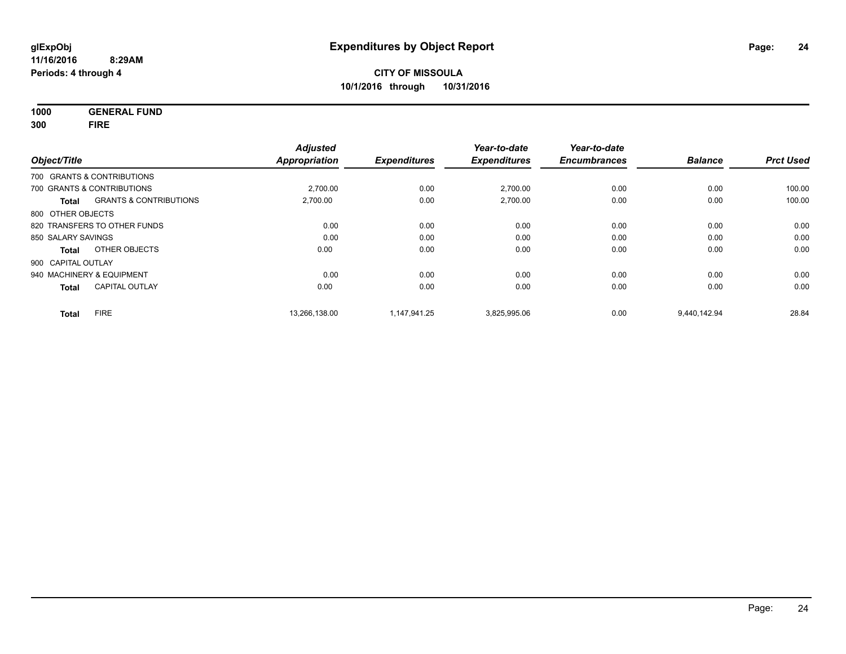**1000 GENERAL FUND 300 FIRE**

| Object/Title       |                                   | <b>Adjusted</b><br><b>Appropriation</b> | <b>Expenditures</b> | Year-to-date<br><b>Expenditures</b> | Year-to-date<br><b>Encumbrances</b> | <b>Balance</b> | <b>Prct Used</b> |
|--------------------|-----------------------------------|-----------------------------------------|---------------------|-------------------------------------|-------------------------------------|----------------|------------------|
|                    | 700 GRANTS & CONTRIBUTIONS        |                                         |                     |                                     |                                     |                |                  |
|                    | 700 GRANTS & CONTRIBUTIONS        | 2.700.00                                | 0.00                | 2,700.00                            | 0.00                                | 0.00           | 100.00           |
| <b>Total</b>       | <b>GRANTS &amp; CONTRIBUTIONS</b> | 2,700.00                                | 0.00                | 2,700.00                            | 0.00                                | 0.00           | 100.00           |
| 800 OTHER OBJECTS  |                                   |                                         |                     |                                     |                                     |                |                  |
|                    | 820 TRANSFERS TO OTHER FUNDS      | 0.00                                    | 0.00                | 0.00                                | 0.00                                | 0.00           | 0.00             |
| 850 SALARY SAVINGS |                                   | 0.00                                    | 0.00                | 0.00                                | 0.00                                | 0.00           | 0.00             |
| <b>Total</b>       | OTHER OBJECTS                     | 0.00                                    | 0.00                | 0.00                                | 0.00                                | 0.00           | 0.00             |
| 900 CAPITAL OUTLAY |                                   |                                         |                     |                                     |                                     |                |                  |
|                    | 940 MACHINERY & EQUIPMENT         | 0.00                                    | 0.00                | 0.00                                | 0.00                                | 0.00           | 0.00             |
| <b>Total</b>       | <b>CAPITAL OUTLAY</b>             | 0.00                                    | 0.00                | 0.00                                | 0.00                                | 0.00           | 0.00             |
| <b>Total</b>       | <b>FIRE</b>                       | 13,266,138.00                           | 1,147,941.25        | 3,825,995.06                        | 0.00                                | 9,440,142.94   | 28.84            |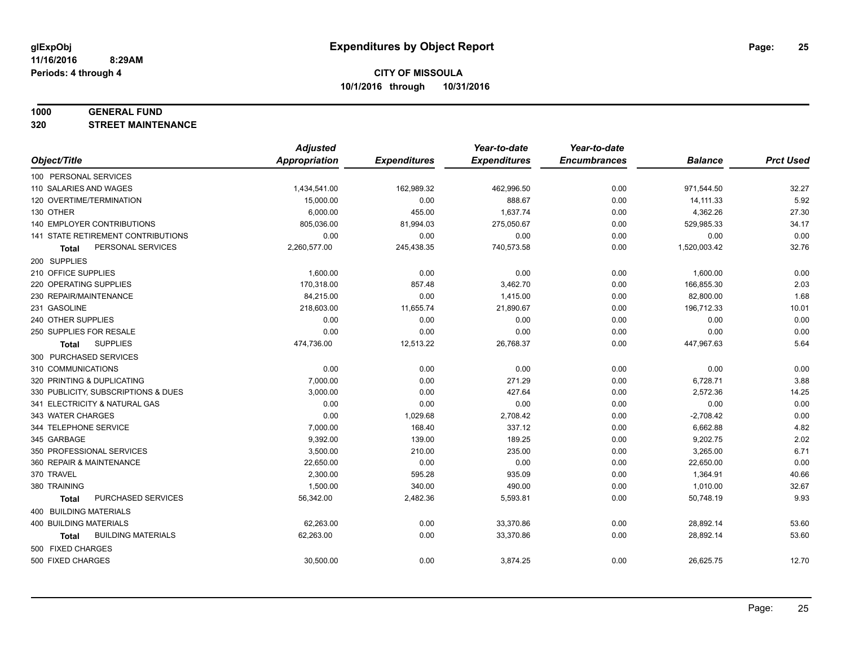#### **1000 GENERAL FUND**

**320 STREET MAINTENANCE**

|                                           | <b>Adjusted</b>      |                     | Year-to-date        | Year-to-date        |                |                  |
|-------------------------------------------|----------------------|---------------------|---------------------|---------------------|----------------|------------------|
| Object/Title                              | <b>Appropriation</b> | <b>Expenditures</b> | <b>Expenditures</b> | <b>Encumbrances</b> | <b>Balance</b> | <b>Prct Used</b> |
| 100 PERSONAL SERVICES                     |                      |                     |                     |                     |                |                  |
| 110 SALARIES AND WAGES                    | 1,434,541.00         | 162,989.32          | 462,996.50          | 0.00                | 971,544.50     | 32.27            |
| 120 OVERTIME/TERMINATION                  | 15,000.00            | 0.00                | 888.67              | 0.00                | 14,111.33      | 5.92             |
| 130 OTHER                                 | 6,000.00             | 455.00              | 1,637.74            | 0.00                | 4,362.26       | 27.30            |
| 140 EMPLOYER CONTRIBUTIONS                | 805,036.00           | 81,994.03           | 275,050.67          | 0.00                | 529,985.33     | 34.17            |
| 141 STATE RETIREMENT CONTRIBUTIONS        | 0.00                 | 0.00                | 0.00                | 0.00                | 0.00           | 0.00             |
| PERSONAL SERVICES<br><b>Total</b>         | 2,260,577.00         | 245,438.35          | 740,573.58          | 0.00                | 1,520,003.42   | 32.76            |
| 200 SUPPLIES                              |                      |                     |                     |                     |                |                  |
| 210 OFFICE SUPPLIES                       | 1,600.00             | 0.00                | 0.00                | 0.00                | 1,600.00       | 0.00             |
| 220 OPERATING SUPPLIES                    | 170,318.00           | 857.48              | 3,462.70            | 0.00                | 166,855.30     | 2.03             |
| 230 REPAIR/MAINTENANCE                    | 84,215.00            | 0.00                | 1,415.00            | 0.00                | 82,800.00      | 1.68             |
| 231 GASOLINE                              | 218,603.00           | 11,655.74           | 21,890.67           | 0.00                | 196,712.33     | 10.01            |
| 240 OTHER SUPPLIES                        | 0.00                 | 0.00                | 0.00                | 0.00                | 0.00           | 0.00             |
| 250 SUPPLIES FOR RESALE                   | 0.00                 | 0.00                | 0.00                | 0.00                | 0.00           | 0.00             |
| <b>SUPPLIES</b><br><b>Total</b>           | 474,736.00           | 12,513.22           | 26,768.37           | 0.00                | 447,967.63     | 5.64             |
| 300 PURCHASED SERVICES                    |                      |                     |                     |                     |                |                  |
| 310 COMMUNICATIONS                        | 0.00                 | 0.00                | 0.00                | 0.00                | 0.00           | 0.00             |
| 320 PRINTING & DUPLICATING                | 7,000.00             | 0.00                | 271.29              | 0.00                | 6,728.71       | 3.88             |
| 330 PUBLICITY, SUBSCRIPTIONS & DUES       | 3,000.00             | 0.00                | 427.64              | 0.00                | 2,572.36       | 14.25            |
| 341 ELECTRICITY & NATURAL GAS             | 0.00                 | 0.00                | 0.00                | 0.00                | 0.00           | 0.00             |
| 343 WATER CHARGES                         | 0.00                 | 1,029.68            | 2,708.42            | 0.00                | $-2,708.42$    | 0.00             |
| 344 TELEPHONE SERVICE                     | 7.000.00             | 168.40              | 337.12              | 0.00                | 6,662.88       | 4.82             |
| 345 GARBAGE                               | 9,392.00             | 139.00              | 189.25              | 0.00                | 9,202.75       | 2.02             |
| 350 PROFESSIONAL SERVICES                 | 3,500.00             | 210.00              | 235.00              | 0.00                | 3,265.00       | 6.71             |
| 360 REPAIR & MAINTENANCE                  | 22,650.00            | 0.00                | 0.00                | 0.00                | 22,650.00      | 0.00             |
| 370 TRAVEL                                | 2,300.00             | 595.28              | 935.09              | 0.00                | 1,364.91       | 40.66            |
| 380 TRAINING                              | 1,500.00             | 340.00              | 490.00              | 0.00                | 1,010.00       | 32.67            |
| PURCHASED SERVICES<br><b>Total</b>        | 56,342.00            | 2,482.36            | 5,593.81            | 0.00                | 50,748.19      | 9.93             |
| 400 BUILDING MATERIALS                    |                      |                     |                     |                     |                |                  |
| <b>400 BUILDING MATERIALS</b>             | 62,263.00            | 0.00                | 33,370.86           | 0.00                | 28,892.14      | 53.60            |
| <b>BUILDING MATERIALS</b><br><b>Total</b> | 62,263.00            | 0.00                | 33,370.86           | 0.00                | 28,892.14      | 53.60            |
| 500 FIXED CHARGES                         |                      |                     |                     |                     |                |                  |
| 500 FIXED CHARGES                         | 30,500.00            | 0.00                | 3,874.25            | 0.00                | 26,625.75      | 12.70            |
|                                           |                      |                     |                     |                     |                |                  |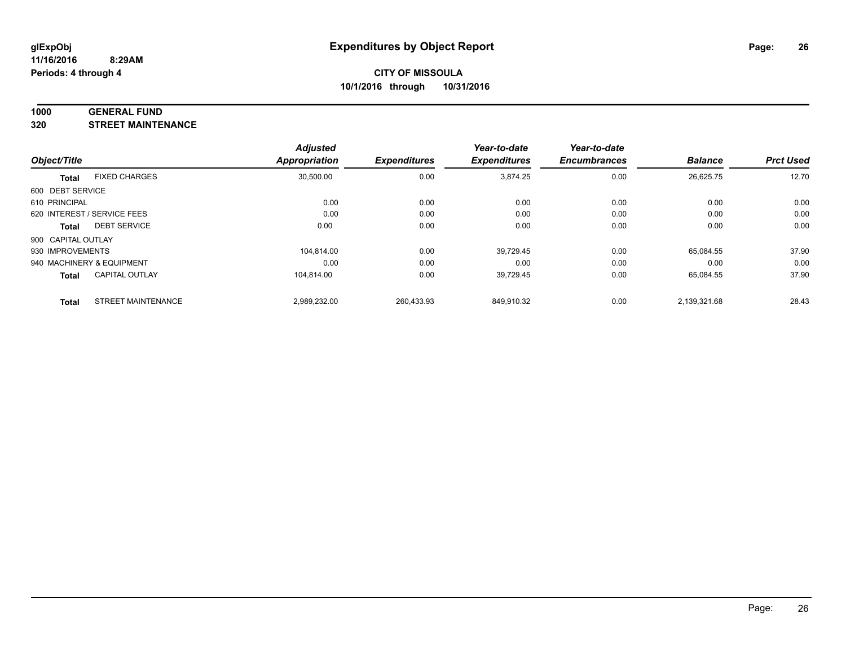#### **1000 GENERAL FUND**

**320 STREET MAINTENANCE**

|                    |                             | <b>Adjusted</b> |                     | Year-to-date        | Year-to-date        |                |                  |
|--------------------|-----------------------------|-----------------|---------------------|---------------------|---------------------|----------------|------------------|
| Object/Title       |                             | Appropriation   | <b>Expenditures</b> | <b>Expenditures</b> | <b>Encumbrances</b> | <b>Balance</b> | <b>Prct Used</b> |
| <b>Total</b>       | <b>FIXED CHARGES</b>        | 30,500.00       | 0.00                | 3,874.25            | 0.00                | 26,625.75      | 12.70            |
| 600 DEBT SERVICE   |                             |                 |                     |                     |                     |                |                  |
| 610 PRINCIPAL      |                             | 0.00            | 0.00                | 0.00                | 0.00                | 0.00           | 0.00             |
|                    | 620 INTEREST / SERVICE FEES | 0.00            | 0.00                | 0.00                | 0.00                | 0.00           | 0.00             |
| <b>Total</b>       | <b>DEBT SERVICE</b>         | 0.00            | 0.00                | 0.00                | 0.00                | 0.00           | 0.00             |
| 900 CAPITAL OUTLAY |                             |                 |                     |                     |                     |                |                  |
| 930 IMPROVEMENTS   |                             | 104.814.00      | 0.00                | 39,729.45           | 0.00                | 65.084.55      | 37.90            |
|                    | 940 MACHINERY & EQUIPMENT   | 0.00            | 0.00                | 0.00                | 0.00                | 0.00           | 0.00             |
| <b>Total</b>       | <b>CAPITAL OUTLAY</b>       | 104.814.00      | 0.00                | 39,729.45           | 0.00                | 65,084.55      | 37.90            |
| <b>Total</b>       | <b>STREET MAINTENANCE</b>   | 2,989,232.00    | 260.433.93          | 849.910.32          | 0.00                | 2.139.321.68   | 28.43            |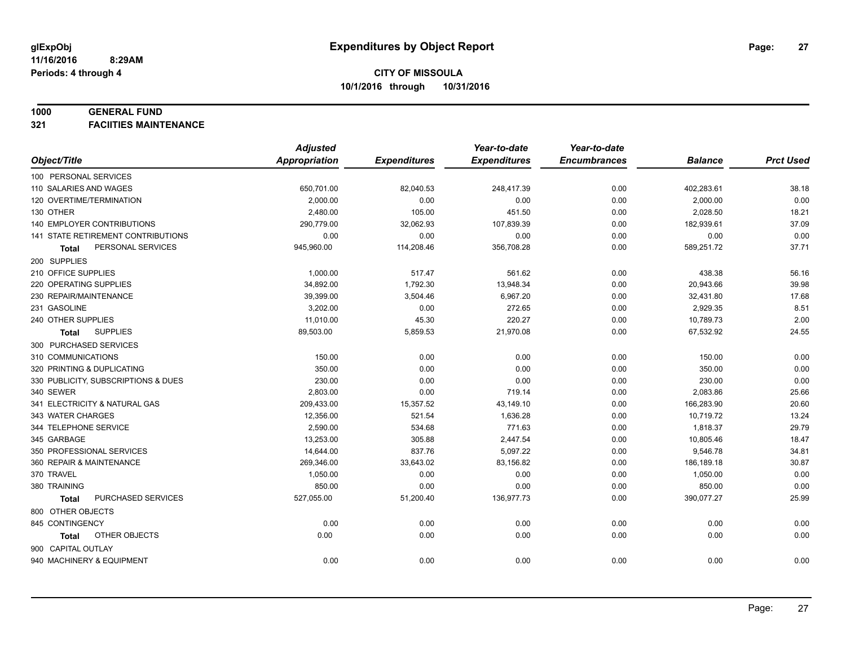#### **1000 GENERAL FUND**

**321 FACIITIES MAINTENANCE**

|                                     | <b>Adjusted</b>      |                     | Year-to-date        | Year-to-date        |                |                  |
|-------------------------------------|----------------------|---------------------|---------------------|---------------------|----------------|------------------|
| Object/Title                        | <b>Appropriation</b> | <b>Expenditures</b> | <b>Expenditures</b> | <b>Encumbrances</b> | <b>Balance</b> | <b>Prct Used</b> |
| 100 PERSONAL SERVICES               |                      |                     |                     |                     |                |                  |
| 110 SALARIES AND WAGES              | 650,701.00           | 82,040.53           | 248,417.39          | 0.00                | 402,283.61     | 38.18            |
| 120 OVERTIME/TERMINATION            | 2,000.00             | 0.00                | 0.00                | 0.00                | 2,000.00       | 0.00             |
| 130 OTHER                           | 2,480.00             | 105.00              | 451.50              | 0.00                | 2,028.50       | 18.21            |
| <b>140 EMPLOYER CONTRIBUTIONS</b>   | 290,779.00           | 32,062.93           | 107,839.39          | 0.00                | 182,939.61     | 37.09            |
| 141 STATE RETIREMENT CONTRIBUTIONS  | 0.00                 | 0.00                | 0.00                | 0.00                | 0.00           | 0.00             |
| PERSONAL SERVICES<br>Total          | 945,960.00           | 114,208.46          | 356,708.28          | 0.00                | 589,251.72     | 37.71            |
| 200 SUPPLIES                        |                      |                     |                     |                     |                |                  |
| 210 OFFICE SUPPLIES                 | 1,000.00             | 517.47              | 561.62              | 0.00                | 438.38         | 56.16            |
| 220 OPERATING SUPPLIES              | 34,892.00            | 1,792.30            | 13,948.34           | 0.00                | 20,943.66      | 39.98            |
| 230 REPAIR/MAINTENANCE              | 39,399.00            | 3,504.46            | 6,967.20            | 0.00                | 32,431.80      | 17.68            |
| 231 GASOLINE                        | 3,202.00             | 0.00                | 272.65              | 0.00                | 2,929.35       | 8.51             |
| 240 OTHER SUPPLIES                  | 11,010.00            | 45.30               | 220.27              | 0.00                | 10,789.73      | 2.00             |
| <b>SUPPLIES</b><br>Total            | 89,503.00            | 5,859.53            | 21,970.08           | 0.00                | 67,532.92      | 24.55            |
| 300 PURCHASED SERVICES              |                      |                     |                     |                     |                |                  |
| 310 COMMUNICATIONS                  | 150.00               | 0.00                | 0.00                | 0.00                | 150.00         | 0.00             |
| 320 PRINTING & DUPLICATING          | 350.00               | 0.00                | 0.00                | 0.00                | 350.00         | 0.00             |
| 330 PUBLICITY, SUBSCRIPTIONS & DUES | 230.00               | 0.00                | 0.00                | 0.00                | 230.00         | 0.00             |
| 340 SEWER                           | 2,803.00             | 0.00                | 719.14              | 0.00                | 2,083.86       | 25.66            |
| 341 ELECTRICITY & NATURAL GAS       | 209,433.00           | 15,357.52           | 43,149.10           | 0.00                | 166,283.90     | 20.60            |
| 343 WATER CHARGES                   | 12,356.00            | 521.54              | 1,636.28            | 0.00                | 10,719.72      | 13.24            |
| 344 TELEPHONE SERVICE               | 2,590.00             | 534.68              | 771.63              | 0.00                | 1,818.37       | 29.79            |
| 345 GARBAGE                         | 13,253.00            | 305.88              | 2,447.54            | 0.00                | 10,805.46      | 18.47            |
| 350 PROFESSIONAL SERVICES           | 14,644.00            | 837.76              | 5,097.22            | 0.00                | 9,546.78       | 34.81            |
| 360 REPAIR & MAINTENANCE            | 269,346.00           | 33,643.02           | 83,156.82           | 0.00                | 186,189.18     | 30.87            |
| 370 TRAVEL                          | 1,050.00             | 0.00                | 0.00                | 0.00                | 1,050.00       | 0.00             |
| 380 TRAINING                        | 850.00               | 0.00                | 0.00                | 0.00                | 850.00         | 0.00             |
| PURCHASED SERVICES<br>Total         | 527,055.00           | 51,200.40           | 136,977.73          | 0.00                | 390,077.27     | 25.99            |
| 800 OTHER OBJECTS                   |                      |                     |                     |                     |                |                  |
| 845 CONTINGENCY                     | 0.00                 | 0.00                | 0.00                | 0.00                | 0.00           | 0.00             |
| OTHER OBJECTS<br>Total              | 0.00                 | 0.00                | 0.00                | 0.00                | 0.00           | 0.00             |
| 900 CAPITAL OUTLAY                  |                      |                     |                     |                     |                |                  |
| 940 MACHINERY & EQUIPMENT           | 0.00                 | 0.00                | 0.00                | 0.00                | 0.00           | 0.00             |
|                                     |                      |                     |                     |                     |                |                  |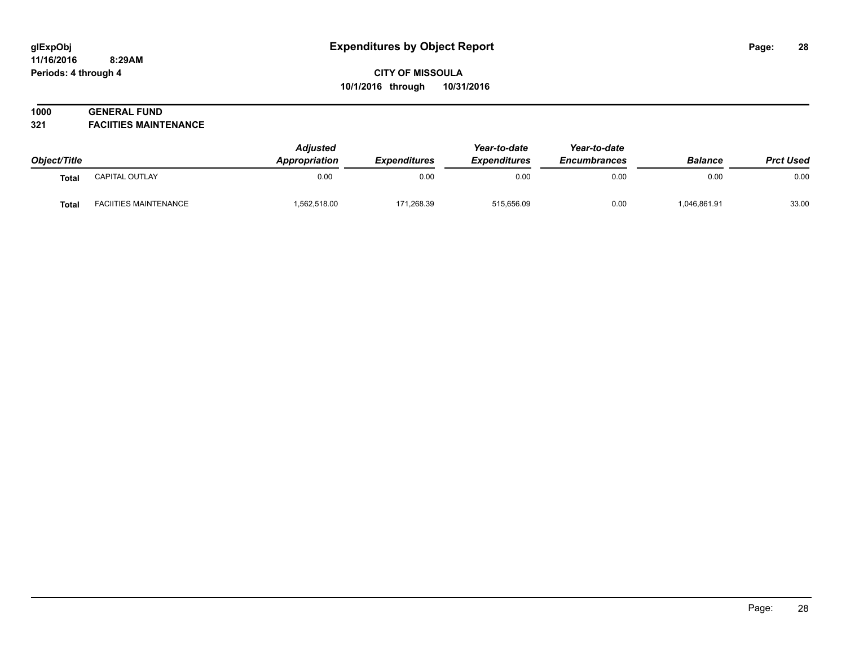#### **11/16/2016 8:29AM Periods: 4 through 4**

# **CITY OF MISSOULA 10/1/2016 through 10/31/2016**

# **1000 GENERAL FUND**

**321 FACIITIES MAINTENANCE**

| Object/Title |                              | <b>Adjusted</b><br>Appropriation | <b>Expenditures</b> | Year-to-date<br><b>Expenditures</b> | Year-to-date<br><b>Encumbrances</b> | <b>Balance</b> | <b>Prct Used</b> |
|--------------|------------------------------|----------------------------------|---------------------|-------------------------------------|-------------------------------------|----------------|------------------|
| <b>Total</b> | CAPITAL OUTLAY               | 0.00                             | 0.00                | 0.00                                | 0.00                                | 0.00           | 0.00             |
| <b>Total</b> | <b>FACIITIES MAINTENANCE</b> | .562,518.00                      | 171,268.39          | 515,656.09                          | 0.00                                | 1,046,861.91   | 33.00            |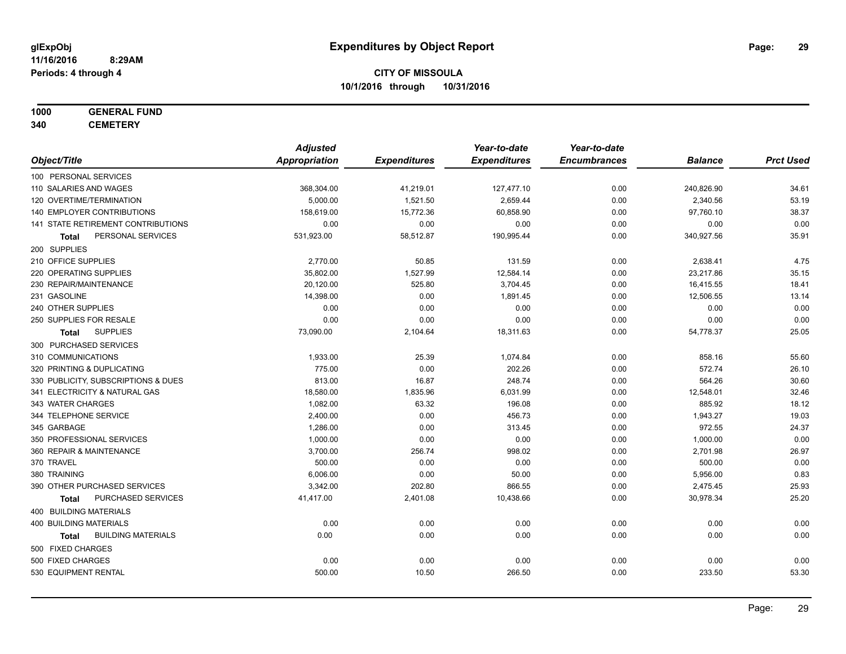# **1000 GENERAL FUND**

**340 CEMETERY**

|                                           | <b>Adjusted</b>      |                     | Year-to-date        | Year-to-date        |                |                  |
|-------------------------------------------|----------------------|---------------------|---------------------|---------------------|----------------|------------------|
| Object/Title                              | <b>Appropriation</b> | <b>Expenditures</b> | <b>Expenditures</b> | <b>Encumbrances</b> | <b>Balance</b> | <b>Prct Used</b> |
| 100 PERSONAL SERVICES                     |                      |                     |                     |                     |                |                  |
| 110 SALARIES AND WAGES                    | 368,304.00           | 41,219.01           | 127,477.10          | 0.00                | 240,826.90     | 34.61            |
| 120 OVERTIME/TERMINATION                  | 5,000.00             | 1,521.50            | 2,659.44            | 0.00                | 2,340.56       | 53.19            |
| 140 EMPLOYER CONTRIBUTIONS                | 158,619.00           | 15,772.36           | 60,858.90           | 0.00                | 97,760.10      | 38.37            |
| 141 STATE RETIREMENT CONTRIBUTIONS        | 0.00                 | 0.00                | 0.00                | 0.00                | 0.00           | 0.00             |
| PERSONAL SERVICES<br>Total                | 531,923.00           | 58,512.87           | 190,995.44          | 0.00                | 340,927.56     | 35.91            |
| 200 SUPPLIES                              |                      |                     |                     |                     |                |                  |
| 210 OFFICE SUPPLIES                       | 2,770.00             | 50.85               | 131.59              | 0.00                | 2,638.41       | 4.75             |
| 220 OPERATING SUPPLIES                    | 35,802.00            | 1,527.99            | 12,584.14           | 0.00                | 23,217.86      | 35.15            |
| 230 REPAIR/MAINTENANCE                    | 20,120.00            | 525.80              | 3,704.45            | 0.00                | 16,415.55      | 18.41            |
| 231 GASOLINE                              | 14,398.00            | 0.00                | 1,891.45            | 0.00                | 12,506.55      | 13.14            |
| 240 OTHER SUPPLIES                        | 0.00                 | 0.00                | 0.00                | 0.00                | 0.00           | 0.00             |
| 250 SUPPLIES FOR RESALE                   | 0.00                 | 0.00                | 0.00                | 0.00                | 0.00           | 0.00             |
| <b>SUPPLIES</b><br>Total                  | 73,090.00            | 2,104.64            | 18,311.63           | 0.00                | 54,778.37      | 25.05            |
| 300 PURCHASED SERVICES                    |                      |                     |                     |                     |                |                  |
| 310 COMMUNICATIONS                        | 1,933.00             | 25.39               | 1,074.84            | 0.00                | 858.16         | 55.60            |
| 320 PRINTING & DUPLICATING                | 775.00               | 0.00                | 202.26              | 0.00                | 572.74         | 26.10            |
| 330 PUBLICITY, SUBSCRIPTIONS & DUES       | 813.00               | 16.87               | 248.74              | 0.00                | 564.26         | 30.60            |
| 341 ELECTRICITY & NATURAL GAS             | 18,580.00            | 1,835.96            | 6,031.99            | 0.00                | 12,548.01      | 32.46            |
| 343 WATER CHARGES                         | 1,082.00             | 63.32               | 196.08              | 0.00                | 885.92         | 18.12            |
| 344 TELEPHONE SERVICE                     | 2,400.00             | 0.00                | 456.73              | 0.00                | 1,943.27       | 19.03            |
| 345 GARBAGE                               | 1,286.00             | 0.00                | 313.45              | 0.00                | 972.55         | 24.37            |
| 350 PROFESSIONAL SERVICES                 | 1,000.00             | 0.00                | 0.00                | 0.00                | 1,000.00       | 0.00             |
| 360 REPAIR & MAINTENANCE                  | 3,700.00             | 256.74              | 998.02              | 0.00                | 2,701.98       | 26.97            |
| 370 TRAVEL                                | 500.00               | 0.00                | 0.00                | 0.00                | 500.00         | 0.00             |
| 380 TRAINING                              | 6,006.00             | 0.00                | 50.00               | 0.00                | 5,956.00       | 0.83             |
| 390 OTHER PURCHASED SERVICES              | 3,342.00             | 202.80              | 866.55              | 0.00                | 2,475.45       | 25.93            |
| PURCHASED SERVICES<br><b>Total</b>        | 41,417.00            | 2,401.08            | 10,438.66           | 0.00                | 30,978.34      | 25.20            |
| 400 BUILDING MATERIALS                    |                      |                     |                     |                     |                |                  |
| 400 BUILDING MATERIALS                    | 0.00                 | 0.00                | 0.00                | 0.00                | 0.00           | 0.00             |
| <b>BUILDING MATERIALS</b><br><b>Total</b> | 0.00                 | 0.00                | 0.00                | 0.00                | 0.00           | 0.00             |
| 500 FIXED CHARGES                         |                      |                     |                     |                     |                |                  |
| 500 FIXED CHARGES                         | 0.00                 | 0.00                | 0.00                | 0.00                | 0.00           | 0.00             |
| 530 EQUIPMENT RENTAL                      | 500.00               | 10.50               | 266.50              | 0.00                | 233.50         | 53.30            |
|                                           |                      |                     |                     |                     |                |                  |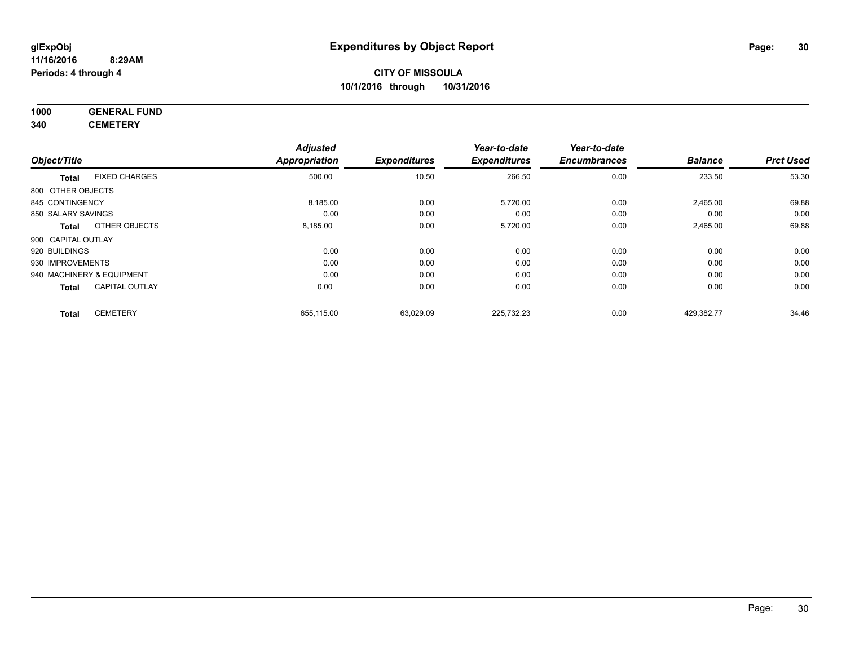#### **1000 GENERAL FUND 340 CEMETERY**

|                           |                       | <b>Adjusted</b>      |                     | Year-to-date        | Year-to-date        |                |                  |
|---------------------------|-----------------------|----------------------|---------------------|---------------------|---------------------|----------------|------------------|
| Object/Title              |                       | <b>Appropriation</b> | <b>Expenditures</b> | <b>Expenditures</b> | <b>Encumbrances</b> | <b>Balance</b> | <b>Prct Used</b> |
| <b>Total</b>              | <b>FIXED CHARGES</b>  | 500.00               | 10.50               | 266.50              | 0.00                | 233.50         | 53.30            |
| 800 OTHER OBJECTS         |                       |                      |                     |                     |                     |                |                  |
| 845 CONTINGENCY           |                       | 8,185.00             | 0.00                | 5,720.00            | 0.00                | 2,465.00       | 69.88            |
| 850 SALARY SAVINGS        |                       | 0.00                 | 0.00                | 0.00                | 0.00                | 0.00           | 0.00             |
| <b>Total</b>              | OTHER OBJECTS         | 8,185.00             | 0.00                | 5,720.00            | 0.00                | 2,465.00       | 69.88            |
| 900 CAPITAL OUTLAY        |                       |                      |                     |                     |                     |                |                  |
| 920 BUILDINGS             |                       | 0.00                 | 0.00                | 0.00                | 0.00                | 0.00           | 0.00             |
| 930 IMPROVEMENTS          |                       | 0.00                 | 0.00                | 0.00                | 0.00                | 0.00           | 0.00             |
| 940 MACHINERY & EQUIPMENT |                       | 0.00                 | 0.00                | 0.00                | 0.00                | 0.00           | 0.00             |
| <b>Total</b>              | <b>CAPITAL OUTLAY</b> | 0.00                 | 0.00                | 0.00                | 0.00                | 0.00           | 0.00             |
| <b>Total</b>              | <b>CEMETERY</b>       | 655,115.00           | 63,029.09           | 225,732.23          | 0.00                | 429,382.77     | 34.46            |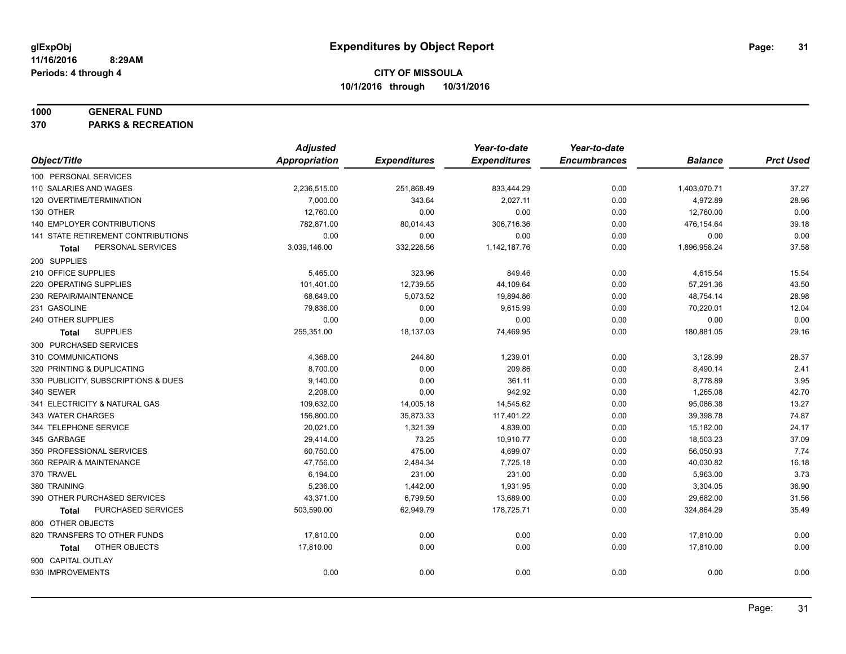#### **1000 GENERAL FUND**

**370 PARKS & RECREATION**

|                                     | <b>Adjusted</b> |                     | Year-to-date        | Year-to-date        |                |                  |
|-------------------------------------|-----------------|---------------------|---------------------|---------------------|----------------|------------------|
| Object/Title                        | Appropriation   | <b>Expenditures</b> | <b>Expenditures</b> | <b>Encumbrances</b> | <b>Balance</b> | <b>Prct Used</b> |
| 100 PERSONAL SERVICES               |                 |                     |                     |                     |                |                  |
| 110 SALARIES AND WAGES              | 2,236,515.00    | 251,868.49          | 833,444.29          | 0.00                | 1,403,070.71   | 37.27            |
| 120 OVERTIME/TERMINATION            | 7,000.00        | 343.64              | 2,027.11            | 0.00                | 4,972.89       | 28.96            |
| 130 OTHER                           | 12,760.00       | 0.00                | 0.00                | 0.00                | 12,760.00      | 0.00             |
| 140 EMPLOYER CONTRIBUTIONS          | 782,871.00      | 80,014.43           | 306,716.36          | 0.00                | 476,154.64     | 39.18            |
| 141 STATE RETIREMENT CONTRIBUTIONS  | 0.00            | 0.00                | 0.00                | 0.00                | 0.00           | 0.00             |
| PERSONAL SERVICES<br>Total          | 3,039,146.00    | 332,226.56          | 1,142,187.76        | 0.00                | 1,896,958.24   | 37.58            |
| 200 SUPPLIES                        |                 |                     |                     |                     |                |                  |
| 210 OFFICE SUPPLIES                 | 5,465.00        | 323.96              | 849.46              | 0.00                | 4,615.54       | 15.54            |
| 220 OPERATING SUPPLIES              | 101,401.00      | 12,739.55           | 44,109.64           | 0.00                | 57,291.36      | 43.50            |
| 230 REPAIR/MAINTENANCE              | 68,649.00       | 5,073.52            | 19,894.86           | 0.00                | 48,754.14      | 28.98            |
| 231 GASOLINE                        | 79,836.00       | 0.00                | 9,615.99            | 0.00                | 70,220.01      | 12.04            |
| 240 OTHER SUPPLIES                  | 0.00            | 0.00                | 0.00                | 0.00                | 0.00           | 0.00             |
| <b>SUPPLIES</b><br>Total            | 255,351.00      | 18,137.03           | 74,469.95           | 0.00                | 180,881.05     | 29.16            |
| 300 PURCHASED SERVICES              |                 |                     |                     |                     |                |                  |
| 310 COMMUNICATIONS                  | 4,368.00        | 244.80              | 1,239.01            | 0.00                | 3,128.99       | 28.37            |
| 320 PRINTING & DUPLICATING          | 8,700.00        | 0.00                | 209.86              | 0.00                | 8,490.14       | 2.41             |
| 330 PUBLICITY, SUBSCRIPTIONS & DUES | 9,140.00        | 0.00                | 361.11              | 0.00                | 8,778.89       | 3.95             |
| 340 SEWER                           | 2,208.00        | 0.00                | 942.92              | 0.00                | 1,265.08       | 42.70            |
| 341 ELECTRICITY & NATURAL GAS       | 109,632.00      | 14,005.18           | 14,545.62           | 0.00                | 95,086.38      | 13.27            |
| 343 WATER CHARGES                   | 156,800.00      | 35,873.33           | 117,401.22          | 0.00                | 39,398.78      | 74.87            |
| 344 TELEPHONE SERVICE               | 20,021.00       | 1,321.39            | 4,839.00            | 0.00                | 15,182.00      | 24.17            |
| 345 GARBAGE                         | 29,414.00       | 73.25               | 10,910.77           | 0.00                | 18,503.23      | 37.09            |
| 350 PROFESSIONAL SERVICES           | 60,750.00       | 475.00              | 4,699.07            | 0.00                | 56,050.93      | 7.74             |
| 360 REPAIR & MAINTENANCE            | 47,756.00       | 2,484.34            | 7,725.18            | 0.00                | 40,030.82      | 16.18            |
| 370 TRAVEL                          | 6,194.00        | 231.00              | 231.00              | 0.00                | 5,963.00       | 3.73             |
| 380 TRAINING                        | 5,236.00        | 1,442.00            | 1,931.95            | 0.00                | 3,304.05       | 36.90            |
| 390 OTHER PURCHASED SERVICES        | 43,371.00       | 6,799.50            | 13,689.00           | 0.00                | 29,682.00      | 31.56            |
| PURCHASED SERVICES<br>Total         | 503,590.00      | 62,949.79           | 178,725.71          | 0.00                | 324,864.29     | 35.49            |
| 800 OTHER OBJECTS                   |                 |                     |                     |                     |                |                  |
| 820 TRANSFERS TO OTHER FUNDS        | 17,810.00       | 0.00                | 0.00                | 0.00                | 17,810.00      | 0.00             |
| OTHER OBJECTS<br>Total              | 17,810.00       | 0.00                | 0.00                | 0.00                | 17,810.00      | 0.00             |
| 900 CAPITAL OUTLAY                  |                 |                     |                     |                     |                |                  |
| 930 IMPROVEMENTS                    | 0.00            | 0.00                | 0.00                | 0.00                | 0.00           | 0.00             |
|                                     |                 |                     |                     |                     |                |                  |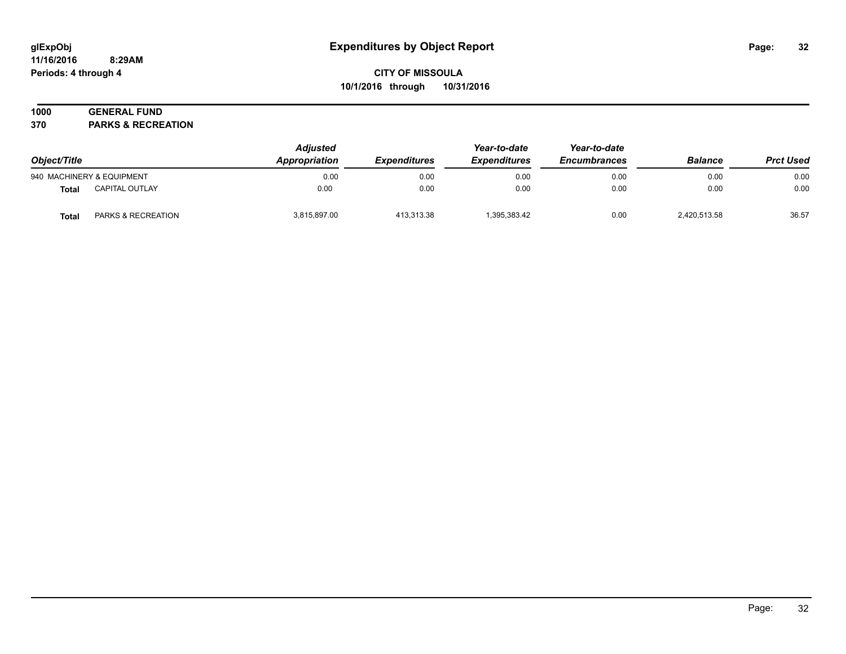#### **11/16/2016 8:29AM Periods: 4 through 4**

# **CITY OF MISSOULA 10/1/2016 through 10/31/2016**

# **1000 GENERAL FUND**

**370 PARKS & RECREATION**

| Object/Title |                               | <b>Adjusted</b><br><b>Appropriation</b> | <b>Expenditures</b> | Year-to-date<br><b>Expenditures</b> | Year-to-date<br><b>Encumbrances</b> | <b>Balance</b> | <b>Prct Used</b> |
|--------------|-------------------------------|-----------------------------------------|---------------------|-------------------------------------|-------------------------------------|----------------|------------------|
|              | 940 MACHINERY & EQUIPMENT     | 0.00                                    | 0.00                | 0.00                                | 0.00                                | 0.00           | 0.00             |
| <b>Total</b> | <b>CAPITAL OUTLAY</b>         | 0.00                                    | 0.00                | 0.00                                | 0.00                                | 0.00           | 0.00             |
| Total        | <b>PARKS &amp; RECREATION</b> | 3,815,897.00                            | 413.313.38          | 1,395,383.42                        | 0.00                                | 2,420,513.58   | 36.57            |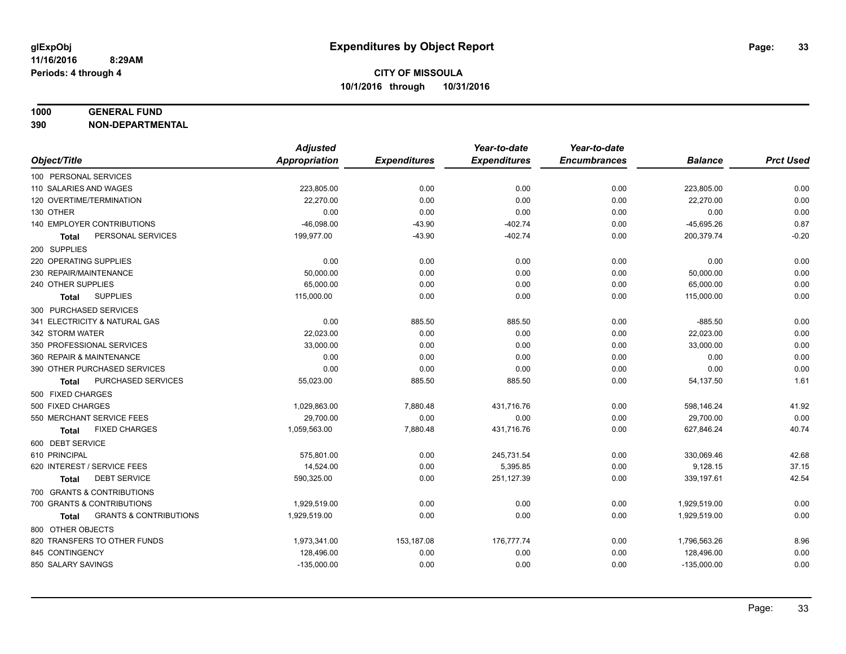#### **1000 GENERAL FUND**

**390 NON-DEPARTMENTAL**

|                                                   | <b>Adjusted</b> |                     | Year-to-date        | Year-to-date        |                |                  |
|---------------------------------------------------|-----------------|---------------------|---------------------|---------------------|----------------|------------------|
| Object/Title                                      | Appropriation   | <b>Expenditures</b> | <b>Expenditures</b> | <b>Encumbrances</b> | <b>Balance</b> | <b>Prct Used</b> |
| 100 PERSONAL SERVICES                             |                 |                     |                     |                     |                |                  |
| 110 SALARIES AND WAGES                            | 223,805.00      | 0.00                | 0.00                | 0.00                | 223,805.00     | 0.00             |
| 120 OVERTIME/TERMINATION                          | 22,270.00       | 0.00                | 0.00                | 0.00                | 22,270.00      | 0.00             |
| 130 OTHER                                         | 0.00            | 0.00                | 0.00                | 0.00                | 0.00           | 0.00             |
| 140 EMPLOYER CONTRIBUTIONS                        | $-46,098.00$    | $-43.90$            | $-402.74$           | 0.00                | $-45,695.26$   | 0.87             |
| PERSONAL SERVICES<br>Total                        | 199,977.00      | $-43.90$            | $-402.74$           | 0.00                | 200,379.74     | $-0.20$          |
| 200 SUPPLIES                                      |                 |                     |                     |                     |                |                  |
| 220 OPERATING SUPPLIES                            | 0.00            | 0.00                | 0.00                | 0.00                | 0.00           | 0.00             |
| 230 REPAIR/MAINTENANCE                            | 50,000.00       | 0.00                | 0.00                | 0.00                | 50,000.00      | 0.00             |
| 240 OTHER SUPPLIES                                | 65,000.00       | 0.00                | 0.00                | 0.00                | 65,000.00      | 0.00             |
| <b>SUPPLIES</b><br><b>Total</b>                   | 115,000.00      | 0.00                | 0.00                | 0.00                | 115,000.00     | 0.00             |
| 300 PURCHASED SERVICES                            |                 |                     |                     |                     |                |                  |
| 341 ELECTRICITY & NATURAL GAS                     | 0.00            | 885.50              | 885.50              | 0.00                | $-885.50$      | 0.00             |
| 342 STORM WATER                                   | 22,023.00       | 0.00                | 0.00                | 0.00                | 22,023.00      | 0.00             |
| 350 PROFESSIONAL SERVICES                         | 33,000.00       | 0.00                | 0.00                | 0.00                | 33,000.00      | 0.00             |
| 360 REPAIR & MAINTENANCE                          | 0.00            | 0.00                | 0.00                | 0.00                | 0.00           | 0.00             |
| 390 OTHER PURCHASED SERVICES                      | 0.00            | 0.00                | 0.00                | 0.00                | 0.00           | 0.00             |
| PURCHASED SERVICES<br>Total                       | 55,023.00       | 885.50              | 885.50              | 0.00                | 54,137.50      | 1.61             |
| 500 FIXED CHARGES                                 |                 |                     |                     |                     |                |                  |
| 500 FIXED CHARGES                                 | 1,029,863.00    | 7.880.48            | 431,716.76          | 0.00                | 598,146.24     | 41.92            |
| 550 MERCHANT SERVICE FEES                         | 29,700.00       | 0.00                | 0.00                | 0.00                | 29,700.00      | 0.00             |
| <b>FIXED CHARGES</b><br><b>Total</b>              | 1,059,563.00    | 7,880.48            | 431,716.76          | 0.00                | 627,846.24     | 40.74            |
| 600 DEBT SERVICE                                  |                 |                     |                     |                     |                |                  |
| 610 PRINCIPAL                                     | 575,801.00      | 0.00                | 245,731.54          | 0.00                | 330,069.46     | 42.68            |
| 620 INTEREST / SERVICE FEES                       | 14,524.00       | 0.00                | 5,395.85            | 0.00                | 9,128.15       | 37.15            |
| <b>DEBT SERVICE</b><br><b>Total</b>               | 590,325.00      | 0.00                | 251,127.39          | 0.00                | 339,197.61     | 42.54            |
| 700 GRANTS & CONTRIBUTIONS                        |                 |                     |                     |                     |                |                  |
| 700 GRANTS & CONTRIBUTIONS                        | 1,929,519.00    | 0.00                | 0.00                | 0.00                | 1,929,519.00   | 0.00             |
| <b>GRANTS &amp; CONTRIBUTIONS</b><br><b>Total</b> | 1,929,519.00    | 0.00                | 0.00                | 0.00                | 1,929,519.00   | 0.00             |
| 800 OTHER OBJECTS                                 |                 |                     |                     |                     |                |                  |
| 820 TRANSFERS TO OTHER FUNDS                      | 1,973,341.00    | 153,187.08          | 176,777.74          | 0.00                | 1,796,563.26   | 8.96             |
| 845 CONTINGENCY                                   | 128,496.00      | 0.00                | 0.00                | 0.00                | 128,496.00     | 0.00             |
| 850 SALARY SAVINGS                                | $-135,000.00$   | 0.00                | 0.00                | 0.00                | $-135,000.00$  | 0.00             |
|                                                   |                 |                     |                     |                     |                |                  |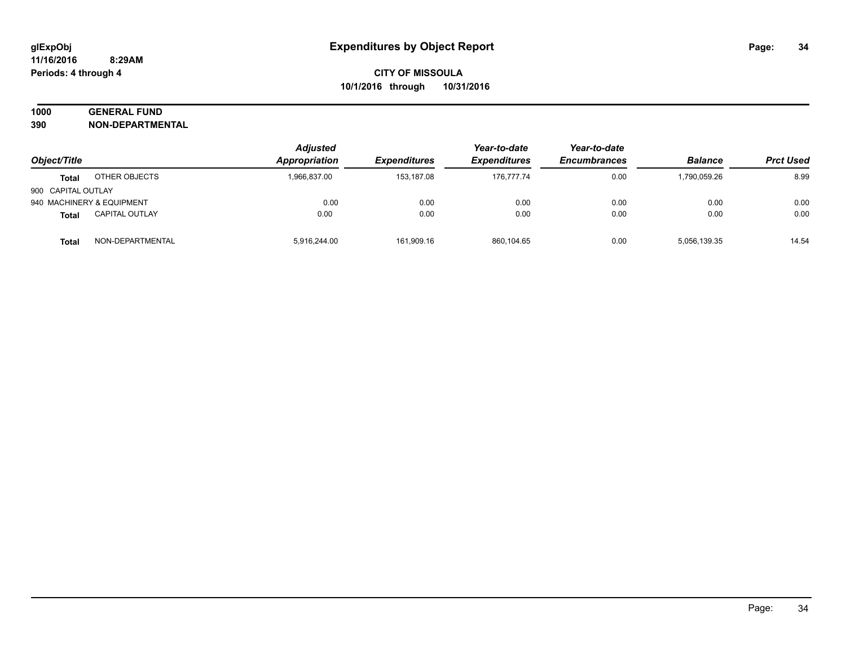# **1000 GENERAL FUND**

**390 NON-DEPARTMENTAL**

| Object/Title              |                       | <b>Adjusted</b> | Year-to-date<br>Appropriation<br><b>Expenditures</b><br><b>Expenditures</b> | Year-to-date |                     |                |                  |
|---------------------------|-----------------------|-----------------|-----------------------------------------------------------------------------|--------------|---------------------|----------------|------------------|
|                           |                       |                 |                                                                             |              | <b>Encumbrances</b> | <b>Balance</b> | <b>Prct Used</b> |
| Total                     | OTHER OBJECTS         | 1,966,837.00    | 153.187.08                                                                  | 176.777.74   | 0.00                | 1.790.059.26   | 8.99             |
| 900 CAPITAL OUTLAY        |                       |                 |                                                                             |              |                     |                |                  |
| 940 MACHINERY & EQUIPMENT |                       | 0.00            | 0.00                                                                        | 0.00         | 0.00                | 0.00           | 0.00             |
| <b>Total</b>              | <b>CAPITAL OUTLAY</b> | 0.00            | 0.00                                                                        | 0.00         | 0.00                | 0.00           | 0.00             |
| <b>Total</b>              | NON-DEPARTMENTAL      | 5,916,244.00    | 161,909.16                                                                  | 860,104.65   | 0.00                | 5,056,139.35   | 14.54            |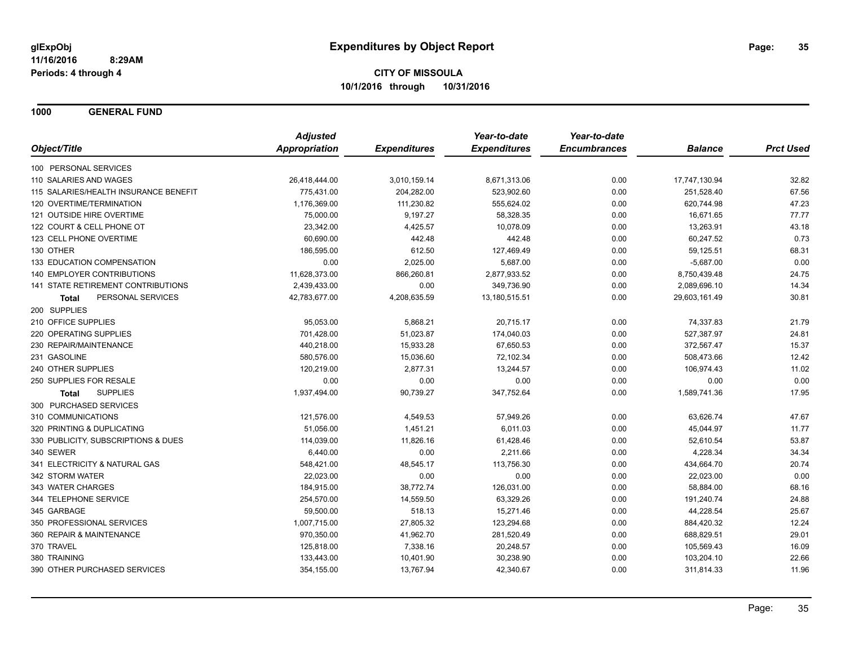**1000 GENERAL FUND**

|                                       | <b>Adjusted</b> |                     | Year-to-date        | Year-to-date        |                |                  |
|---------------------------------------|-----------------|---------------------|---------------------|---------------------|----------------|------------------|
| Object/Title                          | Appropriation   | <b>Expenditures</b> | <b>Expenditures</b> | <b>Encumbrances</b> | <b>Balance</b> | <b>Prct Used</b> |
| 100 PERSONAL SERVICES                 |                 |                     |                     |                     |                |                  |
| 110 SALARIES AND WAGES                | 26,418,444.00   | 3,010,159.14        | 8,671,313.06        | 0.00                | 17,747,130.94  | 32.82            |
| 115 SALARIES/HEALTH INSURANCE BENEFIT | 775,431.00      | 204,282.00          | 523,902.60          | 0.00                | 251,528.40     | 67.56            |
| 120 OVERTIME/TERMINATION              | 1,176,369.00    | 111,230.82          | 555,624.02          | 0.00                | 620,744.98     | 47.23            |
| 121 OUTSIDE HIRE OVERTIME             | 75,000.00       | 9,197.27            | 58,328.35           | 0.00                | 16,671.65      | 77.77            |
| 122 COURT & CELL PHONE OT             | 23,342.00       | 4,425.57            | 10,078.09           | 0.00                | 13,263.91      | 43.18            |
| 123 CELL PHONE OVERTIME               | 60,690.00       | 442.48              | 442.48              | 0.00                | 60,247.52      | 0.73             |
| 130 OTHER                             | 186,595.00      | 612.50              | 127,469.49          | 0.00                | 59,125.51      | 68.31            |
| 133 EDUCATION COMPENSATION            | 0.00            | 2,025.00            | 5,687.00            | 0.00                | $-5,687.00$    | 0.00             |
| 140 EMPLOYER CONTRIBUTIONS            | 11,628,373.00   | 866,260.81          | 2,877,933.52        | 0.00                | 8,750,439.48   | 24.75            |
| 141 STATE RETIREMENT CONTRIBUTIONS    | 2,439,433.00    | 0.00                | 349,736.90          | 0.00                | 2,089,696.10   | 14.34            |
| PERSONAL SERVICES<br>Total            | 42,783,677.00   | 4,208,635.59        | 13,180,515.51       | 0.00                | 29,603,161.49  | 30.81            |
| 200 SUPPLIES                          |                 |                     |                     |                     |                |                  |
| 210 OFFICE SUPPLIES                   | 95,053.00       | 5,868.21            | 20,715.17           | 0.00                | 74,337.83      | 21.79            |
| 220 OPERATING SUPPLIES                | 701,428.00      | 51,023.87           | 174,040.03          | 0.00                | 527,387.97     | 24.81            |
| 230 REPAIR/MAINTENANCE                | 440,218.00      | 15,933.28           | 67,650.53           | 0.00                | 372,567.47     | 15.37            |
| 231 GASOLINE                          | 580,576.00      | 15,036.60           | 72,102.34           | 0.00                | 508,473.66     | 12.42            |
| 240 OTHER SUPPLIES                    | 120,219.00      | 2,877.31            | 13,244.57           | 0.00                | 106,974.43     | 11.02            |
| 250 SUPPLIES FOR RESALE               | 0.00            | 0.00                | 0.00                | 0.00                | 0.00           | 0.00             |
| <b>SUPPLIES</b><br>Total              | 1,937,494.00    | 90,739.27           | 347,752.64          | 0.00                | 1,589,741.36   | 17.95            |
| 300 PURCHASED SERVICES                |                 |                     |                     |                     |                |                  |
| 310 COMMUNICATIONS                    | 121,576.00      | 4,549.53            | 57,949.26           | 0.00                | 63,626.74      | 47.67            |
| 320 PRINTING & DUPLICATING            | 51,056.00       | 1,451.21            | 6,011.03            | 0.00                | 45,044.97      | 11.77            |
| 330 PUBLICITY, SUBSCRIPTIONS & DUES   | 114,039.00      | 11,826.16           | 61,428.46           | 0.00                | 52,610.54      | 53.87            |
| 340 SEWER                             | 6,440.00        | 0.00                | 2,211.66            | 0.00                | 4,228.34       | 34.34            |
| 341 ELECTRICITY & NATURAL GAS         | 548,421.00      | 48,545.17           | 113,756.30          | 0.00                | 434,664.70     | 20.74            |
| 342 STORM WATER                       | 22,023.00       | 0.00                | 0.00                | 0.00                | 22,023.00      | 0.00             |
| 343 WATER CHARGES                     | 184,915.00      | 38,772.74           | 126,031.00          | 0.00                | 58,884.00      | 68.16            |
| 344 TELEPHONE SERVICE                 | 254,570.00      | 14,559.50           | 63,329.26           | 0.00                | 191,240.74     | 24.88            |
| 345 GARBAGE                           | 59,500.00       | 518.13              | 15,271.46           | 0.00                | 44,228.54      | 25.67            |
| 350 PROFESSIONAL SERVICES             | 1,007,715.00    | 27,805.32           | 123,294.68          | 0.00                | 884,420.32     | 12.24            |
| 360 REPAIR & MAINTENANCE              | 970,350.00      | 41,962.70           | 281,520.49          | 0.00                | 688,829.51     | 29.01            |
| 370 TRAVEL                            | 125,818.00      | 7,338.16            | 20,248.57           | 0.00                | 105,569.43     | 16.09            |
| 380 TRAINING                          | 133,443.00      | 10,401.90           | 30,238.90           | 0.00                | 103,204.10     | 22.66            |
| 390 OTHER PURCHASED SERVICES          | 354,155.00      | 13,767.94           | 42,340.67           | 0.00                | 311,814.33     | 11.96            |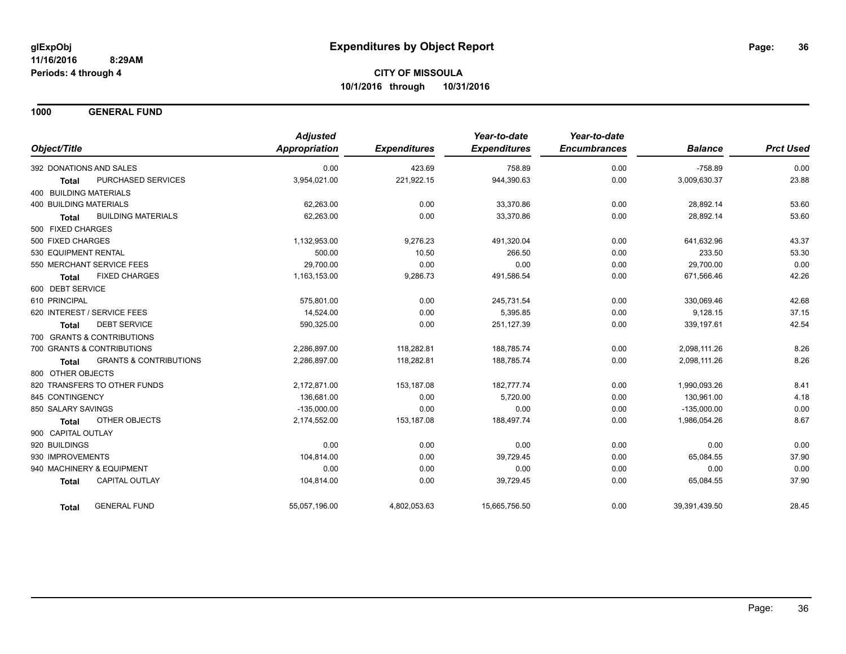**1000 GENERAL FUND**

|                              |                                   | <b>Adjusted</b> |                     | Year-to-date        | Year-to-date        |                |                  |
|------------------------------|-----------------------------------|-----------------|---------------------|---------------------|---------------------|----------------|------------------|
| Object/Title                 |                                   | Appropriation   | <b>Expenditures</b> | <b>Expenditures</b> | <b>Encumbrances</b> | <b>Balance</b> | <b>Prct Used</b> |
| 392 DONATIONS AND SALES      |                                   | 0.00            | 423.69              | 758.89              | 0.00                | $-758.89$      | 0.00             |
| <b>Total</b>                 | PURCHASED SERVICES                | 3,954,021.00    | 221,922.15          | 944,390.63          | 0.00                | 3,009,630.37   | 23.88            |
| 400 BUILDING MATERIALS       |                                   |                 |                     |                     |                     |                |                  |
| 400 BUILDING MATERIALS       |                                   | 62,263.00       | 0.00                | 33,370.86           | 0.00                | 28,892.14      | 53.60            |
| <b>Total</b>                 | <b>BUILDING MATERIALS</b>         | 62.263.00       | 0.00                | 33.370.86           | 0.00                | 28.892.14      | 53.60            |
| 500 FIXED CHARGES            |                                   |                 |                     |                     |                     |                |                  |
| 500 FIXED CHARGES            |                                   | 1,132,953.00    | 9,276.23            | 491,320.04          | 0.00                | 641,632.96     | 43.37            |
| 530 EQUIPMENT RENTAL         |                                   | 500.00          | 10.50               | 266.50              | 0.00                | 233.50         | 53.30            |
| 550 MERCHANT SERVICE FEES    |                                   | 29,700.00       | 0.00                | 0.00                | 0.00                | 29,700.00      | 0.00             |
| <b>Total</b>                 | <b>FIXED CHARGES</b>              | 1,163,153.00    | 9,286.73            | 491,586.54          | 0.00                | 671,566.46     | 42.26            |
| 600 DEBT SERVICE             |                                   |                 |                     |                     |                     |                |                  |
| 610 PRINCIPAL                |                                   | 575,801.00      | 0.00                | 245.731.54          | 0.00                | 330.069.46     | 42.68            |
| 620 INTEREST / SERVICE FEES  |                                   | 14,524.00       | 0.00                | 5,395.85            | 0.00                | 9,128.15       | 37.15            |
| <b>Total</b>                 | <b>DEBT SERVICE</b>               | 590,325.00      | 0.00                | 251,127.39          | 0.00                | 339,197.61     | 42.54            |
| 700 GRANTS & CONTRIBUTIONS   |                                   |                 |                     |                     |                     |                |                  |
| 700 GRANTS & CONTRIBUTIONS   |                                   | 2,286,897.00    | 118,282.81          | 188,785.74          | 0.00                | 2,098,111.26   | 8.26             |
| Total                        | <b>GRANTS &amp; CONTRIBUTIONS</b> | 2,286,897.00    | 118,282.81          | 188,785.74          | 0.00                | 2,098,111.26   | 8.26             |
| 800 OTHER OBJECTS            |                                   |                 |                     |                     |                     |                |                  |
| 820 TRANSFERS TO OTHER FUNDS |                                   | 2.172.871.00    | 153,187.08          | 182.777.74          | 0.00                | 1.990.093.26   | 8.41             |
| 845 CONTINGENCY              |                                   | 136,681.00      | 0.00                | 5,720.00            | 0.00                | 130,961.00     | 4.18             |
| 850 SALARY SAVINGS           |                                   | $-135,000.00$   | 0.00                | 0.00                | 0.00                | $-135,000.00$  | 0.00             |
| <b>Total</b>                 | <b>OTHER OBJECTS</b>              | 2,174,552.00    | 153,187.08          | 188,497.74          | 0.00                | 1,986,054.26   | 8.67             |
| 900 CAPITAL OUTLAY           |                                   |                 |                     |                     |                     |                |                  |
| 920 BUILDINGS                |                                   | 0.00            | 0.00                | 0.00                | 0.00                | 0.00           | 0.00             |
| 930 IMPROVEMENTS             |                                   | 104.814.00      | 0.00                | 39,729.45           | 0.00                | 65,084.55      | 37.90            |
| 940 MACHINERY & EQUIPMENT    |                                   | 0.00            | 0.00                | 0.00                | 0.00                | 0.00           | 0.00             |
| <b>Total</b>                 | <b>CAPITAL OUTLAY</b>             | 104,814.00      | 0.00                | 39,729.45           | 0.00                | 65,084.55      | 37.90            |
| Total                        | <b>GENERAL FUND</b>               | 55,057,196.00   | 4,802,053.63        | 15,665,756.50       | 0.00                | 39,391,439.50  | 28.45            |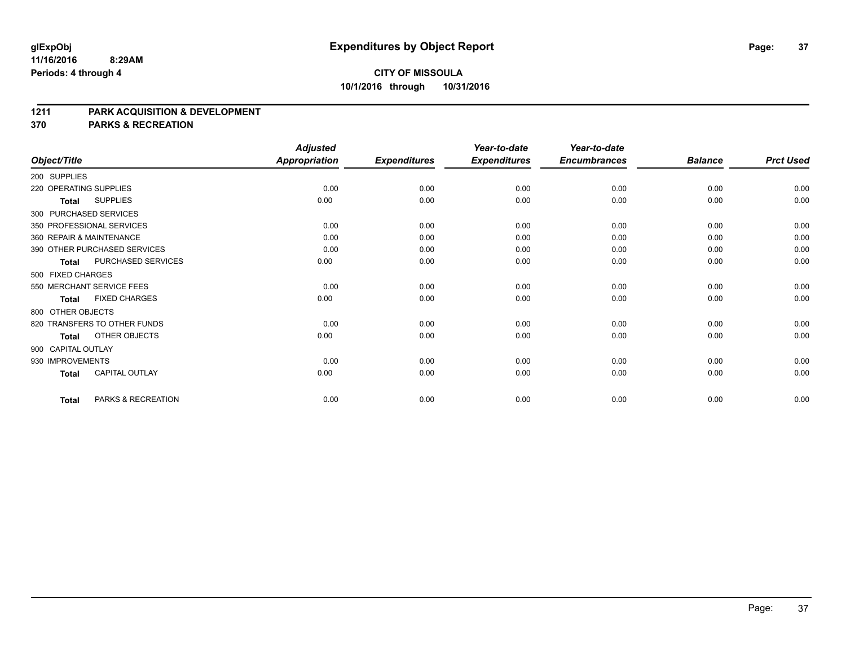#### **1211 PARK ACQUISITION & DEVELOPMENT**

**370 PARKS & RECREATION**

|                          |                              | <b>Adjusted</b>      |                     | Year-to-date        | Year-to-date        |                |                  |
|--------------------------|------------------------------|----------------------|---------------------|---------------------|---------------------|----------------|------------------|
| Object/Title             |                              | <b>Appropriation</b> | <b>Expenditures</b> | <b>Expenditures</b> | <b>Encumbrances</b> | <b>Balance</b> | <b>Prct Used</b> |
| 200 SUPPLIES             |                              |                      |                     |                     |                     |                |                  |
| 220 OPERATING SUPPLIES   |                              | 0.00                 | 0.00                | 0.00                | 0.00                | 0.00           | 0.00             |
| <b>Total</b>             | <b>SUPPLIES</b>              | 0.00                 | 0.00                | 0.00                | 0.00                | 0.00           | 0.00             |
| 300 PURCHASED SERVICES   |                              |                      |                     |                     |                     |                |                  |
|                          | 350 PROFESSIONAL SERVICES    | 0.00                 | 0.00                | 0.00                | 0.00                | 0.00           | 0.00             |
| 360 REPAIR & MAINTENANCE |                              | 0.00                 | 0.00                | 0.00                | 0.00                | 0.00           | 0.00             |
|                          | 390 OTHER PURCHASED SERVICES | 0.00                 | 0.00                | 0.00                | 0.00                | 0.00           | 0.00             |
| <b>Total</b>             | PURCHASED SERVICES           | 0.00                 | 0.00                | 0.00                | 0.00                | 0.00           | 0.00             |
| 500 FIXED CHARGES        |                              |                      |                     |                     |                     |                |                  |
|                          | 550 MERCHANT SERVICE FEES    | 0.00                 | 0.00                | 0.00                | 0.00                | 0.00           | 0.00             |
| <b>Total</b>             | <b>FIXED CHARGES</b>         | 0.00                 | 0.00                | 0.00                | 0.00                | 0.00           | 0.00             |
| 800 OTHER OBJECTS        |                              |                      |                     |                     |                     |                |                  |
|                          | 820 TRANSFERS TO OTHER FUNDS | 0.00                 | 0.00                | 0.00                | 0.00                | 0.00           | 0.00             |
| <b>Total</b>             | OTHER OBJECTS                | 0.00                 | 0.00                | 0.00                | 0.00                | 0.00           | 0.00             |
| 900 CAPITAL OUTLAY       |                              |                      |                     |                     |                     |                |                  |
| 930 IMPROVEMENTS         |                              | 0.00                 | 0.00                | 0.00                | 0.00                | 0.00           | 0.00             |
| <b>Total</b>             | <b>CAPITAL OUTLAY</b>        | 0.00                 | 0.00                | 0.00                | 0.00                | 0.00           | 0.00             |
| <b>Total</b>             | PARKS & RECREATION           | 0.00                 | 0.00                | 0.00                | 0.00                | 0.00           | 0.00             |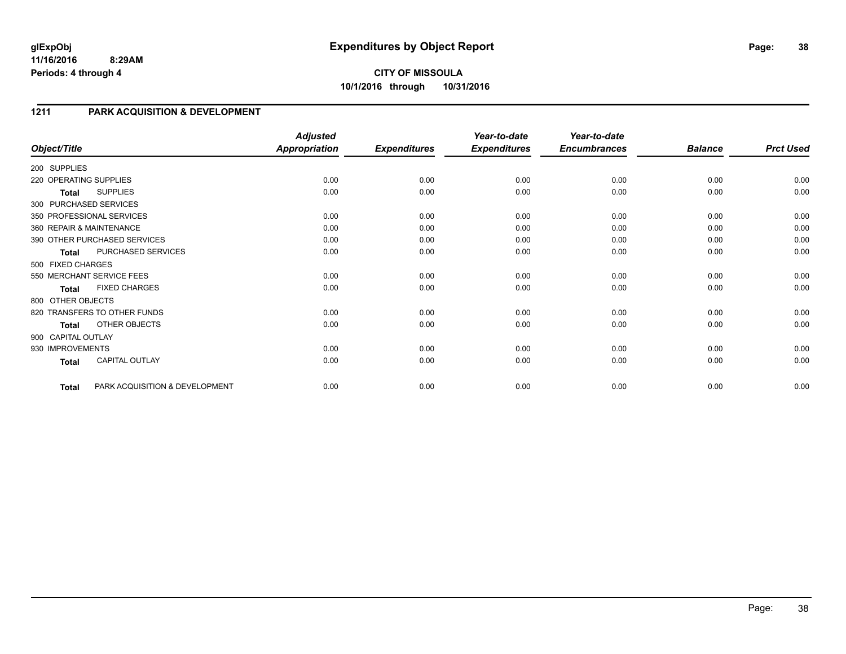## **1211 PARK ACQUISITION & DEVELOPMENT**

| Object/Title           |                                | <b>Adjusted</b><br><b>Appropriation</b> | <b>Expenditures</b> | Year-to-date<br><b>Expenditures</b> | Year-to-date<br><b>Encumbrances</b> | <b>Balance</b> | <b>Prct Used</b> |
|------------------------|--------------------------------|-----------------------------------------|---------------------|-------------------------------------|-------------------------------------|----------------|------------------|
| 200 SUPPLIES           |                                |                                         |                     |                                     |                                     |                |                  |
|                        |                                |                                         |                     |                                     |                                     |                |                  |
| 220 OPERATING SUPPLIES |                                | 0.00                                    | 0.00                | 0.00                                | 0.00                                | 0.00           | 0.00             |
| Total                  | <b>SUPPLIES</b>                | 0.00                                    | 0.00                | 0.00                                | 0.00                                | 0.00           | 0.00             |
|                        | 300 PURCHASED SERVICES         |                                         |                     |                                     |                                     |                |                  |
|                        | 350 PROFESSIONAL SERVICES      | 0.00                                    | 0.00                | 0.00                                | 0.00                                | 0.00           | 0.00             |
|                        | 360 REPAIR & MAINTENANCE       | 0.00                                    | 0.00                | 0.00                                | 0.00                                | 0.00           | 0.00             |
|                        | 390 OTHER PURCHASED SERVICES   | 0.00                                    | 0.00                | 0.00                                | 0.00                                | 0.00           | 0.00             |
| <b>Total</b>           | PURCHASED SERVICES             | 0.00                                    | 0.00                | 0.00                                | 0.00                                | 0.00           | 0.00             |
| 500 FIXED CHARGES      |                                |                                         |                     |                                     |                                     |                |                  |
|                        | 550 MERCHANT SERVICE FEES      | 0.00                                    | 0.00                | 0.00                                | 0.00                                | 0.00           | 0.00             |
| <b>Total</b>           | <b>FIXED CHARGES</b>           | 0.00                                    | 0.00                | 0.00                                | 0.00                                | 0.00           | 0.00             |
| 800 OTHER OBJECTS      |                                |                                         |                     |                                     |                                     |                |                  |
|                        | 820 TRANSFERS TO OTHER FUNDS   | 0.00                                    | 0.00                | 0.00                                | 0.00                                | 0.00           | 0.00             |
| <b>Total</b>           | OTHER OBJECTS                  | 0.00                                    | 0.00                | 0.00                                | 0.00                                | 0.00           | 0.00             |
| 900 CAPITAL OUTLAY     |                                |                                         |                     |                                     |                                     |                |                  |
| 930 IMPROVEMENTS       |                                | 0.00                                    | 0.00                | 0.00                                | 0.00                                | 0.00           | 0.00             |
| <b>Total</b>           | <b>CAPITAL OUTLAY</b>          | 0.00                                    | 0.00                | 0.00                                | 0.00                                | 0.00           | 0.00             |
| Total                  | PARK ACQUISITION & DEVELOPMENT | 0.00                                    | 0.00                | 0.00                                | 0.00                                | 0.00           | 0.00             |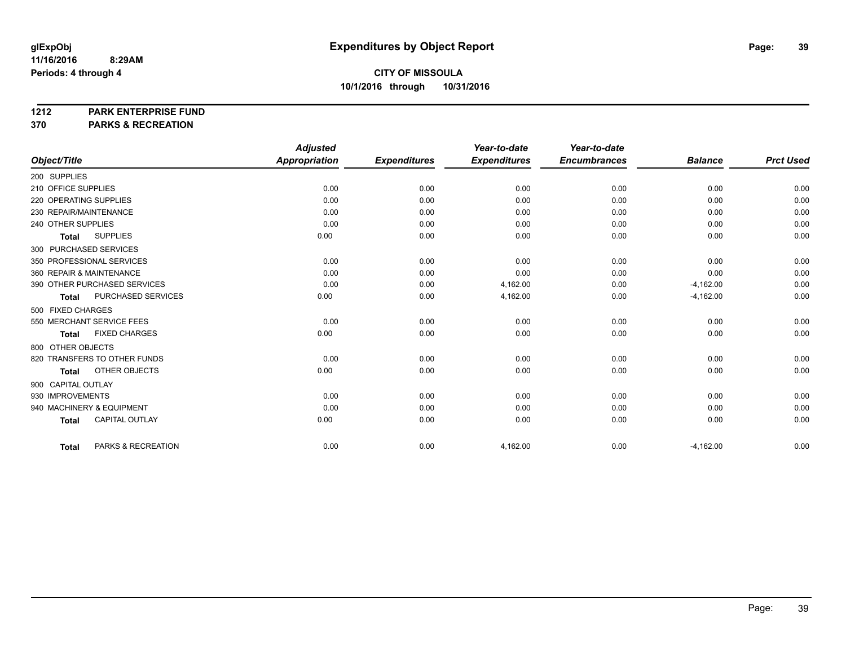**1212 PARK ENTERPRISE FUND**

**370 PARKS & RECREATION**

|                                       | <b>Adjusted</b>      |                     | Year-to-date        | Year-to-date        |                |                  |
|---------------------------------------|----------------------|---------------------|---------------------|---------------------|----------------|------------------|
| Object/Title                          | <b>Appropriation</b> | <b>Expenditures</b> | <b>Expenditures</b> | <b>Encumbrances</b> | <b>Balance</b> | <b>Prct Used</b> |
| 200 SUPPLIES                          |                      |                     |                     |                     |                |                  |
| 210 OFFICE SUPPLIES                   | 0.00                 | 0.00                | 0.00                | 0.00                | 0.00           | 0.00             |
| 220 OPERATING SUPPLIES                | 0.00                 | 0.00                | 0.00                | 0.00                | 0.00           | 0.00             |
| 230 REPAIR/MAINTENANCE                | 0.00                 | 0.00                | 0.00                | 0.00                | 0.00           | 0.00             |
| 240 OTHER SUPPLIES                    | 0.00                 | 0.00                | 0.00                | 0.00                | 0.00           | 0.00             |
| <b>SUPPLIES</b><br><b>Total</b>       | 0.00                 | 0.00                | 0.00                | 0.00                | 0.00           | 0.00             |
| 300 PURCHASED SERVICES                |                      |                     |                     |                     |                |                  |
| 350 PROFESSIONAL SERVICES             | 0.00                 | 0.00                | 0.00                | 0.00                | 0.00           | 0.00             |
| 360 REPAIR & MAINTENANCE              | 0.00                 | 0.00                | 0.00                | 0.00                | 0.00           | 0.00             |
| 390 OTHER PURCHASED SERVICES          | 0.00                 | 0.00                | 4,162.00            | 0.00                | $-4,162.00$    | 0.00             |
| PURCHASED SERVICES<br><b>Total</b>    | 0.00                 | 0.00                | 4,162.00            | 0.00                | $-4,162.00$    | 0.00             |
| 500 FIXED CHARGES                     |                      |                     |                     |                     |                |                  |
| 550 MERCHANT SERVICE FEES             | 0.00                 | 0.00                | 0.00                | 0.00                | 0.00           | 0.00             |
| <b>FIXED CHARGES</b><br><b>Total</b>  | 0.00                 | 0.00                | 0.00                | 0.00                | 0.00           | 0.00             |
| 800 OTHER OBJECTS                     |                      |                     |                     |                     |                |                  |
| 820 TRANSFERS TO OTHER FUNDS          | 0.00                 | 0.00                | 0.00                | 0.00                | 0.00           | 0.00             |
| OTHER OBJECTS<br><b>Total</b>         | 0.00                 | 0.00                | 0.00                | 0.00                | 0.00           | 0.00             |
| 900 CAPITAL OUTLAY                    |                      |                     |                     |                     |                |                  |
| 930 IMPROVEMENTS                      | 0.00                 | 0.00                | 0.00                | 0.00                | 0.00           | 0.00             |
| 940 MACHINERY & EQUIPMENT             | 0.00                 | 0.00                | 0.00                | 0.00                | 0.00           | 0.00             |
| <b>CAPITAL OUTLAY</b><br><b>Total</b> | 0.00                 | 0.00                | 0.00                | 0.00                | 0.00           | 0.00             |
| PARKS & RECREATION<br><b>Total</b>    | 0.00                 | 0.00                | 4,162.00            | 0.00                | $-4,162.00$    | 0.00             |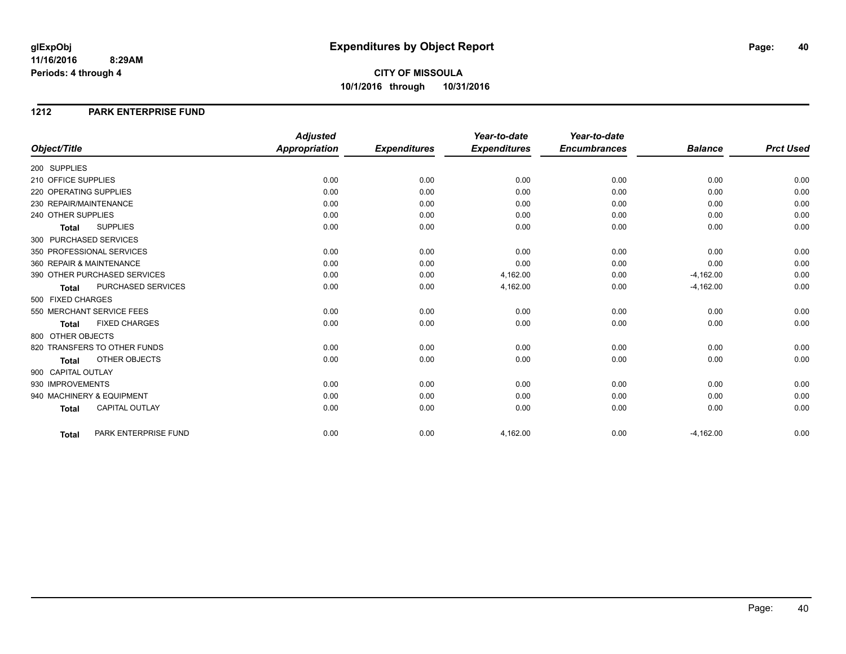# **CITY OF MISSOULA 10/1/2016 through 10/31/2016**

#### **1212 PARK ENTERPRISE FUND**

|                           |                              | <b>Adjusted</b>      |                     | Year-to-date        | Year-to-date        |                |                  |
|---------------------------|------------------------------|----------------------|---------------------|---------------------|---------------------|----------------|------------------|
| Object/Title              |                              | <b>Appropriation</b> | <b>Expenditures</b> | <b>Expenditures</b> | <b>Encumbrances</b> | <b>Balance</b> | <b>Prct Used</b> |
| 200 SUPPLIES              |                              |                      |                     |                     |                     |                |                  |
| 210 OFFICE SUPPLIES       |                              | 0.00                 | 0.00                | 0.00                | 0.00                | 0.00           | 0.00             |
| 220 OPERATING SUPPLIES    |                              | 0.00                 | 0.00                | 0.00                | 0.00                | 0.00           | 0.00             |
| 230 REPAIR/MAINTENANCE    |                              | 0.00                 | 0.00                | 0.00                | 0.00                | 0.00           | 0.00             |
| 240 OTHER SUPPLIES        |                              | 0.00                 | 0.00                | 0.00                | 0.00                | 0.00           | 0.00             |
| <b>Total</b>              | <b>SUPPLIES</b>              | 0.00                 | 0.00                | 0.00                | 0.00                | 0.00           | 0.00             |
| 300 PURCHASED SERVICES    |                              |                      |                     |                     |                     |                |                  |
| 350 PROFESSIONAL SERVICES |                              | 0.00                 | 0.00                | 0.00                | 0.00                | 0.00           | 0.00             |
| 360 REPAIR & MAINTENANCE  |                              | 0.00                 | 0.00                | 0.00                | 0.00                | 0.00           | 0.00             |
|                           | 390 OTHER PURCHASED SERVICES | 0.00                 | 0.00                | 4,162.00            | 0.00                | $-4,162.00$    | 0.00             |
| <b>Total</b>              | PURCHASED SERVICES           | 0.00                 | 0.00                | 4,162.00            | 0.00                | $-4,162.00$    | 0.00             |
| 500 FIXED CHARGES         |                              |                      |                     |                     |                     |                |                  |
| 550 MERCHANT SERVICE FEES |                              | 0.00                 | 0.00                | 0.00                | 0.00                | 0.00           | 0.00             |
| <b>Total</b>              | <b>FIXED CHARGES</b>         | 0.00                 | 0.00                | 0.00                | 0.00                | 0.00           | 0.00             |
| 800 OTHER OBJECTS         |                              |                      |                     |                     |                     |                |                  |
|                           | 820 TRANSFERS TO OTHER FUNDS | 0.00                 | 0.00                | 0.00                | 0.00                | 0.00           | 0.00             |
| <b>Total</b>              | OTHER OBJECTS                | 0.00                 | 0.00                | 0.00                | 0.00                | 0.00           | 0.00             |
| 900 CAPITAL OUTLAY        |                              |                      |                     |                     |                     |                |                  |
| 930 IMPROVEMENTS          |                              | 0.00                 | 0.00                | 0.00                | 0.00                | 0.00           | 0.00             |
| 940 MACHINERY & EQUIPMENT |                              | 0.00                 | 0.00                | 0.00                | 0.00                | 0.00           | 0.00             |
| <b>Total</b>              | <b>CAPITAL OUTLAY</b>        | 0.00                 | 0.00                | 0.00                | 0.00                | 0.00           | 0.00             |
|                           |                              |                      |                     |                     |                     |                |                  |
| <b>Total</b>              | PARK ENTERPRISE FUND         | 0.00                 | 0.00                | 4,162.00            | 0.00                | $-4,162.00$    | 0.00             |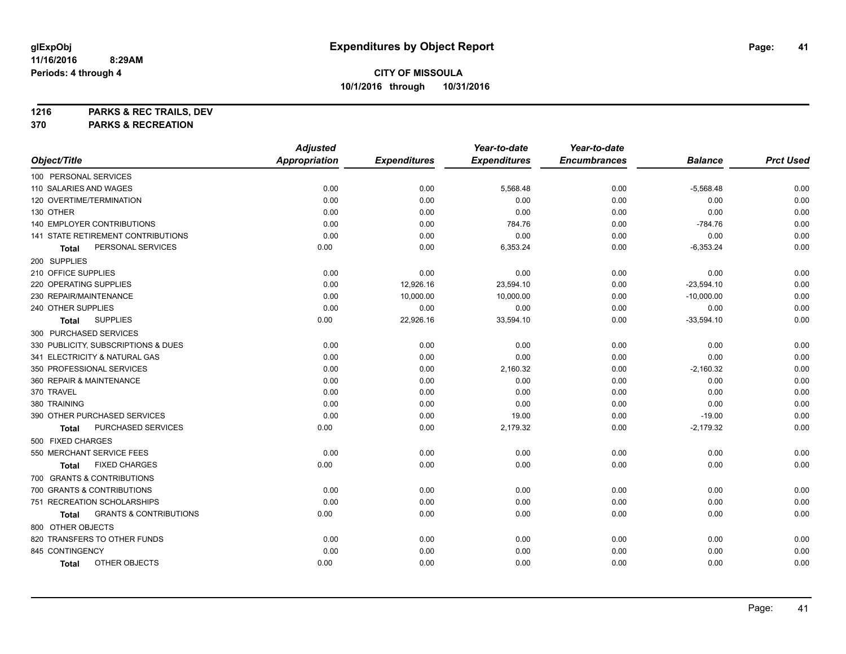**1216 PARKS & REC TRAILS, DEV**

**370 PARKS & RECREATION**

|                                            | <b>Adjusted</b>      |                     | Year-to-date        | Year-to-date        |                |                  |
|--------------------------------------------|----------------------|---------------------|---------------------|---------------------|----------------|------------------|
| Object/Title                               | <b>Appropriation</b> | <b>Expenditures</b> | <b>Expenditures</b> | <b>Encumbrances</b> | <b>Balance</b> | <b>Prct Used</b> |
| 100 PERSONAL SERVICES                      |                      |                     |                     |                     |                |                  |
| 110 SALARIES AND WAGES                     | 0.00                 | 0.00                | 5,568.48            | 0.00                | $-5,568.48$    | 0.00             |
| 120 OVERTIME/TERMINATION                   | 0.00                 | 0.00                | 0.00                | 0.00                | 0.00           | 0.00             |
| 130 OTHER                                  | 0.00                 | 0.00                | 0.00                | 0.00                | 0.00           | 0.00             |
| 140 EMPLOYER CONTRIBUTIONS                 | 0.00                 | 0.00                | 784.76              | 0.00                | $-784.76$      | 0.00             |
| 141 STATE RETIREMENT CONTRIBUTIONS         | 0.00                 | 0.00                | 0.00                | 0.00                | 0.00           | 0.00             |
| PERSONAL SERVICES<br>Total                 | 0.00                 | 0.00                | 6,353.24            | 0.00                | $-6,353.24$    | 0.00             |
| 200 SUPPLIES                               |                      |                     |                     |                     |                |                  |
| 210 OFFICE SUPPLIES                        | 0.00                 | 0.00                | 0.00                | 0.00                | 0.00           | 0.00             |
| 220 OPERATING SUPPLIES                     | 0.00                 | 12,926.16           | 23,594.10           | 0.00                | $-23,594.10$   | 0.00             |
| 230 REPAIR/MAINTENANCE                     | 0.00                 | 10,000.00           | 10,000.00           | 0.00                | $-10,000.00$   | 0.00             |
| 240 OTHER SUPPLIES                         | 0.00                 | 0.00                | 0.00                | 0.00                | 0.00           | 0.00             |
| <b>SUPPLIES</b><br>Total                   | 0.00                 | 22,926.16           | 33,594.10           | 0.00                | $-33,594.10$   | 0.00             |
| 300 PURCHASED SERVICES                     |                      |                     |                     |                     |                |                  |
| 330 PUBLICITY, SUBSCRIPTIONS & DUES        | 0.00                 | 0.00                | 0.00                | 0.00                | 0.00           | 0.00             |
| 341 ELECTRICITY & NATURAL GAS              | 0.00                 | 0.00                | 0.00                | 0.00                | 0.00           | 0.00             |
| 350 PROFESSIONAL SERVICES                  | 0.00                 | 0.00                | 2,160.32            | 0.00                | $-2,160.32$    | 0.00             |
| 360 REPAIR & MAINTENANCE                   | 0.00                 | 0.00                | 0.00                | 0.00                | 0.00           | 0.00             |
| 370 TRAVEL                                 | 0.00                 | 0.00                | 0.00                | 0.00                | 0.00           | 0.00             |
| 380 TRAINING                               | 0.00                 | 0.00                | 0.00                | 0.00                | 0.00           | 0.00             |
| 390 OTHER PURCHASED SERVICES               | 0.00                 | 0.00                | 19.00               | 0.00                | $-19.00$       | 0.00             |
| PURCHASED SERVICES<br>Total                | 0.00                 | 0.00                | 2,179.32            | 0.00                | $-2,179.32$    | 0.00             |
| 500 FIXED CHARGES                          |                      |                     |                     |                     |                |                  |
| 550 MERCHANT SERVICE FEES                  | 0.00                 | 0.00                | 0.00                | 0.00                | 0.00           | 0.00             |
| <b>FIXED CHARGES</b><br>Total              | 0.00                 | 0.00                | 0.00                | 0.00                | 0.00           | 0.00             |
| 700 GRANTS & CONTRIBUTIONS                 |                      |                     |                     |                     |                |                  |
| 700 GRANTS & CONTRIBUTIONS                 | 0.00                 | 0.00                | 0.00                | 0.00                | 0.00           | 0.00             |
| 751 RECREATION SCHOLARSHIPS                | 0.00                 | 0.00                | 0.00                | 0.00                | 0.00           | 0.00             |
| <b>GRANTS &amp; CONTRIBUTIONS</b><br>Total | 0.00                 | 0.00                | 0.00                | 0.00                | 0.00           | 0.00             |
| 800 OTHER OBJECTS                          |                      |                     |                     |                     |                |                  |
| 820 TRANSFERS TO OTHER FUNDS               | 0.00                 | 0.00                | 0.00                | 0.00                | 0.00           | 0.00             |
| 845 CONTINGENCY                            | 0.00                 | 0.00                | 0.00                | 0.00                | 0.00           | 0.00             |
| OTHER OBJECTS<br><b>Total</b>              | 0.00                 | 0.00                | 0.00                | 0.00                | 0.00           | 0.00             |
|                                            |                      |                     |                     |                     |                |                  |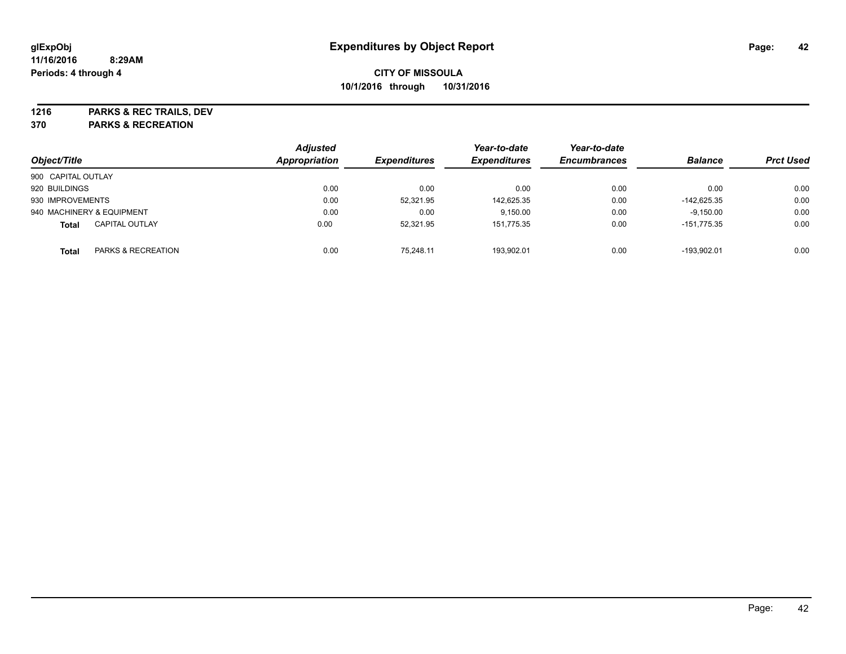**1216 PARKS & REC TRAILS, DEV**

**370 PARKS & RECREATION**

| Object/Title       |                           | <b>Adjusted</b><br>Appropriation | <b>Expenditures</b> | Year-to-date<br><b>Expenditures</b> | Year-to-date<br><b>Encumbrances</b> | <b>Balance</b> | <b>Prct Used</b> |
|--------------------|---------------------------|----------------------------------|---------------------|-------------------------------------|-------------------------------------|----------------|------------------|
|                    |                           |                                  |                     |                                     |                                     |                |                  |
| 900 CAPITAL OUTLAY |                           |                                  |                     |                                     |                                     |                |                  |
| 920 BUILDINGS      |                           | 0.00                             | 0.00                | 0.00                                | 0.00                                | 0.00           | 0.00             |
| 930 IMPROVEMENTS   |                           | 0.00                             | 52,321.95           | 142,625.35                          | 0.00                                | $-142.625.35$  | 0.00             |
|                    | 940 MACHINERY & EQUIPMENT | 0.00                             | 0.00                | 9,150.00                            | 0.00                                | $-9,150.00$    | 0.00             |
| <b>Total</b>       | <b>CAPITAL OUTLAY</b>     | 0.00                             | 52,321.95           | 151,775.35                          | 0.00                                | $-151.775.35$  | 0.00             |
| <b>Total</b>       | PARKS & RECREATION        | 0.00                             | 75.248.11           | 193,902.01                          | 0.00                                | -193.902.01    | 0.00             |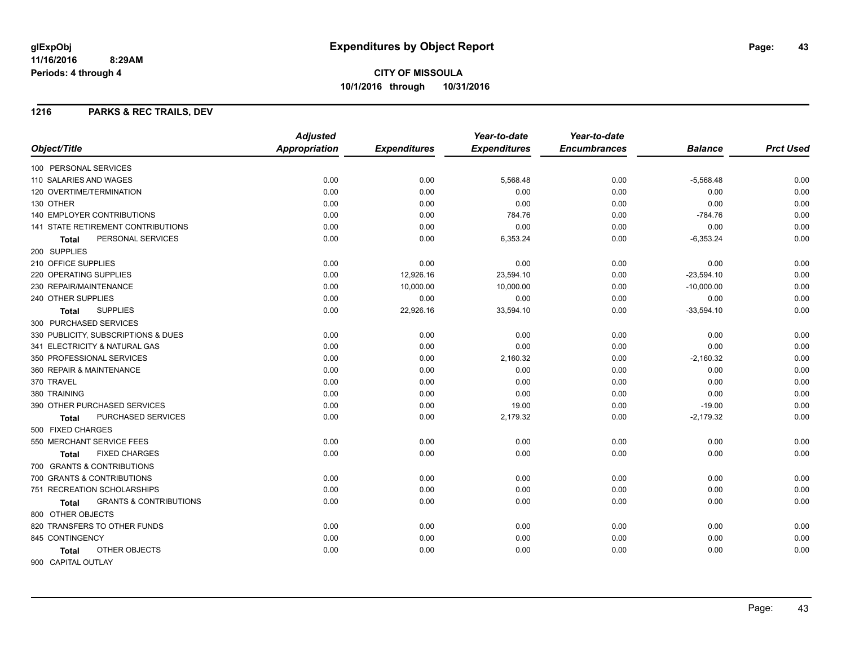**CITY OF MISSOULA 10/1/2016 through 10/31/2016**

#### **1216 PARKS & REC TRAILS, DEV**

|                                                   | <b>Adjusted</b> |                     | Year-to-date        | Year-to-date        |                |                  |
|---------------------------------------------------|-----------------|---------------------|---------------------|---------------------|----------------|------------------|
| Object/Title                                      | Appropriation   | <b>Expenditures</b> | <b>Expenditures</b> | <b>Encumbrances</b> | <b>Balance</b> | <b>Prct Used</b> |
| 100 PERSONAL SERVICES                             |                 |                     |                     |                     |                |                  |
| 110 SALARIES AND WAGES                            | 0.00            | 0.00                | 5,568.48            | 0.00                | $-5,568.48$    | 0.00             |
| 120 OVERTIME/TERMINATION                          | 0.00            | 0.00                | 0.00                | 0.00                | 0.00           | 0.00             |
| 130 OTHER                                         | 0.00            | 0.00                | 0.00                | 0.00                | 0.00           | 0.00             |
| <b>140 EMPLOYER CONTRIBUTIONS</b>                 | 0.00            | 0.00                | 784.76              | 0.00                | $-784.76$      | 0.00             |
| 141 STATE RETIREMENT CONTRIBUTIONS                | 0.00            | 0.00                | 0.00                | 0.00                | 0.00           | 0.00             |
| PERSONAL SERVICES<br>Total                        | 0.00            | 0.00                | 6,353.24            | 0.00                | $-6,353.24$    | 0.00             |
| 200 SUPPLIES                                      |                 |                     |                     |                     |                |                  |
| 210 OFFICE SUPPLIES                               | 0.00            | 0.00                | 0.00                | 0.00                | 0.00           | 0.00             |
| 220 OPERATING SUPPLIES                            | 0.00            | 12,926.16           | 23,594.10           | 0.00                | $-23,594.10$   | 0.00             |
| 230 REPAIR/MAINTENANCE                            | 0.00            | 10,000.00           | 10,000.00           | 0.00                | $-10,000.00$   | 0.00             |
| 240 OTHER SUPPLIES                                | 0.00            | 0.00                | 0.00                | 0.00                | 0.00           | 0.00             |
| <b>SUPPLIES</b><br>Total                          | 0.00            | 22,926.16           | 33,594.10           | 0.00                | $-33,594.10$   | 0.00             |
| 300 PURCHASED SERVICES                            |                 |                     |                     |                     |                |                  |
| 330 PUBLICITY, SUBSCRIPTIONS & DUES               | 0.00            | 0.00                | 0.00                | 0.00                | 0.00           | 0.00             |
| 341 ELECTRICITY & NATURAL GAS                     | 0.00            | 0.00                | 0.00                | 0.00                | 0.00           | 0.00             |
| 350 PROFESSIONAL SERVICES                         | 0.00            | 0.00                | 2,160.32            | 0.00                | $-2,160.32$    | 0.00             |
| 360 REPAIR & MAINTENANCE                          | 0.00            | 0.00                | 0.00                | 0.00                | 0.00           | 0.00             |
| 370 TRAVEL                                        | 0.00            | 0.00                | 0.00                | 0.00                | 0.00           | 0.00             |
| 380 TRAINING                                      | 0.00            | 0.00                | 0.00                | 0.00                | 0.00           | 0.00             |
| 390 OTHER PURCHASED SERVICES                      | 0.00            | 0.00                | 19.00               | 0.00                | $-19.00$       | 0.00             |
| PURCHASED SERVICES<br><b>Total</b>                | 0.00            | 0.00                | 2,179.32            | 0.00                | $-2,179.32$    | 0.00             |
| 500 FIXED CHARGES                                 |                 |                     |                     |                     |                |                  |
| 550 MERCHANT SERVICE FEES                         | 0.00            | 0.00                | 0.00                | 0.00                | 0.00           | 0.00             |
| <b>FIXED CHARGES</b><br>Total                     | 0.00            | 0.00                | 0.00                | 0.00                | 0.00           | 0.00             |
| 700 GRANTS & CONTRIBUTIONS                        |                 |                     |                     |                     |                |                  |
| 700 GRANTS & CONTRIBUTIONS                        | 0.00            | 0.00                | 0.00                | 0.00                | 0.00           | 0.00             |
| 751 RECREATION SCHOLARSHIPS                       | 0.00            | 0.00                | 0.00                | 0.00                | 0.00           | 0.00             |
| <b>GRANTS &amp; CONTRIBUTIONS</b><br><b>Total</b> | 0.00            | 0.00                | 0.00                | 0.00                | 0.00           | 0.00             |
| 800 OTHER OBJECTS                                 |                 |                     |                     |                     |                |                  |
| 820 TRANSFERS TO OTHER FUNDS                      | 0.00            | 0.00                | 0.00                | 0.00                | 0.00           | 0.00             |
| 845 CONTINGENCY                                   | 0.00            | 0.00                | 0.00                | 0.00                | 0.00           | 0.00             |
| OTHER OBJECTS<br><b>Total</b>                     | 0.00            | 0.00                | 0.00                | 0.00                | 0.00           | 0.00             |
| 900 CAPITAL OUTLAY                                |                 |                     |                     |                     |                |                  |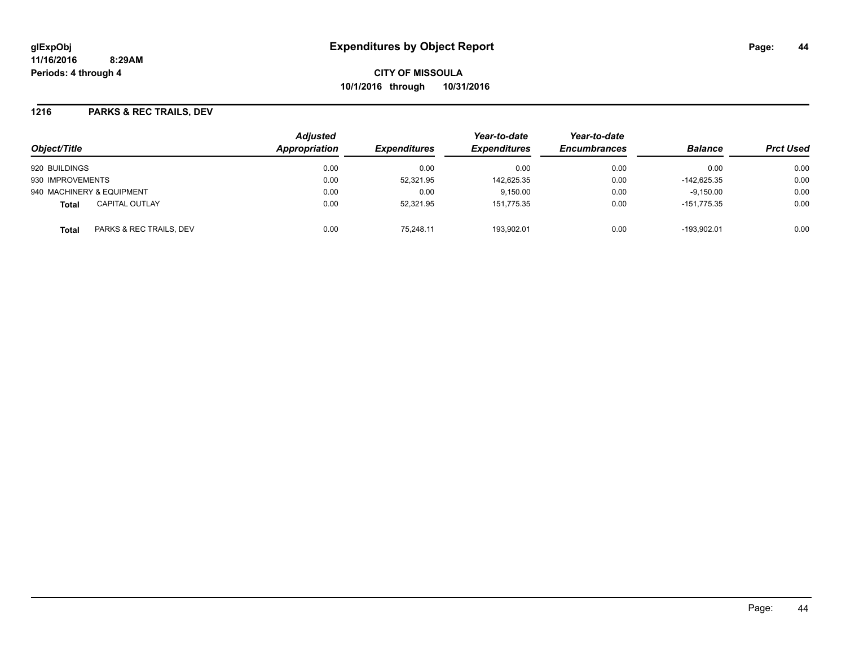**CITY OF MISSOULA 10/1/2016 through 10/31/2016**

#### **1216 PARKS & REC TRAILS, DEV**

| Object/Title                          | <b>Adjusted</b><br><b>Appropriation</b> | <i><b>Expenditures</b></i><br>0.00 | Year-to-date<br><b>Expenditures</b><br>0.00 | Year-to-date<br><b>Encumbrances</b><br>0.00 | <b>Balance</b><br>0.00 | <b>Prct Used</b> |
|---------------------------------------|-----------------------------------------|------------------------------------|---------------------------------------------|---------------------------------------------|------------------------|------------------|
| 920 BUILDINGS                         | 0.00                                    |                                    |                                             |                                             |                        | 0.00             |
| 930 IMPROVEMENTS                      | 0.00                                    | 52,321.95                          | 142,625.35                                  | 0.00                                        | $-142.625.35$          | 0.00             |
| 940 MACHINERY & EQUIPMENT             | 0.00                                    | 0.00                               | 9.150.00                                    | 0.00                                        | $-9.150.00$            | 0.00             |
| <b>CAPITAL OUTLAY</b><br><b>Total</b> | 0.00                                    | 52.321.95                          | 151.775.35                                  | 0.00                                        | $-151.775.35$          | 0.00             |
| PARKS & REC TRAILS, DEV<br>Total      | 0.00                                    | 75.248.11                          | 193.902.01                                  | 0.00                                        | $-193.902.01$          | 0.00             |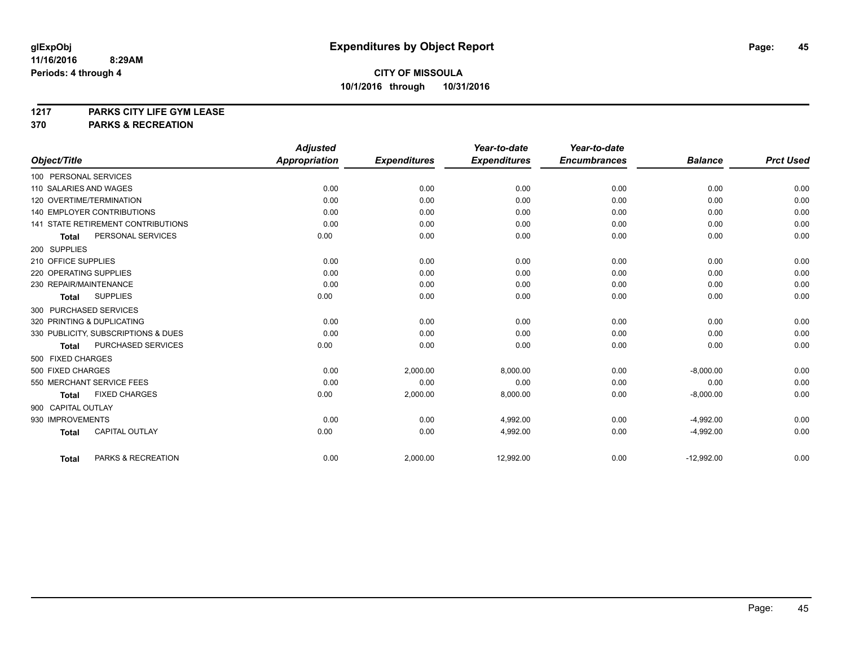**1217 PARKS CITY LIFE GYM LEASE**

**370 PARKS & RECREATION**

|                                           | <b>Adjusted</b>      |                     | Year-to-date        | Year-to-date        |                |                  |
|-------------------------------------------|----------------------|---------------------|---------------------|---------------------|----------------|------------------|
| Object/Title                              | <b>Appropriation</b> | <b>Expenditures</b> | <b>Expenditures</b> | <b>Encumbrances</b> | <b>Balance</b> | <b>Prct Used</b> |
| 100 PERSONAL SERVICES                     |                      |                     |                     |                     |                |                  |
| 110 SALARIES AND WAGES                    | 0.00                 | 0.00                | 0.00                | 0.00                | 0.00           | 0.00             |
| 120 OVERTIME/TERMINATION                  | 0.00                 | 0.00                | 0.00                | 0.00                | 0.00           | 0.00             |
| <b>140 EMPLOYER CONTRIBUTIONS</b>         | 0.00                 | 0.00                | 0.00                | 0.00                | 0.00           | 0.00             |
| <b>141 STATE RETIREMENT CONTRIBUTIONS</b> | 0.00                 | 0.00                | 0.00                | 0.00                | 0.00           | 0.00             |
| PERSONAL SERVICES<br><b>Total</b>         | 0.00                 | 0.00                | 0.00                | 0.00                | 0.00           | 0.00             |
| 200 SUPPLIES                              |                      |                     |                     |                     |                |                  |
| 210 OFFICE SUPPLIES                       | 0.00                 | 0.00                | 0.00                | 0.00                | 0.00           | 0.00             |
| 220 OPERATING SUPPLIES                    | 0.00                 | 0.00                | 0.00                | 0.00                | 0.00           | 0.00             |
| 230 REPAIR/MAINTENANCE                    | 0.00                 | 0.00                | 0.00                | 0.00                | 0.00           | 0.00             |
| <b>SUPPLIES</b><br><b>Total</b>           | 0.00                 | 0.00                | 0.00                | 0.00                | 0.00           | 0.00             |
| 300 PURCHASED SERVICES                    |                      |                     |                     |                     |                |                  |
| 320 PRINTING & DUPLICATING                | 0.00                 | 0.00                | 0.00                | 0.00                | 0.00           | 0.00             |
| 330 PUBLICITY, SUBSCRIPTIONS & DUES       | 0.00                 | 0.00                | 0.00                | 0.00                | 0.00           | 0.00             |
| PURCHASED SERVICES<br><b>Total</b>        | 0.00                 | 0.00                | 0.00                | 0.00                | 0.00           | 0.00             |
| 500 FIXED CHARGES                         |                      |                     |                     |                     |                |                  |
| 500 FIXED CHARGES                         | 0.00                 | 2,000.00            | 8,000.00            | 0.00                | $-8,000.00$    | 0.00             |
| 550 MERCHANT SERVICE FEES                 | 0.00                 | 0.00                | 0.00                | 0.00                | 0.00           | 0.00             |
| <b>FIXED CHARGES</b><br><b>Total</b>      | 0.00                 | 2,000.00            | 8,000.00            | 0.00                | $-8,000.00$    | 0.00             |
| 900 CAPITAL OUTLAY                        |                      |                     |                     |                     |                |                  |
| 930 IMPROVEMENTS                          | 0.00                 | 0.00                | 4,992.00            | 0.00                | $-4,992.00$    | 0.00             |
| CAPITAL OUTLAY<br><b>Total</b>            | 0.00                 | 0.00                | 4,992.00            | 0.00                | $-4,992.00$    | 0.00             |
|                                           |                      |                     |                     |                     |                |                  |
| PARKS & RECREATION<br><b>Total</b>        | 0.00                 | 2,000.00            | 12,992.00           | 0.00                | $-12,992.00$   | 0.00             |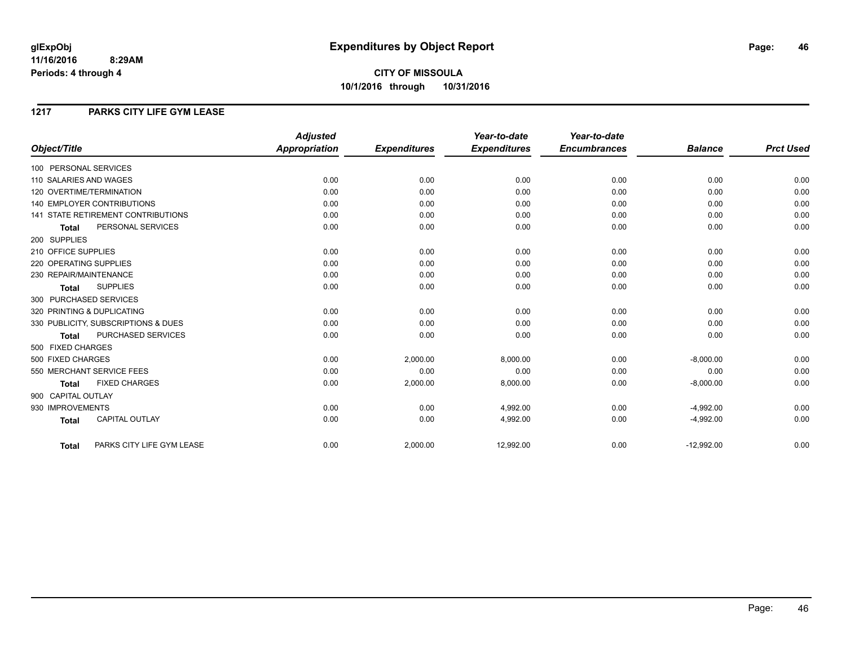# **CITY OF MISSOULA 10/1/2016 through 10/31/2016**

### **1217 PARKS CITY LIFE GYM LEASE**

|                                           | <b>Adjusted</b>      |                     | Year-to-date        | Year-to-date        |                |                  |
|-------------------------------------------|----------------------|---------------------|---------------------|---------------------|----------------|------------------|
| Object/Title                              | <b>Appropriation</b> | <b>Expenditures</b> | <b>Expenditures</b> | <b>Encumbrances</b> | <b>Balance</b> | <b>Prct Used</b> |
| 100 PERSONAL SERVICES                     |                      |                     |                     |                     |                |                  |
| 110 SALARIES AND WAGES                    | 0.00                 | 0.00                | 0.00                | 0.00                | 0.00           | 0.00             |
| 120 OVERTIME/TERMINATION                  | 0.00                 | 0.00                | 0.00                | 0.00                | 0.00           | 0.00             |
| <b>140 EMPLOYER CONTRIBUTIONS</b>         | 0.00                 | 0.00                | 0.00                | 0.00                | 0.00           | 0.00             |
| <b>141 STATE RETIREMENT CONTRIBUTIONS</b> | 0.00                 | 0.00                | 0.00                | 0.00                | 0.00           | 0.00             |
| PERSONAL SERVICES<br><b>Total</b>         | 0.00                 | 0.00                | 0.00                | 0.00                | 0.00           | 0.00             |
| 200 SUPPLIES                              |                      |                     |                     |                     |                |                  |
| 210 OFFICE SUPPLIES                       | 0.00                 | 0.00                | 0.00                | 0.00                | 0.00           | 0.00             |
| 220 OPERATING SUPPLIES                    | 0.00                 | 0.00                | 0.00                | 0.00                | 0.00           | 0.00             |
| 230 REPAIR/MAINTENANCE                    | 0.00                 | 0.00                | 0.00                | 0.00                | 0.00           | 0.00             |
| <b>SUPPLIES</b><br><b>Total</b>           | 0.00                 | 0.00                | 0.00                | 0.00                | 0.00           | 0.00             |
| 300 PURCHASED SERVICES                    |                      |                     |                     |                     |                |                  |
| 320 PRINTING & DUPLICATING                | 0.00                 | 0.00                | 0.00                | 0.00                | 0.00           | 0.00             |
| 330 PUBLICITY, SUBSCRIPTIONS & DUES       | 0.00                 | 0.00                | 0.00                | 0.00                | 0.00           | 0.00             |
| PURCHASED SERVICES<br><b>Total</b>        | 0.00                 | 0.00                | 0.00                | 0.00                | 0.00           | 0.00             |
| 500 FIXED CHARGES                         |                      |                     |                     |                     |                |                  |
| 500 FIXED CHARGES                         | 0.00                 | 2,000.00            | 8,000.00            | 0.00                | $-8,000.00$    | 0.00             |
| 550 MERCHANT SERVICE FEES                 | 0.00                 | 0.00                | 0.00                | 0.00                | 0.00           | 0.00             |
| <b>FIXED CHARGES</b><br><b>Total</b>      | 0.00                 | 2,000.00            | 8,000.00            | 0.00                | $-8,000.00$    | 0.00             |
| 900 CAPITAL OUTLAY                        |                      |                     |                     |                     |                |                  |
| 930 IMPROVEMENTS                          | 0.00                 | 0.00                | 4,992.00            | 0.00                | $-4,992.00$    | 0.00             |
| CAPITAL OUTLAY<br><b>Total</b>            | 0.00                 | 0.00                | 4,992.00            | 0.00                | $-4,992.00$    | 0.00             |
|                                           |                      |                     |                     |                     |                |                  |
| PARKS CITY LIFE GYM LEASE<br><b>Total</b> | 0.00                 | 2,000.00            | 12,992.00           | 0.00                | $-12,992.00$   | 0.00             |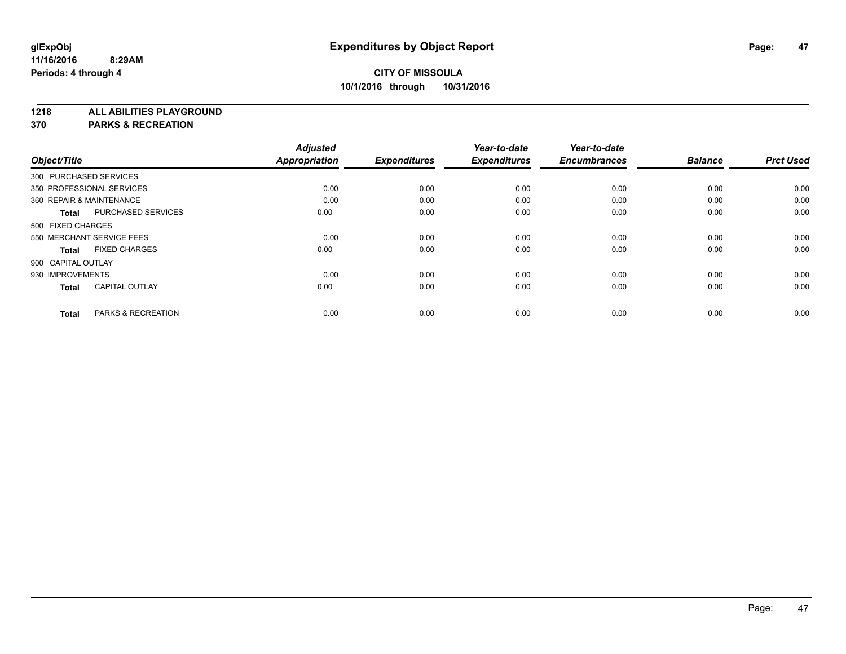**1218 ALL ABILITIES PLAYGROUND**

**370 PARKS & RECREATION**

|                    |                               | <b>Adjusted</b> |                     | Year-to-date        | Year-to-date        |                |                  |
|--------------------|-------------------------------|-----------------|---------------------|---------------------|---------------------|----------------|------------------|
| Object/Title       |                               | Appropriation   | <b>Expenditures</b> | <b>Expenditures</b> | <b>Encumbrances</b> | <b>Balance</b> | <b>Prct Used</b> |
|                    | 300 PURCHASED SERVICES        |                 |                     |                     |                     |                |                  |
|                    | 350 PROFESSIONAL SERVICES     | 0.00            | 0.00                | 0.00                | 0.00                | 0.00           | 0.00             |
|                    | 360 REPAIR & MAINTENANCE      | 0.00            | 0.00                | 0.00                | 0.00                | 0.00           | 0.00             |
| <b>Total</b>       | <b>PURCHASED SERVICES</b>     | 0.00            | 0.00                | 0.00                | 0.00                | 0.00           | 0.00             |
| 500 FIXED CHARGES  |                               |                 |                     |                     |                     |                |                  |
|                    | 550 MERCHANT SERVICE FEES     | 0.00            | 0.00                | 0.00                | 0.00                | 0.00           | 0.00             |
| <b>Total</b>       | <b>FIXED CHARGES</b>          | 0.00            | 0.00                | 0.00                | 0.00                | 0.00           | 0.00             |
| 900 CAPITAL OUTLAY |                               |                 |                     |                     |                     |                |                  |
| 930 IMPROVEMENTS   |                               | 0.00            | 0.00                | 0.00                | 0.00                | 0.00           | 0.00             |
| <b>Total</b>       | <b>CAPITAL OUTLAY</b>         | 0.00            | 0.00                | 0.00                | 0.00                | 0.00           | 0.00             |
|                    |                               |                 |                     |                     |                     |                |                  |
| <b>Total</b>       | <b>PARKS &amp; RECREATION</b> | 0.00            | 0.00                | 0.00                | 0.00                | 0.00           | 0.00             |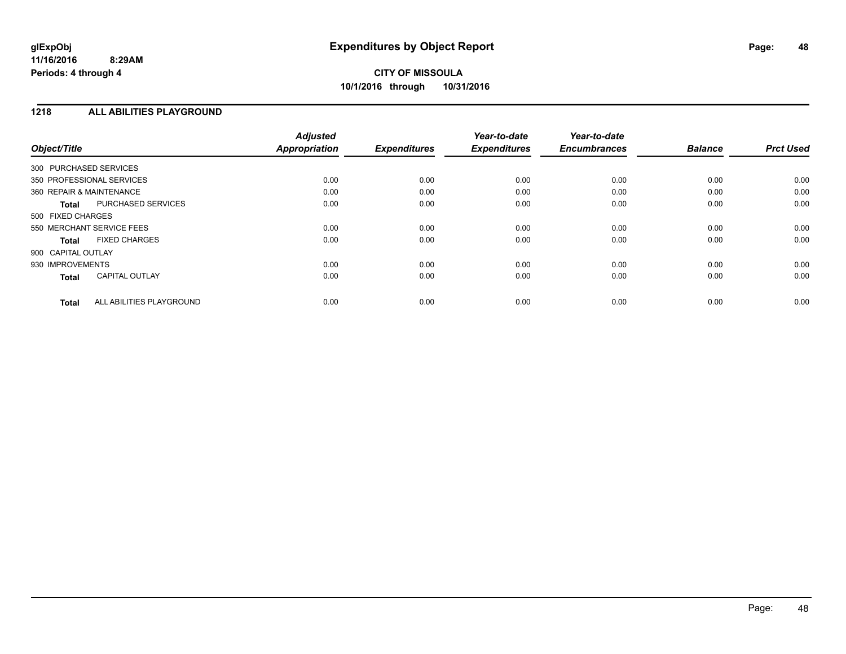## **CITY OF MISSOULA 10/1/2016 through 10/31/2016**

#### **1218 ALL ABILITIES PLAYGROUND**

| Object/Title              |                          | <b>Adjusted</b><br><b>Appropriation</b> | <b>Expenditures</b> | Year-to-date<br><b>Expenditures</b> | Year-to-date<br><b>Encumbrances</b> | <b>Balance</b> | <b>Prct Used</b> |
|---------------------------|--------------------------|-----------------------------------------|---------------------|-------------------------------------|-------------------------------------|----------------|------------------|
| 300 PURCHASED SERVICES    |                          |                                         |                     |                                     |                                     |                |                  |
| 350 PROFESSIONAL SERVICES |                          | 0.00                                    | 0.00                | 0.00                                | 0.00                                | 0.00           | 0.00             |
| 360 REPAIR & MAINTENANCE  |                          | 0.00                                    | 0.00                | 0.00                                | 0.00                                | 0.00           | 0.00             |
| <b>Total</b>              | PURCHASED SERVICES       | 0.00                                    | 0.00                | 0.00                                | 0.00                                | 0.00           | 0.00             |
| 500 FIXED CHARGES         |                          |                                         |                     |                                     |                                     |                |                  |
| 550 MERCHANT SERVICE FEES |                          | 0.00                                    | 0.00                | 0.00                                | 0.00                                | 0.00           | 0.00             |
| <b>Total</b>              | <b>FIXED CHARGES</b>     | 0.00                                    | 0.00                | 0.00                                | 0.00                                | 0.00           | 0.00             |
| 900 CAPITAL OUTLAY        |                          |                                         |                     |                                     |                                     |                |                  |
| 930 IMPROVEMENTS          |                          | 0.00                                    | 0.00                | 0.00                                | 0.00                                | 0.00           | 0.00             |
| <b>Total</b>              | <b>CAPITAL OUTLAY</b>    | 0.00                                    | 0.00                | 0.00                                | 0.00                                | 0.00           | 0.00             |
| <b>Total</b>              | ALL ABILITIES PLAYGROUND | 0.00                                    | 0.00                | 0.00                                | 0.00                                | 0.00           | 0.00             |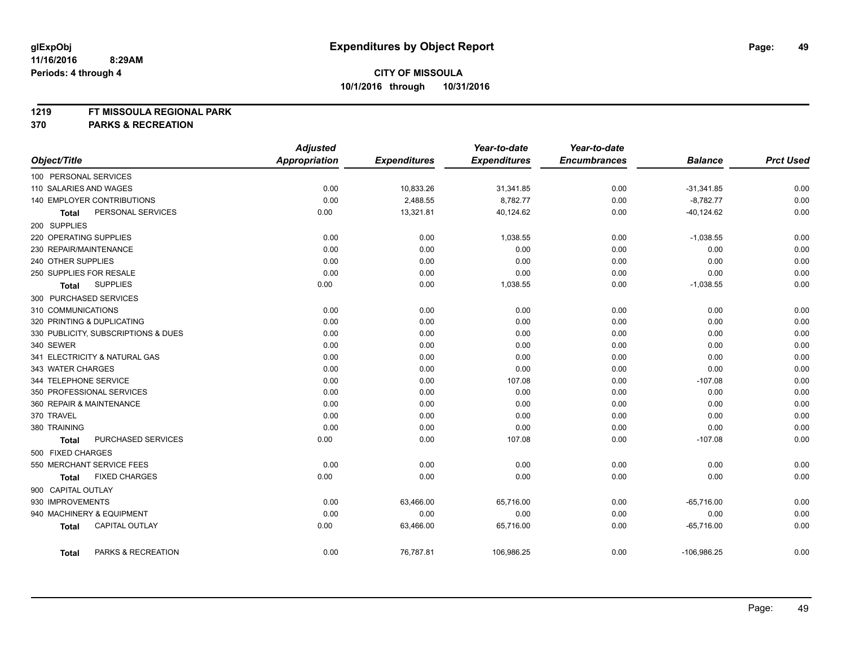#### **1219 FT MISSOULA REGIONAL PARK**

**370 PARKS & RECREATION**

|                                       | <b>Adjusted</b>      |                     | Year-to-date        | Year-to-date        |                |                  |
|---------------------------------------|----------------------|---------------------|---------------------|---------------------|----------------|------------------|
| Object/Title                          | <b>Appropriation</b> | <b>Expenditures</b> | <b>Expenditures</b> | <b>Encumbrances</b> | <b>Balance</b> | <b>Prct Used</b> |
| 100 PERSONAL SERVICES                 |                      |                     |                     |                     |                |                  |
| 110 SALARIES AND WAGES                | 0.00                 | 10,833.26           | 31,341.85           | 0.00                | $-31,341.85$   | 0.00             |
| 140 EMPLOYER CONTRIBUTIONS            | 0.00                 | 2,488.55            | 8,782.77            | 0.00                | $-8,782.77$    | 0.00             |
| PERSONAL SERVICES<br><b>Total</b>     | 0.00                 | 13,321.81           | 40,124.62           | 0.00                | $-40, 124.62$  | 0.00             |
| 200 SUPPLIES                          |                      |                     |                     |                     |                |                  |
| 220 OPERATING SUPPLIES                | 0.00                 | 0.00                | 1,038.55            | 0.00                | $-1,038.55$    | 0.00             |
| 230 REPAIR/MAINTENANCE                | 0.00                 | 0.00                | 0.00                | 0.00                | 0.00           | 0.00             |
| 240 OTHER SUPPLIES                    | 0.00                 | 0.00                | 0.00                | 0.00                | 0.00           | 0.00             |
| 250 SUPPLIES FOR RESALE               | 0.00                 | 0.00                | 0.00                | 0.00                | 0.00           | 0.00             |
| <b>SUPPLIES</b><br>Total              | 0.00                 | 0.00                | 1,038.55            | 0.00                | $-1,038.55$    | 0.00             |
| 300 PURCHASED SERVICES                |                      |                     |                     |                     |                |                  |
| 310 COMMUNICATIONS                    | 0.00                 | 0.00                | 0.00                | 0.00                | 0.00           | 0.00             |
| 320 PRINTING & DUPLICATING            | 0.00                 | 0.00                | 0.00                | 0.00                | 0.00           | 0.00             |
| 330 PUBLICITY, SUBSCRIPTIONS & DUES   | 0.00                 | 0.00                | 0.00                | 0.00                | 0.00           | 0.00             |
| 340 SEWER                             | 0.00                 | 0.00                | 0.00                | 0.00                | 0.00           | 0.00             |
| 341 ELECTRICITY & NATURAL GAS         | 0.00                 | 0.00                | 0.00                | 0.00                | 0.00           | 0.00             |
| 343 WATER CHARGES                     | 0.00                 | 0.00                | 0.00                | 0.00                | 0.00           | 0.00             |
| 344 TELEPHONE SERVICE                 | 0.00                 | 0.00                | 107.08              | 0.00                | $-107.08$      | 0.00             |
| 350 PROFESSIONAL SERVICES             | 0.00                 | 0.00                | 0.00                | 0.00                | 0.00           | 0.00             |
| 360 REPAIR & MAINTENANCE              | 0.00                 | 0.00                | 0.00                | 0.00                | 0.00           | 0.00             |
| 370 TRAVEL                            | 0.00                 | 0.00                | 0.00                | 0.00                | 0.00           | 0.00             |
| 380 TRAINING                          | 0.00                 | 0.00                | 0.00                | 0.00                | 0.00           | 0.00             |
| PURCHASED SERVICES<br>Total           | 0.00                 | 0.00                | 107.08              | 0.00                | $-107.08$      | 0.00             |
| 500 FIXED CHARGES                     |                      |                     |                     |                     |                |                  |
| 550 MERCHANT SERVICE FEES             | 0.00                 | 0.00                | 0.00                | 0.00                | 0.00           | 0.00             |
| <b>FIXED CHARGES</b><br><b>Total</b>  | 0.00                 | 0.00                | 0.00                | 0.00                | 0.00           | 0.00             |
| 900 CAPITAL OUTLAY                    |                      |                     |                     |                     |                |                  |
| 930 IMPROVEMENTS                      | 0.00                 | 63,466.00           | 65,716.00           | 0.00                | $-65,716.00$   | 0.00             |
| 940 MACHINERY & EQUIPMENT             | 0.00                 | 0.00                | 0.00                | 0.00                | 0.00           | 0.00             |
| <b>CAPITAL OUTLAY</b><br><b>Total</b> | 0.00                 | 63,466.00           | 65,716.00           | 0.00                | $-65,716.00$   | 0.00             |
| PARKS & RECREATION<br>Total           | 0.00                 | 76,787.81           | 106,986.25          | 0.00                | $-106,986.25$  | 0.00             |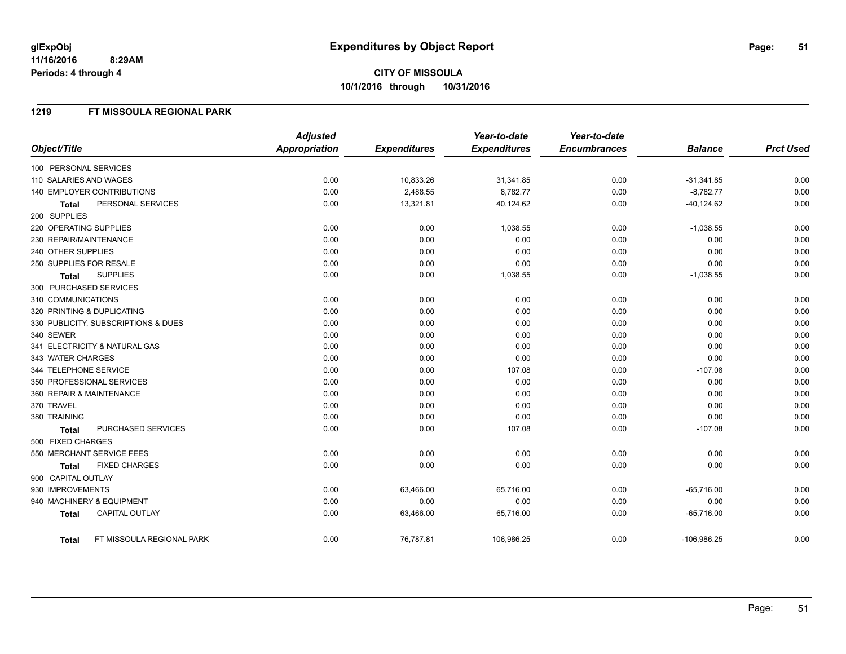# **CITY OF MISSOULA 10/1/2016 through 10/31/2016**

#### **1219 FT MISSOULA REGIONAL PARK**

|                                           | <b>Adjusted</b>      |                     | Year-to-date        | Year-to-date        |                |                  |
|-------------------------------------------|----------------------|---------------------|---------------------|---------------------|----------------|------------------|
| Object/Title                              | <b>Appropriation</b> | <b>Expenditures</b> | <b>Expenditures</b> | <b>Encumbrances</b> | <b>Balance</b> | <b>Prct Used</b> |
| 100 PERSONAL SERVICES                     |                      |                     |                     |                     |                |                  |
| 110 SALARIES AND WAGES                    | 0.00                 | 10,833.26           | 31,341.85           | 0.00                | $-31,341.85$   | 0.00             |
| 140 EMPLOYER CONTRIBUTIONS                | 0.00                 | 2,488.55            | 8,782.77            | 0.00                | $-8,782.77$    | 0.00             |
| PERSONAL SERVICES<br><b>Total</b>         | 0.00                 | 13,321.81           | 40,124.62           | 0.00                | $-40, 124.62$  | 0.00             |
| 200 SUPPLIES                              |                      |                     |                     |                     |                |                  |
| 220 OPERATING SUPPLIES                    | 0.00                 | 0.00                | 1,038.55            | 0.00                | $-1,038.55$    | 0.00             |
| 230 REPAIR/MAINTENANCE                    | 0.00                 | 0.00                | 0.00                | 0.00                | 0.00           | 0.00             |
| 240 OTHER SUPPLIES                        | 0.00                 | 0.00                | 0.00                | 0.00                | 0.00           | 0.00             |
| 250 SUPPLIES FOR RESALE                   | 0.00                 | 0.00                | 0.00                | 0.00                | 0.00           | 0.00             |
| <b>SUPPLIES</b><br><b>Total</b>           | 0.00                 | 0.00                | 1,038.55            | 0.00                | $-1,038.55$    | 0.00             |
| 300 PURCHASED SERVICES                    |                      |                     |                     |                     |                |                  |
| 310 COMMUNICATIONS                        | 0.00                 | 0.00                | 0.00                | 0.00                | 0.00           | 0.00             |
| 320 PRINTING & DUPLICATING                | 0.00                 | 0.00                | 0.00                | 0.00                | 0.00           | 0.00             |
| 330 PUBLICITY, SUBSCRIPTIONS & DUES       | 0.00                 | 0.00                | 0.00                | 0.00                | 0.00           | 0.00             |
| 340 SEWER                                 | 0.00                 | 0.00                | 0.00                | 0.00                | 0.00           | 0.00             |
| 341 ELECTRICITY & NATURAL GAS             | 0.00                 | 0.00                | 0.00                | 0.00                | 0.00           | 0.00             |
| 343 WATER CHARGES                         | 0.00                 | 0.00                | 0.00                | 0.00                | 0.00           | 0.00             |
| 344 TELEPHONE SERVICE                     | 0.00                 | 0.00                | 107.08              | 0.00                | $-107.08$      | 0.00             |
| 350 PROFESSIONAL SERVICES                 | 0.00                 | 0.00                | 0.00                | 0.00                | 0.00           | 0.00             |
| 360 REPAIR & MAINTENANCE                  | 0.00                 | 0.00                | 0.00                | 0.00                | 0.00           | 0.00             |
| 370 TRAVEL                                | 0.00                 | 0.00                | 0.00                | 0.00                | 0.00           | 0.00             |
| 380 TRAINING                              | 0.00                 | 0.00                | 0.00                | 0.00                | 0.00           | 0.00             |
| PURCHASED SERVICES<br><b>Total</b>        | 0.00                 | 0.00                | 107.08              | 0.00                | $-107.08$      | 0.00             |
| 500 FIXED CHARGES                         |                      |                     |                     |                     |                |                  |
| 550 MERCHANT SERVICE FEES                 | 0.00                 | 0.00                | 0.00                | 0.00                | 0.00           | 0.00             |
| <b>FIXED CHARGES</b><br>Total             | 0.00                 | 0.00                | 0.00                | 0.00                | 0.00           | 0.00             |
| 900 CAPITAL OUTLAY                        |                      |                     |                     |                     |                |                  |
| 930 IMPROVEMENTS                          | 0.00                 | 63,466.00           | 65,716.00           | 0.00                | $-65,716.00$   | 0.00             |
| 940 MACHINERY & EQUIPMENT                 | 0.00                 | 0.00                | 0.00                | 0.00                | 0.00           | 0.00             |
| <b>CAPITAL OUTLAY</b><br><b>Total</b>     | 0.00                 | 63,466.00           | 65,716.00           | 0.00                | $-65,716.00$   | 0.00             |
| FT MISSOULA REGIONAL PARK<br><b>Total</b> | 0.00                 | 76,787.81           | 106,986.25          | 0.00                | $-106,986.25$  | 0.00             |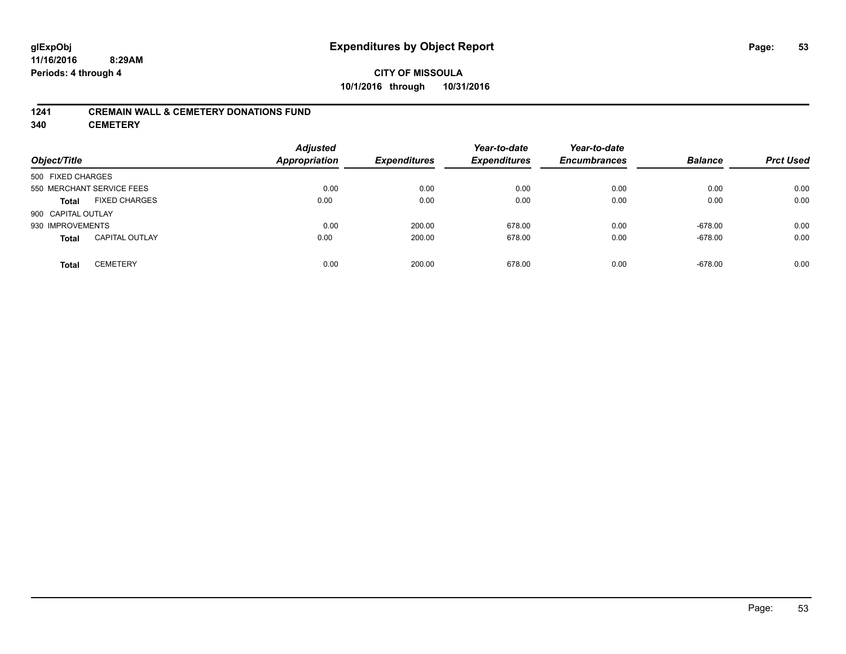## **CITY OF MISSOULA 10/1/2016 through 10/31/2016**

#### **1241 CREMAIN WALL & CEMETERY DONATIONS FUND**

**340 CEMETERY**

| Object/Title                          | <b>Adjusted</b><br>Appropriation | <b>Expenditures</b> | Year-to-date<br><b>Expenditures</b> | Year-to-date<br><b>Encumbrances</b> | <b>Balance</b> | <b>Prct Used</b> |
|---------------------------------------|----------------------------------|---------------------|-------------------------------------|-------------------------------------|----------------|------------------|
| 500 FIXED CHARGES                     |                                  |                     |                                     |                                     |                |                  |
| 550 MERCHANT SERVICE FEES             | 0.00                             | 0.00                | 0.00                                | 0.00                                | 0.00           | 0.00             |
| <b>FIXED CHARGES</b><br><b>Total</b>  | 0.00                             | 0.00                | 0.00                                | 0.00                                | 0.00           | 0.00             |
| 900 CAPITAL OUTLAY                    |                                  |                     |                                     |                                     |                |                  |
| 930 IMPROVEMENTS                      | 0.00                             | 200.00              | 678.00                              | 0.00                                | $-678.00$      | 0.00             |
| <b>CAPITAL OUTLAY</b><br><b>Total</b> | 0.00                             | 200.00              | 678.00                              | 0.00                                | $-678.00$      | 0.00             |
| <b>CEMETERY</b><br><b>Total</b>       | 0.00                             | 200.00              | 678.00                              | 0.00                                | $-678.00$      | 0.00             |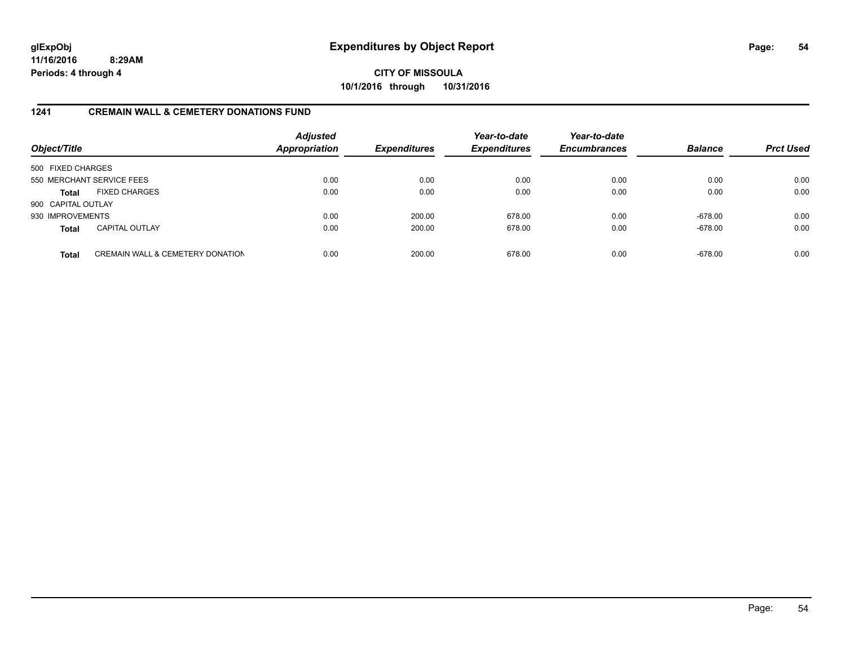**CITY OF MISSOULA 10/1/2016 through 10/31/2016**

#### **1241 CREMAIN WALL & CEMETERY DONATIONS FUND**

| Object/Title       |                                             | <b>Adjusted</b><br><b>Appropriation</b> | <b>Expenditures</b> | Year-to-date<br><b>Expenditures</b> | Year-to-date<br><b>Encumbrances</b> | <b>Balance</b> | <b>Prct Used</b> |
|--------------------|---------------------------------------------|-----------------------------------------|---------------------|-------------------------------------|-------------------------------------|----------------|------------------|
| 500 FIXED CHARGES  |                                             |                                         |                     |                                     |                                     |                |                  |
|                    | 550 MERCHANT SERVICE FEES                   | 0.00                                    | 0.00                | 0.00                                | 0.00                                | 0.00           | 0.00             |
| <b>Total</b>       | <b>FIXED CHARGES</b>                        | 0.00                                    | 0.00                | 0.00                                | 0.00                                | 0.00           | 0.00             |
| 900 CAPITAL OUTLAY |                                             |                                         |                     |                                     |                                     |                |                  |
| 930 IMPROVEMENTS   |                                             | 0.00                                    | 200.00              | 678.00                              | 0.00                                | $-678.00$      | 0.00             |
| <b>Total</b>       | <b>CAPITAL OUTLAY</b>                       | 0.00                                    | 200.00              | 678.00                              | 0.00                                | $-678.00$      | 0.00             |
| <b>Total</b>       | <b>CREMAIN WALL &amp; CEMETERY DONATION</b> | 0.00                                    | 200.00              | 678.00                              | 0.00                                | $-678.00$      | 0.00             |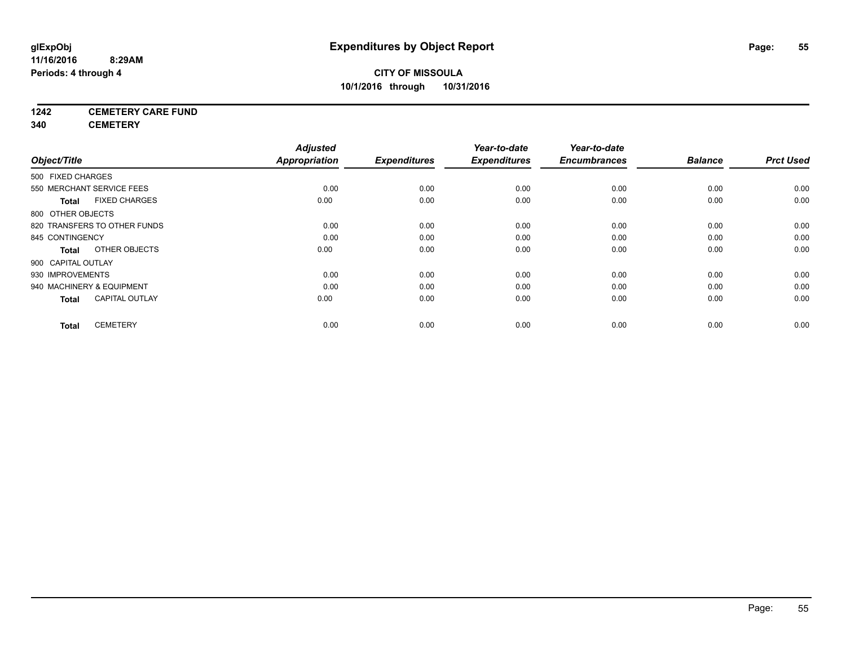# **1242 CEMETERY CARE FUND**

**340 CEMETERY**

|                                       | <b>Adjusted</b>      |                     | Year-to-date        | Year-to-date        |                |                  |
|---------------------------------------|----------------------|---------------------|---------------------|---------------------|----------------|------------------|
| Object/Title                          | <b>Appropriation</b> | <b>Expenditures</b> | <b>Expenditures</b> | <b>Encumbrances</b> | <b>Balance</b> | <b>Prct Used</b> |
| 500 FIXED CHARGES                     |                      |                     |                     |                     |                |                  |
| 550 MERCHANT SERVICE FEES             | 0.00                 | 0.00                | 0.00                | 0.00                | 0.00           | 0.00             |
| <b>FIXED CHARGES</b><br><b>Total</b>  | 0.00                 | 0.00                | 0.00                | 0.00                | 0.00           | 0.00             |
| 800 OTHER OBJECTS                     |                      |                     |                     |                     |                |                  |
| 820 TRANSFERS TO OTHER FUNDS          | 0.00                 | 0.00                | 0.00                | 0.00                | 0.00           | 0.00             |
| 845 CONTINGENCY                       | 0.00                 | 0.00                | 0.00                | 0.00                | 0.00           | 0.00             |
| OTHER OBJECTS<br>Total                | 0.00                 | 0.00                | 0.00                | 0.00                | 0.00           | 0.00             |
| 900 CAPITAL OUTLAY                    |                      |                     |                     |                     |                |                  |
| 930 IMPROVEMENTS                      | 0.00                 | 0.00                | 0.00                | 0.00                | 0.00           | 0.00             |
| 940 MACHINERY & EQUIPMENT             | 0.00                 | 0.00                | 0.00                | 0.00                | 0.00           | 0.00             |
| <b>CAPITAL OUTLAY</b><br><b>Total</b> | 0.00                 | 0.00                | 0.00                | 0.00                | 0.00           | 0.00             |
| <b>CEMETERY</b><br><b>Total</b>       | 0.00                 | 0.00                | 0.00                | 0.00                | 0.00           | 0.00             |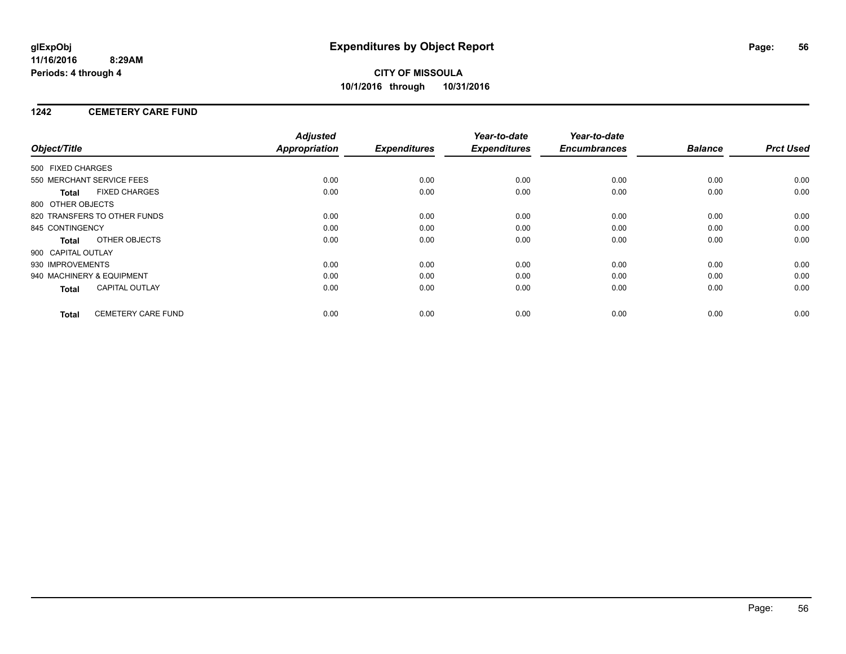## **CITY OF MISSOULA 10/1/2016 through 10/31/2016**

### **1242 CEMETERY CARE FUND**

|                           |                              | <b>Adjusted</b>      |                     | Year-to-date        | Year-to-date        |                |                  |
|---------------------------|------------------------------|----------------------|---------------------|---------------------|---------------------|----------------|------------------|
| Object/Title              |                              | <b>Appropriation</b> | <b>Expenditures</b> | <b>Expenditures</b> | <b>Encumbrances</b> | <b>Balance</b> | <b>Prct Used</b> |
| 500 FIXED CHARGES         |                              |                      |                     |                     |                     |                |                  |
|                           | 550 MERCHANT SERVICE FEES    | 0.00                 | 0.00                | 0.00                | 0.00                | 0.00           | 0.00             |
| <b>Total</b>              | <b>FIXED CHARGES</b>         | 0.00                 | 0.00                | 0.00                | 0.00                | 0.00           | 0.00             |
| 800 OTHER OBJECTS         |                              |                      |                     |                     |                     |                |                  |
|                           | 820 TRANSFERS TO OTHER FUNDS | 0.00                 | 0.00                | 0.00                | 0.00                | 0.00           | 0.00             |
| 845 CONTINGENCY           |                              | 0.00                 | 0.00                | 0.00                | 0.00                | 0.00           | 0.00             |
| <b>Total</b>              | OTHER OBJECTS                | 0.00                 | 0.00                | 0.00                | 0.00                | 0.00           | 0.00             |
| 900 CAPITAL OUTLAY        |                              |                      |                     |                     |                     |                |                  |
| 930 IMPROVEMENTS          |                              | 0.00                 | 0.00                | 0.00                | 0.00                | 0.00           | 0.00             |
| 940 MACHINERY & EQUIPMENT |                              | 0.00                 | 0.00                | 0.00                | 0.00                | 0.00           | 0.00             |
| <b>Total</b>              | <b>CAPITAL OUTLAY</b>        | 0.00                 | 0.00                | 0.00                | 0.00                | 0.00           | 0.00             |
| <b>Total</b>              | <b>CEMETERY CARE FUND</b>    | 0.00                 | 0.00                | 0.00                | 0.00                | 0.00           | 0.00             |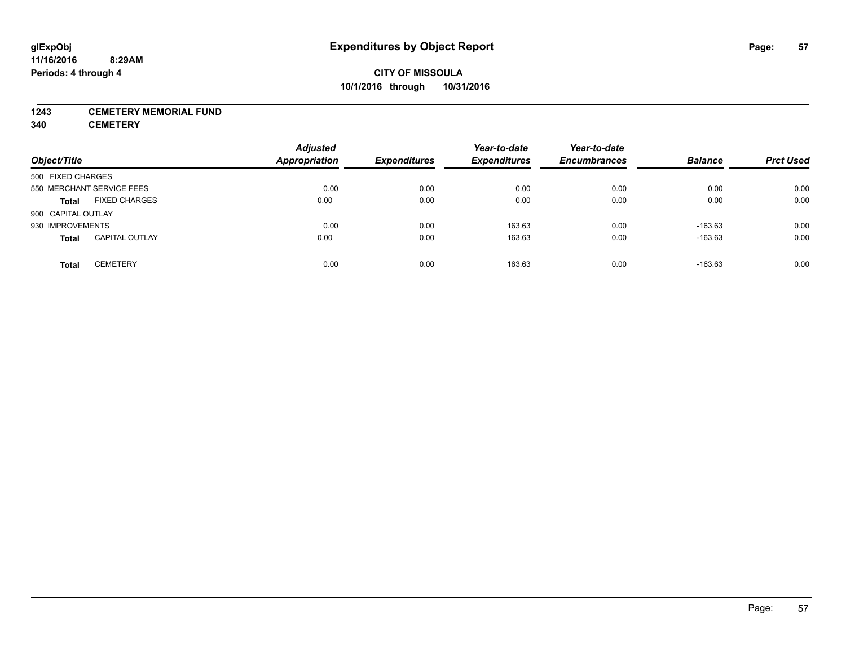#### **1243 CEMETERY MEMORIAL FUND**

**340 CEMETERY**

| Object/Title                          | <b>Adjusted</b><br>Appropriation | <b>Expenditures</b> | Year-to-date<br><b>Expenditures</b> | Year-to-date<br><b>Encumbrances</b> | <b>Balance</b> | <b>Prct Used</b> |
|---------------------------------------|----------------------------------|---------------------|-------------------------------------|-------------------------------------|----------------|------------------|
| 500 FIXED CHARGES                     |                                  |                     |                                     |                                     |                |                  |
| 550 MERCHANT SERVICE FEES             | 0.00                             | 0.00                | 0.00                                | 0.00                                | 0.00           | 0.00             |
| <b>FIXED CHARGES</b><br><b>Total</b>  | 0.00                             | 0.00                | 0.00                                | 0.00                                | 0.00           | 0.00             |
| 900 CAPITAL OUTLAY                    |                                  |                     |                                     |                                     |                |                  |
| 930 IMPROVEMENTS                      | 0.00                             | 0.00                | 163.63                              | 0.00                                | $-163.63$      | 0.00             |
| <b>CAPITAL OUTLAY</b><br><b>Total</b> | 0.00                             | 0.00                | 163.63                              | 0.00                                | $-163.63$      | 0.00             |
| <b>CEMETERY</b><br><b>Total</b>       | 0.00                             | 0.00                | 163.63                              | 0.00                                | $-163.63$      | 0.00             |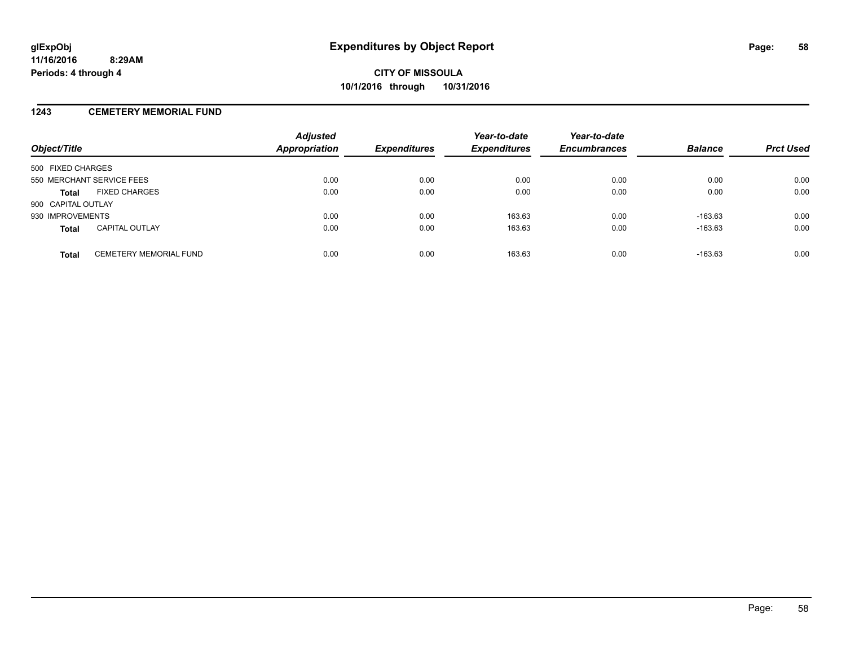#### **1243 CEMETERY MEMORIAL FUND**

| Object/Title              |                               | <b>Adjusted</b><br><b>Appropriation</b> | <b>Expenditures</b> | Year-to-date<br><b>Expenditures</b> | Year-to-date<br><b>Encumbrances</b> | <b>Balance</b> | <b>Prct Used</b> |
|---------------------------|-------------------------------|-----------------------------------------|---------------------|-------------------------------------|-------------------------------------|----------------|------------------|
| 500 FIXED CHARGES         |                               |                                         |                     |                                     |                                     |                |                  |
| 550 MERCHANT SERVICE FEES |                               | 0.00                                    | 0.00                | 0.00                                | 0.00                                | 0.00           | 0.00             |
| <b>Total</b>              | <b>FIXED CHARGES</b>          | 0.00                                    | 0.00                | 0.00                                | 0.00                                | 0.00           | 0.00             |
| 900 CAPITAL OUTLAY        |                               |                                         |                     |                                     |                                     |                |                  |
| 930 IMPROVEMENTS          |                               | 0.00                                    | 0.00                | 163.63                              | 0.00                                | $-163.63$      | 0.00             |
| <b>Total</b>              | <b>CAPITAL OUTLAY</b>         | 0.00                                    | 0.00                | 163.63                              | 0.00                                | $-163.63$      | 0.00             |
| <b>Total</b>              | <b>CEMETERY MEMORIAL FUND</b> | 0.00                                    | 0.00                | 163.63                              | 0.00                                | $-163.63$      | 0.00             |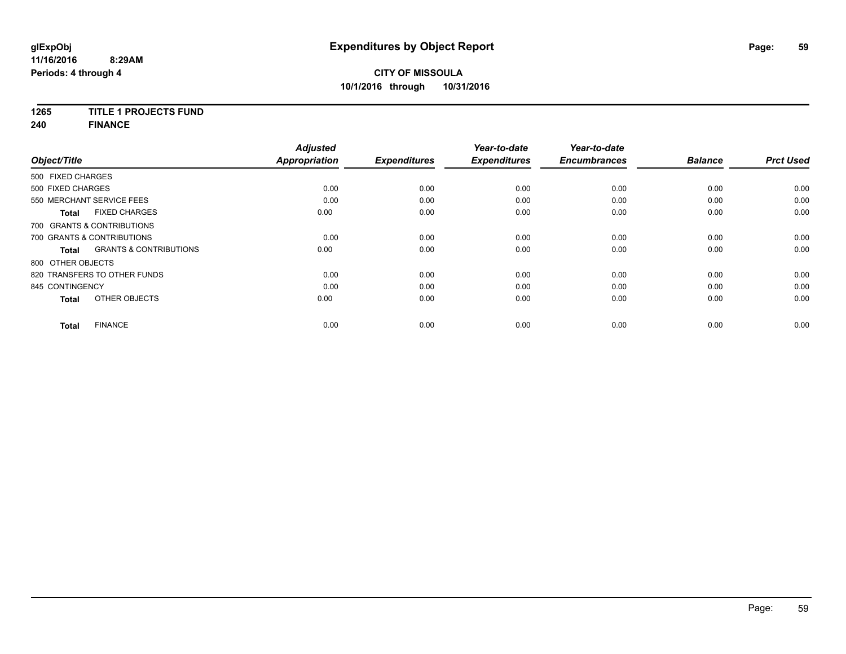# **1265 TITLE 1 PROJECTS FUND**

**240 FINANCE**

| Object/Title                               | <b>Adjusted</b><br><b>Appropriation</b> | <b>Expenditures</b> | Year-to-date<br><b>Expenditures</b> | Year-to-date<br><b>Encumbrances</b> | <b>Balance</b> | <b>Prct Used</b> |
|--------------------------------------------|-----------------------------------------|---------------------|-------------------------------------|-------------------------------------|----------------|------------------|
| 500 FIXED CHARGES                          |                                         |                     |                                     |                                     |                |                  |
| 500 FIXED CHARGES                          | 0.00                                    | 0.00                | 0.00                                | 0.00                                | 0.00           | 0.00             |
| 550 MERCHANT SERVICE FEES                  | 0.00                                    | 0.00                | 0.00                                | 0.00                                | 0.00           | 0.00             |
| <b>FIXED CHARGES</b><br><b>Total</b>       | 0.00                                    | 0.00                | 0.00                                | 0.00                                | 0.00           | 0.00             |
| 700 GRANTS & CONTRIBUTIONS                 |                                         |                     |                                     |                                     |                |                  |
| 700 GRANTS & CONTRIBUTIONS                 | 0.00                                    | 0.00                | 0.00                                | 0.00                                | 0.00           | 0.00             |
| <b>GRANTS &amp; CONTRIBUTIONS</b><br>Total | 0.00                                    | 0.00                | 0.00                                | 0.00                                | 0.00           | 0.00             |
| 800 OTHER OBJECTS                          |                                         |                     |                                     |                                     |                |                  |
| 820 TRANSFERS TO OTHER FUNDS               | 0.00                                    | 0.00                | 0.00                                | 0.00                                | 0.00           | 0.00             |
| 845 CONTINGENCY                            | 0.00                                    | 0.00                | 0.00                                | 0.00                                | 0.00           | 0.00             |
| OTHER OBJECTS<br><b>Total</b>              | 0.00                                    | 0.00                | 0.00                                | 0.00                                | 0.00           | 0.00             |
| <b>FINANCE</b><br><b>Total</b>             | 0.00                                    | 0.00                | 0.00                                | 0.00                                | 0.00           | 0.00             |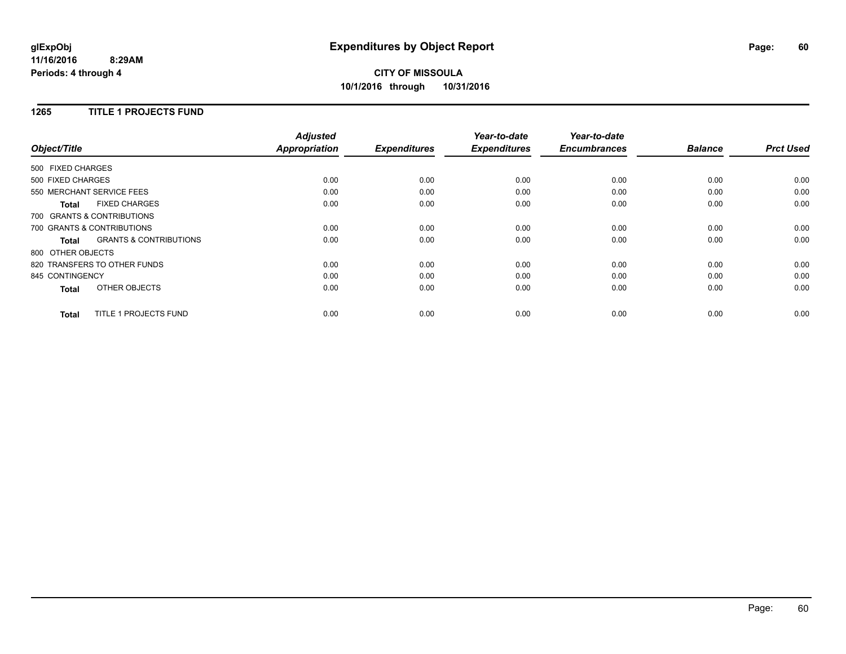## **CITY OF MISSOULA 10/1/2016 through 10/31/2016**

### **1265 TITLE 1 PROJECTS FUND**

|                                                   | <b>Adjusted</b>      |                     | Year-to-date        | Year-to-date        |                |                  |
|---------------------------------------------------|----------------------|---------------------|---------------------|---------------------|----------------|------------------|
| Object/Title                                      | <b>Appropriation</b> | <b>Expenditures</b> | <b>Expenditures</b> | <b>Encumbrances</b> | <b>Balance</b> | <b>Prct Used</b> |
| 500 FIXED CHARGES                                 |                      |                     |                     |                     |                |                  |
| 500 FIXED CHARGES                                 | 0.00                 | 0.00                | 0.00                | 0.00                | 0.00           | 0.00             |
| 550 MERCHANT SERVICE FEES                         | 0.00                 | 0.00                | 0.00                | 0.00                | 0.00           | 0.00             |
| <b>FIXED CHARGES</b><br><b>Total</b>              | 0.00                 | 0.00                | 0.00                | 0.00                | 0.00           | 0.00             |
| 700 GRANTS & CONTRIBUTIONS                        |                      |                     |                     |                     |                |                  |
| 700 GRANTS & CONTRIBUTIONS                        | 0.00                 | 0.00                | 0.00                | 0.00                | 0.00           | 0.00             |
| <b>GRANTS &amp; CONTRIBUTIONS</b><br><b>Total</b> | 0.00                 | 0.00                | 0.00                | 0.00                | 0.00           | 0.00             |
| 800 OTHER OBJECTS                                 |                      |                     |                     |                     |                |                  |
| 820 TRANSFERS TO OTHER FUNDS                      | 0.00                 | 0.00                | 0.00                | 0.00                | 0.00           | 0.00             |
| 845 CONTINGENCY                                   | 0.00                 | 0.00                | 0.00                | 0.00                | 0.00           | 0.00             |
| OTHER OBJECTS<br><b>Total</b>                     | 0.00                 | 0.00                | 0.00                | 0.00                | 0.00           | 0.00             |
| TITLE 1 PROJECTS FUND<br><b>Total</b>             | 0.00                 | 0.00                | 0.00                | 0.00                | 0.00           | 0.00             |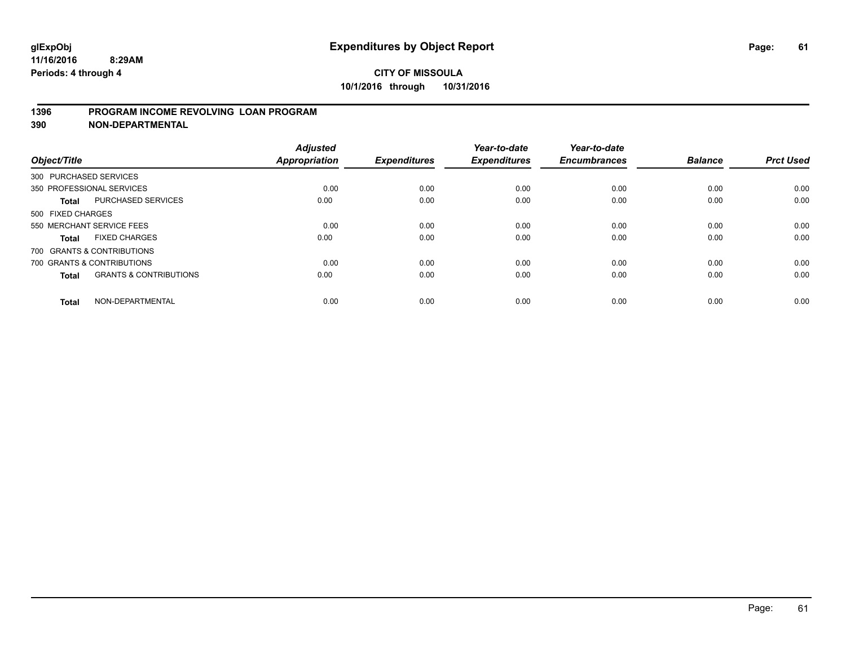### **1396 PROGRAM INCOME REVOLVING LOAN PROGRAM**

**390 NON-DEPARTMENTAL**

| Object/Title      |                                   | <b>Adjusted</b><br><b>Appropriation</b> | <b>Expenditures</b> | Year-to-date<br><b>Expenditures</b> | Year-to-date<br><b>Encumbrances</b> | <b>Balance</b> | <b>Prct Used</b> |
|-------------------|-----------------------------------|-----------------------------------------|---------------------|-------------------------------------|-------------------------------------|----------------|------------------|
|                   | 300 PURCHASED SERVICES            |                                         |                     |                                     |                                     |                |                  |
|                   | 350 PROFESSIONAL SERVICES         | 0.00                                    | 0.00                | 0.00                                | 0.00                                | 0.00           | 0.00             |
| Total             | <b>PURCHASED SERVICES</b>         | 0.00                                    | 0.00                | 0.00                                | 0.00                                | 0.00           | 0.00             |
| 500 FIXED CHARGES |                                   |                                         |                     |                                     |                                     |                |                  |
|                   | 550 MERCHANT SERVICE FEES         | 0.00                                    | 0.00                | 0.00                                | 0.00                                | 0.00           | 0.00             |
| <b>Total</b>      | <b>FIXED CHARGES</b>              | 0.00                                    | 0.00                | 0.00                                | 0.00                                | 0.00           | 0.00             |
|                   | 700 GRANTS & CONTRIBUTIONS        |                                         |                     |                                     |                                     |                |                  |
|                   | 700 GRANTS & CONTRIBUTIONS        | 0.00                                    | 0.00                | 0.00                                | 0.00                                | 0.00           | 0.00             |
| <b>Total</b>      | <b>GRANTS &amp; CONTRIBUTIONS</b> | 0.00                                    | 0.00                | 0.00                                | 0.00                                | 0.00           | 0.00             |
| <b>Total</b>      | NON-DEPARTMENTAL                  | 0.00                                    | 0.00                | 0.00                                | 0.00                                | 0.00           | 0.00             |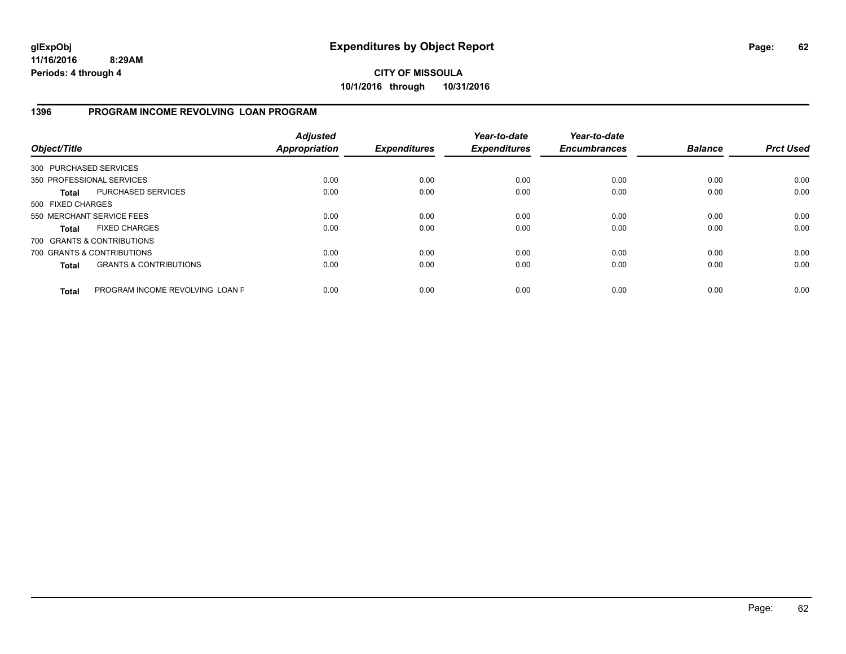## **1396 PROGRAM INCOME REVOLVING LOAN PROGRAM**

| Object/Title           |                                   | <b>Adjusted</b><br><b>Appropriation</b> | <b>Expenditures</b> | Year-to-date<br><b>Expenditures</b> | Year-to-date<br><b>Encumbrances</b> | <b>Balance</b> | <b>Prct Used</b> |
|------------------------|-----------------------------------|-----------------------------------------|---------------------|-------------------------------------|-------------------------------------|----------------|------------------|
| 300 PURCHASED SERVICES |                                   |                                         |                     |                                     |                                     |                |                  |
|                        | 350 PROFESSIONAL SERVICES         | 0.00                                    | 0.00                | 0.00                                | 0.00                                | 0.00           | 0.00             |
| <b>Total</b>           | <b>PURCHASED SERVICES</b>         | 0.00                                    | 0.00                | 0.00                                | 0.00                                | 0.00           | 0.00             |
| 500 FIXED CHARGES      |                                   |                                         |                     |                                     |                                     |                |                  |
|                        | 550 MERCHANT SERVICE FEES         | 0.00                                    | 0.00                | 0.00                                | 0.00                                | 0.00           | 0.00             |
| <b>Total</b>           | <b>FIXED CHARGES</b>              | 0.00                                    | 0.00                | 0.00                                | 0.00                                | 0.00           | 0.00             |
|                        | 700 GRANTS & CONTRIBUTIONS        |                                         |                     |                                     |                                     |                |                  |
|                        | 700 GRANTS & CONTRIBUTIONS        | 0.00                                    | 0.00                | 0.00                                | 0.00                                | 0.00           | 0.00             |
| <b>Total</b>           | <b>GRANTS &amp; CONTRIBUTIONS</b> | 0.00                                    | 0.00                | 0.00                                | 0.00                                | 0.00           | 0.00             |
| <b>Total</b>           | PROGRAM INCOME REVOLVING LOAN P   | 0.00                                    | 0.00                | 0.00                                | 0.00                                | 0.00           | 0.00             |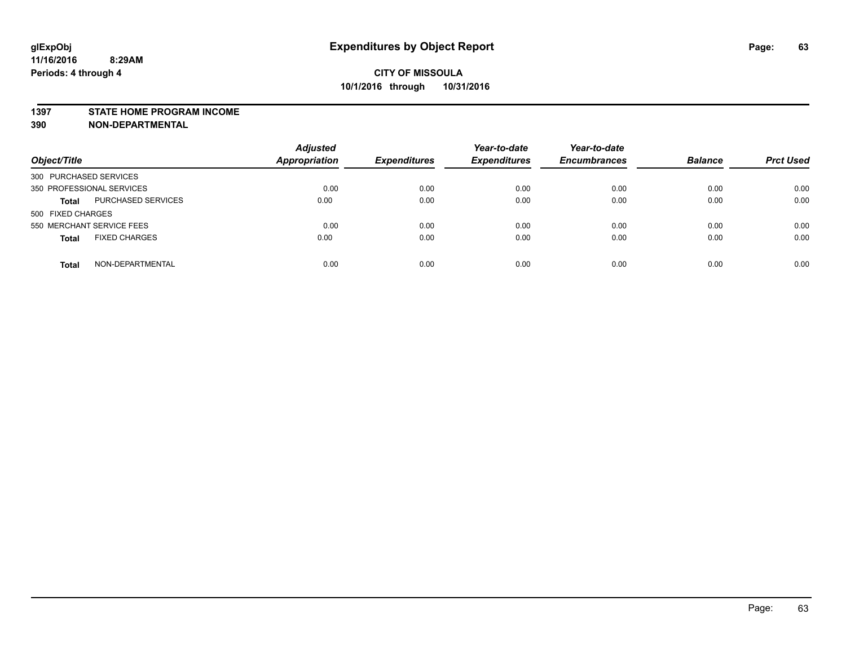#### **1397 STATE HOME PROGRAM INCOME**

**390 NON-DEPARTMENTAL**

| Object/Title                         | <b>Adjusted</b><br>Appropriation | <b>Expenditures</b> | Year-to-date<br><b>Expenditures</b> | Year-to-date<br><b>Encumbrances</b> | <b>Balance</b> | <b>Prct Used</b> |
|--------------------------------------|----------------------------------|---------------------|-------------------------------------|-------------------------------------|----------------|------------------|
| 300 PURCHASED SERVICES               |                                  |                     |                                     |                                     |                |                  |
| 350 PROFESSIONAL SERVICES            | 0.00                             | 0.00                | 0.00                                | 0.00                                | 0.00           | 0.00             |
| PURCHASED SERVICES<br><b>Total</b>   | 0.00                             | 0.00                | 0.00                                | 0.00                                | 0.00           | 0.00             |
| 500 FIXED CHARGES                    |                                  |                     |                                     |                                     |                |                  |
| 550 MERCHANT SERVICE FEES            | 0.00                             | 0.00                | 0.00                                | 0.00                                | 0.00           | 0.00             |
| <b>FIXED CHARGES</b><br><b>Total</b> | 0.00                             | 0.00                | 0.00                                | 0.00                                | 0.00           | 0.00             |
| NON-DEPARTMENTAL<br><b>Total</b>     | 0.00                             | 0.00                | 0.00                                | 0.00                                | 0.00           | 0.00             |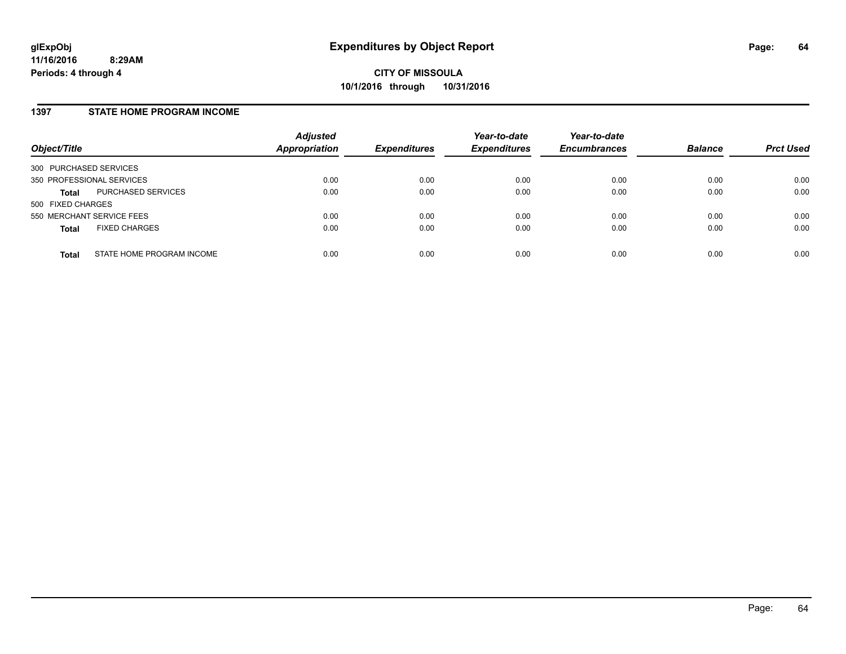#### **1397 STATE HOME PROGRAM INCOME**

| Object/Title                              | <b>Adjusted</b><br><b>Appropriation</b> | <b>Expenditures</b> | Year-to-date<br><b>Expenditures</b> | Year-to-date<br><b>Encumbrances</b> | <b>Balance</b> | <b>Prct Used</b> |
|-------------------------------------------|-----------------------------------------|---------------------|-------------------------------------|-------------------------------------|----------------|------------------|
| 300 PURCHASED SERVICES                    |                                         |                     |                                     |                                     |                |                  |
| 350 PROFESSIONAL SERVICES                 | 0.00                                    | 0.00                | 0.00                                | 0.00                                | 0.00           | 0.00             |
| PURCHASED SERVICES<br><b>Total</b>        | 0.00                                    | 0.00                | 0.00                                | 0.00                                | 0.00           | 0.00             |
| 500 FIXED CHARGES                         |                                         |                     |                                     |                                     |                |                  |
| 550 MERCHANT SERVICE FEES                 | 0.00                                    | 0.00                | 0.00                                | 0.00                                | 0.00           | 0.00             |
| <b>FIXED CHARGES</b><br><b>Total</b>      | 0.00                                    | 0.00                | 0.00                                | 0.00                                | 0.00           | 0.00             |
| STATE HOME PROGRAM INCOME<br><b>Total</b> | 0.00                                    | 0.00                | 0.00                                | 0.00                                | 0.00           | 0.00             |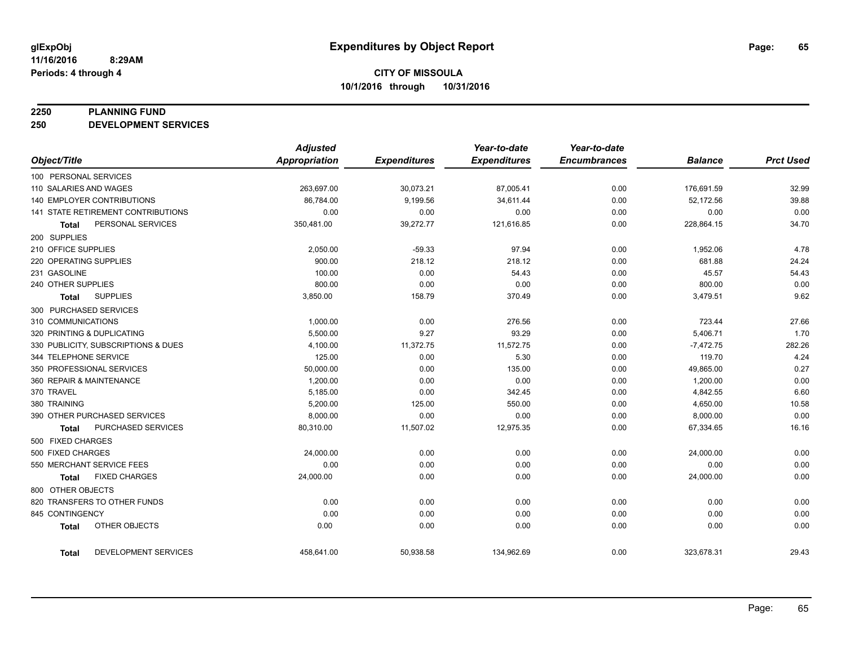#### **2250 PLANNING FUND**

**250 DEVELOPMENT SERVICES**

|                                           | <b>Adjusted</b>      |                     | Year-to-date        | Year-to-date        |                |                  |
|-------------------------------------------|----------------------|---------------------|---------------------|---------------------|----------------|------------------|
| Object/Title                              | <b>Appropriation</b> | <b>Expenditures</b> | <b>Expenditures</b> | <b>Encumbrances</b> | <b>Balance</b> | <b>Prct Used</b> |
| 100 PERSONAL SERVICES                     |                      |                     |                     |                     |                |                  |
| 110 SALARIES AND WAGES                    | 263,697.00           | 30,073.21           | 87,005.41           | 0.00                | 176,691.59     | 32.99            |
| <b>140 EMPLOYER CONTRIBUTIONS</b>         | 86,784.00            | 9,199.56            | 34,611.44           | 0.00                | 52,172.56      | 39.88            |
| <b>141 STATE RETIREMENT CONTRIBUTIONS</b> | 0.00                 | 0.00                | 0.00                | 0.00                | 0.00           | 0.00             |
| PERSONAL SERVICES<br><b>Total</b>         | 350,481.00           | 39,272.77           | 121,616.85          | 0.00                | 228,864.15     | 34.70            |
| 200 SUPPLIES                              |                      |                     |                     |                     |                |                  |
| 210 OFFICE SUPPLIES                       | 2,050.00             | $-59.33$            | 97.94               | 0.00                | 1,952.06       | 4.78             |
| 220 OPERATING SUPPLIES                    | 900.00               | 218.12              | 218.12              | 0.00                | 681.88         | 24.24            |
| 231 GASOLINE                              | 100.00               | 0.00                | 54.43               | 0.00                | 45.57          | 54.43            |
| 240 OTHER SUPPLIES                        | 800.00               | 0.00                | 0.00                | 0.00                | 800.00         | 0.00             |
| <b>SUPPLIES</b><br><b>Total</b>           | 3,850.00             | 158.79              | 370.49              | 0.00                | 3,479.51       | 9.62             |
| 300 PURCHASED SERVICES                    |                      |                     |                     |                     |                |                  |
| 310 COMMUNICATIONS                        | 1,000.00             | 0.00                | 276.56              | 0.00                | 723.44         | 27.66            |
| 320 PRINTING & DUPLICATING                | 5,500.00             | 9.27                | 93.29               | 0.00                | 5,406.71       | 1.70             |
| 330 PUBLICITY, SUBSCRIPTIONS & DUES       | 4,100.00             | 11,372.75           | 11,572.75           | 0.00                | $-7,472.75$    | 282.26           |
| 344 TELEPHONE SERVICE                     | 125.00               | 0.00                | 5.30                | 0.00                | 119.70         | 4.24             |
| 350 PROFESSIONAL SERVICES                 | 50,000.00            | 0.00                | 135.00              | 0.00                | 49,865.00      | 0.27             |
| 360 REPAIR & MAINTENANCE                  | 1,200.00             | 0.00                | 0.00                | 0.00                | 1,200.00       | 0.00             |
| 370 TRAVEL                                | 5,185.00             | 0.00                | 342.45              | 0.00                | 4,842.55       | 6.60             |
| 380 TRAINING                              | 5,200.00             | 125.00              | 550.00              | 0.00                | 4,650.00       | 10.58            |
| 390 OTHER PURCHASED SERVICES              | 8,000.00             | 0.00                | 0.00                | 0.00                | 8,000.00       | 0.00             |
| <b>PURCHASED SERVICES</b><br><b>Total</b> | 80,310.00            | 11,507.02           | 12,975.35           | 0.00                | 67,334.65      | 16.16            |
| 500 FIXED CHARGES                         |                      |                     |                     |                     |                |                  |
| 500 FIXED CHARGES                         | 24,000.00            | 0.00                | 0.00                | 0.00                | 24,000.00      | 0.00             |
| 550 MERCHANT SERVICE FEES                 | 0.00                 | 0.00                | 0.00                | 0.00                | 0.00           | 0.00             |
| <b>FIXED CHARGES</b><br><b>Total</b>      | 24,000.00            | 0.00                | 0.00                | 0.00                | 24,000.00      | 0.00             |
| 800 OTHER OBJECTS                         |                      |                     |                     |                     |                |                  |
| 820 TRANSFERS TO OTHER FUNDS              | 0.00                 | 0.00                | 0.00                | 0.00                | 0.00           | 0.00             |
| 845 CONTINGENCY                           | 0.00                 | 0.00                | 0.00                | 0.00                | 0.00           | 0.00             |
| OTHER OBJECTS<br><b>Total</b>             | 0.00                 | 0.00                | 0.00                | 0.00                | 0.00           | 0.00             |
| DEVELOPMENT SERVICES<br><b>Total</b>      | 458,641.00           | 50,938.58           | 134,962.69          | 0.00                | 323,678.31     | 29.43            |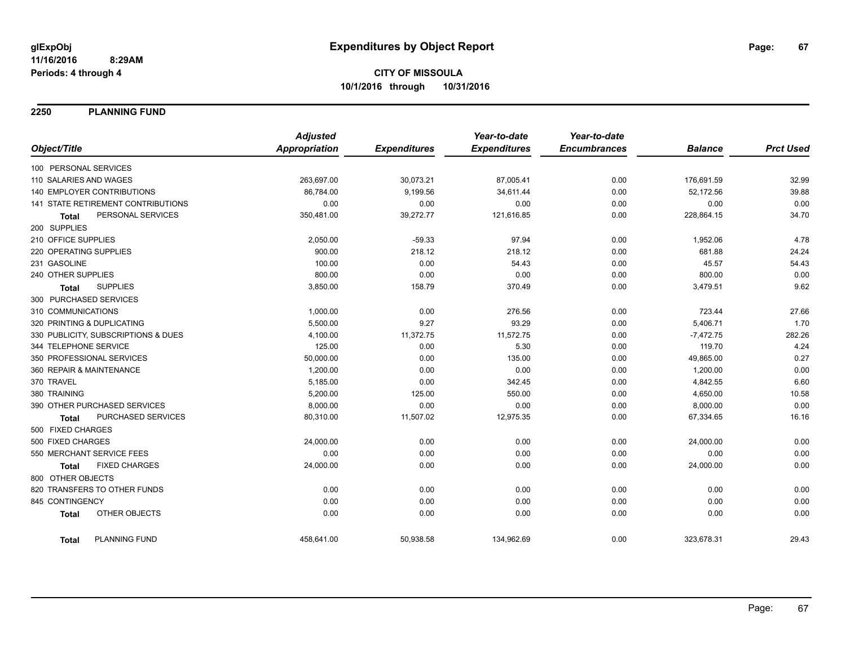**2250 PLANNING FUND**

|                                      | <b>Adjusted</b>      |                     | Year-to-date        | Year-to-date        |                |                  |
|--------------------------------------|----------------------|---------------------|---------------------|---------------------|----------------|------------------|
| Object/Title                         | <b>Appropriation</b> | <b>Expenditures</b> | <b>Expenditures</b> | <b>Encumbrances</b> | <b>Balance</b> | <b>Prct Used</b> |
| 100 PERSONAL SERVICES                |                      |                     |                     |                     |                |                  |
| 110 SALARIES AND WAGES               | 263,697.00           | 30,073.21           | 87,005.41           | 0.00                | 176,691.59     | 32.99            |
| 140 EMPLOYER CONTRIBUTIONS           | 86,784.00            | 9,199.56            | 34,611.44           | 0.00                | 52,172.56      | 39.88            |
| 141 STATE RETIREMENT CONTRIBUTIONS   | 0.00                 | 0.00                | 0.00                | 0.00                | 0.00           | 0.00             |
| PERSONAL SERVICES<br>Total           | 350,481.00           | 39,272.77           | 121,616.85          | 0.00                | 228,864.15     | 34.70            |
| 200 SUPPLIES                         |                      |                     |                     |                     |                |                  |
| 210 OFFICE SUPPLIES                  | 2,050.00             | $-59.33$            | 97.94               | 0.00                | 1,952.06       | 4.78             |
| 220 OPERATING SUPPLIES               | 900.00               | 218.12              | 218.12              | 0.00                | 681.88         | 24.24            |
| 231 GASOLINE                         | 100.00               | 0.00                | 54.43               | 0.00                | 45.57          | 54.43            |
| 240 OTHER SUPPLIES                   | 800.00               | 0.00                | 0.00                | 0.00                | 800.00         | 0.00             |
| <b>SUPPLIES</b><br><b>Total</b>      | 3,850.00             | 158.79              | 370.49              | 0.00                | 3,479.51       | 9.62             |
| 300 PURCHASED SERVICES               |                      |                     |                     |                     |                |                  |
| 310 COMMUNICATIONS                   | 1,000.00             | 0.00                | 276.56              | 0.00                | 723.44         | 27.66            |
| 320 PRINTING & DUPLICATING           | 5,500.00             | 9.27                | 93.29               | 0.00                | 5,406.71       | 1.70             |
| 330 PUBLICITY, SUBSCRIPTIONS & DUES  | 4,100.00             | 11,372.75           | 11,572.75           | 0.00                | $-7,472.75$    | 282.26           |
| 344 TELEPHONE SERVICE                | 125.00               | 0.00                | 5.30                | 0.00                | 119.70         | 4.24             |
| 350 PROFESSIONAL SERVICES            | 50,000.00            | 0.00                | 135.00              | 0.00                | 49,865.00      | 0.27             |
| 360 REPAIR & MAINTENANCE             | 1,200.00             | 0.00                | 0.00                | 0.00                | 1,200.00       | 0.00             |
| 370 TRAVEL                           | 5,185.00             | 0.00                | 342.45              | 0.00                | 4,842.55       | 6.60             |
| 380 TRAINING                         | 5,200.00             | 125.00              | 550.00              | 0.00                | 4,650.00       | 10.58            |
| 390 OTHER PURCHASED SERVICES         | 8,000.00             | 0.00                | 0.00                | 0.00                | 8,000.00       | 0.00             |
| PURCHASED SERVICES<br>Total          | 80,310.00            | 11,507.02           | 12,975.35           | 0.00                | 67,334.65      | 16.16            |
| 500 FIXED CHARGES                    |                      |                     |                     |                     |                |                  |
| 500 FIXED CHARGES                    | 24,000.00            | 0.00                | 0.00                | 0.00                | 24,000.00      | 0.00             |
| 550 MERCHANT SERVICE FEES            | 0.00                 | 0.00                | 0.00                | 0.00                | 0.00           | 0.00             |
| <b>FIXED CHARGES</b><br><b>Total</b> | 24,000.00            | 0.00                | 0.00                | 0.00                | 24,000.00      | 0.00             |
| 800 OTHER OBJECTS                    |                      |                     |                     |                     |                |                  |
| 820 TRANSFERS TO OTHER FUNDS         | 0.00                 | 0.00                | 0.00                | 0.00                | 0.00           | 0.00             |
| 845 CONTINGENCY                      | 0.00                 | 0.00                | 0.00                | 0.00                | 0.00           | 0.00             |
| OTHER OBJECTS<br><b>Total</b>        | 0.00                 | 0.00                | 0.00                | 0.00                | 0.00           | 0.00             |
| <b>PLANNING FUND</b><br><b>Total</b> | 458,641.00           | 50,938.58           | 134,962.69          | 0.00                | 323,678.31     | 29.43            |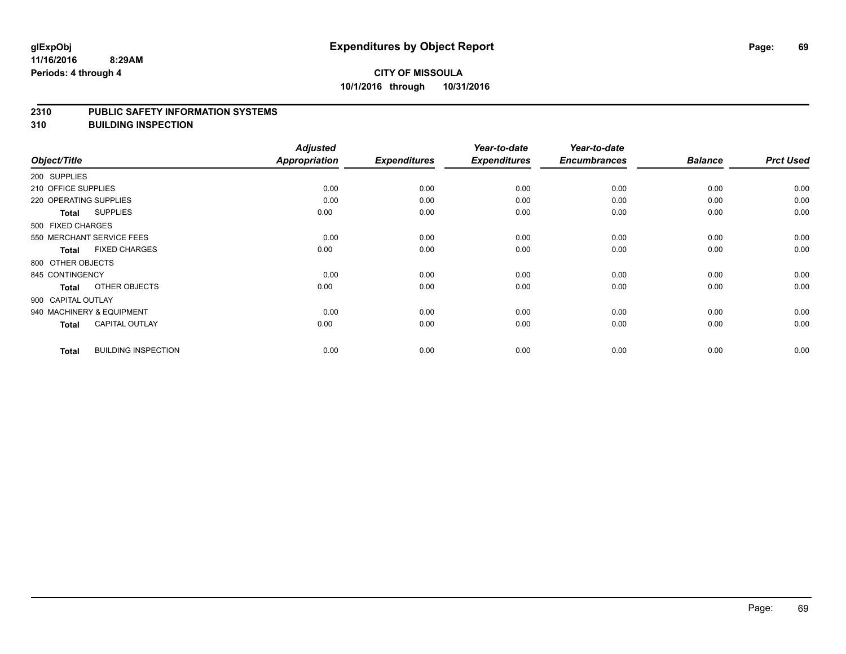#### **2310 PUBLIC SAFETY INFORMATION SYSTEMS**

**310 BUILDING INSPECTION**

| Object/Title              |                            | <b>Adjusted</b><br><b>Appropriation</b> | <b>Expenditures</b> | Year-to-date<br><b>Expenditures</b> | Year-to-date<br><b>Encumbrances</b> | <b>Balance</b> | <b>Prct Used</b> |
|---------------------------|----------------------------|-----------------------------------------|---------------------|-------------------------------------|-------------------------------------|----------------|------------------|
| 200 SUPPLIES              |                            |                                         |                     |                                     |                                     |                |                  |
| 210 OFFICE SUPPLIES       |                            | 0.00                                    | 0.00                | 0.00                                | 0.00                                | 0.00           | 0.00             |
| 220 OPERATING SUPPLIES    |                            | 0.00                                    | 0.00                | 0.00                                | 0.00                                | 0.00           | 0.00             |
| <b>Total</b>              | <b>SUPPLIES</b>            | 0.00                                    | 0.00                | 0.00                                | 0.00                                | 0.00           | 0.00             |
| 500 FIXED CHARGES         |                            |                                         |                     |                                     |                                     |                |                  |
| 550 MERCHANT SERVICE FEES |                            | 0.00                                    | 0.00                | 0.00                                | 0.00                                | 0.00           | 0.00             |
| <b>Total</b>              | <b>FIXED CHARGES</b>       | 0.00                                    | 0.00                | 0.00                                | 0.00                                | 0.00           | 0.00             |
| 800 OTHER OBJECTS         |                            |                                         |                     |                                     |                                     |                |                  |
| 845 CONTINGENCY           |                            | 0.00                                    | 0.00                | 0.00                                | 0.00                                | 0.00           | 0.00             |
| <b>Total</b>              | OTHER OBJECTS              | 0.00                                    | 0.00                | 0.00                                | 0.00                                | 0.00           | 0.00             |
| 900 CAPITAL OUTLAY        |                            |                                         |                     |                                     |                                     |                |                  |
| 940 MACHINERY & EQUIPMENT |                            | 0.00                                    | 0.00                | 0.00                                | 0.00                                | 0.00           | 0.00             |
| <b>Total</b>              | <b>CAPITAL OUTLAY</b>      | 0.00                                    | 0.00                | 0.00                                | 0.00                                | 0.00           | 0.00             |
| <b>Total</b>              | <b>BUILDING INSPECTION</b> | 0.00                                    | 0.00                | 0.00                                | 0.00                                | 0.00           | 0.00             |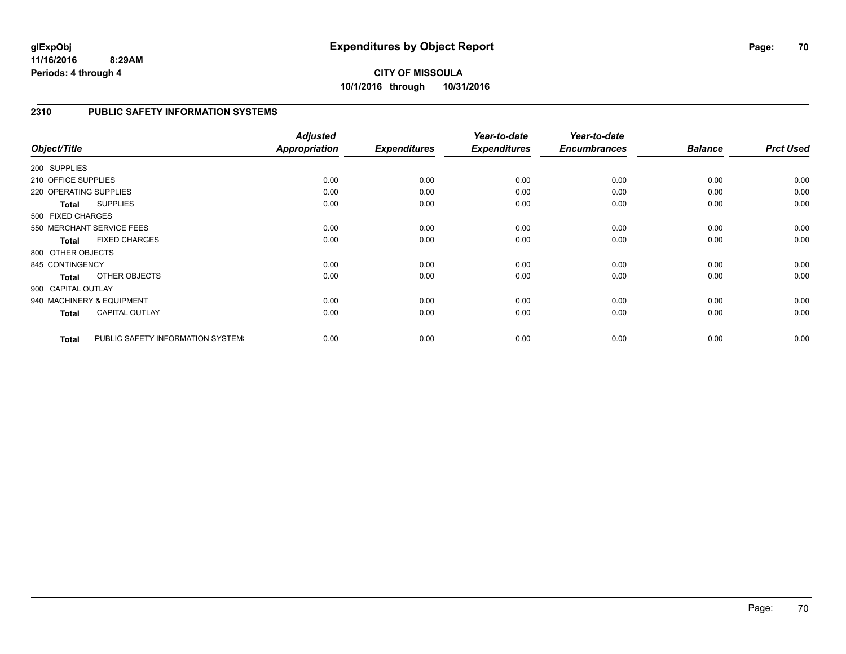**10/1/2016 through 10/31/2016**

### **2310 PUBLIC SAFETY INFORMATION SYSTEMS**

| Object/Title           |                                   | <b>Adjusted</b><br>Appropriation | <b>Expenditures</b> | Year-to-date<br><b>Expenditures</b> | Year-to-date<br><b>Encumbrances</b> | <b>Balance</b> | <b>Prct Used</b> |
|------------------------|-----------------------------------|----------------------------------|---------------------|-------------------------------------|-------------------------------------|----------------|------------------|
| 200 SUPPLIES           |                                   |                                  |                     |                                     |                                     |                |                  |
| 210 OFFICE SUPPLIES    |                                   | 0.00                             | 0.00                | 0.00                                | 0.00                                | 0.00           | 0.00             |
| 220 OPERATING SUPPLIES |                                   | 0.00                             | 0.00                | 0.00                                | 0.00                                | 0.00           | 0.00             |
| <b>Total</b>           | <b>SUPPLIES</b>                   | 0.00                             | 0.00                | 0.00                                | 0.00                                | 0.00           | 0.00             |
| 500 FIXED CHARGES      |                                   |                                  |                     |                                     |                                     |                |                  |
|                        | 550 MERCHANT SERVICE FEES         | 0.00                             | 0.00                | 0.00                                | 0.00                                | 0.00           | 0.00             |
| <b>Total</b>           | <b>FIXED CHARGES</b>              | 0.00                             | 0.00                | 0.00                                | 0.00                                | 0.00           | 0.00             |
| 800 OTHER OBJECTS      |                                   |                                  |                     |                                     |                                     |                |                  |
| 845 CONTINGENCY        |                                   | 0.00                             | 0.00                | 0.00                                | 0.00                                | 0.00           | 0.00             |
| <b>Total</b>           | OTHER OBJECTS                     | 0.00                             | 0.00                | 0.00                                | 0.00                                | 0.00           | 0.00             |
| 900 CAPITAL OUTLAY     |                                   |                                  |                     |                                     |                                     |                |                  |
|                        | 940 MACHINERY & EQUIPMENT         | 0.00                             | 0.00                | 0.00                                | 0.00                                | 0.00           | 0.00             |
| <b>Total</b>           | <b>CAPITAL OUTLAY</b>             | 0.00                             | 0.00                | 0.00                                | 0.00                                | 0.00           | 0.00             |
| <b>Total</b>           | PUBLIC SAFETY INFORMATION SYSTEM! | 0.00                             | 0.00                | 0.00                                | 0.00                                | 0.00           | 0.00             |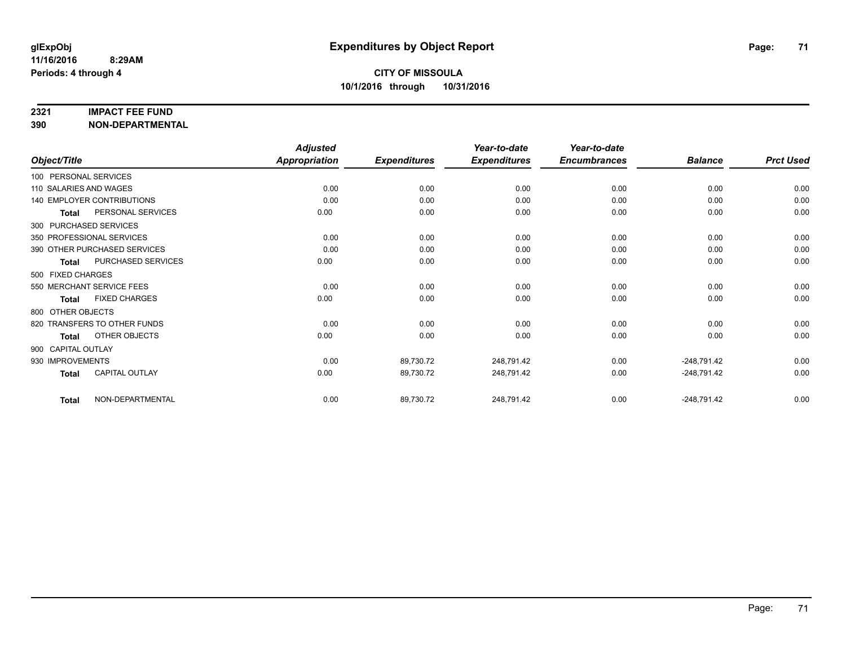#### **2321 IMPACT FEE FUND**

**390 NON-DEPARTMENTAL**

|                                      | <b>Adjusted</b>      |                     | Year-to-date        | Year-to-date        |                |                  |
|--------------------------------------|----------------------|---------------------|---------------------|---------------------|----------------|------------------|
| Object/Title                         | <b>Appropriation</b> | <b>Expenditures</b> | <b>Expenditures</b> | <b>Encumbrances</b> | <b>Balance</b> | <b>Prct Used</b> |
| 100 PERSONAL SERVICES                |                      |                     |                     |                     |                |                  |
| 110 SALARIES AND WAGES               | 0.00                 | 0.00                | 0.00                | 0.00                | 0.00           | 0.00             |
| <b>140 EMPLOYER CONTRIBUTIONS</b>    | 0.00                 | 0.00                | 0.00                | 0.00                | 0.00           | 0.00             |
| PERSONAL SERVICES<br><b>Total</b>    | 0.00                 | 0.00                | 0.00                | 0.00                | 0.00           | 0.00             |
| 300 PURCHASED SERVICES               |                      |                     |                     |                     |                |                  |
| 350 PROFESSIONAL SERVICES            | 0.00                 | 0.00                | 0.00                | 0.00                | 0.00           | 0.00             |
| 390 OTHER PURCHASED SERVICES         | 0.00                 | 0.00                | 0.00                | 0.00                | 0.00           | 0.00             |
| PURCHASED SERVICES<br>Total          | 0.00                 | 0.00                | 0.00                | 0.00                | 0.00           | 0.00             |
| 500 FIXED CHARGES                    |                      |                     |                     |                     |                |                  |
| 550 MERCHANT SERVICE FEES            | 0.00                 | 0.00                | 0.00                | 0.00                | 0.00           | 0.00             |
| <b>FIXED CHARGES</b><br><b>Total</b> | 0.00                 | 0.00                | 0.00                | 0.00                | 0.00           | 0.00             |
| 800 OTHER OBJECTS                    |                      |                     |                     |                     |                |                  |
| 820 TRANSFERS TO OTHER FUNDS         | 0.00                 | 0.00                | 0.00                | 0.00                | 0.00           | 0.00             |
| OTHER OBJECTS<br>Total               | 0.00                 | 0.00                | 0.00                | 0.00                | 0.00           | 0.00             |
| 900 CAPITAL OUTLAY                   |                      |                     |                     |                     |                |                  |
| 930 IMPROVEMENTS                     | 0.00                 | 89,730.72           | 248,791.42          | 0.00                | $-248,791.42$  | 0.00             |
| CAPITAL OUTLAY<br><b>Total</b>       | 0.00                 | 89,730.72           | 248,791.42          | 0.00                | $-248,791.42$  | 0.00             |
| NON-DEPARTMENTAL<br><b>Total</b>     | 0.00                 | 89,730.72           | 248,791.42          | 0.00                | $-248,791.42$  | 0.00             |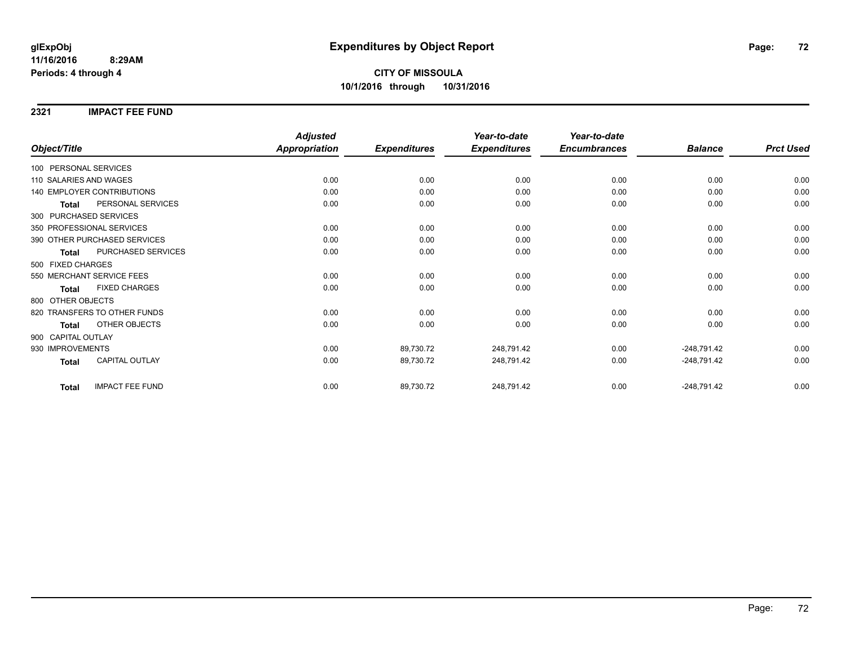**2321 IMPACT FEE FUND**

|                                        | <b>Adjusted</b>      |                     | Year-to-date        | Year-to-date        |                |                  |
|----------------------------------------|----------------------|---------------------|---------------------|---------------------|----------------|------------------|
| Object/Title                           | <b>Appropriation</b> | <b>Expenditures</b> | <b>Expenditures</b> | <b>Encumbrances</b> | <b>Balance</b> | <b>Prct Used</b> |
| 100 PERSONAL SERVICES                  |                      |                     |                     |                     |                |                  |
| 110 SALARIES AND WAGES                 | 0.00                 | 0.00                | 0.00                | 0.00                | 0.00           | 0.00             |
| 140 EMPLOYER CONTRIBUTIONS             | 0.00                 | 0.00                | 0.00                | 0.00                | 0.00           | 0.00             |
| PERSONAL SERVICES<br><b>Total</b>      | 0.00                 | 0.00                | 0.00                | 0.00                | 0.00           | 0.00             |
| 300 PURCHASED SERVICES                 |                      |                     |                     |                     |                |                  |
| 350 PROFESSIONAL SERVICES              | 0.00                 | 0.00                | 0.00                | 0.00                | 0.00           | 0.00             |
| 390 OTHER PURCHASED SERVICES           | 0.00                 | 0.00                | 0.00                | 0.00                | 0.00           | 0.00             |
| PURCHASED SERVICES<br><b>Total</b>     | 0.00                 | 0.00                | 0.00                | 0.00                | 0.00           | 0.00             |
| 500 FIXED CHARGES                      |                      |                     |                     |                     |                |                  |
| 550 MERCHANT SERVICE FEES              | 0.00                 | 0.00                | 0.00                | 0.00                | 0.00           | 0.00             |
| <b>FIXED CHARGES</b><br><b>Total</b>   | 0.00                 | 0.00                | 0.00                | 0.00                | 0.00           | 0.00             |
| 800 OTHER OBJECTS                      |                      |                     |                     |                     |                |                  |
| 820 TRANSFERS TO OTHER FUNDS           | 0.00                 | 0.00                | 0.00                | 0.00                | 0.00           | 0.00             |
| OTHER OBJECTS<br><b>Total</b>          | 0.00                 | 0.00                | 0.00                | 0.00                | 0.00           | 0.00             |
| 900 CAPITAL OUTLAY                     |                      |                     |                     |                     |                |                  |
| 930 IMPROVEMENTS                       | 0.00                 | 89,730.72           | 248,791.42          | 0.00                | $-248,791.42$  | 0.00             |
| <b>CAPITAL OUTLAY</b><br><b>Total</b>  | 0.00                 | 89,730.72           | 248,791.42          | 0.00                | $-248,791.42$  | 0.00             |
| <b>IMPACT FEE FUND</b><br><b>Total</b> | 0.00                 | 89,730.72           | 248,791.42          | 0.00                | $-248,791.42$  | 0.00             |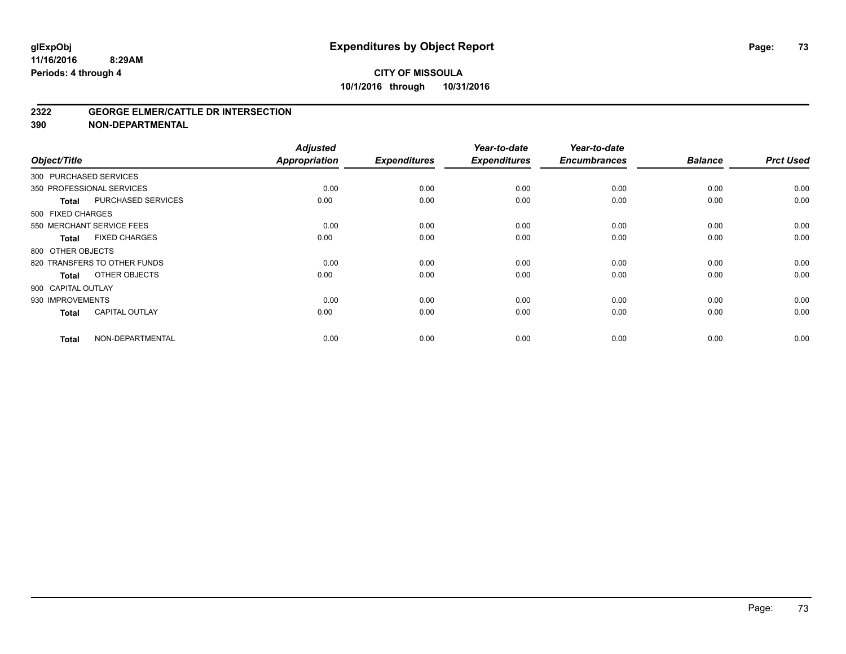#### **2322 GEORGE ELMER/CATTLE DR INTERSECTION**

| Object/Title           |                              | <b>Adjusted</b><br>Appropriation | <b>Expenditures</b> | Year-to-date<br><b>Expenditures</b> | Year-to-date<br><b>Encumbrances</b> | <b>Balance</b> | <b>Prct Used</b> |
|------------------------|------------------------------|----------------------------------|---------------------|-------------------------------------|-------------------------------------|----------------|------------------|
| 300 PURCHASED SERVICES |                              |                                  |                     |                                     |                                     |                |                  |
|                        | 350 PROFESSIONAL SERVICES    | 0.00                             | 0.00                | 0.00                                | 0.00                                | 0.00           | 0.00             |
| Total                  | PURCHASED SERVICES           | 0.00                             | 0.00                | 0.00                                | 0.00                                | 0.00           | 0.00             |
| 500 FIXED CHARGES      |                              |                                  |                     |                                     |                                     |                |                  |
|                        | 550 MERCHANT SERVICE FEES    | 0.00                             | 0.00                | 0.00                                | 0.00                                | 0.00           | 0.00             |
| Total                  | <b>FIXED CHARGES</b>         | 0.00                             | 0.00                | 0.00                                | 0.00                                | 0.00           | 0.00             |
| 800 OTHER OBJECTS      |                              |                                  |                     |                                     |                                     |                |                  |
|                        | 820 TRANSFERS TO OTHER FUNDS | 0.00                             | 0.00                | 0.00                                | 0.00                                | 0.00           | 0.00             |
| Total                  | OTHER OBJECTS                | 0.00                             | 0.00                | 0.00                                | 0.00                                | 0.00           | 0.00             |
| 900 CAPITAL OUTLAY     |                              |                                  |                     |                                     |                                     |                |                  |
| 930 IMPROVEMENTS       |                              | 0.00                             | 0.00                | 0.00                                | 0.00                                | 0.00           | 0.00             |
| <b>Total</b>           | <b>CAPITAL OUTLAY</b>        | 0.00                             | 0.00                | 0.00                                | 0.00                                | 0.00           | 0.00             |
| <b>Total</b>           | NON-DEPARTMENTAL             | 0.00                             | 0.00                | 0.00                                | 0.00                                | 0.00           | 0.00             |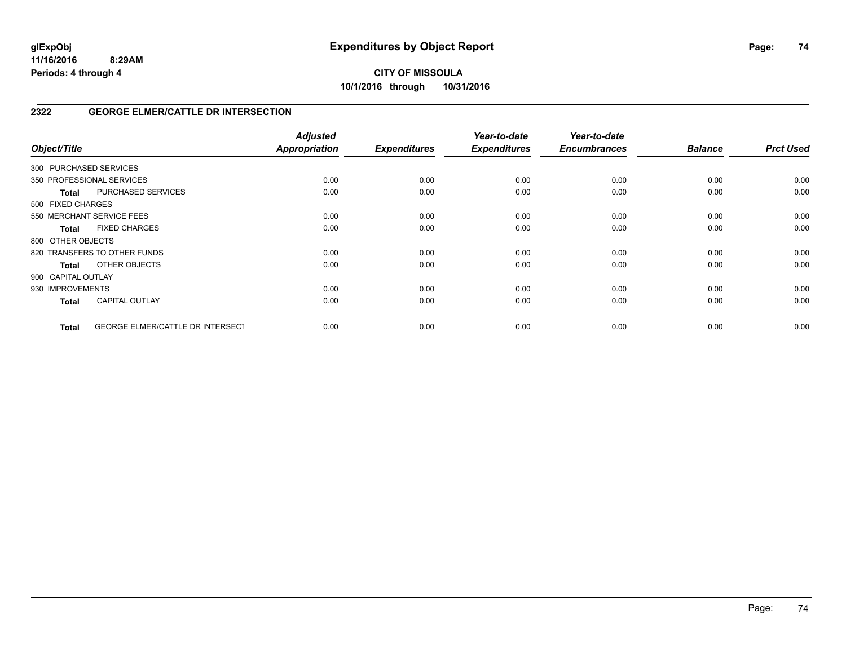**10/1/2016 through 10/31/2016**

## **2322 GEORGE ELMER/CATTLE DR INTERSECTION**

| Object/Title           |                                         | <b>Adjusted</b><br>Appropriation | <b>Expenditures</b> | Year-to-date<br><b>Expenditures</b> | Year-to-date<br><b>Encumbrances</b> | <b>Balance</b> | <b>Prct Used</b> |
|------------------------|-----------------------------------------|----------------------------------|---------------------|-------------------------------------|-------------------------------------|----------------|------------------|
| 300 PURCHASED SERVICES |                                         |                                  |                     |                                     |                                     |                |                  |
|                        | 350 PROFESSIONAL SERVICES               | 0.00                             | 0.00                | 0.00                                | 0.00                                | 0.00           | 0.00             |
| <b>Total</b>           | PURCHASED SERVICES                      | 0.00                             | 0.00                | 0.00                                | 0.00                                | 0.00           | 0.00             |
| 500 FIXED CHARGES      |                                         |                                  |                     |                                     |                                     |                |                  |
|                        | 550 MERCHANT SERVICE FEES               | 0.00                             | 0.00                | 0.00                                | 0.00                                | 0.00           | 0.00             |
| <b>Total</b>           | <b>FIXED CHARGES</b>                    | 0.00                             | 0.00                | 0.00                                | 0.00                                | 0.00           | 0.00             |
| 800 OTHER OBJECTS      |                                         |                                  |                     |                                     |                                     |                |                  |
|                        | 820 TRANSFERS TO OTHER FUNDS            | 0.00                             | 0.00                | 0.00                                | 0.00                                | 0.00           | 0.00             |
| Total                  | OTHER OBJECTS                           | 0.00                             | 0.00                | 0.00                                | 0.00                                | 0.00           | 0.00             |
| 900 CAPITAL OUTLAY     |                                         |                                  |                     |                                     |                                     |                |                  |
| 930 IMPROVEMENTS       |                                         | 0.00                             | 0.00                | 0.00                                | 0.00                                | 0.00           | 0.00             |
| <b>Total</b>           | <b>CAPITAL OUTLAY</b>                   | 0.00                             | 0.00                | 0.00                                | 0.00                                | 0.00           | 0.00             |
| <b>Total</b>           | <b>GEORGE ELMER/CATTLE DR INTERSECT</b> | 0.00                             | 0.00                | 0.00                                | 0.00                                | 0.00           | 0.00             |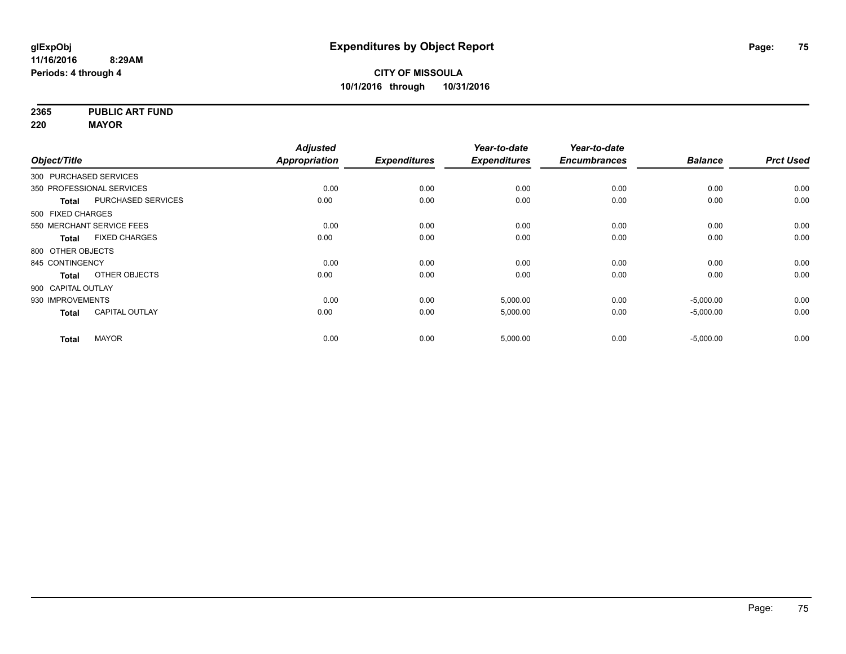**2365 PUBLIC ART FUND**

**220 MAYOR**

|                    |                           | <b>Adjusted</b>      |                     | Year-to-date        | Year-to-date        |                |                  |
|--------------------|---------------------------|----------------------|---------------------|---------------------|---------------------|----------------|------------------|
| Object/Title       |                           | <b>Appropriation</b> | <b>Expenditures</b> | <b>Expenditures</b> | <b>Encumbrances</b> | <b>Balance</b> | <b>Prct Used</b> |
|                    | 300 PURCHASED SERVICES    |                      |                     |                     |                     |                |                  |
|                    | 350 PROFESSIONAL SERVICES | 0.00                 | 0.00                | 0.00                | 0.00                | 0.00           | 0.00             |
| <b>Total</b>       | PURCHASED SERVICES        | 0.00                 | 0.00                | 0.00                | 0.00                | 0.00           | 0.00             |
| 500 FIXED CHARGES  |                           |                      |                     |                     |                     |                |                  |
|                    | 550 MERCHANT SERVICE FEES | 0.00                 | 0.00                | 0.00                | 0.00                | 0.00           | 0.00             |
| <b>Total</b>       | <b>FIXED CHARGES</b>      | 0.00                 | 0.00                | 0.00                | 0.00                | 0.00           | 0.00             |
| 800 OTHER OBJECTS  |                           |                      |                     |                     |                     |                |                  |
| 845 CONTINGENCY    |                           | 0.00                 | 0.00                | 0.00                | 0.00                | 0.00           | 0.00             |
| <b>Total</b>       | OTHER OBJECTS             | 0.00                 | 0.00                | 0.00                | 0.00                | 0.00           | 0.00             |
| 900 CAPITAL OUTLAY |                           |                      |                     |                     |                     |                |                  |
| 930 IMPROVEMENTS   |                           | 0.00                 | 0.00                | 5,000.00            | 0.00                | $-5,000.00$    | 0.00             |
| <b>Total</b>       | <b>CAPITAL OUTLAY</b>     | 0.00                 | 0.00                | 5,000.00            | 0.00                | $-5,000.00$    | 0.00             |
| <b>Total</b>       | <b>MAYOR</b>              | 0.00                 | 0.00                | 5,000.00            | 0.00                | $-5,000.00$    | 0.00             |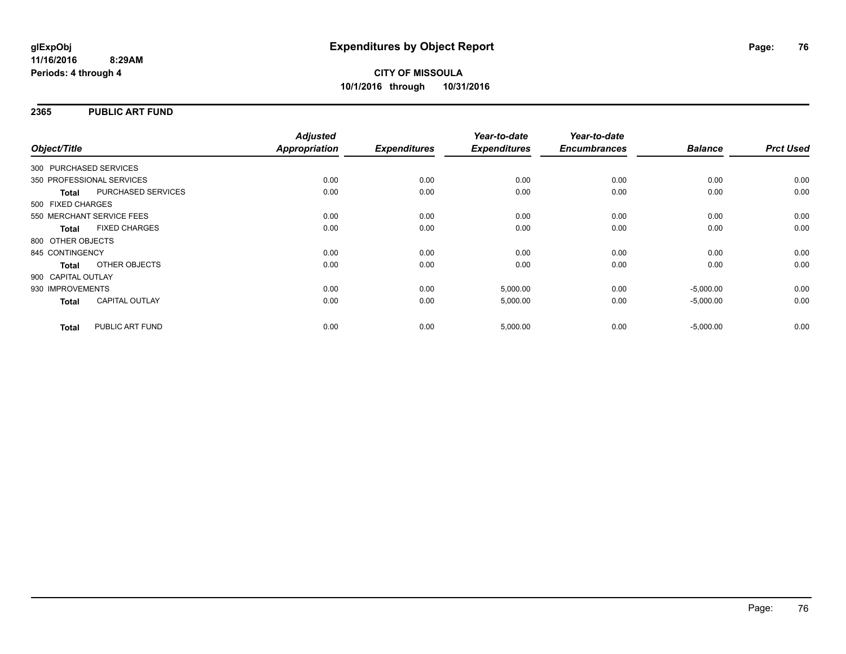#### **2365 PUBLIC ART FUND**

|                        |                           | <b>Adjusted</b>      |                     | Year-to-date        | Year-to-date        |                |                  |
|------------------------|---------------------------|----------------------|---------------------|---------------------|---------------------|----------------|------------------|
| Object/Title           |                           | <b>Appropriation</b> | <b>Expenditures</b> | <b>Expenditures</b> | <b>Encumbrances</b> | <b>Balance</b> | <b>Prct Used</b> |
| 300 PURCHASED SERVICES |                           |                      |                     |                     |                     |                |                  |
|                        | 350 PROFESSIONAL SERVICES | 0.00                 | 0.00                | 0.00                | 0.00                | 0.00           | 0.00             |
| <b>Total</b>           | PURCHASED SERVICES        | 0.00                 | 0.00                | 0.00                | 0.00                | 0.00           | 0.00             |
| 500 FIXED CHARGES      |                           |                      |                     |                     |                     |                |                  |
|                        | 550 MERCHANT SERVICE FEES | 0.00                 | 0.00                | 0.00                | 0.00                | 0.00           | 0.00             |
| <b>Total</b>           | <b>FIXED CHARGES</b>      | 0.00                 | 0.00                | 0.00                | 0.00                | 0.00           | 0.00             |
| 800 OTHER OBJECTS      |                           |                      |                     |                     |                     |                |                  |
| 845 CONTINGENCY        |                           | 0.00                 | 0.00                | 0.00                | 0.00                | 0.00           | 0.00             |
| <b>Total</b>           | OTHER OBJECTS             | 0.00                 | 0.00                | 0.00                | 0.00                | 0.00           | 0.00             |
| 900 CAPITAL OUTLAY     |                           |                      |                     |                     |                     |                |                  |
| 930 IMPROVEMENTS       |                           | 0.00                 | 0.00                | 5,000.00            | 0.00                | $-5,000.00$    | 0.00             |
| <b>Total</b>           | <b>CAPITAL OUTLAY</b>     | 0.00                 | 0.00                | 5,000.00            | 0.00                | $-5,000.00$    | 0.00             |
| <b>Total</b>           | PUBLIC ART FUND           | 0.00                 | 0.00                | 5,000.00            | 0.00                | $-5,000.00$    | 0.00             |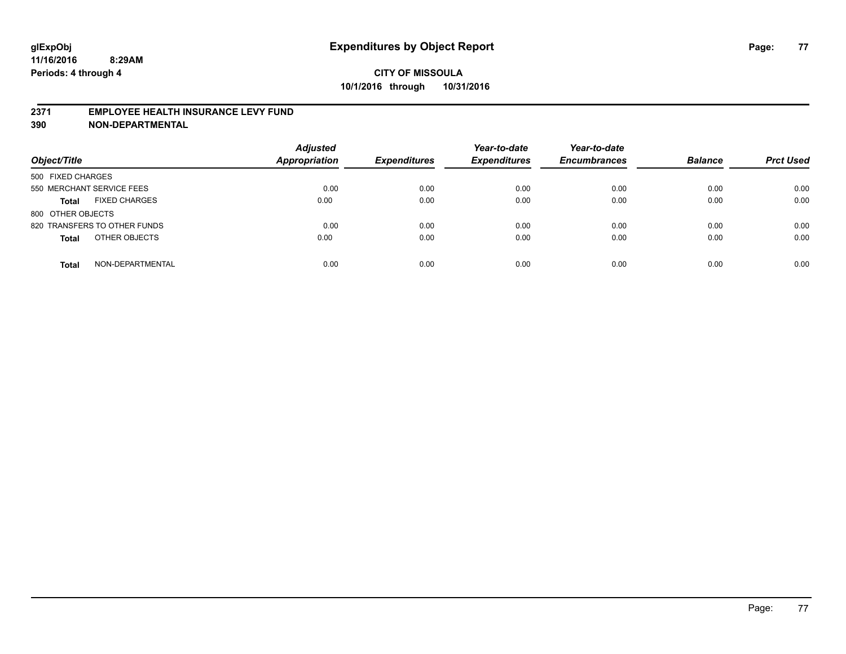#### **2371 EMPLOYEE HEALTH INSURANCE LEVY FUND**

| Object/Title                         | <b>Adjusted</b><br><b>Appropriation</b> | <b>Expenditures</b> | Year-to-date<br><b>Expenditures</b> | Year-to-date<br><b>Encumbrances</b> | <b>Balance</b> | <b>Prct Used</b> |
|--------------------------------------|-----------------------------------------|---------------------|-------------------------------------|-------------------------------------|----------------|------------------|
| 500 FIXED CHARGES                    |                                         |                     |                                     |                                     |                |                  |
| 550 MERCHANT SERVICE FEES            | 0.00                                    | 0.00                | 0.00                                | 0.00                                | 0.00           | 0.00             |
| <b>FIXED CHARGES</b><br><b>Total</b> | 0.00                                    | 0.00                | 0.00                                | 0.00                                | 0.00           | 0.00             |
| 800 OTHER OBJECTS                    |                                         |                     |                                     |                                     |                |                  |
| 820 TRANSFERS TO OTHER FUNDS         | 0.00                                    | 0.00                | 0.00                                | 0.00                                | 0.00           | 0.00             |
| OTHER OBJECTS<br><b>Total</b>        | 0.00                                    | 0.00                | 0.00                                | 0.00                                | 0.00           | 0.00             |
| NON-DEPARTMENTAL<br><b>Total</b>     | 0.00                                    | 0.00                | 0.00                                | 0.00                                | 0.00           | 0.00             |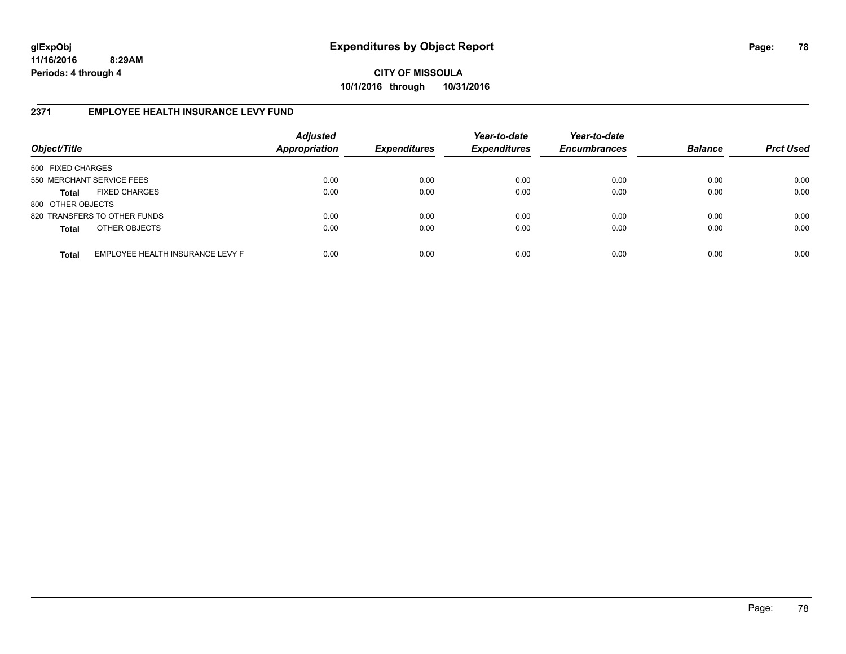**CITY OF MISSOULA 10/1/2016 through 10/31/2016**

### **2371 EMPLOYEE HEALTH INSURANCE LEVY FUND**

| Object/Title              |                                  | <b>Adjusted</b><br>Appropriation | <b>Expenditures</b> | Year-to-date<br><b>Expenditures</b> | Year-to-date<br><b>Encumbrances</b> | <b>Balance</b> | <b>Prct Used</b> |
|---------------------------|----------------------------------|----------------------------------|---------------------|-------------------------------------|-------------------------------------|----------------|------------------|
| 500 FIXED CHARGES         |                                  |                                  |                     |                                     |                                     |                |                  |
| 550 MERCHANT SERVICE FEES |                                  | 0.00                             | 0.00                | 0.00                                | 0.00                                | 0.00           | 0.00             |
| <b>Total</b>              | <b>FIXED CHARGES</b>             | 0.00                             | 0.00                | 0.00                                | 0.00                                | 0.00           | 0.00             |
| 800 OTHER OBJECTS         |                                  |                                  |                     |                                     |                                     |                |                  |
|                           | 820 TRANSFERS TO OTHER FUNDS     | 0.00                             | 0.00                | 0.00                                | 0.00                                | 0.00           | 0.00             |
| <b>Total</b>              | OTHER OBJECTS                    | 0.00                             | 0.00                | 0.00                                | 0.00                                | 0.00           | 0.00             |
| <b>Total</b>              | EMPLOYEE HEALTH INSURANCE LEVY F | 0.00                             | 0.00                | 0.00                                | 0.00                                | 0.00           | 0.00             |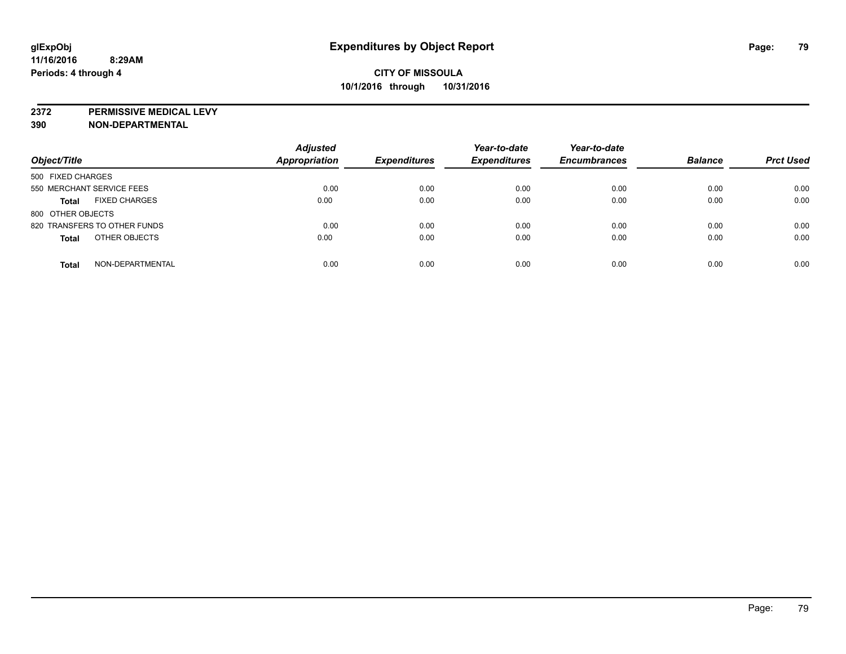**2372 PERMISSIVE MEDICAL LEVY**

| Object/Title                         | <b>Adjusted</b><br>Appropriation | <b>Expenditures</b> | Year-to-date<br><b>Expenditures</b> | Year-to-date<br><b>Encumbrances</b> | <b>Balance</b> | <b>Prct Used</b> |
|--------------------------------------|----------------------------------|---------------------|-------------------------------------|-------------------------------------|----------------|------------------|
| 500 FIXED CHARGES                    |                                  |                     |                                     |                                     |                |                  |
| 550 MERCHANT SERVICE FEES            | 0.00                             | 0.00                | 0.00                                | 0.00                                | 0.00           | 0.00             |
| <b>FIXED CHARGES</b><br><b>Total</b> | 0.00                             | 0.00                | 0.00                                | 0.00                                | 0.00           | 0.00             |
| 800 OTHER OBJECTS                    |                                  |                     |                                     |                                     |                |                  |
| 820 TRANSFERS TO OTHER FUNDS         | 0.00                             | 0.00                | 0.00                                | 0.00                                | 0.00           | 0.00             |
| OTHER OBJECTS<br><b>Total</b>        | 0.00                             | 0.00                | 0.00                                | 0.00                                | 0.00           | 0.00             |
| NON-DEPARTMENTAL<br><b>Total</b>     | 0.00                             | 0.00                | 0.00                                | 0.00                                | 0.00           | 0.00             |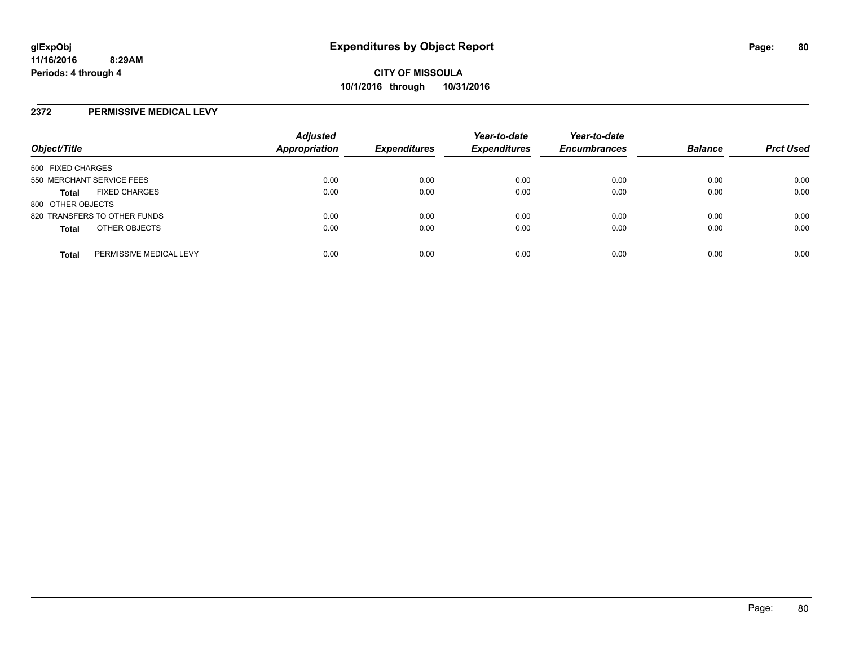#### **2372 PERMISSIVE MEDICAL LEVY**

| Object/Title                            | <b>Adjusted</b><br><b>Appropriation</b> | <b>Expenditures</b> | Year-to-date<br><b>Expenditures</b> | Year-to-date<br><b>Encumbrances</b> | <b>Balance</b> | <b>Prct Used</b> |
|-----------------------------------------|-----------------------------------------|---------------------|-------------------------------------|-------------------------------------|----------------|------------------|
| 500 FIXED CHARGES                       |                                         |                     |                                     |                                     |                |                  |
| 550 MERCHANT SERVICE FEES               | 0.00                                    | 0.00                | 0.00                                | 0.00                                | 0.00           | 0.00             |
| <b>FIXED CHARGES</b><br><b>Total</b>    | 0.00                                    | 0.00                | 0.00                                | 0.00                                | 0.00           | 0.00             |
| 800 OTHER OBJECTS                       |                                         |                     |                                     |                                     |                |                  |
| 820 TRANSFERS TO OTHER FUNDS            | 0.00                                    | 0.00                | 0.00                                | 0.00                                | 0.00           | 0.00             |
| OTHER OBJECTS<br><b>Total</b>           | 0.00                                    | 0.00                | 0.00                                | 0.00                                | 0.00           | 0.00             |
| PERMISSIVE MEDICAL LEVY<br><b>Total</b> | 0.00                                    | 0.00                | 0.00                                | 0.00                                | 0.00           | 0.00             |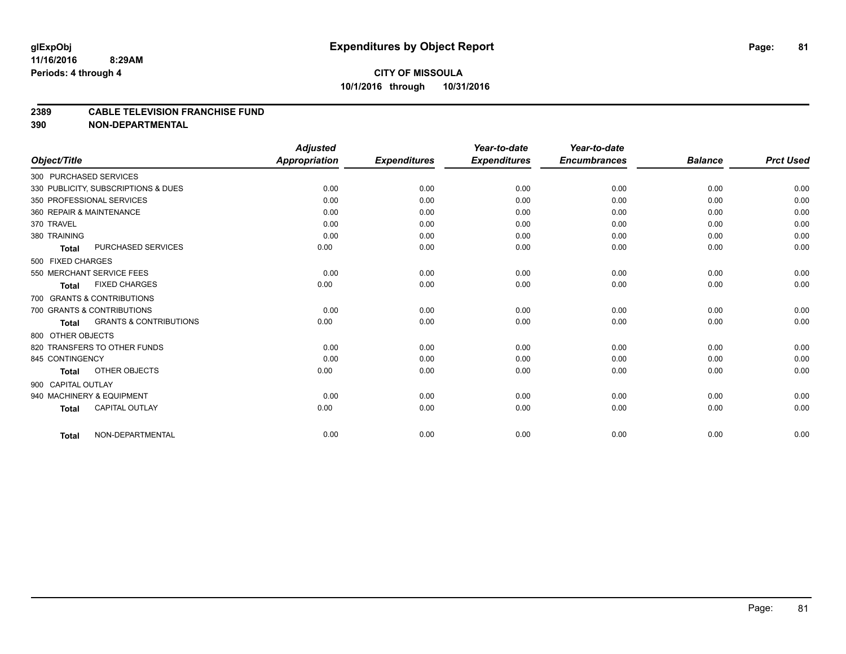#### **2389 CABLE TELEVISION FRANCHISE FUND**

|                          |                                     | <b>Adjusted</b>      |                     | Year-to-date        | Year-to-date        |                |                  |
|--------------------------|-------------------------------------|----------------------|---------------------|---------------------|---------------------|----------------|------------------|
| Object/Title             |                                     | <b>Appropriation</b> | <b>Expenditures</b> | <b>Expenditures</b> | <b>Encumbrances</b> | <b>Balance</b> | <b>Prct Used</b> |
| 300 PURCHASED SERVICES   |                                     |                      |                     |                     |                     |                |                  |
|                          | 330 PUBLICITY, SUBSCRIPTIONS & DUES | 0.00                 | 0.00                | 0.00                | 0.00                | 0.00           | 0.00             |
|                          | 350 PROFESSIONAL SERVICES           | 0.00                 | 0.00                | 0.00                | 0.00                | 0.00           | 0.00             |
| 360 REPAIR & MAINTENANCE |                                     | 0.00                 | 0.00                | 0.00                | 0.00                | 0.00           | 0.00             |
| 370 TRAVEL               |                                     | 0.00                 | 0.00                | 0.00                | 0.00                | 0.00           | 0.00             |
| 380 TRAINING             |                                     | 0.00                 | 0.00                | 0.00                | 0.00                | 0.00           | 0.00             |
| <b>Total</b>             | <b>PURCHASED SERVICES</b>           | 0.00                 | 0.00                | 0.00                | 0.00                | 0.00           | 0.00             |
| 500 FIXED CHARGES        |                                     |                      |                     |                     |                     |                |                  |
|                          | 550 MERCHANT SERVICE FEES           | 0.00                 | 0.00                | 0.00                | 0.00                | 0.00           | 0.00             |
| Total                    | <b>FIXED CHARGES</b>                | 0.00                 | 0.00                | 0.00                | 0.00                | 0.00           | 0.00             |
|                          | 700 GRANTS & CONTRIBUTIONS          |                      |                     |                     |                     |                |                  |
|                          | 700 GRANTS & CONTRIBUTIONS          | 0.00                 | 0.00                | 0.00                | 0.00                | 0.00           | 0.00             |
| Total                    | <b>GRANTS &amp; CONTRIBUTIONS</b>   | 0.00                 | 0.00                | 0.00                | 0.00                | 0.00           | 0.00             |
| 800 OTHER OBJECTS        |                                     |                      |                     |                     |                     |                |                  |
|                          | 820 TRANSFERS TO OTHER FUNDS        | 0.00                 | 0.00                | 0.00                | 0.00                | 0.00           | 0.00             |
| 845 CONTINGENCY          |                                     | 0.00                 | 0.00                | 0.00                | 0.00                | 0.00           | 0.00             |
| <b>Total</b>             | OTHER OBJECTS                       | 0.00                 | 0.00                | 0.00                | 0.00                | 0.00           | 0.00             |
| 900 CAPITAL OUTLAY       |                                     |                      |                     |                     |                     |                |                  |
|                          | 940 MACHINERY & EQUIPMENT           | 0.00                 | 0.00                | 0.00                | 0.00                | 0.00           | 0.00             |
| <b>Total</b>             | <b>CAPITAL OUTLAY</b>               | 0.00                 | 0.00                | 0.00                | 0.00                | 0.00           | 0.00             |
| <b>Total</b>             | NON-DEPARTMENTAL                    | 0.00                 | 0.00                | 0.00                | 0.00                | 0.00           | 0.00             |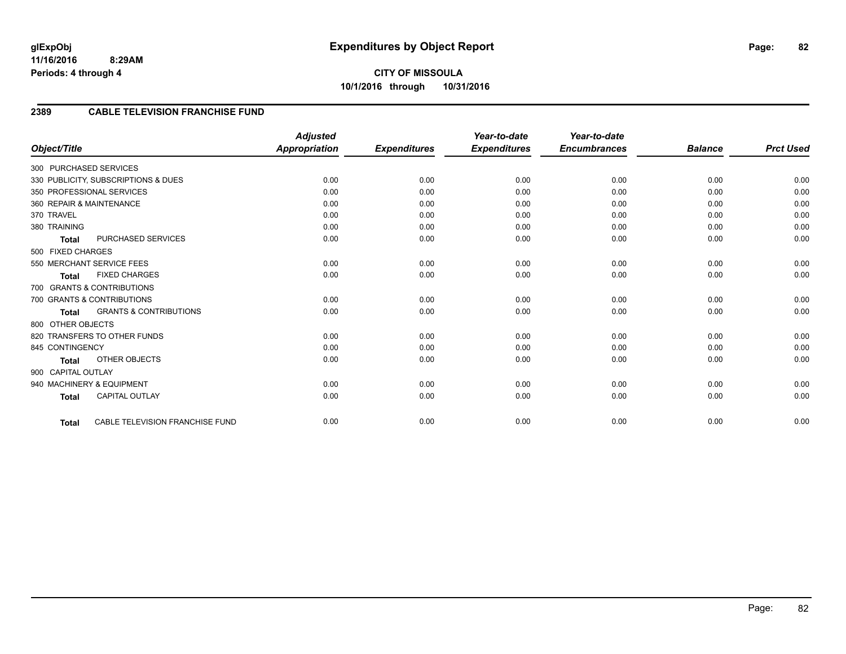### **2389 CABLE TELEVISION FRANCHISE FUND**

| Object/Title                                      | <b>Adjusted</b><br><b>Appropriation</b> | <b>Expenditures</b> | Year-to-date<br><b>Expenditures</b> | Year-to-date<br><b>Encumbrances</b> | <b>Balance</b> | <b>Prct Used</b> |
|---------------------------------------------------|-----------------------------------------|---------------------|-------------------------------------|-------------------------------------|----------------|------------------|
|                                                   |                                         |                     |                                     |                                     |                |                  |
| 300 PURCHASED SERVICES                            |                                         |                     |                                     |                                     |                |                  |
| 330 PUBLICITY, SUBSCRIPTIONS & DUES               | 0.00                                    | 0.00                | 0.00                                | 0.00                                | 0.00           | 0.00             |
| 350 PROFESSIONAL SERVICES                         | 0.00                                    | 0.00                | 0.00                                | 0.00                                | 0.00           | 0.00             |
| 360 REPAIR & MAINTENANCE                          | 0.00                                    | 0.00                | 0.00                                | 0.00                                | 0.00           | 0.00             |
| 370 TRAVEL                                        | 0.00                                    | 0.00                | 0.00                                | 0.00                                | 0.00           | 0.00             |
| 380 TRAINING                                      | 0.00                                    | 0.00                | 0.00                                | 0.00                                | 0.00           | 0.00             |
| PURCHASED SERVICES<br><b>Total</b>                | 0.00                                    | 0.00                | 0.00                                | 0.00                                | 0.00           | 0.00             |
| 500 FIXED CHARGES                                 |                                         |                     |                                     |                                     |                |                  |
| 550 MERCHANT SERVICE FEES                         | 0.00                                    | 0.00                | 0.00                                | 0.00                                | 0.00           | 0.00             |
| <b>FIXED CHARGES</b><br><b>Total</b>              | 0.00                                    | 0.00                | 0.00                                | 0.00                                | 0.00           | 0.00             |
| 700 GRANTS & CONTRIBUTIONS                        |                                         |                     |                                     |                                     |                |                  |
| 700 GRANTS & CONTRIBUTIONS                        | 0.00                                    | 0.00                | 0.00                                | 0.00                                | 0.00           | 0.00             |
| <b>GRANTS &amp; CONTRIBUTIONS</b><br><b>Total</b> | 0.00                                    | 0.00                | 0.00                                | 0.00                                | 0.00           | 0.00             |
| 800 OTHER OBJECTS                                 |                                         |                     |                                     |                                     |                |                  |
| 820 TRANSFERS TO OTHER FUNDS                      | 0.00                                    | 0.00                | 0.00                                | 0.00                                | 0.00           | 0.00             |
| 845 CONTINGENCY                                   | 0.00                                    | 0.00                | 0.00                                | 0.00                                | 0.00           | 0.00             |
| <b>OTHER OBJECTS</b><br><b>Total</b>              | 0.00                                    | 0.00                | 0.00                                | 0.00                                | 0.00           | 0.00             |
| 900 CAPITAL OUTLAY                                |                                         |                     |                                     |                                     |                |                  |
| 940 MACHINERY & EQUIPMENT                         | 0.00                                    | 0.00                | 0.00                                | 0.00                                | 0.00           | 0.00             |
| <b>CAPITAL OUTLAY</b>                             | 0.00                                    | 0.00                | 0.00                                | 0.00                                | 0.00           | 0.00             |
| <b>Total</b>                                      |                                         |                     |                                     |                                     |                |                  |
| CABLE TELEVISION FRANCHISE FUND<br><b>Total</b>   | 0.00                                    | 0.00                | 0.00                                | 0.00                                | 0.00           | 0.00             |

Page: 82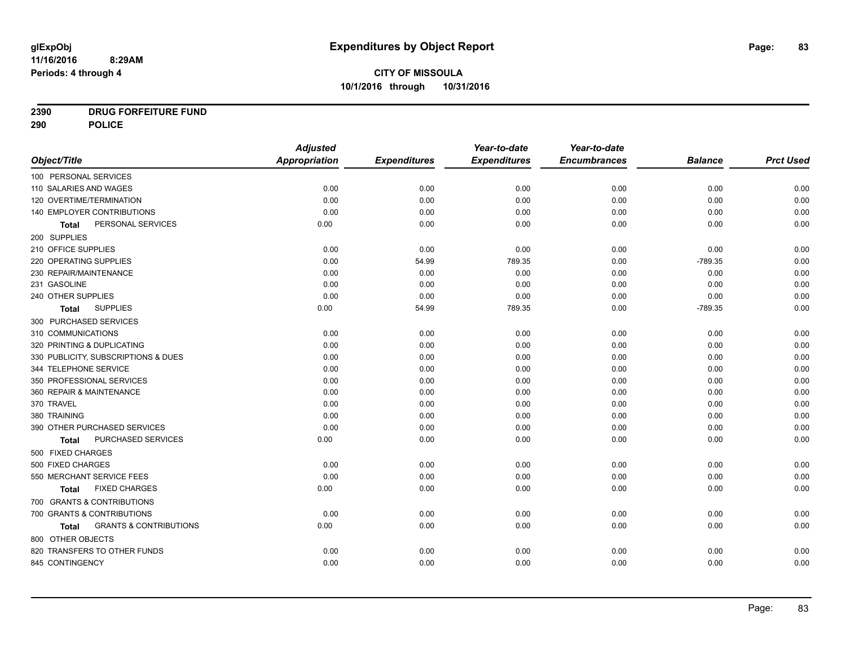## **2390 DRUG FORFEITURE FUND**

**290 POLICE**

|                                            | <b>Adjusted</b>      |                     | Year-to-date        | Year-to-date        |                |                  |
|--------------------------------------------|----------------------|---------------------|---------------------|---------------------|----------------|------------------|
| Object/Title                               | <b>Appropriation</b> | <b>Expenditures</b> | <b>Expenditures</b> | <b>Encumbrances</b> | <b>Balance</b> | <b>Prct Used</b> |
| 100 PERSONAL SERVICES                      |                      |                     |                     |                     |                |                  |
| 110 SALARIES AND WAGES                     | 0.00                 | 0.00                | 0.00                | 0.00                | 0.00           | 0.00             |
| 120 OVERTIME/TERMINATION                   | 0.00                 | 0.00                | 0.00                | 0.00                | 0.00           | 0.00             |
| 140 EMPLOYER CONTRIBUTIONS                 | 0.00                 | 0.00                | 0.00                | 0.00                | 0.00           | 0.00             |
| PERSONAL SERVICES<br>Total                 | 0.00                 | 0.00                | 0.00                | 0.00                | 0.00           | 0.00             |
| 200 SUPPLIES                               |                      |                     |                     |                     |                |                  |
| 210 OFFICE SUPPLIES                        | 0.00                 | 0.00                | 0.00                | 0.00                | 0.00           | 0.00             |
| 220 OPERATING SUPPLIES                     | 0.00                 | 54.99               | 789.35              | 0.00                | $-789.35$      | 0.00             |
| 230 REPAIR/MAINTENANCE                     | 0.00                 | 0.00                | 0.00                | 0.00                | 0.00           | 0.00             |
| 231 GASOLINE                               | 0.00                 | 0.00                | 0.00                | 0.00                | 0.00           | 0.00             |
| 240 OTHER SUPPLIES                         | 0.00                 | 0.00                | 0.00                | 0.00                | 0.00           | 0.00             |
| <b>SUPPLIES</b><br>Total                   | 0.00                 | 54.99               | 789.35              | 0.00                | $-789.35$      | 0.00             |
| 300 PURCHASED SERVICES                     |                      |                     |                     |                     |                |                  |
| 310 COMMUNICATIONS                         | 0.00                 | 0.00                | 0.00                | 0.00                | 0.00           | 0.00             |
| 320 PRINTING & DUPLICATING                 | 0.00                 | 0.00                | 0.00                | 0.00                | 0.00           | 0.00             |
| 330 PUBLICITY, SUBSCRIPTIONS & DUES        | 0.00                 | 0.00                | 0.00                | 0.00                | 0.00           | 0.00             |
| 344 TELEPHONE SERVICE                      | 0.00                 | 0.00                | 0.00                | 0.00                | 0.00           | 0.00             |
| 350 PROFESSIONAL SERVICES                  | 0.00                 | 0.00                | 0.00                | 0.00                | 0.00           | 0.00             |
| 360 REPAIR & MAINTENANCE                   | 0.00                 | 0.00                | 0.00                | 0.00                | 0.00           | 0.00             |
| 370 TRAVEL                                 | 0.00                 | 0.00                | 0.00                | 0.00                | 0.00           | 0.00             |
| 380 TRAINING                               | 0.00                 | 0.00                | 0.00                | 0.00                | 0.00           | 0.00             |
| 390 OTHER PURCHASED SERVICES               | 0.00                 | 0.00                | 0.00                | 0.00                | 0.00           | 0.00             |
| PURCHASED SERVICES<br>Total                | 0.00                 | 0.00                | 0.00                | 0.00                | 0.00           | 0.00             |
| 500 FIXED CHARGES                          |                      |                     |                     |                     |                |                  |
| 500 FIXED CHARGES                          | 0.00                 | 0.00                | 0.00                | 0.00                | 0.00           | 0.00             |
| 550 MERCHANT SERVICE FEES                  | 0.00                 | 0.00                | 0.00                | 0.00                | 0.00           | 0.00             |
| <b>FIXED CHARGES</b><br><b>Total</b>       | 0.00                 | 0.00                | 0.00                | 0.00                | 0.00           | 0.00             |
| 700 GRANTS & CONTRIBUTIONS                 |                      |                     |                     |                     |                |                  |
| 700 GRANTS & CONTRIBUTIONS                 | 0.00                 | 0.00                | 0.00                | 0.00                | 0.00           | 0.00             |
| <b>GRANTS &amp; CONTRIBUTIONS</b><br>Total | 0.00                 | 0.00                | 0.00                | 0.00                | 0.00           | 0.00             |
| 800 OTHER OBJECTS                          |                      |                     |                     |                     |                |                  |
| 820 TRANSFERS TO OTHER FUNDS               | 0.00                 | 0.00                | 0.00                | 0.00                | 0.00           | 0.00             |
| 845 CONTINGENCY                            | 0.00                 | 0.00                | 0.00                | 0.00                | 0.00           | 0.00             |
|                                            |                      |                     |                     |                     |                |                  |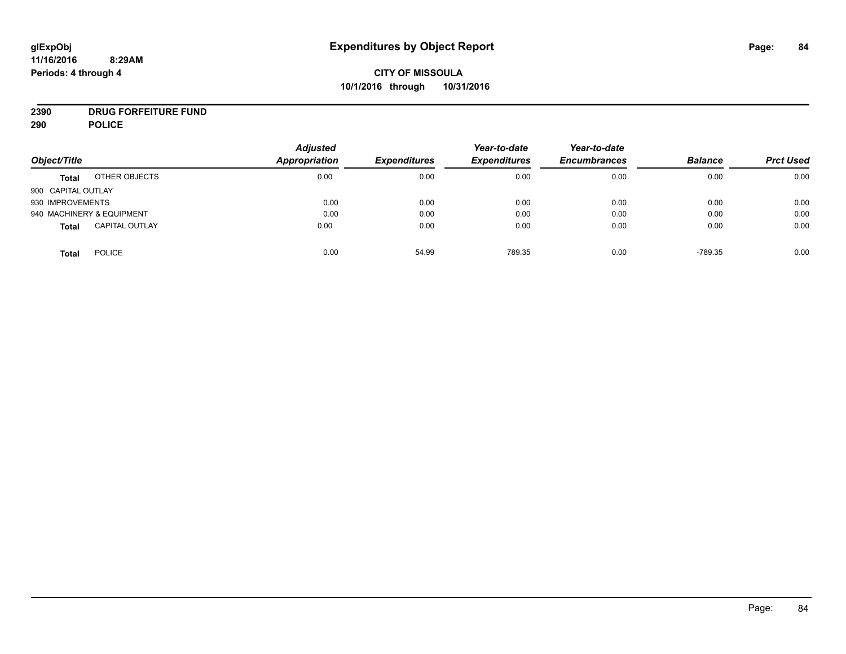## **CITY OF MISSOULA 10/1/2016 through 10/31/2016**

# **2390 DRUG FORFEITURE FUND**

**290 POLICE**

| Object/Title       |                           | <b>Adjusted</b><br><b>Appropriation</b> | <b>Expenditures</b> | Year-to-date<br><b>Expenditures</b> | Year-to-date<br><b>Encumbrances</b> | <b>Balance</b> | <b>Prct Used</b> |
|--------------------|---------------------------|-----------------------------------------|---------------------|-------------------------------------|-------------------------------------|----------------|------------------|
| <b>Total</b>       | OTHER OBJECTS             | 0.00                                    | 0.00                | 0.00                                | 0.00                                | 0.00           | 0.00             |
| 900 CAPITAL OUTLAY |                           |                                         |                     |                                     |                                     |                |                  |
| 930 IMPROVEMENTS   |                           | 0.00                                    | 0.00                | 0.00                                | 0.00                                | 0.00           | 0.00             |
|                    | 940 MACHINERY & EQUIPMENT | 0.00                                    | 0.00                | 0.00                                | 0.00                                | 0.00           | 0.00             |
| <b>Total</b>       | <b>CAPITAL OUTLAY</b>     | 0.00                                    | 0.00                | 0.00                                | 0.00                                | 0.00           | 0.00             |
| Total              | <b>POLICE</b>             | 0.00                                    | 54.99               | 789.35                              | 0.00                                | $-789.35$      | 0.00             |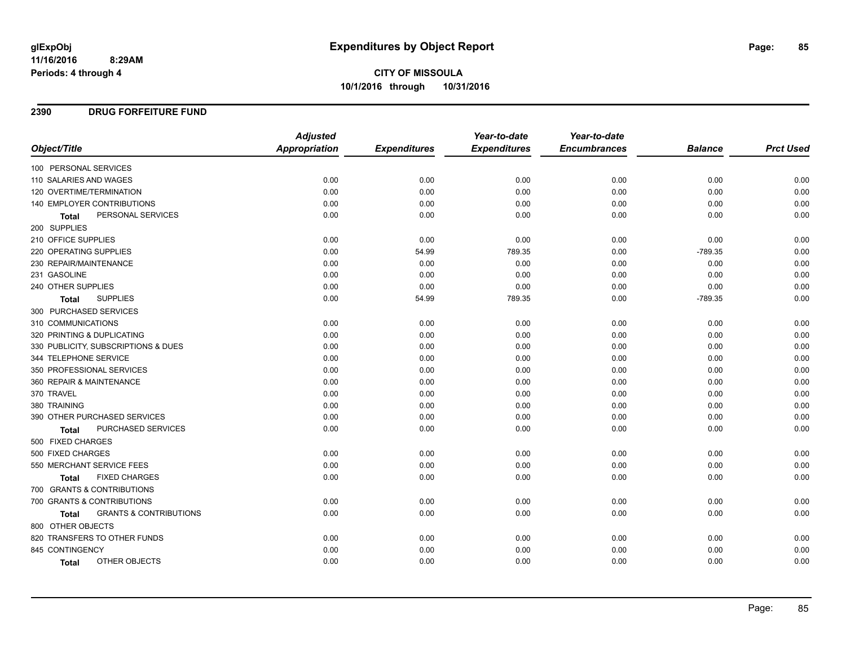## **2390 DRUG FORFEITURE FUND**

|                                                   | <b>Adjusted</b> |                     | Year-to-date        | Year-to-date        |                |                  |
|---------------------------------------------------|-----------------|---------------------|---------------------|---------------------|----------------|------------------|
| Object/Title                                      | Appropriation   | <b>Expenditures</b> | <b>Expenditures</b> | <b>Encumbrances</b> | <b>Balance</b> | <b>Prct Used</b> |
| 100 PERSONAL SERVICES                             |                 |                     |                     |                     |                |                  |
| 110 SALARIES AND WAGES                            | 0.00            | 0.00                | 0.00                | 0.00                | 0.00           | 0.00             |
| 120 OVERTIME/TERMINATION                          | 0.00            | 0.00                | 0.00                | 0.00                | 0.00           | 0.00             |
| 140 EMPLOYER CONTRIBUTIONS                        | 0.00            | 0.00                | 0.00                | 0.00                | 0.00           | 0.00             |
| PERSONAL SERVICES<br>Total                        | 0.00            | 0.00                | 0.00                | 0.00                | 0.00           | 0.00             |
| 200 SUPPLIES                                      |                 |                     |                     |                     |                |                  |
| 210 OFFICE SUPPLIES                               | 0.00            | 0.00                | 0.00                | 0.00                | 0.00           | 0.00             |
| 220 OPERATING SUPPLIES                            | 0.00            | 54.99               | 789.35              | 0.00                | $-789.35$      | 0.00             |
| 230 REPAIR/MAINTENANCE                            | 0.00            | 0.00                | 0.00                | 0.00                | 0.00           | 0.00             |
| 231 GASOLINE                                      | 0.00            | 0.00                | 0.00                | 0.00                | 0.00           | 0.00             |
| 240 OTHER SUPPLIES                                | 0.00            | 0.00                | 0.00                | 0.00                | 0.00           | 0.00             |
| <b>SUPPLIES</b><br><b>Total</b>                   | 0.00            | 54.99               | 789.35              | 0.00                | $-789.35$      | 0.00             |
| 300 PURCHASED SERVICES                            |                 |                     |                     |                     |                |                  |
| 310 COMMUNICATIONS                                | 0.00            | 0.00                | 0.00                | 0.00                | 0.00           | 0.00             |
| 320 PRINTING & DUPLICATING                        | 0.00            | 0.00                | 0.00                | 0.00                | 0.00           | 0.00             |
| 330 PUBLICITY, SUBSCRIPTIONS & DUES               | 0.00            | 0.00                | 0.00                | 0.00                | 0.00           | 0.00             |
| 344 TELEPHONE SERVICE                             | 0.00            | 0.00                | 0.00                | 0.00                | 0.00           | 0.00             |
| 350 PROFESSIONAL SERVICES                         | 0.00            | 0.00                | 0.00                | 0.00                | 0.00           | 0.00             |
| 360 REPAIR & MAINTENANCE                          | 0.00            | 0.00                | 0.00                | 0.00                | 0.00           | 0.00             |
| 370 TRAVEL                                        | 0.00            | 0.00                | 0.00                | 0.00                | 0.00           | 0.00             |
| 380 TRAINING                                      | 0.00            | 0.00                | 0.00                | 0.00                | 0.00           | 0.00             |
| 390 OTHER PURCHASED SERVICES                      | 0.00            | 0.00                | 0.00                | 0.00                | 0.00           | 0.00             |
| PURCHASED SERVICES<br><b>Total</b>                | 0.00            | 0.00                | 0.00                | 0.00                | 0.00           | 0.00             |
| 500 FIXED CHARGES                                 |                 |                     |                     |                     |                |                  |
| 500 FIXED CHARGES                                 | 0.00            | 0.00                | 0.00                | 0.00                | 0.00           | 0.00             |
| 550 MERCHANT SERVICE FEES                         | 0.00            | 0.00                | 0.00                | 0.00                | 0.00           | 0.00             |
| <b>FIXED CHARGES</b><br><b>Total</b>              | 0.00            | 0.00                | 0.00                | 0.00                | 0.00           | 0.00             |
| 700 GRANTS & CONTRIBUTIONS                        |                 |                     |                     |                     |                |                  |
| 700 GRANTS & CONTRIBUTIONS                        | 0.00            | 0.00                | 0.00                | 0.00                | 0.00           | 0.00             |
| <b>GRANTS &amp; CONTRIBUTIONS</b><br><b>Total</b> | 0.00            | 0.00                | 0.00                | 0.00                | 0.00           | 0.00             |
| 800 OTHER OBJECTS                                 |                 |                     |                     |                     |                |                  |
| 820 TRANSFERS TO OTHER FUNDS                      | 0.00            | 0.00                | 0.00                | 0.00                | 0.00           | 0.00             |
| 845 CONTINGENCY                                   | 0.00            | 0.00                | 0.00                | 0.00                | 0.00           | 0.00             |
| OTHER OBJECTS<br>Total                            | 0.00            | 0.00                | 0.00                | 0.00                | 0.00           | 0.00             |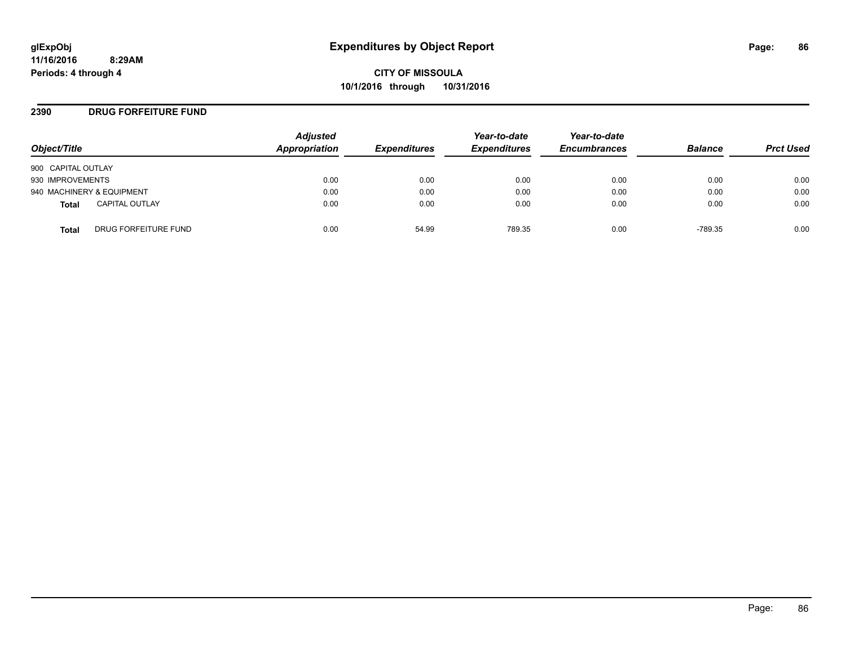#### **2390 DRUG FORFEITURE FUND**

| Object/Title                          | <b>Adjusted</b><br>Appropriation | <b>Expenditures</b> | Year-to-date<br><b>Expenditures</b> | Year-to-date<br><b>Encumbrances</b> | <b>Balance</b> | <b>Prct Used</b> |
|---------------------------------------|----------------------------------|---------------------|-------------------------------------|-------------------------------------|----------------|------------------|
| 900 CAPITAL OUTLAY                    |                                  |                     |                                     |                                     |                |                  |
| 930 IMPROVEMENTS                      | 0.00                             | 0.00                | 0.00                                | 0.00                                | 0.00           | 0.00             |
| 940 MACHINERY & EQUIPMENT             | 0.00                             | 0.00                | 0.00                                | 0.00                                | 0.00           | 0.00             |
| <b>CAPITAL OUTLAY</b><br><b>Total</b> | 0.00                             | 0.00                | 0.00                                | 0.00                                | 0.00           | 0.00             |
| DRUG FORFEITURE FUND<br><b>Total</b>  | 0.00                             | 54.99               | 789.35                              | 0.00                                | $-789.35$      | 0.00             |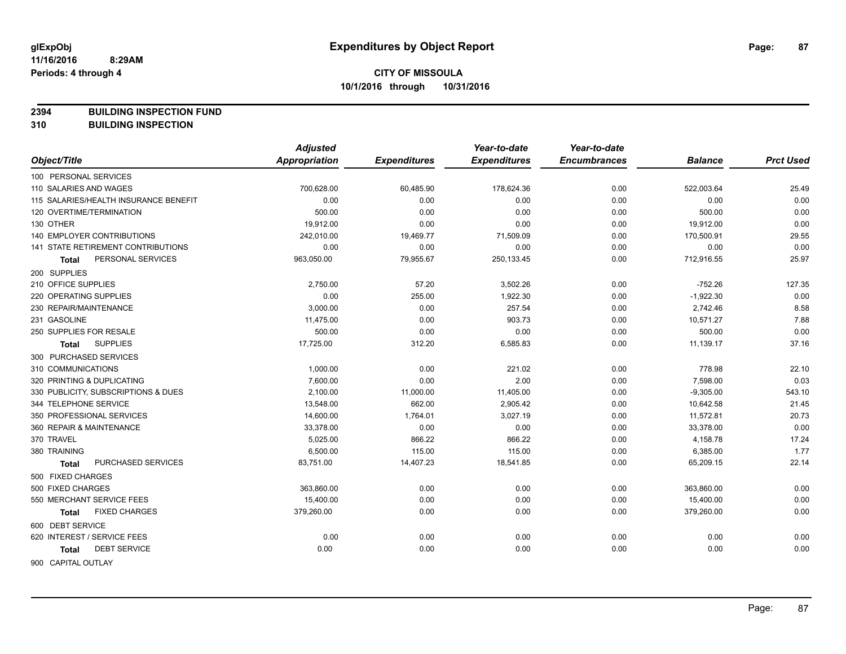**2394 BUILDING INSPECTION FUND**

**310 BUILDING INSPECTION**

|                                           | <b>Adjusted</b>      |                     | Year-to-date        | Year-to-date        |                |                  |
|-------------------------------------------|----------------------|---------------------|---------------------|---------------------|----------------|------------------|
| Object/Title                              | <b>Appropriation</b> | <b>Expenditures</b> | <b>Expenditures</b> | <b>Encumbrances</b> | <b>Balance</b> | <b>Prct Used</b> |
| 100 PERSONAL SERVICES                     |                      |                     |                     |                     |                |                  |
| 110 SALARIES AND WAGES                    | 700,628.00           | 60,485.90           | 178,624.36          | 0.00                | 522,003.64     | 25.49            |
| 115 SALARIES/HEALTH INSURANCE BENEFIT     | 0.00                 | 0.00                | 0.00                | 0.00                | 0.00           | 0.00             |
| 120 OVERTIME/TERMINATION                  | 500.00               | 0.00                | 0.00                | 0.00                | 500.00         | 0.00             |
| 130 OTHER                                 | 19,912.00            | 0.00                | 0.00                | 0.00                | 19,912.00      | 0.00             |
| <b>140 EMPLOYER CONTRIBUTIONS</b>         | 242,010.00           | 19,469.77           | 71,509.09           | 0.00                | 170,500.91     | 29.55            |
| <b>141 STATE RETIREMENT CONTRIBUTIONS</b> | 0.00                 | 0.00                | 0.00                | 0.00                | 0.00           | 0.00             |
| PERSONAL SERVICES<br>Total                | 963,050.00           | 79,955.67           | 250,133.45          | 0.00                | 712,916.55     | 25.97            |
| 200 SUPPLIES                              |                      |                     |                     |                     |                |                  |
| 210 OFFICE SUPPLIES                       | 2,750.00             | 57.20               | 3,502.26            | 0.00                | $-752.26$      | 127.35           |
| 220 OPERATING SUPPLIES                    | 0.00                 | 255.00              | 1,922.30            | 0.00                | $-1,922.30$    | 0.00             |
| 230 REPAIR/MAINTENANCE                    | 3,000.00             | 0.00                | 257.54              | 0.00                | 2,742.46       | 8.58             |
| 231 GASOLINE                              | 11,475.00            | 0.00                | 903.73              | 0.00                | 10,571.27      | 7.88             |
| 250 SUPPLIES FOR RESALE                   | 500.00               | 0.00                | 0.00                | 0.00                | 500.00         | 0.00             |
| <b>SUPPLIES</b><br>Total                  | 17,725.00            | 312.20              | 6,585.83            | 0.00                | 11,139.17      | 37.16            |
| 300 PURCHASED SERVICES                    |                      |                     |                     |                     |                |                  |
| 310 COMMUNICATIONS                        | 1,000.00             | 0.00                | 221.02              | 0.00                | 778.98         | 22.10            |
| 320 PRINTING & DUPLICATING                | 7,600.00             | 0.00                | 2.00                | 0.00                | 7,598.00       | 0.03             |
| 330 PUBLICITY, SUBSCRIPTIONS & DUES       | 2,100.00             | 11,000.00           | 11,405.00           | 0.00                | $-9,305.00$    | 543.10           |
| 344 TELEPHONE SERVICE                     | 13,548.00            | 662.00              | 2,905.42            | 0.00                | 10,642.58      | 21.45            |
| 350 PROFESSIONAL SERVICES                 | 14,600.00            | 1,764.01            | 3,027.19            | 0.00                | 11,572.81      | 20.73            |
| 360 REPAIR & MAINTENANCE                  | 33,378.00            | 0.00                | 0.00                | 0.00                | 33,378.00      | 0.00             |
| 370 TRAVEL                                | 5,025.00             | 866.22              | 866.22              | 0.00                | 4,158.78       | 17.24            |
| 380 TRAINING                              | 6,500.00             | 115.00              | 115.00              | 0.00                | 6,385.00       | 1.77             |
| PURCHASED SERVICES<br><b>Total</b>        | 83,751.00            | 14,407.23           | 18,541.85           | 0.00                | 65,209.15      | 22.14            |
| 500 FIXED CHARGES                         |                      |                     |                     |                     |                |                  |
| 500 FIXED CHARGES                         | 363,860.00           | 0.00                | 0.00                | 0.00                | 363,860.00     | 0.00             |
| 550 MERCHANT SERVICE FEES                 | 15,400.00            | 0.00                | 0.00                | 0.00                | 15,400.00      | 0.00             |
| <b>FIXED CHARGES</b><br>Total             | 379,260.00           | 0.00                | 0.00                | 0.00                | 379,260.00     | 0.00             |
| 600 DEBT SERVICE                          |                      |                     |                     |                     |                |                  |
| 620 INTEREST / SERVICE FEES               | 0.00                 | 0.00                | 0.00                | 0.00                | 0.00           | 0.00             |
| <b>DEBT SERVICE</b><br>Total              | 0.00                 | 0.00                | 0.00                | 0.00                | 0.00           | 0.00             |
| 900 CAPITAL OUTLAY                        |                      |                     |                     |                     |                |                  |

Page: 87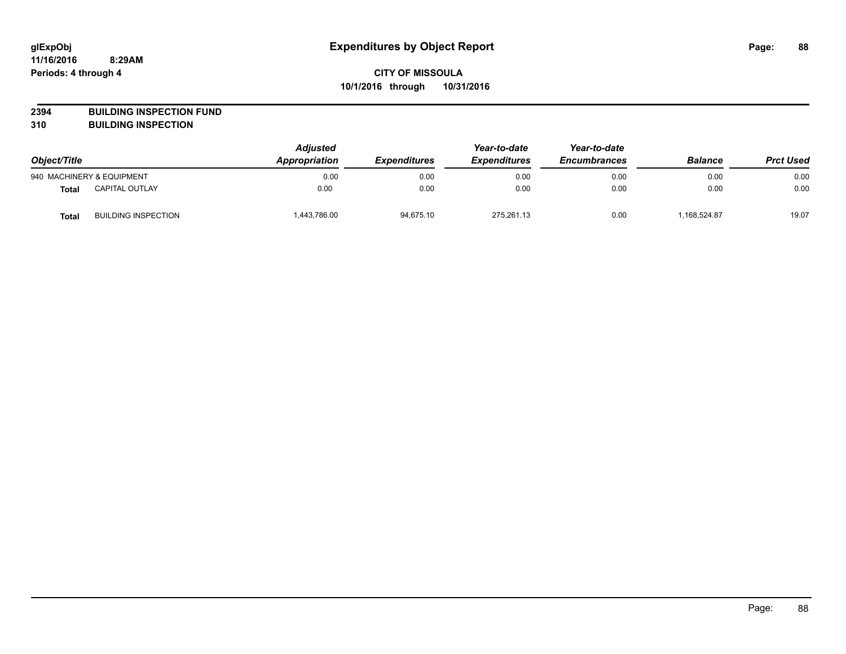**2394 BUILDING INSPECTION FUND**

**310 BUILDING INSPECTION**

| Object/Title |                            | <b>Adjusted</b><br>Appropriation | <b>Expenditures</b> | Year-to-date<br><b>Expenditures</b> | Year-to-date<br><b>Encumbrances</b> | <b>Balance</b> | <b>Prct Used</b> |
|--------------|----------------------------|----------------------------------|---------------------|-------------------------------------|-------------------------------------|----------------|------------------|
|              | 940 MACHINERY & EQUIPMENT  | 0.00                             | 0.00                | 0.00                                | 0.00                                | 0.00           | 0.00             |
| <b>Total</b> | <b>CAPITAL OUTLAY</b>      | 0.00                             | 0.00                | 0.00                                | 0.00                                | 0.00           | 0.00             |
| <b>Total</b> | <b>BUILDING INSPECTION</b> | 1,443,786.00                     | 94,675.10           | 275.261.13                          | 0.00                                | 168,524.87     | 19.07            |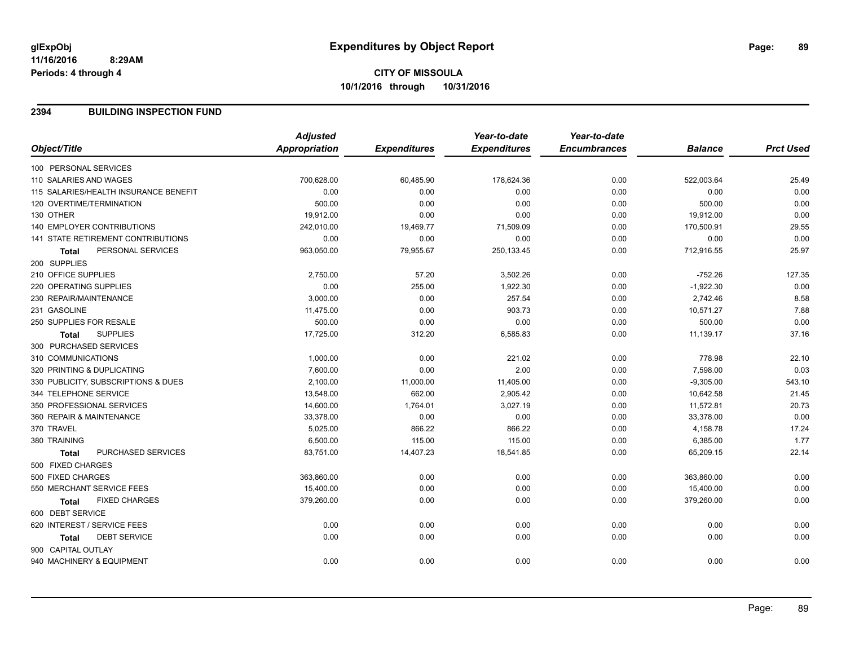## **CITY OF MISSOULA 10/1/2016 through 10/31/2016**

#### **2394 BUILDING INSPECTION FUND**

|                                           | <b>Adjusted</b>      |                     | Year-to-date        | Year-to-date        |                |                  |
|-------------------------------------------|----------------------|---------------------|---------------------|---------------------|----------------|------------------|
| Object/Title                              | <b>Appropriation</b> | <b>Expenditures</b> | <b>Expenditures</b> | <b>Encumbrances</b> | <b>Balance</b> | <b>Prct Used</b> |
| 100 PERSONAL SERVICES                     |                      |                     |                     |                     |                |                  |
| 110 SALARIES AND WAGES                    | 700,628.00           | 60,485.90           | 178,624.36          | 0.00                | 522,003.64     | 25.49            |
| 115 SALARIES/HEALTH INSURANCE BENEFIT     | 0.00                 | 0.00                | 0.00                | 0.00                | 0.00           | 0.00             |
| 120 OVERTIME/TERMINATION                  | 500.00               | 0.00                | 0.00                | 0.00                | 500.00         | 0.00             |
| 130 OTHER                                 | 19,912.00            | 0.00                | 0.00                | 0.00                | 19,912.00      | 0.00             |
| <b>140 EMPLOYER CONTRIBUTIONS</b>         | 242,010.00           | 19,469.77           | 71,509.09           | 0.00                | 170,500.91     | 29.55            |
| <b>141 STATE RETIREMENT CONTRIBUTIONS</b> | 0.00                 | 0.00                | 0.00                | 0.00                | 0.00           | 0.00             |
| PERSONAL SERVICES<br>Total                | 963,050.00           | 79,955.67           | 250, 133. 45        | 0.00                | 712,916.55     | 25.97            |
| 200 SUPPLIES                              |                      |                     |                     |                     |                |                  |
| 210 OFFICE SUPPLIES                       | 2,750.00             | 57.20               | 3,502.26            | 0.00                | $-752.26$      | 127.35           |
| 220 OPERATING SUPPLIES                    | 0.00                 | 255.00              | 1,922.30            | 0.00                | $-1,922.30$    | 0.00             |
| 230 REPAIR/MAINTENANCE                    | 3,000.00             | 0.00                | 257.54              | 0.00                | 2,742.46       | 8.58             |
| 231 GASOLINE                              | 11,475.00            | 0.00                | 903.73              | 0.00                | 10,571.27      | 7.88             |
| 250 SUPPLIES FOR RESALE                   | 500.00               | 0.00                | 0.00                | 0.00                | 500.00         | 0.00             |
| <b>SUPPLIES</b><br><b>Total</b>           | 17,725.00            | 312.20              | 6,585.83            | 0.00                | 11,139.17      | 37.16            |
| 300 PURCHASED SERVICES                    |                      |                     |                     |                     |                |                  |
| 310 COMMUNICATIONS                        | 1,000.00             | 0.00                | 221.02              | 0.00                | 778.98         | 22.10            |
| 320 PRINTING & DUPLICATING                | 7,600.00             | 0.00                | 2.00                | 0.00                | 7,598.00       | 0.03             |
| 330 PUBLICITY, SUBSCRIPTIONS & DUES       | 2,100.00             | 11,000.00           | 11,405.00           | 0.00                | $-9,305.00$    | 543.10           |
| 344 TELEPHONE SERVICE                     | 13,548.00            | 662.00              | 2,905.42            | 0.00                | 10,642.58      | 21.45            |
| 350 PROFESSIONAL SERVICES                 | 14,600.00            | 1,764.01            | 3,027.19            | 0.00                | 11,572.81      | 20.73            |
| 360 REPAIR & MAINTENANCE                  | 33,378.00            | 0.00                | 0.00                | 0.00                | 33,378.00      | 0.00             |
| 370 TRAVEL                                | 5,025.00             | 866.22              | 866.22              | 0.00                | 4,158.78       | 17.24            |
| 380 TRAINING                              | 6,500.00             | 115.00              | 115.00              | 0.00                | 6,385.00       | 1.77             |
| PURCHASED SERVICES<br><b>Total</b>        | 83,751.00            | 14,407.23           | 18,541.85           | 0.00                | 65,209.15      | 22.14            |
| 500 FIXED CHARGES                         |                      |                     |                     |                     |                |                  |
| 500 FIXED CHARGES                         | 363,860.00           | 0.00                | 0.00                | 0.00                | 363,860.00     | 0.00             |
| 550 MERCHANT SERVICE FEES                 | 15,400.00            | 0.00                | 0.00                | 0.00                | 15,400.00      | 0.00             |
| <b>FIXED CHARGES</b><br><b>Total</b>      | 379,260.00           | 0.00                | 0.00                | 0.00                | 379,260.00     | 0.00             |
| 600 DEBT SERVICE                          |                      |                     |                     |                     |                |                  |
| 620 INTEREST / SERVICE FEES               | 0.00                 | 0.00                | 0.00                | 0.00                | 0.00           | 0.00             |
| <b>DEBT SERVICE</b><br><b>Total</b>       | 0.00                 | 0.00                | 0.00                | 0.00                | 0.00           | 0.00             |
| 900 CAPITAL OUTLAY                        |                      |                     |                     |                     |                |                  |
| 940 MACHINERY & EQUIPMENT                 | 0.00                 | 0.00                | 0.00                | 0.00                | 0.00           | 0.00             |
|                                           |                      |                     |                     |                     |                |                  |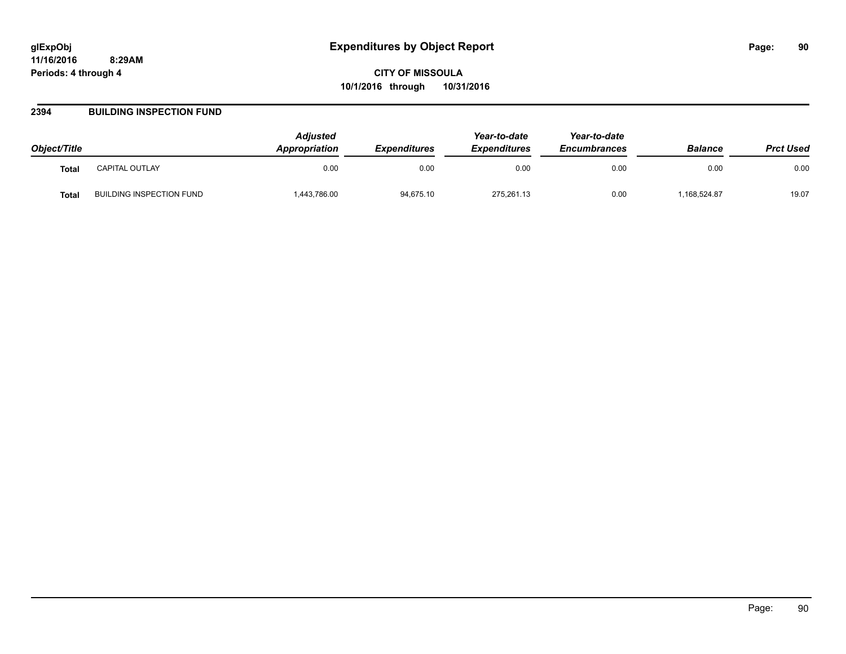#### **2394 BUILDING INSPECTION FUND**

| Object/Title |                          | <b>Adjusted</b><br><b>Appropriation</b> | <b>Expenditures</b> | Year-to-date<br><b>Expenditures</b> | Year-to-date<br><b>Encumbrances</b> | <b>Balance</b> | <b>Prct Used</b> |
|--------------|--------------------------|-----------------------------------------|---------------------|-------------------------------------|-------------------------------------|----------------|------------------|
| <b>Total</b> | CAPITAL OUTLAY           | 0.00                                    | 0.00                | 0.00                                | 0.00                                | 0.00           | 0.00             |
| Total        | BUILDING INSPECTION FUND | 1,443,786.00                            | 94,675.10           | 275,261.13                          | 0.00                                | 168,524.87     | 19.07            |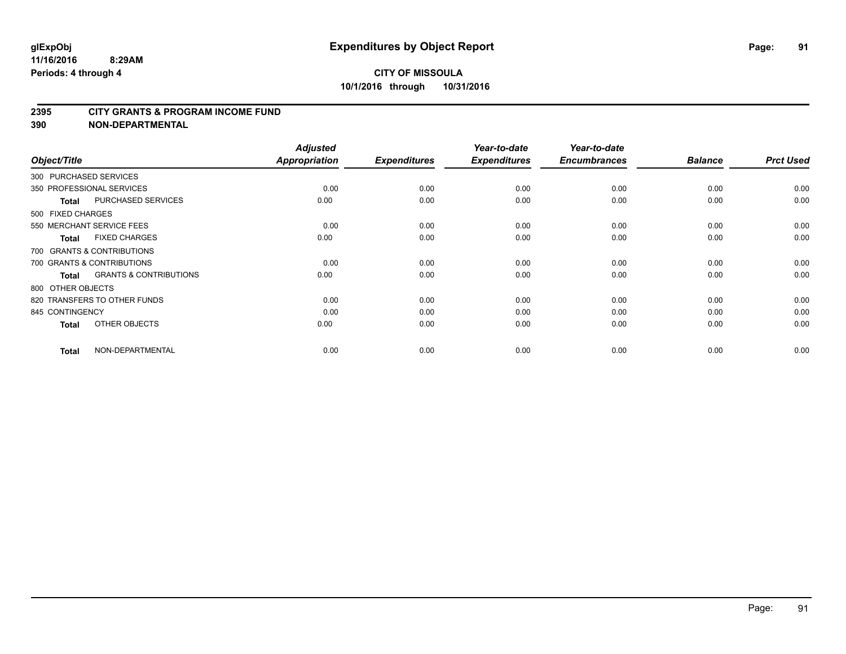#### **2395 CITY GRANTS & PROGRAM INCOME FUND**

| Object/Title               |                                   | <b>Adjusted</b><br><b>Appropriation</b> | <b>Expenditures</b> | Year-to-date<br><b>Expenditures</b> | Year-to-date<br><b>Encumbrances</b> | <b>Balance</b> | <b>Prct Used</b> |
|----------------------------|-----------------------------------|-----------------------------------------|---------------------|-------------------------------------|-------------------------------------|----------------|------------------|
| 300 PURCHASED SERVICES     |                                   |                                         |                     |                                     |                                     |                |                  |
| 350 PROFESSIONAL SERVICES  |                                   | 0.00                                    | 0.00                | 0.00                                | 0.00                                | 0.00           | 0.00             |
| <b>Total</b>               | <b>PURCHASED SERVICES</b>         | 0.00                                    | 0.00                | 0.00                                | 0.00                                | 0.00           | 0.00             |
| 500 FIXED CHARGES          |                                   |                                         |                     |                                     |                                     |                |                  |
| 550 MERCHANT SERVICE FEES  |                                   | 0.00                                    | 0.00                | 0.00                                | 0.00                                | 0.00           | 0.00             |
| <b>Total</b>               | <b>FIXED CHARGES</b>              | 0.00                                    | 0.00                | 0.00                                | 0.00                                | 0.00           | 0.00             |
|                            | 700 GRANTS & CONTRIBUTIONS        |                                         |                     |                                     |                                     |                |                  |
| 700 GRANTS & CONTRIBUTIONS |                                   | 0.00                                    | 0.00                | 0.00                                | 0.00                                | 0.00           | 0.00             |
| <b>Total</b>               | <b>GRANTS &amp; CONTRIBUTIONS</b> | 0.00                                    | 0.00                | 0.00                                | 0.00                                | 0.00           | 0.00             |
| 800 OTHER OBJECTS          |                                   |                                         |                     |                                     |                                     |                |                  |
|                            | 820 TRANSFERS TO OTHER FUNDS      | 0.00                                    | 0.00                | 0.00                                | 0.00                                | 0.00           | 0.00             |
| 845 CONTINGENCY            |                                   | 0.00                                    | 0.00                | 0.00                                | 0.00                                | 0.00           | 0.00             |
| <b>Total</b>               | OTHER OBJECTS                     | 0.00                                    | 0.00                | 0.00                                | 0.00                                | 0.00           | 0.00             |
| <b>Total</b>               | NON-DEPARTMENTAL                  | 0.00                                    | 0.00                | 0.00                                | 0.00                                | 0.00           | 0.00             |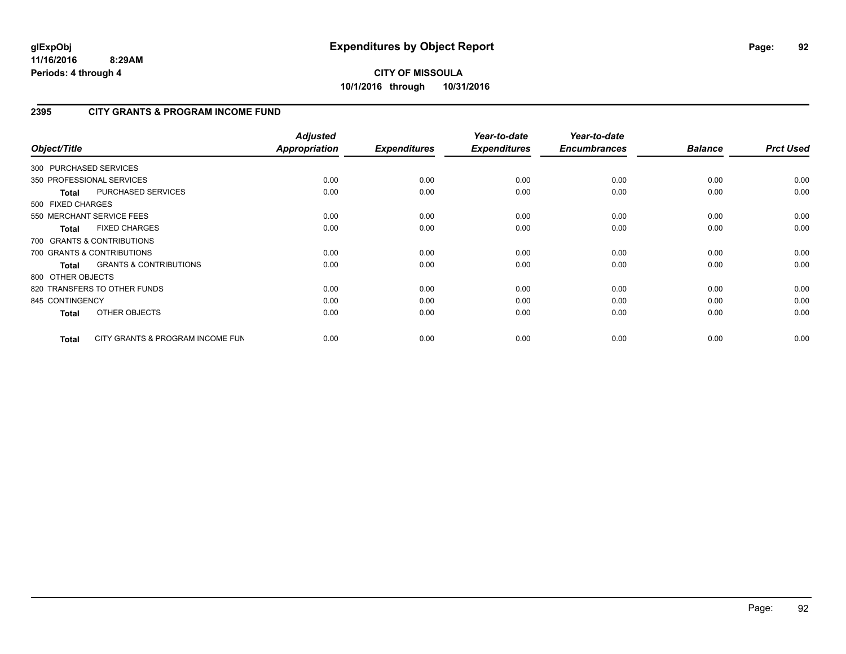## **2395 CITY GRANTS & PROGRAM INCOME FUND**

| Object/Title           |                                   | <b>Adjusted</b><br><b>Appropriation</b> | <b>Expenditures</b> | Year-to-date<br><b>Expenditures</b> | Year-to-date<br><b>Encumbrances</b> | <b>Balance</b> | <b>Prct Used</b> |
|------------------------|-----------------------------------|-----------------------------------------|---------------------|-------------------------------------|-------------------------------------|----------------|------------------|
| 300 PURCHASED SERVICES |                                   |                                         |                     |                                     |                                     |                |                  |
|                        | 350 PROFESSIONAL SERVICES         | 0.00                                    | 0.00                | 0.00                                | 0.00                                | 0.00           | 0.00             |
| <b>Total</b>           | PURCHASED SERVICES                | 0.00                                    | 0.00                | 0.00                                | 0.00                                | 0.00           | 0.00             |
| 500 FIXED CHARGES      |                                   |                                         |                     |                                     |                                     |                |                  |
|                        | 550 MERCHANT SERVICE FEES         | 0.00                                    | 0.00                | 0.00                                | 0.00                                | 0.00           | 0.00             |
| <b>Total</b>           | <b>FIXED CHARGES</b>              | 0.00                                    | 0.00                | 0.00                                | 0.00                                | 0.00           | 0.00             |
|                        | 700 GRANTS & CONTRIBUTIONS        |                                         |                     |                                     |                                     |                |                  |
|                        | 700 GRANTS & CONTRIBUTIONS        | 0.00                                    | 0.00                | 0.00                                | 0.00                                | 0.00           | 0.00             |
| <b>Total</b>           | <b>GRANTS &amp; CONTRIBUTIONS</b> | 0.00                                    | 0.00                | 0.00                                | 0.00                                | 0.00           | 0.00             |
| 800 OTHER OBJECTS      |                                   |                                         |                     |                                     |                                     |                |                  |
|                        | 820 TRANSFERS TO OTHER FUNDS      | 0.00                                    | 0.00                | 0.00                                | 0.00                                | 0.00           | 0.00             |
| 845 CONTINGENCY        |                                   | 0.00                                    | 0.00                | 0.00                                | 0.00                                | 0.00           | 0.00             |
| <b>Total</b>           | OTHER OBJECTS                     | 0.00                                    | 0.00                | 0.00                                | 0.00                                | 0.00           | 0.00             |
| Total                  | CITY GRANTS & PROGRAM INCOME FUN  | 0.00                                    | 0.00                | 0.00                                | 0.00                                | 0.00           | 0.00             |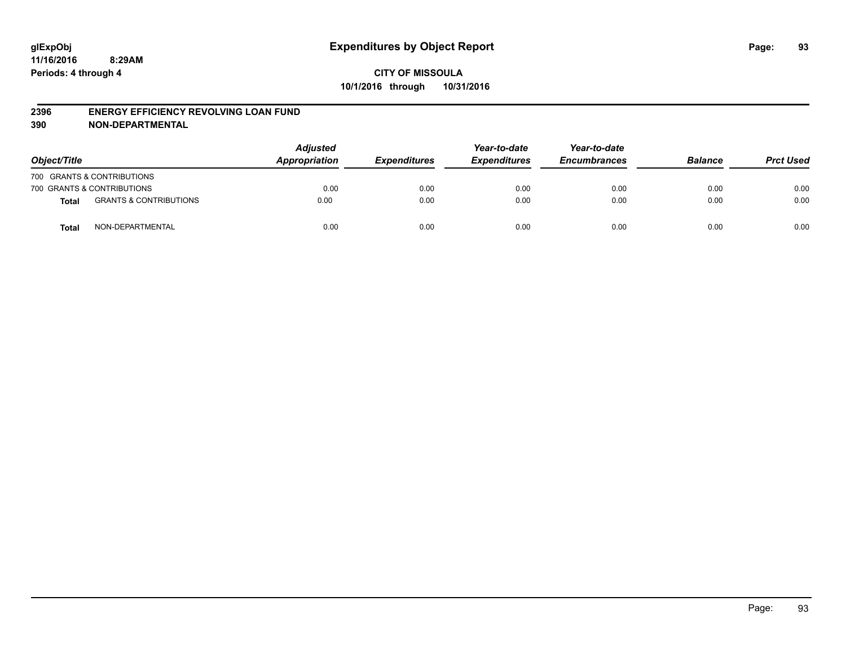#### **2396 ENERGY EFFICIENCY REVOLVING LOAN FUND**

| Object/Title |                                   | <b>Adjusted</b><br>Appropriation | <b>Expenditures</b> | Year-to-date<br><b>Expenditures</b> | Year-to-date<br><b>Encumbrances</b> | <b>Balance</b> | <b>Prct Used</b> |
|--------------|-----------------------------------|----------------------------------|---------------------|-------------------------------------|-------------------------------------|----------------|------------------|
|              | 700 GRANTS & CONTRIBUTIONS        |                                  |                     |                                     |                                     |                |                  |
|              | 700 GRANTS & CONTRIBUTIONS        | 0.00                             | 0.00                | 0.00                                | 0.00                                | 0.00           | 0.00             |
| Total        | <b>GRANTS &amp; CONTRIBUTIONS</b> | 0.00                             | 0.00                | 0.00                                | 0.00                                | 0.00           | 0.00             |
| <b>Total</b> | NON-DEPARTMENTAL                  | 0.00                             | 0.00                | 0.00                                | 0.00                                | 0.00           | 0.00             |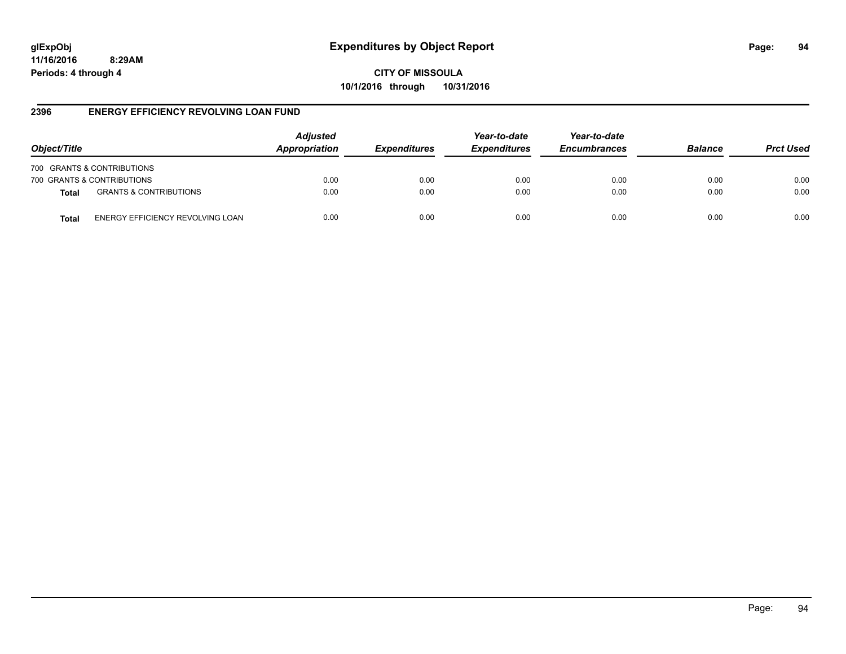**CITY OF MISSOULA 10/1/2016 through 10/31/2016**

### **2396 ENERGY EFFICIENCY REVOLVING LOAN FUND**

| Object/Title               |                                   | <b>Adjusted</b><br>Appropriation | <b>Expenditures</b> | Year-to-date<br><b>Expenditures</b> | Year-to-date<br><b>Encumbrances</b> | <b>Balance</b> | <b>Prct Used</b> |
|----------------------------|-----------------------------------|----------------------------------|---------------------|-------------------------------------|-------------------------------------|----------------|------------------|
| 700 GRANTS & CONTRIBUTIONS |                                   |                                  |                     |                                     |                                     |                |                  |
| 700 GRANTS & CONTRIBUTIONS |                                   | 0.00                             | 0.00                | 0.00                                | 0.00                                | 0.00           | 0.00             |
| <b>Total</b>               | <b>GRANTS &amp; CONTRIBUTIONS</b> | 0.00                             | 0.00                | 0.00                                | 0.00                                | 0.00           | 0.00             |
| Total                      | ENERGY EFFICIENCY REVOLVING LOAN  | 0.00                             | 0.00                | 0.00                                | 0.00                                | 0.00           | 0.00             |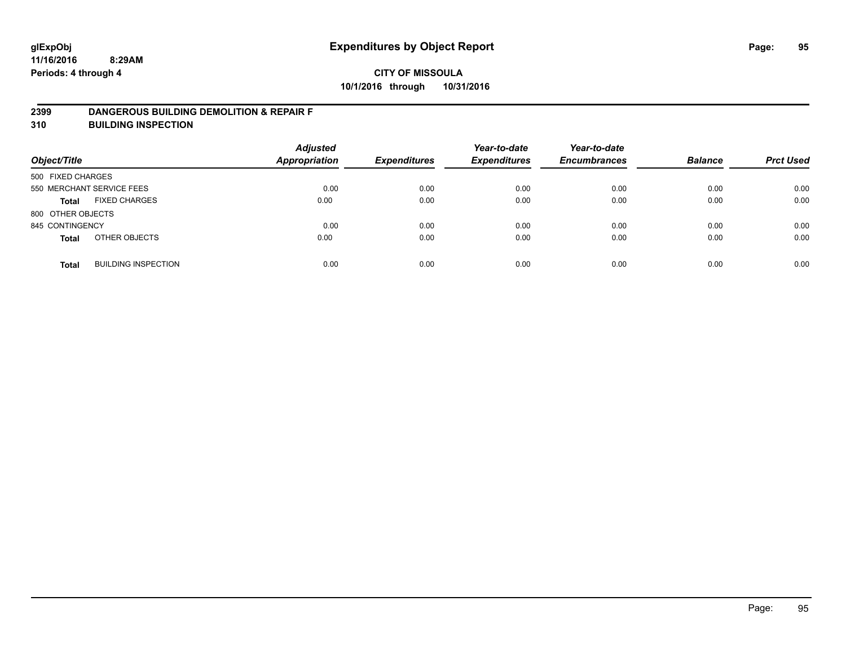#### **2399 DANGEROUS BUILDING DEMOLITION & REPAIR F**

**310 BUILDING INSPECTION**

| Object/Title      |                            | <b>Adjusted</b><br><b>Appropriation</b> | <b>Expenditures</b> | Year-to-date<br><b>Expenditures</b> | Year-to-date<br><b>Encumbrances</b> | <b>Balance</b> | <b>Prct Used</b> |
|-------------------|----------------------------|-----------------------------------------|---------------------|-------------------------------------|-------------------------------------|----------------|------------------|
| 500 FIXED CHARGES |                            |                                         |                     |                                     |                                     |                |                  |
|                   | 550 MERCHANT SERVICE FEES  | 0.00                                    | 0.00                | 0.00                                | 0.00                                | 0.00           | 0.00             |
| <b>Total</b>      | <b>FIXED CHARGES</b>       | 0.00                                    | 0.00                | 0.00                                | 0.00                                | 0.00           | 0.00             |
| 800 OTHER OBJECTS |                            |                                         |                     |                                     |                                     |                |                  |
| 845 CONTINGENCY   |                            | 0.00                                    | 0.00                | 0.00                                | 0.00                                | 0.00           | 0.00             |
| <b>Total</b>      | OTHER OBJECTS              | 0.00                                    | 0.00                | 0.00                                | 0.00                                | 0.00           | 0.00             |
| <b>Total</b>      | <b>BUILDING INSPECTION</b> | 0.00                                    | 0.00                | 0.00                                | 0.00                                | 0.00           | 0.00             |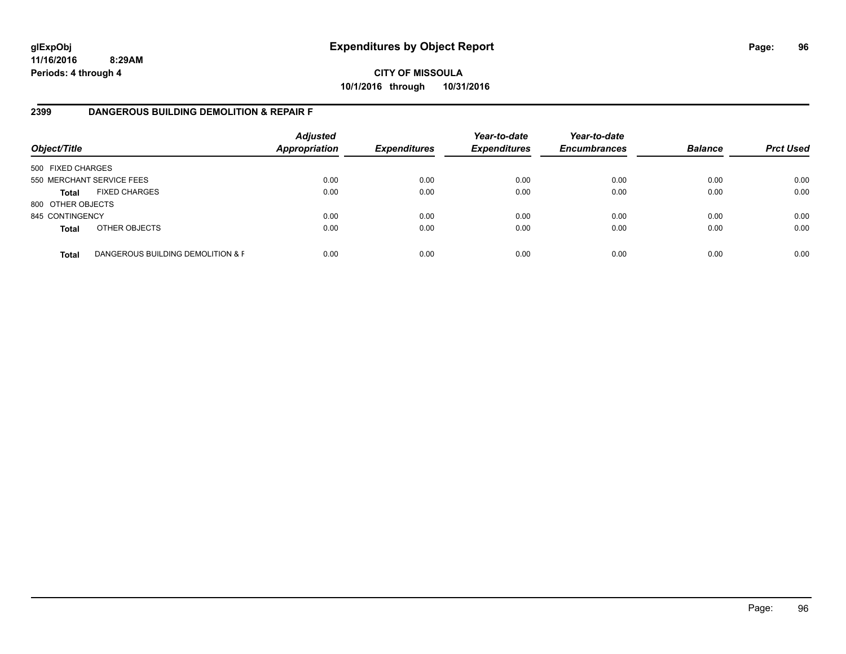**CITY OF MISSOULA 10/1/2016 through 10/31/2016**

#### **2399 DANGEROUS BUILDING DEMOLITION & REPAIR F**

| Object/Title      |                                   | <b>Adjusted</b><br><b>Appropriation</b> | <b>Expenditures</b> | Year-to-date<br><b>Expenditures</b> | Year-to-date<br><b>Encumbrances</b> | <b>Balance</b> | <b>Prct Used</b> |
|-------------------|-----------------------------------|-----------------------------------------|---------------------|-------------------------------------|-------------------------------------|----------------|------------------|
| 500 FIXED CHARGES |                                   |                                         |                     |                                     |                                     |                |                  |
|                   | 550 MERCHANT SERVICE FEES         | 0.00                                    | 0.00                | 0.00                                | 0.00                                | 0.00           | 0.00             |
| <b>Total</b>      | <b>FIXED CHARGES</b>              | 0.00                                    | 0.00                | 0.00                                | 0.00                                | 0.00           | 0.00             |
| 800 OTHER OBJECTS |                                   |                                         |                     |                                     |                                     |                |                  |
| 845 CONTINGENCY   |                                   | 0.00                                    | 0.00                | 0.00                                | 0.00                                | 0.00           | 0.00             |
| <b>Total</b>      | OTHER OBJECTS                     | 0.00                                    | 0.00                | 0.00                                | 0.00                                | 0.00           | 0.00             |
| <b>Total</b>      | DANGEROUS BUILDING DEMOLITION & F | 0.00                                    | 0.00                | 0.00                                | 0.00                                | 0.00           | 0.00             |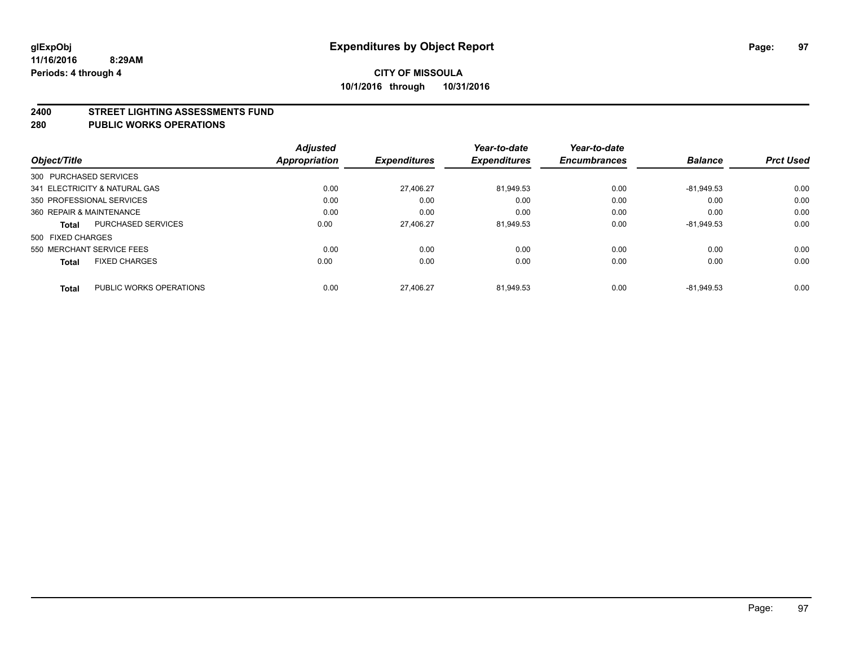#### **2400 STREET LIGHTING ASSESSMENTS FUND**

#### **280 PUBLIC WORKS OPERATIONS**

| Object/Title                              | <b>Adjusted</b><br><b>Appropriation</b> | <b>Expenditures</b> | Year-to-date<br><b>Expenditures</b> | Year-to-date<br><b>Encumbrances</b> | <b>Balance</b> | <b>Prct Used</b> |
|-------------------------------------------|-----------------------------------------|---------------------|-------------------------------------|-------------------------------------|----------------|------------------|
| 300 PURCHASED SERVICES                    |                                         |                     |                                     |                                     |                |                  |
| 341 ELECTRICITY & NATURAL GAS             | 0.00                                    | 27.406.27           | 81.949.53                           | 0.00                                | $-81.949.53$   | 0.00             |
| 350 PROFESSIONAL SERVICES                 | 0.00                                    | 0.00                | 0.00                                | 0.00                                | 0.00           | 0.00             |
| 360 REPAIR & MAINTENANCE                  | 0.00                                    | 0.00                | 0.00                                | 0.00                                | 0.00           | 0.00             |
| <b>PURCHASED SERVICES</b><br><b>Total</b> | 0.00                                    | 27.406.27           | 81.949.53                           | 0.00                                | $-81.949.53$   | 0.00             |
| 500 FIXED CHARGES                         |                                         |                     |                                     |                                     |                |                  |
| 550 MERCHANT SERVICE FEES                 | 0.00                                    | 0.00                | 0.00                                | 0.00                                | 0.00           | 0.00             |
| <b>FIXED CHARGES</b><br><b>Total</b>      | 0.00                                    | 0.00                | 0.00                                | 0.00                                | 0.00           | 0.00             |
| PUBLIC WORKS OPERATIONS<br><b>Total</b>   | 0.00                                    | 27.406.27           | 81.949.53                           | 0.00                                | $-81.949.53$   | 0.00             |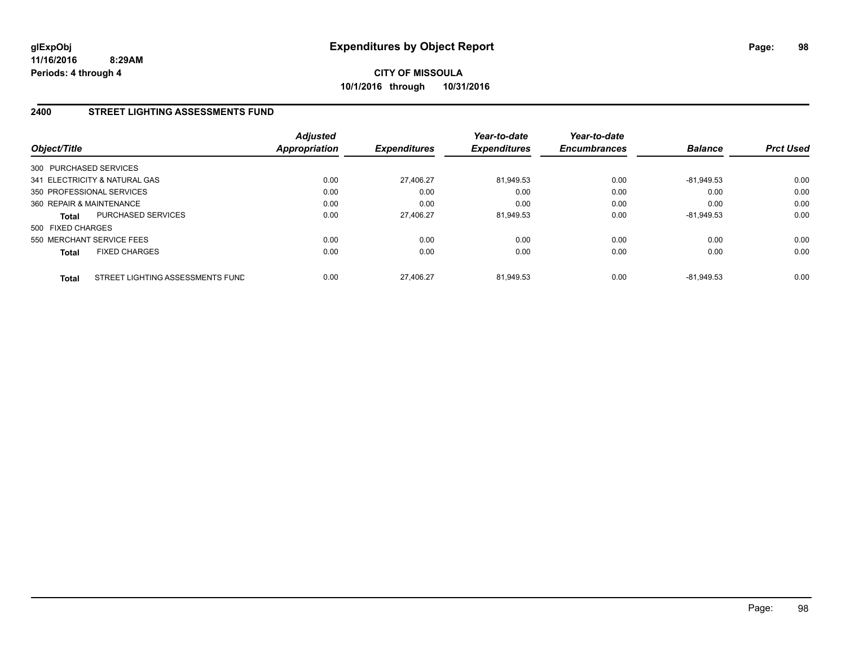## **2400 STREET LIGHTING ASSESSMENTS FUND**

| Object/Title             |                                  | <b>Adjusted</b><br><b>Appropriation</b> | <b>Expenditures</b> | Year-to-date<br><b>Expenditures</b> | Year-to-date<br><b>Encumbrances</b> | <b>Balance</b> | <b>Prct Used</b> |
|--------------------------|----------------------------------|-----------------------------------------|---------------------|-------------------------------------|-------------------------------------|----------------|------------------|
| 300 PURCHASED SERVICES   |                                  |                                         |                     |                                     |                                     |                |                  |
|                          | 341 ELECTRICITY & NATURAL GAS    | 0.00                                    | 27,406.27           | 81.949.53                           | 0.00                                | $-81.949.53$   | 0.00             |
|                          | 350 PROFESSIONAL SERVICES        | 0.00                                    | 0.00                | 0.00                                | 0.00                                | 0.00           | 0.00             |
| 360 REPAIR & MAINTENANCE |                                  | 0.00                                    | 0.00                | 0.00                                | 0.00                                | 0.00           | 0.00             |
| Total                    | PURCHASED SERVICES               | 0.00                                    | 27,406.27           | 81,949.53                           | 0.00                                | $-81,949.53$   | 0.00             |
| 500 FIXED CHARGES        |                                  |                                         |                     |                                     |                                     |                |                  |
|                          | 550 MERCHANT SERVICE FEES        | 0.00                                    | 0.00                | 0.00                                | 0.00                                | 0.00           | 0.00             |
| <b>Total</b>             | <b>FIXED CHARGES</b>             | 0.00                                    | 0.00                | 0.00                                | 0.00                                | 0.00           | 0.00             |
| Total                    | STREET LIGHTING ASSESSMENTS FUND | 0.00                                    | 27.406.27           | 81.949.53                           | 0.00                                | $-81.949.53$   | 0.00             |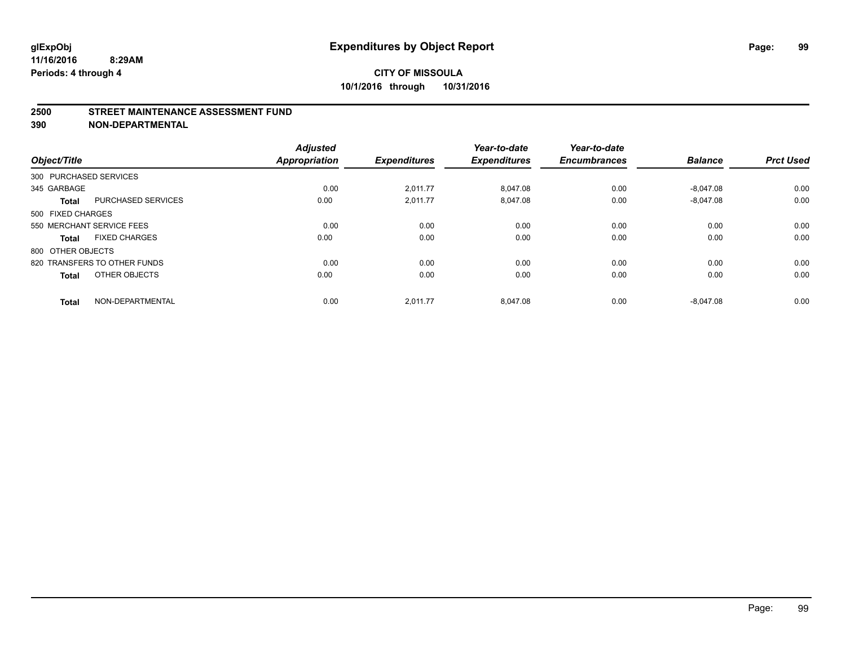#### **2500 STREET MAINTENANCE ASSESSMENT FUND**

| Object/Title           |                              | <b>Adjusted</b><br><b>Appropriation</b> | <b>Expenditures</b> | Year-to-date<br><b>Expenditures</b> | Year-to-date<br><b>Encumbrances</b> | <b>Balance</b> | <b>Prct Used</b> |
|------------------------|------------------------------|-----------------------------------------|---------------------|-------------------------------------|-------------------------------------|----------------|------------------|
| 300 PURCHASED SERVICES |                              |                                         |                     |                                     |                                     |                |                  |
| 345 GARBAGE            |                              | 0.00                                    | 2,011.77            | 8,047.08                            | 0.00                                | $-8,047.08$    | 0.00             |
| <b>Total</b>           | <b>PURCHASED SERVICES</b>    | 0.00                                    | 2,011.77            | 8,047.08                            | 0.00                                | $-8,047.08$    | 0.00             |
| 500 FIXED CHARGES      |                              |                                         |                     |                                     |                                     |                |                  |
|                        | 550 MERCHANT SERVICE FEES    | 0.00                                    | 0.00                | 0.00                                | 0.00                                | 0.00           | 0.00             |
| <b>Total</b>           | <b>FIXED CHARGES</b>         | 0.00                                    | 0.00                | 0.00                                | 0.00                                | 0.00           | 0.00             |
| 800 OTHER OBJECTS      |                              |                                         |                     |                                     |                                     |                |                  |
|                        | 820 TRANSFERS TO OTHER FUNDS | 0.00                                    | 0.00                | 0.00                                | 0.00                                | 0.00           | 0.00             |
| <b>Total</b>           | OTHER OBJECTS                | 0.00                                    | 0.00                | 0.00                                | 0.00                                | 0.00           | 0.00             |
| <b>Total</b>           | NON-DEPARTMENTAL             | 0.00                                    | 2.011.77            | 8.047.08                            | 0.00                                | $-8.047.08$    | 0.00             |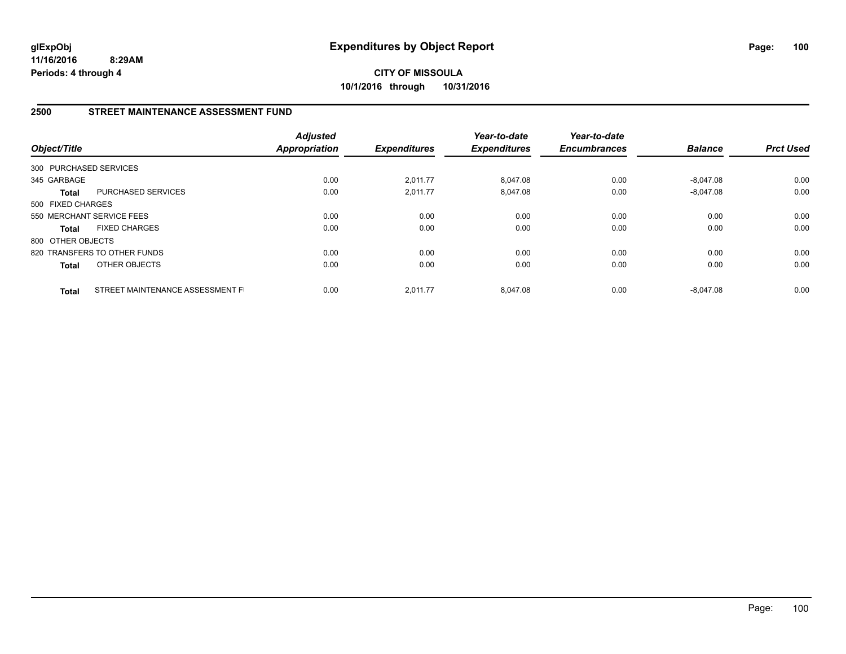**CITY OF MISSOULA 10/1/2016 through 10/31/2016**

### **2500 STREET MAINTENANCE ASSESSMENT FUND**

| Object/Title           |                                  | <b>Adjusted</b><br><b>Appropriation</b> | <b>Expenditures</b> | Year-to-date<br><b>Expenditures</b> | Year-to-date<br><b>Encumbrances</b> | <b>Balance</b> | <b>Prct Used</b> |
|------------------------|----------------------------------|-----------------------------------------|---------------------|-------------------------------------|-------------------------------------|----------------|------------------|
| 300 PURCHASED SERVICES |                                  |                                         |                     |                                     |                                     |                |                  |
| 345 GARBAGE            |                                  | 0.00                                    | 2,011.77            | 8.047.08                            | 0.00                                | $-8.047.08$    | 0.00             |
| <b>Total</b>           | <b>PURCHASED SERVICES</b>        | 0.00                                    | 2,011.77            | 8.047.08                            | 0.00                                | $-8.047.08$    | 0.00             |
| 500 FIXED CHARGES      |                                  |                                         |                     |                                     |                                     |                |                  |
|                        | 550 MERCHANT SERVICE FEES        | 0.00                                    | 0.00                | 0.00                                | 0.00                                | 0.00           | 0.00             |
| <b>Total</b>           | <b>FIXED CHARGES</b>             | 0.00                                    | 0.00                | 0.00                                | 0.00                                | 0.00           | 0.00             |
| 800 OTHER OBJECTS      |                                  |                                         |                     |                                     |                                     |                |                  |
|                        | 820 TRANSFERS TO OTHER FUNDS     | 0.00                                    | 0.00                | 0.00                                | 0.00                                | 0.00           | 0.00             |
| <b>Total</b>           | OTHER OBJECTS                    | 0.00                                    | 0.00                | 0.00                                | 0.00                                | 0.00           | 0.00             |
| <b>Total</b>           | STREET MAINTENANCE ASSESSMENT FI | 0.00                                    | 2,011.77            | 8.047.08                            | 0.00                                | $-8.047.08$    | 0.00             |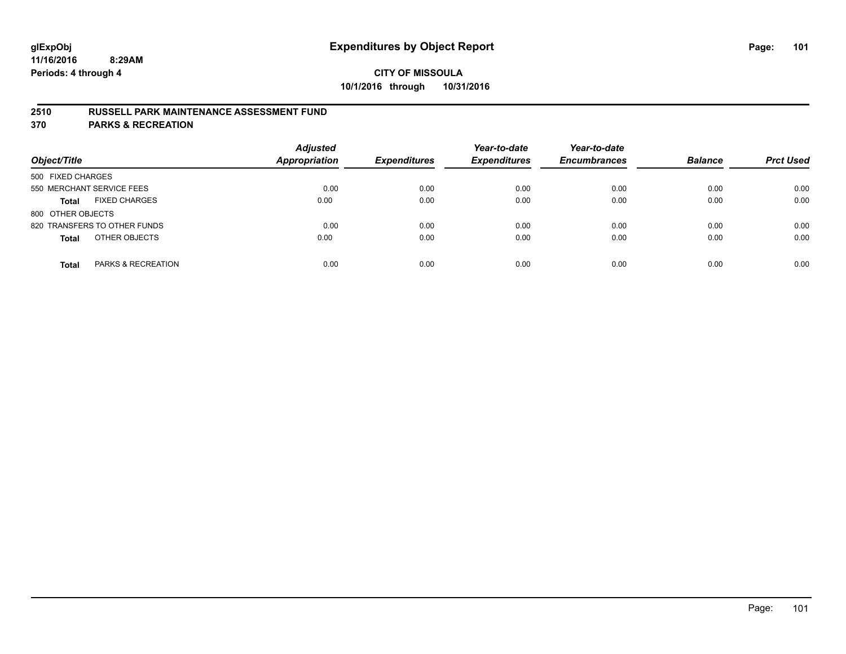### **2510 RUSSELL PARK MAINTENANCE ASSESSMENT FUND**

**370 PARKS & RECREATION**

| Object/Title                         | <b>Adjusted</b><br><b>Appropriation</b> | <b>Expenditures</b> | Year-to-date<br><b>Expenditures</b> | Year-to-date<br><b>Encumbrances</b> | <b>Balance</b> | <b>Prct Used</b> |
|--------------------------------------|-----------------------------------------|---------------------|-------------------------------------|-------------------------------------|----------------|------------------|
| 500 FIXED CHARGES                    |                                         |                     |                                     |                                     |                |                  |
| 550 MERCHANT SERVICE FEES            | 0.00                                    | 0.00                | 0.00                                | 0.00                                | 0.00           | 0.00             |
| <b>FIXED CHARGES</b><br><b>Total</b> | 0.00                                    | 0.00                | 0.00                                | 0.00                                | 0.00           | 0.00             |
| 800 OTHER OBJECTS                    |                                         |                     |                                     |                                     |                |                  |
| 820 TRANSFERS TO OTHER FUNDS         | 0.00                                    | 0.00                | 0.00                                | 0.00                                | 0.00           | 0.00             |
| OTHER OBJECTS<br><b>Total</b>        | 0.00                                    | 0.00                | 0.00                                | 0.00                                | 0.00           | 0.00             |
| PARKS & RECREATION<br><b>Total</b>   | 0.00                                    | 0.00                | 0.00                                | 0.00                                | 0.00           | 0.00             |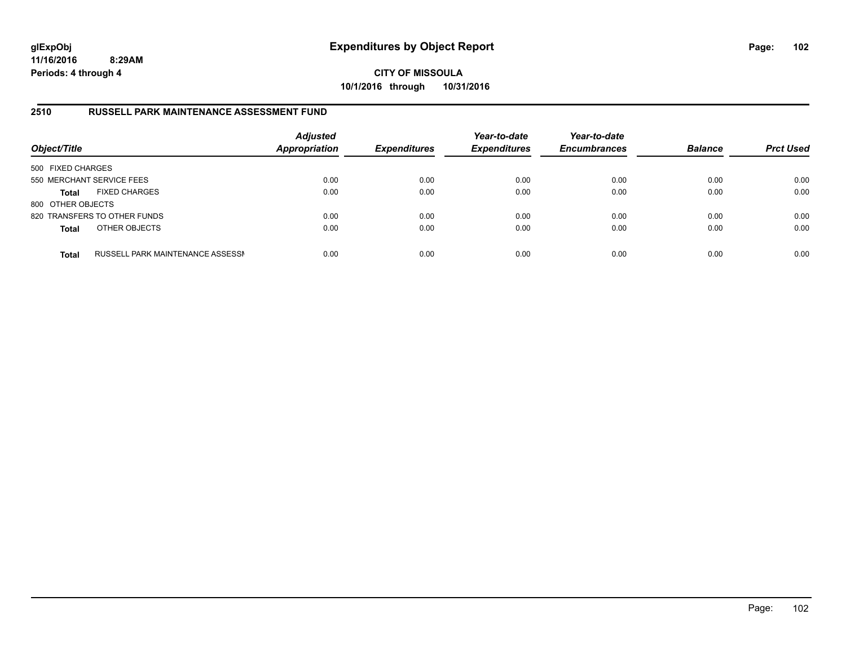**CITY OF MISSOULA 10/1/2016 through 10/31/2016**

#### **2510 RUSSELL PARK MAINTENANCE ASSESSMENT FUND**

| Object/Title              |                                         | <b>Adjusted</b><br><b>Appropriation</b> | <b>Expenditures</b> | Year-to-date<br><b>Expenditures</b> | Year-to-date<br><b>Encumbrances</b> | <b>Balance</b> | <b>Prct Used</b> |
|---------------------------|-----------------------------------------|-----------------------------------------|---------------------|-------------------------------------|-------------------------------------|----------------|------------------|
| 500 FIXED CHARGES         |                                         |                                         |                     |                                     |                                     |                |                  |
| 550 MERCHANT SERVICE FEES |                                         | 0.00                                    | 0.00                | 0.00                                | 0.00                                | 0.00           | 0.00             |
| <b>Total</b>              | <b>FIXED CHARGES</b>                    | 0.00                                    | 0.00                | 0.00                                | 0.00                                | 0.00           | 0.00             |
| 800 OTHER OBJECTS         |                                         |                                         |                     |                                     |                                     |                |                  |
|                           | 820 TRANSFERS TO OTHER FUNDS            | 0.00                                    | 0.00                | 0.00                                | 0.00                                | 0.00           | 0.00             |
| <b>Total</b>              | OTHER OBJECTS                           | 0.00                                    | 0.00                | 0.00                                | 0.00                                | 0.00           | 0.00             |
| <b>Total</b>              | <b>RUSSELL PARK MAINTENANCE ASSESSN</b> | 0.00                                    | 0.00                | 0.00                                | 0.00                                | 0.00           | 0.00             |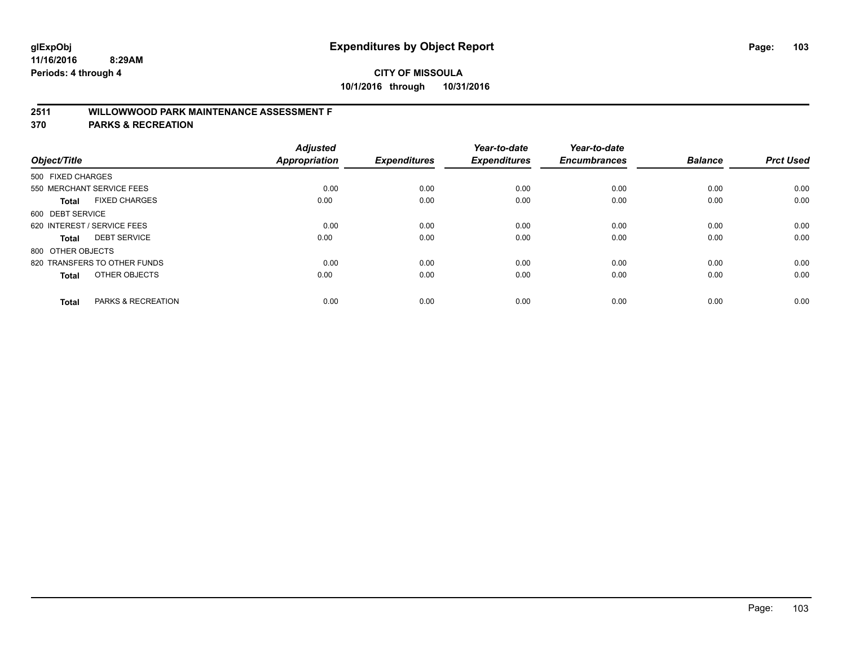## **2511 WILLOWWOOD PARK MAINTENANCE ASSESSMENT F**

**370 PARKS & RECREATION**

| Object/Title                |                               | <b>Adjusted</b><br><b>Appropriation</b> | <b>Expenditures</b> | Year-to-date<br><b>Expenditures</b> | Year-to-date<br><b>Encumbrances</b> | <b>Balance</b> | <b>Prct Used</b> |
|-----------------------------|-------------------------------|-----------------------------------------|---------------------|-------------------------------------|-------------------------------------|----------------|------------------|
| 500 FIXED CHARGES           |                               |                                         |                     |                                     |                                     |                |                  |
|                             | 550 MERCHANT SERVICE FEES     | 0.00                                    | 0.00                | 0.00                                | 0.00                                | 0.00           | 0.00             |
| <b>Total</b>                | <b>FIXED CHARGES</b>          | 0.00                                    | 0.00                | 0.00                                | 0.00                                | 0.00           | 0.00             |
| 600 DEBT SERVICE            |                               |                                         |                     |                                     |                                     |                |                  |
| 620 INTEREST / SERVICE FEES |                               | 0.00                                    | 0.00                | 0.00                                | 0.00                                | 0.00           | 0.00             |
| Total                       | <b>DEBT SERVICE</b>           | 0.00                                    | 0.00                | 0.00                                | 0.00                                | 0.00           | 0.00             |
| 800 OTHER OBJECTS           |                               |                                         |                     |                                     |                                     |                |                  |
|                             | 820 TRANSFERS TO OTHER FUNDS  | 0.00                                    | 0.00                | 0.00                                | 0.00                                | 0.00           | 0.00             |
| Total                       | OTHER OBJECTS                 | 0.00                                    | 0.00                | 0.00                                | 0.00                                | 0.00           | 0.00             |
|                             |                               |                                         |                     |                                     |                                     |                |                  |
| <b>Total</b>                | <b>PARKS &amp; RECREATION</b> | 0.00                                    | 0.00                | 0.00                                | 0.00                                | 0.00           | 0.00             |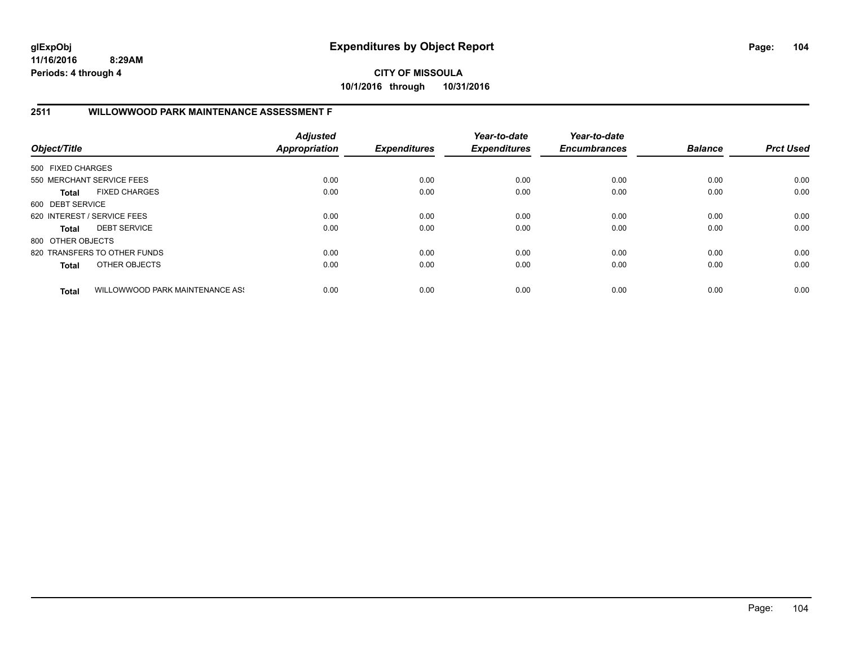**CITY OF MISSOULA 10/1/2016 through 10/31/2016**

### **2511 WILLOWWOOD PARK MAINTENANCE ASSESSMENT F**

| Object/Title                |                                 | <b>Adjusted</b><br><b>Appropriation</b> | <b>Expenditures</b> | Year-to-date<br><b>Expenditures</b> | Year-to-date<br><b>Encumbrances</b> | <b>Balance</b> | <b>Prct Used</b> |
|-----------------------------|---------------------------------|-----------------------------------------|---------------------|-------------------------------------|-------------------------------------|----------------|------------------|
| 500 FIXED CHARGES           |                                 |                                         |                     |                                     |                                     |                |                  |
|                             | 550 MERCHANT SERVICE FEES       | 0.00                                    | 0.00                | 0.00                                | 0.00                                | 0.00           | 0.00             |
| Total                       | <b>FIXED CHARGES</b>            | 0.00                                    | 0.00                | 0.00                                | 0.00                                | 0.00           | 0.00             |
| 600 DEBT SERVICE            |                                 |                                         |                     |                                     |                                     |                |                  |
| 620 INTEREST / SERVICE FEES |                                 | 0.00                                    | 0.00                | 0.00                                | 0.00                                | 0.00           | 0.00             |
| Total                       | <b>DEBT SERVICE</b>             | 0.00                                    | 0.00                | 0.00                                | 0.00                                | 0.00           | 0.00             |
| 800 OTHER OBJECTS           |                                 |                                         |                     |                                     |                                     |                |                  |
|                             | 820 TRANSFERS TO OTHER FUNDS    | 0.00                                    | 0.00                | 0.00                                | 0.00                                | 0.00           | 0.00             |
| <b>Total</b>                | OTHER OBJECTS                   | 0.00                                    | 0.00                | 0.00                                | 0.00                                | 0.00           | 0.00             |
| <b>Total</b>                | WILLOWWOOD PARK MAINTENANCE ASS | 0.00                                    | 0.00                | 0.00                                | 0.00                                | 0.00           | 0.00             |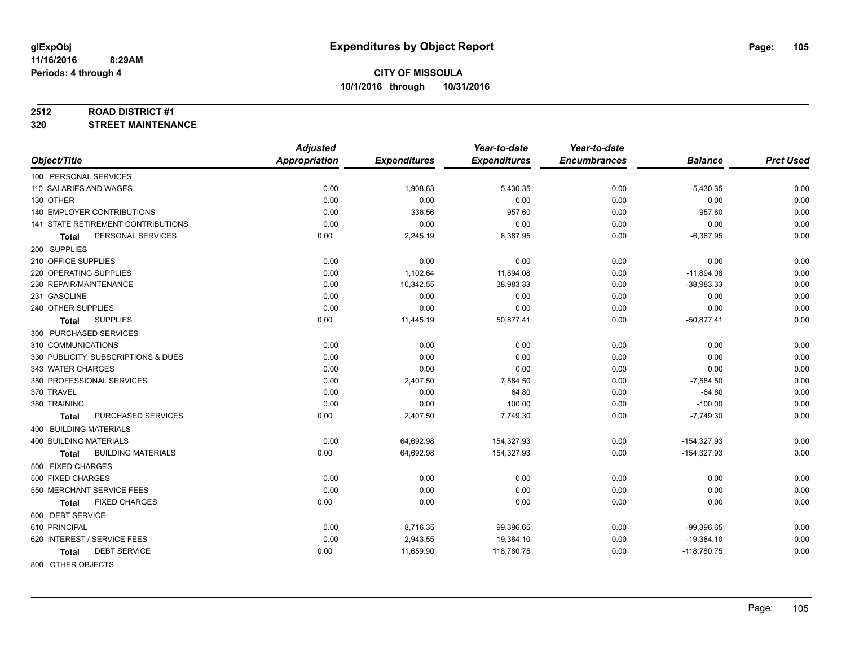#### **2512 ROAD DISTRICT #1**

**320 STREET MAINTENANCE**

|                                      | <b>Adjusted</b>      |                     | Year-to-date        | Year-to-date        |                |                  |
|--------------------------------------|----------------------|---------------------|---------------------|---------------------|----------------|------------------|
| Object/Title                         | <b>Appropriation</b> | <b>Expenditures</b> | <b>Expenditures</b> | <b>Encumbrances</b> | <b>Balance</b> | <b>Prct Used</b> |
| 100 PERSONAL SERVICES                |                      |                     |                     |                     |                |                  |
| 110 SALARIES AND WAGES               | 0.00                 | 1,908.63            | 5,430.35            | 0.00                | $-5,430.35$    | 0.00             |
| 130 OTHER                            | 0.00                 | 0.00                | 0.00                | 0.00                | 0.00           | 0.00             |
| <b>140 EMPLOYER CONTRIBUTIONS</b>    | 0.00                 | 336.56              | 957.60              | 0.00                | $-957.60$      | 0.00             |
| 141 STATE RETIREMENT CONTRIBUTIONS   | 0.00                 | 0.00                | 0.00                | 0.00                | 0.00           | 0.00             |
| PERSONAL SERVICES<br><b>Total</b>    | 0.00                 | 2,245.19            | 6,387.95            | 0.00                | $-6,387.95$    | 0.00             |
| 200 SUPPLIES                         |                      |                     |                     |                     |                |                  |
| 210 OFFICE SUPPLIES                  | 0.00                 | 0.00                | 0.00                | 0.00                | 0.00           | 0.00             |
| 220 OPERATING SUPPLIES               | 0.00                 | 1,102.64            | 11,894.08           | 0.00                | $-11,894.08$   | 0.00             |
| 230 REPAIR/MAINTENANCE               | 0.00                 | 10,342.55           | 38,983.33           | 0.00                | $-38,983.33$   | 0.00             |
| 231 GASOLINE                         | 0.00                 | 0.00                | 0.00                | 0.00                | 0.00           | 0.00             |
| 240 OTHER SUPPLIES                   | 0.00                 | 0.00                | 0.00                | 0.00                | 0.00           | 0.00             |
| <b>SUPPLIES</b><br>Total             | 0.00                 | 11,445.19           | 50,877.41           | 0.00                | $-50,877.41$   | 0.00             |
| 300 PURCHASED SERVICES               |                      |                     |                     |                     |                |                  |
| 310 COMMUNICATIONS                   | 0.00                 | 0.00                | 0.00                | 0.00                | 0.00           | 0.00             |
| 330 PUBLICITY, SUBSCRIPTIONS & DUES  | 0.00                 | 0.00                | 0.00                | 0.00                | 0.00           | 0.00             |
| 343 WATER CHARGES                    | 0.00                 | 0.00                | 0.00                | 0.00                | 0.00           | 0.00             |
| 350 PROFESSIONAL SERVICES            | 0.00                 | 2,407.50            | 7,584.50            | 0.00                | $-7,584.50$    | 0.00             |
| 370 TRAVEL                           | 0.00                 | 0.00                | 64.80               | 0.00                | $-64.80$       | 0.00             |
| 380 TRAINING                         | 0.00                 | 0.00                | 100.00              | 0.00                | $-100.00$      | 0.00             |
| PURCHASED SERVICES<br><b>Total</b>   | 0.00                 | 2,407.50            | 7,749.30            | 0.00                | $-7,749.30$    | 0.00             |
| 400 BUILDING MATERIALS               |                      |                     |                     |                     |                |                  |
| <b>400 BUILDING MATERIALS</b>        | 0.00                 | 64,692.98           | 154,327.93          | 0.00                | $-154,327.93$  | 0.00             |
| <b>BUILDING MATERIALS</b><br>Total   | 0.00                 | 64,692.98           | 154,327.93          | 0.00                | $-154,327.93$  | 0.00             |
| 500 FIXED CHARGES                    |                      |                     |                     |                     |                |                  |
| 500 FIXED CHARGES                    | 0.00                 | 0.00                | 0.00                | 0.00                | 0.00           | 0.00             |
| 550 MERCHANT SERVICE FEES            | 0.00                 | 0.00                | 0.00                | 0.00                | 0.00           | 0.00             |
| <b>FIXED CHARGES</b><br><b>Total</b> | 0.00                 | 0.00                | 0.00                | 0.00                | 0.00           | 0.00             |
| 600 DEBT SERVICE                     |                      |                     |                     |                     |                |                  |
| 610 PRINCIPAL                        | 0.00                 | 8,716.35            | 99,396.65           | 0.00                | $-99,396.65$   | 0.00             |
| 620 INTEREST / SERVICE FEES          | 0.00                 | 2,943.55            | 19,384.10           | 0.00                | $-19,384.10$   | 0.00             |
| <b>DEBT SERVICE</b><br><b>Total</b>  | 0.00                 | 11,659.90           | 118,780.75          | 0.00                | $-118,780.75$  | 0.00             |
|                                      |                      |                     |                     |                     |                |                  |

800 OTHER OBJECTS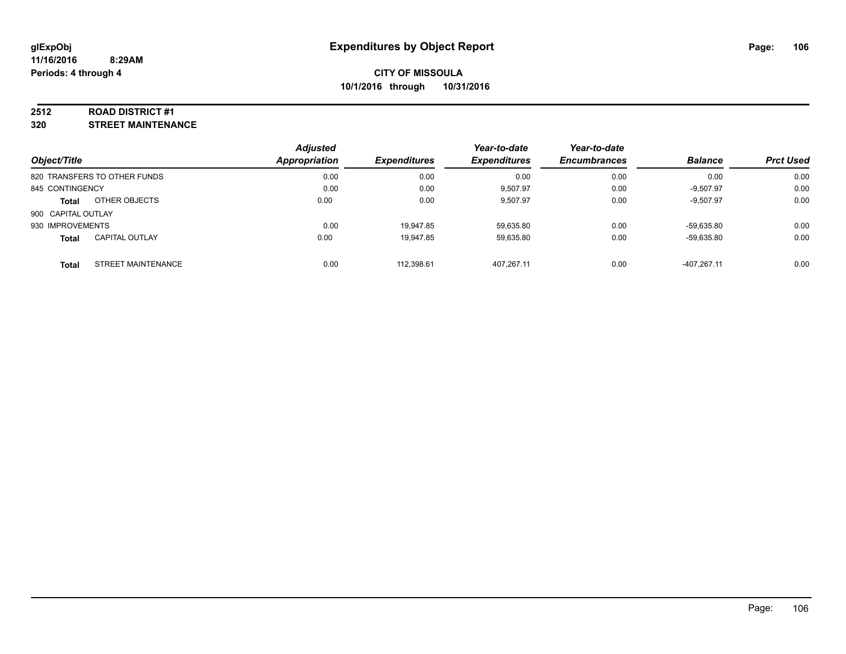#### **2512 ROAD DISTRICT #1**

**320 STREET MAINTENANCE**

| Object/Title                              | <b>Adjusted</b><br>Appropriation | <b>Expenditures</b> | Year-to-date<br><b>Expenditures</b> | Year-to-date<br><b>Encumbrances</b> | <b>Balance</b> | <b>Prct Used</b> |
|-------------------------------------------|----------------------------------|---------------------|-------------------------------------|-------------------------------------|----------------|------------------|
| 820 TRANSFERS TO OTHER FUNDS              | 0.00                             | 0.00                | 0.00                                | 0.00                                | 0.00           | 0.00             |
| 845 CONTINGENCY                           | 0.00                             | 0.00                | 9,507.97                            | 0.00                                | $-9,507.97$    | 0.00             |
| OTHER OBJECTS<br><b>Total</b>             | 0.00                             | 0.00                | 9.507.97                            | 0.00                                | $-9,507.97$    | 0.00             |
| 900 CAPITAL OUTLAY                        |                                  |                     |                                     |                                     |                |                  |
| 930 IMPROVEMENTS                          | 0.00                             | 19.947.85           | 59.635.80                           | 0.00                                | -59.635.80     | 0.00             |
| <b>CAPITAL OUTLAY</b><br><b>Total</b>     | 0.00                             | 19,947.85           | 59,635.80                           | 0.00                                | -59.635.80     | 0.00             |
| <b>STREET MAINTENANCE</b><br><b>Total</b> | 0.00                             | 112.398.61          | 407.267.11                          | 0.00                                | $-407.267.11$  | 0.00             |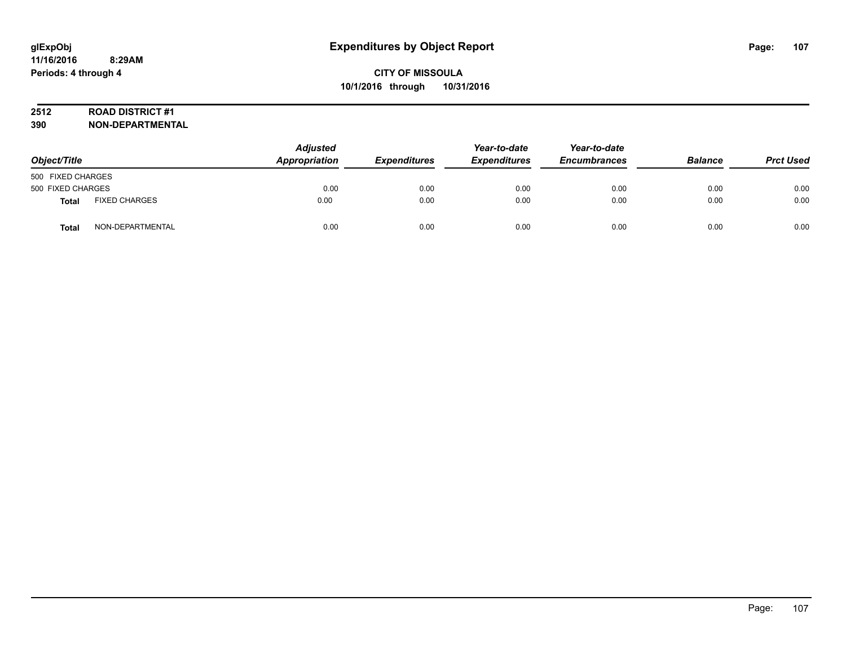## **2512 ROAD DISTRICT #1**

| Object/Title      |                      | <b>Adjusted</b><br>Appropriation | <b>Expenditures</b> | Year-to-date<br><b>Expenditures</b> | Year-to-date<br><b>Encumbrances</b> | <b>Balance</b> | <b>Prct Used</b> |
|-------------------|----------------------|----------------------------------|---------------------|-------------------------------------|-------------------------------------|----------------|------------------|
| 500 FIXED CHARGES |                      |                                  |                     |                                     |                                     |                |                  |
| 500 FIXED CHARGES |                      | 0.00                             | 0.00                | 0.00                                | 0.00                                | 0.00           | 0.00             |
| <b>Total</b>      | <b>FIXED CHARGES</b> | 0.00                             | 0.00                | 0.00                                | 0.00                                | 0.00           | 0.00             |
| <b>Total</b>      | NON-DEPARTMENTAL     | 0.00                             | 0.00                | 0.00                                | 0.00                                | 0.00           | 0.00             |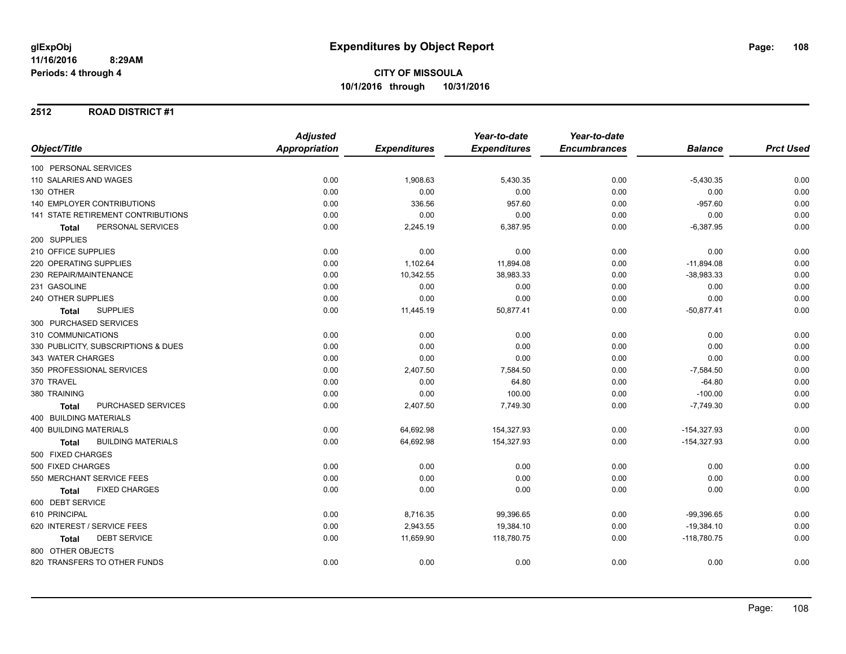**2512 ROAD DISTRICT #1**

|                                           | <b>Adjusted</b>      |                     | Year-to-date        | Year-to-date        |                |                  |
|-------------------------------------------|----------------------|---------------------|---------------------|---------------------|----------------|------------------|
| Object/Title                              | <b>Appropriation</b> | <b>Expenditures</b> | <b>Expenditures</b> | <b>Encumbrances</b> | <b>Balance</b> | <b>Prct Used</b> |
| 100 PERSONAL SERVICES                     |                      |                     |                     |                     |                |                  |
| 110 SALARIES AND WAGES                    | 0.00                 | 1,908.63            | 5,430.35            | 0.00                | $-5,430.35$    | 0.00             |
| 130 OTHER                                 | 0.00                 | 0.00                | 0.00                | 0.00                | 0.00           | 0.00             |
| <b>140 EMPLOYER CONTRIBUTIONS</b>         | 0.00                 | 336.56              | 957.60              | 0.00                | $-957.60$      | 0.00             |
| <b>141 STATE RETIREMENT CONTRIBUTIONS</b> | 0.00                 | 0.00                | 0.00                | 0.00                | 0.00           | 0.00             |
| PERSONAL SERVICES<br>Total                | 0.00                 | 2,245.19            | 6,387.95            | 0.00                | $-6,387.95$    | 0.00             |
| 200 SUPPLIES                              |                      |                     |                     |                     |                |                  |
| 210 OFFICE SUPPLIES                       | 0.00                 | 0.00                | 0.00                | 0.00                | 0.00           | 0.00             |
| 220 OPERATING SUPPLIES                    | 0.00                 | 1,102.64            | 11,894.08           | 0.00                | $-11,894.08$   | 0.00             |
| 230 REPAIR/MAINTENANCE                    | 0.00                 | 10,342.55           | 38,983.33           | 0.00                | $-38,983.33$   | 0.00             |
| 231 GASOLINE                              | 0.00                 | 0.00                | 0.00                | 0.00                | 0.00           | 0.00             |
| 240 OTHER SUPPLIES                        | 0.00                 | 0.00                | 0.00                | 0.00                | 0.00           | 0.00             |
| <b>SUPPLIES</b><br><b>Total</b>           | 0.00                 | 11,445.19           | 50,877.41           | 0.00                | $-50,877.41$   | 0.00             |
| 300 PURCHASED SERVICES                    |                      |                     |                     |                     |                |                  |
| 310 COMMUNICATIONS                        | 0.00                 | 0.00                | 0.00                | 0.00                | 0.00           | 0.00             |
| 330 PUBLICITY, SUBSCRIPTIONS & DUES       | 0.00                 | 0.00                | 0.00                | 0.00                | 0.00           | 0.00             |
| 343 WATER CHARGES                         | 0.00                 | 0.00                | 0.00                | 0.00                | 0.00           | 0.00             |
| 350 PROFESSIONAL SERVICES                 | 0.00                 | 2,407.50            | 7,584.50            | 0.00                | $-7,584.50$    | 0.00             |
| 370 TRAVEL                                | 0.00                 | 0.00                | 64.80               | 0.00                | $-64.80$       | 0.00             |
| 380 TRAINING                              | 0.00                 | 0.00                | 100.00              | 0.00                | $-100.00$      | 0.00             |
| PURCHASED SERVICES<br><b>Total</b>        | 0.00                 | 2,407.50            | 7,749.30            | 0.00                | $-7,749.30$    | 0.00             |
| <b>400 BUILDING MATERIALS</b>             |                      |                     |                     |                     |                |                  |
| <b>400 BUILDING MATERIALS</b>             | 0.00                 | 64,692.98           | 154,327.93          | 0.00                | $-154,327.93$  | 0.00             |
| <b>BUILDING MATERIALS</b><br><b>Total</b> | 0.00                 | 64,692.98           | 154,327.93          | 0.00                | $-154,327.93$  | 0.00             |
| 500 FIXED CHARGES                         |                      |                     |                     |                     |                |                  |
| 500 FIXED CHARGES                         | 0.00                 | 0.00                | 0.00                | 0.00                | 0.00           | 0.00             |
| 550 MERCHANT SERVICE FEES                 | 0.00                 | 0.00                | 0.00                | 0.00                | 0.00           | 0.00             |
| <b>FIXED CHARGES</b><br><b>Total</b>      | 0.00                 | 0.00                | 0.00                | 0.00                | 0.00           | 0.00             |
| 600 DEBT SERVICE                          |                      |                     |                     |                     |                |                  |
| 610 PRINCIPAL                             | 0.00                 | 8,716.35            | 99,396.65           | 0.00                | $-99,396.65$   | 0.00             |
| 620 INTEREST / SERVICE FEES               | 0.00                 | 2,943.55            | 19,384.10           | 0.00                | $-19,384.10$   | 0.00             |
| <b>DEBT SERVICE</b><br><b>Total</b>       | 0.00                 | 11,659.90           | 118,780.75          | 0.00                | $-118,780.75$  | 0.00             |
| 800 OTHER OBJECTS                         |                      |                     |                     |                     |                |                  |
| 820 TRANSFERS TO OTHER FUNDS              | 0.00                 | 0.00                | 0.00                | 0.00                | 0.00           | 0.00             |
|                                           |                      |                     |                     |                     |                |                  |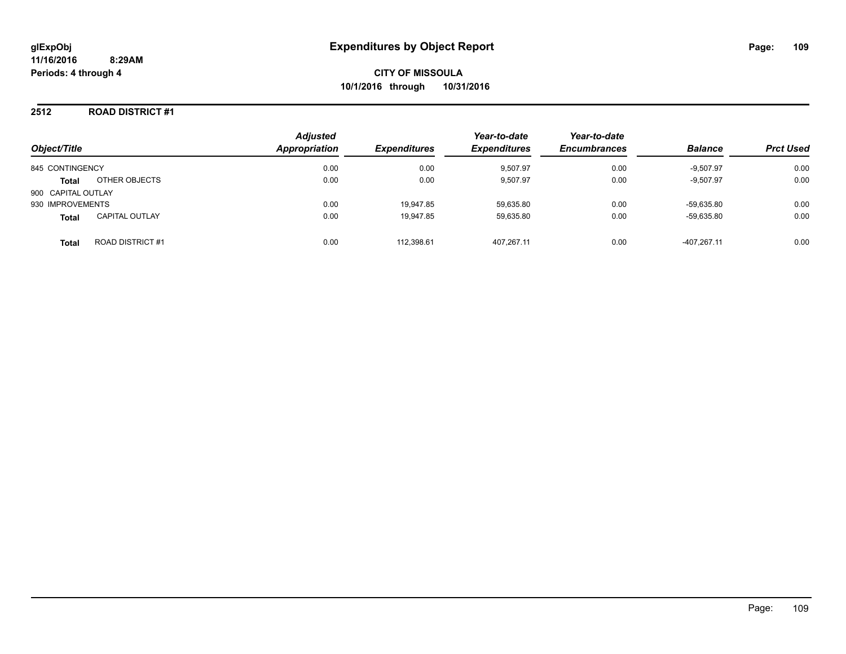#### **2512 ROAD DISTRICT #1**

| Object/Title                            | <b>Adjusted</b><br>Appropriation | <b>Expenditures</b> | Year-to-date<br><b>Expenditures</b> | Year-to-date<br><b>Encumbrances</b> | <b>Balance</b> | <b>Prct Used</b> |
|-----------------------------------------|----------------------------------|---------------------|-------------------------------------|-------------------------------------|----------------|------------------|
| 845 CONTINGENCY                         | 0.00                             | 0.00                | 9,507.97                            | 0.00                                | $-9,507.97$    | 0.00             |
| OTHER OBJECTS<br><b>Total</b>           | 0.00                             | 0.00                | 9,507.97                            | 0.00                                | $-9,507.97$    | 0.00             |
| 900 CAPITAL OUTLAY                      |                                  |                     |                                     |                                     |                |                  |
| 930 IMPROVEMENTS                        | 0.00                             | 19.947.85           | 59,635.80                           | 0.00                                | -59.635.80     | 0.00             |
| <b>CAPITAL OUTLAY</b><br><b>Total</b>   | 0.00                             | 19.947.85           | 59.635.80                           | 0.00                                | -59.635.80     | 0.00             |
| <b>ROAD DISTRICT #1</b><br><b>Total</b> | 0.00                             | 112,398.61          | 407.267.11                          | 0.00                                | $-407.267.11$  | 0.00             |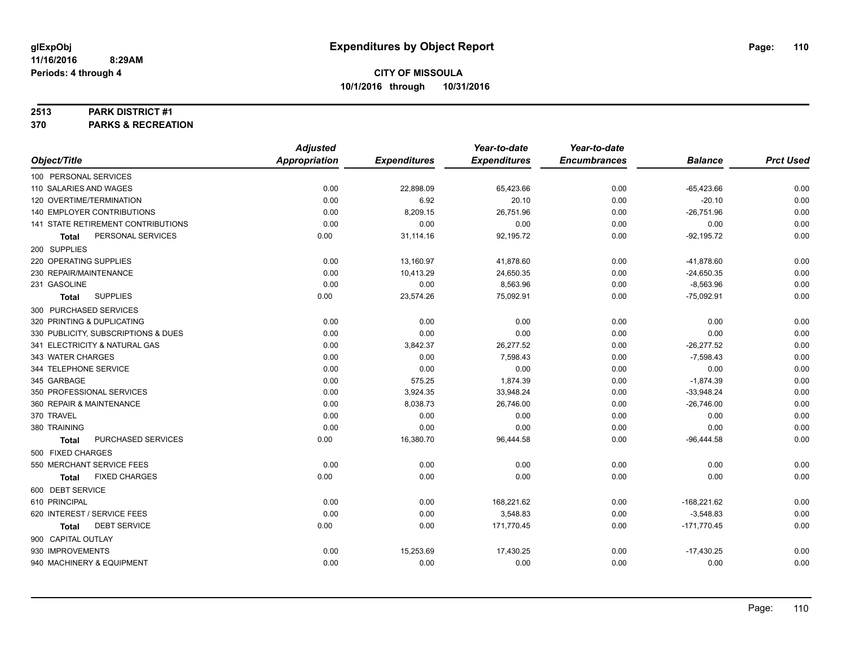#### **2513 PARK DISTRICT #1**

**370 PARKS & RECREATION**

|                                      | <b>Adjusted</b>      |                     | Year-to-date        | Year-to-date        |                |                  |
|--------------------------------------|----------------------|---------------------|---------------------|---------------------|----------------|------------------|
| Object/Title                         | <b>Appropriation</b> | <b>Expenditures</b> | <b>Expenditures</b> | <b>Encumbrances</b> | <b>Balance</b> | <b>Prct Used</b> |
| 100 PERSONAL SERVICES                |                      |                     |                     |                     |                |                  |
| 110 SALARIES AND WAGES               | 0.00                 | 22,898.09           | 65,423.66           | 0.00                | $-65,423.66$   | 0.00             |
| 120 OVERTIME/TERMINATION             | 0.00                 | 6.92                | 20.10               | 0.00                | $-20.10$       | 0.00             |
| 140 EMPLOYER CONTRIBUTIONS           | 0.00                 | 8,209.15            | 26,751.96           | 0.00                | $-26,751.96$   | 0.00             |
| 141 STATE RETIREMENT CONTRIBUTIONS   | 0.00                 | 0.00                | 0.00                | 0.00                | 0.00           | 0.00             |
| PERSONAL SERVICES<br>Total           | 0.00                 | 31,114.16           | 92,195.72           | 0.00                | $-92,195.72$   | 0.00             |
| 200 SUPPLIES                         |                      |                     |                     |                     |                |                  |
| 220 OPERATING SUPPLIES               | 0.00                 | 13,160.97           | 41,878.60           | 0.00                | $-41,878.60$   | 0.00             |
| 230 REPAIR/MAINTENANCE               | 0.00                 | 10,413.29           | 24,650.35           | 0.00                | $-24,650.35$   | 0.00             |
| 231 GASOLINE                         | 0.00                 | 0.00                | 8,563.96            | 0.00                | $-8,563.96$    | 0.00             |
| <b>SUPPLIES</b><br>Total             | 0.00                 | 23,574.26           | 75,092.91           | 0.00                | $-75,092.91$   | 0.00             |
| 300 PURCHASED SERVICES               |                      |                     |                     |                     |                |                  |
| 320 PRINTING & DUPLICATING           | 0.00                 | 0.00                | 0.00                | 0.00                | 0.00           | 0.00             |
| 330 PUBLICITY, SUBSCRIPTIONS & DUES  | 0.00                 | 0.00                | 0.00                | 0.00                | 0.00           | 0.00             |
| 341 ELECTRICITY & NATURAL GAS        | 0.00                 | 3,842.37            | 26,277.52           | 0.00                | $-26,277.52$   | 0.00             |
| 343 WATER CHARGES                    | 0.00                 | 0.00                | 7,598.43            | 0.00                | $-7,598.43$    | 0.00             |
| 344 TELEPHONE SERVICE                | 0.00                 | 0.00                | 0.00                | 0.00                | 0.00           | 0.00             |
| 345 GARBAGE                          | 0.00                 | 575.25              | 1,874.39            | 0.00                | $-1,874.39$    | 0.00             |
| 350 PROFESSIONAL SERVICES            | 0.00                 | 3,924.35            | 33,948.24           | 0.00                | $-33,948.24$   | 0.00             |
| 360 REPAIR & MAINTENANCE             | 0.00                 | 8,038.73            | 26,746.00           | 0.00                | $-26,746.00$   | 0.00             |
| 370 TRAVEL                           | 0.00                 | 0.00                | 0.00                | 0.00                | 0.00           | 0.00             |
| 380 TRAINING                         | 0.00                 | 0.00                | 0.00                | 0.00                | 0.00           | 0.00             |
| PURCHASED SERVICES<br><b>Total</b>   | 0.00                 | 16,380.70           | 96,444.58           | 0.00                | $-96,444.58$   | 0.00             |
| 500 FIXED CHARGES                    |                      |                     |                     |                     |                |                  |
| 550 MERCHANT SERVICE FEES            | 0.00                 | 0.00                | 0.00                | 0.00                | 0.00           | 0.00             |
| <b>FIXED CHARGES</b><br><b>Total</b> | 0.00                 | 0.00                | 0.00                | 0.00                | 0.00           | 0.00             |
| 600 DEBT SERVICE                     |                      |                     |                     |                     |                |                  |
| 610 PRINCIPAL                        | 0.00                 | 0.00                | 168,221.62          | 0.00                | $-168,221.62$  | 0.00             |
| 620 INTEREST / SERVICE FEES          | 0.00                 | 0.00                | 3,548.83            | 0.00                | $-3,548.83$    | 0.00             |
| <b>DEBT SERVICE</b><br><b>Total</b>  | 0.00                 | 0.00                | 171,770.45          | 0.00                | $-171,770.45$  | 0.00             |
| 900 CAPITAL OUTLAY                   |                      |                     |                     |                     |                |                  |
| 930 IMPROVEMENTS                     | 0.00                 | 15,253.69           | 17,430.25           | 0.00                | $-17,430.25$   | 0.00             |
| 940 MACHINERY & EQUIPMENT            | 0.00                 | 0.00                | 0.00                | 0.00                | 0.00           | 0.00             |
|                                      |                      |                     |                     |                     |                |                  |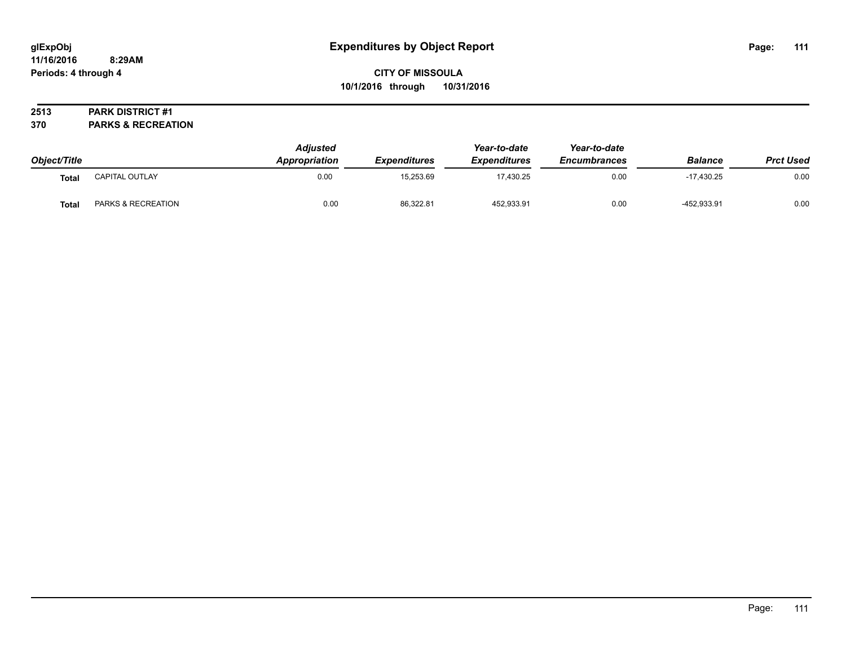# **CITY OF MISSOULA 10/1/2016 through 10/31/2016**

## **2513 PARK DISTRICT #1**

**370 PARKS & RECREATION**

| Object/Title |                    | <b>Adjusted</b><br>Appropriation | <b>Expenditures</b> | Year-to-date<br><b>Expenditures</b> | Year-to-date<br><b>Encumbrances</b> | <b>Balance</b> | <b>Prct Used</b> |
|--------------|--------------------|----------------------------------|---------------------|-------------------------------------|-------------------------------------|----------------|------------------|
| Total        | CAPITAL OUTLAY     | 0.00                             | 15,253.69           | 17.430.25                           | 0.00                                | $-17.430.25$   | 0.00             |
| <b>Total</b> | PARKS & RECREATION | 0.00                             | 86,322.81           | 452,933.91                          | 0.00                                | -452,933.91    | 0.00             |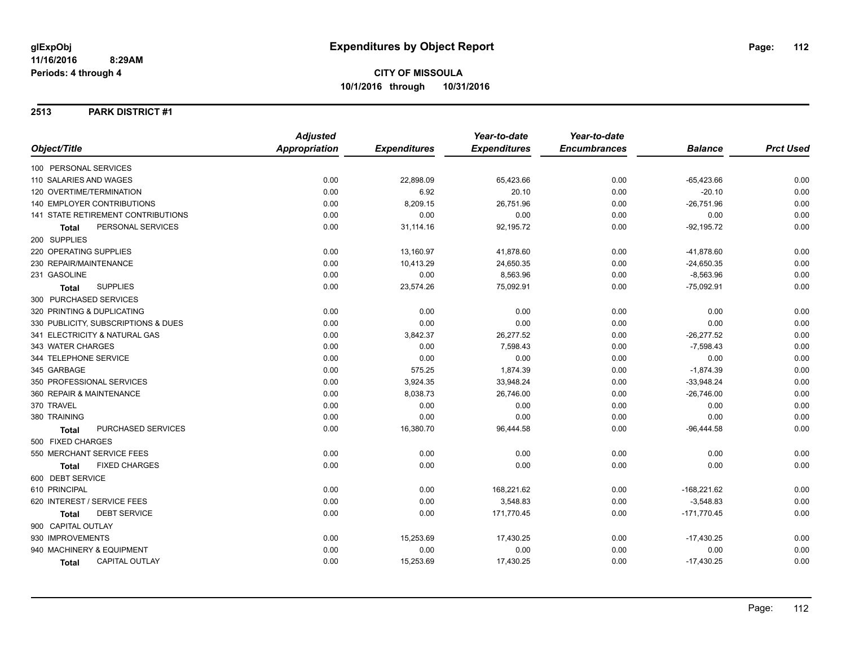**2513 PARK DISTRICT #1**

|                                       | <b>Adjusted</b>      |                     | Year-to-date        | Year-to-date        |                |                  |
|---------------------------------------|----------------------|---------------------|---------------------|---------------------|----------------|------------------|
| Object/Title                          | <b>Appropriation</b> | <b>Expenditures</b> | <b>Expenditures</b> | <b>Encumbrances</b> | <b>Balance</b> | <b>Prct Used</b> |
| 100 PERSONAL SERVICES                 |                      |                     |                     |                     |                |                  |
| 110 SALARIES AND WAGES                | 0.00                 | 22,898.09           | 65,423.66           | 0.00                | $-65,423.66$   | 0.00             |
| 120 OVERTIME/TERMINATION              | 0.00                 | 6.92                | 20.10               | 0.00                | $-20.10$       | 0.00             |
| 140 EMPLOYER CONTRIBUTIONS            | 0.00                 | 8,209.15            | 26,751.96           | 0.00                | $-26,751.96$   | 0.00             |
| 141 STATE RETIREMENT CONTRIBUTIONS    | 0.00                 | 0.00                | 0.00                | 0.00                | 0.00           | 0.00             |
| PERSONAL SERVICES<br><b>Total</b>     | 0.00                 | 31,114.16           | 92,195.72           | 0.00                | $-92, 195.72$  | 0.00             |
| 200 SUPPLIES                          |                      |                     |                     |                     |                |                  |
| 220 OPERATING SUPPLIES                | 0.00                 | 13,160.97           | 41,878.60           | 0.00                | $-41,878.60$   | 0.00             |
| 230 REPAIR/MAINTENANCE                | 0.00                 | 10,413.29           | 24,650.35           | 0.00                | $-24,650.35$   | 0.00             |
| 231 GASOLINE                          | 0.00                 | 0.00                | 8,563.96            | 0.00                | $-8,563.96$    | 0.00             |
| <b>SUPPLIES</b><br><b>Total</b>       | 0.00                 | 23,574.26           | 75,092.91           | 0.00                | $-75,092.91$   | 0.00             |
| 300 PURCHASED SERVICES                |                      |                     |                     |                     |                |                  |
| 320 PRINTING & DUPLICATING            | 0.00                 | 0.00                | 0.00                | 0.00                | 0.00           | 0.00             |
| 330 PUBLICITY, SUBSCRIPTIONS & DUES   | 0.00                 | 0.00                | 0.00                | 0.00                | 0.00           | 0.00             |
| 341 ELECTRICITY & NATURAL GAS         | 0.00                 | 3,842.37            | 26,277.52           | 0.00                | $-26,277.52$   | 0.00             |
| 343 WATER CHARGES                     | 0.00                 | 0.00                | 7,598.43            | 0.00                | $-7,598.43$    | 0.00             |
| 344 TELEPHONE SERVICE                 | 0.00                 | 0.00                | 0.00                | 0.00                | 0.00           | 0.00             |
| 345 GARBAGE                           | 0.00                 | 575.25              | 1,874.39            | 0.00                | $-1,874.39$    | 0.00             |
| 350 PROFESSIONAL SERVICES             | 0.00                 | 3,924.35            | 33,948.24           | 0.00                | $-33,948.24$   | 0.00             |
| 360 REPAIR & MAINTENANCE              | 0.00                 | 8,038.73            | 26,746.00           | 0.00                | $-26,746.00$   | 0.00             |
| 370 TRAVEL                            | 0.00                 | 0.00                | 0.00                | 0.00                | 0.00           | 0.00             |
| 380 TRAINING                          | 0.00                 | 0.00                | 0.00                | 0.00                | 0.00           | 0.00             |
| PURCHASED SERVICES<br><b>Total</b>    | 0.00                 | 16,380.70           | 96,444.58           | 0.00                | $-96,444.58$   | 0.00             |
| 500 FIXED CHARGES                     |                      |                     |                     |                     |                |                  |
| 550 MERCHANT SERVICE FEES             | 0.00                 | 0.00                | 0.00                | 0.00                | 0.00           | 0.00             |
| <b>FIXED CHARGES</b><br><b>Total</b>  | 0.00                 | 0.00                | 0.00                | 0.00                | 0.00           | 0.00             |
| 600 DEBT SERVICE                      |                      |                     |                     |                     |                |                  |
| 610 PRINCIPAL                         | 0.00                 | 0.00                | 168,221.62          | 0.00                | $-168,221.62$  | 0.00             |
| 620 INTEREST / SERVICE FEES           | 0.00                 | 0.00                | 3,548.83            | 0.00                | $-3,548.83$    | 0.00             |
| <b>DEBT SERVICE</b><br>Total          | 0.00                 | 0.00                | 171,770.45          | 0.00                | $-171,770.45$  | 0.00             |
| 900 CAPITAL OUTLAY                    |                      |                     |                     |                     |                |                  |
| 930 IMPROVEMENTS                      | 0.00                 | 15,253.69           | 17,430.25           | 0.00                | $-17,430.25$   | 0.00             |
| 940 MACHINERY & EQUIPMENT             | 0.00                 | 0.00                | 0.00                | 0.00                | 0.00           | 0.00             |
| <b>CAPITAL OUTLAY</b><br><b>Total</b> | 0.00                 | 15,253.69           | 17,430.25           | 0.00                | $-17,430.25$   | 0.00             |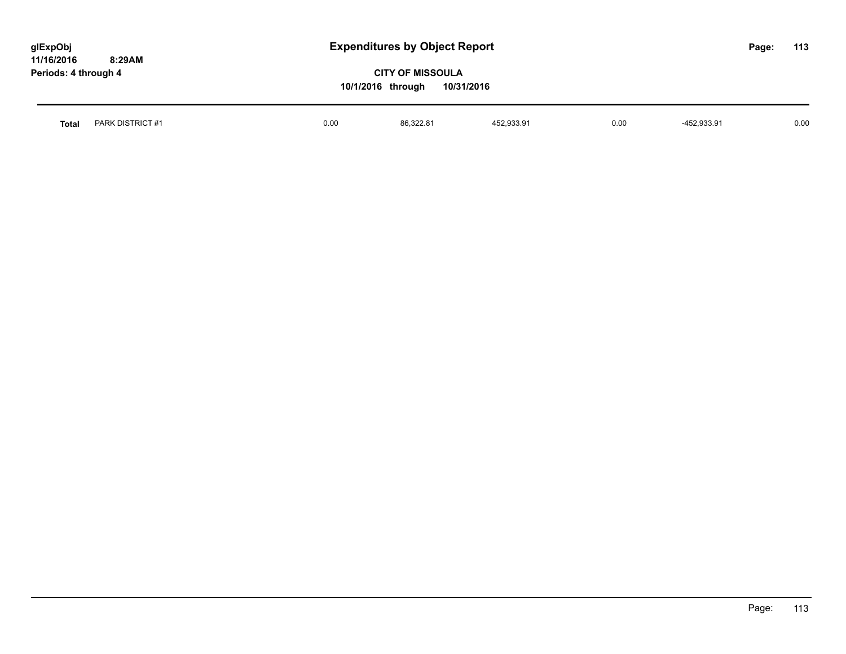| glExpObj<br>11/16/2016<br>8:29AM<br>Periods: 4 through 4 |      | <b>Expenditures by Object Report</b><br><b>CITY OF MISSOULA</b><br>10/1/2016 through | 10/31/2016 |      |             | Page: | 113  |
|----------------------------------------------------------|------|--------------------------------------------------------------------------------------|------------|------|-------------|-------|------|
| PARK DISTRICT #1<br>Total                                | 0.00 | 86,322.81                                                                            | 452,933.91 | 0.00 | -452,933.91 |       | 0.00 |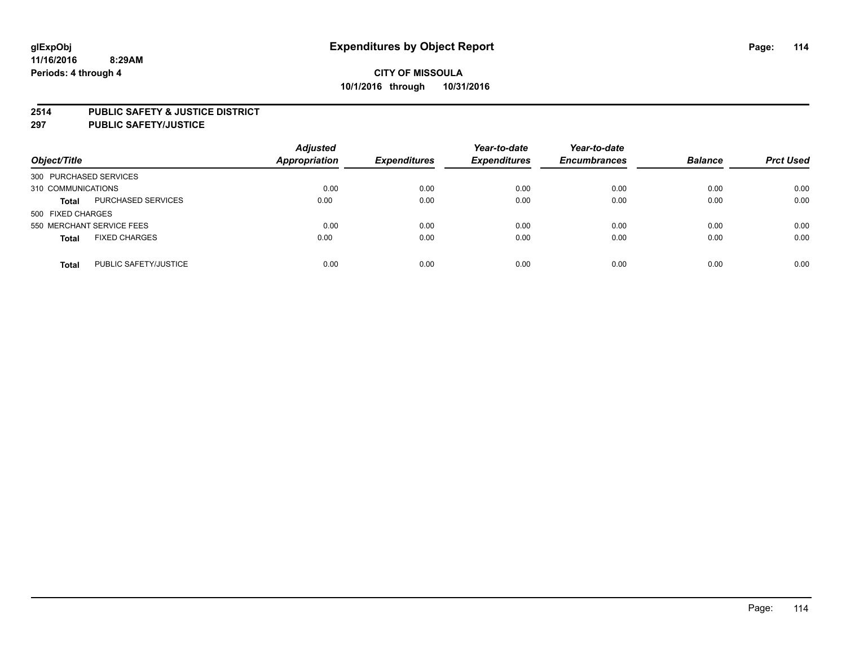#### **2514 PUBLIC SAFETY & JUSTICE DISTRICT**

**297 PUBLIC SAFETY/JUSTICE**

| Object/Title                          | <b>Adjusted</b><br><b>Appropriation</b> | <b>Expenditures</b> | Year-to-date<br><b>Expenditures</b> | Year-to-date<br><b>Encumbrances</b> | <b>Balance</b> | <b>Prct Used</b> |
|---------------------------------------|-----------------------------------------|---------------------|-------------------------------------|-------------------------------------|----------------|------------------|
| 300 PURCHASED SERVICES                |                                         |                     |                                     |                                     |                |                  |
| 310 COMMUNICATIONS                    | 0.00                                    | 0.00                | 0.00                                | 0.00                                | 0.00           | 0.00             |
| PURCHASED SERVICES<br><b>Total</b>    | 0.00                                    | 0.00                | 0.00                                | 0.00                                | 0.00           | 0.00             |
| 500 FIXED CHARGES                     |                                         |                     |                                     |                                     |                |                  |
| 550 MERCHANT SERVICE FEES             | 0.00                                    | 0.00                | 0.00                                | 0.00                                | 0.00           | 0.00             |
| <b>FIXED CHARGES</b><br><b>Total</b>  | 0.00                                    | 0.00                | 0.00                                | 0.00                                | 0.00           | 0.00             |
| PUBLIC SAFETY/JUSTICE<br><b>Total</b> | 0.00                                    | 0.00                | 0.00                                | 0.00                                | 0.00           | 0.00             |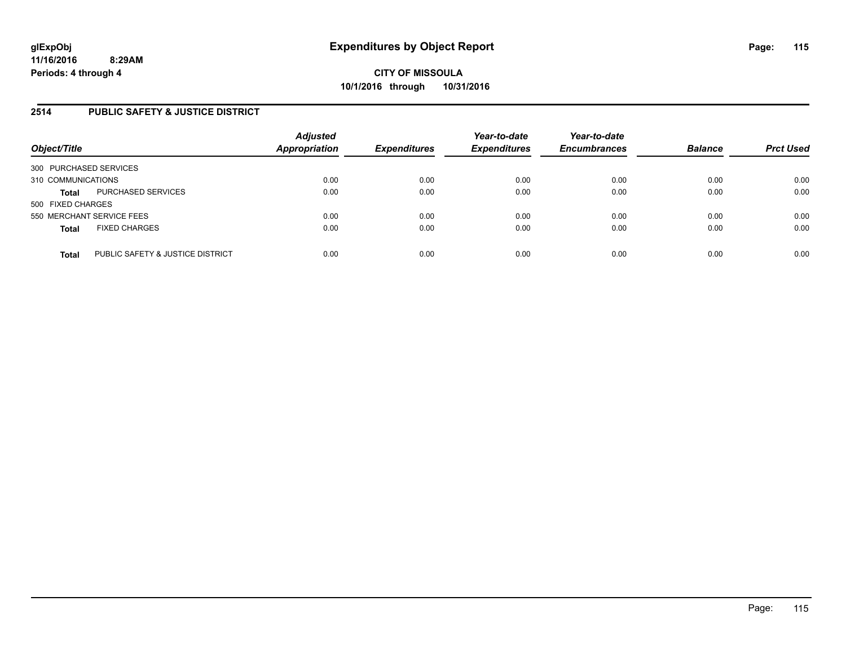# **2514 PUBLIC SAFETY & JUSTICE DISTRICT**

| Object/Title                                     | <b>Adjusted</b><br><b>Appropriation</b> | <b>Expenditures</b> | Year-to-date<br><b>Expenditures</b> | Year-to-date<br><b>Encumbrances</b> | <b>Balance</b> | <b>Prct Used</b> |
|--------------------------------------------------|-----------------------------------------|---------------------|-------------------------------------|-------------------------------------|----------------|------------------|
| 300 PURCHASED SERVICES                           |                                         |                     |                                     |                                     |                |                  |
| 310 COMMUNICATIONS                               | 0.00                                    | 0.00                | 0.00                                | 0.00                                | 0.00           | 0.00             |
| PURCHASED SERVICES<br><b>Total</b>               | 0.00                                    | 0.00                | 0.00                                | 0.00                                | 0.00           | 0.00             |
| 500 FIXED CHARGES                                |                                         |                     |                                     |                                     |                |                  |
| 550 MERCHANT SERVICE FEES                        | 0.00                                    | 0.00                | 0.00                                | 0.00                                | 0.00           | 0.00             |
| <b>FIXED CHARGES</b><br><b>Total</b>             | 0.00                                    | 0.00                | 0.00                                | 0.00                                | 0.00           | 0.00             |
| PUBLIC SAFETY & JUSTICE DISTRICT<br><b>Total</b> | 0.00                                    | 0.00                | 0.00                                | 0.00                                | 0.00           | 0.00             |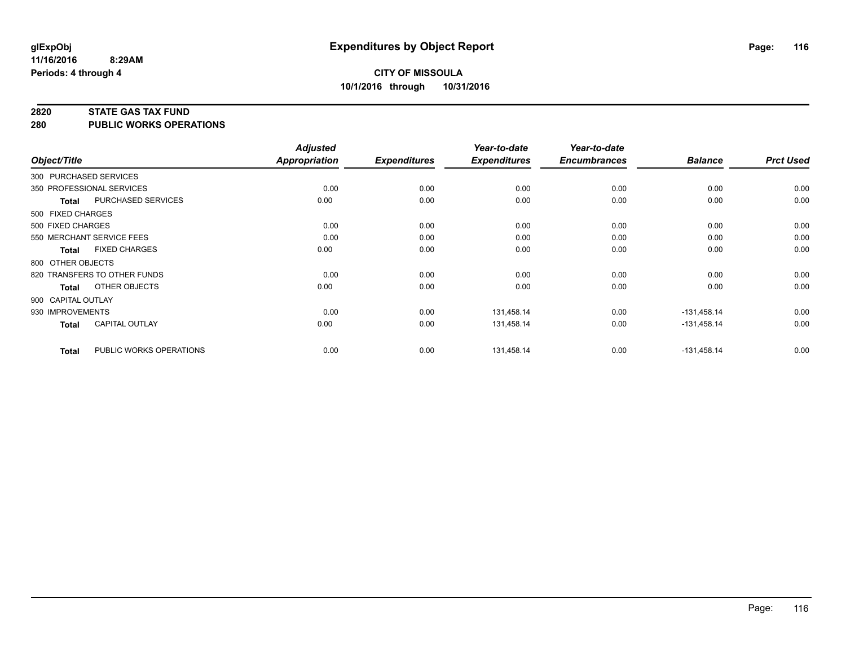#### **2820 STATE GAS TAX FUND**

**280 PUBLIC WORKS OPERATIONS**

|                    |                              | <b>Adjusted</b> |                     | Year-to-date        | Year-to-date        |                |                  |
|--------------------|------------------------------|-----------------|---------------------|---------------------|---------------------|----------------|------------------|
| Object/Title       |                              | Appropriation   | <b>Expenditures</b> | <b>Expenditures</b> | <b>Encumbrances</b> | <b>Balance</b> | <b>Prct Used</b> |
|                    | 300 PURCHASED SERVICES       |                 |                     |                     |                     |                |                  |
|                    | 350 PROFESSIONAL SERVICES    | 0.00            | 0.00                | 0.00                | 0.00                | 0.00           | 0.00             |
| Total              | PURCHASED SERVICES           | 0.00            | 0.00                | 0.00                | 0.00                | 0.00           | 0.00             |
| 500 FIXED CHARGES  |                              |                 |                     |                     |                     |                |                  |
| 500 FIXED CHARGES  |                              | 0.00            | 0.00                | 0.00                | 0.00                | 0.00           | 0.00             |
|                    | 550 MERCHANT SERVICE FEES    | 0.00            | 0.00                | 0.00                | 0.00                | 0.00           | 0.00             |
| Total              | <b>FIXED CHARGES</b>         | 0.00            | 0.00                | 0.00                | 0.00                | 0.00           | 0.00             |
| 800 OTHER OBJECTS  |                              |                 |                     |                     |                     |                |                  |
|                    | 820 TRANSFERS TO OTHER FUNDS | 0.00            | 0.00                | 0.00                | 0.00                | 0.00           | 0.00             |
| <b>Total</b>       | OTHER OBJECTS                | 0.00            | 0.00                | 0.00                | 0.00                | 0.00           | 0.00             |
| 900 CAPITAL OUTLAY |                              |                 |                     |                     |                     |                |                  |
| 930 IMPROVEMENTS   |                              | 0.00            | 0.00                | 131,458.14          | 0.00                | $-131,458.14$  | 0.00             |
| Total              | <b>CAPITAL OUTLAY</b>        | 0.00            | 0.00                | 131,458.14          | 0.00                | $-131,458.14$  | 0.00             |
| <b>Total</b>       | PUBLIC WORKS OPERATIONS      | 0.00            | 0.00                | 131,458.14          | 0.00                | $-131,458.14$  | 0.00             |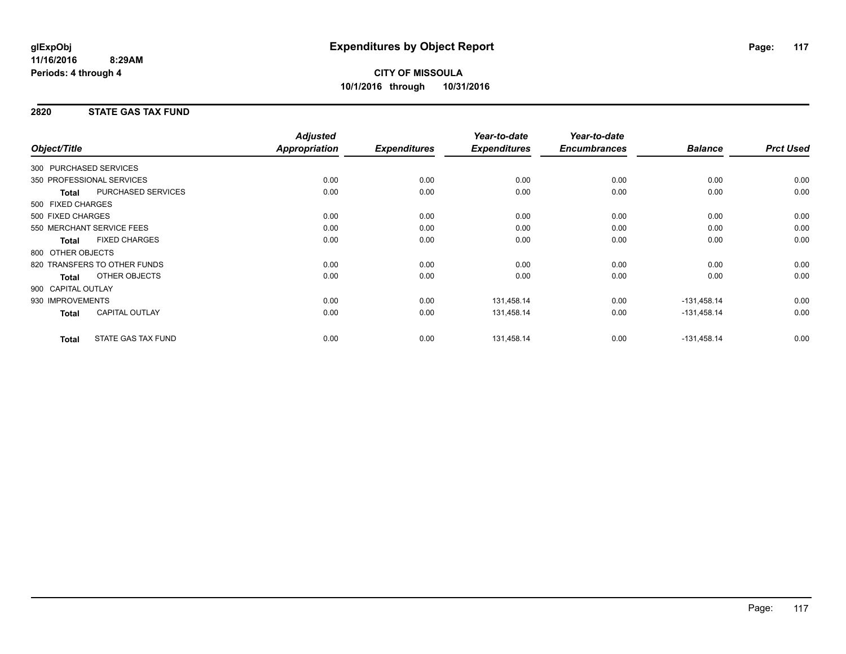# **CITY OF MISSOULA 10/1/2016 through 10/31/2016**

#### **2820 STATE GAS TAX FUND**

| Object/Title           |                              | <b>Adjusted</b><br>Appropriation | <b>Expenditures</b> | Year-to-date<br><b>Expenditures</b> | Year-to-date<br><b>Encumbrances</b> | <b>Balance</b> | <b>Prct Used</b> |
|------------------------|------------------------------|----------------------------------|---------------------|-------------------------------------|-------------------------------------|----------------|------------------|
| 300 PURCHASED SERVICES |                              |                                  |                     |                                     |                                     |                |                  |
|                        |                              |                                  |                     |                                     |                                     |                |                  |
|                        | 350 PROFESSIONAL SERVICES    | 0.00                             | 0.00                | 0.00                                | 0.00                                | 0.00           | 0.00             |
| <b>Total</b>           | PURCHASED SERVICES           | 0.00                             | 0.00                | 0.00                                | 0.00                                | 0.00           | 0.00             |
| 500 FIXED CHARGES      |                              |                                  |                     |                                     |                                     |                |                  |
| 500 FIXED CHARGES      |                              | 0.00                             | 0.00                | 0.00                                | 0.00                                | 0.00           | 0.00             |
|                        | 550 MERCHANT SERVICE FEES    | 0.00                             | 0.00                | 0.00                                | 0.00                                | 0.00           | 0.00             |
| <b>Total</b>           | <b>FIXED CHARGES</b>         | 0.00                             | 0.00                | 0.00                                | 0.00                                | 0.00           | 0.00             |
| 800 OTHER OBJECTS      |                              |                                  |                     |                                     |                                     |                |                  |
|                        | 820 TRANSFERS TO OTHER FUNDS | 0.00                             | 0.00                | 0.00                                | 0.00                                | 0.00           | 0.00             |
| <b>Total</b>           | OTHER OBJECTS                | 0.00                             | 0.00                | 0.00                                | 0.00                                | 0.00           | 0.00             |
| 900 CAPITAL OUTLAY     |                              |                                  |                     |                                     |                                     |                |                  |
| 930 IMPROVEMENTS       |                              | 0.00                             | 0.00                | 131,458.14                          | 0.00                                | $-131,458.14$  | 0.00             |
| <b>Total</b>           | CAPITAL OUTLAY               | 0.00                             | 0.00                | 131,458.14                          | 0.00                                | $-131,458.14$  | 0.00             |
| <b>Total</b>           | <b>STATE GAS TAX FUND</b>    | 0.00                             | 0.00                | 131,458.14                          | 0.00                                | $-131,458.14$  | 0.00             |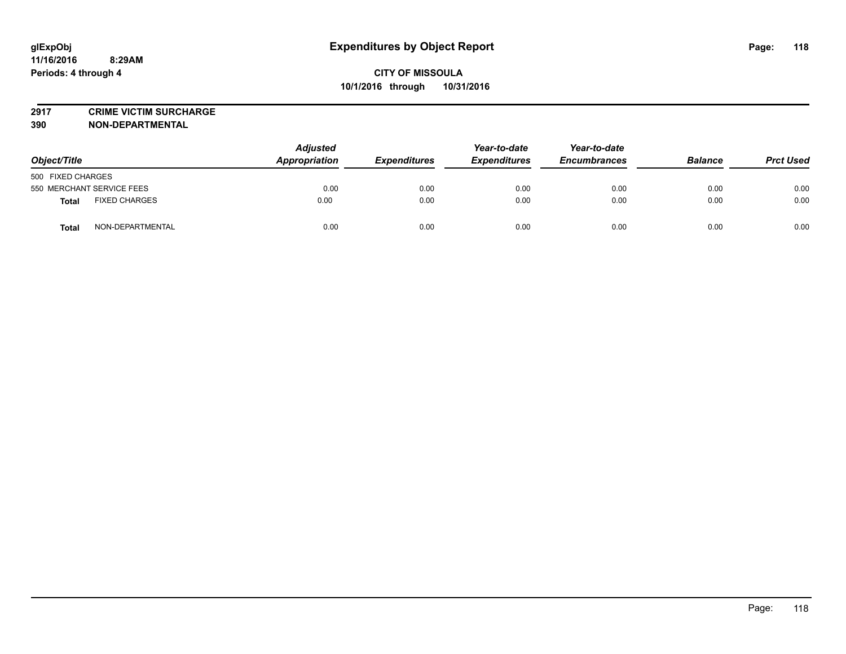# **2917 CRIME VICTIM SURCHARGE**

**390 NON-DEPARTMENTAL**

**11/16/2016**

**Periods: 4 through 4**

| Object/Title                         | <b>Adjusted</b><br>Appropriation | <b>Expenditures</b> | Year-to-date<br><b>Expenditures</b> | Year-to-date<br><b>Encumbrances</b> | <b>Balance</b> | <b>Prct Used</b> |
|--------------------------------------|----------------------------------|---------------------|-------------------------------------|-------------------------------------|----------------|------------------|
| 500 FIXED CHARGES                    |                                  |                     |                                     |                                     |                |                  |
| 550 MERCHANT SERVICE FEES            | 0.00                             | 0.00                | 0.00                                | 0.00                                | 0.00           | 0.00             |
| <b>FIXED CHARGES</b><br><b>Total</b> | 0.00                             | 0.00                | 0.00                                | 0.00                                | 0.00           | 0.00             |
| NON-DEPARTMENTAL<br><b>Total</b>     | 0.00                             | 0.00                | 0.00                                | 0.00                                | 0.00           | 0.00             |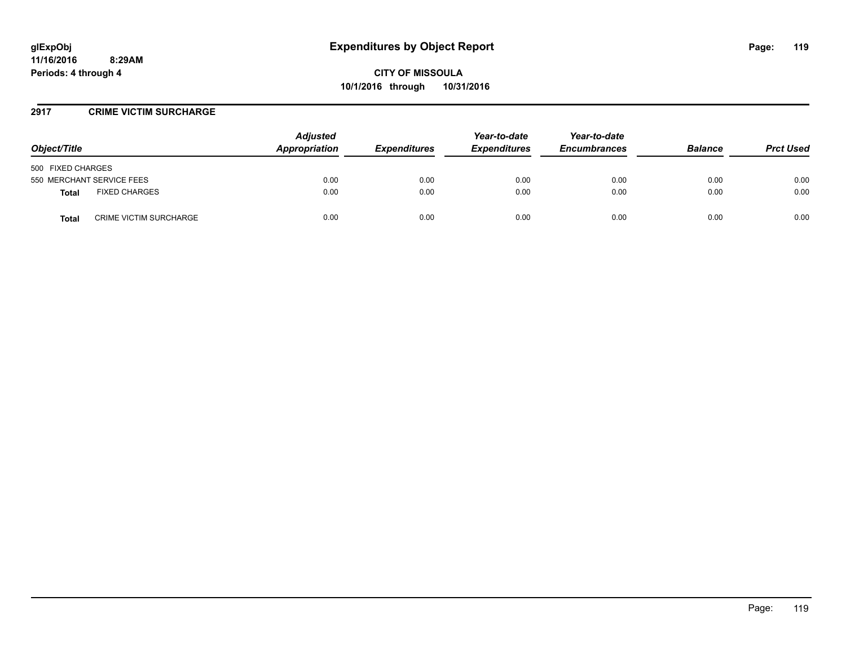#### **2917 CRIME VICTIM SURCHARGE**

| Object/Title                           | <b>Adjusted</b><br>Appropriation | <b>Expenditures</b> | Year-to-date<br><b>Expenditures</b> | Year-to-date<br><b>Encumbrances</b> | <b>Balance</b> | <b>Prct Used</b> |
|----------------------------------------|----------------------------------|---------------------|-------------------------------------|-------------------------------------|----------------|------------------|
| 500 FIXED CHARGES                      |                                  |                     |                                     |                                     |                |                  |
| 550 MERCHANT SERVICE FEES              | 0.00                             | 0.00                | 0.00                                | 0.00                                | 0.00           | 0.00             |
| <b>FIXED CHARGES</b><br><b>Total</b>   | 0.00                             | 0.00                | 0.00                                | 0.00                                | 0.00           | 0.00             |
| <b>CRIME VICTIM SURCHARGE</b><br>Total | 0.00                             | 0.00                | 0.00                                | 0.00                                | 0.00           | 0.00             |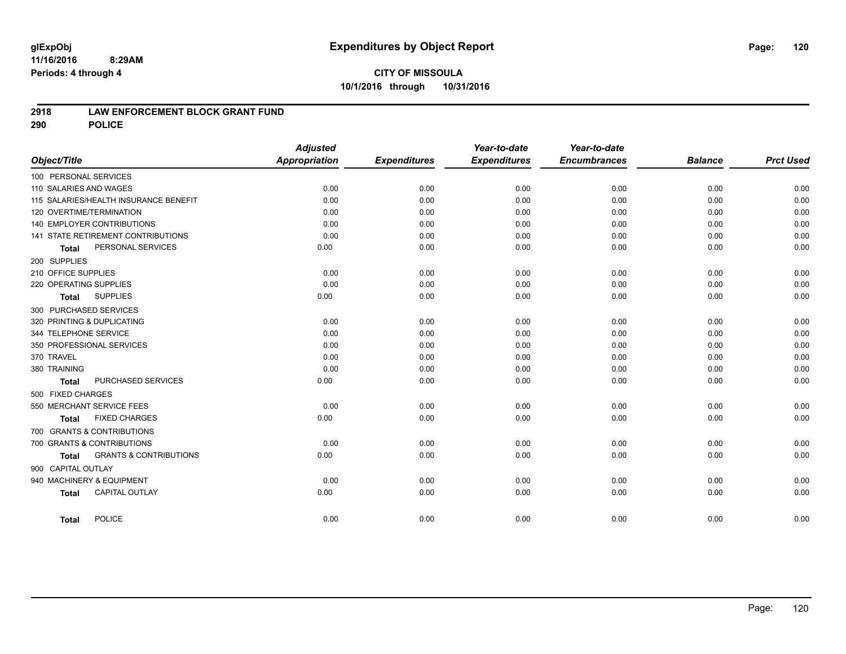#### **2918 LAW ENFORCEMENT BLOCK GRANT FUND**

**290 POLICE**

|                                                   | <b>Adjusted</b>      |                     | Year-to-date        | Year-to-date        |                |                  |
|---------------------------------------------------|----------------------|---------------------|---------------------|---------------------|----------------|------------------|
| Object/Title                                      | <b>Appropriation</b> | <b>Expenditures</b> | <b>Expenditures</b> | <b>Encumbrances</b> | <b>Balance</b> | <b>Prct Used</b> |
| 100 PERSONAL SERVICES                             |                      |                     |                     |                     |                |                  |
| 110 SALARIES AND WAGES                            | 0.00                 | 0.00                | 0.00                | 0.00                | 0.00           | 0.00             |
| 115 SALARIES/HEALTH INSURANCE BENEFIT             | 0.00                 | 0.00                | 0.00                | 0.00                | 0.00           | 0.00             |
| 120 OVERTIME/TERMINATION                          | 0.00                 | 0.00                | 0.00                | 0.00                | 0.00           | 0.00             |
| 140 EMPLOYER CONTRIBUTIONS                        | 0.00                 | 0.00                | 0.00                | 0.00                | 0.00           | 0.00             |
| 141 STATE RETIREMENT CONTRIBUTIONS                | 0.00                 | 0.00                | 0.00                | 0.00                | 0.00           | 0.00             |
| PERSONAL SERVICES<br><b>Total</b>                 | 0.00                 | 0.00                | 0.00                | 0.00                | 0.00           | 0.00             |
| 200 SUPPLIES                                      |                      |                     |                     |                     |                |                  |
| 210 OFFICE SUPPLIES                               | 0.00                 | 0.00                | 0.00                | 0.00                | 0.00           | 0.00             |
| 220 OPERATING SUPPLIES                            | 0.00                 | 0.00                | 0.00                | 0.00                | 0.00           | 0.00             |
| <b>SUPPLIES</b><br>Total                          | 0.00                 | 0.00                | 0.00                | 0.00                | 0.00           | 0.00             |
| 300 PURCHASED SERVICES                            |                      |                     |                     |                     |                |                  |
| 320 PRINTING & DUPLICATING                        | 0.00                 | 0.00                | 0.00                | 0.00                | 0.00           | 0.00             |
| 344 TELEPHONE SERVICE                             | 0.00                 | 0.00                | 0.00                | 0.00                | 0.00           | 0.00             |
| 350 PROFESSIONAL SERVICES                         | 0.00                 | 0.00                | 0.00                | 0.00                | 0.00           | 0.00             |
| 370 TRAVEL                                        | 0.00                 | 0.00                | 0.00                | 0.00                | 0.00           | 0.00             |
| 380 TRAINING                                      | 0.00                 | 0.00                | 0.00                | 0.00                | 0.00           | 0.00             |
| PURCHASED SERVICES<br><b>Total</b>                | 0.00                 | 0.00                | 0.00                | 0.00                | 0.00           | 0.00             |
| 500 FIXED CHARGES                                 |                      |                     |                     |                     |                |                  |
| 550 MERCHANT SERVICE FEES                         | 0.00                 | 0.00                | 0.00                | 0.00                | 0.00           | 0.00             |
| <b>FIXED CHARGES</b><br><b>Total</b>              | 0.00                 | 0.00                | 0.00                | 0.00                | 0.00           | 0.00             |
| 700 GRANTS & CONTRIBUTIONS                        |                      |                     |                     |                     |                |                  |
| 700 GRANTS & CONTRIBUTIONS                        | 0.00                 | 0.00                | 0.00                | 0.00                | 0.00           | 0.00             |
| <b>GRANTS &amp; CONTRIBUTIONS</b><br><b>Total</b> | 0.00                 | 0.00                | 0.00                | 0.00                | 0.00           | 0.00             |
| 900 CAPITAL OUTLAY                                |                      |                     |                     |                     |                |                  |
| 940 MACHINERY & EQUIPMENT                         | 0.00                 | 0.00                | 0.00                | 0.00                | 0.00           | 0.00             |
| CAPITAL OUTLAY<br><b>Total</b>                    | 0.00                 | 0.00                | 0.00                | 0.00                | 0.00           | 0.00             |
| <b>POLICE</b><br><b>Total</b>                     | 0.00                 | 0.00                | 0.00                | 0.00                | 0.00           | 0.00             |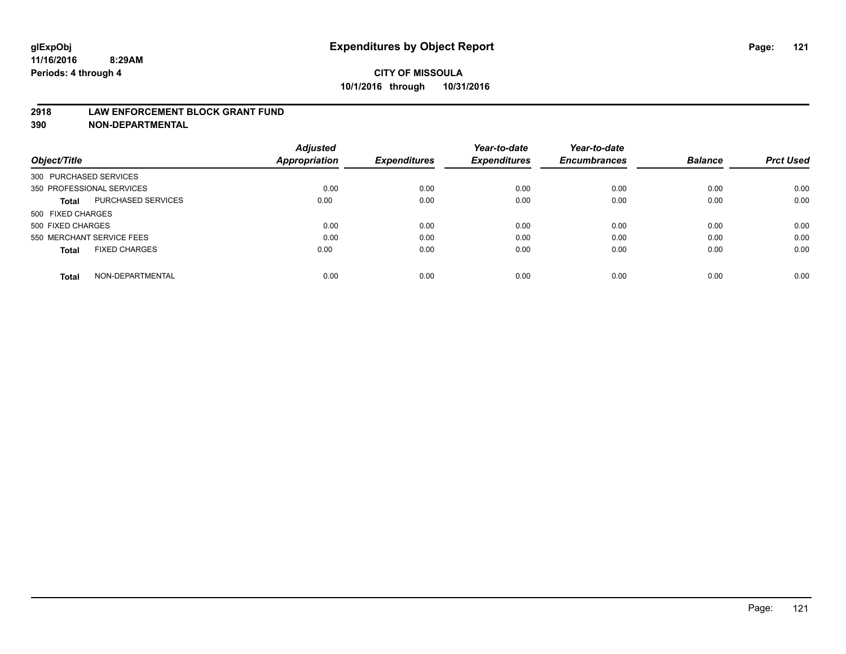#### **2918 LAW ENFORCEMENT BLOCK GRANT FUND**

**390 NON-DEPARTMENTAL**

|                           |                      | <b>Adjusted</b>      |                     | Year-to-date        | Year-to-date<br><b>Encumbrances</b> | <b>Balance</b> | <b>Prct Used</b> |
|---------------------------|----------------------|----------------------|---------------------|---------------------|-------------------------------------|----------------|------------------|
| Object/Title              |                      | <b>Appropriation</b> | <b>Expenditures</b> | <b>Expenditures</b> |                                     |                |                  |
| 300 PURCHASED SERVICES    |                      |                      |                     |                     |                                     |                |                  |
| 350 PROFESSIONAL SERVICES |                      | 0.00                 | 0.00                | 0.00                | 0.00                                | 0.00           | 0.00             |
| Total                     | PURCHASED SERVICES   | 0.00                 | 0.00                | 0.00                | 0.00                                | 0.00           | 0.00             |
| 500 FIXED CHARGES         |                      |                      |                     |                     |                                     |                |                  |
| 500 FIXED CHARGES         |                      | 0.00                 | 0.00                | 0.00                | 0.00                                | 0.00           | 0.00             |
| 550 MERCHANT SERVICE FEES |                      | 0.00                 | 0.00                | 0.00                | 0.00                                | 0.00           | 0.00             |
| <b>Total</b>              | <b>FIXED CHARGES</b> | 0.00                 | 0.00                | 0.00                | 0.00                                | 0.00           | 0.00             |
| <b>Total</b>              | NON-DEPARTMENTAL     | 0.00                 | 0.00                | 0.00                | 0.00                                | 0.00           | 0.00             |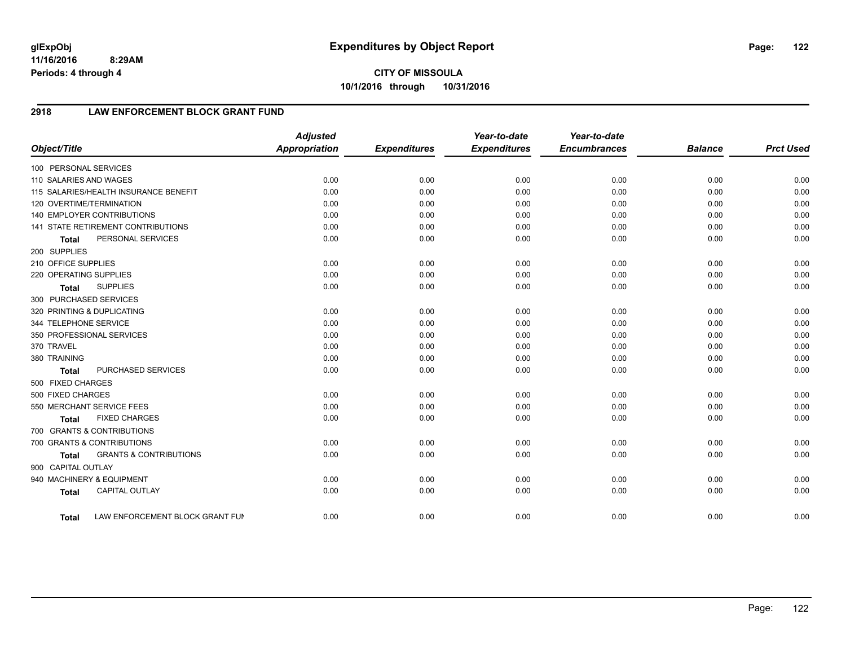# **2918 LAW ENFORCEMENT BLOCK GRANT FUND**

| Object/Title           |                                       | <b>Adjusted</b><br>Appropriation | <b>Expenditures</b> | Year-to-date<br><b>Expenditures</b> | Year-to-date<br><b>Encumbrances</b> | <b>Balance</b> | <b>Prct Used</b> |
|------------------------|---------------------------------------|----------------------------------|---------------------|-------------------------------------|-------------------------------------|----------------|------------------|
| 100 PERSONAL SERVICES  |                                       |                                  |                     |                                     |                                     |                |                  |
| 110 SALARIES AND WAGES |                                       | 0.00                             | 0.00                | 0.00                                | 0.00                                | 0.00           | 0.00             |
|                        | 115 SALARIES/HEALTH INSURANCE BENEFIT | 0.00                             | 0.00                | 0.00                                | 0.00                                | 0.00           | 0.00             |
|                        | 120 OVERTIME/TERMINATION              | 0.00                             | 0.00                | 0.00                                | 0.00                                | 0.00           | 0.00             |
|                        | 140 EMPLOYER CONTRIBUTIONS            | 0.00                             | 0.00                | 0.00                                | 0.00                                | 0.00           | 0.00             |
|                        | 141 STATE RETIREMENT CONTRIBUTIONS    | 0.00                             | 0.00                | 0.00                                | 0.00                                | 0.00           | 0.00             |
| <b>Total</b>           | PERSONAL SERVICES                     | 0.00                             | 0.00                | 0.00                                | 0.00                                | 0.00           | 0.00             |
| 200 SUPPLIES           |                                       |                                  |                     |                                     |                                     |                |                  |
| 210 OFFICE SUPPLIES    |                                       | 0.00                             | 0.00                | 0.00                                | 0.00                                | 0.00           | 0.00             |
| 220 OPERATING SUPPLIES |                                       | 0.00                             | 0.00                | 0.00                                | 0.00                                | 0.00           | 0.00             |
| <b>Total</b>           | <b>SUPPLIES</b>                       | 0.00                             | 0.00                | 0.00                                | 0.00                                | 0.00           | 0.00             |
| 300 PURCHASED SERVICES |                                       |                                  |                     |                                     |                                     |                |                  |
|                        | 320 PRINTING & DUPLICATING            | 0.00                             | 0.00                | 0.00                                | 0.00                                | 0.00           | 0.00             |
| 344 TELEPHONE SERVICE  |                                       | 0.00                             | 0.00                | 0.00                                | 0.00                                | 0.00           | 0.00             |
|                        | 350 PROFESSIONAL SERVICES             | 0.00                             | 0.00                | 0.00                                | 0.00                                | 0.00           | 0.00             |
| 370 TRAVEL             |                                       | 0.00                             | 0.00                | 0.00                                | 0.00                                | 0.00           | 0.00             |
| 380 TRAINING           |                                       | 0.00                             | 0.00                | 0.00                                | 0.00                                | 0.00           | 0.00             |
| <b>Total</b>           | PURCHASED SERVICES                    | 0.00                             | 0.00                | 0.00                                | 0.00                                | 0.00           | 0.00             |
| 500 FIXED CHARGES      |                                       |                                  |                     |                                     |                                     |                |                  |
| 500 FIXED CHARGES      |                                       | 0.00                             | 0.00                | 0.00                                | 0.00                                | 0.00           | 0.00             |
|                        | 550 MERCHANT SERVICE FEES             | 0.00                             | 0.00                | 0.00                                | 0.00                                | 0.00           | 0.00             |
| <b>Total</b>           | <b>FIXED CHARGES</b>                  | 0.00                             | 0.00                | 0.00                                | 0.00                                | 0.00           | 0.00             |
|                        | 700 GRANTS & CONTRIBUTIONS            |                                  |                     |                                     |                                     |                |                  |
|                        | 700 GRANTS & CONTRIBUTIONS            | 0.00                             | 0.00                | 0.00                                | 0.00                                | 0.00           | 0.00             |
| <b>Total</b>           | <b>GRANTS &amp; CONTRIBUTIONS</b>     | 0.00                             | 0.00                | 0.00                                | 0.00                                | 0.00           | 0.00             |
| 900 CAPITAL OUTLAY     |                                       |                                  |                     |                                     |                                     |                |                  |
|                        | 940 MACHINERY & EQUIPMENT             | 0.00                             | 0.00                | 0.00                                | 0.00                                | 0.00           | 0.00             |
| <b>Total</b>           | <b>CAPITAL OUTLAY</b>                 | 0.00                             | 0.00                | 0.00                                | 0.00                                | 0.00           | 0.00             |
| <b>Total</b>           | LAW ENFORCEMENT BLOCK GRANT FUN       | 0.00                             | 0.00                | 0.00                                | 0.00                                | 0.00           | 0.00             |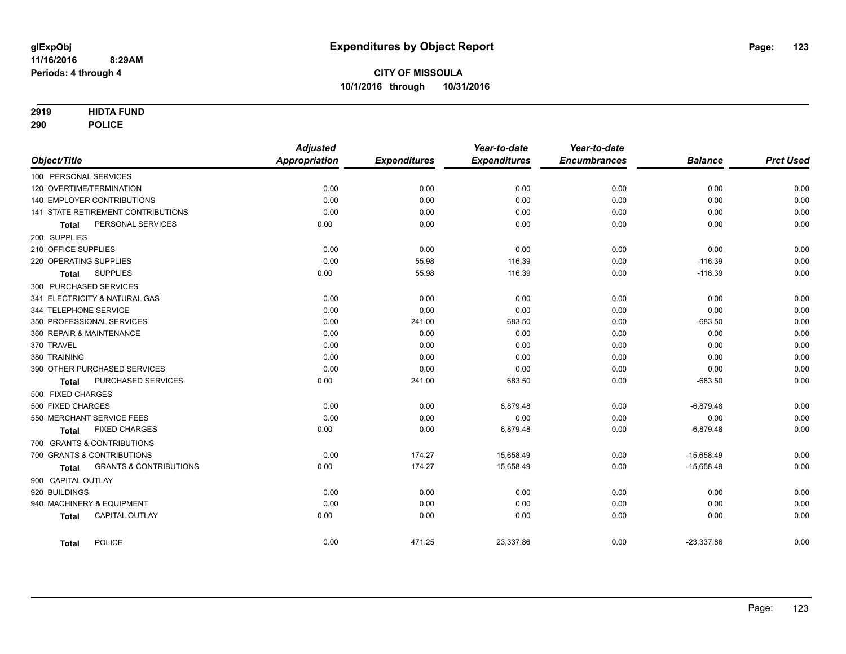#### **2919 HIDTA FUND**

**290 POLICE**

|                                            | <b>Adjusted</b>      |                     | Year-to-date        | Year-to-date        |                |                  |
|--------------------------------------------|----------------------|---------------------|---------------------|---------------------|----------------|------------------|
| Object/Title                               | <b>Appropriation</b> | <b>Expenditures</b> | <b>Expenditures</b> | <b>Encumbrances</b> | <b>Balance</b> | <b>Prct Used</b> |
| 100 PERSONAL SERVICES                      |                      |                     |                     |                     |                |                  |
| 120 OVERTIME/TERMINATION                   | 0.00                 | 0.00                | 0.00                | 0.00                | 0.00           | 0.00             |
| <b>140 EMPLOYER CONTRIBUTIONS</b>          | 0.00                 | 0.00                | 0.00                | 0.00                | 0.00           | 0.00             |
| 141 STATE RETIREMENT CONTRIBUTIONS         | 0.00                 | 0.00                | 0.00                | 0.00                | 0.00           | 0.00             |
| PERSONAL SERVICES<br><b>Total</b>          | 0.00                 | 0.00                | 0.00                | 0.00                | 0.00           | 0.00             |
| 200 SUPPLIES                               |                      |                     |                     |                     |                |                  |
| 210 OFFICE SUPPLIES                        | 0.00                 | 0.00                | 0.00                | 0.00                | 0.00           | 0.00             |
| 220 OPERATING SUPPLIES                     | 0.00                 | 55.98               | 116.39              | 0.00                | $-116.39$      | 0.00             |
| <b>SUPPLIES</b><br>Total                   | 0.00                 | 55.98               | 116.39              | 0.00                | $-116.39$      | 0.00             |
| 300 PURCHASED SERVICES                     |                      |                     |                     |                     |                |                  |
| 341 ELECTRICITY & NATURAL GAS              | 0.00                 | 0.00                | 0.00                | 0.00                | 0.00           | 0.00             |
| 344 TELEPHONE SERVICE                      | 0.00                 | 0.00                | 0.00                | 0.00                | 0.00           | 0.00             |
| 350 PROFESSIONAL SERVICES                  | 0.00                 | 241.00              | 683.50              | 0.00                | $-683.50$      | 0.00             |
| 360 REPAIR & MAINTENANCE                   | 0.00                 | 0.00                | 0.00                | 0.00                | 0.00           | 0.00             |
| 370 TRAVEL                                 | 0.00                 | 0.00                | 0.00                | 0.00                | 0.00           | 0.00             |
| 380 TRAINING                               | 0.00                 | 0.00                | 0.00                | 0.00                | 0.00           | 0.00             |
| 390 OTHER PURCHASED SERVICES               | 0.00                 | 0.00                | 0.00                | 0.00                | 0.00           | 0.00             |
| PURCHASED SERVICES<br><b>Total</b>         | 0.00                 | 241.00              | 683.50              | 0.00                | $-683.50$      | 0.00             |
| 500 FIXED CHARGES                          |                      |                     |                     |                     |                |                  |
| 500 FIXED CHARGES                          | 0.00                 | 0.00                | 6,879.48            | 0.00                | $-6,879.48$    | 0.00             |
| 550 MERCHANT SERVICE FEES                  | 0.00                 | 0.00                | 0.00                | 0.00                | 0.00           | 0.00             |
| <b>FIXED CHARGES</b><br><b>Total</b>       | 0.00                 | 0.00                | 6,879.48            | 0.00                | $-6,879.48$    | 0.00             |
| 700 GRANTS & CONTRIBUTIONS                 |                      |                     |                     |                     |                |                  |
| 700 GRANTS & CONTRIBUTIONS                 | 0.00                 | 174.27              | 15,658.49           | 0.00                | $-15,658.49$   | 0.00             |
| <b>GRANTS &amp; CONTRIBUTIONS</b><br>Total | 0.00                 | 174.27              | 15,658.49           | 0.00                | $-15,658.49$   | 0.00             |
| 900 CAPITAL OUTLAY                         |                      |                     |                     |                     |                |                  |
| 920 BUILDINGS                              | 0.00                 | 0.00                | 0.00                | 0.00                | 0.00           | 0.00             |
| 940 MACHINERY & EQUIPMENT                  | 0.00                 | 0.00                | 0.00                | 0.00                | 0.00           | 0.00             |
| <b>CAPITAL OUTLAY</b><br><b>Total</b>      | 0.00                 | 0.00                | 0.00                | 0.00                | 0.00           | 0.00             |
| <b>POLICE</b><br><b>Total</b>              | 0.00                 | 471.25              | 23,337.86           | 0.00                | $-23,337.86$   | 0.00             |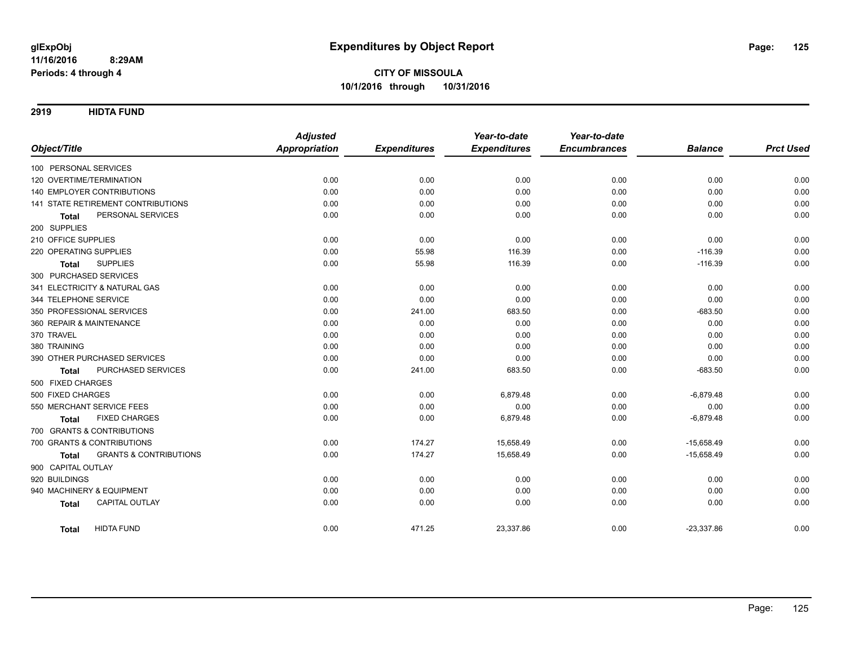**2919 HIDTA FUND**

|                                                   | <b>Adjusted</b>      |                     | Year-to-date        | Year-to-date        |                |                  |
|---------------------------------------------------|----------------------|---------------------|---------------------|---------------------|----------------|------------------|
| Object/Title                                      | <b>Appropriation</b> | <b>Expenditures</b> | <b>Expenditures</b> | <b>Encumbrances</b> | <b>Balance</b> | <b>Prct Used</b> |
| 100 PERSONAL SERVICES                             |                      |                     |                     |                     |                |                  |
| 120 OVERTIME/TERMINATION                          | 0.00                 | 0.00                | 0.00                | 0.00                | 0.00           | 0.00             |
| 140 EMPLOYER CONTRIBUTIONS                        | 0.00                 | 0.00                | 0.00                | 0.00                | 0.00           | 0.00             |
| 141 STATE RETIREMENT CONTRIBUTIONS                | 0.00                 | 0.00                | 0.00                | 0.00                | 0.00           | 0.00             |
| PERSONAL SERVICES<br><b>Total</b>                 | 0.00                 | 0.00                | 0.00                | 0.00                | 0.00           | 0.00             |
| 200 SUPPLIES                                      |                      |                     |                     |                     |                |                  |
| 210 OFFICE SUPPLIES                               | 0.00                 | 0.00                | 0.00                | 0.00                | 0.00           | 0.00             |
| 220 OPERATING SUPPLIES                            | 0.00                 | 55.98               | 116.39              | 0.00                | $-116.39$      | 0.00             |
| <b>SUPPLIES</b><br><b>Total</b>                   | 0.00                 | 55.98               | 116.39              | 0.00                | $-116.39$      | 0.00             |
| 300 PURCHASED SERVICES                            |                      |                     |                     |                     |                |                  |
| 341 ELECTRICITY & NATURAL GAS                     | 0.00                 | 0.00                | 0.00                | 0.00                | 0.00           | 0.00             |
| 344 TELEPHONE SERVICE                             | 0.00                 | 0.00                | 0.00                | 0.00                | 0.00           | 0.00             |
| 350 PROFESSIONAL SERVICES                         | 0.00                 | 241.00              | 683.50              | 0.00                | $-683.50$      | 0.00             |
| 360 REPAIR & MAINTENANCE                          | 0.00                 | 0.00                | 0.00                | 0.00                | 0.00           | 0.00             |
| 370 TRAVEL                                        | 0.00                 | 0.00                | 0.00                | 0.00                | 0.00           | 0.00             |
| 380 TRAINING                                      | 0.00                 | 0.00                | 0.00                | 0.00                | 0.00           | 0.00             |
| 390 OTHER PURCHASED SERVICES                      | 0.00                 | 0.00                | 0.00                | 0.00                | 0.00           | 0.00             |
| PURCHASED SERVICES<br><b>Total</b>                | 0.00                 | 241.00              | 683.50              | 0.00                | $-683.50$      | 0.00             |
| 500 FIXED CHARGES                                 |                      |                     |                     |                     |                |                  |
| 500 FIXED CHARGES                                 | 0.00                 | 0.00                | 6,879.48            | 0.00                | $-6,879.48$    | 0.00             |
| 550 MERCHANT SERVICE FEES                         | 0.00                 | 0.00                | 0.00                | 0.00                | 0.00           | 0.00             |
| <b>FIXED CHARGES</b><br><b>Total</b>              | 0.00                 | 0.00                | 6,879.48            | 0.00                | $-6,879.48$    | 0.00             |
| 700 GRANTS & CONTRIBUTIONS                        |                      |                     |                     |                     |                |                  |
| 700 GRANTS & CONTRIBUTIONS                        | 0.00                 | 174.27              | 15,658.49           | 0.00                | $-15,658.49$   | 0.00             |
| <b>GRANTS &amp; CONTRIBUTIONS</b><br><b>Total</b> | 0.00                 | 174.27              | 15,658.49           | 0.00                | $-15,658.49$   | 0.00             |
| 900 CAPITAL OUTLAY                                |                      |                     |                     |                     |                |                  |
| 920 BUILDINGS                                     | 0.00                 | 0.00                | 0.00                | 0.00                | 0.00           | 0.00             |
| 940 MACHINERY & EQUIPMENT                         | 0.00                 | 0.00                | 0.00                | 0.00                | 0.00           | 0.00             |
| <b>CAPITAL OUTLAY</b><br><b>Total</b>             | 0.00                 | 0.00                | 0.00                | 0.00                | 0.00           | 0.00             |
| <b>HIDTA FUND</b><br><b>Total</b>                 | 0.00                 | 471.25              | 23,337.86           | 0.00                | $-23,337.86$   | 0.00             |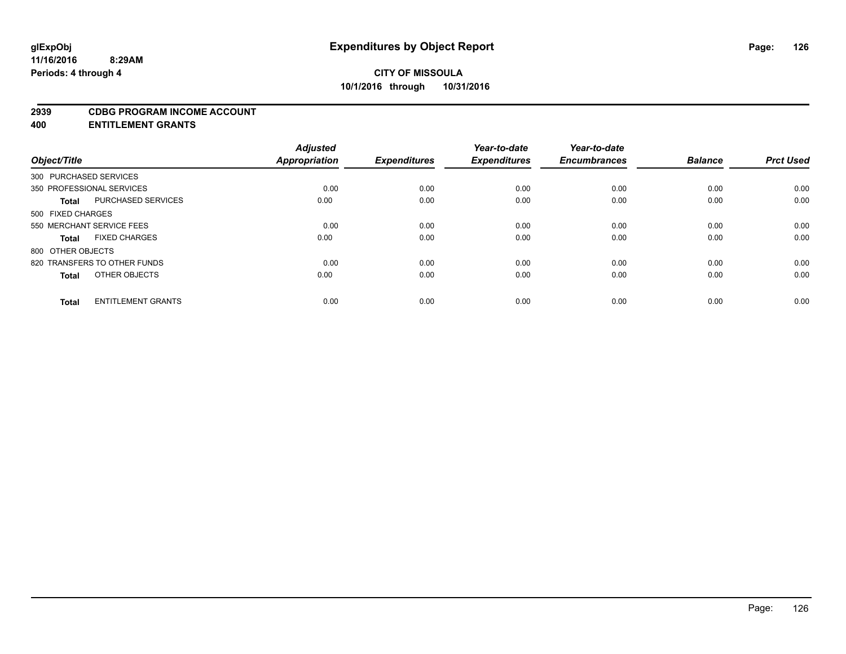#### **2939 CDBG PROGRAM INCOME ACCOUNT**

**400 ENTITLEMENT GRANTS**

| Object/Title                 | <b>Adjusted</b><br>Appropriation | <b>Expenditures</b> | Year-to-date<br><b>Expenditures</b> | Year-to-date<br><b>Encumbrances</b> | <b>Balance</b> | <b>Prct Used</b> |
|------------------------------|----------------------------------|---------------------|-------------------------------------|-------------------------------------|----------------|------------------|
| 300 PURCHASED SERVICES       |                                  |                     |                                     |                                     |                |                  |
| 350 PROFESSIONAL SERVICES    | 0.00                             | 0.00                | 0.00                                | 0.00                                | 0.00           | 0.00             |
| PURCHASED SERVICES           | 0.00                             | 0.00                | 0.00                                | 0.00                                | 0.00           | 0.00             |
| 500 FIXED CHARGES            |                                  |                     |                                     |                                     |                |                  |
| 550 MERCHANT SERVICE FEES    | 0.00                             | 0.00                | 0.00                                | 0.00                                | 0.00           | 0.00             |
| <b>FIXED CHARGES</b>         | 0.00                             | 0.00                | 0.00                                | 0.00                                | 0.00           | 0.00             |
| 800 OTHER OBJECTS            |                                  |                     |                                     |                                     |                |                  |
| 820 TRANSFERS TO OTHER FUNDS | 0.00                             | 0.00                | 0.00                                | 0.00                                | 0.00           | 0.00             |
| OTHER OBJECTS                | 0.00                             | 0.00                | 0.00                                | 0.00                                | 0.00           | 0.00             |
| <b>ENTITLEMENT GRANTS</b>    | 0.00                             | 0.00                | 0.00                                | 0.00                                | 0.00           | 0.00             |
|                              |                                  |                     |                                     |                                     |                |                  |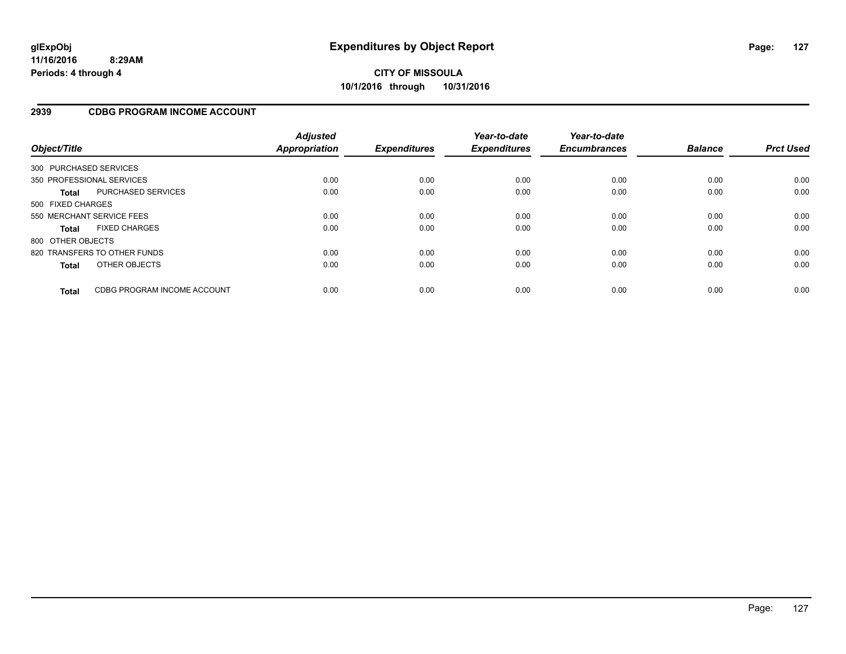#### **2939 CDBG PROGRAM INCOME ACCOUNT**

| Object/Title           |                              | <b>Adjusted</b><br><b>Appropriation</b> | <b>Expenditures</b> | Year-to-date<br><b>Expenditures</b> | Year-to-date<br><b>Encumbrances</b> | <b>Balance</b> | <b>Prct Used</b> |
|------------------------|------------------------------|-----------------------------------------|---------------------|-------------------------------------|-------------------------------------|----------------|------------------|
| 300 PURCHASED SERVICES |                              |                                         |                     |                                     |                                     |                |                  |
|                        | 350 PROFESSIONAL SERVICES    | 0.00                                    | 0.00                | 0.00                                | 0.00                                | 0.00           | 0.00             |
| <b>Total</b>           | <b>PURCHASED SERVICES</b>    | 0.00                                    | 0.00                | 0.00                                | 0.00                                | 0.00           | 0.00             |
| 500 FIXED CHARGES      |                              |                                         |                     |                                     |                                     |                |                  |
|                        | 550 MERCHANT SERVICE FEES    | 0.00                                    | 0.00                | 0.00                                | 0.00                                | 0.00           | 0.00             |
| <b>Total</b>           | <b>FIXED CHARGES</b>         | 0.00                                    | 0.00                | 0.00                                | 0.00                                | 0.00           | 0.00             |
| 800 OTHER OBJECTS      |                              |                                         |                     |                                     |                                     |                |                  |
|                        | 820 TRANSFERS TO OTHER FUNDS | 0.00                                    | 0.00                | 0.00                                | 0.00                                | 0.00           | 0.00             |
| <b>Total</b>           | OTHER OBJECTS                | 0.00                                    | 0.00                | 0.00                                | 0.00                                | 0.00           | 0.00             |
| <b>Total</b>           | CDBG PROGRAM INCOME ACCOUNT  | 0.00                                    | 0.00                | 0.00                                | 0.00                                | 0.00           | 0.00             |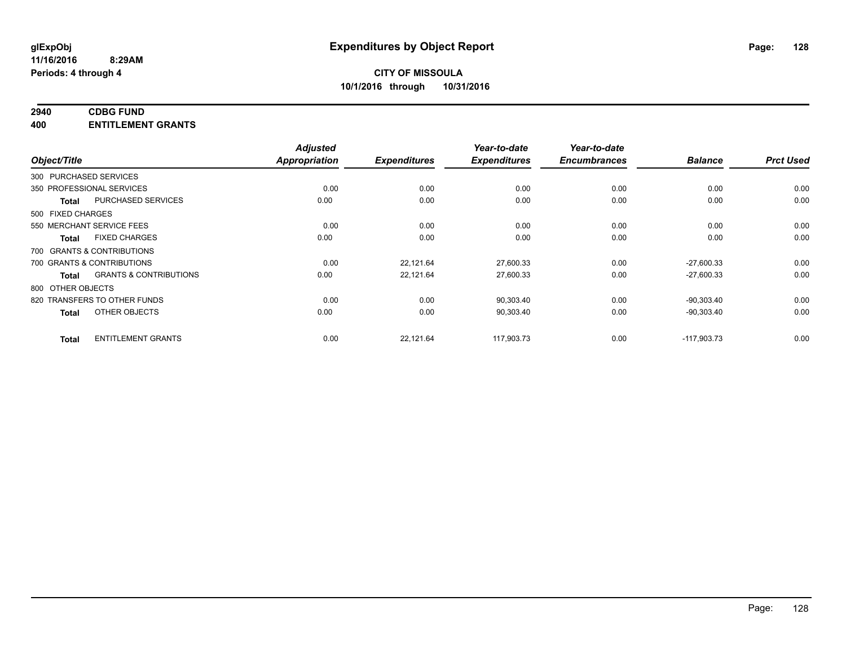# **2940 CDBG FUND**

**400 ENTITLEMENT GRANTS**

|                   |                                   | <b>Adjusted</b>      |                     | Year-to-date        | Year-to-date        |                |                  |
|-------------------|-----------------------------------|----------------------|---------------------|---------------------|---------------------|----------------|------------------|
| Object/Title      |                                   | <b>Appropriation</b> | <b>Expenditures</b> | <b>Expenditures</b> | <b>Encumbrances</b> | <b>Balance</b> | <b>Prct Used</b> |
|                   | 300 PURCHASED SERVICES            |                      |                     |                     |                     |                |                  |
|                   | 350 PROFESSIONAL SERVICES         | 0.00                 | 0.00                | 0.00                | 0.00                | 0.00           | 0.00             |
| <b>Total</b>      | PURCHASED SERVICES                | 0.00                 | 0.00                | 0.00                | 0.00                | 0.00           | 0.00             |
| 500 FIXED CHARGES |                                   |                      |                     |                     |                     |                |                  |
|                   | 550 MERCHANT SERVICE FEES         | 0.00                 | 0.00                | 0.00                | 0.00                | 0.00           | 0.00             |
| <b>Total</b>      | <b>FIXED CHARGES</b>              | 0.00                 | 0.00                | 0.00                | 0.00                | 0.00           | 0.00             |
|                   | 700 GRANTS & CONTRIBUTIONS        |                      |                     |                     |                     |                |                  |
|                   | 700 GRANTS & CONTRIBUTIONS        | 0.00                 | 22,121.64           | 27,600.33           | 0.00                | $-27.600.33$   | 0.00             |
| <b>Total</b>      | <b>GRANTS &amp; CONTRIBUTIONS</b> | 0.00                 | 22,121.64           | 27,600.33           | 0.00                | $-27,600.33$   | 0.00             |
| 800 OTHER OBJECTS |                                   |                      |                     |                     |                     |                |                  |
|                   | 820 TRANSFERS TO OTHER FUNDS      | 0.00                 | 0.00                | 90,303.40           | 0.00                | $-90,303.40$   | 0.00             |
| <b>Total</b>      | OTHER OBJECTS                     | 0.00                 | 0.00                | 90,303.40           | 0.00                | $-90,303.40$   | 0.00             |
| <b>Total</b>      | <b>ENTITLEMENT GRANTS</b>         | 0.00                 | 22,121.64           | 117,903.73          | 0.00                | $-117,903.73$  | 0.00             |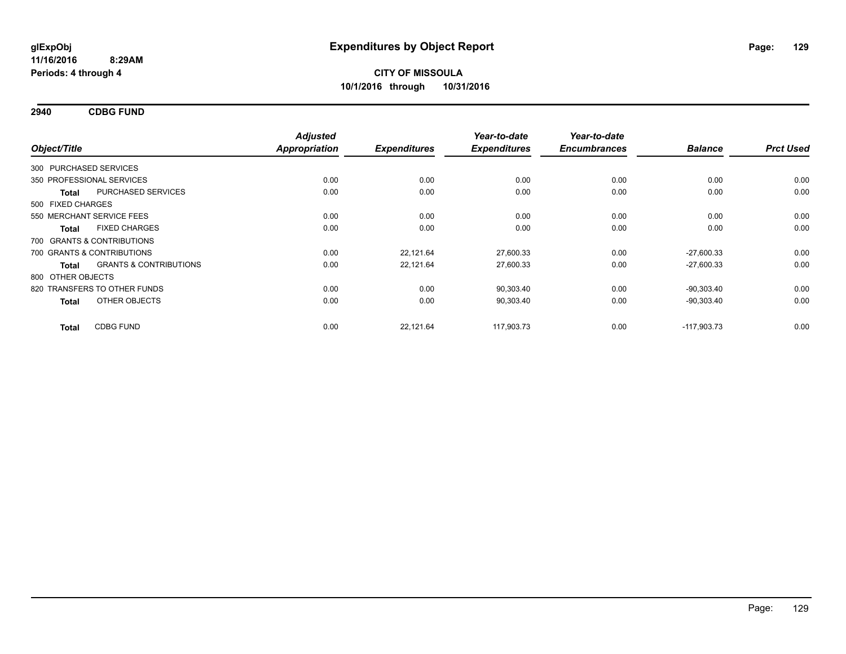**2940 CDBG FUND**

| Object/Title           |                                   | <b>Adjusted</b><br><b>Appropriation</b> | <b>Expenditures</b> | Year-to-date<br><b>Expenditures</b> | Year-to-date<br><b>Encumbrances</b> | <b>Balance</b> | <b>Prct Used</b> |
|------------------------|-----------------------------------|-----------------------------------------|---------------------|-------------------------------------|-------------------------------------|----------------|------------------|
| 300 PURCHASED SERVICES |                                   |                                         |                     |                                     |                                     |                |                  |
|                        | 350 PROFESSIONAL SERVICES         | 0.00                                    | 0.00                | 0.00                                | 0.00                                | 0.00           | 0.00             |
| <b>Total</b>           | PURCHASED SERVICES                | 0.00                                    | 0.00                | 0.00                                | 0.00                                | 0.00           | 0.00             |
| 500 FIXED CHARGES      |                                   |                                         |                     |                                     |                                     |                |                  |
|                        | 550 MERCHANT SERVICE FEES         | 0.00                                    | 0.00                | 0.00                                | 0.00                                | 0.00           | 0.00             |
| <b>Total</b>           | <b>FIXED CHARGES</b>              | 0.00                                    | 0.00                | 0.00                                | 0.00                                | 0.00           | 0.00             |
|                        | 700 GRANTS & CONTRIBUTIONS        |                                         |                     |                                     |                                     |                |                  |
|                        | 700 GRANTS & CONTRIBUTIONS        | 0.00                                    | 22,121.64           | 27,600.33                           | 0.00                                | $-27,600.33$   | 0.00             |
| Total                  | <b>GRANTS &amp; CONTRIBUTIONS</b> | 0.00                                    | 22,121.64           | 27,600.33                           | 0.00                                | $-27,600.33$   | 0.00             |
| 800 OTHER OBJECTS      |                                   |                                         |                     |                                     |                                     |                |                  |
|                        | 820 TRANSFERS TO OTHER FUNDS      | 0.00                                    | 0.00                | 90,303.40                           | 0.00                                | $-90,303.40$   | 0.00             |
| <b>Total</b>           | OTHER OBJECTS                     | 0.00                                    | 0.00                | 90,303.40                           | 0.00                                | $-90,303.40$   | 0.00             |
| <b>Total</b>           | <b>CDBG FUND</b>                  | 0.00                                    | 22,121.64           | 117.903.73                          | 0.00                                | $-117.903.73$  | 0.00             |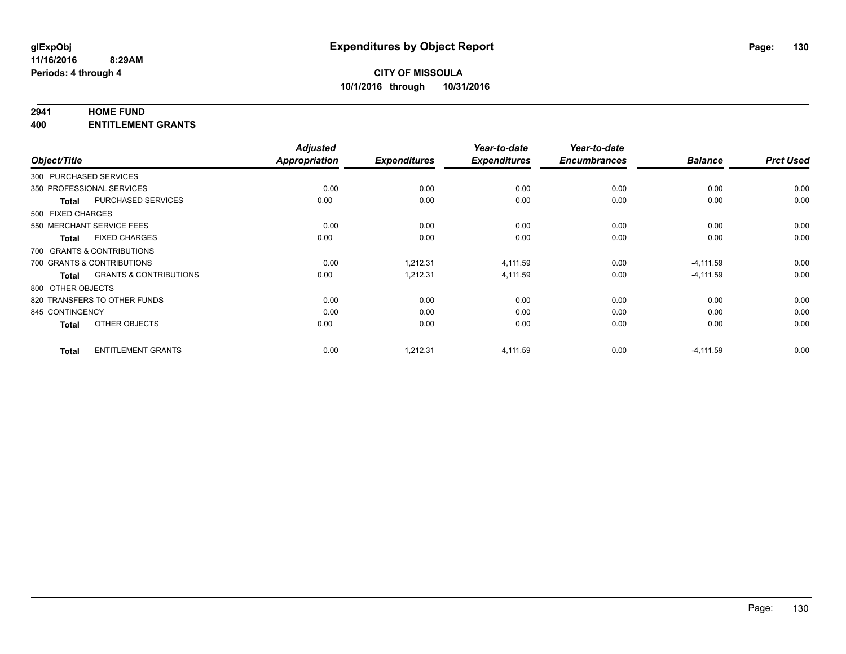#### **2941 HOME FUND**

**400 ENTITLEMENT GRANTS**

| Object/Title               |                                   | <b>Adjusted</b><br><b>Appropriation</b> | <b>Expenditures</b> | Year-to-date<br><b>Expenditures</b> | Year-to-date<br><b>Encumbrances</b> | <b>Balance</b> | <b>Prct Used</b> |
|----------------------------|-----------------------------------|-----------------------------------------|---------------------|-------------------------------------|-------------------------------------|----------------|------------------|
| 300 PURCHASED SERVICES     |                                   |                                         |                     |                                     |                                     |                |                  |
| 350 PROFESSIONAL SERVICES  |                                   | 0.00                                    | 0.00                | 0.00                                | 0.00                                | 0.00           | 0.00             |
| <b>Total</b>               | PURCHASED SERVICES                | 0.00                                    | 0.00                | 0.00                                | 0.00                                | 0.00           | 0.00             |
| 500 FIXED CHARGES          |                                   |                                         |                     |                                     |                                     |                |                  |
| 550 MERCHANT SERVICE FEES  |                                   | 0.00                                    | 0.00                | 0.00                                | 0.00                                | 0.00           | 0.00             |
| Total                      | <b>FIXED CHARGES</b>              | 0.00                                    | 0.00                | 0.00                                | 0.00                                | 0.00           | 0.00             |
| 700 GRANTS & CONTRIBUTIONS |                                   |                                         |                     |                                     |                                     |                |                  |
| 700 GRANTS & CONTRIBUTIONS |                                   | 0.00                                    | 1,212.31            | 4,111.59                            | 0.00                                | $-4,111.59$    | 0.00             |
| Total                      | <b>GRANTS &amp; CONTRIBUTIONS</b> | 0.00                                    | 1,212.31            | 4,111.59                            | 0.00                                | $-4,111.59$    | 0.00             |
| 800 OTHER OBJECTS          |                                   |                                         |                     |                                     |                                     |                |                  |
|                            | 820 TRANSFERS TO OTHER FUNDS      | 0.00                                    | 0.00                | 0.00                                | 0.00                                | 0.00           | 0.00             |
| 845 CONTINGENCY            |                                   | 0.00                                    | 0.00                | 0.00                                | 0.00                                | 0.00           | 0.00             |
| Total                      | OTHER OBJECTS                     | 0.00                                    | 0.00                | 0.00                                | 0.00                                | 0.00           | 0.00             |
| <b>Total</b>               | <b>ENTITLEMENT GRANTS</b>         | 0.00                                    | 1,212.31            | 4,111.59                            | 0.00                                | $-4,111.59$    | 0.00             |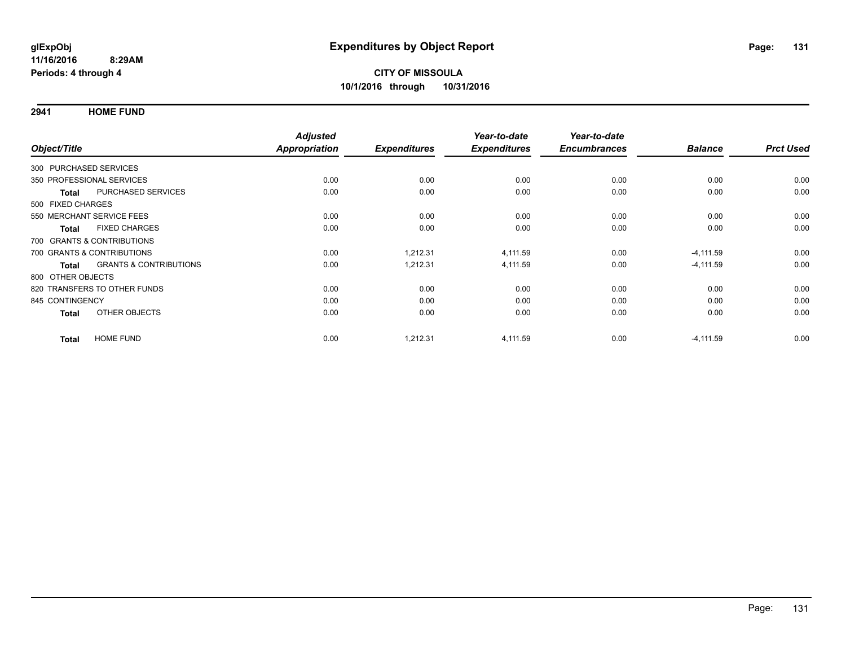**2941 HOME FUND**

|                        |                                   | <b>Adjusted</b> |                     | Year-to-date        | Year-to-date        |                |                  |
|------------------------|-----------------------------------|-----------------|---------------------|---------------------|---------------------|----------------|------------------|
| Object/Title           |                                   | Appropriation   | <b>Expenditures</b> | <b>Expenditures</b> | <b>Encumbrances</b> | <b>Balance</b> | <b>Prct Used</b> |
| 300 PURCHASED SERVICES |                                   |                 |                     |                     |                     |                |                  |
|                        | 350 PROFESSIONAL SERVICES         | 0.00            | 0.00                | 0.00                | 0.00                | 0.00           | 0.00             |
| <b>Total</b>           | PURCHASED SERVICES                | 0.00            | 0.00                | 0.00                | 0.00                | 0.00           | 0.00             |
| 500 FIXED CHARGES      |                                   |                 |                     |                     |                     |                |                  |
|                        | 550 MERCHANT SERVICE FEES         | 0.00            | 0.00                | 0.00                | 0.00                | 0.00           | 0.00             |
| <b>Total</b>           | <b>FIXED CHARGES</b>              | 0.00            | 0.00                | 0.00                | 0.00                | 0.00           | 0.00             |
|                        | 700 GRANTS & CONTRIBUTIONS        |                 |                     |                     |                     |                |                  |
|                        | 700 GRANTS & CONTRIBUTIONS        | 0.00            | 1,212.31            | 4,111.59            | 0.00                | $-4, 111.59$   | 0.00             |
| <b>Total</b>           | <b>GRANTS &amp; CONTRIBUTIONS</b> | 0.00            | 1,212.31            | 4,111.59            | 0.00                | $-4, 111.59$   | 0.00             |
| 800 OTHER OBJECTS      |                                   |                 |                     |                     |                     |                |                  |
|                        | 820 TRANSFERS TO OTHER FUNDS      | 0.00            | 0.00                | 0.00                | 0.00                | 0.00           | 0.00             |
| 845 CONTINGENCY        |                                   | 0.00            | 0.00                | 0.00                | 0.00                | 0.00           | 0.00             |
| <b>Total</b>           | OTHER OBJECTS                     | 0.00            | 0.00                | 0.00                | 0.00                | 0.00           | 0.00             |
| <b>Total</b>           | <b>HOME FUND</b>                  | 0.00            | 1,212.31            | 4,111.59            | 0.00                | $-4, 111.59$   | 0.00             |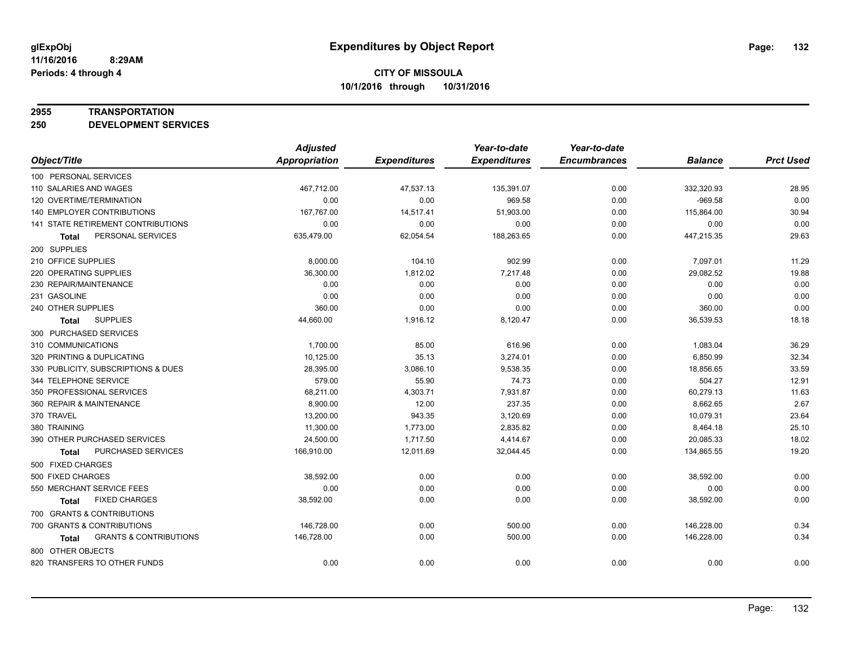#### **2955 TRANSPORTATION**

**250 DEVELOPMENT SERVICES**

|                                            | <b>Adjusted</b>      |                     | Year-to-date        | Year-to-date        |                |                  |
|--------------------------------------------|----------------------|---------------------|---------------------|---------------------|----------------|------------------|
| Object/Title                               | <b>Appropriation</b> | <b>Expenditures</b> | <b>Expenditures</b> | <b>Encumbrances</b> | <b>Balance</b> | <b>Prct Used</b> |
| 100 PERSONAL SERVICES                      |                      |                     |                     |                     |                |                  |
| 110 SALARIES AND WAGES                     | 467,712.00           | 47,537.13           | 135,391.07          | 0.00                | 332,320.93     | 28.95            |
| 120 OVERTIME/TERMINATION                   | 0.00                 | 0.00                | 969.58              | 0.00                | $-969.58$      | 0.00             |
| 140 EMPLOYER CONTRIBUTIONS                 | 167,767.00           | 14,517.41           | 51,903.00           | 0.00                | 115,864.00     | 30.94            |
| 141 STATE RETIREMENT CONTRIBUTIONS         | 0.00                 | 0.00                | 0.00                | 0.00                | 0.00           | 0.00             |
| PERSONAL SERVICES<br>Total                 | 635,479.00           | 62,054.54           | 188,263.65          | 0.00                | 447,215.35     | 29.63            |
| 200 SUPPLIES                               |                      |                     |                     |                     |                |                  |
| 210 OFFICE SUPPLIES                        | 8,000.00             | 104.10              | 902.99              | 0.00                | 7,097.01       | 11.29            |
| 220 OPERATING SUPPLIES                     | 36,300.00            | 1,812.02            | 7,217.48            | 0.00                | 29,082.52      | 19.88            |
| 230 REPAIR/MAINTENANCE                     | 0.00                 | 0.00                | 0.00                | 0.00                | 0.00           | 0.00             |
| 231 GASOLINE                               | 0.00                 | 0.00                | 0.00                | 0.00                | 0.00           | 0.00             |
| 240 OTHER SUPPLIES                         | 360.00               | 0.00                | 0.00                | 0.00                | 360.00         | 0.00             |
| <b>SUPPLIES</b><br>Total                   | 44,660.00            | 1,916.12            | 8,120.47            | 0.00                | 36,539.53      | 18.18            |
| 300 PURCHASED SERVICES                     |                      |                     |                     |                     |                |                  |
| 310 COMMUNICATIONS                         | 1,700.00             | 85.00               | 616.96              | 0.00                | 1,083.04       | 36.29            |
| 320 PRINTING & DUPLICATING                 | 10,125.00            | 35.13               | 3,274.01            | 0.00                | 6,850.99       | 32.34            |
| 330 PUBLICITY, SUBSCRIPTIONS & DUES        | 28,395.00            | 3,086.10            | 9,538.35            | 0.00                | 18,856.65      | 33.59            |
| 344 TELEPHONE SERVICE                      | 579.00               | 55.90               | 74.73               | 0.00                | 504.27         | 12.91            |
| 350 PROFESSIONAL SERVICES                  | 68,211.00            | 4,303.71            | 7,931.87            | 0.00                | 60,279.13      | 11.63            |
| 360 REPAIR & MAINTENANCE                   | 8,900.00             | 12.00               | 237.35              | 0.00                | 8,662.65       | 2.67             |
| 370 TRAVEL                                 | 13,200.00            | 943.35              | 3,120.69            | 0.00                | 10,079.31      | 23.64            |
| 380 TRAINING                               | 11,300.00            | 1,773.00            | 2,835.82            | 0.00                | 8,464.18       | 25.10            |
| 390 OTHER PURCHASED SERVICES               | 24,500.00            | 1,717.50            | 4,414.67            | 0.00                | 20,085.33      | 18.02            |
| PURCHASED SERVICES<br><b>Total</b>         | 166,910.00           | 12,011.69           | 32,044.45           | 0.00                | 134,865.55     | 19.20            |
| 500 FIXED CHARGES                          |                      |                     |                     |                     |                |                  |
| 500 FIXED CHARGES                          | 38,592.00            | 0.00                | 0.00                | 0.00                | 38,592.00      | 0.00             |
| 550 MERCHANT SERVICE FEES                  | 0.00                 | 0.00                | 0.00                | 0.00                | 0.00           | 0.00             |
| <b>FIXED CHARGES</b><br>Total              | 38,592.00            | 0.00                | 0.00                | 0.00                | 38,592.00      | 0.00             |
| 700 GRANTS & CONTRIBUTIONS                 |                      |                     |                     |                     |                |                  |
| 700 GRANTS & CONTRIBUTIONS                 | 146,728.00           | 0.00                | 500.00              | 0.00                | 146,228.00     | 0.34             |
| <b>GRANTS &amp; CONTRIBUTIONS</b><br>Total | 146,728.00           | 0.00                | 500.00              | 0.00                | 146,228.00     | 0.34             |
| 800 OTHER OBJECTS                          |                      |                     |                     |                     |                |                  |
| 820 TRANSFERS TO OTHER FUNDS               | 0.00                 | 0.00                | 0.00                | 0.00                | 0.00           | 0.00             |
|                                            |                      |                     |                     |                     |                |                  |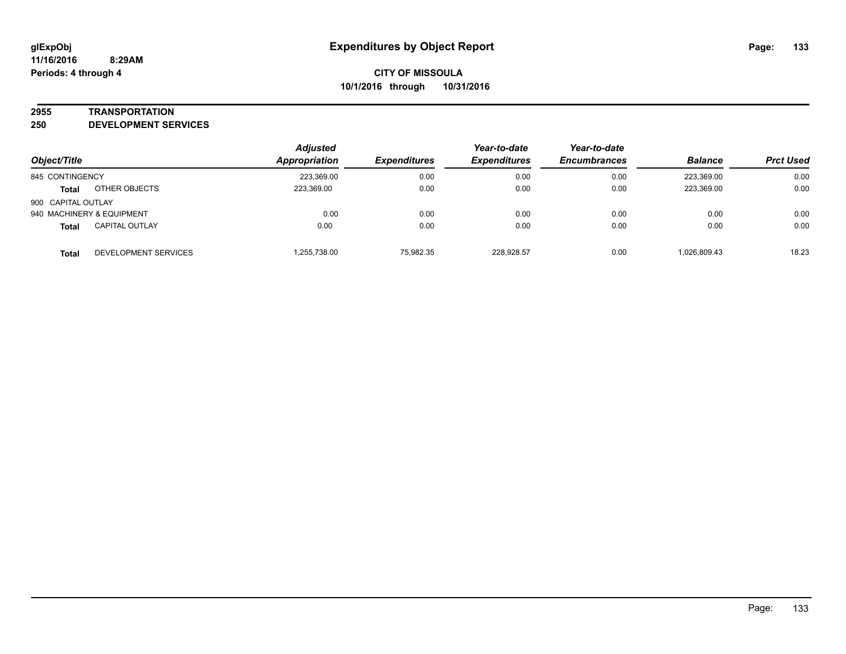#### **2955 TRANSPORTATION**

**250 DEVELOPMENT SERVICES**

| Object/Title       |                           | <b>Adjusted</b><br>Appropriation | <b>Expenditures</b> | Year-to-date<br><b>Expenditures</b> | Year-to-date<br><b>Encumbrances</b> | <b>Balance</b> | <b>Prct Used</b> |
|--------------------|---------------------------|----------------------------------|---------------------|-------------------------------------|-------------------------------------|----------------|------------------|
|                    |                           |                                  |                     |                                     |                                     |                |                  |
| 845 CONTINGENCY    |                           | 223,369.00                       | 0.00                | 0.00                                | 0.00                                | 223.369.00     | 0.00             |
| <b>Total</b>       | OTHER OBJECTS             | 223,369.00                       | 0.00                | 0.00                                | 0.00                                | 223,369.00     | 0.00             |
| 900 CAPITAL OUTLAY |                           |                                  |                     |                                     |                                     |                |                  |
|                    | 940 MACHINERY & EQUIPMENT | 0.00                             | 0.00                | 0.00                                | 0.00                                | 0.00           | 0.00             |
| <b>Total</b>       | <b>CAPITAL OUTLAY</b>     | 0.00                             | 0.00                | 0.00                                | 0.00                                | 0.00           | 0.00             |
| <b>Total</b>       | DEVELOPMENT SERVICES      | 1,255,738.00                     | 75,982.35           | 228.928.57                          | 0.00                                | 1.026.809.43   | 18.23            |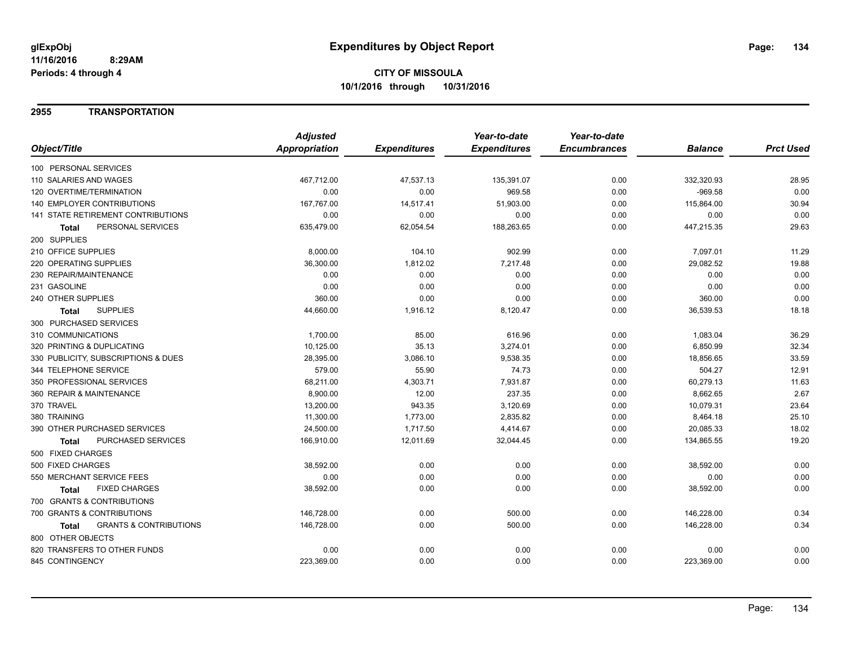#### **2955 TRANSPORTATION**

|                                            | <b>Adjusted</b> |                     | Year-to-date        | Year-to-date        |                |                  |
|--------------------------------------------|-----------------|---------------------|---------------------|---------------------|----------------|------------------|
| Object/Title                               | Appropriation   | <b>Expenditures</b> | <b>Expenditures</b> | <b>Encumbrances</b> | <b>Balance</b> | <b>Prct Used</b> |
| 100 PERSONAL SERVICES                      |                 |                     |                     |                     |                |                  |
| 110 SALARIES AND WAGES                     | 467,712.00      | 47,537.13           | 135,391.07          | 0.00                | 332,320.93     | 28.95            |
| 120 OVERTIME/TERMINATION                   | 0.00            | 0.00                | 969.58              | 0.00                | $-969.58$      | 0.00             |
| <b>140 EMPLOYER CONTRIBUTIONS</b>          | 167,767.00      | 14,517.41           | 51,903.00           | 0.00                | 115,864.00     | 30.94            |
| <b>141 STATE RETIREMENT CONTRIBUTIONS</b>  | 0.00            | 0.00                | 0.00                | 0.00                | 0.00           | 0.00             |
| PERSONAL SERVICES<br>Total                 | 635,479.00      | 62,054.54           | 188,263.65          | 0.00                | 447,215.35     | 29.63            |
| 200 SUPPLIES                               |                 |                     |                     |                     |                |                  |
| 210 OFFICE SUPPLIES                        | 8,000.00        | 104.10              | 902.99              | 0.00                | 7,097.01       | 11.29            |
| 220 OPERATING SUPPLIES                     | 36.300.00       | 1,812.02            | 7,217.48            | 0.00                | 29,082.52      | 19.88            |
| 230 REPAIR/MAINTENANCE                     | 0.00            | 0.00                | 0.00                | 0.00                | 0.00           | 0.00             |
| 231 GASOLINE                               | 0.00            | 0.00                | 0.00                | 0.00                | 0.00           | 0.00             |
| 240 OTHER SUPPLIES                         | 360.00          | 0.00                | 0.00                | 0.00                | 360.00         | 0.00             |
| <b>SUPPLIES</b><br><b>Total</b>            | 44,660.00       | 1,916.12            | 8,120.47            | 0.00                | 36,539.53      | 18.18            |
| 300 PURCHASED SERVICES                     |                 |                     |                     |                     |                |                  |
| 310 COMMUNICATIONS                         | 1,700.00        | 85.00               | 616.96              | 0.00                | 1,083.04       | 36.29            |
| 320 PRINTING & DUPLICATING                 | 10,125.00       | 35.13               | 3,274.01            | 0.00                | 6,850.99       | 32.34            |
| 330 PUBLICITY, SUBSCRIPTIONS & DUES        | 28,395.00       | 3,086.10            | 9,538.35            | 0.00                | 18,856.65      | 33.59            |
| 344 TELEPHONE SERVICE                      | 579.00          | 55.90               | 74.73               | 0.00                | 504.27         | 12.91            |
| 350 PROFESSIONAL SERVICES                  | 68,211.00       | 4,303.71            | 7,931.87            | 0.00                | 60,279.13      | 11.63            |
| 360 REPAIR & MAINTENANCE                   | 8,900.00        | 12.00               | 237.35              | 0.00                | 8,662.65       | 2.67             |
| 370 TRAVEL                                 | 13,200.00       | 943.35              | 3,120.69            | 0.00                | 10,079.31      | 23.64            |
| 380 TRAINING                               | 11,300.00       | 1,773.00            | 2,835.82            | 0.00                | 8,464.18       | 25.10            |
| 390 OTHER PURCHASED SERVICES               | 24,500.00       | 1,717.50            | 4,414.67            | 0.00                | 20,085.33      | 18.02            |
| PURCHASED SERVICES<br>Total                | 166,910.00      | 12,011.69           | 32,044.45           | 0.00                | 134,865.55     | 19.20            |
| 500 FIXED CHARGES                          |                 |                     |                     |                     |                |                  |
| 500 FIXED CHARGES                          | 38,592.00       | 0.00                | 0.00                | 0.00                | 38,592.00      | 0.00             |
| 550 MERCHANT SERVICE FEES                  | 0.00            | 0.00                | 0.00                | 0.00                | 0.00           | 0.00             |
| <b>FIXED CHARGES</b><br>Total              | 38,592.00       | 0.00                | 0.00                | 0.00                | 38,592.00      | 0.00             |
| 700 GRANTS & CONTRIBUTIONS                 |                 |                     |                     |                     |                |                  |
| 700 GRANTS & CONTRIBUTIONS                 | 146,728.00      | 0.00                | 500.00              | 0.00                | 146,228.00     | 0.34             |
| <b>GRANTS &amp; CONTRIBUTIONS</b><br>Total | 146,728.00      | 0.00                | 500.00              | 0.00                | 146,228.00     | 0.34             |
| 800 OTHER OBJECTS                          |                 |                     |                     |                     |                |                  |
| 820 TRANSFERS TO OTHER FUNDS               | 0.00            | 0.00                | 0.00                | 0.00                | 0.00           | 0.00             |
| 845 CONTINGENCY                            | 223,369.00      | 0.00                | 0.00                | 0.00                | 223,369.00     | 0.00             |
|                                            |                 |                     |                     |                     |                |                  |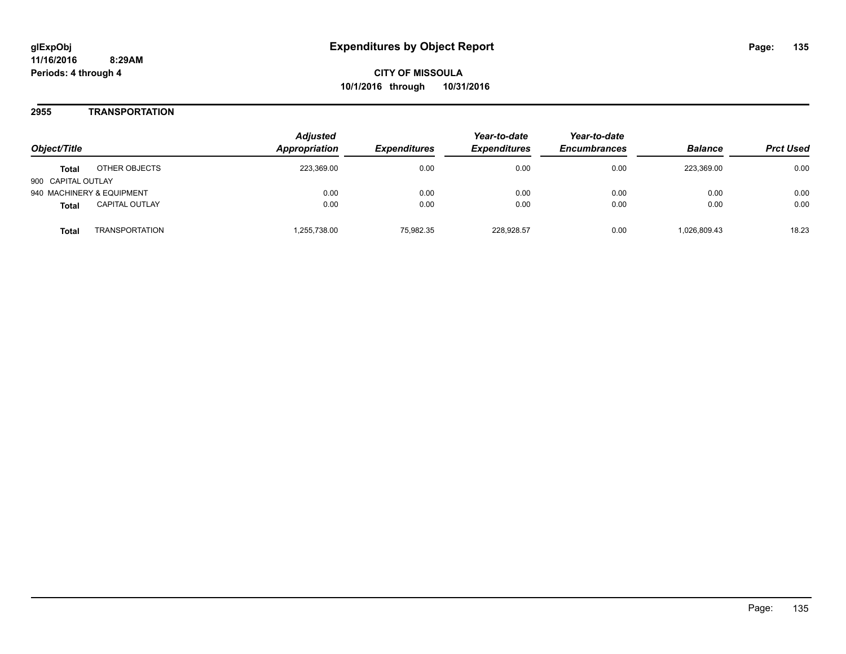#### **2955 TRANSPORTATION**

| Object/Title                       |                       | <b>Adjusted</b><br><b>Appropriation</b> | <i><b>Expenditures</b></i> | Year-to-date<br><b>Expenditures</b> | Year-to-date<br><b>Encumbrances</b> | <b>Balance</b> | <b>Prct Used</b> |
|------------------------------------|-----------------------|-----------------------------------------|----------------------------|-------------------------------------|-------------------------------------|----------------|------------------|
| <b>Total</b><br>900 CAPITAL OUTLAY | OTHER OBJECTS         | 223,369.00                              | 0.00                       | 0.00                                | 0.00                                | 223.369.00     | 0.00             |
| 940 MACHINERY & EQUIPMENT          |                       | 0.00                                    | 0.00                       | 0.00                                | 0.00                                | 0.00           | 0.00             |
| <b>Total</b>                       | <b>CAPITAL OUTLAY</b> | 0.00                                    | 0.00                       | 0.00                                | 0.00                                | 0.00           | 0.00             |
| Total                              | <b>TRANSPORTATION</b> | .255.738.00                             | 75.982.35                  | 228.928.57                          | 0.00                                | 1,026,809.43   | 18.23            |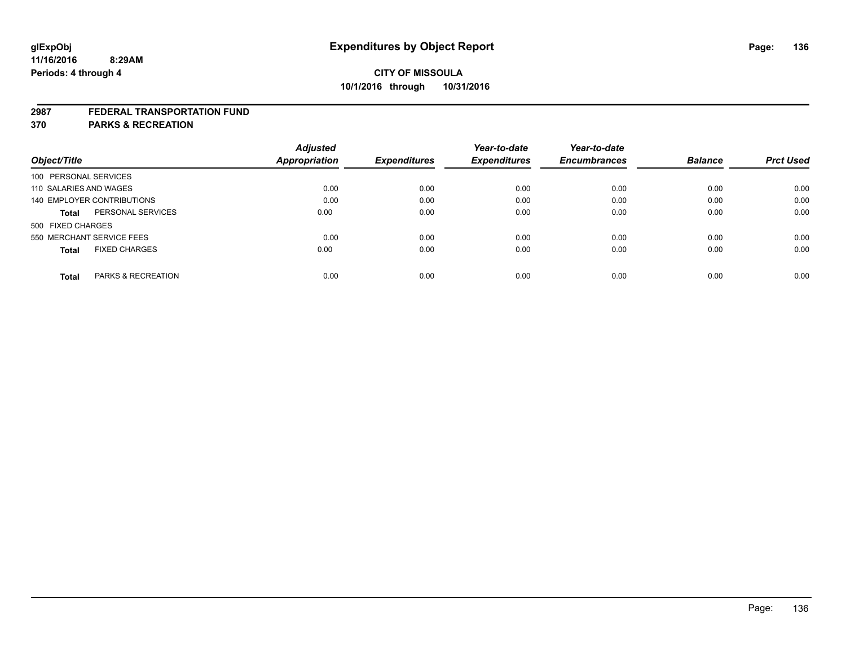#### **2987 FEDERAL TRANSPORTATION FUND**

**370 PARKS & RECREATION**

|                                        | <b>Adjusted</b>      |                     | Year-to-date        | Year-to-date        |                |                  |
|----------------------------------------|----------------------|---------------------|---------------------|---------------------|----------------|------------------|
| Object/Title                           | <b>Appropriation</b> | <b>Expenditures</b> | <b>Expenditures</b> | <b>Encumbrances</b> | <b>Balance</b> | <b>Prct Used</b> |
| 100 PERSONAL SERVICES                  |                      |                     |                     |                     |                |                  |
| 110 SALARIES AND WAGES                 | 0.00                 | 0.00                | 0.00                | 0.00                | 0.00           | 0.00             |
| <b>140 EMPLOYER CONTRIBUTIONS</b>      | 0.00                 | 0.00                | 0.00                | 0.00                | 0.00           | 0.00             |
| PERSONAL SERVICES<br><b>Total</b>      | 0.00                 | 0.00                | 0.00                | 0.00                | 0.00           | 0.00             |
| 500 FIXED CHARGES                      |                      |                     |                     |                     |                |                  |
| 550 MERCHANT SERVICE FEES              | 0.00                 | 0.00                | 0.00                | 0.00                | 0.00           | 0.00             |
| <b>FIXED CHARGES</b><br><b>Total</b>   | 0.00                 | 0.00                | 0.00                | 0.00                | 0.00           | 0.00             |
| <b>PARKS &amp; RECREATION</b><br>Total | 0.00                 | 0.00                | 0.00                | 0.00                | 0.00           | 0.00             |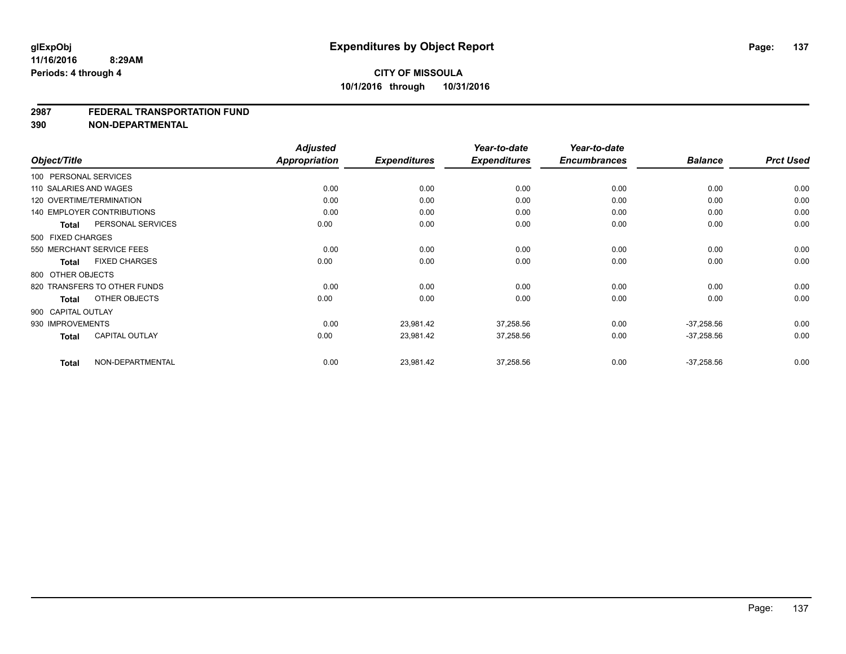#### **2987 FEDERAL TRANSPORTATION FUND**

**390 NON-DEPARTMENTAL**

| Object/Title           |                                   | <b>Adjusted</b><br><b>Appropriation</b> |                     | Year-to-date        | Year-to-date<br><b>Encumbrances</b> | <b>Balance</b> | <b>Prct Used</b> |
|------------------------|-----------------------------------|-----------------------------------------|---------------------|---------------------|-------------------------------------|----------------|------------------|
|                        |                                   |                                         | <b>Expenditures</b> | <b>Expenditures</b> |                                     |                |                  |
| 100 PERSONAL SERVICES  |                                   |                                         |                     |                     |                                     |                |                  |
| 110 SALARIES AND WAGES |                                   | 0.00                                    | 0.00                | 0.00                | 0.00                                | 0.00           | 0.00             |
|                        | 120 OVERTIME/TERMINATION          | 0.00                                    | 0.00                | 0.00                | 0.00                                | 0.00           | 0.00             |
|                        | <b>140 EMPLOYER CONTRIBUTIONS</b> | 0.00                                    | 0.00                | 0.00                | 0.00                                | 0.00           | 0.00             |
| <b>Total</b>           | PERSONAL SERVICES                 | 0.00                                    | 0.00                | 0.00                | 0.00                                | 0.00           | 0.00             |
| 500 FIXED CHARGES      |                                   |                                         |                     |                     |                                     |                |                  |
|                        | 550 MERCHANT SERVICE FEES         | 0.00                                    | 0.00                | 0.00                | 0.00                                | 0.00           | 0.00             |
| Total                  | <b>FIXED CHARGES</b>              | 0.00                                    | 0.00                | 0.00                | 0.00                                | 0.00           | 0.00             |
| 800 OTHER OBJECTS      |                                   |                                         |                     |                     |                                     |                |                  |
|                        | 820 TRANSFERS TO OTHER FUNDS      | 0.00                                    | 0.00                | 0.00                | 0.00                                | 0.00           | 0.00             |
| Total                  | OTHER OBJECTS                     | 0.00                                    | 0.00                | 0.00                | 0.00                                | 0.00           | 0.00             |
| 900 CAPITAL OUTLAY     |                                   |                                         |                     |                     |                                     |                |                  |
| 930 IMPROVEMENTS       |                                   | 0.00                                    | 23,981.42           | 37,258.56           | 0.00                                | $-37,258.56$   | 0.00             |
| <b>Total</b>           | CAPITAL OUTLAY                    | 0.00                                    | 23,981.42           | 37,258.56           | 0.00                                | $-37,258.56$   | 0.00             |
| <b>Total</b>           | NON-DEPARTMENTAL                  | 0.00                                    | 23,981.42           | 37,258.56           | 0.00                                | $-37,258.56$   | 0.00             |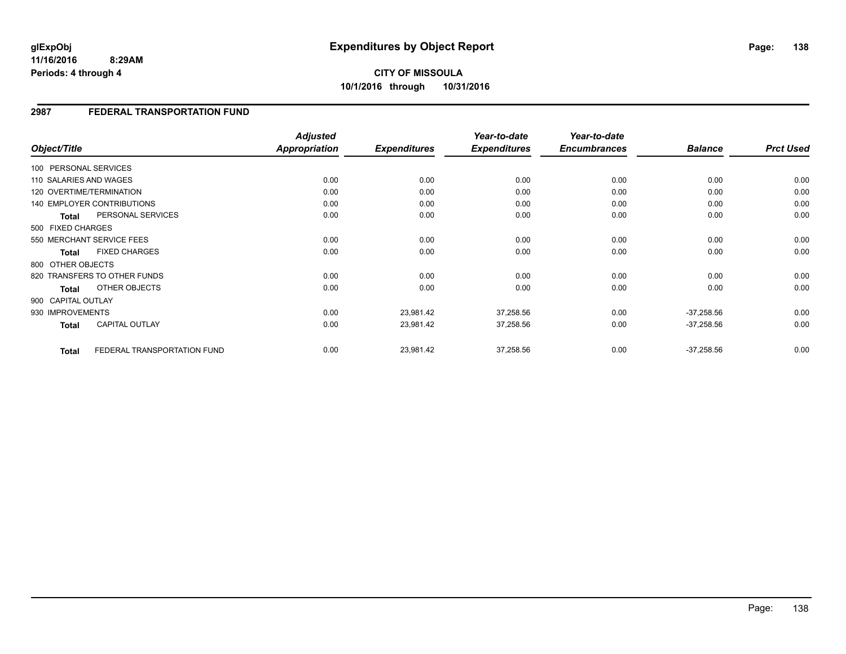# **CITY OF MISSOULA 10/1/2016 through 10/31/2016**

#### **2987 FEDERAL TRANSPORTATION FUND**

|                        |                                   | <b>Adjusted</b> |                     | Year-to-date        | Year-to-date        |                |                  |
|------------------------|-----------------------------------|-----------------|---------------------|---------------------|---------------------|----------------|------------------|
| Object/Title           |                                   | Appropriation   | <b>Expenditures</b> | <b>Expenditures</b> | <b>Encumbrances</b> | <b>Balance</b> | <b>Prct Used</b> |
| 100 PERSONAL SERVICES  |                                   |                 |                     |                     |                     |                |                  |
| 110 SALARIES AND WAGES |                                   | 0.00            | 0.00                | 0.00                | 0.00                | 0.00           | 0.00             |
|                        | 120 OVERTIME/TERMINATION          | 0.00            | 0.00                | 0.00                | 0.00                | 0.00           | 0.00             |
|                        | <b>140 EMPLOYER CONTRIBUTIONS</b> | 0.00            | 0.00                | 0.00                | 0.00                | 0.00           | 0.00             |
| <b>Total</b>           | PERSONAL SERVICES                 | 0.00            | 0.00                | 0.00                | 0.00                | 0.00           | 0.00             |
| 500 FIXED CHARGES      |                                   |                 |                     |                     |                     |                |                  |
|                        | 550 MERCHANT SERVICE FEES         | 0.00            | 0.00                | 0.00                | 0.00                | 0.00           | 0.00             |
| <b>Total</b>           | <b>FIXED CHARGES</b>              | 0.00            | 0.00                | 0.00                | 0.00                | 0.00           | 0.00             |
| 800 OTHER OBJECTS      |                                   |                 |                     |                     |                     |                |                  |
|                        | 820 TRANSFERS TO OTHER FUNDS      | 0.00            | 0.00                | 0.00                | 0.00                | 0.00           | 0.00             |
| <b>Total</b>           | OTHER OBJECTS                     | 0.00            | 0.00                | 0.00                | 0.00                | 0.00           | 0.00             |
| 900 CAPITAL OUTLAY     |                                   |                 |                     |                     |                     |                |                  |
| 930 IMPROVEMENTS       |                                   | 0.00            | 23,981.42           | 37,258.56           | 0.00                | $-37,258.56$   | 0.00             |
| <b>Total</b>           | <b>CAPITAL OUTLAY</b>             | 0.00            | 23,981.42           | 37,258.56           | 0.00                | $-37,258.56$   | 0.00             |
|                        |                                   |                 |                     |                     |                     |                |                  |
| <b>Total</b>           | FEDERAL TRANSPORTATION FUND       | 0.00            | 23,981.42           | 37,258.56           | 0.00                | $-37,258.56$   | 0.00             |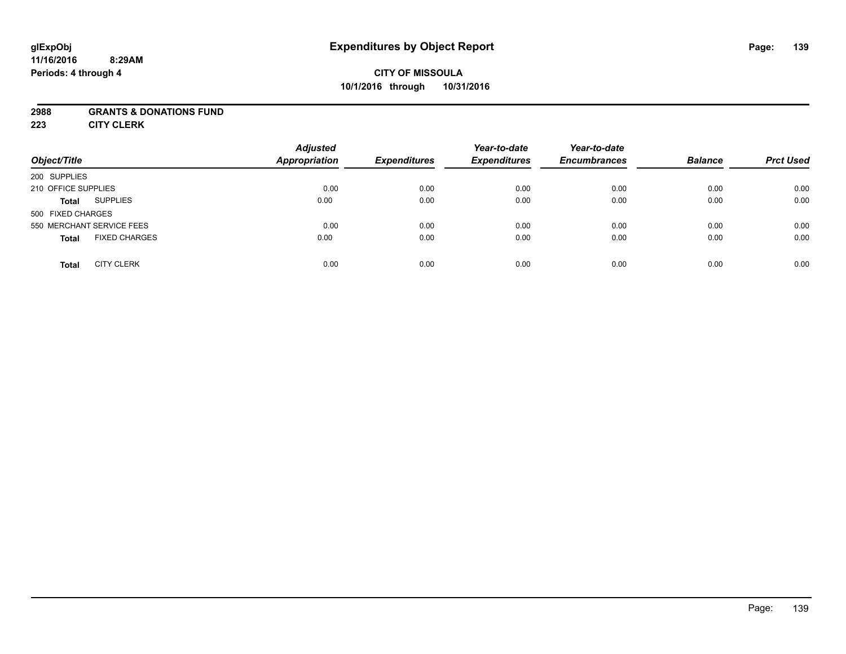# **CITY OF MISSOULA 10/1/2016 through 10/31/2016**

#### **2988 GRANTS & DONATIONS FUND**

**223 CITY CLERK**

| Object/Title                         | <b>Adjusted</b><br><b>Appropriation</b> | <b>Expenditures</b> | Year-to-date<br><b>Expenditures</b> | Year-to-date<br><b>Encumbrances</b> | <b>Balance</b> | <b>Prct Used</b> |
|--------------------------------------|-----------------------------------------|---------------------|-------------------------------------|-------------------------------------|----------------|------------------|
| 200 SUPPLIES                         |                                         |                     |                                     |                                     |                |                  |
| 210 OFFICE SUPPLIES                  | 0.00                                    | 0.00                | 0.00                                | 0.00                                | 0.00           | 0.00             |
| <b>SUPPLIES</b><br><b>Total</b>      | 0.00                                    | 0.00                | 0.00                                | 0.00                                | 0.00           | 0.00             |
| 500 FIXED CHARGES                    |                                         |                     |                                     |                                     |                |                  |
| 550 MERCHANT SERVICE FEES            | 0.00                                    | 0.00                | 0.00                                | 0.00                                | 0.00           | 0.00             |
| <b>FIXED CHARGES</b><br><b>Total</b> | 0.00                                    | 0.00                | 0.00                                | 0.00                                | 0.00           | 0.00             |
| <b>CITY CLERK</b><br><b>Total</b>    | 0.00                                    | 0.00                | 0.00                                | 0.00                                | 0.00           | 0.00             |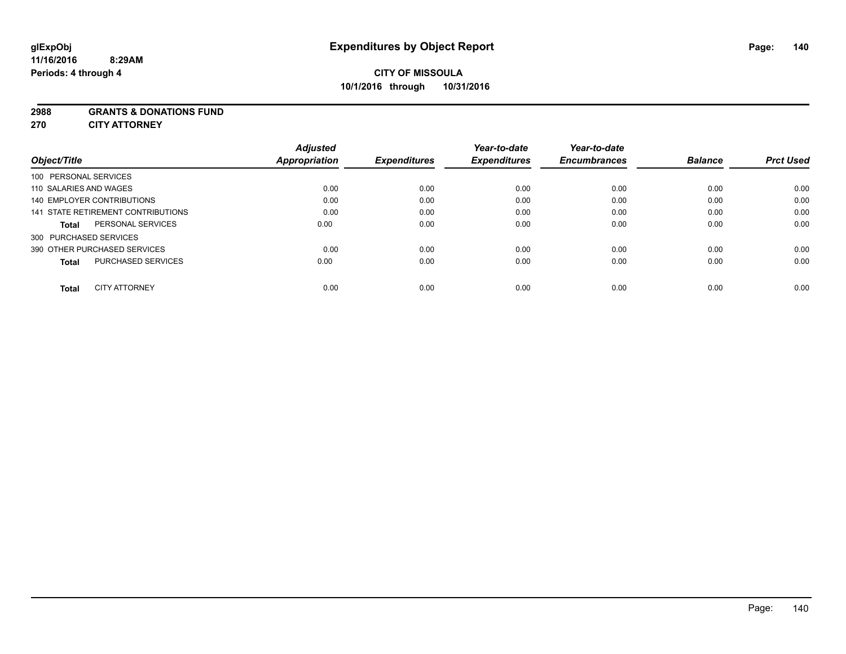#### **2988 GRANTS & DONATIONS FUND**

**270 CITY ATTORNEY**

| Object/Title                       | <b>Adjusted</b><br>Appropriation | <b>Expenditures</b> | Year-to-date<br><b>Expenditures</b> | Year-to-date<br><b>Encumbrances</b> | <b>Balance</b> | <b>Prct Used</b> |
|------------------------------------|----------------------------------|---------------------|-------------------------------------|-------------------------------------|----------------|------------------|
| 100 PERSONAL SERVICES              |                                  |                     |                                     |                                     |                |                  |
| 110 SALARIES AND WAGES             | 0.00                             | 0.00                | 0.00                                | 0.00                                | 0.00           | 0.00             |
| <b>140 EMPLOYER CONTRIBUTIONS</b>  | 0.00                             | 0.00                | 0.00                                | 0.00                                | 0.00           | 0.00             |
| 141 STATE RETIREMENT CONTRIBUTIONS | 0.00                             | 0.00                | 0.00                                | 0.00                                | 0.00           | 0.00             |
| PERSONAL SERVICES<br><b>Total</b>  | 0.00                             | 0.00                | 0.00                                | 0.00                                | 0.00           | 0.00             |
| 300 PURCHASED SERVICES             |                                  |                     |                                     |                                     |                |                  |
| 390 OTHER PURCHASED SERVICES       | 0.00                             | 0.00                | 0.00                                | 0.00                                | 0.00           | 0.00             |
| PURCHASED SERVICES<br><b>Total</b> | 0.00                             | 0.00                | 0.00                                | 0.00                                | 0.00           | 0.00             |
| <b>CITY ATTORNEY</b><br>Total      | 0.00                             | 0.00                | 0.00                                | 0.00                                | 0.00           | 0.00             |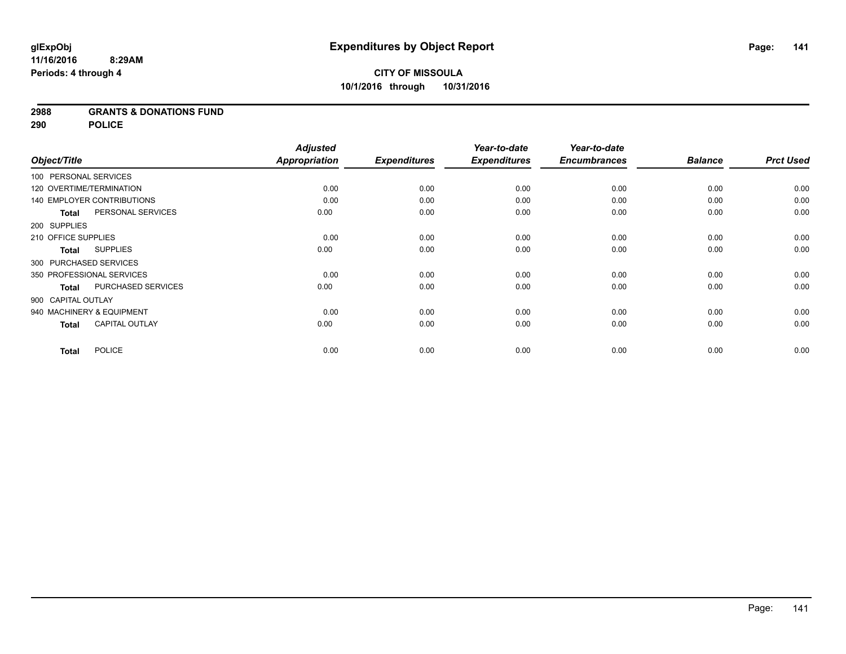**2988 GRANTS & DONATIONS FUND**

**290 POLICE**

|                          |                            | <b>Adjusted</b>      |                     | Year-to-date        | Year-to-date        |                |                  |
|--------------------------|----------------------------|----------------------|---------------------|---------------------|---------------------|----------------|------------------|
| Object/Title             |                            | <b>Appropriation</b> | <b>Expenditures</b> | <b>Expenditures</b> | <b>Encumbrances</b> | <b>Balance</b> | <b>Prct Used</b> |
| 100 PERSONAL SERVICES    |                            |                      |                     |                     |                     |                |                  |
| 120 OVERTIME/TERMINATION |                            | 0.00                 | 0.00                | 0.00                | 0.00                | 0.00           | 0.00             |
|                          | 140 EMPLOYER CONTRIBUTIONS | 0.00                 | 0.00                | 0.00                | 0.00                | 0.00           | 0.00             |
| <b>Total</b>             | PERSONAL SERVICES          | 0.00                 | 0.00                | 0.00                | 0.00                | 0.00           | 0.00             |
| 200 SUPPLIES             |                            |                      |                     |                     |                     |                |                  |
| 210 OFFICE SUPPLIES      |                            | 0.00                 | 0.00                | 0.00                | 0.00                | 0.00           | 0.00             |
| Total                    | <b>SUPPLIES</b>            | 0.00                 | 0.00                | 0.00                | 0.00                | 0.00           | 0.00             |
| 300 PURCHASED SERVICES   |                            |                      |                     |                     |                     |                |                  |
|                          | 350 PROFESSIONAL SERVICES  | 0.00                 | 0.00                | 0.00                | 0.00                | 0.00           | 0.00             |
| <b>Total</b>             | PURCHASED SERVICES         | 0.00                 | 0.00                | 0.00                | 0.00                | 0.00           | 0.00             |
| 900 CAPITAL OUTLAY       |                            |                      |                     |                     |                     |                |                  |
|                          | 940 MACHINERY & EQUIPMENT  | 0.00                 | 0.00                | 0.00                | 0.00                | 0.00           | 0.00             |
| <b>Total</b>             | <b>CAPITAL OUTLAY</b>      | 0.00                 | 0.00                | 0.00                | 0.00                | 0.00           | 0.00             |
| <b>Total</b>             | <b>POLICE</b>              | 0.00                 | 0.00                | 0.00                | 0.00                | 0.00           | 0.00             |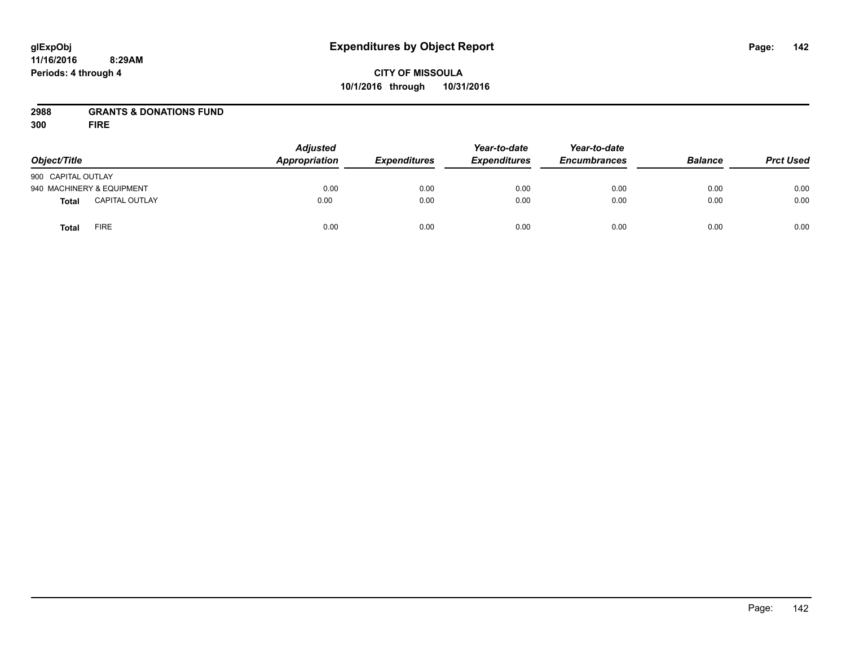# **CITY OF MISSOULA 10/1/2016 through 10/31/2016**

#### **2988 GRANTS & DONATIONS FUND**

**300 FIRE**

| Object/Title              |                       | <b>Adjusted</b><br>Appropriation | <b>Expenditures</b> | Year-to-date<br><b>Expenditures</b> | Year-to-date<br><b>Encumbrances</b> | <b>Balance</b> | <b>Prct Used</b> |
|---------------------------|-----------------------|----------------------------------|---------------------|-------------------------------------|-------------------------------------|----------------|------------------|
| 900 CAPITAL OUTLAY        |                       |                                  |                     |                                     |                                     |                |                  |
| 940 MACHINERY & EQUIPMENT |                       | 0.00                             | 0.00                | 0.00                                | 0.00                                | 0.00           | 0.00             |
| <b>Total</b>              | <b>CAPITAL OUTLAY</b> | 0.00                             | 0.00                | 0.00                                | 0.00                                | 0.00           | 0.00             |
| <b>Total</b>              | FIRE                  | 0.00                             | 0.00                | 0.00                                | 0.00                                | 0.00           | 0.00             |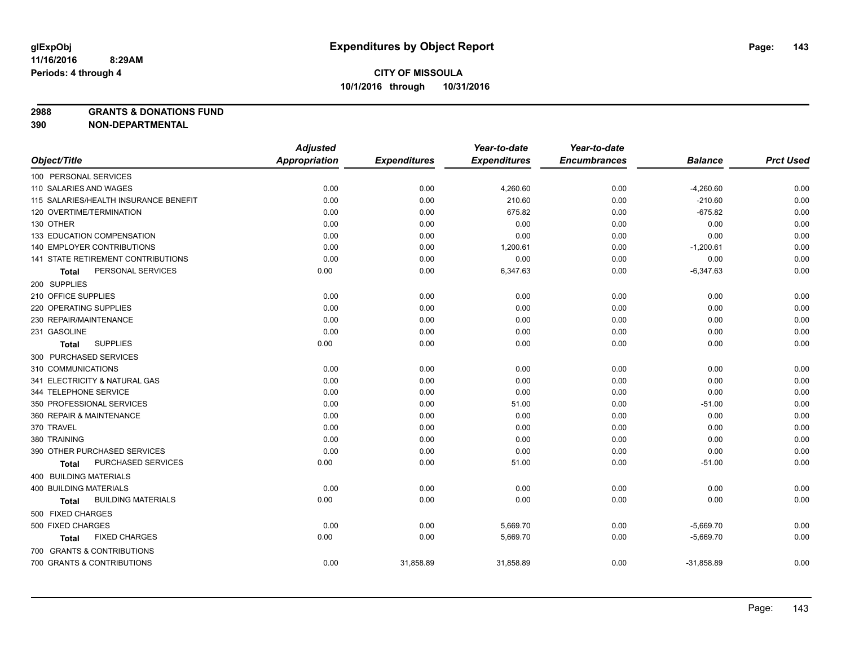**2988 GRANTS & DONATIONS FUND**

**390 NON-DEPARTMENTAL**

|                                           | <b>Adjusted</b>      |                     | Year-to-date        | Year-to-date        |                |                  |
|-------------------------------------------|----------------------|---------------------|---------------------|---------------------|----------------|------------------|
| Object/Title                              | <b>Appropriation</b> | <b>Expenditures</b> | <b>Expenditures</b> | <b>Encumbrances</b> | <b>Balance</b> | <b>Prct Used</b> |
| 100 PERSONAL SERVICES                     |                      |                     |                     |                     |                |                  |
| 110 SALARIES AND WAGES                    | 0.00                 | 0.00                | 4,260.60            | 0.00                | $-4,260.60$    | 0.00             |
| 115 SALARIES/HEALTH INSURANCE BENEFIT     | 0.00                 | 0.00                | 210.60              | 0.00                | $-210.60$      | 0.00             |
| 120 OVERTIME/TERMINATION                  | 0.00                 | 0.00                | 675.82              | 0.00                | $-675.82$      | 0.00             |
| 130 OTHER                                 | 0.00                 | 0.00                | 0.00                | 0.00                | 0.00           | 0.00             |
| 133 EDUCATION COMPENSATION                | 0.00                 | 0.00                | 0.00                | 0.00                | 0.00           | 0.00             |
| 140 EMPLOYER CONTRIBUTIONS                | 0.00                 | 0.00                | 1,200.61            | 0.00                | $-1,200.61$    | 0.00             |
| 141 STATE RETIREMENT CONTRIBUTIONS        | 0.00                 | 0.00                | 0.00                | 0.00                | 0.00           | 0.00             |
| PERSONAL SERVICES<br>Total                | 0.00                 | 0.00                | 6,347.63            | 0.00                | $-6,347.63$    | 0.00             |
| 200 SUPPLIES                              |                      |                     |                     |                     |                |                  |
| 210 OFFICE SUPPLIES                       | 0.00                 | 0.00                | 0.00                | 0.00                | 0.00           | 0.00             |
| 220 OPERATING SUPPLIES                    | 0.00                 | 0.00                | 0.00                | 0.00                | 0.00           | 0.00             |
| 230 REPAIR/MAINTENANCE                    | 0.00                 | 0.00                | 0.00                | 0.00                | 0.00           | 0.00             |
| 231 GASOLINE                              | 0.00                 | 0.00                | 0.00                | 0.00                | 0.00           | 0.00             |
| <b>SUPPLIES</b><br><b>Total</b>           | 0.00                 | 0.00                | 0.00                | 0.00                | 0.00           | 0.00             |
| 300 PURCHASED SERVICES                    |                      |                     |                     |                     |                |                  |
| 310 COMMUNICATIONS                        | 0.00                 | 0.00                | 0.00                | 0.00                | 0.00           | 0.00             |
| 341 ELECTRICITY & NATURAL GAS             | 0.00                 | 0.00                | 0.00                | 0.00                | 0.00           | 0.00             |
| 344 TELEPHONE SERVICE                     | 0.00                 | 0.00                | 0.00                | 0.00                | 0.00           | 0.00             |
| 350 PROFESSIONAL SERVICES                 | 0.00                 | 0.00                | 51.00               | 0.00                | $-51.00$       | 0.00             |
| 360 REPAIR & MAINTENANCE                  | 0.00                 | 0.00                | 0.00                | 0.00                | 0.00           | 0.00             |
| 370 TRAVEL                                | 0.00                 | 0.00                | 0.00                | 0.00                | 0.00           | 0.00             |
| 380 TRAINING                              | 0.00                 | 0.00                | 0.00                | 0.00                | 0.00           | 0.00             |
| 390 OTHER PURCHASED SERVICES              | 0.00                 | 0.00                | 0.00                | 0.00                | 0.00           | 0.00             |
| PURCHASED SERVICES<br>Total               | 0.00                 | 0.00                | 51.00               | 0.00                | $-51.00$       | 0.00             |
| 400 BUILDING MATERIALS                    |                      |                     |                     |                     |                |                  |
| <b>400 BUILDING MATERIALS</b>             | 0.00                 | 0.00                | 0.00                | 0.00                | 0.00           | 0.00             |
| <b>BUILDING MATERIALS</b><br><b>Total</b> | 0.00                 | 0.00                | 0.00                | 0.00                | 0.00           | 0.00             |
| 500 FIXED CHARGES                         |                      |                     |                     |                     |                |                  |
| 500 FIXED CHARGES                         | 0.00                 | 0.00                | 5,669.70            | 0.00                | $-5,669.70$    | 0.00             |
| <b>FIXED CHARGES</b><br>Total             | 0.00                 | 0.00                | 5,669.70            | 0.00                | $-5,669.70$    | 0.00             |
| 700 GRANTS & CONTRIBUTIONS                |                      |                     |                     |                     |                |                  |
| 700 GRANTS & CONTRIBUTIONS                | 0.00                 | 31,858.89           | 31,858.89           | 0.00                | $-31,858.89$   | 0.00             |
|                                           |                      |                     |                     |                     |                |                  |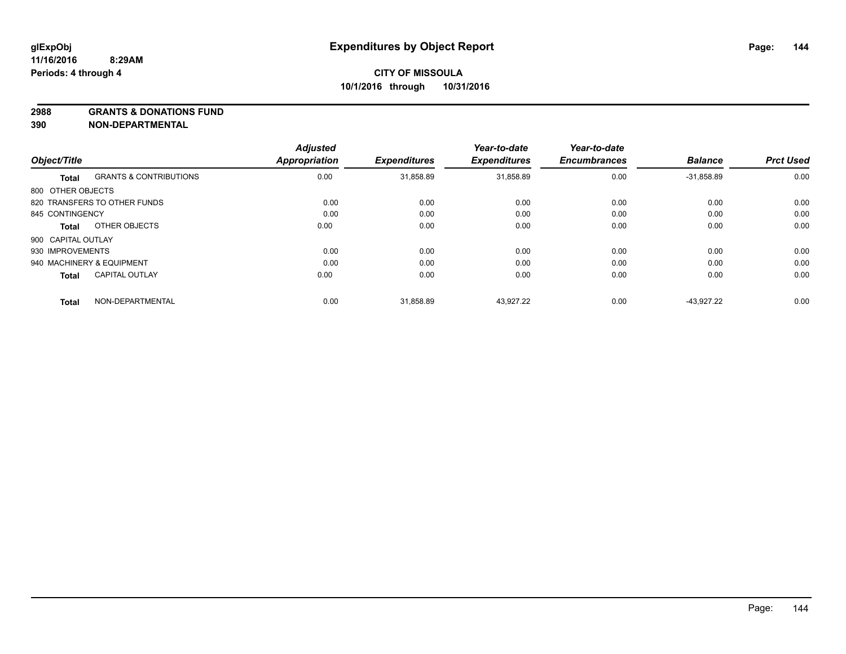**2988 GRANTS & DONATIONS FUND**

**390 NON-DEPARTMENTAL**

| Object/Title       |                                   | <b>Adjusted</b><br><b>Appropriation</b> | <b>Expenditures</b> | Year-to-date<br><b>Expenditures</b> | Year-to-date<br><b>Encumbrances</b> | <b>Balance</b> | <b>Prct Used</b> |
|--------------------|-----------------------------------|-----------------------------------------|---------------------|-------------------------------------|-------------------------------------|----------------|------------------|
|                    |                                   |                                         |                     |                                     |                                     |                |                  |
| <b>Total</b>       | <b>GRANTS &amp; CONTRIBUTIONS</b> | 0.00                                    | 31,858.89           | 31,858.89                           | 0.00                                | $-31.858.89$   | 0.00             |
| 800 OTHER OBJECTS  |                                   |                                         |                     |                                     |                                     |                |                  |
|                    | 820 TRANSFERS TO OTHER FUNDS      | 0.00                                    | 0.00                | 0.00                                | 0.00                                | 0.00           | 0.00             |
| 845 CONTINGENCY    |                                   | 0.00                                    | 0.00                | 0.00                                | 0.00                                | 0.00           | 0.00             |
| <b>Total</b>       | OTHER OBJECTS                     | 0.00                                    | 0.00                | 0.00                                | 0.00                                | 0.00           | 0.00             |
| 900 CAPITAL OUTLAY |                                   |                                         |                     |                                     |                                     |                |                  |
| 930 IMPROVEMENTS   |                                   | 0.00                                    | 0.00                | 0.00                                | 0.00                                | 0.00           | 0.00             |
|                    | 940 MACHINERY & EQUIPMENT         | 0.00                                    | 0.00                | 0.00                                | 0.00                                | 0.00           | 0.00             |
| <b>Total</b>       | <b>CAPITAL OUTLAY</b>             | 0.00                                    | 0.00                | 0.00                                | 0.00                                | 0.00           | 0.00             |
| <b>Total</b>       | NON-DEPARTMENTAL                  | 0.00                                    | 31,858.89           | 43.927.22                           | 0.00                                | $-43.927.22$   | 0.00             |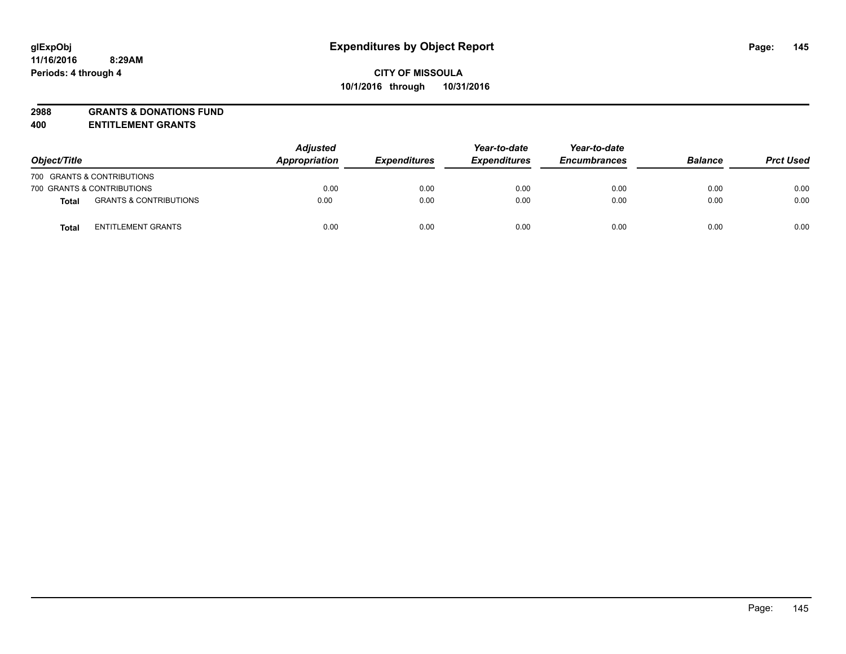# **2988 GRANTS & DONATIONS FUND**

**400 ENTITLEMENT GRANTS**

| Object/Title |                                   | <b>Adjusted</b><br>Appropriation | <b>Expenditures</b> | Year-to-date<br><b>Expenditures</b> | Year-to-date<br><b>Encumbrances</b> | <b>Balance</b> | <b>Prct Used</b> |
|--------------|-----------------------------------|----------------------------------|---------------------|-------------------------------------|-------------------------------------|----------------|------------------|
|              | 700 GRANTS & CONTRIBUTIONS        |                                  |                     |                                     |                                     |                |                  |
|              | 700 GRANTS & CONTRIBUTIONS        | 0.00                             | 0.00                | 0.00                                | 0.00                                | 0.00           | 0.00             |
| <b>Total</b> | <b>GRANTS &amp; CONTRIBUTIONS</b> | 0.00                             | 0.00                | 0.00                                | 0.00                                | 0.00           | 0.00             |
| Total        | <b>ENTITLEMENT GRANTS</b>         | 0.00                             | 0.00                | 0.00                                | 0.00                                | 0.00           | 0.00             |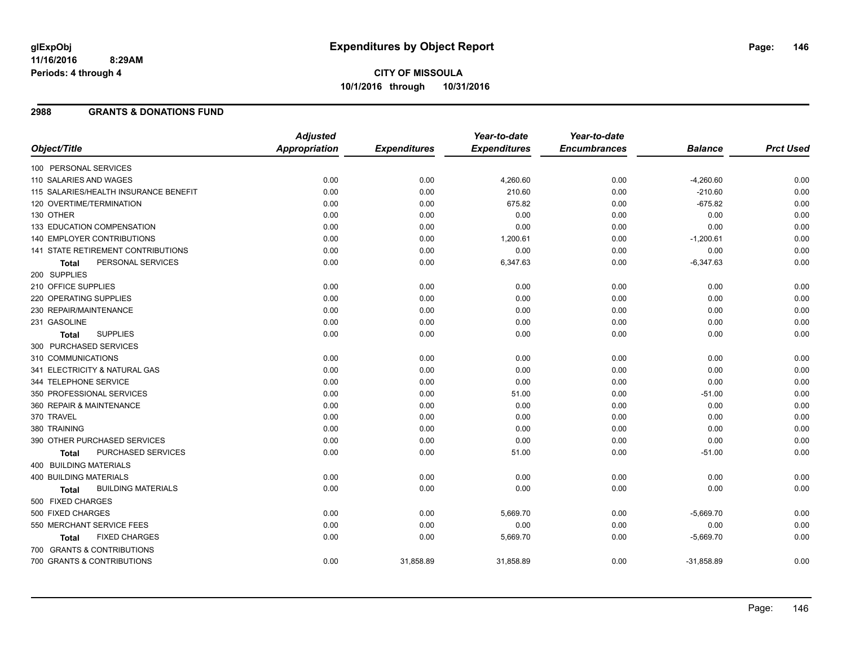#### **2988 GRANTS & DONATIONS FUND**

|                                       | <b>Adjusted</b>      |                     | Year-to-date        | Year-to-date        |                |                  |
|---------------------------------------|----------------------|---------------------|---------------------|---------------------|----------------|------------------|
| Object/Title                          | <b>Appropriation</b> | <b>Expenditures</b> | <b>Expenditures</b> | <b>Encumbrances</b> | <b>Balance</b> | <b>Prct Used</b> |
| 100 PERSONAL SERVICES                 |                      |                     |                     |                     |                |                  |
| 110 SALARIES AND WAGES                | 0.00                 | 0.00                | 4,260.60            | 0.00                | $-4,260.60$    | 0.00             |
| 115 SALARIES/HEALTH INSURANCE BENEFIT | 0.00                 | 0.00                | 210.60              | 0.00                | $-210.60$      | 0.00             |
| 120 OVERTIME/TERMINATION              | 0.00                 | 0.00                | 675.82              | 0.00                | $-675.82$      | 0.00             |
| 130 OTHER                             | 0.00                 | 0.00                | 0.00                | 0.00                | 0.00           | 0.00             |
| 133 EDUCATION COMPENSATION            | 0.00                 | 0.00                | 0.00                | 0.00                | 0.00           | 0.00             |
| 140 EMPLOYER CONTRIBUTIONS            | 0.00                 | 0.00                | 1,200.61            | 0.00                | $-1,200.61$    | 0.00             |
| 141 STATE RETIREMENT CONTRIBUTIONS    | 0.00                 | 0.00                | 0.00                | 0.00                | 0.00           | 0.00             |
| PERSONAL SERVICES<br>Total            | 0.00                 | 0.00                | 6,347.63            | 0.00                | $-6,347.63$    | 0.00             |
| 200 SUPPLIES                          |                      |                     |                     |                     |                |                  |
| 210 OFFICE SUPPLIES                   | 0.00                 | 0.00                | 0.00                | 0.00                | 0.00           | 0.00             |
| 220 OPERATING SUPPLIES                | 0.00                 | 0.00                | 0.00                | 0.00                | 0.00           | 0.00             |
| 230 REPAIR/MAINTENANCE                | 0.00                 | 0.00                | 0.00                | 0.00                | 0.00           | 0.00             |
| 231 GASOLINE                          | 0.00                 | 0.00                | 0.00                | 0.00                | 0.00           | 0.00             |
| <b>SUPPLIES</b><br><b>Total</b>       | 0.00                 | 0.00                | 0.00                | 0.00                | 0.00           | 0.00             |
| 300 PURCHASED SERVICES                |                      |                     |                     |                     |                |                  |
| 310 COMMUNICATIONS                    | 0.00                 | 0.00                | 0.00                | 0.00                | 0.00           | 0.00             |
| 341 ELECTRICITY & NATURAL GAS         | 0.00                 | 0.00                | 0.00                | 0.00                | 0.00           | 0.00             |
| 344 TELEPHONE SERVICE                 | 0.00                 | 0.00                | 0.00                | 0.00                | 0.00           | 0.00             |
| 350 PROFESSIONAL SERVICES             | 0.00                 | 0.00                | 51.00               | 0.00                | $-51.00$       | 0.00             |
| 360 REPAIR & MAINTENANCE              | 0.00                 | 0.00                | 0.00                | 0.00                | 0.00           | 0.00             |
| 370 TRAVEL                            | 0.00                 | 0.00                | 0.00                | 0.00                | 0.00           | 0.00             |
| 380 TRAINING                          | 0.00                 | 0.00                | 0.00                | 0.00                | 0.00           | 0.00             |
| 390 OTHER PURCHASED SERVICES          | 0.00                 | 0.00                | 0.00                | 0.00                | 0.00           | 0.00             |
| PURCHASED SERVICES<br><b>Total</b>    | 0.00                 | 0.00                | 51.00               | 0.00                | $-51.00$       | 0.00             |
| <b>400 BUILDING MATERIALS</b>         |                      |                     |                     |                     |                |                  |
| <b>400 BUILDING MATERIALS</b>         | 0.00                 | 0.00                | 0.00                | 0.00                | 0.00           | 0.00             |
| <b>BUILDING MATERIALS</b><br>Total    | 0.00                 | 0.00                | 0.00                | 0.00                | 0.00           | 0.00             |
| 500 FIXED CHARGES                     |                      |                     |                     |                     |                |                  |
| 500 FIXED CHARGES                     | 0.00                 | 0.00                | 5,669.70            | 0.00                | $-5,669.70$    | 0.00             |
| 550 MERCHANT SERVICE FEES             | 0.00                 | 0.00                | 0.00                | 0.00                | 0.00           | 0.00             |
| <b>FIXED CHARGES</b><br>Total         | 0.00                 | 0.00                | 5,669.70            | 0.00                | $-5,669.70$    | 0.00             |
| 700 GRANTS & CONTRIBUTIONS            |                      |                     |                     |                     |                |                  |
| 700 GRANTS & CONTRIBUTIONS            | 0.00                 | 31,858.89           | 31,858.89           | 0.00                | $-31,858.89$   | 0.00             |
|                                       |                      |                     |                     |                     |                |                  |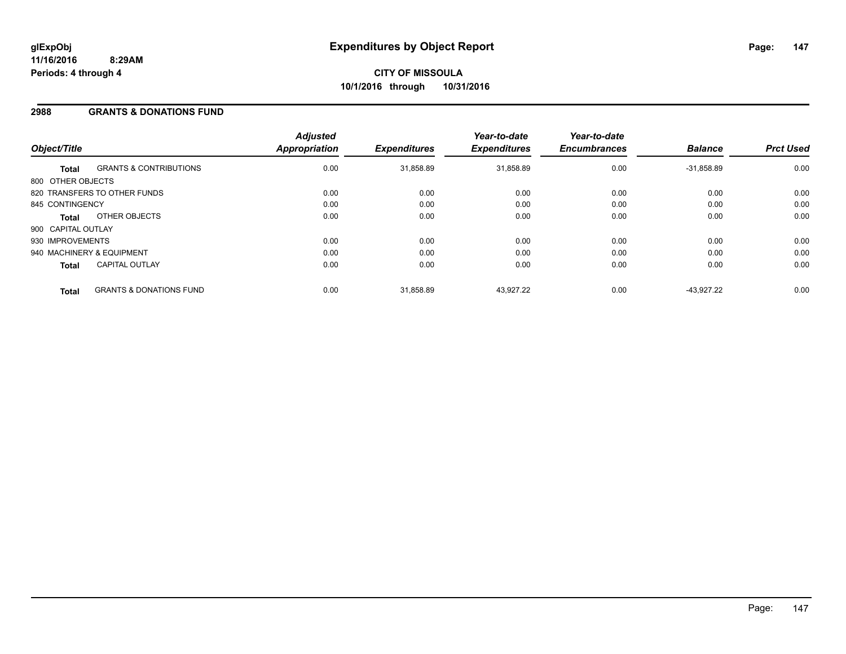#### **2988 GRANTS & DONATIONS FUND**

| Object/Title              |                                    | <b>Adjusted</b><br>Appropriation | <b>Expenditures</b> | Year-to-date<br><b>Expenditures</b> | Year-to-date<br><b>Encumbrances</b> | <b>Balance</b> | <b>Prct Used</b> |
|---------------------------|------------------------------------|----------------------------------|---------------------|-------------------------------------|-------------------------------------|----------------|------------------|
| <b>Total</b>              | <b>GRANTS &amp; CONTRIBUTIONS</b>  | 0.00                             | 31,858.89           | 31,858.89                           | 0.00                                | $-31,858.89$   | 0.00             |
| 800 OTHER OBJECTS         |                                    |                                  |                     |                                     |                                     |                |                  |
|                           | 820 TRANSFERS TO OTHER FUNDS       | 0.00                             | 0.00                | 0.00                                | 0.00                                | 0.00           | 0.00             |
| 845 CONTINGENCY           |                                    | 0.00                             | 0.00                | 0.00                                | 0.00                                | 0.00           | 0.00             |
| <b>Total</b>              | OTHER OBJECTS                      | 0.00                             | 0.00                | 0.00                                | 0.00                                | 0.00           | 0.00             |
| 900 CAPITAL OUTLAY        |                                    |                                  |                     |                                     |                                     |                |                  |
| 930 IMPROVEMENTS          |                                    | 0.00                             | 0.00                | 0.00                                | 0.00                                | 0.00           | 0.00             |
| 940 MACHINERY & EQUIPMENT |                                    | 0.00                             | 0.00                | 0.00                                | 0.00                                | 0.00           | 0.00             |
| <b>Total</b>              | <b>CAPITAL OUTLAY</b>              | 0.00                             | 0.00                | 0.00                                | 0.00                                | 0.00           | 0.00             |
| <b>Total</b>              | <b>GRANTS &amp; DONATIONS FUND</b> | 0.00                             | 31.858.89           | 43.927.22                           | 0.00                                | $-43.927.22$   | 0.00             |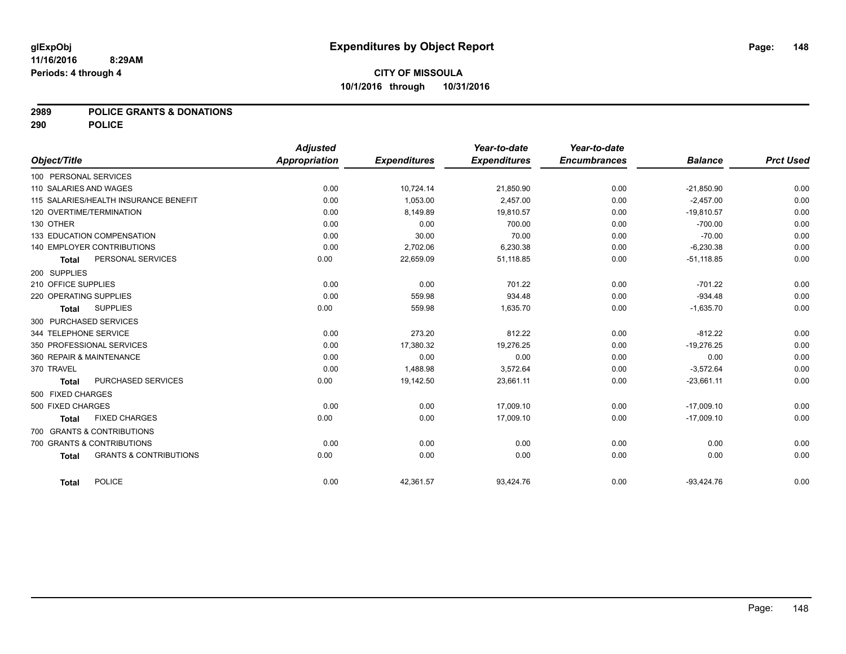**2989 POLICE GRANTS & DONATIONS**

**290 POLICE**

|                        |                                       | <b>Adjusted</b> |                     | Year-to-date        | Year-to-date        |                |                  |
|------------------------|---------------------------------------|-----------------|---------------------|---------------------|---------------------|----------------|------------------|
| Object/Title           |                                       | Appropriation   | <b>Expenditures</b> | <b>Expenditures</b> | <b>Encumbrances</b> | <b>Balance</b> | <b>Prct Used</b> |
| 100 PERSONAL SERVICES  |                                       |                 |                     |                     |                     |                |                  |
| 110 SALARIES AND WAGES |                                       | 0.00            | 10,724.14           | 21,850.90           | 0.00                | $-21,850.90$   | 0.00             |
|                        | 115 SALARIES/HEALTH INSURANCE BENEFIT | 0.00            | 1.053.00            | 2,457.00            | 0.00                | $-2,457.00$    | 0.00             |
|                        | 120 OVERTIME/TERMINATION              | 0.00            | 8,149.89            | 19,810.57           | 0.00                | $-19,810.57$   | 0.00             |
| 130 OTHER              |                                       | 0.00            | 0.00                | 700.00              | 0.00                | $-700.00$      | 0.00             |
|                        | 133 EDUCATION COMPENSATION            | 0.00            | 30.00               | 70.00               | 0.00                | $-70.00$       | 0.00             |
|                        | 140 EMPLOYER CONTRIBUTIONS            | 0.00            | 2,702.06            | 6,230.38            | 0.00                | $-6,230.38$    | 0.00             |
| <b>Total</b>           | PERSONAL SERVICES                     | 0.00            | 22,659.09           | 51,118.85           | 0.00                | $-51,118.85$   | 0.00             |
| 200 SUPPLIES           |                                       |                 |                     |                     |                     |                |                  |
| 210 OFFICE SUPPLIES    |                                       | 0.00            | 0.00                | 701.22              | 0.00                | $-701.22$      | 0.00             |
| 220 OPERATING SUPPLIES |                                       | 0.00            | 559.98              | 934.48              | 0.00                | $-934.48$      | 0.00             |
| <b>Total</b>           | <b>SUPPLIES</b>                       | 0.00            | 559.98              | 1,635.70            | 0.00                | $-1,635.70$    | 0.00             |
|                        | 300 PURCHASED SERVICES                |                 |                     |                     |                     |                |                  |
| 344 TELEPHONE SERVICE  |                                       | 0.00            | 273.20              | 812.22              | 0.00                | $-812.22$      | 0.00             |
|                        | 350 PROFESSIONAL SERVICES             | 0.00            | 17,380.32           | 19,276.25           | 0.00                | $-19,276.25$   | 0.00             |
|                        | 360 REPAIR & MAINTENANCE              | 0.00            | 0.00                | 0.00                | 0.00                | 0.00           | 0.00             |
| 370 TRAVEL             |                                       | 0.00            | 1,488.98            | 3,572.64            | 0.00                | $-3,572.64$    | 0.00             |
| <b>Total</b>           | PURCHASED SERVICES                    | 0.00            | 19,142.50           | 23,661.11           | 0.00                | $-23,661.11$   | 0.00             |
| 500 FIXED CHARGES      |                                       |                 |                     |                     |                     |                |                  |
| 500 FIXED CHARGES      |                                       | 0.00            | 0.00                | 17,009.10           | 0.00                | $-17,009.10$   | 0.00             |
| <b>Total</b>           | <b>FIXED CHARGES</b>                  | 0.00            | 0.00                | 17,009.10           | 0.00                | $-17,009.10$   | 0.00             |
|                        | 700 GRANTS & CONTRIBUTIONS            |                 |                     |                     |                     |                |                  |
|                        | 700 GRANTS & CONTRIBUTIONS            | 0.00            | 0.00                | 0.00                | 0.00                | 0.00           | 0.00             |
| <b>Total</b>           | <b>GRANTS &amp; CONTRIBUTIONS</b>     | 0.00            | 0.00                | 0.00                | 0.00                | 0.00           | 0.00             |
|                        |                                       |                 |                     |                     |                     |                |                  |
| <b>Total</b>           | <b>POLICE</b>                         | 0.00            | 42,361.57           | 93,424.76           | 0.00                | $-93,424.76$   | 0.00             |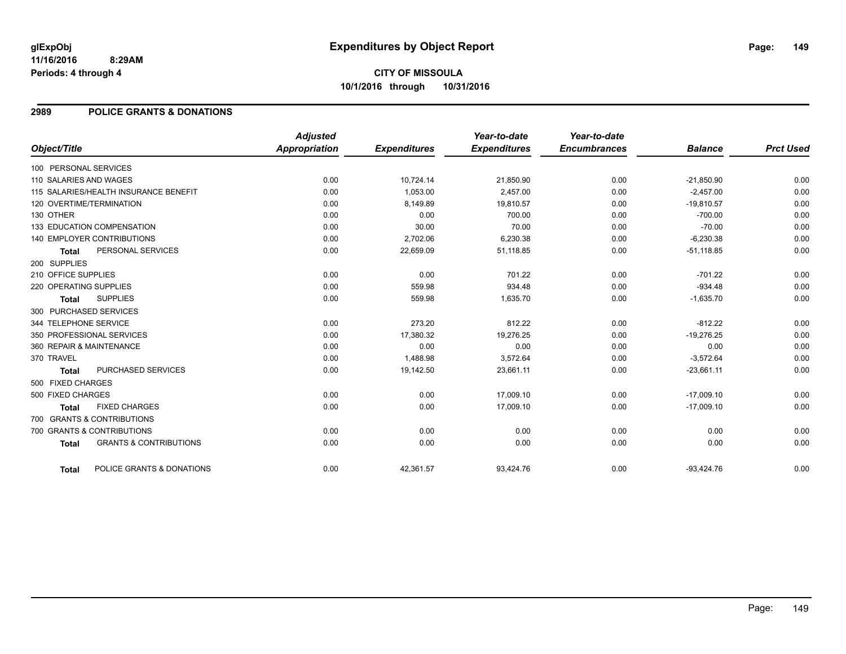# **CITY OF MISSOULA 10/1/2016 through 10/31/2016**

### **2989 POLICE GRANTS & DONATIONS**

|                        |                                       | <b>Adjusted</b> |                     | Year-to-date        | Year-to-date        |                |                  |
|------------------------|---------------------------------------|-----------------|---------------------|---------------------|---------------------|----------------|------------------|
| Object/Title           |                                       | Appropriation   | <b>Expenditures</b> | <b>Expenditures</b> | <b>Encumbrances</b> | <b>Balance</b> | <b>Prct Used</b> |
| 100 PERSONAL SERVICES  |                                       |                 |                     |                     |                     |                |                  |
| 110 SALARIES AND WAGES |                                       | 0.00            | 10,724.14           | 21,850.90           | 0.00                | $-21,850.90$   | 0.00             |
|                        | 115 SALARIES/HEALTH INSURANCE BENEFIT | 0.00            | 1.053.00            | 2.457.00            | 0.00                | $-2.457.00$    | 0.00             |
|                        | 120 OVERTIME/TERMINATION              | 0.00            | 8,149.89            | 19.810.57           | 0.00                | $-19,810.57$   | 0.00             |
| 130 OTHER              |                                       | 0.00            | 0.00                | 700.00              | 0.00                | $-700.00$      | 0.00             |
|                        | 133 EDUCATION COMPENSATION            | 0.00            | 30.00               | 70.00               | 0.00                | $-70.00$       | 0.00             |
|                        | <b>140 EMPLOYER CONTRIBUTIONS</b>     | 0.00            | 2,702.06            | 6,230.38            | 0.00                | $-6,230.38$    | 0.00             |
| <b>Total</b>           | PERSONAL SERVICES                     | 0.00            | 22,659.09           | 51,118.85           | 0.00                | $-51,118.85$   | 0.00             |
| 200 SUPPLIES           |                                       |                 |                     |                     |                     |                |                  |
| 210 OFFICE SUPPLIES    |                                       | 0.00            | 0.00                | 701.22              | 0.00                | $-701.22$      | 0.00             |
| 220 OPERATING SUPPLIES |                                       | 0.00            | 559.98              | 934.48              | 0.00                | $-934.48$      | 0.00             |
| <b>Total</b>           | <b>SUPPLIES</b>                       | 0.00            | 559.98              | 1,635.70            | 0.00                | $-1,635.70$    | 0.00             |
| 300 PURCHASED SERVICES |                                       |                 |                     |                     |                     |                |                  |
| 344 TELEPHONE SERVICE  |                                       | 0.00            | 273.20              | 812.22              | 0.00                | $-812.22$      | 0.00             |
|                        | 350 PROFESSIONAL SERVICES             | 0.00            | 17,380.32           | 19,276.25           | 0.00                | $-19,276.25$   | 0.00             |
|                        | 360 REPAIR & MAINTENANCE              | 0.00            | 0.00                | 0.00                | 0.00                | 0.00           | 0.00             |
| 370 TRAVEL             |                                       | 0.00            | 1,488.98            | 3.572.64            | 0.00                | $-3,572.64$    | 0.00             |
| <b>Total</b>           | PURCHASED SERVICES                    | 0.00            | 19,142.50           | 23,661.11           | 0.00                | $-23,661.11$   | 0.00             |
| 500 FIXED CHARGES      |                                       |                 |                     |                     |                     |                |                  |
| 500 FIXED CHARGES      |                                       | 0.00            | 0.00                | 17,009.10           | 0.00                | $-17,009.10$   | 0.00             |
| <b>Total</b>           | <b>FIXED CHARGES</b>                  | 0.00            | 0.00                | 17,009.10           | 0.00                | $-17,009.10$   | 0.00             |
|                        | 700 GRANTS & CONTRIBUTIONS            |                 |                     |                     |                     |                |                  |
|                        | 700 GRANTS & CONTRIBUTIONS            | 0.00            | 0.00                | 0.00                | 0.00                | 0.00           | 0.00             |
| <b>Total</b>           | <b>GRANTS &amp; CONTRIBUTIONS</b>     | 0.00            | 0.00                | 0.00                | 0.00                | 0.00           | 0.00             |
|                        |                                       |                 |                     |                     |                     |                |                  |
| Total                  | POLICE GRANTS & DONATIONS             | 0.00            | 42,361.57           | 93,424.76           | 0.00                | $-93,424.76$   | 0.00             |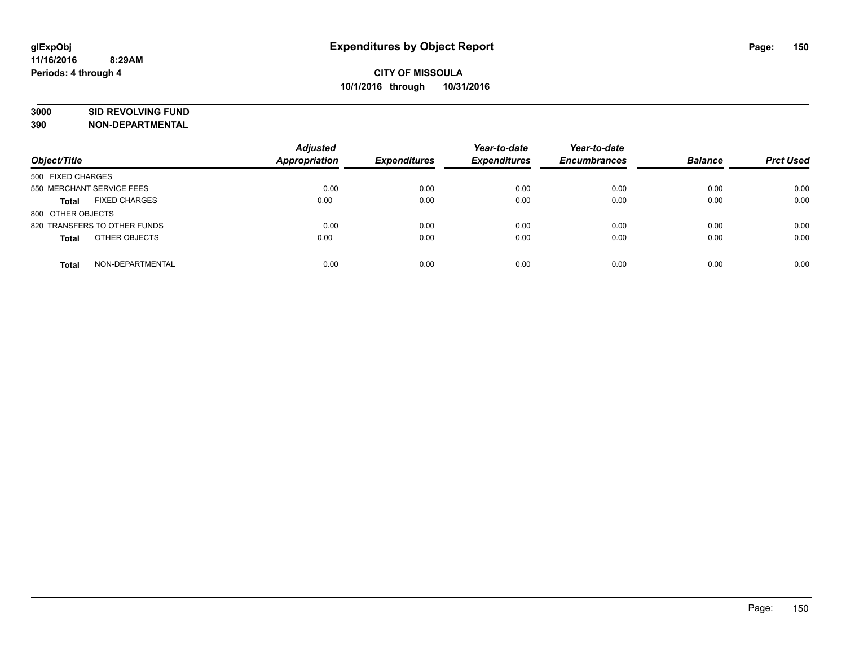# **3000 SID REVOLVING FUND**

| Object/Title                         | <b>Adjusted</b><br><b>Appropriation</b> | <b>Expenditures</b> | Year-to-date<br><b>Expenditures</b> | Year-to-date<br><b>Encumbrances</b> | <b>Balance</b> | <b>Prct Used</b> |
|--------------------------------------|-----------------------------------------|---------------------|-------------------------------------|-------------------------------------|----------------|------------------|
| 500 FIXED CHARGES                    |                                         |                     |                                     |                                     |                |                  |
| 550 MERCHANT SERVICE FEES            | 0.00                                    | 0.00                | 0.00                                | 0.00                                | 0.00           | 0.00             |
| <b>FIXED CHARGES</b><br><b>Total</b> | 0.00                                    | 0.00                | 0.00                                | 0.00                                | 0.00           | 0.00             |
| 800 OTHER OBJECTS                    |                                         |                     |                                     |                                     |                |                  |
| 820 TRANSFERS TO OTHER FUNDS         | 0.00                                    | 0.00                | 0.00                                | 0.00                                | 0.00           | 0.00             |
| OTHER OBJECTS<br><b>Total</b>        | 0.00                                    | 0.00                | 0.00                                | 0.00                                | 0.00           | 0.00             |
| NON-DEPARTMENTAL<br>Total            | 0.00                                    | 0.00                | 0.00                                | 0.00                                | 0.00           | 0.00             |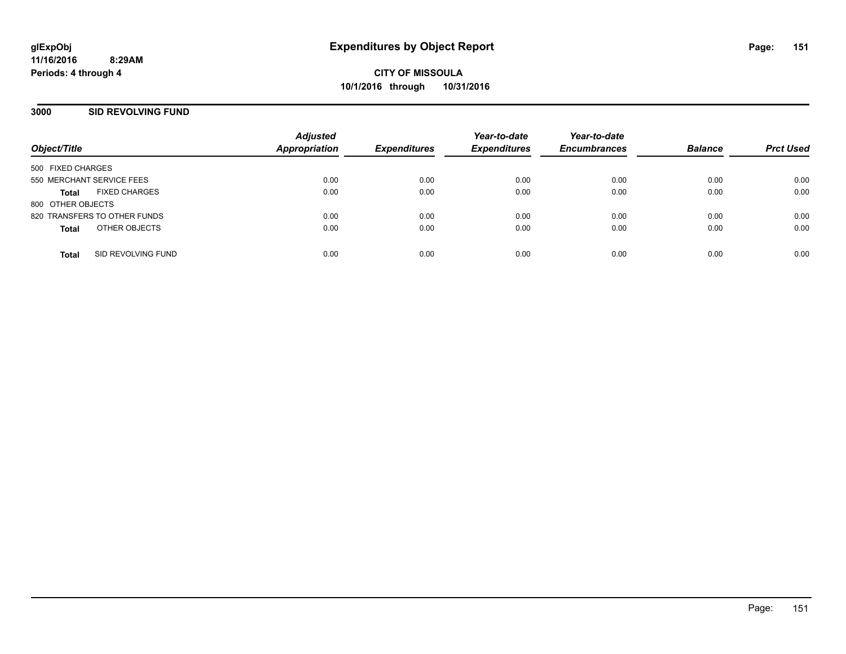#### **3000 SID REVOLVING FUND**

| Object/Title                         | <b>Adjusted</b><br><b>Appropriation</b> | <b>Expenditures</b> | Year-to-date<br><b>Expenditures</b> | Year-to-date<br><b>Encumbrances</b> | <b>Balance</b> | <b>Prct Used</b> |
|--------------------------------------|-----------------------------------------|---------------------|-------------------------------------|-------------------------------------|----------------|------------------|
| 500 FIXED CHARGES                    |                                         |                     |                                     |                                     |                |                  |
| 550 MERCHANT SERVICE FEES            | 0.00                                    | 0.00                | 0.00                                | 0.00                                | 0.00           | 0.00             |
| <b>FIXED CHARGES</b><br><b>Total</b> | 0.00                                    | 0.00                | 0.00                                | 0.00                                | 0.00           | 0.00             |
| 800 OTHER OBJECTS                    |                                         |                     |                                     |                                     |                |                  |
| 820 TRANSFERS TO OTHER FUNDS         | 0.00                                    | 0.00                | 0.00                                | 0.00                                | 0.00           | 0.00             |
| OTHER OBJECTS<br><b>Total</b>        | 0.00                                    | 0.00                | 0.00                                | 0.00                                | 0.00           | 0.00             |
|                                      |                                         |                     |                                     |                                     |                |                  |
| SID REVOLVING FUND<br><b>Total</b>   | 0.00                                    | 0.00                | 0.00                                | 0.00                                | 0.00           | 0.00             |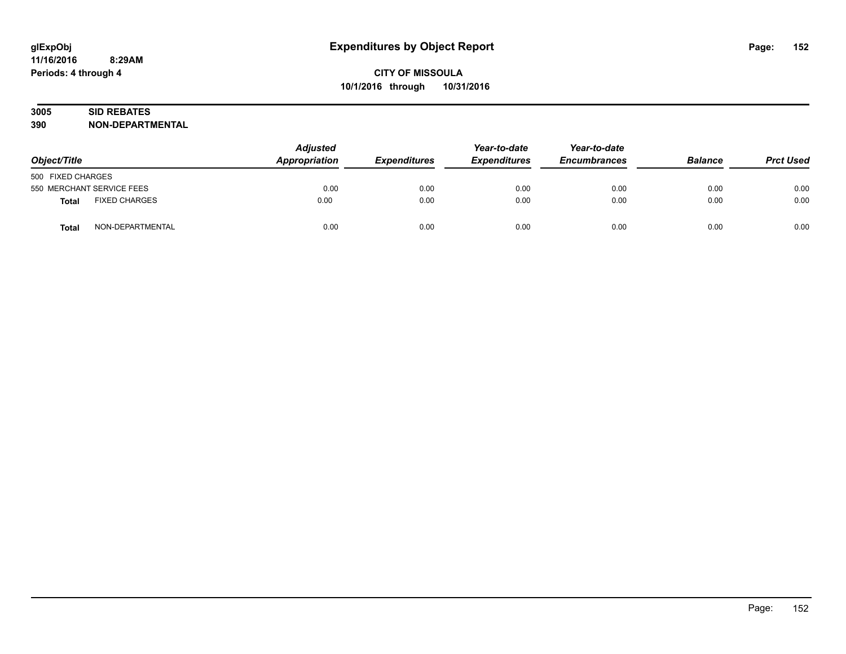# **3005 SID REBATES**

| Object/Title                         | <b>Adjusted</b><br><b>Appropriation</b> | <b>Expenditures</b> | Year-to-date<br><b>Expenditures</b> | Year-to-date<br><b>Encumbrances</b> | <b>Balance</b> | <b>Prct Used</b> |
|--------------------------------------|-----------------------------------------|---------------------|-------------------------------------|-------------------------------------|----------------|------------------|
| 500 FIXED CHARGES                    |                                         |                     |                                     |                                     |                |                  |
| 550 MERCHANT SERVICE FEES            | 0.00                                    | 0.00                | 0.00                                | 0.00                                | 0.00           | 0.00             |
| <b>FIXED CHARGES</b><br><b>Total</b> | 0.00                                    | 0.00                | 0.00                                | 0.00                                | 0.00           | 0.00             |
| NON-DEPARTMENTAL<br>Total            | 0.00                                    | 0.00                | 0.00                                | 0.00                                | 0.00           | 0.00             |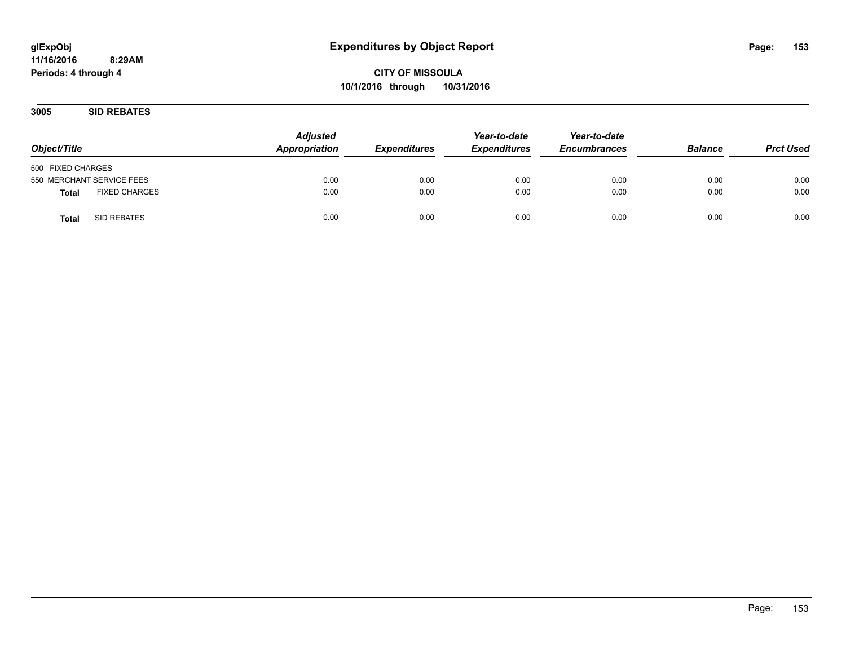**CITY OF MISSOULA 10/1/2016 through 10/31/2016**

**3005 SID REBATES**

| Object/Title                         | <b>Adjusted</b><br>Appropriation | <b>Expenditures</b> | Year-to-date<br><b>Expenditures</b> | Year-to-date<br><b>Encumbrances</b> | <b>Balance</b> | <b>Prct Used</b> |
|--------------------------------------|----------------------------------|---------------------|-------------------------------------|-------------------------------------|----------------|------------------|
| 500 FIXED CHARGES                    |                                  |                     |                                     |                                     |                |                  |
| 550 MERCHANT SERVICE FEES            | 0.00                             | 0.00                | 0.00                                | 0.00                                | 0.00           | 0.00             |
| <b>FIXED CHARGES</b><br><b>Total</b> | 0.00                             | 0.00                | 0.00                                | 0.00                                | 0.00           | 0.00             |
| SID REBATES<br>Tota                  | 0.00                             | 0.00                | 0.00                                | 0.00                                | 0.00           | 0.00             |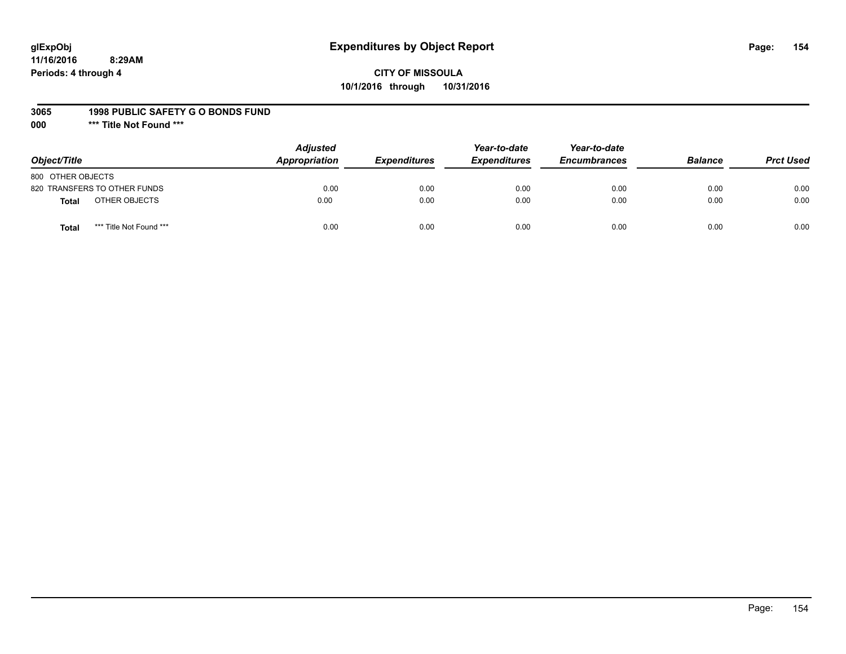# **glExpObj Expenditures by Object Report Page: 154**

# **CITY OF MISSOULA 10/1/2016 through 10/31/2016**

#### **3065 1998 PUBLIC SAFETY G O BONDS FUND**

**000 \*\*\* Title Not Found \*\*\***

| Object/Title                     | <b>Adjusted</b><br>Appropriation | <b>Expenditures</b> | Year-to-date<br><b>Expenditures</b> | Year-to-date<br><b>Encumbrances</b> | <b>Balance</b> | <b>Prct Used</b> |
|----------------------------------|----------------------------------|---------------------|-------------------------------------|-------------------------------------|----------------|------------------|
| 800 OTHER OBJECTS                |                                  |                     |                                     |                                     |                |                  |
| 820 TRANSFERS TO OTHER FUNDS     | 0.00                             | 0.00                | 0.00                                | 0.00                                | 0.00           | 0.00             |
| OTHER OBJECTS<br><b>Total</b>    | 0.00                             | 0.00                | 0.00                                | 0.00                                | 0.00           | 0.00             |
| *** Title Not Found ***<br>Total | 0.00                             | 0.00                | 0.00                                | 0.00                                | 0.00           | 0.00             |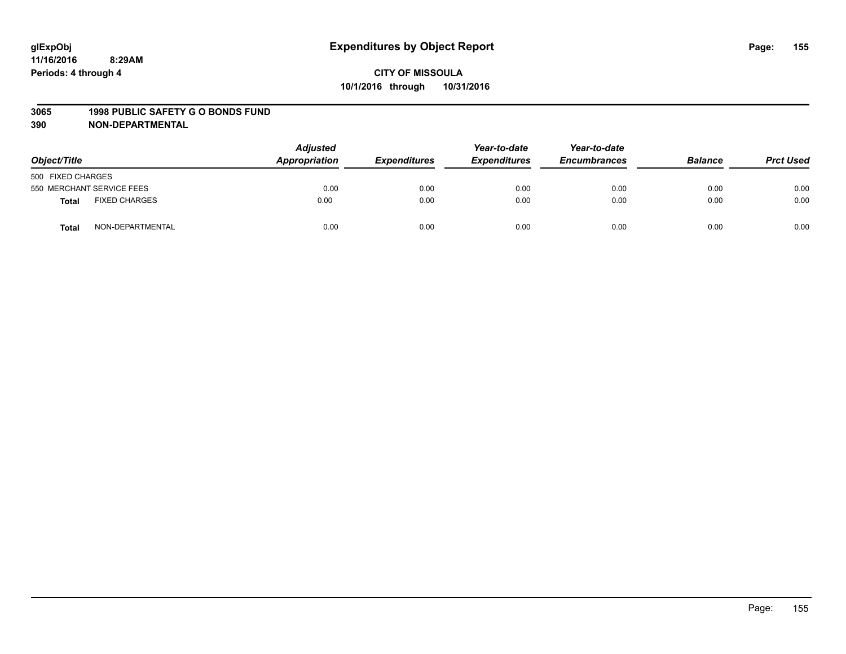#### **3065 1998 PUBLIC SAFETY G O BONDS FUND**

| Object/Title      |                           | <b>Adjusted</b><br>Appropriation<br><b>Expenditures</b> | Year-to-date<br><b>Expenditures</b> | Year-to-date<br><b>Encumbrances</b> | <b>Balance</b> | <b>Prct Used</b> |      |
|-------------------|---------------------------|---------------------------------------------------------|-------------------------------------|-------------------------------------|----------------|------------------|------|
| 500 FIXED CHARGES |                           |                                                         |                                     |                                     |                |                  |      |
|                   | 550 MERCHANT SERVICE FEES | 0.00                                                    | 0.00                                | 0.00                                | 0.00           | 0.00             | 0.00 |
| <b>Total</b>      | <b>FIXED CHARGES</b>      | 0.00                                                    | 0.00                                | 0.00                                | 0.00           | 0.00             | 0.00 |
| <b>Total</b>      | NON-DEPARTMENTAL          | 0.00                                                    | 0.00                                | 0.00                                | 0.00           | 0.00             | 0.00 |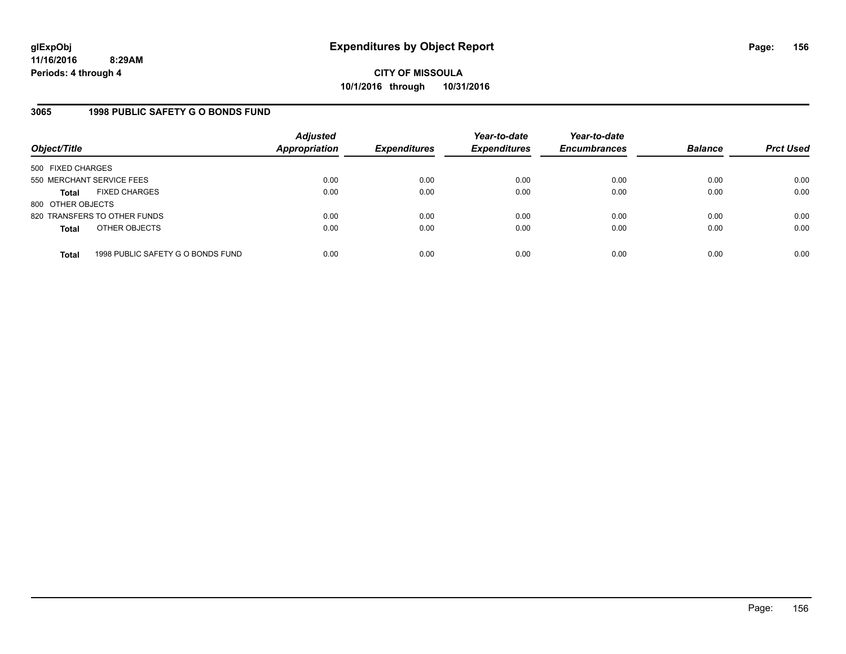**CITY OF MISSOULA 10/1/2016 through 10/31/2016**

### **3065 1998 PUBLIC SAFETY G O BONDS FUND**

| Object/Title                                      | <b>Adjusted</b><br>Appropriation | <b>Expenditures</b> | Year-to-date<br><b>Expenditures</b> | Year-to-date<br><b>Encumbrances</b> | <b>Balance</b> | <b>Prct Used</b> |
|---------------------------------------------------|----------------------------------|---------------------|-------------------------------------|-------------------------------------|----------------|------------------|
| 500 FIXED CHARGES                                 |                                  |                     |                                     |                                     |                |                  |
| 550 MERCHANT SERVICE FEES                         | 0.00                             | 0.00                | 0.00                                | 0.00                                | 0.00           | 0.00             |
| <b>FIXED CHARGES</b><br><b>Total</b>              | 0.00                             | 0.00                | 0.00                                | 0.00                                | 0.00           | 0.00             |
| 800 OTHER OBJECTS                                 |                                  |                     |                                     |                                     |                |                  |
| 820 TRANSFERS TO OTHER FUNDS                      | 0.00                             | 0.00                | 0.00                                | 0.00                                | 0.00           | 0.00             |
| OTHER OBJECTS<br><b>Total</b>                     | 0.00                             | 0.00                | 0.00                                | 0.00                                | 0.00           | 0.00             |
|                                                   |                                  |                     |                                     |                                     |                |                  |
| 1998 PUBLIC SAFETY G O BONDS FUND<br><b>Total</b> | 0.00                             | 0.00                | 0.00                                | 0.00                                | 0.00           | 0.00             |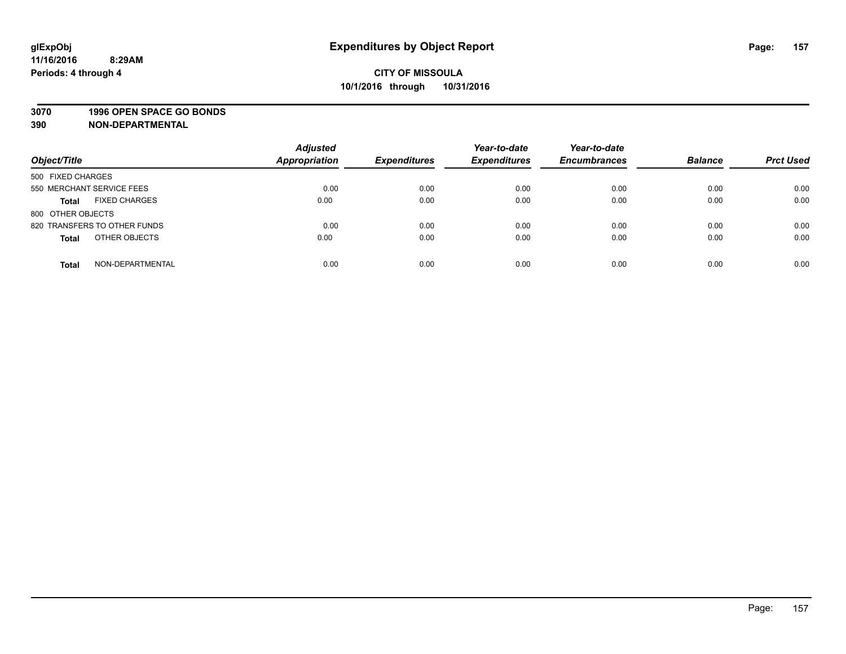#### **3070 1996 OPEN SPACE GO BONDS**

| Object/Title                         | <b>Adjusted</b><br><b>Appropriation</b> | <b>Expenditures</b> | Year-to-date<br><b>Expenditures</b> | Year-to-date<br><b>Encumbrances</b> | <b>Balance</b> | <b>Prct Used</b> |
|--------------------------------------|-----------------------------------------|---------------------|-------------------------------------|-------------------------------------|----------------|------------------|
| 500 FIXED CHARGES                    |                                         |                     |                                     |                                     |                |                  |
| 550 MERCHANT SERVICE FEES            | 0.00                                    | 0.00                | 0.00                                | 0.00                                | 0.00           | 0.00             |
| <b>FIXED CHARGES</b><br><b>Total</b> | 0.00                                    | 0.00                | 0.00                                | 0.00                                | 0.00           | 0.00             |
| 800 OTHER OBJECTS                    |                                         |                     |                                     |                                     |                |                  |
| 820 TRANSFERS TO OTHER FUNDS         | 0.00                                    | 0.00                | 0.00                                | 0.00                                | 0.00           | 0.00             |
| OTHER OBJECTS<br><b>Total</b>        | 0.00                                    | 0.00                | 0.00                                | 0.00                                | 0.00           | 0.00             |
| NON-DEPARTMENTAL<br><b>Total</b>     | 0.00                                    | 0.00                | 0.00                                | 0.00                                | 0.00           | 0.00             |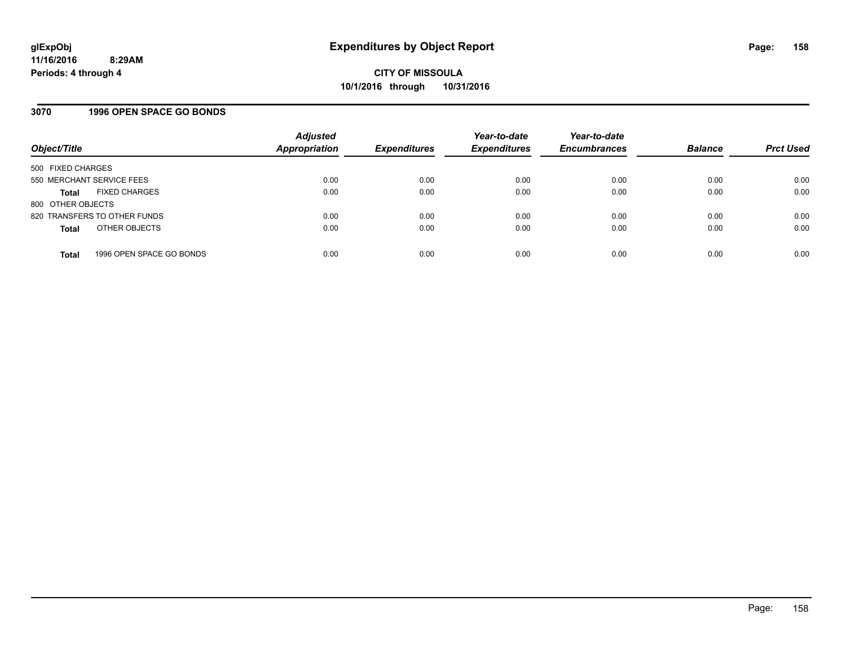### **3070 1996 OPEN SPACE GO BONDS**

| Object/Title                             | <b>Adjusted</b><br><b>Appropriation</b> | <b>Expenditures</b> | Year-to-date<br><b>Expenditures</b> | Year-to-date<br><b>Encumbrances</b> | <b>Balance</b> | <b>Prct Used</b> |
|------------------------------------------|-----------------------------------------|---------------------|-------------------------------------|-------------------------------------|----------------|------------------|
| 500 FIXED CHARGES                        |                                         |                     |                                     |                                     |                |                  |
| 550 MERCHANT SERVICE FEES                | 0.00                                    | 0.00                | 0.00                                | 0.00                                | 0.00           | 0.00             |
| <b>FIXED CHARGES</b><br><b>Total</b>     | 0.00                                    | 0.00                | 0.00                                | 0.00                                | 0.00           | 0.00             |
| 800 OTHER OBJECTS                        |                                         |                     |                                     |                                     |                |                  |
| 820 TRANSFERS TO OTHER FUNDS             | 0.00                                    | 0.00                | 0.00                                | 0.00                                | 0.00           | 0.00             |
| OTHER OBJECTS<br><b>Total</b>            | 0.00                                    | 0.00                | 0.00                                | 0.00                                | 0.00           | 0.00             |
| 1996 OPEN SPACE GO BONDS<br><b>Total</b> | 0.00                                    | 0.00                | 0.00                                | 0.00                                | 0.00           | 0.00             |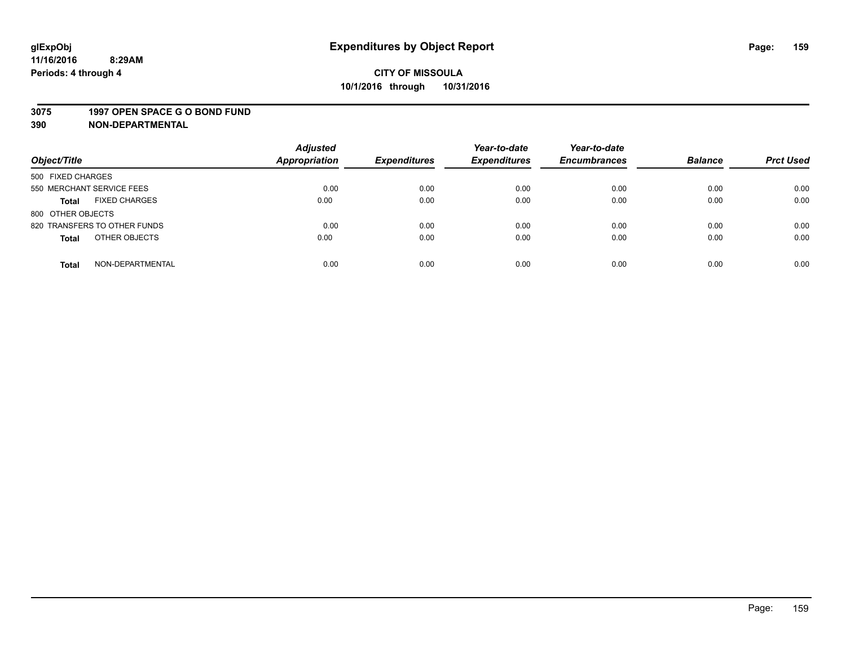#### **3075 1997 OPEN SPACE G O BOND FUND**

| Object/Title                         | <b>Adjusted</b><br><b>Appropriation</b> | <b>Expenditures</b> | Year-to-date<br><b>Expenditures</b> | Year-to-date<br><b>Encumbrances</b> | <b>Balance</b> | <b>Prct Used</b> |
|--------------------------------------|-----------------------------------------|---------------------|-------------------------------------|-------------------------------------|----------------|------------------|
|                                      |                                         |                     |                                     |                                     |                |                  |
| 500 FIXED CHARGES                    |                                         |                     |                                     |                                     |                |                  |
| 550 MERCHANT SERVICE FEES            | 0.00                                    | 0.00                | 0.00                                | 0.00                                | 0.00           | 0.00             |
| <b>FIXED CHARGES</b><br><b>Total</b> | 0.00                                    | 0.00                | 0.00                                | 0.00                                | 0.00           | 0.00             |
| 800 OTHER OBJECTS                    |                                         |                     |                                     |                                     |                |                  |
| 820 TRANSFERS TO OTHER FUNDS         | 0.00                                    | 0.00                | 0.00                                | 0.00                                | 0.00           | 0.00             |
| OTHER OBJECTS<br><b>Total</b>        | 0.00                                    | 0.00                | 0.00                                | 0.00                                | 0.00           | 0.00             |
|                                      |                                         |                     |                                     |                                     |                |                  |
| NON-DEPARTMENTAL<br><b>Total</b>     | 0.00                                    | 0.00                | 0.00                                | 0.00                                | 0.00           | 0.00             |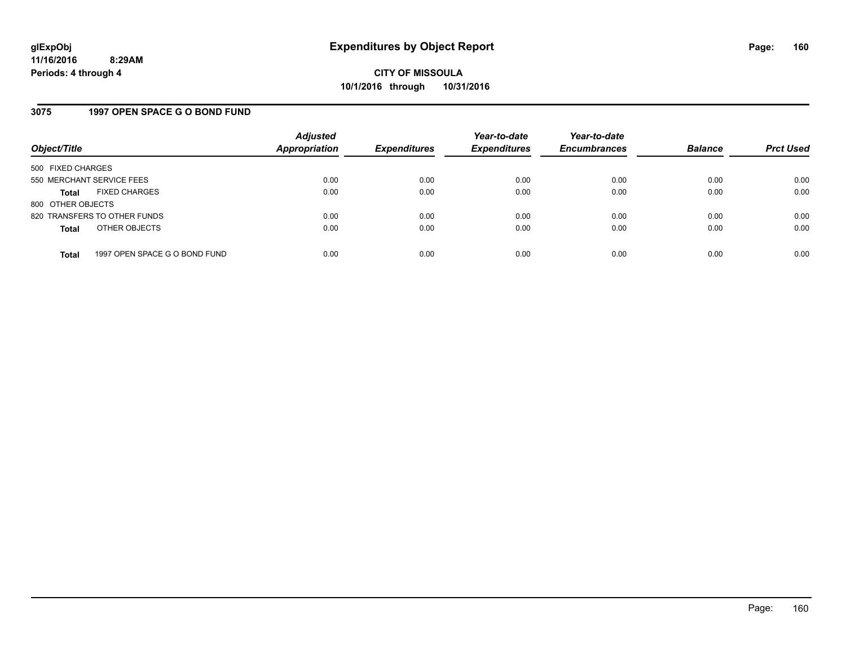#### **3075 1997 OPEN SPACE G O BOND FUND**

| Object/Title              |                               | <b>Adjusted</b><br><b>Appropriation</b> | <b>Expenditures</b> | Year-to-date<br><b>Expenditures</b> | Year-to-date<br><b>Encumbrances</b> | <b>Balance</b> | <b>Prct Used</b> |
|---------------------------|-------------------------------|-----------------------------------------|---------------------|-------------------------------------|-------------------------------------|----------------|------------------|
| 500 FIXED CHARGES         |                               |                                         |                     |                                     |                                     |                |                  |
| 550 MERCHANT SERVICE FEES |                               | 0.00                                    | 0.00                | 0.00                                | 0.00                                | 0.00           | 0.00             |
| <b>Total</b>              | <b>FIXED CHARGES</b>          | 0.00                                    | 0.00                | 0.00                                | 0.00                                | 0.00           | 0.00             |
| 800 OTHER OBJECTS         |                               |                                         |                     |                                     |                                     |                |                  |
|                           | 820 TRANSFERS TO OTHER FUNDS  | 0.00                                    | 0.00                | 0.00                                | 0.00                                | 0.00           | 0.00             |
| <b>Total</b>              | OTHER OBJECTS                 | 0.00                                    | 0.00                | 0.00                                | 0.00                                | 0.00           | 0.00             |
| <b>Total</b>              | 1997 OPEN SPACE G O BOND FUND | 0.00                                    | 0.00                | 0.00                                | 0.00                                | 0.00           | 0.00             |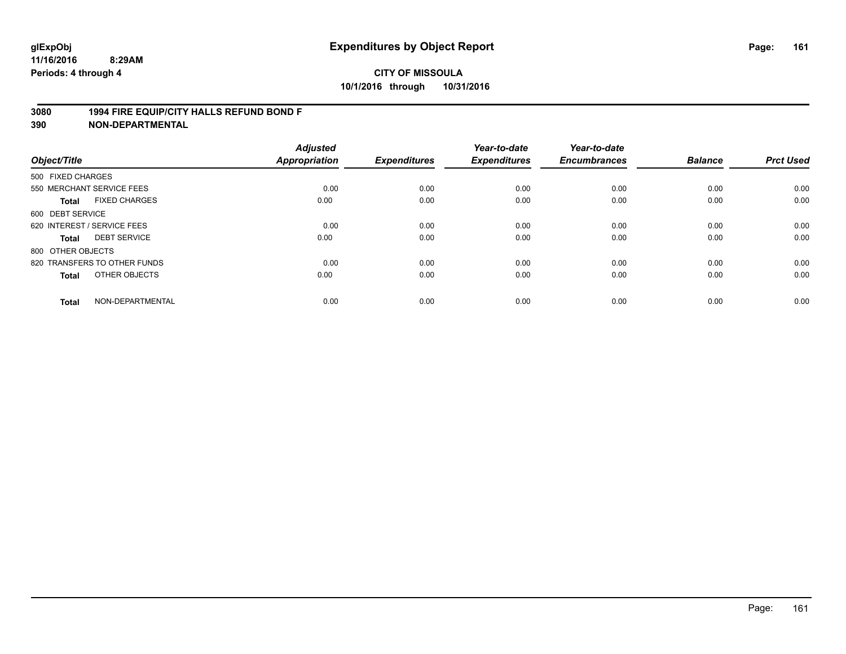#### **3080 1994 FIRE EQUIP/CITY HALLS REFUND BOND F**

| Object/Title                |                              | <b>Adjusted</b><br>Appropriation | <b>Expenditures</b> | Year-to-date<br><b>Expenditures</b> | Year-to-date<br><b>Encumbrances</b> | <b>Balance</b> | <b>Prct Used</b> |
|-----------------------------|------------------------------|----------------------------------|---------------------|-------------------------------------|-------------------------------------|----------------|------------------|
| 500 FIXED CHARGES           |                              |                                  |                     |                                     |                                     |                |                  |
|                             | 550 MERCHANT SERVICE FEES    | 0.00                             | 0.00                | 0.00                                | 0.00                                | 0.00           | 0.00             |
| <b>Total</b>                | <b>FIXED CHARGES</b>         | 0.00                             | 0.00                | 0.00                                | 0.00                                | 0.00           | 0.00             |
| 600 DEBT SERVICE            |                              |                                  |                     |                                     |                                     |                |                  |
| 620 INTEREST / SERVICE FEES |                              | 0.00                             | 0.00                | 0.00                                | 0.00                                | 0.00           | 0.00             |
| <b>Total</b>                | <b>DEBT SERVICE</b>          | 0.00                             | 0.00                | 0.00                                | 0.00                                | 0.00           | 0.00             |
| 800 OTHER OBJECTS           |                              |                                  |                     |                                     |                                     |                |                  |
|                             | 820 TRANSFERS TO OTHER FUNDS | 0.00                             | 0.00                | 0.00                                | 0.00                                | 0.00           | 0.00             |
| <b>Total</b>                | OTHER OBJECTS                | 0.00                             | 0.00                | 0.00                                | 0.00                                | 0.00           | 0.00             |
| <b>Total</b>                | NON-DEPARTMENTAL             | 0.00                             | 0.00                | 0.00                                | 0.00                                | 0.00           | 0.00             |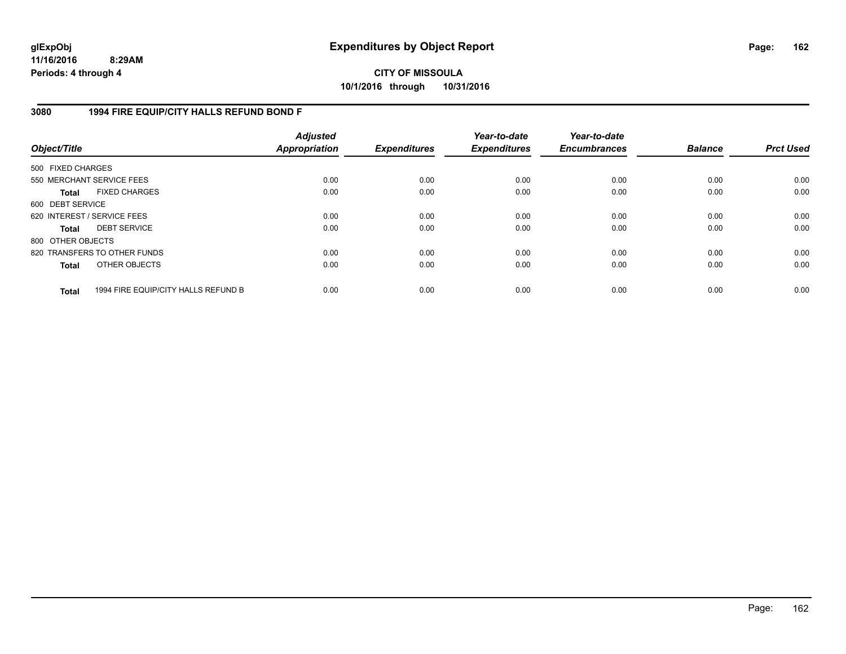# **CITY OF MISSOULA 10/1/2016 through 10/31/2016**

### **3080 1994 FIRE EQUIP/CITY HALLS REFUND BOND F**

| Object/Title                |                                     | <b>Adjusted</b><br>Appropriation | <b>Expenditures</b> | Year-to-date<br><b>Expenditures</b> | Year-to-date<br><b>Encumbrances</b> | <b>Balance</b> | <b>Prct Used</b> |
|-----------------------------|-------------------------------------|----------------------------------|---------------------|-------------------------------------|-------------------------------------|----------------|------------------|
| 500 FIXED CHARGES           |                                     |                                  |                     |                                     |                                     |                |                  |
| 550 MERCHANT SERVICE FEES   |                                     | 0.00                             | 0.00                | 0.00                                | 0.00                                | 0.00           | 0.00             |
| <b>Total</b>                | <b>FIXED CHARGES</b>                | 0.00                             | 0.00                | 0.00                                | 0.00                                | 0.00           | 0.00             |
| 600 DEBT SERVICE            |                                     |                                  |                     |                                     |                                     |                |                  |
| 620 INTEREST / SERVICE FEES |                                     | 0.00                             | 0.00                | 0.00                                | 0.00                                | 0.00           | 0.00             |
| Total                       | <b>DEBT SERVICE</b>                 | 0.00                             | 0.00                | 0.00                                | 0.00                                | 0.00           | 0.00             |
| 800 OTHER OBJECTS           |                                     |                                  |                     |                                     |                                     |                |                  |
|                             | 820 TRANSFERS TO OTHER FUNDS        | 0.00                             | 0.00                | 0.00                                | 0.00                                | 0.00           | 0.00             |
| <b>Total</b>                | OTHER OBJECTS                       | 0.00                             | 0.00                | 0.00                                | 0.00                                | 0.00           | 0.00             |
| <b>Total</b>                | 1994 FIRE EQUIP/CITY HALLS REFUND B | 0.00                             | 0.00                | 0.00                                | 0.00                                | 0.00           | 0.00             |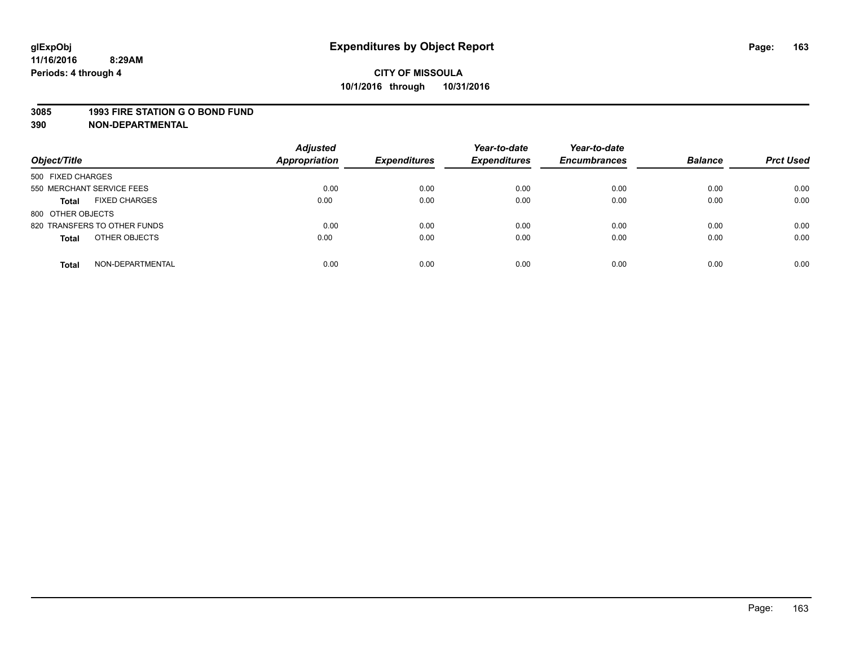#### **3085 1993 FIRE STATION G O BOND FUND**

| Object/Title                         | <b>Adjusted</b><br><b>Appropriation</b> | <b>Expenditures</b> | Year-to-date<br><b>Expenditures</b> | Year-to-date<br><b>Encumbrances</b> | <b>Balance</b> | <b>Prct Used</b> |
|--------------------------------------|-----------------------------------------|---------------------|-------------------------------------|-------------------------------------|----------------|------------------|
| 500 FIXED CHARGES                    |                                         |                     |                                     |                                     |                |                  |
| 550 MERCHANT SERVICE FEES            | 0.00                                    | 0.00                | 0.00                                | 0.00                                | 0.00           | 0.00             |
| <b>FIXED CHARGES</b><br><b>Total</b> | 0.00                                    | 0.00                | 0.00                                | 0.00                                | 0.00           | 0.00             |
| 800 OTHER OBJECTS                    |                                         |                     |                                     |                                     |                |                  |
| 820 TRANSFERS TO OTHER FUNDS         | 0.00                                    | 0.00                | 0.00                                | 0.00                                | 0.00           | 0.00             |
| OTHER OBJECTS<br><b>Total</b>        | 0.00                                    | 0.00                | 0.00                                | 0.00                                | 0.00           | 0.00             |
| NON-DEPARTMENTAL<br><b>Total</b>     | 0.00                                    | 0.00                | 0.00                                | 0.00                                | 0.00           | 0.00             |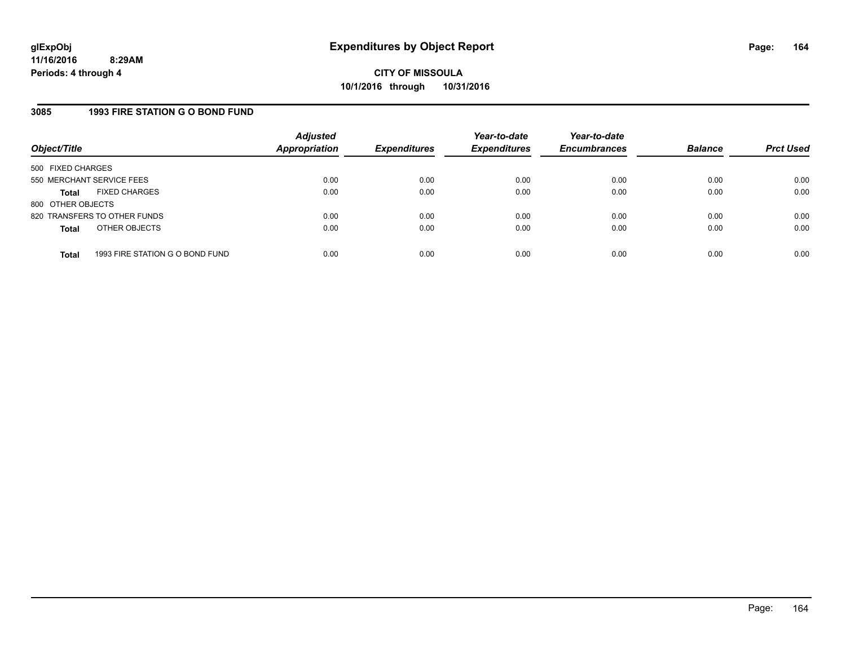#### **3085 1993 FIRE STATION G O BOND FUND**

| Object/Title              |                                 | <b>Adjusted</b><br>Appropriation | <b>Expenditures</b> | Year-to-date<br><b>Expenditures</b> | Year-to-date<br><b>Encumbrances</b> | <b>Balance</b> | <b>Prct Used</b> |
|---------------------------|---------------------------------|----------------------------------|---------------------|-------------------------------------|-------------------------------------|----------------|------------------|
| 500 FIXED CHARGES         |                                 |                                  |                     |                                     |                                     |                |                  |
| 550 MERCHANT SERVICE FEES |                                 | 0.00                             | 0.00                | 0.00                                | 0.00                                | 0.00           | 0.00             |
| Total                     | <b>FIXED CHARGES</b>            | 0.00                             | 0.00                | 0.00                                | 0.00                                | 0.00           | 0.00             |
| 800 OTHER OBJECTS         |                                 |                                  |                     |                                     |                                     |                |                  |
|                           | 820 TRANSFERS TO OTHER FUNDS    | 0.00                             | 0.00                | 0.00                                | 0.00                                | 0.00           | 0.00             |
| <b>Total</b>              | OTHER OBJECTS                   | 0.00                             | 0.00                | 0.00                                | 0.00                                | 0.00           | 0.00             |
|                           |                                 |                                  |                     |                                     |                                     |                |                  |
| <b>Total</b>              | 1993 FIRE STATION G O BOND FUND | 0.00                             | 0.00                | 0.00                                | 0.00                                | 0.00           | 0.00             |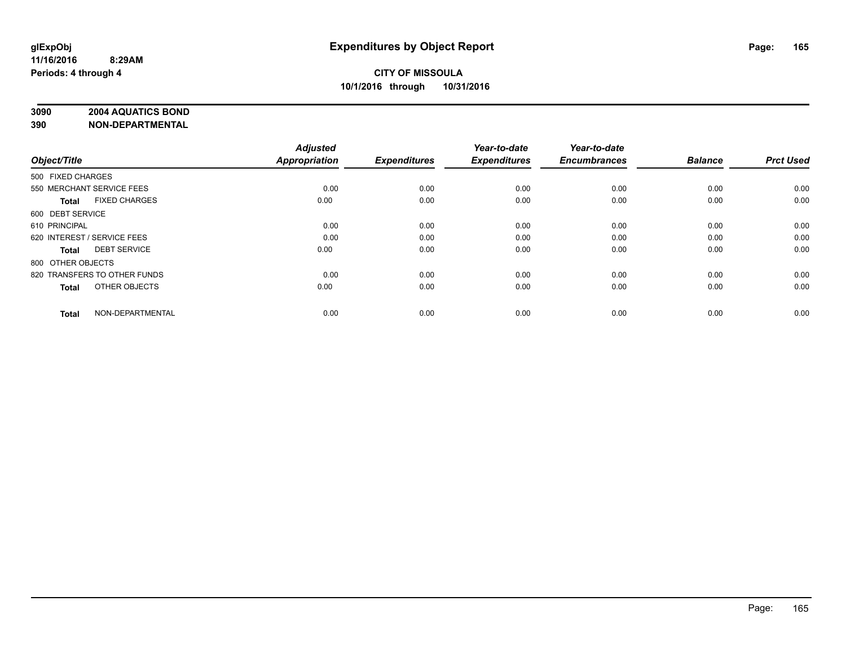# **3090 2004 AQUATICS BOND**

| Object/Title                |                              | <b>Adjusted</b><br><b>Appropriation</b> | <b>Expenditures</b> | Year-to-date<br><b>Expenditures</b> | Year-to-date<br><b>Encumbrances</b> | <b>Balance</b> | <b>Prct Used</b> |
|-----------------------------|------------------------------|-----------------------------------------|---------------------|-------------------------------------|-------------------------------------|----------------|------------------|
|                             |                              |                                         |                     |                                     |                                     |                |                  |
| 500 FIXED CHARGES           |                              |                                         |                     |                                     |                                     |                |                  |
| 550 MERCHANT SERVICE FEES   |                              | 0.00                                    | 0.00                | 0.00                                | 0.00                                | 0.00           | 0.00             |
| <b>Total</b>                | <b>FIXED CHARGES</b>         | 0.00                                    | 0.00                | 0.00                                | 0.00                                | 0.00           | 0.00             |
| 600 DEBT SERVICE            |                              |                                         |                     |                                     |                                     |                |                  |
| 610 PRINCIPAL               |                              | 0.00                                    | 0.00                | 0.00                                | 0.00                                | 0.00           | 0.00             |
| 620 INTEREST / SERVICE FEES |                              | 0.00                                    | 0.00                | 0.00                                | 0.00                                | 0.00           | 0.00             |
| <b>Total</b>                | <b>DEBT SERVICE</b>          | 0.00                                    | 0.00                | 0.00                                | 0.00                                | 0.00           | 0.00             |
| 800 OTHER OBJECTS           |                              |                                         |                     |                                     |                                     |                |                  |
|                             | 820 TRANSFERS TO OTHER FUNDS | 0.00                                    | 0.00                | 0.00                                | 0.00                                | 0.00           | 0.00             |
| <b>Total</b>                | OTHER OBJECTS                | 0.00                                    | 0.00                | 0.00                                | 0.00                                | 0.00           | 0.00             |
|                             |                              |                                         |                     |                                     |                                     |                |                  |
| <b>Total</b>                | NON-DEPARTMENTAL             | 0.00                                    | 0.00                | 0.00                                | 0.00                                | 0.00           | 0.00             |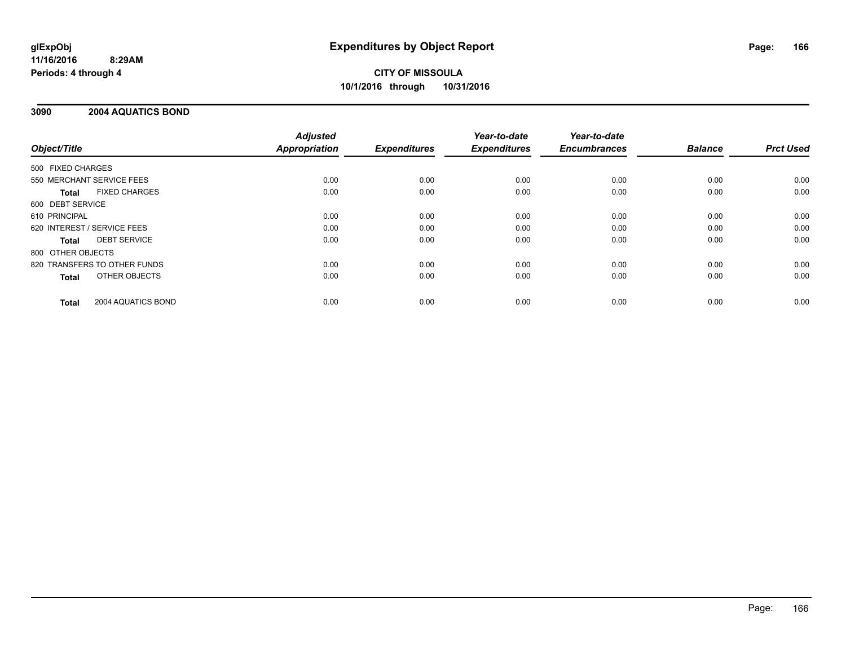# **CITY OF MISSOULA 10/1/2016 through 10/31/2016**

#### **3090 2004 AQUATICS BOND**

|                              |                      | <b>Adjusted</b>      |                     | Year-to-date        | Year-to-date<br><b>Encumbrances</b> | <b>Balance</b> | <b>Prct Used</b> |
|------------------------------|----------------------|----------------------|---------------------|---------------------|-------------------------------------|----------------|------------------|
| Object/Title                 |                      | <b>Appropriation</b> | <b>Expenditures</b> | <b>Expenditures</b> |                                     |                |                  |
| 500 FIXED CHARGES            |                      |                      |                     |                     |                                     |                |                  |
| 550 MERCHANT SERVICE FEES    |                      | 0.00                 | 0.00                | 0.00                | 0.00                                | 0.00           | 0.00             |
| <b>Total</b>                 | <b>FIXED CHARGES</b> | 0.00                 | 0.00                | 0.00                | 0.00                                | 0.00           | 0.00             |
| 600 DEBT SERVICE             |                      |                      |                     |                     |                                     |                |                  |
| 610 PRINCIPAL                |                      | 0.00                 | 0.00                | 0.00                | 0.00                                | 0.00           | 0.00             |
| 620 INTEREST / SERVICE FEES  |                      | 0.00                 | 0.00                | 0.00                | 0.00                                | 0.00           | 0.00             |
| <b>Total</b>                 | <b>DEBT SERVICE</b>  | 0.00                 | 0.00                | 0.00                | 0.00                                | 0.00           | 0.00             |
| 800 OTHER OBJECTS            |                      |                      |                     |                     |                                     |                |                  |
| 820 TRANSFERS TO OTHER FUNDS |                      | 0.00                 | 0.00                | 0.00                | 0.00                                | 0.00           | 0.00             |
| <b>Total</b>                 | OTHER OBJECTS        | 0.00                 | 0.00                | 0.00                | 0.00                                | 0.00           | 0.00             |
| <b>Total</b>                 | 2004 AQUATICS BOND   | 0.00                 | 0.00                | 0.00                | 0.00                                | 0.00           | 0.00             |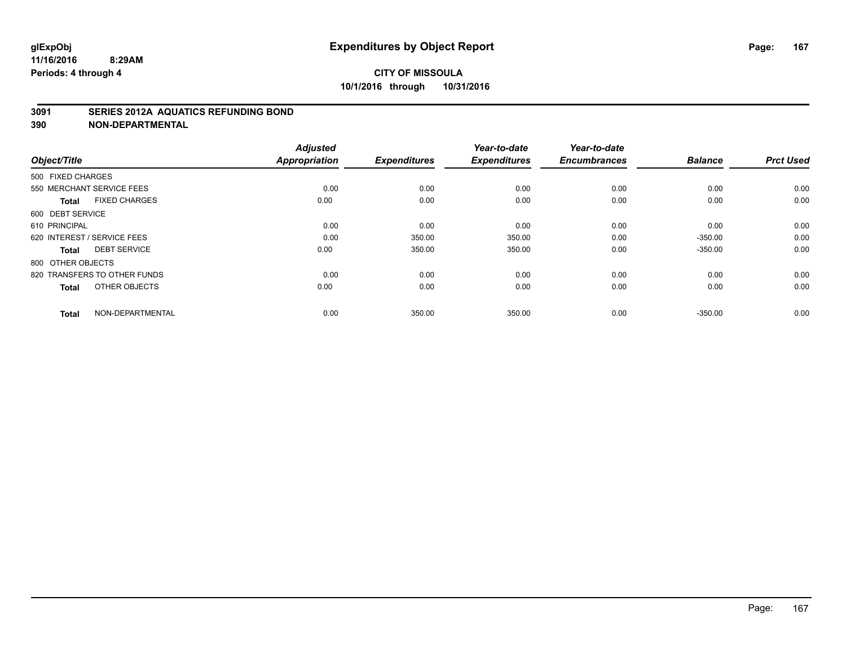#### **3091 SERIES 2012A AQUATICS REFUNDING BOND**

| Object/Title                        |                      | <b>Adjusted</b><br><b>Appropriation</b> | <b>Expenditures</b> | Year-to-date<br><b>Expenditures</b> | Year-to-date<br><b>Encumbrances</b> | <b>Balance</b> | <b>Prct Used</b> |
|-------------------------------------|----------------------|-----------------------------------------|---------------------|-------------------------------------|-------------------------------------|----------------|------------------|
| 500 FIXED CHARGES                   |                      |                                         |                     |                                     |                                     |                |                  |
| 550 MERCHANT SERVICE FEES           |                      | 0.00                                    | 0.00                | 0.00                                | 0.00                                | 0.00           | 0.00             |
| <b>Total</b>                        | <b>FIXED CHARGES</b> | 0.00                                    | 0.00                | 0.00                                | 0.00                                | 0.00           | 0.00             |
| 600 DEBT SERVICE                    |                      |                                         |                     |                                     |                                     |                |                  |
| 610 PRINCIPAL                       |                      | 0.00                                    | 0.00                | 0.00                                | 0.00                                | 0.00           | 0.00             |
| 620 INTEREST / SERVICE FEES         |                      | 0.00                                    | 350.00              | 350.00                              | 0.00                                | $-350.00$      | 0.00             |
| <b>DEBT SERVICE</b><br><b>Total</b> |                      | 0.00                                    | 350.00              | 350.00                              | 0.00                                | $-350.00$      | 0.00             |
| 800 OTHER OBJECTS                   |                      |                                         |                     |                                     |                                     |                |                  |
| 820 TRANSFERS TO OTHER FUNDS        |                      | 0.00                                    | 0.00                | 0.00                                | 0.00                                | 0.00           | 0.00             |
| <b>Total</b>                        | OTHER OBJECTS        | 0.00                                    | 0.00                | 0.00                                | 0.00                                | 0.00           | 0.00             |
| <b>Total</b>                        | NON-DEPARTMENTAL     | 0.00                                    | 350.00              | 350.00                              | 0.00                                | $-350.00$      | 0.00             |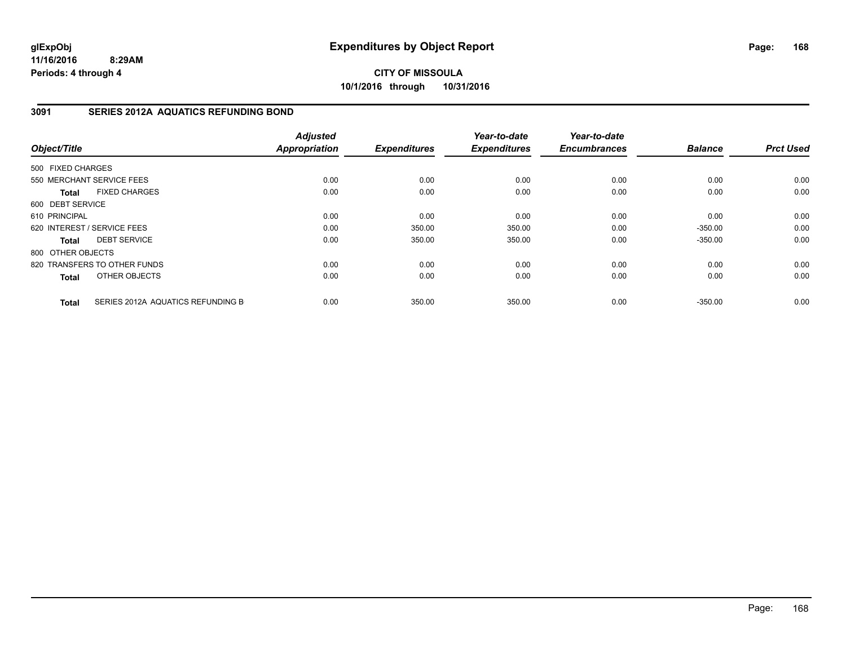**CITY OF MISSOULA 10/1/2016 through 10/31/2016**

#### **3091 SERIES 2012A AQUATICS REFUNDING BOND**

| Object/Title      |                                   | <b>Adjusted</b><br><b>Appropriation</b> | <b>Expenditures</b> | Year-to-date<br><b>Expenditures</b> | Year-to-date<br><b>Encumbrances</b> | <b>Balance</b> | <b>Prct Used</b> |
|-------------------|-----------------------------------|-----------------------------------------|---------------------|-------------------------------------|-------------------------------------|----------------|------------------|
|                   |                                   |                                         |                     |                                     |                                     |                |                  |
| 500 FIXED CHARGES |                                   |                                         |                     |                                     |                                     |                |                  |
|                   | 550 MERCHANT SERVICE FEES         | 0.00                                    | 0.00                | 0.00                                | 0.00                                | 0.00           | 0.00             |
| <b>Total</b>      | <b>FIXED CHARGES</b>              | 0.00                                    | 0.00                | 0.00                                | 0.00                                | 0.00           | 0.00             |
| 600 DEBT SERVICE  |                                   |                                         |                     |                                     |                                     |                |                  |
| 610 PRINCIPAL     |                                   | 0.00                                    | 0.00                | 0.00                                | 0.00                                | 0.00           | 0.00             |
|                   | 620 INTEREST / SERVICE FEES       | 0.00                                    | 350.00              | 350.00                              | 0.00                                | $-350.00$      | 0.00             |
| <b>Total</b>      | <b>DEBT SERVICE</b>               | 0.00                                    | 350.00              | 350.00                              | 0.00                                | $-350.00$      | 0.00             |
| 800 OTHER OBJECTS |                                   |                                         |                     |                                     |                                     |                |                  |
|                   | 820 TRANSFERS TO OTHER FUNDS      | 0.00                                    | 0.00                | 0.00                                | 0.00                                | 0.00           | 0.00             |
| <b>Total</b>      | OTHER OBJECTS                     | 0.00                                    | 0.00                | 0.00                                | 0.00                                | 0.00           | 0.00             |
| <b>Total</b>      | SERIES 2012A AQUATICS REFUNDING B | 0.00                                    | 350.00              | 350.00                              | 0.00                                | $-350.00$      | 0.00             |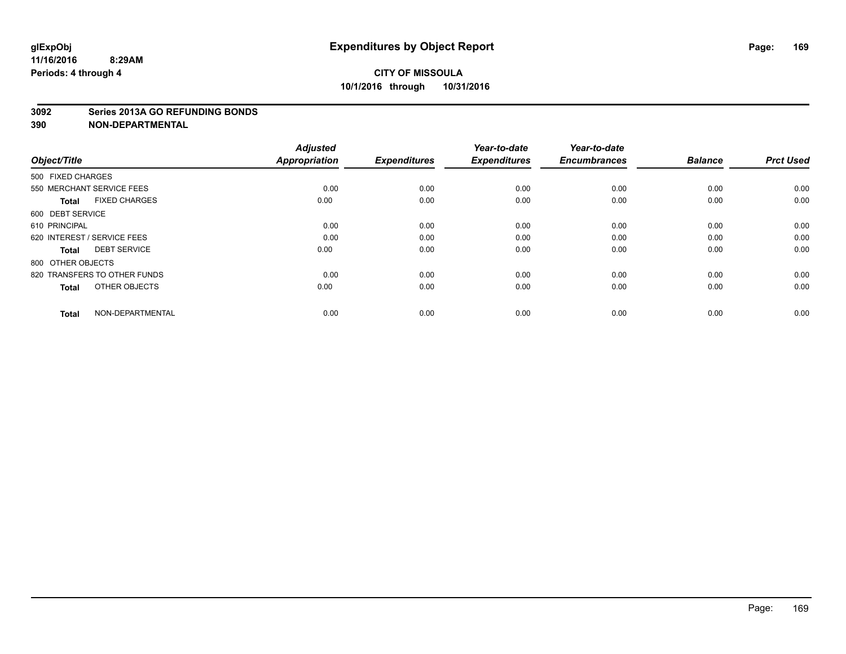## **CITY OF MISSOULA 10/1/2016 through 10/31/2016**

#### **3092 Series 2013A GO REFUNDING BONDS**

| Object/Title                         | <b>Adjusted</b><br><b>Appropriation</b> | <b>Expenditures</b> | Year-to-date<br><b>Expenditures</b> | Year-to-date<br><b>Encumbrances</b> | <b>Balance</b> | <b>Prct Used</b> |
|--------------------------------------|-----------------------------------------|---------------------|-------------------------------------|-------------------------------------|----------------|------------------|
| 500 FIXED CHARGES                    |                                         |                     |                                     |                                     |                |                  |
| 550 MERCHANT SERVICE FEES            | 0.00                                    | 0.00                | 0.00                                | 0.00                                | 0.00           | 0.00             |
| <b>FIXED CHARGES</b><br><b>Total</b> | 0.00                                    | 0.00                | 0.00                                | 0.00                                | 0.00           | 0.00             |
| 600 DEBT SERVICE                     |                                         |                     |                                     |                                     |                |                  |
| 610 PRINCIPAL                        | 0.00                                    | 0.00                | 0.00                                | 0.00                                | 0.00           | 0.00             |
| 620 INTEREST / SERVICE FEES          | 0.00                                    | 0.00                | 0.00                                | 0.00                                | 0.00           | 0.00             |
| <b>DEBT SERVICE</b><br><b>Total</b>  | 0.00                                    | 0.00                | 0.00                                | 0.00                                | 0.00           | 0.00             |
| 800 OTHER OBJECTS                    |                                         |                     |                                     |                                     |                |                  |
| 820 TRANSFERS TO OTHER FUNDS         | 0.00                                    | 0.00                | 0.00                                | 0.00                                | 0.00           | 0.00             |
| OTHER OBJECTS<br><b>Total</b>        | 0.00                                    | 0.00                | 0.00                                | 0.00                                | 0.00           | 0.00             |
|                                      |                                         |                     |                                     |                                     |                |                  |
| NON-DEPARTMENTAL<br><b>Total</b>     | 0.00                                    | 0.00                | 0.00                                | 0.00                                | 0.00           | 0.00             |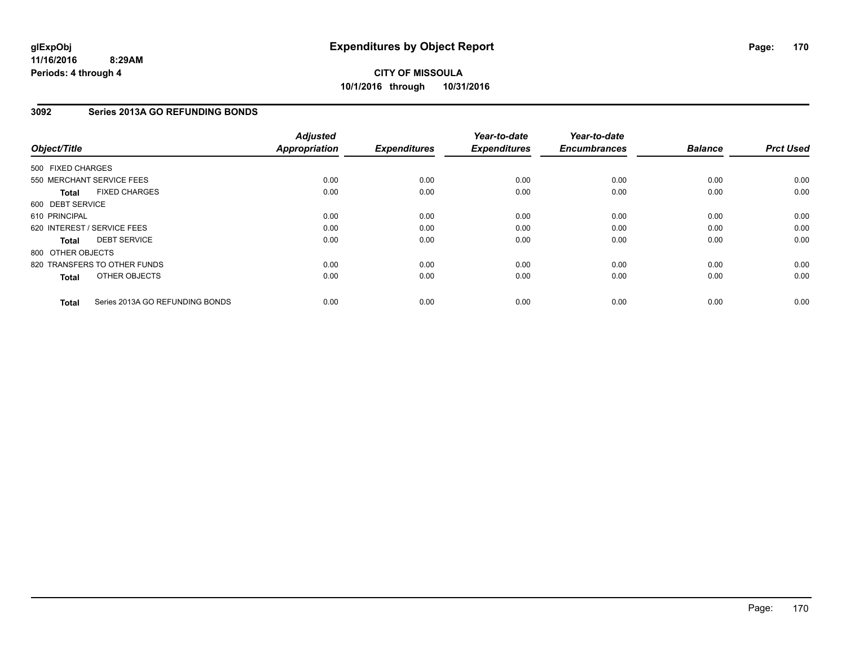## **3092 Series 2013A GO REFUNDING BONDS**

| Object/Title      |                                 | <b>Adjusted</b><br><b>Appropriation</b> | <b>Expenditures</b> | Year-to-date<br><b>Expenditures</b> | Year-to-date<br><b>Encumbrances</b> | <b>Balance</b> | <b>Prct Used</b> |
|-------------------|---------------------------------|-----------------------------------------|---------------------|-------------------------------------|-------------------------------------|----------------|------------------|
| 500 FIXED CHARGES |                                 |                                         |                     |                                     |                                     |                |                  |
|                   | 550 MERCHANT SERVICE FEES       | 0.00                                    | 0.00                | 0.00                                | 0.00                                | 0.00           | 0.00             |
| <b>Total</b>      | <b>FIXED CHARGES</b>            | 0.00                                    | 0.00                | 0.00                                | 0.00                                | 0.00           | 0.00             |
| 600 DEBT SERVICE  |                                 |                                         |                     |                                     |                                     |                |                  |
| 610 PRINCIPAL     |                                 | 0.00                                    | 0.00                | 0.00                                | 0.00                                | 0.00           | 0.00             |
|                   | 620 INTEREST / SERVICE FEES     | 0.00                                    | 0.00                | 0.00                                | 0.00                                | 0.00           | 0.00             |
| <b>Total</b>      | <b>DEBT SERVICE</b>             | 0.00                                    | 0.00                | 0.00                                | 0.00                                | 0.00           | 0.00             |
| 800 OTHER OBJECTS |                                 |                                         |                     |                                     |                                     |                |                  |
|                   | 820 TRANSFERS TO OTHER FUNDS    | 0.00                                    | 0.00                | 0.00                                | 0.00                                | 0.00           | 0.00             |
| <b>Total</b>      | OTHER OBJECTS                   | 0.00                                    | 0.00                | 0.00                                | 0.00                                | 0.00           | 0.00             |
| <b>Total</b>      | Series 2013A GO REFUNDING BONDS | 0.00                                    | 0.00                | 0.00                                | 0.00                                | 0.00           | 0.00             |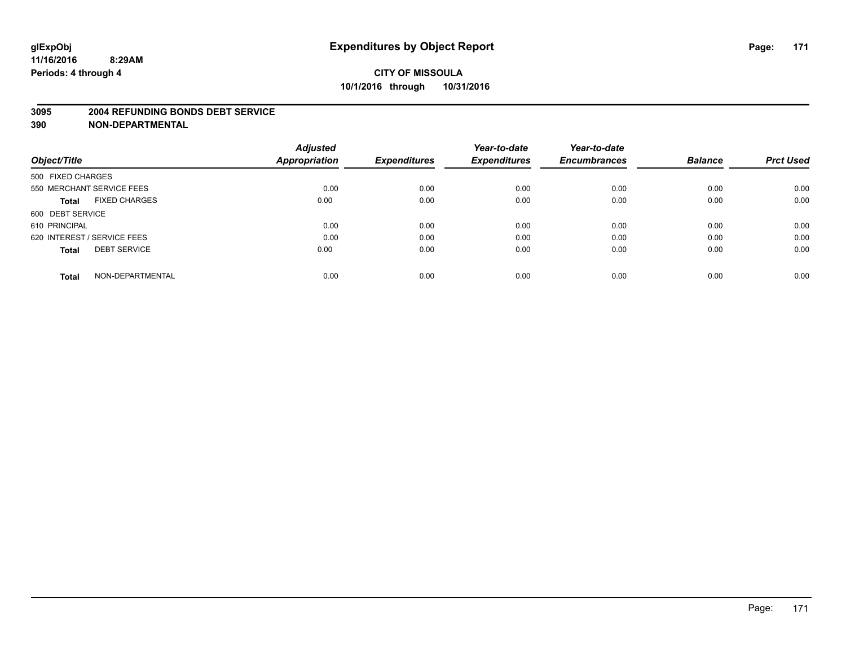#### **3095 2004 REFUNDING BONDS DEBT SERVICE**

|                                      | <b>Adjusted</b>      |                     | Year-to-date        | Year-to-date        |                |                  |
|--------------------------------------|----------------------|---------------------|---------------------|---------------------|----------------|------------------|
| Object/Title                         | <b>Appropriation</b> | <b>Expenditures</b> | <b>Expenditures</b> | <b>Encumbrances</b> | <b>Balance</b> | <b>Prct Used</b> |
| 500 FIXED CHARGES                    |                      |                     |                     |                     |                |                  |
| 550 MERCHANT SERVICE FEES            | 0.00                 | 0.00                | 0.00                | 0.00                | 0.00           | 0.00             |
| <b>FIXED CHARGES</b><br><b>Total</b> | 0.00                 | 0.00                | 0.00                | 0.00                | 0.00           | 0.00             |
| 600 DEBT SERVICE                     |                      |                     |                     |                     |                |                  |
| 610 PRINCIPAL                        | 0.00                 | 0.00                | 0.00                | 0.00                | 0.00           | 0.00             |
| 620 INTEREST / SERVICE FEES          | 0.00                 | 0.00                | 0.00                | 0.00                | 0.00           | 0.00             |
| <b>DEBT SERVICE</b><br><b>Total</b>  | 0.00                 | 0.00                | 0.00                | 0.00                | 0.00           | 0.00             |
| NON-DEPARTMENTAL<br><b>Total</b>     | 0.00                 | 0.00                | 0.00                | 0.00                | 0.00           | 0.00             |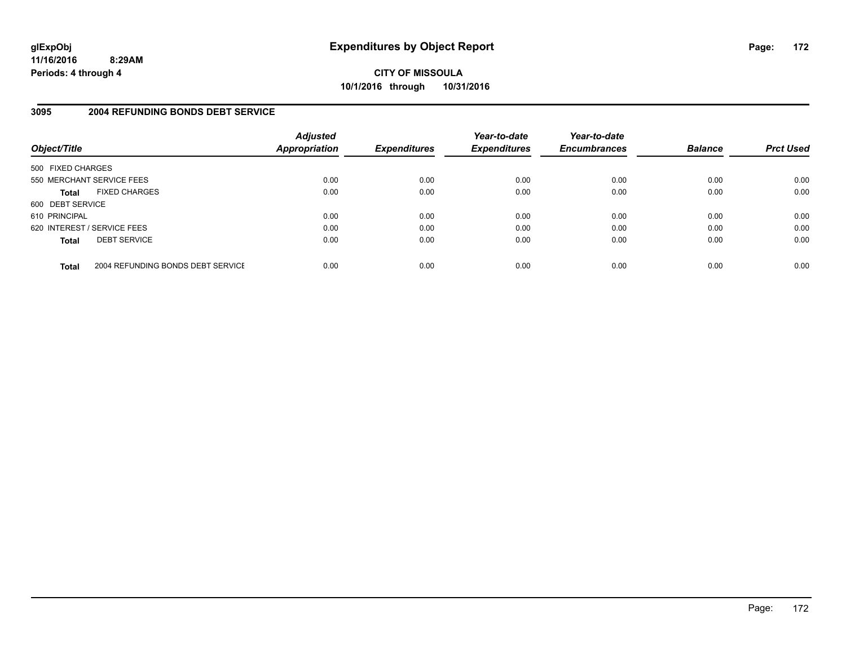**CITY OF MISSOULA 10/1/2016 through 10/31/2016**

#### **3095 2004 REFUNDING BONDS DEBT SERVICE**

| Object/Title                |                                   | <b>Adjusted</b><br><b>Appropriation</b> | <b>Expenditures</b> | Year-to-date<br><b>Expenditures</b> | Year-to-date<br><b>Encumbrances</b> | <b>Balance</b> | <b>Prct Used</b> |
|-----------------------------|-----------------------------------|-----------------------------------------|---------------------|-------------------------------------|-------------------------------------|----------------|------------------|
| 500 FIXED CHARGES           |                                   |                                         |                     |                                     |                                     |                |                  |
|                             | 550 MERCHANT SERVICE FEES         | 0.00                                    | 0.00                | 0.00                                | 0.00                                | 0.00           | 0.00             |
| <b>Total</b>                | <b>FIXED CHARGES</b>              | 0.00                                    | 0.00                | 0.00                                | 0.00                                | 0.00           | 0.00             |
| 600 DEBT SERVICE            |                                   |                                         |                     |                                     |                                     |                |                  |
| 610 PRINCIPAL               |                                   | 0.00                                    | 0.00                | 0.00                                | 0.00                                | 0.00           | 0.00             |
| 620 INTEREST / SERVICE FEES |                                   | 0.00                                    | 0.00                | 0.00                                | 0.00                                | 0.00           | 0.00             |
| <b>Total</b>                | <b>DEBT SERVICE</b>               | 0.00                                    | 0.00                | 0.00                                | 0.00                                | 0.00           | 0.00             |
| <b>Total</b>                | 2004 REFUNDING BONDS DEBT SERVICE | 0.00                                    | 0.00                | 0.00                                | 0.00                                | 0.00           | 0.00             |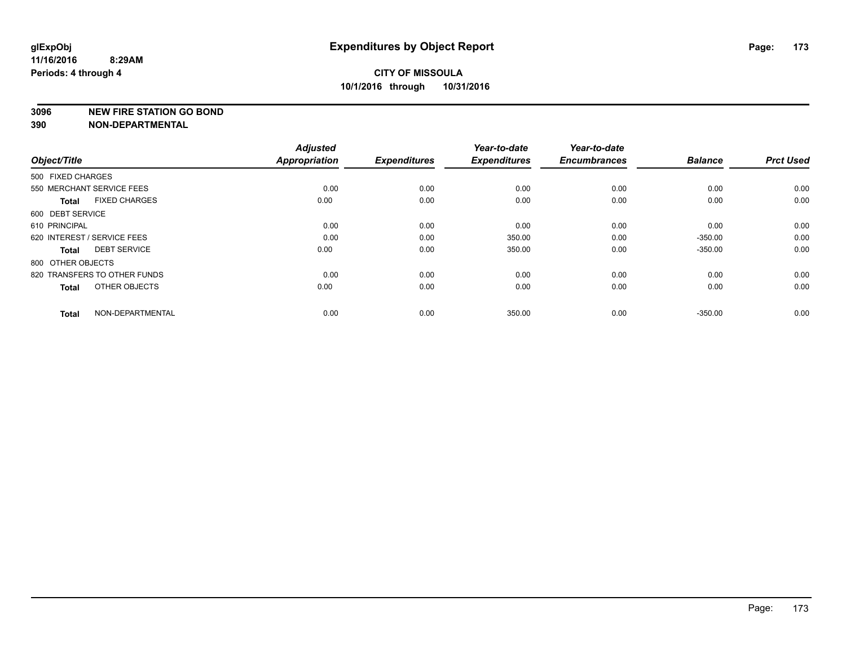#### **3096 NEW FIRE STATION GO BOND**

| Object/Title                         | <b>Adjusted</b><br><b>Appropriation</b> | <b>Expenditures</b> | Year-to-date<br><b>Expenditures</b> | Year-to-date<br><b>Encumbrances</b> | <b>Balance</b> | <b>Prct Used</b> |
|--------------------------------------|-----------------------------------------|---------------------|-------------------------------------|-------------------------------------|----------------|------------------|
| 500 FIXED CHARGES                    |                                         |                     |                                     |                                     |                |                  |
| 550 MERCHANT SERVICE FEES            | 0.00                                    | 0.00                | 0.00                                | 0.00                                | 0.00           | 0.00             |
| <b>FIXED CHARGES</b><br><b>Total</b> | 0.00                                    | 0.00                | 0.00                                | 0.00                                | 0.00           | 0.00             |
| 600 DEBT SERVICE                     |                                         |                     |                                     |                                     |                |                  |
| 610 PRINCIPAL                        | 0.00                                    | 0.00                | 0.00                                | 0.00                                | 0.00           | 0.00             |
| 620 INTEREST / SERVICE FEES          | 0.00                                    | 0.00                | 350.00                              | 0.00                                | $-350.00$      | 0.00             |
| <b>DEBT SERVICE</b><br><b>Total</b>  | 0.00                                    | 0.00                | 350.00                              | 0.00                                | $-350.00$      | 0.00             |
| 800 OTHER OBJECTS                    |                                         |                     |                                     |                                     |                |                  |
| 820 TRANSFERS TO OTHER FUNDS         | 0.00                                    | 0.00                | 0.00                                | 0.00                                | 0.00           | 0.00             |
| OTHER OBJECTS<br><b>Total</b>        | 0.00                                    | 0.00                | 0.00                                | 0.00                                | 0.00           | 0.00             |
|                                      |                                         |                     |                                     |                                     |                |                  |
| NON-DEPARTMENTAL<br><b>Total</b>     | 0.00                                    | 0.00                | 350.00                              | 0.00                                | $-350.00$      | 0.00             |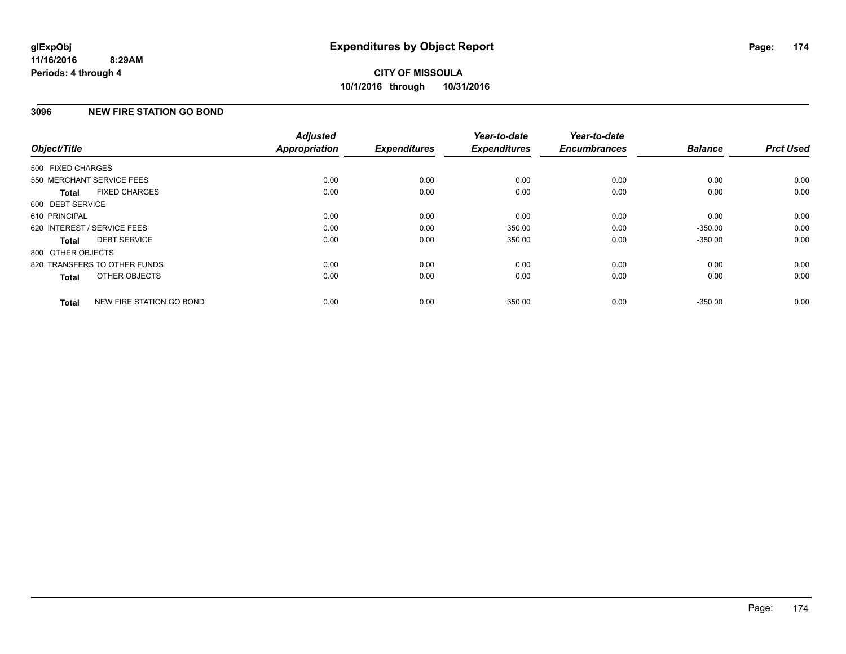# **3096 NEW FIRE STATION GO BOND**

| Object/Title      |                              | <b>Adjusted</b><br><b>Appropriation</b> | <b>Expenditures</b> | Year-to-date<br><b>Expenditures</b> | Year-to-date<br><b>Encumbrances</b> | <b>Balance</b> | <b>Prct Used</b> |
|-------------------|------------------------------|-----------------------------------------|---------------------|-------------------------------------|-------------------------------------|----------------|------------------|
| 500 FIXED CHARGES |                              |                                         |                     |                                     |                                     |                |                  |
|                   | 550 MERCHANT SERVICE FEES    | 0.00                                    | 0.00                | 0.00                                | 0.00                                | 0.00           | 0.00             |
| <b>Total</b>      | <b>FIXED CHARGES</b>         | 0.00                                    | 0.00                | 0.00                                | 0.00                                | 0.00           | 0.00             |
| 600 DEBT SERVICE  |                              |                                         |                     |                                     |                                     |                |                  |
| 610 PRINCIPAL     |                              | 0.00                                    | 0.00                | 0.00                                | 0.00                                | 0.00           | 0.00             |
|                   | 620 INTEREST / SERVICE FEES  | 0.00                                    | 0.00                | 350.00                              | 0.00                                | $-350.00$      | 0.00             |
| <b>Total</b>      | <b>DEBT SERVICE</b>          | 0.00                                    | 0.00                | 350.00                              | 0.00                                | $-350.00$      | 0.00             |
| 800 OTHER OBJECTS |                              |                                         |                     |                                     |                                     |                |                  |
|                   | 820 TRANSFERS TO OTHER FUNDS | 0.00                                    | 0.00                | 0.00                                | 0.00                                | 0.00           | 0.00             |
| <b>Total</b>      | OTHER OBJECTS                | 0.00                                    | 0.00                | 0.00                                | 0.00                                | 0.00           | 0.00             |
| <b>Total</b>      | NEW FIRE STATION GO BOND     | 0.00                                    | 0.00                | 350.00                              | 0.00                                | $-350.00$      | 0.00             |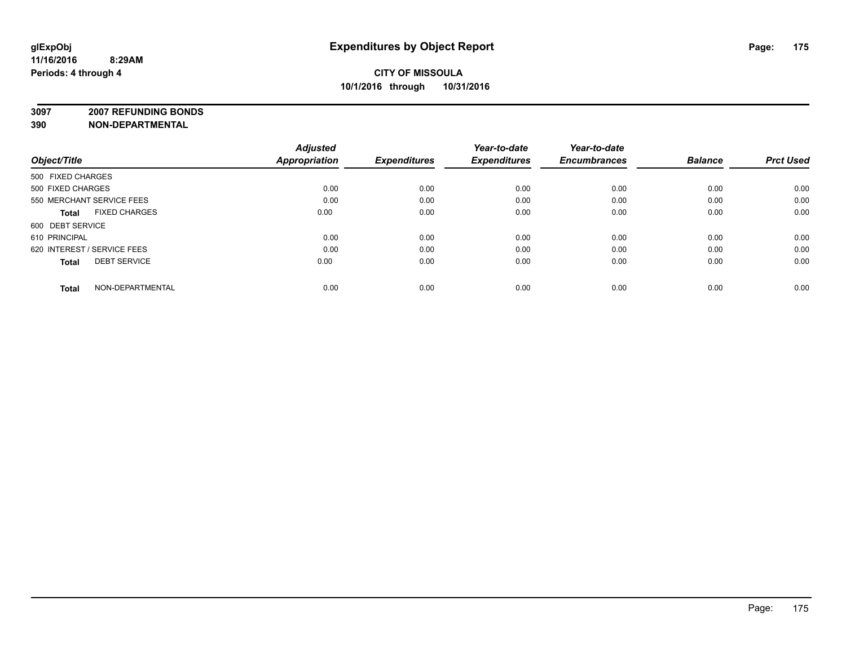**3097 2007 REFUNDING BONDS**

| Object/Title                         | <b>Adjusted</b><br><b>Appropriation</b> | <b>Expenditures</b> | Year-to-date<br><b>Expenditures</b> | Year-to-date<br><b>Encumbrances</b> | <b>Balance</b> | <b>Prct Used</b> |
|--------------------------------------|-----------------------------------------|---------------------|-------------------------------------|-------------------------------------|----------------|------------------|
| 500 FIXED CHARGES                    |                                         |                     |                                     |                                     |                |                  |
| 500 FIXED CHARGES                    | 0.00                                    | 0.00                | 0.00                                | 0.00                                | 0.00           | 0.00             |
| 550 MERCHANT SERVICE FEES            | 0.00                                    | 0.00                | 0.00                                | 0.00                                | 0.00           | 0.00             |
| <b>FIXED CHARGES</b><br><b>Total</b> | 0.00                                    | 0.00                | 0.00                                | 0.00                                | 0.00           | 0.00             |
| 600 DEBT SERVICE                     |                                         |                     |                                     |                                     |                |                  |
| 610 PRINCIPAL                        | 0.00                                    | 0.00                | 0.00                                | 0.00                                | 0.00           | 0.00             |
| 620 INTEREST / SERVICE FEES          | 0.00                                    | 0.00                | 0.00                                | 0.00                                | 0.00           | 0.00             |
| <b>DEBT SERVICE</b><br><b>Total</b>  | 0.00                                    | 0.00                | 0.00                                | 0.00                                | 0.00           | 0.00             |
| NON-DEPARTMENTAL<br><b>Total</b>     | 0.00                                    | 0.00                | 0.00                                | 0.00                                | 0.00           | 0.00             |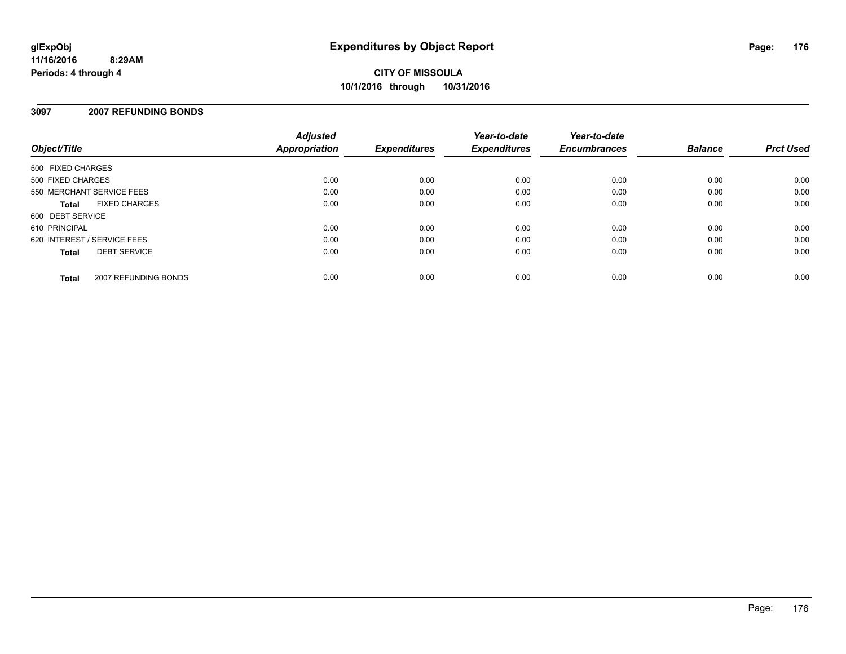### **3097 2007 REFUNDING BONDS**

| Object/Title                        |                      | <b>Adjusted</b><br>Appropriation | <b>Expenditures</b> | Year-to-date<br><b>Expenditures</b> | Year-to-date<br><b>Encumbrances</b> | <b>Balance</b> | <b>Prct Used</b> |
|-------------------------------------|----------------------|----------------------------------|---------------------|-------------------------------------|-------------------------------------|----------------|------------------|
| 500 FIXED CHARGES                   |                      |                                  |                     |                                     |                                     |                |                  |
| 500 FIXED CHARGES                   |                      | 0.00                             | 0.00                | 0.00                                | 0.00                                | 0.00           | 0.00             |
| 550 MERCHANT SERVICE FEES           |                      | 0.00                             | 0.00                | 0.00                                | 0.00                                | 0.00           | 0.00             |
| Total                               | <b>FIXED CHARGES</b> | 0.00                             | 0.00                | 0.00                                | 0.00                                | 0.00           | 0.00             |
| 600 DEBT SERVICE                    |                      |                                  |                     |                                     |                                     |                |                  |
| 610 PRINCIPAL                       |                      | 0.00                             | 0.00                | 0.00                                | 0.00                                | 0.00           | 0.00             |
| 620 INTEREST / SERVICE FEES         |                      | 0.00                             | 0.00                | 0.00                                | 0.00                                | 0.00           | 0.00             |
| <b>DEBT SERVICE</b><br><b>Total</b> |                      | 0.00                             | 0.00                | 0.00                                | 0.00                                | 0.00           | 0.00             |
| <b>Total</b>                        | 2007 REFUNDING BONDS | 0.00                             | 0.00                | 0.00                                | 0.00                                | 0.00           | 0.00             |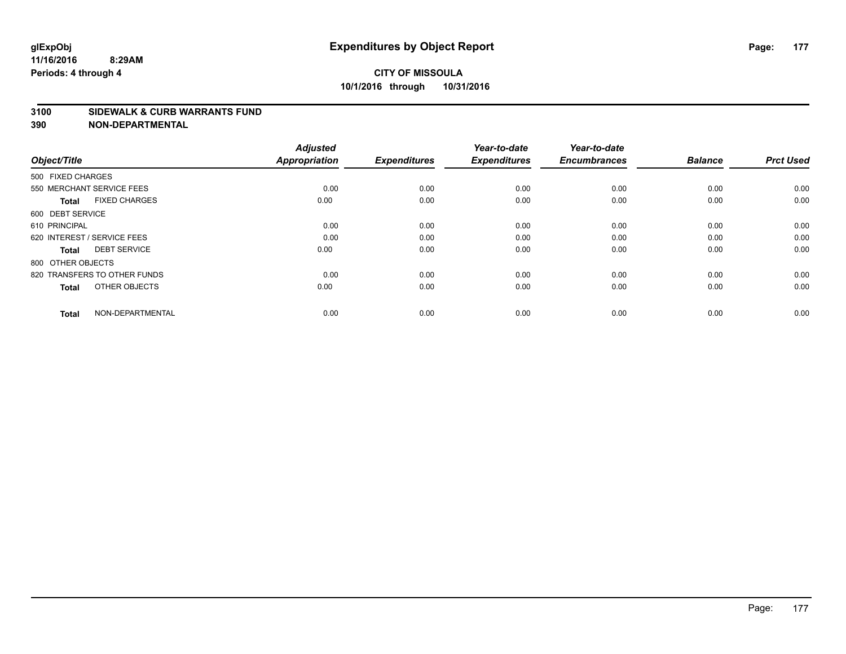# **CITY OF MISSOULA 10/1/2016 through 10/31/2016**

#### **3100 SIDEWALK & CURB WARRANTS FUND**

| Object/Title                         | <b>Adjusted</b><br><b>Appropriation</b> | <b>Expenditures</b> | Year-to-date<br><b>Expenditures</b> | Year-to-date<br><b>Encumbrances</b> | <b>Balance</b> | <b>Prct Used</b> |
|--------------------------------------|-----------------------------------------|---------------------|-------------------------------------|-------------------------------------|----------------|------------------|
| 500 FIXED CHARGES                    |                                         |                     |                                     |                                     |                |                  |
| 550 MERCHANT SERVICE FEES            | 0.00                                    | 0.00                | 0.00                                | 0.00                                | 0.00           | 0.00             |
| <b>FIXED CHARGES</b><br><b>Total</b> | 0.00                                    | 0.00                | 0.00                                | 0.00                                | 0.00           | 0.00             |
| 600 DEBT SERVICE                     |                                         |                     |                                     |                                     |                |                  |
| 610 PRINCIPAL                        | 0.00                                    | 0.00                | 0.00                                | 0.00                                | 0.00           | 0.00             |
| 620 INTEREST / SERVICE FEES          | 0.00                                    | 0.00                | 0.00                                | 0.00                                | 0.00           | 0.00             |
| <b>DEBT SERVICE</b><br><b>Total</b>  | 0.00                                    | 0.00                | 0.00                                | 0.00                                | 0.00           | 0.00             |
| 800 OTHER OBJECTS                    |                                         |                     |                                     |                                     |                |                  |
| 820 TRANSFERS TO OTHER FUNDS         | 0.00                                    | 0.00                | 0.00                                | 0.00                                | 0.00           | 0.00             |
| OTHER OBJECTS<br><b>Total</b>        | 0.00                                    | 0.00                | 0.00                                | 0.00                                | 0.00           | 0.00             |
|                                      |                                         |                     |                                     |                                     |                |                  |
| NON-DEPARTMENTAL<br><b>Total</b>     | 0.00                                    | 0.00                | 0.00                                | 0.00                                | 0.00           | 0.00             |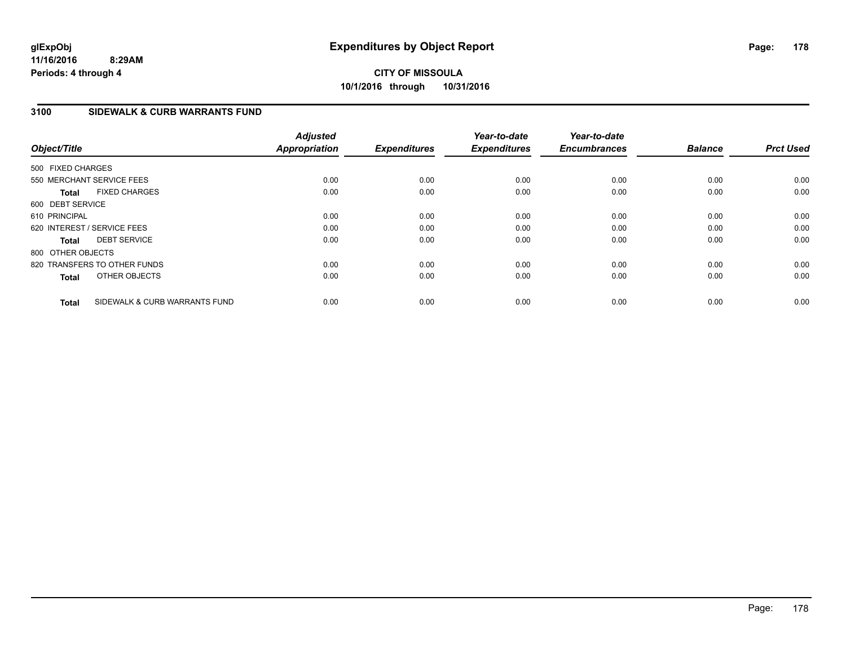**CITY OF MISSOULA 10/1/2016 through 10/31/2016**

### **3100 SIDEWALK & CURB WARRANTS FUND**

| Object/Title      |                               | <b>Adjusted</b><br><b>Appropriation</b> | <b>Expenditures</b> | Year-to-date<br><b>Expenditures</b> | Year-to-date<br><b>Encumbrances</b> | <b>Balance</b> | <b>Prct Used</b> |
|-------------------|-------------------------------|-----------------------------------------|---------------------|-------------------------------------|-------------------------------------|----------------|------------------|
| 500 FIXED CHARGES |                               |                                         |                     |                                     |                                     |                |                  |
|                   | 550 MERCHANT SERVICE FEES     | 0.00                                    | 0.00                | 0.00                                | 0.00                                | 0.00           | 0.00             |
| <b>Total</b>      | <b>FIXED CHARGES</b>          | 0.00                                    | 0.00                | 0.00                                | 0.00                                | 0.00           | 0.00             |
| 600 DEBT SERVICE  |                               |                                         |                     |                                     |                                     |                |                  |
| 610 PRINCIPAL     |                               | 0.00                                    | 0.00                | 0.00                                | 0.00                                | 0.00           | 0.00             |
|                   | 620 INTEREST / SERVICE FEES   | 0.00                                    | 0.00                | 0.00                                | 0.00                                | 0.00           | 0.00             |
| <b>Total</b>      | <b>DEBT SERVICE</b>           | 0.00                                    | 0.00                | 0.00                                | 0.00                                | 0.00           | 0.00             |
| 800 OTHER OBJECTS |                               |                                         |                     |                                     |                                     |                |                  |
|                   | 820 TRANSFERS TO OTHER FUNDS  | 0.00                                    | 0.00                | 0.00                                | 0.00                                | 0.00           | 0.00             |
| <b>Total</b>      | OTHER OBJECTS                 | 0.00                                    | 0.00                | 0.00                                | 0.00                                | 0.00           | 0.00             |
| <b>Total</b>      | SIDEWALK & CURB WARRANTS FUND | 0.00                                    | 0.00                | 0.00                                | 0.00                                | 0.00           | 0.00             |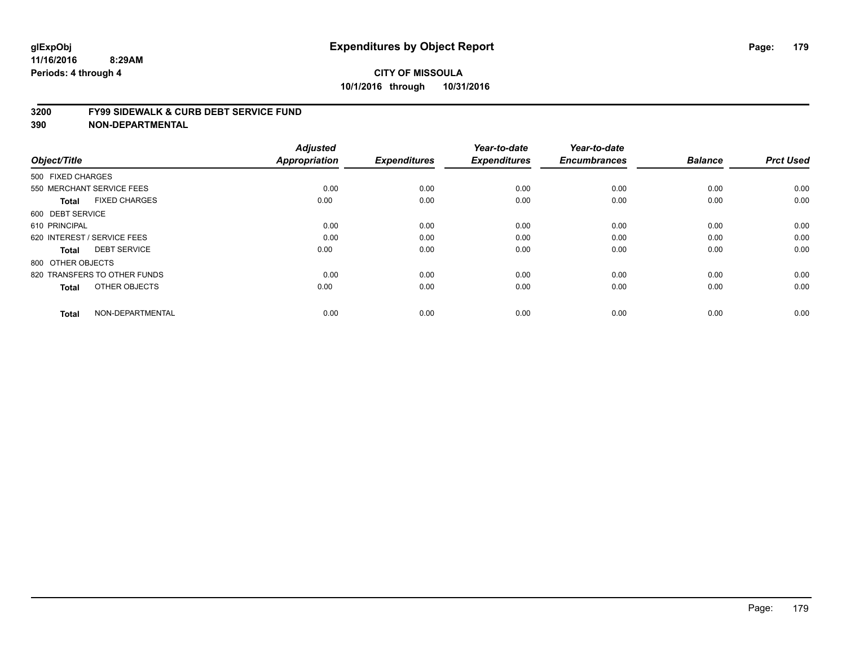#### **3200 FY99 SIDEWALK & CURB DEBT SERVICE FUND**

| Object/Title                         | <b>Adjusted</b><br>Appropriation | <b>Expenditures</b> | Year-to-date<br><b>Expenditures</b> | Year-to-date<br><b>Encumbrances</b> | <b>Balance</b> | <b>Prct Used</b> |
|--------------------------------------|----------------------------------|---------------------|-------------------------------------|-------------------------------------|----------------|------------------|
| 500 FIXED CHARGES                    |                                  |                     |                                     |                                     |                |                  |
| 550 MERCHANT SERVICE FEES            | 0.00                             | 0.00                | 0.00                                | 0.00                                | 0.00           | 0.00             |
| <b>FIXED CHARGES</b><br><b>Total</b> | 0.00                             | 0.00                | 0.00                                | 0.00                                | 0.00           | 0.00             |
| 600 DEBT SERVICE                     |                                  |                     |                                     |                                     |                |                  |
| 610 PRINCIPAL                        | 0.00                             | 0.00                | 0.00                                | 0.00                                | 0.00           | 0.00             |
| 620 INTEREST / SERVICE FEES          | 0.00                             | 0.00                | 0.00                                | 0.00                                | 0.00           | 0.00             |
| <b>DEBT SERVICE</b><br><b>Total</b>  | 0.00                             | 0.00                | 0.00                                | 0.00                                | 0.00           | 0.00             |
| 800 OTHER OBJECTS                    |                                  |                     |                                     |                                     |                |                  |
| 820 TRANSFERS TO OTHER FUNDS         | 0.00                             | 0.00                | 0.00                                | 0.00                                | 0.00           | 0.00             |
| OTHER OBJECTS<br><b>Total</b>        | 0.00                             | 0.00                | 0.00                                | 0.00                                | 0.00           | 0.00             |
|                                      |                                  |                     |                                     |                                     |                |                  |
| NON-DEPARTMENTAL<br><b>Total</b>     | 0.00                             | 0.00                | 0.00                                | 0.00                                | 0.00           | 0.00             |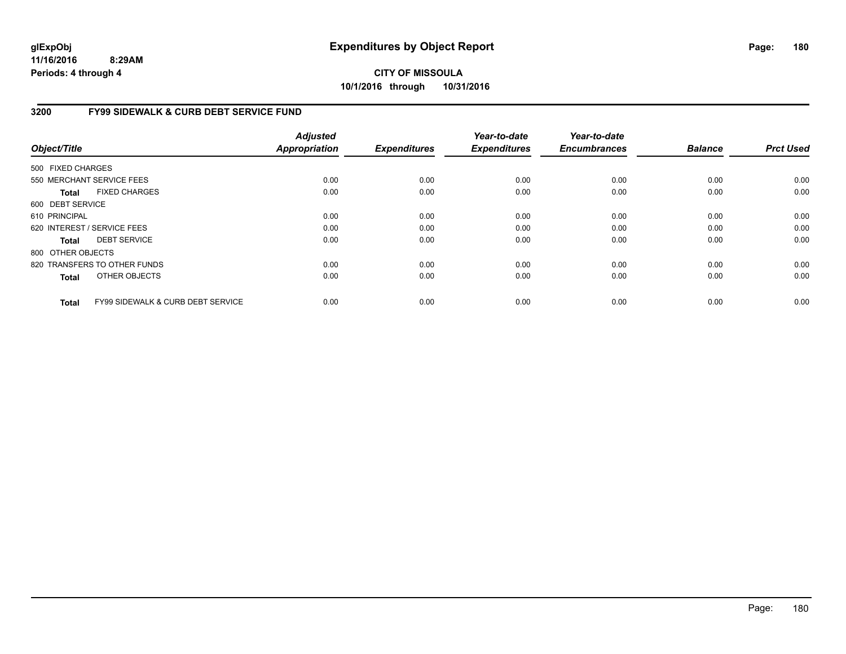**CITY OF MISSOULA 10/1/2016 through 10/31/2016**

#### **3200 FY99 SIDEWALK & CURB DEBT SERVICE FUND**

| Object/Title      |                                              | <b>Adjusted</b><br><b>Appropriation</b> | <b>Expenditures</b> | Year-to-date<br><b>Expenditures</b> | Year-to-date<br><b>Encumbrances</b> | <b>Balance</b> | <b>Prct Used</b> |
|-------------------|----------------------------------------------|-----------------------------------------|---------------------|-------------------------------------|-------------------------------------|----------------|------------------|
| 500 FIXED CHARGES |                                              |                                         |                     |                                     |                                     |                |                  |
|                   | 550 MERCHANT SERVICE FEES                    | 0.00                                    | 0.00                | 0.00                                | 0.00                                | 0.00           | 0.00             |
|                   |                                              |                                         |                     |                                     |                                     |                |                  |
| <b>Total</b>      | <b>FIXED CHARGES</b>                         | 0.00                                    | 0.00                | 0.00                                | 0.00                                | 0.00           | 0.00             |
| 600 DEBT SERVICE  |                                              |                                         |                     |                                     |                                     |                |                  |
| 610 PRINCIPAL     |                                              | 0.00                                    | 0.00                | 0.00                                | 0.00                                | 0.00           | 0.00             |
|                   | 620 INTEREST / SERVICE FEES                  | 0.00                                    | 0.00                | 0.00                                | 0.00                                | 0.00           | 0.00             |
| <b>Total</b>      | <b>DEBT SERVICE</b>                          | 0.00                                    | 0.00                | 0.00                                | 0.00                                | 0.00           | 0.00             |
| 800 OTHER OBJECTS |                                              |                                         |                     |                                     |                                     |                |                  |
|                   | 820 TRANSFERS TO OTHER FUNDS                 | 0.00                                    | 0.00                | 0.00                                | 0.00                                | 0.00           | 0.00             |
| <b>Total</b>      | OTHER OBJECTS                                | 0.00                                    | 0.00                | 0.00                                | 0.00                                | 0.00           | 0.00             |
| <b>Total</b>      | <b>FY99 SIDEWALK &amp; CURB DEBT SERVICE</b> | 0.00                                    | 0.00                | 0.00                                | 0.00                                | 0.00           | 0.00             |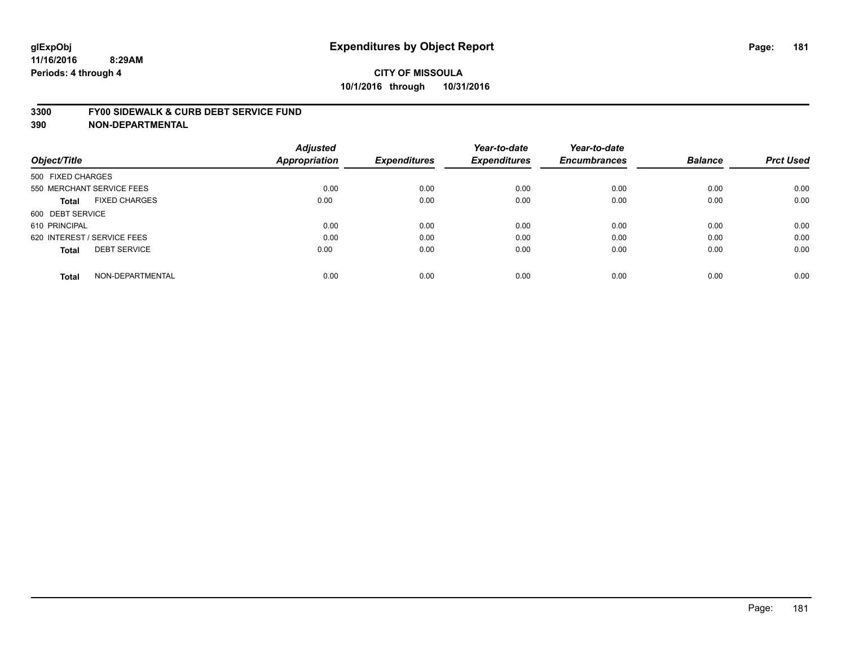#### **3300 FY00 SIDEWALK & CURB DEBT SERVICE FUND**

|                                      | <b>Adjusted</b>      |                     | Year-to-date        | Year-to-date        |                |                  |
|--------------------------------------|----------------------|---------------------|---------------------|---------------------|----------------|------------------|
| Object/Title                         | <b>Appropriation</b> | <b>Expenditures</b> | <b>Expenditures</b> | <b>Encumbrances</b> | <b>Balance</b> | <b>Prct Used</b> |
| 500 FIXED CHARGES                    |                      |                     |                     |                     |                |                  |
| 550 MERCHANT SERVICE FEES            | 0.00                 | 0.00                | 0.00                | 0.00                | 0.00           | 0.00             |
| <b>FIXED CHARGES</b><br><b>Total</b> | 0.00                 | 0.00                | 0.00                | 0.00                | 0.00           | 0.00             |
| 600 DEBT SERVICE                     |                      |                     |                     |                     |                |                  |
| 610 PRINCIPAL                        | 0.00                 | 0.00                | 0.00                | 0.00                | 0.00           | 0.00             |
| 620 INTEREST / SERVICE FEES          | 0.00                 | 0.00                | 0.00                | 0.00                | 0.00           | 0.00             |
| <b>DEBT SERVICE</b><br><b>Total</b>  | 0.00                 | 0.00                | 0.00                | 0.00                | 0.00           | 0.00             |
| NON-DEPARTMENTAL<br><b>Total</b>     | 0.00                 | 0.00                | 0.00                | 0.00                | 0.00           | 0.00             |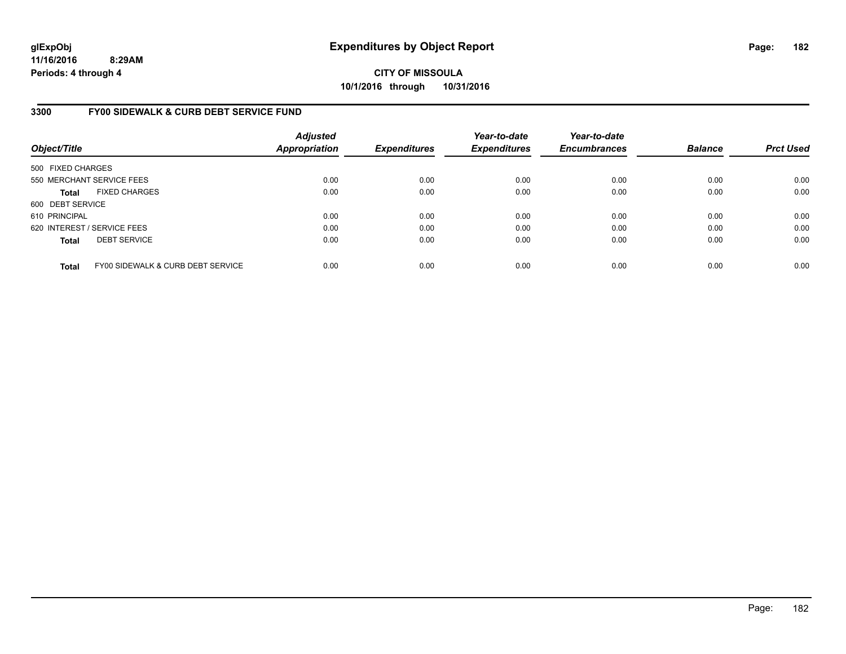**11/16/2016 8:29AM Periods: 4 through 4**

**CITY OF MISSOULA 10/1/2016 through 10/31/2016**

### **3300 FY00 SIDEWALK & CURB DEBT SERVICE FUND**

| Object/Title      |                                   | <b>Adjusted</b><br><b>Appropriation</b> | <b>Expenditures</b> | Year-to-date<br><b>Expenditures</b> | Year-to-date<br><b>Encumbrances</b> | <b>Balance</b> | <b>Prct Used</b> |
|-------------------|-----------------------------------|-----------------------------------------|---------------------|-------------------------------------|-------------------------------------|----------------|------------------|
| 500 FIXED CHARGES |                                   |                                         |                     |                                     |                                     |                |                  |
|                   | 550 MERCHANT SERVICE FEES         | 0.00                                    | 0.00                | 0.00                                | 0.00                                | 0.00           | 0.00             |
| <b>Total</b>      | <b>FIXED CHARGES</b>              | 0.00                                    | 0.00                | 0.00                                | 0.00                                | 0.00           | 0.00             |
| 600 DEBT SERVICE  |                                   |                                         |                     |                                     |                                     |                |                  |
| 610 PRINCIPAL     |                                   | 0.00                                    | 0.00                | 0.00                                | 0.00                                | 0.00           | 0.00             |
|                   | 620 INTEREST / SERVICE FEES       | 0.00                                    | 0.00                | 0.00                                | 0.00                                | 0.00           | 0.00             |
| <b>Total</b>      | <b>DEBT SERVICE</b>               | 0.00                                    | 0.00                | 0.00                                | 0.00                                | 0.00           | 0.00             |
| <b>Total</b>      | FY00 SIDEWALK & CURB DEBT SERVICE | 0.00                                    | 0.00                | 0.00                                | 0.00                                | 0.00           | 0.00             |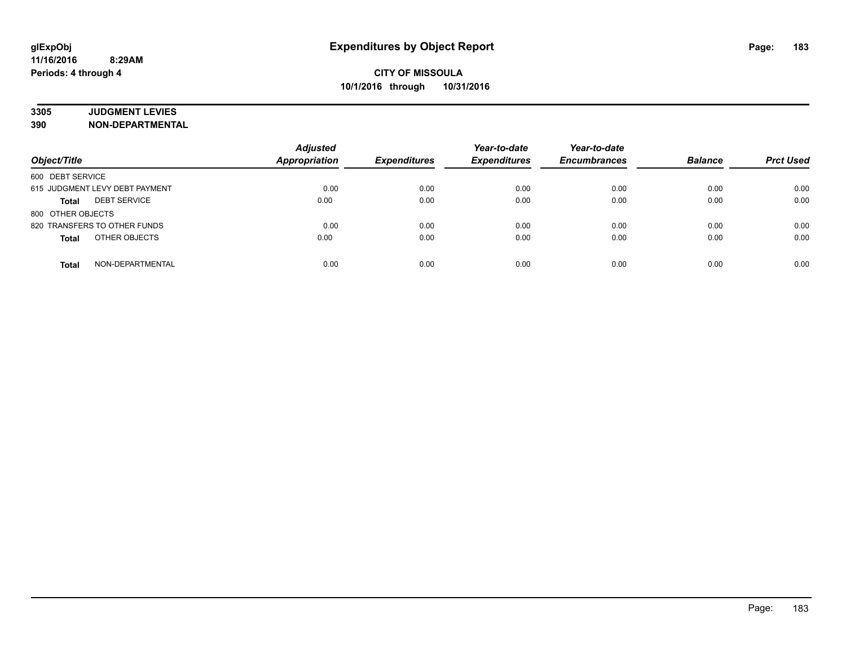# **3305 JUDGMENT LEVIES**

| Object/Title                        | <b>Adjusted</b><br><b>Appropriation</b> | <b>Expenditures</b> | Year-to-date<br><b>Expenditures</b> | Year-to-date<br><b>Encumbrances</b> | <b>Balance</b> | <b>Prct Used</b> |
|-------------------------------------|-----------------------------------------|---------------------|-------------------------------------|-------------------------------------|----------------|------------------|
| 600 DEBT SERVICE                    |                                         |                     |                                     |                                     |                |                  |
| 615 JUDGMENT LEVY DEBT PAYMENT      | 0.00                                    | 0.00                | 0.00                                | 0.00                                | 0.00           | 0.00             |
| <b>DEBT SERVICE</b><br><b>Total</b> | 0.00                                    | 0.00                | 0.00                                | 0.00                                | 0.00           | 0.00             |
| 800 OTHER OBJECTS                   |                                         |                     |                                     |                                     |                |                  |
| 820 TRANSFERS TO OTHER FUNDS        | 0.00                                    | 0.00                | 0.00                                | 0.00                                | 0.00           | 0.00             |
| OTHER OBJECTS<br><b>Total</b>       | 0.00                                    | 0.00                | 0.00                                | 0.00                                | 0.00           | 0.00             |
| NON-DEPARTMENTAL<br><b>Total</b>    | 0.00                                    | 0.00                | 0.00                                | 0.00                                | 0.00           | 0.00             |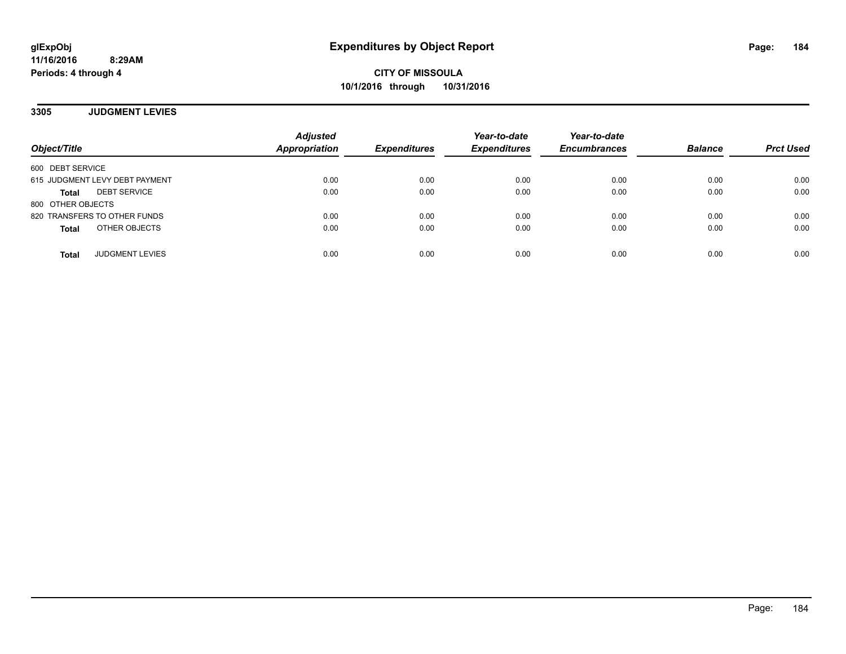### **3305 JUDGMENT LEVIES**

| Object/Title                        | <b>Adjusted</b><br>Appropriation | <b>Expenditures</b> | Year-to-date<br><b>Expenditures</b> | Year-to-date<br><b>Encumbrances</b> | <b>Balance</b> | <b>Prct Used</b> |
|-------------------------------------|----------------------------------|---------------------|-------------------------------------|-------------------------------------|----------------|------------------|
| 600 DEBT SERVICE                    |                                  |                     |                                     |                                     |                |                  |
| 615 JUDGMENT LEVY DEBT PAYMENT      | 0.00                             | 0.00                | 0.00                                | 0.00                                | 0.00           | 0.00             |
| <b>DEBT SERVICE</b><br><b>Total</b> | 0.00                             | 0.00                | 0.00                                | 0.00                                | 0.00           | 0.00             |
| 800 OTHER OBJECTS                   |                                  |                     |                                     |                                     |                |                  |
| 820 TRANSFERS TO OTHER FUNDS        | 0.00                             | 0.00                | 0.00                                | 0.00                                | 0.00           | 0.00             |
| OTHER OBJECTS<br><b>Total</b>       | 0.00                             | 0.00                | 0.00                                | 0.00                                | 0.00           | 0.00             |
| <b>JUDGMENT LEVIES</b><br>Total     | 0.00                             | 0.00                | 0.00                                | 0.00                                | 0.00           | 0.00             |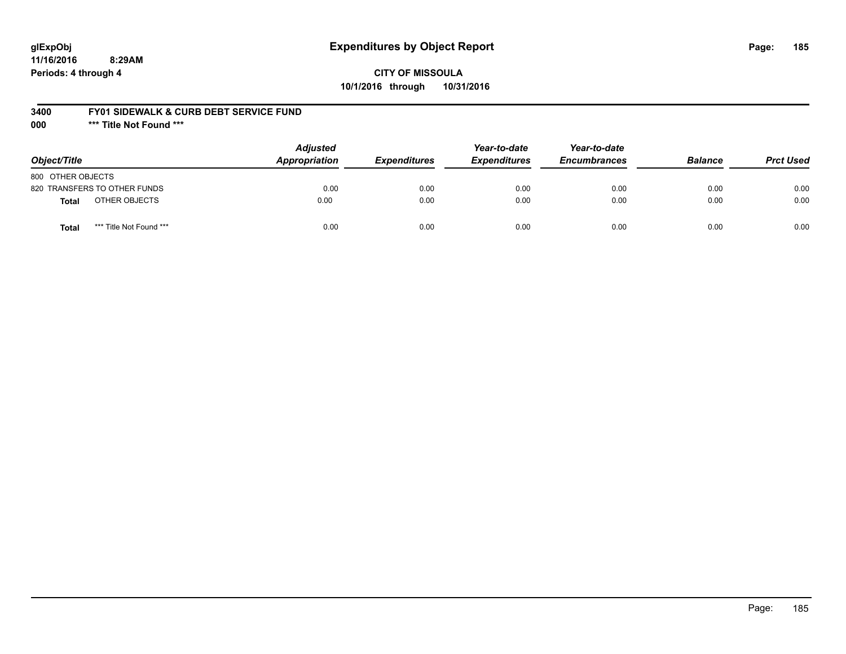# **glExpObj Expenditures by Object Report Page: 185**

**11/16/2016 8:29AM Periods: 4 through 4**

**CITY OF MISSOULA 10/1/2016 through 10/31/2016**

#### **3400 FY01 SIDEWALK & CURB DEBT SERVICE FUND**

**000 \*\*\* Title Not Found \*\*\***

| Object/Title                     | <b>Adjusted</b><br><b>Appropriation</b> | <b>Expenditures</b> | Year-to-date<br><b>Expenditures</b> | Year-to-date<br><b>Encumbrances</b> | <b>Balance</b> | <b>Prct Used</b> |
|----------------------------------|-----------------------------------------|---------------------|-------------------------------------|-------------------------------------|----------------|------------------|
| 800 OTHER OBJECTS                |                                         |                     |                                     |                                     |                |                  |
| 820 TRANSFERS TO OTHER FUNDS     | 0.00                                    | 0.00                | 0.00                                | 0.00                                | 0.00           | 0.00             |
| OTHER OBJECTS<br><b>Total</b>    | 0.00                                    | 0.00                | 0.00                                | 0.00                                | 0.00           | 0.00             |
| *** Title Not Found ***<br>Total | 0.00                                    | 0.00                | 0.00                                | 0.00                                | 0.00           | 0.00             |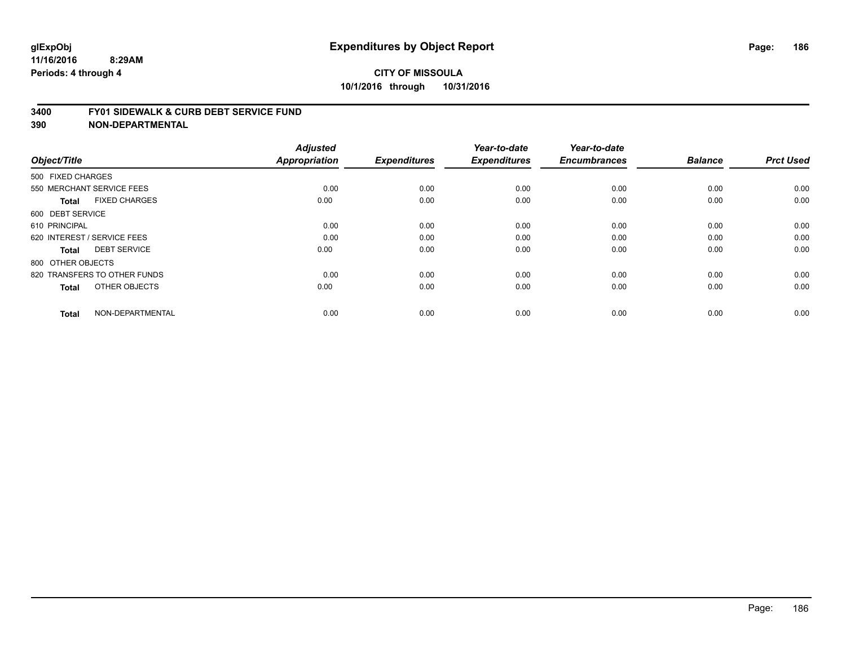#### **3400 FY01 SIDEWALK & CURB DEBT SERVICE FUND**

| Object/Title                         | <b>Adjusted</b><br>Appropriation | <b>Expenditures</b> | Year-to-date<br><b>Expenditures</b> | Year-to-date<br><b>Encumbrances</b> | <b>Balance</b> | <b>Prct Used</b> |
|--------------------------------------|----------------------------------|---------------------|-------------------------------------|-------------------------------------|----------------|------------------|
| 500 FIXED CHARGES                    |                                  |                     |                                     |                                     |                |                  |
|                                      |                                  |                     |                                     |                                     |                |                  |
| 550 MERCHANT SERVICE FEES            | 0.00                             | 0.00                | 0.00                                | 0.00                                | 0.00           | 0.00             |
| <b>FIXED CHARGES</b><br><b>Total</b> | 0.00                             | 0.00                | 0.00                                | 0.00                                | 0.00           | 0.00             |
| 600 DEBT SERVICE                     |                                  |                     |                                     |                                     |                |                  |
| 610 PRINCIPAL                        | 0.00                             | 0.00                | 0.00                                | 0.00                                | 0.00           | 0.00             |
| 620 INTEREST / SERVICE FEES          | 0.00                             | 0.00                | 0.00                                | 0.00                                | 0.00           | 0.00             |
| <b>DEBT SERVICE</b><br><b>Total</b>  | 0.00                             | 0.00                | 0.00                                | 0.00                                | 0.00           | 0.00             |
| 800 OTHER OBJECTS                    |                                  |                     |                                     |                                     |                |                  |
| 820 TRANSFERS TO OTHER FUNDS         | 0.00                             | 0.00                | 0.00                                | 0.00                                | 0.00           | 0.00             |
| OTHER OBJECTS<br><b>Total</b>        | 0.00                             | 0.00                | 0.00                                | 0.00                                | 0.00           | 0.00             |
|                                      |                                  |                     |                                     |                                     |                |                  |
| NON-DEPARTMENTAL<br><b>Total</b>     | 0.00                             | 0.00                | 0.00                                | 0.00                                | 0.00           | 0.00             |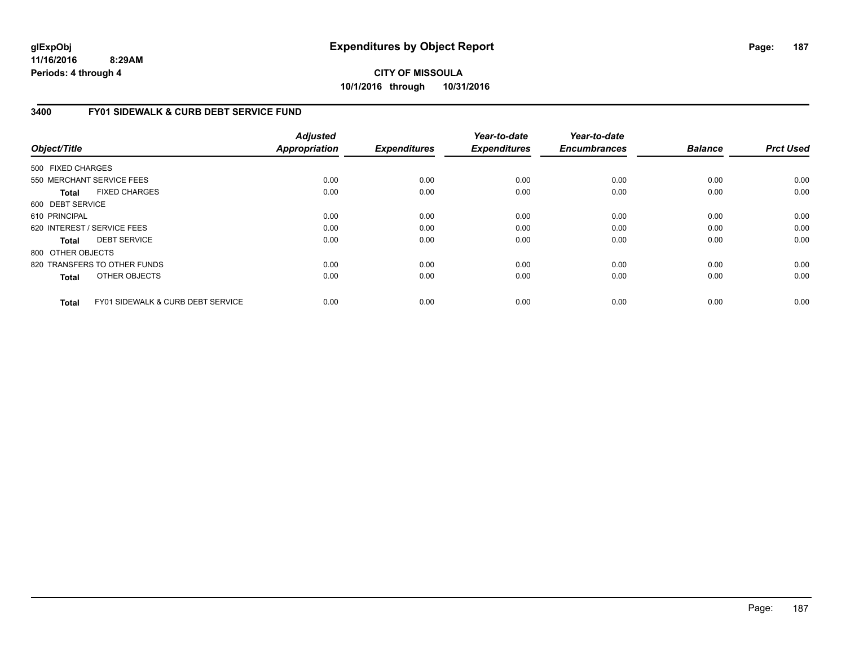**11/16/2016 8:29AM Periods: 4 through 4**

**CITY OF MISSOULA 10/1/2016 through 10/31/2016**

### **3400 FY01 SIDEWALK & CURB DEBT SERVICE FUND**

| Object/Title      |                                              | <b>Adjusted</b><br><b>Appropriation</b> | <b>Expenditures</b> | Year-to-date<br><b>Expenditures</b> | Year-to-date<br><b>Encumbrances</b> | <b>Balance</b> | <b>Prct Used</b> |
|-------------------|----------------------------------------------|-----------------------------------------|---------------------|-------------------------------------|-------------------------------------|----------------|------------------|
| 500 FIXED CHARGES |                                              |                                         |                     |                                     |                                     |                |                  |
|                   | 550 MERCHANT SERVICE FEES                    | 0.00                                    | 0.00                | 0.00                                | 0.00                                | 0.00           | 0.00             |
|                   |                                              |                                         |                     |                                     |                                     |                |                  |
| <b>Total</b>      | <b>FIXED CHARGES</b>                         | 0.00                                    | 0.00                | 0.00                                | 0.00                                | 0.00           | 0.00             |
| 600 DEBT SERVICE  |                                              |                                         |                     |                                     |                                     |                |                  |
| 610 PRINCIPAL     |                                              | 0.00                                    | 0.00                | 0.00                                | 0.00                                | 0.00           | 0.00             |
|                   | 620 INTEREST / SERVICE FEES                  | 0.00                                    | 0.00                | 0.00                                | 0.00                                | 0.00           | 0.00             |
| Total             | <b>DEBT SERVICE</b>                          | 0.00                                    | 0.00                | 0.00                                | 0.00                                | 0.00           | 0.00             |
| 800 OTHER OBJECTS |                                              |                                         |                     |                                     |                                     |                |                  |
|                   | 820 TRANSFERS TO OTHER FUNDS                 | 0.00                                    | 0.00                | 0.00                                | 0.00                                | 0.00           | 0.00             |
| <b>Total</b>      | OTHER OBJECTS                                | 0.00                                    | 0.00                | 0.00                                | 0.00                                | 0.00           | 0.00             |
| <b>Total</b>      | <b>FY01 SIDEWALK &amp; CURB DEBT SERVICE</b> | 0.00                                    | 0.00                | 0.00                                | 0.00                                | 0.00           | 0.00             |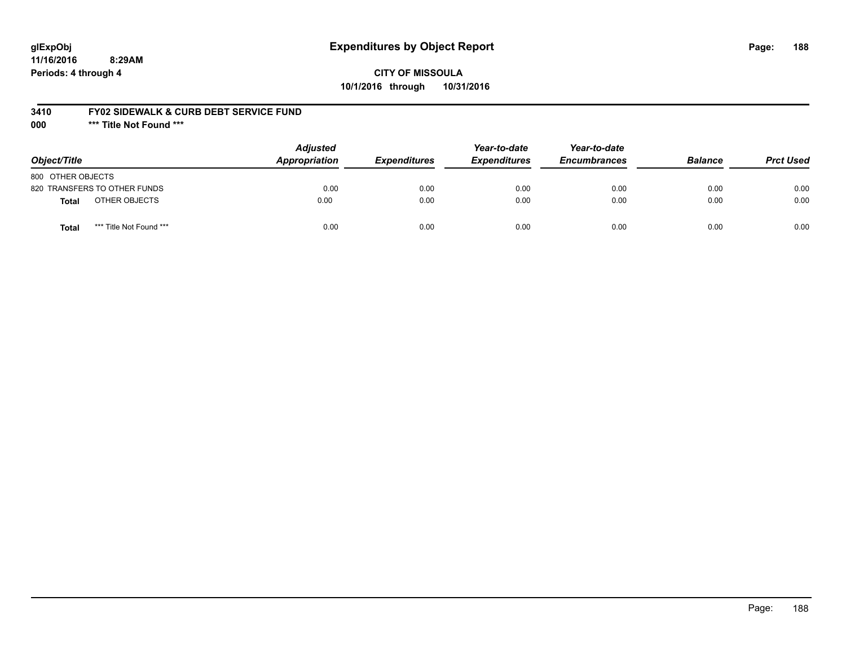# **glExpObj Expenditures by Object Report Page: 188**

# **CITY OF MISSOULA 10/1/2016 through 10/31/2016**

### **3410 FY02 SIDEWALK & CURB DEBT SERVICE FUND**

**000 \*\*\* Title Not Found \*\*\***

| Object/Title                     | <b>Adjusted</b><br>Appropriation | <b>Expenditures</b> | Year-to-date<br><b>Expenditures</b> | Year-to-date<br><b>Encumbrances</b> | <b>Balance</b> | <b>Prct Used</b> |
|----------------------------------|----------------------------------|---------------------|-------------------------------------|-------------------------------------|----------------|------------------|
| 800 OTHER OBJECTS                |                                  |                     |                                     |                                     |                |                  |
| 820 TRANSFERS TO OTHER FUNDS     | 0.00                             | 0.00                | 0.00                                | 0.00                                | 0.00           | 0.00             |
| OTHER OBJECTS<br>Total           | 0.00                             | 0.00                | 0.00                                | 0.00                                | 0.00           | 0.00             |
| *** Title Not Found ***<br>Total | 0.00                             | 0.00                | 0.00                                | 0.00                                | 0.00           | 0.00             |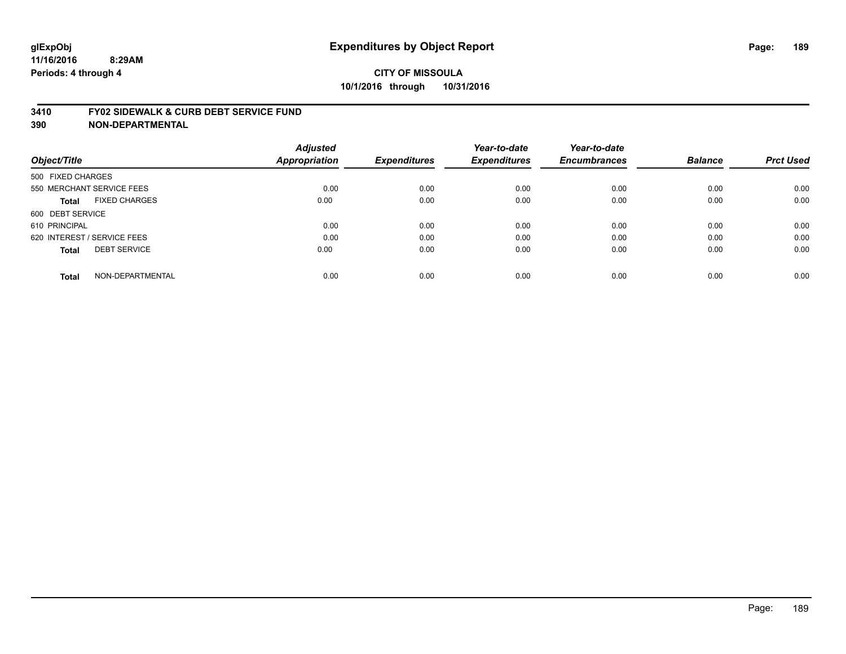#### **3410 FY02 SIDEWALK & CURB DEBT SERVICE FUND**

| Object/Title                         | <b>Adjusted</b><br>Appropriation | <b>Expenditures</b> | Year-to-date<br><b>Expenditures</b> | Year-to-date<br><b>Encumbrances</b> | <b>Balance</b> | <b>Prct Used</b> |
|--------------------------------------|----------------------------------|---------------------|-------------------------------------|-------------------------------------|----------------|------------------|
| 500 FIXED CHARGES                    |                                  |                     |                                     |                                     |                |                  |
| 550 MERCHANT SERVICE FEES            | 0.00                             | 0.00                | 0.00                                | 0.00                                | 0.00           | 0.00             |
| <b>FIXED CHARGES</b><br><b>Total</b> | 0.00                             | 0.00                | 0.00                                | 0.00                                | 0.00           | 0.00             |
| 600 DEBT SERVICE                     |                                  |                     |                                     |                                     |                |                  |
| 610 PRINCIPAL                        | 0.00                             | 0.00                | 0.00                                | 0.00                                | 0.00           | 0.00             |
| 620 INTEREST / SERVICE FEES          | 0.00                             | 0.00                | 0.00                                | 0.00                                | 0.00           | 0.00             |
| <b>DEBT SERVICE</b><br><b>Total</b>  | 0.00                             | 0.00                | 0.00                                | 0.00                                | 0.00           | 0.00             |
| NON-DEPARTMENTAL<br><b>Total</b>     | 0.00                             | 0.00                | 0.00                                | 0.00                                | 0.00           | 0.00             |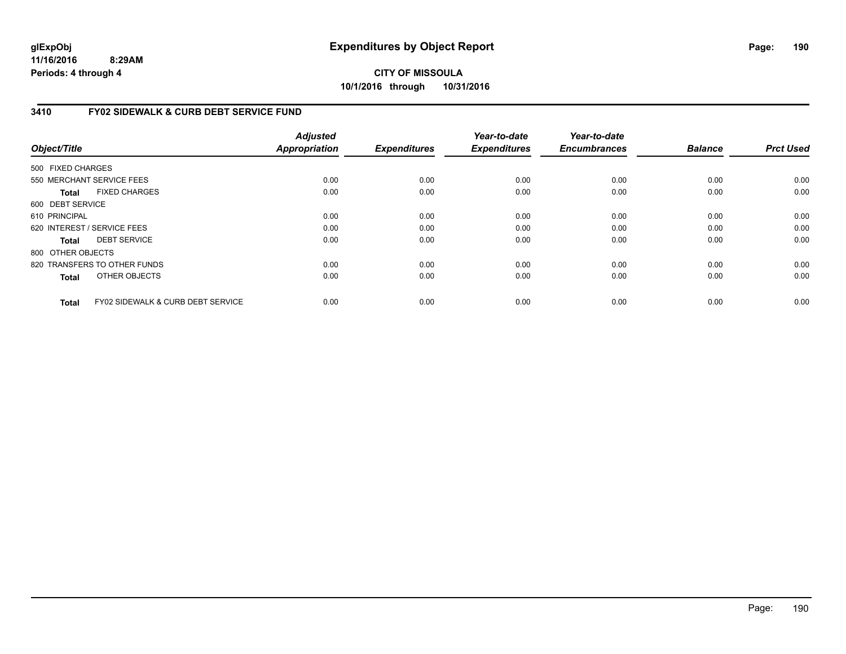**11/16/2016 8:29AM Periods: 4 through 4**

# **CITY OF MISSOULA 10/1/2016 through 10/31/2016**

### **3410 FY02 SIDEWALK & CURB DEBT SERVICE FUND**

| Object/Title      |                                              | <b>Adjusted</b><br><b>Appropriation</b> | <b>Expenditures</b> | Year-to-date<br><b>Expenditures</b> | Year-to-date<br><b>Encumbrances</b> | <b>Balance</b> | <b>Prct Used</b> |
|-------------------|----------------------------------------------|-----------------------------------------|---------------------|-------------------------------------|-------------------------------------|----------------|------------------|
| 500 FIXED CHARGES |                                              |                                         |                     |                                     |                                     |                |                  |
|                   | 550 MERCHANT SERVICE FEES                    | 0.00                                    | 0.00                | 0.00                                | 0.00                                | 0.00           | 0.00             |
| Total             | <b>FIXED CHARGES</b>                         | 0.00                                    | 0.00                | 0.00                                | 0.00                                | 0.00           | 0.00             |
| 600 DEBT SERVICE  |                                              |                                         |                     |                                     |                                     |                |                  |
| 610 PRINCIPAL     |                                              | 0.00                                    | 0.00                | 0.00                                | 0.00                                | 0.00           | 0.00             |
|                   | 620 INTEREST / SERVICE FEES                  | 0.00                                    | 0.00                | 0.00                                | 0.00                                | 0.00           | 0.00             |
| Total             | <b>DEBT SERVICE</b>                          | 0.00                                    | 0.00                | 0.00                                | 0.00                                | 0.00           | 0.00             |
| 800 OTHER OBJECTS |                                              |                                         |                     |                                     |                                     |                |                  |
|                   | 820 TRANSFERS TO OTHER FUNDS                 | 0.00                                    | 0.00                | 0.00                                | 0.00                                | 0.00           | 0.00             |
| <b>Total</b>      | OTHER OBJECTS                                | 0.00                                    | 0.00                | 0.00                                | 0.00                                | 0.00           | 0.00             |
| <b>Total</b>      | <b>FY02 SIDEWALK &amp; CURB DEBT SERVICE</b> | 0.00                                    | 0.00                | 0.00                                | 0.00                                | 0.00           | 0.00             |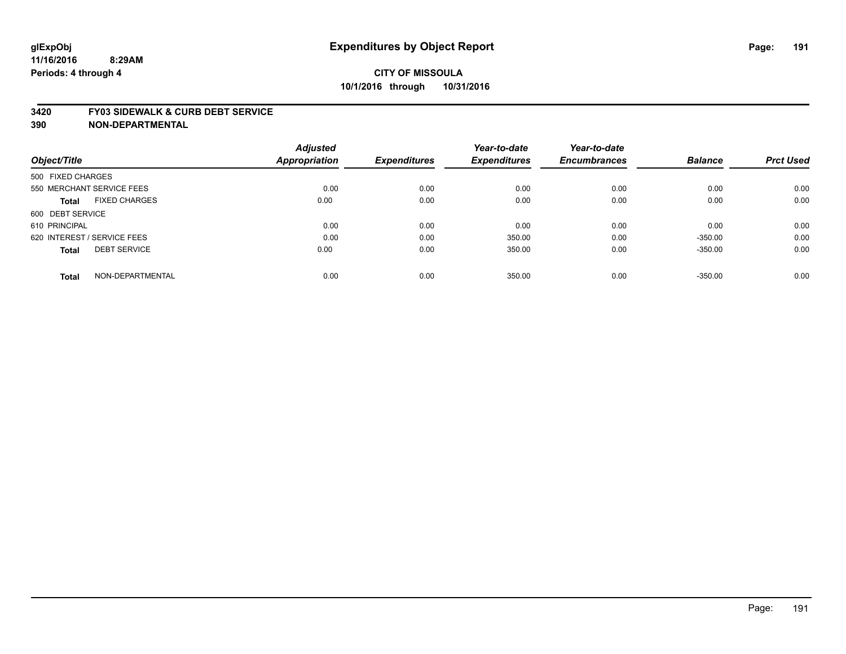#### **3420 FY03 SIDEWALK & CURB DEBT SERVICE**

|                             |                      | <b>Adjusted</b>      |                     | Year-to-date        | Year-to-date        |                |                  |
|-----------------------------|----------------------|----------------------|---------------------|---------------------|---------------------|----------------|------------------|
| Object/Title                |                      | <b>Appropriation</b> | <b>Expenditures</b> | <b>Expenditures</b> | <b>Encumbrances</b> | <b>Balance</b> | <b>Prct Used</b> |
| 500 FIXED CHARGES           |                      |                      |                     |                     |                     |                |                  |
| 550 MERCHANT SERVICE FEES   |                      | 0.00                 | 0.00                | 0.00                | 0.00                | 0.00           | 0.00             |
| <b>Total</b>                | <b>FIXED CHARGES</b> | 0.00                 | 0.00                | 0.00                | 0.00                | 0.00           | 0.00             |
| 600 DEBT SERVICE            |                      |                      |                     |                     |                     |                |                  |
| 610 PRINCIPAL               |                      | 0.00                 | 0.00                | 0.00                | 0.00                | 0.00           | 0.00             |
| 620 INTEREST / SERVICE FEES |                      | 0.00                 | 0.00                | 350.00              | 0.00                | $-350.00$      | 0.00             |
| <b>Total</b>                | <b>DEBT SERVICE</b>  | 0.00                 | 0.00                | 350.00              | 0.00                | $-350.00$      | 0.00             |
| <b>Total</b>                | NON-DEPARTMENTAL     | 0.00                 | 0.00                | 350.00              | 0.00                | $-350.00$      | 0.00             |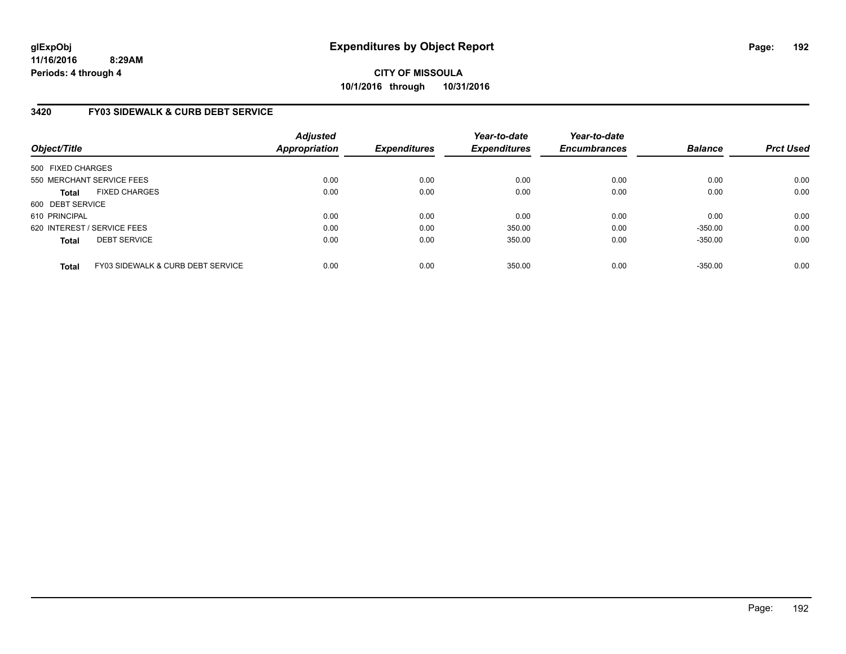**11/16/2016 8:29AM Periods: 4 through 4**

**CITY OF MISSOULA 10/1/2016 through 10/31/2016**

### **3420 FY03 SIDEWALK & CURB DEBT SERVICE**

| Object/Title      |                                              | <b>Adjusted</b><br><b>Appropriation</b> | <b>Expenditures</b> | Year-to-date<br><b>Expenditures</b> | Year-to-date<br><b>Encumbrances</b> | <b>Balance</b> | <b>Prct Used</b> |
|-------------------|----------------------------------------------|-----------------------------------------|---------------------|-------------------------------------|-------------------------------------|----------------|------------------|
| 500 FIXED CHARGES |                                              |                                         |                     |                                     |                                     |                |                  |
|                   | 550 MERCHANT SERVICE FEES                    | 0.00                                    | 0.00                | 0.00                                | 0.00                                | 0.00           | 0.00             |
| <b>Total</b>      | <b>FIXED CHARGES</b>                         | 0.00                                    | 0.00                | 0.00                                | 0.00                                | 0.00           | 0.00             |
| 600 DEBT SERVICE  |                                              |                                         |                     |                                     |                                     |                |                  |
| 610 PRINCIPAL     |                                              | 0.00                                    | 0.00                | 0.00                                | 0.00                                | 0.00           | 0.00             |
|                   | 620 INTEREST / SERVICE FEES                  | 0.00                                    | 0.00                | 350.00                              | 0.00                                | $-350.00$      | 0.00             |
| <b>Total</b>      | <b>DEBT SERVICE</b>                          | 0.00                                    | 0.00                | 350.00                              | 0.00                                | $-350.00$      | 0.00             |
| <b>Total</b>      | <b>FY03 SIDEWALK &amp; CURB DEBT SERVICE</b> | 0.00                                    | 0.00                | 350.00                              | 0.00                                | $-350.00$      | 0.00             |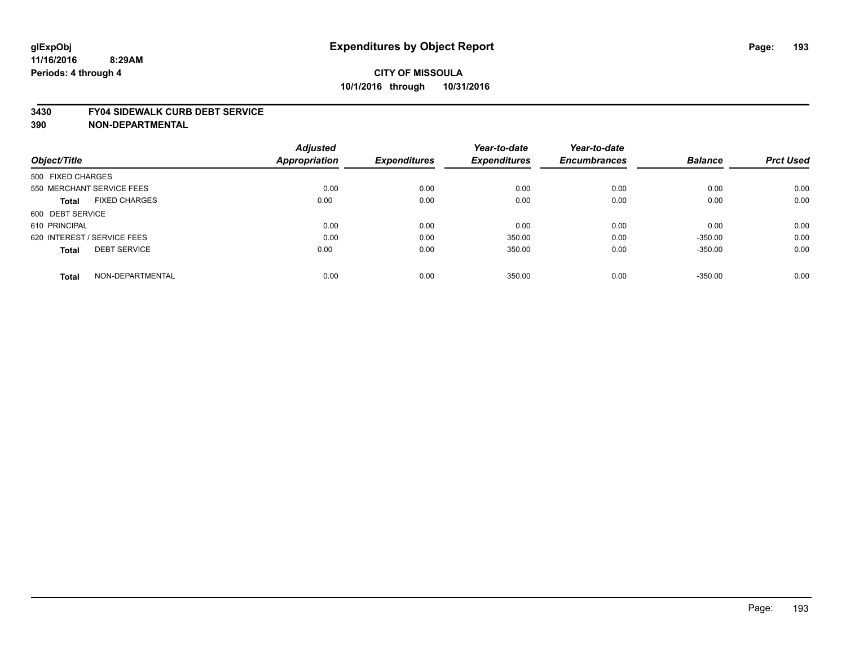#### **3430 FY04 SIDEWALK CURB DEBT SERVICE**

|                                      | <b>Adjusted</b>      |                     | Year-to-date        | Year-to-date        |                |                  |
|--------------------------------------|----------------------|---------------------|---------------------|---------------------|----------------|------------------|
| Object/Title                         | <b>Appropriation</b> | <b>Expenditures</b> | <b>Expenditures</b> | <b>Encumbrances</b> | <b>Balance</b> | <b>Prct Used</b> |
| 500 FIXED CHARGES                    |                      |                     |                     |                     |                |                  |
| 550 MERCHANT SERVICE FEES            | 0.00                 | 0.00                | 0.00                | 0.00                | 0.00           | 0.00             |
| <b>FIXED CHARGES</b><br><b>Total</b> | 0.00                 | 0.00                | 0.00                | 0.00                | 0.00           | 0.00             |
| 600 DEBT SERVICE                     |                      |                     |                     |                     |                |                  |
| 610 PRINCIPAL                        | 0.00                 | 0.00                | 0.00                | 0.00                | 0.00           | 0.00             |
| 620 INTEREST / SERVICE FEES          | 0.00                 | 0.00                | 350.00              | 0.00                | $-350.00$      | 0.00             |
| <b>DEBT SERVICE</b><br><b>Total</b>  | 0.00                 | 0.00                | 350.00              | 0.00                | $-350.00$      | 0.00             |
| NON-DEPARTMENTAL<br><b>Total</b>     | 0.00                 | 0.00                | 350.00              | 0.00                | $-350.00$      | 0.00             |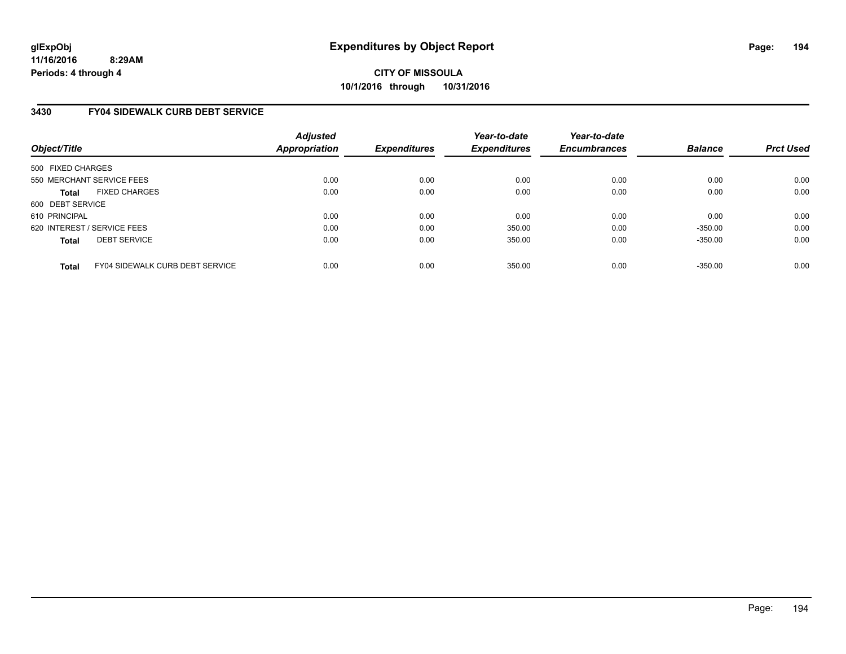**11/16/2016 8:29AM Periods: 4 through 4**

**CITY OF MISSOULA 10/1/2016 through 10/31/2016**

### **3430 FY04 SIDEWALK CURB DEBT SERVICE**

| Object/Title                |                                 | <b>Adjusted</b><br><b>Appropriation</b> | <b>Expenditures</b> | Year-to-date<br><b>Expenditures</b> | Year-to-date<br><b>Encumbrances</b> | <b>Balance</b> | <b>Prct Used</b> |
|-----------------------------|---------------------------------|-----------------------------------------|---------------------|-------------------------------------|-------------------------------------|----------------|------------------|
| 500 FIXED CHARGES           |                                 |                                         |                     |                                     |                                     |                |                  |
|                             | 550 MERCHANT SERVICE FEES       | 0.00                                    | 0.00                | 0.00                                | 0.00                                | 0.00           | 0.00             |
| <b>Total</b>                | <b>FIXED CHARGES</b>            | 0.00                                    | 0.00                | 0.00                                | 0.00                                | 0.00           | 0.00             |
| 600 DEBT SERVICE            |                                 |                                         |                     |                                     |                                     |                |                  |
| 610 PRINCIPAL               |                                 | 0.00                                    | 0.00                | 0.00                                | 0.00                                | 0.00           | 0.00             |
| 620 INTEREST / SERVICE FEES |                                 | 0.00                                    | 0.00                | 350.00                              | 0.00                                | $-350.00$      | 0.00             |
| <b>Total</b>                | <b>DEBT SERVICE</b>             | 0.00                                    | 0.00                | 350.00                              | 0.00                                | $-350.00$      | 0.00             |
| <b>Total</b>                | FY04 SIDEWALK CURB DEBT SERVICE | 0.00                                    | 0.00                | 350.00                              | 0.00                                | $-350.00$      | 0.00             |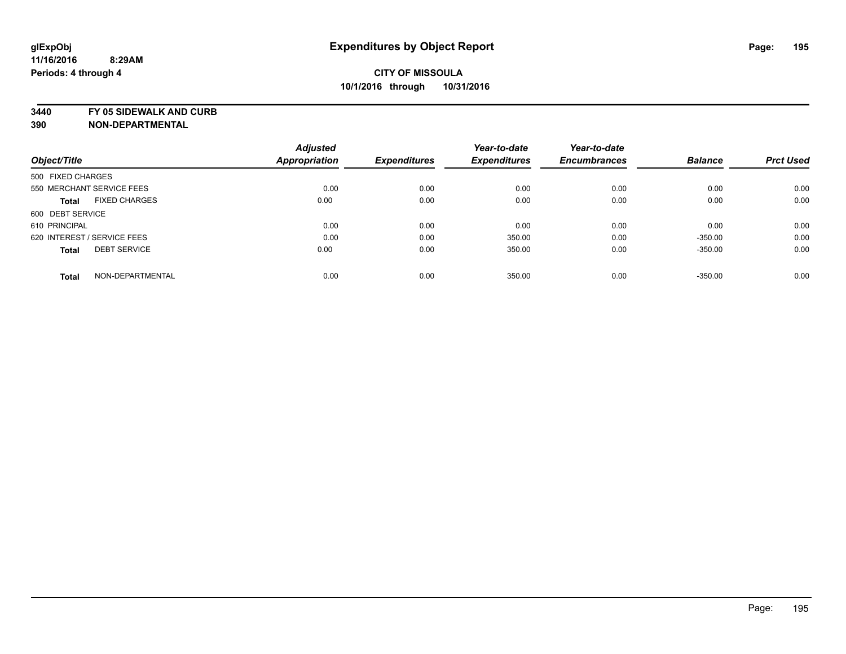**3440 FY 05 SIDEWALK AND CURB**

|                             |                      | <b>Adjusted</b> |                     | Year-to-date        | Year-to-date        |                |                  |
|-----------------------------|----------------------|-----------------|---------------------|---------------------|---------------------|----------------|------------------|
| Object/Title                |                      | Appropriation   | <b>Expenditures</b> | <b>Expenditures</b> | <b>Encumbrances</b> | <b>Balance</b> | <b>Prct Used</b> |
| 500 FIXED CHARGES           |                      |                 |                     |                     |                     |                |                  |
| 550 MERCHANT SERVICE FEES   |                      | 0.00            | 0.00                | 0.00                | 0.00                | 0.00           | 0.00             |
| <b>Total</b>                | <b>FIXED CHARGES</b> | 0.00            | 0.00                | 0.00                | 0.00                | 0.00           | 0.00             |
| 600 DEBT SERVICE            |                      |                 |                     |                     |                     |                |                  |
| 610 PRINCIPAL               |                      | 0.00            | 0.00                | 0.00                | 0.00                | 0.00           | 0.00             |
| 620 INTEREST / SERVICE FEES |                      | 0.00            | 0.00                | 350.00              | 0.00                | $-350.00$      | 0.00             |
| <b>Total</b>                | <b>DEBT SERVICE</b>  | 0.00            | 0.00                | 350.00              | 0.00                | $-350.00$      | 0.00             |
| <b>Total</b>                | NON-DEPARTMENTAL     | 0.00            | 0.00                | 350.00              | 0.00                | $-350.00$      | 0.00             |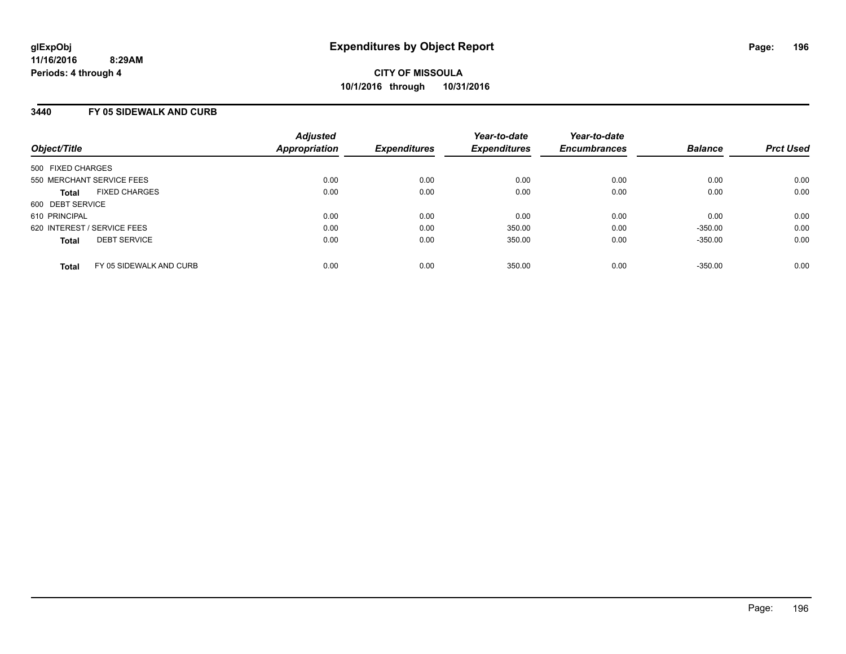### **3440 FY 05 SIDEWALK AND CURB**

| Object/Title                            | <b>Adjusted</b><br>Appropriation | <b>Expenditures</b> | Year-to-date<br><b>Expenditures</b> | Year-to-date<br><b>Encumbrances</b> | <b>Balance</b> | <b>Prct Used</b> |
|-----------------------------------------|----------------------------------|---------------------|-------------------------------------|-------------------------------------|----------------|------------------|
| 500 FIXED CHARGES                       |                                  |                     |                                     |                                     |                |                  |
| 550 MERCHANT SERVICE FEES               | 0.00                             | 0.00                | 0.00                                | 0.00                                | 0.00           | 0.00             |
| <b>FIXED CHARGES</b><br><b>Total</b>    | 0.00                             | 0.00                | 0.00                                | 0.00                                | 0.00           | 0.00             |
| 600 DEBT SERVICE                        |                                  |                     |                                     |                                     |                |                  |
| 610 PRINCIPAL                           | 0.00                             | 0.00                | 0.00                                | 0.00                                | 0.00           | 0.00             |
| 620 INTEREST / SERVICE FEES             | 0.00                             | 0.00                | 350.00                              | 0.00                                | $-350.00$      | 0.00             |
| <b>DEBT SERVICE</b><br><b>Total</b>     | 0.00                             | 0.00                | 350.00                              | 0.00                                | $-350.00$      | 0.00             |
| FY 05 SIDEWALK AND CURB<br><b>Total</b> | 0.00                             | 0.00                | 350.00                              | 0.00                                | $-350.00$      | 0.00             |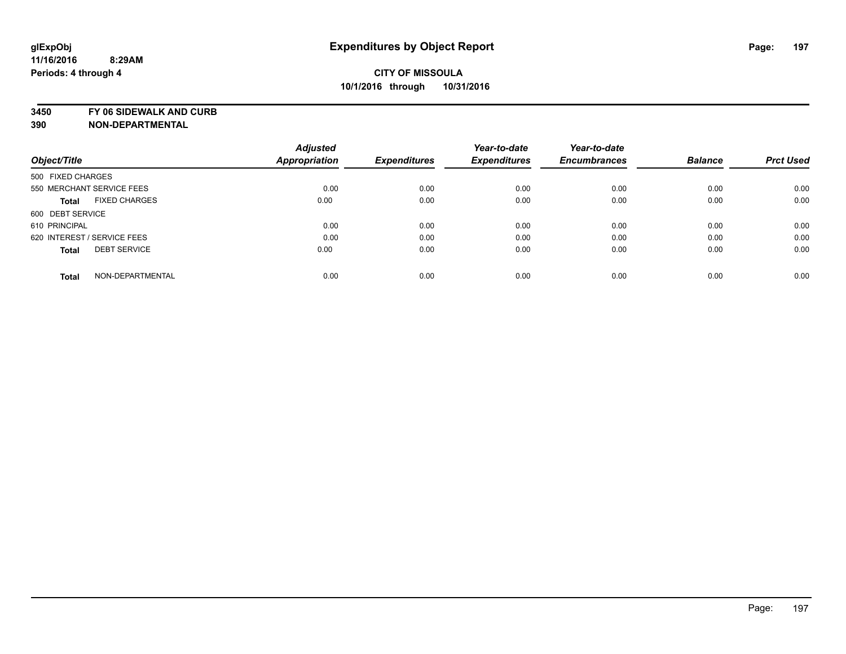**3450 FY 06 SIDEWALK AND CURB**

|                             |                      | <b>Adjusted</b> |                     | Year-to-date        | Year-to-date        |                |                  |
|-----------------------------|----------------------|-----------------|---------------------|---------------------|---------------------|----------------|------------------|
| Object/Title                |                      | Appropriation   | <b>Expenditures</b> | <b>Expenditures</b> | <b>Encumbrances</b> | <b>Balance</b> | <b>Prct Used</b> |
| 500 FIXED CHARGES           |                      |                 |                     |                     |                     |                |                  |
| 550 MERCHANT SERVICE FEES   |                      | 0.00            | 0.00                | 0.00                | 0.00                | 0.00           | 0.00             |
| <b>Total</b>                | <b>FIXED CHARGES</b> | 0.00            | 0.00                | 0.00                | 0.00                | 0.00           | 0.00             |
| 600 DEBT SERVICE            |                      |                 |                     |                     |                     |                |                  |
| 610 PRINCIPAL               |                      | 0.00            | 0.00                | 0.00                | 0.00                | 0.00           | 0.00             |
| 620 INTEREST / SERVICE FEES |                      | 0.00            | 0.00                | 0.00                | 0.00                | 0.00           | 0.00             |
| <b>Total</b>                | <b>DEBT SERVICE</b>  | 0.00            | 0.00                | 0.00                | 0.00                | 0.00           | 0.00             |
| <b>Total</b>                | NON-DEPARTMENTAL     | 0.00            | 0.00                | 0.00                | 0.00                | 0.00           | 0.00             |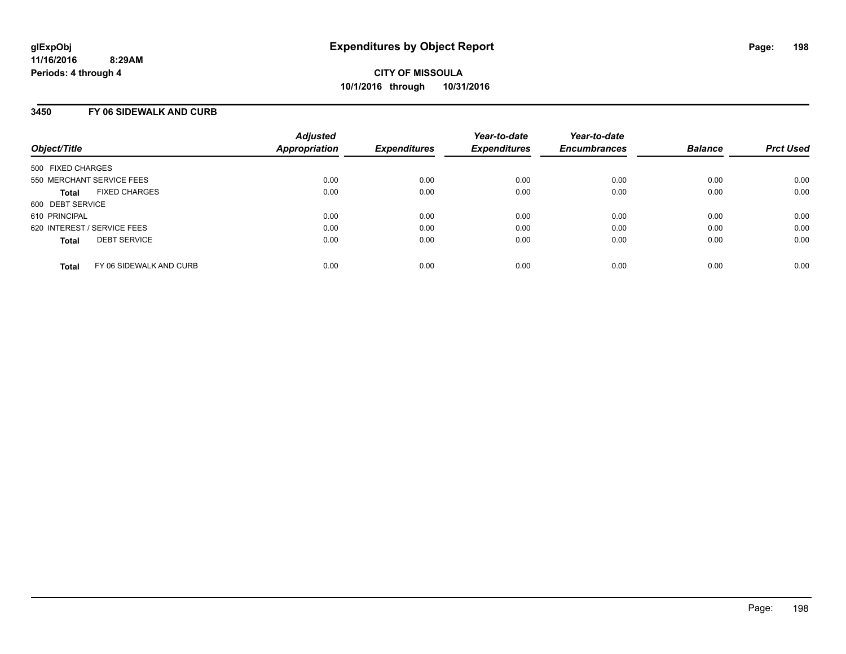### **3450 FY 06 SIDEWALK AND CURB**

| Object/Title                            | <b>Adjusted</b><br>Appropriation | <b>Expenditures</b> | Year-to-date<br><b>Expenditures</b> | Year-to-date<br><b>Encumbrances</b> | <b>Balance</b> | <b>Prct Used</b> |
|-----------------------------------------|----------------------------------|---------------------|-------------------------------------|-------------------------------------|----------------|------------------|
| 500 FIXED CHARGES                       |                                  |                     |                                     |                                     |                |                  |
| 550 MERCHANT SERVICE FEES               | 0.00                             | 0.00                | 0.00                                | 0.00                                | 0.00           | 0.00             |
| <b>FIXED CHARGES</b><br><b>Total</b>    | 0.00                             | 0.00                | 0.00                                | 0.00                                | 0.00           | 0.00             |
| 600 DEBT SERVICE                        |                                  |                     |                                     |                                     |                |                  |
| 610 PRINCIPAL                           | 0.00                             | 0.00                | 0.00                                | 0.00                                | 0.00           | 0.00             |
| 620 INTEREST / SERVICE FEES             | 0.00                             | 0.00                | 0.00                                | 0.00                                | 0.00           | 0.00             |
| <b>DEBT SERVICE</b><br><b>Total</b>     | 0.00                             | 0.00                | 0.00                                | 0.00                                | 0.00           | 0.00             |
| FY 06 SIDEWALK AND CURB<br><b>Total</b> | 0.00                             | 0.00                | 0.00                                | 0.00                                | 0.00           | 0.00             |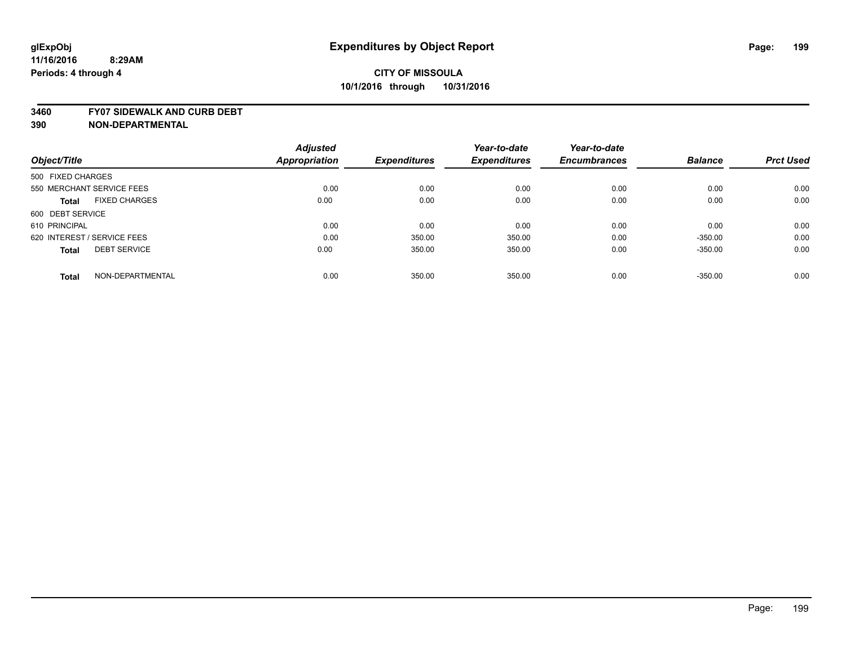#### **3460 FY07 SIDEWALK AND CURB DEBT**

|                                      | <b>Adjusted</b>      |                     | Year-to-date        | Year-to-date        |                |                  |
|--------------------------------------|----------------------|---------------------|---------------------|---------------------|----------------|------------------|
| Object/Title                         | <b>Appropriation</b> | <b>Expenditures</b> | <b>Expenditures</b> | <b>Encumbrances</b> | <b>Balance</b> | <b>Prct Used</b> |
| 500 FIXED CHARGES                    |                      |                     |                     |                     |                |                  |
| 550 MERCHANT SERVICE FEES            | 0.00                 | 0.00                | 0.00                | 0.00                | 0.00           | 0.00             |
| <b>FIXED CHARGES</b><br><b>Total</b> | 0.00                 | 0.00                | 0.00                | 0.00                | 0.00           | 0.00             |
| 600 DEBT SERVICE                     |                      |                     |                     |                     |                |                  |
| 610 PRINCIPAL                        | 0.00                 | 0.00                | 0.00                | 0.00                | 0.00           | 0.00             |
| 620 INTEREST / SERVICE FEES          | 0.00                 | 350.00              | 350.00              | 0.00                | $-350.00$      | 0.00             |
| <b>DEBT SERVICE</b><br><b>Total</b>  | 0.00                 | 350.00              | 350.00              | 0.00                | $-350.00$      | 0.00             |
| NON-DEPARTMENTAL<br>Total            | 0.00                 | 350.00              | 350.00              | 0.00                | $-350.00$      | 0.00             |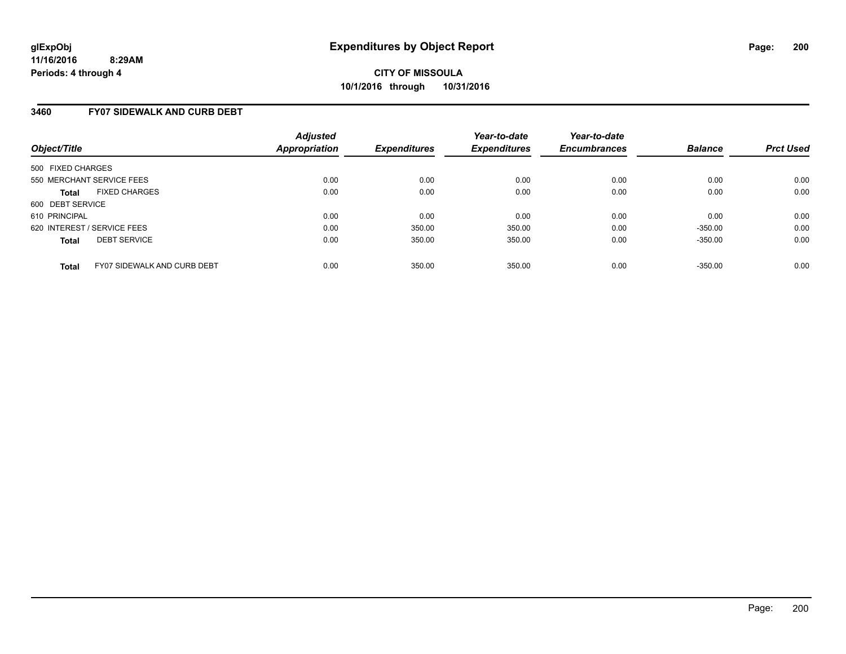### **3460 FY07 SIDEWALK AND CURB DEBT**

| Object/Title                                       | <b>Adjusted</b><br>Appropriation | <b>Expenditures</b> | Year-to-date<br><b>Expenditures</b> | Year-to-date<br><b>Encumbrances</b> | <b>Balance</b> | <b>Prct Used</b> |
|----------------------------------------------------|----------------------------------|---------------------|-------------------------------------|-------------------------------------|----------------|------------------|
| 500 FIXED CHARGES                                  |                                  |                     |                                     |                                     |                |                  |
| 550 MERCHANT SERVICE FEES                          | 0.00                             | 0.00                | 0.00                                | 0.00                                | 0.00           | 0.00             |
| <b>FIXED CHARGES</b><br><b>Total</b>               | 0.00                             | 0.00                | 0.00                                | 0.00                                | 0.00           | 0.00             |
| 600 DEBT SERVICE                                   |                                  |                     |                                     |                                     |                |                  |
| 610 PRINCIPAL                                      | 0.00                             | 0.00                | 0.00                                | 0.00                                | 0.00           | 0.00             |
| 620 INTEREST / SERVICE FEES                        | 0.00                             | 350.00              | 350.00                              | 0.00                                | $-350.00$      | 0.00             |
| <b>DEBT SERVICE</b><br><b>Total</b>                | 0.00                             | 350.00              | 350.00                              | 0.00                                | $-350.00$      | 0.00             |
| <b>FY07 SIDEWALK AND CURB DEBT</b><br><b>Total</b> | 0.00                             | 350.00              | 350.00                              | 0.00                                | $-350.00$      | 0.00             |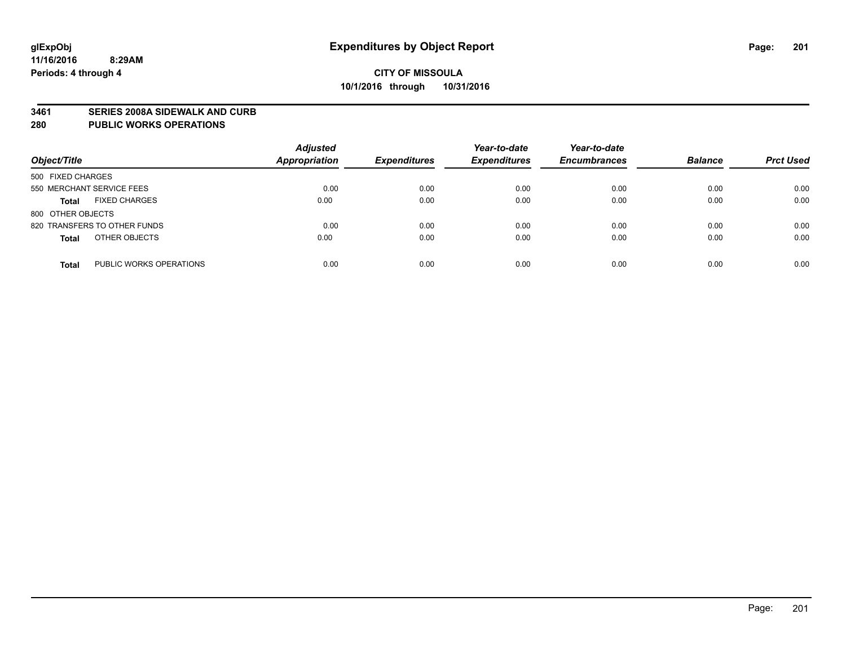#### **3461 SERIES 2008A SIDEWALK AND CURB**

#### **280 PUBLIC WORKS OPERATIONS**

| Object/Title                            | <b>Adjusted</b><br><b>Appropriation</b> | <b>Expenditures</b> | Year-to-date<br><b>Expenditures</b> | Year-to-date<br><b>Encumbrances</b> | <b>Balance</b> | <b>Prct Used</b> |
|-----------------------------------------|-----------------------------------------|---------------------|-------------------------------------|-------------------------------------|----------------|------------------|
| 500 FIXED CHARGES                       |                                         |                     |                                     |                                     |                |                  |
| 550 MERCHANT SERVICE FEES               | 0.00                                    | 0.00                | 0.00                                | 0.00                                | 0.00           | 0.00             |
| <b>FIXED CHARGES</b><br><b>Total</b>    | 0.00                                    | 0.00                | 0.00                                | 0.00                                | 0.00           | 0.00             |
| 800 OTHER OBJECTS                       |                                         |                     |                                     |                                     |                |                  |
| 820 TRANSFERS TO OTHER FUNDS            | 0.00                                    | 0.00                | 0.00                                | 0.00                                | 0.00           | 0.00             |
| OTHER OBJECTS<br><b>Total</b>           | 0.00                                    | 0.00                | 0.00                                | 0.00                                | 0.00           | 0.00             |
| PUBLIC WORKS OPERATIONS<br><b>Total</b> | 0.00                                    | 0.00                | 0.00                                | 0.00                                | 0.00           | 0.00             |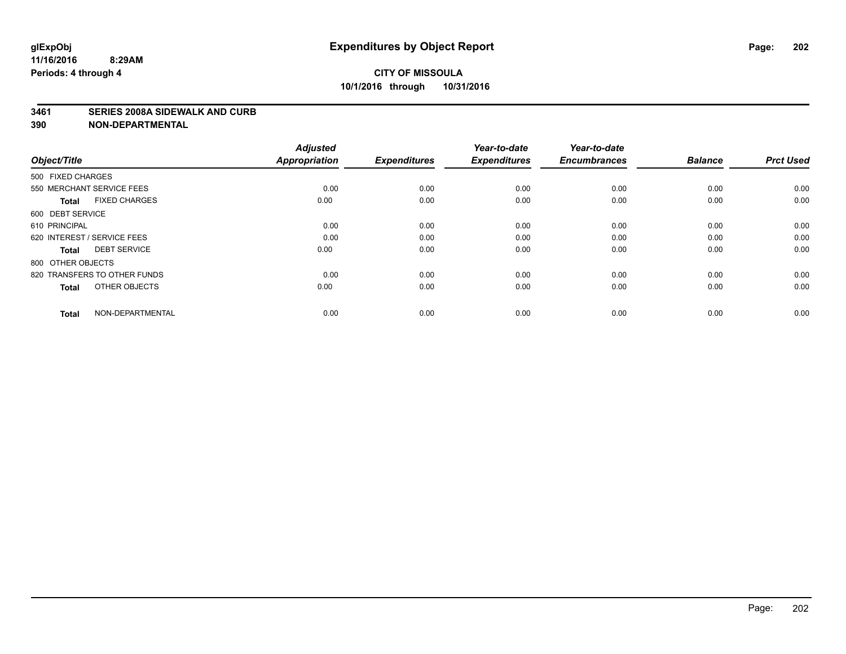#### **3461 SERIES 2008A SIDEWALK AND CURB**

| Object/Title                         | <b>Adjusted</b><br><b>Appropriation</b> | <b>Expenditures</b> | Year-to-date<br><b>Expenditures</b> | Year-to-date<br><b>Encumbrances</b> | <b>Balance</b> | <b>Prct Used</b> |
|--------------------------------------|-----------------------------------------|---------------------|-------------------------------------|-------------------------------------|----------------|------------------|
| 500 FIXED CHARGES                    |                                         |                     |                                     |                                     |                |                  |
| 550 MERCHANT SERVICE FEES            | 0.00                                    | 0.00                | 0.00                                | 0.00                                | 0.00           | 0.00             |
| <b>FIXED CHARGES</b><br><b>Total</b> | 0.00                                    | 0.00                | 0.00                                | 0.00                                | 0.00           | 0.00             |
| 600 DEBT SERVICE                     |                                         |                     |                                     |                                     |                |                  |
| 610 PRINCIPAL                        | 0.00                                    | 0.00                | 0.00                                | 0.00                                | 0.00           | 0.00             |
| 620 INTEREST / SERVICE FEES          | 0.00                                    | 0.00                | 0.00                                | 0.00                                | 0.00           | 0.00             |
| <b>DEBT SERVICE</b><br><b>Total</b>  | 0.00                                    | 0.00                | 0.00                                | 0.00                                | 0.00           | 0.00             |
| 800 OTHER OBJECTS                    |                                         |                     |                                     |                                     |                |                  |
| 820 TRANSFERS TO OTHER FUNDS         | 0.00                                    | 0.00                | 0.00                                | 0.00                                | 0.00           | 0.00             |
| OTHER OBJECTS<br><b>Total</b>        | 0.00                                    | 0.00                | 0.00                                | 0.00                                | 0.00           | 0.00             |
|                                      |                                         |                     |                                     |                                     |                |                  |
| NON-DEPARTMENTAL<br><b>Total</b>     | 0.00                                    | 0.00                | 0.00                                | 0.00                                | 0.00           | 0.00             |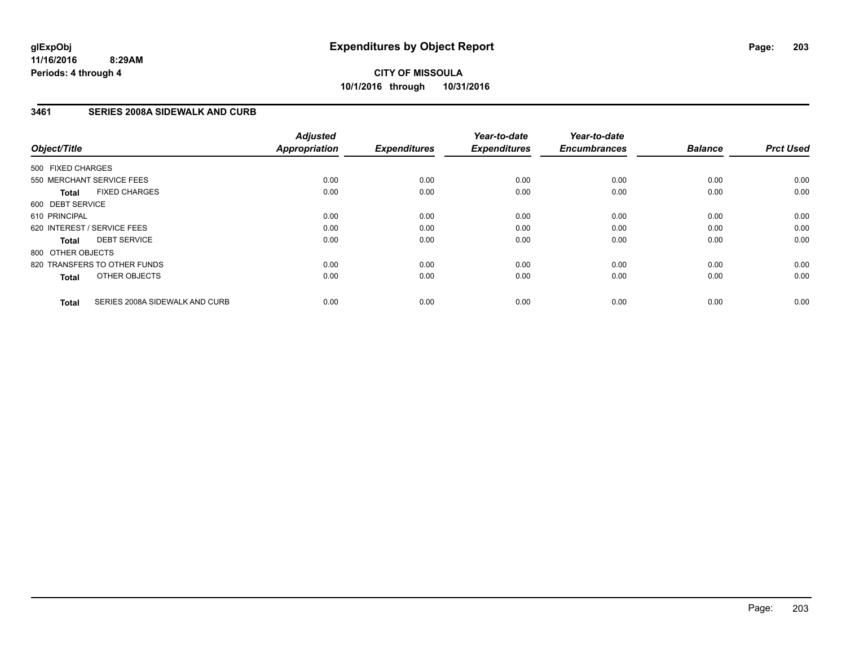### **3461 SERIES 2008A SIDEWALK AND CURB**

| Object/Title      |                                | <b>Adjusted</b><br><b>Appropriation</b> | <b>Expenditures</b> | Year-to-date<br><b>Expenditures</b> | Year-to-date<br><b>Encumbrances</b> | <b>Balance</b> | <b>Prct Used</b> |
|-------------------|--------------------------------|-----------------------------------------|---------------------|-------------------------------------|-------------------------------------|----------------|------------------|
| 500 FIXED CHARGES |                                |                                         |                     |                                     |                                     |                |                  |
|                   | 550 MERCHANT SERVICE FEES      | 0.00                                    | 0.00                | 0.00                                | 0.00                                | 0.00           | 0.00             |
| <b>Total</b>      | <b>FIXED CHARGES</b>           | 0.00                                    | 0.00                | 0.00                                | 0.00                                | 0.00           | 0.00             |
| 600 DEBT SERVICE  |                                |                                         |                     |                                     |                                     |                |                  |
| 610 PRINCIPAL     |                                | 0.00                                    | 0.00                | 0.00                                | 0.00                                | 0.00           | 0.00             |
|                   | 620 INTEREST / SERVICE FEES    | 0.00                                    | 0.00                | 0.00                                | 0.00                                | 0.00           | 0.00             |
| Total             | <b>DEBT SERVICE</b>            | 0.00                                    | 0.00                | 0.00                                | 0.00                                | 0.00           | 0.00             |
| 800 OTHER OBJECTS |                                |                                         |                     |                                     |                                     |                |                  |
|                   | 820 TRANSFERS TO OTHER FUNDS   | 0.00                                    | 0.00                | 0.00                                | 0.00                                | 0.00           | 0.00             |
| <b>Total</b>      | OTHER OBJECTS                  | 0.00                                    | 0.00                | 0.00                                | 0.00                                | 0.00           | 0.00             |
| <b>Total</b>      | SERIES 2008A SIDEWALK AND CURB | 0.00                                    | 0.00                | 0.00                                | 0.00                                | 0.00           | 0.00             |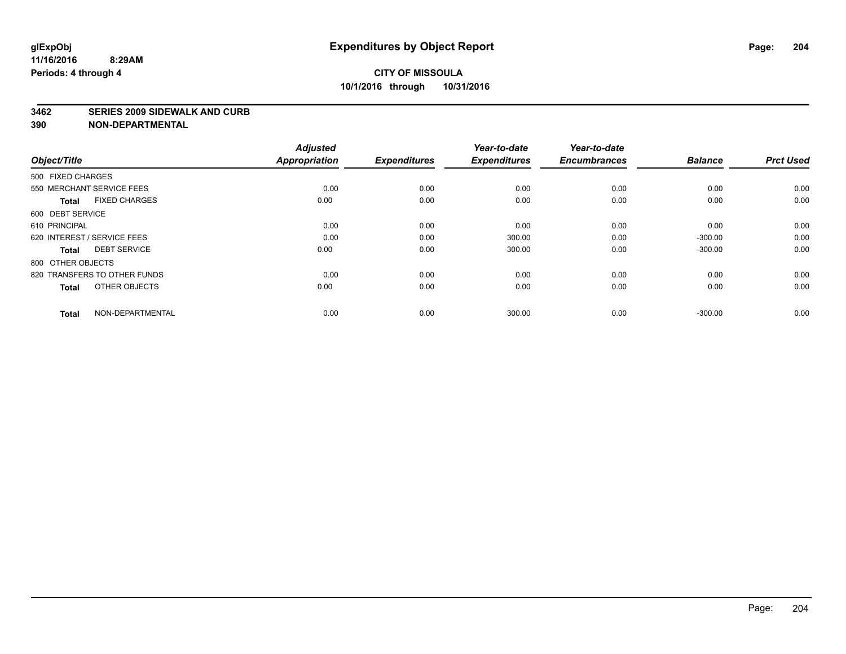#### **3462 SERIES 2009 SIDEWALK AND CURB**

| Object/Title                 |                      | <b>Adjusted</b><br><b>Appropriation</b> | <b>Expenditures</b> | Year-to-date<br><b>Expenditures</b> | Year-to-date<br><b>Encumbrances</b> | <b>Balance</b> | <b>Prct Used</b> |
|------------------------------|----------------------|-----------------------------------------|---------------------|-------------------------------------|-------------------------------------|----------------|------------------|
| 500 FIXED CHARGES            |                      |                                         |                     |                                     |                                     |                |                  |
| 550 MERCHANT SERVICE FEES    |                      | 0.00                                    | 0.00                | 0.00                                | 0.00                                | 0.00           | 0.00             |
| <b>Total</b>                 | <b>FIXED CHARGES</b> | 0.00                                    | 0.00                | 0.00                                | 0.00                                | 0.00           | 0.00             |
| 600 DEBT SERVICE             |                      |                                         |                     |                                     |                                     |                |                  |
| 610 PRINCIPAL                |                      | 0.00                                    | 0.00                | 0.00                                | 0.00                                | 0.00           | 0.00             |
| 620 INTEREST / SERVICE FEES  |                      | 0.00                                    | 0.00                | 300.00                              | 0.00                                | $-300.00$      | 0.00             |
| <b>Total</b>                 | <b>DEBT SERVICE</b>  | 0.00                                    | 0.00                | 300.00                              | 0.00                                | $-300.00$      | 0.00             |
| 800 OTHER OBJECTS            |                      |                                         |                     |                                     |                                     |                |                  |
| 820 TRANSFERS TO OTHER FUNDS |                      | 0.00                                    | 0.00                | 0.00                                | 0.00                                | 0.00           | 0.00             |
| <b>Total</b>                 | OTHER OBJECTS        | 0.00                                    | 0.00                | 0.00                                | 0.00                                | 0.00           | 0.00             |
| <b>Total</b>                 | NON-DEPARTMENTAL     | 0.00                                    | 0.00                | 300.00                              | 0.00                                | $-300.00$      | 0.00             |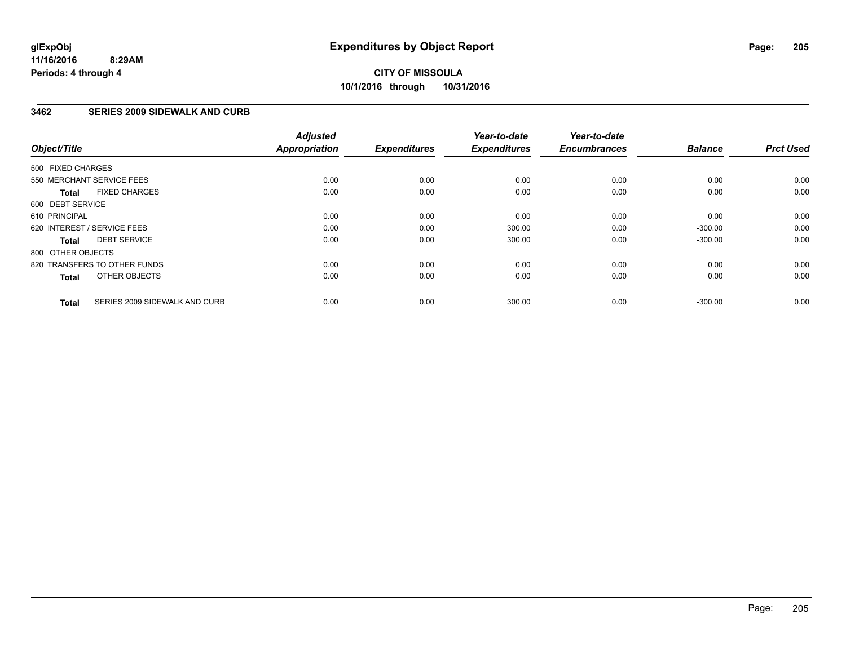### **3462 SERIES 2009 SIDEWALK AND CURB**

| Object/Title      |                               | <b>Adjusted</b><br><b>Appropriation</b> | <b>Expenditures</b> | Year-to-date<br><b>Expenditures</b> | Year-to-date<br><b>Encumbrances</b> | <b>Balance</b> | <b>Prct Used</b> |
|-------------------|-------------------------------|-----------------------------------------|---------------------|-------------------------------------|-------------------------------------|----------------|------------------|
| 500 FIXED CHARGES |                               |                                         |                     |                                     |                                     |                |                  |
|                   | 550 MERCHANT SERVICE FEES     | 0.00                                    | 0.00                | 0.00                                | 0.00                                | 0.00           | 0.00             |
| <b>Total</b>      | <b>FIXED CHARGES</b>          | 0.00                                    | 0.00                | 0.00                                | 0.00                                | 0.00           | 0.00             |
| 600 DEBT SERVICE  |                               |                                         |                     |                                     |                                     |                |                  |
| 610 PRINCIPAL     |                               | 0.00                                    | 0.00                | 0.00                                | 0.00                                | 0.00           | 0.00             |
|                   | 620 INTEREST / SERVICE FEES   | 0.00                                    | 0.00                | 300.00                              | 0.00                                | $-300.00$      | 0.00             |
| <b>Total</b>      | <b>DEBT SERVICE</b>           | 0.00                                    | 0.00                | 300.00                              | 0.00                                | $-300.00$      | 0.00             |
| 800 OTHER OBJECTS |                               |                                         |                     |                                     |                                     |                |                  |
|                   | 820 TRANSFERS TO OTHER FUNDS  | 0.00                                    | 0.00                | 0.00                                | 0.00                                | 0.00           | 0.00             |
| <b>Total</b>      | OTHER OBJECTS                 | 0.00                                    | 0.00                | 0.00                                | 0.00                                | 0.00           | 0.00             |
| <b>Total</b>      | SERIES 2009 SIDEWALK AND CURB | 0.00                                    | 0.00                | 300.00                              | 0.00                                | $-300.00$      | 0.00             |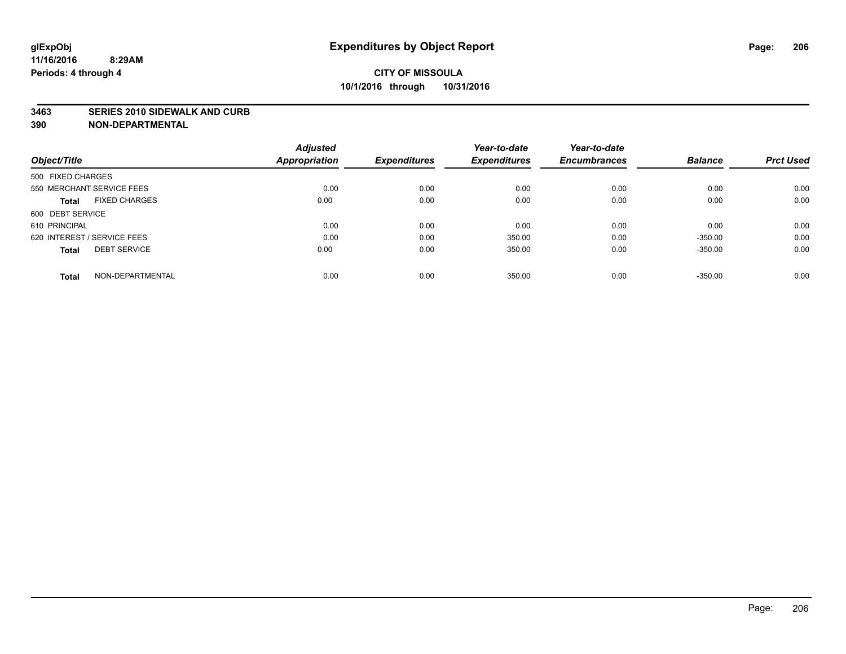#### **3463 SERIES 2010 SIDEWALK AND CURB**

| Object/Title                         | <b>Adjusted</b><br>Appropriation | <b>Expenditures</b> | Year-to-date<br><b>Expenditures</b> | Year-to-date<br><b>Encumbrances</b> | <b>Balance</b> | <b>Prct Used</b> |
|--------------------------------------|----------------------------------|---------------------|-------------------------------------|-------------------------------------|----------------|------------------|
|                                      |                                  |                     |                                     |                                     |                |                  |
| 500 FIXED CHARGES                    |                                  |                     |                                     |                                     |                |                  |
| 550 MERCHANT SERVICE FEES            | 0.00                             | 0.00                | 0.00                                | 0.00                                | 0.00           | 0.00             |
| <b>FIXED CHARGES</b><br><b>Total</b> | 0.00                             | 0.00                | 0.00                                | 0.00                                | 0.00           | 0.00             |
| 600 DEBT SERVICE                     |                                  |                     |                                     |                                     |                |                  |
| 610 PRINCIPAL                        | 0.00                             | 0.00                | 0.00                                | 0.00                                | 0.00           | 0.00             |
| 620 INTEREST / SERVICE FEES          | 0.00                             | 0.00                | 350.00                              | 0.00                                | $-350.00$      | 0.00             |
| <b>DEBT SERVICE</b><br><b>Total</b>  | 0.00                             | 0.00                | 350.00                              | 0.00                                | $-350.00$      | 0.00             |
| NON-DEPARTMENTAL<br><b>Total</b>     | 0.00                             | 0.00                | 350.00                              | 0.00                                | $-350.00$      | 0.00             |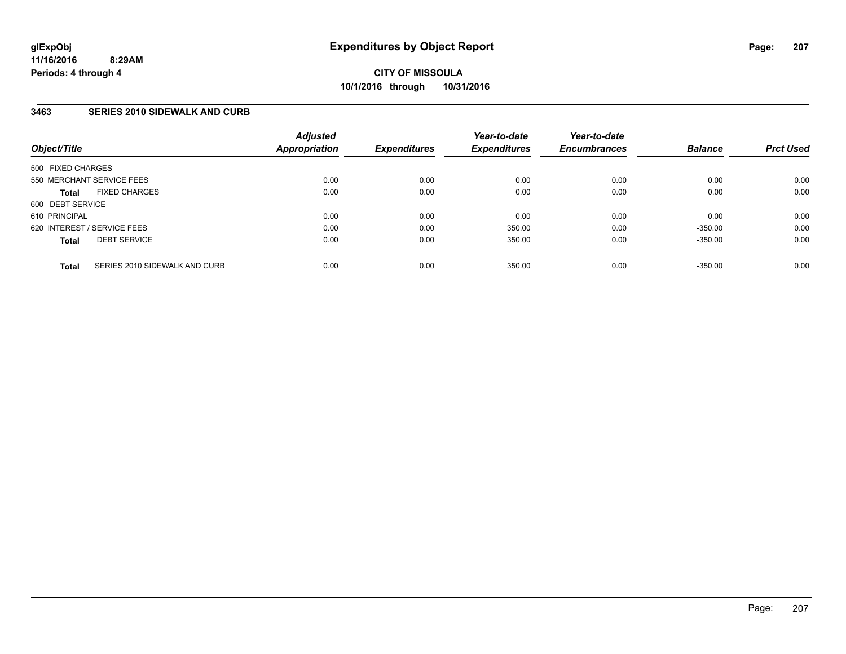### **3463 SERIES 2010 SIDEWALK AND CURB**

| Object/Title                                  | <b>Adjusted</b><br>Appropriation | <b>Expenditures</b> | Year-to-date<br><b>Expenditures</b> | Year-to-date<br><b>Encumbrances</b> | <b>Balance</b> | <b>Prct Used</b> |
|-----------------------------------------------|----------------------------------|---------------------|-------------------------------------|-------------------------------------|----------------|------------------|
| 500 FIXED CHARGES                             |                                  |                     |                                     |                                     |                |                  |
| 550 MERCHANT SERVICE FEES                     | 0.00                             | 0.00                | 0.00                                | 0.00                                | 0.00           | 0.00             |
| <b>FIXED CHARGES</b><br><b>Total</b>          | 0.00                             | 0.00                | 0.00                                | 0.00                                | 0.00           | 0.00             |
| 600 DEBT SERVICE                              |                                  |                     |                                     |                                     |                |                  |
| 610 PRINCIPAL                                 | 0.00                             | 0.00                | 0.00                                | 0.00                                | 0.00           | 0.00             |
| 620 INTEREST / SERVICE FEES                   | 0.00                             | 0.00                | 350.00                              | 0.00                                | $-350.00$      | 0.00             |
| <b>DEBT SERVICE</b><br><b>Total</b>           | 0.00                             | 0.00                | 350.00                              | 0.00                                | $-350.00$      | 0.00             |
| SERIES 2010 SIDEWALK AND CURB<br><b>Total</b> | 0.00                             | 0.00                | 350.00                              | 0.00                                | $-350.00$      | 0.00             |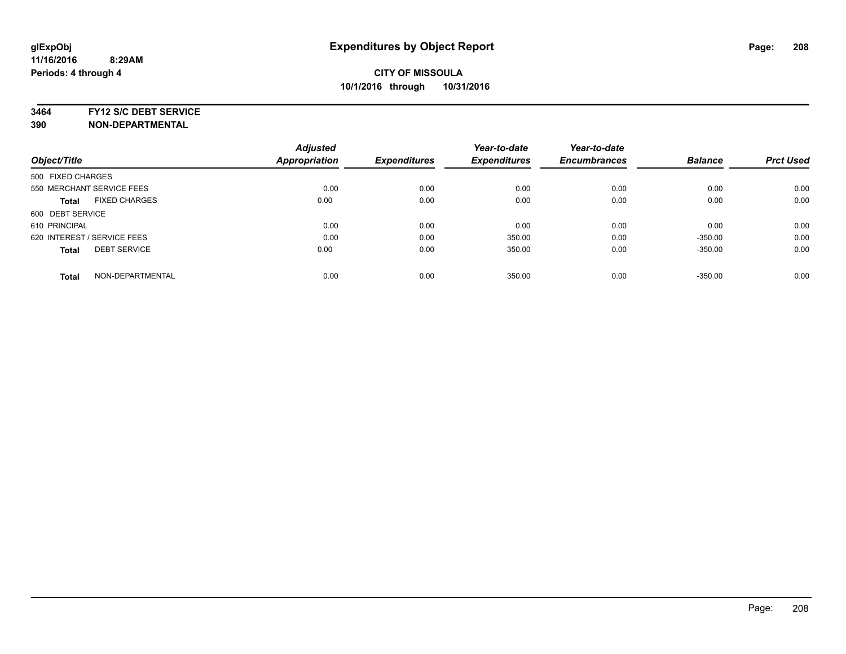#### **3464 FY12 S/C DEBT SERVICE**

| <b>Adjusted</b> |                              | Year-to-date                | Year-to-date                  |                             | <b>Prct Used</b>            |
|-----------------|------------------------------|-----------------------------|-------------------------------|-----------------------------|-----------------------------|
|                 |                              |                             |                               |                             |                             |
|                 |                              |                             |                               |                             |                             |
| 0.00            | 0.00                         | 0.00                        | 0.00                          | 0.00                        | 0.00                        |
| 0.00            | 0.00                         | 0.00                        | 0.00                          | 0.00                        | 0.00                        |
|                 |                              |                             |                               |                             |                             |
| 0.00            | 0.00                         | 0.00                        | 0.00                          | 0.00                        | 0.00                        |
| 0.00            | 0.00                         | 350.00                      | 0.00                          | $-350.00$                   | 0.00                        |
| 0.00            | 0.00                         | 350.00                      | 0.00                          | $-350.00$                   | 0.00                        |
|                 |                              |                             |                               |                             | 0.00                        |
|                 | <b>Appropriation</b><br>0.00 | <b>Expenditures</b><br>0.00 | <b>Expenditures</b><br>350.00 | <b>Encumbrances</b><br>0.00 | <b>Balance</b><br>$-350.00$ |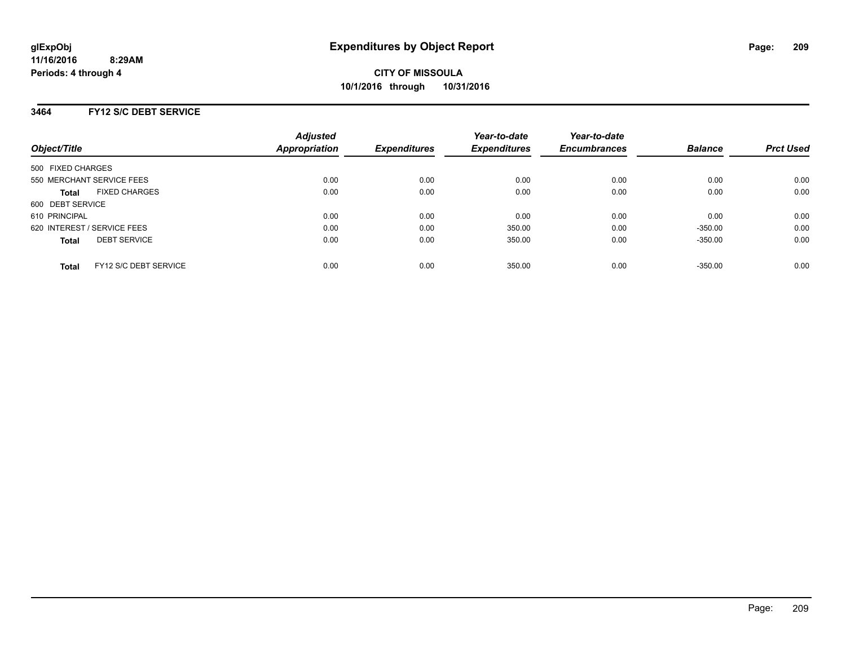### **3464 FY12 S/C DEBT SERVICE**

| Object/Title                          | <b>Adjusted</b><br><b>Appropriation</b> | <b>Expenditures</b> | Year-to-date<br><b>Expenditures</b> | Year-to-date<br><b>Encumbrances</b> | <b>Balance</b> | <b>Prct Used</b> |
|---------------------------------------|-----------------------------------------|---------------------|-------------------------------------|-------------------------------------|----------------|------------------|
| 500 FIXED CHARGES                     |                                         |                     |                                     |                                     |                |                  |
| 550 MERCHANT SERVICE FEES             | 0.00                                    | 0.00                | 0.00                                | 0.00                                | 0.00           | 0.00             |
| <b>FIXED CHARGES</b><br><b>Total</b>  | 0.00                                    | 0.00                | 0.00                                | 0.00                                | 0.00           | 0.00             |
| 600 DEBT SERVICE                      |                                         |                     |                                     |                                     |                |                  |
| 610 PRINCIPAL                         | 0.00                                    | 0.00                | 0.00                                | 0.00                                | 0.00           | 0.00             |
| 620 INTEREST / SERVICE FEES           | 0.00                                    | 0.00                | 350.00                              | 0.00                                | $-350.00$      | 0.00             |
| <b>DEBT SERVICE</b><br><b>Total</b>   | 0.00                                    | 0.00                | 350.00                              | 0.00                                | $-350.00$      | 0.00             |
| FY12 S/C DEBT SERVICE<br><b>Total</b> | 0.00                                    | 0.00                | 350.00                              | 0.00                                | $-350.00$      | 0.00             |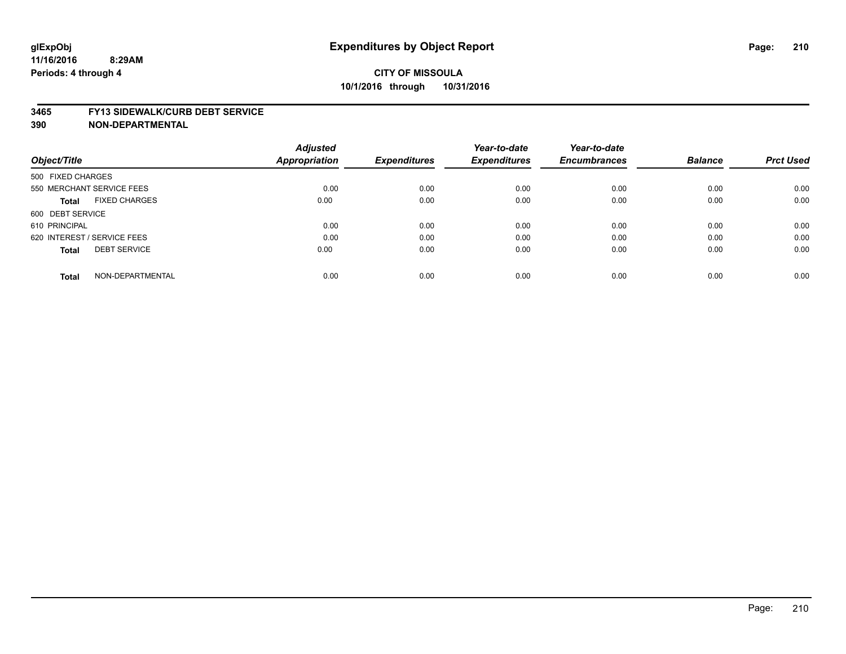#### **3465 FY13 SIDEWALK/CURB DEBT SERVICE**

|                                      | <b>Adjusted</b>      |                     | Year-to-date        | Year-to-date        |                |                  |
|--------------------------------------|----------------------|---------------------|---------------------|---------------------|----------------|------------------|
| Object/Title                         | <b>Appropriation</b> | <b>Expenditures</b> | <b>Expenditures</b> | <b>Encumbrances</b> | <b>Balance</b> | <b>Prct Used</b> |
| 500 FIXED CHARGES                    |                      |                     |                     |                     |                |                  |
| 550 MERCHANT SERVICE FEES            | 0.00                 | 0.00                | 0.00                | 0.00                | 0.00           | 0.00             |
| <b>FIXED CHARGES</b><br><b>Total</b> | 0.00                 | 0.00                | 0.00                | 0.00                | 0.00           | 0.00             |
| 600 DEBT SERVICE                     |                      |                     |                     |                     |                |                  |
| 610 PRINCIPAL                        | 0.00                 | 0.00                | 0.00                | 0.00                | 0.00           | 0.00             |
| 620 INTEREST / SERVICE FEES          | 0.00                 | 0.00                | 0.00                | 0.00                | 0.00           | 0.00             |
| <b>DEBT SERVICE</b><br><b>Total</b>  | 0.00                 | 0.00                | 0.00                | 0.00                | 0.00           | 0.00             |
| NON-DEPARTMENTAL<br><b>Total</b>     | 0.00                 | 0.00                | 0.00                | 0.00                | 0.00           | 0.00             |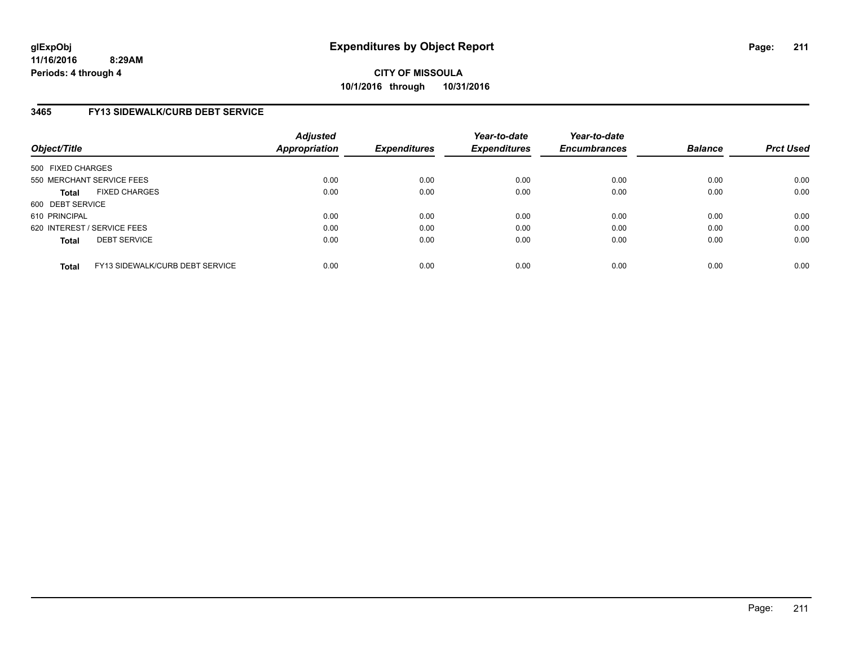**11/16/2016 8:29AM Periods: 4 through 4**

**CITY OF MISSOULA 10/1/2016 through 10/31/2016**

### **3465 FY13 SIDEWALK/CURB DEBT SERVICE**

| Object/Title      |                                 | <b>Adjusted</b><br>Appropriation | <b>Expenditures</b> | Year-to-date<br><b>Expenditures</b> | Year-to-date<br><b>Encumbrances</b> | <b>Balance</b> | <b>Prct Used</b> |
|-------------------|---------------------------------|----------------------------------|---------------------|-------------------------------------|-------------------------------------|----------------|------------------|
| 500 FIXED CHARGES |                                 |                                  |                     |                                     |                                     |                |                  |
|                   | 550 MERCHANT SERVICE FEES       | 0.00                             | 0.00                | 0.00                                | 0.00                                | 0.00           | 0.00             |
| <b>Total</b>      | <b>FIXED CHARGES</b>            | 0.00                             | 0.00                | 0.00                                | 0.00                                | 0.00           | 0.00             |
| 600 DEBT SERVICE  |                                 |                                  |                     |                                     |                                     |                |                  |
| 610 PRINCIPAL     |                                 | 0.00                             | 0.00                | 0.00                                | 0.00                                | 0.00           | 0.00             |
|                   | 620 INTEREST / SERVICE FEES     | 0.00                             | 0.00                | 0.00                                | 0.00                                | 0.00           | 0.00             |
| <b>Total</b>      | <b>DEBT SERVICE</b>             | 0.00                             | 0.00                | 0.00                                | 0.00                                | 0.00           | 0.00             |
| <b>Total</b>      | FY13 SIDEWALK/CURB DEBT SERVICE | 0.00                             | 0.00                | 0.00                                | 0.00                                | 0.00           | 0.00             |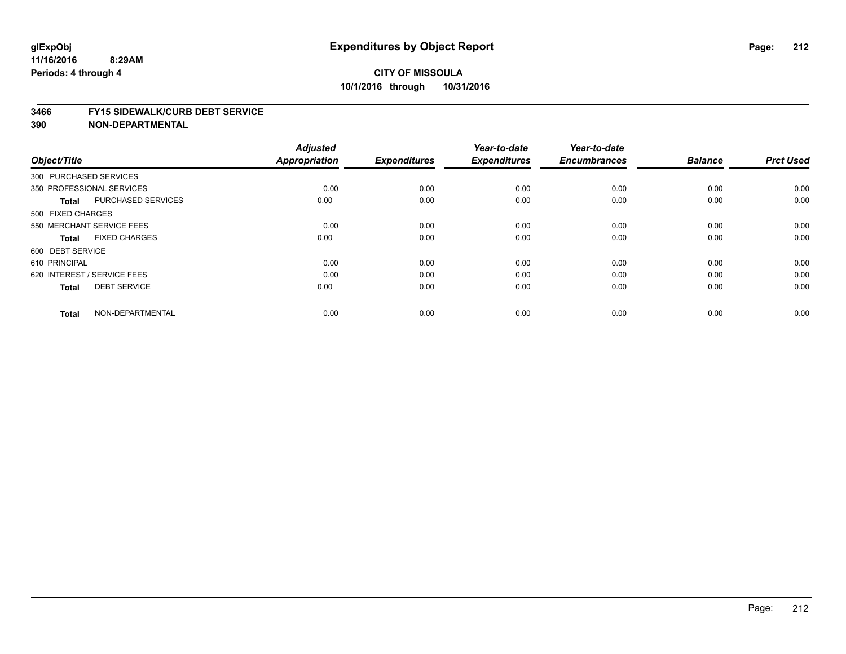#### **3466 FY15 SIDEWALK/CURB DEBT SERVICE**

| Object/Title           |                             | <b>Adjusted</b><br><b>Appropriation</b> | <b>Expenditures</b> | Year-to-date<br><b>Expenditures</b> | Year-to-date<br><b>Encumbrances</b> | <b>Balance</b> | <b>Prct Used</b> |
|------------------------|-----------------------------|-----------------------------------------|---------------------|-------------------------------------|-------------------------------------|----------------|------------------|
| 300 PURCHASED SERVICES |                             |                                         |                     |                                     |                                     |                |                  |
|                        | 350 PROFESSIONAL SERVICES   | 0.00                                    | 0.00                | 0.00                                | 0.00                                | 0.00           | 0.00             |
| <b>Total</b>           | <b>PURCHASED SERVICES</b>   | 0.00                                    | 0.00                | 0.00                                | 0.00                                | 0.00           | 0.00             |
| 500 FIXED CHARGES      |                             |                                         |                     |                                     |                                     |                |                  |
|                        | 550 MERCHANT SERVICE FEES   | 0.00                                    | 0.00                | 0.00                                | 0.00                                | 0.00           | 0.00             |
| <b>Total</b>           | <b>FIXED CHARGES</b>        | 0.00                                    | 0.00                | 0.00                                | 0.00                                | 0.00           | 0.00             |
| 600 DEBT SERVICE       |                             |                                         |                     |                                     |                                     |                |                  |
| 610 PRINCIPAL          |                             | 0.00                                    | 0.00                | 0.00                                | 0.00                                | 0.00           | 0.00             |
|                        | 620 INTEREST / SERVICE FEES | 0.00                                    | 0.00                | 0.00                                | 0.00                                | 0.00           | 0.00             |
| <b>Total</b>           | <b>DEBT SERVICE</b>         | 0.00                                    | 0.00                | 0.00                                | 0.00                                | 0.00           | 0.00             |
| <b>Total</b>           | NON-DEPARTMENTAL            | 0.00                                    | 0.00                | 0.00                                | 0.00                                | 0.00           | 0.00             |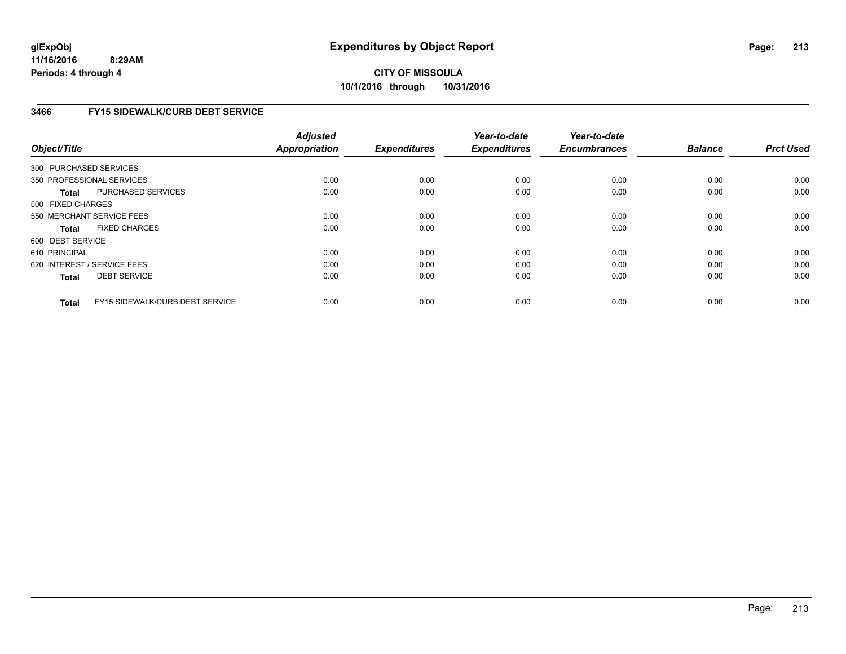# **3466 FY15 SIDEWALK/CURB DEBT SERVICE**

| Object/Title           |                                 | <b>Adjusted</b><br><b>Appropriation</b> | <b>Expenditures</b> | Year-to-date<br><b>Expenditures</b> | Year-to-date<br><b>Encumbrances</b> | <b>Balance</b> | <b>Prct Used</b> |
|------------------------|---------------------------------|-----------------------------------------|---------------------|-------------------------------------|-------------------------------------|----------------|------------------|
| 300 PURCHASED SERVICES |                                 |                                         |                     |                                     |                                     |                |                  |
|                        | 350 PROFESSIONAL SERVICES       | 0.00                                    | 0.00                | 0.00                                | 0.00                                | 0.00           | 0.00             |
| Total                  | PURCHASED SERVICES              | 0.00                                    | 0.00                | 0.00                                | 0.00                                | 0.00           | 0.00             |
| 500 FIXED CHARGES      |                                 |                                         |                     |                                     |                                     |                |                  |
|                        | 550 MERCHANT SERVICE FEES       | 0.00                                    | 0.00                | 0.00                                | 0.00                                | 0.00           | 0.00             |
| <b>Total</b>           | <b>FIXED CHARGES</b>            | 0.00                                    | 0.00                | 0.00                                | 0.00                                | 0.00           | 0.00             |
| 600 DEBT SERVICE       |                                 |                                         |                     |                                     |                                     |                |                  |
| 610 PRINCIPAL          |                                 | 0.00                                    | 0.00                | 0.00                                | 0.00                                | 0.00           | 0.00             |
|                        | 620 INTEREST / SERVICE FEES     | 0.00                                    | 0.00                | 0.00                                | 0.00                                | 0.00           | 0.00             |
| <b>Total</b>           | <b>DEBT SERVICE</b>             | 0.00                                    | 0.00                | 0.00                                | 0.00                                | 0.00           | 0.00             |
| <b>Total</b>           | FY15 SIDEWALK/CURB DEBT SERVICE | 0.00                                    | 0.00                | 0.00                                | 0.00                                | 0.00           | 0.00             |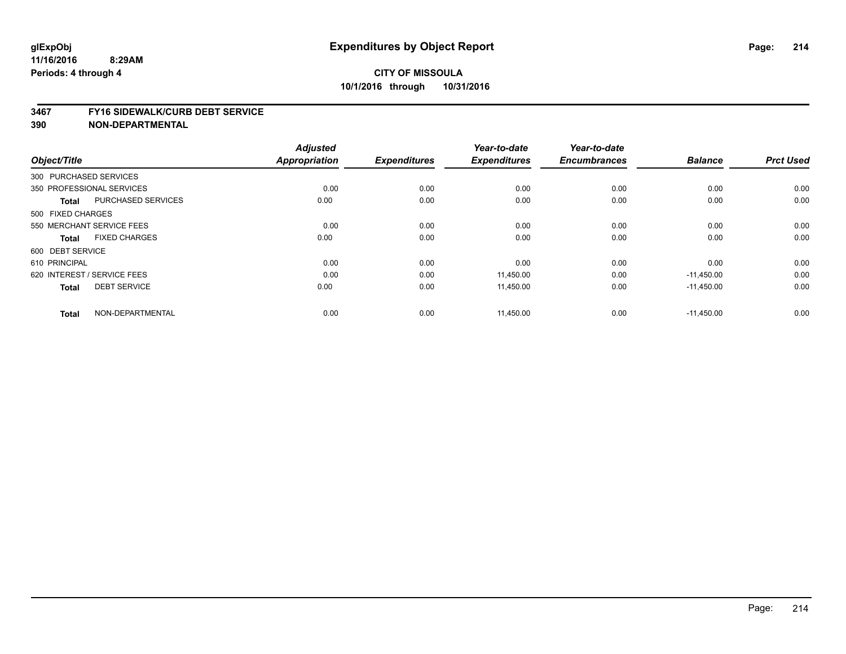#### **3467 FY16 SIDEWALK/CURB DEBT SERVICE**

| Object/Title                              | <b>Adjusted</b><br><b>Appropriation</b> | <b>Expenditures</b> | Year-to-date<br><b>Expenditures</b> | Year-to-date<br><b>Encumbrances</b> | <b>Balance</b> | <b>Prct Used</b> |
|-------------------------------------------|-----------------------------------------|---------------------|-------------------------------------|-------------------------------------|----------------|------------------|
| 300 PURCHASED SERVICES                    |                                         |                     |                                     |                                     |                |                  |
| 350 PROFESSIONAL SERVICES                 | 0.00                                    | 0.00                | 0.00                                | 0.00                                | 0.00           | 0.00             |
| <b>PURCHASED SERVICES</b><br><b>Total</b> | 0.00                                    | 0.00                | 0.00                                | 0.00                                | 0.00           | 0.00             |
| 500 FIXED CHARGES                         |                                         |                     |                                     |                                     |                |                  |
| 550 MERCHANT SERVICE FEES                 | 0.00                                    | 0.00                | 0.00                                | 0.00                                | 0.00           | 0.00             |
| <b>FIXED CHARGES</b><br><b>Total</b>      | 0.00                                    | 0.00                | 0.00                                | 0.00                                | 0.00           | 0.00             |
| 600 DEBT SERVICE                          |                                         |                     |                                     |                                     |                |                  |
| 610 PRINCIPAL                             | 0.00                                    | 0.00                | 0.00                                | 0.00                                | 0.00           | 0.00             |
| 620 INTEREST / SERVICE FEES               | 0.00                                    | 0.00                | 11,450.00                           | 0.00                                | $-11,450.00$   | 0.00             |
| <b>DEBT SERVICE</b><br><b>Total</b>       | 0.00                                    | 0.00                | 11,450.00                           | 0.00                                | $-11.450.00$   | 0.00             |
| NON-DEPARTMENTAL<br><b>Total</b>          | 0.00                                    | 0.00                | 11,450.00                           | 0.00                                | $-11,450.00$   | 0.00             |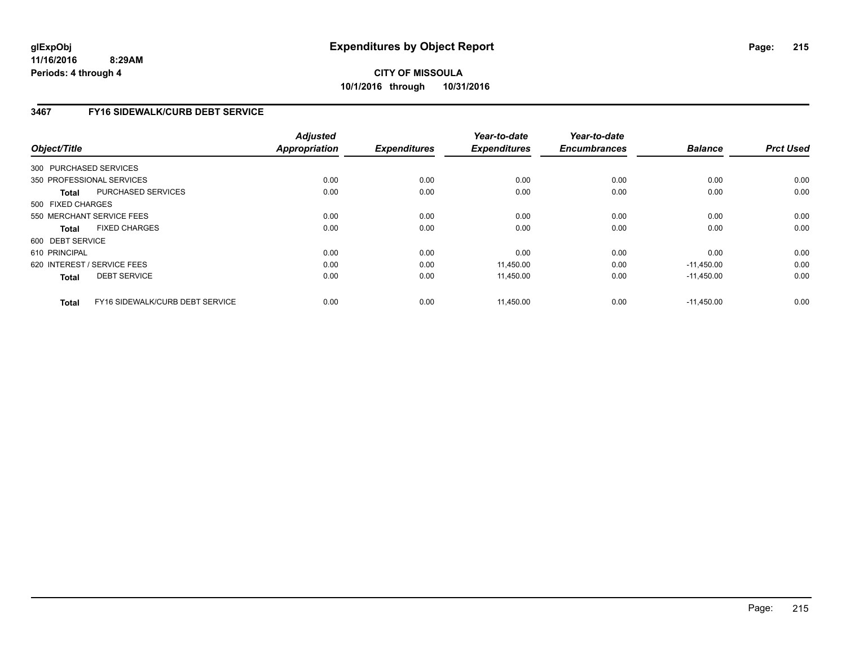**11/16/2016 8:29AM Periods: 4 through 4**

**CITY OF MISSOULA 10/1/2016 through 10/31/2016**

### **3467 FY16 SIDEWALK/CURB DEBT SERVICE**

|                  |                                 | <b>Adjusted</b> |                     | Year-to-date        | Year-to-date        |                |                  |
|------------------|---------------------------------|-----------------|---------------------|---------------------|---------------------|----------------|------------------|
| Object/Title     |                                 | Appropriation   | <b>Expenditures</b> | <b>Expenditures</b> | <b>Encumbrances</b> | <b>Balance</b> | <b>Prct Used</b> |
|                  | 300 PURCHASED SERVICES          |                 |                     |                     |                     |                |                  |
|                  | 350 PROFESSIONAL SERVICES       | 0.00            | 0.00                | 0.00                | 0.00                | 0.00           | 0.00             |
| <b>Total</b>     | PURCHASED SERVICES              | 0.00            | 0.00                | 0.00                | 0.00                | 0.00           | 0.00             |
|                  | 500 FIXED CHARGES               |                 |                     |                     |                     |                |                  |
|                  | 550 MERCHANT SERVICE FEES       | 0.00            | 0.00                | 0.00                | 0.00                | 0.00           | 0.00             |
| <b>Total</b>     | <b>FIXED CHARGES</b>            | 0.00            | 0.00                | 0.00                | 0.00                | 0.00           | 0.00             |
| 600 DEBT SERVICE |                                 |                 |                     |                     |                     |                |                  |
| 610 PRINCIPAL    |                                 | 0.00            | 0.00                | 0.00                | 0.00                | 0.00           | 0.00             |
|                  | 620 INTEREST / SERVICE FEES     | 0.00            | 0.00                | 11.450.00           | 0.00                | $-11.450.00$   | 0.00             |
| <b>Total</b>     | <b>DEBT SERVICE</b>             | 0.00            | 0.00                | 11,450.00           | 0.00                | $-11,450.00$   | 0.00             |
| Total            | FY16 SIDEWALK/CURB DEBT SERVICE | 0.00            | 0.00                | 11,450.00           | 0.00                | $-11,450.00$   | 0.00             |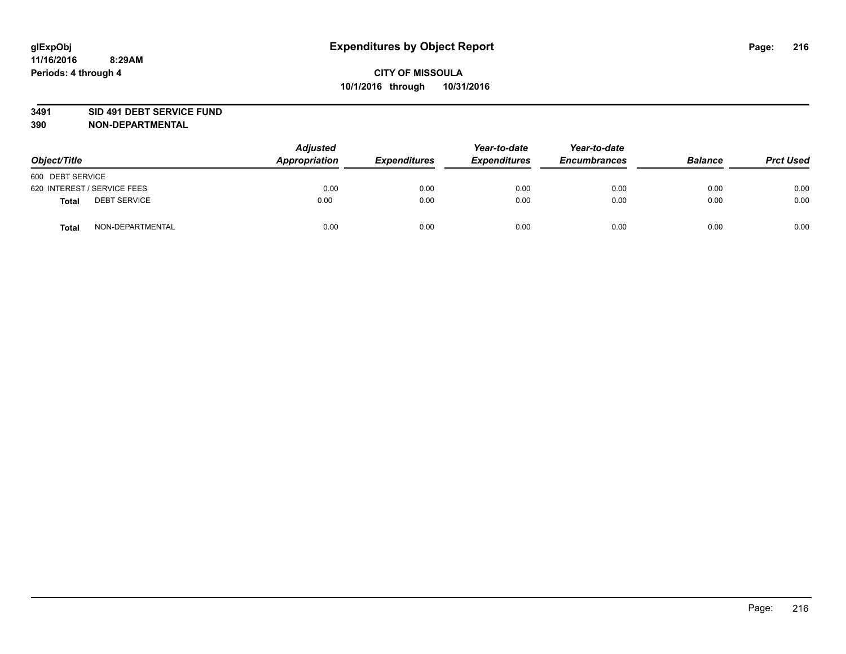### **3491 SID 491 DEBT SERVICE FUND**

| Object/Title                        | <b>Adjusted</b><br>Appropriation | <b>Expenditures</b> | Year-to-date<br><b>Expenditures</b> | Year-to-date<br><b>Encumbrances</b> | <b>Balance</b> | <b>Prct Used</b> |
|-------------------------------------|----------------------------------|---------------------|-------------------------------------|-------------------------------------|----------------|------------------|
| 600 DEBT SERVICE                    |                                  |                     |                                     |                                     |                |                  |
| 620 INTEREST / SERVICE FEES         | 0.00                             | 0.00                | 0.00                                | 0.00                                | 0.00           | 0.00             |
| <b>DEBT SERVICE</b><br><b>Total</b> | 0.00                             | 0.00                | 0.00                                | 0.00                                | 0.00           | 0.00             |
| NON-DEPARTMENTAL<br><b>Total</b>    | 0.00                             | 0.00                | 0.00                                | 0.00                                | 0.00           | 0.00             |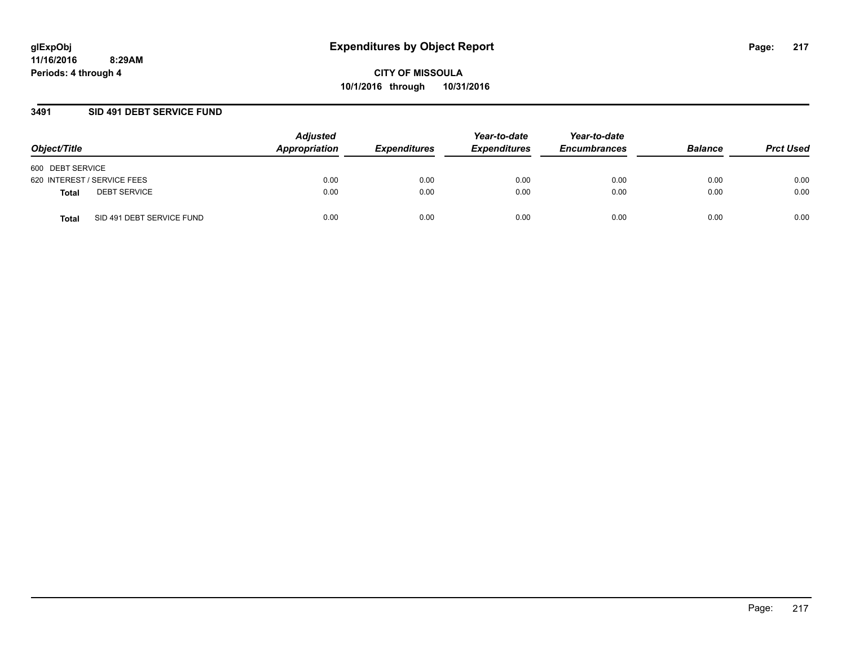### **3491 SID 491 DEBT SERVICE FUND**

| Object/Title                       | <b>Adjusted</b><br>Appropriation | <b>Expenditures</b> | Year-to-date<br><b>Expenditures</b> | Year-to-date<br><b>Encumbrances</b> | <b>Balance</b> | <b>Prct Used</b> |
|------------------------------------|----------------------------------|---------------------|-------------------------------------|-------------------------------------|----------------|------------------|
| 600 DEBT SERVICE                   |                                  |                     |                                     |                                     |                |                  |
| 620 INTEREST / SERVICE FEES        | 0.00                             | 0.00                | 0.00                                | 0.00                                | 0.00           | 0.00             |
| <b>DEBT SERVICE</b><br>Total       | 0.00                             | 0.00                | 0.00                                | 0.00                                | 0.00           | 0.00             |
| SID 491 DEBT SERVICE FUND<br>Total | 0.00                             | 0.00                | 0.00                                | 0.00                                | 0.00           | 0.00             |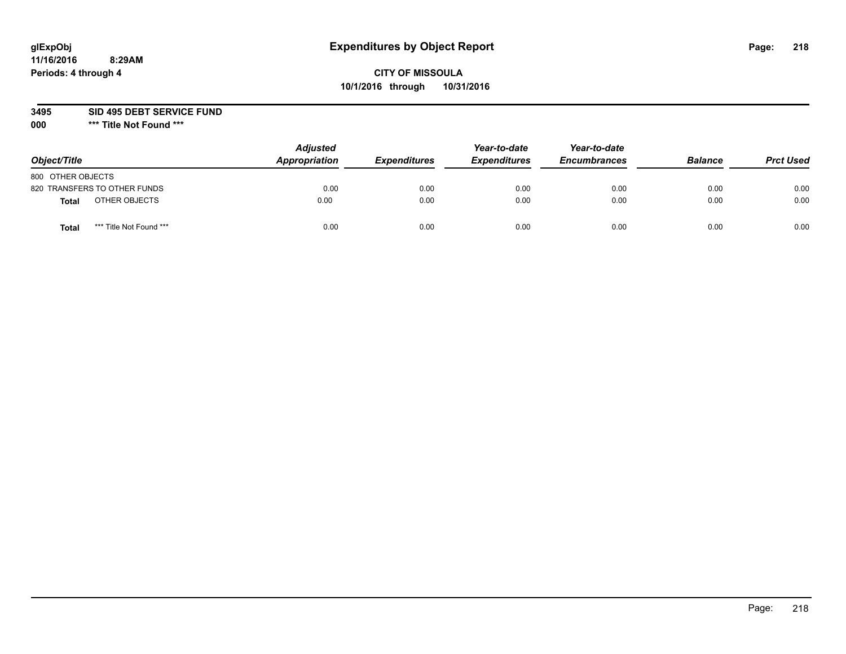# **CITY OF MISSOULA 10/1/2016 through 10/31/2016**

**3495 SID 495 DEBT SERVICE FUND**

| Object/Title                    | <b>Adjusted</b><br>Appropriation | <b>Expenditures</b> | Year-to-date<br><b>Expenditures</b> | Year-to-date<br><b>Encumbrances</b> | <b>Balance</b> | <b>Prct Used</b> |
|---------------------------------|----------------------------------|---------------------|-------------------------------------|-------------------------------------|----------------|------------------|
| 800 OTHER OBJECTS               |                                  |                     |                                     |                                     |                |                  |
| 820 TRANSFERS TO OTHER FUNDS    | 0.00                             | 0.00                | 0.00                                | 0.00                                | 0.00           | 0.00             |
| OTHER OBJECTS<br>Total          | 0.00                             | 0.00                | 0.00                                | 0.00                                | 0.00           | 0.00             |
| *** Title Not Found ***<br>Tota | 0.00                             | 0.00                | 0.00                                | 0.00                                | 0.00           | 0.00             |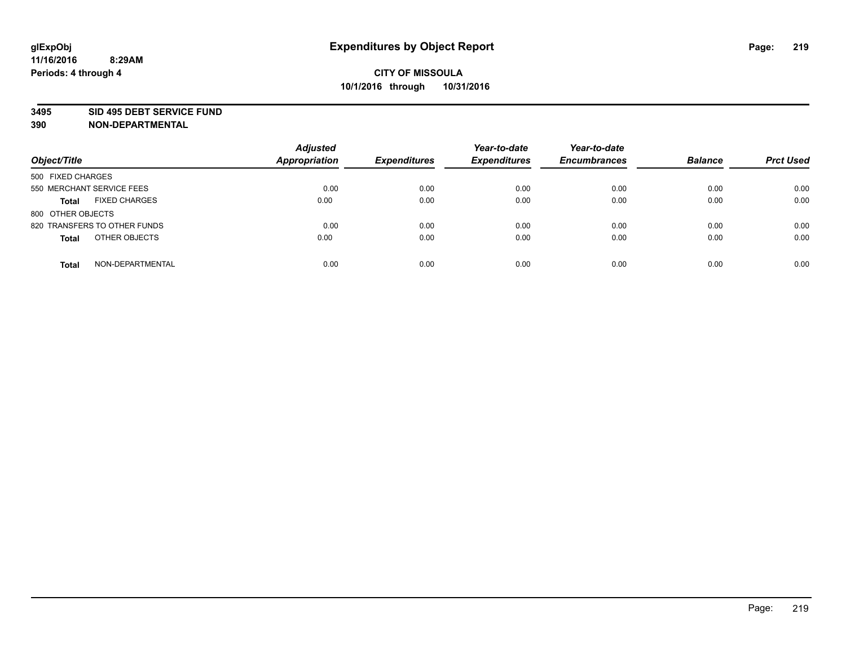#### **3495 SID 495 DEBT SERVICE FUND**

| Object/Title                         | <b>Adjusted</b><br><b>Appropriation</b> | <b>Expenditures</b> | Year-to-date<br><b>Expenditures</b> | Year-to-date<br><b>Encumbrances</b> | <b>Balance</b> | <b>Prct Used</b> |
|--------------------------------------|-----------------------------------------|---------------------|-------------------------------------|-------------------------------------|----------------|------------------|
| 500 FIXED CHARGES                    |                                         |                     |                                     |                                     |                |                  |
| 550 MERCHANT SERVICE FEES            | 0.00                                    | 0.00                | 0.00                                | 0.00                                | 0.00           | 0.00             |
| <b>FIXED CHARGES</b><br><b>Total</b> | 0.00                                    | 0.00                | 0.00                                | 0.00                                | 0.00           | 0.00             |
| 800 OTHER OBJECTS                    |                                         |                     |                                     |                                     |                |                  |
| 820 TRANSFERS TO OTHER FUNDS         | 0.00                                    | 0.00                | 0.00                                | 0.00                                | 0.00           | 0.00             |
| OTHER OBJECTS<br><b>Total</b>        | 0.00                                    | 0.00                | 0.00                                | 0.00                                | 0.00           | 0.00             |
| NON-DEPARTMENTAL<br><b>Total</b>     | 0.00                                    | 0.00                | 0.00                                | 0.00                                | 0.00           | 0.00             |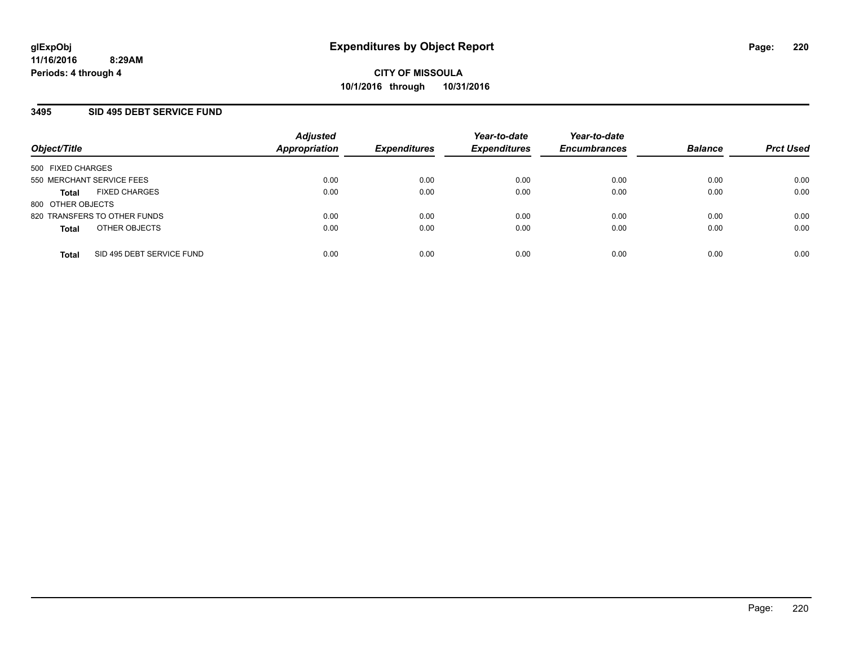### **3495 SID 495 DEBT SERVICE FUND**

| Object/Title                              | <b>Adjusted</b><br><b>Appropriation</b> | <b>Expenditures</b> | Year-to-date<br><b>Expenditures</b> | Year-to-date<br><b>Encumbrances</b> | <b>Balance</b> | <b>Prct Used</b> |
|-------------------------------------------|-----------------------------------------|---------------------|-------------------------------------|-------------------------------------|----------------|------------------|
| 500 FIXED CHARGES                         |                                         |                     |                                     |                                     |                |                  |
| 550 MERCHANT SERVICE FEES                 | 0.00                                    | 0.00                | 0.00                                | 0.00                                | 0.00           | 0.00             |
| <b>FIXED CHARGES</b><br><b>Total</b>      | 0.00                                    | 0.00                | 0.00                                | 0.00                                | 0.00           | 0.00             |
| 800 OTHER OBJECTS                         |                                         |                     |                                     |                                     |                |                  |
| 820 TRANSFERS TO OTHER FUNDS              | 0.00                                    | 0.00                | 0.00                                | 0.00                                | 0.00           | 0.00             |
| OTHER OBJECTS<br><b>Total</b>             | 0.00                                    | 0.00                | 0.00                                | 0.00                                | 0.00           | 0.00             |
| SID 495 DEBT SERVICE FUND<br><b>Total</b> | 0.00                                    | 0.00                | 0.00                                | 0.00                                | 0.00           | 0.00             |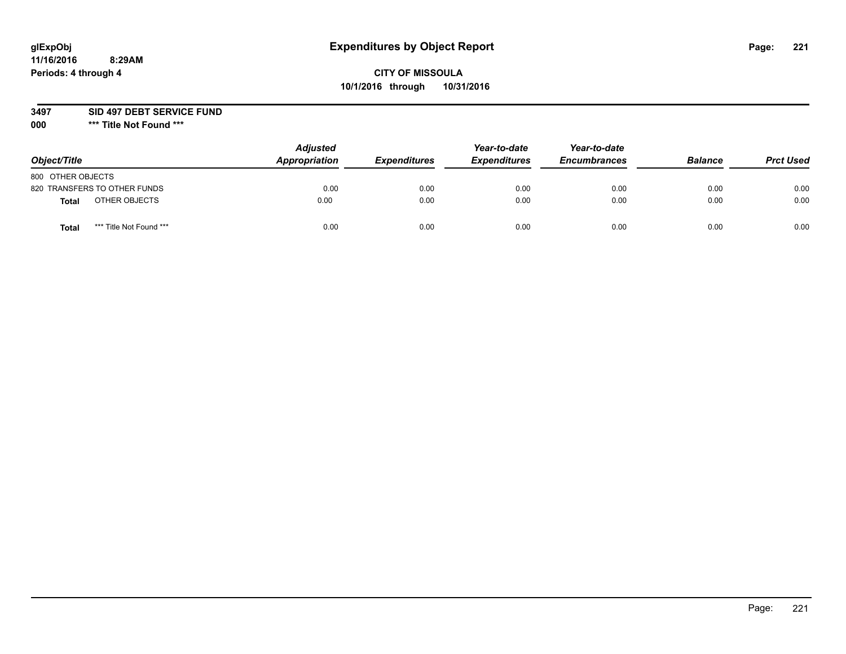# **CITY OF MISSOULA 10/1/2016 through 10/31/2016**

#### **3497 SID 497 DEBT SERVICE FUND**

| Object/Title                            | <b>Adjusted</b><br>Appropriation | <b>Expenditures</b> | Year-to-date<br><b>Expenditures</b> | Year-to-date<br><b>Encumbrances</b> | <b>Balance</b> | <b>Prct Used</b> |
|-----------------------------------------|----------------------------------|---------------------|-------------------------------------|-------------------------------------|----------------|------------------|
| 800 OTHER OBJECTS                       |                                  |                     |                                     |                                     |                |                  |
| 820 TRANSFERS TO OTHER FUNDS            | 0.00                             | 0.00                | 0.00                                | 0.00                                | 0.00           | 0.00             |
| OTHER OBJECTS<br><b>Total</b>           | 0.00                             | 0.00                | 0.00                                | 0.00                                | 0.00           | 0.00             |
| *** Title Not Found ***<br><b>Total</b> | 0.00                             | 0.00                | 0.00                                | 0.00                                | 0.00           | 0.00             |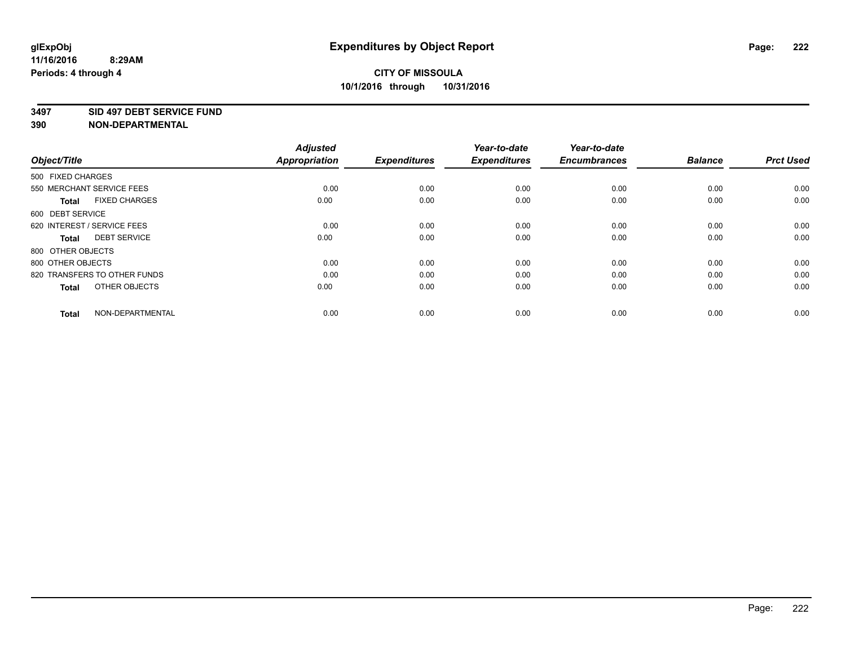#### **3497 SID 497 DEBT SERVICE FUND**

| Object/Title                         | <b>Adjusted</b><br><b>Appropriation</b> | <b>Expenditures</b> | Year-to-date<br><b>Expenditures</b> | Year-to-date<br><b>Encumbrances</b> | <b>Balance</b> | <b>Prct Used</b> |
|--------------------------------------|-----------------------------------------|---------------------|-------------------------------------|-------------------------------------|----------------|------------------|
| 500 FIXED CHARGES                    |                                         |                     |                                     |                                     |                |                  |
| 550 MERCHANT SERVICE FEES            | 0.00                                    | 0.00                | 0.00                                | 0.00                                | 0.00           | 0.00             |
| <b>FIXED CHARGES</b><br><b>Total</b> | 0.00                                    | 0.00                | 0.00                                | 0.00                                | 0.00           | 0.00             |
| 600 DEBT SERVICE                     |                                         |                     |                                     |                                     |                |                  |
| 620 INTEREST / SERVICE FEES          | 0.00                                    | 0.00                | 0.00                                | 0.00                                | 0.00           | 0.00             |
| <b>DEBT SERVICE</b><br><b>Total</b>  | 0.00                                    | 0.00                | 0.00                                | 0.00                                | 0.00           | 0.00             |
| 800 OTHER OBJECTS                    |                                         |                     |                                     |                                     |                |                  |
| 800 OTHER OBJECTS                    | 0.00                                    | 0.00                | 0.00                                | 0.00                                | 0.00           | 0.00             |
| 820 TRANSFERS TO OTHER FUNDS         | 0.00                                    | 0.00                | 0.00                                | 0.00                                | 0.00           | 0.00             |
| OTHER OBJECTS<br><b>Total</b>        | 0.00                                    | 0.00                | 0.00                                | 0.00                                | 0.00           | 0.00             |
|                                      |                                         |                     |                                     |                                     |                |                  |
| NON-DEPARTMENTAL<br><b>Total</b>     | 0.00                                    | 0.00                | 0.00                                | 0.00                                | 0.00           | 0.00             |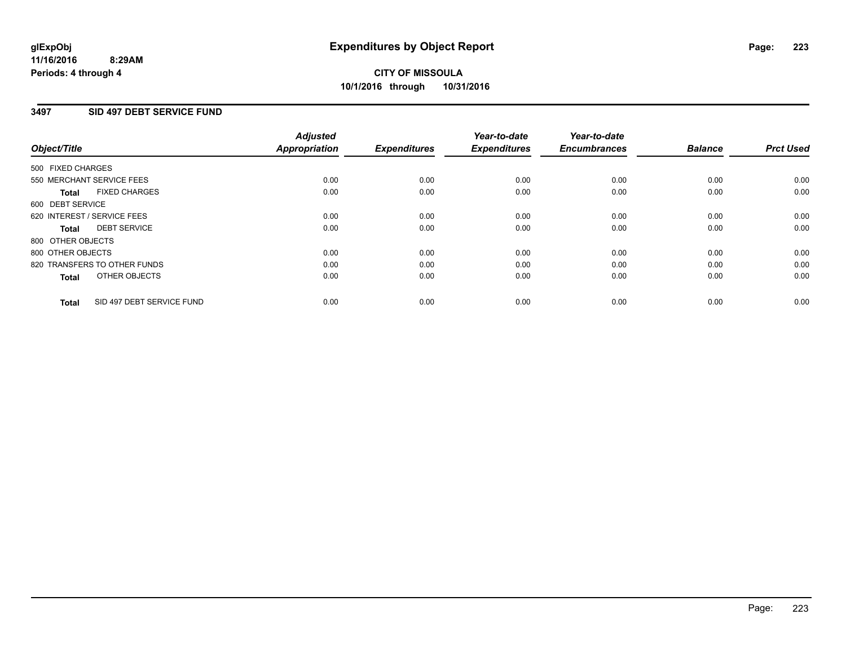#### **11/16/2016 8:29AM Periods: 4 through 4**

# **CITY OF MISSOULA 10/1/2016 through 10/31/2016**

### **3497 SID 497 DEBT SERVICE FUND**

| Object/Title      |                              | <b>Adjusted</b><br>Appropriation | <b>Expenditures</b> | Year-to-date<br><b>Expenditures</b> | Year-to-date<br><b>Encumbrances</b> | <b>Balance</b> | <b>Prct Used</b> |
|-------------------|------------------------------|----------------------------------|---------------------|-------------------------------------|-------------------------------------|----------------|------------------|
| 500 FIXED CHARGES |                              |                                  |                     |                                     |                                     |                |                  |
|                   | 550 MERCHANT SERVICE FEES    | 0.00                             | 0.00                | 0.00                                | 0.00                                | 0.00           | 0.00             |
| <b>Total</b>      | <b>FIXED CHARGES</b>         | 0.00                             | 0.00                | 0.00                                | 0.00                                | 0.00           | 0.00             |
| 600 DEBT SERVICE  |                              |                                  |                     |                                     |                                     |                |                  |
|                   | 620 INTEREST / SERVICE FEES  | 0.00                             | 0.00                | 0.00                                | 0.00                                | 0.00           | 0.00             |
| Total             | <b>DEBT SERVICE</b>          | 0.00                             | 0.00                | 0.00                                | 0.00                                | 0.00           | 0.00             |
| 800 OTHER OBJECTS |                              |                                  |                     |                                     |                                     |                |                  |
| 800 OTHER OBJECTS |                              | 0.00                             | 0.00                | 0.00                                | 0.00                                | 0.00           | 0.00             |
|                   | 820 TRANSFERS TO OTHER FUNDS | 0.00                             | 0.00                | 0.00                                | 0.00                                | 0.00           | 0.00             |
| <b>Total</b>      | OTHER OBJECTS                | 0.00                             | 0.00                | 0.00                                | 0.00                                | 0.00           | 0.00             |
| <b>Total</b>      | SID 497 DEBT SERVICE FUND    | 0.00                             | 0.00                | 0.00                                | 0.00                                | 0.00           | 0.00             |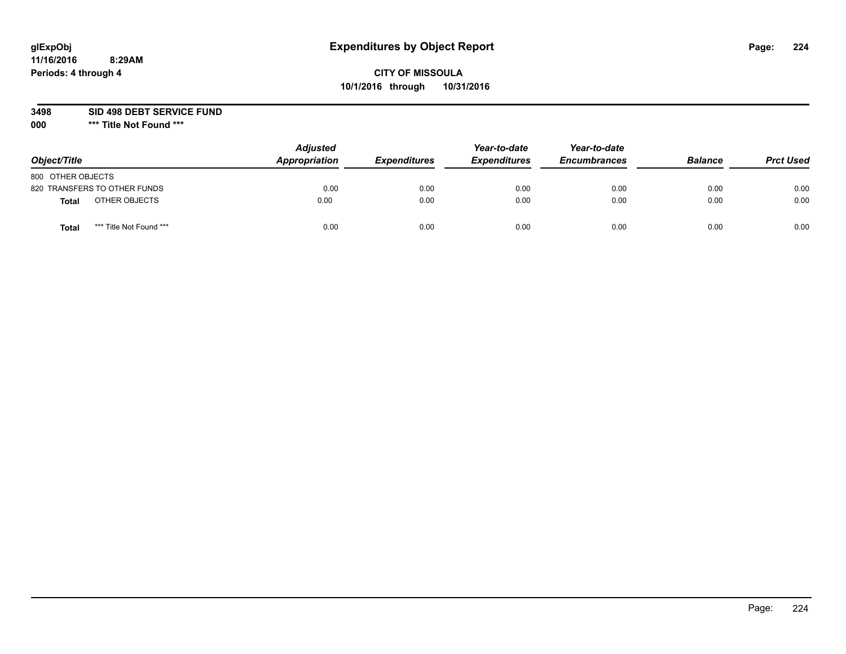# **CITY OF MISSOULA 10/1/2016 through 10/31/2016**

**3498 SID 498 DEBT SERVICE FUND**

| Object/Title                            | <b>Adjusted</b><br>Appropriation | <b>Expenditures</b> | Year-to-date<br><b>Expenditures</b> | Year-to-date<br><b>Encumbrances</b> | <b>Balance</b> | <b>Prct Used</b> |
|-----------------------------------------|----------------------------------|---------------------|-------------------------------------|-------------------------------------|----------------|------------------|
| 800 OTHER OBJECTS                       |                                  |                     |                                     |                                     |                |                  |
| 820 TRANSFERS TO OTHER FUNDS            | 0.00                             | 0.00                | 0.00                                | 0.00                                | 0.00           | 0.00             |
| OTHER OBJECTS<br><b>Total</b>           | 0.00                             | 0.00                | 0.00                                | 0.00                                | 0.00           | 0.00             |
| *** Title Not Found ***<br><b>Total</b> | 0.00                             | 0.00                | 0.00                                | 0.00                                | 0.00           | 0.00             |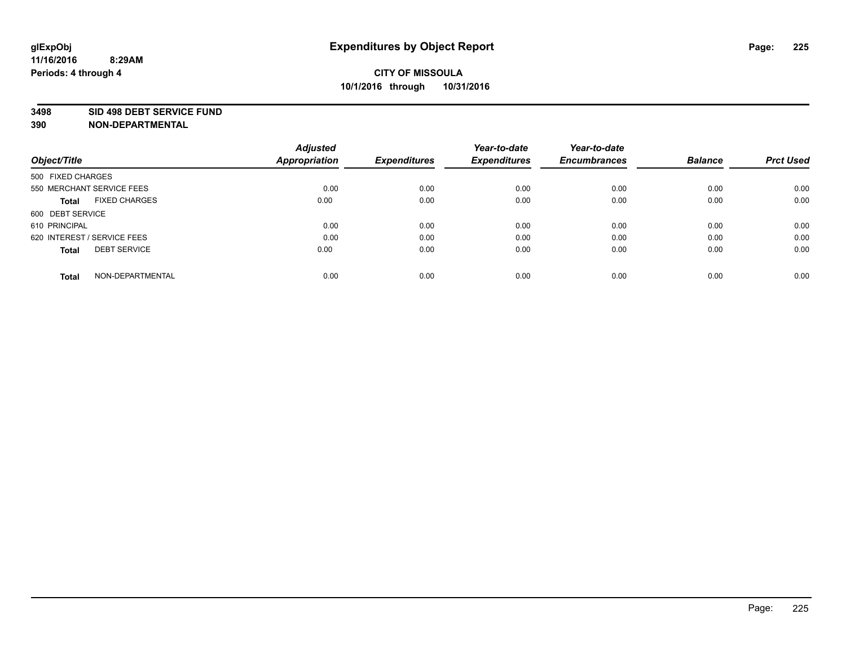#### **3498 SID 498 DEBT SERVICE FUND**

| Object/Title                         | <b>Adjusted</b><br><b>Appropriation</b> | <b>Expenditures</b> | Year-to-date<br><b>Expenditures</b> | Year-to-date<br><b>Encumbrances</b> | <b>Balance</b> | <b>Prct Used</b> |
|--------------------------------------|-----------------------------------------|---------------------|-------------------------------------|-------------------------------------|----------------|------------------|
|                                      |                                         |                     |                                     |                                     |                |                  |
| 500 FIXED CHARGES                    |                                         |                     |                                     |                                     |                |                  |
| 550 MERCHANT SERVICE FEES            | 0.00                                    | 0.00                | 0.00                                | 0.00                                | 0.00           | 0.00             |
| <b>FIXED CHARGES</b><br><b>Total</b> | 0.00                                    | 0.00                | 0.00                                | 0.00                                | 0.00           | 0.00             |
| 600 DEBT SERVICE                     |                                         |                     |                                     |                                     |                |                  |
| 610 PRINCIPAL                        | 0.00                                    | 0.00                | 0.00                                | 0.00                                | 0.00           | 0.00             |
| 620 INTEREST / SERVICE FEES          | 0.00                                    | 0.00                | 0.00                                | 0.00                                | 0.00           | 0.00             |
| <b>DEBT SERVICE</b><br><b>Total</b>  | 0.00                                    | 0.00                | 0.00                                | 0.00                                | 0.00           | 0.00             |
|                                      |                                         |                     |                                     |                                     |                |                  |
| NON-DEPARTMENTAL<br><b>Total</b>     | 0.00                                    | 0.00                | 0.00                                | 0.00                                | 0.00           | 0.00             |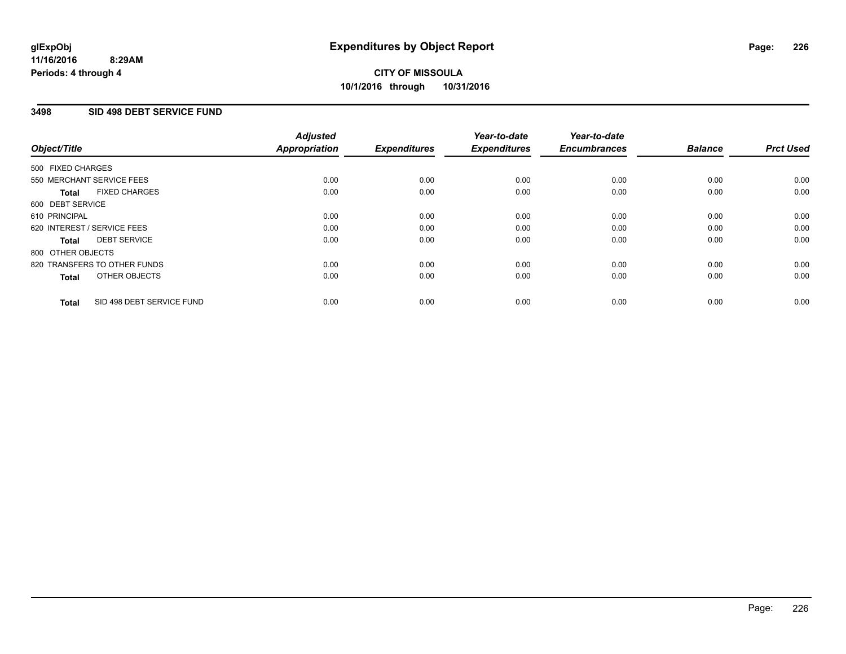## **3498 SID 498 DEBT SERVICE FUND**

| Object/Title      |                              | <b>Adjusted</b><br>Appropriation | <b>Expenditures</b> | Year-to-date<br><b>Expenditures</b> | Year-to-date<br><b>Encumbrances</b> | <b>Balance</b> | <b>Prct Used</b> |
|-------------------|------------------------------|----------------------------------|---------------------|-------------------------------------|-------------------------------------|----------------|------------------|
| 500 FIXED CHARGES |                              |                                  |                     |                                     |                                     |                |                  |
|                   | 550 MERCHANT SERVICE FEES    | 0.00                             | 0.00                | 0.00                                | 0.00                                | 0.00           | 0.00             |
| <b>Total</b>      | <b>FIXED CHARGES</b>         | 0.00                             | 0.00                | 0.00                                | 0.00                                | 0.00           | 0.00             |
| 600 DEBT SERVICE  |                              |                                  |                     |                                     |                                     |                |                  |
| 610 PRINCIPAL     |                              | 0.00                             | 0.00                | 0.00                                | 0.00                                | 0.00           | 0.00             |
|                   | 620 INTEREST / SERVICE FEES  | 0.00                             | 0.00                | 0.00                                | 0.00                                | 0.00           | 0.00             |
| Total             | <b>DEBT SERVICE</b>          | 0.00                             | 0.00                | 0.00                                | 0.00                                | 0.00           | 0.00             |
| 800 OTHER OBJECTS |                              |                                  |                     |                                     |                                     |                |                  |
|                   | 820 TRANSFERS TO OTHER FUNDS | 0.00                             | 0.00                | 0.00                                | 0.00                                | 0.00           | 0.00             |
| <b>Total</b>      | OTHER OBJECTS                | 0.00                             | 0.00                | 0.00                                | 0.00                                | 0.00           | 0.00             |
| <b>Total</b>      | SID 498 DEBT SERVICE FUND    | 0.00                             | 0.00                | 0.00                                | 0.00                                | 0.00           | 0.00             |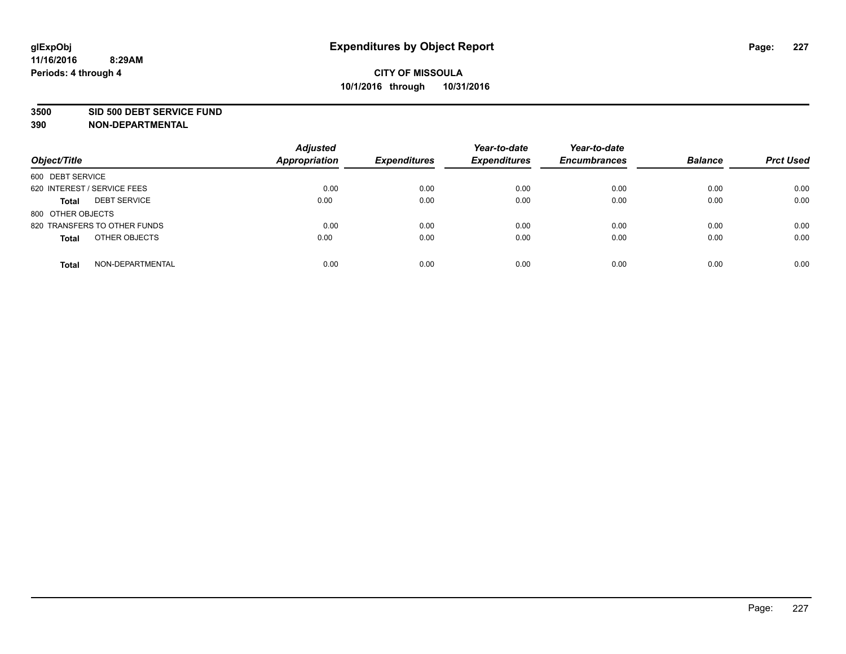#### **3500 SID 500 DEBT SERVICE FUND**

| Object/Title                        | <b>Adjusted</b><br><b>Appropriation</b> | <b>Expenditures</b> | Year-to-date<br><b>Expenditures</b> | Year-to-date<br><b>Encumbrances</b> | <b>Balance</b> | <b>Prct Used</b> |
|-------------------------------------|-----------------------------------------|---------------------|-------------------------------------|-------------------------------------|----------------|------------------|
| 600 DEBT SERVICE                    |                                         |                     |                                     |                                     |                |                  |
| 620 INTEREST / SERVICE FEES         | 0.00                                    | 0.00                | 0.00                                | 0.00                                | 0.00           | 0.00             |
| <b>DEBT SERVICE</b><br><b>Total</b> | 0.00                                    | 0.00                | 0.00                                | 0.00                                | 0.00           | 0.00             |
| 800 OTHER OBJECTS                   |                                         |                     |                                     |                                     |                |                  |
| 820 TRANSFERS TO OTHER FUNDS        | 0.00                                    | 0.00                | 0.00                                | 0.00                                | 0.00           | 0.00             |
| OTHER OBJECTS<br><b>Total</b>       | 0.00                                    | 0.00                | 0.00                                | 0.00                                | 0.00           | 0.00             |
| NON-DEPARTMENTAL<br><b>Total</b>    | 0.00                                    | 0.00                | 0.00                                | 0.00                                | 0.00           | 0.00             |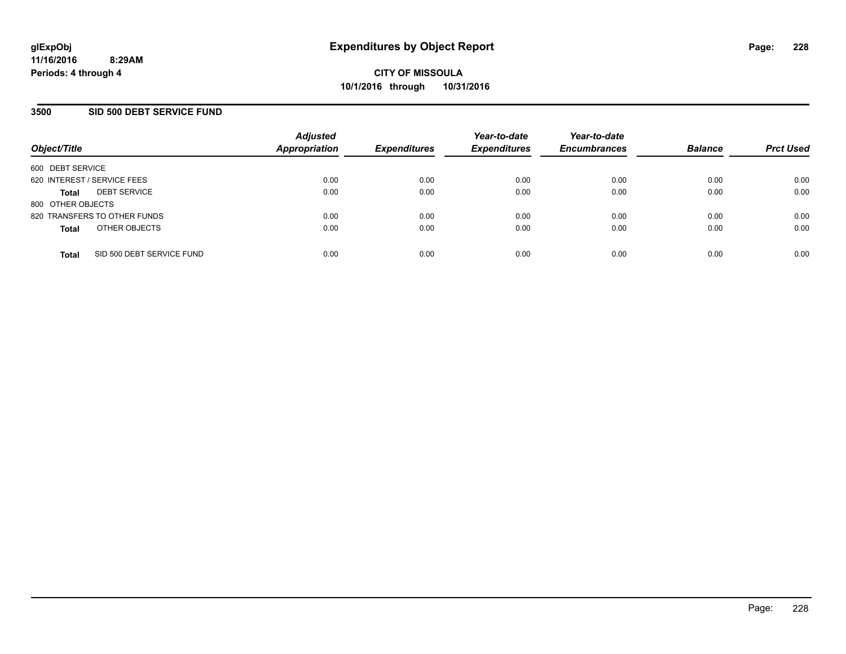### **3500 SID 500 DEBT SERVICE FUND**

| Object/Title                              | <b>Adjusted</b><br><b>Appropriation</b> | <b>Expenditures</b> | Year-to-date<br><b>Expenditures</b> | Year-to-date<br><b>Encumbrances</b> | <b>Balance</b> | <b>Prct Used</b> |
|-------------------------------------------|-----------------------------------------|---------------------|-------------------------------------|-------------------------------------|----------------|------------------|
| 600 DEBT SERVICE                          |                                         |                     |                                     |                                     |                |                  |
| 620 INTEREST / SERVICE FEES               | 0.00                                    | 0.00                | 0.00                                | 0.00                                | 0.00           | 0.00             |
| <b>DEBT SERVICE</b><br><b>Total</b>       | 0.00                                    | 0.00                | 0.00                                | 0.00                                | 0.00           | 0.00             |
| 800 OTHER OBJECTS                         |                                         |                     |                                     |                                     |                |                  |
| 820 TRANSFERS TO OTHER FUNDS              | 0.00                                    | 0.00                | 0.00                                | 0.00                                | 0.00           | 0.00             |
| OTHER OBJECTS<br><b>Total</b>             | 0.00                                    | 0.00                | 0.00                                | 0.00                                | 0.00           | 0.00             |
| SID 500 DEBT SERVICE FUND<br><b>Total</b> | 0.00                                    | 0.00                | 0.00                                | 0.00                                | 0.00           | 0.00             |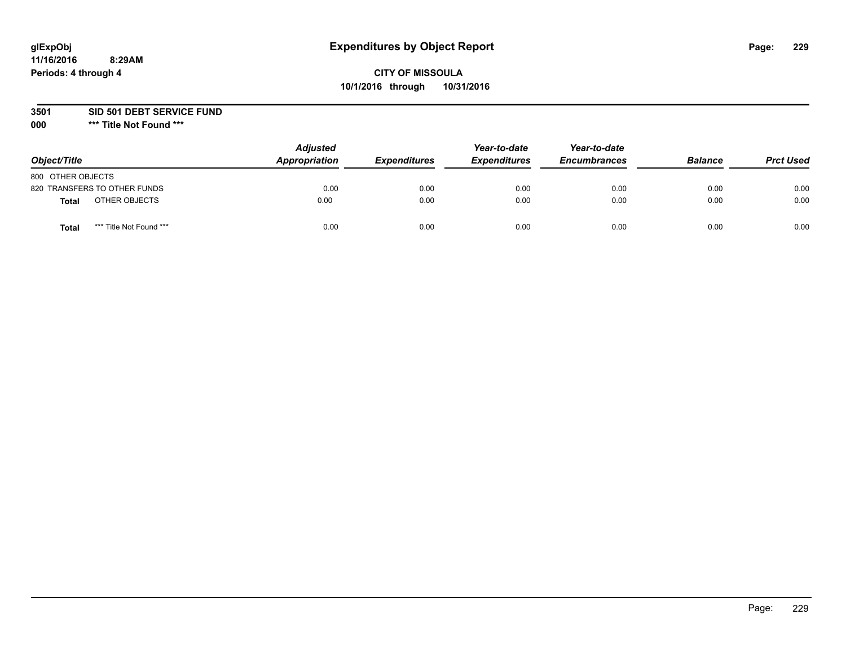# **CITY OF MISSOULA 10/1/2016 through 10/31/2016**

**3501 SID 501 DEBT SERVICE FUND**

| Object/Title                     | <b>Adjusted</b><br>Appropriation | <b>Expenditures</b> | Year-to-date<br><b>Expenditures</b> | Year-to-date<br><b>Encumbrances</b> | <b>Balance</b> | <b>Prct Used</b> |
|----------------------------------|----------------------------------|---------------------|-------------------------------------|-------------------------------------|----------------|------------------|
| 800 OTHER OBJECTS                |                                  |                     |                                     |                                     |                |                  |
| 820 TRANSFERS TO OTHER FUNDS     | 0.00                             | 0.00                | 0.00                                | 0.00                                | 0.00           | 0.00             |
| OTHER OBJECTS<br><b>Total</b>    | 0.00                             | 0.00                | 0.00                                | 0.00                                | 0.00           | 0.00             |
| *** Title Not Found ***<br>Total | 0.00                             | 0.00                | 0.00                                | 0.00                                | 0.00           | 0.00             |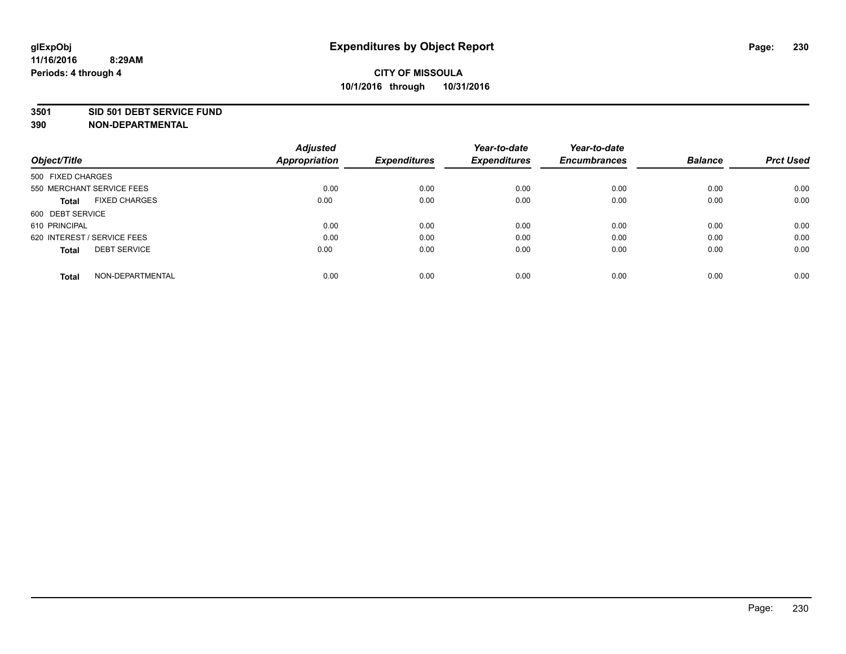#### **3501 SID 501 DEBT SERVICE FUND**

| Object/Title                         | <b>Adjusted</b><br><b>Appropriation</b> | <b>Expenditures</b> | Year-to-date<br><b>Expenditures</b> | Year-to-date<br><b>Encumbrances</b> | <b>Balance</b> | <b>Prct Used</b> |
|--------------------------------------|-----------------------------------------|---------------------|-------------------------------------|-------------------------------------|----------------|------------------|
|                                      |                                         |                     |                                     |                                     |                |                  |
| 500 FIXED CHARGES                    |                                         |                     |                                     |                                     |                |                  |
| 550 MERCHANT SERVICE FEES            | 0.00                                    | 0.00                | 0.00                                | 0.00                                | 0.00           | 0.00             |
| <b>FIXED CHARGES</b><br><b>Total</b> | 0.00                                    | 0.00                | 0.00                                | 0.00                                | 0.00           | 0.00             |
| 600 DEBT SERVICE                     |                                         |                     |                                     |                                     |                |                  |
| 610 PRINCIPAL                        | 0.00                                    | 0.00                | 0.00                                | 0.00                                | 0.00           | 0.00             |
| 620 INTEREST / SERVICE FEES          | 0.00                                    | 0.00                | 0.00                                | 0.00                                | 0.00           | 0.00             |
| <b>DEBT SERVICE</b><br><b>Total</b>  | 0.00                                    | 0.00                | 0.00                                | 0.00                                | 0.00           | 0.00             |
|                                      |                                         |                     |                                     |                                     |                |                  |
| NON-DEPARTMENTAL<br><b>Total</b>     | 0.00                                    | 0.00                | 0.00                                | 0.00                                | 0.00           | 0.00             |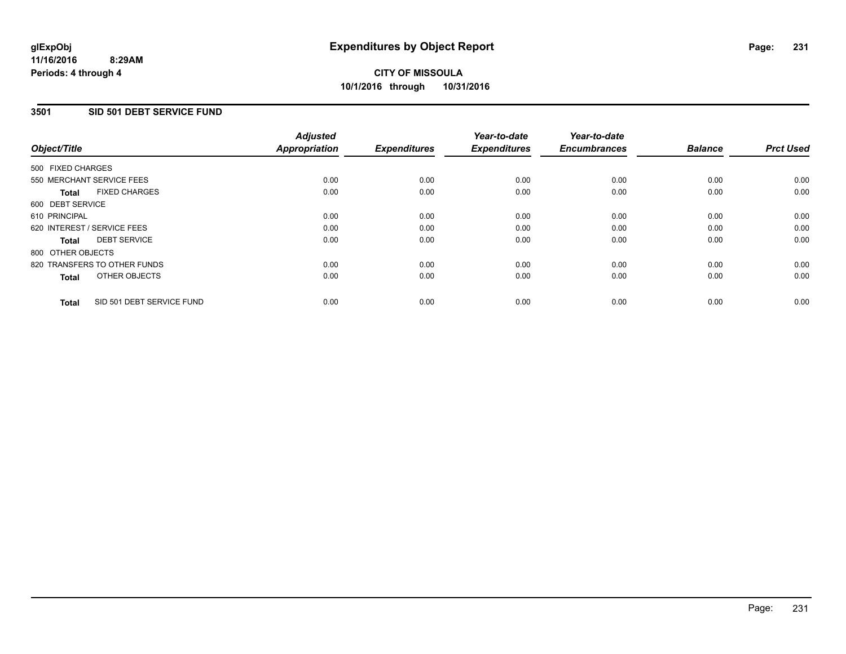## **3501 SID 501 DEBT SERVICE FUND**

| Object/Title      |                              | <b>Adjusted</b><br>Appropriation | <b>Expenditures</b> | Year-to-date<br><b>Expenditures</b> | Year-to-date<br><b>Encumbrances</b> | <b>Balance</b> | <b>Prct Used</b> |
|-------------------|------------------------------|----------------------------------|---------------------|-------------------------------------|-------------------------------------|----------------|------------------|
| 500 FIXED CHARGES |                              |                                  |                     |                                     |                                     |                |                  |
|                   | 550 MERCHANT SERVICE FEES    | 0.00                             | 0.00                | 0.00                                | 0.00                                | 0.00           | 0.00             |
| <b>Total</b>      | <b>FIXED CHARGES</b>         | 0.00                             | 0.00                | 0.00                                | 0.00                                | 0.00           | 0.00             |
| 600 DEBT SERVICE  |                              |                                  |                     |                                     |                                     |                |                  |
| 610 PRINCIPAL     |                              | 0.00                             | 0.00                | 0.00                                | 0.00                                | 0.00           | 0.00             |
|                   | 620 INTEREST / SERVICE FEES  | 0.00                             | 0.00                | 0.00                                | 0.00                                | 0.00           | 0.00             |
| Total             | <b>DEBT SERVICE</b>          | 0.00                             | 0.00                | 0.00                                | 0.00                                | 0.00           | 0.00             |
| 800 OTHER OBJECTS |                              |                                  |                     |                                     |                                     |                |                  |
|                   | 820 TRANSFERS TO OTHER FUNDS | 0.00                             | 0.00                | 0.00                                | 0.00                                | 0.00           | 0.00             |
| <b>Total</b>      | OTHER OBJECTS                | 0.00                             | 0.00                | 0.00                                | 0.00                                | 0.00           | 0.00             |
| <b>Total</b>      | SID 501 DEBT SERVICE FUND    | 0.00                             | 0.00                | 0.00                                | 0.00                                | 0.00           | 0.00             |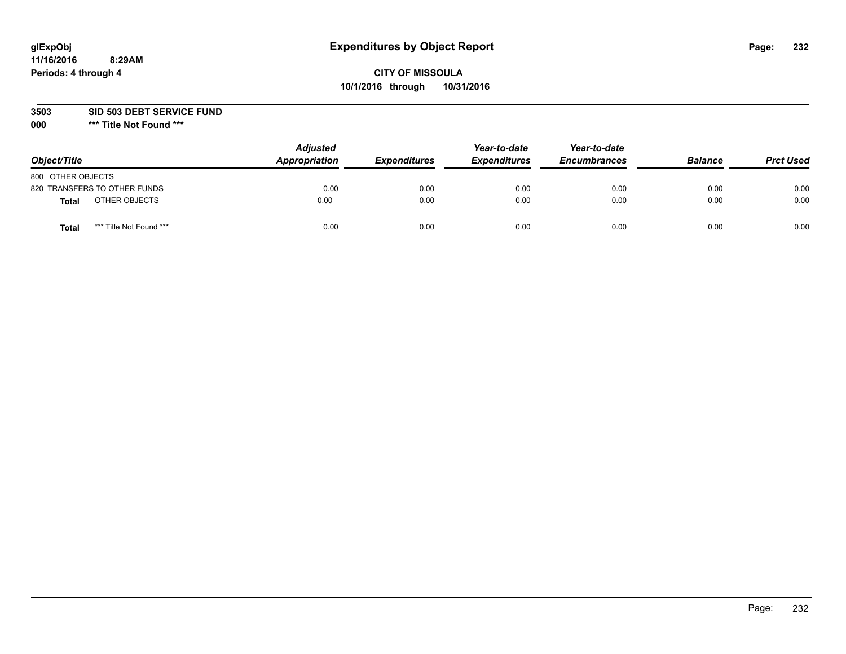# **CITY OF MISSOULA 10/1/2016 through 10/31/2016**

**3503 SID 503 DEBT SERVICE FUND**

| Object/Title                            | <b>Adjusted</b><br>Appropriation | <b>Expenditures</b> | Year-to-date<br><b>Expenditures</b> | Year-to-date<br><b>Encumbrances</b> | <b>Balance</b> | <b>Prct Used</b> |
|-----------------------------------------|----------------------------------|---------------------|-------------------------------------|-------------------------------------|----------------|------------------|
| 800 OTHER OBJECTS                       |                                  |                     |                                     |                                     |                |                  |
| 820 TRANSFERS TO OTHER FUNDS            | 0.00                             | 0.00                | 0.00                                | 0.00                                | 0.00           | 0.00             |
| OTHER OBJECTS<br><b>Total</b>           | 0.00                             | 0.00                | 0.00                                | 0.00                                | 0.00           | 0.00             |
| *** Title Not Found ***<br><b>Total</b> | 0.00                             | 0.00                | 0.00                                | 0.00                                | 0.00           | 0.00             |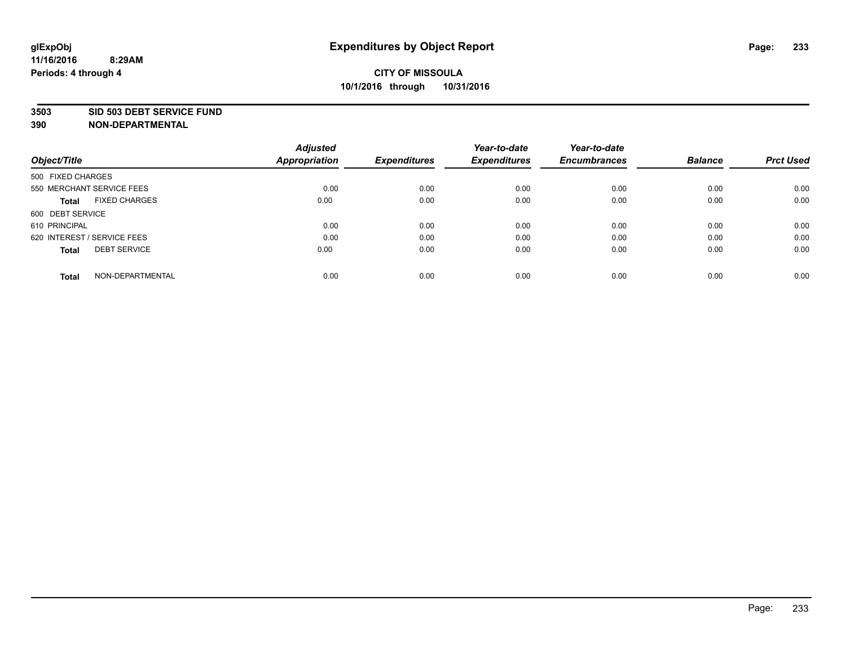#### **3503 SID 503 DEBT SERVICE FUND**

| Object/Title                         | <b>Adjusted</b><br><b>Appropriation</b> | <b>Expenditures</b> | Year-to-date<br><b>Expenditures</b> | Year-to-date<br><b>Encumbrances</b> | <b>Balance</b> | <b>Prct Used</b> |
|--------------------------------------|-----------------------------------------|---------------------|-------------------------------------|-------------------------------------|----------------|------------------|
|                                      |                                         |                     |                                     |                                     |                |                  |
| 500 FIXED CHARGES                    |                                         |                     |                                     |                                     |                |                  |
| 550 MERCHANT SERVICE FEES            | 0.00                                    | 0.00                | 0.00                                | 0.00                                | 0.00           | 0.00             |
| <b>FIXED CHARGES</b><br><b>Total</b> | 0.00                                    | 0.00                | 0.00                                | 0.00                                | 0.00           | 0.00             |
| 600 DEBT SERVICE                     |                                         |                     |                                     |                                     |                |                  |
| 610 PRINCIPAL                        | 0.00                                    | 0.00                | 0.00                                | 0.00                                | 0.00           | 0.00             |
| 620 INTEREST / SERVICE FEES          | 0.00                                    | 0.00                | 0.00                                | 0.00                                | 0.00           | 0.00             |
| <b>DEBT SERVICE</b><br><b>Total</b>  | 0.00                                    | 0.00                | 0.00                                | 0.00                                | 0.00           | 0.00             |
|                                      |                                         |                     |                                     |                                     |                |                  |
| NON-DEPARTMENTAL<br><b>Total</b>     | 0.00                                    | 0.00                | 0.00                                | 0.00                                | 0.00           | 0.00             |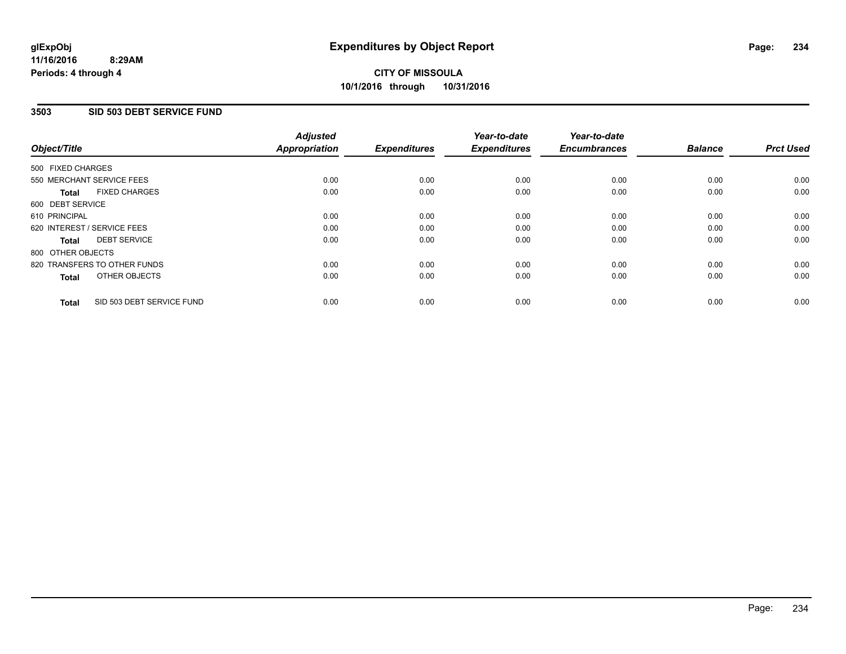## **3503 SID 503 DEBT SERVICE FUND**

| Object/Title      |                              | <b>Adjusted</b><br>Appropriation | <b>Expenditures</b> | Year-to-date<br><b>Expenditures</b> | Year-to-date<br><b>Encumbrances</b> | <b>Balance</b> | <b>Prct Used</b> |
|-------------------|------------------------------|----------------------------------|---------------------|-------------------------------------|-------------------------------------|----------------|------------------|
| 500 FIXED CHARGES |                              |                                  |                     |                                     |                                     |                |                  |
|                   | 550 MERCHANT SERVICE FEES    | 0.00                             | 0.00                | 0.00                                | 0.00                                | 0.00           | 0.00             |
| <b>Total</b>      | <b>FIXED CHARGES</b>         | 0.00                             | 0.00                | 0.00                                | 0.00                                | 0.00           | 0.00             |
| 600 DEBT SERVICE  |                              |                                  |                     |                                     |                                     |                |                  |
| 610 PRINCIPAL     |                              | 0.00                             | 0.00                | 0.00                                | 0.00                                | 0.00           | 0.00             |
|                   | 620 INTEREST / SERVICE FEES  | 0.00                             | 0.00                | 0.00                                | 0.00                                | 0.00           | 0.00             |
| Total             | <b>DEBT SERVICE</b>          | 0.00                             | 0.00                | 0.00                                | 0.00                                | 0.00           | 0.00             |
| 800 OTHER OBJECTS |                              |                                  |                     |                                     |                                     |                |                  |
|                   | 820 TRANSFERS TO OTHER FUNDS | 0.00                             | 0.00                | 0.00                                | 0.00                                | 0.00           | 0.00             |
| <b>Total</b>      | OTHER OBJECTS                | 0.00                             | 0.00                | 0.00                                | 0.00                                | 0.00           | 0.00             |
| <b>Total</b>      | SID 503 DEBT SERVICE FUND    | 0.00                             | 0.00                | 0.00                                | 0.00                                | 0.00           | 0.00             |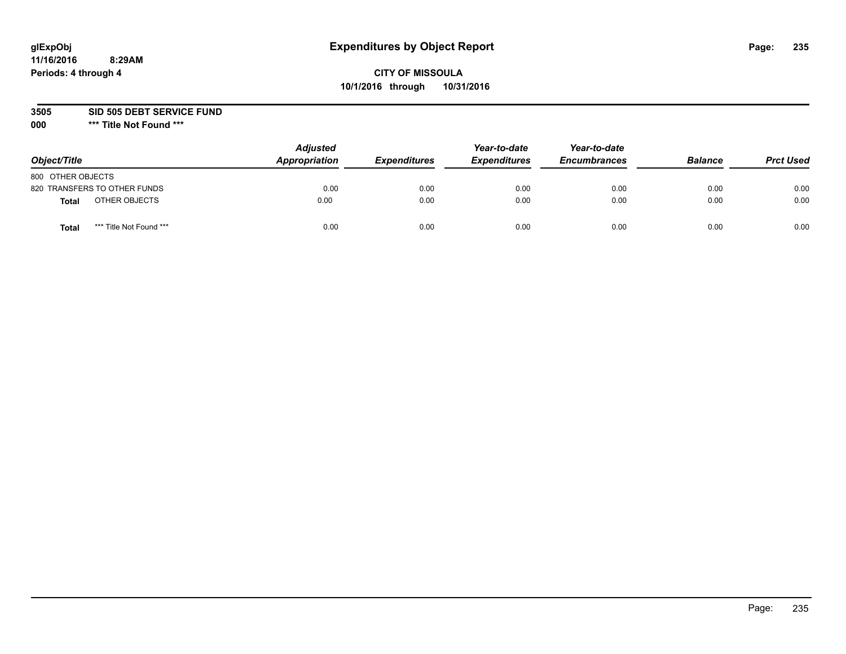# **CITY OF MISSOULA 10/1/2016 through 10/31/2016**

**3505 SID 505 DEBT SERVICE FUND**

| Object/Title                            | <b>Adjusted</b><br>Appropriation | <b>Expenditures</b> | Year-to-date<br><b>Expenditures</b> | Year-to-date<br><b>Encumbrances</b> | <b>Balance</b> | <b>Prct Used</b> |
|-----------------------------------------|----------------------------------|---------------------|-------------------------------------|-------------------------------------|----------------|------------------|
| 800 OTHER OBJECTS                       |                                  |                     |                                     |                                     |                |                  |
| 820 TRANSFERS TO OTHER FUNDS            | 0.00                             | 0.00                | 0.00                                | 0.00                                | 0.00           | 0.00             |
| OTHER OBJECTS<br><b>Total</b>           | 0.00                             | 0.00                | 0.00                                | 0.00                                | 0.00           | 0.00             |
| *** Title Not Found ***<br><b>Total</b> | 0.00                             | 0.00                | 0.00                                | 0.00                                | 0.00           | 0.00             |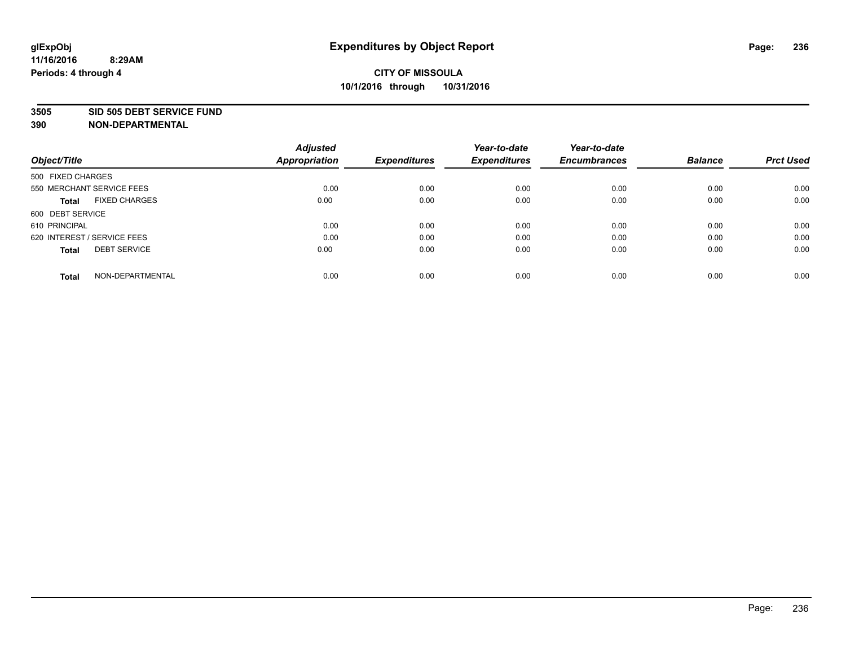#### **3505 SID 505 DEBT SERVICE FUND**

| Object/Title                         | <b>Adjusted</b><br><b>Appropriation</b> | <b>Expenditures</b> | Year-to-date<br><b>Expenditures</b> | Year-to-date<br><b>Encumbrances</b> | <b>Balance</b> | <b>Prct Used</b> |
|--------------------------------------|-----------------------------------------|---------------------|-------------------------------------|-------------------------------------|----------------|------------------|
|                                      |                                         |                     |                                     |                                     |                |                  |
| 500 FIXED CHARGES                    |                                         |                     |                                     |                                     |                |                  |
| 550 MERCHANT SERVICE FEES            | 0.00                                    | 0.00                | 0.00                                | 0.00                                | 0.00           | 0.00             |
| <b>FIXED CHARGES</b><br><b>Total</b> | 0.00                                    | 0.00                | 0.00                                | 0.00                                | 0.00           | 0.00             |
| 600 DEBT SERVICE                     |                                         |                     |                                     |                                     |                |                  |
| 610 PRINCIPAL                        | 0.00                                    | 0.00                | 0.00                                | 0.00                                | 0.00           | 0.00             |
| 620 INTEREST / SERVICE FEES          | 0.00                                    | 0.00                | 0.00                                | 0.00                                | 0.00           | 0.00             |
| <b>DEBT SERVICE</b><br><b>Total</b>  | 0.00                                    | 0.00                | 0.00                                | 0.00                                | 0.00           | 0.00             |
|                                      |                                         |                     |                                     |                                     |                |                  |
| NON-DEPARTMENTAL<br><b>Total</b>     | 0.00                                    | 0.00                | 0.00                                | 0.00                                | 0.00           | 0.00             |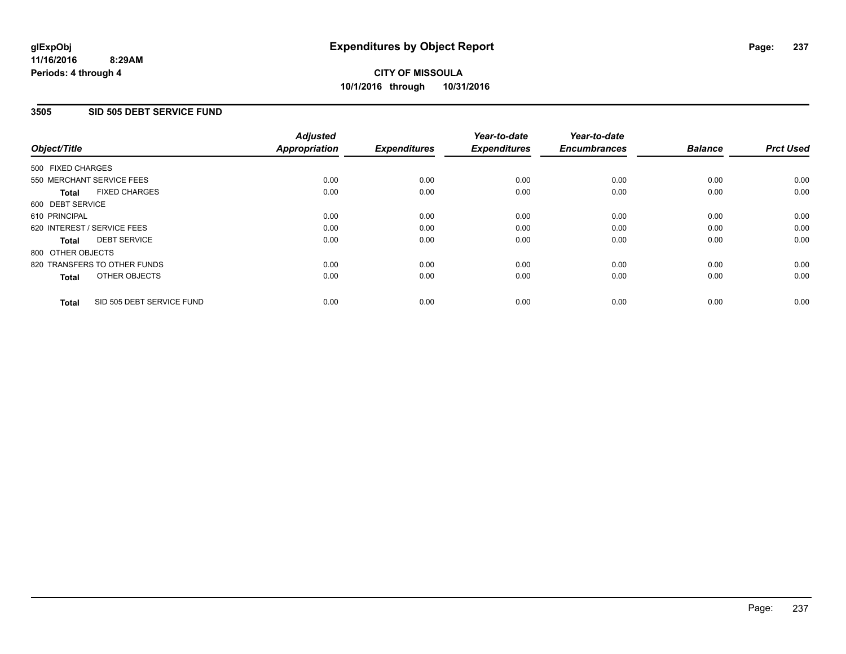### **3505 SID 505 DEBT SERVICE FUND**

| Object/Title      |                              | <b>Adjusted</b><br>Appropriation | <b>Expenditures</b> | Year-to-date<br><b>Expenditures</b> | Year-to-date<br><b>Encumbrances</b> | <b>Balance</b> | <b>Prct Used</b> |
|-------------------|------------------------------|----------------------------------|---------------------|-------------------------------------|-------------------------------------|----------------|------------------|
| 500 FIXED CHARGES |                              |                                  |                     |                                     |                                     |                |                  |
|                   | 550 MERCHANT SERVICE FEES    | 0.00                             | 0.00                | 0.00                                | 0.00                                | 0.00           | 0.00             |
| <b>Total</b>      | <b>FIXED CHARGES</b>         | 0.00                             | 0.00                | 0.00                                | 0.00                                | 0.00           | 0.00             |
| 600 DEBT SERVICE  |                              |                                  |                     |                                     |                                     |                |                  |
| 610 PRINCIPAL     |                              | 0.00                             | 0.00                | 0.00                                | 0.00                                | 0.00           | 0.00             |
|                   | 620 INTEREST / SERVICE FEES  | 0.00                             | 0.00                | 0.00                                | 0.00                                | 0.00           | 0.00             |
| Total             | <b>DEBT SERVICE</b>          | 0.00                             | 0.00                | 0.00                                | 0.00                                | 0.00           | 0.00             |
| 800 OTHER OBJECTS |                              |                                  |                     |                                     |                                     |                |                  |
|                   | 820 TRANSFERS TO OTHER FUNDS | 0.00                             | 0.00                | 0.00                                | 0.00                                | 0.00           | 0.00             |
| <b>Total</b>      | OTHER OBJECTS                | 0.00                             | 0.00                | 0.00                                | 0.00                                | 0.00           | 0.00             |
| <b>Total</b>      | SID 505 DEBT SERVICE FUND    | 0.00                             | 0.00                | 0.00                                | 0.00                                | 0.00           | 0.00             |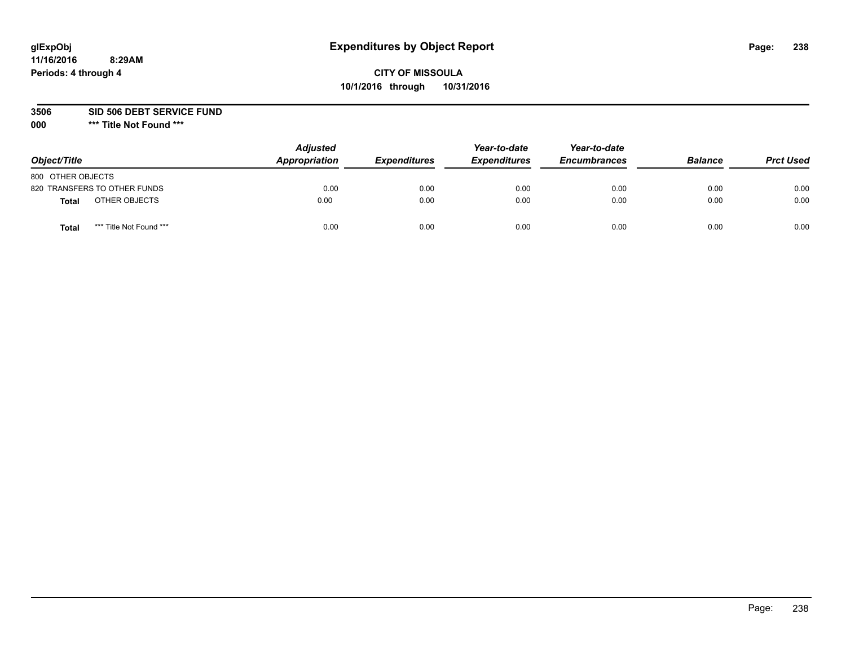# **CITY OF MISSOULA 10/1/2016 through 10/31/2016**

**3506 SID 506 DEBT SERVICE FUND**

| Object/Title                    | <b>Adjusted</b><br>Appropriation | <b>Expenditures</b> | Year-to-date<br><b>Expenditures</b> | Year-to-date<br><b>Encumbrances</b> | <b>Balance</b> | <b>Prct Used</b> |
|---------------------------------|----------------------------------|---------------------|-------------------------------------|-------------------------------------|----------------|------------------|
| 800 OTHER OBJECTS               |                                  |                     |                                     |                                     |                |                  |
| 820 TRANSFERS TO OTHER FUNDS    | 0.00                             | 0.00                | 0.00                                | 0.00                                | 0.00           | 0.00             |
| OTHER OBJECTS<br>Total          | 0.00                             | 0.00                | 0.00                                | 0.00                                | 0.00           | 0.00             |
| *** Title Not Found ***<br>Tota | 0.00                             | 0.00                | 0.00                                | 0.00                                | 0.00           | 0.00             |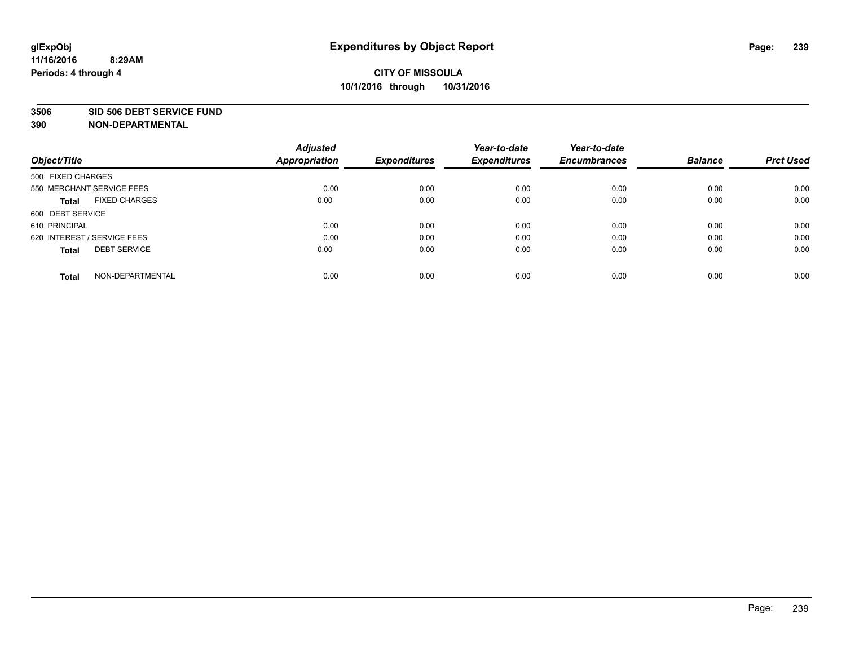#### **3506 SID 506 DEBT SERVICE FUND**

| Object/Title                         | <b>Adjusted</b><br><b>Appropriation</b> | <b>Expenditures</b> | Year-to-date<br><b>Expenditures</b> | Year-to-date<br><b>Encumbrances</b> | <b>Balance</b> | <b>Prct Used</b> |
|--------------------------------------|-----------------------------------------|---------------------|-------------------------------------|-------------------------------------|----------------|------------------|
| 500 FIXED CHARGES                    |                                         |                     |                                     |                                     |                |                  |
| 550 MERCHANT SERVICE FEES            | 0.00                                    | 0.00                | 0.00                                | 0.00                                | 0.00           | 0.00             |
| <b>FIXED CHARGES</b><br><b>Total</b> | 0.00                                    | 0.00                | 0.00                                | 0.00                                | 0.00           | 0.00             |
| 600 DEBT SERVICE                     |                                         |                     |                                     |                                     |                |                  |
| 610 PRINCIPAL                        | 0.00                                    | 0.00                | 0.00                                | 0.00                                | 0.00           | 0.00             |
| 620 INTEREST / SERVICE FEES          | 0.00                                    | 0.00                | 0.00                                | 0.00                                | 0.00           | 0.00             |
| <b>DEBT SERVICE</b><br><b>Total</b>  | 0.00                                    | 0.00                | 0.00                                | 0.00                                | 0.00           | 0.00             |
| NON-DEPARTMENTAL<br><b>Total</b>     | 0.00                                    | 0.00                | 0.00                                | 0.00                                | 0.00           | 0.00             |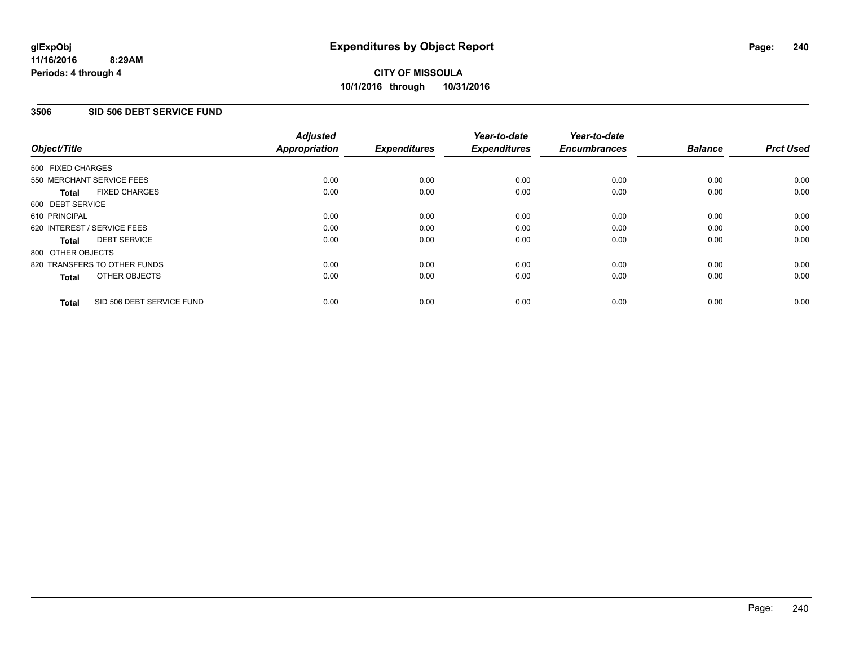## **3506 SID 506 DEBT SERVICE FUND**

| Object/Title                              | <b>Adjusted</b><br><b>Appropriation</b> | <b>Expenditures</b> | Year-to-date<br><b>Expenditures</b> | Year-to-date<br><b>Encumbrances</b> | <b>Balance</b> | <b>Prct Used</b> |
|-------------------------------------------|-----------------------------------------|---------------------|-------------------------------------|-------------------------------------|----------------|------------------|
| 500 FIXED CHARGES                         |                                         |                     |                                     |                                     |                |                  |
| 550 MERCHANT SERVICE FEES                 | 0.00                                    | 0.00                | 0.00                                | 0.00                                | 0.00           | 0.00             |
| <b>FIXED CHARGES</b><br><b>Total</b>      | 0.00                                    | 0.00                | 0.00                                | 0.00                                | 0.00           | 0.00             |
| 600 DEBT SERVICE                          |                                         |                     |                                     |                                     |                |                  |
| 610 PRINCIPAL                             | 0.00                                    | 0.00                | 0.00                                | 0.00                                | 0.00           | 0.00             |
| 620 INTEREST / SERVICE FEES               | 0.00                                    | 0.00                | 0.00                                | 0.00                                | 0.00           | 0.00             |
| <b>DEBT SERVICE</b><br><b>Total</b>       | 0.00                                    | 0.00                | 0.00                                | 0.00                                | 0.00           | 0.00             |
| 800 OTHER OBJECTS                         |                                         |                     |                                     |                                     |                |                  |
| 820 TRANSFERS TO OTHER FUNDS              | 0.00                                    | 0.00                | 0.00                                | 0.00                                | 0.00           | 0.00             |
| OTHER OBJECTS<br><b>Total</b>             | 0.00                                    | 0.00                | 0.00                                | 0.00                                | 0.00           | 0.00             |
| SID 506 DEBT SERVICE FUND<br><b>Total</b> | 0.00                                    | 0.00                | 0.00                                | 0.00                                | 0.00           | 0.00             |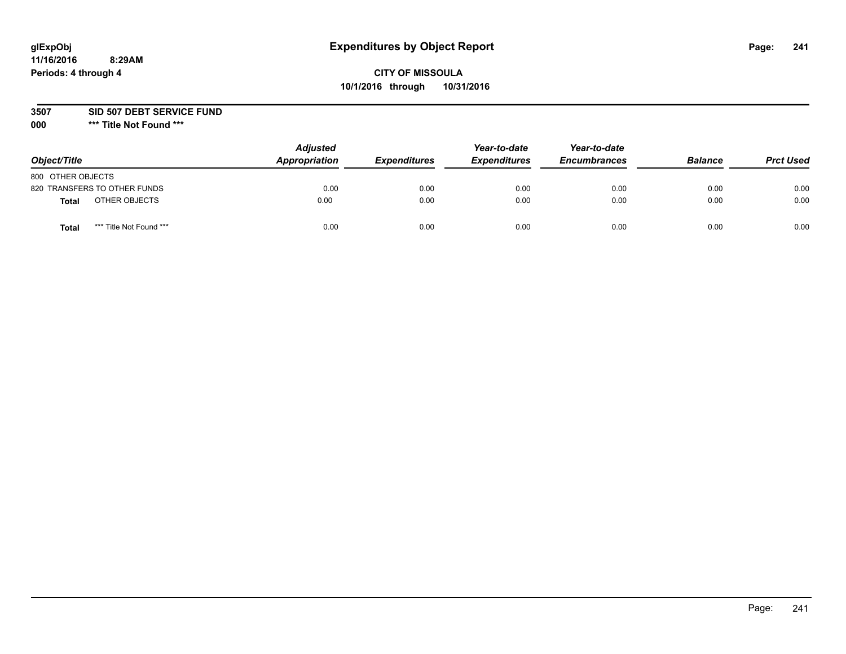# **CITY OF MISSOULA 10/1/2016 through 10/31/2016**

**3507 SID 507 DEBT SERVICE FUND**

| Object/Title                            | <b>Adjusted</b><br>Appropriation | <b>Expenditures</b> | Year-to-date<br><b>Expenditures</b> | Year-to-date<br><b>Encumbrances</b> | <b>Balance</b> | <b>Prct Used</b> |
|-----------------------------------------|----------------------------------|---------------------|-------------------------------------|-------------------------------------|----------------|------------------|
| 800 OTHER OBJECTS                       |                                  |                     |                                     |                                     |                |                  |
| 820 TRANSFERS TO OTHER FUNDS            | 0.00                             | 0.00                | 0.00                                | 0.00                                | 0.00           | 0.00             |
| OTHER OBJECTS<br><b>Total</b>           | 0.00                             | 0.00                | 0.00                                | 0.00                                | 0.00           | 0.00             |
| *** Title Not Found ***<br><b>Total</b> | 0.00                             | 0.00                | 0.00                                | 0.00                                | 0.00           | 0.00             |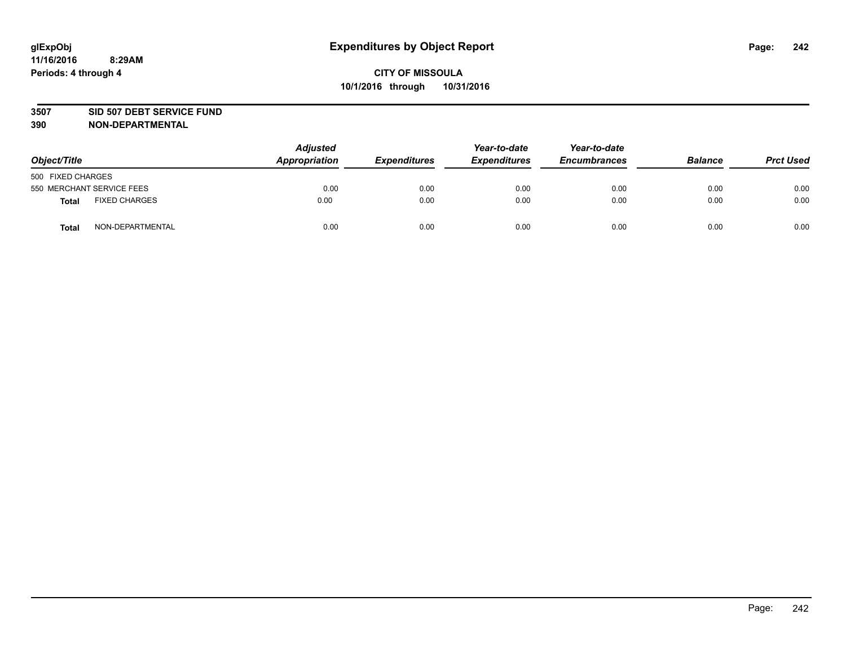#### **3507 SID 507 DEBT SERVICE FUND**

| Object/Title      |                           | <b>Adjusted</b><br>Appropriation | <b>Expenditures</b> | Year-to-date<br><b>Expenditures</b> | Year-to-date<br><b>Encumbrances</b> | <b>Balance</b> | <b>Prct Used</b> |
|-------------------|---------------------------|----------------------------------|---------------------|-------------------------------------|-------------------------------------|----------------|------------------|
| 500 FIXED CHARGES |                           |                                  |                     |                                     |                                     |                |                  |
|                   | 550 MERCHANT SERVICE FEES | 0.00                             | 0.00                | 0.00                                | 0.00                                | 0.00           | 0.00             |
| <b>Total</b>      | <b>FIXED CHARGES</b>      | 0.00                             | 0.00                | 0.00                                | 0.00                                | 0.00           | 0.00             |
| <b>Total</b>      | NON-DEPARTMENTAL          | 0.00                             | 0.00                | 0.00                                | 0.00                                | 0.00           | 0.00             |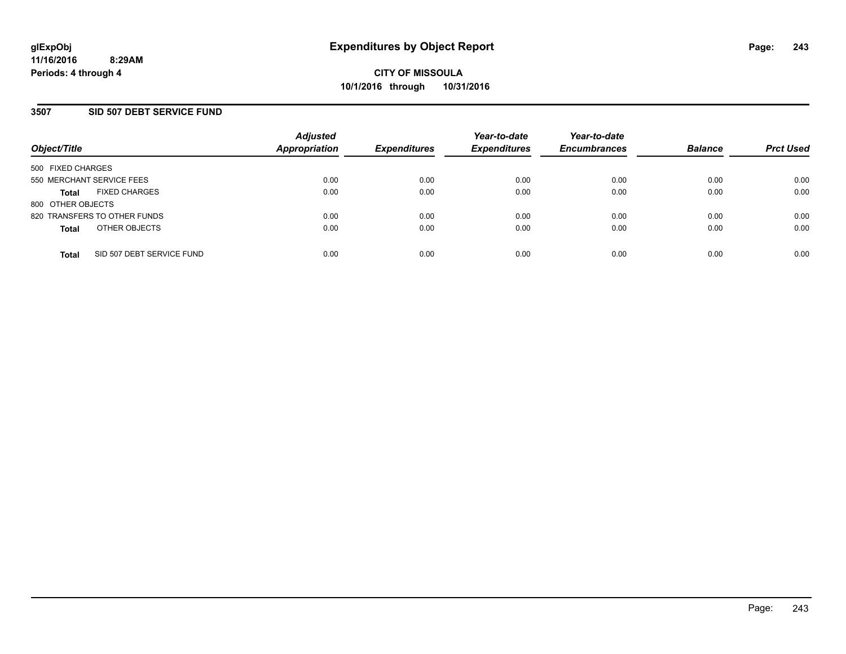### **3507 SID 507 DEBT SERVICE FUND**

| Object/Title                              | <b>Adjusted</b><br>Appropriation | <b>Expenditures</b> | Year-to-date<br><b>Expenditures</b> | Year-to-date<br><b>Encumbrances</b> | <b>Balance</b> | <b>Prct Used</b> |
|-------------------------------------------|----------------------------------|---------------------|-------------------------------------|-------------------------------------|----------------|------------------|
| 500 FIXED CHARGES                         |                                  |                     |                                     |                                     |                |                  |
| 550 MERCHANT SERVICE FEES                 | 0.00                             | 0.00                | 0.00                                | 0.00                                | 0.00           | 0.00             |
| <b>FIXED CHARGES</b><br><b>Total</b>      | 0.00                             | 0.00                | 0.00                                | 0.00                                | 0.00           | 0.00             |
| 800 OTHER OBJECTS                         |                                  |                     |                                     |                                     |                |                  |
| 820 TRANSFERS TO OTHER FUNDS              | 0.00                             | 0.00                | 0.00                                | 0.00                                | 0.00           | 0.00             |
| OTHER OBJECTS<br><b>Total</b>             | 0.00                             | 0.00                | 0.00                                | 0.00                                | 0.00           | 0.00             |
| SID 507 DEBT SERVICE FUND<br><b>Total</b> | 0.00                             | 0.00                | 0.00                                | 0.00                                | 0.00           | 0.00             |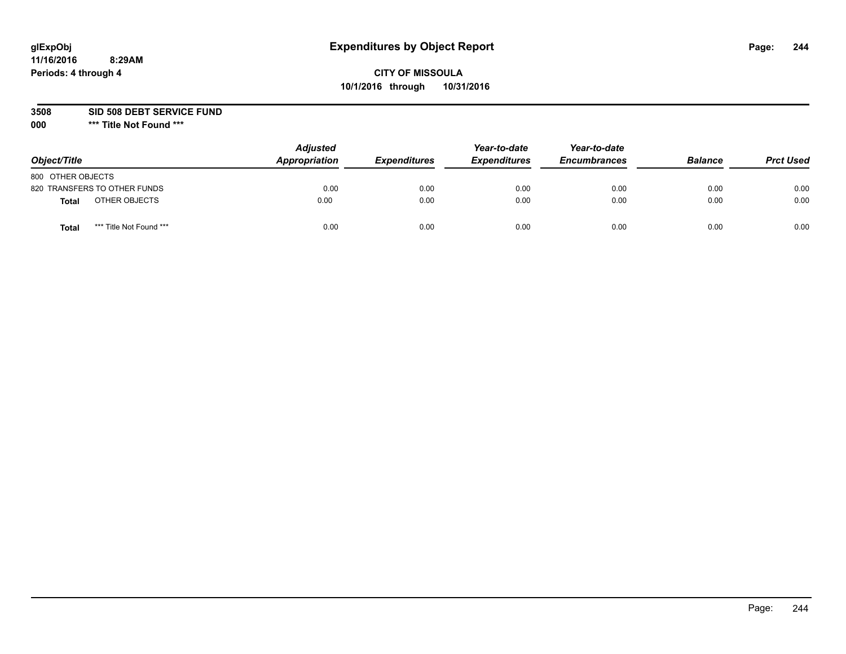# **CITY OF MISSOULA 10/1/2016 through 10/31/2016**

**3508 SID 508 DEBT SERVICE FUND**

| Object/Title                            | <b>Adjusted</b><br>Appropriation | <b>Expenditures</b> | Year-to-date<br><b>Expenditures</b> | Year-to-date<br><b>Encumbrances</b> | <b>Balance</b> | <b>Prct Used</b> |
|-----------------------------------------|----------------------------------|---------------------|-------------------------------------|-------------------------------------|----------------|------------------|
| 800 OTHER OBJECTS                       |                                  |                     |                                     |                                     |                |                  |
| 820 TRANSFERS TO OTHER FUNDS            | 0.00                             | 0.00                | 0.00                                | 0.00                                | 0.00           | 0.00             |
| OTHER OBJECTS<br><b>Total</b>           | 0.00                             | 0.00                | 0.00                                | 0.00                                | 0.00           | 0.00             |
| *** Title Not Found ***<br><b>Total</b> | 0.00                             | 0.00                | 0.00                                | 0.00                                | 0.00           | 0.00             |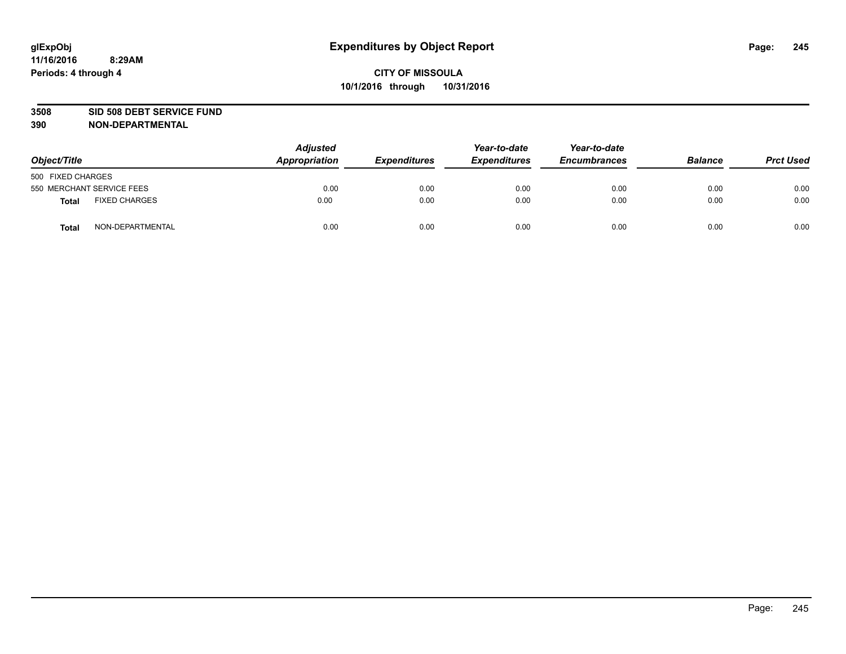#### **3508 SID 508 DEBT SERVICE FUND**

| Object/Title                  | <b>Adjusted</b><br>Appropriation | <b>Expenditures</b> | Year-to-date<br><b>Expenditures</b> | Year-to-date<br><b>Encumbrances</b> | <b>Balance</b> | <b>Prct Used</b> |
|-------------------------------|----------------------------------|---------------------|-------------------------------------|-------------------------------------|----------------|------------------|
| 500 FIXED CHARGES             |                                  |                     |                                     |                                     |                |                  |
| 550 MERCHANT SERVICE FEES     | 0.00                             | 0.00                | 0.00                                | 0.00                                | 0.00           | 0.00             |
| <b>FIXED CHARGES</b><br>Total | 0.00                             | 0.00                | 0.00                                | 0.00                                | 0.00           | 0.00             |
| NON-DEPARTMENTAL<br>Total     | 0.00                             | 0.00                | 0.00                                | 0.00                                | 0.00           | 0.00             |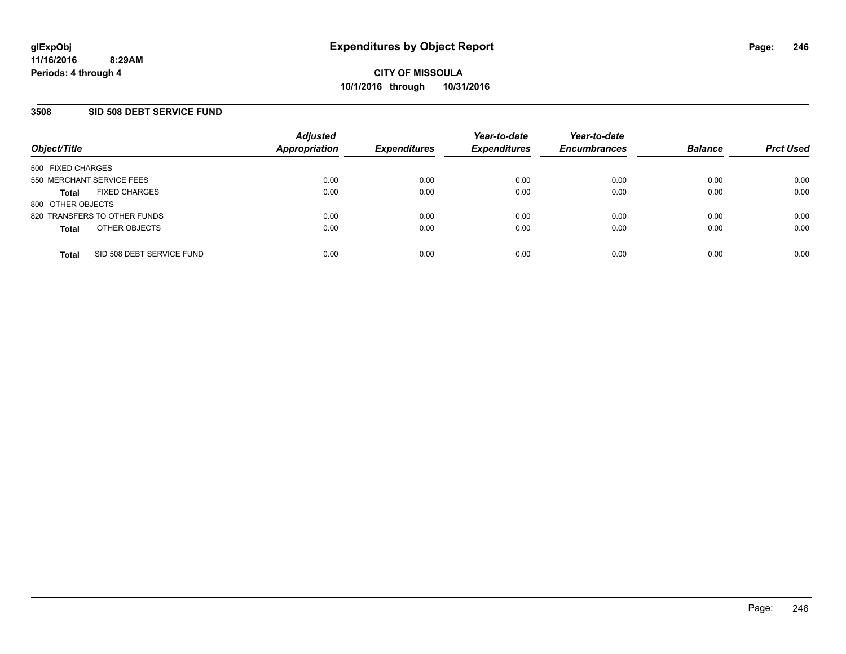### **3508 SID 508 DEBT SERVICE FUND**

| Object/Title                              | <b>Adjusted</b><br>Appropriation | <b>Expenditures</b> | Year-to-date<br><b>Expenditures</b> | Year-to-date<br><b>Encumbrances</b> | <b>Balance</b> | <b>Prct Used</b> |
|-------------------------------------------|----------------------------------|---------------------|-------------------------------------|-------------------------------------|----------------|------------------|
| 500 FIXED CHARGES                         |                                  |                     |                                     |                                     |                |                  |
| 550 MERCHANT SERVICE FEES                 | 0.00                             | 0.00                | 0.00                                | 0.00                                | 0.00           | 0.00             |
| <b>FIXED CHARGES</b><br><b>Total</b>      | 0.00                             | 0.00                | 0.00                                | 0.00                                | 0.00           | 0.00             |
| 800 OTHER OBJECTS                         |                                  |                     |                                     |                                     |                |                  |
| 820 TRANSFERS TO OTHER FUNDS              | 0.00                             | 0.00                | 0.00                                | 0.00                                | 0.00           | 0.00             |
| OTHER OBJECTS<br><b>Total</b>             | 0.00                             | 0.00                | 0.00                                | 0.00                                | 0.00           | 0.00             |
| SID 508 DEBT SERVICE FUND<br><b>Total</b> | 0.00                             | 0.00                | 0.00                                | 0.00                                | 0.00           | 0.00             |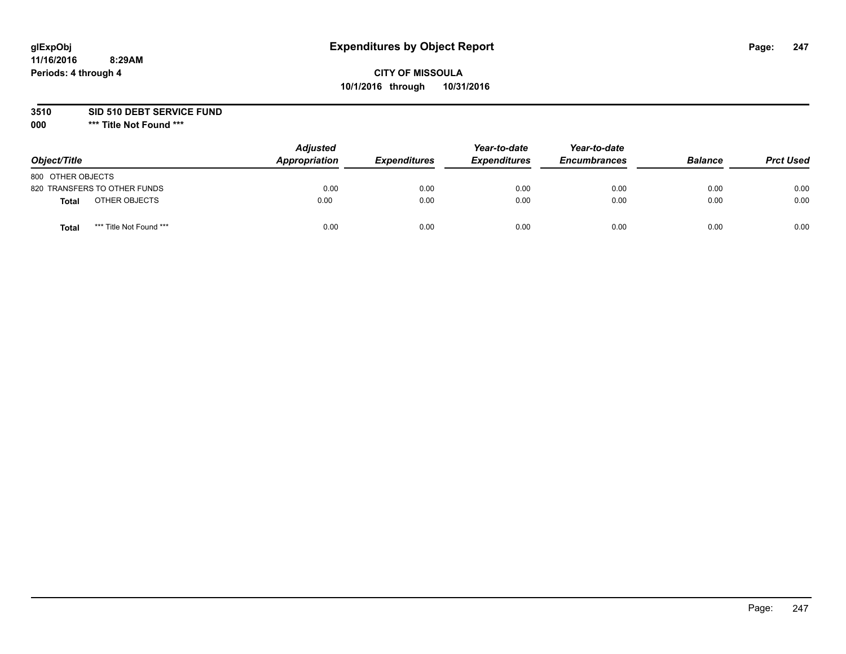# **CITY OF MISSOULA 10/1/2016 through 10/31/2016**

**3510 SID 510 DEBT SERVICE FUND**

| Object/Title                     | <b>Adjusted</b><br>Appropriation | <b>Expenditures</b> | Year-to-date<br><b>Expenditures</b> | Year-to-date<br><b>Encumbrances</b> | <b>Balance</b> | <b>Prct Used</b> |
|----------------------------------|----------------------------------|---------------------|-------------------------------------|-------------------------------------|----------------|------------------|
| 800 OTHER OBJECTS                |                                  |                     |                                     |                                     |                |                  |
| 820 TRANSFERS TO OTHER FUNDS     | 0.00                             | 0.00                | 0.00                                | 0.00                                | 0.00           | 0.00             |
| OTHER OBJECTS<br><b>Total</b>    | 0.00                             | 0.00                | 0.00                                | 0.00                                | 0.00           | 0.00             |
| *** Title Not Found ***<br>Total | 0.00                             | 0.00                | 0.00                                | 0.00                                | 0.00           | 0.00             |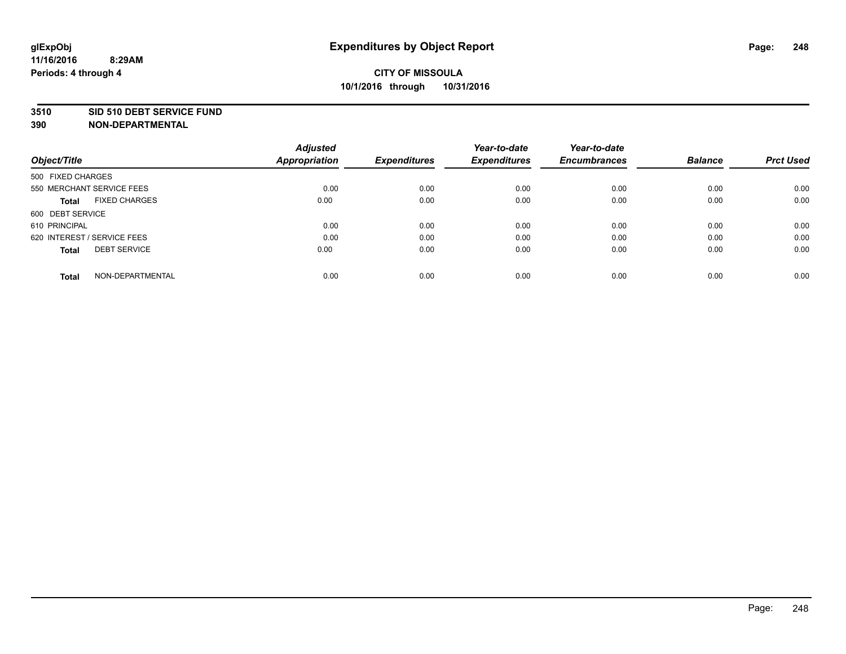#### **3510 SID 510 DEBT SERVICE FUND**

| Object/Title                         | <b>Adjusted</b><br><b>Appropriation</b> | <b>Expenditures</b> | Year-to-date<br><b>Expenditures</b> | Year-to-date<br><b>Encumbrances</b> | <b>Balance</b> | <b>Prct Used</b> |
|--------------------------------------|-----------------------------------------|---------------------|-------------------------------------|-------------------------------------|----------------|------------------|
|                                      |                                         |                     |                                     |                                     |                |                  |
| 500 FIXED CHARGES                    |                                         |                     |                                     |                                     |                |                  |
| 550 MERCHANT SERVICE FEES            | 0.00                                    | 0.00                | 0.00                                | 0.00                                | 0.00           | 0.00             |
| <b>FIXED CHARGES</b><br><b>Total</b> | 0.00                                    | 0.00                | 0.00                                | 0.00                                | 0.00           | 0.00             |
| 600 DEBT SERVICE                     |                                         |                     |                                     |                                     |                |                  |
| 610 PRINCIPAL                        | 0.00                                    | 0.00                | 0.00                                | 0.00                                | 0.00           | 0.00             |
| 620 INTEREST / SERVICE FEES          | 0.00                                    | 0.00                | 0.00                                | 0.00                                | 0.00           | 0.00             |
| <b>DEBT SERVICE</b><br><b>Total</b>  | 0.00                                    | 0.00                | 0.00                                | 0.00                                | 0.00           | 0.00             |
|                                      |                                         |                     |                                     |                                     |                |                  |
| NON-DEPARTMENTAL<br><b>Total</b>     | 0.00                                    | 0.00                | 0.00                                | 0.00                                | 0.00           | 0.00             |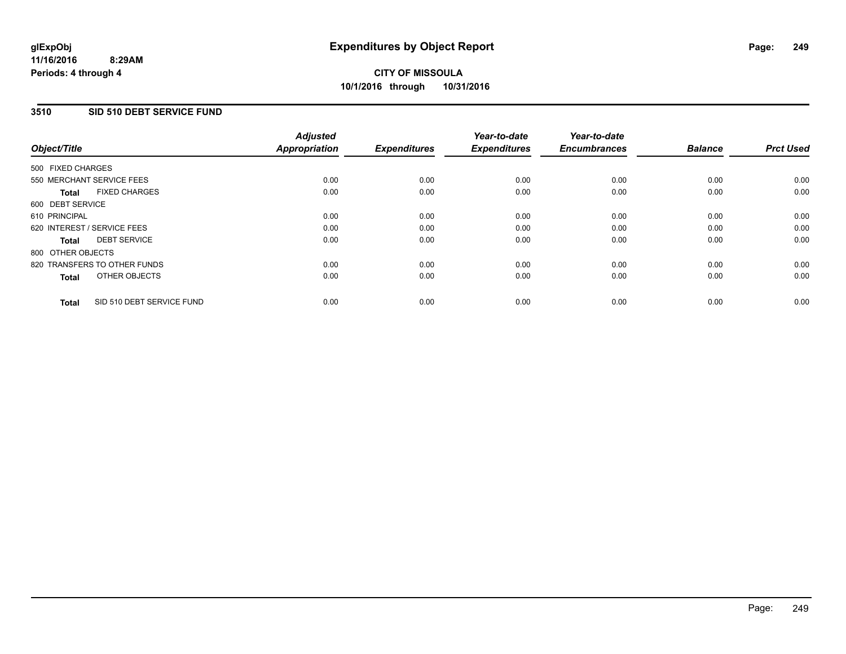# **3510 SID 510 DEBT SERVICE FUND**

| Object/Title                              | <b>Adjusted</b><br><b>Appropriation</b> | <b>Expenditures</b> | Year-to-date<br><b>Expenditures</b> | Year-to-date<br><b>Encumbrances</b> | <b>Balance</b> | <b>Prct Used</b> |
|-------------------------------------------|-----------------------------------------|---------------------|-------------------------------------|-------------------------------------|----------------|------------------|
| 500 FIXED CHARGES                         |                                         |                     |                                     |                                     |                |                  |
| 550 MERCHANT SERVICE FEES                 | 0.00                                    | 0.00                | 0.00                                | 0.00                                | 0.00           | 0.00             |
| <b>FIXED CHARGES</b><br><b>Total</b>      | 0.00                                    | 0.00                | 0.00                                | 0.00                                | 0.00           | 0.00             |
| 600 DEBT SERVICE                          |                                         |                     |                                     |                                     |                |                  |
| 610 PRINCIPAL                             | 0.00                                    | 0.00                | 0.00                                | 0.00                                | 0.00           | 0.00             |
| 620 INTEREST / SERVICE FEES               | 0.00                                    | 0.00                | 0.00                                | 0.00                                | 0.00           | 0.00             |
| <b>DEBT SERVICE</b><br><b>Total</b>       | 0.00                                    | 0.00                | 0.00                                | 0.00                                | 0.00           | 0.00             |
| 800 OTHER OBJECTS                         |                                         |                     |                                     |                                     |                |                  |
| 820 TRANSFERS TO OTHER FUNDS              | 0.00                                    | 0.00                | 0.00                                | 0.00                                | 0.00           | 0.00             |
| OTHER OBJECTS<br><b>Total</b>             | 0.00                                    | 0.00                | 0.00                                | 0.00                                | 0.00           | 0.00             |
| SID 510 DEBT SERVICE FUND<br><b>Total</b> | 0.00                                    | 0.00                | 0.00                                | 0.00                                | 0.00           | 0.00             |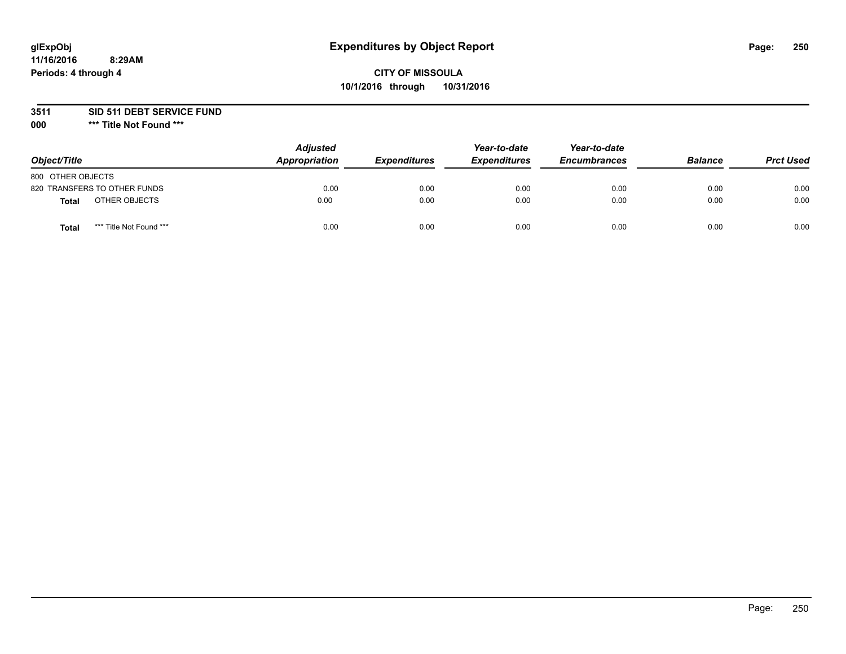# **CITY OF MISSOULA 10/1/2016 through 10/31/2016**

**3511 SID 511 DEBT SERVICE FUND**

| Object/Title                     | <b>Adjusted</b><br><b>Appropriation</b> | <b>Expenditures</b> | Year-to-date<br><b>Expenditures</b> | Year-to-date<br><b>Encumbrances</b> | <b>Balance</b> | <b>Prct Used</b> |
|----------------------------------|-----------------------------------------|---------------------|-------------------------------------|-------------------------------------|----------------|------------------|
| 800 OTHER OBJECTS                |                                         |                     |                                     |                                     |                |                  |
| 820 TRANSFERS TO OTHER FUNDS     | 0.00                                    | 0.00                | 0.00                                | 0.00                                | 0.00           | 0.00             |
| OTHER OBJECTS<br><b>Total</b>    | 0.00                                    | 0.00                | 0.00                                | 0.00                                | 0.00           | 0.00             |
| *** Title Not Found ***<br>Total | 0.00                                    | 0.00                | 0.00                                | 0.00                                | 0.00           | 0.00             |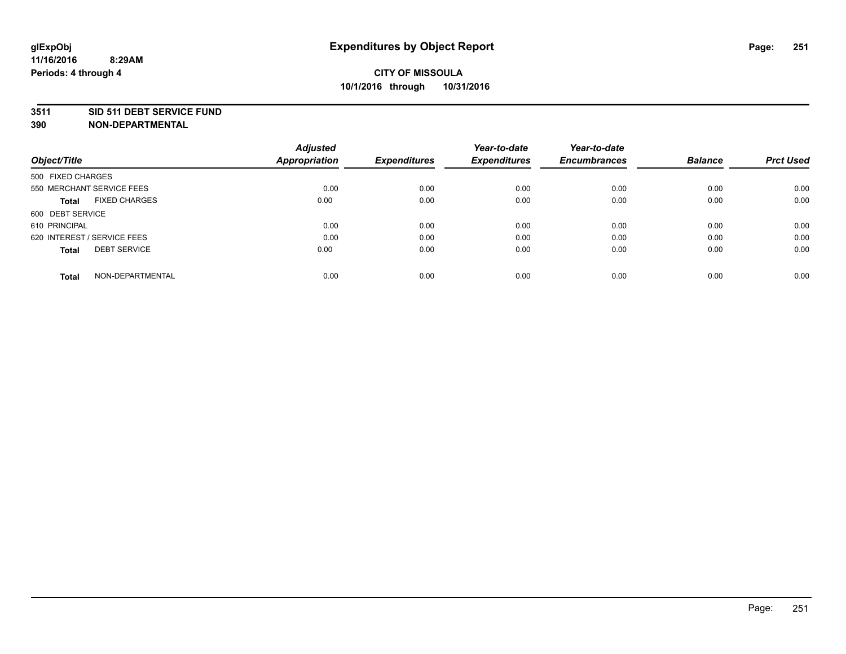#### **3511 SID 511 DEBT SERVICE FUND**

| Object/Title                         | <b>Adjusted</b><br><b>Appropriation</b> | <b>Expenditures</b> | Year-to-date<br><b>Expenditures</b> | Year-to-date<br><b>Encumbrances</b> | <b>Balance</b> | <b>Prct Used</b> |
|--------------------------------------|-----------------------------------------|---------------------|-------------------------------------|-------------------------------------|----------------|------------------|
|                                      |                                         |                     |                                     |                                     |                |                  |
| 500 FIXED CHARGES                    |                                         |                     |                                     |                                     |                |                  |
| 550 MERCHANT SERVICE FEES            | 0.00                                    | 0.00                | 0.00                                | 0.00                                | 0.00           | 0.00             |
| <b>FIXED CHARGES</b><br><b>Total</b> | 0.00                                    | 0.00                | 0.00                                | 0.00                                | 0.00           | 0.00             |
| 600 DEBT SERVICE                     |                                         |                     |                                     |                                     |                |                  |
| 610 PRINCIPAL                        | 0.00                                    | 0.00                | 0.00                                | 0.00                                | 0.00           | 0.00             |
| 620 INTEREST / SERVICE FEES          | 0.00                                    | 0.00                | 0.00                                | 0.00                                | 0.00           | 0.00             |
| <b>DEBT SERVICE</b><br><b>Total</b>  | 0.00                                    | 0.00                | 0.00                                | 0.00                                | 0.00           | 0.00             |
|                                      |                                         |                     |                                     |                                     |                |                  |
| NON-DEPARTMENTAL<br><b>Total</b>     | 0.00                                    | 0.00                | 0.00                                | 0.00                                | 0.00           | 0.00             |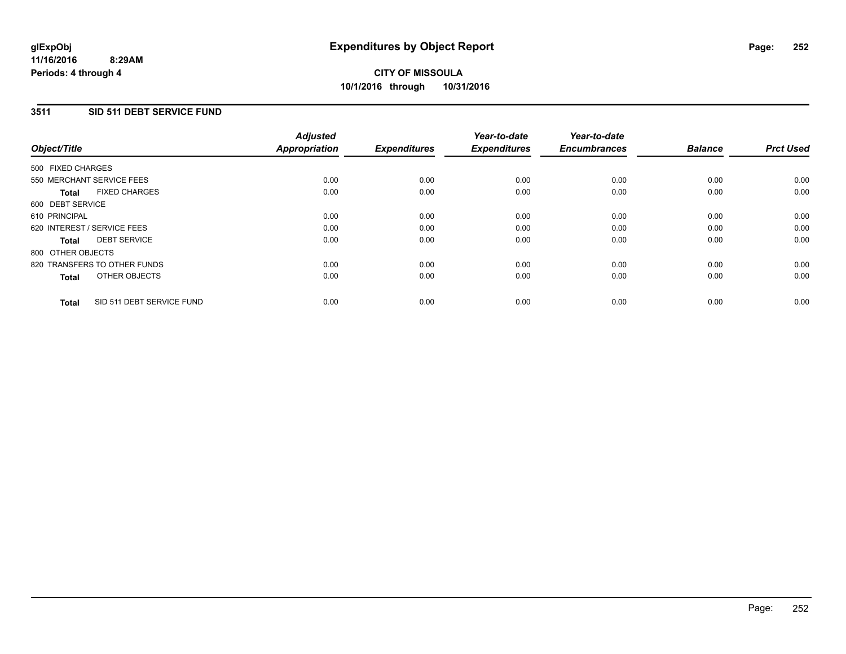# **3511 SID 511 DEBT SERVICE FUND**

| Object/Title      |                              | <b>Adjusted</b><br>Appropriation | <b>Expenditures</b> | Year-to-date<br><b>Expenditures</b> | Year-to-date<br><b>Encumbrances</b> | <b>Balance</b> | <b>Prct Used</b> |
|-------------------|------------------------------|----------------------------------|---------------------|-------------------------------------|-------------------------------------|----------------|------------------|
| 500 FIXED CHARGES |                              |                                  |                     |                                     |                                     |                |                  |
|                   | 550 MERCHANT SERVICE FEES    | 0.00                             | 0.00                | 0.00                                | 0.00                                | 0.00           | 0.00             |
| <b>Total</b>      | <b>FIXED CHARGES</b>         | 0.00                             | 0.00                | 0.00                                | 0.00                                | 0.00           | 0.00             |
| 600 DEBT SERVICE  |                              |                                  |                     |                                     |                                     |                |                  |
| 610 PRINCIPAL     |                              | 0.00                             | 0.00                | 0.00                                | 0.00                                | 0.00           | 0.00             |
|                   | 620 INTEREST / SERVICE FEES  | 0.00                             | 0.00                | 0.00                                | 0.00                                | 0.00           | 0.00             |
| Total             | <b>DEBT SERVICE</b>          | 0.00                             | 0.00                | 0.00                                | 0.00                                | 0.00           | 0.00             |
| 800 OTHER OBJECTS |                              |                                  |                     |                                     |                                     |                |                  |
|                   | 820 TRANSFERS TO OTHER FUNDS | 0.00                             | 0.00                | 0.00                                | 0.00                                | 0.00           | 0.00             |
| <b>Total</b>      | OTHER OBJECTS                | 0.00                             | 0.00                | 0.00                                | 0.00                                | 0.00           | 0.00             |
| <b>Total</b>      | SID 511 DEBT SERVICE FUND    | 0.00                             | 0.00                | 0.00                                | 0.00                                | 0.00           | 0.00             |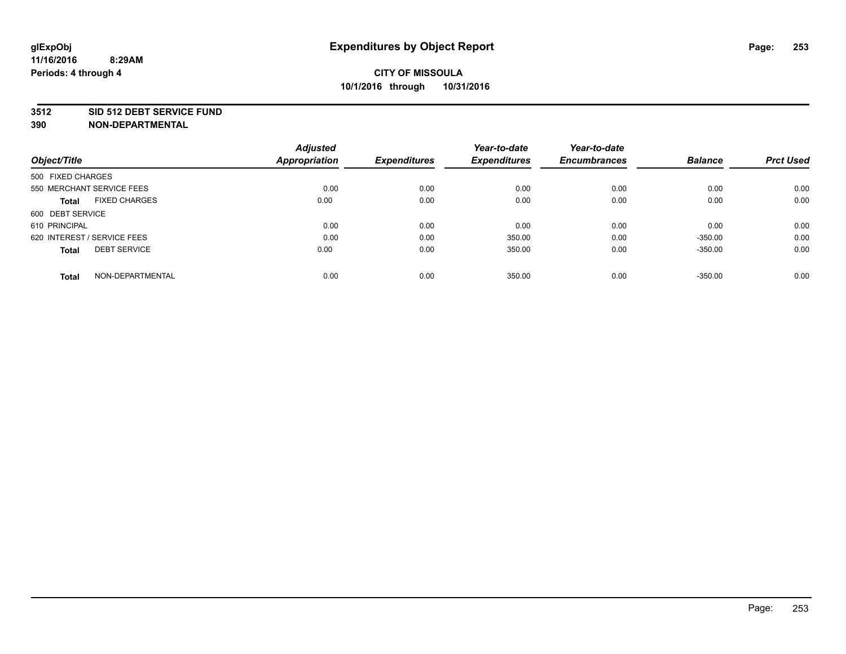#### **3512 SID 512 DEBT SERVICE FUND**

| <b>Adjusted</b> |                              | Year-to-date                | Year-to-date                  |                             | <b>Prct Used</b>            |
|-----------------|------------------------------|-----------------------------|-------------------------------|-----------------------------|-----------------------------|
|                 |                              |                             |                               |                             |                             |
|                 |                              |                             |                               |                             |                             |
| 0.00            | 0.00                         | 0.00                        | 0.00                          | 0.00                        | 0.00                        |
| 0.00            | 0.00                         | 0.00                        | 0.00                          | 0.00                        | 0.00                        |
|                 |                              |                             |                               |                             |                             |
| 0.00            | 0.00                         | 0.00                        | 0.00                          | 0.00                        | 0.00                        |
| 0.00            | 0.00                         | 350.00                      | 0.00                          | $-350.00$                   | 0.00                        |
| 0.00            | 0.00                         | 350.00                      | 0.00                          | $-350.00$                   | 0.00                        |
|                 |                              |                             |                               |                             | 0.00                        |
|                 | <b>Appropriation</b><br>0.00 | <b>Expenditures</b><br>0.00 | <b>Expenditures</b><br>350.00 | <b>Encumbrances</b><br>0.00 | <b>Balance</b><br>$-350.00$ |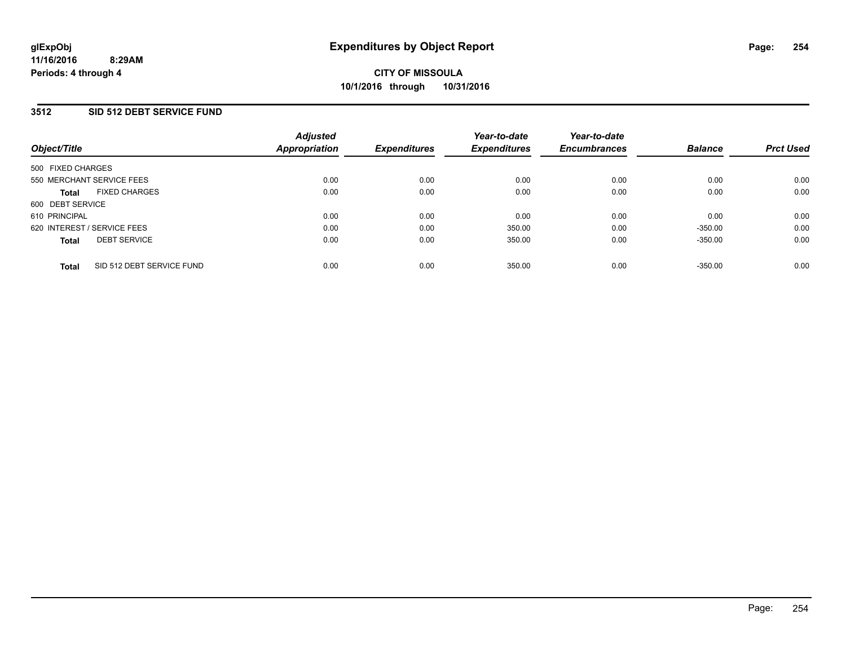#### **3512 SID 512 DEBT SERVICE FUND**

| Object/Title                              | <b>Adjusted</b><br>Appropriation | <b>Expenditures</b> | Year-to-date<br><b>Expenditures</b> | Year-to-date<br><b>Encumbrances</b> | <b>Balance</b> | <b>Prct Used</b> |
|-------------------------------------------|----------------------------------|---------------------|-------------------------------------|-------------------------------------|----------------|------------------|
| 500 FIXED CHARGES                         |                                  |                     |                                     |                                     |                |                  |
| 550 MERCHANT SERVICE FEES                 | 0.00                             | 0.00                | 0.00                                | 0.00                                | 0.00           | 0.00             |
| <b>FIXED CHARGES</b><br><b>Total</b>      | 0.00                             | 0.00                | 0.00                                | 0.00                                | 0.00           | 0.00             |
| 600 DEBT SERVICE                          |                                  |                     |                                     |                                     |                |                  |
| 610 PRINCIPAL                             | 0.00                             | 0.00                | 0.00                                | 0.00                                | 0.00           | 0.00             |
| 620 INTEREST / SERVICE FEES               | 0.00                             | 0.00                | 350.00                              | 0.00                                | $-350.00$      | 0.00             |
| <b>DEBT SERVICE</b><br><b>Total</b>       | 0.00                             | 0.00                | 350.00                              | 0.00                                | $-350.00$      | 0.00             |
| SID 512 DEBT SERVICE FUND<br><b>Total</b> | 0.00                             | 0.00                | 350.00                              | 0.00                                | $-350.00$      | 0.00             |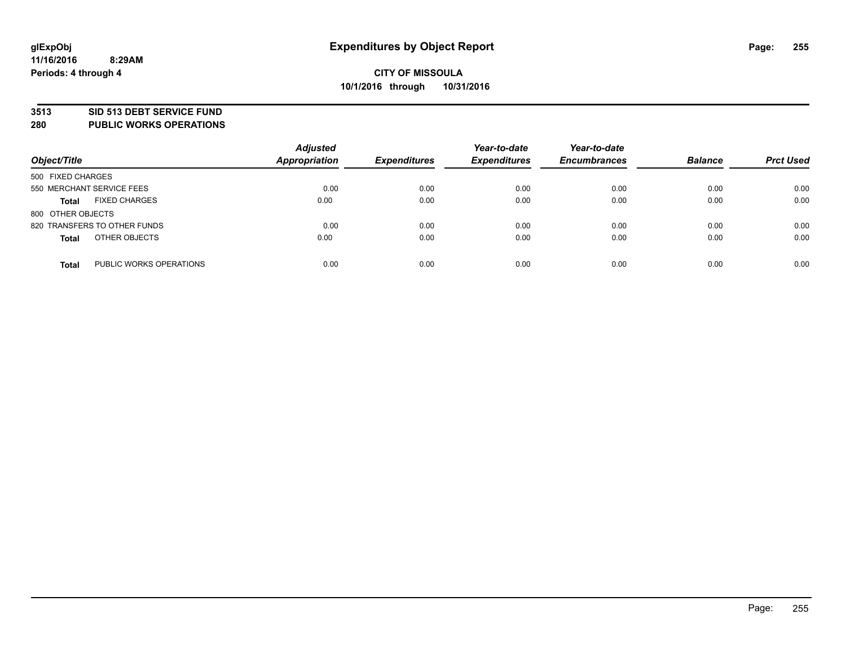#### **3513 SID 513 DEBT SERVICE FUND**

**280 PUBLIC WORKS OPERATIONS**

| Object/Title                            | <b>Adjusted</b><br><b>Appropriation</b> | <b>Expenditures</b> | Year-to-date<br><b>Expenditures</b> | Year-to-date<br><b>Encumbrances</b> | <b>Balance</b> | <b>Prct Used</b> |
|-----------------------------------------|-----------------------------------------|---------------------|-------------------------------------|-------------------------------------|----------------|------------------|
| 500 FIXED CHARGES                       |                                         |                     |                                     |                                     |                |                  |
| 550 MERCHANT SERVICE FEES               | 0.00                                    | 0.00                | 0.00                                | 0.00                                | 0.00           | 0.00             |
| <b>FIXED CHARGES</b><br><b>Total</b>    | 0.00                                    | 0.00                | 0.00                                | 0.00                                | 0.00           | 0.00             |
| 800 OTHER OBJECTS                       |                                         |                     |                                     |                                     |                |                  |
| 820 TRANSFERS TO OTHER FUNDS            | 0.00                                    | 0.00                | 0.00                                | 0.00                                | 0.00           | 0.00             |
| OTHER OBJECTS<br><b>Total</b>           | 0.00                                    | 0.00                | 0.00                                | 0.00                                | 0.00           | 0.00             |
| PUBLIC WORKS OPERATIONS<br><b>Total</b> | 0.00                                    | 0.00                | 0.00                                | 0.00                                | 0.00           | 0.00             |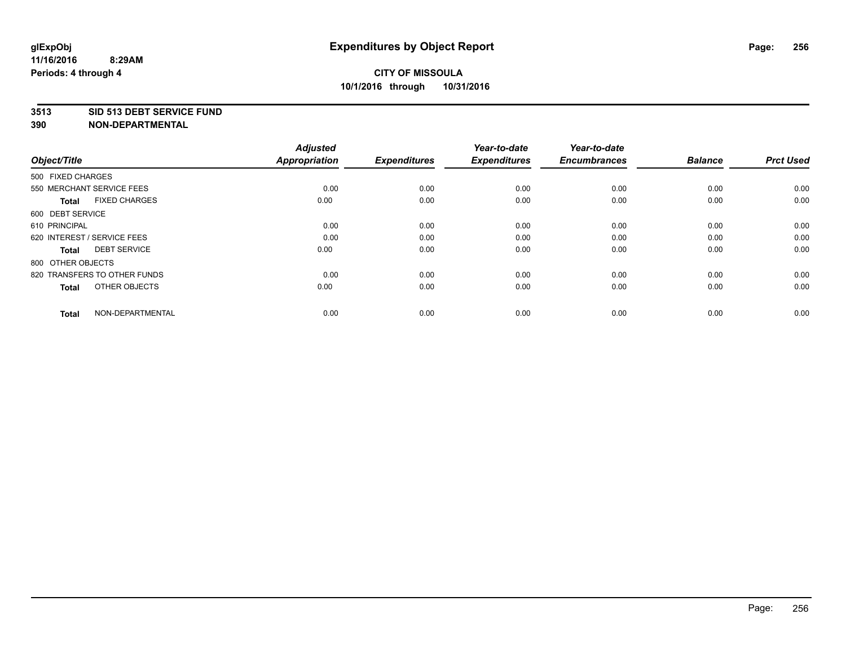#### **3513 SID 513 DEBT SERVICE FUND**

| Object/Title                         | <b>Adjusted</b><br><b>Appropriation</b> | <b>Expenditures</b> | Year-to-date<br><b>Expenditures</b> | Year-to-date<br><b>Encumbrances</b> | <b>Balance</b> | <b>Prct Used</b> |
|--------------------------------------|-----------------------------------------|---------------------|-------------------------------------|-------------------------------------|----------------|------------------|
| 500 FIXED CHARGES                    |                                         |                     |                                     |                                     |                |                  |
| 550 MERCHANT SERVICE FEES            | 0.00                                    | 0.00                | 0.00                                | 0.00                                | 0.00           | 0.00             |
| <b>FIXED CHARGES</b><br><b>Total</b> | 0.00                                    | 0.00                | 0.00                                | 0.00                                | 0.00           | 0.00             |
| 600 DEBT SERVICE                     |                                         |                     |                                     |                                     |                |                  |
| 610 PRINCIPAL                        | 0.00                                    | 0.00                | 0.00                                | 0.00                                | 0.00           | 0.00             |
| 620 INTEREST / SERVICE FEES          | 0.00                                    | 0.00                | 0.00                                | 0.00                                | 0.00           | 0.00             |
| <b>DEBT SERVICE</b><br><b>Total</b>  | 0.00                                    | 0.00                | 0.00                                | 0.00                                | 0.00           | 0.00             |
| 800 OTHER OBJECTS                    |                                         |                     |                                     |                                     |                |                  |
| 820 TRANSFERS TO OTHER FUNDS         | 0.00                                    | 0.00                | 0.00                                | 0.00                                | 0.00           | 0.00             |
| OTHER OBJECTS<br><b>Total</b>        | 0.00                                    | 0.00                | 0.00                                | 0.00                                | 0.00           | 0.00             |
|                                      |                                         |                     |                                     |                                     |                |                  |
| NON-DEPARTMENTAL<br><b>Total</b>     | 0.00                                    | 0.00                | 0.00                                | 0.00                                | 0.00           | 0.00             |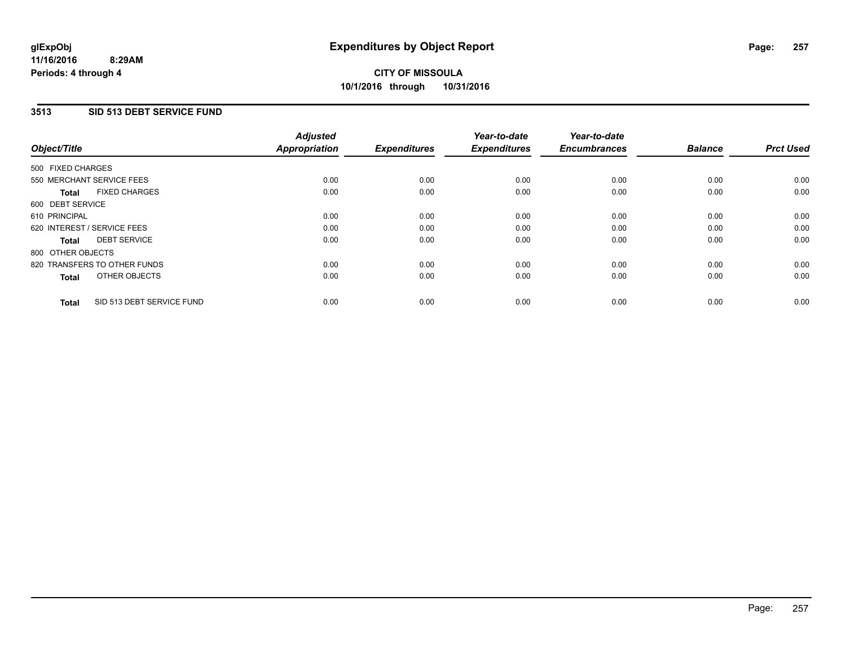#### **3513 SID 513 DEBT SERVICE FUND**

| Object/Title                              | <b>Adjusted</b><br><b>Appropriation</b> | <b>Expenditures</b> | Year-to-date<br><b>Expenditures</b> | Year-to-date<br><b>Encumbrances</b> | <b>Balance</b> | <b>Prct Used</b> |
|-------------------------------------------|-----------------------------------------|---------------------|-------------------------------------|-------------------------------------|----------------|------------------|
| 500 FIXED CHARGES                         |                                         |                     |                                     |                                     |                |                  |
| 550 MERCHANT SERVICE FEES                 | 0.00                                    | 0.00                | 0.00                                | 0.00                                | 0.00           | 0.00             |
| <b>FIXED CHARGES</b><br><b>Total</b>      | 0.00                                    | 0.00                | 0.00                                | 0.00                                | 0.00           | 0.00             |
| 600 DEBT SERVICE                          |                                         |                     |                                     |                                     |                |                  |
| 610 PRINCIPAL                             | 0.00                                    | 0.00                | 0.00                                | 0.00                                | 0.00           | 0.00             |
| 620 INTEREST / SERVICE FEES               | 0.00                                    | 0.00                | 0.00                                | 0.00                                | 0.00           | 0.00             |
| <b>DEBT SERVICE</b><br><b>Total</b>       | 0.00                                    | 0.00                | 0.00                                | 0.00                                | 0.00           | 0.00             |
| 800 OTHER OBJECTS                         |                                         |                     |                                     |                                     |                |                  |
| 820 TRANSFERS TO OTHER FUNDS              | 0.00                                    | 0.00                | 0.00                                | 0.00                                | 0.00           | 0.00             |
| OTHER OBJECTS<br><b>Total</b>             | 0.00                                    | 0.00                | 0.00                                | 0.00                                | 0.00           | 0.00             |
| SID 513 DEBT SERVICE FUND<br><b>Total</b> | 0.00                                    | 0.00                | 0.00                                | 0.00                                | 0.00           | 0.00             |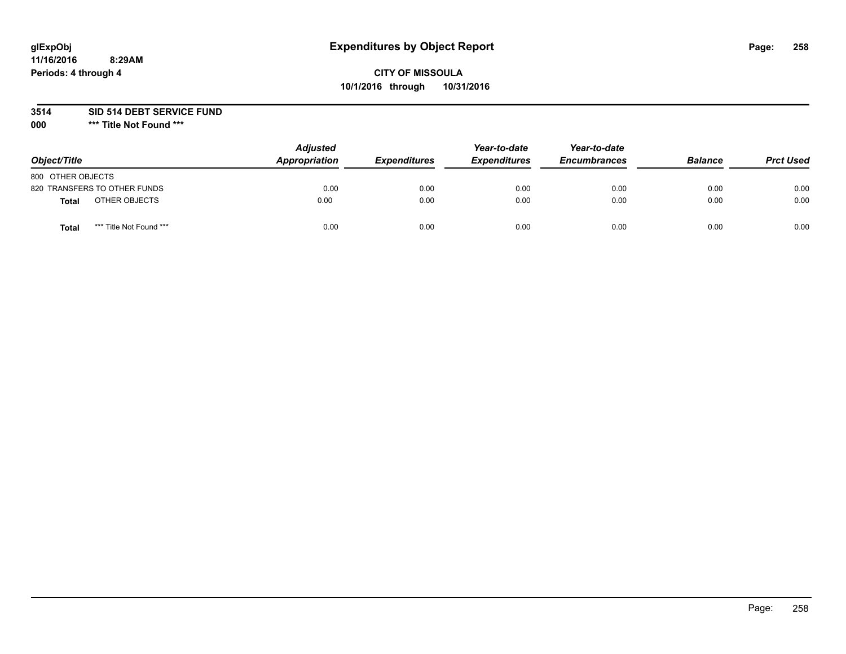# **glExpObj Expenditures by Object Report Page: 258**

### **CITY OF MISSOULA 10/1/2016 through 10/31/2016**

**3514 SID 514 DEBT SERVICE FUND**

**000 \*\*\* Title Not Found \*\*\***

| Object/Title                            | <b>Adjusted</b><br>Appropriation | <i><b>Expenditures</b></i> | Year-to-date<br><b>Expenditures</b> | Year-to-date<br><b>Encumbrances</b> | <b>Balance</b> | <b>Prct Used</b> |
|-----------------------------------------|----------------------------------|----------------------------|-------------------------------------|-------------------------------------|----------------|------------------|
| 800 OTHER OBJECTS                       |                                  |                            |                                     |                                     |                |                  |
| 820 TRANSFERS TO OTHER FUNDS            | 0.00                             | 0.00                       | 0.00                                | 0.00                                | 0.00           | 0.00             |
| OTHER OBJECTS<br><b>Total</b>           | 0.00                             | 0.00                       | 0.00                                | 0.00                                | 0.00           | 0.00             |
| *** Title Not Found ***<br><b>Total</b> | 0.00                             | 0.00                       | 0.00                                | 0.00                                | 0.00           | 0.00             |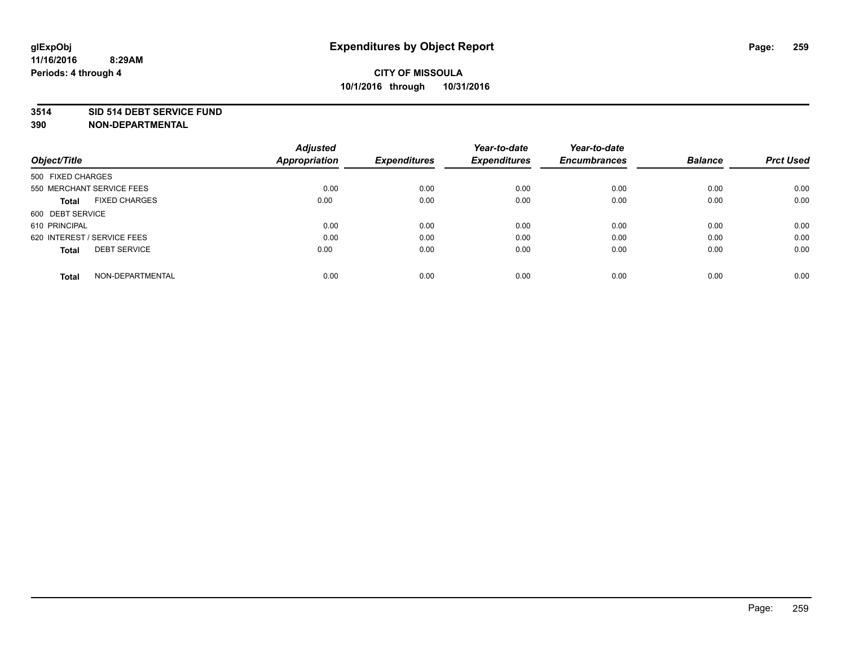#### **3514 SID 514 DEBT SERVICE FUND**

| Object/Title                         | <b>Adjusted</b><br><b>Appropriation</b> | <b>Expenditures</b> | Year-to-date<br><b>Expenditures</b> | Year-to-date<br><b>Encumbrances</b> | <b>Balance</b> | <b>Prct Used</b> |
|--------------------------------------|-----------------------------------------|---------------------|-------------------------------------|-------------------------------------|----------------|------------------|
|                                      |                                         |                     |                                     |                                     |                |                  |
| 500 FIXED CHARGES                    |                                         |                     |                                     |                                     |                |                  |
| 550 MERCHANT SERVICE FEES            | 0.00                                    | 0.00                | 0.00                                | 0.00                                | 0.00           | 0.00             |
| <b>FIXED CHARGES</b><br><b>Total</b> | 0.00                                    | 0.00                | 0.00                                | 0.00                                | 0.00           | 0.00             |
| 600 DEBT SERVICE                     |                                         |                     |                                     |                                     |                |                  |
| 610 PRINCIPAL                        | 0.00                                    | 0.00                | 0.00                                | 0.00                                | 0.00           | 0.00             |
| 620 INTEREST / SERVICE FEES          | 0.00                                    | 0.00                | 0.00                                | 0.00                                | 0.00           | 0.00             |
| <b>DEBT SERVICE</b><br><b>Total</b>  | 0.00                                    | 0.00                | 0.00                                | 0.00                                | 0.00           | 0.00             |
|                                      |                                         |                     |                                     |                                     |                |                  |
| NON-DEPARTMENTAL<br><b>Total</b>     | 0.00                                    | 0.00                | 0.00                                | 0.00                                | 0.00           | 0.00             |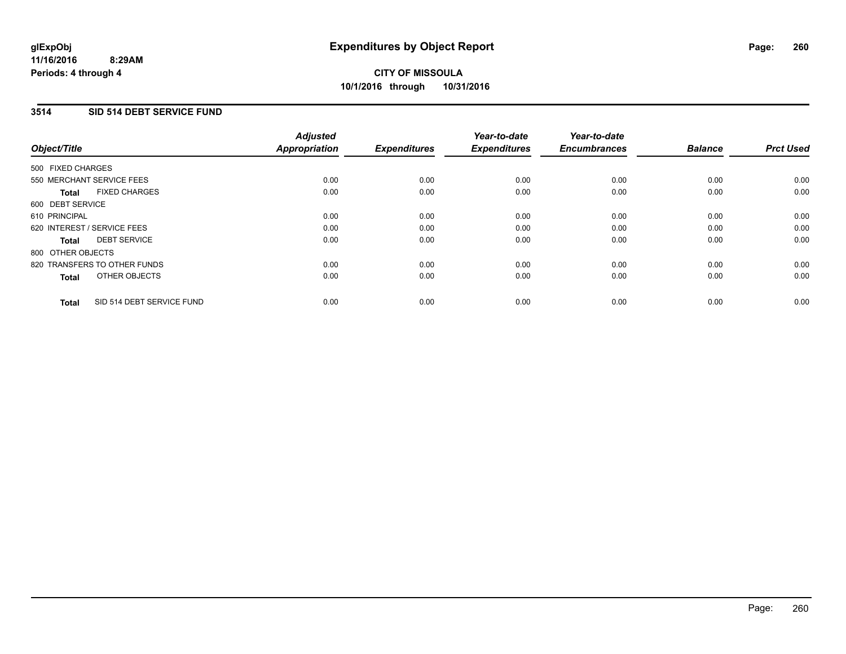#### **3514 SID 514 DEBT SERVICE FUND**

| Object/Title      |                              | <b>Adjusted</b><br>Appropriation | <b>Expenditures</b> | Year-to-date<br><b>Expenditures</b> | Year-to-date<br><b>Encumbrances</b> | <b>Balance</b> | <b>Prct Used</b> |
|-------------------|------------------------------|----------------------------------|---------------------|-------------------------------------|-------------------------------------|----------------|------------------|
| 500 FIXED CHARGES |                              |                                  |                     |                                     |                                     |                |                  |
|                   | 550 MERCHANT SERVICE FEES    | 0.00                             | 0.00                | 0.00                                | 0.00                                | 0.00           | 0.00             |
| <b>Total</b>      | <b>FIXED CHARGES</b>         | 0.00                             | 0.00                | 0.00                                | 0.00                                | 0.00           | 0.00             |
| 600 DEBT SERVICE  |                              |                                  |                     |                                     |                                     |                |                  |
| 610 PRINCIPAL     |                              | 0.00                             | 0.00                | 0.00                                | 0.00                                | 0.00           | 0.00             |
|                   | 620 INTEREST / SERVICE FEES  | 0.00                             | 0.00                | 0.00                                | 0.00                                | 0.00           | 0.00             |
| <b>Total</b>      | <b>DEBT SERVICE</b>          | 0.00                             | 0.00                | 0.00                                | 0.00                                | 0.00           | 0.00             |
| 800 OTHER OBJECTS |                              |                                  |                     |                                     |                                     |                |                  |
|                   | 820 TRANSFERS TO OTHER FUNDS | 0.00                             | 0.00                | 0.00                                | 0.00                                | 0.00           | 0.00             |
| <b>Total</b>      | OTHER OBJECTS                | 0.00                             | 0.00                | 0.00                                | 0.00                                | 0.00           | 0.00             |
| <b>Total</b>      | SID 514 DEBT SERVICE FUND    | 0.00                             | 0.00                | 0.00                                | 0.00                                | 0.00           | 0.00             |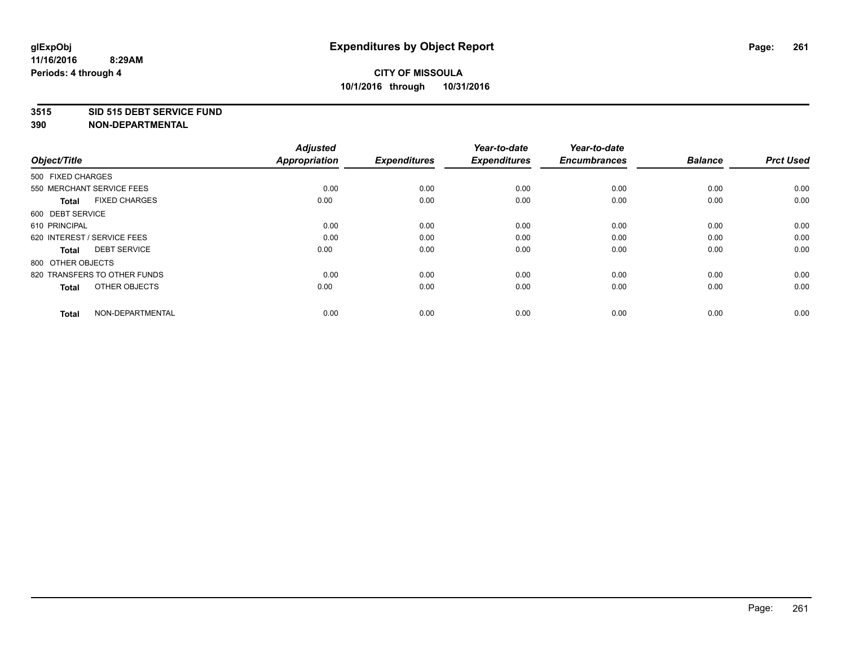#### **3515 SID 515 DEBT SERVICE FUND**

| Object/Title                         | <b>Adjusted</b><br><b>Appropriation</b> | <b>Expenditures</b> | Year-to-date<br><b>Expenditures</b> | Year-to-date<br><b>Encumbrances</b> | <b>Balance</b> | <b>Prct Used</b> |
|--------------------------------------|-----------------------------------------|---------------------|-------------------------------------|-------------------------------------|----------------|------------------|
| 500 FIXED CHARGES                    |                                         |                     |                                     |                                     |                |                  |
| 550 MERCHANT SERVICE FEES            | 0.00                                    | 0.00                | 0.00                                | 0.00                                | 0.00           | 0.00             |
| <b>FIXED CHARGES</b><br><b>Total</b> | 0.00                                    | 0.00                | 0.00                                | 0.00                                | 0.00           | 0.00             |
| 600 DEBT SERVICE                     |                                         |                     |                                     |                                     |                |                  |
| 610 PRINCIPAL                        | 0.00                                    | 0.00                | 0.00                                | 0.00                                | 0.00           | 0.00             |
| 620 INTEREST / SERVICE FEES          | 0.00                                    | 0.00                | 0.00                                | 0.00                                | 0.00           | 0.00             |
| <b>DEBT SERVICE</b><br><b>Total</b>  | 0.00                                    | 0.00                | 0.00                                | 0.00                                | 0.00           | 0.00             |
| 800 OTHER OBJECTS                    |                                         |                     |                                     |                                     |                |                  |
| 820 TRANSFERS TO OTHER FUNDS         | 0.00                                    | 0.00                | 0.00                                | 0.00                                | 0.00           | 0.00             |
| OTHER OBJECTS<br><b>Total</b>        | 0.00                                    | 0.00                | 0.00                                | 0.00                                | 0.00           | 0.00             |
|                                      |                                         |                     |                                     |                                     |                |                  |
| NON-DEPARTMENTAL<br><b>Total</b>     | 0.00                                    | 0.00                | 0.00                                | 0.00                                | 0.00           | 0.00             |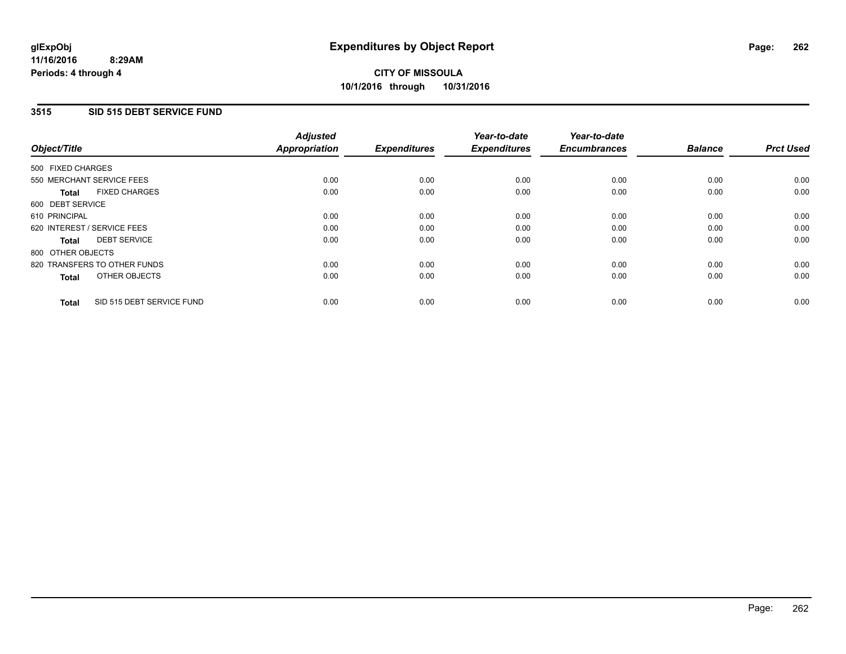#### **3515 SID 515 DEBT SERVICE FUND**

| Object/Title                              | <b>Adjusted</b><br><b>Appropriation</b> | <b>Expenditures</b> | Year-to-date<br><b>Expenditures</b> | Year-to-date<br><b>Encumbrances</b> | <b>Balance</b> | <b>Prct Used</b> |
|-------------------------------------------|-----------------------------------------|---------------------|-------------------------------------|-------------------------------------|----------------|------------------|
|                                           |                                         |                     |                                     |                                     |                |                  |
| 500 FIXED CHARGES                         |                                         |                     |                                     |                                     |                |                  |
| 550 MERCHANT SERVICE FEES                 | 0.00                                    | 0.00                | 0.00                                | 0.00                                | 0.00           | 0.00             |
| <b>FIXED CHARGES</b><br><b>Total</b>      | 0.00                                    | 0.00                | 0.00                                | 0.00                                | 0.00           | 0.00             |
| 600 DEBT SERVICE                          |                                         |                     |                                     |                                     |                |                  |
| 610 PRINCIPAL                             | 0.00                                    | 0.00                | 0.00                                | 0.00                                | 0.00           | 0.00             |
| 620 INTEREST / SERVICE FEES               | 0.00                                    | 0.00                | 0.00                                | 0.00                                | 0.00           | 0.00             |
| <b>DEBT SERVICE</b><br><b>Total</b>       | 0.00                                    | 0.00                | 0.00                                | 0.00                                | 0.00           | 0.00             |
| 800 OTHER OBJECTS                         |                                         |                     |                                     |                                     |                |                  |
| 820 TRANSFERS TO OTHER FUNDS              | 0.00                                    | 0.00                | 0.00                                | 0.00                                | 0.00           | 0.00             |
| OTHER OBJECTS<br><b>Total</b>             | 0.00                                    | 0.00                | 0.00                                | 0.00                                | 0.00           | 0.00             |
|                                           |                                         |                     |                                     |                                     |                |                  |
| SID 515 DEBT SERVICE FUND<br><b>Total</b> | 0.00                                    | 0.00                | 0.00                                | 0.00                                | 0.00           | 0.00             |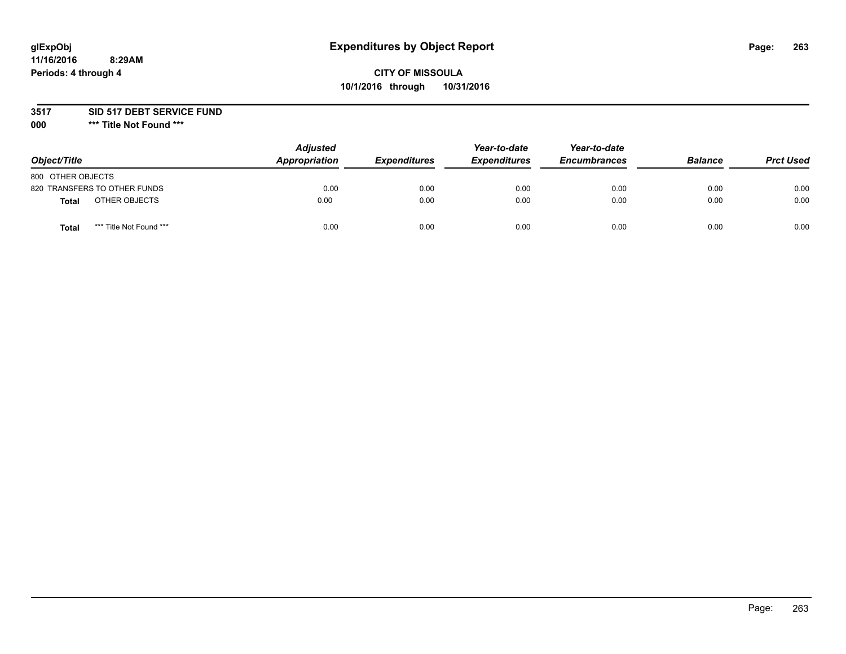# **glExpObj Expenditures by Object Report Page: 263**

### **CITY OF MISSOULA 10/1/2016 through 10/31/2016**

**3517 SID 517 DEBT SERVICE FUND**

**000 \*\*\* Title Not Found \*\*\***

| Object/Title                            | <b>Adjusted</b><br>Appropriation | <b>Expenditures</b> | Year-to-date<br><b>Expenditures</b> | Year-to-date<br><b>Encumbrances</b> | <b>Balance</b> | <b>Prct Used</b> |
|-----------------------------------------|----------------------------------|---------------------|-------------------------------------|-------------------------------------|----------------|------------------|
| 800 OTHER OBJECTS                       |                                  |                     |                                     |                                     |                |                  |
| 820 TRANSFERS TO OTHER FUNDS            | 0.00                             | 0.00                | 0.00                                | 0.00                                | 0.00           | 0.00             |
| OTHER OBJECTS<br><b>Total</b>           | 0.00                             | 0.00                | 0.00                                | 0.00                                | 0.00           | 0.00             |
| *** Title Not Found ***<br><b>Total</b> | 0.00                             | 0.00                | 0.00                                | 0.00                                | 0.00           | 0.00             |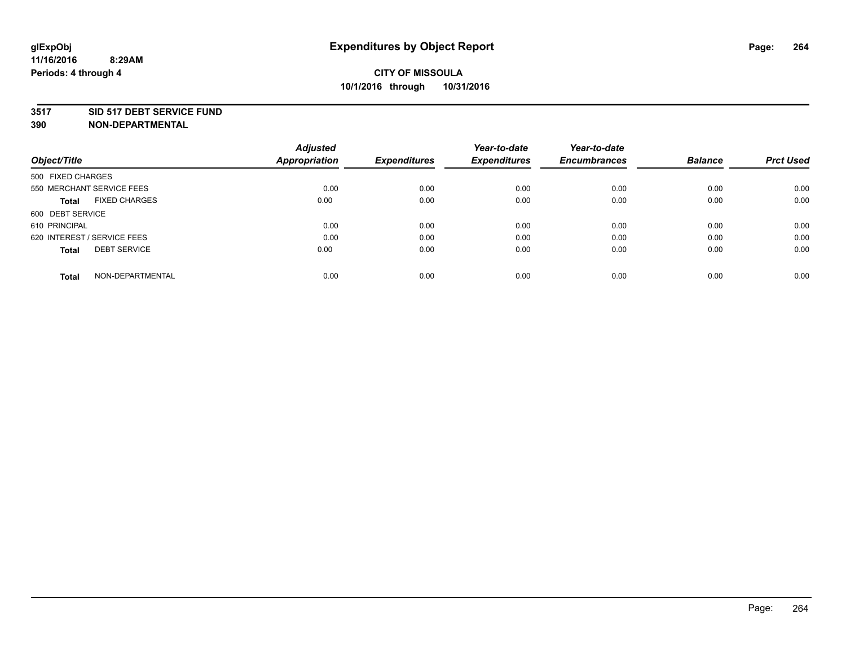#### **3517 SID 517 DEBT SERVICE FUND**

| Object/Title                         | <b>Adjusted</b><br><b>Appropriation</b> | <b>Expenditures</b> | Year-to-date<br><b>Expenditures</b> | Year-to-date<br><b>Encumbrances</b> | <b>Balance</b> | <b>Prct Used</b> |
|--------------------------------------|-----------------------------------------|---------------------|-------------------------------------|-------------------------------------|----------------|------------------|
|                                      |                                         |                     |                                     |                                     |                |                  |
| 500 FIXED CHARGES                    |                                         |                     |                                     |                                     |                |                  |
| 550 MERCHANT SERVICE FEES            | 0.00                                    | 0.00                | 0.00                                | 0.00                                | 0.00           | 0.00             |
| <b>FIXED CHARGES</b><br><b>Total</b> | 0.00                                    | 0.00                | 0.00                                | 0.00                                | 0.00           | 0.00             |
| 600 DEBT SERVICE                     |                                         |                     |                                     |                                     |                |                  |
| 610 PRINCIPAL                        | 0.00                                    | 0.00                | 0.00                                | 0.00                                | 0.00           | 0.00             |
| 620 INTEREST / SERVICE FEES          | 0.00                                    | 0.00                | 0.00                                | 0.00                                | 0.00           | 0.00             |
| <b>DEBT SERVICE</b><br><b>Total</b>  | 0.00                                    | 0.00                | 0.00                                | 0.00                                | 0.00           | 0.00             |
|                                      |                                         |                     |                                     |                                     |                |                  |
| NON-DEPARTMENTAL<br><b>Total</b>     | 0.00                                    | 0.00                | 0.00                                | 0.00                                | 0.00           | 0.00             |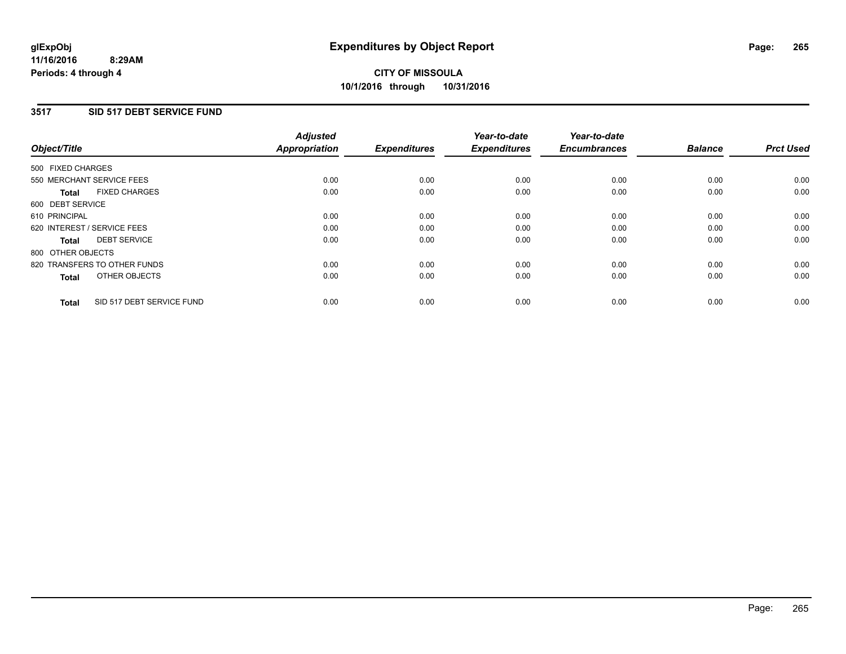#### **3517 SID 517 DEBT SERVICE FUND**

| Object/Title                              | <b>Adjusted</b><br><b>Appropriation</b> | <b>Expenditures</b> | Year-to-date<br><b>Expenditures</b> | Year-to-date<br><b>Encumbrances</b> | <b>Balance</b> | <b>Prct Used</b> |
|-------------------------------------------|-----------------------------------------|---------------------|-------------------------------------|-------------------------------------|----------------|------------------|
|                                           |                                         |                     |                                     |                                     |                |                  |
| 500 FIXED CHARGES                         |                                         |                     |                                     |                                     |                |                  |
| 550 MERCHANT SERVICE FEES                 | 0.00                                    | 0.00                | 0.00                                | 0.00                                | 0.00           | 0.00             |
| <b>FIXED CHARGES</b><br><b>Total</b>      | 0.00                                    | 0.00                | 0.00                                | 0.00                                | 0.00           | 0.00             |
| 600 DEBT SERVICE                          |                                         |                     |                                     |                                     |                |                  |
| 610 PRINCIPAL                             | 0.00                                    | 0.00                | 0.00                                | 0.00                                | 0.00           | 0.00             |
| 620 INTEREST / SERVICE FEES               | 0.00                                    | 0.00                | 0.00                                | 0.00                                | 0.00           | 0.00             |
| <b>DEBT SERVICE</b><br><b>Total</b>       | 0.00                                    | 0.00                | 0.00                                | 0.00                                | 0.00           | 0.00             |
| 800 OTHER OBJECTS                         |                                         |                     |                                     |                                     |                |                  |
| 820 TRANSFERS TO OTHER FUNDS              | 0.00                                    | 0.00                | 0.00                                | 0.00                                | 0.00           | 0.00             |
| OTHER OBJECTS<br><b>Total</b>             | 0.00                                    | 0.00                | 0.00                                | 0.00                                | 0.00           | 0.00             |
|                                           |                                         |                     |                                     |                                     |                |                  |
| SID 517 DEBT SERVICE FUND<br><b>Total</b> | 0.00                                    | 0.00                | 0.00                                | 0.00                                | 0.00           | 0.00             |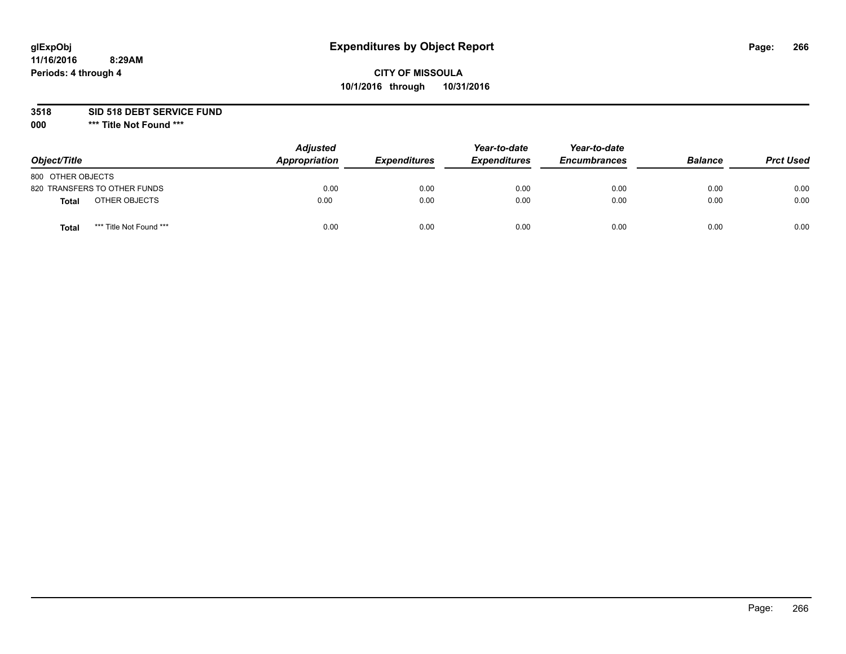# **glExpObj Expenditures by Object Report Page: 266**

### **CITY OF MISSOULA 10/1/2016 through 10/31/2016**

**3518 SID 518 DEBT SERVICE FUND**

**000 \*\*\* Title Not Found \*\*\***

| Object/Title                     | <b>Adjusted</b><br>Appropriation | <b>Expenditures</b> | Year-to-date<br><b>Expenditures</b> | Year-to-date<br><b>Encumbrances</b> | <b>Balance</b> | <b>Prct Used</b> |
|----------------------------------|----------------------------------|---------------------|-------------------------------------|-------------------------------------|----------------|------------------|
| 800 OTHER OBJECTS                |                                  |                     |                                     |                                     |                |                  |
| 820 TRANSFERS TO OTHER FUNDS     | 0.00                             | 0.00                | 0.00                                | 0.00                                | 0.00           | 0.00             |
| OTHER OBJECTS<br><b>Total</b>    | 0.00                             | 0.00                | 0.00                                | 0.00                                | 0.00           | 0.00             |
| *** Title Not Found ***<br>Total | 0.00                             | 0.00                | 0.00                                | 0.00                                | 0.00           | 0.00             |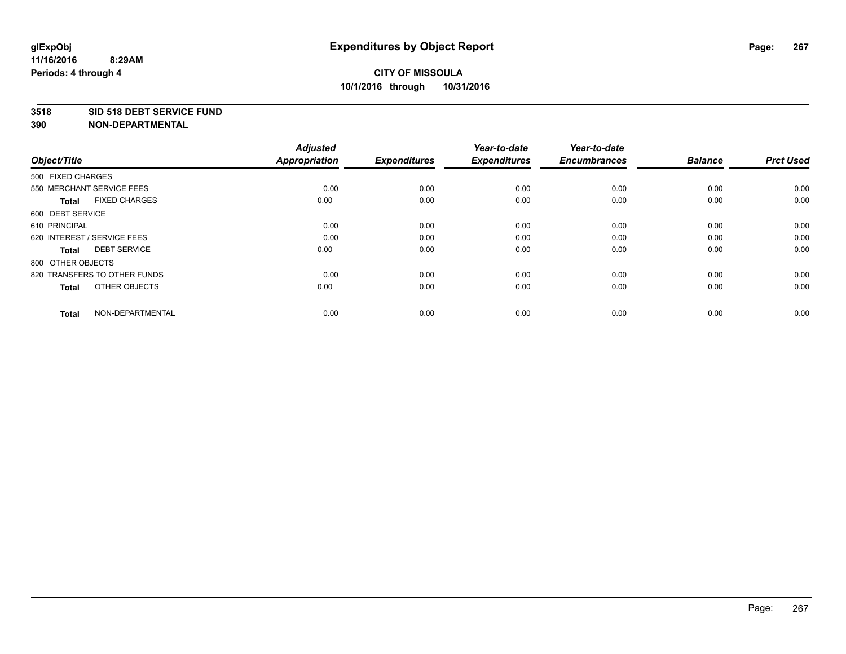#### **3518 SID 518 DEBT SERVICE FUND**

| Object/Title                         | <b>Adjusted</b><br><b>Appropriation</b> | <b>Expenditures</b> | Year-to-date<br><b>Expenditures</b> | Year-to-date<br><b>Encumbrances</b> | <b>Balance</b> | <b>Prct Used</b> |
|--------------------------------------|-----------------------------------------|---------------------|-------------------------------------|-------------------------------------|----------------|------------------|
| 500 FIXED CHARGES                    |                                         |                     |                                     |                                     |                |                  |
| 550 MERCHANT SERVICE FEES            | 0.00                                    | 0.00                | 0.00                                | 0.00                                | 0.00           | 0.00             |
| <b>FIXED CHARGES</b><br><b>Total</b> | 0.00                                    | 0.00                | 0.00                                | 0.00                                | 0.00           | 0.00             |
| 600 DEBT SERVICE                     |                                         |                     |                                     |                                     |                |                  |
| 610 PRINCIPAL                        | 0.00                                    | 0.00                | 0.00                                | 0.00                                | 0.00           | 0.00             |
| 620 INTEREST / SERVICE FEES          | 0.00                                    | 0.00                | 0.00                                | 0.00                                | 0.00           | 0.00             |
| <b>DEBT SERVICE</b><br><b>Total</b>  | 0.00                                    | 0.00                | 0.00                                | 0.00                                | 0.00           | 0.00             |
| 800 OTHER OBJECTS                    |                                         |                     |                                     |                                     |                |                  |
| 820 TRANSFERS TO OTHER FUNDS         | 0.00                                    | 0.00                | 0.00                                | 0.00                                | 0.00           | 0.00             |
| OTHER OBJECTS<br><b>Total</b>        | 0.00                                    | 0.00                | 0.00                                | 0.00                                | 0.00           | 0.00             |
|                                      |                                         |                     |                                     |                                     |                |                  |
| NON-DEPARTMENTAL<br><b>Total</b>     | 0.00                                    | 0.00                | 0.00                                | 0.00                                | 0.00           | 0.00             |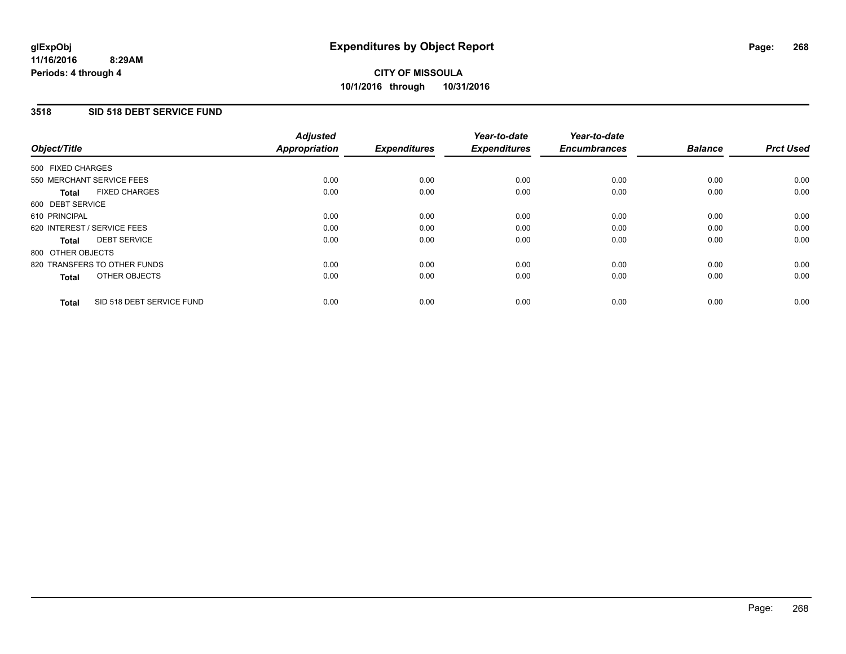#### **3518 SID 518 DEBT SERVICE FUND**

| Object/Title                              | <b>Adjusted</b><br><b>Appropriation</b> | <b>Expenditures</b> | Year-to-date<br><b>Expenditures</b> | Year-to-date<br><b>Encumbrances</b> | <b>Balance</b> | <b>Prct Used</b> |
|-------------------------------------------|-----------------------------------------|---------------------|-------------------------------------|-------------------------------------|----------------|------------------|
|                                           |                                         |                     |                                     |                                     |                |                  |
| 500 FIXED CHARGES                         |                                         |                     |                                     |                                     |                |                  |
| 550 MERCHANT SERVICE FEES                 | 0.00                                    | 0.00                | 0.00                                | 0.00                                | 0.00           | 0.00             |
| <b>FIXED CHARGES</b><br><b>Total</b>      | 0.00                                    | 0.00                | 0.00                                | 0.00                                | 0.00           | 0.00             |
| 600 DEBT SERVICE                          |                                         |                     |                                     |                                     |                |                  |
| 610 PRINCIPAL                             | 0.00                                    | 0.00                | 0.00                                | 0.00                                | 0.00           | 0.00             |
| 620 INTEREST / SERVICE FEES               | 0.00                                    | 0.00                | 0.00                                | 0.00                                | 0.00           | 0.00             |
| <b>DEBT SERVICE</b><br><b>Total</b>       | 0.00                                    | 0.00                | 0.00                                | 0.00                                | 0.00           | 0.00             |
| 800 OTHER OBJECTS                         |                                         |                     |                                     |                                     |                |                  |
| 820 TRANSFERS TO OTHER FUNDS              | 0.00                                    | 0.00                | 0.00                                | 0.00                                | 0.00           | 0.00             |
| OTHER OBJECTS<br><b>Total</b>             | 0.00                                    | 0.00                | 0.00                                | 0.00                                | 0.00           | 0.00             |
|                                           |                                         |                     |                                     |                                     |                |                  |
| SID 518 DEBT SERVICE FUND<br><b>Total</b> | 0.00                                    | 0.00                | 0.00                                | 0.00                                | 0.00           | 0.00             |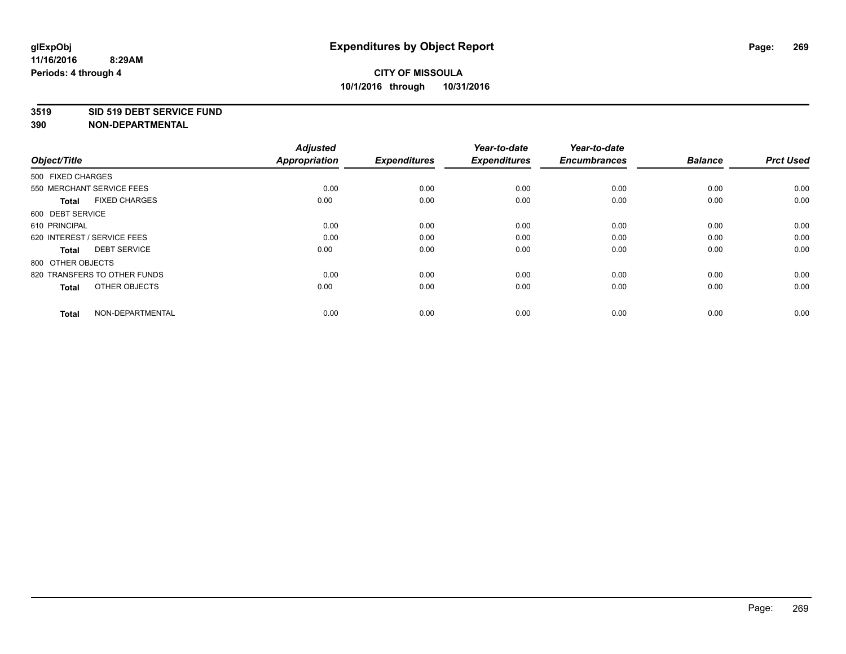#### **3519 SID 519 DEBT SERVICE FUND**

| Object/Title                         | <b>Adjusted</b><br><b>Appropriation</b> | <b>Expenditures</b> | Year-to-date<br><b>Expenditures</b> | Year-to-date<br><b>Encumbrances</b> | <b>Balance</b> | <b>Prct Used</b> |
|--------------------------------------|-----------------------------------------|---------------------|-------------------------------------|-------------------------------------|----------------|------------------|
| 500 FIXED CHARGES                    |                                         |                     |                                     |                                     |                |                  |
| 550 MERCHANT SERVICE FEES            | 0.00                                    | 0.00                | 0.00                                | 0.00                                | 0.00           | 0.00             |
| <b>FIXED CHARGES</b><br><b>Total</b> | 0.00                                    | 0.00                | 0.00                                | 0.00                                | 0.00           | 0.00             |
| 600 DEBT SERVICE                     |                                         |                     |                                     |                                     |                |                  |
| 610 PRINCIPAL                        | 0.00                                    | 0.00                | 0.00                                | 0.00                                | 0.00           | 0.00             |
| 620 INTEREST / SERVICE FEES          | 0.00                                    | 0.00                | 0.00                                | 0.00                                | 0.00           | 0.00             |
| <b>DEBT SERVICE</b><br><b>Total</b>  | 0.00                                    | 0.00                | 0.00                                | 0.00                                | 0.00           | 0.00             |
| 800 OTHER OBJECTS                    |                                         |                     |                                     |                                     |                |                  |
| 820 TRANSFERS TO OTHER FUNDS         | 0.00                                    | 0.00                | 0.00                                | 0.00                                | 0.00           | 0.00             |
| OTHER OBJECTS<br><b>Total</b>        | 0.00                                    | 0.00                | 0.00                                | 0.00                                | 0.00           | 0.00             |
|                                      |                                         |                     |                                     |                                     |                |                  |
| NON-DEPARTMENTAL<br><b>Total</b>     | 0.00                                    | 0.00                | 0.00                                | 0.00                                | 0.00           | 0.00             |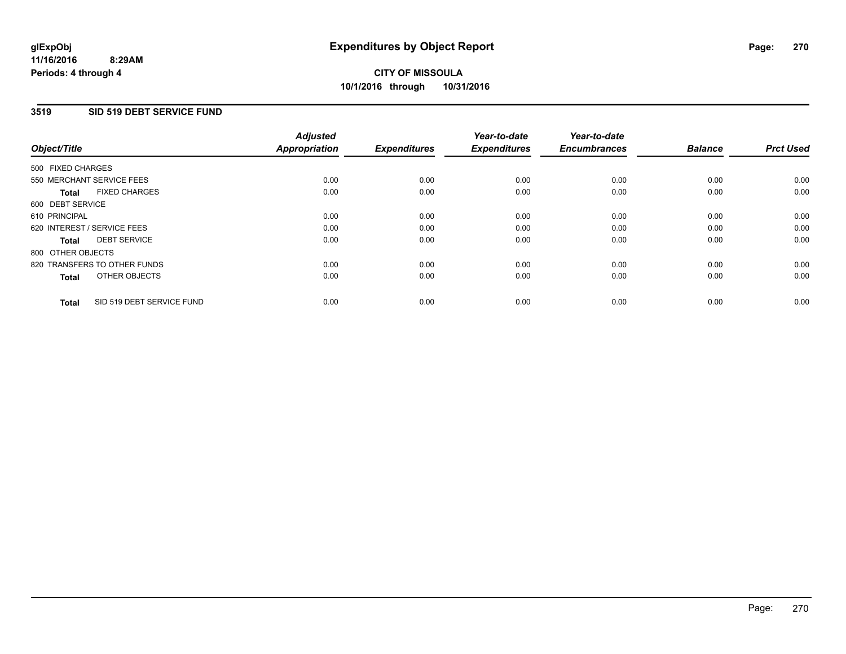#### **3519 SID 519 DEBT SERVICE FUND**

| Object/Title                              | <b>Adjusted</b><br><b>Appropriation</b> | <b>Expenditures</b> | Year-to-date<br><b>Expenditures</b> | Year-to-date<br><b>Encumbrances</b> | <b>Balance</b> | <b>Prct Used</b> |
|-------------------------------------------|-----------------------------------------|---------------------|-------------------------------------|-------------------------------------|----------------|------------------|
|                                           |                                         |                     |                                     |                                     |                |                  |
| 500 FIXED CHARGES                         |                                         |                     |                                     |                                     |                |                  |
| 550 MERCHANT SERVICE FEES                 | 0.00                                    | 0.00                | 0.00                                | 0.00                                | 0.00           | 0.00             |
| <b>FIXED CHARGES</b><br><b>Total</b>      | 0.00                                    | 0.00                | 0.00                                | 0.00                                | 0.00           | 0.00             |
| 600 DEBT SERVICE                          |                                         |                     |                                     |                                     |                |                  |
| 610 PRINCIPAL                             | 0.00                                    | 0.00                | 0.00                                | 0.00                                | 0.00           | 0.00             |
| 620 INTEREST / SERVICE FEES               | 0.00                                    | 0.00                | 0.00                                | 0.00                                | 0.00           | 0.00             |
| <b>DEBT SERVICE</b><br><b>Total</b>       | 0.00                                    | 0.00                | 0.00                                | 0.00                                | 0.00           | 0.00             |
| 800 OTHER OBJECTS                         |                                         |                     |                                     |                                     |                |                  |
| 820 TRANSFERS TO OTHER FUNDS              | 0.00                                    | 0.00                | 0.00                                | 0.00                                | 0.00           | 0.00             |
| OTHER OBJECTS<br><b>Total</b>             | 0.00                                    | 0.00                | 0.00                                | 0.00                                | 0.00           | 0.00             |
|                                           |                                         |                     |                                     |                                     |                |                  |
| SID 519 DEBT SERVICE FUND<br><b>Total</b> | 0.00                                    | 0.00                | 0.00                                | 0.00                                | 0.00           | 0.00             |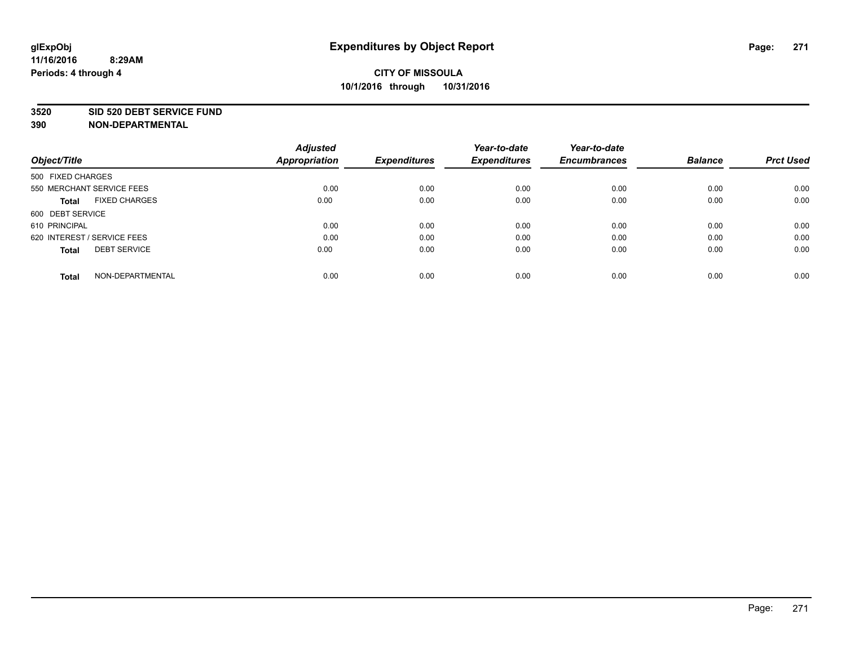#### **3520 SID 520 DEBT SERVICE FUND**

| Object/Title                         | <b>Adjusted</b><br><b>Appropriation</b> | <b>Expenditures</b> | Year-to-date<br><b>Expenditures</b> | Year-to-date<br><b>Encumbrances</b> | <b>Balance</b> | <b>Prct Used</b> |
|--------------------------------------|-----------------------------------------|---------------------|-------------------------------------|-------------------------------------|----------------|------------------|
|                                      |                                         |                     |                                     |                                     |                |                  |
| 500 FIXED CHARGES                    |                                         |                     |                                     |                                     |                |                  |
| 550 MERCHANT SERVICE FEES            | 0.00                                    | 0.00                | 0.00                                | 0.00                                | 0.00           | 0.00             |
| <b>FIXED CHARGES</b><br><b>Total</b> | 0.00                                    | 0.00                | 0.00                                | 0.00                                | 0.00           | 0.00             |
| 600 DEBT SERVICE                     |                                         |                     |                                     |                                     |                |                  |
| 610 PRINCIPAL                        | 0.00                                    | 0.00                | 0.00                                | 0.00                                | 0.00           | 0.00             |
| 620 INTEREST / SERVICE FEES          | 0.00                                    | 0.00                | 0.00                                | 0.00                                | 0.00           | 0.00             |
| <b>DEBT SERVICE</b><br><b>Total</b>  | 0.00                                    | 0.00                | 0.00                                | 0.00                                | 0.00           | 0.00             |
|                                      |                                         |                     |                                     |                                     |                |                  |
| NON-DEPARTMENTAL<br><b>Total</b>     | 0.00                                    | 0.00                | 0.00                                | 0.00                                | 0.00           | 0.00             |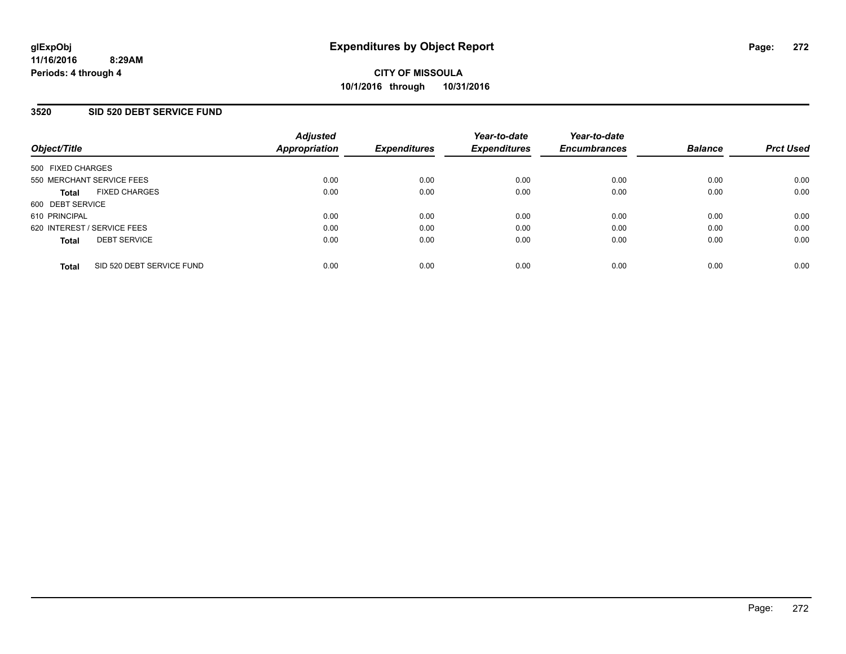#### **3520 SID 520 DEBT SERVICE FUND**

| Object/Title                              | <b>Adjusted</b><br>Appropriation | <b>Expenditures</b> | Year-to-date<br><b>Expenditures</b> | Year-to-date<br><b>Encumbrances</b> | <b>Balance</b> | <b>Prct Used</b> |
|-------------------------------------------|----------------------------------|---------------------|-------------------------------------|-------------------------------------|----------------|------------------|
| 500 FIXED CHARGES                         |                                  |                     |                                     |                                     |                |                  |
| 550 MERCHANT SERVICE FEES                 | 0.00                             | 0.00                | 0.00                                | 0.00                                | 0.00           | 0.00             |
| <b>FIXED CHARGES</b><br><b>Total</b>      | 0.00                             | 0.00                | 0.00                                | 0.00                                | 0.00           | 0.00             |
| 600 DEBT SERVICE                          |                                  |                     |                                     |                                     |                |                  |
| 610 PRINCIPAL                             | 0.00                             | 0.00                | 0.00                                | 0.00                                | 0.00           | 0.00             |
| 620 INTEREST / SERVICE FEES               | 0.00                             | 0.00                | 0.00                                | 0.00                                | 0.00           | 0.00             |
| <b>DEBT SERVICE</b><br><b>Total</b>       | 0.00                             | 0.00                | 0.00                                | 0.00                                | 0.00           | 0.00             |
| SID 520 DEBT SERVICE FUND<br><b>Total</b> | 0.00                             | 0.00                | 0.00                                | 0.00                                | 0.00           | 0.00             |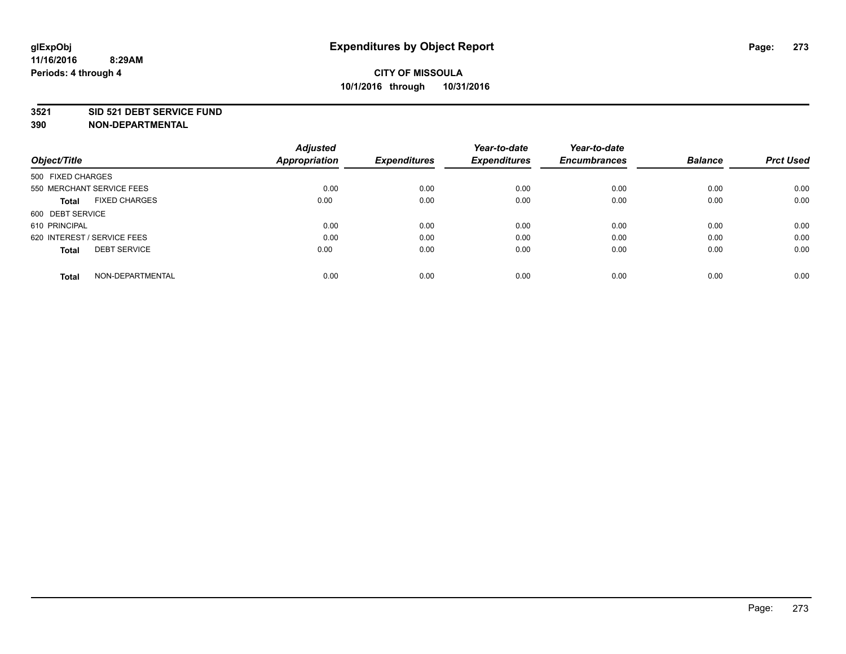#### **3521 SID 521 DEBT SERVICE FUND**

| Object/Title                         | <b>Adjusted</b><br><b>Appropriation</b> | <b>Expenditures</b> | Year-to-date<br><b>Expenditures</b> | Year-to-date<br><b>Encumbrances</b> | <b>Balance</b> | <b>Prct Used</b> |
|--------------------------------------|-----------------------------------------|---------------------|-------------------------------------|-------------------------------------|----------------|------------------|
| 500 FIXED CHARGES                    |                                         |                     |                                     |                                     |                |                  |
| 550 MERCHANT SERVICE FEES            | 0.00                                    | 0.00                | 0.00                                | 0.00                                | 0.00           | 0.00             |
| <b>FIXED CHARGES</b><br><b>Total</b> | 0.00                                    | 0.00                | 0.00                                | 0.00                                | 0.00           | 0.00             |
| 600 DEBT SERVICE                     |                                         |                     |                                     |                                     |                |                  |
| 610 PRINCIPAL                        | 0.00                                    | 0.00                | 0.00                                | 0.00                                | 0.00           | 0.00             |
| 620 INTEREST / SERVICE FEES          | 0.00                                    | 0.00                | 0.00                                | 0.00                                | 0.00           | 0.00             |
| <b>DEBT SERVICE</b><br><b>Total</b>  | 0.00                                    | 0.00                | 0.00                                | 0.00                                | 0.00           | 0.00             |
| NON-DEPARTMENTAL<br><b>Total</b>     | 0.00                                    | 0.00                | 0.00                                | 0.00                                | 0.00           | 0.00             |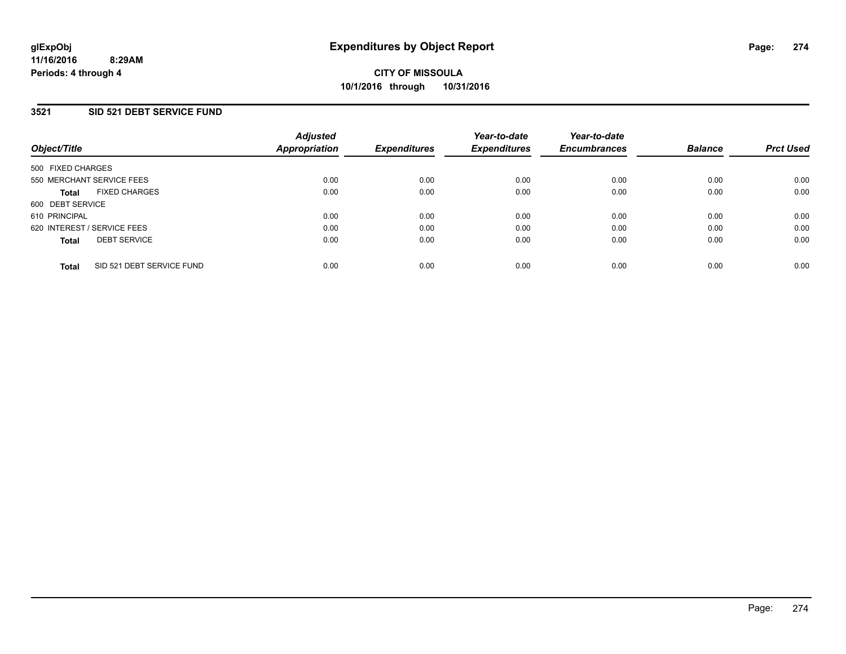#### **3521 SID 521 DEBT SERVICE FUND**

| Object/Title                              | <b>Adjusted</b><br>Appropriation | <b>Expenditures</b> | Year-to-date<br><b>Expenditures</b> | Year-to-date<br><b>Encumbrances</b> | <b>Balance</b> | <b>Prct Used</b> |
|-------------------------------------------|----------------------------------|---------------------|-------------------------------------|-------------------------------------|----------------|------------------|
| 500 FIXED CHARGES                         |                                  |                     |                                     |                                     |                |                  |
| 550 MERCHANT SERVICE FEES                 | 0.00                             | 0.00                | 0.00                                | 0.00                                | 0.00           | 0.00             |
| <b>FIXED CHARGES</b><br><b>Total</b>      | 0.00                             | 0.00                | 0.00                                | 0.00                                | 0.00           | 0.00             |
| 600 DEBT SERVICE                          |                                  |                     |                                     |                                     |                |                  |
| 610 PRINCIPAL                             | 0.00                             | 0.00                | 0.00                                | 0.00                                | 0.00           | 0.00             |
| 620 INTEREST / SERVICE FEES               | 0.00                             | 0.00                | 0.00                                | 0.00                                | 0.00           | 0.00             |
| <b>DEBT SERVICE</b><br><b>Total</b>       | 0.00                             | 0.00                | 0.00                                | 0.00                                | 0.00           | 0.00             |
| SID 521 DEBT SERVICE FUND<br><b>Total</b> | 0.00                             | 0.00                | 0.00                                | 0.00                                | 0.00           | 0.00             |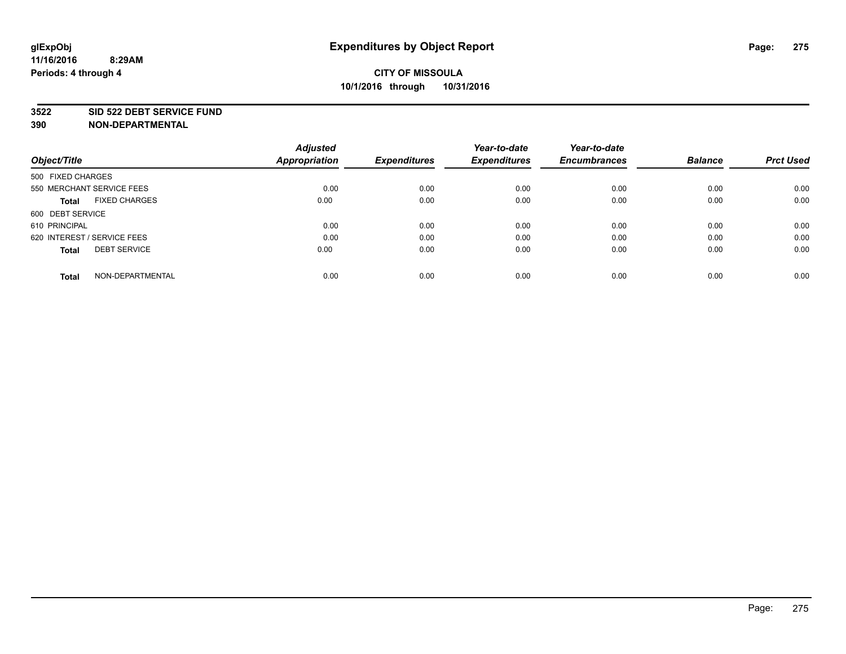#### **3522 SID 522 DEBT SERVICE FUND**

| Object/Title                         | <b>Adjusted</b><br><b>Appropriation</b> | <b>Expenditures</b> | Year-to-date<br><b>Expenditures</b> | Year-to-date<br><b>Encumbrances</b> | <b>Balance</b> | <b>Prct Used</b> |
|--------------------------------------|-----------------------------------------|---------------------|-------------------------------------|-------------------------------------|----------------|------------------|
|                                      |                                         |                     |                                     |                                     |                |                  |
| 500 FIXED CHARGES                    |                                         |                     |                                     |                                     |                |                  |
| 550 MERCHANT SERVICE FEES            | 0.00                                    | 0.00                | 0.00                                | 0.00                                | 0.00           | 0.00             |
| <b>FIXED CHARGES</b><br><b>Total</b> | 0.00                                    | 0.00                | 0.00                                | 0.00                                | 0.00           | 0.00             |
| 600 DEBT SERVICE                     |                                         |                     |                                     |                                     |                |                  |
| 610 PRINCIPAL                        | 0.00                                    | 0.00                | 0.00                                | 0.00                                | 0.00           | 0.00             |
| 620 INTEREST / SERVICE FEES          | 0.00                                    | 0.00                | 0.00                                | 0.00                                | 0.00           | 0.00             |
| <b>DEBT SERVICE</b><br><b>Total</b>  | 0.00                                    | 0.00                | 0.00                                | 0.00                                | 0.00           | 0.00             |
|                                      |                                         |                     |                                     |                                     |                |                  |
| NON-DEPARTMENTAL<br><b>Total</b>     | 0.00                                    | 0.00                | 0.00                                | 0.00                                | 0.00           | 0.00             |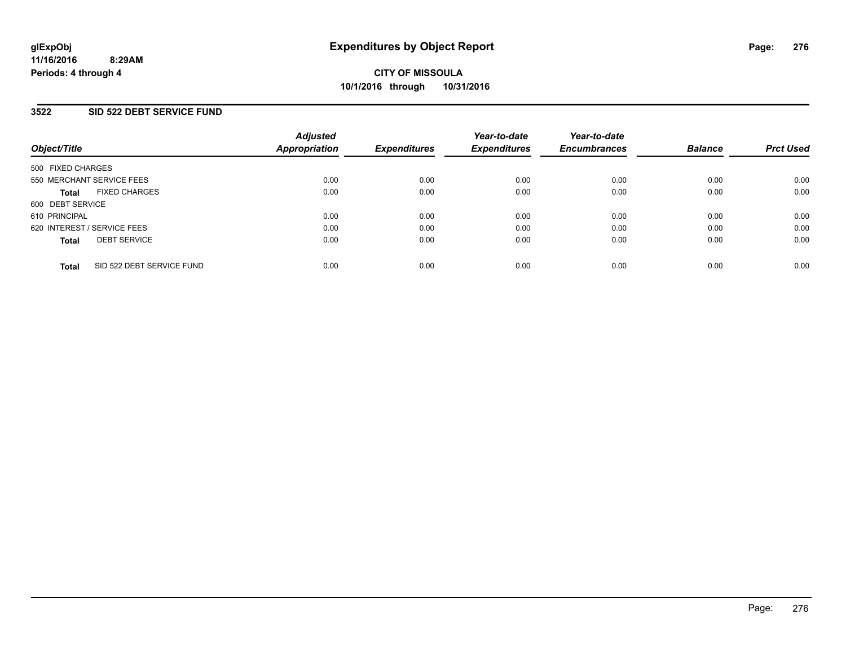#### **3522 SID 522 DEBT SERVICE FUND**

| Object/Title                              | <b>Adjusted</b><br>Appropriation | <b>Expenditures</b> | Year-to-date<br><b>Expenditures</b> | Year-to-date<br><b>Encumbrances</b> | <b>Balance</b> | <b>Prct Used</b> |
|-------------------------------------------|----------------------------------|---------------------|-------------------------------------|-------------------------------------|----------------|------------------|
| 500 FIXED CHARGES                         |                                  |                     |                                     |                                     |                |                  |
| 550 MERCHANT SERVICE FEES                 | 0.00                             | 0.00                | 0.00                                | 0.00                                | 0.00           | 0.00             |
| <b>FIXED CHARGES</b><br><b>Total</b>      | 0.00                             | 0.00                | 0.00                                | 0.00                                | 0.00           | 0.00             |
| 600 DEBT SERVICE                          |                                  |                     |                                     |                                     |                |                  |
| 610 PRINCIPAL                             | 0.00                             | 0.00                | 0.00                                | 0.00                                | 0.00           | 0.00             |
| 620 INTEREST / SERVICE FEES               | 0.00                             | 0.00                | 0.00                                | 0.00                                | 0.00           | 0.00             |
| <b>DEBT SERVICE</b><br><b>Total</b>       | 0.00                             | 0.00                | 0.00                                | 0.00                                | 0.00           | 0.00             |
| SID 522 DEBT SERVICE FUND<br><b>Total</b> | 0.00                             | 0.00                | 0.00                                | 0.00                                | 0.00           | 0.00             |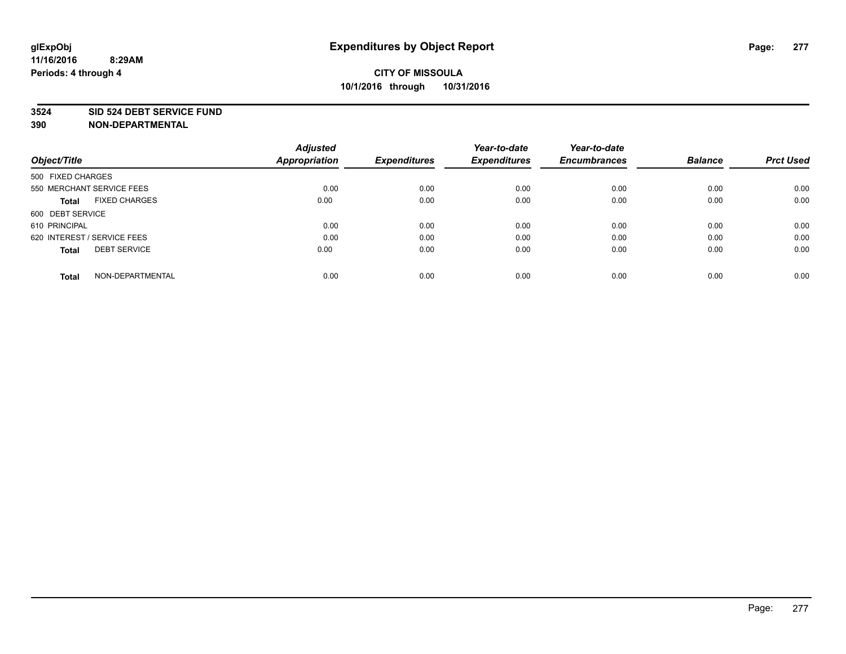#### **3524 SID 524 DEBT SERVICE FUND**

| Object/Title                         | <b>Adjusted</b><br><b>Appropriation</b> | <b>Expenditures</b> | Year-to-date<br><b>Expenditures</b> | Year-to-date<br><b>Encumbrances</b> | <b>Balance</b> | <b>Prct Used</b> |
|--------------------------------------|-----------------------------------------|---------------------|-------------------------------------|-------------------------------------|----------------|------------------|
|                                      |                                         |                     |                                     |                                     |                |                  |
| 500 FIXED CHARGES                    |                                         |                     |                                     |                                     |                |                  |
| 550 MERCHANT SERVICE FEES            | 0.00                                    | 0.00                | 0.00                                | 0.00                                | 0.00           | 0.00             |
| <b>FIXED CHARGES</b><br><b>Total</b> | 0.00                                    | 0.00                | 0.00                                | 0.00                                | 0.00           | 0.00             |
| 600 DEBT SERVICE                     |                                         |                     |                                     |                                     |                |                  |
| 610 PRINCIPAL                        | 0.00                                    | 0.00                | 0.00                                | 0.00                                | 0.00           | 0.00             |
| 620 INTEREST / SERVICE FEES          | 0.00                                    | 0.00                | 0.00                                | 0.00                                | 0.00           | 0.00             |
| <b>DEBT SERVICE</b><br><b>Total</b>  | 0.00                                    | 0.00                | 0.00                                | 0.00                                | 0.00           | 0.00             |
|                                      |                                         |                     |                                     |                                     |                |                  |
| NON-DEPARTMENTAL<br><b>Total</b>     | 0.00                                    | 0.00                | 0.00                                | 0.00                                | 0.00           | 0.00             |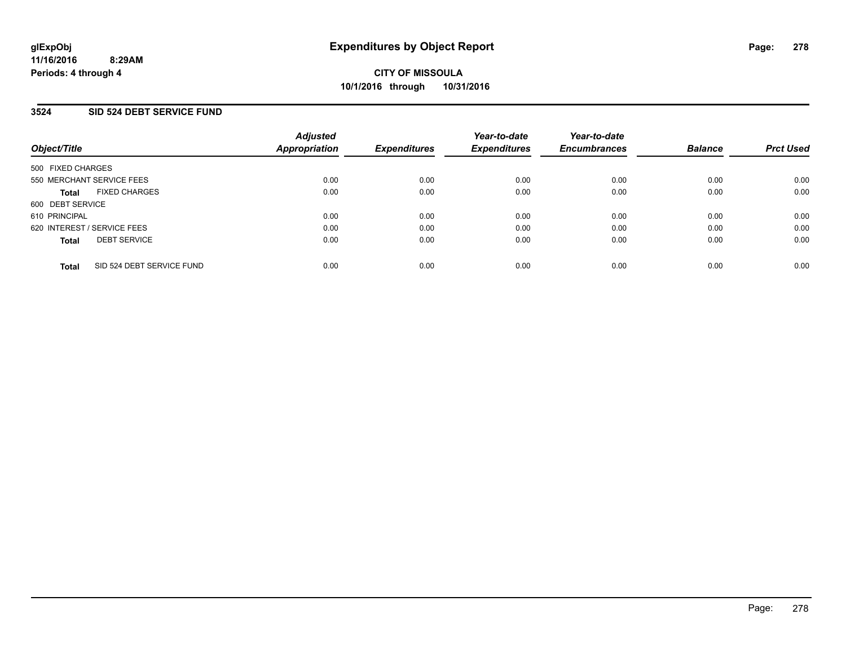#### **3524 SID 524 DEBT SERVICE FUND**

| Object/Title                              | <b>Adjusted</b><br>Appropriation | <b>Expenditures</b> | Year-to-date<br><b>Expenditures</b> | Year-to-date<br><b>Encumbrances</b> | <b>Balance</b> | <b>Prct Used</b> |
|-------------------------------------------|----------------------------------|---------------------|-------------------------------------|-------------------------------------|----------------|------------------|
| 500 FIXED CHARGES                         |                                  |                     |                                     |                                     |                |                  |
| 550 MERCHANT SERVICE FEES                 | 0.00                             | 0.00                | 0.00                                | 0.00                                | 0.00           | 0.00             |
| <b>FIXED CHARGES</b><br><b>Total</b>      | 0.00                             | 0.00                | 0.00                                | 0.00                                | 0.00           | 0.00             |
| 600 DEBT SERVICE                          |                                  |                     |                                     |                                     |                |                  |
| 610 PRINCIPAL                             | 0.00                             | 0.00                | 0.00                                | 0.00                                | 0.00           | 0.00             |
| 620 INTEREST / SERVICE FEES               | 0.00                             | 0.00                | 0.00                                | 0.00                                | 0.00           | 0.00             |
| <b>DEBT SERVICE</b><br><b>Total</b>       | 0.00                             | 0.00                | 0.00                                | 0.00                                | 0.00           | 0.00             |
| SID 524 DEBT SERVICE FUND<br><b>Total</b> | 0.00                             | 0.00                | 0.00                                | 0.00                                | 0.00           | 0.00             |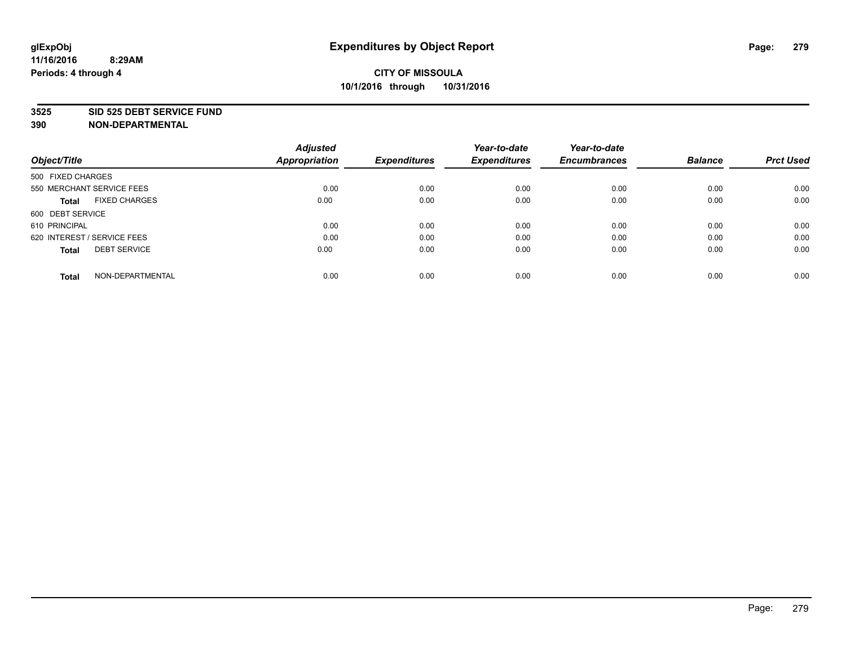#### **3525 SID 525 DEBT SERVICE FUND**

| Object/Title                         | <b>Adjusted</b><br><b>Appropriation</b> | <b>Expenditures</b> | Year-to-date<br><b>Expenditures</b> | Year-to-date<br><b>Encumbrances</b> | <b>Balance</b> | <b>Prct Used</b> |
|--------------------------------------|-----------------------------------------|---------------------|-------------------------------------|-------------------------------------|----------------|------------------|
|                                      |                                         |                     |                                     |                                     |                |                  |
| 500 FIXED CHARGES                    |                                         |                     |                                     |                                     |                |                  |
| 550 MERCHANT SERVICE FEES            | 0.00                                    | 0.00                | 0.00                                | 0.00                                | 0.00           | 0.00             |
| <b>FIXED CHARGES</b><br><b>Total</b> | 0.00                                    | 0.00                | 0.00                                | 0.00                                | 0.00           | 0.00             |
| 600 DEBT SERVICE                     |                                         |                     |                                     |                                     |                |                  |
| 610 PRINCIPAL                        | 0.00                                    | 0.00                | 0.00                                | 0.00                                | 0.00           | 0.00             |
| 620 INTEREST / SERVICE FEES          | 0.00                                    | 0.00                | 0.00                                | 0.00                                | 0.00           | 0.00             |
| <b>DEBT SERVICE</b><br>Total         | 0.00                                    | 0.00                | 0.00                                | 0.00                                | 0.00           | 0.00             |
|                                      |                                         |                     |                                     |                                     |                |                  |
| NON-DEPARTMENTAL<br><b>Total</b>     | 0.00                                    | 0.00                | 0.00                                | 0.00                                | 0.00           | 0.00             |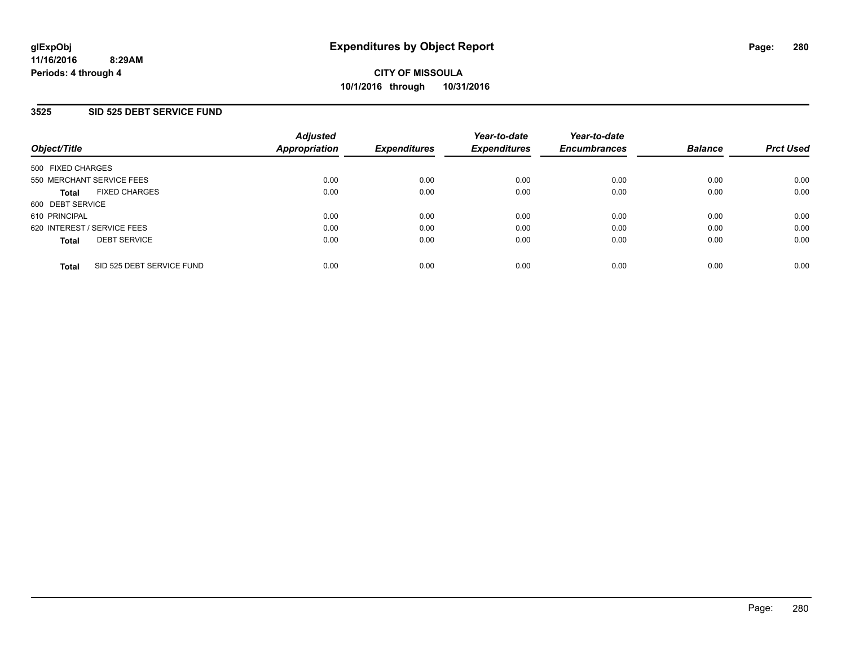#### **3525 SID 525 DEBT SERVICE FUND**

| Object/Title                              | <b>Adjusted</b><br>Appropriation | <b>Expenditures</b> | Year-to-date<br><b>Expenditures</b> | Year-to-date<br><b>Encumbrances</b> | <b>Balance</b> | <b>Prct Used</b> |
|-------------------------------------------|----------------------------------|---------------------|-------------------------------------|-------------------------------------|----------------|------------------|
| 500 FIXED CHARGES                         |                                  |                     |                                     |                                     |                |                  |
| 550 MERCHANT SERVICE FEES                 | 0.00                             | 0.00                | 0.00                                | 0.00                                | 0.00           | 0.00             |
| <b>FIXED CHARGES</b><br><b>Total</b>      | 0.00                             | 0.00                | 0.00                                | 0.00                                | 0.00           | 0.00             |
| 600 DEBT SERVICE                          |                                  |                     |                                     |                                     |                |                  |
| 610 PRINCIPAL                             | 0.00                             | 0.00                | 0.00                                | 0.00                                | 0.00           | 0.00             |
| 620 INTEREST / SERVICE FEES               | 0.00                             | 0.00                | 0.00                                | 0.00                                | 0.00           | 0.00             |
| <b>DEBT SERVICE</b><br><b>Total</b>       | 0.00                             | 0.00                | 0.00                                | 0.00                                | 0.00           | 0.00             |
| SID 525 DEBT SERVICE FUND<br><b>Total</b> | 0.00                             | 0.00                | 0.00                                | 0.00                                | 0.00           | 0.00             |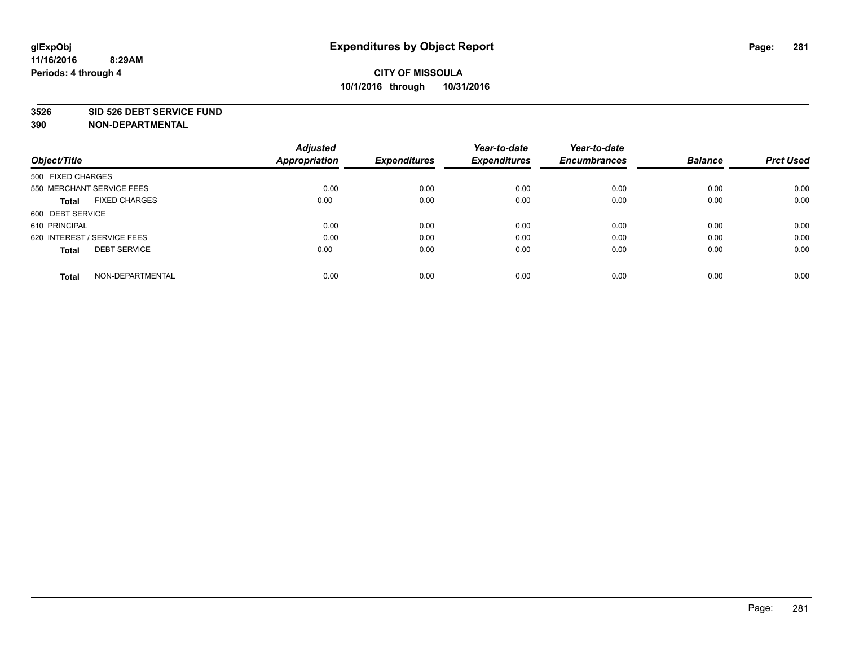#### **3526 SID 526 DEBT SERVICE FUND**

| Object/Title                         | <b>Adjusted</b><br><b>Appropriation</b> | <b>Expenditures</b> | Year-to-date<br><b>Expenditures</b> | Year-to-date<br><b>Encumbrances</b> | <b>Balance</b> | <b>Prct Used</b> |
|--------------------------------------|-----------------------------------------|---------------------|-------------------------------------|-------------------------------------|----------------|------------------|
|                                      |                                         |                     |                                     |                                     |                |                  |
| 500 FIXED CHARGES                    |                                         |                     |                                     |                                     |                |                  |
| 550 MERCHANT SERVICE FEES            | 0.00                                    | 0.00                | 0.00                                | 0.00                                | 0.00           | 0.00             |
| <b>FIXED CHARGES</b><br><b>Total</b> | 0.00                                    | 0.00                | 0.00                                | 0.00                                | 0.00           | 0.00             |
| 600 DEBT SERVICE                     |                                         |                     |                                     |                                     |                |                  |
| 610 PRINCIPAL                        | 0.00                                    | 0.00                | 0.00                                | 0.00                                | 0.00           | 0.00             |
| 620 INTEREST / SERVICE FEES          | 0.00                                    | 0.00                | 0.00                                | 0.00                                | 0.00           | 0.00             |
| <b>DEBT SERVICE</b><br>Total         | 0.00                                    | 0.00                | 0.00                                | 0.00                                | 0.00           | 0.00             |
|                                      |                                         |                     |                                     |                                     |                |                  |
| NON-DEPARTMENTAL<br><b>Total</b>     | 0.00                                    | 0.00                | 0.00                                | 0.00                                | 0.00           | 0.00             |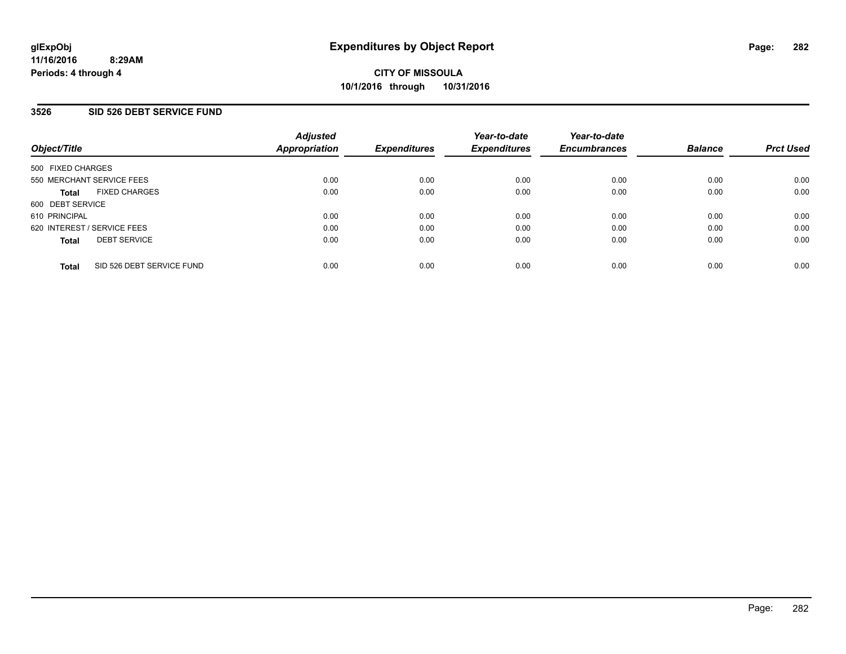#### **3526 SID 526 DEBT SERVICE FUND**

| Object/Title                              | <b>Adjusted</b><br>Appropriation | <b>Expenditures</b> | Year-to-date<br><b>Expenditures</b> | Year-to-date<br><b>Encumbrances</b> | <b>Balance</b> | <b>Prct Used</b> |
|-------------------------------------------|----------------------------------|---------------------|-------------------------------------|-------------------------------------|----------------|------------------|
| 500 FIXED CHARGES                         |                                  |                     |                                     |                                     |                |                  |
| 550 MERCHANT SERVICE FEES                 | 0.00                             | 0.00                | 0.00                                | 0.00                                | 0.00           | 0.00             |
| <b>FIXED CHARGES</b><br><b>Total</b>      | 0.00                             | 0.00                | 0.00                                | 0.00                                | 0.00           | 0.00             |
| 600 DEBT SERVICE                          |                                  |                     |                                     |                                     |                |                  |
| 610 PRINCIPAL                             | 0.00                             | 0.00                | 0.00                                | 0.00                                | 0.00           | 0.00             |
| 620 INTEREST / SERVICE FEES               | 0.00                             | 0.00                | 0.00                                | 0.00                                | 0.00           | 0.00             |
| <b>DEBT SERVICE</b><br><b>Total</b>       | 0.00                             | 0.00                | 0.00                                | 0.00                                | 0.00           | 0.00             |
| SID 526 DEBT SERVICE FUND<br><b>Total</b> | 0.00                             | 0.00                | 0.00                                | 0.00                                | 0.00           | 0.00             |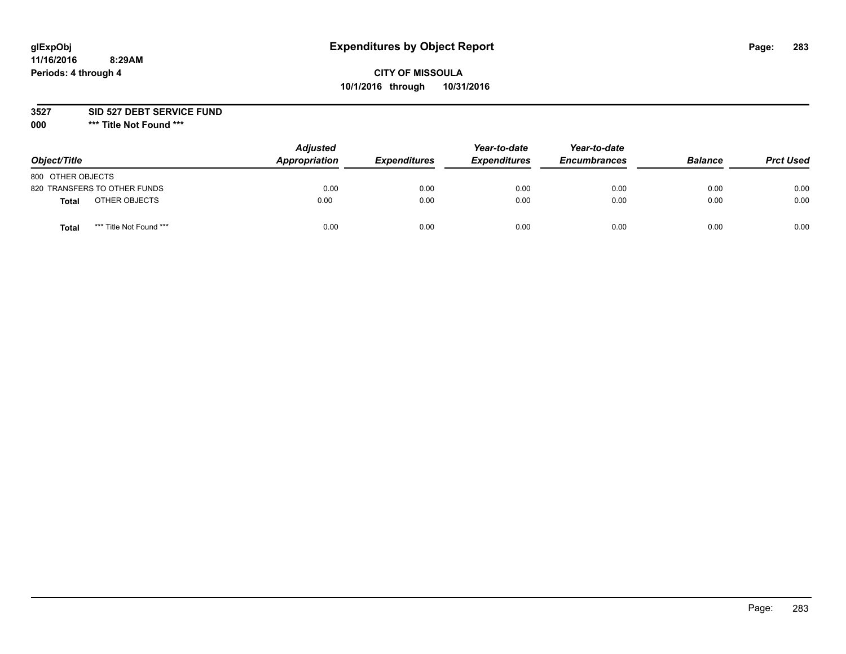# **glExpObj Expenditures by Object Report Page: 283**

### **CITY OF MISSOULA 10/1/2016 through 10/31/2016**

**3527 SID 527 DEBT SERVICE FUND**

**000 \*\*\* Title Not Found \*\*\***

| Object/Title                     | <b>Adjusted</b><br>Appropriation | <b>Expenditures</b> | Year-to-date<br><b>Expenditures</b> | Year-to-date<br><b>Encumbrances</b> | <b>Balance</b> | <b>Prct Used</b> |
|----------------------------------|----------------------------------|---------------------|-------------------------------------|-------------------------------------|----------------|------------------|
| 800 OTHER OBJECTS                |                                  |                     |                                     |                                     |                |                  |
| 820 TRANSFERS TO OTHER FUNDS     | 0.00                             | 0.00                | 0.00                                | 0.00                                | 0.00           | 0.00             |
| OTHER OBJECTS<br><b>Total</b>    | 0.00                             | 0.00                | 0.00                                | 0.00                                | 0.00           | 0.00             |
| *** Title Not Found ***<br>Total | 0.00                             | 0.00                | 0.00                                | 0.00                                | 0.00           | 0.00             |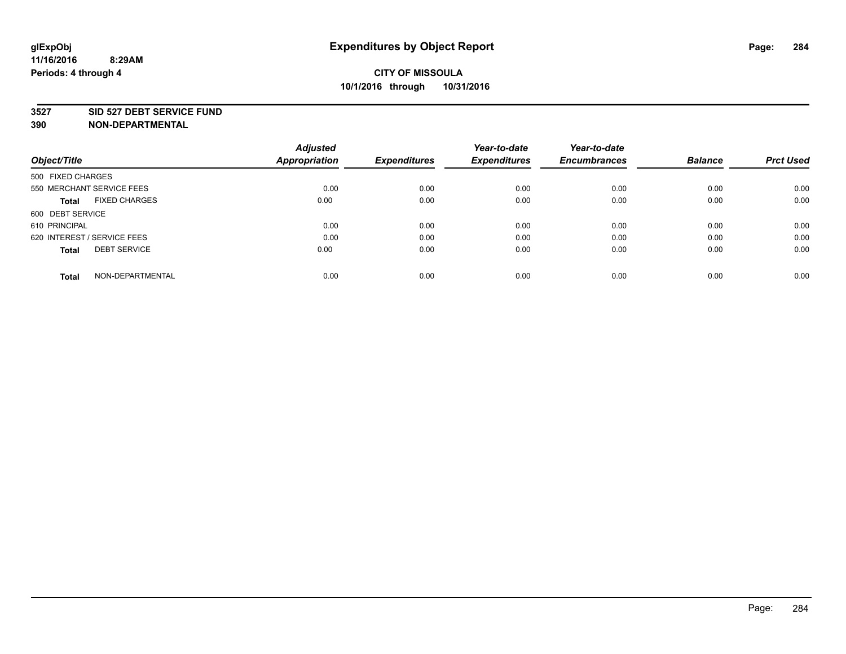#### **3527 SID 527 DEBT SERVICE FUND**

| Object/Title                         | <b>Adjusted</b><br><b>Appropriation</b> | <b>Expenditures</b> | Year-to-date<br><b>Expenditures</b> | Year-to-date<br><b>Encumbrances</b> | <b>Balance</b> | <b>Prct Used</b> |
|--------------------------------------|-----------------------------------------|---------------------|-------------------------------------|-------------------------------------|----------------|------------------|
|                                      |                                         |                     |                                     |                                     |                |                  |
| 500 FIXED CHARGES                    |                                         |                     |                                     |                                     |                |                  |
| 550 MERCHANT SERVICE FEES            | 0.00                                    | 0.00                | 0.00                                | 0.00                                | 0.00           | 0.00             |
| <b>FIXED CHARGES</b><br><b>Total</b> | 0.00                                    | 0.00                | 0.00                                | 0.00                                | 0.00           | 0.00             |
| 600 DEBT SERVICE                     |                                         |                     |                                     |                                     |                |                  |
| 610 PRINCIPAL                        | 0.00                                    | 0.00                | 0.00                                | 0.00                                | 0.00           | 0.00             |
| 620 INTEREST / SERVICE FEES          | 0.00                                    | 0.00                | 0.00                                | 0.00                                | 0.00           | 0.00             |
| <b>DEBT SERVICE</b><br>Total         | 0.00                                    | 0.00                | 0.00                                | 0.00                                | 0.00           | 0.00             |
|                                      |                                         |                     |                                     |                                     |                |                  |
| NON-DEPARTMENTAL<br><b>Total</b>     | 0.00                                    | 0.00                | 0.00                                | 0.00                                | 0.00           | 0.00             |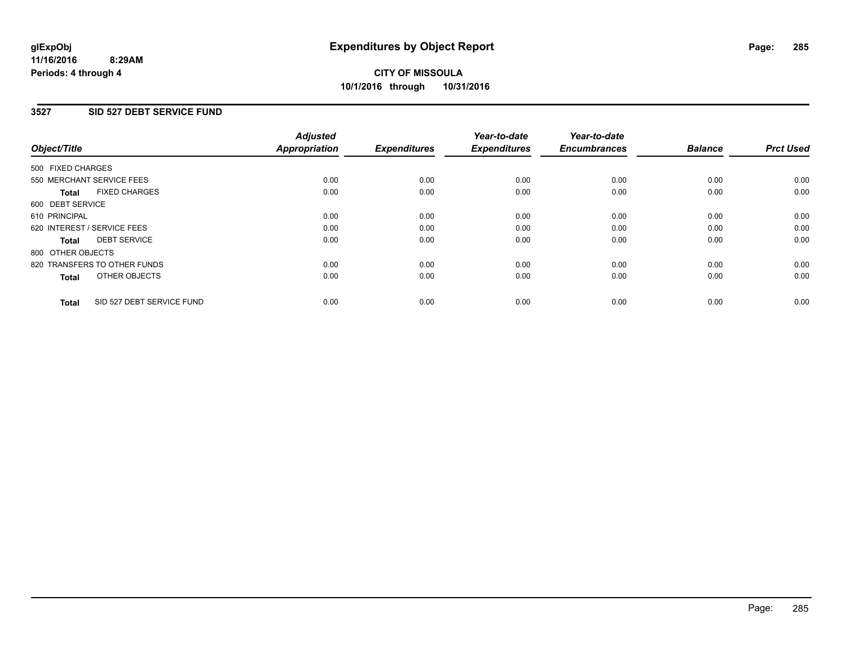### **3527 SID 527 DEBT SERVICE FUND**

| Object/Title      |                              | <b>Adjusted</b><br>Appropriation | <b>Expenditures</b> | Year-to-date<br><b>Expenditures</b> | Year-to-date<br><b>Encumbrances</b> | <b>Balance</b> | <b>Prct Used</b> |
|-------------------|------------------------------|----------------------------------|---------------------|-------------------------------------|-------------------------------------|----------------|------------------|
| 500 FIXED CHARGES |                              |                                  |                     |                                     |                                     |                |                  |
|                   | 550 MERCHANT SERVICE FEES    | 0.00                             | 0.00                | 0.00                                | 0.00                                | 0.00           | 0.00             |
| <b>Total</b>      | <b>FIXED CHARGES</b>         | 0.00                             | 0.00                | 0.00                                | 0.00                                | 0.00           | 0.00             |
| 600 DEBT SERVICE  |                              |                                  |                     |                                     |                                     |                |                  |
| 610 PRINCIPAL     |                              | 0.00                             | 0.00                | 0.00                                | 0.00                                | 0.00           | 0.00             |
|                   | 620 INTEREST / SERVICE FEES  | 0.00                             | 0.00                | 0.00                                | 0.00                                | 0.00           | 0.00             |
| <b>Total</b>      | <b>DEBT SERVICE</b>          | 0.00                             | 0.00                | 0.00                                | 0.00                                | 0.00           | 0.00             |
| 800 OTHER OBJECTS |                              |                                  |                     |                                     |                                     |                |                  |
|                   | 820 TRANSFERS TO OTHER FUNDS | 0.00                             | 0.00                | 0.00                                | 0.00                                | 0.00           | 0.00             |
| <b>Total</b>      | OTHER OBJECTS                | 0.00                             | 0.00                | 0.00                                | 0.00                                | 0.00           | 0.00             |
| <b>Total</b>      | SID 527 DEBT SERVICE FUND    | 0.00                             | 0.00                | 0.00                                | 0.00                                | 0.00           | 0.00             |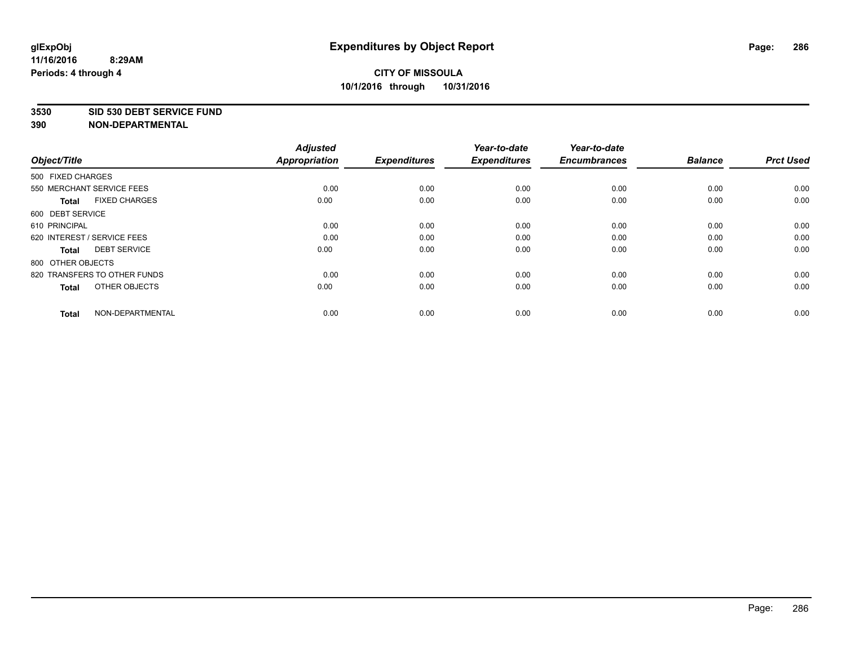#### **3530 SID 530 DEBT SERVICE FUND**

| Object/Title                         | <b>Adjusted</b><br><b>Appropriation</b> | <b>Expenditures</b> | Year-to-date<br><b>Expenditures</b> | Year-to-date<br><b>Encumbrances</b> | <b>Balance</b> | <b>Prct Used</b> |
|--------------------------------------|-----------------------------------------|---------------------|-------------------------------------|-------------------------------------|----------------|------------------|
| 500 FIXED CHARGES                    |                                         |                     |                                     |                                     |                |                  |
| 550 MERCHANT SERVICE FEES            | 0.00                                    | 0.00                | 0.00                                | 0.00                                | 0.00           | 0.00             |
| <b>FIXED CHARGES</b><br><b>Total</b> | 0.00                                    | 0.00                | 0.00                                | 0.00                                | 0.00           | 0.00             |
| 600 DEBT SERVICE                     |                                         |                     |                                     |                                     |                |                  |
| 610 PRINCIPAL                        | 0.00                                    | 0.00                | 0.00                                | 0.00                                | 0.00           | 0.00             |
| 620 INTEREST / SERVICE FEES          | 0.00                                    | 0.00                | 0.00                                | 0.00                                | 0.00           | 0.00             |
| <b>DEBT SERVICE</b><br><b>Total</b>  | 0.00                                    | 0.00                | 0.00                                | 0.00                                | 0.00           | 0.00             |
| 800 OTHER OBJECTS                    |                                         |                     |                                     |                                     |                |                  |
| 820 TRANSFERS TO OTHER FUNDS         | 0.00                                    | 0.00                | 0.00                                | 0.00                                | 0.00           | 0.00             |
| OTHER OBJECTS<br><b>Total</b>        | 0.00                                    | 0.00                | 0.00                                | 0.00                                | 0.00           | 0.00             |
| NON-DEPARTMENTAL<br><b>Total</b>     | 0.00                                    | 0.00                | 0.00                                | 0.00                                | 0.00           | 0.00             |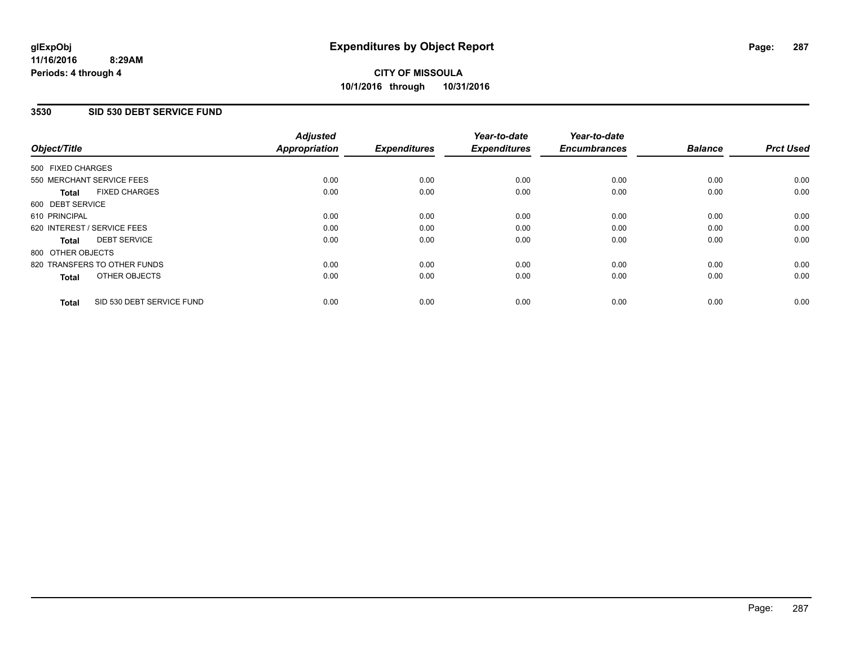#### **3530 SID 530 DEBT SERVICE FUND**

| Object/Title      |                              | <b>Adjusted</b><br>Appropriation | <b>Expenditures</b> | Year-to-date<br><b>Expenditures</b> | Year-to-date<br><b>Encumbrances</b> | <b>Balance</b> | <b>Prct Used</b> |
|-------------------|------------------------------|----------------------------------|---------------------|-------------------------------------|-------------------------------------|----------------|------------------|
| 500 FIXED CHARGES |                              |                                  |                     |                                     |                                     |                |                  |
|                   | 550 MERCHANT SERVICE FEES    | 0.00                             | 0.00                | 0.00                                | 0.00                                | 0.00           | 0.00             |
| <b>Total</b>      | <b>FIXED CHARGES</b>         | 0.00                             | 0.00                | 0.00                                | 0.00                                | 0.00           | 0.00             |
| 600 DEBT SERVICE  |                              |                                  |                     |                                     |                                     |                |                  |
| 610 PRINCIPAL     |                              | 0.00                             | 0.00                | 0.00                                | 0.00                                | 0.00           | 0.00             |
|                   | 620 INTEREST / SERVICE FEES  | 0.00                             | 0.00                | 0.00                                | 0.00                                | 0.00           | 0.00             |
| <b>Total</b>      | <b>DEBT SERVICE</b>          | 0.00                             | 0.00                | 0.00                                | 0.00                                | 0.00           | 0.00             |
| 800 OTHER OBJECTS |                              |                                  |                     |                                     |                                     |                |                  |
|                   | 820 TRANSFERS TO OTHER FUNDS | 0.00                             | 0.00                | 0.00                                | 0.00                                | 0.00           | 0.00             |
| <b>Total</b>      | OTHER OBJECTS                | 0.00                             | 0.00                | 0.00                                | 0.00                                | 0.00           | 0.00             |
| <b>Total</b>      | SID 530 DEBT SERVICE FUND    | 0.00                             | 0.00                | 0.00                                | 0.00                                | 0.00           | 0.00             |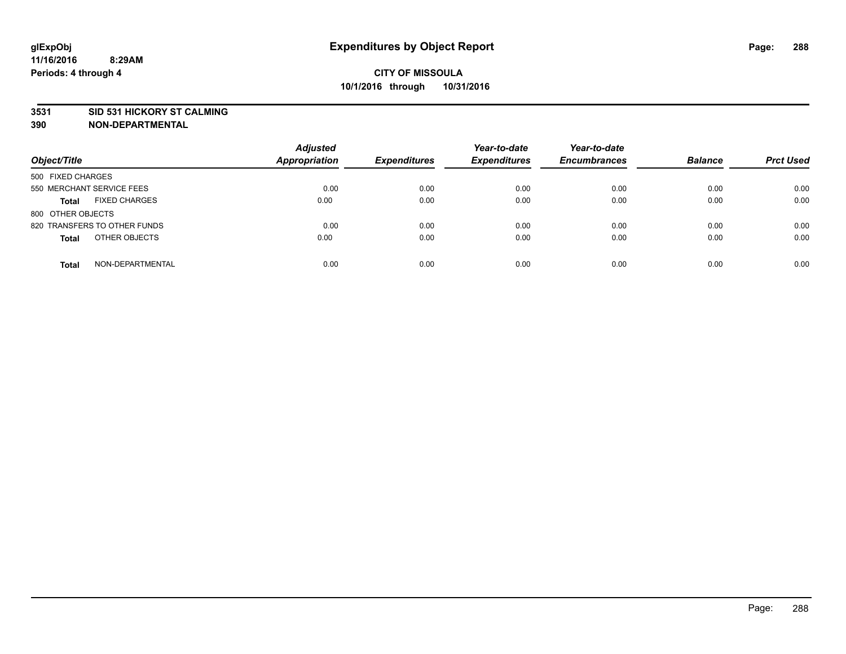#### **3531 SID 531 HICKORY ST CALMING**

| Object/Title                         | <b>Adjusted</b><br><b>Appropriation</b> | <b>Expenditures</b> | Year-to-date<br><b>Expenditures</b> | Year-to-date<br><b>Encumbrances</b> | <b>Balance</b> | <b>Prct Used</b> |
|--------------------------------------|-----------------------------------------|---------------------|-------------------------------------|-------------------------------------|----------------|------------------|
| 500 FIXED CHARGES                    |                                         |                     |                                     |                                     |                |                  |
| 550 MERCHANT SERVICE FEES            | 0.00                                    | 0.00                | 0.00                                | 0.00                                | 0.00           | 0.00             |
| <b>FIXED CHARGES</b><br><b>Total</b> | 0.00                                    | 0.00                | 0.00                                | 0.00                                | 0.00           | 0.00             |
| 800 OTHER OBJECTS                    |                                         |                     |                                     |                                     |                |                  |
| 820 TRANSFERS TO OTHER FUNDS         | 0.00                                    | 0.00                | 0.00                                | 0.00                                | 0.00           | 0.00             |
| OTHER OBJECTS<br><b>Total</b>        | 0.00                                    | 0.00                | 0.00                                | 0.00                                | 0.00           | 0.00             |
| NON-DEPARTMENTAL<br><b>Total</b>     | 0.00                                    | 0.00                | 0.00                                | 0.00                                | 0.00           | 0.00             |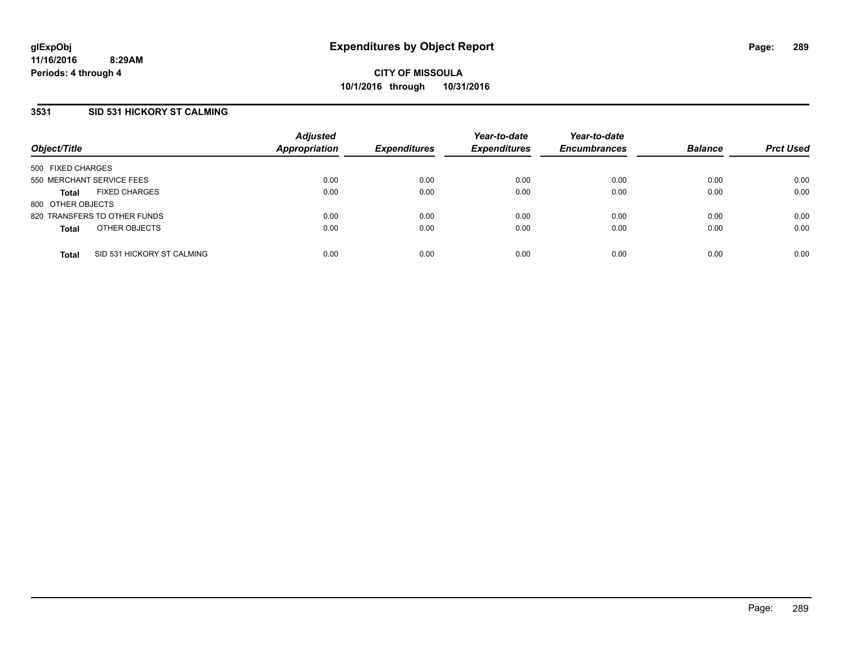## **3531 SID 531 HICKORY ST CALMING**

| Object/Title              |                              | <b>Adjusted</b><br><b>Appropriation</b> | <b>Expenditures</b> | Year-to-date<br><b>Expenditures</b> | Year-to-date<br><b>Encumbrances</b> | <b>Balance</b> | <b>Prct Used</b> |
|---------------------------|------------------------------|-----------------------------------------|---------------------|-------------------------------------|-------------------------------------|----------------|------------------|
| 500 FIXED CHARGES         |                              |                                         |                     |                                     |                                     |                |                  |
| 550 MERCHANT SERVICE FEES |                              | 0.00                                    | 0.00                | 0.00                                | 0.00                                | 0.00           | 0.00             |
| <b>Total</b>              | <b>FIXED CHARGES</b>         | 0.00                                    | 0.00                | 0.00                                | 0.00                                | 0.00           | 0.00             |
| 800 OTHER OBJECTS         |                              |                                         |                     |                                     |                                     |                |                  |
|                           | 820 TRANSFERS TO OTHER FUNDS | 0.00                                    | 0.00                | 0.00                                | 0.00                                | 0.00           | 0.00             |
| <b>Total</b>              | OTHER OBJECTS                | 0.00                                    | 0.00                | 0.00                                | 0.00                                | 0.00           | 0.00             |
| <b>Total</b>              | SID 531 HICKORY ST CALMING   | 0.00                                    | 0.00                | 0.00                                | 0.00                                | 0.00           | 0.00             |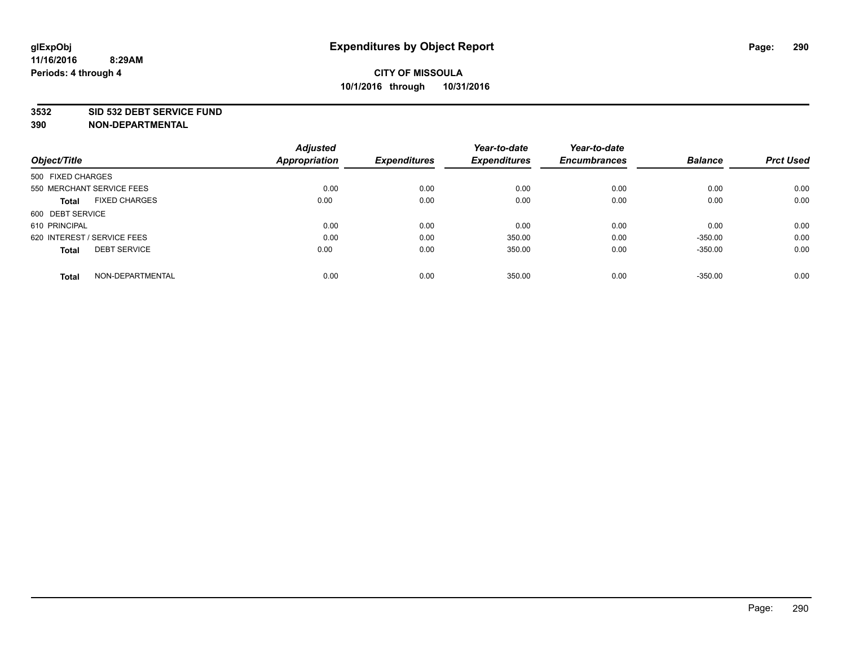### **3532 SID 532 DEBT SERVICE FUND**

|                                      | <b>Adjusted</b>      |                     | Year-to-date        | Year-to-date        |                |                  |
|--------------------------------------|----------------------|---------------------|---------------------|---------------------|----------------|------------------|
| Object/Title                         | <b>Appropriation</b> | <b>Expenditures</b> | <b>Expenditures</b> | <b>Encumbrances</b> | <b>Balance</b> | <b>Prct Used</b> |
| 500 FIXED CHARGES                    |                      |                     |                     |                     |                |                  |
| 550 MERCHANT SERVICE FEES            | 0.00                 | 0.00                | 0.00                | 0.00                | 0.00           | 0.00             |
| <b>FIXED CHARGES</b><br><b>Total</b> | 0.00                 | 0.00                | 0.00                | 0.00                | 0.00           | 0.00             |
| 600 DEBT SERVICE                     |                      |                     |                     |                     |                |                  |
| 610 PRINCIPAL                        | 0.00                 | 0.00                | 0.00                | 0.00                | 0.00           | 0.00             |
| 620 INTEREST / SERVICE FEES          | 0.00                 | 0.00                | 350.00              | 0.00                | $-350.00$      | 0.00             |
| <b>DEBT SERVICE</b><br><b>Total</b>  | 0.00                 | 0.00                | 350.00              | 0.00                | $-350.00$      | 0.00             |
| NON-DEPARTMENTAL<br>Total            | 0.00                 | 0.00                | 350.00              | 0.00                | $-350.00$      | 0.00             |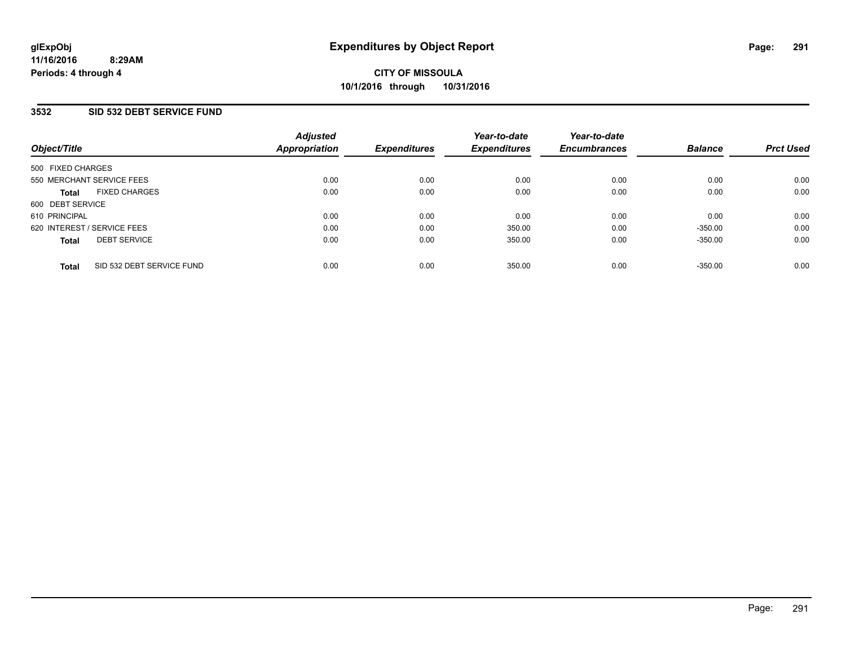## **3532 SID 532 DEBT SERVICE FUND**

| Object/Title                              | <b>Adjusted</b><br>Appropriation | <b>Expenditures</b> | Year-to-date<br><b>Expenditures</b> | Year-to-date<br><b>Encumbrances</b> | <b>Balance</b> | <b>Prct Used</b> |
|-------------------------------------------|----------------------------------|---------------------|-------------------------------------|-------------------------------------|----------------|------------------|
| 500 FIXED CHARGES                         |                                  |                     |                                     |                                     |                |                  |
| 550 MERCHANT SERVICE FEES                 | 0.00                             | 0.00                | 0.00                                | 0.00                                | 0.00           | 0.00             |
| <b>FIXED CHARGES</b><br><b>Total</b>      | 0.00                             | 0.00                | 0.00                                | 0.00                                | 0.00           | 0.00             |
| 600 DEBT SERVICE                          |                                  |                     |                                     |                                     |                |                  |
| 610 PRINCIPAL                             | 0.00                             | 0.00                | 0.00                                | 0.00                                | 0.00           | 0.00             |
| 620 INTEREST / SERVICE FEES               | 0.00                             | 0.00                | 350.00                              | 0.00                                | $-350.00$      | 0.00             |
| <b>DEBT SERVICE</b><br><b>Total</b>       | 0.00                             | 0.00                | 350.00                              | 0.00                                | $-350.00$      | 0.00             |
| SID 532 DEBT SERVICE FUND<br><b>Total</b> | 0.00                             | 0.00                | 350.00                              | 0.00                                | $-350.00$      | 0.00             |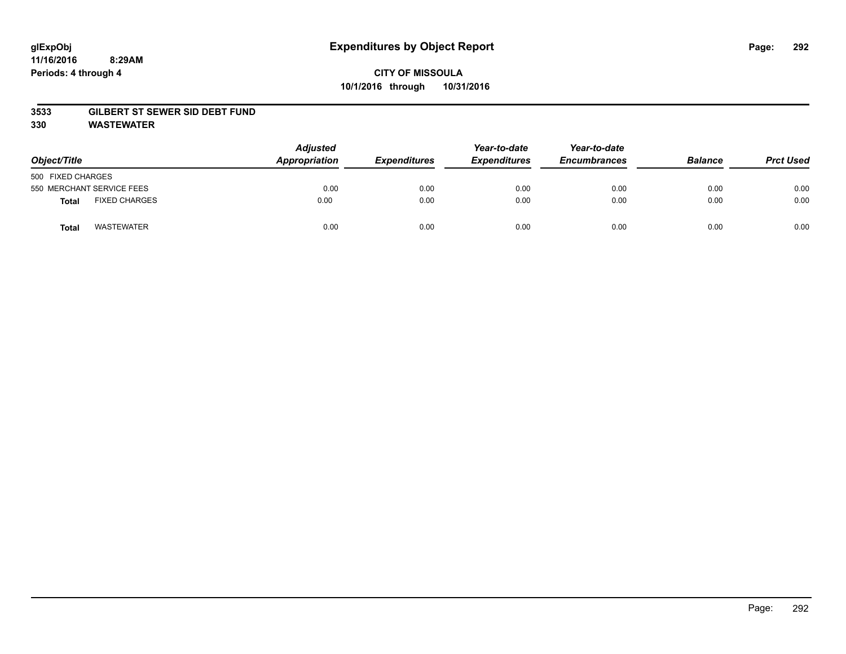### **3533 GILBERT ST SEWER SID DEBT FUND**

**330 WASTEWATER**

| Object/Title      |                           | Adjusted<br>Appropriation | <b>Expenditures</b> | Year-to-date<br><b>Expenditures</b> | Year-to-date<br><b>Encumbrances</b> | <b>Balance</b> | <b>Prct Used</b> |
|-------------------|---------------------------|---------------------------|---------------------|-------------------------------------|-------------------------------------|----------------|------------------|
| 500 FIXED CHARGES |                           |                           |                     |                                     |                                     |                |                  |
|                   | 550 MERCHANT SERVICE FEES | 0.00                      | 0.00                | 0.00                                | 0.00                                | 0.00           | 0.00             |
| <b>Total</b>      | <b>FIXED CHARGES</b>      | 0.00                      | 0.00                | 0.00                                | 0.00                                | 0.00           | 0.00             |
| <b>Total</b>      | <b>WASTEWATER</b>         | 0.00                      | 0.00                | 0.00                                | 0.00                                | 0.00           | 0.00             |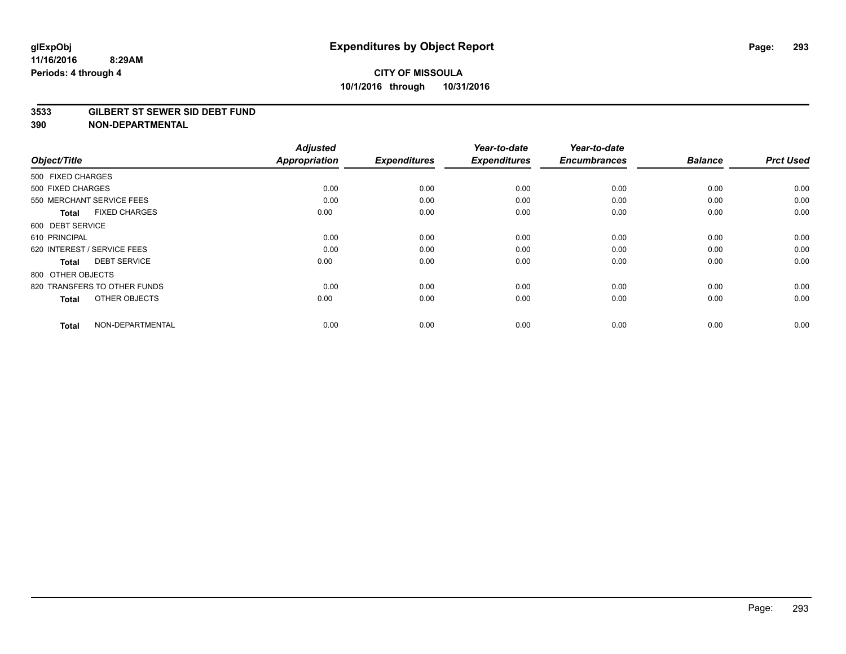#### **3533 GILBERT ST SEWER SID DEBT FUND**

| Object/Title                        | <b>Adjusted</b><br><b>Appropriation</b> | <b>Expenditures</b> | Year-to-date<br><b>Expenditures</b> | Year-to-date<br><b>Encumbrances</b> | <b>Balance</b> | <b>Prct Used</b> |
|-------------------------------------|-----------------------------------------|---------------------|-------------------------------------|-------------------------------------|----------------|------------------|
| 500 FIXED CHARGES                   |                                         |                     |                                     |                                     |                |                  |
| 500 FIXED CHARGES                   | 0.00                                    | 0.00                | 0.00                                | 0.00                                | 0.00           | 0.00             |
| 550 MERCHANT SERVICE FEES           | 0.00                                    | 0.00                | 0.00                                | 0.00                                | 0.00           | 0.00             |
| <b>FIXED CHARGES</b><br>Total       | 0.00                                    | 0.00                | 0.00                                | 0.00                                | 0.00           | 0.00             |
| 600 DEBT SERVICE                    |                                         |                     |                                     |                                     |                |                  |
| 610 PRINCIPAL                       | 0.00                                    | 0.00                | 0.00                                | 0.00                                | 0.00           | 0.00             |
| 620 INTEREST / SERVICE FEES         | 0.00                                    | 0.00                | 0.00                                | 0.00                                | 0.00           | 0.00             |
| <b>DEBT SERVICE</b><br><b>Total</b> | 0.00                                    | 0.00                | 0.00                                | 0.00                                | 0.00           | 0.00             |
| 800 OTHER OBJECTS                   |                                         |                     |                                     |                                     |                |                  |
| 820 TRANSFERS TO OTHER FUNDS        | 0.00                                    | 0.00                | 0.00                                | 0.00                                | 0.00           | 0.00             |
| OTHER OBJECTS<br><b>Total</b>       | 0.00                                    | 0.00                | 0.00                                | 0.00                                | 0.00           | 0.00             |
| NON-DEPARTMENTAL<br><b>Total</b>    | 0.00                                    | 0.00                | 0.00                                | 0.00                                | 0.00           | 0.00             |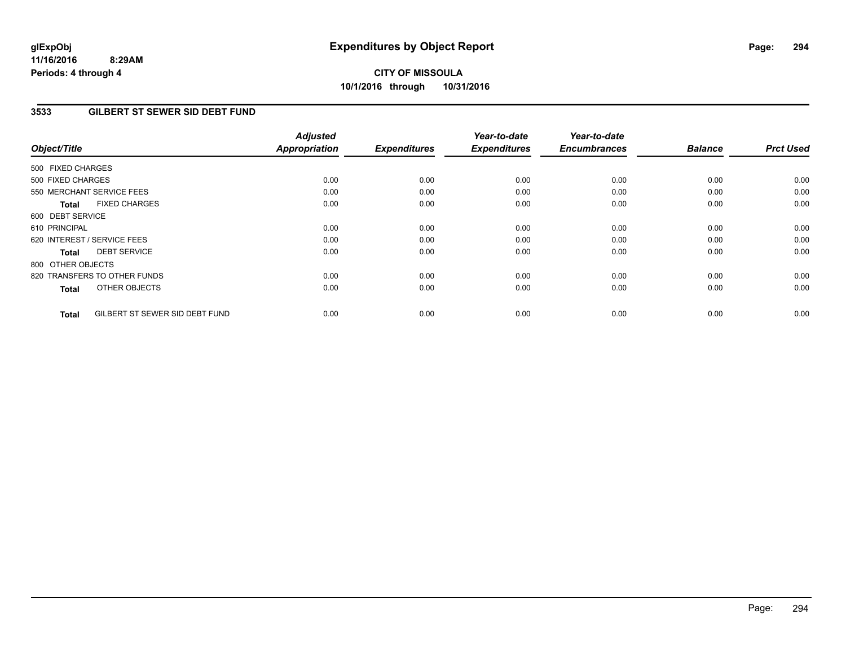# **CITY OF MISSOULA 10/1/2016 through 10/31/2016**

### **3533 GILBERT ST SEWER SID DEBT FUND**

| Object/Title                                   | <b>Adjusted</b><br><b>Appropriation</b> | <b>Expenditures</b> | Year-to-date<br><b>Expenditures</b> | Year-to-date<br><b>Encumbrances</b> | <b>Balance</b> | <b>Prct Used</b> |
|------------------------------------------------|-----------------------------------------|---------------------|-------------------------------------|-------------------------------------|----------------|------------------|
| 500 FIXED CHARGES                              |                                         |                     |                                     |                                     |                |                  |
| 500 FIXED CHARGES                              | 0.00                                    | 0.00                | 0.00                                | 0.00                                | 0.00           | 0.00             |
| 550 MERCHANT SERVICE FEES                      | 0.00                                    | 0.00                | 0.00                                | 0.00                                | 0.00           | 0.00             |
| <b>FIXED CHARGES</b><br><b>Total</b>           | 0.00                                    | 0.00                | 0.00                                | 0.00                                | 0.00           | 0.00             |
| 600 DEBT SERVICE                               |                                         |                     |                                     |                                     |                |                  |
| 610 PRINCIPAL                                  | 0.00                                    | 0.00                | 0.00                                | 0.00                                | 0.00           | 0.00             |
| 620 INTEREST / SERVICE FEES                    | 0.00                                    | 0.00                | 0.00                                | 0.00                                | 0.00           | 0.00             |
| <b>DEBT SERVICE</b><br>Total                   | 0.00                                    | 0.00                | 0.00                                | 0.00                                | 0.00           | 0.00             |
| 800 OTHER OBJECTS                              |                                         |                     |                                     |                                     |                |                  |
| 820 TRANSFERS TO OTHER FUNDS                   | 0.00                                    | 0.00                | 0.00                                | 0.00                                | 0.00           | 0.00             |
| OTHER OBJECTS<br>Total                         | 0.00                                    | 0.00                | 0.00                                | 0.00                                | 0.00           | 0.00             |
| GILBERT ST SEWER SID DEBT FUND<br><b>Total</b> | 0.00                                    | 0.00                | 0.00                                | 0.00                                | 0.00           | 0.00             |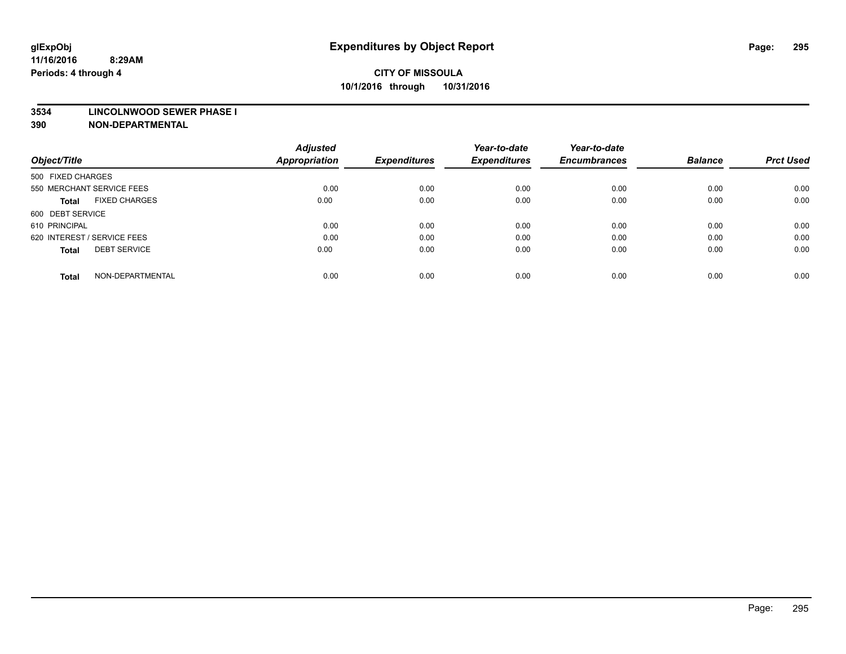#### **3534 LINCOLNWOOD SEWER PHASE I**

| Object/Title                         | <b>Adjusted</b><br><b>Appropriation</b> | <b>Expenditures</b> | Year-to-date<br><b>Expenditures</b> | Year-to-date<br><b>Encumbrances</b> | <b>Balance</b> | <b>Prct Used</b> |
|--------------------------------------|-----------------------------------------|---------------------|-------------------------------------|-------------------------------------|----------------|------------------|
|                                      |                                         |                     |                                     |                                     |                |                  |
| 500 FIXED CHARGES                    |                                         |                     |                                     |                                     |                |                  |
| 550 MERCHANT SERVICE FEES            | 0.00                                    | 0.00                | 0.00                                | 0.00                                | 0.00           | 0.00             |
| <b>FIXED CHARGES</b><br><b>Total</b> | 0.00                                    | 0.00                | 0.00                                | 0.00                                | 0.00           | 0.00             |
| 600 DEBT SERVICE                     |                                         |                     |                                     |                                     |                |                  |
| 610 PRINCIPAL                        | 0.00                                    | 0.00                | 0.00                                | 0.00                                | 0.00           | 0.00             |
| 620 INTEREST / SERVICE FEES          | 0.00                                    | 0.00                | 0.00                                | 0.00                                | 0.00           | 0.00             |
| <b>DEBT SERVICE</b><br><b>Total</b>  | 0.00                                    | 0.00                | 0.00                                | 0.00                                | 0.00           | 0.00             |
|                                      |                                         |                     |                                     |                                     |                |                  |
| NON-DEPARTMENTAL<br><b>Total</b>     | 0.00                                    | 0.00                | 0.00                                | 0.00                                | 0.00           | 0.00             |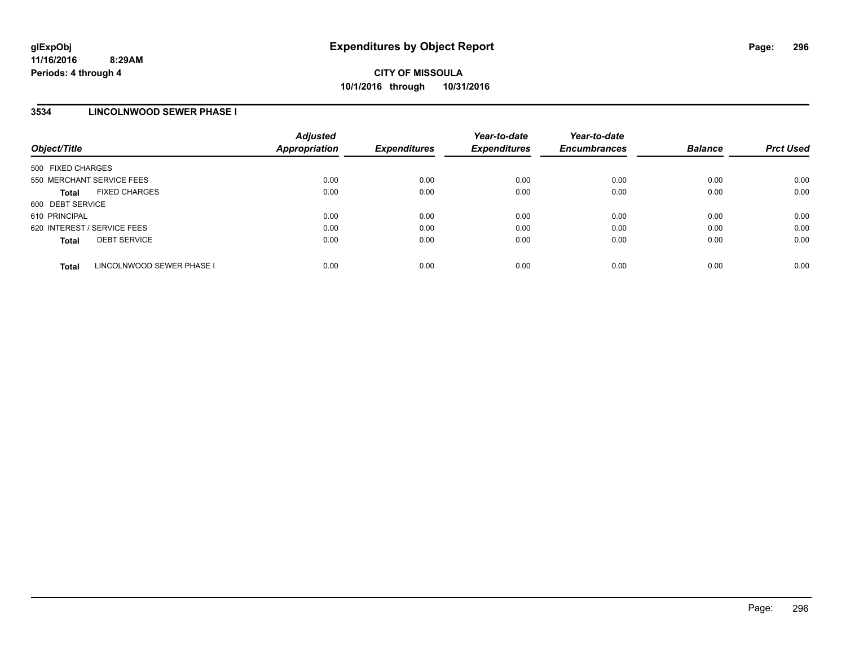## **3534 LINCOLNWOOD SEWER PHASE I**

| Object/Title                              | <b>Adjusted</b><br>Appropriation | <b>Expenditures</b> | Year-to-date<br><b>Expenditures</b> | Year-to-date<br><b>Encumbrances</b> | <b>Balance</b> | <b>Prct Used</b> |
|-------------------------------------------|----------------------------------|---------------------|-------------------------------------|-------------------------------------|----------------|------------------|
| 500 FIXED CHARGES                         |                                  |                     |                                     |                                     |                |                  |
| 550 MERCHANT SERVICE FEES                 | 0.00                             | 0.00                | 0.00                                | 0.00                                | 0.00           | 0.00             |
| <b>FIXED CHARGES</b><br><b>Total</b>      | 0.00                             | 0.00                | 0.00                                | 0.00                                | 0.00           | 0.00             |
| 600 DEBT SERVICE                          |                                  |                     |                                     |                                     |                |                  |
| 610 PRINCIPAL                             | 0.00                             | 0.00                | 0.00                                | 0.00                                | 0.00           | 0.00             |
| 620 INTEREST / SERVICE FEES               | 0.00                             | 0.00                | 0.00                                | 0.00                                | 0.00           | 0.00             |
| <b>DEBT SERVICE</b><br><b>Total</b>       | 0.00                             | 0.00                | 0.00                                | 0.00                                | 0.00           | 0.00             |
| LINCOLNWOOD SEWER PHASE I<br><b>Total</b> | 0.00                             | 0.00                | 0.00                                | 0.00                                | 0.00           | 0.00             |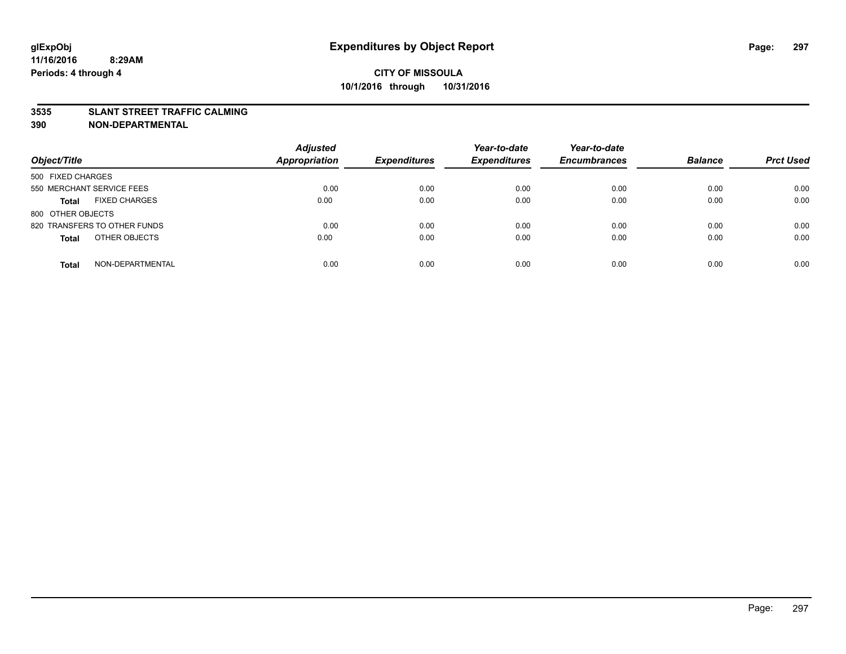### **3535 SLANT STREET TRAFFIC CALMING**

| Object/Title                         | <b>Adjusted</b><br><b>Appropriation</b> | <b>Expenditures</b> | Year-to-date<br><b>Expenditures</b> | Year-to-date<br><b>Encumbrances</b> | <b>Balance</b> | <b>Prct Used</b> |
|--------------------------------------|-----------------------------------------|---------------------|-------------------------------------|-------------------------------------|----------------|------------------|
|                                      |                                         |                     |                                     |                                     |                |                  |
| 500 FIXED CHARGES                    |                                         |                     |                                     |                                     |                |                  |
| 550 MERCHANT SERVICE FEES            | 0.00                                    | 0.00                | 0.00                                | 0.00                                | 0.00           | 0.00             |
| <b>FIXED CHARGES</b><br><b>Total</b> | 0.00                                    | 0.00                | 0.00                                | 0.00                                | 0.00           | 0.00             |
| 800 OTHER OBJECTS                    |                                         |                     |                                     |                                     |                |                  |
| 820 TRANSFERS TO OTHER FUNDS         | 0.00                                    | 0.00                | 0.00                                | 0.00                                | 0.00           | 0.00             |
| OTHER OBJECTS<br><b>Total</b>        | 0.00                                    | 0.00                | 0.00                                | 0.00                                | 0.00           | 0.00             |
|                                      |                                         |                     |                                     |                                     |                |                  |
| NON-DEPARTMENTAL<br><b>Total</b>     | 0.00                                    | 0.00                | 0.00                                | 0.00                                | 0.00           | 0.00             |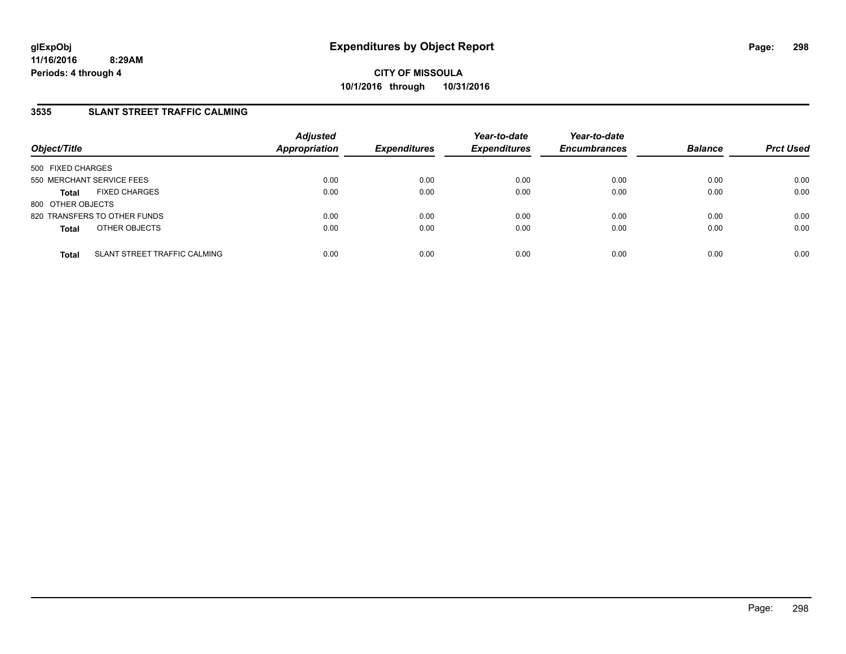## **3535 SLANT STREET TRAFFIC CALMING**

| Object/Title              |                              | <b>Adjusted</b><br>Appropriation | <b>Expenditures</b> | Year-to-date<br><b>Expenditures</b> | Year-to-date<br><b>Encumbrances</b> | <b>Balance</b> | <b>Prct Used</b> |
|---------------------------|------------------------------|----------------------------------|---------------------|-------------------------------------|-------------------------------------|----------------|------------------|
| 500 FIXED CHARGES         |                              |                                  |                     |                                     |                                     |                |                  |
| 550 MERCHANT SERVICE FEES |                              | 0.00                             | 0.00                | 0.00                                | 0.00                                | 0.00           | 0.00             |
| <b>Total</b>              | <b>FIXED CHARGES</b>         | 0.00                             | 0.00                | 0.00                                | 0.00                                | 0.00           | 0.00             |
| 800 OTHER OBJECTS         |                              |                                  |                     |                                     |                                     |                |                  |
|                           | 820 TRANSFERS TO OTHER FUNDS | 0.00                             | 0.00                | 0.00                                | 0.00                                | 0.00           | 0.00             |
| <b>Total</b>              | OTHER OBJECTS                | 0.00                             | 0.00                | 0.00                                | 0.00                                | 0.00           | 0.00             |
| <b>Total</b>              | SLANT STREET TRAFFIC CALMING | 0.00                             | 0.00                | 0.00                                | 0.00                                | 0.00           | 0.00             |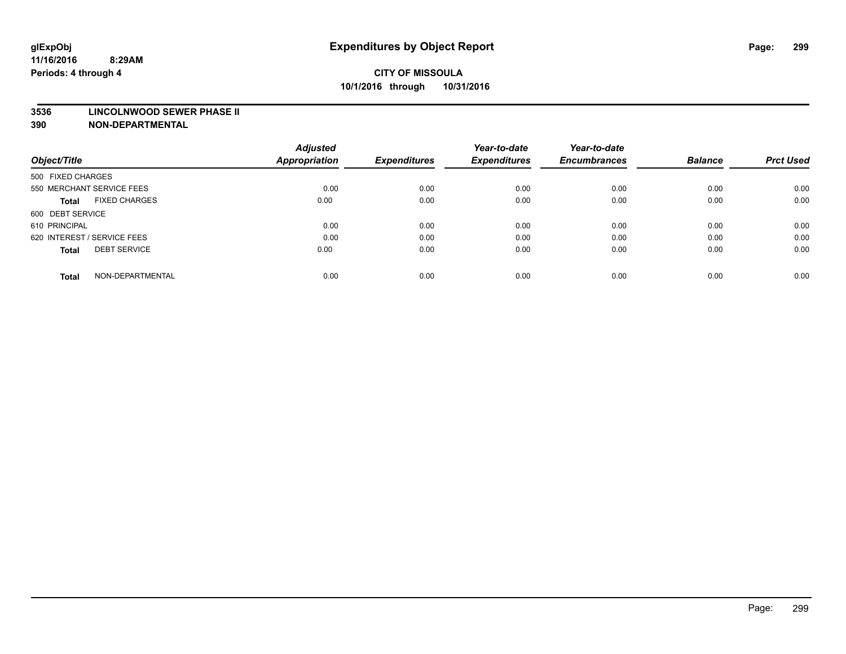#### **3536 LINCOLNWOOD SEWER PHASE II**

| Object/Title                         | <b>Adjusted</b><br><b>Appropriation</b> | <b>Expenditures</b> | Year-to-date<br><b>Expenditures</b> | Year-to-date<br><b>Encumbrances</b> | <b>Balance</b> | <b>Prct Used</b> |
|--------------------------------------|-----------------------------------------|---------------------|-------------------------------------|-------------------------------------|----------------|------------------|
|                                      |                                         |                     |                                     |                                     |                |                  |
| 500 FIXED CHARGES                    |                                         |                     |                                     |                                     |                |                  |
| 550 MERCHANT SERVICE FEES            | 0.00                                    | 0.00                | 0.00                                | 0.00                                | 0.00           | 0.00             |
| <b>FIXED CHARGES</b><br><b>Total</b> | 0.00                                    | 0.00                | 0.00                                | 0.00                                | 0.00           | 0.00             |
| 600 DEBT SERVICE                     |                                         |                     |                                     |                                     |                |                  |
| 610 PRINCIPAL                        | 0.00                                    | 0.00                | 0.00                                | 0.00                                | 0.00           | 0.00             |
| 620 INTEREST / SERVICE FEES          | 0.00                                    | 0.00                | 0.00                                | 0.00                                | 0.00           | 0.00             |
| <b>DEBT SERVICE</b><br><b>Total</b>  | 0.00                                    | 0.00                | 0.00                                | 0.00                                | 0.00           | 0.00             |
| NON-DEPARTMENTAL<br><b>Total</b>     | 0.00                                    | 0.00                | 0.00                                | 0.00                                | 0.00           | 0.00             |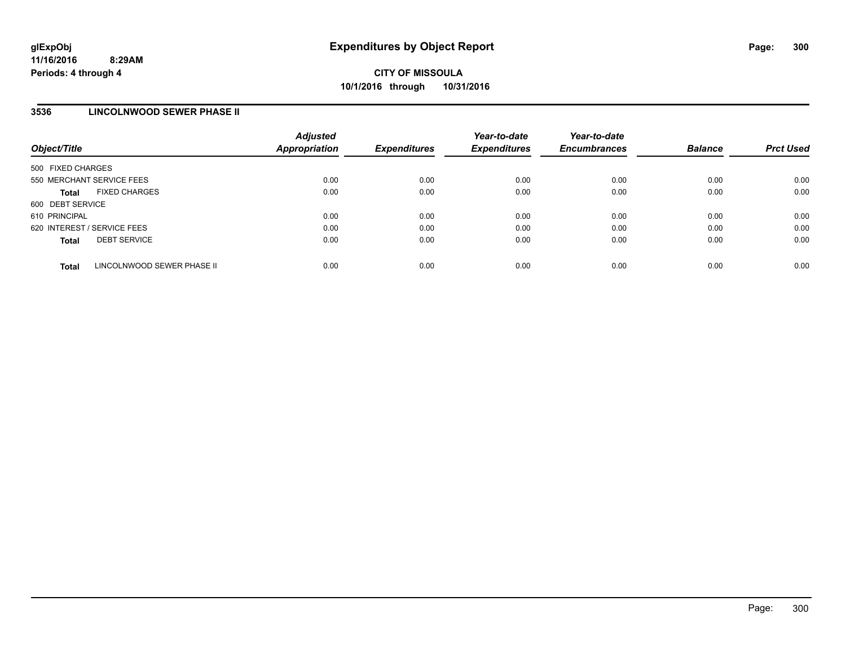## **3536 LINCOLNWOOD SEWER PHASE II**

| Object/Title                               | <b>Adjusted</b><br><b>Appropriation</b> | <b>Expenditures</b> | Year-to-date<br><b>Expenditures</b> | Year-to-date<br><b>Encumbrances</b> | <b>Balance</b> | <b>Prct Used</b> |
|--------------------------------------------|-----------------------------------------|---------------------|-------------------------------------|-------------------------------------|----------------|------------------|
| 500 FIXED CHARGES                          |                                         |                     |                                     |                                     |                |                  |
| 550 MERCHANT SERVICE FEES                  | 0.00                                    | 0.00                | 0.00                                | 0.00                                | 0.00           | 0.00             |
| <b>FIXED CHARGES</b><br><b>Total</b>       | 0.00                                    | 0.00                | 0.00                                | 0.00                                | 0.00           | 0.00             |
| 600 DEBT SERVICE                           |                                         |                     |                                     |                                     |                |                  |
| 610 PRINCIPAL                              | 0.00                                    | 0.00                | 0.00                                | 0.00                                | 0.00           | 0.00             |
| 620 INTEREST / SERVICE FEES                | 0.00                                    | 0.00                | 0.00                                | 0.00                                | 0.00           | 0.00             |
| <b>DEBT SERVICE</b><br><b>Total</b>        | 0.00                                    | 0.00                | 0.00                                | 0.00                                | 0.00           | 0.00             |
| LINCOLNWOOD SEWER PHASE II<br><b>Total</b> | 0.00                                    | 0.00                | 0.00                                | 0.00                                | 0.00           | 0.00             |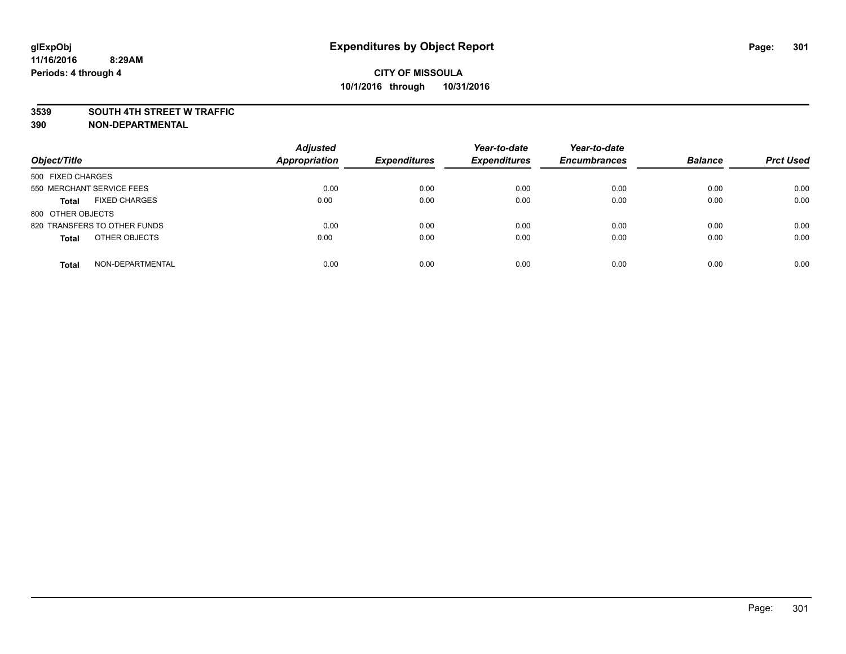#### **3539 SOUTH 4TH STREET W TRAFFIC**

| Object/Title                         | <b>Adjusted</b><br><b>Appropriation</b> | <b>Expenditures</b> | Year-to-date<br><b>Expenditures</b> | Year-to-date<br><b>Encumbrances</b> | <b>Balance</b> | <b>Prct Used</b> |
|--------------------------------------|-----------------------------------------|---------------------|-------------------------------------|-------------------------------------|----------------|------------------|
| 500 FIXED CHARGES                    |                                         |                     |                                     |                                     |                |                  |
| 550 MERCHANT SERVICE FEES            | 0.00                                    | 0.00                | 0.00                                | 0.00                                | 0.00           | 0.00             |
| <b>FIXED CHARGES</b><br><b>Total</b> | 0.00                                    | 0.00                | 0.00                                | 0.00                                | 0.00           | 0.00             |
| 800 OTHER OBJECTS                    |                                         |                     |                                     |                                     |                |                  |
| 820 TRANSFERS TO OTHER FUNDS         | 0.00                                    | 0.00                | 0.00                                | 0.00                                | 0.00           | 0.00             |
| OTHER OBJECTS<br><b>Total</b>        | 0.00                                    | 0.00                | 0.00                                | 0.00                                | 0.00           | 0.00             |
| NON-DEPARTMENTAL<br><b>Total</b>     | 0.00                                    | 0.00                | 0.00                                | 0.00                                | 0.00           | 0.00             |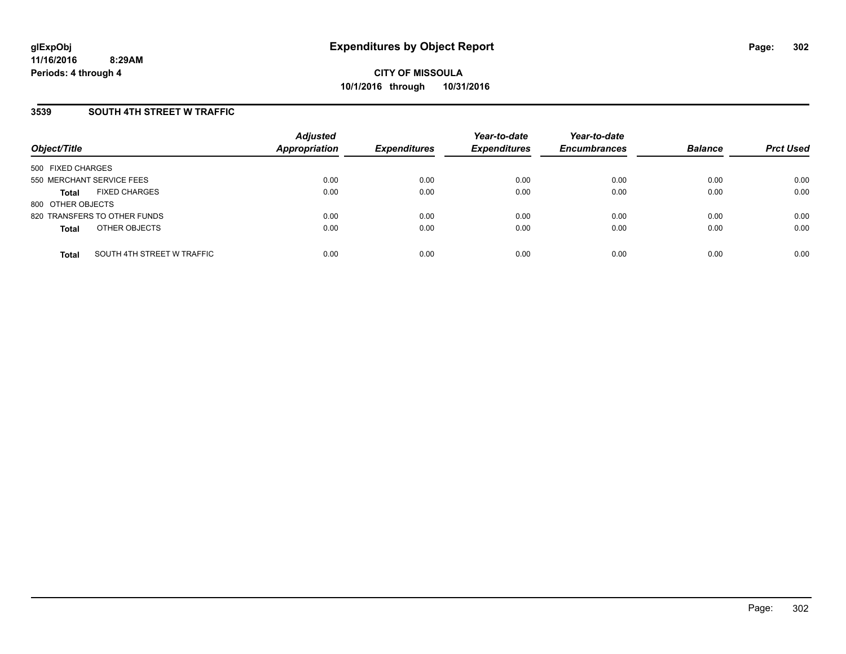### **3539 SOUTH 4TH STREET W TRAFFIC**

| Object/Title              |                              | <b>Adjusted</b><br><b>Appropriation</b> | <b>Expenditures</b> | Year-to-date<br><b>Expenditures</b> | Year-to-date<br><b>Encumbrances</b> | <b>Balance</b> | <b>Prct Used</b> |
|---------------------------|------------------------------|-----------------------------------------|---------------------|-------------------------------------|-------------------------------------|----------------|------------------|
| 500 FIXED CHARGES         |                              |                                         |                     |                                     |                                     |                |                  |
| 550 MERCHANT SERVICE FEES |                              | 0.00                                    | 0.00                | 0.00                                | 0.00                                | 0.00           | 0.00             |
| <b>Total</b>              | <b>FIXED CHARGES</b>         | 0.00                                    | 0.00                | 0.00                                | 0.00                                | 0.00           | 0.00             |
| 800 OTHER OBJECTS         |                              |                                         |                     |                                     |                                     |                |                  |
|                           | 820 TRANSFERS TO OTHER FUNDS | 0.00                                    | 0.00                | 0.00                                | 0.00                                | 0.00           | 0.00             |
| <b>Total</b>              | OTHER OBJECTS                | 0.00                                    | 0.00                | 0.00                                | 0.00                                | 0.00           | 0.00             |
| <b>Total</b>              | SOUTH 4TH STREET W TRAFFIC   | 0.00                                    | 0.00                | 0.00                                | 0.00                                | 0.00           | 0.00             |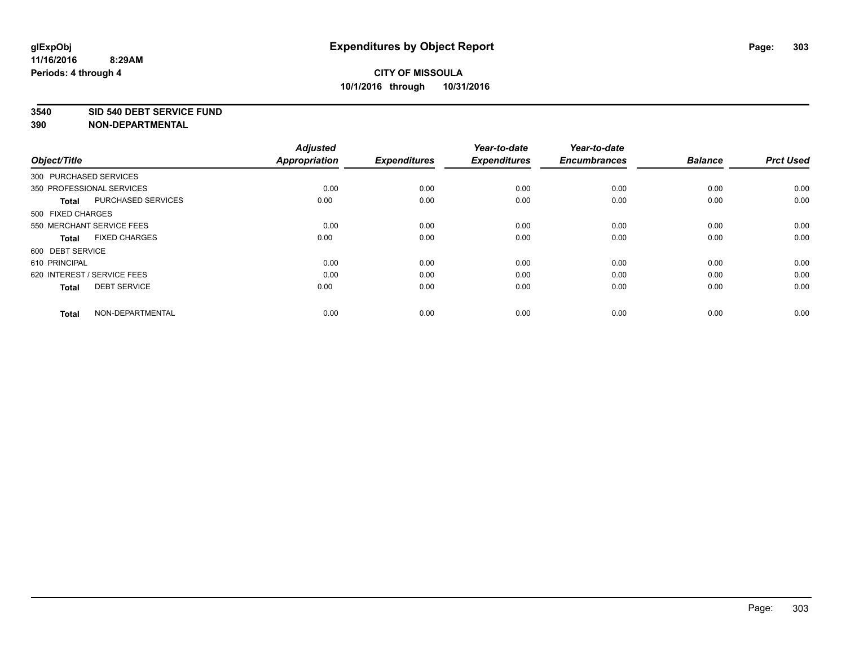**3540 SID 540 DEBT SERVICE FUND**

| Object/Title           |                             | <b>Adjusted</b><br><b>Appropriation</b> | <b>Expenditures</b> | Year-to-date<br><b>Expenditures</b> | Year-to-date<br><b>Encumbrances</b> | <b>Balance</b> | <b>Prct Used</b> |
|------------------------|-----------------------------|-----------------------------------------|---------------------|-------------------------------------|-------------------------------------|----------------|------------------|
| 300 PURCHASED SERVICES |                             |                                         |                     |                                     |                                     |                |                  |
|                        | 350 PROFESSIONAL SERVICES   | 0.00                                    | 0.00                | 0.00                                | 0.00                                | 0.00           | 0.00             |
| <b>Total</b>           | <b>PURCHASED SERVICES</b>   | 0.00                                    | 0.00                | 0.00                                | 0.00                                | 0.00           | 0.00             |
| 500 FIXED CHARGES      |                             |                                         |                     |                                     |                                     |                |                  |
|                        | 550 MERCHANT SERVICE FEES   | 0.00                                    | 0.00                | 0.00                                | 0.00                                | 0.00           | 0.00             |
| <b>Total</b>           | <b>FIXED CHARGES</b>        | 0.00                                    | 0.00                | 0.00                                | 0.00                                | 0.00           | 0.00             |
| 600 DEBT SERVICE       |                             |                                         |                     |                                     |                                     |                |                  |
| 610 PRINCIPAL          |                             | 0.00                                    | 0.00                | 0.00                                | 0.00                                | 0.00           | 0.00             |
|                        | 620 INTEREST / SERVICE FEES | 0.00                                    | 0.00                | 0.00                                | 0.00                                | 0.00           | 0.00             |
| <b>Total</b>           | <b>DEBT SERVICE</b>         | 0.00                                    | 0.00                | 0.00                                | 0.00                                | 0.00           | 0.00             |
| <b>Total</b>           | NON-DEPARTMENTAL            | 0.00                                    | 0.00                | 0.00                                | 0.00                                | 0.00           | 0.00             |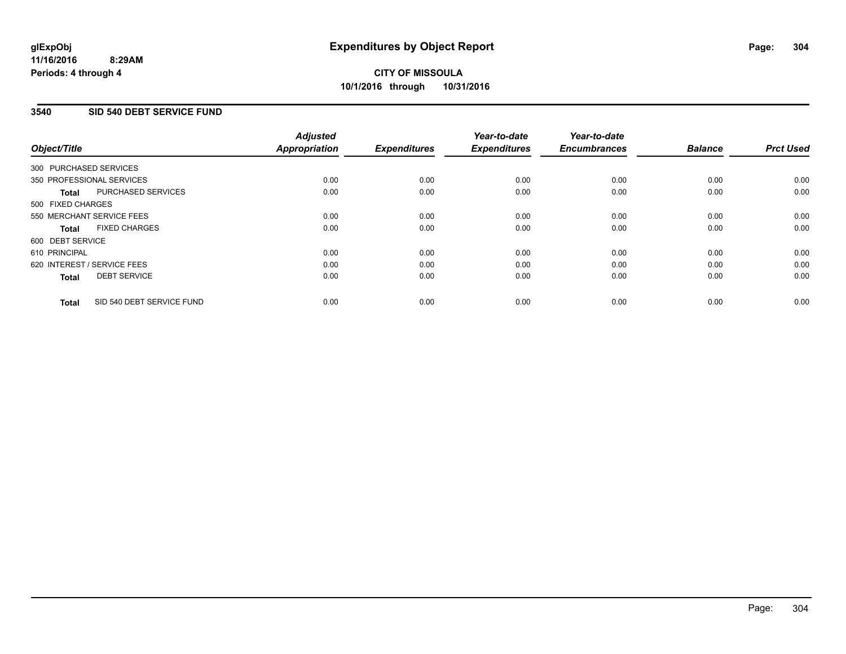## **CITY OF MISSOULA 10/1/2016 through 10/31/2016**

### **3540 SID 540 DEBT SERVICE FUND**

|                   |                             | <b>Adjusted</b>      |                     | Year-to-date        | Year-to-date        |                |                  |
|-------------------|-----------------------------|----------------------|---------------------|---------------------|---------------------|----------------|------------------|
| Object/Title      |                             | <b>Appropriation</b> | <b>Expenditures</b> | <b>Expenditures</b> | <b>Encumbrances</b> | <b>Balance</b> | <b>Prct Used</b> |
|                   | 300 PURCHASED SERVICES      |                      |                     |                     |                     |                |                  |
|                   | 350 PROFESSIONAL SERVICES   | 0.00                 | 0.00                | 0.00                | 0.00                | 0.00           | 0.00             |
| <b>Total</b>      | PURCHASED SERVICES          | 0.00                 | 0.00                | 0.00                | 0.00                | 0.00           | 0.00             |
| 500 FIXED CHARGES |                             |                      |                     |                     |                     |                |                  |
|                   | 550 MERCHANT SERVICE FEES   | 0.00                 | 0.00                | 0.00                | 0.00                | 0.00           | 0.00             |
| <b>Total</b>      | <b>FIXED CHARGES</b>        | 0.00                 | 0.00                | 0.00                | 0.00                | 0.00           | 0.00             |
| 600 DEBT SERVICE  |                             |                      |                     |                     |                     |                |                  |
| 610 PRINCIPAL     |                             | 0.00                 | 0.00                | 0.00                | 0.00                | 0.00           | 0.00             |
|                   | 620 INTEREST / SERVICE FEES | 0.00                 | 0.00                | 0.00                | 0.00                | 0.00           | 0.00             |
| <b>Total</b>      | <b>DEBT SERVICE</b>         | 0.00                 | 0.00                | 0.00                | 0.00                | 0.00           | 0.00             |
| <b>Total</b>      | SID 540 DEBT SERVICE FUND   | 0.00                 | 0.00                | 0.00                | 0.00                | 0.00           | 0.00             |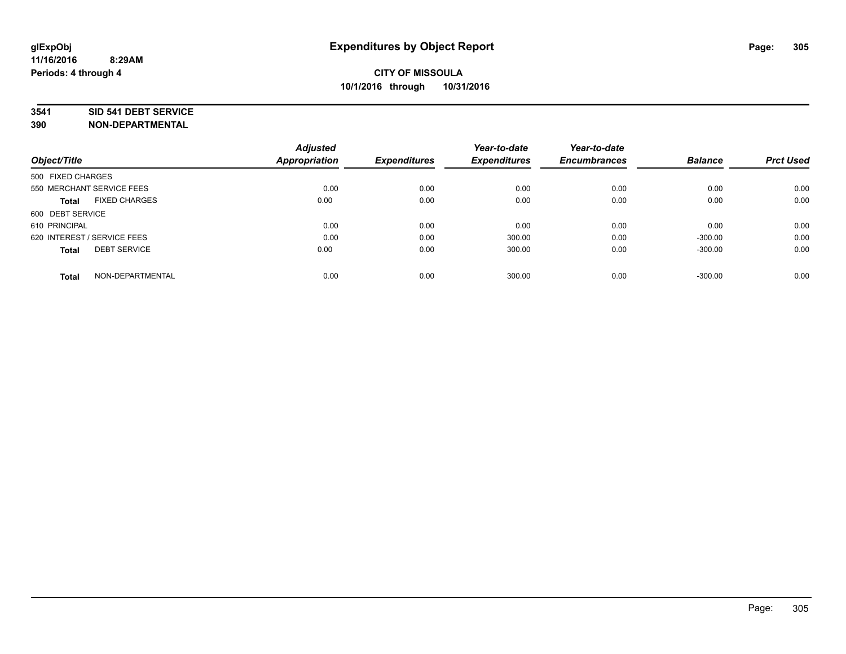### **3541 SID 541 DEBT SERVICE**

|                                      | <b>Adjusted</b> |                     | Year-to-date        | Year-to-date        |                |                  |
|--------------------------------------|-----------------|---------------------|---------------------|---------------------|----------------|------------------|
| Object/Title                         | Appropriation   | <b>Expenditures</b> | <b>Expenditures</b> | <b>Encumbrances</b> | <b>Balance</b> | <b>Prct Used</b> |
| 500 FIXED CHARGES                    |                 |                     |                     |                     |                |                  |
| 550 MERCHANT SERVICE FEES            | 0.00            | 0.00                | 0.00                | 0.00                | 0.00           | 0.00             |
| <b>FIXED CHARGES</b><br><b>Total</b> | 0.00            | 0.00                | 0.00                | 0.00                | 0.00           | 0.00             |
| 600 DEBT SERVICE                     |                 |                     |                     |                     |                |                  |
| 610 PRINCIPAL                        | 0.00            | 0.00                | 0.00                | 0.00                | 0.00           | 0.00             |
| 620 INTEREST / SERVICE FEES          | 0.00            | 0.00                | 300.00              | 0.00                | $-300.00$      | 0.00             |
| <b>DEBT SERVICE</b><br><b>Total</b>  | 0.00            | 0.00                | 300.00              | 0.00                | $-300.00$      | 0.00             |
| NON-DEPARTMENTAL<br><b>Total</b>     | 0.00            | 0.00                | 300.00              | 0.00                | $-300.00$      | 0.00             |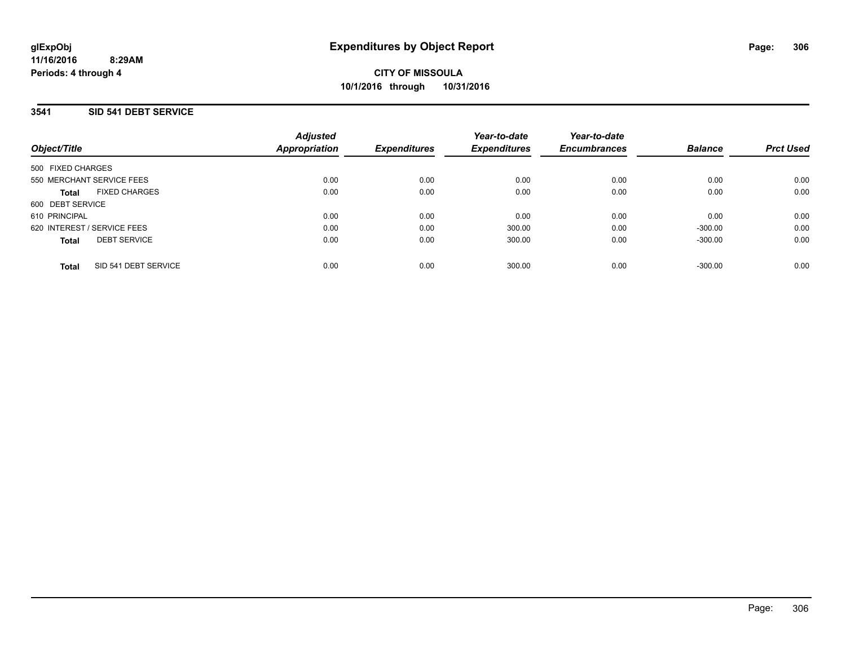### **3541 SID 541 DEBT SERVICE**

| Object/Title                         | <b>Adjusted</b><br><b>Appropriation</b> | <b>Expenditures</b> | Year-to-date<br><b>Expenditures</b> | Year-to-date<br><b>Encumbrances</b> | <b>Balance</b> | <b>Prct Used</b> |
|--------------------------------------|-----------------------------------------|---------------------|-------------------------------------|-------------------------------------|----------------|------------------|
| 500 FIXED CHARGES                    |                                         |                     |                                     |                                     |                |                  |
| 550 MERCHANT SERVICE FEES            | 0.00                                    | 0.00                | 0.00                                | 0.00                                | 0.00           | 0.00             |
| <b>FIXED CHARGES</b><br><b>Total</b> | 0.00                                    | 0.00                | 0.00                                | 0.00                                | 0.00           | 0.00             |
| 600 DEBT SERVICE                     |                                         |                     |                                     |                                     |                |                  |
| 610 PRINCIPAL                        | 0.00                                    | 0.00                | 0.00                                | 0.00                                | 0.00           | 0.00             |
| 620 INTEREST / SERVICE FEES          | 0.00                                    | 0.00                | 300.00                              | 0.00                                | $-300.00$      | 0.00             |
| <b>DEBT SERVICE</b><br><b>Total</b>  | 0.00                                    | 0.00                | 300.00                              | 0.00                                | $-300.00$      | 0.00             |
| SID 541 DEBT SERVICE<br>Total        | 0.00                                    | 0.00                | 300.00                              | 0.00                                | $-300.00$      | 0.00             |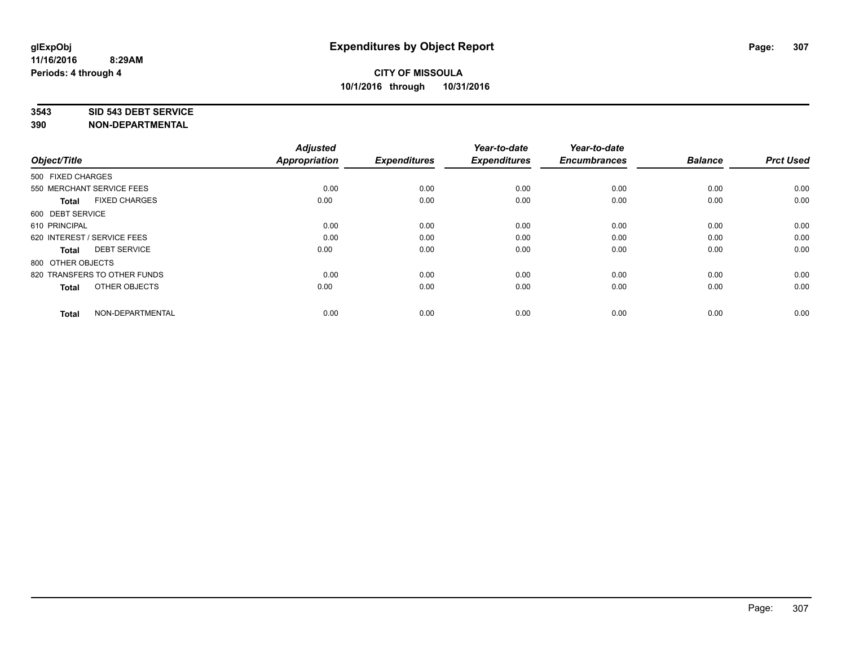#### **3543 SID 543 DEBT SERVICE**

| Object/Title                         | <b>Adjusted</b><br><b>Appropriation</b> | <b>Expenditures</b> | Year-to-date<br><b>Expenditures</b> | Year-to-date<br><b>Encumbrances</b> | <b>Balance</b> | <b>Prct Used</b> |
|--------------------------------------|-----------------------------------------|---------------------|-------------------------------------|-------------------------------------|----------------|------------------|
| 500 FIXED CHARGES                    |                                         |                     |                                     |                                     |                |                  |
| 550 MERCHANT SERVICE FEES            | 0.00                                    | 0.00                | 0.00                                | 0.00                                | 0.00           | 0.00             |
| <b>FIXED CHARGES</b><br><b>Total</b> | 0.00                                    | 0.00                | 0.00                                | 0.00                                | 0.00           | 0.00             |
| 600 DEBT SERVICE                     |                                         |                     |                                     |                                     |                |                  |
| 610 PRINCIPAL                        | 0.00                                    | 0.00                | 0.00                                | 0.00                                | 0.00           | 0.00             |
| 620 INTEREST / SERVICE FEES          | 0.00                                    | 0.00                | 0.00                                | 0.00                                | 0.00           | 0.00             |
| <b>DEBT SERVICE</b><br><b>Total</b>  | 0.00                                    | 0.00                | 0.00                                | 0.00                                | 0.00           | 0.00             |
| 800 OTHER OBJECTS                    |                                         |                     |                                     |                                     |                |                  |
| 820 TRANSFERS TO OTHER FUNDS         | 0.00                                    | 0.00                | 0.00                                | 0.00                                | 0.00           | 0.00             |
| OTHER OBJECTS<br><b>Total</b>        | 0.00                                    | 0.00                | 0.00                                | 0.00                                | 0.00           | 0.00             |
|                                      |                                         |                     |                                     |                                     |                |                  |
| NON-DEPARTMENTAL<br><b>Total</b>     | 0.00                                    | 0.00                | 0.00                                | 0.00                                | 0.00           | 0.00             |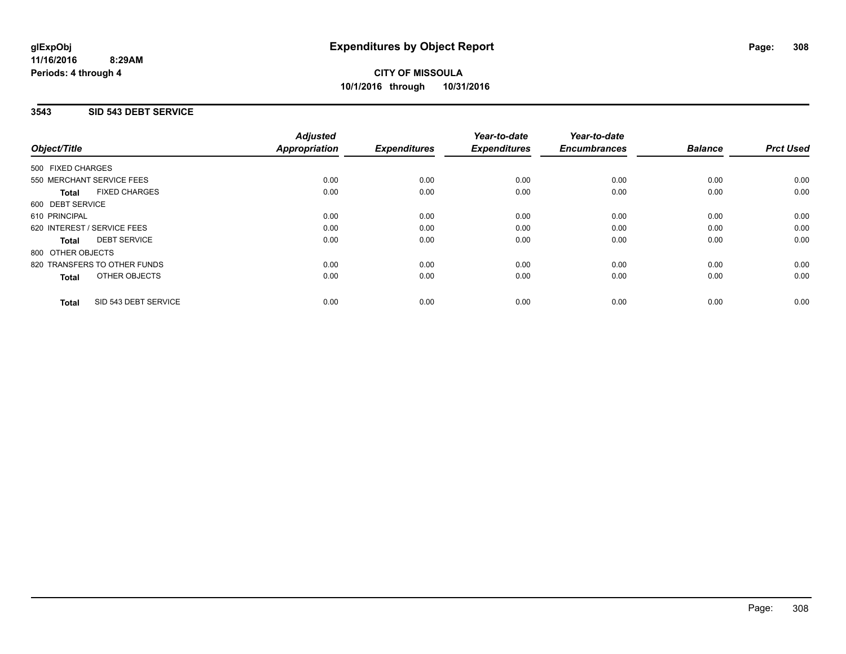# **CITY OF MISSOULA 10/1/2016 through 10/31/2016**

## **3543 SID 543 DEBT SERVICE**

| Object/Title                         | <b>Adjusted</b><br><b>Appropriation</b> | <b>Expenditures</b> | Year-to-date<br><b>Expenditures</b> | Year-to-date<br><b>Encumbrances</b> | <b>Balance</b> | <b>Prct Used</b> |
|--------------------------------------|-----------------------------------------|---------------------|-------------------------------------|-------------------------------------|----------------|------------------|
| 500 FIXED CHARGES                    |                                         |                     |                                     |                                     |                |                  |
| 550 MERCHANT SERVICE FEES            | 0.00                                    | 0.00                | 0.00                                | 0.00                                | 0.00           | 0.00             |
| <b>FIXED CHARGES</b><br><b>Total</b> | 0.00                                    | 0.00                | 0.00                                | 0.00                                | 0.00           | 0.00             |
| 600 DEBT SERVICE                     |                                         |                     |                                     |                                     |                |                  |
| 610 PRINCIPAL                        | 0.00                                    | 0.00                | 0.00                                | 0.00                                | 0.00           | 0.00             |
| 620 INTEREST / SERVICE FEES          | 0.00                                    | 0.00                | 0.00                                | 0.00                                | 0.00           | 0.00             |
| <b>DEBT SERVICE</b><br><b>Total</b>  | 0.00                                    | 0.00                | 0.00                                | 0.00                                | 0.00           | 0.00             |
| 800 OTHER OBJECTS                    |                                         |                     |                                     |                                     |                |                  |
| 820 TRANSFERS TO OTHER FUNDS         | 0.00                                    | 0.00                | 0.00                                | 0.00                                | 0.00           | 0.00             |
| OTHER OBJECTS<br><b>Total</b>        | 0.00                                    | 0.00                | 0.00                                | 0.00                                | 0.00           | 0.00             |
| SID 543 DEBT SERVICE<br><b>Total</b> | 0.00                                    | 0.00                | 0.00                                | 0.00                                | 0.00           | 0.00             |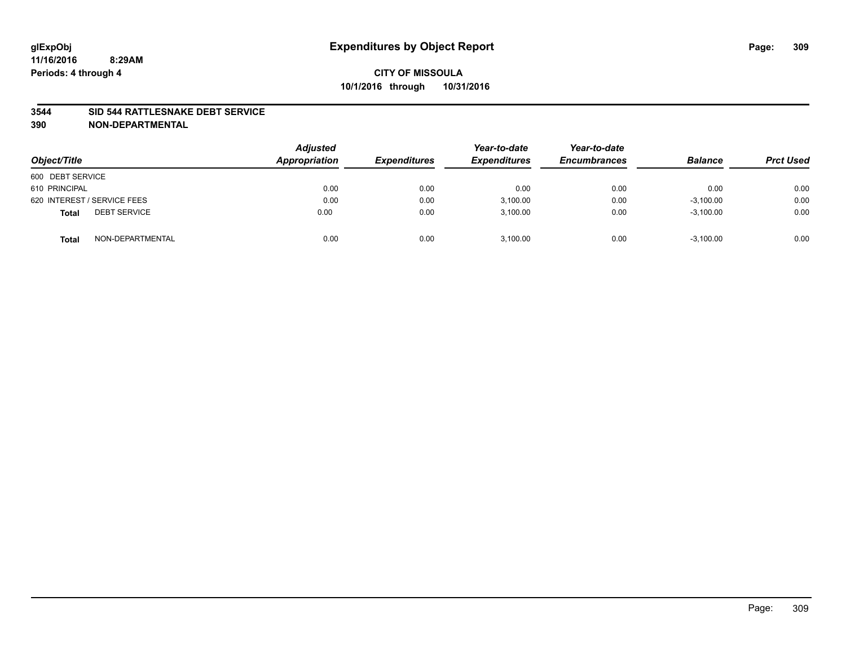### **3544 SID 544 RATTLESNAKE DEBT SERVICE**

| Object/Title                        | <b>Adjusted</b><br>Appropriation | <b>Expenditures</b> | Year-to-date<br><b>Expenditures</b> | Year-to-date<br><b>Encumbrances</b> | <b>Balance</b> | <b>Prct Used</b> |
|-------------------------------------|----------------------------------|---------------------|-------------------------------------|-------------------------------------|----------------|------------------|
| 600 DEBT SERVICE                    |                                  |                     |                                     |                                     |                |                  |
| 610 PRINCIPAL                       | 0.00                             | 0.00                | 0.00                                | 0.00                                | 0.00           | 0.00             |
| 620 INTEREST / SERVICE FEES         | 0.00                             | 0.00                | 3,100.00                            | 0.00                                | $-3,100.00$    | 0.00             |
| <b>DEBT SERVICE</b><br><b>Total</b> | 0.00                             | 0.00                | 3.100.00                            | 0.00                                | $-3,100.00$    | 0.00             |
| NON-DEPARTMENTAL<br><b>Total</b>    | 0.00                             | 0.00                | 3,100.00                            | 0.00                                | $-3,100.00$    | 0.00             |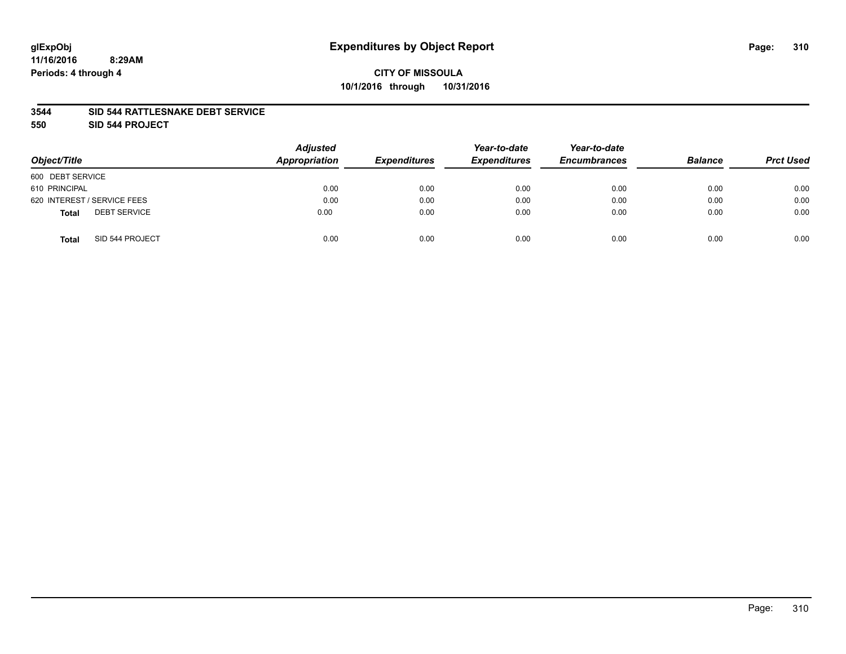### **3544 SID 544 RATTLESNAKE DEBT SERVICE**

**550 SID 544 PROJECT**

| Object/Title                        | <b>Adjusted</b><br>Appropriation | <b>Expenditures</b> | Year-to-date<br><b>Expenditures</b> | Year-to-date<br><b>Encumbrances</b> | <b>Balance</b> | <b>Prct Used</b> |
|-------------------------------------|----------------------------------|---------------------|-------------------------------------|-------------------------------------|----------------|------------------|
| 600 DEBT SERVICE                    |                                  |                     |                                     |                                     |                |                  |
| 610 PRINCIPAL                       | 0.00                             | 0.00                | 0.00                                | 0.00                                | 0.00           | 0.00             |
| 620 INTEREST / SERVICE FEES         | 0.00                             | 0.00                | 0.00                                | 0.00                                | 0.00           | 0.00             |
| <b>DEBT SERVICE</b><br><b>Total</b> | 0.00                             | 0.00                | 0.00                                | 0.00                                | 0.00           | 0.00             |
| SID 544 PROJECT<br><b>Total</b>     | 0.00                             | 0.00                | 0.00                                | 0.00                                | 0.00           | 0.00             |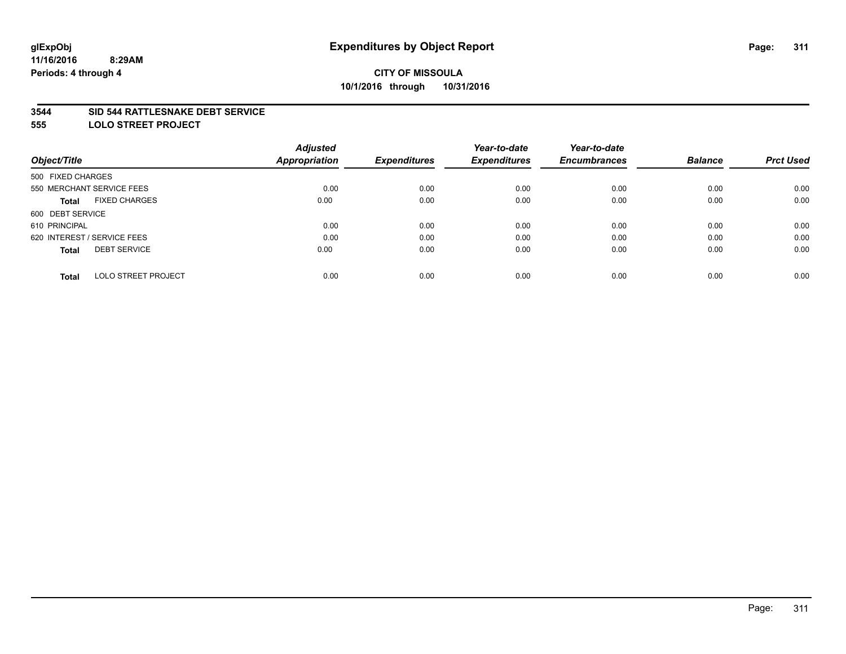#### **3544 SID 544 RATTLESNAKE DEBT SERVICE**

**555 LOLO STREET PROJECT**

|                                            | <b>Adjusted</b>      |                     | Year-to-date        | Year-to-date        |                |                  |
|--------------------------------------------|----------------------|---------------------|---------------------|---------------------|----------------|------------------|
| Object/Title                               | <b>Appropriation</b> | <b>Expenditures</b> | <b>Expenditures</b> | <b>Encumbrances</b> | <b>Balance</b> | <b>Prct Used</b> |
| 500 FIXED CHARGES                          |                      |                     |                     |                     |                |                  |
| 550 MERCHANT SERVICE FEES                  | 0.00                 | 0.00                | 0.00                | 0.00                | 0.00           | 0.00             |
| <b>FIXED CHARGES</b><br><b>Total</b>       | 0.00                 | 0.00                | 0.00                | 0.00                | 0.00           | 0.00             |
| 600 DEBT SERVICE                           |                      |                     |                     |                     |                |                  |
| 610 PRINCIPAL                              | 0.00                 | 0.00                | 0.00                | 0.00                | 0.00           | 0.00             |
| 620 INTEREST / SERVICE FEES                | 0.00                 | 0.00                | 0.00                | 0.00                | 0.00           | 0.00             |
| <b>DEBT SERVICE</b><br><b>Total</b>        | 0.00                 | 0.00                | 0.00                | 0.00                | 0.00           | 0.00             |
| <b>LOLO STREET PROJECT</b><br><b>Total</b> | 0.00                 | 0.00                | 0.00                | 0.00                | 0.00           | 0.00             |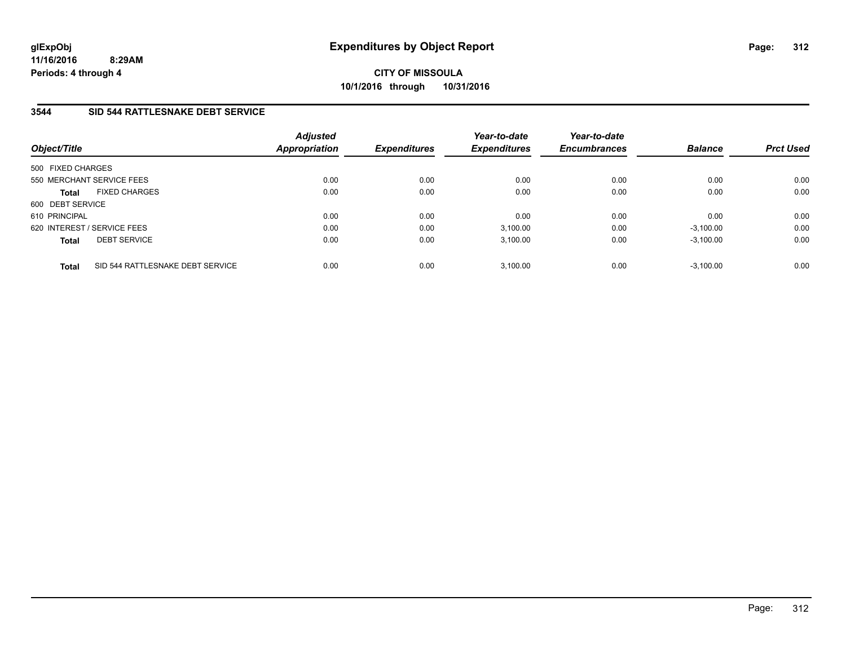**CITY OF MISSOULA 10/1/2016 through 10/31/2016**

## **3544 SID 544 RATTLESNAKE DEBT SERVICE**

| Object/Title                |                                  | <b>Adjusted</b><br><b>Appropriation</b> | <b>Expenditures</b> | Year-to-date<br><b>Expenditures</b> | Year-to-date<br><b>Encumbrances</b> | <b>Balance</b> | <b>Prct Used</b> |
|-----------------------------|----------------------------------|-----------------------------------------|---------------------|-------------------------------------|-------------------------------------|----------------|------------------|
| 500 FIXED CHARGES           |                                  |                                         |                     |                                     |                                     |                |                  |
|                             | 550 MERCHANT SERVICE FEES        | 0.00                                    | 0.00                | 0.00                                | 0.00                                | 0.00           | 0.00             |
| <b>Total</b>                | <b>FIXED CHARGES</b>             | 0.00                                    | 0.00                | 0.00                                | 0.00                                | 0.00           | 0.00             |
| 600 DEBT SERVICE            |                                  |                                         |                     |                                     |                                     |                |                  |
| 610 PRINCIPAL               |                                  | 0.00                                    | 0.00                | 0.00                                | 0.00                                | 0.00           | 0.00             |
| 620 INTEREST / SERVICE FEES |                                  | 0.00                                    | 0.00                | 3,100.00                            | 0.00                                | $-3,100.00$    | 0.00             |
| <b>Total</b>                | <b>DEBT SERVICE</b>              | 0.00                                    | 0.00                | 3.100.00                            | 0.00                                | $-3,100.00$    | 0.00             |
| <b>Total</b>                | SID 544 RATTLESNAKE DEBT SERVICE | 0.00                                    | 0.00                | 3.100.00                            | 0.00                                | $-3.100.00$    | 0.00             |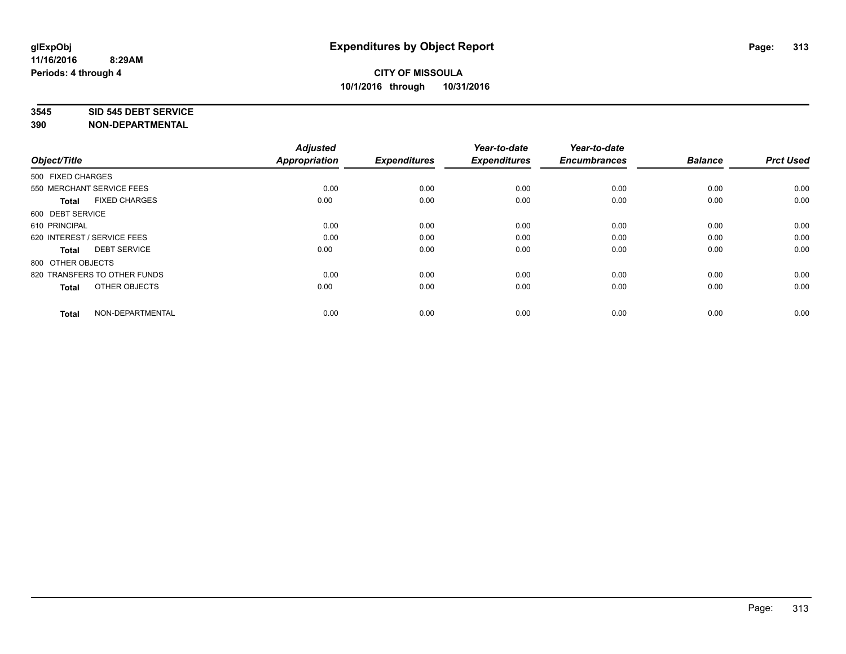#### **3545 SID 545 DEBT SERVICE**

| Object/Title                         | <b>Adjusted</b><br><b>Appropriation</b> | <b>Expenditures</b> | Year-to-date<br><b>Expenditures</b> | Year-to-date<br><b>Encumbrances</b> | <b>Balance</b> | <b>Prct Used</b> |
|--------------------------------------|-----------------------------------------|---------------------|-------------------------------------|-------------------------------------|----------------|------------------|
| 500 FIXED CHARGES                    |                                         |                     |                                     |                                     |                |                  |
| 550 MERCHANT SERVICE FEES            | 0.00                                    | 0.00                | 0.00                                | 0.00                                | 0.00           | 0.00             |
| <b>FIXED CHARGES</b><br><b>Total</b> | 0.00                                    | 0.00                | 0.00                                | 0.00                                | 0.00           | 0.00             |
| 600 DEBT SERVICE                     |                                         |                     |                                     |                                     |                |                  |
| 610 PRINCIPAL                        | 0.00                                    | 0.00                | 0.00                                | 0.00                                | 0.00           | 0.00             |
| 620 INTEREST / SERVICE FEES          | 0.00                                    | 0.00                | 0.00                                | 0.00                                | 0.00           | 0.00             |
| <b>DEBT SERVICE</b><br><b>Total</b>  | 0.00                                    | 0.00                | 0.00                                | 0.00                                | 0.00           | 0.00             |
| 800 OTHER OBJECTS                    |                                         |                     |                                     |                                     |                |                  |
| 820 TRANSFERS TO OTHER FUNDS         | 0.00                                    | 0.00                | 0.00                                | 0.00                                | 0.00           | 0.00             |
| OTHER OBJECTS<br><b>Total</b>        | 0.00                                    | 0.00                | 0.00                                | 0.00                                | 0.00           | 0.00             |
|                                      |                                         |                     |                                     |                                     |                |                  |
| NON-DEPARTMENTAL<br><b>Total</b>     | 0.00                                    | 0.00                | 0.00                                | 0.00                                | 0.00           | 0.00             |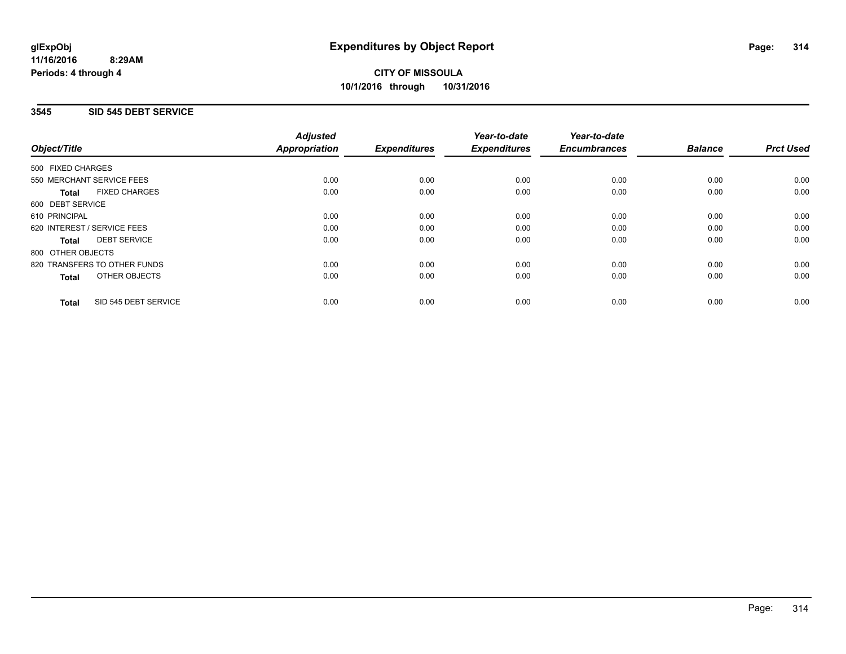## **CITY OF MISSOULA 10/1/2016 through 10/31/2016**

## **3545 SID 545 DEBT SERVICE**

|                                      | <b>Adjusted</b>      |                     | Year-to-date        | Year-to-date        |                |                  |
|--------------------------------------|----------------------|---------------------|---------------------|---------------------|----------------|------------------|
| Object/Title                         | <b>Appropriation</b> | <b>Expenditures</b> | <b>Expenditures</b> | <b>Encumbrances</b> | <b>Balance</b> | <b>Prct Used</b> |
| 500 FIXED CHARGES                    |                      |                     |                     |                     |                |                  |
| 550 MERCHANT SERVICE FEES            | 0.00                 | 0.00                | 0.00                | 0.00                | 0.00           | 0.00             |
| <b>FIXED CHARGES</b><br><b>Total</b> | 0.00                 | 0.00                | 0.00                | 0.00                | 0.00           | 0.00             |
| 600 DEBT SERVICE                     |                      |                     |                     |                     |                |                  |
| 610 PRINCIPAL                        | 0.00                 | 0.00                | 0.00                | 0.00                | 0.00           | 0.00             |
| 620 INTEREST / SERVICE FEES          | 0.00                 | 0.00                | 0.00                | 0.00                | 0.00           | 0.00             |
| <b>DEBT SERVICE</b><br><b>Total</b>  | 0.00                 | 0.00                | 0.00                | 0.00                | 0.00           | 0.00             |
| 800 OTHER OBJECTS                    |                      |                     |                     |                     |                |                  |
| 820 TRANSFERS TO OTHER FUNDS         | 0.00                 | 0.00                | 0.00                | 0.00                | 0.00           | 0.00             |
| <b>OTHER OBJECTS</b><br><b>Total</b> | 0.00                 | 0.00                | 0.00                | 0.00                | 0.00           | 0.00             |
| SID 545 DEBT SERVICE<br><b>Total</b> | 0.00                 | 0.00                | 0.00                | 0.00                | 0.00           | 0.00             |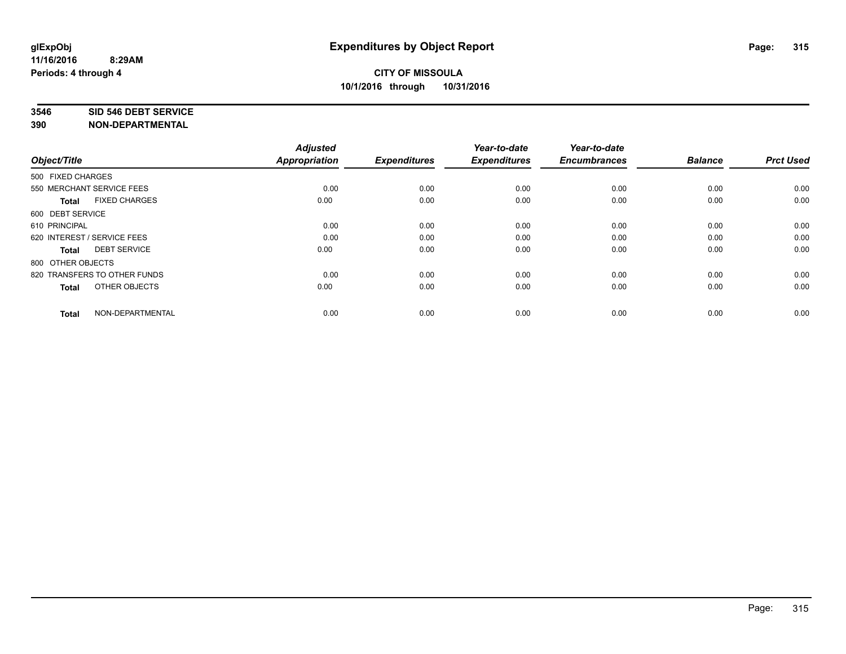#### **3546 SID 546 DEBT SERVICE**

| Object/Title                         | <b>Adjusted</b><br><b>Appropriation</b> | <b>Expenditures</b> | Year-to-date<br><b>Expenditures</b> | Year-to-date<br><b>Encumbrances</b> | <b>Balance</b> | <b>Prct Used</b> |
|--------------------------------------|-----------------------------------------|---------------------|-------------------------------------|-------------------------------------|----------------|------------------|
| 500 FIXED CHARGES                    |                                         |                     |                                     |                                     |                |                  |
| 550 MERCHANT SERVICE FEES            | 0.00                                    | 0.00                | 0.00                                | 0.00                                | 0.00           | 0.00             |
| <b>FIXED CHARGES</b><br><b>Total</b> | 0.00                                    | 0.00                | 0.00                                | 0.00                                | 0.00           | 0.00             |
| 600 DEBT SERVICE                     |                                         |                     |                                     |                                     |                |                  |
| 610 PRINCIPAL                        | 0.00                                    | 0.00                | 0.00                                | 0.00                                | 0.00           | 0.00             |
| 620 INTEREST / SERVICE FEES          | 0.00                                    | 0.00                | 0.00                                | 0.00                                | 0.00           | 0.00             |
| <b>DEBT SERVICE</b><br><b>Total</b>  | 0.00                                    | 0.00                | 0.00                                | 0.00                                | 0.00           | 0.00             |
| 800 OTHER OBJECTS                    |                                         |                     |                                     |                                     |                |                  |
| 820 TRANSFERS TO OTHER FUNDS         | 0.00                                    | 0.00                | 0.00                                | 0.00                                | 0.00           | 0.00             |
| OTHER OBJECTS<br><b>Total</b>        | 0.00                                    | 0.00                | 0.00                                | 0.00                                | 0.00           | 0.00             |
|                                      |                                         |                     |                                     |                                     |                |                  |
| NON-DEPARTMENTAL<br><b>Total</b>     | 0.00                                    | 0.00                | 0.00                                | 0.00                                | 0.00           | 0.00             |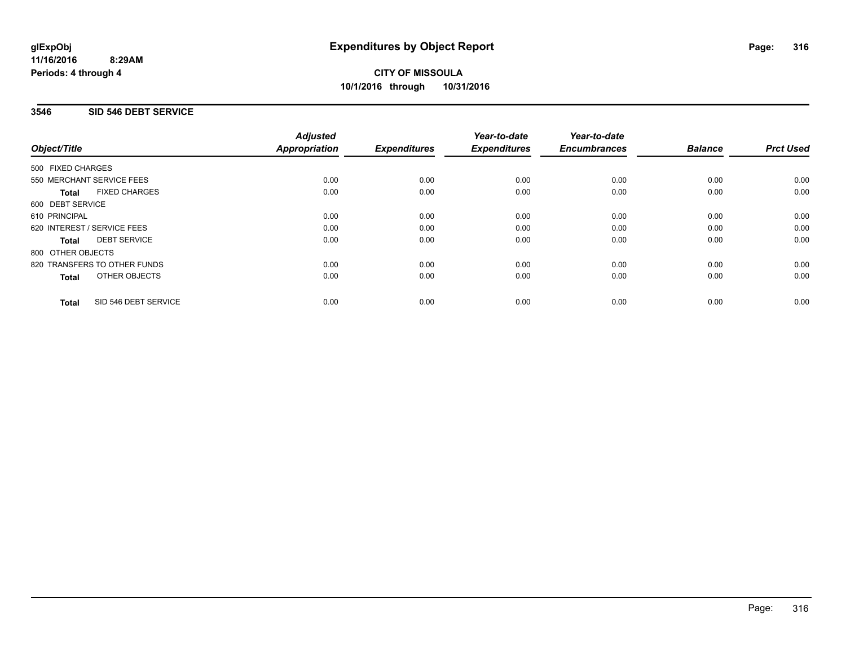# **CITY OF MISSOULA 10/1/2016 through 10/31/2016**

## **3546 SID 546 DEBT SERVICE**

|                                      | <b>Adjusted</b>      |                     | Year-to-date        | Year-to-date        |                |                  |
|--------------------------------------|----------------------|---------------------|---------------------|---------------------|----------------|------------------|
| Object/Title                         | <b>Appropriation</b> | <b>Expenditures</b> | <b>Expenditures</b> | <b>Encumbrances</b> | <b>Balance</b> | <b>Prct Used</b> |
| 500 FIXED CHARGES                    |                      |                     |                     |                     |                |                  |
| 550 MERCHANT SERVICE FEES            | 0.00                 | 0.00                | 0.00                | 0.00                | 0.00           | 0.00             |
| <b>FIXED CHARGES</b><br><b>Total</b> | 0.00                 | 0.00                | 0.00                | 0.00                | 0.00           | 0.00             |
| 600 DEBT SERVICE                     |                      |                     |                     |                     |                |                  |
| 610 PRINCIPAL                        | 0.00                 | 0.00                | 0.00                | 0.00                | 0.00           | 0.00             |
| 620 INTEREST / SERVICE FEES          | 0.00                 | 0.00                | 0.00                | 0.00                | 0.00           | 0.00             |
| <b>DEBT SERVICE</b><br><b>Total</b>  | 0.00                 | 0.00                | 0.00                | 0.00                | 0.00           | 0.00             |
| 800 OTHER OBJECTS                    |                      |                     |                     |                     |                |                  |
| 820 TRANSFERS TO OTHER FUNDS         | 0.00                 | 0.00                | 0.00                | 0.00                | 0.00           | 0.00             |
| <b>OTHER OBJECTS</b><br><b>Total</b> | 0.00                 | 0.00                | 0.00                | 0.00                | 0.00           | 0.00             |
| SID 546 DEBT SERVICE<br><b>Total</b> | 0.00                 | 0.00                | 0.00                | 0.00                | 0.00           | 0.00             |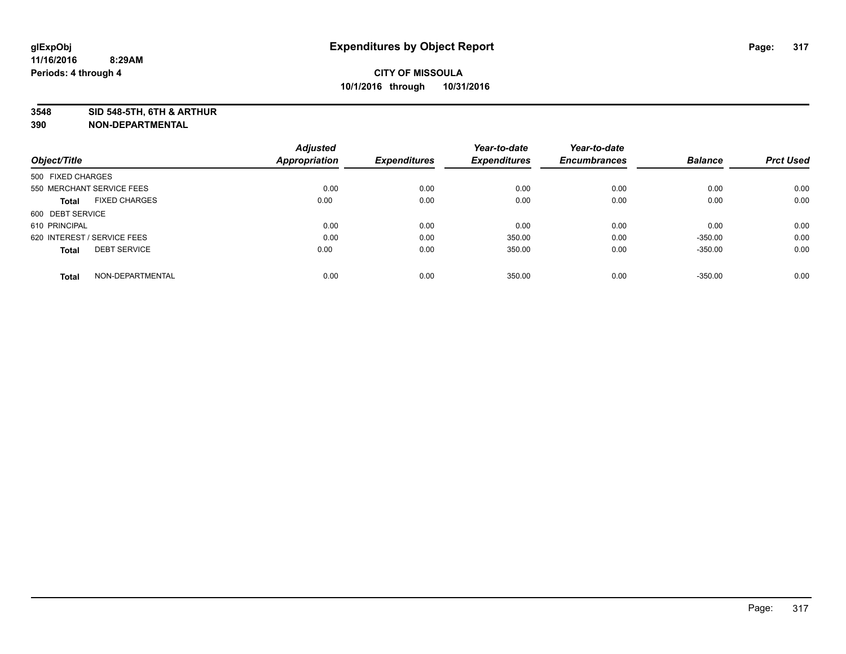**3548 SID 548-5TH, 6TH & ARTHUR**

|                                      | <b>Adjusted</b> |                     | Year-to-date        | Year-to-date        |                |                  |
|--------------------------------------|-----------------|---------------------|---------------------|---------------------|----------------|------------------|
| Object/Title                         | Appropriation   | <b>Expenditures</b> | <b>Expenditures</b> | <b>Encumbrances</b> | <b>Balance</b> | <b>Prct Used</b> |
| 500 FIXED CHARGES                    |                 |                     |                     |                     |                |                  |
| 550 MERCHANT SERVICE FEES            | 0.00            | 0.00                | 0.00                | 0.00                | 0.00           | 0.00             |
| <b>FIXED CHARGES</b><br><b>Total</b> | 0.00            | 0.00                | 0.00                | 0.00                | 0.00           | 0.00             |
| 600 DEBT SERVICE                     |                 |                     |                     |                     |                |                  |
| 610 PRINCIPAL                        | 0.00            | 0.00                | 0.00                | 0.00                | 0.00           | 0.00             |
| 620 INTEREST / SERVICE FEES          | 0.00            | 0.00                | 350.00              | 0.00                | $-350.00$      | 0.00             |
| <b>DEBT SERVICE</b><br><b>Total</b>  | 0.00            | 0.00                | 350.00              | 0.00                | $-350.00$      | 0.00             |
| NON-DEPARTMENTAL<br><b>Total</b>     | 0.00            | 0.00                | 350.00              | 0.00                | $-350.00$      | 0.00             |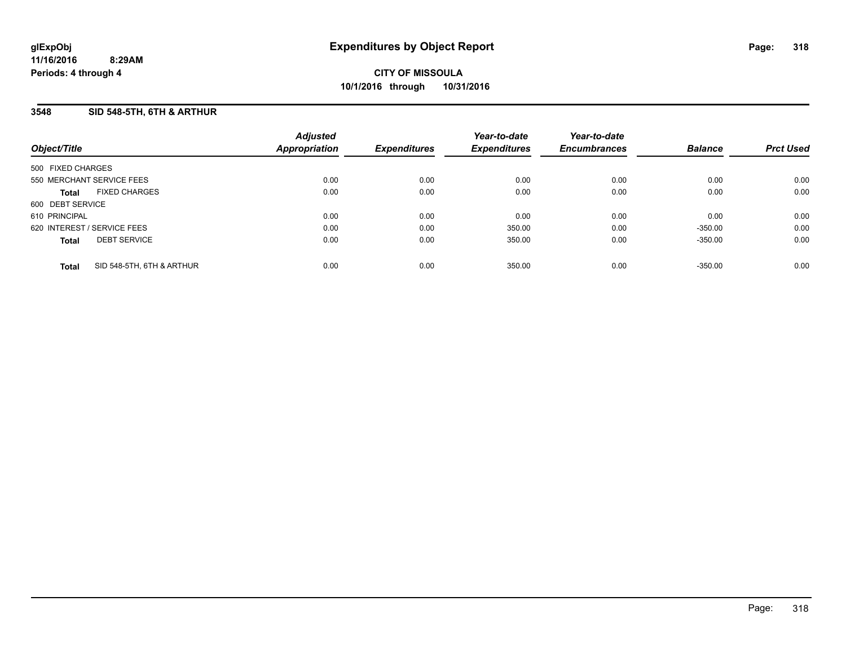## **3548 SID 548-5TH, 6TH & ARTHUR**

| Object/Title      |                             | <b>Adjusted</b><br>Appropriation | <b>Expenditures</b> | Year-to-date<br><b>Expenditures</b> | Year-to-date<br><b>Encumbrances</b> | <b>Balance</b> | <b>Prct Used</b> |
|-------------------|-----------------------------|----------------------------------|---------------------|-------------------------------------|-------------------------------------|----------------|------------------|
| 500 FIXED CHARGES |                             |                                  |                     |                                     |                                     |                |                  |
|                   | 550 MERCHANT SERVICE FEES   | 0.00                             | 0.00                | 0.00                                | 0.00                                | 0.00           | 0.00             |
| <b>Total</b>      | <b>FIXED CHARGES</b>        | 0.00                             | 0.00                | 0.00                                | 0.00                                | 0.00           | 0.00             |
| 600 DEBT SERVICE  |                             |                                  |                     |                                     |                                     |                |                  |
| 610 PRINCIPAL     |                             | 0.00                             | 0.00                | 0.00                                | 0.00                                | 0.00           | 0.00             |
|                   | 620 INTEREST / SERVICE FEES | 0.00                             | 0.00                | 350.00                              | 0.00                                | $-350.00$      | 0.00             |
| <b>Total</b>      | <b>DEBT SERVICE</b>         | 0.00                             | 0.00                | 350.00                              | 0.00                                | $-350.00$      | 0.00             |
| <b>Total</b>      | SID 548-5TH, 6TH & ARTHUR   | 0.00                             | 0.00                | 350.00                              | 0.00                                | $-350.00$      | 0.00             |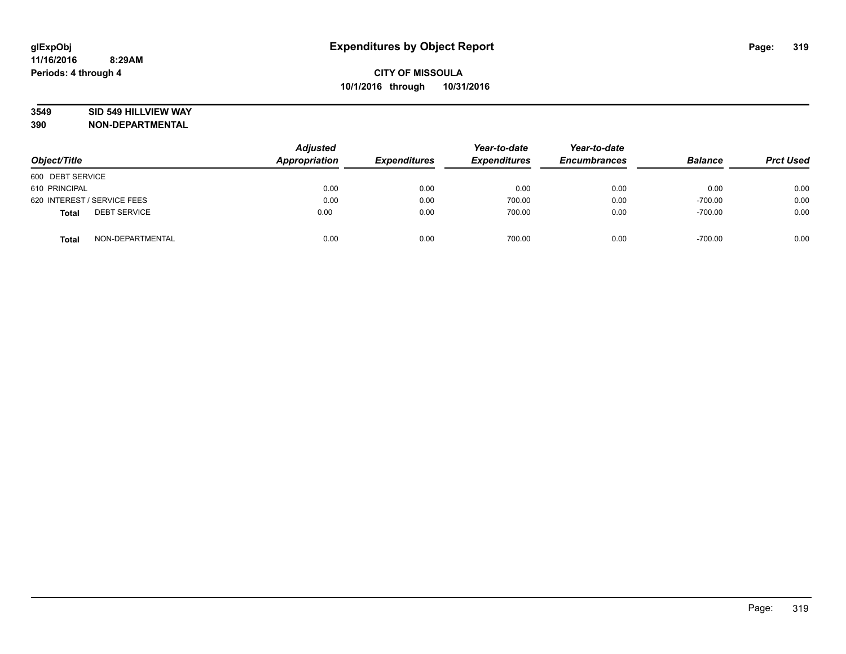### **3549 SID 549 HILLVIEW WAY**

| Object/Title                        | <b>Adjusted</b><br>Appropriation | <b>Expenditures</b> | Year-to-date<br><b>Expenditures</b> | Year-to-date<br><b>Encumbrances</b> | <b>Balance</b> | <b>Prct Used</b> |
|-------------------------------------|----------------------------------|---------------------|-------------------------------------|-------------------------------------|----------------|------------------|
| 600 DEBT SERVICE                    |                                  |                     |                                     |                                     |                |                  |
| 610 PRINCIPAL                       | 0.00                             | 0.00                | 0.00                                | 0.00                                | 0.00           | 0.00             |
| 620 INTEREST / SERVICE FEES         | 0.00                             | 0.00                | 700.00                              | 0.00                                | $-700.00$      | 0.00             |
| <b>DEBT SERVICE</b><br><b>Total</b> | 0.00                             | 0.00                | 700.00                              | 0.00                                | $-700.00$      | 0.00             |
| NON-DEPARTMENTAL<br><b>Total</b>    | 0.00                             | 0.00                | 700.00                              | 0.00                                | $-700.00$      | 0.00             |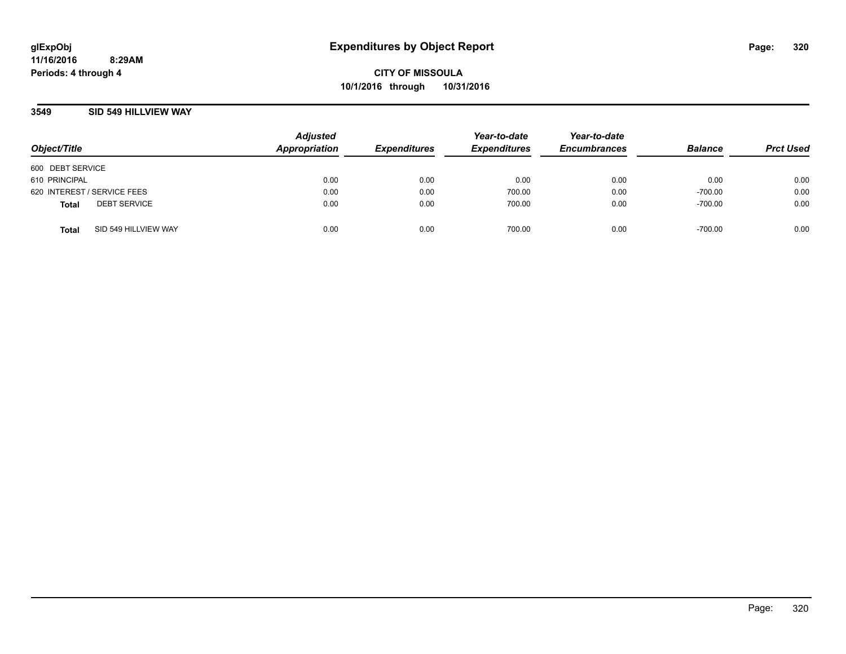### **3549 SID 549 HILLVIEW WAY**

| Object/Title                |                      | <b>Adjusted</b><br>Appropriation | <b>Expenditures</b> | Year-to-date<br><b>Expenditures</b> | Year-to-date<br><b>Encumbrances</b> | <b>Balance</b> | <b>Prct Used</b> |
|-----------------------------|----------------------|----------------------------------|---------------------|-------------------------------------|-------------------------------------|----------------|------------------|
| 600 DEBT SERVICE            |                      |                                  |                     |                                     |                                     |                |                  |
| 610 PRINCIPAL               |                      | 0.00                             | 0.00                | 0.00                                | 0.00                                | 0.00           | 0.00             |
| 620 INTEREST / SERVICE FEES |                      | 0.00                             | 0.00                | 700.00                              | 0.00                                | $-700.00$      | 0.00             |
| <b>Total</b>                | <b>DEBT SERVICE</b>  | 0.00                             | 0.00                | 700.00                              | 0.00                                | $-700.00$      | 0.00             |
| <b>Total</b>                | SID 549 HILLVIEW WAY | 0.00                             | 0.00                | 700.00                              | 0.00                                | $-700.00$      | 0.00             |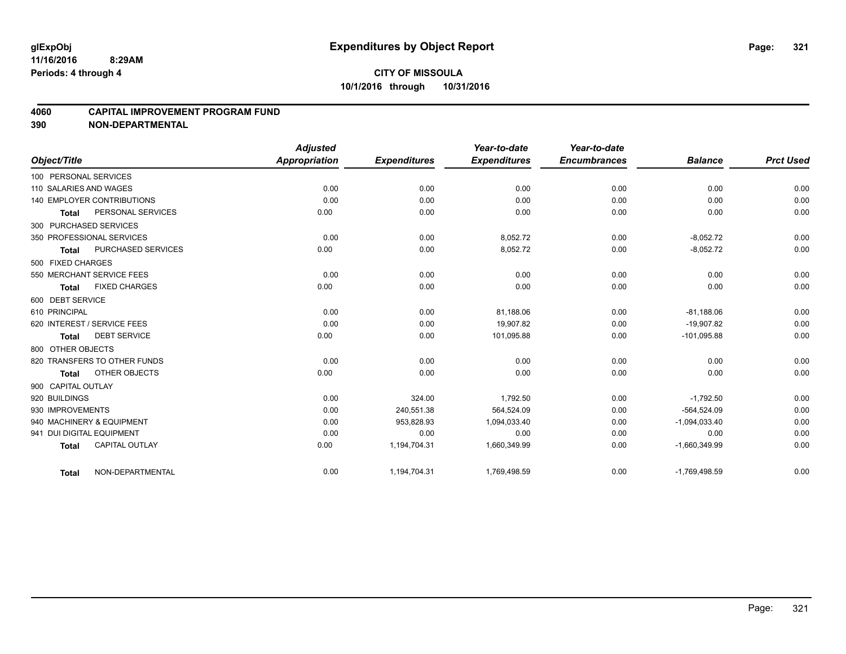### **4060 CAPITAL IMPROVEMENT PROGRAM FUND**

|                             |                              | <b>Adjusted</b>      |                     | Year-to-date        | Year-to-date        |                 |                  |
|-----------------------------|------------------------------|----------------------|---------------------|---------------------|---------------------|-----------------|------------------|
| Object/Title                |                              | <b>Appropriation</b> | <b>Expenditures</b> | <b>Expenditures</b> | <b>Encumbrances</b> | <b>Balance</b>  | <b>Prct Used</b> |
| 100 PERSONAL SERVICES       |                              |                      |                     |                     |                     |                 |                  |
| 110 SALARIES AND WAGES      |                              | 0.00                 | 0.00                | 0.00                | 0.00                | 0.00            | 0.00             |
|                             | 140 EMPLOYER CONTRIBUTIONS   | 0.00                 | 0.00                | 0.00                | 0.00                | 0.00            | 0.00             |
| <b>Total</b>                | PERSONAL SERVICES            | 0.00                 | 0.00                | 0.00                | 0.00                | 0.00            | 0.00             |
| 300 PURCHASED SERVICES      |                              |                      |                     |                     |                     |                 |                  |
| 350 PROFESSIONAL SERVICES   |                              | 0.00                 | 0.00                | 8,052.72            | 0.00                | $-8,052.72$     | 0.00             |
| <b>Total</b>                | PURCHASED SERVICES           | 0.00                 | 0.00                | 8,052.72            | 0.00                | $-8,052.72$     | 0.00             |
| 500 FIXED CHARGES           |                              |                      |                     |                     |                     |                 |                  |
| 550 MERCHANT SERVICE FEES   |                              | 0.00                 | 0.00                | 0.00                | 0.00                | 0.00            | 0.00             |
| <b>Total</b>                | <b>FIXED CHARGES</b>         | 0.00                 | 0.00                | 0.00                | 0.00                | 0.00            | 0.00             |
| 600 DEBT SERVICE            |                              |                      |                     |                     |                     |                 |                  |
| 610 PRINCIPAL               |                              | 0.00                 | 0.00                | 81,188.06           | 0.00                | $-81,188.06$    | 0.00             |
| 620 INTEREST / SERVICE FEES |                              | 0.00                 | 0.00                | 19.907.82           | 0.00                | $-19.907.82$    | 0.00             |
| <b>Total</b>                | <b>DEBT SERVICE</b>          | 0.00                 | 0.00                | 101,095.88          | 0.00                | $-101,095.88$   | 0.00             |
| 800 OTHER OBJECTS           |                              |                      |                     |                     |                     |                 |                  |
|                             | 820 TRANSFERS TO OTHER FUNDS | 0.00                 | 0.00                | 0.00                | 0.00                | 0.00            | 0.00             |
| <b>Total</b>                | OTHER OBJECTS                | 0.00                 | 0.00                | 0.00                | 0.00                | 0.00            | 0.00             |
| 900 CAPITAL OUTLAY          |                              |                      |                     |                     |                     |                 |                  |
| 920 BUILDINGS               |                              | 0.00                 | 324.00              | 1,792.50            | 0.00                | $-1,792.50$     | 0.00             |
| 930 IMPROVEMENTS            |                              | 0.00                 | 240,551.38          | 564,524.09          | 0.00                | $-564,524.09$   | 0.00             |
| 940 MACHINERY & EQUIPMENT   |                              | 0.00                 | 953,828.93          | 1,094,033.40        | 0.00                | $-1,094,033.40$ | 0.00             |
| 941 DUI DIGITAL EQUIPMENT   |                              | 0.00                 | 0.00                | 0.00                | 0.00                | 0.00            | 0.00             |
| <b>Total</b>                | <b>CAPITAL OUTLAY</b>        | 0.00                 | 1,194,704.31        | 1,660,349.99        | 0.00                | $-1,660,349.99$ | 0.00             |
| <b>Total</b>                | NON-DEPARTMENTAL             | 0.00                 | 1,194,704.31        | 1,769,498.59        | 0.00                | $-1,769,498.59$ | 0.00             |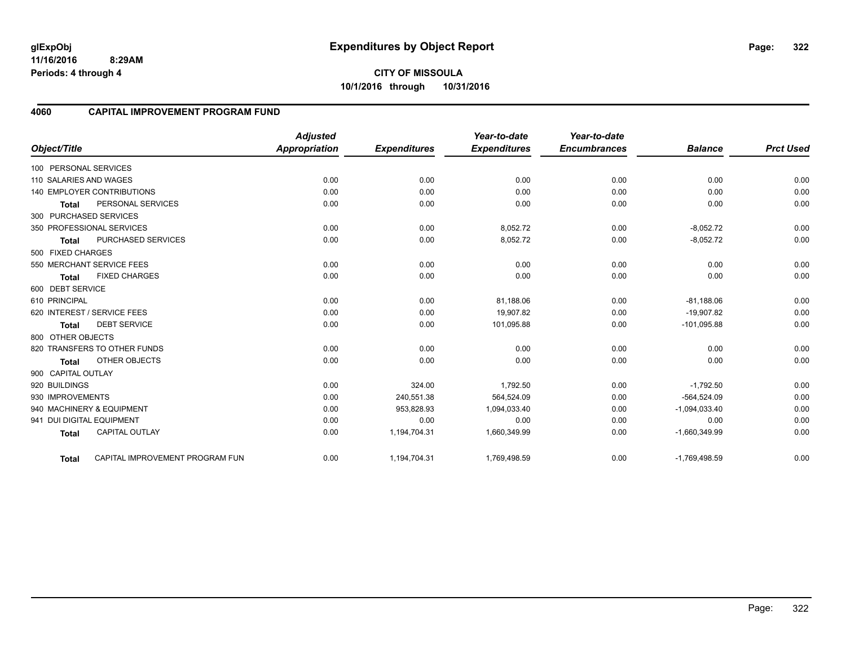### **4060 CAPITAL IMPROVEMENT PROGRAM FUND**

| Object/Title                |                                 | <b>Adjusted</b><br><b>Appropriation</b> | <b>Expenditures</b> | Year-to-date<br><b>Expenditures</b> | Year-to-date<br><b>Encumbrances</b> | <b>Balance</b>  | <b>Prct Used</b> |
|-----------------------------|---------------------------------|-----------------------------------------|---------------------|-------------------------------------|-------------------------------------|-----------------|------------------|
| 100 PERSONAL SERVICES       |                                 |                                         |                     |                                     |                                     |                 |                  |
| 110 SALARIES AND WAGES      |                                 | 0.00                                    | 0.00                | 0.00                                | 0.00                                | 0.00            | 0.00             |
|                             | 140 EMPLOYER CONTRIBUTIONS      | 0.00                                    | 0.00                | 0.00                                | 0.00                                | 0.00            | 0.00             |
| <b>Total</b>                | PERSONAL SERVICES               | 0.00                                    | 0.00                | 0.00                                | 0.00                                | 0.00            | 0.00             |
| 300 PURCHASED SERVICES      |                                 |                                         |                     |                                     |                                     |                 |                  |
| 350 PROFESSIONAL SERVICES   |                                 | 0.00                                    | 0.00                | 8,052.72                            | 0.00                                | $-8,052.72$     | 0.00             |
| <b>Total</b>                | <b>PURCHASED SERVICES</b>       | 0.00                                    | 0.00                | 8,052.72                            | 0.00                                | $-8,052.72$     | 0.00             |
| 500 FIXED CHARGES           |                                 |                                         |                     |                                     |                                     |                 |                  |
| 550 MERCHANT SERVICE FEES   |                                 | 0.00                                    | 0.00                | 0.00                                | 0.00                                | 0.00            | 0.00             |
| Total                       | <b>FIXED CHARGES</b>            | 0.00                                    | 0.00                | 0.00                                | 0.00                                | 0.00            | 0.00             |
| 600 DEBT SERVICE            |                                 |                                         |                     |                                     |                                     |                 |                  |
| 610 PRINCIPAL               |                                 | 0.00                                    | 0.00                | 81,188.06                           | 0.00                                | $-81,188.06$    | 0.00             |
| 620 INTEREST / SERVICE FEES |                                 | 0.00                                    | 0.00                | 19,907.82                           | 0.00                                | $-19,907.82$    | 0.00             |
| <b>Total</b>                | <b>DEBT SERVICE</b>             | 0.00                                    | 0.00                | 101,095.88                          | 0.00                                | $-101,095.88$   | 0.00             |
| 800 OTHER OBJECTS           |                                 |                                         |                     |                                     |                                     |                 |                  |
|                             | 820 TRANSFERS TO OTHER FUNDS    | 0.00                                    | 0.00                | 0.00                                | 0.00                                | 0.00            | 0.00             |
| <b>Total</b>                | OTHER OBJECTS                   | 0.00                                    | 0.00                | 0.00                                | 0.00                                | 0.00            | 0.00             |
| 900 CAPITAL OUTLAY          |                                 |                                         |                     |                                     |                                     |                 |                  |
| 920 BUILDINGS               |                                 | 0.00                                    | 324.00              | 1,792.50                            | 0.00                                | $-1,792.50$     | 0.00             |
| 930 IMPROVEMENTS            |                                 | 0.00                                    | 240,551.38          | 564,524.09                          | 0.00                                | $-564,524.09$   | 0.00             |
| 940 MACHINERY & EQUIPMENT   |                                 | 0.00                                    | 953,828.93          | 1,094,033.40                        | 0.00                                | $-1,094,033.40$ | 0.00             |
| 941 DUI DIGITAL EQUIPMENT   |                                 | 0.00                                    | 0.00                | 0.00                                | 0.00                                | 0.00            | 0.00             |
| <b>Total</b>                | <b>CAPITAL OUTLAY</b>           | 0.00                                    | 1,194,704.31        | 1,660,349.99                        | 0.00                                | $-1,660,349.99$ | 0.00             |
| <b>Total</b>                | CAPITAL IMPROVEMENT PROGRAM FUN | 0.00                                    | 1,194,704.31        | 1,769,498.59                        | 0.00                                | $-1,769,498.59$ | 0.00             |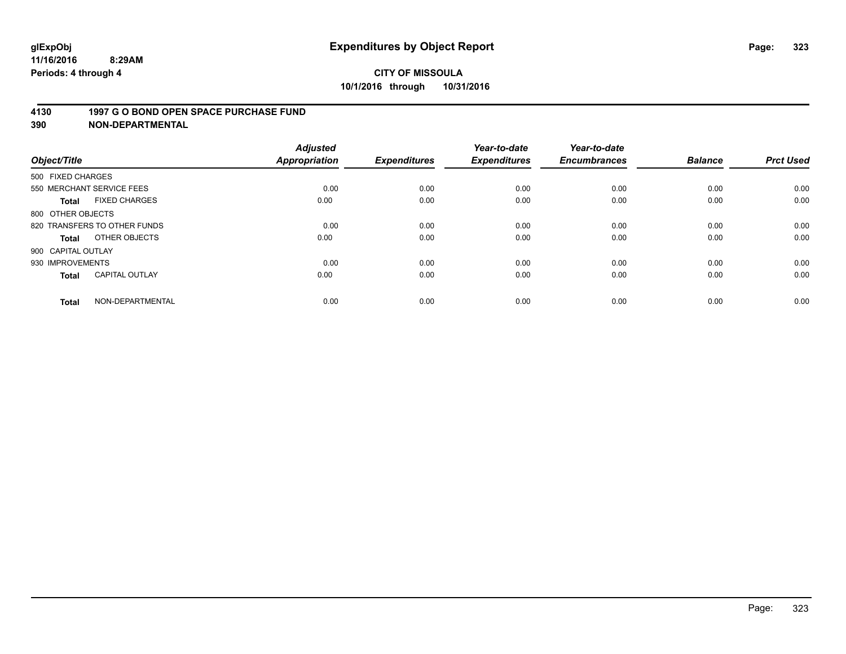### **4130 1997 G O BOND OPEN SPACE PURCHASE FUND**

|                              | <b>Adjusted</b>                                                    |                                      | Year-to-date                        | Year-to-date                |                             | <b>Prct Used</b>               |
|------------------------------|--------------------------------------------------------------------|--------------------------------------|-------------------------------------|-----------------------------|-----------------------------|--------------------------------|
|                              |                                                                    |                                      |                                     |                             |                             |                                |
|                              |                                                                    |                                      |                                     |                             |                             |                                |
|                              |                                                                    |                                      | 0.00                                | 0.00                        |                             | 0.00                           |
| <b>FIXED CHARGES</b>         | 0.00                                                               | 0.00                                 | 0.00                                | 0.00                        | 0.00                        | 0.00                           |
| 800 OTHER OBJECTS            |                                                                    |                                      |                                     |                             |                             |                                |
| 820 TRANSFERS TO OTHER FUNDS | 0.00                                                               | 0.00                                 | 0.00                                | 0.00                        | 0.00                        | 0.00                           |
| OTHER OBJECTS                | 0.00                                                               | 0.00                                 | 0.00                                | 0.00                        | 0.00                        | 0.00                           |
| 900 CAPITAL OUTLAY           |                                                                    |                                      |                                     |                             |                             |                                |
| 930 IMPROVEMENTS             | 0.00                                                               | 0.00                                 | 0.00                                | 0.00                        | 0.00                        | 0.00                           |
| <b>CAPITAL OUTLAY</b>        | 0.00                                                               | 0.00                                 | 0.00                                | 0.00                        | 0.00                        | 0.00                           |
|                              |                                                                    |                                      |                                     |                             |                             | 0.00                           |
|                              | 500 FIXED CHARGES<br>550 MERCHANT SERVICE FEES<br>NON-DEPARTMENTAL | <b>Appropriation</b><br>0.00<br>0.00 | <b>Expenditures</b><br>0.00<br>0.00 | <b>Expenditures</b><br>0.00 | <b>Encumbrances</b><br>0.00 | <b>Balance</b><br>0.00<br>0.00 |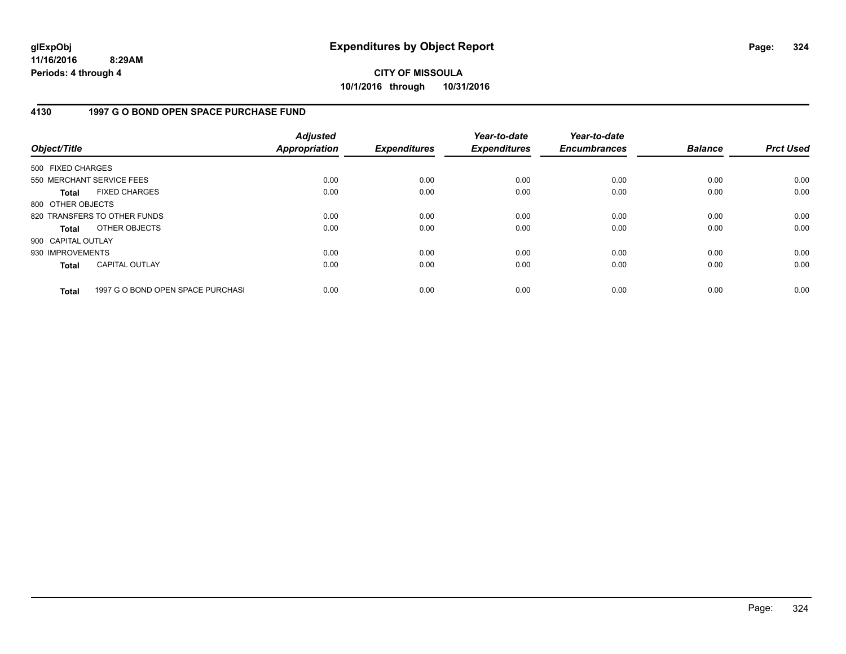# **CITY OF MISSOULA 10/1/2016 through 10/31/2016**

## **4130 1997 G O BOND OPEN SPACE PURCHASE FUND**

| Object/Title       |                                   | <b>Adjusted</b><br><b>Appropriation</b> | <b>Expenditures</b> | Year-to-date<br><b>Expenditures</b> | Year-to-date<br><b>Encumbrances</b> | <b>Balance</b> | <b>Prct Used</b> |
|--------------------|-----------------------------------|-----------------------------------------|---------------------|-------------------------------------|-------------------------------------|----------------|------------------|
| 500 FIXED CHARGES  |                                   |                                         |                     |                                     |                                     |                |                  |
|                    | 550 MERCHANT SERVICE FEES         | 0.00                                    | 0.00                | 0.00                                | 0.00                                | 0.00           | 0.00             |
| <b>Total</b>       | <b>FIXED CHARGES</b>              | 0.00                                    | 0.00                | 0.00                                | 0.00                                | 0.00           | 0.00             |
| 800 OTHER OBJECTS  |                                   |                                         |                     |                                     |                                     |                |                  |
|                    | 820 TRANSFERS TO OTHER FUNDS      | 0.00                                    | 0.00                | 0.00                                | 0.00                                | 0.00           | 0.00             |
| <b>Total</b>       | OTHER OBJECTS                     | 0.00                                    | 0.00                | 0.00                                | 0.00                                | 0.00           | 0.00             |
| 900 CAPITAL OUTLAY |                                   |                                         |                     |                                     |                                     |                |                  |
| 930 IMPROVEMENTS   |                                   | 0.00                                    | 0.00                | 0.00                                | 0.00                                | 0.00           | 0.00             |
| <b>Total</b>       | <b>CAPITAL OUTLAY</b>             | 0.00                                    | 0.00                | 0.00                                | 0.00                                | 0.00           | 0.00             |
| <b>Total</b>       | 1997 G O BOND OPEN SPACE PURCHASI | 0.00                                    | 0.00                | 0.00                                | 0.00                                | 0.00           | 0.00             |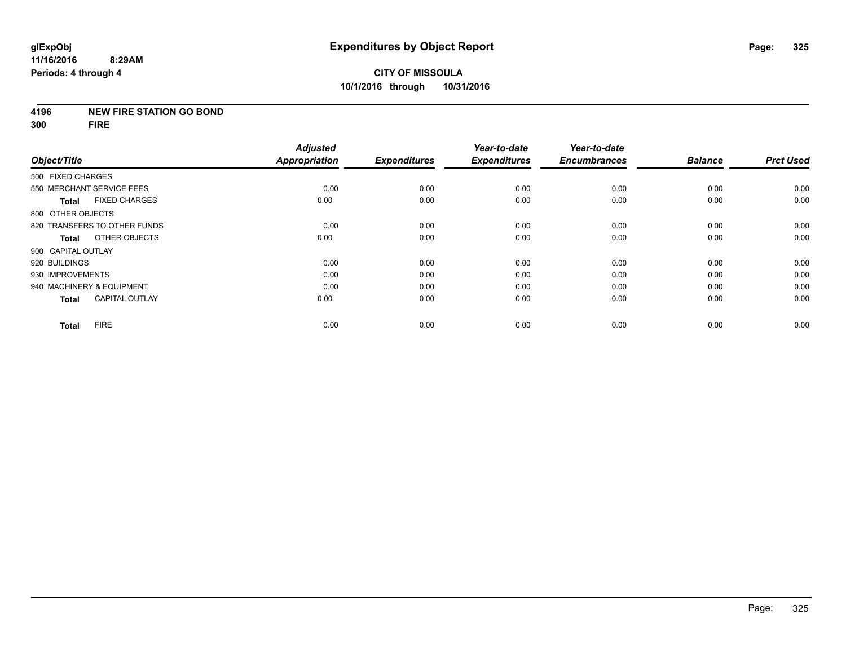#### **4196 NEW FIRE STATION GO BOND**

**300 FIRE**

|                                       | <b>Adjusted</b>      |                     | Year-to-date        | Year-to-date        |                |                  |
|---------------------------------------|----------------------|---------------------|---------------------|---------------------|----------------|------------------|
| Object/Title                          | <b>Appropriation</b> | <b>Expenditures</b> | <b>Expenditures</b> | <b>Encumbrances</b> | <b>Balance</b> | <b>Prct Used</b> |
| 500 FIXED CHARGES                     |                      |                     |                     |                     |                |                  |
| 550 MERCHANT SERVICE FEES             | 0.00                 | 0.00                | 0.00                | 0.00                | 0.00           | 0.00             |
| <b>FIXED CHARGES</b><br><b>Total</b>  | 0.00                 | 0.00                | 0.00                | 0.00                | 0.00           | 0.00             |
| 800 OTHER OBJECTS                     |                      |                     |                     |                     |                |                  |
| 820 TRANSFERS TO OTHER FUNDS          | 0.00                 | 0.00                | 0.00                | 0.00                | 0.00           | 0.00             |
| OTHER OBJECTS<br>Total                | 0.00                 | 0.00                | 0.00                | 0.00                | 0.00           | 0.00             |
| 900 CAPITAL OUTLAY                    |                      |                     |                     |                     |                |                  |
| 920 BUILDINGS                         | 0.00                 | 0.00                | 0.00                | 0.00                | 0.00           | 0.00             |
| 930 IMPROVEMENTS                      | 0.00                 | 0.00                | 0.00                | 0.00                | 0.00           | 0.00             |
| 940 MACHINERY & EQUIPMENT             | 0.00                 | 0.00                | 0.00                | 0.00                | 0.00           | 0.00             |
| <b>CAPITAL OUTLAY</b><br><b>Total</b> | 0.00                 | 0.00                | 0.00                | 0.00                | 0.00           | 0.00             |
| <b>FIRE</b><br><b>Total</b>           | 0.00                 | 0.00                | 0.00                | 0.00                | 0.00           | 0.00             |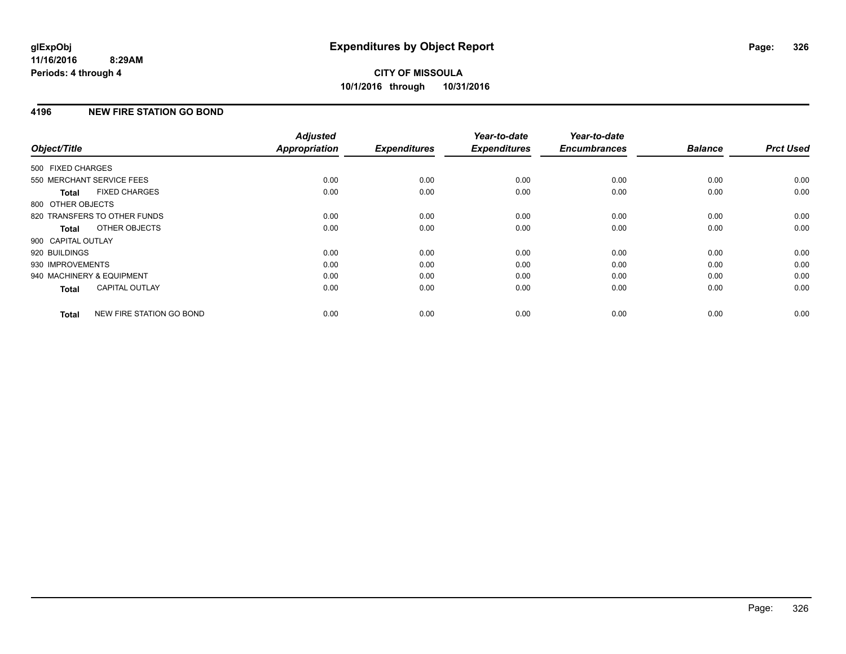## **4196 NEW FIRE STATION GO BOND**

| Object/Title              |                              | <b>Adjusted</b><br>Appropriation | <b>Expenditures</b> | Year-to-date<br><b>Expenditures</b> | Year-to-date<br><b>Encumbrances</b> | <b>Balance</b> | <b>Prct Used</b> |
|---------------------------|------------------------------|----------------------------------|---------------------|-------------------------------------|-------------------------------------|----------------|------------------|
| 500 FIXED CHARGES         |                              |                                  |                     |                                     |                                     |                |                  |
|                           |                              |                                  |                     |                                     |                                     |                |                  |
|                           | 550 MERCHANT SERVICE FEES    | 0.00                             | 0.00                | 0.00                                | 0.00                                | 0.00           | 0.00             |
| <b>Total</b>              | <b>FIXED CHARGES</b>         | 0.00                             | 0.00                | 0.00                                | 0.00                                | 0.00           | 0.00             |
| 800 OTHER OBJECTS         |                              |                                  |                     |                                     |                                     |                |                  |
|                           | 820 TRANSFERS TO OTHER FUNDS | 0.00                             | 0.00                | 0.00                                | 0.00                                | 0.00           | 0.00             |
| Total                     | OTHER OBJECTS                | 0.00                             | 0.00                | 0.00                                | 0.00                                | 0.00           | 0.00             |
| 900 CAPITAL OUTLAY        |                              |                                  |                     |                                     |                                     |                |                  |
| 920 BUILDINGS             |                              | 0.00                             | 0.00                | 0.00                                | 0.00                                | 0.00           | 0.00             |
| 930 IMPROVEMENTS          |                              | 0.00                             | 0.00                | 0.00                                | 0.00                                | 0.00           | 0.00             |
| 940 MACHINERY & EQUIPMENT |                              | 0.00                             | 0.00                | 0.00                                | 0.00                                | 0.00           | 0.00             |
| Total                     | <b>CAPITAL OUTLAY</b>        | 0.00                             | 0.00                | 0.00                                | 0.00                                | 0.00           | 0.00             |
| <b>Total</b>              | NEW FIRE STATION GO BOND     | 0.00                             | 0.00                | 0.00                                | 0.00                                | 0.00           | 0.00             |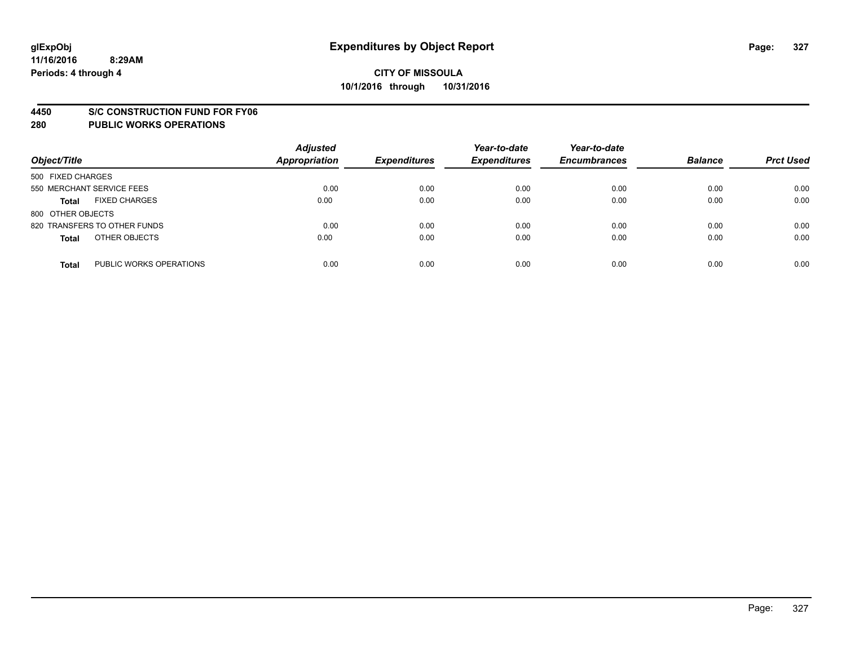#### **4450 S/C CONSTRUCTION FUND FOR FY06**

| Object/Title                            | <b>Adjusted</b><br><b>Appropriation</b> | <b>Expenditures</b> | Year-to-date<br><b>Expenditures</b> | Year-to-date<br><b>Encumbrances</b> | <b>Balance</b> | <b>Prct Used</b> |
|-----------------------------------------|-----------------------------------------|---------------------|-------------------------------------|-------------------------------------|----------------|------------------|
| 500 FIXED CHARGES                       |                                         |                     |                                     |                                     |                |                  |
| 550 MERCHANT SERVICE FEES               | 0.00                                    | 0.00                | 0.00                                | 0.00                                | 0.00           | 0.00             |
| <b>FIXED CHARGES</b><br><b>Total</b>    | 0.00                                    | 0.00                | 0.00                                | 0.00                                | 0.00           | 0.00             |
| 800 OTHER OBJECTS                       |                                         |                     |                                     |                                     |                |                  |
| 820 TRANSFERS TO OTHER FUNDS            | 0.00                                    | 0.00                | 0.00                                | 0.00                                | 0.00           | 0.00             |
| OTHER OBJECTS<br><b>Total</b>           | 0.00                                    | 0.00                | 0.00                                | 0.00                                | 0.00           | 0.00             |
| PUBLIC WORKS OPERATIONS<br><b>Total</b> | 0.00                                    | 0.00                | 0.00                                | 0.00                                | 0.00           | 0.00             |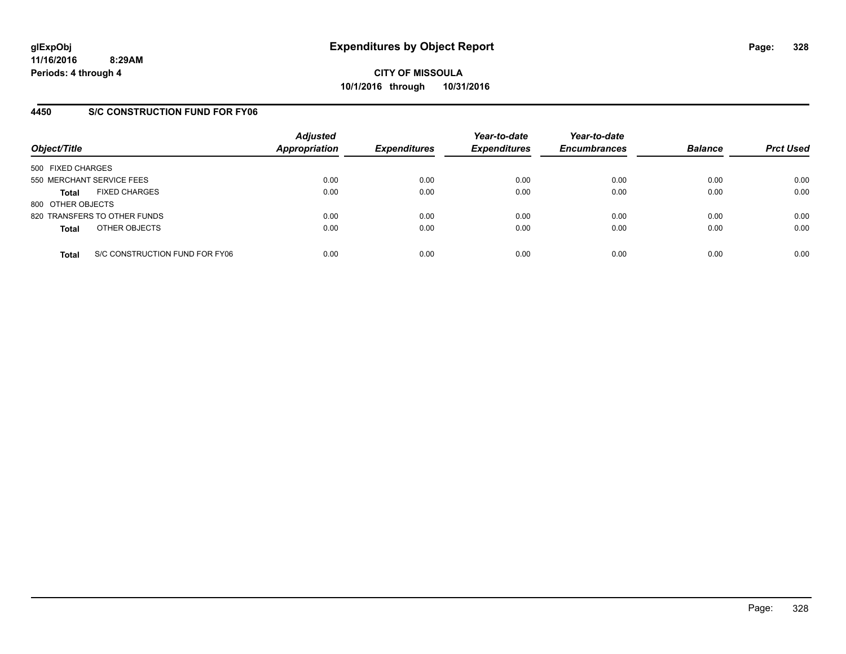## **4450 S/C CONSTRUCTION FUND FOR FY06**

| Object/Title                         |                                | <b>Adjusted</b><br><b>Appropriation</b> | <b>Expenditures</b> | Year-to-date<br><b>Expenditures</b> | Year-to-date<br><b>Encumbrances</b> | <b>Balance</b> | <b>Prct Used</b> |
|--------------------------------------|--------------------------------|-----------------------------------------|---------------------|-------------------------------------|-------------------------------------|----------------|------------------|
| 500 FIXED CHARGES                    |                                |                                         |                     |                                     |                                     |                |                  |
| 550 MERCHANT SERVICE FEES            |                                | 0.00                                    | 0.00                | 0.00                                | 0.00                                | 0.00           | 0.00             |
| <b>FIXED CHARGES</b><br><b>Total</b> |                                | 0.00                                    | 0.00                | 0.00                                | 0.00                                | 0.00           | 0.00             |
| 800 OTHER OBJECTS                    |                                |                                         |                     |                                     |                                     |                |                  |
| 820 TRANSFERS TO OTHER FUNDS         |                                | 0.00                                    | 0.00                | 0.00                                | 0.00                                | 0.00           | 0.00             |
| OTHER OBJECTS<br><b>Total</b>        |                                | 0.00                                    | 0.00                | 0.00                                | 0.00                                | 0.00           | 0.00             |
| <b>Total</b>                         | S/C CONSTRUCTION FUND FOR FY06 | 0.00                                    | 0.00                | 0.00                                | 0.00                                | 0.00           | 0.00             |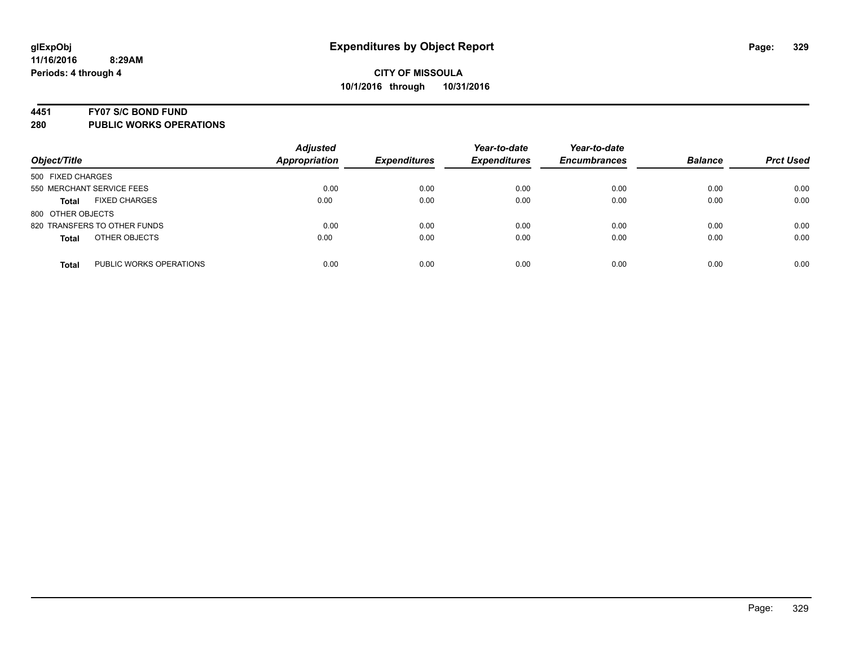#### **4451 FY07 S/C BOND FUND**

| Object/Title                            | <b>Adjusted</b><br><b>Appropriation</b> | <b>Expenditures</b> | Year-to-date<br><b>Expenditures</b> | Year-to-date<br><b>Encumbrances</b> | <b>Balance</b> | <b>Prct Used</b> |
|-----------------------------------------|-----------------------------------------|---------------------|-------------------------------------|-------------------------------------|----------------|------------------|
| 500 FIXED CHARGES                       |                                         |                     |                                     |                                     |                |                  |
| 550 MERCHANT SERVICE FEES               | 0.00                                    | 0.00                | 0.00                                | 0.00                                | 0.00           | 0.00             |
| <b>FIXED CHARGES</b><br><b>Total</b>    | 0.00                                    | 0.00                | 0.00                                | 0.00                                | 0.00           | 0.00             |
| 800 OTHER OBJECTS                       |                                         |                     |                                     |                                     |                |                  |
| 820 TRANSFERS TO OTHER FUNDS            | 0.00                                    | 0.00                | 0.00                                | 0.00                                | 0.00           | 0.00             |
| OTHER OBJECTS<br><b>Total</b>           | 0.00                                    | 0.00                | 0.00                                | 0.00                                | 0.00           | 0.00             |
| PUBLIC WORKS OPERATIONS<br><b>Total</b> | 0.00                                    | 0.00                | 0.00                                | 0.00                                | 0.00           | 0.00             |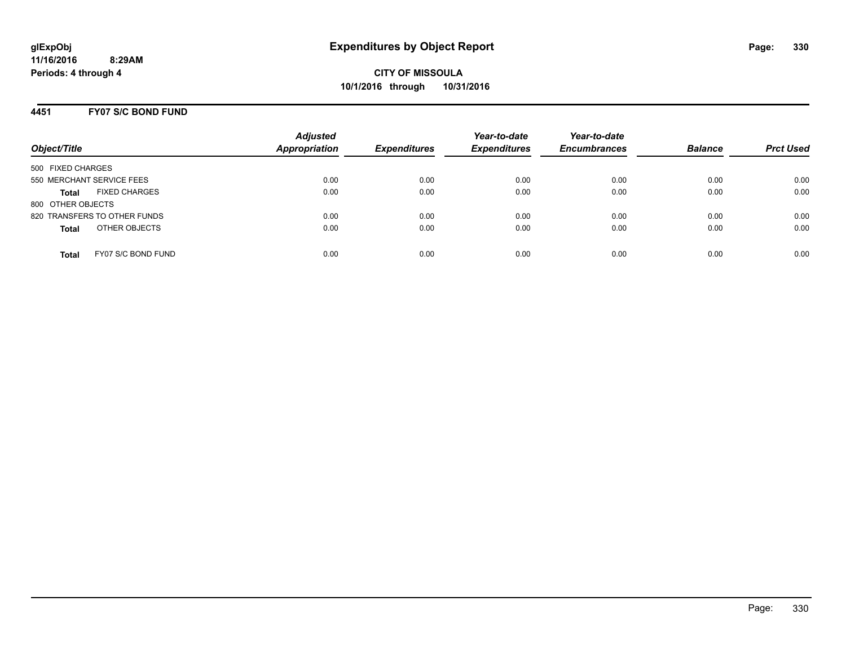#### **4451 FY07 S/C BOND FUND**

| Object/Title                         | <b>Adjusted</b><br><b>Appropriation</b> | <b>Expenditures</b> | Year-to-date<br><b>Expenditures</b> | Year-to-date<br><b>Encumbrances</b> | <b>Balance</b> | <b>Prct Used</b> |
|--------------------------------------|-----------------------------------------|---------------------|-------------------------------------|-------------------------------------|----------------|------------------|
| 500 FIXED CHARGES                    |                                         |                     |                                     |                                     |                |                  |
| 550 MERCHANT SERVICE FEES            | 0.00                                    | 0.00                | 0.00                                | 0.00                                | 0.00           | 0.00             |
| <b>FIXED CHARGES</b><br><b>Total</b> | 0.00                                    | 0.00                | 0.00                                | 0.00                                | 0.00           | 0.00             |
| 800 OTHER OBJECTS                    |                                         |                     |                                     |                                     |                |                  |
| 820 TRANSFERS TO OTHER FUNDS         | 0.00                                    | 0.00                | 0.00                                | 0.00                                | 0.00           | 0.00             |
| OTHER OBJECTS<br><b>Total</b>        | 0.00                                    | 0.00                | 0.00                                | 0.00                                | 0.00           | 0.00             |
| FY07 S/C BOND FUND<br><b>Total</b>   | 0.00                                    | 0.00                | 0.00                                | 0.00                                | 0.00           | 0.00             |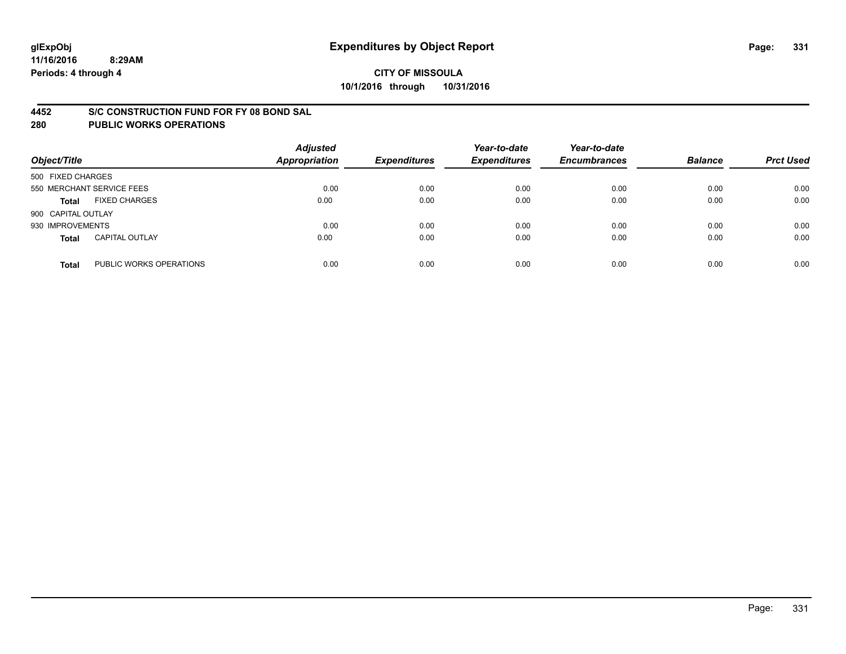#### **4452 S/C CONSTRUCTION FUND FOR FY 08 BOND SAL**

| Object/Title       |                           | <b>Adjusted</b><br><b>Appropriation</b> | <b>Expenditures</b> | Year-to-date<br><b>Expenditures</b> | Year-to-date<br><b>Encumbrances</b> | <b>Balance</b> | <b>Prct Used</b> |
|--------------------|---------------------------|-----------------------------------------|---------------------|-------------------------------------|-------------------------------------|----------------|------------------|
| 500 FIXED CHARGES  |                           |                                         |                     |                                     |                                     |                |                  |
|                    | 550 MERCHANT SERVICE FEES | 0.00                                    | 0.00                | 0.00                                | 0.00                                | 0.00           | 0.00             |
| <b>Total</b>       | <b>FIXED CHARGES</b>      | 0.00                                    | 0.00                | 0.00                                | 0.00                                | 0.00           | 0.00             |
| 900 CAPITAL OUTLAY |                           |                                         |                     |                                     |                                     |                |                  |
| 930 IMPROVEMENTS   |                           | 0.00                                    | 0.00                | 0.00                                | 0.00                                | 0.00           | 0.00             |
| <b>Total</b>       | <b>CAPITAL OUTLAY</b>     | 0.00                                    | 0.00                | 0.00                                | 0.00                                | 0.00           | 0.00             |
| <b>Total</b>       | PUBLIC WORKS OPERATIONS   | 0.00                                    | 0.00                | 0.00                                | 0.00                                | 0.00           | 0.00             |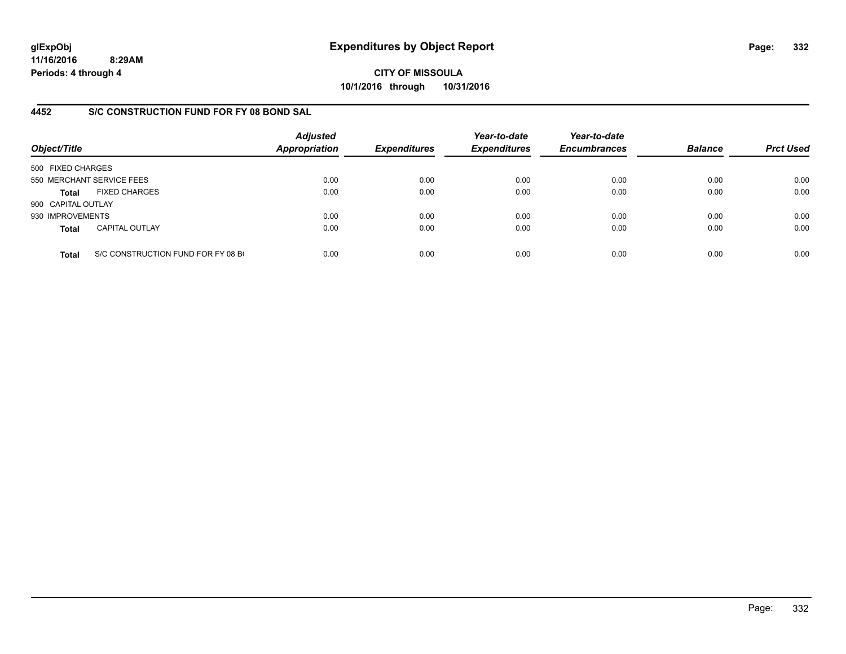**11/16/2016 8:29AM Periods: 4 through 4**

**CITY OF MISSOULA 10/1/2016 through 10/31/2016**

### **4452 S/C CONSTRUCTION FUND FOR FY 08 BOND SAL**

| Object/Title       |                                    | <b>Adjusted</b><br><b>Appropriation</b> | <b>Expenditures</b> | Year-to-date<br><b>Expenditures</b> | Year-to-date<br><b>Encumbrances</b> | <b>Balance</b> | <b>Prct Used</b> |
|--------------------|------------------------------------|-----------------------------------------|---------------------|-------------------------------------|-------------------------------------|----------------|------------------|
| 500 FIXED CHARGES  |                                    |                                         |                     |                                     |                                     |                |                  |
|                    | 550 MERCHANT SERVICE FEES          | 0.00                                    | 0.00                | 0.00                                | 0.00                                | 0.00           | 0.00             |
| Total              | <b>FIXED CHARGES</b>               | 0.00                                    | 0.00                | 0.00                                | 0.00                                | 0.00           | 0.00             |
| 900 CAPITAL OUTLAY |                                    |                                         |                     |                                     |                                     |                |                  |
| 930 IMPROVEMENTS   |                                    | 0.00                                    | 0.00                | 0.00                                | 0.00                                | 0.00           | 0.00             |
| <b>Total</b>       | <b>CAPITAL OUTLAY</b>              | 0.00                                    | 0.00                | 0.00                                | 0.00                                | 0.00           | 0.00             |
| <b>Total</b>       | S/C CONSTRUCTION FUND FOR FY 08 BO | 0.00                                    | 0.00                | 0.00                                | 0.00                                | 0.00           | 0.00             |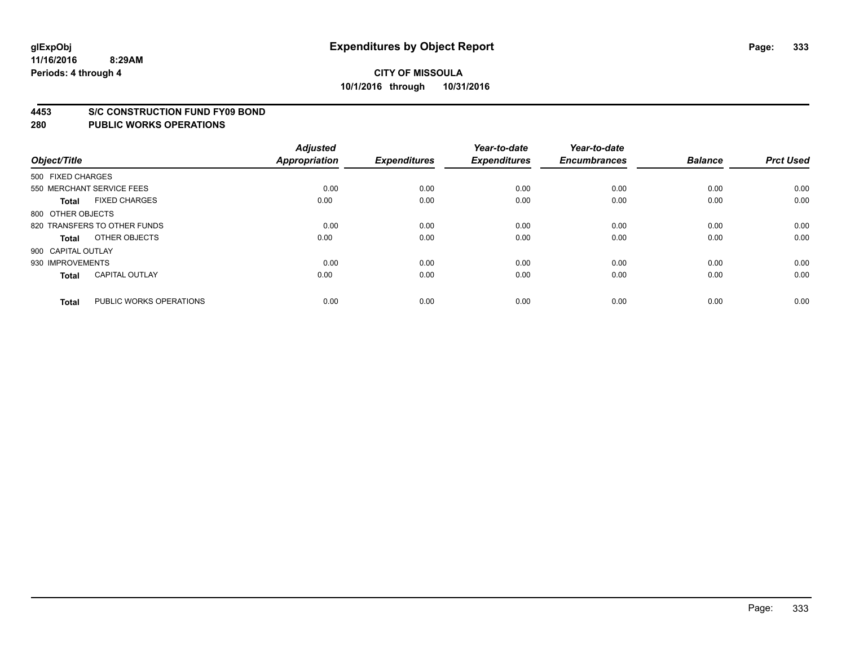#### **4453 S/C CONSTRUCTION FUND FY09 BOND**

| Object/Title       |                              | <b>Adjusted</b><br><b>Appropriation</b> | <b>Expenditures</b> | Year-to-date<br><b>Expenditures</b> | Year-to-date<br><b>Encumbrances</b> | <b>Balance</b> | <b>Prct Used</b> |
|--------------------|------------------------------|-----------------------------------------|---------------------|-------------------------------------|-------------------------------------|----------------|------------------|
| 500 FIXED CHARGES  |                              |                                         |                     |                                     |                                     |                |                  |
|                    | 550 MERCHANT SERVICE FEES    | 0.00                                    | 0.00                | 0.00                                | 0.00                                | 0.00           | 0.00             |
| <b>Total</b>       | <b>FIXED CHARGES</b>         | 0.00                                    | 0.00                | 0.00                                | 0.00                                | 0.00           | 0.00             |
| 800 OTHER OBJECTS  |                              |                                         |                     |                                     |                                     |                |                  |
|                    | 820 TRANSFERS TO OTHER FUNDS | 0.00                                    | 0.00                | 0.00                                | 0.00                                | 0.00           | 0.00             |
| Total              | OTHER OBJECTS                | 0.00                                    | 0.00                | 0.00                                | 0.00                                | 0.00           | 0.00             |
| 900 CAPITAL OUTLAY |                              |                                         |                     |                                     |                                     |                |                  |
| 930 IMPROVEMENTS   |                              | 0.00                                    | 0.00                | 0.00                                | 0.00                                | 0.00           | 0.00             |
| Total              | <b>CAPITAL OUTLAY</b>        | 0.00                                    | 0.00                | 0.00                                | 0.00                                | 0.00           | 0.00             |
| <b>Total</b>       | PUBLIC WORKS OPERATIONS      | 0.00                                    | 0.00                | 0.00                                | 0.00                                | 0.00           | 0.00             |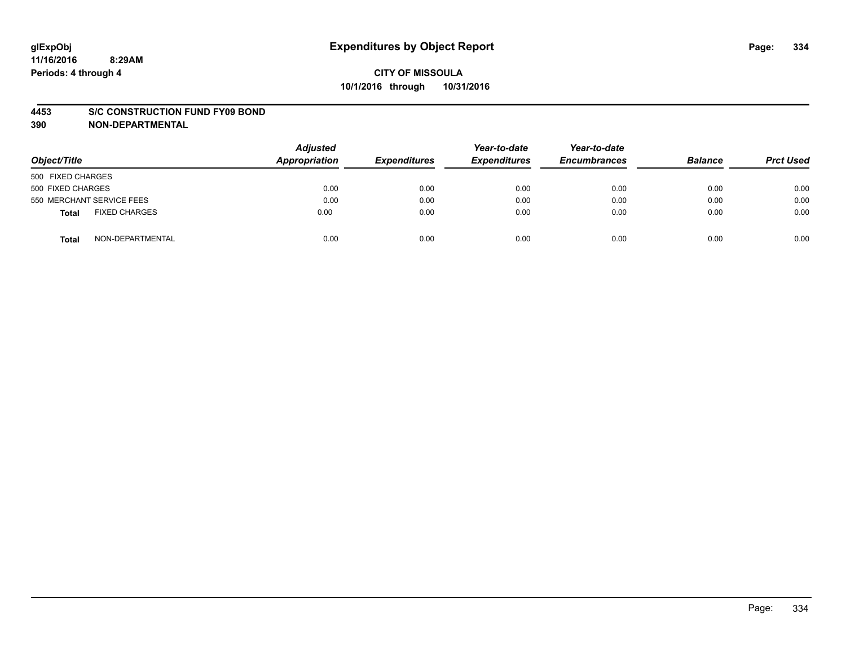#### **4453 S/C CONSTRUCTION FUND FY09 BOND**

**390 NON-DEPARTMENTAL**

| Object/Title                  | <b>Adjusted</b><br>Appropriation | <b>Expenditures</b> | Year-to-date<br><b>Expenditures</b> | Year-to-date<br><b>Encumbrances</b> | <b>Balance</b> | <b>Prct Used</b> |
|-------------------------------|----------------------------------|---------------------|-------------------------------------|-------------------------------------|----------------|------------------|
| 500 FIXED CHARGES             |                                  |                     |                                     |                                     |                |                  |
| 500 FIXED CHARGES             | 0.00                             | 0.00                | 0.00                                | 0.00                                | 0.00           | 0.00             |
| 550 MERCHANT SERVICE FEES     | 0.00                             | 0.00                | 0.00                                | 0.00                                | 0.00           | 0.00             |
| <b>FIXED CHARGES</b><br>Total | 0.00                             | 0.00                | 0.00                                | 0.00                                | 0.00           | 0.00             |
| NON-DEPARTMENTAL<br>Total     | 0.00                             | 0.00                | 0.00                                | 0.00                                | 0.00           | 0.00             |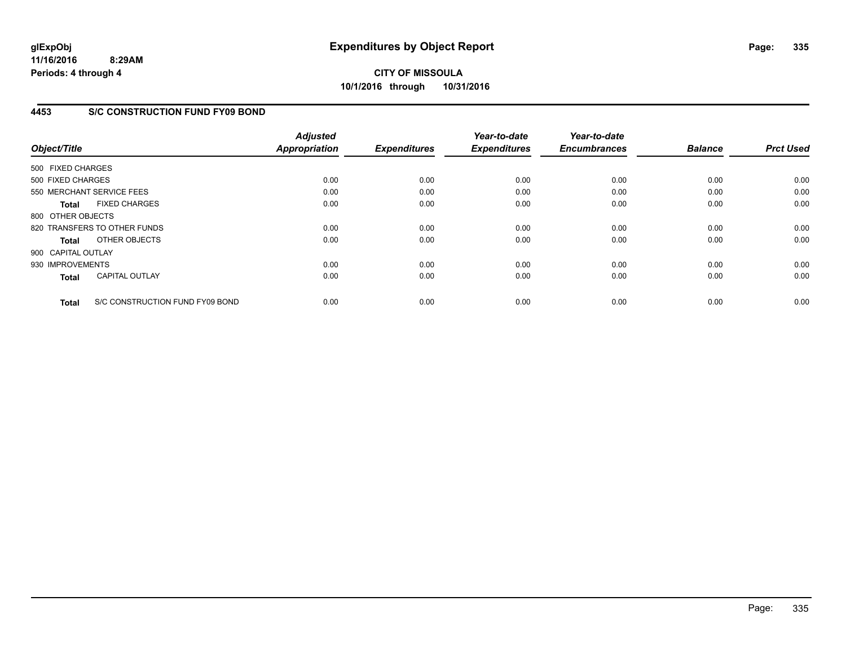**11/16/2016 8:29AM Periods: 4 through 4**

**CITY OF MISSOULA 10/1/2016 through 10/31/2016**

### **4453 S/C CONSTRUCTION FUND FY09 BOND**

| Object/Title       |                                 | <b>Adjusted</b><br><b>Appropriation</b> | <b>Expenditures</b> | Year-to-date<br><b>Expenditures</b> | Year-to-date<br><b>Encumbrances</b> | <b>Balance</b> | <b>Prct Used</b> |
|--------------------|---------------------------------|-----------------------------------------|---------------------|-------------------------------------|-------------------------------------|----------------|------------------|
| 500 FIXED CHARGES  |                                 |                                         |                     |                                     |                                     |                |                  |
| 500 FIXED CHARGES  |                                 | 0.00                                    | 0.00                | 0.00                                | 0.00                                | 0.00           | 0.00             |
|                    | 550 MERCHANT SERVICE FEES       | 0.00                                    | 0.00                | 0.00                                | 0.00                                | 0.00           | 0.00             |
| <b>Total</b>       | <b>FIXED CHARGES</b>            | 0.00                                    | 0.00                | 0.00                                | 0.00                                | 0.00           | 0.00             |
| 800 OTHER OBJECTS  |                                 |                                         |                     |                                     |                                     |                |                  |
|                    | 820 TRANSFERS TO OTHER FUNDS    | 0.00                                    | 0.00                | 0.00                                | 0.00                                | 0.00           | 0.00             |
| Total              | OTHER OBJECTS                   | 0.00                                    | 0.00                | 0.00                                | 0.00                                | 0.00           | 0.00             |
| 900 CAPITAL OUTLAY |                                 |                                         |                     |                                     |                                     |                |                  |
| 930 IMPROVEMENTS   |                                 | 0.00                                    | 0.00                | 0.00                                | 0.00                                | 0.00           | 0.00             |
| <b>Total</b>       | <b>CAPITAL OUTLAY</b>           | 0.00                                    | 0.00                | 0.00                                | 0.00                                | 0.00           | 0.00             |
| <b>Total</b>       | S/C CONSTRUCTION FUND FY09 BOND | 0.00                                    | 0.00                | 0.00                                | 0.00                                | 0.00           | 0.00             |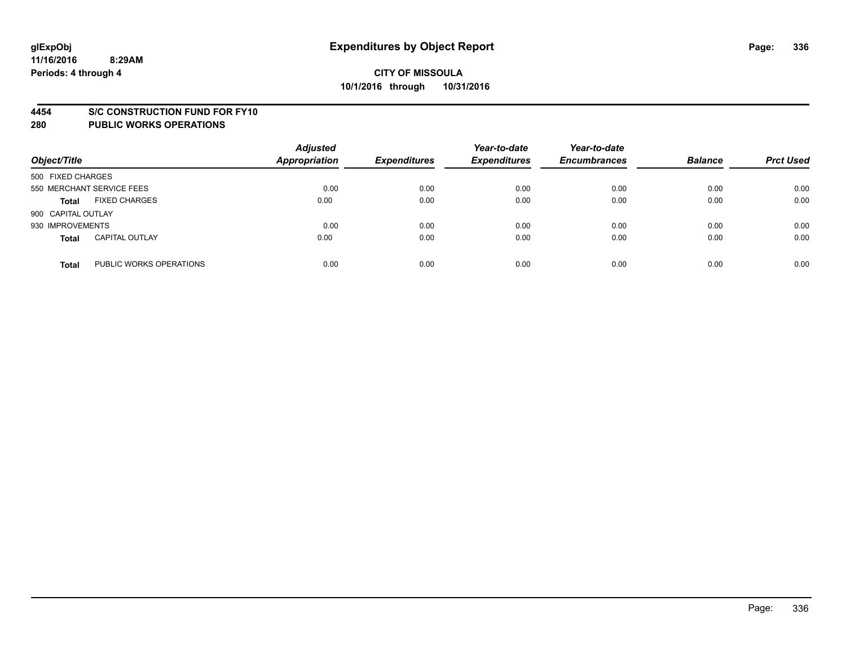#### **4454 S/C CONSTRUCTION FUND FOR FY10**

| Object/Title       |                           | <b>Adjusted</b><br><b>Appropriation</b> | <b>Expenditures</b> | Year-to-date<br><b>Expenditures</b> | Year-to-date<br><b>Encumbrances</b> | <b>Balance</b> | <b>Prct Used</b> |
|--------------------|---------------------------|-----------------------------------------|---------------------|-------------------------------------|-------------------------------------|----------------|------------------|
| 500 FIXED CHARGES  |                           |                                         |                     |                                     |                                     |                |                  |
|                    | 550 MERCHANT SERVICE FEES | 0.00                                    | 0.00                | 0.00                                | 0.00                                | 0.00           | 0.00             |
| <b>Total</b>       | <b>FIXED CHARGES</b>      | 0.00                                    | 0.00                | 0.00                                | 0.00                                | 0.00           | 0.00             |
| 900 CAPITAL OUTLAY |                           |                                         |                     |                                     |                                     |                |                  |
| 930 IMPROVEMENTS   |                           | 0.00                                    | 0.00                | 0.00                                | 0.00                                | 0.00           | 0.00             |
| <b>Total</b>       | <b>CAPITAL OUTLAY</b>     | 0.00                                    | 0.00                | 0.00                                | 0.00                                | 0.00           | 0.00             |
| <b>Total</b>       | PUBLIC WORKS OPERATIONS   | 0.00                                    | 0.00                | 0.00                                | 0.00                                | 0.00           | 0.00             |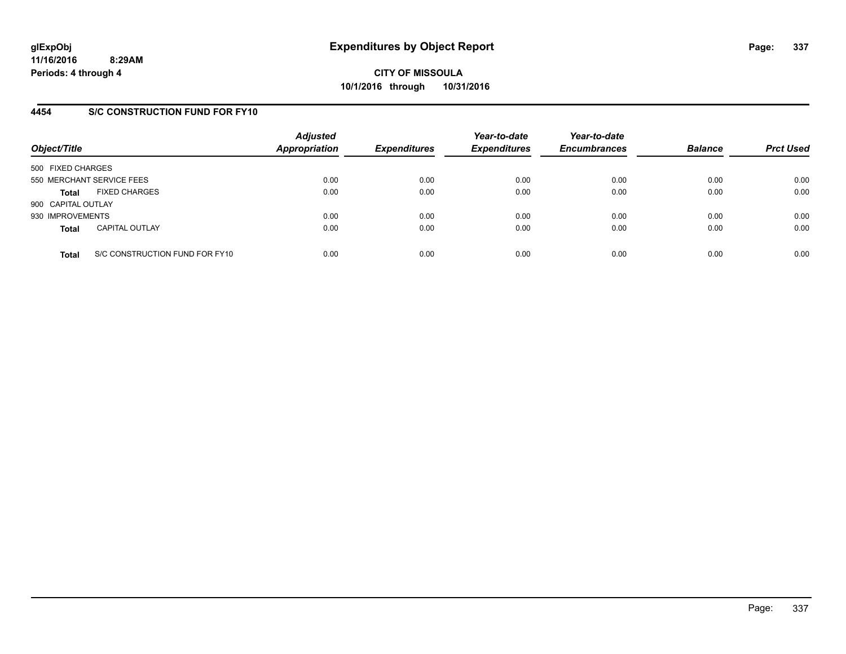**11/16/2016 8:29AM Periods: 4 through 4**

**CITY OF MISSOULA 10/1/2016 through 10/31/2016**

## **4454 S/C CONSTRUCTION FUND FOR FY10**

| Object/Title       |                                | <b>Adjusted</b><br><b>Appropriation</b> | <b>Expenditures</b> | Year-to-date<br><b>Expenditures</b> | Year-to-date<br><b>Encumbrances</b> | <b>Balance</b> | <b>Prct Used</b> |
|--------------------|--------------------------------|-----------------------------------------|---------------------|-------------------------------------|-------------------------------------|----------------|------------------|
| 500 FIXED CHARGES  |                                |                                         |                     |                                     |                                     |                |                  |
|                    | 550 MERCHANT SERVICE FEES      | 0.00                                    | 0.00                | 0.00                                | 0.00                                | 0.00           | 0.00             |
| <b>Total</b>       | <b>FIXED CHARGES</b>           | 0.00                                    | 0.00                | 0.00                                | 0.00                                | 0.00           | 0.00             |
| 900 CAPITAL OUTLAY |                                |                                         |                     |                                     |                                     |                |                  |
| 930 IMPROVEMENTS   |                                | 0.00                                    | 0.00                | 0.00                                | 0.00                                | 0.00           | 0.00             |
| <b>Total</b>       | <b>CAPITAL OUTLAY</b>          | 0.00                                    | 0.00                | 0.00                                | 0.00                                | 0.00           | 0.00             |
| <b>Total</b>       | S/C CONSTRUCTION FUND FOR FY10 | 0.00                                    | 0.00                | 0.00                                | 0.00                                | 0.00           | 0.00             |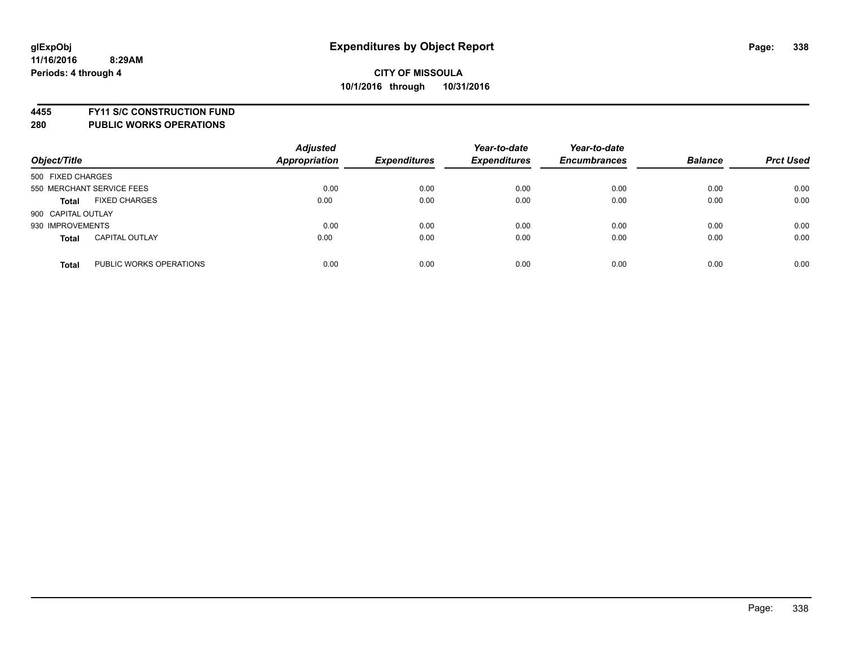**4455 FY11 S/C CONSTRUCTION FUND**

| Object/Title                            | <b>Adjusted</b><br><b>Appropriation</b> | <b>Expenditures</b> | Year-to-date<br><b>Expenditures</b> | Year-to-date<br><b>Encumbrances</b> | <b>Balance</b> | <b>Prct Used</b> |
|-----------------------------------------|-----------------------------------------|---------------------|-------------------------------------|-------------------------------------|----------------|------------------|
| 500 FIXED CHARGES                       |                                         |                     |                                     |                                     |                |                  |
| 550 MERCHANT SERVICE FEES               | 0.00                                    | 0.00                | 0.00                                | 0.00                                | 0.00           | 0.00             |
| <b>FIXED CHARGES</b><br><b>Total</b>    | 0.00                                    | 0.00                | 0.00                                | 0.00                                | 0.00           | 0.00             |
| 900 CAPITAL OUTLAY                      |                                         |                     |                                     |                                     |                |                  |
| 930 IMPROVEMENTS                        | 0.00                                    | 0.00                | 0.00                                | 0.00                                | 0.00           | 0.00             |
| <b>CAPITAL OUTLAY</b><br><b>Total</b>   | 0.00                                    | 0.00                | 0.00                                | 0.00                                | 0.00           | 0.00             |
| PUBLIC WORKS OPERATIONS<br><b>Total</b> | 0.00                                    | 0.00                | 0.00                                | 0.00                                | 0.00           | 0.00             |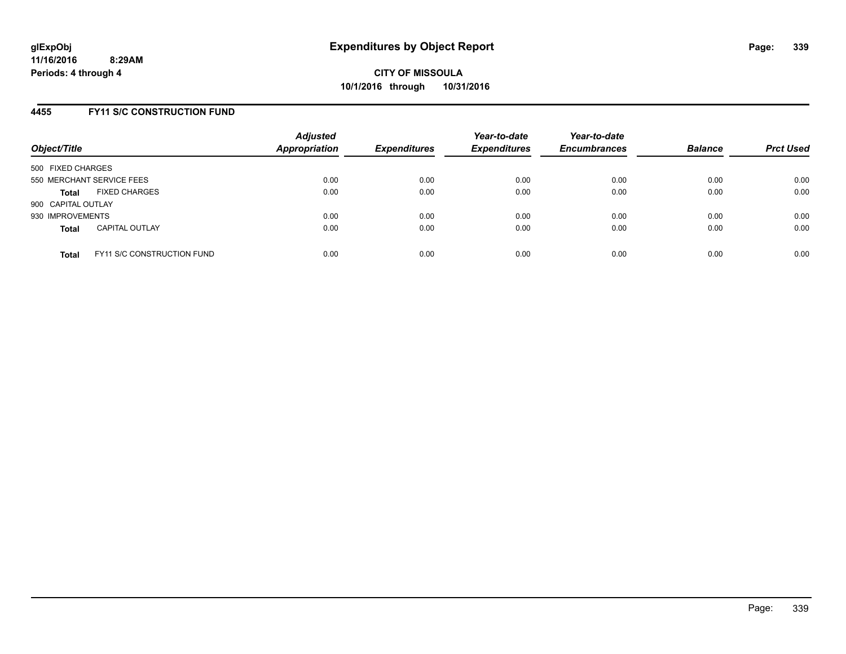### **4455 FY11 S/C CONSTRUCTION FUND**

| Object/Title       |                                   | <b>Adjusted</b><br>Appropriation | <b>Expenditures</b> | Year-to-date<br><b>Expenditures</b> | Year-to-date<br><b>Encumbrances</b> | <b>Balance</b> | <b>Prct Used</b> |
|--------------------|-----------------------------------|----------------------------------|---------------------|-------------------------------------|-------------------------------------|----------------|------------------|
| 500 FIXED CHARGES  |                                   |                                  |                     |                                     |                                     |                |                  |
|                    | 550 MERCHANT SERVICE FEES         | 0.00                             | 0.00                | 0.00                                | 0.00                                | 0.00           | 0.00             |
| <b>Total</b>       | <b>FIXED CHARGES</b>              | 0.00                             | 0.00                | 0.00                                | 0.00                                | 0.00           | 0.00             |
| 900 CAPITAL OUTLAY |                                   |                                  |                     |                                     |                                     |                |                  |
| 930 IMPROVEMENTS   |                                   | 0.00                             | 0.00                | 0.00                                | 0.00                                | 0.00           | 0.00             |
| <b>Total</b>       | <b>CAPITAL OUTLAY</b>             | 0.00                             | 0.00                | 0.00                                | 0.00                                | 0.00           | 0.00             |
| <b>Total</b>       | <b>FY11 S/C CONSTRUCTION FUND</b> | 0.00                             | 0.00                | 0.00                                | 0.00                                | 0.00           | 0.00             |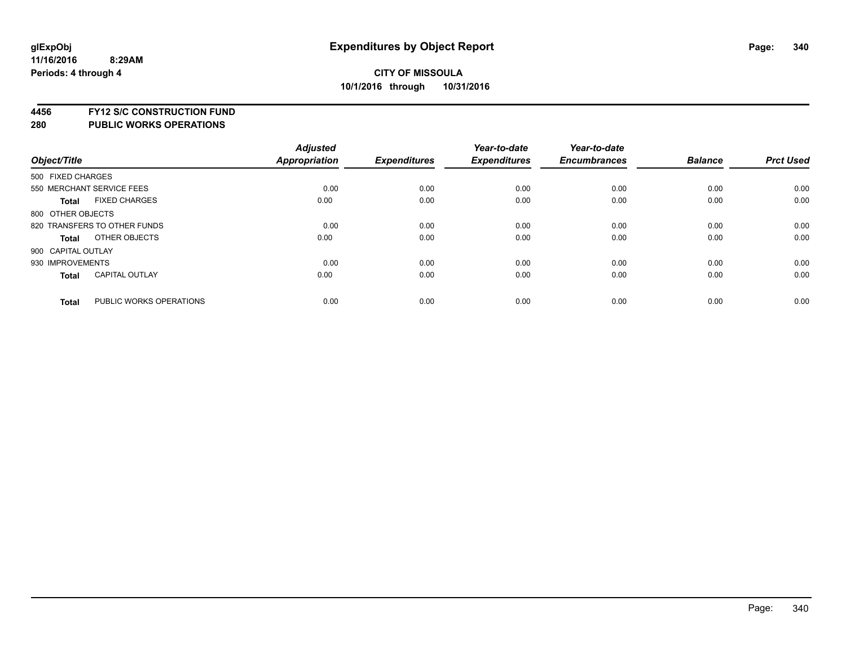**4456 FY12 S/C CONSTRUCTION FUND**

|                    |                              | <b>Adjusted</b>      |                     | Year-to-date        | Year-to-date        |                |                  |
|--------------------|------------------------------|----------------------|---------------------|---------------------|---------------------|----------------|------------------|
| Object/Title       |                              | <b>Appropriation</b> | <b>Expenditures</b> | <b>Expenditures</b> | <b>Encumbrances</b> | <b>Balance</b> | <b>Prct Used</b> |
| 500 FIXED CHARGES  |                              |                      |                     |                     |                     |                |                  |
|                    | 550 MERCHANT SERVICE FEES    | 0.00                 | 0.00                | 0.00                | 0.00                | 0.00           | 0.00             |
| <b>Total</b>       | <b>FIXED CHARGES</b>         | 0.00                 | 0.00                | 0.00                | 0.00                | 0.00           | 0.00             |
| 800 OTHER OBJECTS  |                              |                      |                     |                     |                     |                |                  |
|                    | 820 TRANSFERS TO OTHER FUNDS | 0.00                 | 0.00                | 0.00                | 0.00                | 0.00           | 0.00             |
| Total              | OTHER OBJECTS                | 0.00                 | 0.00                | 0.00                | 0.00                | 0.00           | 0.00             |
| 900 CAPITAL OUTLAY |                              |                      |                     |                     |                     |                |                  |
| 930 IMPROVEMENTS   |                              | 0.00                 | 0.00                | 0.00                | 0.00                | 0.00           | 0.00             |
| Total              | <b>CAPITAL OUTLAY</b>        | 0.00                 | 0.00                | 0.00                | 0.00                | 0.00           | 0.00             |
| <b>Total</b>       | PUBLIC WORKS OPERATIONS      | 0.00                 | 0.00                | 0.00                | 0.00                | 0.00           | 0.00             |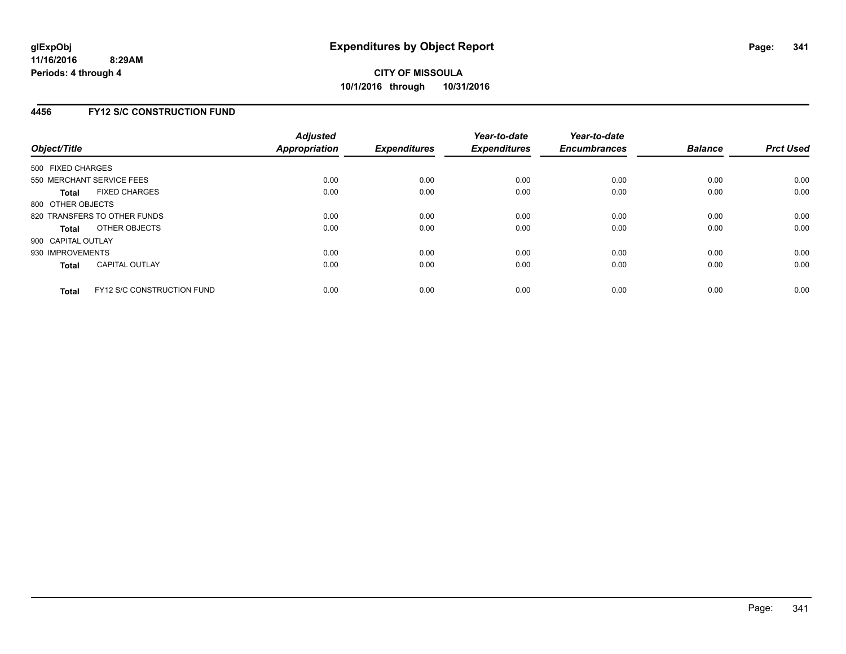## **4456 FY12 S/C CONSTRUCTION FUND**

| Object/Title                 |                                   | <b>Adjusted</b><br>Appropriation | <b>Expenditures</b> | Year-to-date<br><b>Expenditures</b> | Year-to-date<br><b>Encumbrances</b> | <b>Balance</b> | <b>Prct Used</b> |
|------------------------------|-----------------------------------|----------------------------------|---------------------|-------------------------------------|-------------------------------------|----------------|------------------|
| 500 FIXED CHARGES            |                                   |                                  |                     |                                     |                                     |                |                  |
| 550 MERCHANT SERVICE FEES    |                                   | 0.00                             | 0.00                | 0.00                                | 0.00                                | 0.00           | 0.00             |
| <b>Total</b>                 | <b>FIXED CHARGES</b>              | 0.00                             | 0.00                | 0.00                                | 0.00                                | 0.00           | 0.00             |
| 800 OTHER OBJECTS            |                                   |                                  |                     |                                     |                                     |                |                  |
| 820 TRANSFERS TO OTHER FUNDS |                                   | 0.00                             | 0.00                | 0.00                                | 0.00                                | 0.00           | 0.00             |
| <b>Total</b>                 | OTHER OBJECTS                     | 0.00                             | 0.00                | 0.00                                | 0.00                                | 0.00           | 0.00             |
| 900 CAPITAL OUTLAY           |                                   |                                  |                     |                                     |                                     |                |                  |
| 930 IMPROVEMENTS             |                                   | 0.00                             | 0.00                | 0.00                                | 0.00                                | 0.00           | 0.00             |
| <b>Total</b>                 | <b>CAPITAL OUTLAY</b>             | 0.00                             | 0.00                | 0.00                                | 0.00                                | 0.00           | 0.00             |
| <b>Total</b>                 | <b>FY12 S/C CONSTRUCTION FUND</b> | 0.00                             | 0.00                | 0.00                                | 0.00                                | 0.00           | 0.00             |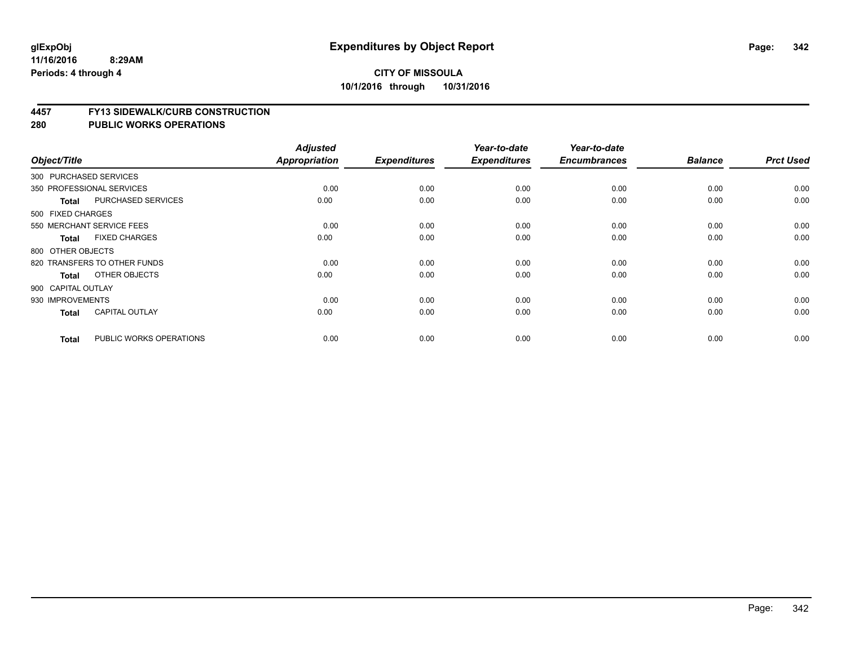#### **4457 FY13 SIDEWALK/CURB CONSTRUCTION**

| Object/Title       |                              | <b>Adjusted</b><br>Appropriation | <b>Expenditures</b> | Year-to-date<br><b>Expenditures</b> | Year-to-date<br><b>Encumbrances</b> | <b>Balance</b> | <b>Prct Used</b> |
|--------------------|------------------------------|----------------------------------|---------------------|-------------------------------------|-------------------------------------|----------------|------------------|
|                    | 300 PURCHASED SERVICES       |                                  |                     |                                     |                                     |                |                  |
|                    | 350 PROFESSIONAL SERVICES    | 0.00                             | 0.00                | 0.00                                |                                     | 0.00           | 0.00             |
|                    |                              |                                  |                     |                                     | 0.00                                |                |                  |
| <b>Total</b>       | <b>PURCHASED SERVICES</b>    | 0.00                             | 0.00                | 0.00                                | 0.00                                | 0.00           | 0.00             |
| 500 FIXED CHARGES  |                              |                                  |                     |                                     |                                     |                |                  |
|                    | 550 MERCHANT SERVICE FEES    | 0.00                             | 0.00                | 0.00                                | 0.00                                | 0.00           | 0.00             |
| Total              | <b>FIXED CHARGES</b>         | 0.00                             | 0.00                | 0.00                                | 0.00                                | 0.00           | 0.00             |
| 800 OTHER OBJECTS  |                              |                                  |                     |                                     |                                     |                |                  |
|                    | 820 TRANSFERS TO OTHER FUNDS | 0.00                             | 0.00                | 0.00                                | 0.00                                | 0.00           | 0.00             |
| Total              | OTHER OBJECTS                | 0.00                             | 0.00                | 0.00                                | 0.00                                | 0.00           | 0.00             |
| 900 CAPITAL OUTLAY |                              |                                  |                     |                                     |                                     |                |                  |
| 930 IMPROVEMENTS   |                              | 0.00                             | 0.00                | 0.00                                | 0.00                                | 0.00           | 0.00             |
| <b>Total</b>       | <b>CAPITAL OUTLAY</b>        | 0.00                             | 0.00                | 0.00                                | 0.00                                | 0.00           | 0.00             |
| <b>Total</b>       | PUBLIC WORKS OPERATIONS      | 0.00                             | 0.00                | 0.00                                | 0.00                                | 0.00           | 0.00             |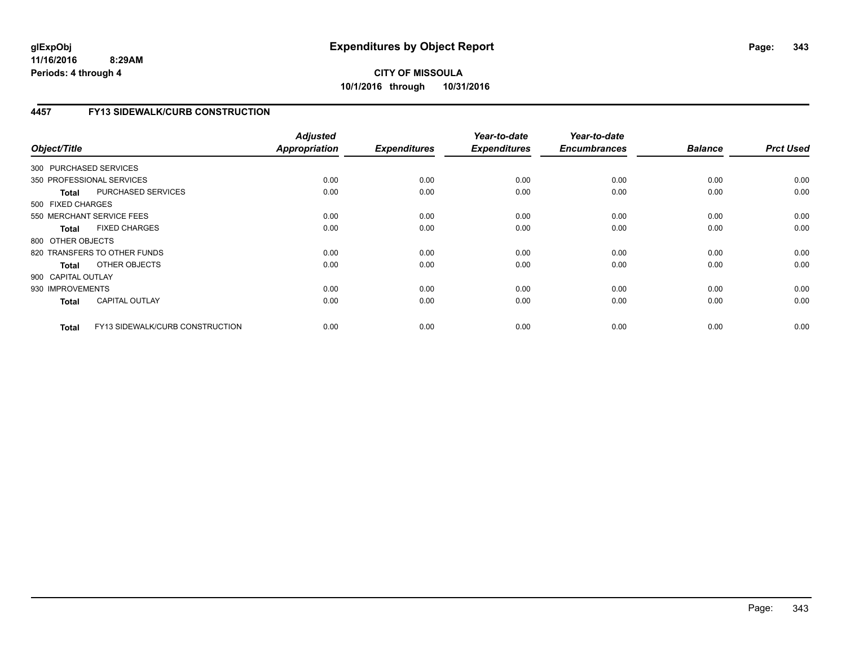# **4457 FY13 SIDEWALK/CURB CONSTRUCTION**

| Object/Title           |                                 | <b>Adjusted</b><br>Appropriation | <b>Expenditures</b> | Year-to-date<br><b>Expenditures</b> | Year-to-date<br><b>Encumbrances</b> | <b>Balance</b> | <b>Prct Used</b> |
|------------------------|---------------------------------|----------------------------------|---------------------|-------------------------------------|-------------------------------------|----------------|------------------|
| 300 PURCHASED SERVICES |                                 |                                  |                     |                                     |                                     |                |                  |
|                        | 350 PROFESSIONAL SERVICES       | 0.00                             | 0.00                | 0.00                                | 0.00                                | 0.00           | 0.00             |
| <b>Total</b>           | PURCHASED SERVICES              | 0.00                             | 0.00                | 0.00                                | 0.00                                | 0.00           | 0.00             |
| 500 FIXED CHARGES      |                                 |                                  |                     |                                     |                                     |                |                  |
|                        | 550 MERCHANT SERVICE FEES       | 0.00                             | 0.00                | 0.00                                | 0.00                                | 0.00           | 0.00             |
| <b>Total</b>           | <b>FIXED CHARGES</b>            | 0.00                             | 0.00                | 0.00                                | 0.00                                | 0.00           | 0.00             |
| 800 OTHER OBJECTS      |                                 |                                  |                     |                                     |                                     |                |                  |
|                        | 820 TRANSFERS TO OTHER FUNDS    | 0.00                             | 0.00                | 0.00                                | 0.00                                | 0.00           | 0.00             |
| Total                  | OTHER OBJECTS                   | 0.00                             | 0.00                | 0.00                                | 0.00                                | 0.00           | 0.00             |
| 900 CAPITAL OUTLAY     |                                 |                                  |                     |                                     |                                     |                |                  |
| 930 IMPROVEMENTS       |                                 | 0.00                             | 0.00                | 0.00                                | 0.00                                | 0.00           | 0.00             |
| <b>Total</b>           | <b>CAPITAL OUTLAY</b>           | 0.00                             | 0.00                | 0.00                                | 0.00                                | 0.00           | 0.00             |
| <b>Total</b>           | FY13 SIDEWALK/CURB CONSTRUCTION | 0.00                             | 0.00                | 0.00                                | 0.00                                | 0.00           | 0.00             |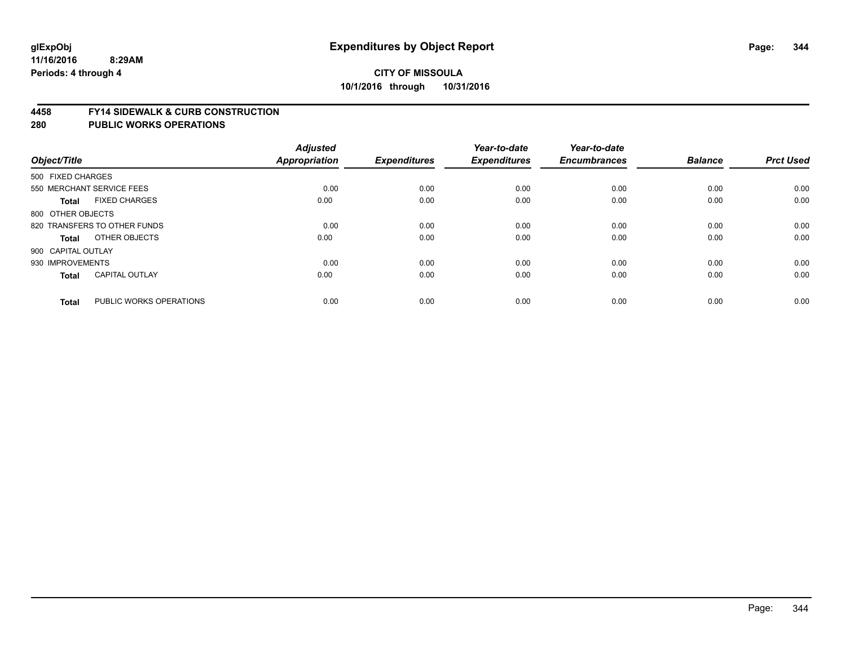#### **4458 FY14 SIDEWALK & CURB CONSTRUCTION**

| Object/Title              |                              | <b>Adjusted</b><br>Appropriation | <b>Expenditures</b> | Year-to-date<br><b>Expenditures</b> | Year-to-date<br><b>Encumbrances</b> | <b>Balance</b> | <b>Prct Used</b> |
|---------------------------|------------------------------|----------------------------------|---------------------|-------------------------------------|-------------------------------------|----------------|------------------|
| 500 FIXED CHARGES         |                              |                                  |                     |                                     |                                     |                |                  |
| 550 MERCHANT SERVICE FEES |                              | 0.00                             | 0.00                | 0.00                                | 0.00                                | 0.00           | 0.00             |
| <b>Total</b>              | <b>FIXED CHARGES</b>         | 0.00                             | 0.00                | 0.00                                | 0.00                                | 0.00           | 0.00             |
| 800 OTHER OBJECTS         |                              |                                  |                     |                                     |                                     |                |                  |
|                           | 820 TRANSFERS TO OTHER FUNDS | 0.00                             | 0.00                | 0.00                                | 0.00                                | 0.00           | 0.00             |
| Total                     | OTHER OBJECTS                | 0.00                             | 0.00                | 0.00                                | 0.00                                | 0.00           | 0.00             |
| 900 CAPITAL OUTLAY        |                              |                                  |                     |                                     |                                     |                |                  |
| 930 IMPROVEMENTS          |                              | 0.00                             | 0.00                | 0.00                                | 0.00                                | 0.00           | 0.00             |
| Total                     | <b>CAPITAL OUTLAY</b>        | 0.00                             | 0.00                | 0.00                                | 0.00                                | 0.00           | 0.00             |
|                           |                              |                                  |                     |                                     |                                     |                |                  |
| <b>Total</b>              | PUBLIC WORKS OPERATIONS      | 0.00                             | 0.00                | 0.00                                | 0.00                                | 0.00           | 0.00             |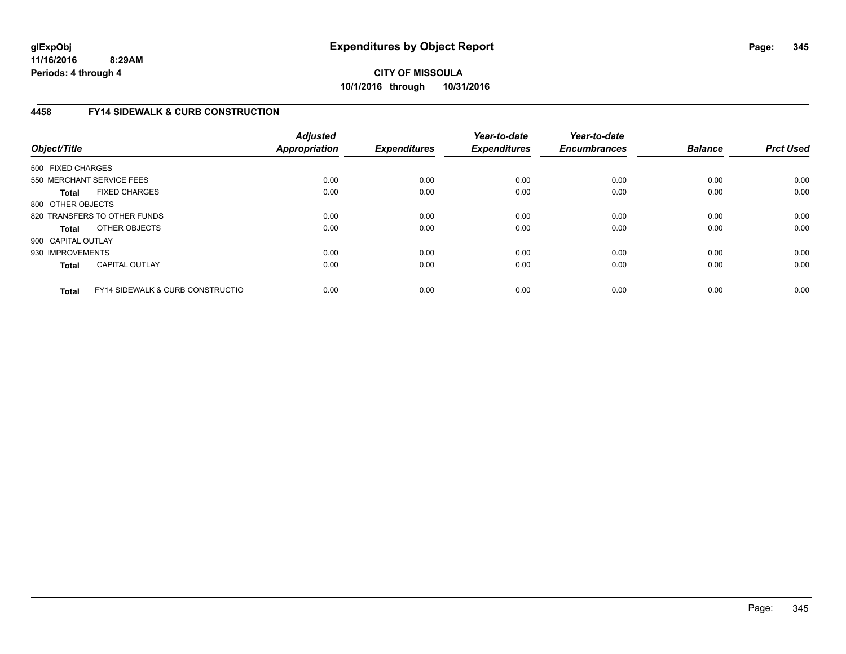**11/16/2016 8:29AM Periods: 4 through 4**

**CITY OF MISSOULA 10/1/2016 through 10/31/2016**

## **4458 FY14 SIDEWALK & CURB CONSTRUCTION**

| Object/Title       |                                              | <b>Adjusted</b><br><b>Appropriation</b> | <b>Expenditures</b> | Year-to-date<br><b>Expenditures</b> | Year-to-date<br><b>Encumbrances</b> | <b>Balance</b> | <b>Prct Used</b> |
|--------------------|----------------------------------------------|-----------------------------------------|---------------------|-------------------------------------|-------------------------------------|----------------|------------------|
| 500 FIXED CHARGES  |                                              |                                         |                     |                                     |                                     |                |                  |
|                    | 550 MERCHANT SERVICE FEES                    | 0.00                                    | 0.00                | 0.00                                | 0.00                                | 0.00           | 0.00             |
| <b>Total</b>       | <b>FIXED CHARGES</b>                         | 0.00                                    | 0.00                | 0.00                                | 0.00                                | 0.00           | 0.00             |
| 800 OTHER OBJECTS  |                                              |                                         |                     |                                     |                                     |                |                  |
|                    | 820 TRANSFERS TO OTHER FUNDS                 | 0.00                                    | 0.00                | 0.00                                | 0.00                                | 0.00           | 0.00             |
| <b>Total</b>       | OTHER OBJECTS                                | 0.00                                    | 0.00                | 0.00                                | 0.00                                | 0.00           | 0.00             |
| 900 CAPITAL OUTLAY |                                              |                                         |                     |                                     |                                     |                |                  |
| 930 IMPROVEMENTS   |                                              | 0.00                                    | 0.00                | 0.00                                | 0.00                                | 0.00           | 0.00             |
| <b>Total</b>       | <b>CAPITAL OUTLAY</b>                        | 0.00                                    | 0.00                | 0.00                                | 0.00                                | 0.00           | 0.00             |
| <b>Total</b>       | <b>FY14 SIDEWALK &amp; CURB CONSTRUCTIOL</b> | 0.00                                    | 0.00                | 0.00                                | 0.00                                | 0.00           | 0.00             |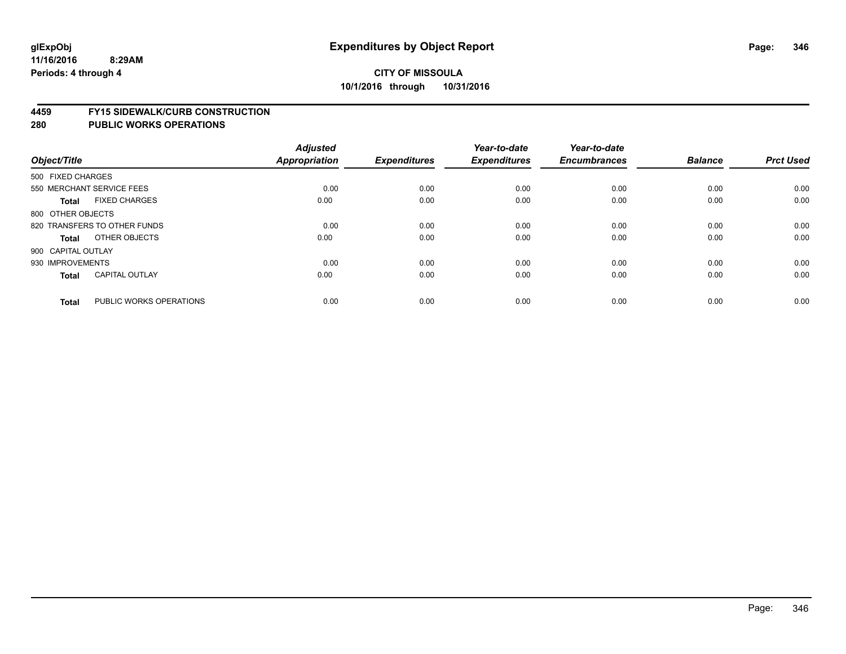#### **4459 FY15 SIDEWALK/CURB CONSTRUCTION**

| Object/Title              |                              | <b>Adjusted</b><br>Appropriation | <b>Expenditures</b> | Year-to-date<br><b>Expenditures</b> | Year-to-date<br><b>Encumbrances</b> | <b>Balance</b> | <b>Prct Used</b> |
|---------------------------|------------------------------|----------------------------------|---------------------|-------------------------------------|-------------------------------------|----------------|------------------|
| 500 FIXED CHARGES         |                              |                                  |                     |                                     |                                     |                |                  |
| 550 MERCHANT SERVICE FEES |                              | 0.00                             | 0.00                | 0.00                                | 0.00                                | 0.00           | 0.00             |
| <b>Total</b>              | <b>FIXED CHARGES</b>         | 0.00                             | 0.00                | 0.00                                | 0.00                                | 0.00           | 0.00             |
| 800 OTHER OBJECTS         |                              |                                  |                     |                                     |                                     |                |                  |
|                           | 820 TRANSFERS TO OTHER FUNDS | 0.00                             | 0.00                | 0.00                                | 0.00                                | 0.00           | 0.00             |
| Total                     | OTHER OBJECTS                | 0.00                             | 0.00                | 0.00                                | 0.00                                | 0.00           | 0.00             |
| 900 CAPITAL OUTLAY        |                              |                                  |                     |                                     |                                     |                |                  |
| 930 IMPROVEMENTS          |                              | 0.00                             | 0.00                | 0.00                                | 0.00                                | 0.00           | 0.00             |
| Total                     | <b>CAPITAL OUTLAY</b>        | 0.00                             | 0.00                | 0.00                                | 0.00                                | 0.00           | 0.00             |
|                           |                              |                                  |                     |                                     |                                     |                |                  |
| <b>Total</b>              | PUBLIC WORKS OPERATIONS      | 0.00                             | 0.00                | 0.00                                | 0.00                                | 0.00           | 0.00             |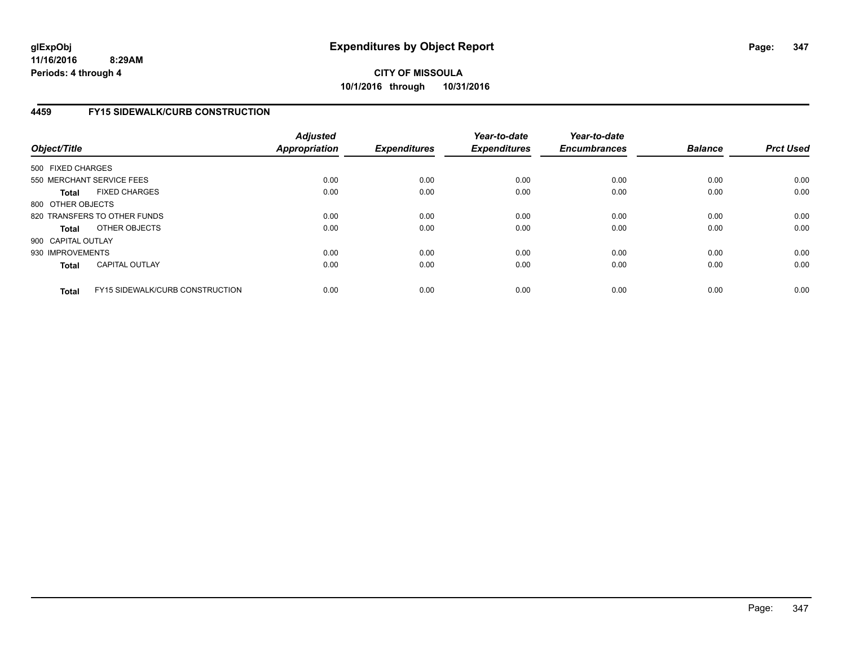## **4459 FY15 SIDEWALK/CURB CONSTRUCTION**

| Object/Title       |                                        | <b>Adjusted</b><br><b>Appropriation</b> | <b>Expenditures</b> | Year-to-date<br><b>Expenditures</b> | Year-to-date<br><b>Encumbrances</b> | <b>Balance</b> | <b>Prct Used</b> |
|--------------------|----------------------------------------|-----------------------------------------|---------------------|-------------------------------------|-------------------------------------|----------------|------------------|
| 500 FIXED CHARGES  |                                        |                                         |                     |                                     |                                     |                |                  |
|                    | 550 MERCHANT SERVICE FEES              | 0.00                                    | 0.00                | 0.00                                | 0.00                                | 0.00           | 0.00             |
| <b>Total</b>       | <b>FIXED CHARGES</b>                   | 0.00                                    | 0.00                | 0.00                                | 0.00                                | 0.00           | 0.00             |
| 800 OTHER OBJECTS  |                                        |                                         |                     |                                     |                                     |                |                  |
|                    | 820 TRANSFERS TO OTHER FUNDS           | 0.00                                    | 0.00                | 0.00                                | 0.00                                | 0.00           | 0.00             |
| <b>Total</b>       | OTHER OBJECTS                          | 0.00                                    | 0.00                | 0.00                                | 0.00                                | 0.00           | 0.00             |
| 900 CAPITAL OUTLAY |                                        |                                         |                     |                                     |                                     |                |                  |
| 930 IMPROVEMENTS   |                                        | 0.00                                    | 0.00                | 0.00                                | 0.00                                | 0.00           | 0.00             |
| Total              | <b>CAPITAL OUTLAY</b>                  | 0.00                                    | 0.00                | 0.00                                | 0.00                                | 0.00           | 0.00             |
| <b>Total</b>       | <b>FY15 SIDEWALK/CURB CONSTRUCTION</b> | 0.00                                    | 0.00                | 0.00                                | 0.00                                | 0.00           | 0.00             |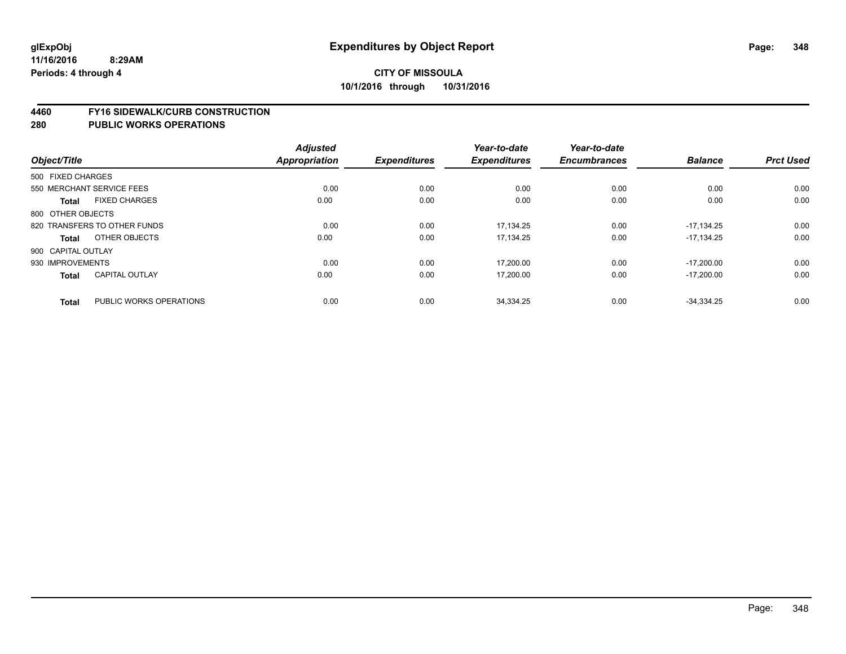#### **4460 FY16 SIDEWALK/CURB CONSTRUCTION**

|                    |                              | <b>Adjusted</b>      |                     | Year-to-date        | Year-to-date        |                |                  |
|--------------------|------------------------------|----------------------|---------------------|---------------------|---------------------|----------------|------------------|
| Object/Title       |                              | <b>Appropriation</b> | <b>Expenditures</b> | <b>Expenditures</b> | <b>Encumbrances</b> | <b>Balance</b> | <b>Prct Used</b> |
| 500 FIXED CHARGES  |                              |                      |                     |                     |                     |                |                  |
|                    | 550 MERCHANT SERVICE FEES    | 0.00                 | 0.00                | 0.00                | 0.00                | 0.00           | 0.00             |
| <b>Total</b>       | <b>FIXED CHARGES</b>         | 0.00                 | 0.00                | 0.00                | 0.00                | 0.00           | 0.00             |
| 800 OTHER OBJECTS  |                              |                      |                     |                     |                     |                |                  |
|                    | 820 TRANSFERS TO OTHER FUNDS | 0.00                 | 0.00                | 17.134.25           | 0.00                | $-17.134.25$   | 0.00             |
| Total              | OTHER OBJECTS                | 0.00                 | 0.00                | 17,134.25           | 0.00                | $-17.134.25$   | 0.00             |
| 900 CAPITAL OUTLAY |                              |                      |                     |                     |                     |                |                  |
| 930 IMPROVEMENTS   |                              | 0.00                 | 0.00                | 17,200.00           | 0.00                | $-17.200.00$   | 0.00             |
| <b>Total</b>       | <b>CAPITAL OUTLAY</b>        | 0.00                 | 0.00                | 17,200.00           | 0.00                | $-17,200.00$   | 0.00             |
| <b>Total</b>       | PUBLIC WORKS OPERATIONS      | 0.00                 | 0.00                | 34,334.25           | 0.00                | $-34.334.25$   | 0.00             |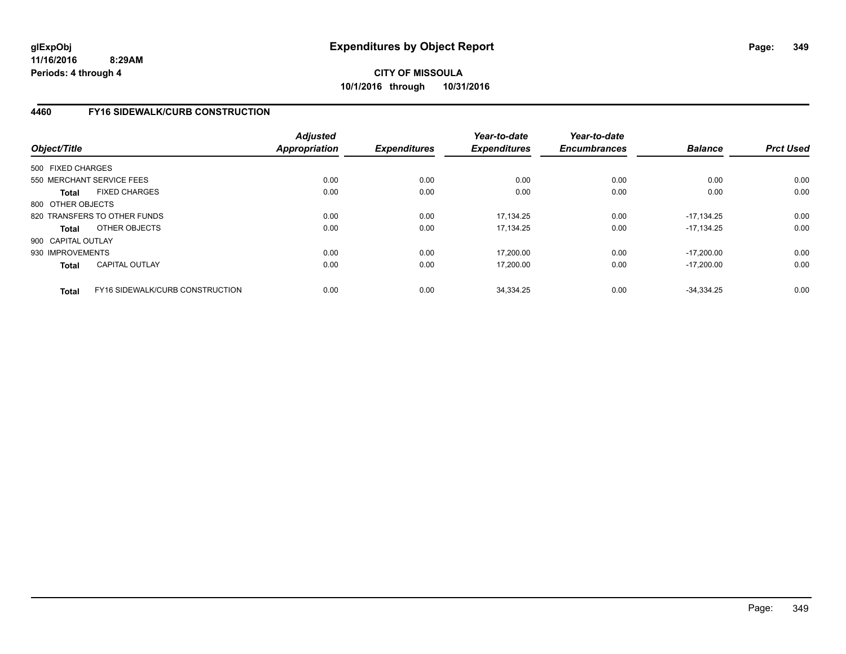## **4460 FY16 SIDEWALK/CURB CONSTRUCTION**

| Object/Title       |                                 | <b>Adjusted</b><br><b>Appropriation</b> | <b>Expenditures</b> | Year-to-date<br><b>Expenditures</b> | Year-to-date<br><b>Encumbrances</b> | <b>Balance</b> | <b>Prct Used</b> |
|--------------------|---------------------------------|-----------------------------------------|---------------------|-------------------------------------|-------------------------------------|----------------|------------------|
| 500 FIXED CHARGES  |                                 |                                         |                     |                                     |                                     |                |                  |
|                    | 550 MERCHANT SERVICE FEES       | 0.00                                    | 0.00                | 0.00                                | 0.00                                | 0.00           | 0.00             |
| <b>Total</b>       | <b>FIXED CHARGES</b>            | 0.00                                    | 0.00                | 0.00                                | 0.00                                | 0.00           | 0.00             |
| 800 OTHER OBJECTS  |                                 |                                         |                     |                                     |                                     |                |                  |
|                    | 820 TRANSFERS TO OTHER FUNDS    | 0.00                                    | 0.00                | 17.134.25                           | 0.00                                | $-17.134.25$   | 0.00             |
| <b>Total</b>       | OTHER OBJECTS                   | 0.00                                    | 0.00                | 17.134.25                           | 0.00                                | $-17.134.25$   | 0.00             |
| 900 CAPITAL OUTLAY |                                 |                                         |                     |                                     |                                     |                |                  |
| 930 IMPROVEMENTS   |                                 | 0.00                                    | 0.00                | 17,200.00                           | 0.00                                | $-17.200.00$   | 0.00             |
| <b>Total</b>       | <b>CAPITAL OUTLAY</b>           | 0.00                                    | 0.00                | 17,200.00                           | 0.00                                | $-17.200.00$   | 0.00             |
| <b>Total</b>       | FY16 SIDEWALK/CURB CONSTRUCTION | 0.00                                    | 0.00                | 34,334.25                           | 0.00                                | $-34.334.25$   | 0.00             |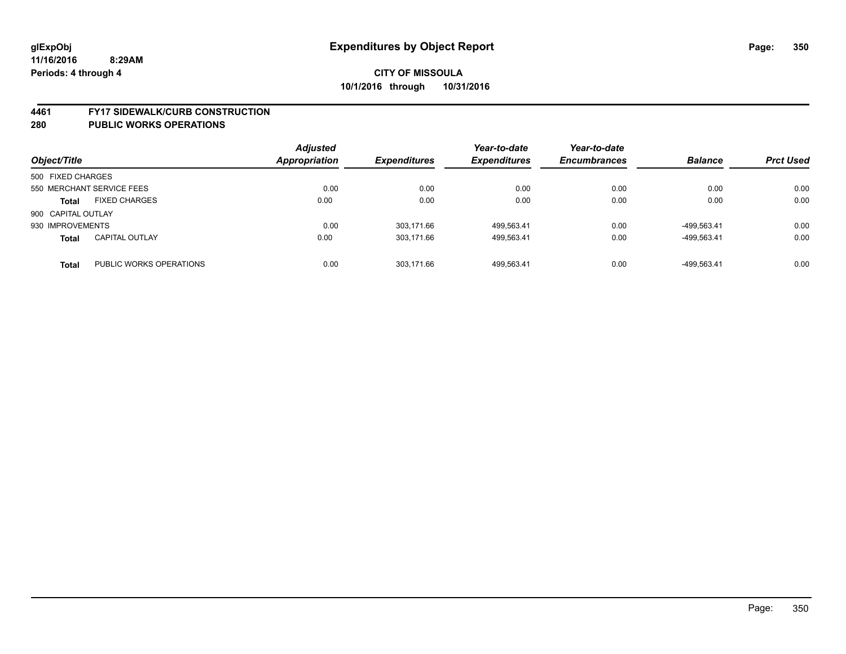#### **4461 FY17 SIDEWALK/CURB CONSTRUCTION**

| Object/Title       |                           | <b>Adjusted</b><br><b>Appropriation</b> | <b>Expenditures</b> | Year-to-date<br><b>Expenditures</b> | Year-to-date<br><b>Encumbrances</b> | <b>Balance</b> | <b>Prct Used</b> |
|--------------------|---------------------------|-----------------------------------------|---------------------|-------------------------------------|-------------------------------------|----------------|------------------|
| 500 FIXED CHARGES  |                           |                                         |                     |                                     |                                     |                |                  |
|                    | 550 MERCHANT SERVICE FEES | 0.00                                    | 0.00                | 0.00                                | 0.00                                | 0.00           | 0.00             |
| <b>Total</b>       | <b>FIXED CHARGES</b>      | 0.00                                    | 0.00                | 0.00                                | 0.00                                | 0.00           | 0.00             |
| 900 CAPITAL OUTLAY |                           |                                         |                     |                                     |                                     |                |                  |
| 930 IMPROVEMENTS   |                           | 0.00                                    | 303.171.66          | 499,563.41                          | 0.00                                | -499.563.41    | 0.00             |
| <b>Total</b>       | <b>CAPITAL OUTLAY</b>     | 0.00                                    | 303.171.66          | 499,563.41                          | 0.00                                | -499.563.41    | 0.00             |
| <b>Total</b>       | PUBLIC WORKS OPERATIONS   | 0.00                                    | 303.171.66          | 499.563.41                          | 0.00                                | -499.563.41    | 0.00             |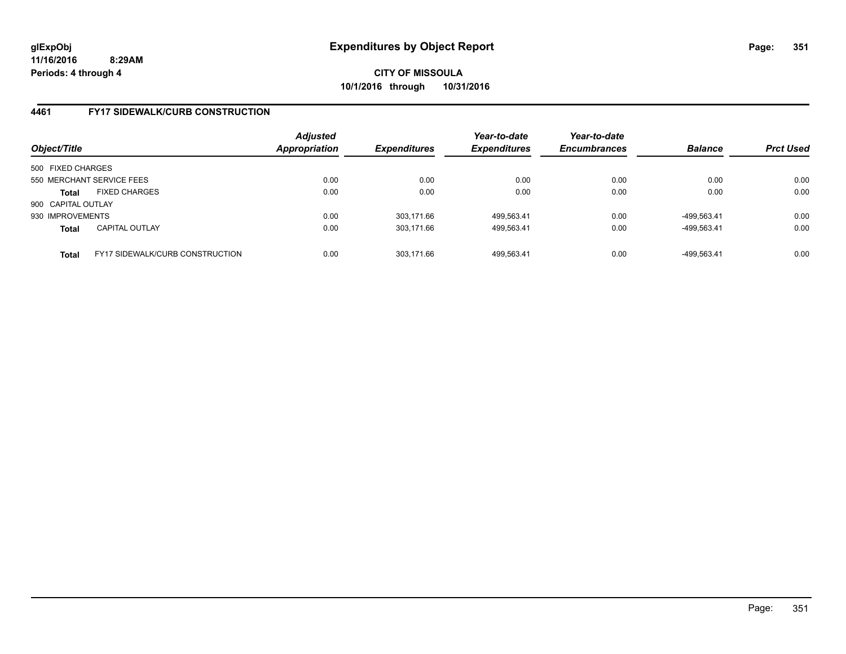## **4461 FY17 SIDEWALK/CURB CONSTRUCTION**

| Object/Title                                           | <b>Adjusted</b><br><b>Appropriation</b> | <b>Expenditures</b> | Year-to-date<br><b>Expenditures</b> | Year-to-date<br><b>Encumbrances</b> | <b>Balance</b> | <b>Prct Used</b> |
|--------------------------------------------------------|-----------------------------------------|---------------------|-------------------------------------|-------------------------------------|----------------|------------------|
| 500 FIXED CHARGES                                      |                                         |                     |                                     |                                     |                |                  |
| 550 MERCHANT SERVICE FEES                              | 0.00                                    | 0.00                | 0.00                                | 0.00                                | 0.00           | 0.00             |
| <b>FIXED CHARGES</b><br><b>Total</b>                   | 0.00                                    | 0.00                | 0.00                                | 0.00                                | 0.00           | 0.00             |
| 900 CAPITAL OUTLAY                                     |                                         |                     |                                     |                                     |                |                  |
| 930 IMPROVEMENTS                                       | 0.00                                    | 303.171.66          | 499,563.41                          | 0.00                                | -499.563.41    | 0.00             |
| <b>CAPITAL OUTLAY</b><br><b>Total</b>                  | 0.00                                    | 303.171.66          | 499,563.41                          | 0.00                                | -499,563.41    | 0.00             |
| <b>FY17 SIDEWALK/CURB CONSTRUCTION</b><br><b>Total</b> | 0.00                                    | 303.171.66          | 499.563.41                          | 0.00                                | -499.563.41    | 0.00             |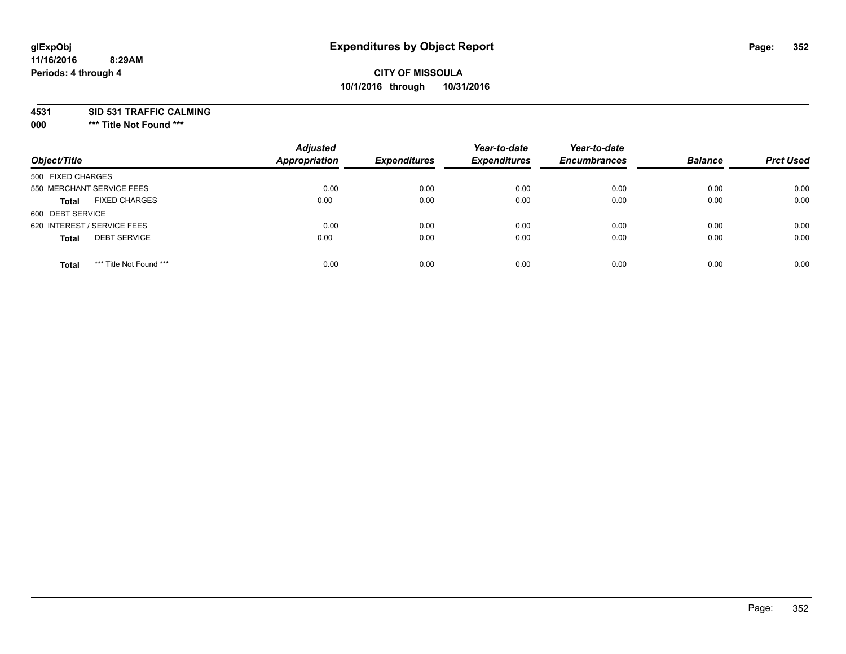#### **11/16/2016 8:29AM Periods: 4 through 4**

## **CITY OF MISSOULA 10/1/2016 through 10/31/2016**

**4531 SID 531 TRAFFIC CALMING**

**000 \*\*\* Title Not Found \*\*\***

| Object/Title                            | <b>Adjusted</b><br><b>Appropriation</b> | <b>Expenditures</b> | Year-to-date<br><b>Expenditures</b> | Year-to-date<br><b>Encumbrances</b> | <b>Balance</b> | <b>Prct Used</b> |
|-----------------------------------------|-----------------------------------------|---------------------|-------------------------------------|-------------------------------------|----------------|------------------|
| 500 FIXED CHARGES                       |                                         |                     |                                     |                                     |                |                  |
| 550 MERCHANT SERVICE FEES               | 0.00                                    | 0.00                | 0.00                                | 0.00                                | 0.00           | 0.00             |
| <b>FIXED CHARGES</b><br><b>Total</b>    | 0.00                                    | 0.00                | 0.00                                | 0.00                                | 0.00           | 0.00             |
| 600 DEBT SERVICE                        |                                         |                     |                                     |                                     |                |                  |
| 620 INTEREST / SERVICE FEES             | 0.00                                    | 0.00                | 0.00                                | 0.00                                | 0.00           | 0.00             |
| <b>DEBT SERVICE</b><br><b>Total</b>     | 0.00                                    | 0.00                | 0.00                                | 0.00                                | 0.00           | 0.00             |
| *** Title Not Found ***<br><b>Total</b> | 0.00                                    | 0.00                | 0.00                                | 0.00                                | 0.00           | 0.00             |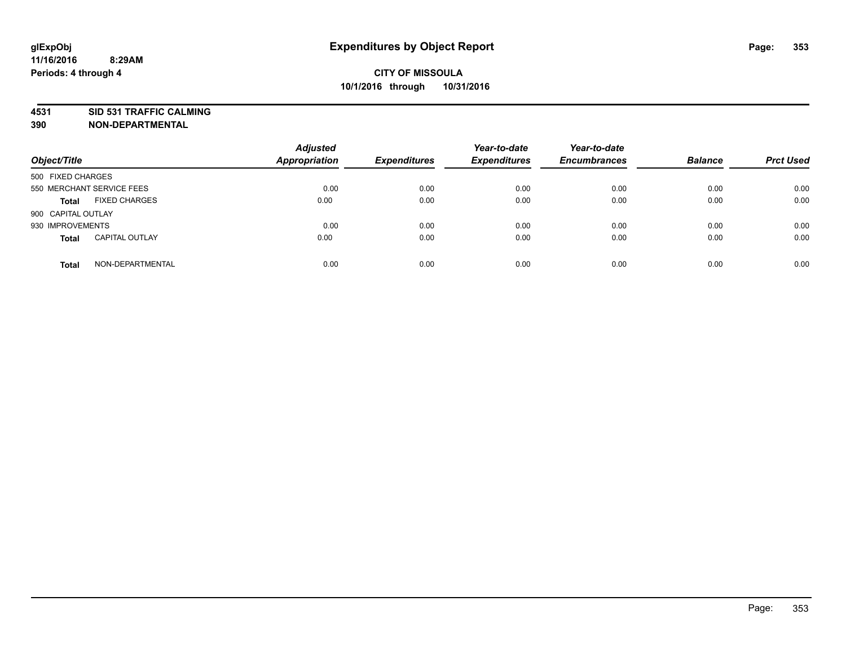**4531 SID 531 TRAFFIC CALMING**

**390 NON-DEPARTMENTAL**

| Object/Title              |                       | <b>Adjusted</b><br><b>Appropriation</b> | <b>Expenditures</b> | Year-to-date<br><b>Expenditures</b> | Year-to-date<br><b>Encumbrances</b> | <b>Balance</b> | <b>Prct Used</b> |
|---------------------------|-----------------------|-----------------------------------------|---------------------|-------------------------------------|-------------------------------------|----------------|------------------|
| 500 FIXED CHARGES         |                       |                                         |                     |                                     |                                     |                |                  |
| 550 MERCHANT SERVICE FEES |                       | 0.00                                    | 0.00                | 0.00                                | 0.00                                | 0.00           | 0.00             |
| <b>Total</b>              | <b>FIXED CHARGES</b>  | 0.00                                    | 0.00                | 0.00                                | 0.00                                | 0.00           | 0.00             |
| 900 CAPITAL OUTLAY        |                       |                                         |                     |                                     |                                     |                |                  |
| 930 IMPROVEMENTS          |                       | 0.00                                    | 0.00                | 0.00                                | 0.00                                | 0.00           | 0.00             |
| <b>Total</b>              | <b>CAPITAL OUTLAY</b> | 0.00                                    | 0.00                | 0.00                                | 0.00                                | 0.00           | 0.00             |
| <b>Total</b>              | NON-DEPARTMENTAL      | 0.00                                    | 0.00                | 0.00                                | 0.00                                | 0.00           | 0.00             |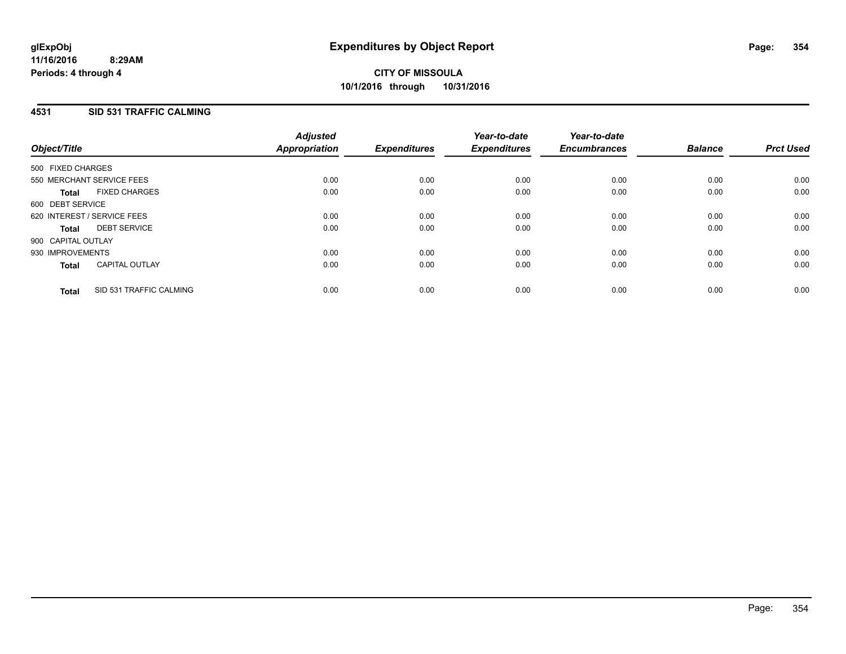### **4531 SID 531 TRAFFIC CALMING**

| Object/Title       |                             | <b>Adjusted</b><br>Appropriation | <b>Expenditures</b> | Year-to-date<br><b>Expenditures</b> | Year-to-date<br><b>Encumbrances</b> | <b>Balance</b> | <b>Prct Used</b> |
|--------------------|-----------------------------|----------------------------------|---------------------|-------------------------------------|-------------------------------------|----------------|------------------|
| 500 FIXED CHARGES  |                             |                                  |                     |                                     |                                     |                |                  |
|                    | 550 MERCHANT SERVICE FEES   | 0.00                             | 0.00                | 0.00                                | 0.00                                | 0.00           | 0.00             |
| <b>Total</b>       | <b>FIXED CHARGES</b>        | 0.00                             | 0.00                | 0.00                                | 0.00                                | 0.00           | 0.00             |
| 600 DEBT SERVICE   |                             |                                  |                     |                                     |                                     |                |                  |
|                    | 620 INTEREST / SERVICE FEES | 0.00                             | 0.00                | 0.00                                | 0.00                                | 0.00           | 0.00             |
| Total              | <b>DEBT SERVICE</b>         | 0.00                             | 0.00                | 0.00                                | 0.00                                | 0.00           | 0.00             |
| 900 CAPITAL OUTLAY |                             |                                  |                     |                                     |                                     |                |                  |
| 930 IMPROVEMENTS   |                             | 0.00                             | 0.00                | 0.00                                | 0.00                                | 0.00           | 0.00             |
| <b>Total</b>       | <b>CAPITAL OUTLAY</b>       | 0.00                             | 0.00                | 0.00                                | 0.00                                | 0.00           | 0.00             |
| <b>Total</b>       | SID 531 TRAFFIC CALMING     | 0.00                             | 0.00                | 0.00                                | 0.00                                | 0.00           | 0.00             |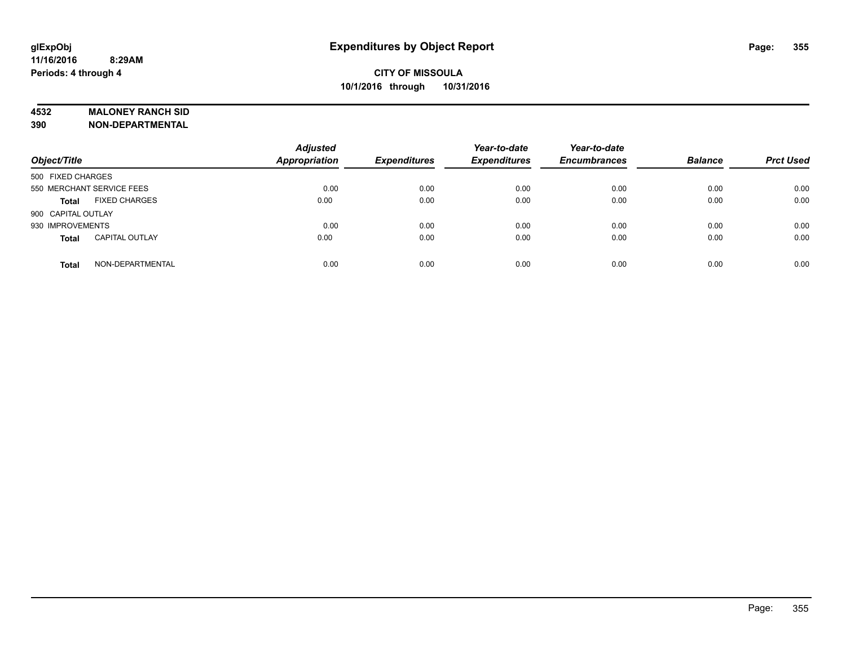#### **4532 MALONEY RANCH SID**

**390 NON-DEPARTMENTAL**

| Object/Title                          | <b>Adjusted</b><br><b>Appropriation</b> | <b>Expenditures</b> | Year-to-date<br><b>Expenditures</b> | Year-to-date<br><b>Encumbrances</b> | <b>Balance</b> | <b>Prct Used</b> |
|---------------------------------------|-----------------------------------------|---------------------|-------------------------------------|-------------------------------------|----------------|------------------|
| 500 FIXED CHARGES                     |                                         |                     |                                     |                                     |                |                  |
| 550 MERCHANT SERVICE FEES             | 0.00                                    | 0.00                | 0.00                                | 0.00                                | 0.00           | 0.00             |
| <b>FIXED CHARGES</b><br><b>Total</b>  | 0.00                                    | 0.00                | 0.00                                | 0.00                                | 0.00           | 0.00             |
| 900 CAPITAL OUTLAY                    |                                         |                     |                                     |                                     |                |                  |
| 930 IMPROVEMENTS                      | 0.00                                    | 0.00                | 0.00                                | 0.00                                | 0.00           | 0.00             |
| <b>CAPITAL OUTLAY</b><br><b>Total</b> | 0.00                                    | 0.00                | 0.00                                | 0.00                                | 0.00           | 0.00             |
| NON-DEPARTMENTAL<br><b>Total</b>      | 0.00                                    | 0.00                | 0.00                                | 0.00                                | 0.00           | 0.00             |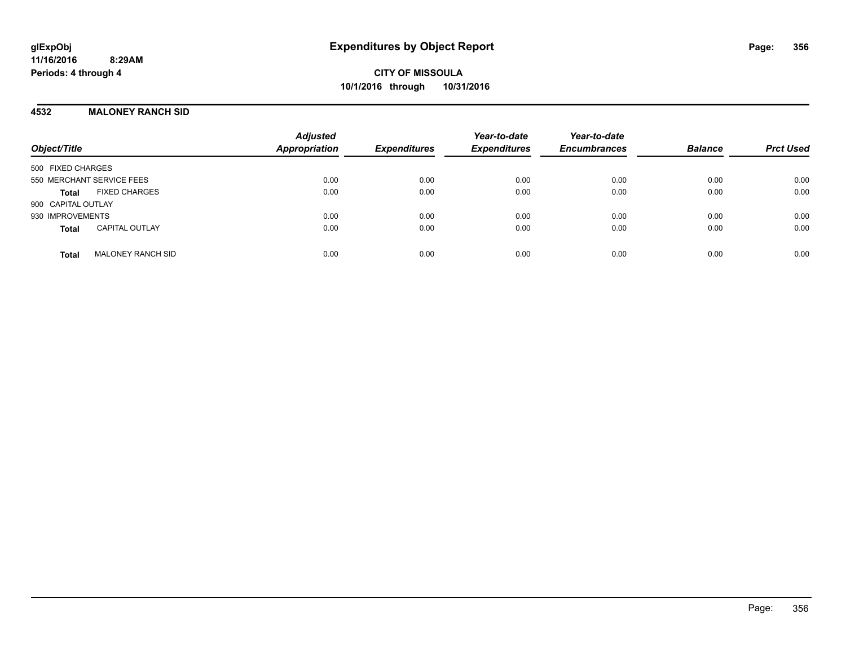## **4532 MALONEY RANCH SID**

| Object/Title                             | <b>Adjusted</b><br>Appropriation | <b>Expenditures</b> | Year-to-date<br><b>Expenditures</b> | Year-to-date<br><b>Encumbrances</b> | <b>Balance</b> | <b>Prct Used</b> |
|------------------------------------------|----------------------------------|---------------------|-------------------------------------|-------------------------------------|----------------|------------------|
| 500 FIXED CHARGES                        |                                  |                     |                                     |                                     |                |                  |
| 550 MERCHANT SERVICE FEES                | 0.00                             | 0.00                | 0.00                                | 0.00                                | 0.00           | 0.00             |
| <b>FIXED CHARGES</b><br><b>Total</b>     | 0.00                             | 0.00                | 0.00                                | 0.00                                | 0.00           | 0.00             |
| 900 CAPITAL OUTLAY                       |                                  |                     |                                     |                                     |                |                  |
| 930 IMPROVEMENTS                         | 0.00                             | 0.00                | 0.00                                | 0.00                                | 0.00           | 0.00             |
| <b>CAPITAL OUTLAY</b><br><b>Total</b>    | 0.00                             | 0.00                | 0.00                                | 0.00                                | 0.00           | 0.00             |
| <b>MALONEY RANCH SID</b><br><b>Total</b> | 0.00                             | 0.00                | 0.00                                | 0.00                                | 0.00           | 0.00             |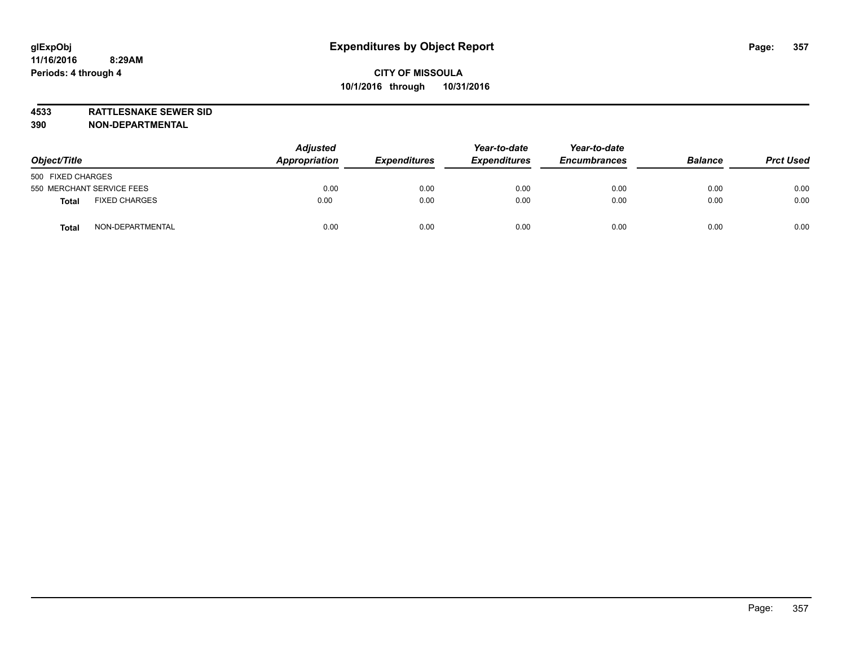**4533 RATTLESNAKE SEWER SID 390 NON-DEPARTMENTAL**

| Object/Title                         | <b>Adjusted</b><br>Appropriation<br><b>Expenditures</b> | Year-to-date<br><b>Expenditures</b> | Year-to-date<br><b>Encumbrances</b> | <b>Balance</b> | <b>Prct Used</b> |      |
|--------------------------------------|---------------------------------------------------------|-------------------------------------|-------------------------------------|----------------|------------------|------|
| 500 FIXED CHARGES                    |                                                         |                                     |                                     |                |                  |      |
| 550 MERCHANT SERVICE FEES            | 0.00                                                    | 0.00                                | 0.00                                | 0.00           | 0.00             | 0.00 |
| <b>FIXED CHARGES</b><br><b>Total</b> | 0.00                                                    | 0.00                                | 0.00                                | 0.00           | 0.00             | 0.00 |
| NON-DEPARTMENTAL<br>Tota             | 0.00                                                    | 0.00                                | 0.00                                | 0.00           | 0.00             | 0.00 |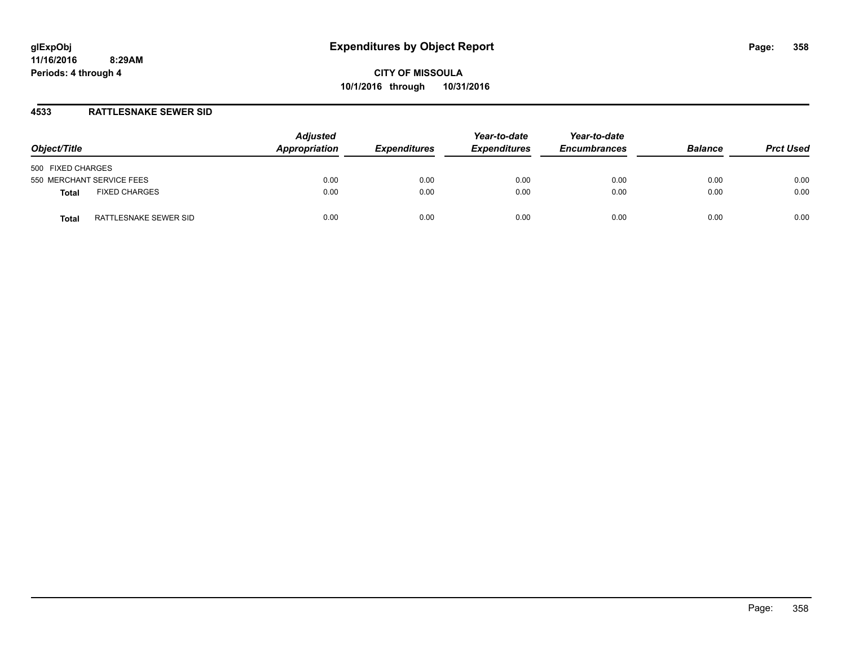#### **4533 RATTLESNAKE SEWER SID**

| Object/Title                          | <b>Adjusted</b><br>Appropriation | <b>Expenditures</b> | Year-to-date<br><b>Expenditures</b> | Year-to-date<br><b>Encumbrances</b> | <b>Balance</b> | <b>Prct Used</b> |
|---------------------------------------|----------------------------------|---------------------|-------------------------------------|-------------------------------------|----------------|------------------|
| 500 FIXED CHARGES                     |                                  |                     |                                     |                                     |                |                  |
| 550 MERCHANT SERVICE FEES             | 0.00                             | 0.00                | 0.00                                | 0.00                                | 0.00           | 0.00             |
| <b>FIXED CHARGES</b><br>Total         | 0.00                             | 0.00                | 0.00                                | 0.00                                | 0.00           | 0.00             |
| RATTLESNAKE SEWER SID<br><b>Total</b> | 0.00                             | 0.00                | 0.00                                | 0.00                                | 0.00           | 0.00             |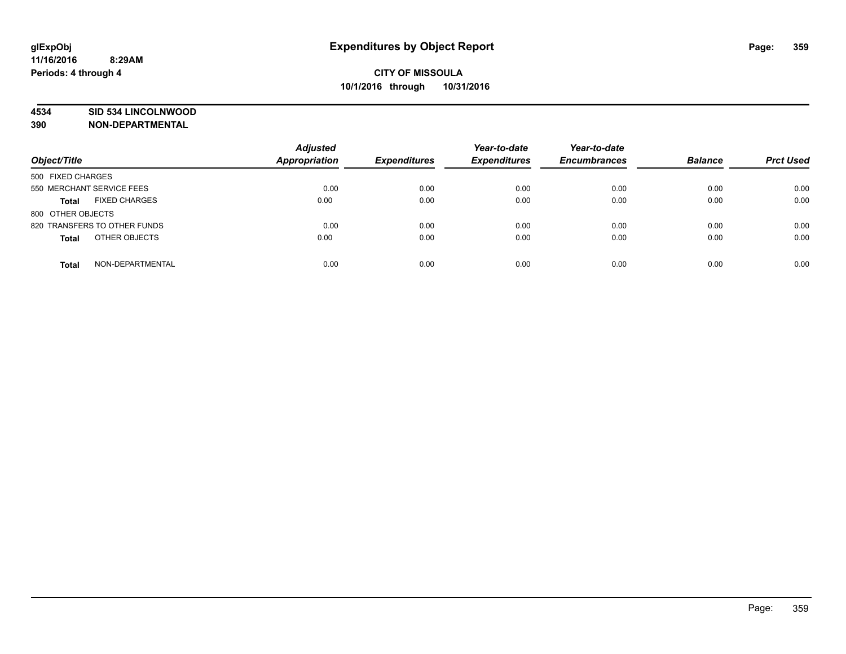#### **4534 SID 534 LINCOLNWOOD**

**390 NON-DEPARTMENTAL**

| Object/Title                         | <b>Adjusted</b><br><b>Appropriation</b> | <b>Expenditures</b> | Year-to-date<br><b>Expenditures</b> | Year-to-date<br><b>Encumbrances</b> | <b>Balance</b> | <b>Prct Used</b> |
|--------------------------------------|-----------------------------------------|---------------------|-------------------------------------|-------------------------------------|----------------|------------------|
|                                      |                                         |                     |                                     |                                     |                |                  |
| 500 FIXED CHARGES                    |                                         |                     |                                     |                                     |                |                  |
| 550 MERCHANT SERVICE FEES            | 0.00                                    | 0.00                | 0.00                                | 0.00                                | 0.00           | 0.00             |
| <b>FIXED CHARGES</b><br><b>Total</b> | 0.00                                    | 0.00                | 0.00                                | 0.00                                | 0.00           | 0.00             |
| 800 OTHER OBJECTS                    |                                         |                     |                                     |                                     |                |                  |
| 820 TRANSFERS TO OTHER FUNDS         | 0.00                                    | 0.00                | 0.00                                | 0.00                                | 0.00           | 0.00             |
| OTHER OBJECTS<br><b>Total</b>        | 0.00                                    | 0.00                | 0.00                                | 0.00                                | 0.00           | 0.00             |
| NON-DEPARTMENTAL<br><b>Total</b>     | 0.00                                    | 0.00                | 0.00                                | 0.00                                | 0.00           | 0.00             |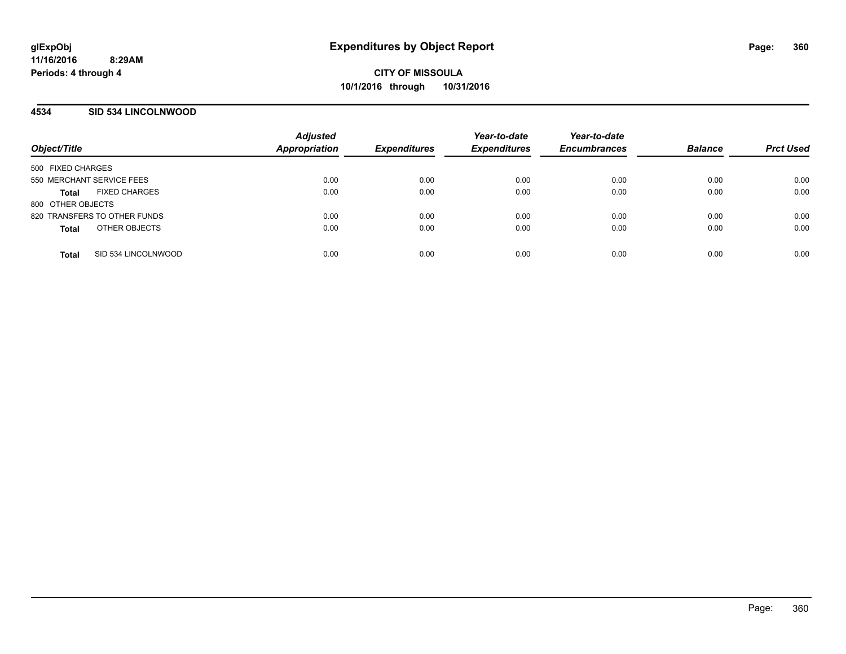## **4534 SID 534 LINCOLNWOOD**

| Object/Title                         | <b>Adjusted</b><br>Appropriation | <b>Expenditures</b> | Year-to-date<br><b>Expenditures</b> | Year-to-date<br><b>Encumbrances</b> | <b>Balance</b> | <b>Prct Used</b> |
|--------------------------------------|----------------------------------|---------------------|-------------------------------------|-------------------------------------|----------------|------------------|
| 500 FIXED CHARGES                    |                                  |                     |                                     |                                     |                |                  |
| 550 MERCHANT SERVICE FEES            | 0.00                             | 0.00                | 0.00                                | 0.00                                | 0.00           | 0.00             |
| <b>FIXED CHARGES</b><br><b>Total</b> | 0.00                             | 0.00                | 0.00                                | 0.00                                | 0.00           | 0.00             |
| 800 OTHER OBJECTS                    |                                  |                     |                                     |                                     |                |                  |
| 820 TRANSFERS TO OTHER FUNDS         | 0.00                             | 0.00                | 0.00                                | 0.00                                | 0.00           | 0.00             |
| OTHER OBJECTS<br><b>Total</b>        | 0.00                             | 0.00                | 0.00                                | 0.00                                | 0.00           | 0.00             |
| SID 534 LINCOLNWOOD<br><b>Total</b>  | 0.00                             | 0.00                | 0.00                                | 0.00                                | 0.00           | 0.00             |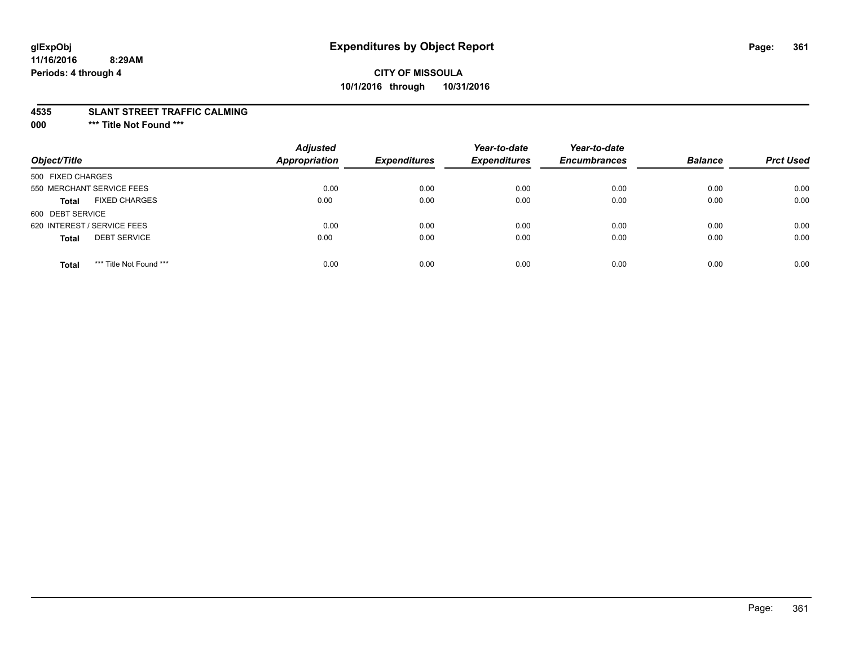# **CITY OF MISSOULA 10/1/2016 through 10/31/2016**

#### **4535 SLANT STREET TRAFFIC CALMING**

**000 \*\*\* Title Not Found \*\*\***

| Object/Title                            | <b>Adjusted</b><br><b>Appropriation</b> | <b>Expenditures</b> | Year-to-date<br><b>Expenditures</b> | Year-to-date<br><b>Encumbrances</b> | <b>Balance</b> | <b>Prct Used</b> |
|-----------------------------------------|-----------------------------------------|---------------------|-------------------------------------|-------------------------------------|----------------|------------------|
| 500 FIXED CHARGES                       |                                         |                     |                                     |                                     |                |                  |
| 550 MERCHANT SERVICE FEES               | 0.00                                    | 0.00                | 0.00                                | 0.00                                | 0.00           | 0.00             |
| <b>FIXED CHARGES</b><br><b>Total</b>    | 0.00                                    | 0.00                | 0.00                                | 0.00                                | 0.00           | 0.00             |
| 600 DEBT SERVICE                        |                                         |                     |                                     |                                     |                |                  |
| 620 INTEREST / SERVICE FEES             | 0.00                                    | 0.00                | 0.00                                | 0.00                                | 0.00           | 0.00             |
| <b>DEBT SERVICE</b><br><b>Total</b>     | 0.00                                    | 0.00                | 0.00                                | 0.00                                | 0.00           | 0.00             |
| *** Title Not Found ***<br><b>Total</b> | 0.00                                    | 0.00                | 0.00                                | 0.00                                | 0.00           | 0.00             |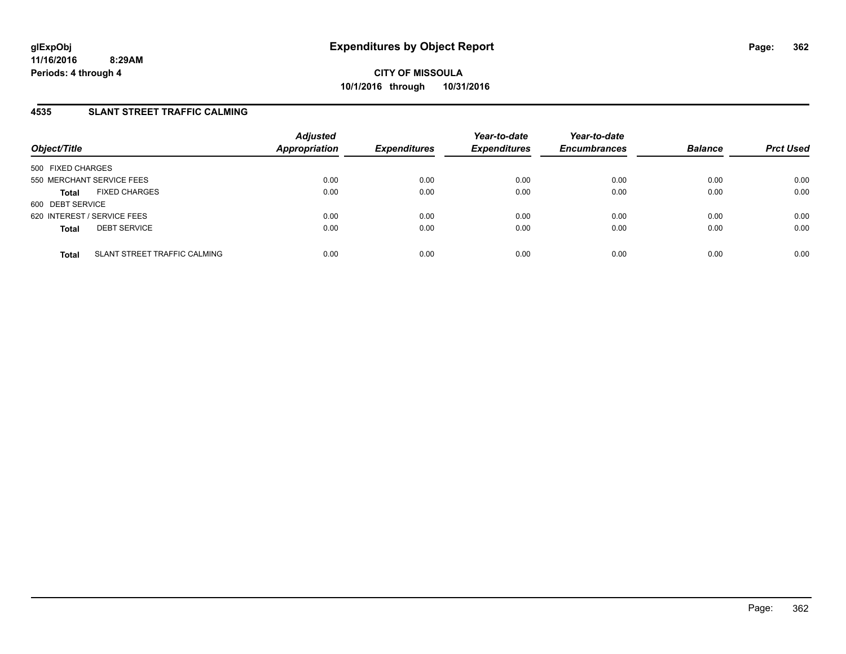### **4535 SLANT STREET TRAFFIC CALMING**

| Object/Title                                 | <b>Adjusted</b><br><b>Appropriation</b> | <b>Expenditures</b> | Year-to-date<br><b>Expenditures</b> | Year-to-date<br><b>Encumbrances</b> | <b>Balance</b> | <b>Prct Used</b> |
|----------------------------------------------|-----------------------------------------|---------------------|-------------------------------------|-------------------------------------|----------------|------------------|
| 500 FIXED CHARGES                            |                                         |                     |                                     |                                     |                |                  |
| 550 MERCHANT SERVICE FEES                    | 0.00                                    | 0.00                | 0.00                                | 0.00                                | 0.00           | 0.00             |
| <b>FIXED CHARGES</b><br><b>Total</b>         | 0.00                                    | 0.00                | 0.00                                | 0.00                                | 0.00           | 0.00             |
| 600 DEBT SERVICE                             |                                         |                     |                                     |                                     |                |                  |
| 620 INTEREST / SERVICE FEES                  | 0.00                                    | 0.00                | 0.00                                | 0.00                                | 0.00           | 0.00             |
| <b>DEBT SERVICE</b><br><b>Total</b>          | 0.00                                    | 0.00                | 0.00                                | 0.00                                | 0.00           | 0.00             |
|                                              |                                         |                     |                                     |                                     |                |                  |
| SLANT STREET TRAFFIC CALMING<br><b>Total</b> | 0.00                                    | 0.00                | 0.00                                | 0.00                                | 0.00           | 0.00             |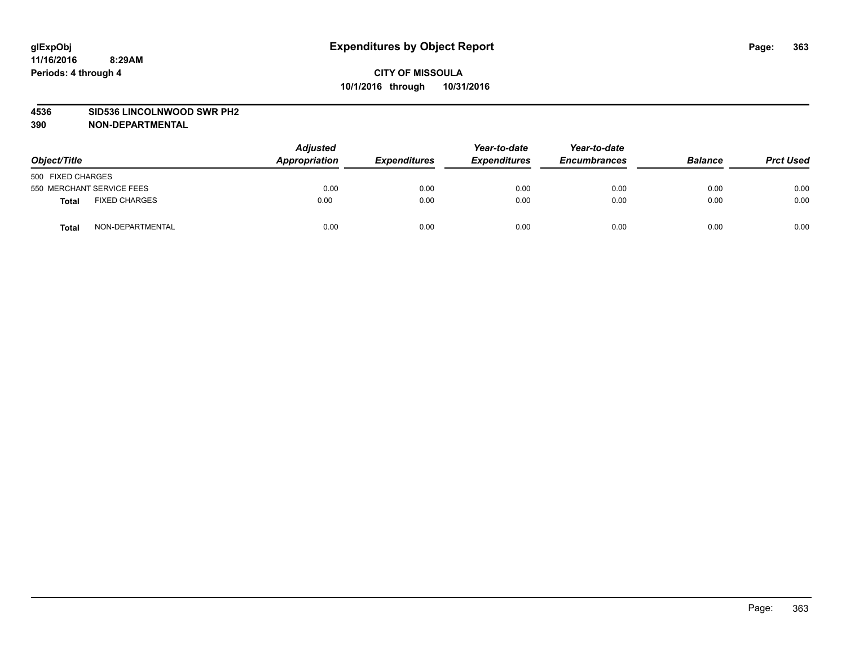#### **4536 SID536 LINCOLNWOOD SWR PH2**

| Object/Title                         | <b>Adjusted</b><br>Appropriation | <b>Expenditures</b> | Year-to-date<br><b>Expenditures</b> | Year-to-date<br><b>Encumbrances</b> | <b>Balance</b> | <b>Prct Used</b> |
|--------------------------------------|----------------------------------|---------------------|-------------------------------------|-------------------------------------|----------------|------------------|
| 500 FIXED CHARGES                    |                                  |                     |                                     |                                     |                |                  |
| 550 MERCHANT SERVICE FEES            | 0.00                             | 0.00                | 0.00                                | 0.00                                | 0.00           | 0.00             |
| <b>FIXED CHARGES</b><br><b>Total</b> | 0.00                             | 0.00                | 0.00                                | 0.00                                | 0.00           | 0.00             |
| NON-DEPARTMENTAL<br>Total            | 0.00                             | 0.00                | 0.00                                | 0.00                                | 0.00           | 0.00             |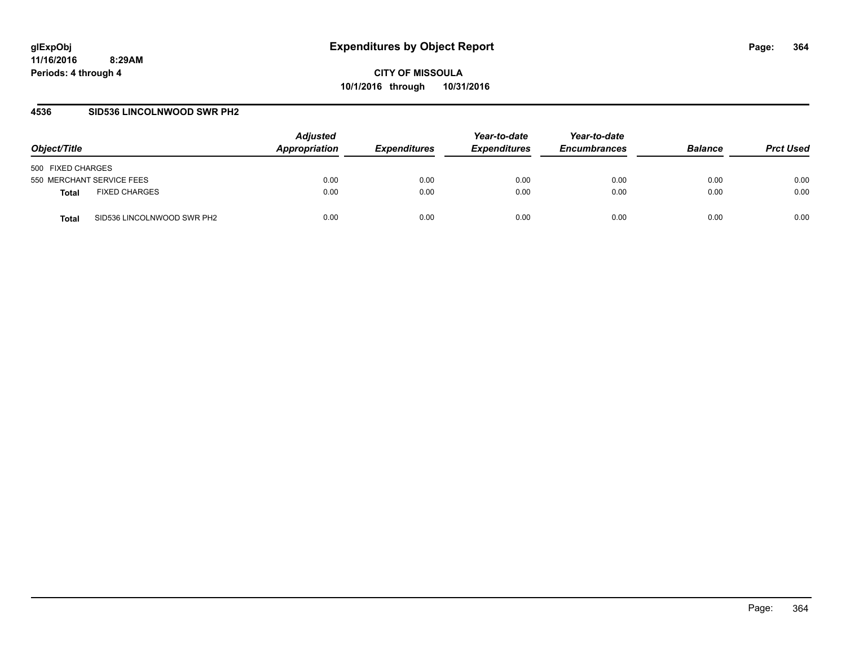**CITY OF MISSOULA 10/1/2016 through 10/31/2016**

### **4536 SID536 LINCOLNWOOD SWR PH2**

| Object/Title                         | <b>Adjusted</b><br>Appropriation | <i><b>Expenditures</b></i> | Year-to-date<br><b>Expenditures</b> | Year-to-date<br><b>Encumbrances</b> | <b>Balance</b> | <b>Prct Used</b> |
|--------------------------------------|----------------------------------|----------------------------|-------------------------------------|-------------------------------------|----------------|------------------|
| 500 FIXED CHARGES                    |                                  |                            |                                     |                                     |                |                  |
| 550 MERCHANT SERVICE FEES            | 0.00                             | 0.00                       | 0.00                                | 0.00                                | 0.00           | 0.00             |
| <b>FIXED CHARGES</b><br><b>Total</b> | 0.00                             | 0.00                       | 0.00                                | 0.00                                | 0.00           | 0.00             |
| SID536 LINCOLNWOOD SWR PH2<br>Total  | 0.00                             | 0.00                       | 0.00                                | 0.00                                | 0.00           | 0.00             |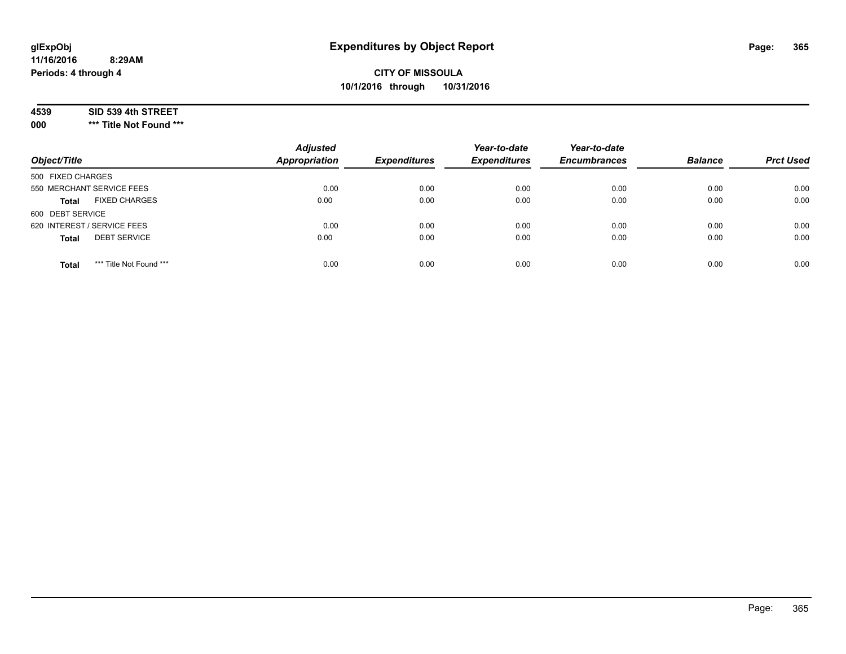# **CITY OF MISSOULA 10/1/2016 through 10/31/2016**

#### **4539 SID 539 4th STREET**

**000 \*\*\* Title Not Found \*\*\***

| Object/Title                            | <b>Adjusted</b><br><b>Appropriation</b> | <b>Expenditures</b> | Year-to-date<br><b>Expenditures</b> | Year-to-date<br><b>Encumbrances</b> | <b>Balance</b> | <b>Prct Used</b> |
|-----------------------------------------|-----------------------------------------|---------------------|-------------------------------------|-------------------------------------|----------------|------------------|
| 500 FIXED CHARGES                       |                                         |                     |                                     |                                     |                |                  |
| 550 MERCHANT SERVICE FEES               | 0.00                                    | 0.00                | 0.00                                | 0.00                                | 0.00           | 0.00             |
| <b>FIXED CHARGES</b><br><b>Total</b>    | 0.00                                    | 0.00                | 0.00                                | 0.00                                | 0.00           | 0.00             |
| 600 DEBT SERVICE                        |                                         |                     |                                     |                                     |                |                  |
| 620 INTEREST / SERVICE FEES             | 0.00                                    | 0.00                | 0.00                                | 0.00                                | 0.00           | 0.00             |
| <b>DEBT SERVICE</b><br><b>Total</b>     | 0.00                                    | 0.00                | 0.00                                | 0.00                                | 0.00           | 0.00             |
| *** Title Not Found ***<br><b>Total</b> | 0.00                                    | 0.00                | 0.00                                | 0.00                                | 0.00           | 0.00             |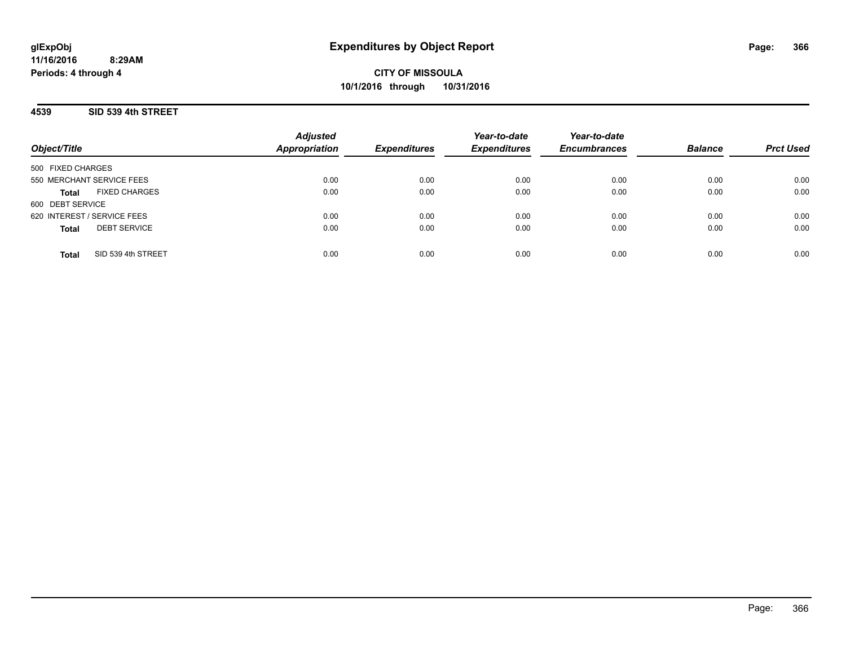**CITY OF MISSOULA 10/1/2016 through 10/31/2016**

**4539 SID 539 4th STREET**

|                                      | <b>Adjusted</b>      |                     | Year-to-date        | Year-to-date        |                |                  |
|--------------------------------------|----------------------|---------------------|---------------------|---------------------|----------------|------------------|
| Object/Title                         | <b>Appropriation</b> | <b>Expenditures</b> | <b>Expenditures</b> | <b>Encumbrances</b> | <b>Balance</b> | <b>Prct Used</b> |
| 500 FIXED CHARGES                    |                      |                     |                     |                     |                |                  |
| 550 MERCHANT SERVICE FEES            | 0.00                 | 0.00                | 0.00                | 0.00                | 0.00           | 0.00             |
| <b>FIXED CHARGES</b><br><b>Total</b> | 0.00                 | 0.00                | 0.00                | 0.00                | 0.00           | 0.00             |
| 600 DEBT SERVICE                     |                      |                     |                     |                     |                |                  |
| 620 INTEREST / SERVICE FEES          | 0.00                 | 0.00                | 0.00                | 0.00                | 0.00           | 0.00             |
| <b>DEBT SERVICE</b><br><b>Total</b>  | 0.00                 | 0.00                | 0.00                | 0.00                | 0.00           | 0.00             |
|                                      |                      |                     |                     |                     |                |                  |
| SID 539 4th STREET<br><b>Total</b>   | 0.00                 | 0.00                | 0.00                | 0.00                | 0.00           | 0.00             |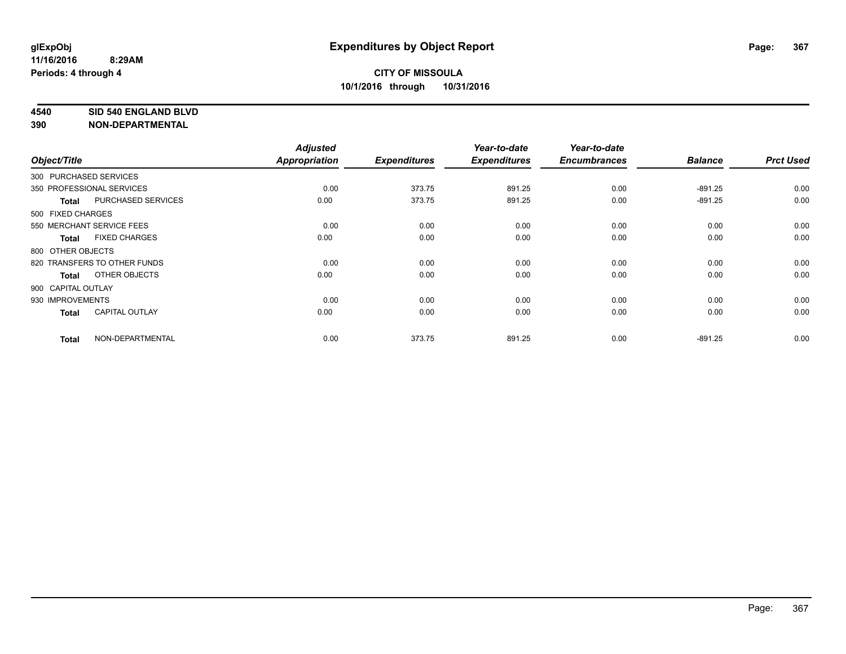#### **4540 SID 540 ENGLAND BLVD**

|                    |                              | <b>Adjusted</b>      |                     | Year-to-date        | Year-to-date        |                |                  |
|--------------------|------------------------------|----------------------|---------------------|---------------------|---------------------|----------------|------------------|
| Object/Title       |                              | <b>Appropriation</b> | <b>Expenditures</b> | <b>Expenditures</b> | <b>Encumbrances</b> | <b>Balance</b> | <b>Prct Used</b> |
|                    | 300 PURCHASED SERVICES       |                      |                     |                     |                     |                |                  |
|                    | 350 PROFESSIONAL SERVICES    | 0.00                 | 373.75              | 891.25              | 0.00                | $-891.25$      | 0.00             |
| <b>Total</b>       | PURCHASED SERVICES           | 0.00                 | 373.75              | 891.25              | 0.00                | $-891.25$      | 0.00             |
| 500 FIXED CHARGES  |                              |                      |                     |                     |                     |                |                  |
|                    | 550 MERCHANT SERVICE FEES    | 0.00                 | 0.00                | 0.00                | 0.00                | 0.00           | 0.00             |
| <b>Total</b>       | <b>FIXED CHARGES</b>         | 0.00                 | 0.00                | 0.00                | 0.00                | 0.00           | 0.00             |
| 800 OTHER OBJECTS  |                              |                      |                     |                     |                     |                |                  |
|                    | 820 TRANSFERS TO OTHER FUNDS | 0.00                 | 0.00                | 0.00                | 0.00                | 0.00           | 0.00             |
| <b>Total</b>       | OTHER OBJECTS                | 0.00                 | 0.00                | 0.00                | 0.00                | 0.00           | 0.00             |
| 900 CAPITAL OUTLAY |                              |                      |                     |                     |                     |                |                  |
| 930 IMPROVEMENTS   |                              | 0.00                 | 0.00                | 0.00                | 0.00                | 0.00           | 0.00             |
| <b>Total</b>       | <b>CAPITAL OUTLAY</b>        | 0.00                 | 0.00                | 0.00                | 0.00                | 0.00           | 0.00             |
| <b>Total</b>       | NON-DEPARTMENTAL             | 0.00                 | 373.75              | 891.25              | 0.00                | $-891.25$      | 0.00             |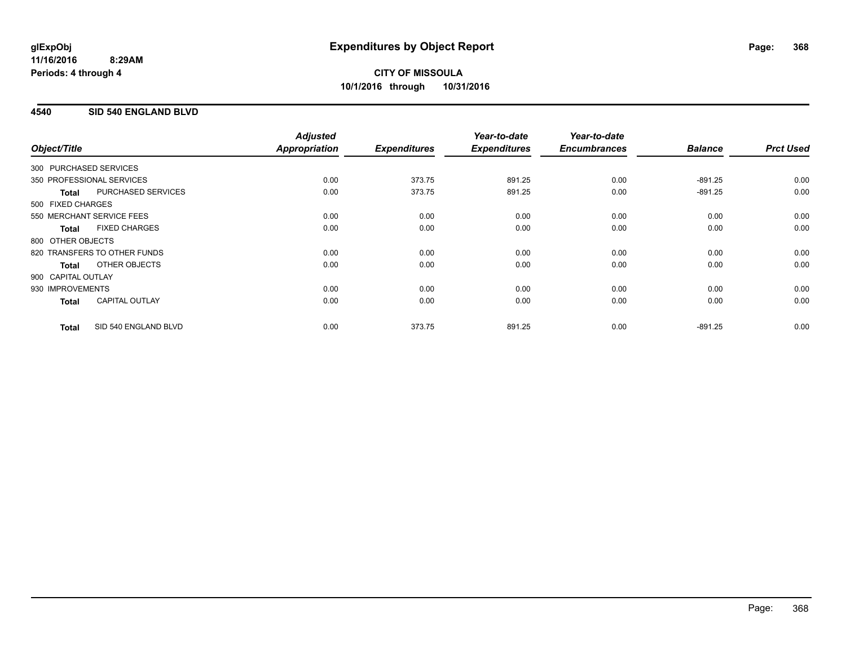# **CITY OF MISSOULA 10/1/2016 through 10/31/2016**

### **4540 SID 540 ENGLAND BLVD**

|                        |                              | <b>Adjusted</b>      |                     | Year-to-date        | Year-to-date        |                |                  |
|------------------------|------------------------------|----------------------|---------------------|---------------------|---------------------|----------------|------------------|
| Object/Title           |                              | <b>Appropriation</b> | <b>Expenditures</b> | <b>Expenditures</b> | <b>Encumbrances</b> | <b>Balance</b> | <b>Prct Used</b> |
| 300 PURCHASED SERVICES |                              |                      |                     |                     |                     |                |                  |
|                        | 350 PROFESSIONAL SERVICES    | 0.00                 | 373.75              | 891.25              | 0.00                | $-891.25$      | 0.00             |
| <b>Total</b>           | PURCHASED SERVICES           | 0.00                 | 373.75              | 891.25              | 0.00                | $-891.25$      | 0.00             |
| 500 FIXED CHARGES      |                              |                      |                     |                     |                     |                |                  |
|                        | 550 MERCHANT SERVICE FEES    | 0.00                 | 0.00                | 0.00                | 0.00                | 0.00           | 0.00             |
| <b>Total</b>           | <b>FIXED CHARGES</b>         | 0.00                 | 0.00                | 0.00                | 0.00                | 0.00           | 0.00             |
| 800 OTHER OBJECTS      |                              |                      |                     |                     |                     |                |                  |
|                        | 820 TRANSFERS TO OTHER FUNDS | 0.00                 | 0.00                | 0.00                | 0.00                | 0.00           | 0.00             |
| Total                  | OTHER OBJECTS                | 0.00                 | 0.00                | 0.00                | 0.00                | 0.00           | 0.00             |
| 900 CAPITAL OUTLAY     |                              |                      |                     |                     |                     |                |                  |
| 930 IMPROVEMENTS       |                              | 0.00                 | 0.00                | 0.00                | 0.00                | 0.00           | 0.00             |
| <b>Total</b>           | <b>CAPITAL OUTLAY</b>        | 0.00                 | 0.00                | 0.00                | 0.00                | 0.00           | 0.00             |
| <b>Total</b>           | SID 540 ENGLAND BLVD         | 0.00                 | 373.75              | 891.25              | 0.00                | $-891.25$      | 0.00             |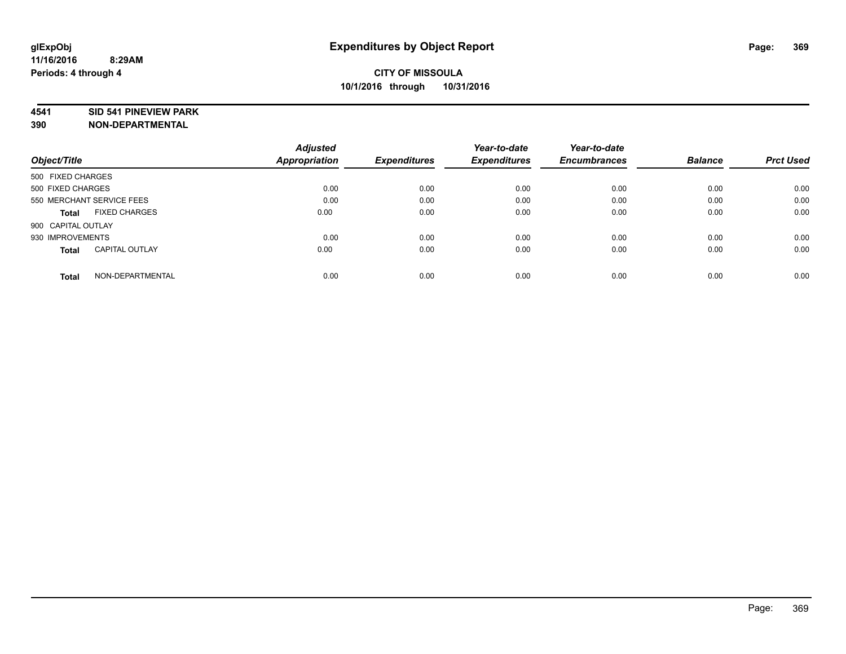#### **4541 SID 541 PINEVIEW PARK**

|                                       | <b>Adjusted</b> |                     | Year-to-date        | Year-to-date        |                |                  |
|---------------------------------------|-----------------|---------------------|---------------------|---------------------|----------------|------------------|
| Object/Title                          | Appropriation   | <b>Expenditures</b> | <b>Expenditures</b> | <b>Encumbrances</b> | <b>Balance</b> | <b>Prct Used</b> |
| 500 FIXED CHARGES                     |                 |                     |                     |                     |                |                  |
| 500 FIXED CHARGES                     | 0.00            | 0.00                | 0.00                | 0.00                | 0.00           | 0.00             |
| 550 MERCHANT SERVICE FEES             | 0.00            | 0.00                | 0.00                | 0.00                | 0.00           | 0.00             |
| <b>FIXED CHARGES</b><br>Total         | 0.00            | 0.00                | 0.00                | 0.00                | 0.00           | 0.00             |
| 900 CAPITAL OUTLAY                    |                 |                     |                     |                     |                |                  |
| 930 IMPROVEMENTS                      | 0.00            | 0.00                | 0.00                | 0.00                | 0.00           | 0.00             |
| <b>CAPITAL OUTLAY</b><br><b>Total</b> | 0.00            | 0.00                | 0.00                | 0.00                | 0.00           | 0.00             |
| NON-DEPARTMENTAL<br><b>Total</b>      | 0.00            | 0.00                | 0.00                | 0.00                | 0.00           | 0.00             |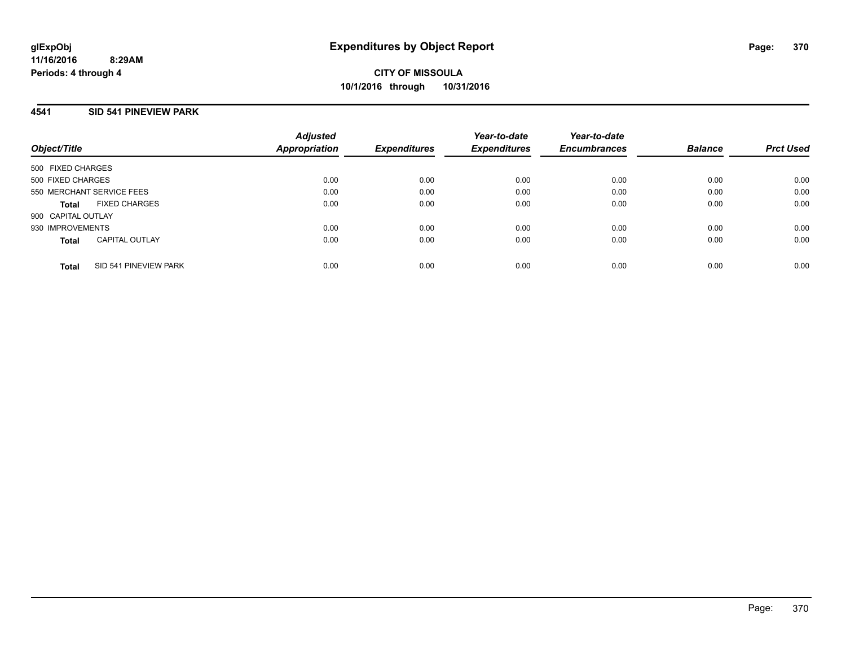## **4541 SID 541 PINEVIEW PARK**

| Object/Title              |                       | <b>Adjusted</b><br>Appropriation | <b>Expenditures</b> | Year-to-date<br><b>Expenditures</b> | Year-to-date<br><b>Encumbrances</b> | <b>Balance</b> | <b>Prct Used</b> |
|---------------------------|-----------------------|----------------------------------|---------------------|-------------------------------------|-------------------------------------|----------------|------------------|
| 500 FIXED CHARGES         |                       |                                  |                     |                                     |                                     |                |                  |
| 500 FIXED CHARGES         |                       | 0.00                             | 0.00                | 0.00                                | 0.00                                | 0.00           | 0.00             |
| 550 MERCHANT SERVICE FEES |                       | 0.00                             | 0.00                | 0.00                                | 0.00                                | 0.00           | 0.00             |
| <b>Total</b>              | <b>FIXED CHARGES</b>  | 0.00                             | 0.00                | 0.00                                | 0.00                                | 0.00           | 0.00             |
| 900 CAPITAL OUTLAY        |                       |                                  |                     |                                     |                                     |                |                  |
| 930 IMPROVEMENTS          |                       | 0.00                             | 0.00                | 0.00                                | 0.00                                | 0.00           | 0.00             |
| <b>Total</b>              | <b>CAPITAL OUTLAY</b> | 0.00                             | 0.00                | 0.00                                | 0.00                                | 0.00           | 0.00             |
| <b>Total</b>              | SID 541 PINEVIEW PARK | 0.00                             | 0.00                | 0.00                                | 0.00                                | 0.00           | 0.00             |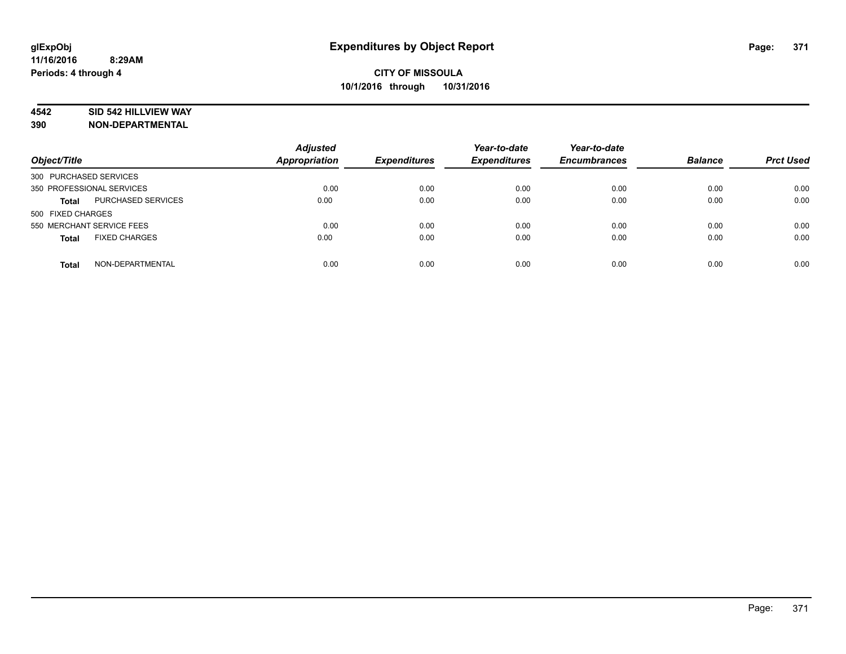### **4542 SID 542 HILLVIEW WAY**

| Object/Title                         | <b>Adjusted</b><br><b>Appropriation</b> | <b>Expenditures</b> | Year-to-date<br><b>Expenditures</b> | Year-to-date<br><b>Encumbrances</b> | <b>Balance</b> | <b>Prct Used</b> |
|--------------------------------------|-----------------------------------------|---------------------|-------------------------------------|-------------------------------------|----------------|------------------|
| 300 PURCHASED SERVICES               |                                         |                     |                                     |                                     |                |                  |
| 350 PROFESSIONAL SERVICES            | 0.00                                    | 0.00                | 0.00                                | 0.00                                | 0.00           | 0.00             |
| PURCHASED SERVICES<br><b>Total</b>   | 0.00                                    | 0.00                | 0.00                                | 0.00                                | 0.00           | 0.00             |
| 500 FIXED CHARGES                    |                                         |                     |                                     |                                     |                |                  |
| 550 MERCHANT SERVICE FEES            | 0.00                                    | 0.00                | 0.00                                | 0.00                                | 0.00           | 0.00             |
| <b>FIXED CHARGES</b><br><b>Total</b> | 0.00                                    | 0.00                | 0.00                                | 0.00                                | 0.00           | 0.00             |
|                                      |                                         |                     |                                     |                                     |                |                  |
| NON-DEPARTMENTAL<br><b>Total</b>     | 0.00                                    | 0.00                | 0.00                                | 0.00                                | 0.00           | 0.00             |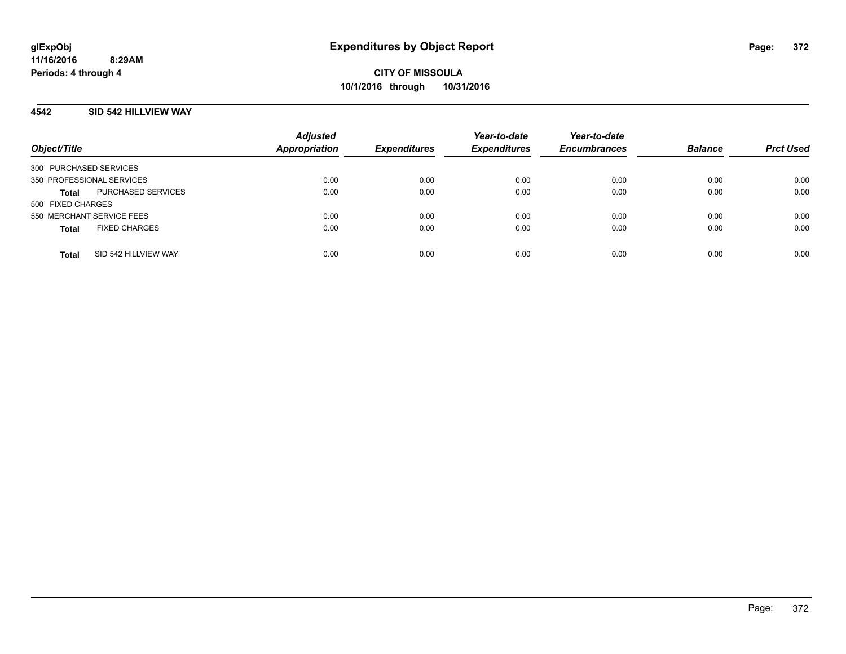### **4542 SID 542 HILLVIEW WAY**

| Object/Title                         | <b>Adjusted</b><br><b>Appropriation</b> | <b>Expenditures</b> | Year-to-date<br><b>Expenditures</b> | Year-to-date<br><b>Encumbrances</b> | <b>Balance</b> | <b>Prct Used</b> |
|--------------------------------------|-----------------------------------------|---------------------|-------------------------------------|-------------------------------------|----------------|------------------|
| 300 PURCHASED SERVICES               |                                         |                     |                                     |                                     |                |                  |
| 350 PROFESSIONAL SERVICES            | 0.00                                    | 0.00                | 0.00                                | 0.00                                | 0.00           | 0.00             |
| PURCHASED SERVICES<br><b>Total</b>   | 0.00                                    | 0.00                | 0.00                                | 0.00                                | 0.00           | 0.00             |
| 500 FIXED CHARGES                    |                                         |                     |                                     |                                     |                |                  |
| 550 MERCHANT SERVICE FEES            | 0.00                                    | 0.00                | 0.00                                | 0.00                                | 0.00           | 0.00             |
| <b>FIXED CHARGES</b><br><b>Total</b> | 0.00                                    | 0.00                | 0.00                                | 0.00                                | 0.00           | 0.00             |
| SID 542 HILLVIEW WAY<br><b>Total</b> | 0.00                                    | 0.00                | 0.00                                | 0.00                                | 0.00           | 0.00             |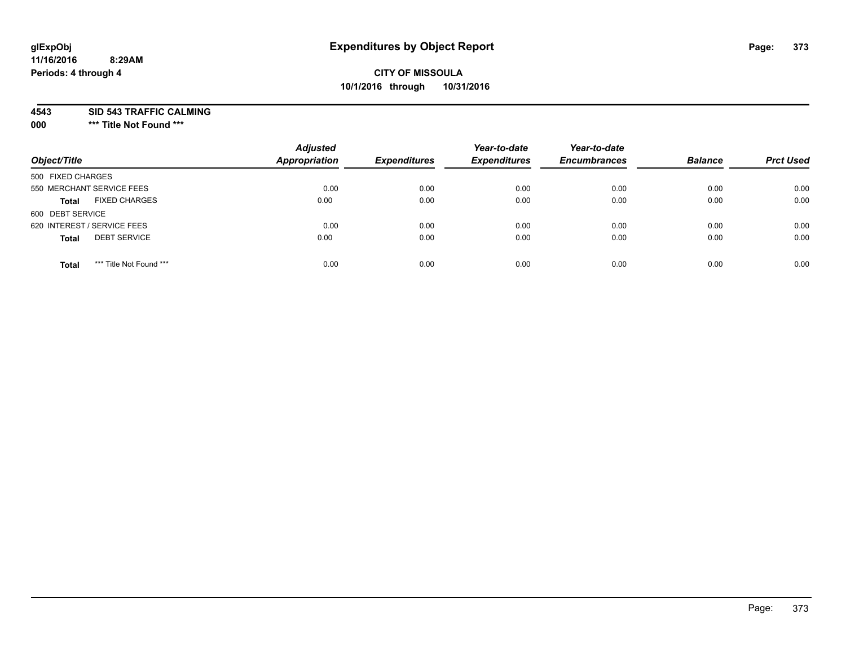# **CITY OF MISSOULA 10/1/2016 through 10/31/2016**

**4543 SID 543 TRAFFIC CALMING**

**000 \*\*\* Title Not Found \*\*\***

| Object/Title                            | <b>Adjusted</b><br>Appropriation | <b>Expenditures</b> | Year-to-date<br><b>Expenditures</b> | Year-to-date<br><b>Encumbrances</b> | <b>Balance</b> | <b>Prct Used</b> |
|-----------------------------------------|----------------------------------|---------------------|-------------------------------------|-------------------------------------|----------------|------------------|
| 500 FIXED CHARGES                       |                                  |                     |                                     |                                     |                |                  |
| 550 MERCHANT SERVICE FEES               | 0.00                             | 0.00                | 0.00                                | 0.00                                | 0.00           | 0.00             |
| <b>FIXED CHARGES</b><br><b>Total</b>    | 0.00                             | 0.00                | 0.00                                | 0.00                                | 0.00           | 0.00             |
| 600 DEBT SERVICE                        |                                  |                     |                                     |                                     |                |                  |
| 620 INTEREST / SERVICE FEES             | 0.00                             | 0.00                | 0.00                                | 0.00                                | 0.00           | 0.00             |
| <b>DEBT SERVICE</b><br><b>Total</b>     | 0.00                             | 0.00                | 0.00                                | 0.00                                | 0.00           | 0.00             |
| *** Title Not Found ***<br><b>Total</b> | 0.00                             | 0.00                | 0.00                                | 0.00                                | 0.00           | 0.00             |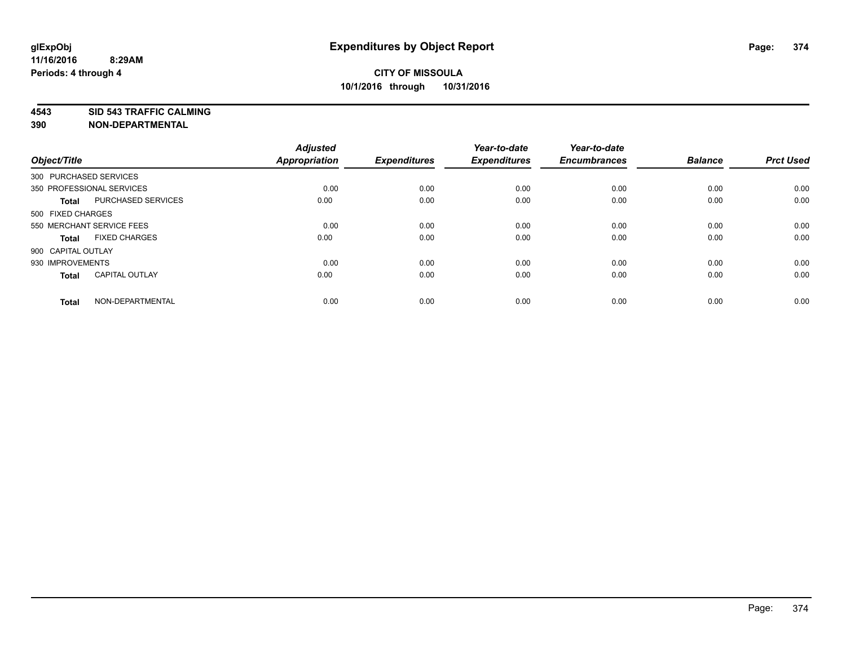**4543 SID 543 TRAFFIC CALMING**

| Object/Title           |                           | <b>Adjusted</b><br>Appropriation | <b>Expenditures</b> | Year-to-date<br><b>Expenditures</b> | Year-to-date<br><b>Encumbrances</b> | <b>Balance</b> | <b>Prct Used</b> |
|------------------------|---------------------------|----------------------------------|---------------------|-------------------------------------|-------------------------------------|----------------|------------------|
| 300 PURCHASED SERVICES |                           |                                  |                     |                                     |                                     |                |                  |
|                        | 350 PROFESSIONAL SERVICES | 0.00                             | 0.00                | 0.00                                | 0.00                                | 0.00           | 0.00             |
| <b>Total</b>           | PURCHASED SERVICES        | 0.00                             | 0.00                | 0.00                                | 0.00                                | 0.00           | 0.00             |
| 500 FIXED CHARGES      |                           |                                  |                     |                                     |                                     |                |                  |
|                        | 550 MERCHANT SERVICE FEES | 0.00                             | 0.00                | 0.00                                | 0.00                                | 0.00           | 0.00             |
| <b>Total</b>           | <b>FIXED CHARGES</b>      | 0.00                             | 0.00                | 0.00                                | 0.00                                | 0.00           | 0.00             |
| 900 CAPITAL OUTLAY     |                           |                                  |                     |                                     |                                     |                |                  |
| 930 IMPROVEMENTS       |                           | 0.00                             | 0.00                | 0.00                                | 0.00                                | 0.00           | 0.00             |
| <b>Total</b>           | <b>CAPITAL OUTLAY</b>     | 0.00                             | 0.00                | 0.00                                | 0.00                                | 0.00           | 0.00             |
| <b>Total</b>           | NON-DEPARTMENTAL          | 0.00                             | 0.00                | 0.00                                | 0.00                                | 0.00           | 0.00             |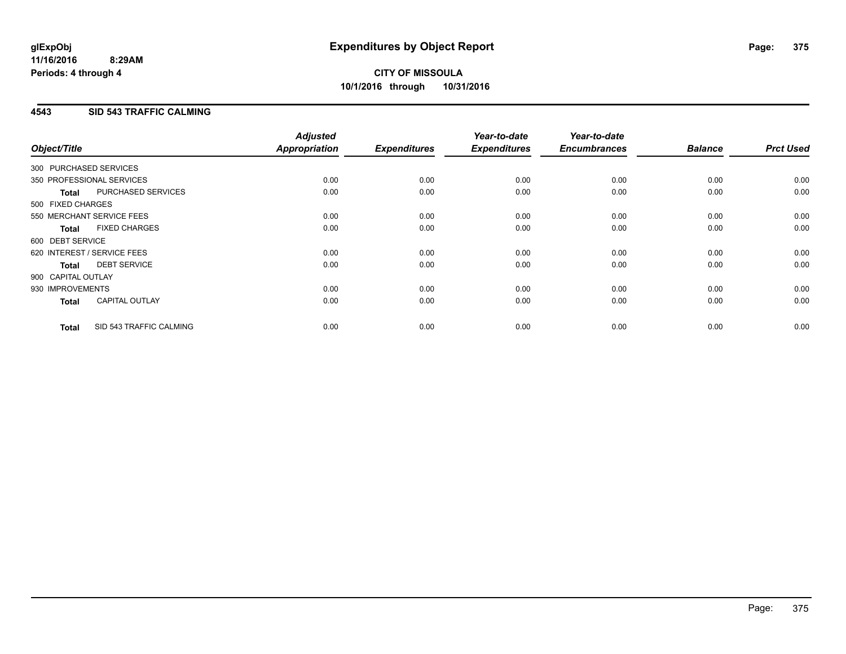## **4543 SID 543 TRAFFIC CALMING**

| Object/Title           |                             | <b>Adjusted</b><br>Appropriation | <b>Expenditures</b> | Year-to-date<br><b>Expenditures</b> | Year-to-date<br><b>Encumbrances</b> | <b>Balance</b> | <b>Prct Used</b> |
|------------------------|-----------------------------|----------------------------------|---------------------|-------------------------------------|-------------------------------------|----------------|------------------|
| 300 PURCHASED SERVICES |                             |                                  |                     |                                     |                                     |                |                  |
|                        | 350 PROFESSIONAL SERVICES   | 0.00                             | 0.00                | 0.00                                | 0.00                                | 0.00           | 0.00             |
| <b>Total</b>           | PURCHASED SERVICES          | 0.00                             | 0.00                | 0.00                                | 0.00                                | 0.00           | 0.00             |
| 500 FIXED CHARGES      |                             |                                  |                     |                                     |                                     |                |                  |
|                        | 550 MERCHANT SERVICE FEES   | 0.00                             | 0.00                | 0.00                                | 0.00                                | 0.00           | 0.00             |
| <b>Total</b>           | <b>FIXED CHARGES</b>        | 0.00                             | 0.00                | 0.00                                | 0.00                                | 0.00           | 0.00             |
| 600 DEBT SERVICE       |                             |                                  |                     |                                     |                                     |                |                  |
|                        | 620 INTEREST / SERVICE FEES | 0.00                             | 0.00                | 0.00                                | 0.00                                | 0.00           | 0.00             |
| Total                  | <b>DEBT SERVICE</b>         | 0.00                             | 0.00                | 0.00                                | 0.00                                | 0.00           | 0.00             |
| 900 CAPITAL OUTLAY     |                             |                                  |                     |                                     |                                     |                |                  |
| 930 IMPROVEMENTS       |                             | 0.00                             | 0.00                | 0.00                                | 0.00                                | 0.00           | 0.00             |
| <b>Total</b>           | <b>CAPITAL OUTLAY</b>       | 0.00                             | 0.00                | 0.00                                | 0.00                                | 0.00           | 0.00             |
| <b>Total</b>           | SID 543 TRAFFIC CALMING     | 0.00                             | 0.00                | 0.00                                | 0.00                                | 0.00           | 0.00             |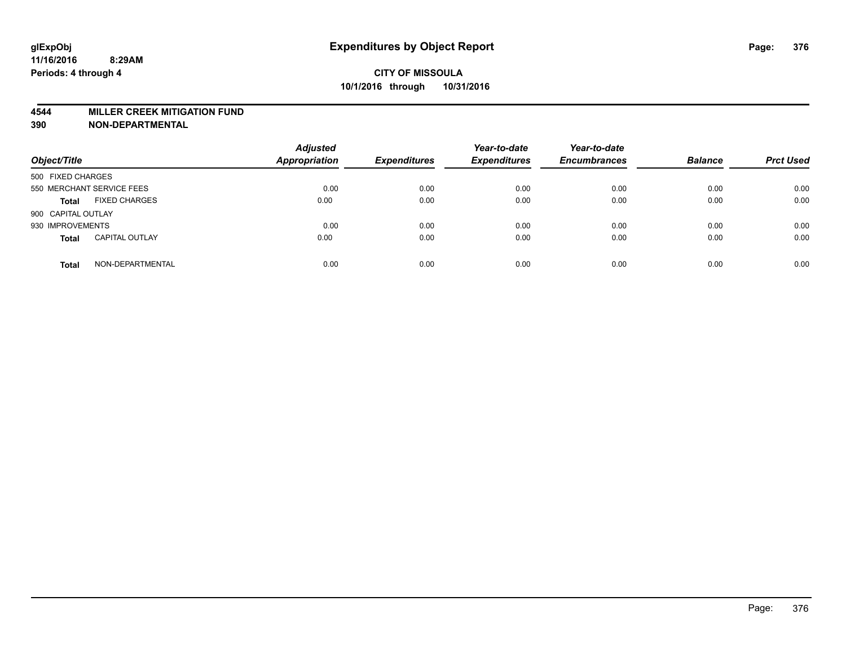#### **4544 MILLER CREEK MITIGATION FUND**

| Object/Title              |                       | <b>Adjusted</b><br><b>Appropriation</b> | <b>Expenditures</b> | Year-to-date<br><b>Expenditures</b> | Year-to-date<br><b>Encumbrances</b> | <b>Balance</b> | <b>Prct Used</b> |
|---------------------------|-----------------------|-----------------------------------------|---------------------|-------------------------------------|-------------------------------------|----------------|------------------|
| 500 FIXED CHARGES         |                       |                                         |                     |                                     |                                     |                |                  |
| 550 MERCHANT SERVICE FEES |                       | 0.00                                    | 0.00                | 0.00                                | 0.00                                | 0.00           | 0.00             |
| <b>Total</b>              | <b>FIXED CHARGES</b>  | 0.00                                    | 0.00                | 0.00                                | 0.00                                | 0.00           | 0.00             |
| 900 CAPITAL OUTLAY        |                       |                                         |                     |                                     |                                     |                |                  |
| 930 IMPROVEMENTS          |                       | 0.00                                    | 0.00                | 0.00                                | 0.00                                | 0.00           | 0.00             |
| <b>Total</b>              | <b>CAPITAL OUTLAY</b> | 0.00                                    | 0.00                | 0.00                                | 0.00                                | 0.00           | 0.00             |
| <b>Total</b>              | NON-DEPARTMENTAL      | 0.00                                    | 0.00                | 0.00                                | 0.00                                | 0.00           | 0.00             |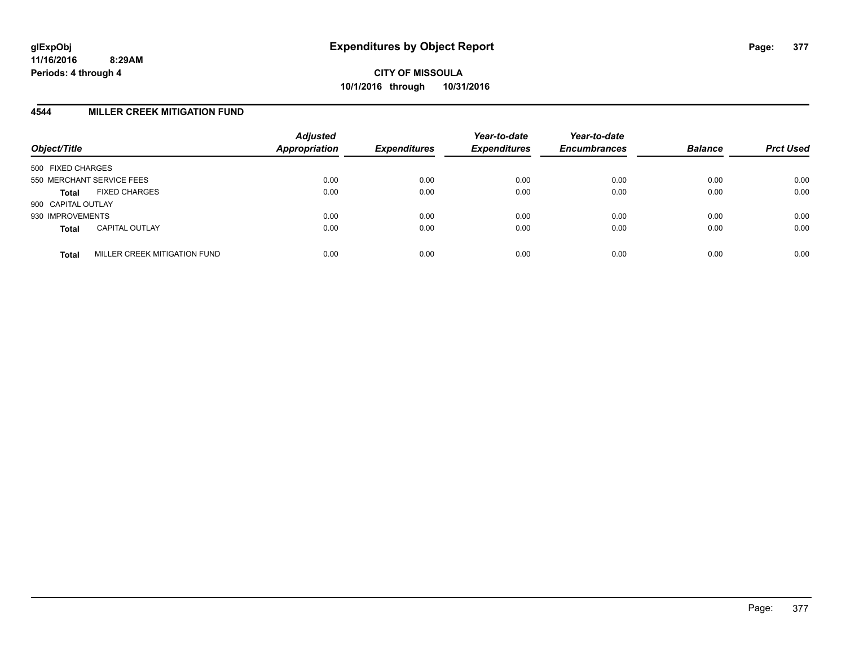**CITY OF MISSOULA 10/1/2016 through 10/31/2016**

### **4544 MILLER CREEK MITIGATION FUND**

| Object/Title       |                              | <b>Adjusted</b><br><b>Appropriation</b> | <b>Expenditures</b> | Year-to-date<br><b>Expenditures</b> | Year-to-date<br><b>Encumbrances</b> | <b>Balance</b> | <b>Prct Used</b> |
|--------------------|------------------------------|-----------------------------------------|---------------------|-------------------------------------|-------------------------------------|----------------|------------------|
| 500 FIXED CHARGES  |                              |                                         |                     |                                     |                                     |                |                  |
|                    | 550 MERCHANT SERVICE FEES    | 0.00                                    | 0.00                | 0.00                                | 0.00                                | 0.00           | 0.00             |
| <b>Total</b>       | <b>FIXED CHARGES</b>         | 0.00                                    | 0.00                | 0.00                                | 0.00                                | 0.00           | 0.00             |
| 900 CAPITAL OUTLAY |                              |                                         |                     |                                     |                                     |                |                  |
| 930 IMPROVEMENTS   |                              | 0.00                                    | 0.00                | 0.00                                | 0.00                                | 0.00           | 0.00             |
| <b>Total</b>       | <b>CAPITAL OUTLAY</b>        | 0.00                                    | 0.00                | 0.00                                | 0.00                                | 0.00           | 0.00             |
| <b>Total</b>       | MILLER CREEK MITIGATION FUND | 0.00                                    | 0.00                | 0.00                                | 0.00                                | 0.00           | 0.00             |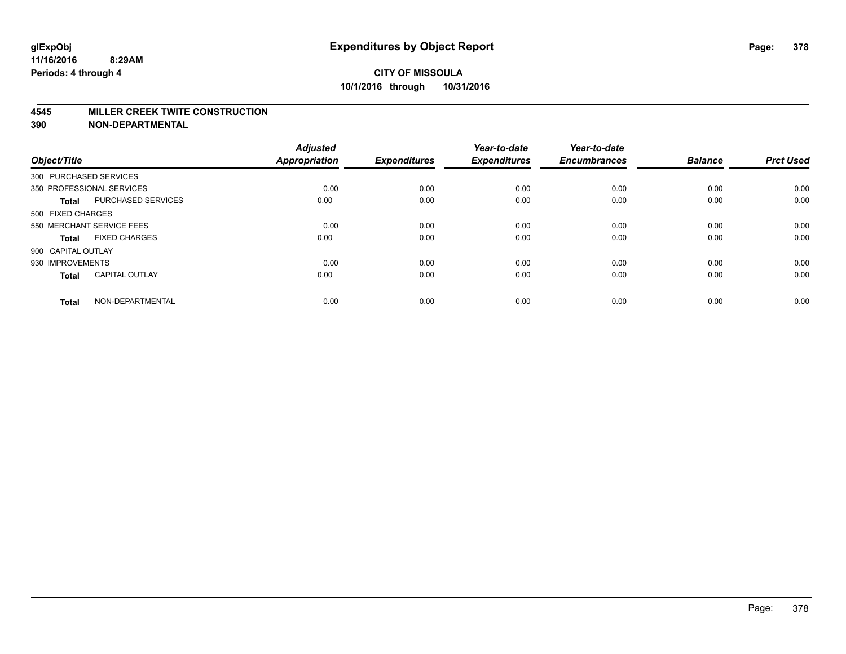#### **4545 MILLER CREEK TWITE CONSTRUCTION**

| Object/Title       |                           | <b>Adjusted</b><br><b>Appropriation</b> | <b>Expenditures</b> | Year-to-date<br><b>Expenditures</b> | Year-to-date<br><b>Encumbrances</b> | <b>Balance</b> | <b>Prct Used</b> |
|--------------------|---------------------------|-----------------------------------------|---------------------|-------------------------------------|-------------------------------------|----------------|------------------|
|                    | 300 PURCHASED SERVICES    |                                         |                     |                                     |                                     |                |                  |
|                    | 350 PROFESSIONAL SERVICES | 0.00                                    | 0.00                | 0.00                                | 0.00                                | 0.00           | 0.00             |
| <b>Total</b>       | <b>PURCHASED SERVICES</b> | 0.00                                    | 0.00                | 0.00                                | 0.00                                | 0.00           | 0.00             |
| 500 FIXED CHARGES  |                           |                                         |                     |                                     |                                     |                |                  |
|                    | 550 MERCHANT SERVICE FEES | 0.00                                    | 0.00                | 0.00                                | 0.00                                | 0.00           | 0.00             |
| Total              | <b>FIXED CHARGES</b>      | 0.00                                    | 0.00                | 0.00                                | 0.00                                | 0.00           | 0.00             |
| 900 CAPITAL OUTLAY |                           |                                         |                     |                                     |                                     |                |                  |
| 930 IMPROVEMENTS   |                           | 0.00                                    | 0.00                | 0.00                                | 0.00                                | 0.00           | 0.00             |
| Total              | <b>CAPITAL OUTLAY</b>     | 0.00                                    | 0.00                | 0.00                                | 0.00                                | 0.00           | 0.00             |
| <b>Total</b>       | NON-DEPARTMENTAL          | 0.00                                    | 0.00                | 0.00                                | 0.00                                | 0.00           | 0.00             |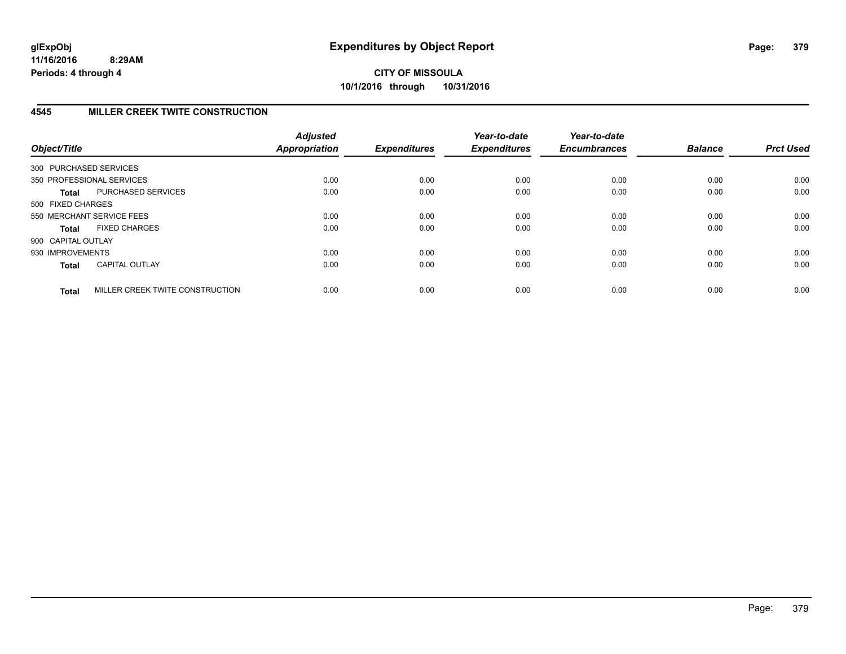# **4545 MILLER CREEK TWITE CONSTRUCTION**

| Object/Title           |                                 | <b>Adjusted</b><br><b>Appropriation</b> | <b>Expenditures</b> | Year-to-date<br><b>Expenditures</b> | Year-to-date<br><b>Encumbrances</b> | <b>Balance</b> | <b>Prct Used</b> |
|------------------------|---------------------------------|-----------------------------------------|---------------------|-------------------------------------|-------------------------------------|----------------|------------------|
| 300 PURCHASED SERVICES |                                 |                                         |                     |                                     |                                     |                |                  |
|                        | 350 PROFESSIONAL SERVICES       | 0.00                                    | 0.00                | 0.00                                | 0.00                                | 0.00           | 0.00             |
| <b>Total</b>           | PURCHASED SERVICES              | 0.00                                    | 0.00                | 0.00                                | 0.00                                | 0.00           | 0.00             |
| 500 FIXED CHARGES      |                                 |                                         |                     |                                     |                                     |                |                  |
|                        | 550 MERCHANT SERVICE FEES       | 0.00                                    | 0.00                | 0.00                                | 0.00                                | 0.00           | 0.00             |
| <b>Total</b>           | <b>FIXED CHARGES</b>            | 0.00                                    | 0.00                | 0.00                                | 0.00                                | 0.00           | 0.00             |
| 900 CAPITAL OUTLAY     |                                 |                                         |                     |                                     |                                     |                |                  |
| 930 IMPROVEMENTS       |                                 | 0.00                                    | 0.00                | 0.00                                | 0.00                                | 0.00           | 0.00             |
| <b>Total</b>           | <b>CAPITAL OUTLAY</b>           | 0.00                                    | 0.00                | 0.00                                | 0.00                                | 0.00           | 0.00             |
| <b>Total</b>           | MILLER CREEK TWITE CONSTRUCTION | 0.00                                    | 0.00                | 0.00                                | 0.00                                | 0.00           | 0.00             |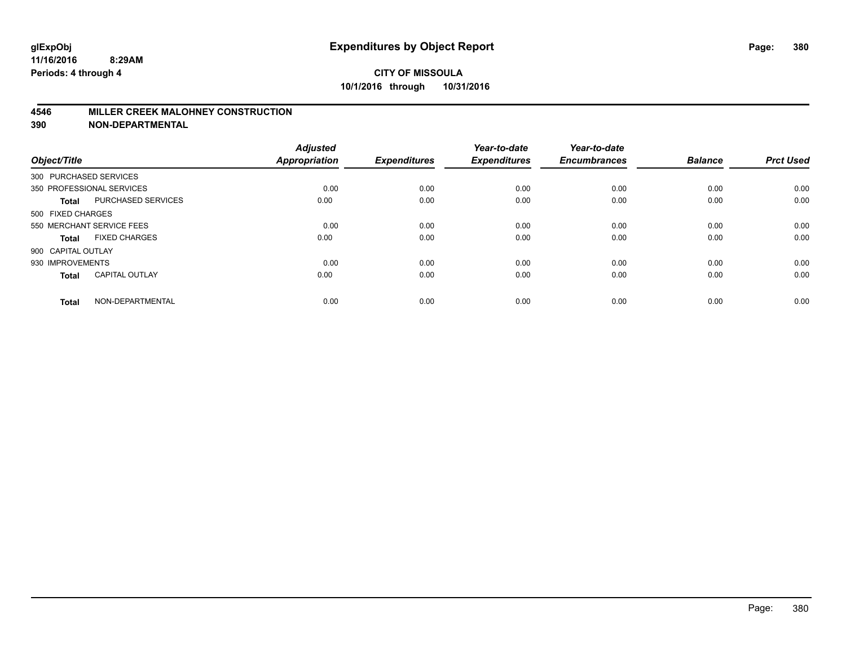#### **4546 MILLER CREEK MALOHNEY CONSTRUCTION**

| Object/Title           |                           | <b>Adjusted</b><br><b>Appropriation</b> | <b>Expenditures</b> | Year-to-date<br><b>Expenditures</b> | Year-to-date<br><b>Encumbrances</b> | <b>Balance</b> | <b>Prct Used</b> |
|------------------------|---------------------------|-----------------------------------------|---------------------|-------------------------------------|-------------------------------------|----------------|------------------|
| 300 PURCHASED SERVICES |                           |                                         |                     |                                     |                                     |                |                  |
|                        | 350 PROFESSIONAL SERVICES | 0.00                                    | 0.00                | 0.00                                | 0.00                                | 0.00           | 0.00             |
| <b>Total</b>           | <b>PURCHASED SERVICES</b> | 0.00                                    | 0.00                | 0.00                                | 0.00                                | 0.00           | 0.00             |
| 500 FIXED CHARGES      |                           |                                         |                     |                                     |                                     |                |                  |
|                        | 550 MERCHANT SERVICE FEES | 0.00                                    | 0.00                | 0.00                                | 0.00                                | 0.00           | 0.00             |
| Total                  | <b>FIXED CHARGES</b>      | 0.00                                    | 0.00                | 0.00                                | 0.00                                | 0.00           | 0.00             |
| 900 CAPITAL OUTLAY     |                           |                                         |                     |                                     |                                     |                |                  |
| 930 IMPROVEMENTS       |                           | 0.00                                    | 0.00                | 0.00                                | 0.00                                | 0.00           | 0.00             |
| Total                  | <b>CAPITAL OUTLAY</b>     | 0.00                                    | 0.00                | 0.00                                | 0.00                                | 0.00           | 0.00             |
| <b>Total</b>           | NON-DEPARTMENTAL          | 0.00                                    | 0.00                | 0.00                                | 0.00                                | 0.00           | 0.00             |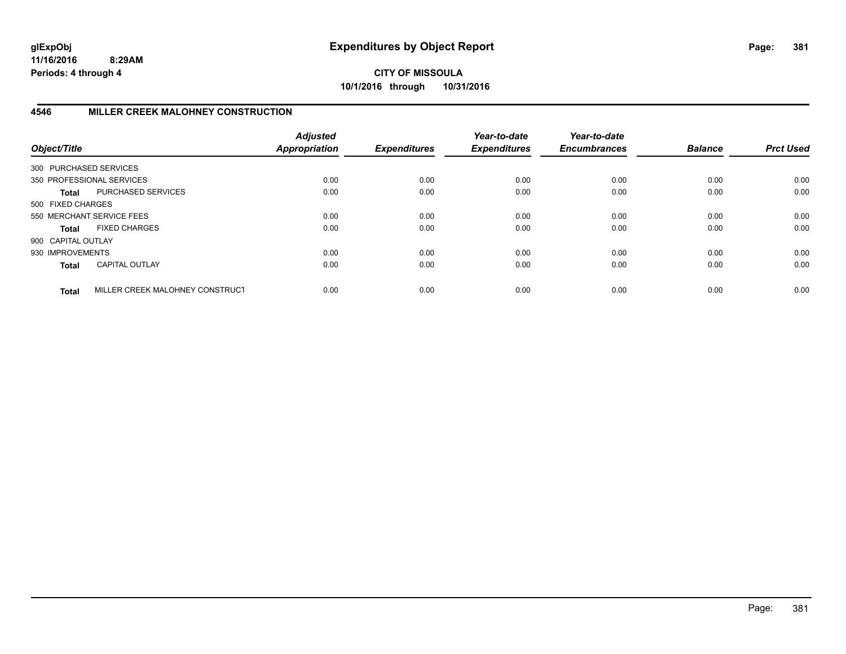**CITY OF MISSOULA 10/1/2016 through 10/31/2016**

## **4546 MILLER CREEK MALOHNEY CONSTRUCTION**

| Object/Title           |                                 | <b>Adjusted</b><br><b>Appropriation</b> | <b>Expenditures</b> | Year-to-date<br><b>Expenditures</b> | Year-to-date<br><b>Encumbrances</b> | <b>Balance</b> | <b>Prct Used</b> |
|------------------------|---------------------------------|-----------------------------------------|---------------------|-------------------------------------|-------------------------------------|----------------|------------------|
| 300 PURCHASED SERVICES |                                 |                                         |                     |                                     |                                     |                |                  |
|                        | 350 PROFESSIONAL SERVICES       | 0.00                                    | 0.00                | 0.00                                | 0.00                                | 0.00           | 0.00             |
| Total                  | PURCHASED SERVICES              | 0.00                                    | 0.00                | 0.00                                | 0.00                                | 0.00           | 0.00             |
| 500 FIXED CHARGES      |                                 |                                         |                     |                                     |                                     |                |                  |
|                        | 550 MERCHANT SERVICE FEES       | 0.00                                    | 0.00                | 0.00                                | 0.00                                | 0.00           | 0.00             |
| Total                  | <b>FIXED CHARGES</b>            | 0.00                                    | 0.00                | 0.00                                | 0.00                                | 0.00           | 0.00             |
| 900 CAPITAL OUTLAY     |                                 |                                         |                     |                                     |                                     |                |                  |
| 930 IMPROVEMENTS       |                                 | 0.00                                    | 0.00                | 0.00                                | 0.00                                | 0.00           | 0.00             |
| <b>Total</b>           | <b>CAPITAL OUTLAY</b>           | 0.00                                    | 0.00                | 0.00                                | 0.00                                | 0.00           | 0.00             |
| <b>Total</b>           | MILLER CREEK MALOHNEY CONSTRUCT | 0.00                                    | 0.00                | 0.00                                | 0.00                                | 0.00           | 0.00             |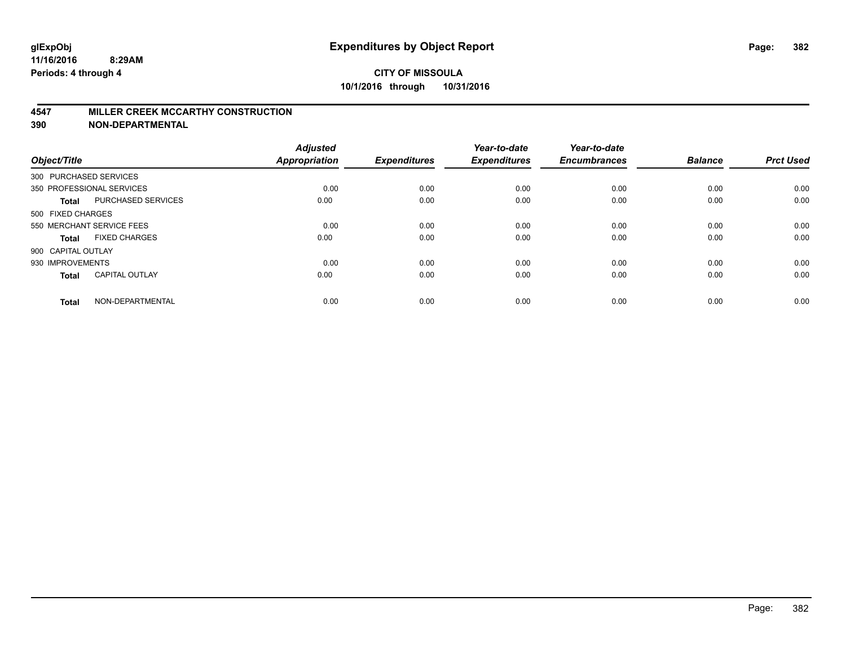#### **4547 MILLER CREEK MCCARTHY CONSTRUCTION**

| Object/Title           |                           | <b>Adjusted</b><br><b>Appropriation</b> | <b>Expenditures</b> | Year-to-date<br><b>Expenditures</b> | Year-to-date<br><b>Encumbrances</b> | <b>Balance</b> | <b>Prct Used</b> |
|------------------------|---------------------------|-----------------------------------------|---------------------|-------------------------------------|-------------------------------------|----------------|------------------|
| 300 PURCHASED SERVICES |                           |                                         |                     |                                     |                                     |                |                  |
|                        | 350 PROFESSIONAL SERVICES | 0.00                                    | 0.00                | 0.00                                | 0.00                                | 0.00           | 0.00             |
| <b>Total</b>           | <b>PURCHASED SERVICES</b> | 0.00                                    | 0.00                | 0.00                                | 0.00                                | 0.00           | 0.00             |
| 500 FIXED CHARGES      |                           |                                         |                     |                                     |                                     |                |                  |
|                        | 550 MERCHANT SERVICE FEES | 0.00                                    | 0.00                | 0.00                                | 0.00                                | 0.00           | 0.00             |
| Total                  | <b>FIXED CHARGES</b>      | 0.00                                    | 0.00                | 0.00                                | 0.00                                | 0.00           | 0.00             |
| 900 CAPITAL OUTLAY     |                           |                                         |                     |                                     |                                     |                |                  |
| 930 IMPROVEMENTS       |                           | 0.00                                    | 0.00                | 0.00                                | 0.00                                | 0.00           | 0.00             |
| Total                  | <b>CAPITAL OUTLAY</b>     | 0.00                                    | 0.00                | 0.00                                | 0.00                                | 0.00           | 0.00             |
| <b>Total</b>           | NON-DEPARTMENTAL          | 0.00                                    | 0.00                | 0.00                                | 0.00                                | 0.00           | 0.00             |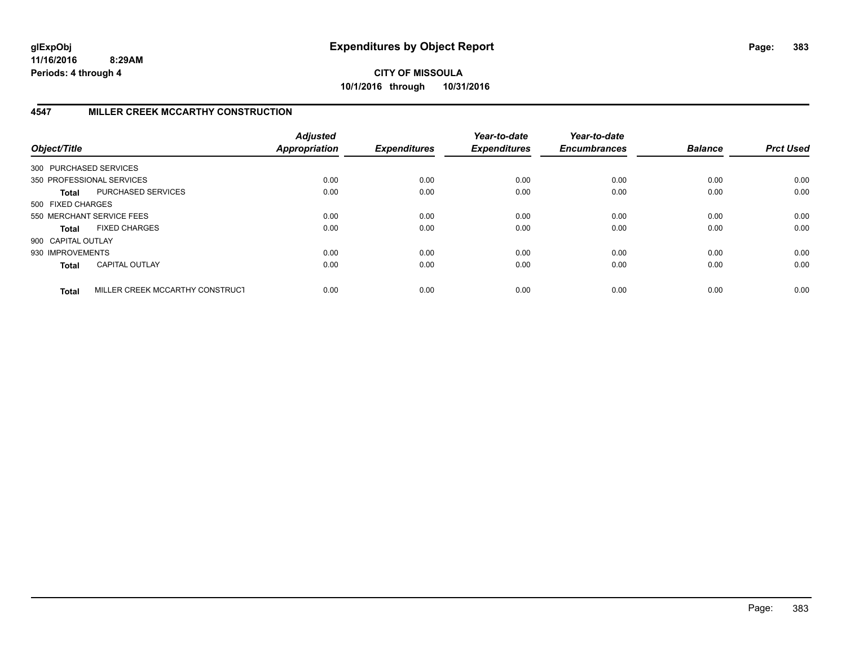**CITY OF MISSOULA 10/1/2016 through 10/31/2016**

## **4547 MILLER CREEK MCCARTHY CONSTRUCTION**

| Object/Title           |                                 | <b>Adjusted</b><br><b>Appropriation</b> | <b>Expenditures</b> | Year-to-date<br><b>Expenditures</b> | Year-to-date<br><b>Encumbrances</b> | <b>Balance</b> | <b>Prct Used</b> |
|------------------------|---------------------------------|-----------------------------------------|---------------------|-------------------------------------|-------------------------------------|----------------|------------------|
| 300 PURCHASED SERVICES |                                 |                                         |                     |                                     |                                     |                |                  |
|                        | 350 PROFESSIONAL SERVICES       | 0.00                                    | 0.00                | 0.00                                | 0.00                                | 0.00           | 0.00             |
| Total                  | PURCHASED SERVICES              | 0.00                                    | 0.00                | 0.00                                | 0.00                                | 0.00           | 0.00             |
| 500 FIXED CHARGES      |                                 |                                         |                     |                                     |                                     |                |                  |
|                        | 550 MERCHANT SERVICE FEES       | 0.00                                    | 0.00                | 0.00                                | 0.00                                | 0.00           | 0.00             |
| Total                  | <b>FIXED CHARGES</b>            | 0.00                                    | 0.00                | 0.00                                | 0.00                                | 0.00           | 0.00             |
| 900 CAPITAL OUTLAY     |                                 |                                         |                     |                                     |                                     |                |                  |
| 930 IMPROVEMENTS       |                                 | 0.00                                    | 0.00                | 0.00                                | 0.00                                | 0.00           | 0.00             |
| <b>Total</b>           | <b>CAPITAL OUTLAY</b>           | 0.00                                    | 0.00                | 0.00                                | 0.00                                | 0.00           | 0.00             |
| <b>Total</b>           | MILLER CREEK MCCARTHY CONSTRUCT | 0.00                                    | 0.00                | 0.00                                | 0.00                                | 0.00           | 0.00             |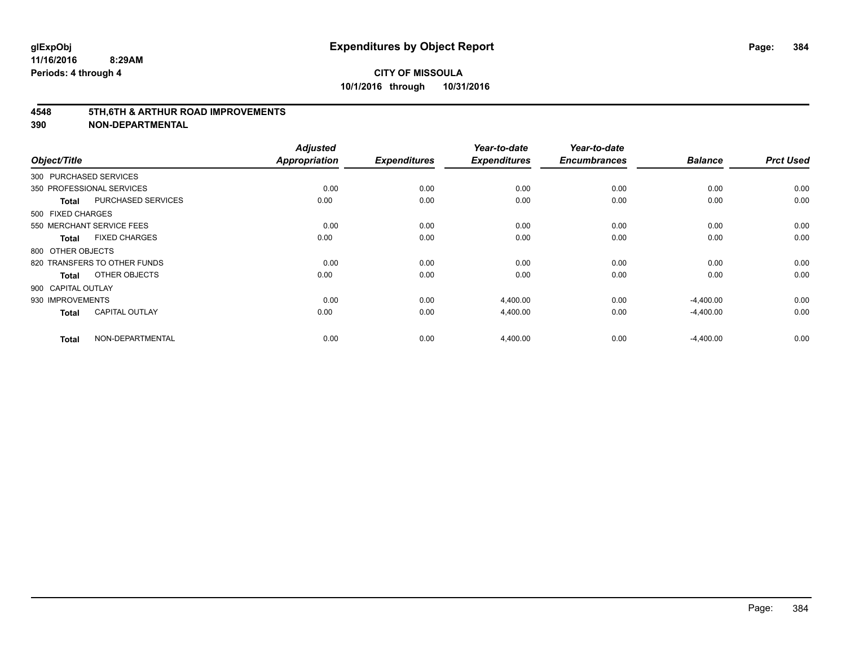#### **4548 5TH,6TH & ARTHUR ROAD IMPROVEMENTS**

| Object/Title           |                              | <b>Adjusted</b><br><b>Appropriation</b> | <b>Expenditures</b> | Year-to-date<br><b>Expenditures</b> | Year-to-date<br><b>Encumbrances</b> | <b>Balance</b> | <b>Prct Used</b> |
|------------------------|------------------------------|-----------------------------------------|---------------------|-------------------------------------|-------------------------------------|----------------|------------------|
| 300 PURCHASED SERVICES |                              |                                         |                     |                                     |                                     |                |                  |
|                        | 350 PROFESSIONAL SERVICES    | 0.00                                    | 0.00                | 0.00                                | 0.00                                | 0.00           | 0.00             |
| <b>Total</b>           | <b>PURCHASED SERVICES</b>    | 0.00                                    | 0.00                | 0.00                                | 0.00                                | 0.00           | 0.00             |
| 500 FIXED CHARGES      |                              |                                         |                     |                                     |                                     |                |                  |
|                        | 550 MERCHANT SERVICE FEES    | 0.00                                    | 0.00                | 0.00                                | 0.00                                | 0.00           | 0.00             |
| Total                  | <b>FIXED CHARGES</b>         | 0.00                                    | 0.00                | 0.00                                | 0.00                                | 0.00           | 0.00             |
| 800 OTHER OBJECTS      |                              |                                         |                     |                                     |                                     |                |                  |
|                        | 820 TRANSFERS TO OTHER FUNDS | 0.00                                    | 0.00                | 0.00                                | 0.00                                | 0.00           | 0.00             |
| <b>Total</b>           | OTHER OBJECTS                | 0.00                                    | 0.00                | 0.00                                | 0.00                                | 0.00           | 0.00             |
| 900 CAPITAL OUTLAY     |                              |                                         |                     |                                     |                                     |                |                  |
| 930 IMPROVEMENTS       |                              | 0.00                                    | 0.00                | 4,400.00                            | 0.00                                | $-4,400.00$    | 0.00             |
| <b>Total</b>           | <b>CAPITAL OUTLAY</b>        | 0.00                                    | 0.00                | 4,400.00                            | 0.00                                | $-4,400.00$    | 0.00             |
| <b>Total</b>           | NON-DEPARTMENTAL             | 0.00                                    | 0.00                | 4,400.00                            | 0.00                                | $-4,400.00$    | 0.00             |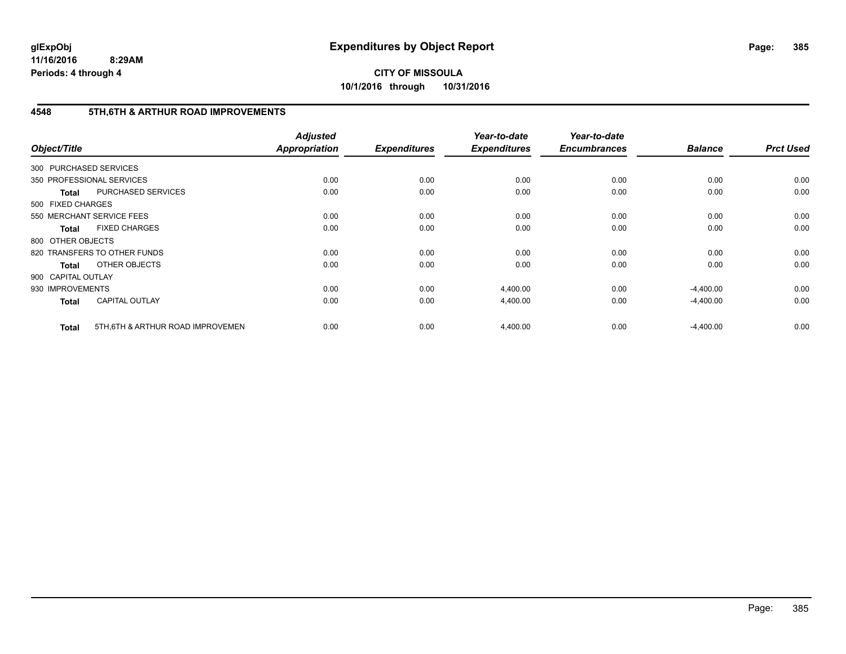# **CITY OF MISSOULA 10/1/2016 through 10/31/2016**

# **4548 5TH,6TH & ARTHUR ROAD IMPROVEMENTS**

| Object/Title           |                                  | <b>Adjusted</b><br><b>Appropriation</b> | <b>Expenditures</b> | Year-to-date<br><b>Expenditures</b> | Year-to-date<br><b>Encumbrances</b> | <b>Balance</b> | <b>Prct Used</b> |
|------------------------|----------------------------------|-----------------------------------------|---------------------|-------------------------------------|-------------------------------------|----------------|------------------|
| 300 PURCHASED SERVICES |                                  |                                         |                     |                                     |                                     |                |                  |
|                        | 350 PROFESSIONAL SERVICES        | 0.00                                    | 0.00                | 0.00                                | 0.00                                | 0.00           | 0.00             |
| <b>Total</b>           | PURCHASED SERVICES               | 0.00                                    | 0.00                | 0.00                                | 0.00                                | 0.00           | 0.00             |
| 500 FIXED CHARGES      |                                  |                                         |                     |                                     |                                     |                |                  |
|                        | 550 MERCHANT SERVICE FEES        | 0.00                                    | 0.00                | 0.00                                | 0.00                                | 0.00           | 0.00             |
| <b>Total</b>           | <b>FIXED CHARGES</b>             | 0.00                                    | 0.00                | 0.00                                | 0.00                                | 0.00           | 0.00             |
| 800 OTHER OBJECTS      |                                  |                                         |                     |                                     |                                     |                |                  |
|                        | 820 TRANSFERS TO OTHER FUNDS     | 0.00                                    | 0.00                | 0.00                                | 0.00                                | 0.00           | 0.00             |
| <b>Total</b>           | OTHER OBJECTS                    | 0.00                                    | 0.00                | 0.00                                | 0.00                                | 0.00           | 0.00             |
| 900 CAPITAL OUTLAY     |                                  |                                         |                     |                                     |                                     |                |                  |
| 930 IMPROVEMENTS       |                                  | 0.00                                    | 0.00                | 4,400.00                            | 0.00                                | $-4,400.00$    | 0.00             |
| <b>Total</b>           | <b>CAPITAL OUTLAY</b>            | 0.00                                    | 0.00                | 4,400.00                            | 0.00                                | $-4,400.00$    | 0.00             |
| <b>Total</b>           | 5TH.6TH & ARTHUR ROAD IMPROVEMEN | 0.00                                    | 0.00                | 4,400.00                            | 0.00                                | $-4,400.00$    | 0.00             |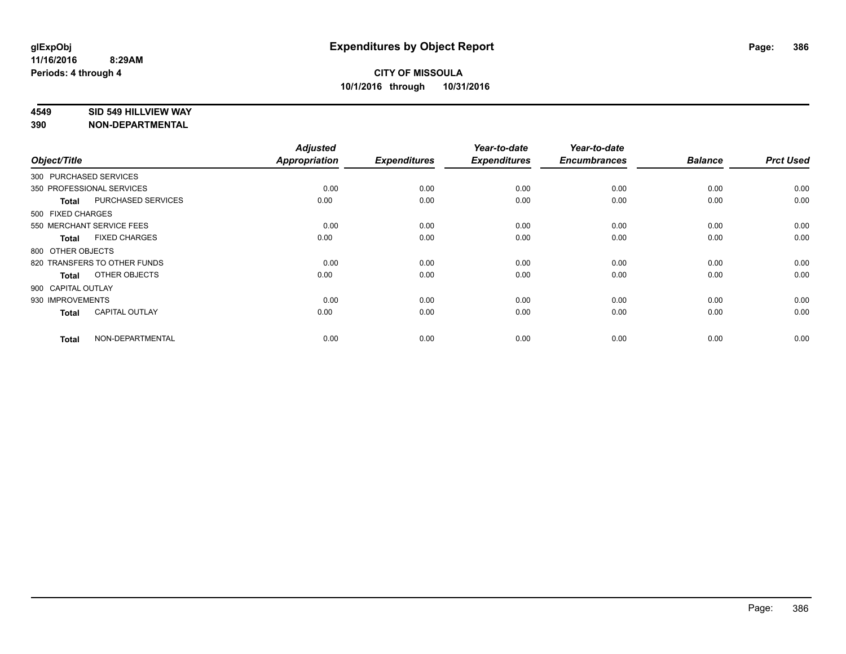#### **4549 SID 549 HILLVIEW WAY**

| Object/Title           |                              | <b>Adjusted</b><br><b>Appropriation</b> | <b>Expenditures</b> | Year-to-date<br><b>Expenditures</b> | Year-to-date<br><b>Encumbrances</b> | <b>Balance</b> | <b>Prct Used</b> |
|------------------------|------------------------------|-----------------------------------------|---------------------|-------------------------------------|-------------------------------------|----------------|------------------|
| 300 PURCHASED SERVICES |                              |                                         |                     |                                     |                                     |                |                  |
|                        | 350 PROFESSIONAL SERVICES    | 0.00                                    | 0.00                | 0.00                                | 0.00                                | 0.00           | 0.00             |
| <b>Total</b>           | PURCHASED SERVICES           | 0.00                                    | 0.00                | 0.00                                | 0.00                                | 0.00           | 0.00             |
| 500 FIXED CHARGES      |                              |                                         |                     |                                     |                                     |                |                  |
|                        | 550 MERCHANT SERVICE FEES    | 0.00                                    | 0.00                | 0.00                                | 0.00                                | 0.00           | 0.00             |
| <b>Total</b>           | <b>FIXED CHARGES</b>         | 0.00                                    | 0.00                | 0.00                                | 0.00                                | 0.00           | 0.00             |
| 800 OTHER OBJECTS      |                              |                                         |                     |                                     |                                     |                |                  |
|                        | 820 TRANSFERS TO OTHER FUNDS | 0.00                                    | 0.00                | 0.00                                | 0.00                                | 0.00           | 0.00             |
| <b>Total</b>           | OTHER OBJECTS                | 0.00                                    | 0.00                | 0.00                                | 0.00                                | 0.00           | 0.00             |
| 900 CAPITAL OUTLAY     |                              |                                         |                     |                                     |                                     |                |                  |
| 930 IMPROVEMENTS       |                              | 0.00                                    | 0.00                | 0.00                                | 0.00                                | 0.00           | 0.00             |
| <b>Total</b>           | <b>CAPITAL OUTLAY</b>        | 0.00                                    | 0.00                | 0.00                                | 0.00                                | 0.00           | 0.00             |
| <b>Total</b>           | NON-DEPARTMENTAL             | 0.00                                    | 0.00                | 0.00                                | 0.00                                | 0.00           | 0.00             |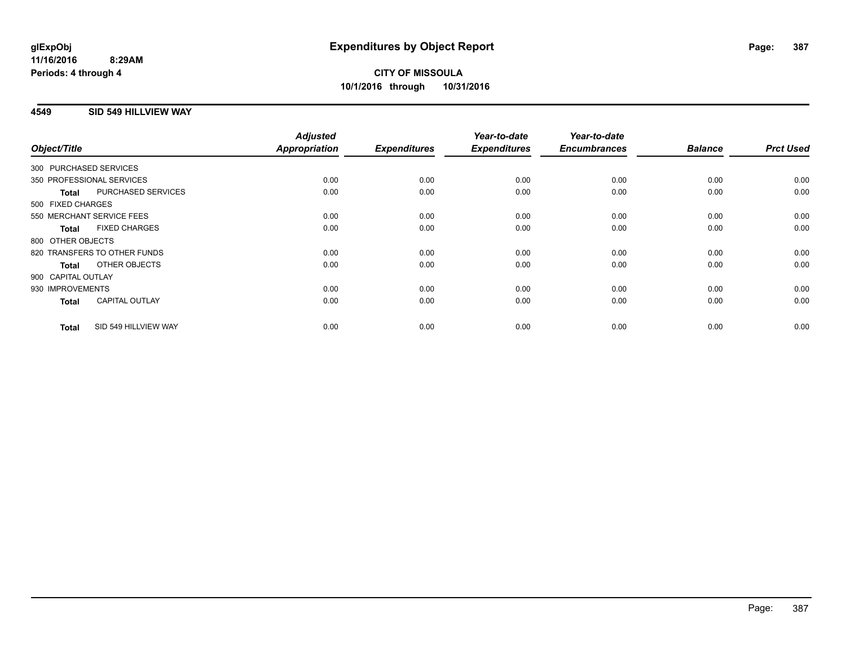### **4549 SID 549 HILLVIEW WAY**

| Object/Title     |                              | <b>Adjusted</b><br><b>Appropriation</b> | <b>Expenditures</b> | Year-to-date<br><b>Expenditures</b> | Year-to-date<br><b>Encumbrances</b> | <b>Balance</b> | <b>Prct Used</b> |
|------------------|------------------------------|-----------------------------------------|---------------------|-------------------------------------|-------------------------------------|----------------|------------------|
|                  | 300 PURCHASED SERVICES       |                                         |                     |                                     |                                     |                |                  |
|                  |                              |                                         |                     |                                     |                                     |                |                  |
|                  | 350 PROFESSIONAL SERVICES    | 0.00                                    | 0.00                | 0.00                                | 0.00                                | 0.00           | 0.00             |
| <b>Total</b>     | PURCHASED SERVICES           | 0.00                                    | 0.00                | 0.00                                | 0.00                                | 0.00           | 0.00             |
|                  | 500 FIXED CHARGES            |                                         |                     |                                     |                                     |                |                  |
|                  | 550 MERCHANT SERVICE FEES    | 0.00                                    | 0.00                | 0.00                                | 0.00                                | 0.00           | 0.00             |
| <b>Total</b>     | <b>FIXED CHARGES</b>         | 0.00                                    | 0.00                | 0.00                                | 0.00                                | 0.00           | 0.00             |
|                  | 800 OTHER OBJECTS            |                                         |                     |                                     |                                     |                |                  |
|                  | 820 TRANSFERS TO OTHER FUNDS | 0.00                                    | 0.00                | 0.00                                | 0.00                                | 0.00           | 0.00             |
| <b>Total</b>     | OTHER OBJECTS                | 0.00                                    | 0.00                | 0.00                                | 0.00                                | 0.00           | 0.00             |
|                  | 900 CAPITAL OUTLAY           |                                         |                     |                                     |                                     |                |                  |
| 930 IMPROVEMENTS |                              | 0.00                                    | 0.00                | 0.00                                | 0.00                                | 0.00           | 0.00             |
| <b>Total</b>     | <b>CAPITAL OUTLAY</b>        | 0.00                                    | 0.00                | 0.00                                | 0.00                                | 0.00           | 0.00             |
| <b>Total</b>     | SID 549 HILLVIEW WAY         | 0.00                                    | 0.00                | 0.00                                | 0.00                                | 0.00           | 0.00             |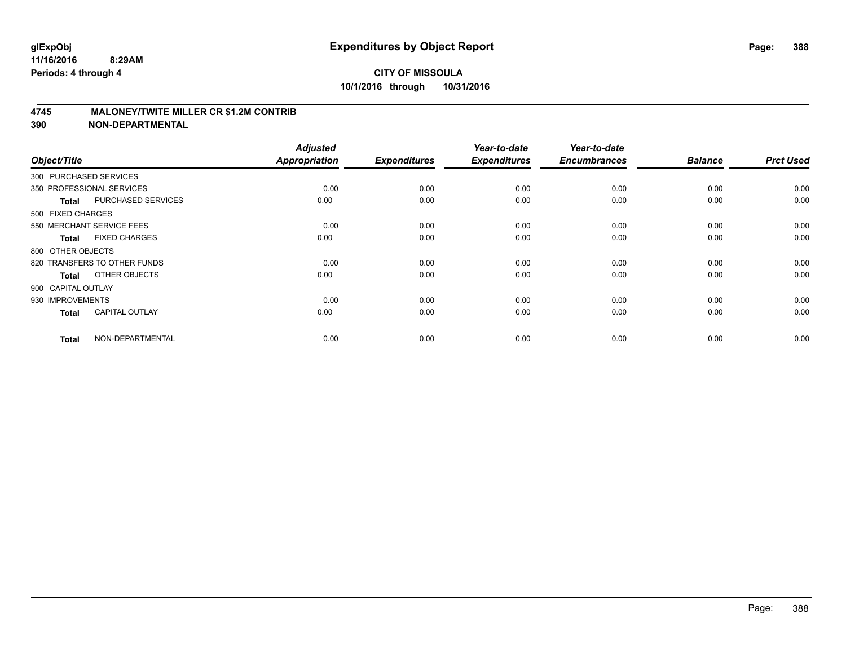### **4745 MALONEY/TWITE MILLER CR \$1.2M CONTRIB**

| Object/Title           |                              | <b>Adjusted</b><br><b>Appropriation</b> | <b>Expenditures</b> | Year-to-date<br><b>Expenditures</b> | Year-to-date<br><b>Encumbrances</b> | <b>Balance</b> | <b>Prct Used</b> |
|------------------------|------------------------------|-----------------------------------------|---------------------|-------------------------------------|-------------------------------------|----------------|------------------|
| 300 PURCHASED SERVICES |                              |                                         |                     |                                     |                                     |                |                  |
|                        | 350 PROFESSIONAL SERVICES    | 0.00                                    | 0.00                | 0.00                                | 0.00                                | 0.00           | 0.00             |
| <b>Total</b>           | PURCHASED SERVICES           | 0.00                                    | 0.00                | 0.00                                | 0.00                                | 0.00           | 0.00             |
| 500 FIXED CHARGES      |                              |                                         |                     |                                     |                                     |                |                  |
|                        | 550 MERCHANT SERVICE FEES    | 0.00                                    | 0.00                | 0.00                                | 0.00                                | 0.00           | 0.00             |
| <b>Total</b>           | <b>FIXED CHARGES</b>         | 0.00                                    | 0.00                | 0.00                                | 0.00                                | 0.00           | 0.00             |
| 800 OTHER OBJECTS      |                              |                                         |                     |                                     |                                     |                |                  |
|                        | 820 TRANSFERS TO OTHER FUNDS | 0.00                                    | 0.00                | 0.00                                | 0.00                                | 0.00           | 0.00             |
| <b>Total</b>           | OTHER OBJECTS                | 0.00                                    | 0.00                | 0.00                                | 0.00                                | 0.00           | 0.00             |
| 900 CAPITAL OUTLAY     |                              |                                         |                     |                                     |                                     |                |                  |
| 930 IMPROVEMENTS       |                              | 0.00                                    | 0.00                | 0.00                                | 0.00                                | 0.00           | 0.00             |
| <b>Total</b>           | <b>CAPITAL OUTLAY</b>        | 0.00                                    | 0.00                | 0.00                                | 0.00                                | 0.00           | 0.00             |
| <b>Total</b>           | NON-DEPARTMENTAL             | 0.00                                    | 0.00                | 0.00                                | 0.00                                | 0.00           | 0.00             |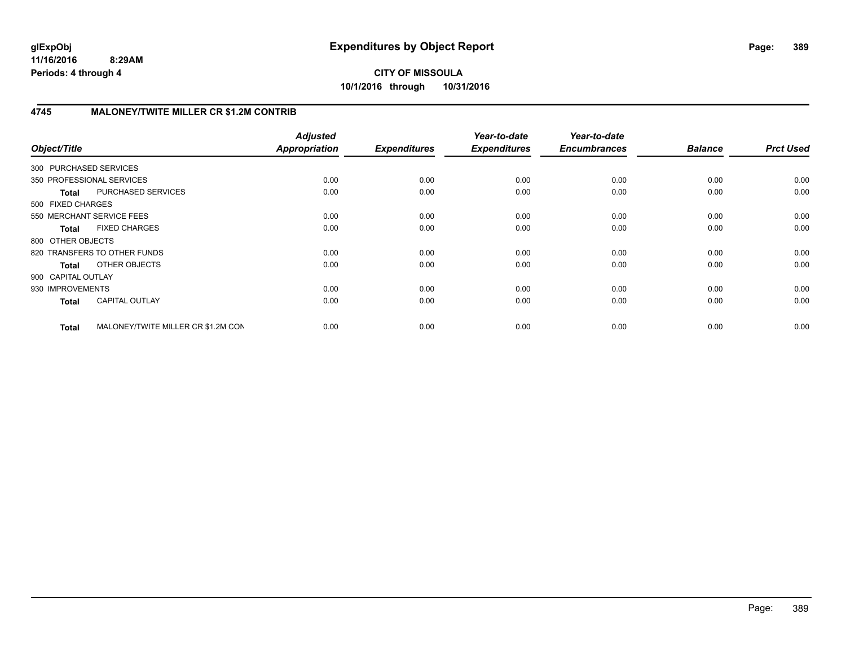# **4745 MALONEY/TWITE MILLER CR \$1.2M CONTRIB**

| Object/Title           |                                    | <b>Adjusted</b><br>Appropriation | <b>Expenditures</b> | Year-to-date<br><b>Expenditures</b> | Year-to-date<br><b>Encumbrances</b> | <b>Balance</b> | <b>Prct Used</b> |
|------------------------|------------------------------------|----------------------------------|---------------------|-------------------------------------|-------------------------------------|----------------|------------------|
| 300 PURCHASED SERVICES |                                    |                                  |                     |                                     |                                     |                |                  |
|                        | 350 PROFESSIONAL SERVICES          | 0.00                             | 0.00                | 0.00                                | 0.00                                | 0.00           | 0.00             |
| <b>Total</b>           | PURCHASED SERVICES                 | 0.00                             | 0.00                | 0.00                                | 0.00                                | 0.00           | 0.00             |
| 500 FIXED CHARGES      |                                    |                                  |                     |                                     |                                     |                |                  |
|                        | 550 MERCHANT SERVICE FEES          | 0.00                             | 0.00                | 0.00                                | 0.00                                | 0.00           | 0.00             |
| <b>Total</b>           | <b>FIXED CHARGES</b>               | 0.00                             | 0.00                | 0.00                                | 0.00                                | 0.00           | 0.00             |
| 800 OTHER OBJECTS      |                                    |                                  |                     |                                     |                                     |                |                  |
|                        | 820 TRANSFERS TO OTHER FUNDS       | 0.00                             | 0.00                | 0.00                                | 0.00                                | 0.00           | 0.00             |
| <b>Total</b>           | OTHER OBJECTS                      | 0.00                             | 0.00                | 0.00                                | 0.00                                | 0.00           | 0.00             |
| 900 CAPITAL OUTLAY     |                                    |                                  |                     |                                     |                                     |                |                  |
| 930 IMPROVEMENTS       |                                    | 0.00                             | 0.00                | 0.00                                | 0.00                                | 0.00           | 0.00             |
| <b>Total</b>           | <b>CAPITAL OUTLAY</b>              | 0.00                             | 0.00                | 0.00                                | 0.00                                | 0.00           | 0.00             |
| <b>Total</b>           | MALONEY/TWITE MILLER CR \$1.2M CON | 0.00                             | 0.00                | 0.00                                | 0.00                                | 0.00           | 0.00             |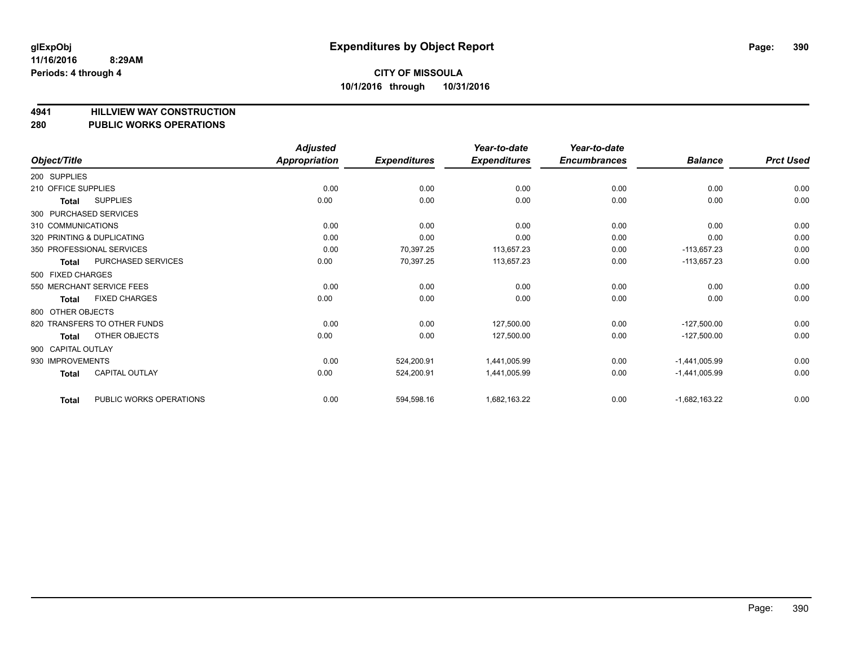**4941 HILLVIEW WAY CONSTRUCTION**

# **280 PUBLIC WORKS OPERATIONS**

|                        |                              | <b>Adjusted</b>      |                     | Year-to-date        | Year-to-date        |                 |                  |
|------------------------|------------------------------|----------------------|---------------------|---------------------|---------------------|-----------------|------------------|
| Object/Title           |                              | <b>Appropriation</b> | <b>Expenditures</b> | <b>Expenditures</b> | <b>Encumbrances</b> | <b>Balance</b>  | <b>Prct Used</b> |
| 200 SUPPLIES           |                              |                      |                     |                     |                     |                 |                  |
| 210 OFFICE SUPPLIES    |                              | 0.00                 | 0.00                | 0.00                | 0.00                | 0.00            | 0.00             |
| Total                  | <b>SUPPLIES</b>              | 0.00                 | 0.00                | 0.00                | 0.00                | 0.00            | 0.00             |
| 300 PURCHASED SERVICES |                              |                      |                     |                     |                     |                 |                  |
| 310 COMMUNICATIONS     |                              | 0.00                 | 0.00                | 0.00                | 0.00                | 0.00            | 0.00             |
|                        | 320 PRINTING & DUPLICATING   | 0.00                 | 0.00                | 0.00                | 0.00                | 0.00            | 0.00             |
|                        | 350 PROFESSIONAL SERVICES    | 0.00                 | 70,397.25           | 113,657.23          | 0.00                | $-113,657.23$   | 0.00             |
| Total                  | PURCHASED SERVICES           | 0.00                 | 70,397.25           | 113,657.23          | 0.00                | $-113,657.23$   | 0.00             |
| 500 FIXED CHARGES      |                              |                      |                     |                     |                     |                 |                  |
|                        | 550 MERCHANT SERVICE FEES    | 0.00                 | 0.00                | 0.00                | 0.00                | 0.00            | 0.00             |
| Total                  | <b>FIXED CHARGES</b>         | 0.00                 | 0.00                | 0.00                | 0.00                | 0.00            | 0.00             |
| 800 OTHER OBJECTS      |                              |                      |                     |                     |                     |                 |                  |
|                        | 820 TRANSFERS TO OTHER FUNDS | 0.00                 | 0.00                | 127,500.00          | 0.00                | $-127,500.00$   | 0.00             |
| Total                  | OTHER OBJECTS                | 0.00                 | 0.00                | 127,500.00          | 0.00                | $-127,500.00$   | 0.00             |
| 900 CAPITAL OUTLAY     |                              |                      |                     |                     |                     |                 |                  |
| 930 IMPROVEMENTS       |                              | 0.00                 | 524,200.91          | 1,441,005.99        | 0.00                | $-1,441,005.99$ | 0.00             |
| Total                  | CAPITAL OUTLAY               | 0.00                 | 524,200.91          | 1,441,005.99        | 0.00                | $-1,441,005.99$ | 0.00             |
| <b>Total</b>           | PUBLIC WORKS OPERATIONS      | 0.00                 | 594,598.16          | 1,682,163.22        | 0.00                | $-1,682,163.22$ | 0.00             |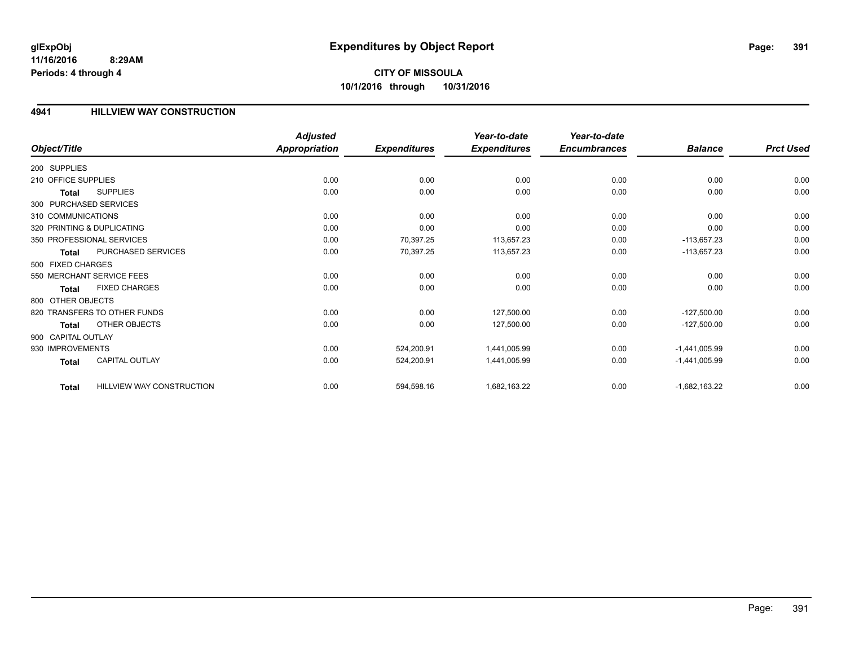# **CITY OF MISSOULA 10/1/2016 through 10/31/2016**

### **4941 HILLVIEW WAY CONSTRUCTION**

|                        |                              | <b>Adjusted</b>      |                     | Year-to-date        | Year-to-date        |                 |                  |
|------------------------|------------------------------|----------------------|---------------------|---------------------|---------------------|-----------------|------------------|
| Object/Title           |                              | <b>Appropriation</b> | <b>Expenditures</b> | <b>Expenditures</b> | <b>Encumbrances</b> | <b>Balance</b>  | <b>Prct Used</b> |
| 200 SUPPLIES           |                              |                      |                     |                     |                     |                 |                  |
| 210 OFFICE SUPPLIES    |                              | 0.00                 | 0.00                | 0.00                | 0.00                | 0.00            | 0.00             |
| Total                  | <b>SUPPLIES</b>              | 0.00                 | 0.00                | 0.00                | 0.00                | 0.00            | 0.00             |
| 300 PURCHASED SERVICES |                              |                      |                     |                     |                     |                 |                  |
| 310 COMMUNICATIONS     |                              | 0.00                 | 0.00                | 0.00                | 0.00                | 0.00            | 0.00             |
|                        | 320 PRINTING & DUPLICATING   | 0.00                 | 0.00                | 0.00                | 0.00                | 0.00            | 0.00             |
|                        | 350 PROFESSIONAL SERVICES    | 0.00                 | 70,397.25           | 113,657.23          | 0.00                | $-113,657.23$   | 0.00             |
| Total                  | PURCHASED SERVICES           | 0.00                 | 70,397.25           | 113,657.23          | 0.00                | $-113,657.23$   | 0.00             |
| 500 FIXED CHARGES      |                              |                      |                     |                     |                     |                 |                  |
|                        | 550 MERCHANT SERVICE FEES    | 0.00                 | 0.00                | 0.00                | 0.00                | 0.00            | 0.00             |
| Total                  | <b>FIXED CHARGES</b>         | 0.00                 | 0.00                | 0.00                | 0.00                | 0.00            | 0.00             |
| 800 OTHER OBJECTS      |                              |                      |                     |                     |                     |                 |                  |
|                        | 820 TRANSFERS TO OTHER FUNDS | 0.00                 | 0.00                | 127,500.00          | 0.00                | $-127,500.00$   | 0.00             |
| Total                  | <b>OTHER OBJECTS</b>         | 0.00                 | 0.00                | 127,500.00          | 0.00                | $-127,500.00$   | 0.00             |
| 900 CAPITAL OUTLAY     |                              |                      |                     |                     |                     |                 |                  |
| 930 IMPROVEMENTS       |                              | 0.00                 | 524,200.91          | 1,441,005.99        | 0.00                | $-1,441,005.99$ | 0.00             |
| <b>Total</b>           | <b>CAPITAL OUTLAY</b>        | 0.00                 | 524,200.91          | 1,441,005.99        | 0.00                | $-1,441,005.99$ | 0.00             |
| <b>Total</b>           | HILLVIEW WAY CONSTRUCTION    | 0.00                 | 594,598.16          | 1,682,163.22        | 0.00                | $-1,682,163.22$ | 0.00             |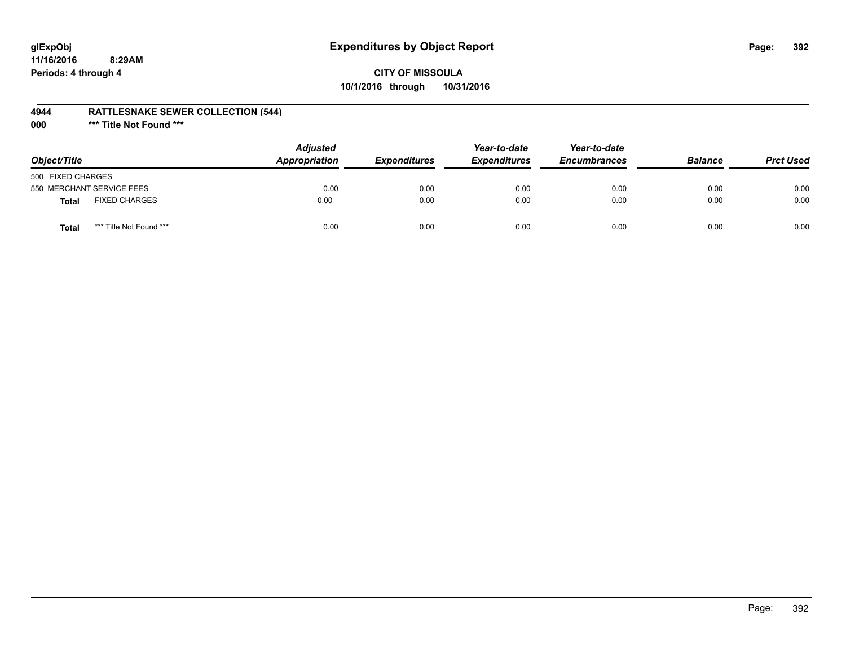# **glExpObj Expenditures by Object Report Page: 392**

### **CITY OF MISSOULA 10/1/2016 through 10/31/2016**

### **4944 RATTLESNAKE SEWER COLLECTION (544)**

**000 \*\*\* Title Not Found \*\*\***

| Object/Title              |                         | <b>Adjusted</b><br><b>Appropriation</b> | <i><b>Expenditures</b></i> | Year-to-date<br><b>Expenditures</b> | Year-to-date<br><b>Encumbrances</b> | <b>Balance</b> | <b>Prct Used</b> |
|---------------------------|-------------------------|-----------------------------------------|----------------------------|-------------------------------------|-------------------------------------|----------------|------------------|
| 500 FIXED CHARGES         |                         |                                         |                            |                                     |                                     |                |                  |
| 550 MERCHANT SERVICE FEES |                         | 0.00                                    | 0.00                       | 0.00                                | 0.00                                | 0.00           | 0.00             |
| <b>Total</b>              | <b>FIXED CHARGES</b>    | 0.00                                    | 0.00                       | 0.00                                | 0.00                                | 0.00           | 0.00             |
| <b>Total</b>              | *** Title Not Found *** | 0.00                                    | 0.00                       | 0.00                                | 0.00                                | 0.00           | 0.00             |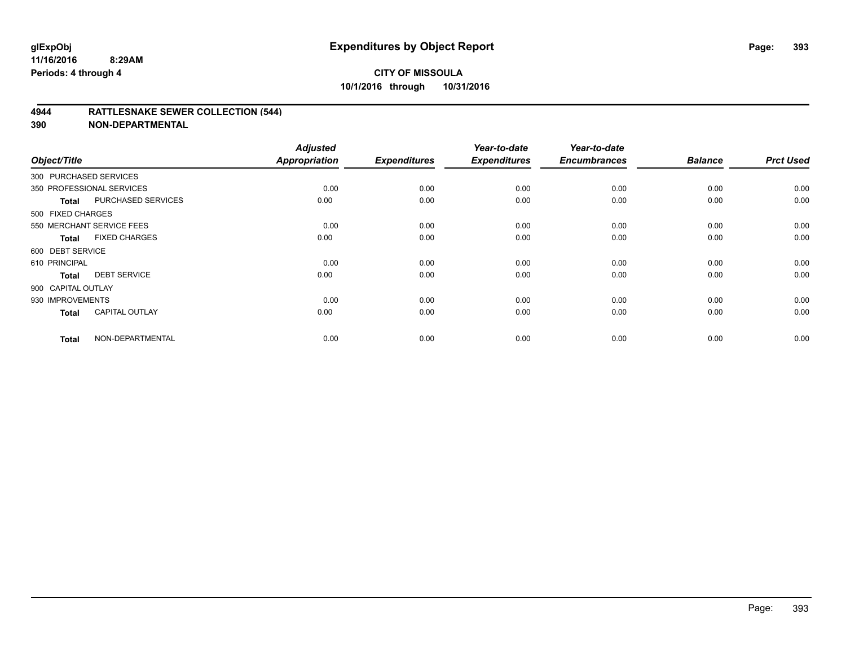### **4944 RATTLESNAKE SEWER COLLECTION (544)**

| Object/Title           |                           | <b>Adjusted</b><br><b>Appropriation</b> | <b>Expenditures</b> | Year-to-date<br><b>Expenditures</b> | Year-to-date<br><b>Encumbrances</b> | <b>Balance</b> | <b>Prct Used</b> |
|------------------------|---------------------------|-----------------------------------------|---------------------|-------------------------------------|-------------------------------------|----------------|------------------|
| 300 PURCHASED SERVICES |                           |                                         |                     |                                     |                                     |                |                  |
|                        | 350 PROFESSIONAL SERVICES | 0.00                                    | 0.00                | 0.00                                | 0.00                                | 0.00           | 0.00             |
| Total                  | PURCHASED SERVICES        | 0.00                                    | 0.00                | 0.00                                | 0.00                                | 0.00           | 0.00             |
| 500 FIXED CHARGES      |                           |                                         |                     |                                     |                                     |                |                  |
|                        | 550 MERCHANT SERVICE FEES | 0.00                                    | 0.00                | 0.00                                | 0.00                                | 0.00           | 0.00             |
| Total                  | <b>FIXED CHARGES</b>      | 0.00                                    | 0.00                | 0.00                                | 0.00                                | 0.00           | 0.00             |
| 600 DEBT SERVICE       |                           |                                         |                     |                                     |                                     |                |                  |
| 610 PRINCIPAL          |                           | 0.00                                    | 0.00                | 0.00                                | 0.00                                | 0.00           | 0.00             |
| <b>Total</b>           | <b>DEBT SERVICE</b>       | 0.00                                    | 0.00                | 0.00                                | 0.00                                | 0.00           | 0.00             |
| 900 CAPITAL OUTLAY     |                           |                                         |                     |                                     |                                     |                |                  |
| 930 IMPROVEMENTS       |                           | 0.00                                    | 0.00                | 0.00                                | 0.00                                | 0.00           | 0.00             |
| <b>Total</b>           | <b>CAPITAL OUTLAY</b>     | 0.00                                    | 0.00                | 0.00                                | 0.00                                | 0.00           | 0.00             |
| <b>Total</b>           | NON-DEPARTMENTAL          | 0.00                                    | 0.00                | 0.00                                | 0.00                                | 0.00           | 0.00             |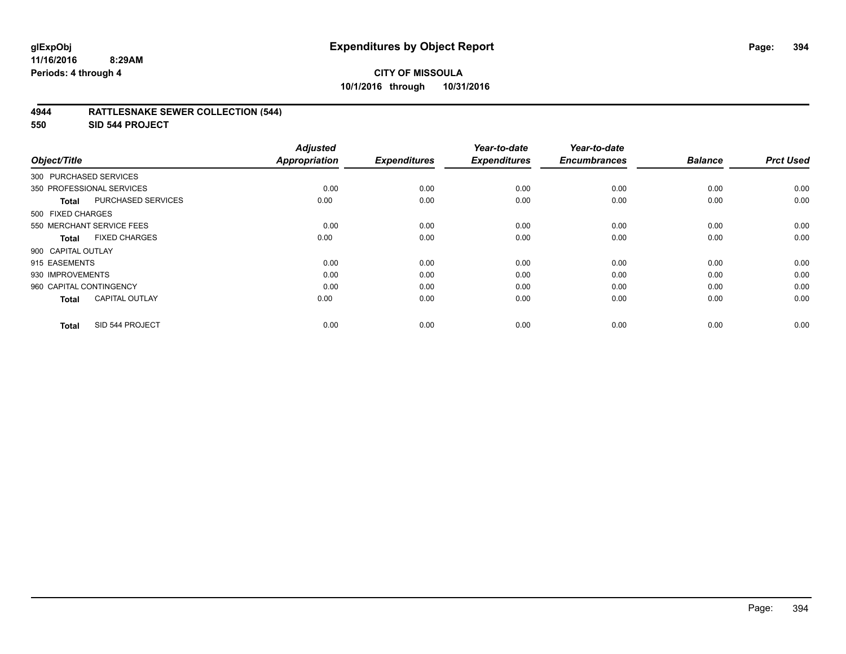# **CITY OF MISSOULA 10/1/2016 through 10/31/2016**

### **4944 RATTLESNAKE SEWER COLLECTION (544)**

**550 SID 544 PROJECT**

| Object/Title              |                           | <b>Adjusted</b><br><b>Appropriation</b> | <b>Expenditures</b> | Year-to-date<br><b>Expenditures</b> | Year-to-date<br><b>Encumbrances</b> | <b>Balance</b> | <b>Prct Used</b> |
|---------------------------|---------------------------|-----------------------------------------|---------------------|-------------------------------------|-------------------------------------|----------------|------------------|
| 300 PURCHASED SERVICES    |                           |                                         |                     |                                     |                                     |                |                  |
| 350 PROFESSIONAL SERVICES |                           | 0.00                                    | 0.00                | 0.00                                | 0.00                                | 0.00           | 0.00             |
| <b>Total</b>              | PURCHASED SERVICES        | 0.00                                    | 0.00                | 0.00                                | 0.00                                | 0.00           | 0.00             |
| 500 FIXED CHARGES         |                           |                                         |                     |                                     |                                     |                |                  |
|                           | 550 MERCHANT SERVICE FEES | 0.00                                    | 0.00                | 0.00                                | 0.00                                | 0.00           | 0.00             |
| <b>Total</b>              | <b>FIXED CHARGES</b>      | 0.00                                    | 0.00                | 0.00                                | 0.00                                | 0.00           | 0.00             |
| 900 CAPITAL OUTLAY        |                           |                                         |                     |                                     |                                     |                |                  |
| 915 EASEMENTS             |                           | 0.00                                    | 0.00                | 0.00                                | 0.00                                | 0.00           | 0.00             |
| 930 IMPROVEMENTS          |                           | 0.00                                    | 0.00                | 0.00                                | 0.00                                | 0.00           | 0.00             |
| 960 CAPITAL CONTINGENCY   |                           | 0.00                                    | 0.00                | 0.00                                | 0.00                                | 0.00           | 0.00             |
| <b>Total</b>              | <b>CAPITAL OUTLAY</b>     | 0.00                                    | 0.00                | 0.00                                | 0.00                                | 0.00           | 0.00             |
| <b>Total</b>              | SID 544 PROJECT           | 0.00                                    | 0.00                | 0.00                                | 0.00                                | 0.00           | 0.00             |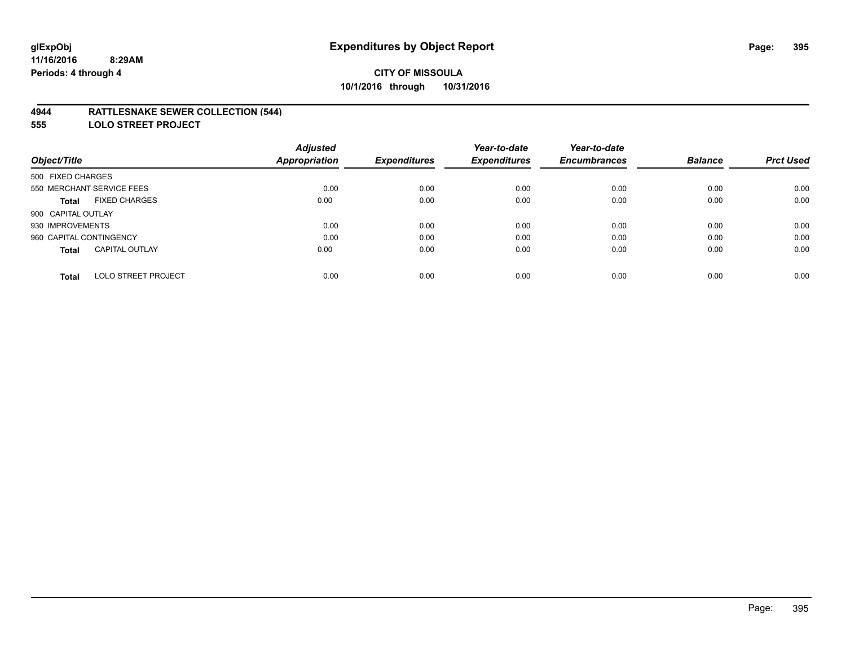### **4944 RATTLESNAKE SEWER COLLECTION (544)**

**555 LOLO STREET PROJECT**

|                                            | <b>Adjusted</b>      |                     | Year-to-date        | Year-to-date        |                |                  |
|--------------------------------------------|----------------------|---------------------|---------------------|---------------------|----------------|------------------|
| Object/Title                               | <b>Appropriation</b> | <b>Expenditures</b> | <b>Expenditures</b> | <b>Encumbrances</b> | <b>Balance</b> | <b>Prct Used</b> |
| 500 FIXED CHARGES                          |                      |                     |                     |                     |                |                  |
| 550 MERCHANT SERVICE FEES                  | 0.00                 | 0.00                | 0.00                | 0.00                | 0.00           | 0.00             |
| <b>FIXED CHARGES</b><br><b>Total</b>       | 0.00                 | 0.00                | 0.00                | 0.00                | 0.00           | 0.00             |
| 900 CAPITAL OUTLAY                         |                      |                     |                     |                     |                |                  |
| 930 IMPROVEMENTS                           | 0.00                 | 0.00                | 0.00                | 0.00                | 0.00           | 0.00             |
| 960 CAPITAL CONTINGENCY                    | 0.00                 | 0.00                | 0.00                | 0.00                | 0.00           | 0.00             |
| <b>CAPITAL OUTLAY</b><br><b>Total</b>      | 0.00                 | 0.00                | 0.00                | 0.00                | 0.00           | 0.00             |
| <b>LOLO STREET PROJECT</b><br><b>Total</b> | 0.00                 | 0.00                | 0.00                | 0.00                | 0.00           | 0.00             |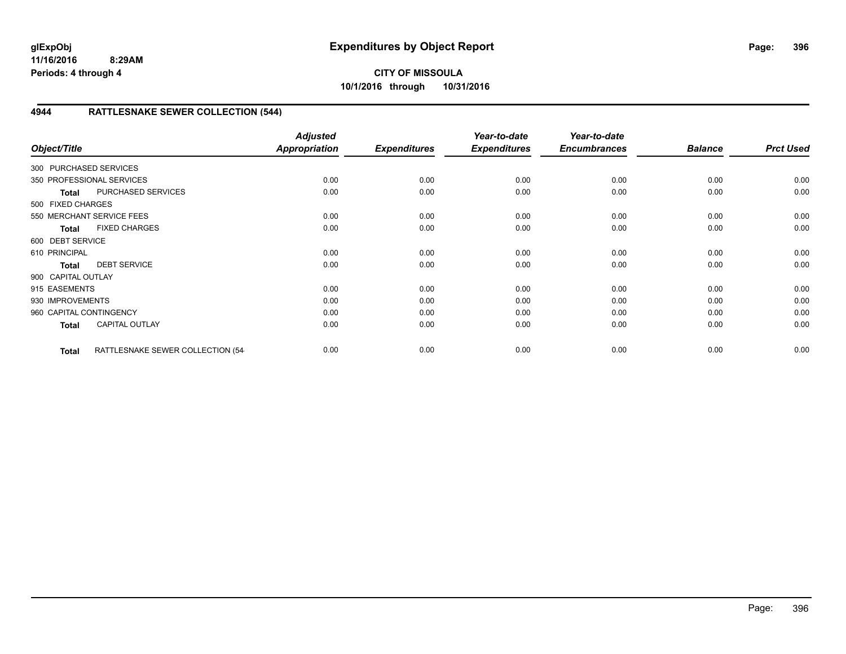**CITY OF MISSOULA 10/1/2016 through 10/31/2016**

# **4944 RATTLESNAKE SEWER COLLECTION (544)**

| Object/Title            |                                  | <b>Adjusted</b><br><b>Appropriation</b> | <b>Expenditures</b> | Year-to-date<br><b>Expenditures</b> | Year-to-date<br><b>Encumbrances</b> | <b>Balance</b> | <b>Prct Used</b> |
|-------------------------|----------------------------------|-----------------------------------------|---------------------|-------------------------------------|-------------------------------------|----------------|------------------|
| 300 PURCHASED SERVICES  |                                  |                                         |                     |                                     |                                     |                |                  |
|                         | 350 PROFESSIONAL SERVICES        | 0.00                                    | 0.00                | 0.00                                | 0.00                                | 0.00           | 0.00             |
| <b>Total</b>            | PURCHASED SERVICES               | 0.00                                    | 0.00                | 0.00                                | 0.00                                | 0.00           | 0.00             |
| 500 FIXED CHARGES       |                                  |                                         |                     |                                     |                                     |                |                  |
|                         | 550 MERCHANT SERVICE FEES        | 0.00                                    | 0.00                | 0.00                                | 0.00                                | 0.00           | 0.00             |
| <b>Total</b>            | <b>FIXED CHARGES</b>             | 0.00                                    | 0.00                | 0.00                                | 0.00                                | 0.00           | 0.00             |
| 600 DEBT SERVICE        |                                  |                                         |                     |                                     |                                     |                |                  |
| 610 PRINCIPAL           |                                  | 0.00                                    | 0.00                | 0.00                                | 0.00                                | 0.00           | 0.00             |
| <b>Total</b>            | <b>DEBT SERVICE</b>              | 0.00                                    | 0.00                | 0.00                                | 0.00                                | 0.00           | 0.00             |
| 900 CAPITAL OUTLAY      |                                  |                                         |                     |                                     |                                     |                |                  |
| 915 EASEMENTS           |                                  | 0.00                                    | 0.00                | 0.00                                | 0.00                                | 0.00           | 0.00             |
| 930 IMPROVEMENTS        |                                  | 0.00                                    | 0.00                | 0.00                                | 0.00                                | 0.00           | 0.00             |
| 960 CAPITAL CONTINGENCY |                                  | 0.00                                    | 0.00                | 0.00                                | 0.00                                | 0.00           | 0.00             |
| <b>Total</b>            | <b>CAPITAL OUTLAY</b>            | 0.00                                    | 0.00                | 0.00                                | 0.00                                | 0.00           | 0.00             |
| <b>Total</b>            | RATTLESNAKE SEWER COLLECTION (54 | 0.00                                    | 0.00                | 0.00                                | 0.00                                | 0.00           | 0.00             |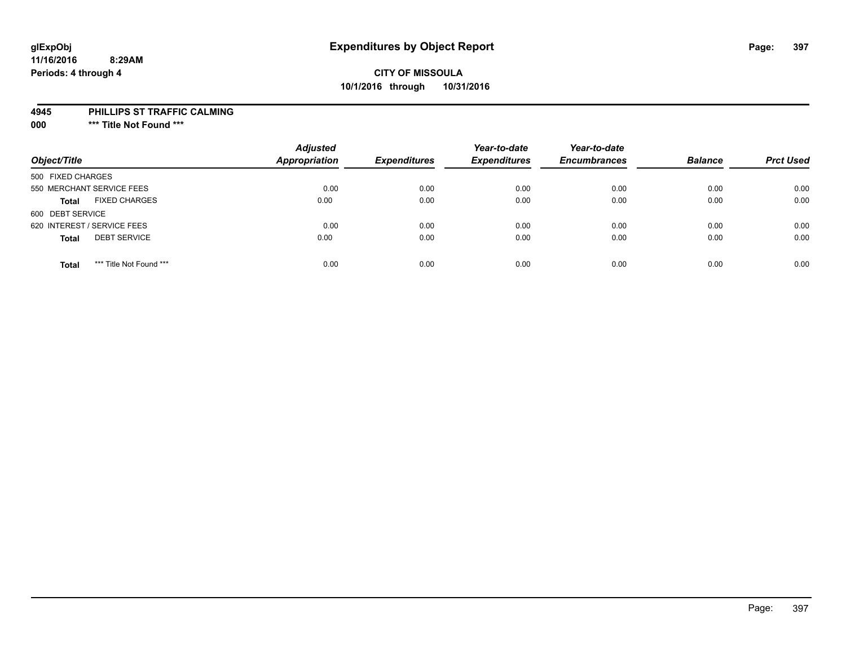#### **11/16/2016 8:29AM Periods: 4 through 4**

### **CITY OF MISSOULA 10/1/2016 through 10/31/2016**

#### **4945 PHILLIPS ST TRAFFIC CALMING**

**000 \*\*\* Title Not Found \*\*\***

| Object/Title                            | <b>Adjusted</b><br>Appropriation | <b>Expenditures</b> | Year-to-date<br><b>Expenditures</b> | Year-to-date<br><b>Encumbrances</b> | <b>Balance</b> | <b>Prct Used</b> |
|-----------------------------------------|----------------------------------|---------------------|-------------------------------------|-------------------------------------|----------------|------------------|
| 500 FIXED CHARGES                       |                                  |                     |                                     |                                     |                |                  |
| 550 MERCHANT SERVICE FEES               | 0.00                             | 0.00                | 0.00                                | 0.00                                | 0.00           | 0.00             |
| <b>FIXED CHARGES</b><br><b>Total</b>    | 0.00                             | 0.00                | 0.00                                | 0.00                                | 0.00           | 0.00             |
| 600 DEBT SERVICE                        |                                  |                     |                                     |                                     |                |                  |
| 620 INTEREST / SERVICE FEES             | 0.00                             | 0.00                | 0.00                                | 0.00                                | 0.00           | 0.00             |
| <b>DEBT SERVICE</b><br><b>Total</b>     | 0.00                             | 0.00                | 0.00                                | 0.00                                | 0.00           | 0.00             |
| *** Title Not Found ***<br><b>Total</b> | 0.00                             | 0.00                | 0.00                                | 0.00                                | 0.00           | 0.00             |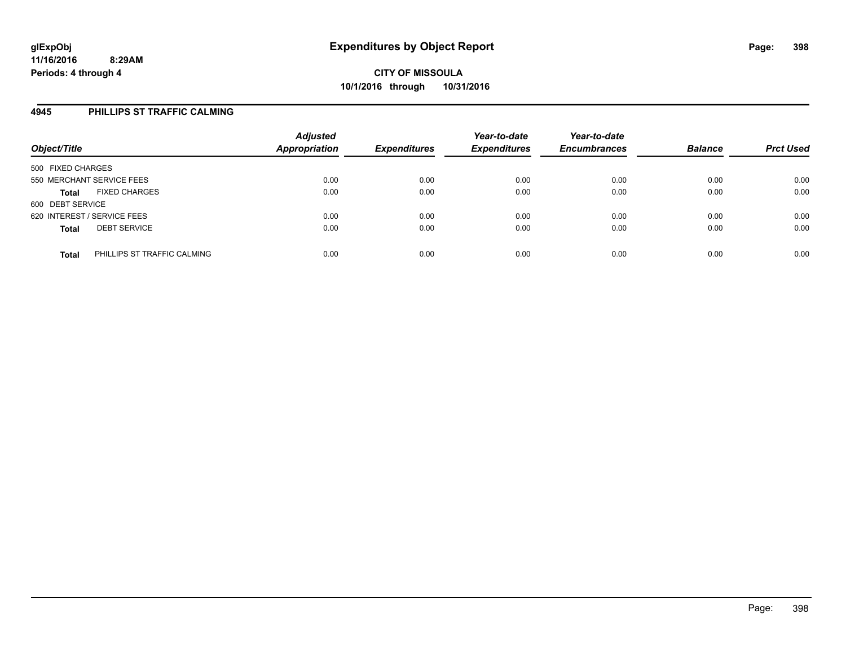#### **4945 PHILLIPS ST TRAFFIC CALMING**

| Object/Title                                | <b>Adjusted</b><br><b>Appropriation</b> | <b>Expenditures</b> | Year-to-date<br><b>Expenditures</b> | Year-to-date<br><b>Encumbrances</b> | <b>Balance</b> | <b>Prct Used</b> |
|---------------------------------------------|-----------------------------------------|---------------------|-------------------------------------|-------------------------------------|----------------|------------------|
| 500 FIXED CHARGES                           |                                         |                     |                                     |                                     |                |                  |
| 550 MERCHANT SERVICE FEES                   | 0.00                                    | 0.00                | 0.00                                | 0.00                                | 0.00           | 0.00             |
| <b>FIXED CHARGES</b><br><b>Total</b>        | 0.00                                    | 0.00                | 0.00                                | 0.00                                | 0.00           | 0.00             |
| 600 DEBT SERVICE                            |                                         |                     |                                     |                                     |                |                  |
| 620 INTEREST / SERVICE FEES                 | 0.00                                    | 0.00                | 0.00                                | 0.00                                | 0.00           | 0.00             |
| <b>DEBT SERVICE</b><br><b>Total</b>         | 0.00                                    | 0.00                | 0.00                                | 0.00                                | 0.00           | 0.00             |
| PHILLIPS ST TRAFFIC CALMING<br><b>Total</b> | 0.00                                    | 0.00                | 0.00                                | 0.00                                | 0.00           | 0.00             |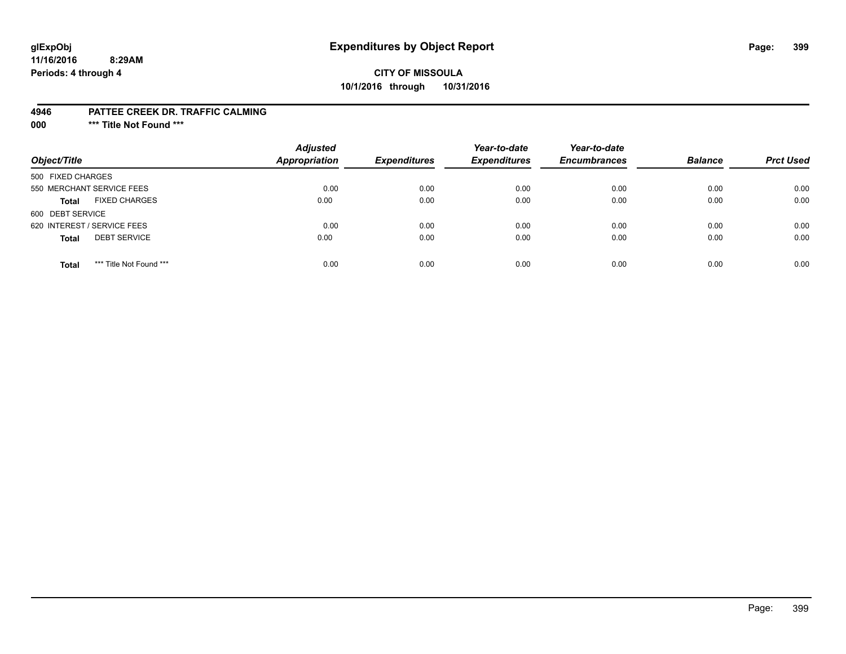# **glExpObj Expenditures by Object Report Page: 399**

#### **11/16/2016 8:29AM Periods: 4 through 4**

### **CITY OF MISSOULA 10/1/2016 through 10/31/2016**

#### **4946 PATTEE CREEK DR. TRAFFIC CALMING**

**000 \*\*\* Title Not Found \*\*\***

| Object/Title                            | <b>Adjusted</b><br>Appropriation | <b>Expenditures</b> | Year-to-date<br><b>Expenditures</b> | Year-to-date<br><b>Encumbrances</b> | <b>Balance</b> | <b>Prct Used</b> |
|-----------------------------------------|----------------------------------|---------------------|-------------------------------------|-------------------------------------|----------------|------------------|
| 500 FIXED CHARGES                       |                                  |                     |                                     |                                     |                |                  |
| 550 MERCHANT SERVICE FEES               | 0.00                             | 0.00                | 0.00                                | 0.00                                | 0.00           | 0.00             |
| <b>FIXED CHARGES</b><br><b>Total</b>    | 0.00                             | 0.00                | 0.00                                | 0.00                                | 0.00           | 0.00             |
| 600 DEBT SERVICE                        |                                  |                     |                                     |                                     |                |                  |
| 620 INTEREST / SERVICE FEES             | 0.00                             | 0.00                | 0.00                                | 0.00                                | 0.00           | 0.00             |
| <b>DEBT SERVICE</b><br><b>Total</b>     | 0.00                             | 0.00                | 0.00                                | 0.00                                | 0.00           | 0.00             |
| *** Title Not Found ***<br><b>Total</b> | 0.00                             | 0.00                | 0.00                                | 0.00                                | 0.00           | 0.00             |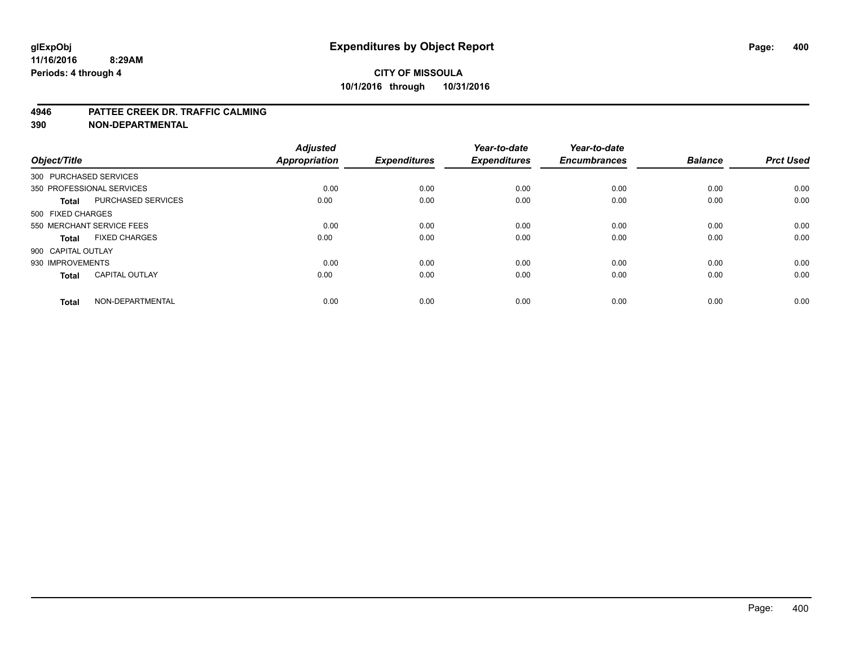#### **4946 PATTEE CREEK DR. TRAFFIC CALMING**

**390 NON-DEPARTMENTAL**

| Object/Title       |                           | <b>Adjusted</b><br><b>Appropriation</b> | <b>Expenditures</b> | Year-to-date<br><b>Expenditures</b> | Year-to-date<br><b>Encumbrances</b> | <b>Balance</b> | <b>Prct Used</b> |
|--------------------|---------------------------|-----------------------------------------|---------------------|-------------------------------------|-------------------------------------|----------------|------------------|
|                    | 300 PURCHASED SERVICES    |                                         |                     |                                     |                                     |                |                  |
|                    | 350 PROFESSIONAL SERVICES | 0.00                                    | 0.00                | 0.00                                | 0.00                                | 0.00           | 0.00             |
| Total              | <b>PURCHASED SERVICES</b> | 0.00                                    | 0.00                | 0.00                                | 0.00                                | 0.00           | 0.00             |
| 500 FIXED CHARGES  |                           |                                         |                     |                                     |                                     |                |                  |
|                    | 550 MERCHANT SERVICE FEES | 0.00                                    | 0.00                | 0.00                                | 0.00                                | 0.00           | 0.00             |
| <b>Total</b>       | <b>FIXED CHARGES</b>      | 0.00                                    | 0.00                | 0.00                                | 0.00                                | 0.00           | 0.00             |
| 900 CAPITAL OUTLAY |                           |                                         |                     |                                     |                                     |                |                  |
| 930 IMPROVEMENTS   |                           | 0.00                                    | 0.00                | 0.00                                | 0.00                                | 0.00           | 0.00             |
| <b>Total</b>       | <b>CAPITAL OUTLAY</b>     | 0.00                                    | 0.00                | 0.00                                | 0.00                                | 0.00           | 0.00             |
| <b>Total</b>       | NON-DEPARTMENTAL          | 0.00                                    | 0.00                | 0.00                                | 0.00                                | 0.00           | 0.00             |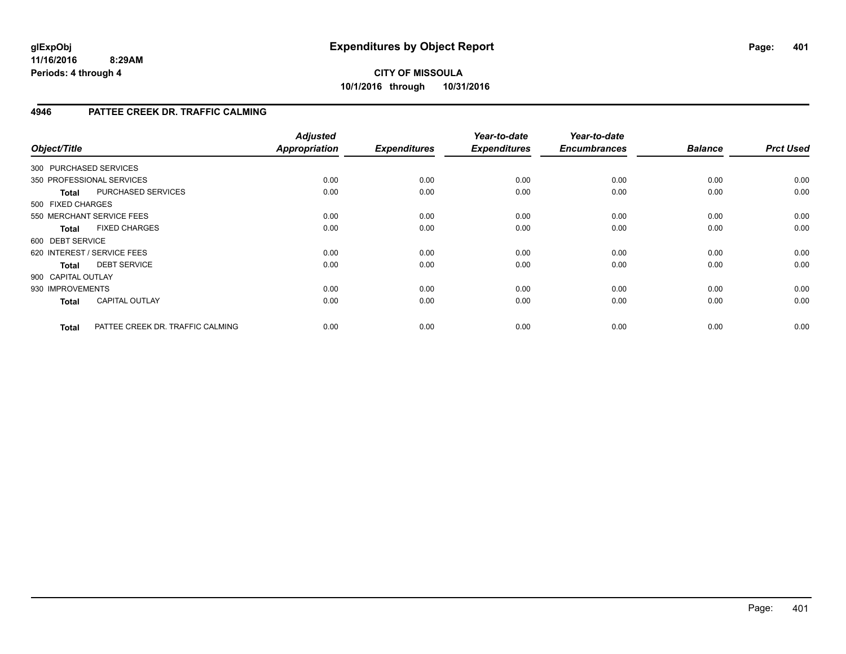#### **11/16/2016 8:29AM Periods: 4 through 4**

## **CITY OF MISSOULA 10/1/2016 through 10/31/2016**

### **4946 PATTEE CREEK DR. TRAFFIC CALMING**

| Object/Title           |                                  | <b>Adjusted</b><br><b>Appropriation</b> | <b>Expenditures</b> | Year-to-date<br><b>Expenditures</b> | Year-to-date<br><b>Encumbrances</b> | <b>Balance</b> | <b>Prct Used</b> |
|------------------------|----------------------------------|-----------------------------------------|---------------------|-------------------------------------|-------------------------------------|----------------|------------------|
| 300 PURCHASED SERVICES |                                  |                                         |                     |                                     |                                     |                |                  |
|                        | 350 PROFESSIONAL SERVICES        | 0.00                                    | 0.00                | 0.00                                | 0.00                                | 0.00           | 0.00             |
| Total                  | PURCHASED SERVICES               | 0.00                                    | 0.00                | 0.00                                | 0.00                                | 0.00           | 0.00             |
| 500 FIXED CHARGES      |                                  |                                         |                     |                                     |                                     |                |                  |
|                        | 550 MERCHANT SERVICE FEES        | 0.00                                    | 0.00                | 0.00                                | 0.00                                | 0.00           | 0.00             |
| <b>Total</b>           | <b>FIXED CHARGES</b>             | 0.00                                    | 0.00                | 0.00                                | 0.00                                | 0.00           | 0.00             |
| 600 DEBT SERVICE       |                                  |                                         |                     |                                     |                                     |                |                  |
|                        | 620 INTEREST / SERVICE FEES      | 0.00                                    | 0.00                | 0.00                                | 0.00                                | 0.00           | 0.00             |
| Total                  | <b>DEBT SERVICE</b>              | 0.00                                    | 0.00                | 0.00                                | 0.00                                | 0.00           | 0.00             |
| 900 CAPITAL OUTLAY     |                                  |                                         |                     |                                     |                                     |                |                  |
| 930 IMPROVEMENTS       |                                  | 0.00                                    | 0.00                | 0.00                                | 0.00                                | 0.00           | 0.00             |
| <b>Total</b>           | <b>CAPITAL OUTLAY</b>            | 0.00                                    | 0.00                | 0.00                                | 0.00                                | 0.00           | 0.00             |
| <b>Total</b>           | PATTEE CREEK DR. TRAFFIC CALMING | 0.00                                    | 0.00                | 0.00                                | 0.00                                | 0.00           | 0.00             |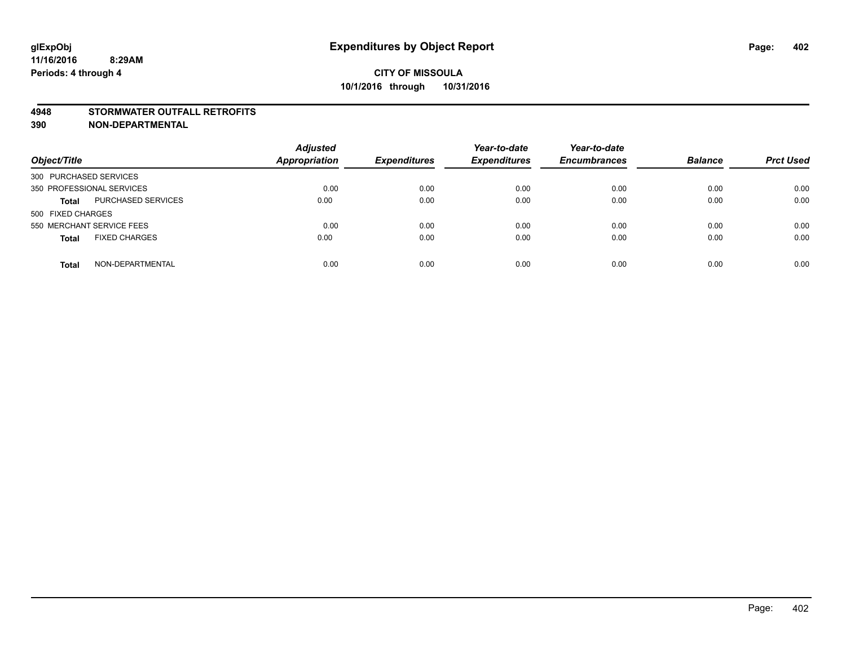#### **4948 STORMWATER OUTFALL RETROFITS**

**390 NON-DEPARTMENTAL**

| Object/Title                              | <b>Adjusted</b><br><b>Appropriation</b> | <b>Expenditures</b> | Year-to-date<br><b>Expenditures</b> | Year-to-date<br><b>Encumbrances</b> | <b>Balance</b> | <b>Prct Used</b> |
|-------------------------------------------|-----------------------------------------|---------------------|-------------------------------------|-------------------------------------|----------------|------------------|
| 300 PURCHASED SERVICES                    |                                         |                     |                                     |                                     |                |                  |
| 350 PROFESSIONAL SERVICES                 | 0.00                                    | 0.00                | 0.00                                | 0.00                                | 0.00           | 0.00             |
| <b>PURCHASED SERVICES</b><br><b>Total</b> | 0.00                                    | 0.00                | 0.00                                | 0.00                                | 0.00           | 0.00             |
| 500 FIXED CHARGES                         |                                         |                     |                                     |                                     |                |                  |
| 550 MERCHANT SERVICE FEES                 | 0.00                                    | 0.00                | 0.00                                | 0.00                                | 0.00           | 0.00             |
| <b>FIXED CHARGES</b><br><b>Total</b>      | 0.00                                    | 0.00                | 0.00                                | 0.00                                | 0.00           | 0.00             |
| NON-DEPARTMENTAL<br><b>Total</b>          | 0.00                                    | 0.00                | 0.00                                | 0.00                                | 0.00           | 0.00             |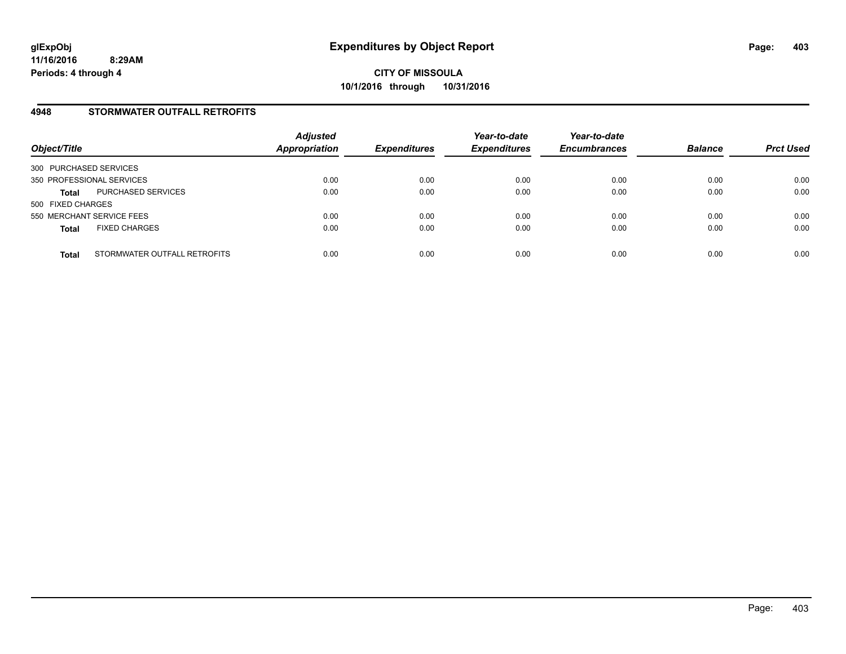#### **4948 STORMWATER OUTFALL RETROFITS**

| Object/Title              |                              | <b>Adjusted</b><br><b>Appropriation</b> | <b>Expenditures</b> | Year-to-date<br><b>Expenditures</b> | Year-to-date<br><b>Encumbrances</b> | <b>Balance</b> | <b>Prct Used</b> |
|---------------------------|------------------------------|-----------------------------------------|---------------------|-------------------------------------|-------------------------------------|----------------|------------------|
| 300 PURCHASED SERVICES    |                              |                                         |                     |                                     |                                     |                |                  |
| 350 PROFESSIONAL SERVICES |                              | 0.00                                    | 0.00                | 0.00                                | 0.00                                | 0.00           | 0.00             |
| <b>Total</b>              | PURCHASED SERVICES           | 0.00                                    | 0.00                | 0.00                                | 0.00                                | 0.00           | 0.00             |
| 500 FIXED CHARGES         |                              |                                         |                     |                                     |                                     |                |                  |
| 550 MERCHANT SERVICE FEES |                              | 0.00                                    | 0.00                | 0.00                                | 0.00                                | 0.00           | 0.00             |
| <b>Total</b>              | <b>FIXED CHARGES</b>         | 0.00                                    | 0.00                | 0.00                                | 0.00                                | 0.00           | 0.00             |
| <b>Total</b>              | STORMWATER OUTFALL RETROFITS | 0.00                                    | 0.00                | 0.00                                | 0.00                                | 0.00           | 0.00             |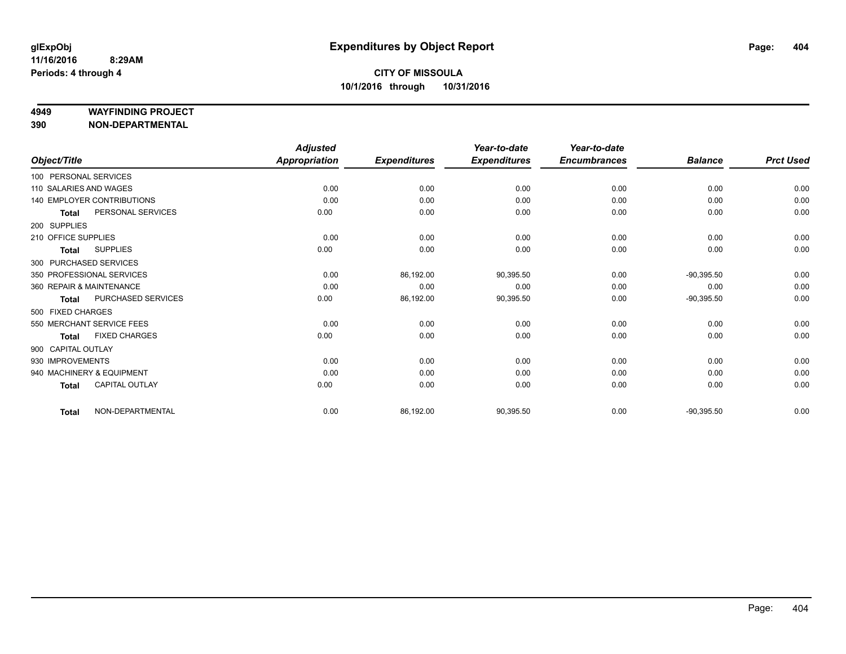#### **4949 WAYFINDING PROJECT**

**390 NON-DEPARTMENTAL**

|                          |                            | <b>Adjusted</b>      |                     | Year-to-date        | Year-to-date        |                |                  |
|--------------------------|----------------------------|----------------------|---------------------|---------------------|---------------------|----------------|------------------|
| Object/Title             |                            | <b>Appropriation</b> | <b>Expenditures</b> | <b>Expenditures</b> | <b>Encumbrances</b> | <b>Balance</b> | <b>Prct Used</b> |
| 100 PERSONAL SERVICES    |                            |                      |                     |                     |                     |                |                  |
| 110 SALARIES AND WAGES   |                            | 0.00                 | 0.00                | 0.00                | 0.00                | 0.00           | 0.00             |
|                          | 140 EMPLOYER CONTRIBUTIONS | 0.00                 | 0.00                | 0.00                | 0.00                | 0.00           | 0.00             |
| <b>Total</b>             | PERSONAL SERVICES          | 0.00                 | 0.00                | 0.00                | 0.00                | 0.00           | 0.00             |
| 200 SUPPLIES             |                            |                      |                     |                     |                     |                |                  |
| 210 OFFICE SUPPLIES      |                            | 0.00                 | 0.00                | 0.00                | 0.00                | 0.00           | 0.00             |
| <b>Total</b>             | <b>SUPPLIES</b>            | 0.00                 | 0.00                | 0.00                | 0.00                | 0.00           | 0.00             |
| 300 PURCHASED SERVICES   |                            |                      |                     |                     |                     |                |                  |
|                          | 350 PROFESSIONAL SERVICES  | 0.00                 | 86,192.00           | 90,395.50           | 0.00                | $-90,395.50$   | 0.00             |
| 360 REPAIR & MAINTENANCE |                            | 0.00                 | 0.00                | 0.00                | 0.00                | 0.00           | 0.00             |
| <b>Total</b>             | PURCHASED SERVICES         | 0.00                 | 86,192.00           | 90,395.50           | 0.00                | $-90,395.50$   | 0.00             |
| 500 FIXED CHARGES        |                            |                      |                     |                     |                     |                |                  |
|                          | 550 MERCHANT SERVICE FEES  | 0.00                 | 0.00                | 0.00                | 0.00                | 0.00           | 0.00             |
| <b>Total</b>             | <b>FIXED CHARGES</b>       | 0.00                 | 0.00                | 0.00                | 0.00                | 0.00           | 0.00             |
| 900 CAPITAL OUTLAY       |                            |                      |                     |                     |                     |                |                  |
| 930 IMPROVEMENTS         |                            | 0.00                 | 0.00                | 0.00                | 0.00                | 0.00           | 0.00             |
|                          | 940 MACHINERY & EQUIPMENT  | 0.00                 | 0.00                | 0.00                | 0.00                | 0.00           | 0.00             |
| <b>Total</b>             | <b>CAPITAL OUTLAY</b>      | 0.00                 | 0.00                | 0.00                | 0.00                | 0.00           | 0.00             |
| <b>Total</b>             | NON-DEPARTMENTAL           | 0.00                 | 86,192.00           | 90,395.50           | 0.00                | $-90,395.50$   | 0.00             |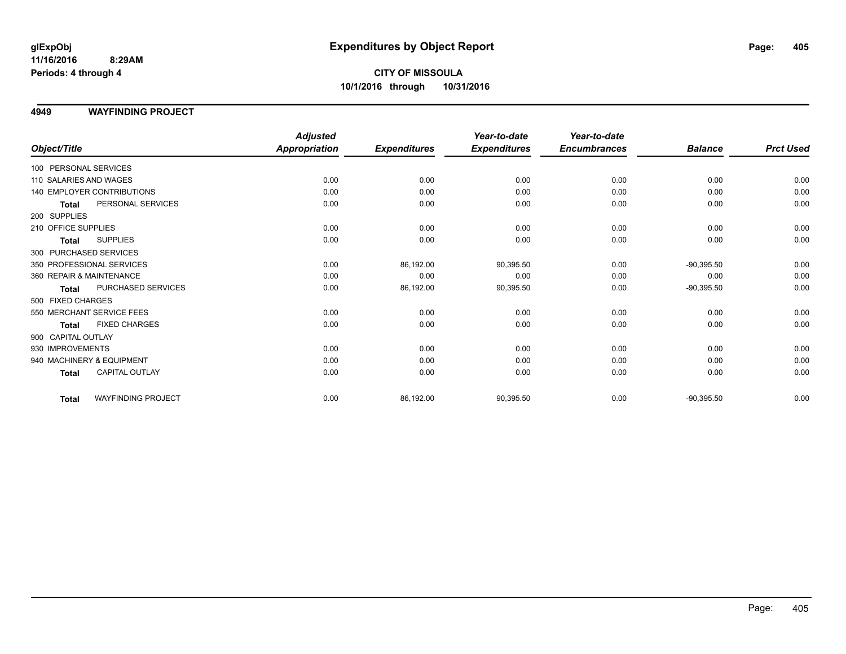#### **11/16/2016 8:29AM Periods: 4 through 4**

# **CITY OF MISSOULA 10/1/2016 through 10/31/2016**

#### **4949 WAYFINDING PROJECT**

|                           |                            | <b>Adjusted</b>      |                     | Year-to-date        | Year-to-date        |                |                  |
|---------------------------|----------------------------|----------------------|---------------------|---------------------|---------------------|----------------|------------------|
| Object/Title              |                            | <b>Appropriation</b> | <b>Expenditures</b> | <b>Expenditures</b> | <b>Encumbrances</b> | <b>Balance</b> | <b>Prct Used</b> |
| 100 PERSONAL SERVICES     |                            |                      |                     |                     |                     |                |                  |
| 110 SALARIES AND WAGES    |                            | 0.00                 | 0.00                | 0.00                | 0.00                | 0.00           | 0.00             |
|                           | 140 EMPLOYER CONTRIBUTIONS | 0.00                 | 0.00                | 0.00                | 0.00                | 0.00           | 0.00             |
| <b>Total</b>              | PERSONAL SERVICES          | 0.00                 | 0.00                | 0.00                | 0.00                | 0.00           | 0.00             |
| 200 SUPPLIES              |                            |                      |                     |                     |                     |                |                  |
| 210 OFFICE SUPPLIES       |                            | 0.00                 | 0.00                | 0.00                | 0.00                | 0.00           | 0.00             |
| <b>Total</b>              | <b>SUPPLIES</b>            | 0.00                 | 0.00                | 0.00                | 0.00                | 0.00           | 0.00             |
| 300 PURCHASED SERVICES    |                            |                      |                     |                     |                     |                |                  |
| 350 PROFESSIONAL SERVICES |                            | 0.00                 | 86,192.00           | 90,395.50           | 0.00                | $-90,395.50$   | 0.00             |
| 360 REPAIR & MAINTENANCE  |                            | 0.00                 | 0.00                | 0.00                | 0.00                | 0.00           | 0.00             |
| Total                     | PURCHASED SERVICES         | 0.00                 | 86,192.00           | 90,395.50           | 0.00                | $-90,395.50$   | 0.00             |
| 500 FIXED CHARGES         |                            |                      |                     |                     |                     |                |                  |
| 550 MERCHANT SERVICE FEES |                            | 0.00                 | 0.00                | 0.00                | 0.00                | 0.00           | 0.00             |
| Total                     | <b>FIXED CHARGES</b>       | 0.00                 | 0.00                | 0.00                | 0.00                | 0.00           | 0.00             |
| 900 CAPITAL OUTLAY        |                            |                      |                     |                     |                     |                |                  |
| 930 IMPROVEMENTS          |                            | 0.00                 | 0.00                | 0.00                | 0.00                | 0.00           | 0.00             |
| 940 MACHINERY & EQUIPMENT |                            | 0.00                 | 0.00                | 0.00                | 0.00                | 0.00           | 0.00             |
| <b>Total</b>              | <b>CAPITAL OUTLAY</b>      | 0.00                 | 0.00                | 0.00                | 0.00                | 0.00           | 0.00             |
| <b>Total</b>              | <b>WAYFINDING PROJECT</b>  | 0.00                 | 86,192.00           | 90,395.50           | 0.00                | $-90,395.50$   | 0.00             |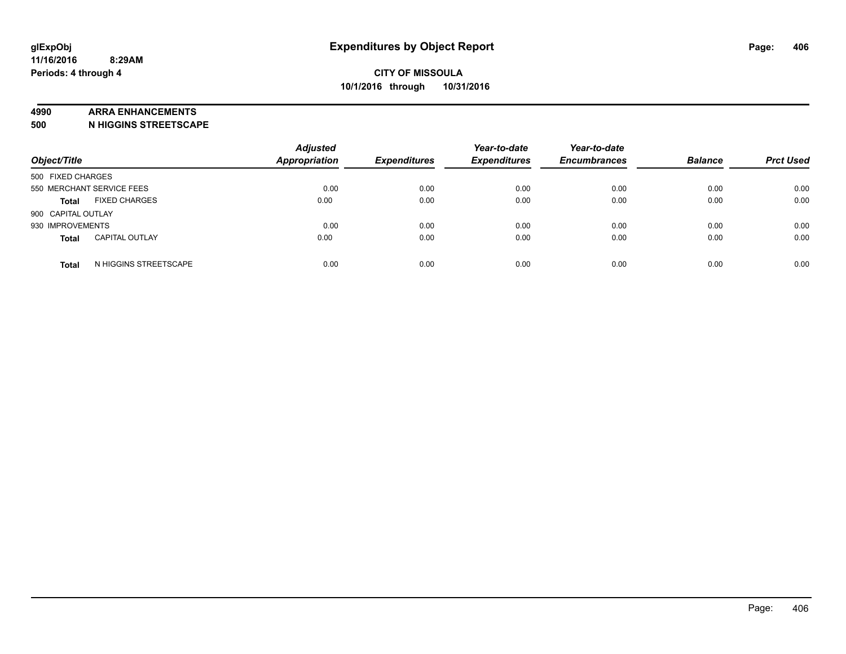#### **4990 ARRA ENHANCEMENTS**

**500 N HIGGINS STREETSCAPE**

| Object/Title              |                       | <b>Adjusted</b><br><b>Appropriation</b> | <b>Expenditures</b> | Year-to-date<br><b>Expenditures</b> | Year-to-date<br><b>Encumbrances</b> | <b>Balance</b> | <b>Prct Used</b> |
|---------------------------|-----------------------|-----------------------------------------|---------------------|-------------------------------------|-------------------------------------|----------------|------------------|
| 500 FIXED CHARGES         |                       |                                         |                     |                                     |                                     |                |                  |
| 550 MERCHANT SERVICE FEES |                       | 0.00                                    | 0.00                | 0.00                                | 0.00                                | 0.00           | 0.00             |
| <b>Total</b>              | <b>FIXED CHARGES</b>  | 0.00                                    | 0.00                | 0.00                                | 0.00                                | 0.00           | 0.00             |
| 900 CAPITAL OUTLAY        |                       |                                         |                     |                                     |                                     |                |                  |
| 930 IMPROVEMENTS          |                       | 0.00                                    | 0.00                | 0.00                                | 0.00                                | 0.00           | 0.00             |
| <b>Total</b>              | <b>CAPITAL OUTLAY</b> | 0.00                                    | 0.00                | 0.00                                | 0.00                                | 0.00           | 0.00             |
| <b>Total</b>              | N HIGGINS STREETSCAPE | 0.00                                    | 0.00                | 0.00                                | 0.00                                | 0.00           | 0.00             |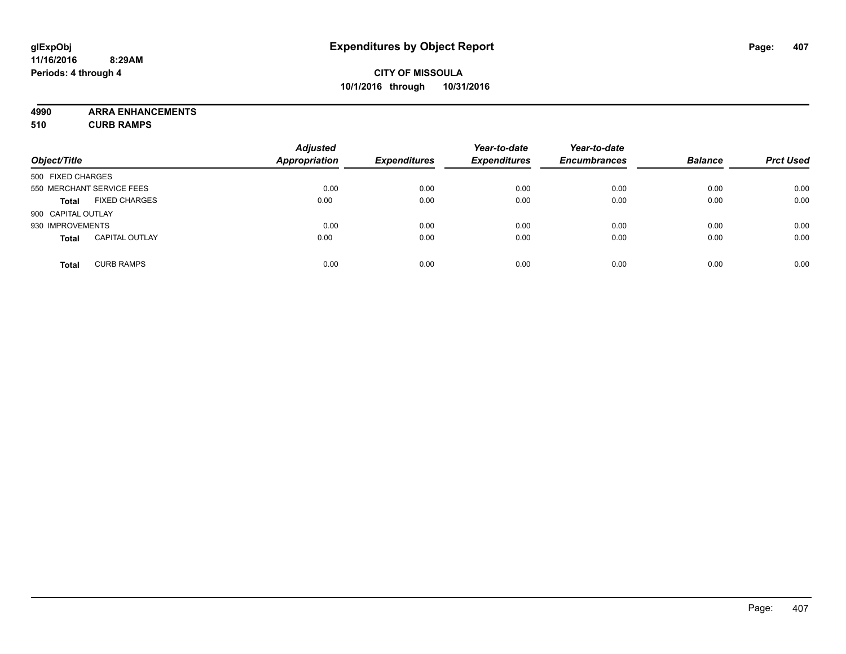**4990 ARRA ENHANCEMENTS 510 CURB RAMPS**

| Object/Title       |                           | <b>Adjusted</b><br><b>Appropriation</b> | <b>Expenditures</b> | Year-to-date<br><b>Expenditures</b> | Year-to-date<br><b>Encumbrances</b> | <b>Balance</b> | <b>Prct Used</b> |
|--------------------|---------------------------|-----------------------------------------|---------------------|-------------------------------------|-------------------------------------|----------------|------------------|
| 500 FIXED CHARGES  |                           |                                         |                     |                                     |                                     |                |                  |
|                    | 550 MERCHANT SERVICE FEES | 0.00                                    | 0.00                | 0.00                                | 0.00                                | 0.00           | 0.00             |
| <b>Total</b>       | <b>FIXED CHARGES</b>      | 0.00                                    | 0.00                | 0.00                                | 0.00                                | 0.00           | 0.00             |
| 900 CAPITAL OUTLAY |                           |                                         |                     |                                     |                                     |                |                  |
| 930 IMPROVEMENTS   |                           | 0.00                                    | 0.00                | 0.00                                | 0.00                                | 0.00           | 0.00             |
| <b>Total</b>       | <b>CAPITAL OUTLAY</b>     | 0.00                                    | 0.00                | 0.00                                | 0.00                                | 0.00           | 0.00             |
| <b>Total</b>       | <b>CURB RAMPS</b>         | 0.00                                    | 0.00                | 0.00                                | 0.00                                | 0.00           | 0.00             |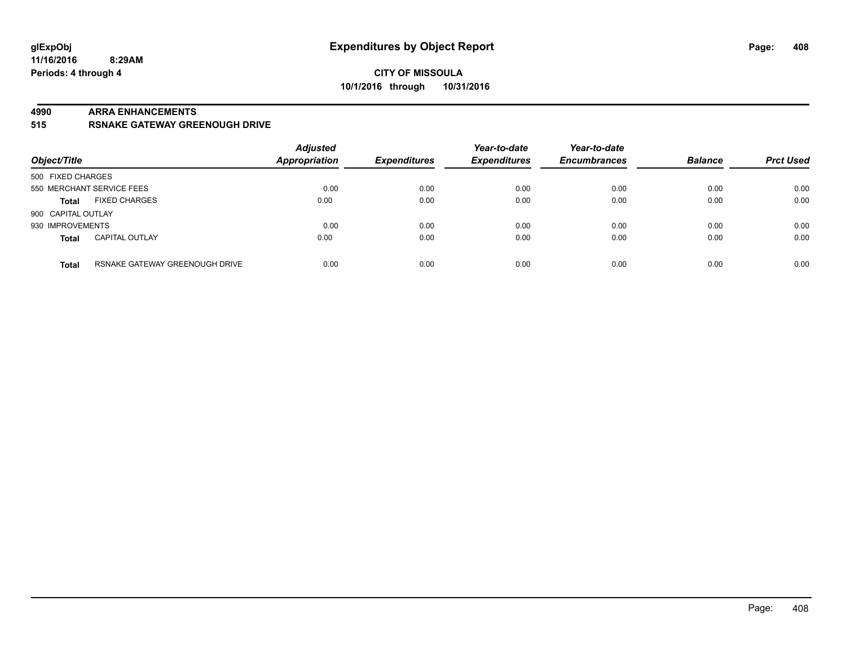#### **4990 ARRA ENHANCEMENTS**

**515 RSNAKE GATEWAY GREENOUGH DRIVE**

| Object/Title       |                                | <b>Adjusted</b><br>Appropriation | <b>Expenditures</b> | Year-to-date<br><b>Expenditures</b> | Year-to-date<br><b>Encumbrances</b> | <b>Balance</b> | <b>Prct Used</b> |
|--------------------|--------------------------------|----------------------------------|---------------------|-------------------------------------|-------------------------------------|----------------|------------------|
| 500 FIXED CHARGES  |                                |                                  |                     |                                     |                                     |                |                  |
|                    | 550 MERCHANT SERVICE FEES      | 0.00                             | 0.00                | 0.00                                | 0.00                                | 0.00           | 0.00             |
| <b>Total</b>       | <b>FIXED CHARGES</b>           | 0.00                             | 0.00                | 0.00                                | 0.00                                | 0.00           | 0.00             |
| 900 CAPITAL OUTLAY |                                |                                  |                     |                                     |                                     |                |                  |
| 930 IMPROVEMENTS   |                                | 0.00                             | 0.00                | 0.00                                | 0.00                                | 0.00           | 0.00             |
| <b>Total</b>       | <b>CAPITAL OUTLAY</b>          | 0.00                             | 0.00                | 0.00                                | 0.00                                | 0.00           | 0.00             |
| <b>Total</b>       | RSNAKE GATEWAY GREENOUGH DRIVE | 0.00                             | 0.00                | 0.00                                | 0.00                                | 0.00           | 0.00             |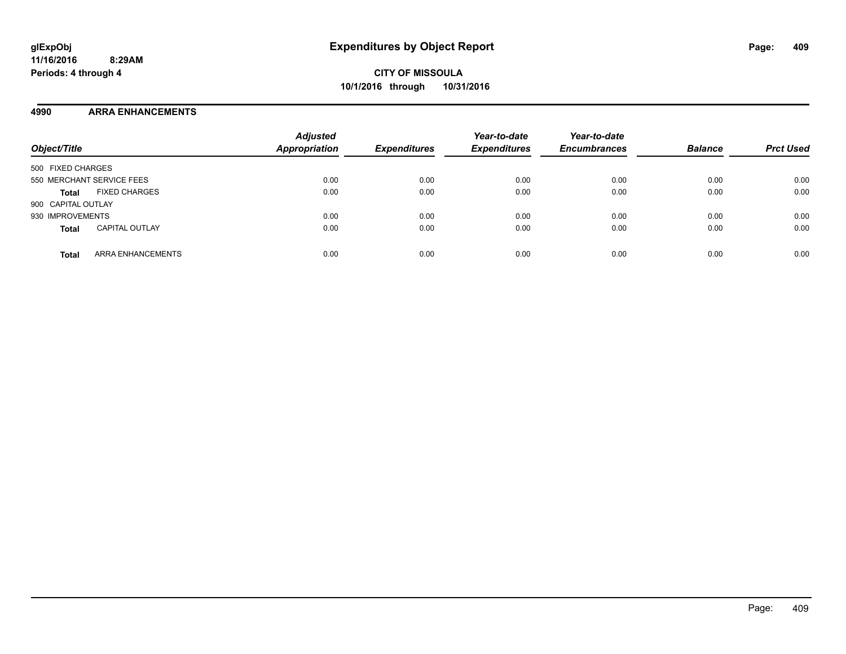#### **4990 ARRA ENHANCEMENTS**

| Object/Title                             | <b>Adjusted</b><br><b>Appropriation</b> | <b>Expenditures</b> | Year-to-date<br><b>Expenditures</b> | Year-to-date<br><b>Encumbrances</b> | <b>Balance</b> | <b>Prct Used</b> |
|------------------------------------------|-----------------------------------------|---------------------|-------------------------------------|-------------------------------------|----------------|------------------|
| 500 FIXED CHARGES                        |                                         |                     |                                     |                                     |                |                  |
| 550 MERCHANT SERVICE FEES                | 0.00                                    | 0.00                | 0.00                                | 0.00                                | 0.00           | 0.00             |
| <b>FIXED CHARGES</b><br><b>Total</b>     | 0.00                                    | 0.00                | 0.00                                | 0.00                                | 0.00           | 0.00             |
| 900 CAPITAL OUTLAY                       |                                         |                     |                                     |                                     |                |                  |
| 930 IMPROVEMENTS                         | 0.00                                    | 0.00                | 0.00                                | 0.00                                | 0.00           | 0.00             |
| <b>CAPITAL OUTLAY</b><br><b>Total</b>    | 0.00                                    | 0.00                | 0.00                                | 0.00                                | 0.00           | 0.00             |
| <b>ARRA ENHANCEMENTS</b><br><b>Total</b> | 0.00                                    | 0.00                | 0.00                                | 0.00                                | 0.00           | 0.00             |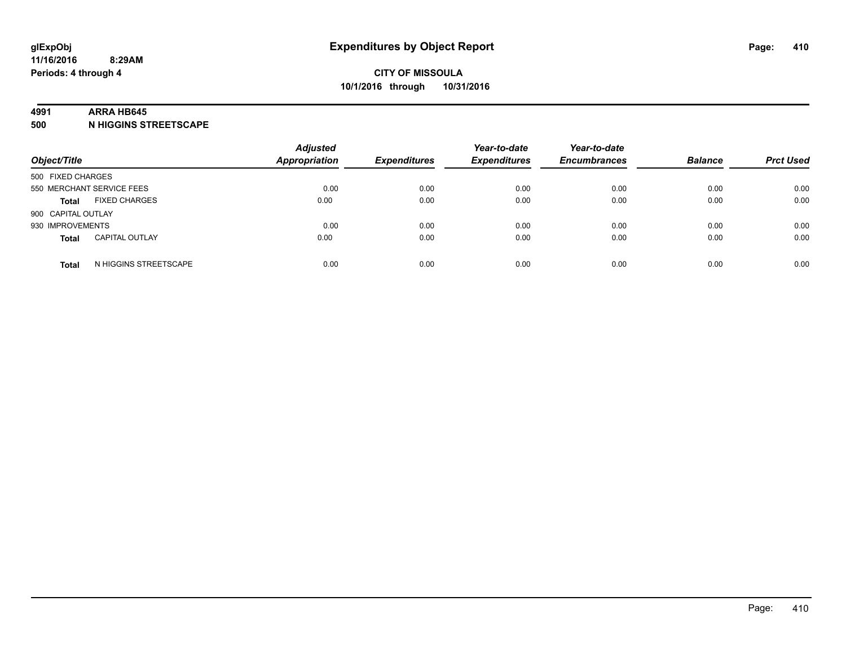#### **4991 ARRA HB645**

**500 N HIGGINS STREETSCAPE**

| Object/Title       |                           | <b>Adjusted</b><br><b>Appropriation</b> | <b>Expenditures</b> | Year-to-date<br><b>Expenditures</b> | Year-to-date<br><b>Encumbrances</b> | <b>Balance</b> | <b>Prct Used</b> |
|--------------------|---------------------------|-----------------------------------------|---------------------|-------------------------------------|-------------------------------------|----------------|------------------|
| 500 FIXED CHARGES  |                           |                                         |                     |                                     |                                     |                |                  |
|                    | 550 MERCHANT SERVICE FEES | 0.00                                    | 0.00                | 0.00                                | 0.00                                | 0.00           | 0.00             |
| <b>Total</b>       | <b>FIXED CHARGES</b>      | 0.00                                    | 0.00                | 0.00                                | 0.00                                | 0.00           | 0.00             |
| 900 CAPITAL OUTLAY |                           |                                         |                     |                                     |                                     |                |                  |
| 930 IMPROVEMENTS   |                           | 0.00                                    | 0.00                | 0.00                                | 0.00                                | 0.00           | 0.00             |
| <b>Total</b>       | <b>CAPITAL OUTLAY</b>     | 0.00                                    | 0.00                | 0.00                                | 0.00                                | 0.00           | 0.00             |
| <b>Total</b>       | N HIGGINS STREETSCAPE     | 0.00                                    | 0.00                | 0.00                                | 0.00                                | 0.00           | 0.00             |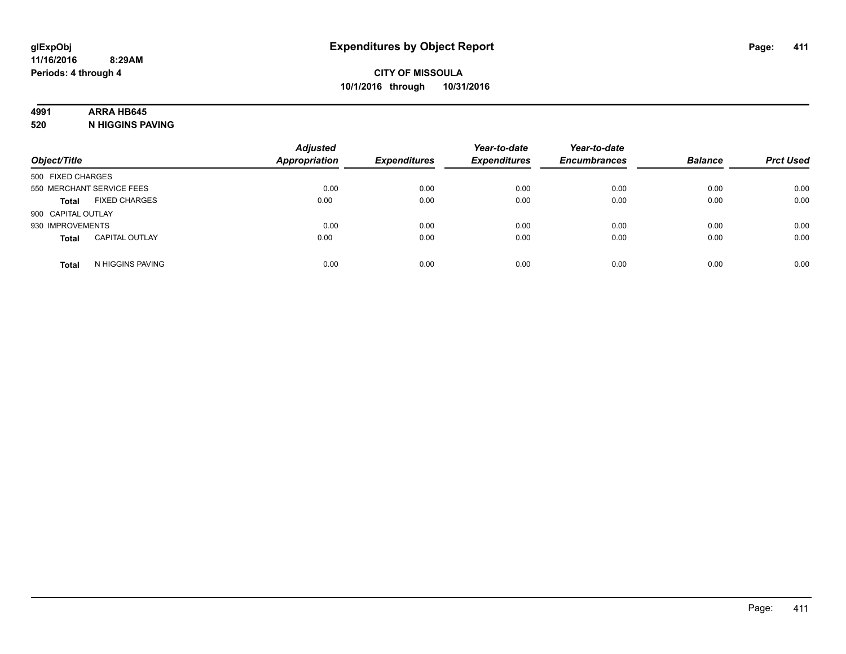# **4991 ARRA HB645**

**520 N HIGGINS PAVING**

| Object/Title       |                           | <b>Adjusted</b><br><b>Appropriation</b> | <b>Expenditures</b> | Year-to-date<br><b>Expenditures</b> | Year-to-date<br><b>Encumbrances</b> | <b>Balance</b> | <b>Prct Used</b> |
|--------------------|---------------------------|-----------------------------------------|---------------------|-------------------------------------|-------------------------------------|----------------|------------------|
| 500 FIXED CHARGES  |                           |                                         |                     |                                     |                                     |                |                  |
|                    | 550 MERCHANT SERVICE FEES | 0.00                                    | 0.00                | 0.00                                | 0.00                                | 0.00           | 0.00             |
| <b>Total</b>       | <b>FIXED CHARGES</b>      | 0.00                                    | 0.00                | 0.00                                | 0.00                                | 0.00           | 0.00             |
| 900 CAPITAL OUTLAY |                           |                                         |                     |                                     |                                     |                |                  |
| 930 IMPROVEMENTS   |                           | 0.00                                    | 0.00                | 0.00                                | 0.00                                | 0.00           | 0.00             |
| <b>Total</b>       | <b>CAPITAL OUTLAY</b>     | 0.00                                    | 0.00                | 0.00                                | 0.00                                | 0.00           | 0.00             |
| <b>Total</b>       | N HIGGINS PAVING          | 0.00                                    | 0.00                | 0.00                                | 0.00                                | 0.00           | 0.00             |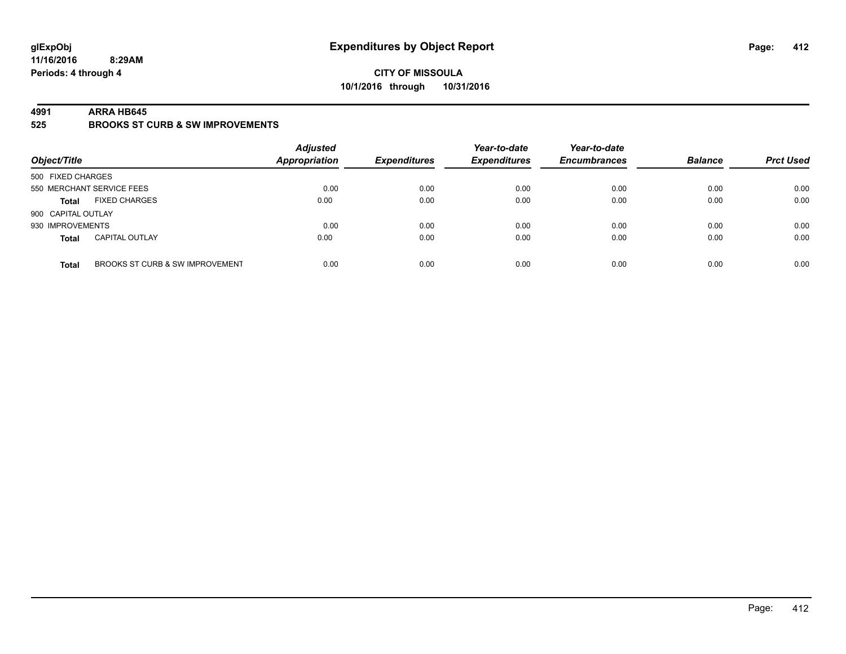**11/16/2016 8:29AM Periods: 4 through 4**

### **CITY OF MISSOULA 10/1/2016 through 10/31/2016**

#### **4991 ARRA HB645**

**525 BROOKS ST CURB & SW IMPROVEMENTS**

| Object/Title       |                                 | <b>Adjusted</b><br><b>Appropriation</b> | <b>Expenditures</b> | Year-to-date<br><b>Expenditures</b> | Year-to-date<br><b>Encumbrances</b> | <b>Balance</b> | <b>Prct Used</b> |
|--------------------|---------------------------------|-----------------------------------------|---------------------|-------------------------------------|-------------------------------------|----------------|------------------|
| 500 FIXED CHARGES  |                                 |                                         |                     |                                     |                                     |                |                  |
|                    | 550 MERCHANT SERVICE FEES       | 0.00                                    | 0.00                | 0.00                                | 0.00                                | 0.00           | 0.00             |
| <b>Total</b>       | <b>FIXED CHARGES</b>            | 0.00                                    | 0.00                | 0.00                                | 0.00                                | 0.00           | 0.00             |
| 900 CAPITAL OUTLAY |                                 |                                         |                     |                                     |                                     |                |                  |
| 930 IMPROVEMENTS   |                                 | 0.00                                    | 0.00                | 0.00                                | 0.00                                | 0.00           | 0.00             |
| <b>Total</b>       | <b>CAPITAL OUTLAY</b>           | 0.00                                    | 0.00                | 0.00                                | 0.00                                | 0.00           | 0.00             |
| <b>Total</b>       | BROOKS ST CURB & SW IMPROVEMENT | 0.00                                    | 0.00                | 0.00                                | 0.00                                | 0.00           | 0.00             |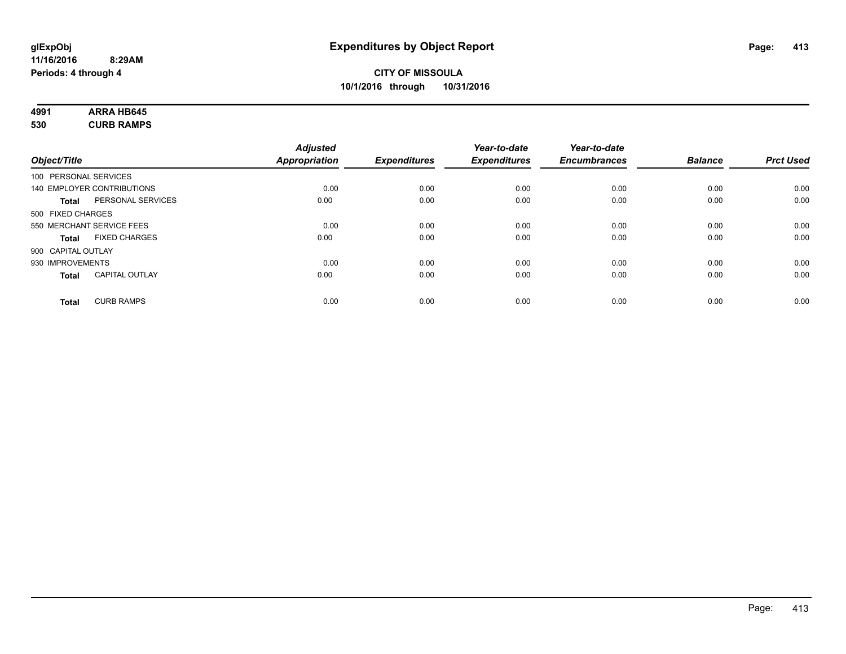| 4991 | <b>ARRA HB645</b> |  |
|------|-------------------|--|
| 530  | <b>CURB RAMPS</b> |  |

| Object/Title       |                            | <b>Adjusted</b><br><b>Appropriation</b> | <b>Expenditures</b> | Year-to-date<br><b>Expenditures</b> | Year-to-date<br><b>Encumbrances</b> | <b>Balance</b> | <b>Prct Used</b> |
|--------------------|----------------------------|-----------------------------------------|---------------------|-------------------------------------|-------------------------------------|----------------|------------------|
|                    | 100 PERSONAL SERVICES      |                                         |                     |                                     |                                     |                |                  |
|                    | 140 EMPLOYER CONTRIBUTIONS | 0.00                                    | 0.00                | 0.00                                | 0.00                                | 0.00           | 0.00             |
| Total              | PERSONAL SERVICES          | 0.00                                    | 0.00                | 0.00                                | 0.00                                | 0.00           | 0.00             |
| 500 FIXED CHARGES  |                            |                                         |                     |                                     |                                     |                |                  |
|                    | 550 MERCHANT SERVICE FEES  | 0.00                                    | 0.00                | 0.00                                | 0.00                                | 0.00           | 0.00             |
| Total              | <b>FIXED CHARGES</b>       | 0.00                                    | 0.00                | 0.00                                | 0.00                                | 0.00           | 0.00             |
| 900 CAPITAL OUTLAY |                            |                                         |                     |                                     |                                     |                |                  |
| 930 IMPROVEMENTS   |                            | 0.00                                    | 0.00                | 0.00                                | 0.00                                | 0.00           | 0.00             |
| Total              | <b>CAPITAL OUTLAY</b>      | 0.00                                    | 0.00                | 0.00                                | 0.00                                | 0.00           | 0.00             |
| <b>Total</b>       | <b>CURB RAMPS</b>          | 0.00                                    | 0.00                | 0.00                                | 0.00                                | 0.00           | 0.00             |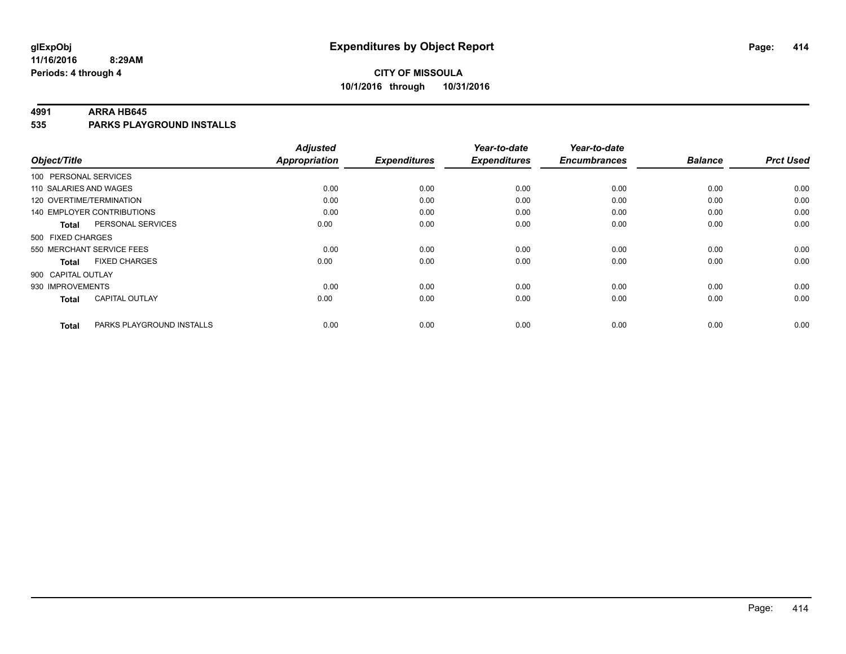#### **4991 ARRA HB645**

**535 PARKS PLAYGROUND INSTALLS**

|                                           | <b>Adjusted</b>      |                     | Year-to-date        | Year-to-date        |                |                  |
|-------------------------------------------|----------------------|---------------------|---------------------|---------------------|----------------|------------------|
| Object/Title                              | <b>Appropriation</b> | <b>Expenditures</b> | <b>Expenditures</b> | <b>Encumbrances</b> | <b>Balance</b> | <b>Prct Used</b> |
| 100 PERSONAL SERVICES                     |                      |                     |                     |                     |                |                  |
| 110 SALARIES AND WAGES                    | 0.00                 | 0.00                | 0.00                | 0.00                | 0.00           | 0.00             |
| 120 OVERTIME/TERMINATION                  | 0.00                 | 0.00                | 0.00                | 0.00                | 0.00           | 0.00             |
| 140 EMPLOYER CONTRIBUTIONS                | 0.00                 | 0.00                | 0.00                | 0.00                | 0.00           | 0.00             |
| PERSONAL SERVICES<br><b>Total</b>         | 0.00                 | 0.00                | 0.00                | 0.00                | 0.00           | 0.00             |
| 500 FIXED CHARGES                         |                      |                     |                     |                     |                |                  |
| 550 MERCHANT SERVICE FEES                 | 0.00                 | 0.00                | 0.00                | 0.00                | 0.00           | 0.00             |
| <b>FIXED CHARGES</b><br><b>Total</b>      | 0.00                 | 0.00                | 0.00                | 0.00                | 0.00           | 0.00             |
| 900 CAPITAL OUTLAY                        |                      |                     |                     |                     |                |                  |
| 930 IMPROVEMENTS                          | 0.00                 | 0.00                | 0.00                | 0.00                | 0.00           | 0.00             |
| <b>CAPITAL OUTLAY</b><br>Total            | 0.00                 | 0.00                | 0.00                | 0.00                | 0.00           | 0.00             |
| PARKS PLAYGROUND INSTALLS<br><b>Total</b> | 0.00                 | 0.00                | 0.00                | 0.00                | 0.00           | 0.00             |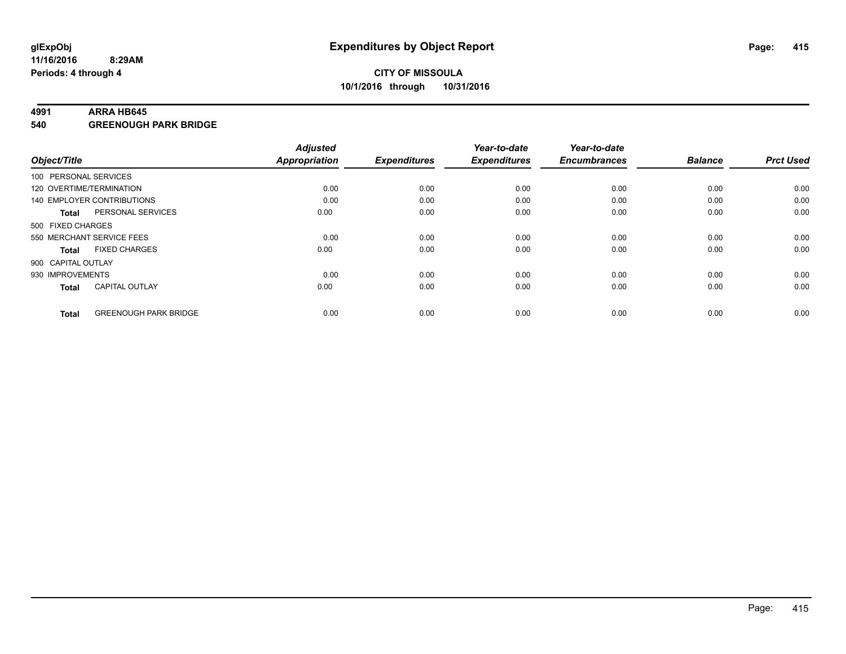#### **4991 ARRA HB645**

**540 GREENOUGH PARK BRIDGE**

| Object/Title       |                              | <b>Adjusted</b><br><b>Appropriation</b> | <b>Expenditures</b> | Year-to-date<br><b>Expenditures</b> | Year-to-date<br><b>Encumbrances</b> | <b>Balance</b> | <b>Prct Used</b> |
|--------------------|------------------------------|-----------------------------------------|---------------------|-------------------------------------|-------------------------------------|----------------|------------------|
|                    | 100 PERSONAL SERVICES        |                                         |                     |                                     |                                     |                |                  |
|                    | 120 OVERTIME/TERMINATION     | 0.00                                    | 0.00                | 0.00                                | 0.00                                | 0.00           | 0.00             |
|                    | 140 EMPLOYER CONTRIBUTIONS   | 0.00                                    | 0.00                | 0.00                                | 0.00                                | 0.00           | 0.00             |
| Total              | PERSONAL SERVICES            | 0.00                                    | 0.00                | 0.00                                | 0.00                                | 0.00           | 0.00             |
| 500 FIXED CHARGES  |                              |                                         |                     |                                     |                                     |                |                  |
|                    | 550 MERCHANT SERVICE FEES    | 0.00                                    | 0.00                | 0.00                                | 0.00                                | 0.00           | 0.00             |
| <b>Total</b>       | <b>FIXED CHARGES</b>         | 0.00                                    | 0.00                | 0.00                                | 0.00                                | 0.00           | 0.00             |
| 900 CAPITAL OUTLAY |                              |                                         |                     |                                     |                                     |                |                  |
| 930 IMPROVEMENTS   |                              | 0.00                                    | 0.00                | 0.00                                | 0.00                                | 0.00           | 0.00             |
| <b>Total</b>       | <b>CAPITAL OUTLAY</b>        | 0.00                                    | 0.00                | 0.00                                | 0.00                                | 0.00           | 0.00             |
| <b>Total</b>       | <b>GREENOUGH PARK BRIDGE</b> | 0.00                                    | 0.00                | 0.00                                | 0.00                                | 0.00           | 0.00             |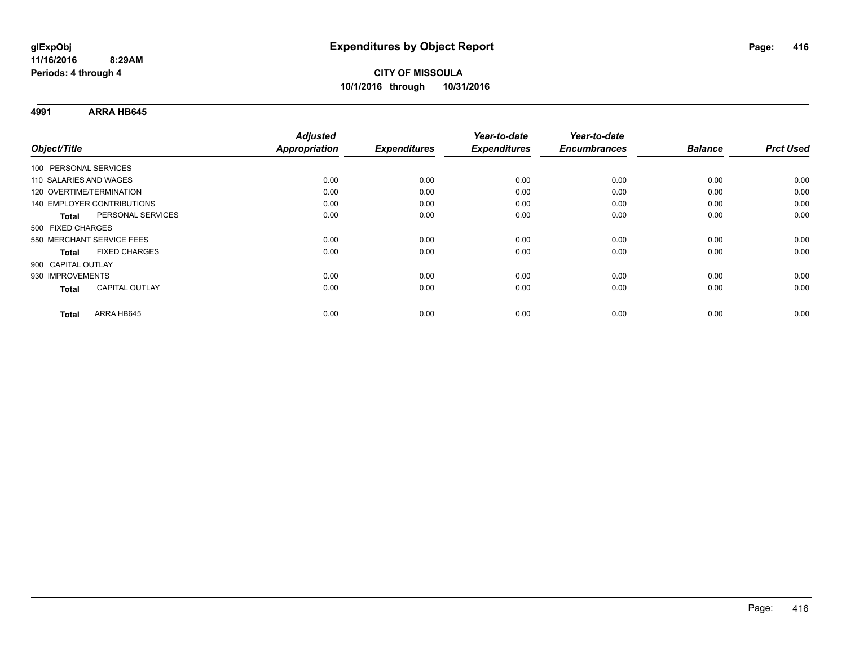**4991 ARRA HB645**

|                                      | <b>Adjusted</b> |                     | Year-to-date        | Year-to-date        |                |                  |
|--------------------------------------|-----------------|---------------------|---------------------|---------------------|----------------|------------------|
| Object/Title                         | Appropriation   | <b>Expenditures</b> | <b>Expenditures</b> | <b>Encumbrances</b> | <b>Balance</b> | <b>Prct Used</b> |
| 100 PERSONAL SERVICES                |                 |                     |                     |                     |                |                  |
| 110 SALARIES AND WAGES               | 0.00            | 0.00                | 0.00                | 0.00                | 0.00           | 0.00             |
| 120 OVERTIME/TERMINATION             | 0.00            | 0.00                | 0.00                | 0.00                | 0.00           | 0.00             |
| <b>140 EMPLOYER CONTRIBUTIONS</b>    | 0.00            | 0.00                | 0.00                | 0.00                | 0.00           | 0.00             |
| PERSONAL SERVICES<br><b>Total</b>    | 0.00            | 0.00                | 0.00                | 0.00                | 0.00           | 0.00             |
| 500 FIXED CHARGES                    |                 |                     |                     |                     |                |                  |
| 550 MERCHANT SERVICE FEES            | 0.00            | 0.00                | 0.00                | 0.00                | 0.00           | 0.00             |
| <b>FIXED CHARGES</b><br><b>Total</b> | 0.00            | 0.00                | 0.00                | 0.00                | 0.00           | 0.00             |
| 900 CAPITAL OUTLAY                   |                 |                     |                     |                     |                |                  |
| 930 IMPROVEMENTS                     | 0.00            | 0.00                | 0.00                | 0.00                | 0.00           | 0.00             |
| CAPITAL OUTLAY<br><b>Total</b>       | 0.00            | 0.00                | 0.00                | 0.00                | 0.00           | 0.00             |
| ARRA HB645<br><b>Total</b>           | 0.00            | 0.00                | 0.00                | 0.00                | 0.00           | 0.00             |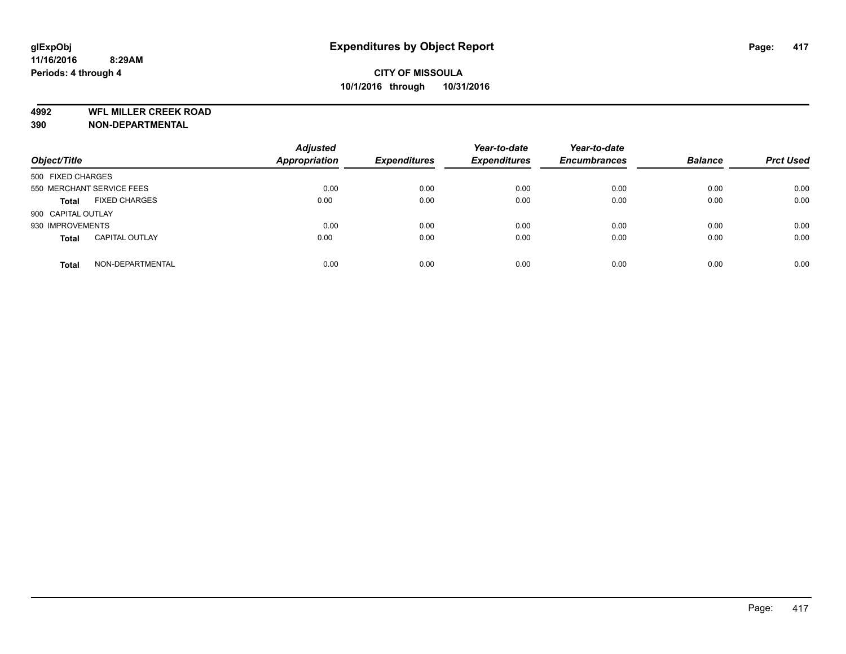**4992 WFL MILLER CREEK ROAD**

**390 NON-DEPARTMENTAL**

| Object/Title              |                       | <b>Adjusted</b><br>Appropriation | <b>Expenditures</b> | Year-to-date<br><b>Expenditures</b> | Year-to-date<br><b>Encumbrances</b> | <b>Balance</b> | <b>Prct Used</b> |
|---------------------------|-----------------------|----------------------------------|---------------------|-------------------------------------|-------------------------------------|----------------|------------------|
| 500 FIXED CHARGES         |                       |                                  |                     |                                     |                                     |                |                  |
| 550 MERCHANT SERVICE FEES |                       | 0.00                             | 0.00                | 0.00                                | 0.00                                | 0.00           | 0.00             |
| <b>Total</b>              | <b>FIXED CHARGES</b>  | 0.00                             | 0.00                | 0.00                                | 0.00                                | 0.00           | 0.00             |
| 900 CAPITAL OUTLAY        |                       |                                  |                     |                                     |                                     |                |                  |
| 930 IMPROVEMENTS          |                       | 0.00                             | 0.00                | 0.00                                | 0.00                                | 0.00           | 0.00             |
| <b>Total</b>              | <b>CAPITAL OUTLAY</b> | 0.00                             | 0.00                | 0.00                                | 0.00                                | 0.00           | 0.00             |
| <b>Total</b>              | NON-DEPARTMENTAL      | 0.00                             | 0.00                | 0.00                                | 0.00                                | 0.00           | 0.00             |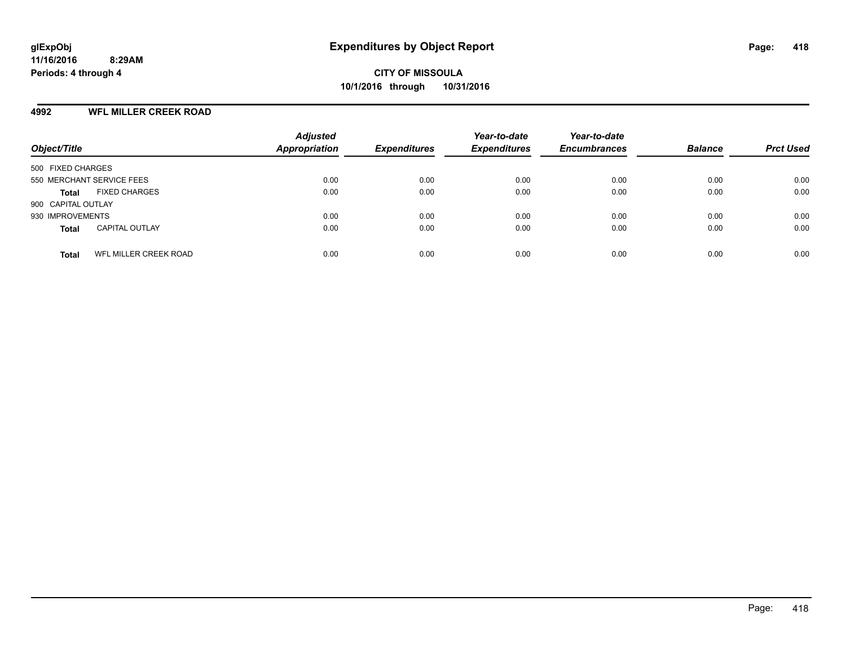#### **4992 WFL MILLER CREEK ROAD**

| Object/Title                          | <b>Adjusted</b><br><b>Appropriation</b> | <b>Expenditures</b> | Year-to-date<br><b>Expenditures</b> | Year-to-date<br><b>Encumbrances</b> | <b>Balance</b> | <b>Prct Used</b> |
|---------------------------------------|-----------------------------------------|---------------------|-------------------------------------|-------------------------------------|----------------|------------------|
| 500 FIXED CHARGES                     |                                         |                     |                                     |                                     |                |                  |
| 550 MERCHANT SERVICE FEES             | 0.00                                    | 0.00                | 0.00                                | 0.00                                | 0.00           | 0.00             |
| <b>FIXED CHARGES</b><br><b>Total</b>  | 0.00                                    | 0.00                | 0.00                                | 0.00                                | 0.00           | 0.00             |
| 900 CAPITAL OUTLAY                    |                                         |                     |                                     |                                     |                |                  |
| 930 IMPROVEMENTS                      | 0.00                                    | 0.00                | 0.00                                | 0.00                                | 0.00           | 0.00             |
| <b>CAPITAL OUTLAY</b><br><b>Total</b> | 0.00                                    | 0.00                | 0.00                                | 0.00                                | 0.00           | 0.00             |
| WFL MILLER CREEK ROAD<br><b>Total</b> | 0.00                                    | 0.00                | 0.00                                | 0.00                                | 0.00           | 0.00             |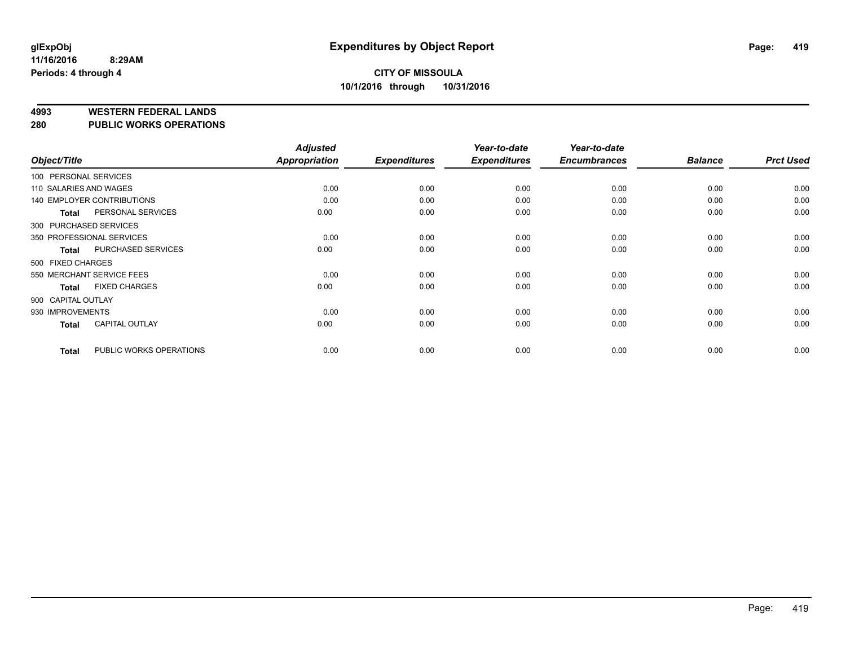**4993 WESTERN FEDERAL LANDS**

**280 PUBLIC WORKS OPERATIONS**

|                        |                                   | <b>Adjusted</b>      |                     | Year-to-date        | Year-to-date        |                |                  |
|------------------------|-----------------------------------|----------------------|---------------------|---------------------|---------------------|----------------|------------------|
| Object/Title           |                                   | <b>Appropriation</b> | <b>Expenditures</b> | <b>Expenditures</b> | <b>Encumbrances</b> | <b>Balance</b> | <b>Prct Used</b> |
| 100 PERSONAL SERVICES  |                                   |                      |                     |                     |                     |                |                  |
| 110 SALARIES AND WAGES |                                   | 0.00                 | 0.00                | 0.00                | 0.00                | 0.00           | 0.00             |
|                        | <b>140 EMPLOYER CONTRIBUTIONS</b> | 0.00                 | 0.00                | 0.00                | 0.00                | 0.00           | 0.00             |
| <b>Total</b>           | PERSONAL SERVICES                 | 0.00                 | 0.00                | 0.00                | 0.00                | 0.00           | 0.00             |
| 300 PURCHASED SERVICES |                                   |                      |                     |                     |                     |                |                  |
|                        | 350 PROFESSIONAL SERVICES         | 0.00                 | 0.00                | 0.00                | 0.00                | 0.00           | 0.00             |
| <b>Total</b>           | PURCHASED SERVICES                | 0.00                 | 0.00                | 0.00                | 0.00                | 0.00           | 0.00             |
| 500 FIXED CHARGES      |                                   |                      |                     |                     |                     |                |                  |
|                        | 550 MERCHANT SERVICE FEES         | 0.00                 | 0.00                | 0.00                | 0.00                | 0.00           | 0.00             |
| <b>Total</b>           | <b>FIXED CHARGES</b>              | 0.00                 | 0.00                | 0.00                | 0.00                | 0.00           | 0.00             |
| 900 CAPITAL OUTLAY     |                                   |                      |                     |                     |                     |                |                  |
| 930 IMPROVEMENTS       |                                   | 0.00                 | 0.00                | 0.00                | 0.00                | 0.00           | 0.00             |
| <b>Total</b>           | <b>CAPITAL OUTLAY</b>             | 0.00                 | 0.00                | 0.00                | 0.00                | 0.00           | 0.00             |
| <b>Total</b>           | PUBLIC WORKS OPERATIONS           | 0.00                 | 0.00                | 0.00                | 0.00                | 0.00           | 0.00             |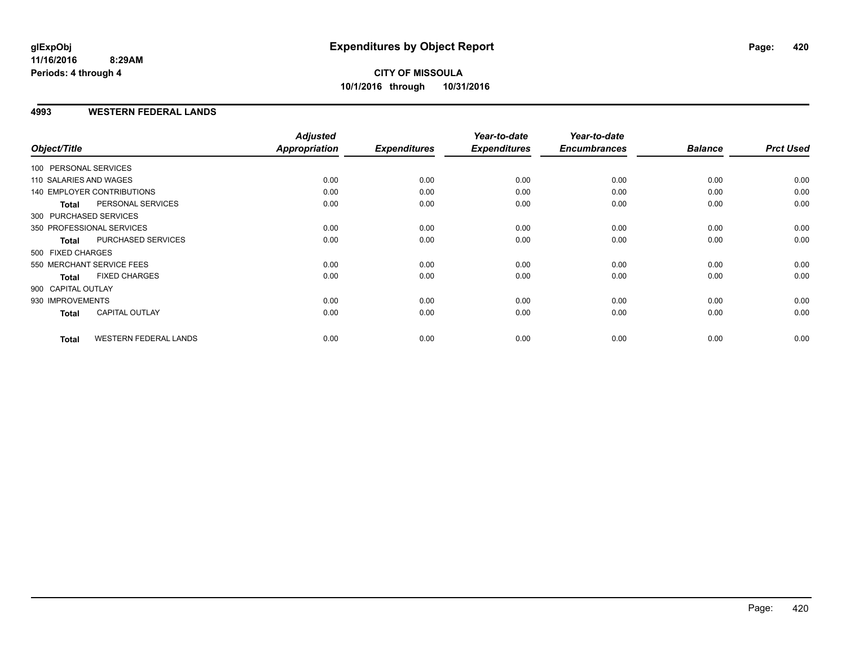#### **4993 WESTERN FEDERAL LANDS**

| Object/Title           |                              | <b>Adjusted</b><br>Appropriation | <b>Expenditures</b> | Year-to-date<br><b>Expenditures</b> | Year-to-date<br><b>Encumbrances</b> | <b>Balance</b> | <b>Prct Used</b> |
|------------------------|------------------------------|----------------------------------|---------------------|-------------------------------------|-------------------------------------|----------------|------------------|
|                        |                              |                                  |                     |                                     |                                     |                |                  |
| 100 PERSONAL SERVICES  |                              |                                  |                     |                                     |                                     |                |                  |
| 110 SALARIES AND WAGES |                              | 0.00                             | 0.00                | 0.00                                | 0.00                                | 0.00           | 0.00             |
|                        | 140 EMPLOYER CONTRIBUTIONS   | 0.00                             | 0.00                | 0.00                                | 0.00                                | 0.00           | 0.00             |
| <b>Total</b>           | PERSONAL SERVICES            | 0.00                             | 0.00                | 0.00                                | 0.00                                | 0.00           | 0.00             |
|                        | 300 PURCHASED SERVICES       |                                  |                     |                                     |                                     |                |                  |
|                        | 350 PROFESSIONAL SERVICES    | 0.00                             | 0.00                | 0.00                                | 0.00                                | 0.00           | 0.00             |
| <b>Total</b>           | PURCHASED SERVICES           | 0.00                             | 0.00                | 0.00                                | 0.00                                | 0.00           | 0.00             |
| 500 FIXED CHARGES      |                              |                                  |                     |                                     |                                     |                |                  |
|                        | 550 MERCHANT SERVICE FEES    | 0.00                             | 0.00                | 0.00                                | 0.00                                | 0.00           | 0.00             |
| <b>Total</b>           | <b>FIXED CHARGES</b>         | 0.00                             | 0.00                | 0.00                                | 0.00                                | 0.00           | 0.00             |
| 900 CAPITAL OUTLAY     |                              |                                  |                     |                                     |                                     |                |                  |
| 930 IMPROVEMENTS       |                              | 0.00                             | 0.00                | 0.00                                | 0.00                                | 0.00           | 0.00             |
| Total                  | <b>CAPITAL OUTLAY</b>        | 0.00                             | 0.00                | 0.00                                | 0.00                                | 0.00           | 0.00             |
|                        |                              |                                  |                     |                                     |                                     |                |                  |
| <b>Total</b>           | <b>WESTERN FEDERAL LANDS</b> | 0.00                             | 0.00                | 0.00                                | 0.00                                | 0.00           | 0.00             |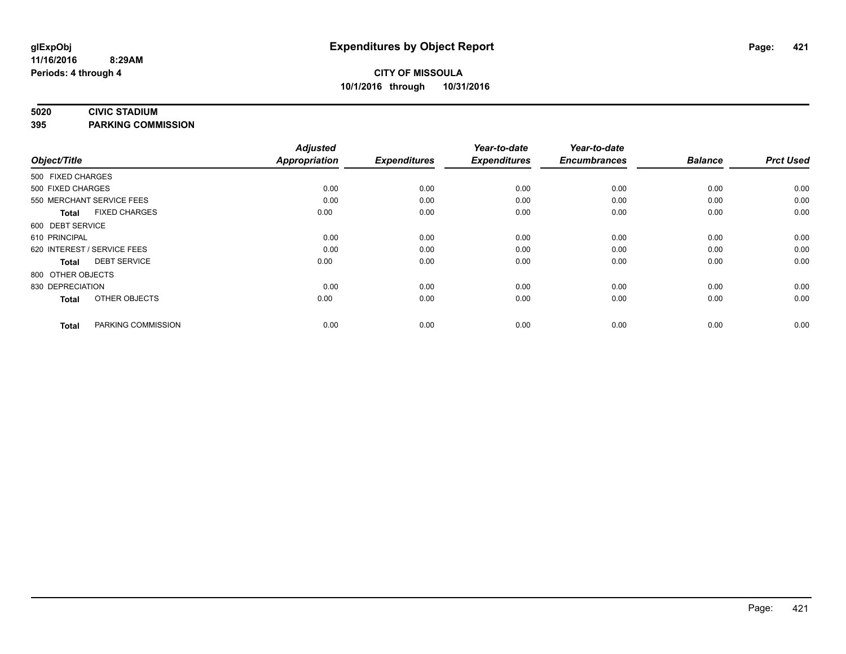#### **5020 CIVIC STADIUM**

**395 PARKING COMMISSION**

| Object/Title                         | <b>Adjusted</b><br><b>Appropriation</b> | <b>Expenditures</b> | Year-to-date<br><b>Expenditures</b> | Year-to-date<br><b>Encumbrances</b> | <b>Balance</b> | <b>Prct Used</b> |
|--------------------------------------|-----------------------------------------|---------------------|-------------------------------------|-------------------------------------|----------------|------------------|
|                                      |                                         |                     |                                     |                                     |                |                  |
| 500 FIXED CHARGES                    |                                         |                     |                                     |                                     |                |                  |
| 500 FIXED CHARGES                    | 0.00                                    | 0.00                | 0.00                                | 0.00                                | 0.00           | 0.00             |
| 550 MERCHANT SERVICE FEES            | 0.00                                    | 0.00                | 0.00                                | 0.00                                | 0.00           | 0.00             |
| <b>FIXED CHARGES</b><br><b>Total</b> | 0.00                                    | 0.00                | 0.00                                | 0.00                                | 0.00           | 0.00             |
| 600 DEBT SERVICE                     |                                         |                     |                                     |                                     |                |                  |
| 610 PRINCIPAL                        | 0.00                                    | 0.00                | 0.00                                | 0.00                                | 0.00           | 0.00             |
| 620 INTEREST / SERVICE FEES          | 0.00                                    | 0.00                | 0.00                                | 0.00                                | 0.00           | 0.00             |
| <b>DEBT SERVICE</b><br><b>Total</b>  | 0.00                                    | 0.00                | 0.00                                | 0.00                                | 0.00           | 0.00             |
| 800 OTHER OBJECTS                    |                                         |                     |                                     |                                     |                |                  |
| 830 DEPRECIATION                     | 0.00                                    | 0.00                | 0.00                                | 0.00                                | 0.00           | 0.00             |
| OTHER OBJECTS<br><b>Total</b>        | 0.00                                    | 0.00                | 0.00                                | 0.00                                | 0.00           | 0.00             |
| PARKING COMMISSION<br><b>Total</b>   | 0.00                                    | 0.00                | 0.00                                | 0.00                                | 0.00           | 0.00             |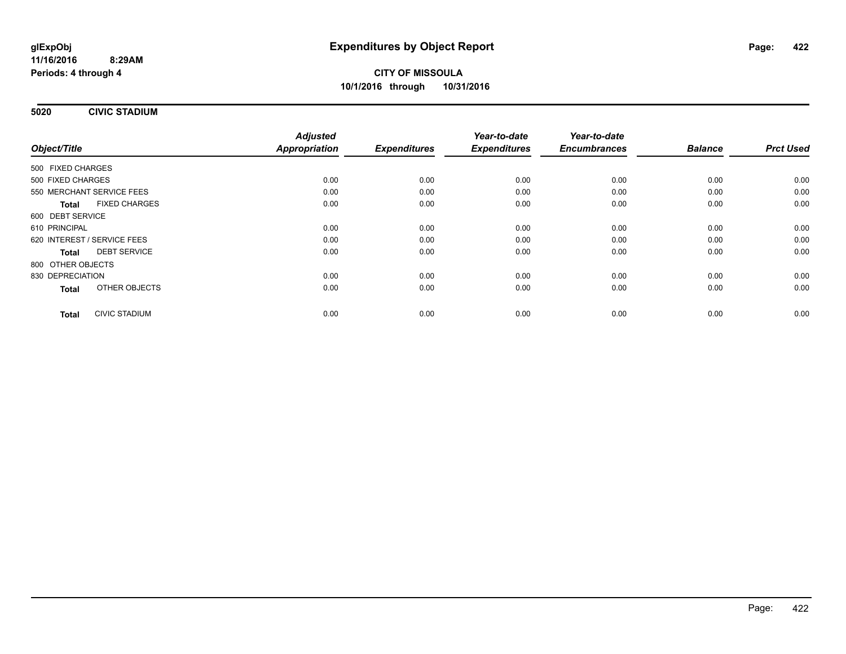**5020 CIVIC STADIUM**

|                                      | <b>Adjusted</b>      | <b>Expenditures</b> | Year-to-date<br><b>Expenditures</b> | Year-to-date<br><b>Encumbrances</b> | <b>Balance</b> | <b>Prct Used</b> |
|--------------------------------------|----------------------|---------------------|-------------------------------------|-------------------------------------|----------------|------------------|
| Object/Title                         | <b>Appropriation</b> |                     |                                     |                                     |                |                  |
| 500 FIXED CHARGES                    |                      |                     |                                     |                                     |                |                  |
| 500 FIXED CHARGES                    | 0.00                 | 0.00                | 0.00                                | 0.00                                | 0.00           | 0.00             |
| 550 MERCHANT SERVICE FEES            | 0.00                 | 0.00                | 0.00                                | 0.00                                | 0.00           | 0.00             |
| <b>FIXED CHARGES</b><br><b>Total</b> | 0.00                 | 0.00                | 0.00                                | 0.00                                | 0.00           | 0.00             |
| 600 DEBT SERVICE                     |                      |                     |                                     |                                     |                |                  |
| 610 PRINCIPAL                        | 0.00                 | 0.00                | 0.00                                | 0.00                                | 0.00           | 0.00             |
| 620 INTEREST / SERVICE FEES          | 0.00                 | 0.00                | 0.00                                | 0.00                                | 0.00           | 0.00             |
| <b>DEBT SERVICE</b><br><b>Total</b>  | 0.00                 | 0.00                | 0.00                                | 0.00                                | 0.00           | 0.00             |
| 800 OTHER OBJECTS                    |                      |                     |                                     |                                     |                |                  |
| 830 DEPRECIATION                     | 0.00                 | 0.00                | 0.00                                | 0.00                                | 0.00           | 0.00             |
| OTHER OBJECTS<br><b>Total</b>        | 0.00                 | 0.00                | 0.00                                | 0.00                                | 0.00           | 0.00             |
| <b>CIVIC STADIUM</b><br><b>Total</b> | 0.00                 | 0.00                | 0.00                                | 0.00                                | 0.00           | 0.00             |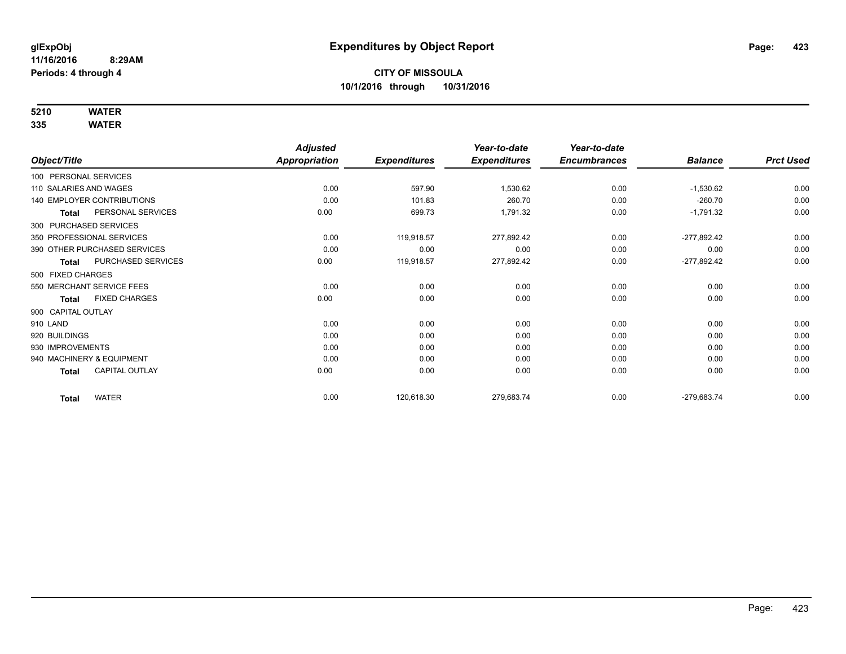# **5210 WATER**

|                                      | <b>Adjusted</b>      |                     | Year-to-date        | Year-to-date        |                |                  |
|--------------------------------------|----------------------|---------------------|---------------------|---------------------|----------------|------------------|
| Object/Title                         | <b>Appropriation</b> | <b>Expenditures</b> | <b>Expenditures</b> | <b>Encumbrances</b> | <b>Balance</b> | <b>Prct Used</b> |
| 100 PERSONAL SERVICES                |                      |                     |                     |                     |                |                  |
| 110 SALARIES AND WAGES               | 0.00                 | 597.90              | 1,530.62            | 0.00                | $-1,530.62$    | 0.00             |
| <b>140 EMPLOYER CONTRIBUTIONS</b>    | 0.00                 | 101.83              | 260.70              | 0.00                | $-260.70$      | 0.00             |
| PERSONAL SERVICES<br>Total           | 0.00                 | 699.73              | 1,791.32            | 0.00                | $-1,791.32$    | 0.00             |
| 300 PURCHASED SERVICES               |                      |                     |                     |                     |                |                  |
| 350 PROFESSIONAL SERVICES            | 0.00                 | 119,918.57          | 277,892.42          | 0.00                | -277,892.42    | 0.00             |
| 390 OTHER PURCHASED SERVICES         | 0.00                 | 0.00                | 0.00                | 0.00                | 0.00           | 0.00             |
| PURCHASED SERVICES<br><b>Total</b>   | 0.00                 | 119,918.57          | 277,892.42          | 0.00                | $-277,892.42$  | 0.00             |
| 500 FIXED CHARGES                    |                      |                     |                     |                     |                |                  |
| 550 MERCHANT SERVICE FEES            | 0.00                 | 0.00                | 0.00                | 0.00                | 0.00           | 0.00             |
| <b>FIXED CHARGES</b><br><b>Total</b> | 0.00                 | 0.00                | 0.00                | 0.00                | 0.00           | 0.00             |
| 900 CAPITAL OUTLAY                   |                      |                     |                     |                     |                |                  |
| 910 LAND                             | 0.00                 | 0.00                | 0.00                | 0.00                | 0.00           | 0.00             |
| 920 BUILDINGS                        | 0.00                 | 0.00                | 0.00                | 0.00                | 0.00           | 0.00             |
| 930 IMPROVEMENTS                     | 0.00                 | 0.00                | 0.00                | 0.00                | 0.00           | 0.00             |
| 940 MACHINERY & EQUIPMENT            | 0.00                 | 0.00                | 0.00                | 0.00                | 0.00           | 0.00             |
| CAPITAL OUTLAY<br><b>Total</b>       | 0.00                 | 0.00                | 0.00                | 0.00                | 0.00           | 0.00             |
| <b>WATER</b><br><b>Total</b>         | 0.00                 | 120,618.30          | 279,683.74          | 0.00                | -279,683.74    | 0.00             |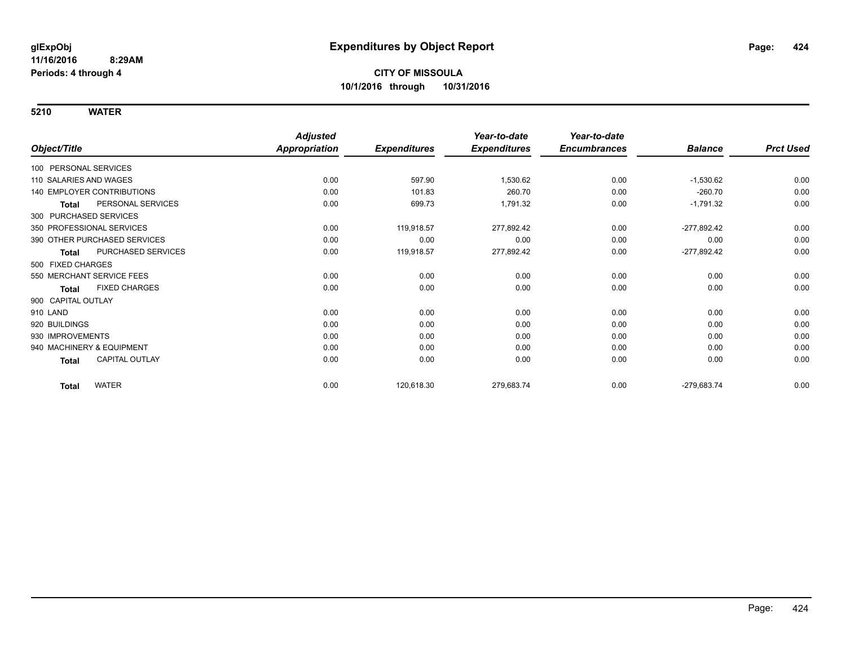|                                       | <b>Adjusted</b>      |                     | Year-to-date        | Year-to-date        |                |                  |
|---------------------------------------|----------------------|---------------------|---------------------|---------------------|----------------|------------------|
| Object/Title                          | <b>Appropriation</b> | <b>Expenditures</b> | <b>Expenditures</b> | <b>Encumbrances</b> | <b>Balance</b> | <b>Prct Used</b> |
| 100 PERSONAL SERVICES                 |                      |                     |                     |                     |                |                  |
| 110 SALARIES AND WAGES                | 0.00                 | 597.90              | 1,530.62            | 0.00                | $-1,530.62$    | 0.00             |
| <b>140 EMPLOYER CONTRIBUTIONS</b>     | 0.00                 | 101.83              | 260.70              | 0.00                | $-260.70$      | 0.00             |
| PERSONAL SERVICES<br><b>Total</b>     | 0.00                 | 699.73              | 1,791.32            | 0.00                | $-1,791.32$    | 0.00             |
| 300 PURCHASED SERVICES                |                      |                     |                     |                     |                |                  |
| 350 PROFESSIONAL SERVICES             | 0.00                 | 119,918.57          | 277,892.42          | 0.00                | $-277,892.42$  | 0.00             |
| 390 OTHER PURCHASED SERVICES          | 0.00                 | 0.00                | 0.00                | 0.00                | 0.00           | 0.00             |
| PURCHASED SERVICES<br><b>Total</b>    | 0.00                 | 119,918.57          | 277,892.42          | 0.00                | $-277,892.42$  | 0.00             |
| 500 FIXED CHARGES                     |                      |                     |                     |                     |                |                  |
| 550 MERCHANT SERVICE FEES             | 0.00                 | 0.00                | 0.00                | 0.00                | 0.00           | 0.00             |
| <b>FIXED CHARGES</b><br>Total         | 0.00                 | 0.00                | 0.00                | 0.00                | 0.00           | 0.00             |
| 900 CAPITAL OUTLAY                    |                      |                     |                     |                     |                |                  |
| 910 LAND                              | 0.00                 | 0.00                | 0.00                | 0.00                | 0.00           | 0.00             |
| 920 BUILDINGS                         | 0.00                 | 0.00                | 0.00                | 0.00                | 0.00           | 0.00             |
| 930 IMPROVEMENTS                      | 0.00                 | 0.00                | 0.00                | 0.00                | 0.00           | 0.00             |
| 940 MACHINERY & EQUIPMENT             | 0.00                 | 0.00                | 0.00                | 0.00                | 0.00           | 0.00             |
| <b>CAPITAL OUTLAY</b><br><b>Total</b> | 0.00                 | 0.00                | 0.00                | 0.00                | 0.00           | 0.00             |
| <b>WATER</b><br><b>Total</b>          | 0.00                 | 120,618.30          | 279,683.74          | 0.00                | -279,683.74    | 0.00             |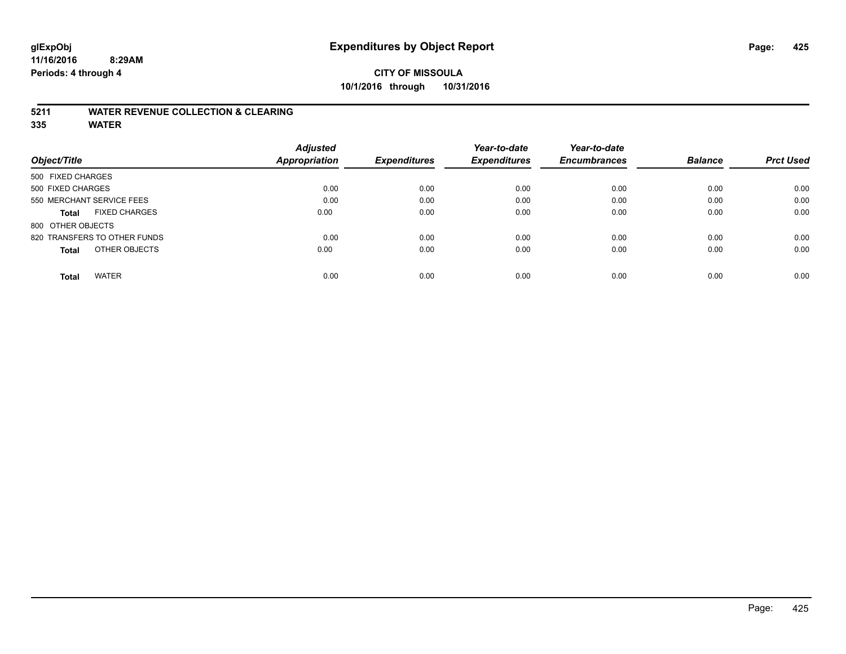#### **11/16/2016 8:29AM Periods: 4 through 4**

### **CITY OF MISSOULA 10/1/2016 through 10/31/2016**

#### **5211 WATER REVENUE COLLECTION & CLEARING**

|                                      | <b>Adjusted</b>      |                     | Year-to-date        | Year-to-date        |                |                  |
|--------------------------------------|----------------------|---------------------|---------------------|---------------------|----------------|------------------|
| Object/Title                         | <b>Appropriation</b> | <b>Expenditures</b> | <b>Expenditures</b> | <b>Encumbrances</b> | <b>Balance</b> | <b>Prct Used</b> |
| 500 FIXED CHARGES                    |                      |                     |                     |                     |                |                  |
| 500 FIXED CHARGES                    | 0.00                 | 0.00                | 0.00                | 0.00                | 0.00           | 0.00             |
| 550 MERCHANT SERVICE FEES            | 0.00                 | 0.00                | 0.00                | 0.00                | 0.00           | 0.00             |
| <b>FIXED CHARGES</b><br><b>Total</b> | 0.00                 | 0.00                | 0.00                | 0.00                | 0.00           | 0.00             |
| 800 OTHER OBJECTS                    |                      |                     |                     |                     |                |                  |
| 820 TRANSFERS TO OTHER FUNDS         | 0.00                 | 0.00                | 0.00                | 0.00                | 0.00           | 0.00             |
| OTHER OBJECTS<br><b>Total</b>        | 0.00                 | 0.00                | 0.00                | 0.00                | 0.00           | 0.00             |
| <b>WATER</b><br><b>Total</b>         | 0.00                 | 0.00                | 0.00                | 0.00                | 0.00           | 0.00             |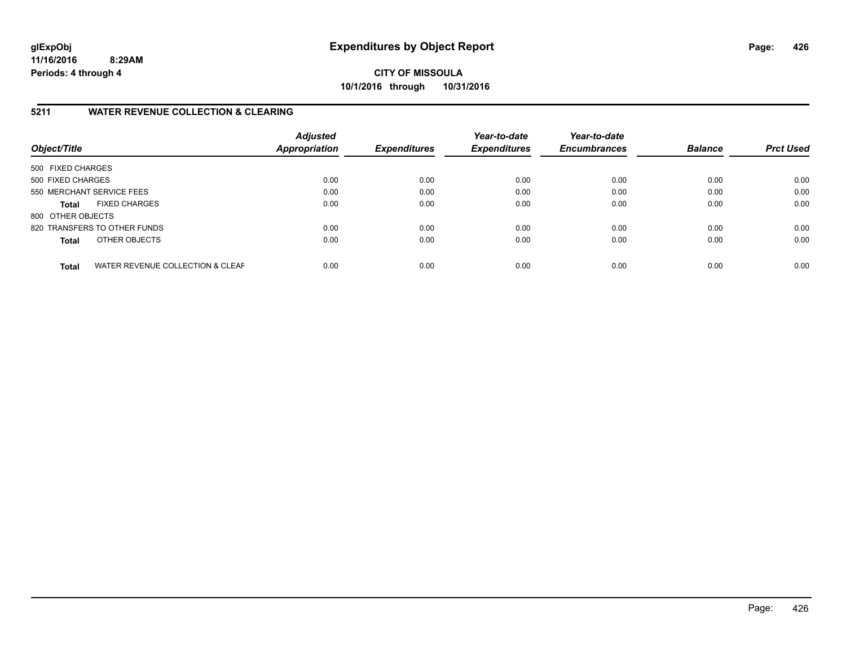**11/16/2016 8:29AM Periods: 4 through 4**

**CITY OF MISSOULA 10/1/2016 through 10/31/2016**

#### **5211 WATER REVENUE COLLECTION & CLEARING**

| Object/Title              |                                  | <b>Adjusted</b><br><b>Appropriation</b> | <b>Expenditures</b> | Year-to-date<br><b>Expenditures</b> | Year-to-date<br><b>Encumbrances</b> | <b>Balance</b> | <b>Prct Used</b> |
|---------------------------|----------------------------------|-----------------------------------------|---------------------|-------------------------------------|-------------------------------------|----------------|------------------|
| 500 FIXED CHARGES         |                                  |                                         |                     |                                     |                                     |                |                  |
| 500 FIXED CHARGES         |                                  | 0.00                                    | 0.00                | 0.00                                | 0.00                                | 0.00           | 0.00             |
| 550 MERCHANT SERVICE FEES |                                  | 0.00                                    | 0.00                | 0.00                                | 0.00                                | 0.00           | 0.00             |
| <b>Total</b>              | <b>FIXED CHARGES</b>             | 0.00                                    | 0.00                | 0.00                                | 0.00                                | 0.00           | 0.00             |
| 800 OTHER OBJECTS         |                                  |                                         |                     |                                     |                                     |                |                  |
|                           | 820 TRANSFERS TO OTHER FUNDS     | 0.00                                    | 0.00                | 0.00                                | 0.00                                | 0.00           | 0.00             |
| <b>Total</b>              | OTHER OBJECTS                    | 0.00                                    | 0.00                | 0.00                                | 0.00                                | 0.00           | 0.00             |
| <b>Total</b>              | WATER REVENUE COLLECTION & CLEAF | 0.00                                    | 0.00                | 0.00                                | 0.00                                | 0.00           | 0.00             |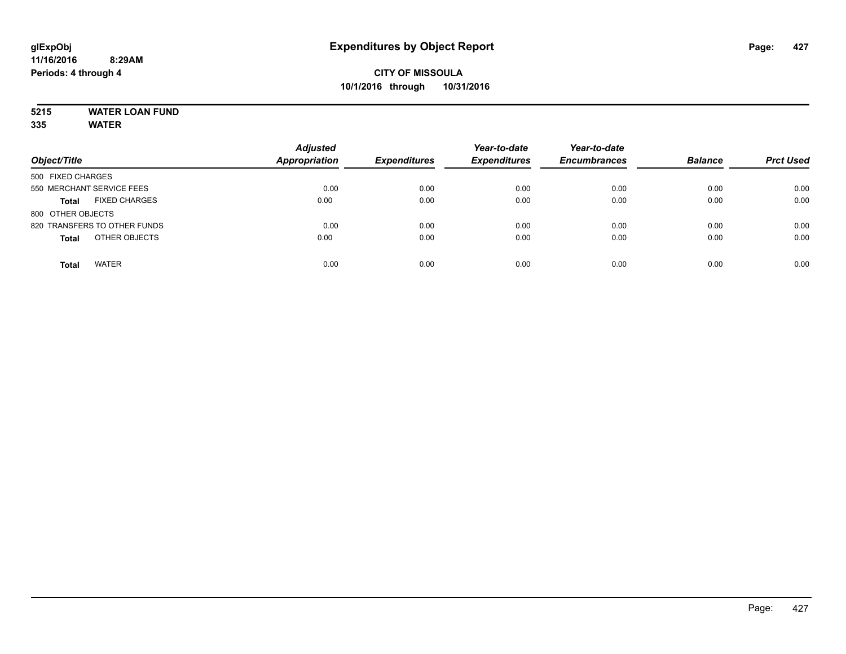# **5215 WATER LOAN FUND**

| Object/Title                         | <b>Adjusted</b><br><b>Appropriation</b> | <b>Expenditures</b> | Year-to-date<br><b>Expenditures</b> | Year-to-date<br><b>Encumbrances</b> | <b>Balance</b> | <b>Prct Used</b> |
|--------------------------------------|-----------------------------------------|---------------------|-------------------------------------|-------------------------------------|----------------|------------------|
| 500 FIXED CHARGES                    |                                         |                     |                                     |                                     |                |                  |
| 550 MERCHANT SERVICE FEES            | 0.00                                    | 0.00                | 0.00                                | 0.00                                | 0.00           | 0.00             |
| <b>FIXED CHARGES</b><br><b>Total</b> | 0.00                                    | 0.00                | 0.00                                | 0.00                                | 0.00           | 0.00             |
| 800 OTHER OBJECTS                    |                                         |                     |                                     |                                     |                |                  |
| 820 TRANSFERS TO OTHER FUNDS         | 0.00                                    | 0.00                | 0.00                                | 0.00                                | 0.00           | 0.00             |
| OTHER OBJECTS<br><b>Total</b>        | 0.00                                    | 0.00                | 0.00                                | 0.00                                | 0.00           | 0.00             |
| <b>WATER</b><br><b>Total</b>         | 0.00                                    | 0.00                | 0.00                                | 0.00                                | 0.00           | 0.00             |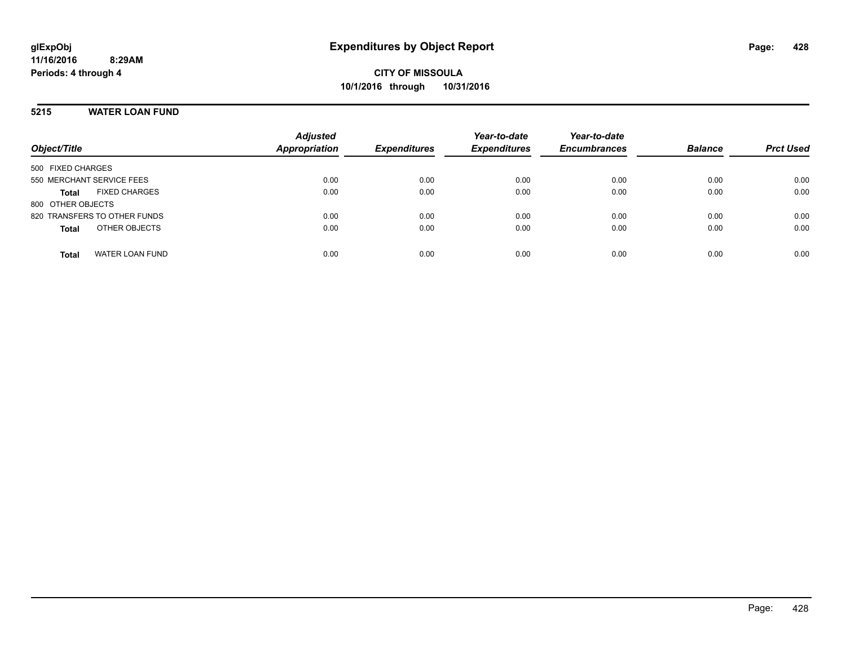#### **5215 WATER LOAN FUND**

| Object/Title                           | <b>Adjusted</b><br><b>Appropriation</b> | <b>Expenditures</b> | Year-to-date<br><b>Expenditures</b> | Year-to-date<br><b>Encumbrances</b> | <b>Balance</b> | <b>Prct Used</b> |
|----------------------------------------|-----------------------------------------|---------------------|-------------------------------------|-------------------------------------|----------------|------------------|
|                                        |                                         |                     |                                     |                                     |                |                  |
| 500 FIXED CHARGES                      |                                         |                     |                                     |                                     |                |                  |
| 550 MERCHANT SERVICE FEES              | 0.00                                    | 0.00                | 0.00                                | 0.00                                | 0.00           | 0.00             |
| <b>FIXED CHARGES</b><br><b>Total</b>   | 0.00                                    | 0.00                | 0.00                                | 0.00                                | 0.00           | 0.00             |
| 800 OTHER OBJECTS                      |                                         |                     |                                     |                                     |                |                  |
| 820 TRANSFERS TO OTHER FUNDS           | 0.00                                    | 0.00                | 0.00                                | 0.00                                | 0.00           | 0.00             |
| OTHER OBJECTS<br><b>Total</b>          | 0.00                                    | 0.00                | 0.00                                | 0.00                                | 0.00           | 0.00             |
| <b>WATER LOAN FUND</b><br><b>Total</b> | 0.00                                    | 0.00                | 0.00                                | 0.00                                | 0.00           | 0.00             |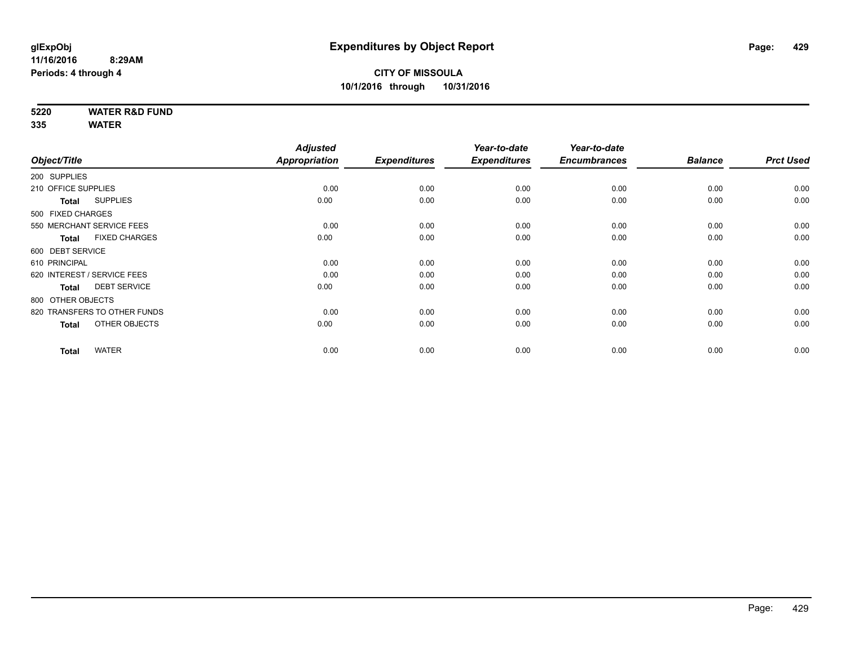**5220 WATER R&D FUND**

|                                      | <b>Adjusted</b>                                                                                                                                                                                                                                                |                       | Year-to-date                | Year-to-date                |                             |                        |
|--------------------------------------|----------------------------------------------------------------------------------------------------------------------------------------------------------------------------------------------------------------------------------------------------------------|-----------------------|-----------------------------|-----------------------------|-----------------------------|------------------------|
|                                      |                                                                                                                                                                                                                                                                |                       |                             |                             |                             | <b>Prct Used</b>       |
|                                      |                                                                                                                                                                                                                                                                |                       |                             |                             |                             |                        |
|                                      | 0.00                                                                                                                                                                                                                                                           | 0.00                  | 0.00                        | 0.00                        | 0.00                        | 0.00                   |
| <b>SUPPLIES</b><br><b>Total</b>      | 0.00                                                                                                                                                                                                                                                           | 0.00                  | 0.00                        | 0.00                        | 0.00                        | 0.00                   |
|                                      |                                                                                                                                                                                                                                                                |                       |                             |                             |                             |                        |
|                                      | 0.00                                                                                                                                                                                                                                                           | 0.00                  | 0.00                        | 0.00                        | 0.00                        | 0.00                   |
| <b>FIXED CHARGES</b><br><b>Total</b> | 0.00                                                                                                                                                                                                                                                           | 0.00                  | 0.00                        | 0.00                        | 0.00                        | 0.00                   |
|                                      |                                                                                                                                                                                                                                                                |                       |                             |                             |                             |                        |
|                                      | 0.00                                                                                                                                                                                                                                                           | 0.00                  | 0.00                        | 0.00                        | 0.00                        | 0.00                   |
|                                      | 0.00                                                                                                                                                                                                                                                           | 0.00                  | 0.00                        | 0.00                        | 0.00                        | 0.00                   |
| <b>DEBT SERVICE</b><br><b>Total</b>  | 0.00                                                                                                                                                                                                                                                           | 0.00                  | 0.00                        | 0.00                        | 0.00                        | 0.00                   |
|                                      |                                                                                                                                                                                                                                                                |                       |                             |                             |                             |                        |
|                                      | 0.00                                                                                                                                                                                                                                                           | 0.00                  | 0.00                        | 0.00                        | 0.00                        | 0.00                   |
| OTHER OBJECTS<br><b>Total</b>        | 0.00                                                                                                                                                                                                                                                           | 0.00                  | 0.00                        | 0.00                        | 0.00                        | 0.00                   |
|                                      |                                                                                                                                                                                                                                                                |                       |                             |                             |                             | 0.00                   |
|                                      | Object/Title<br>200 SUPPLIES<br>210 OFFICE SUPPLIES<br>500 FIXED CHARGES<br>550 MERCHANT SERVICE FEES<br>600 DEBT SERVICE<br>610 PRINCIPAL<br>620 INTEREST / SERVICE FEES<br>800 OTHER OBJECTS<br>820 TRANSFERS TO OTHER FUNDS<br><b>WATER</b><br><b>Total</b> | Appropriation<br>0.00 | <b>Expenditures</b><br>0.00 | <b>Expenditures</b><br>0.00 | <b>Encumbrances</b><br>0.00 | <b>Balance</b><br>0.00 |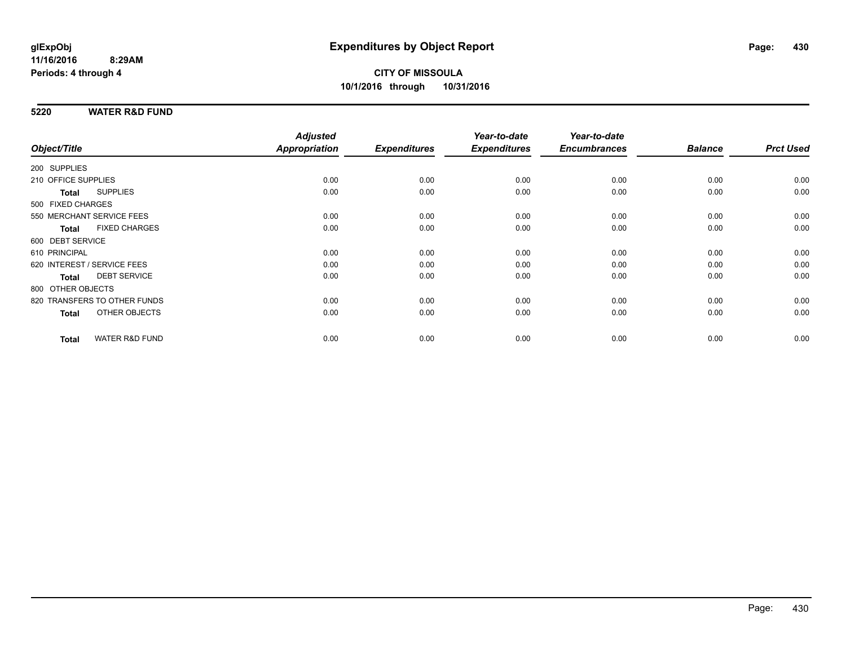#### **5220 WATER R&D FUND**

|                                 |                           | <b>Adjusted</b> |                     | Year-to-date        | Year-to-date        |                |                  |
|---------------------------------|---------------------------|-----------------|---------------------|---------------------|---------------------|----------------|------------------|
| Object/Title                    |                           | Appropriation   | <b>Expenditures</b> | <b>Expenditures</b> | <b>Encumbrances</b> | <b>Balance</b> | <b>Prct Used</b> |
| 200 SUPPLIES                    |                           |                 |                     |                     |                     |                |                  |
| 210 OFFICE SUPPLIES             |                           | 0.00            | 0.00                | 0.00                | 0.00                | 0.00           | 0.00             |
| <b>SUPPLIES</b><br><b>Total</b> |                           | 0.00            | 0.00                | 0.00                | 0.00                | 0.00           | 0.00             |
| 500 FIXED CHARGES               |                           |                 |                     |                     |                     |                |                  |
| 550 MERCHANT SERVICE FEES       |                           | 0.00            | 0.00                | 0.00                | 0.00                | 0.00           | 0.00             |
| <b>Total</b>                    | <b>FIXED CHARGES</b>      | 0.00            | 0.00                | 0.00                | 0.00                | 0.00           | 0.00             |
| 600 DEBT SERVICE                |                           |                 |                     |                     |                     |                |                  |
| 610 PRINCIPAL                   |                           | 0.00            | 0.00                | 0.00                | 0.00                | 0.00           | 0.00             |
| 620 INTEREST / SERVICE FEES     |                           | 0.00            | 0.00                | 0.00                | 0.00                | 0.00           | 0.00             |
| <b>Total</b>                    | <b>DEBT SERVICE</b>       | 0.00            | 0.00                | 0.00                | 0.00                | 0.00           | 0.00             |
| 800 OTHER OBJECTS               |                           |                 |                     |                     |                     |                |                  |
| 820 TRANSFERS TO OTHER FUNDS    |                           | 0.00            | 0.00                | 0.00                | 0.00                | 0.00           | 0.00             |
| <b>Total</b>                    | OTHER OBJECTS             | 0.00            | 0.00                | 0.00                | 0.00                | 0.00           | 0.00             |
| <b>Total</b>                    | <b>WATER R&amp;D FUND</b> | 0.00            | 0.00                | 0.00                | 0.00                | 0.00           | 0.00             |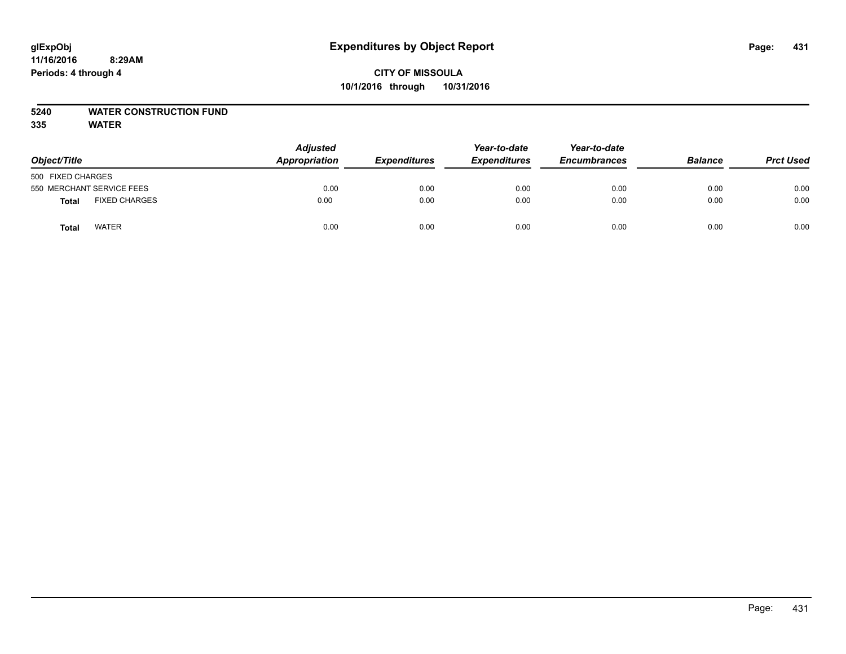# **5240 WATER CONSTRUCTION FUND**

| Object/Title                  |  | <b>Adjusted</b><br><b>Appropriation</b> | <b>Expenditures</b> | Year-to-date<br><b>Expenditures</b> | Year-to-date<br><b>Encumbrances</b> | <b>Balance</b> | <b>Prct Used</b> |
|-------------------------------|--|-----------------------------------------|---------------------|-------------------------------------|-------------------------------------|----------------|------------------|
| 500 FIXED CHARGES             |  |                                         |                     |                                     |                                     |                |                  |
| 550 MERCHANT SERVICE FEES     |  | 0.00                                    | 0.00                | 0.00                                | 0.00                                | 0.00           | 0.00             |
| <b>FIXED CHARGES</b><br>Total |  | 0.00                                    | 0.00                | 0.00                                | 0.00                                | 0.00           | 0.00             |
| <b>WATER</b><br>Total         |  | 0.00                                    | 0.00                | 0.00                                | 0.00                                | 0.00           | 0.00             |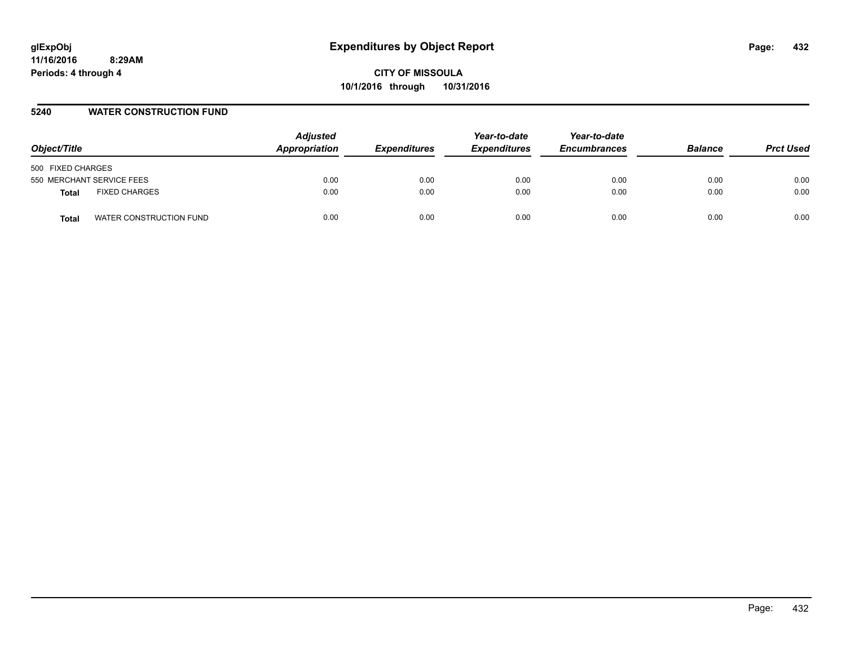#### **5240 WATER CONSTRUCTION FUND**

| Object/Title                            | <b>Adjusted</b><br>Appropriation | <b>Expenditures</b> | Year-to-date<br><b>Expenditures</b> | Year-to-date<br><b>Encumbrances</b> | <b>Balance</b> | <b>Prct Used</b> |
|-----------------------------------------|----------------------------------|---------------------|-------------------------------------|-------------------------------------|----------------|------------------|
| 500 FIXED CHARGES                       |                                  |                     |                                     |                                     |                |                  |
| 550 MERCHANT SERVICE FEES               | 0.00                             | 0.00                | 0.00                                | 0.00                                | 0.00           | 0.00             |
| <b>FIXED CHARGES</b><br><b>Total</b>    | 0.00                             | 0.00                | 0.00                                | 0.00                                | 0.00           | 0.00             |
| WATER CONSTRUCTION FUND<br><b>Total</b> | 0.00                             | 0.00                | 0.00                                | 0.00                                | 0.00           | 0.00             |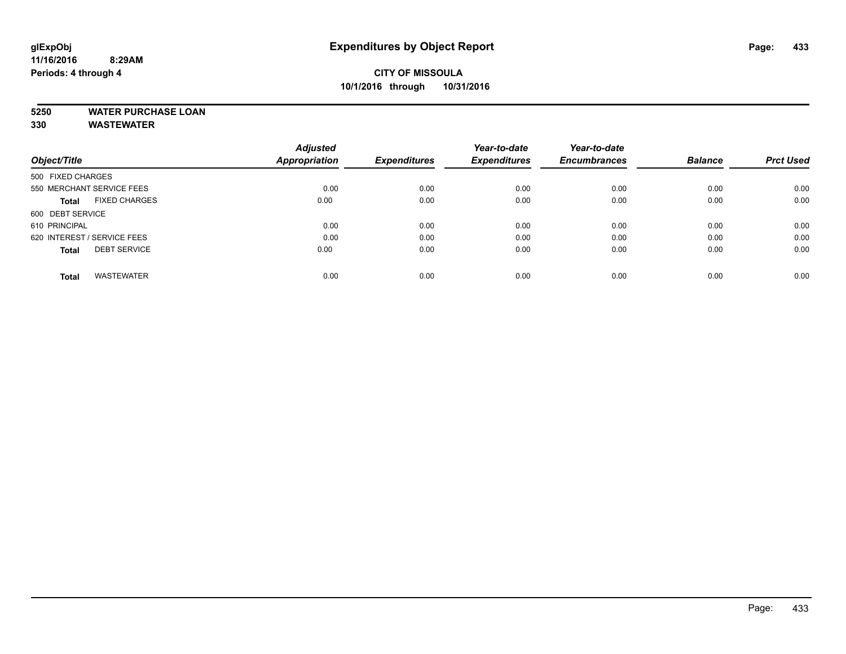# **CITY OF MISSOULA 10/1/2016 through 10/31/2016**

# **5250 WATER PURCHASE LOAN**

|                                      | <b>Adjusted</b> |                     | Year-to-date        | Year-to-date        |                |                  |
|--------------------------------------|-----------------|---------------------|---------------------|---------------------|----------------|------------------|
| Object/Title                         | Appropriation   | <b>Expenditures</b> | <b>Expenditures</b> | <b>Encumbrances</b> | <b>Balance</b> | <b>Prct Used</b> |
| 500 FIXED CHARGES                    |                 |                     |                     |                     |                |                  |
| 550 MERCHANT SERVICE FEES            | 0.00            | 0.00                | 0.00                | 0.00                | 0.00           | 0.00             |
| <b>FIXED CHARGES</b><br><b>Total</b> | 0.00            | 0.00                | 0.00                | 0.00                | 0.00           | 0.00             |
| 600 DEBT SERVICE                     |                 |                     |                     |                     |                |                  |
| 610 PRINCIPAL                        | 0.00            | 0.00                | 0.00                | 0.00                | 0.00           | 0.00             |
| 620 INTEREST / SERVICE FEES          | 0.00            | 0.00                | 0.00                | 0.00                | 0.00           | 0.00             |
| <b>DEBT SERVICE</b><br><b>Total</b>  | 0.00            | 0.00                | 0.00                | 0.00                | 0.00           | 0.00             |
| <b>WASTEWATER</b><br><b>Total</b>    | 0.00            | 0.00                | 0.00                | 0.00                | 0.00           | 0.00             |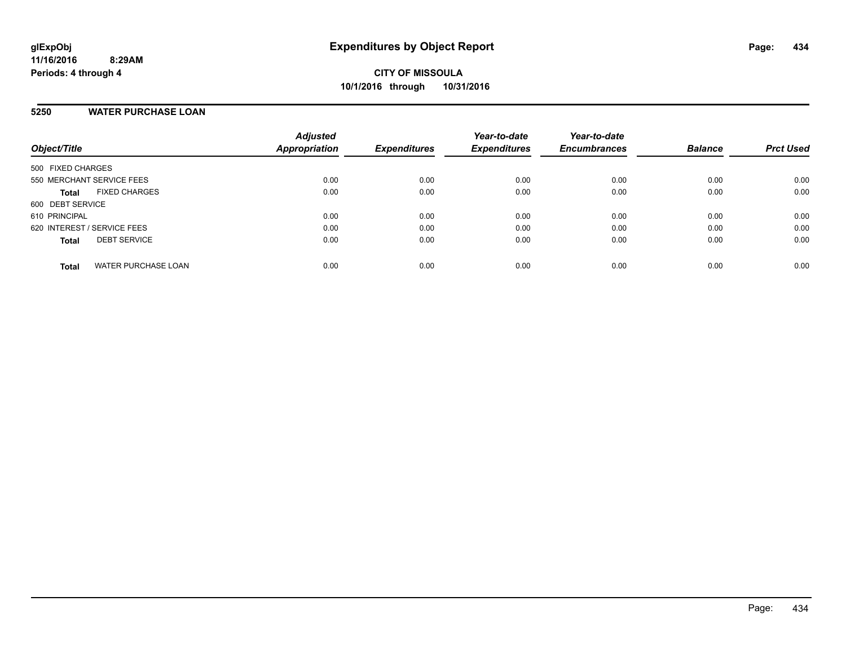### **5250 WATER PURCHASE LOAN**

| Object/Title                               | <b>Adjusted</b><br>Appropriation | <b>Expenditures</b> | Year-to-date<br><b>Expenditures</b> | Year-to-date<br><b>Encumbrances</b> | <b>Balance</b> | <b>Prct Used</b> |
|--------------------------------------------|----------------------------------|---------------------|-------------------------------------|-------------------------------------|----------------|------------------|
| 500 FIXED CHARGES                          |                                  |                     |                                     |                                     |                |                  |
| 550 MERCHANT SERVICE FEES                  | 0.00                             | 0.00                | 0.00                                | 0.00                                | 0.00           | 0.00             |
| <b>FIXED CHARGES</b><br><b>Total</b>       | 0.00                             | 0.00                | 0.00                                | 0.00                                | 0.00           | 0.00             |
| 600 DEBT SERVICE                           |                                  |                     |                                     |                                     |                |                  |
| 610 PRINCIPAL                              | 0.00                             | 0.00                | 0.00                                | 0.00                                | 0.00           | 0.00             |
| 620 INTEREST / SERVICE FEES                | 0.00                             | 0.00                | 0.00                                | 0.00                                | 0.00           | 0.00             |
| <b>DEBT SERVICE</b><br><b>Total</b>        | 0.00                             | 0.00                | 0.00                                | 0.00                                | 0.00           | 0.00             |
| <b>WATER PURCHASE LOAN</b><br><b>Total</b> | 0.00                             | 0.00                | 0.00                                | 0.00                                | 0.00           | 0.00             |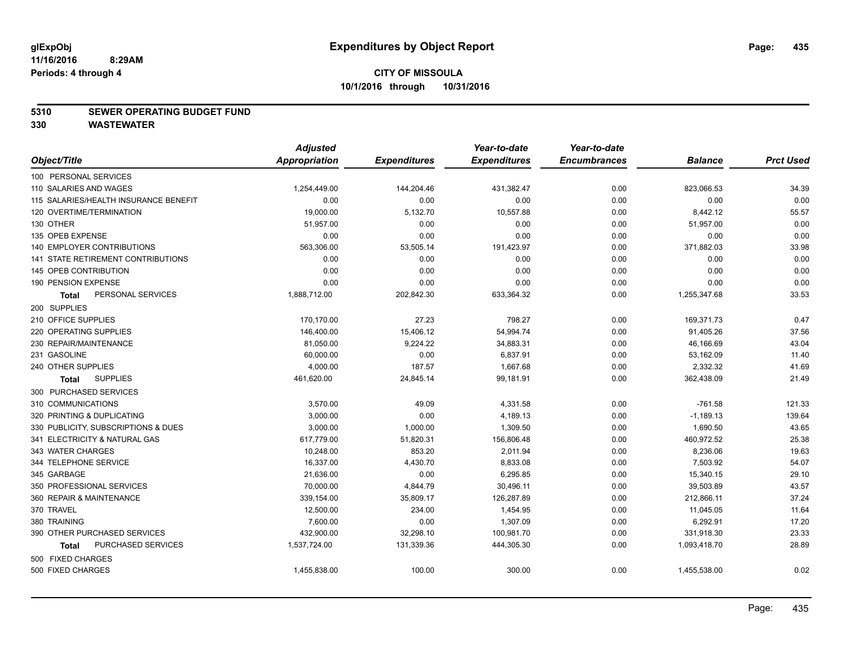#### **5310 SEWER OPERATING BUDGET FUND**

|                                           | <b>Adjusted</b> |                     | Year-to-date        | Year-to-date        |                |                  |
|-------------------------------------------|-----------------|---------------------|---------------------|---------------------|----------------|------------------|
| Object/Title                              | Appropriation   | <b>Expenditures</b> | <b>Expenditures</b> | <b>Encumbrances</b> | <b>Balance</b> | <b>Prct Used</b> |
| 100 PERSONAL SERVICES                     |                 |                     |                     |                     |                |                  |
| 110 SALARIES AND WAGES                    | 1,254,449.00    | 144,204.46          | 431,382.47          | 0.00                | 823,066.53     | 34.39            |
| 115 SALARIES/HEALTH INSURANCE BENEFIT     | 0.00            | 0.00                | 0.00                | 0.00                | 0.00           | 0.00             |
| 120 OVERTIME/TERMINATION                  | 19,000.00       | 5,132.70            | 10,557.88           | 0.00                | 8,442.12       | 55.57            |
| 130 OTHER                                 | 51,957.00       | 0.00                | 0.00                | 0.00                | 51,957.00      | 0.00             |
| 135 OPEB EXPENSE                          | 0.00            | 0.00                | 0.00                | 0.00                | 0.00           | 0.00             |
| 140 EMPLOYER CONTRIBUTIONS                | 563,306.00      | 53,505.14           | 191,423.97          | 0.00                | 371,882.03     | 33.98            |
| <b>141 STATE RETIREMENT CONTRIBUTIONS</b> | 0.00            | 0.00                | 0.00                | 0.00                | 0.00           | 0.00             |
| 145 OPEB CONTRIBUTION                     | 0.00            | 0.00                | 0.00                | 0.00                | 0.00           | 0.00             |
| 190 PENSION EXPENSE                       | 0.00            | 0.00                | 0.00                | 0.00                | 0.00           | 0.00             |
| PERSONAL SERVICES<br><b>Total</b>         | 1,888,712.00    | 202,842.30          | 633,364.32          | 0.00                | 1,255,347.68   | 33.53            |
| 200 SUPPLIES                              |                 |                     |                     |                     |                |                  |
| 210 OFFICE SUPPLIES                       | 170,170.00      | 27.23               | 798.27              | 0.00                | 169,371.73     | 0.47             |
| 220 OPERATING SUPPLIES                    | 146,400.00      | 15,406.12           | 54,994.74           | 0.00                | 91,405.26      | 37.56            |
| 230 REPAIR/MAINTENANCE                    | 81,050.00       | 9,224.22            | 34,883.31           | 0.00                | 46,166.69      | 43.04            |
| 231 GASOLINE                              | 60,000.00       | 0.00                | 6,837.91            | 0.00                | 53,162.09      | 11.40            |
| 240 OTHER SUPPLIES                        | 4,000.00        | 187.57              | 1,667.68            | 0.00                | 2,332.32       | 41.69            |
| <b>SUPPLIES</b><br>Total                  | 461,620.00      | 24,845.14           | 99,181.91           | 0.00                | 362,438.09     | 21.49            |
| 300 PURCHASED SERVICES                    |                 |                     |                     |                     |                |                  |
| 310 COMMUNICATIONS                        | 3,570.00        | 49.09               | 4,331.58            | 0.00                | $-761.58$      | 121.33           |
| 320 PRINTING & DUPLICATING                | 3,000.00        | 0.00                | 4,189.13            | 0.00                | $-1,189.13$    | 139.64           |
| 330 PUBLICITY, SUBSCRIPTIONS & DUES       | 3,000.00        | 1,000.00            | 1,309.50            | 0.00                | 1,690.50       | 43.65            |
| 341 ELECTRICITY & NATURAL GAS             | 617,779.00      | 51,820.31           | 156,806.48          | 0.00                | 460,972.52     | 25.38            |
| 343 WATER CHARGES                         | 10,248.00       | 853.20              | 2,011.94            | 0.00                | 8,236.06       | 19.63            |
| 344 TELEPHONE SERVICE                     | 16,337.00       | 4,430.70            | 8,833.08            | 0.00                | 7,503.92       | 54.07            |
| 345 GARBAGE                               | 21,636.00       | 0.00                | 6,295.85            | 0.00                | 15,340.15      | 29.10            |
| 350 PROFESSIONAL SERVICES                 | 70,000.00       | 4,844.79            | 30,496.11           | 0.00                | 39,503.89      | 43.57            |
| 360 REPAIR & MAINTENANCE                  | 339,154.00      | 35,809.17           | 126,287.89          | 0.00                | 212,866.11     | 37.24            |
| 370 TRAVEL                                | 12,500.00       | 234.00              | 1,454.95            | 0.00                | 11,045.05      | 11.64            |
| 380 TRAINING                              | 7,600.00        | 0.00                | 1,307.09            | 0.00                | 6,292.91       | 17.20            |
| 390 OTHER PURCHASED SERVICES              | 432,900.00      | 32,298.10           | 100,981.70          | 0.00                | 331,918.30     | 23.33            |
| PURCHASED SERVICES<br><b>Total</b>        | 1,537,724.00    | 131,339.36          | 444,305.30          | 0.00                | 1,093,418.70   | 28.89            |
| 500 FIXED CHARGES                         |                 |                     |                     |                     |                |                  |
| 500 FIXED CHARGES                         | 1,455,838.00    | 100.00              | 300.00              | 0.00                | 1,455,538.00   | 0.02             |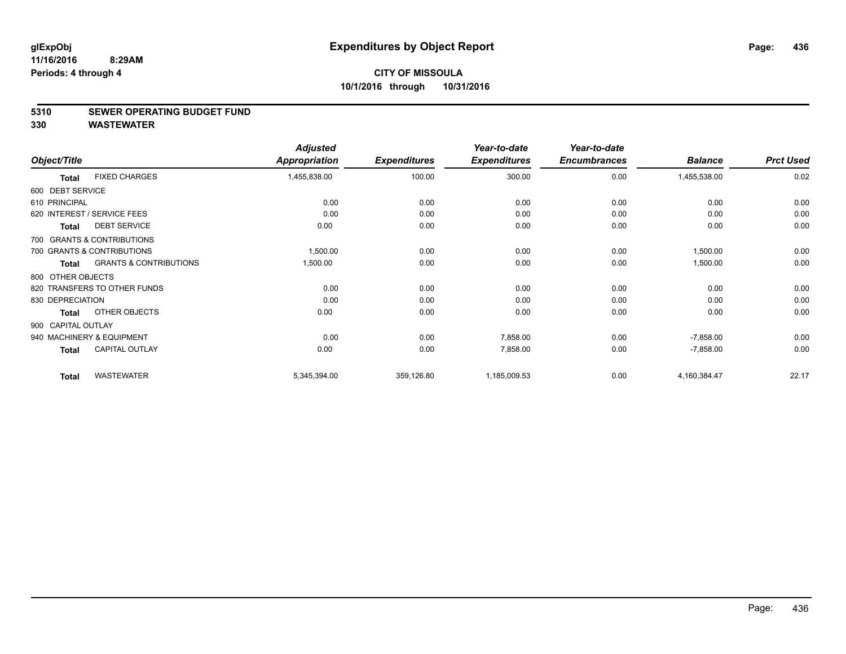#### **5310 SEWER OPERATING BUDGET FUND**

|                    |                                   | <b>Adjusted</b> |                     | Year-to-date        | Year-to-date        |                |                  |
|--------------------|-----------------------------------|-----------------|---------------------|---------------------|---------------------|----------------|------------------|
| Object/Title       |                                   | Appropriation   | <b>Expenditures</b> | <b>Expenditures</b> | <b>Encumbrances</b> | <b>Balance</b> | <b>Prct Used</b> |
| <b>Total</b>       | <b>FIXED CHARGES</b>              | 1,455,838.00    | 100.00              | 300.00              | 0.00                | 1,455,538.00   | 0.02             |
| 600 DEBT SERVICE   |                                   |                 |                     |                     |                     |                |                  |
| 610 PRINCIPAL      |                                   | 0.00            | 0.00                | 0.00                | 0.00                | 0.00           | 0.00             |
|                    | 620 INTEREST / SERVICE FEES       | 0.00            | 0.00                | 0.00                | 0.00                | 0.00           | 0.00             |
| <b>Total</b>       | <b>DEBT SERVICE</b>               | 0.00            | 0.00                | 0.00                | 0.00                | 0.00           | 0.00             |
|                    | 700 GRANTS & CONTRIBUTIONS        |                 |                     |                     |                     |                |                  |
|                    | 700 GRANTS & CONTRIBUTIONS        | 1,500.00        | 0.00                | 0.00                | 0.00                | 1,500.00       | 0.00             |
| <b>Total</b>       | <b>GRANTS &amp; CONTRIBUTIONS</b> | 1,500.00        | 0.00                | 0.00                | 0.00                | 1,500.00       | 0.00             |
| 800 OTHER OBJECTS  |                                   |                 |                     |                     |                     |                |                  |
|                    | 820 TRANSFERS TO OTHER FUNDS      | 0.00            | 0.00                | 0.00                | 0.00                | 0.00           | 0.00             |
| 830 DEPRECIATION   |                                   | 0.00            | 0.00                | 0.00                | 0.00                | 0.00           | 0.00             |
| <b>Total</b>       | OTHER OBJECTS                     | 0.00            | 0.00                | 0.00                | 0.00                | 0.00           | 0.00             |
| 900 CAPITAL OUTLAY |                                   |                 |                     |                     |                     |                |                  |
|                    | 940 MACHINERY & EQUIPMENT         | 0.00            | 0.00                | 7,858.00            | 0.00                | $-7,858.00$    | 0.00             |
| <b>Total</b>       | <b>CAPITAL OUTLAY</b>             | 0.00            | 0.00                | 7,858.00            | 0.00                | $-7,858.00$    | 0.00             |
|                    |                                   |                 |                     |                     |                     |                |                  |
| <b>Total</b>       | <b>WASTEWATER</b>                 | 5,345,394.00    | 359,126.80          | 1,185,009.53        | 0.00                | 4,160,384.47   | 22.17            |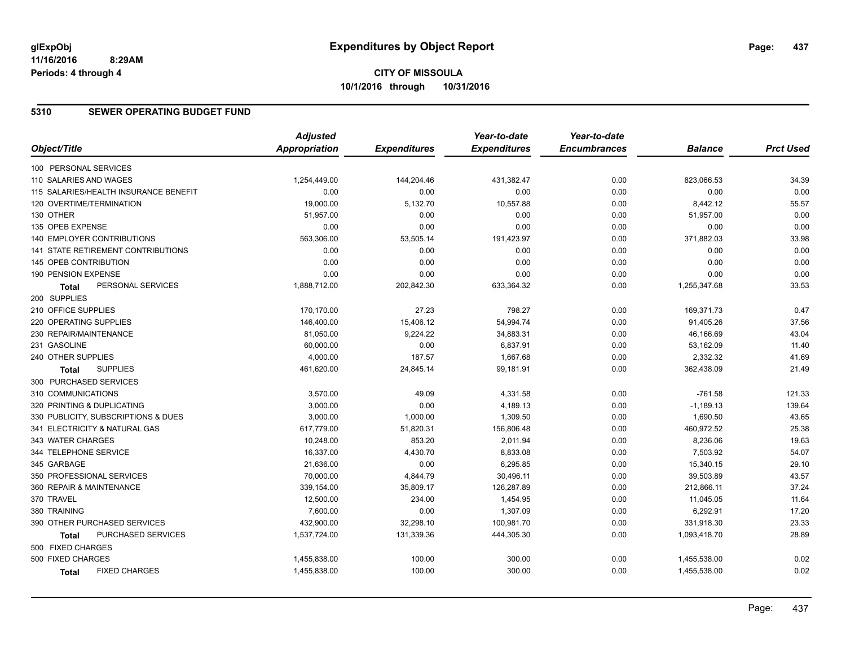### **5310 SEWER OPERATING BUDGET FUND**

|                                           | <b>Adjusted</b>      |                     | Year-to-date        | Year-to-date        |                |                  |
|-------------------------------------------|----------------------|---------------------|---------------------|---------------------|----------------|------------------|
| Object/Title                              | <b>Appropriation</b> | <b>Expenditures</b> | <b>Expenditures</b> | <b>Encumbrances</b> | <b>Balance</b> | <b>Prct Used</b> |
| 100 PERSONAL SERVICES                     |                      |                     |                     |                     |                |                  |
| 110 SALARIES AND WAGES                    | 1,254,449.00         | 144,204.46          | 431,382.47          | 0.00                | 823,066.53     | 34.39            |
| 115 SALARIES/HEALTH INSURANCE BENEFIT     | 0.00                 | 0.00                | 0.00                | 0.00                | 0.00           | 0.00             |
| 120 OVERTIME/TERMINATION                  | 19,000.00            | 5,132.70            | 10,557.88           | 0.00                | 8,442.12       | 55.57            |
| 130 OTHER                                 | 51,957.00            | 0.00                | 0.00                | 0.00                | 51,957.00      | 0.00             |
| 135 OPEB EXPENSE                          | 0.00                 | 0.00                | 0.00                | 0.00                | 0.00           | 0.00             |
| 140 EMPLOYER CONTRIBUTIONS                | 563,306.00           | 53,505.14           | 191,423.97          | 0.00                | 371,882.03     | 33.98            |
| <b>141 STATE RETIREMENT CONTRIBUTIONS</b> | 0.00                 | 0.00                | 0.00                | 0.00                | 0.00           | 0.00             |
| 145 OPEB CONTRIBUTION                     | 0.00                 | 0.00                | 0.00                | 0.00                | 0.00           | 0.00             |
| 190 PENSION EXPENSE                       | 0.00                 | 0.00                | 0.00                | 0.00                | 0.00           | 0.00             |
| PERSONAL SERVICES<br>Total                | 1,888,712.00         | 202,842.30          | 633,364.32          | 0.00                | 1,255,347.68   | 33.53            |
| 200 SUPPLIES                              |                      |                     |                     |                     |                |                  |
| 210 OFFICE SUPPLIES                       | 170,170.00           | 27.23               | 798.27              | 0.00                | 169,371.73     | 0.47             |
| 220 OPERATING SUPPLIES                    | 146,400.00           | 15,406.12           | 54,994.74           | 0.00                | 91,405.26      | 37.56            |
| 230 REPAIR/MAINTENANCE                    | 81,050.00            | 9,224.22            | 34,883.31           | 0.00                | 46,166.69      | 43.04            |
| 231 GASOLINE                              | 60,000.00            | 0.00                | 6.837.91            | 0.00                | 53,162.09      | 11.40            |
| 240 OTHER SUPPLIES                        | 4,000.00             | 187.57              | 1,667.68            | 0.00                | 2,332.32       | 41.69            |
| <b>SUPPLIES</b><br>Total                  | 461,620.00           | 24,845.14           | 99,181.91           | 0.00                | 362,438.09     | 21.49            |
| 300 PURCHASED SERVICES                    |                      |                     |                     |                     |                |                  |
| 310 COMMUNICATIONS                        | 3,570.00             | 49.09               | 4,331.58            | 0.00                | $-761.58$      | 121.33           |
| 320 PRINTING & DUPLICATING                | 3,000.00             | 0.00                | 4,189.13            | 0.00                | $-1,189.13$    | 139.64           |
| 330 PUBLICITY, SUBSCRIPTIONS & DUES       | 3,000.00             | 1,000.00            | 1,309.50            | 0.00                | 1,690.50       | 43.65            |
| 341 ELECTRICITY & NATURAL GAS             | 617,779.00           | 51,820.31           | 156,806.48          | 0.00                | 460,972.52     | 25.38            |
| 343 WATER CHARGES                         | 10,248.00            | 853.20              | 2,011.94            | 0.00                | 8,236.06       | 19.63            |
| 344 TELEPHONE SERVICE                     | 16,337.00            | 4,430.70            | 8,833.08            | 0.00                | 7,503.92       | 54.07            |
| 345 GARBAGE                               | 21,636.00            | 0.00                | 6,295.85            | 0.00                | 15,340.15      | 29.10            |
| 350 PROFESSIONAL SERVICES                 | 70,000.00            | 4,844.79            | 30,496.11           | 0.00                | 39,503.89      | 43.57            |
| 360 REPAIR & MAINTENANCE                  | 339,154.00           | 35,809.17           | 126,287.89          | 0.00                | 212,866.11     | 37.24            |
| 370 TRAVEL                                | 12,500.00            | 234.00              | 1,454.95            | 0.00                | 11,045.05      | 11.64            |
| 380 TRAINING                              | 7,600.00             | 0.00                | 1,307.09            | 0.00                | 6,292.91       | 17.20            |
| 390 OTHER PURCHASED SERVICES              | 432,900.00           | 32,298.10           | 100,981.70          | 0.00                | 331,918.30     | 23.33            |
| PURCHASED SERVICES<br>Total               | 1,537,724.00         | 131,339.36          | 444,305.30          | 0.00                | 1,093,418.70   | 28.89            |
| 500 FIXED CHARGES                         |                      |                     |                     |                     |                |                  |
| 500 FIXED CHARGES                         | 1,455,838.00         | 100.00              | 300.00              | 0.00                | 1,455,538.00   | 0.02             |
| <b>FIXED CHARGES</b><br><b>Total</b>      | 1,455,838.00         | 100.00              | 300.00              | 0.00                | 1,455,538.00   | 0.02             |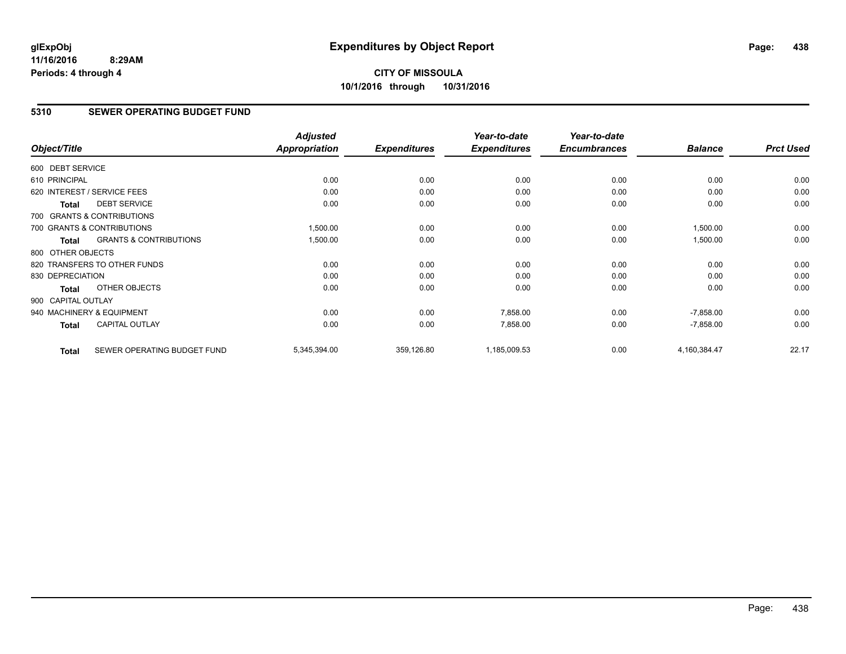# **CITY OF MISSOULA 10/1/2016 through 10/31/2016**

### **5310 SEWER OPERATING BUDGET FUND**

| Object/Title       |                                   | <b>Adjusted</b><br><b>Appropriation</b> | <b>Expenditures</b> | Year-to-date<br><b>Expenditures</b> | Year-to-date<br><b>Encumbrances</b> | <b>Balance</b> | <b>Prct Used</b> |
|--------------------|-----------------------------------|-----------------------------------------|---------------------|-------------------------------------|-------------------------------------|----------------|------------------|
|                    |                                   |                                         |                     |                                     |                                     |                |                  |
| 600 DEBT SERVICE   |                                   |                                         |                     |                                     |                                     |                |                  |
| 610 PRINCIPAL      |                                   | 0.00                                    | 0.00                | 0.00                                | 0.00                                | 0.00           | 0.00             |
|                    | 620 INTEREST / SERVICE FEES       | 0.00                                    | 0.00                | 0.00                                | 0.00                                | 0.00           | 0.00             |
| <b>Total</b>       | <b>DEBT SERVICE</b>               | 0.00                                    | 0.00                | 0.00                                | 0.00                                | 0.00           | 0.00             |
|                    | 700 GRANTS & CONTRIBUTIONS        |                                         |                     |                                     |                                     |                |                  |
|                    | 700 GRANTS & CONTRIBUTIONS        | 1,500.00                                | 0.00                | 0.00                                | 0.00                                | 1,500.00       | 0.00             |
| Total              | <b>GRANTS &amp; CONTRIBUTIONS</b> | 1,500.00                                | 0.00                | 0.00                                | 0.00                                | 1,500.00       | 0.00             |
| 800 OTHER OBJECTS  |                                   |                                         |                     |                                     |                                     |                |                  |
|                    | 820 TRANSFERS TO OTHER FUNDS      | 0.00                                    | 0.00                | 0.00                                | 0.00                                | 0.00           | 0.00             |
| 830 DEPRECIATION   |                                   | 0.00                                    | 0.00                | 0.00                                | 0.00                                | 0.00           | 0.00             |
| Total              | OTHER OBJECTS                     | 0.00                                    | 0.00                | 0.00                                | 0.00                                | 0.00           | 0.00             |
| 900 CAPITAL OUTLAY |                                   |                                         |                     |                                     |                                     |                |                  |
|                    | 940 MACHINERY & EQUIPMENT         | 0.00                                    | 0.00                | 7,858.00                            | 0.00                                | $-7,858.00$    | 0.00             |
| <b>Total</b>       | <b>CAPITAL OUTLAY</b>             | 0.00                                    | 0.00                | 7,858.00                            | 0.00                                | $-7,858.00$    | 0.00             |
| <b>Total</b>       | SEWER OPERATING BUDGET FUND       | 5,345,394.00                            | 359,126.80          | 1,185,009.53                        | 0.00                                | 4,160,384.47   | 22.17            |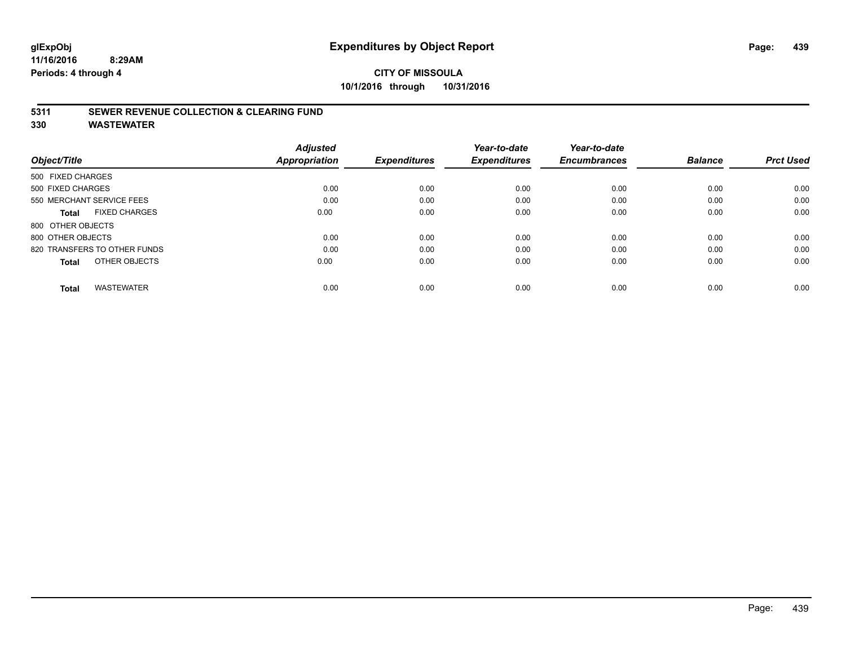# **CITY OF MISSOULA 10/1/2016 through 10/31/2016**

### **5311 SEWER REVENUE COLLECTION & CLEARING FUND**

| Object/Title                         | <b>Adjusted</b><br><b>Appropriation</b> | <b>Expenditures</b> | Year-to-date<br><b>Expenditures</b> | Year-to-date<br><b>Encumbrances</b> | <b>Balance</b> | <b>Prct Used</b> |
|--------------------------------------|-----------------------------------------|---------------------|-------------------------------------|-------------------------------------|----------------|------------------|
| 500 FIXED CHARGES                    |                                         |                     |                                     |                                     |                |                  |
| 500 FIXED CHARGES                    | 0.00                                    | 0.00                | 0.00                                | 0.00                                | 0.00           | 0.00             |
| 550 MERCHANT SERVICE FEES            | 0.00                                    | 0.00                | 0.00                                | 0.00                                | 0.00           | 0.00             |
| <b>FIXED CHARGES</b><br><b>Total</b> | 0.00                                    | 0.00                | 0.00                                | 0.00                                | 0.00           | 0.00             |
| 800 OTHER OBJECTS                    |                                         |                     |                                     |                                     |                |                  |
| 800 OTHER OBJECTS                    | 0.00                                    | 0.00                | 0.00                                | 0.00                                | 0.00           | 0.00             |
| 820 TRANSFERS TO OTHER FUNDS         | 0.00                                    | 0.00                | 0.00                                | 0.00                                | 0.00           | 0.00             |
| OTHER OBJECTS<br><b>Total</b>        | 0.00                                    | 0.00                | 0.00                                | 0.00                                | 0.00           | 0.00             |
| <b>WASTEWATER</b><br><b>Total</b>    | 0.00                                    | 0.00                | 0.00                                | 0.00                                | 0.00           | 0.00             |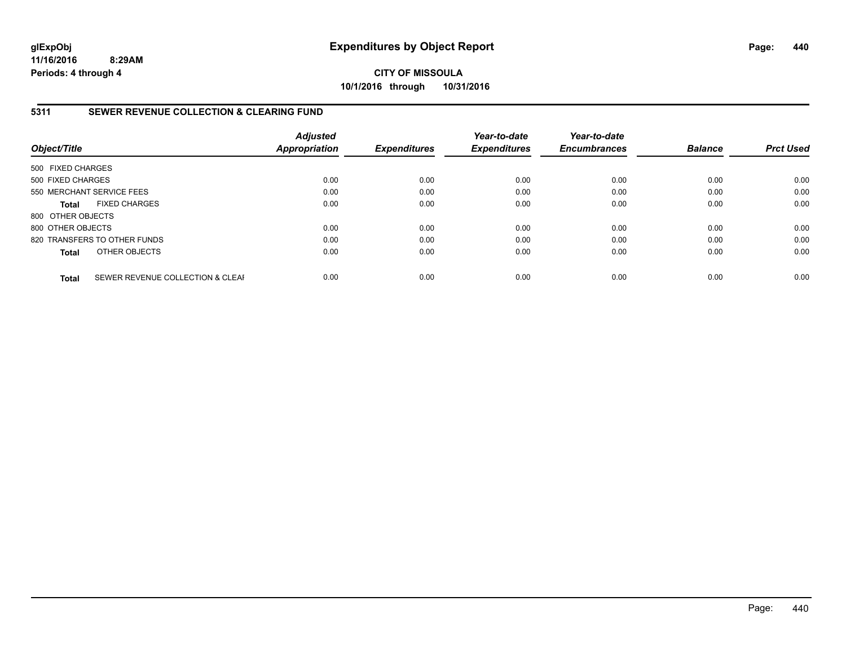**CITY OF MISSOULA 10/1/2016 through 10/31/2016**

### **5311 SEWER REVENUE COLLECTION & CLEARING FUND**

| Object/Title              |                                  | <b>Adjusted</b><br><b>Appropriation</b> | <b>Expenditures</b> | Year-to-date<br><b>Expenditures</b> | Year-to-date<br><b>Encumbrances</b> | <b>Balance</b> | <b>Prct Used</b> |
|---------------------------|----------------------------------|-----------------------------------------|---------------------|-------------------------------------|-------------------------------------|----------------|------------------|
| 500 FIXED CHARGES         |                                  |                                         |                     |                                     |                                     |                |                  |
| 500 FIXED CHARGES         |                                  | 0.00                                    | 0.00                | 0.00                                | 0.00                                | 0.00           | 0.00             |
| 550 MERCHANT SERVICE FEES |                                  | 0.00                                    | 0.00                | 0.00                                | 0.00                                | 0.00           | 0.00             |
| <b>Total</b>              | <b>FIXED CHARGES</b>             | 0.00                                    | 0.00                | 0.00                                | 0.00                                | 0.00           | 0.00             |
| 800 OTHER OBJECTS         |                                  |                                         |                     |                                     |                                     |                |                  |
| 800 OTHER OBJECTS         |                                  | 0.00                                    | 0.00                | 0.00                                | 0.00                                | 0.00           | 0.00             |
|                           | 820 TRANSFERS TO OTHER FUNDS     | 0.00                                    | 0.00                | 0.00                                | 0.00                                | 0.00           | 0.00             |
| <b>Total</b>              | OTHER OBJECTS                    | 0.00                                    | 0.00                | 0.00                                | 0.00                                | 0.00           | 0.00             |
| <b>Total</b>              | SEWER REVENUE COLLECTION & CLEAF | 0.00                                    | 0.00                | 0.00                                | 0.00                                | 0.00           | 0.00             |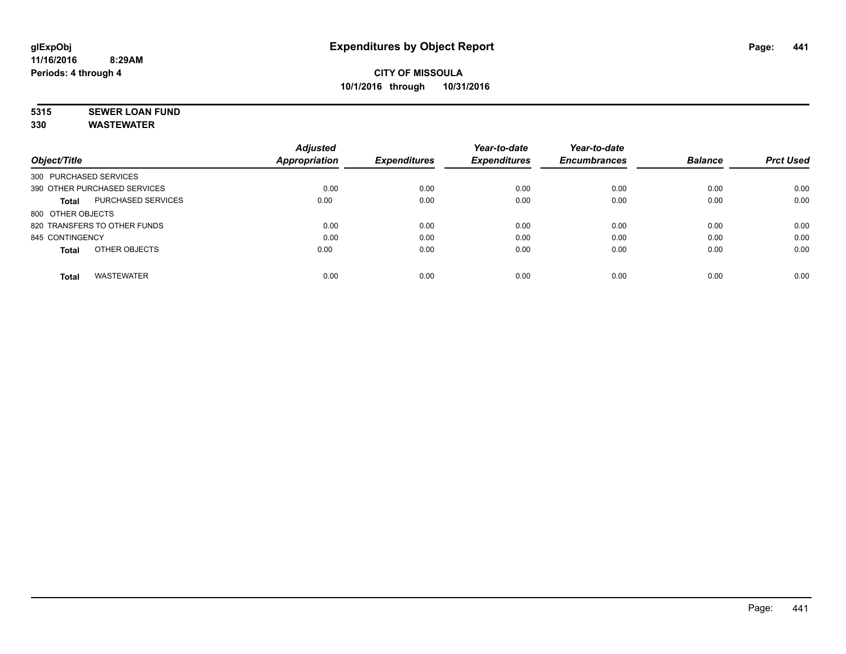# **5315 SEWER LOAN FUND**

|                                    | <b>Adjusted</b>      |                     | Year-to-date        | Year-to-date        |                |                  |
|------------------------------------|----------------------|---------------------|---------------------|---------------------|----------------|------------------|
| Object/Title                       | <b>Appropriation</b> | <b>Expenditures</b> | <b>Expenditures</b> | <b>Encumbrances</b> | <b>Balance</b> | <b>Prct Used</b> |
| 300 PURCHASED SERVICES             |                      |                     |                     |                     |                |                  |
| 390 OTHER PURCHASED SERVICES       | 0.00                 | 0.00                | 0.00                | 0.00                | 0.00           | 0.00             |
| PURCHASED SERVICES<br><b>Total</b> | 0.00                 | 0.00                | 0.00                | 0.00                | 0.00           | 0.00             |
| 800 OTHER OBJECTS                  |                      |                     |                     |                     |                |                  |
| 820 TRANSFERS TO OTHER FUNDS       | 0.00                 | 0.00                | 0.00                | 0.00                | 0.00           | 0.00             |
| 845 CONTINGENCY                    | 0.00                 | 0.00                | 0.00                | 0.00                | 0.00           | 0.00             |
| OTHER OBJECTS<br><b>Total</b>      | 0.00                 | 0.00                | 0.00                | 0.00                | 0.00           | 0.00             |
| <b>WASTEWATER</b><br><b>Total</b>  | 0.00                 | 0.00                | 0.00                | 0.00                | 0.00           | 0.00             |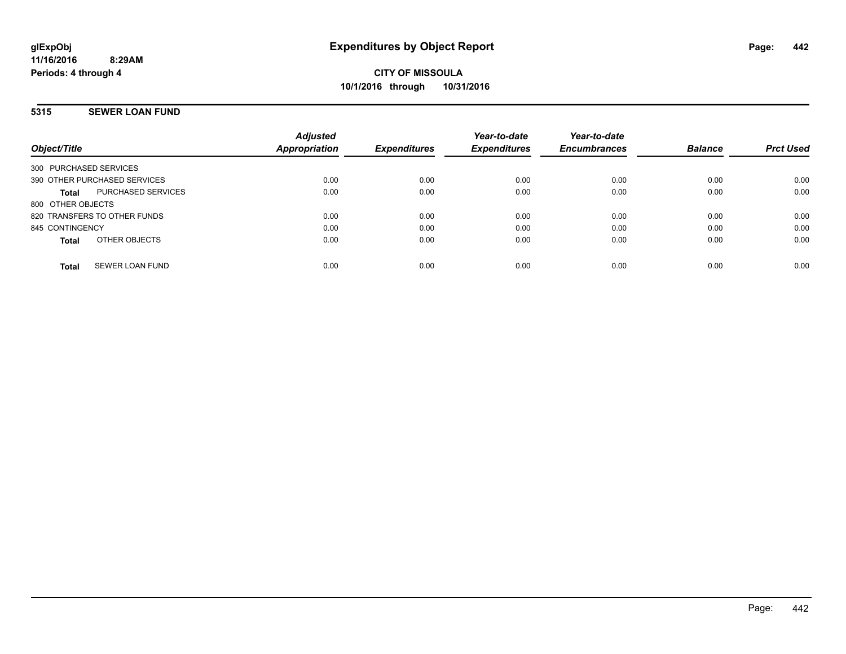# **5315 SEWER LOAN FUND**

| Object/Title                              | <b>Adjusted</b><br>Appropriation | <b>Expenditures</b> | Year-to-date<br><b>Expenditures</b> | Year-to-date<br><b>Encumbrances</b> | <b>Balance</b> | <b>Prct Used</b> |
|-------------------------------------------|----------------------------------|---------------------|-------------------------------------|-------------------------------------|----------------|------------------|
| 300 PURCHASED SERVICES                    |                                  |                     |                                     |                                     |                |                  |
| 390 OTHER PURCHASED SERVICES              | 0.00                             | 0.00                | 0.00                                | 0.00                                | 0.00           | 0.00             |
| <b>PURCHASED SERVICES</b><br><b>Total</b> | 0.00                             | 0.00                | 0.00                                | 0.00                                | 0.00           | 0.00             |
| 800 OTHER OBJECTS                         |                                  |                     |                                     |                                     |                |                  |
| 820 TRANSFERS TO OTHER FUNDS              | 0.00                             | 0.00                | 0.00                                | 0.00                                | 0.00           | 0.00             |
| 845 CONTINGENCY                           | 0.00                             | 0.00                | 0.00                                | 0.00                                | 0.00           | 0.00             |
| OTHER OBJECTS<br><b>Total</b>             | 0.00                             | 0.00                | 0.00                                | 0.00                                | 0.00           | 0.00             |
| SEWER LOAN FUND<br><b>Total</b>           | 0.00                             | 0.00                | 0.00                                | 0.00                                | 0.00           | 0.00             |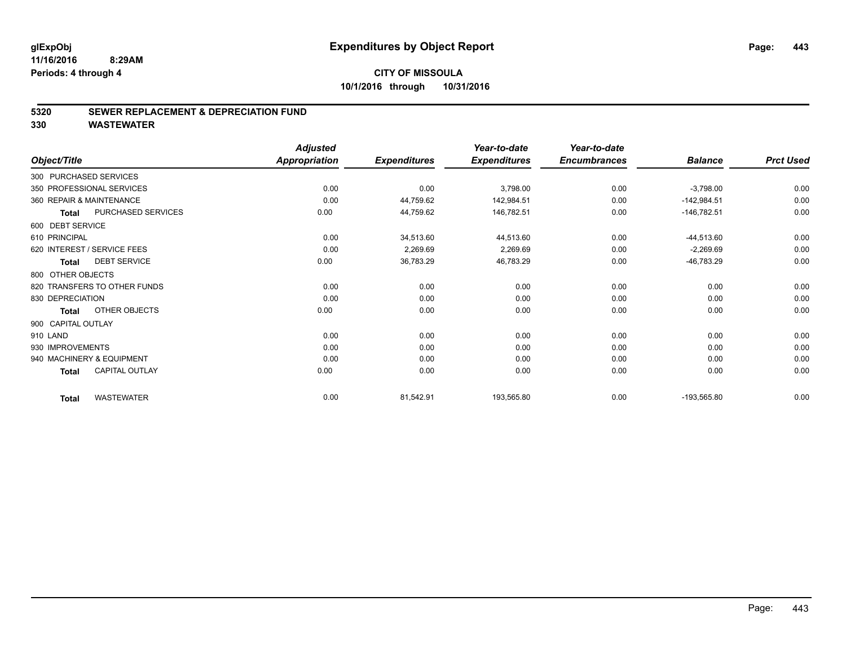# **CITY OF MISSOULA 10/1/2016 through 10/31/2016**

### **5320 SEWER REPLACEMENT & DEPRECIATION FUND**

| Object/Title             |                              | <b>Adjusted</b><br>Appropriation | <b>Expenditures</b> | Year-to-date<br><b>Expenditures</b> | Year-to-date<br><b>Encumbrances</b> | <b>Balance</b> | <b>Prct Used</b> |
|--------------------------|------------------------------|----------------------------------|---------------------|-------------------------------------|-------------------------------------|----------------|------------------|
|                          |                              |                                  |                     |                                     |                                     |                |                  |
| 300 PURCHASED SERVICES   |                              |                                  |                     |                                     |                                     |                |                  |
|                          | 350 PROFESSIONAL SERVICES    | 0.00                             | 0.00                | 3,798.00                            | 0.00                                | $-3,798.00$    | 0.00             |
| 360 REPAIR & MAINTENANCE |                              | 0.00                             | 44,759.62           | 142,984.51                          | 0.00                                | $-142,984.51$  | 0.00             |
| <b>Total</b>             | PURCHASED SERVICES           | 0.00                             | 44,759.62           | 146,782.51                          | 0.00                                | $-146,782.51$  | 0.00             |
| 600 DEBT SERVICE         |                              |                                  |                     |                                     |                                     |                |                  |
| 610 PRINCIPAL            |                              | 0.00                             | 34,513.60           | 44,513.60                           | 0.00                                | $-44,513.60$   | 0.00             |
|                          | 620 INTEREST / SERVICE FEES  | 0.00                             | 2,269.69            | 2,269.69                            | 0.00                                | $-2,269.69$    | 0.00             |
| <b>Total</b>             | <b>DEBT SERVICE</b>          | 0.00                             | 36,783.29           | 46,783.29                           | 0.00                                | -46,783.29     | 0.00             |
| 800 OTHER OBJECTS        |                              |                                  |                     |                                     |                                     |                |                  |
|                          | 820 TRANSFERS TO OTHER FUNDS | 0.00                             | 0.00                | 0.00                                | 0.00                                | 0.00           | 0.00             |
| 830 DEPRECIATION         |                              | 0.00                             | 0.00                | 0.00                                | 0.00                                | 0.00           | 0.00             |
| <b>Total</b>             | OTHER OBJECTS                | 0.00                             | 0.00                | 0.00                                | 0.00                                | 0.00           | 0.00             |
| 900 CAPITAL OUTLAY       |                              |                                  |                     |                                     |                                     |                |                  |
| 910 LAND                 |                              | 0.00                             | 0.00                | 0.00                                | 0.00                                | 0.00           | 0.00             |
| 930 IMPROVEMENTS         |                              | 0.00                             | 0.00                | 0.00                                | 0.00                                | 0.00           | 0.00             |
|                          | 940 MACHINERY & EQUIPMENT    | 0.00                             | 0.00                | 0.00                                | 0.00                                | 0.00           | 0.00             |
| <b>Total</b>             | <b>CAPITAL OUTLAY</b>        | 0.00                             | 0.00                | 0.00                                | 0.00                                | 0.00           | 0.00             |
| <b>Total</b>             | <b>WASTEWATER</b>            | 0.00                             | 81,542.91           | 193,565.80                          | 0.00                                | $-193,565.80$  | 0.00             |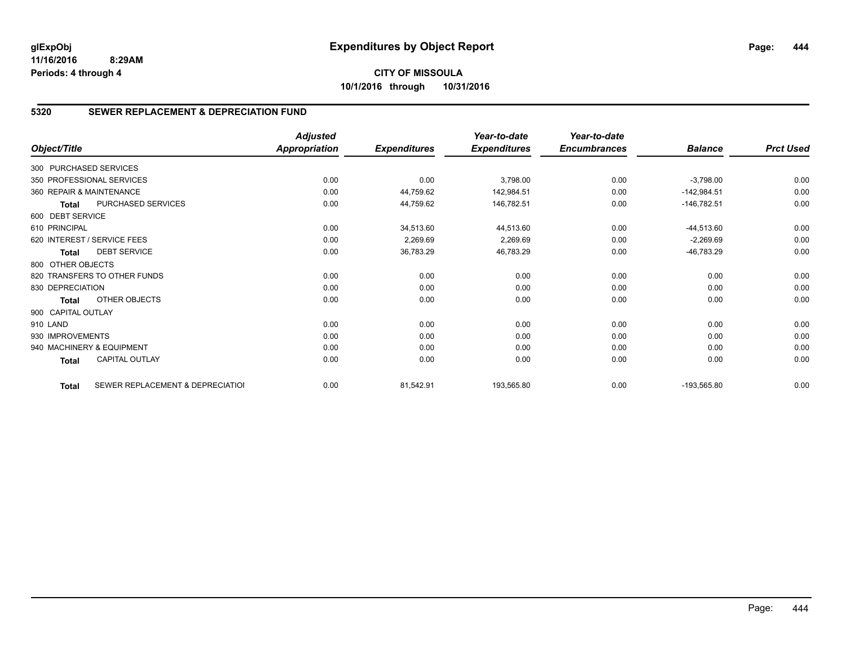# **5320 SEWER REPLACEMENT & DEPRECIATION FUND**

| Object/Title           |                                  | <b>Adjusted</b><br>Appropriation | <b>Expenditures</b> | Year-to-date<br><b>Expenditures</b> | Year-to-date<br><b>Encumbrances</b> | <b>Balance</b> | <b>Prct Used</b> |
|------------------------|----------------------------------|----------------------------------|---------------------|-------------------------------------|-------------------------------------|----------------|------------------|
| 300 PURCHASED SERVICES |                                  |                                  |                     |                                     |                                     |                |                  |
|                        |                                  |                                  |                     |                                     |                                     |                |                  |
|                        | 350 PROFESSIONAL SERVICES        | 0.00                             | 0.00                | 3,798.00                            | 0.00                                | $-3,798.00$    | 0.00             |
|                        | 360 REPAIR & MAINTENANCE         | 0.00                             | 44,759.62           | 142,984.51                          | 0.00                                | $-142,984.51$  | 0.00             |
| <b>Total</b>           | PURCHASED SERVICES               | 0.00                             | 44,759.62           | 146,782.51                          | 0.00                                | $-146,782.51$  | 0.00             |
| 600 DEBT SERVICE       |                                  |                                  |                     |                                     |                                     |                |                  |
| 610 PRINCIPAL          |                                  | 0.00                             | 34,513.60           | 44,513.60                           | 0.00                                | $-44,513.60$   | 0.00             |
|                        | 620 INTEREST / SERVICE FEES      | 0.00                             | 2,269.69            | 2,269.69                            | 0.00                                | $-2,269.69$    | 0.00             |
| <b>Total</b>           | <b>DEBT SERVICE</b>              | 0.00                             | 36,783.29           | 46,783.29                           | 0.00                                | $-46,783.29$   | 0.00             |
| 800 OTHER OBJECTS      |                                  |                                  |                     |                                     |                                     |                |                  |
|                        | 820 TRANSFERS TO OTHER FUNDS     | 0.00                             | 0.00                | 0.00                                | 0.00                                | 0.00           | 0.00             |
| 830 DEPRECIATION       |                                  | 0.00                             | 0.00                | 0.00                                | 0.00                                | 0.00           | 0.00             |
| <b>Total</b>           | OTHER OBJECTS                    | 0.00                             | 0.00                | 0.00                                | 0.00                                | 0.00           | 0.00             |
| 900 CAPITAL OUTLAY     |                                  |                                  |                     |                                     |                                     |                |                  |
| 910 LAND               |                                  | 0.00                             | 0.00                | 0.00                                | 0.00                                | 0.00           | 0.00             |
| 930 IMPROVEMENTS       |                                  | 0.00                             | 0.00                | 0.00                                | 0.00                                | 0.00           | 0.00             |
|                        | 940 MACHINERY & EQUIPMENT        | 0.00                             | 0.00                | 0.00                                | 0.00                                | 0.00           | 0.00             |
| <b>Total</b>           | <b>CAPITAL OUTLAY</b>            | 0.00                             | 0.00                | 0.00                                | 0.00                                | 0.00           | 0.00             |
| <b>Total</b>           | SEWER REPLACEMENT & DEPRECIATION | 0.00                             | 81,542.91           | 193,565.80                          | 0.00                                | $-193,565.80$  | 0.00             |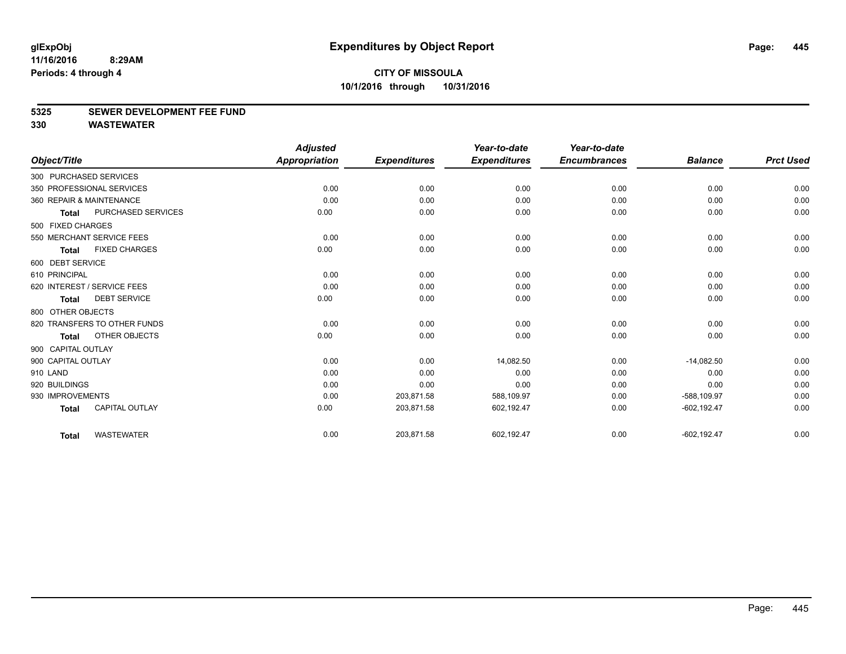#### **5325 SEWER DEVELOPMENT FEE FUND**

|                    |                              | <b>Adjusted</b>      |                     | Year-to-date        | Year-to-date        |                |                  |
|--------------------|------------------------------|----------------------|---------------------|---------------------|---------------------|----------------|------------------|
| Object/Title       |                              | <b>Appropriation</b> | <b>Expenditures</b> | <b>Expenditures</b> | <b>Encumbrances</b> | <b>Balance</b> | <b>Prct Used</b> |
|                    | 300 PURCHASED SERVICES       |                      |                     |                     |                     |                |                  |
|                    | 350 PROFESSIONAL SERVICES    | 0.00                 | 0.00                | 0.00                | 0.00                | 0.00           | 0.00             |
|                    | 360 REPAIR & MAINTENANCE     | 0.00                 | 0.00                | 0.00                | 0.00                | 0.00           | 0.00             |
| Total              | PURCHASED SERVICES           | 0.00                 | 0.00                | 0.00                | 0.00                | 0.00           | 0.00             |
| 500 FIXED CHARGES  |                              |                      |                     |                     |                     |                |                  |
|                    | 550 MERCHANT SERVICE FEES    | 0.00                 | 0.00                | 0.00                | 0.00                | 0.00           | 0.00             |
| <b>Total</b>       | <b>FIXED CHARGES</b>         | 0.00                 | 0.00                | 0.00                | 0.00                | 0.00           | 0.00             |
| 600 DEBT SERVICE   |                              |                      |                     |                     |                     |                |                  |
| 610 PRINCIPAL      |                              | 0.00                 | 0.00                | 0.00                | 0.00                | 0.00           | 0.00             |
|                    | 620 INTEREST / SERVICE FEES  | 0.00                 | 0.00                | 0.00                | 0.00                | 0.00           | 0.00             |
| <b>Total</b>       | <b>DEBT SERVICE</b>          | 0.00                 | 0.00                | 0.00                | 0.00                | 0.00           | 0.00             |
| 800 OTHER OBJECTS  |                              |                      |                     |                     |                     |                |                  |
|                    | 820 TRANSFERS TO OTHER FUNDS | 0.00                 | 0.00                | 0.00                | 0.00                | 0.00           | 0.00             |
| <b>Total</b>       | OTHER OBJECTS                | 0.00                 | 0.00                | 0.00                | 0.00                | 0.00           | 0.00             |
| 900 CAPITAL OUTLAY |                              |                      |                     |                     |                     |                |                  |
| 900 CAPITAL OUTLAY |                              | 0.00                 | 0.00                | 14,082.50           | 0.00                | $-14,082.50$   | 0.00             |
| 910 LAND           |                              | 0.00                 | 0.00                | 0.00                | 0.00                | 0.00           | 0.00             |
| 920 BUILDINGS      |                              | 0.00                 | 0.00                | 0.00                | 0.00                | 0.00           | 0.00             |
| 930 IMPROVEMENTS   |                              | 0.00                 | 203,871.58          | 588,109.97          | 0.00                | -588,109.97    | 0.00             |
| <b>Total</b>       | <b>CAPITAL OUTLAY</b>        | 0.00                 | 203,871.58          | 602,192.47          | 0.00                | $-602, 192.47$ | 0.00             |
| <b>Total</b>       | <b>WASTEWATER</b>            | 0.00                 | 203,871.58          | 602,192.47          | 0.00                | $-602, 192.47$ | 0.00             |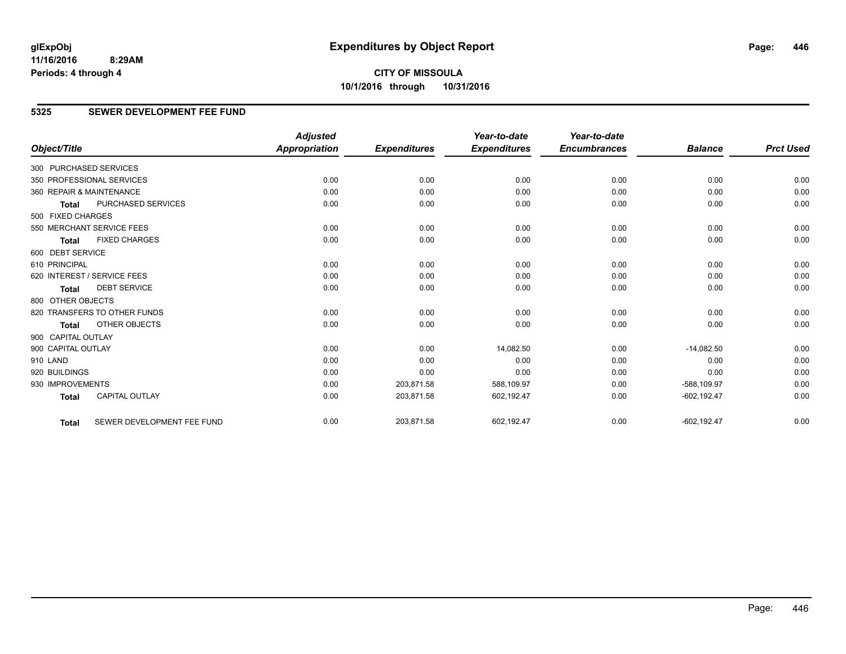**CITY OF MISSOULA 10/1/2016 through 10/31/2016**

### **5325 SEWER DEVELOPMENT FEE FUND**

|                        |                              | <b>Adjusted</b>      |                     | Year-to-date        | Year-to-date        |                |                  |
|------------------------|------------------------------|----------------------|---------------------|---------------------|---------------------|----------------|------------------|
| Object/Title           |                              | <b>Appropriation</b> | <b>Expenditures</b> | <b>Expenditures</b> | <b>Encumbrances</b> | <b>Balance</b> | <b>Prct Used</b> |
| 300 PURCHASED SERVICES |                              |                      |                     |                     |                     |                |                  |
|                        | 350 PROFESSIONAL SERVICES    | 0.00                 | 0.00                | 0.00                | 0.00                | 0.00           | 0.00             |
|                        | 360 REPAIR & MAINTENANCE     | 0.00                 | 0.00                | 0.00                | 0.00                | 0.00           | 0.00             |
| <b>Total</b>           | PURCHASED SERVICES           | 0.00                 | 0.00                | 0.00                | 0.00                | 0.00           | 0.00             |
| 500 FIXED CHARGES      |                              |                      |                     |                     |                     |                |                  |
|                        | 550 MERCHANT SERVICE FEES    | 0.00                 | 0.00                | 0.00                | 0.00                | 0.00           | 0.00             |
| <b>Total</b>           | <b>FIXED CHARGES</b>         | 0.00                 | 0.00                | 0.00                | 0.00                | 0.00           | 0.00             |
| 600 DEBT SERVICE       |                              |                      |                     |                     |                     |                |                  |
| 610 PRINCIPAL          |                              | 0.00                 | 0.00                | 0.00                | 0.00                | 0.00           | 0.00             |
|                        | 620 INTEREST / SERVICE FEES  | 0.00                 | 0.00                | 0.00                | 0.00                | 0.00           | 0.00             |
| <b>Total</b>           | <b>DEBT SERVICE</b>          | 0.00                 | 0.00                | 0.00                | 0.00                | 0.00           | 0.00             |
| 800 OTHER OBJECTS      |                              |                      |                     |                     |                     |                |                  |
|                        | 820 TRANSFERS TO OTHER FUNDS | 0.00                 | 0.00                | 0.00                | 0.00                | 0.00           | 0.00             |
| <b>Total</b>           | <b>OTHER OBJECTS</b>         | 0.00                 | 0.00                | 0.00                | 0.00                | 0.00           | 0.00             |
| 900 CAPITAL OUTLAY     |                              |                      |                     |                     |                     |                |                  |
| 900 CAPITAL OUTLAY     |                              | 0.00                 | 0.00                | 14,082.50           | 0.00                | $-14,082.50$   | 0.00             |
| 910 LAND               |                              | 0.00                 | 0.00                | 0.00                | 0.00                | 0.00           | 0.00             |
| 920 BUILDINGS          |                              | 0.00                 | 0.00                | 0.00                | 0.00                | 0.00           | 0.00             |
| 930 IMPROVEMENTS       |                              | 0.00                 | 203,871.58          | 588,109.97          | 0.00                | -588,109.97    | 0.00             |
| <b>Total</b>           | <b>CAPITAL OUTLAY</b>        | 0.00                 | 203,871.58          | 602,192.47          | 0.00                | $-602, 192.47$ | 0.00             |
| <b>Total</b>           | SEWER DEVELOPMENT FEE FUND   | 0.00                 | 203,871.58          | 602,192.47          | 0.00                | $-602, 192.47$ | 0.00             |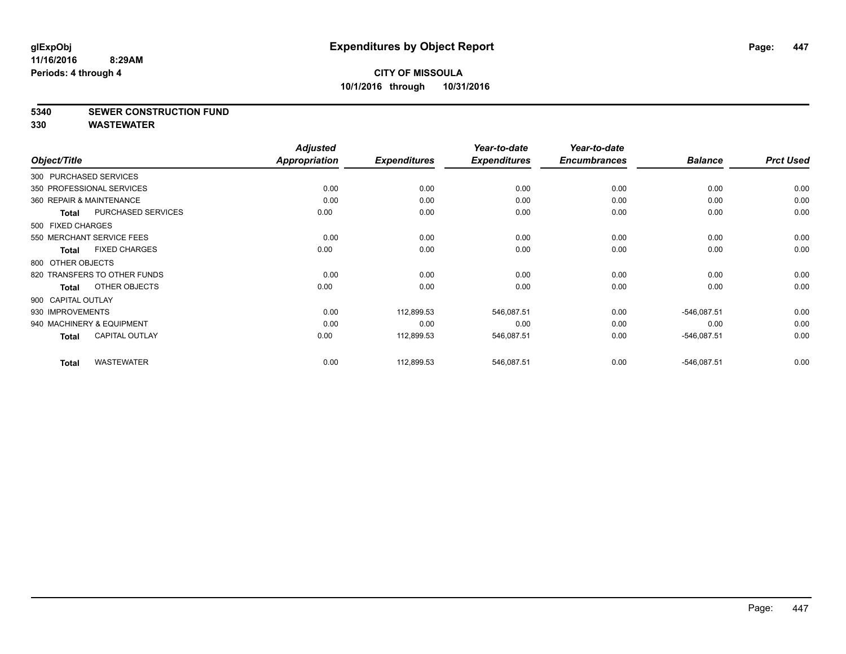### **5340 SEWER CONSTRUCTION FUND**

|                        |                              | <b>Adjusted</b> |                     | Year-to-date        | Year-to-date        |                |                  |
|------------------------|------------------------------|-----------------|---------------------|---------------------|---------------------|----------------|------------------|
| Object/Title           |                              | Appropriation   | <b>Expenditures</b> | <b>Expenditures</b> | <b>Encumbrances</b> | <b>Balance</b> | <b>Prct Used</b> |
| 300 PURCHASED SERVICES |                              |                 |                     |                     |                     |                |                  |
|                        | 350 PROFESSIONAL SERVICES    | 0.00            | 0.00                | 0.00                | 0.00                | 0.00           | 0.00             |
|                        | 360 REPAIR & MAINTENANCE     | 0.00            | 0.00                | 0.00                | 0.00                | 0.00           | 0.00             |
| <b>Total</b>           | <b>PURCHASED SERVICES</b>    | 0.00            | 0.00                | 0.00                | 0.00                | 0.00           | 0.00             |
| 500 FIXED CHARGES      |                              |                 |                     |                     |                     |                |                  |
|                        | 550 MERCHANT SERVICE FEES    | 0.00            | 0.00                | 0.00                | 0.00                | 0.00           | 0.00             |
| Total                  | <b>FIXED CHARGES</b>         | 0.00            | 0.00                | 0.00                | 0.00                | 0.00           | 0.00             |
| 800 OTHER OBJECTS      |                              |                 |                     |                     |                     |                |                  |
|                        | 820 TRANSFERS TO OTHER FUNDS | 0.00            | 0.00                | 0.00                | 0.00                | 0.00           | 0.00             |
| <b>Total</b>           | OTHER OBJECTS                | 0.00            | 0.00                | 0.00                | 0.00                | 0.00           | 0.00             |
| 900 CAPITAL OUTLAY     |                              |                 |                     |                     |                     |                |                  |
| 930 IMPROVEMENTS       |                              | 0.00            | 112,899.53          | 546,087.51          | 0.00                | $-546,087.51$  | 0.00             |
|                        | 940 MACHINERY & EQUIPMENT    | 0.00            | 0.00                | 0.00                | 0.00                | 0.00           | 0.00             |
| <b>Total</b>           | <b>CAPITAL OUTLAY</b>        | 0.00            | 112,899.53          | 546,087.51          | 0.00                | $-546,087.51$  | 0.00             |
| <b>Total</b>           | <b>WASTEWATER</b>            | 0.00            | 112,899.53          | 546,087.51          | 0.00                | $-546,087.51$  | 0.00             |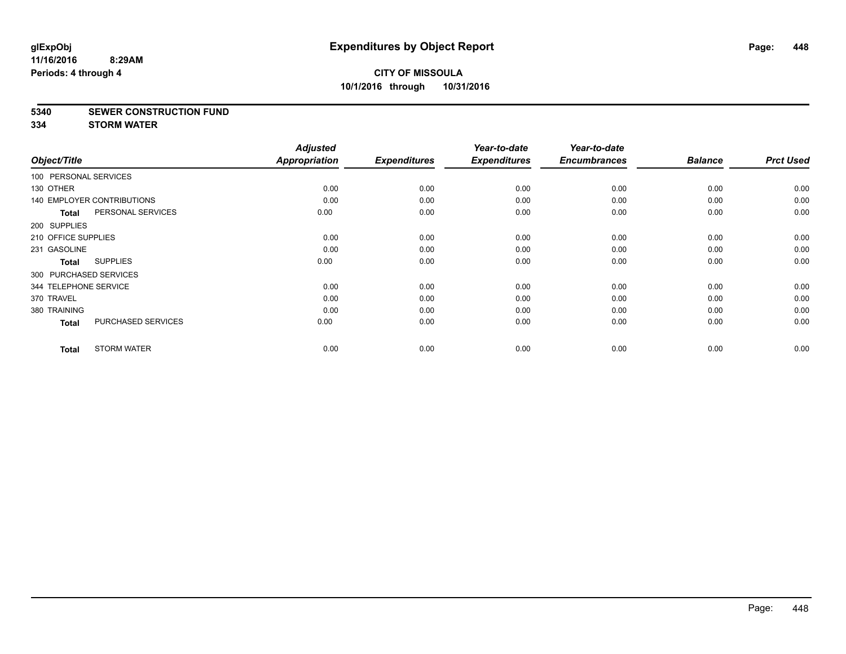#### **5340 SEWER CONSTRUCTION FUND**

**334 STORM WATER**

| Object/Title           |                                   | <b>Adjusted</b><br>Appropriation | <b>Expenditures</b> | Year-to-date<br><b>Expenditures</b> | Year-to-date<br><b>Encumbrances</b> | <b>Balance</b> | <b>Prct Used</b> |
|------------------------|-----------------------------------|----------------------------------|---------------------|-------------------------------------|-------------------------------------|----------------|------------------|
| 100 PERSONAL SERVICES  |                                   |                                  |                     |                                     |                                     |                |                  |
|                        |                                   |                                  |                     |                                     |                                     |                |                  |
| 130 OTHER              |                                   | 0.00                             | 0.00                | 0.00                                | 0.00                                | 0.00           | 0.00             |
|                        | <b>140 EMPLOYER CONTRIBUTIONS</b> | 0.00                             | 0.00                | 0.00                                | 0.00                                | 0.00           | 0.00             |
| <b>Total</b>           | PERSONAL SERVICES                 | 0.00                             | 0.00                | 0.00                                | 0.00                                | 0.00           | 0.00             |
| 200 SUPPLIES           |                                   |                                  |                     |                                     |                                     |                |                  |
| 210 OFFICE SUPPLIES    |                                   | 0.00                             | 0.00                | 0.00                                | 0.00                                | 0.00           | 0.00             |
| 231 GASOLINE           |                                   | 0.00                             | 0.00                | 0.00                                | 0.00                                | 0.00           | 0.00             |
| <b>Total</b>           | <b>SUPPLIES</b>                   | 0.00                             | 0.00                | 0.00                                | 0.00                                | 0.00           | 0.00             |
| 300 PURCHASED SERVICES |                                   |                                  |                     |                                     |                                     |                |                  |
| 344 TELEPHONE SERVICE  |                                   | 0.00                             | 0.00                | 0.00                                | 0.00                                | 0.00           | 0.00             |
| 370 TRAVEL             |                                   | 0.00                             | 0.00                | 0.00                                | 0.00                                | 0.00           | 0.00             |
| 380 TRAINING           |                                   | 0.00                             | 0.00                | 0.00                                | 0.00                                | 0.00           | 0.00             |
| <b>Total</b>           | PURCHASED SERVICES                | 0.00                             | 0.00                | 0.00                                | 0.00                                | 0.00           | 0.00             |
| <b>Total</b>           | <b>STORM WATER</b>                | 0.00                             | 0.00                | 0.00                                | 0.00                                | 0.00           | 0.00             |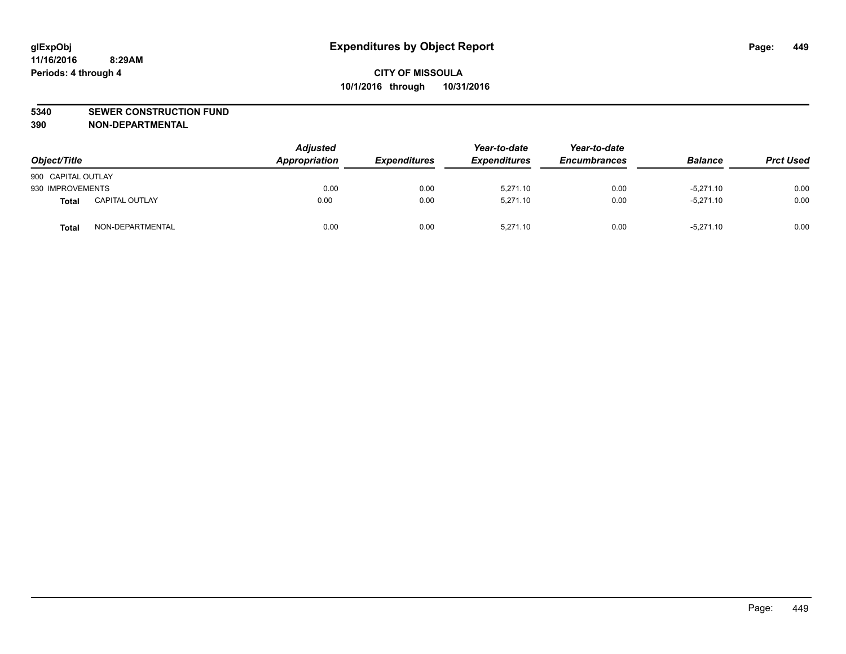### **5340 SEWER CONSTRUCTION FUND**

**390 NON-DEPARTMENTAL**

| Object/Title       |                       | <b>Adjusted</b><br>Appropriation | <b>Expenditures</b> | Year-to-date<br><b>Expenditures</b> | Year-to-date<br><b>Encumbrances</b> | <b>Balance</b> | <b>Prct Used</b> |
|--------------------|-----------------------|----------------------------------|---------------------|-------------------------------------|-------------------------------------|----------------|------------------|
| 900 CAPITAL OUTLAY |                       |                                  |                     |                                     |                                     |                |                  |
| 930 IMPROVEMENTS   |                       | 0.00                             | 0.00                | 5.271.10                            | 0.00                                | $-5,271.10$    | 0.00             |
| <b>Total</b>       | <b>CAPITAL OUTLAY</b> | 0.00                             | 0.00                | 5.271.10                            | 0.00                                | $-5.271.10$    | 0.00             |
| <b>Total</b>       | NON-DEPARTMENTAL      | 0.00                             | 0.00                | 5.271.10                            | 0.00                                | $-5,271.10$    | 0.00             |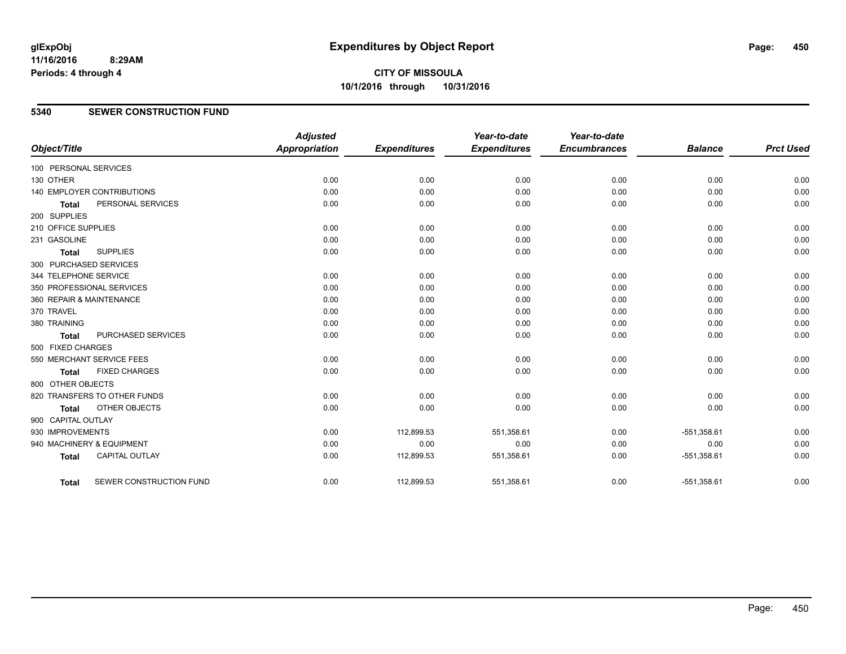**CITY OF MISSOULA 10/1/2016 through 10/31/2016**

### **5340 SEWER CONSTRUCTION FUND**

| Object/Title           |                                   | <b>Adjusted</b><br>Appropriation | <b>Expenditures</b> | Year-to-date<br><b>Expenditures</b> | Year-to-date<br><b>Encumbrances</b> | <b>Balance</b> | <b>Prct Used</b> |
|------------------------|-----------------------------------|----------------------------------|---------------------|-------------------------------------|-------------------------------------|----------------|------------------|
| 100 PERSONAL SERVICES  |                                   |                                  |                     |                                     |                                     |                |                  |
| 130 OTHER              |                                   | 0.00                             | 0.00                | 0.00                                | 0.00                                | 0.00           | 0.00             |
|                        | <b>140 EMPLOYER CONTRIBUTIONS</b> | 0.00                             | 0.00                | 0.00                                | 0.00                                | 0.00           | 0.00             |
| <b>Total</b>           | PERSONAL SERVICES                 | 0.00                             | 0.00                | 0.00                                | 0.00                                | 0.00           | 0.00             |
| 200 SUPPLIES           |                                   |                                  |                     |                                     |                                     |                |                  |
| 210 OFFICE SUPPLIES    |                                   | 0.00                             | 0.00                | 0.00                                | 0.00                                | 0.00           | 0.00             |
| 231 GASOLINE           |                                   | 0.00                             | 0.00                | 0.00                                | 0.00                                | 0.00           | 0.00             |
| <b>Total</b>           | <b>SUPPLIES</b>                   | 0.00                             | 0.00                | 0.00                                | 0.00                                | 0.00           | 0.00             |
| 300 PURCHASED SERVICES |                                   |                                  |                     |                                     |                                     |                |                  |
| 344 TELEPHONE SERVICE  |                                   | 0.00                             | 0.00                | 0.00                                | 0.00                                | 0.00           | 0.00             |
|                        | 350 PROFESSIONAL SERVICES         | 0.00                             | 0.00                | 0.00                                | 0.00                                | 0.00           | 0.00             |
|                        | 360 REPAIR & MAINTENANCE          | 0.00                             | 0.00                | 0.00                                | 0.00                                | 0.00           | 0.00             |
| 370 TRAVEL             |                                   | 0.00                             | 0.00                | 0.00                                | 0.00                                | 0.00           | 0.00             |
| 380 TRAINING           |                                   | 0.00                             | 0.00                | 0.00                                | 0.00                                | 0.00           | 0.00             |
| <b>Total</b>           | PURCHASED SERVICES                | 0.00                             | 0.00                | 0.00                                | 0.00                                | 0.00           | 0.00             |
| 500 FIXED CHARGES      |                                   |                                  |                     |                                     |                                     |                |                  |
|                        | 550 MERCHANT SERVICE FEES         | 0.00                             | 0.00                | 0.00                                | 0.00                                | 0.00           | 0.00             |
| <b>Total</b>           | <b>FIXED CHARGES</b>              | 0.00                             | 0.00                | 0.00                                | 0.00                                | 0.00           | 0.00             |
| 800 OTHER OBJECTS      |                                   |                                  |                     |                                     |                                     |                |                  |
|                        | 820 TRANSFERS TO OTHER FUNDS      | 0.00                             | 0.00                | 0.00                                | 0.00                                | 0.00           | 0.00             |
| <b>Total</b>           | <b>OTHER OBJECTS</b>              | 0.00                             | 0.00                | 0.00                                | 0.00                                | 0.00           | 0.00             |
| 900 CAPITAL OUTLAY     |                                   |                                  |                     |                                     |                                     |                |                  |
| 930 IMPROVEMENTS       |                                   | 0.00                             | 112,899.53          | 551,358.61                          | 0.00                                | $-551,358.61$  | 0.00             |
|                        | 940 MACHINERY & EQUIPMENT         | 0.00                             | 0.00                | 0.00                                | 0.00                                | 0.00           | 0.00             |
| <b>Total</b>           | <b>CAPITAL OUTLAY</b>             | 0.00                             | 112,899.53          | 551,358.61                          | 0.00                                | $-551,358.61$  | 0.00             |
| <b>Total</b>           | SEWER CONSTRUCTION FUND           | 0.00                             | 112,899.53          | 551,358.61                          | 0.00                                | $-551,358.61$  | 0.00             |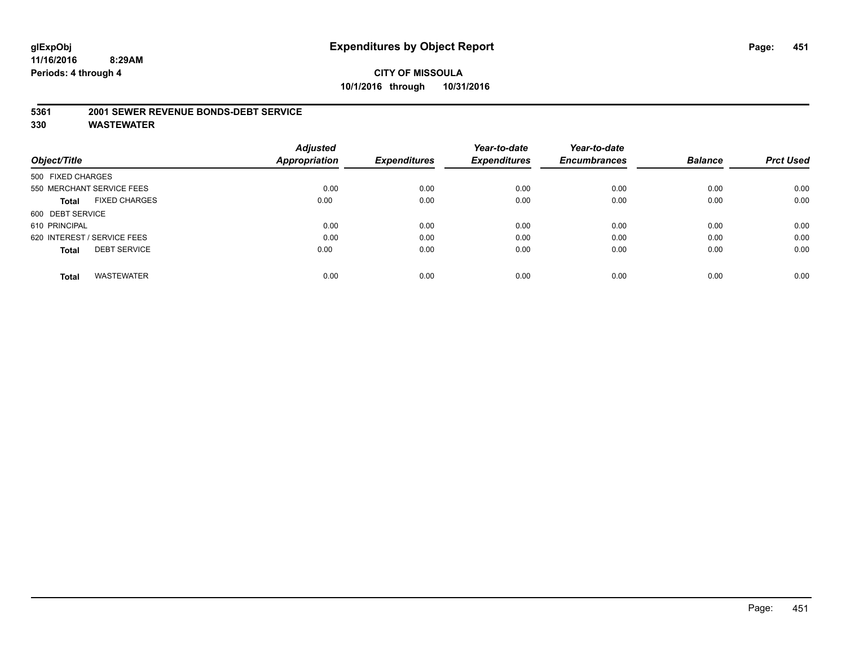# **CITY OF MISSOULA 10/1/2016 through 10/31/2016**

#### **5361 2001 SEWER REVENUE BONDS-DEBT SERVICE**

|                   |                             | <b>Adjusted</b> |                     | Year-to-date        | Year-to-date        |                |                  |
|-------------------|-----------------------------|-----------------|---------------------|---------------------|---------------------|----------------|------------------|
| Object/Title      |                             | Appropriation   | <b>Expenditures</b> | <b>Expenditures</b> | <b>Encumbrances</b> | <b>Balance</b> | <b>Prct Used</b> |
| 500 FIXED CHARGES |                             |                 |                     |                     |                     |                |                  |
|                   | 550 MERCHANT SERVICE FEES   | 0.00            | 0.00                | 0.00                | 0.00                | 0.00           | 0.00             |
| <b>Total</b>      | <b>FIXED CHARGES</b>        | 0.00            | 0.00                | 0.00                | 0.00                | 0.00           | 0.00             |
| 600 DEBT SERVICE  |                             |                 |                     |                     |                     |                |                  |
| 610 PRINCIPAL     |                             | 0.00            | 0.00                | 0.00                | 0.00                | 0.00           | 0.00             |
|                   | 620 INTEREST / SERVICE FEES | 0.00            | 0.00                | 0.00                | 0.00                | 0.00           | 0.00             |
| <b>Total</b>      | <b>DEBT SERVICE</b>         | 0.00            | 0.00                | 0.00                | 0.00                | 0.00           | 0.00             |
| <b>Total</b>      | <b>WASTEWATER</b>           | 0.00            | 0.00                | 0.00                | 0.00                | 0.00           | 0.00             |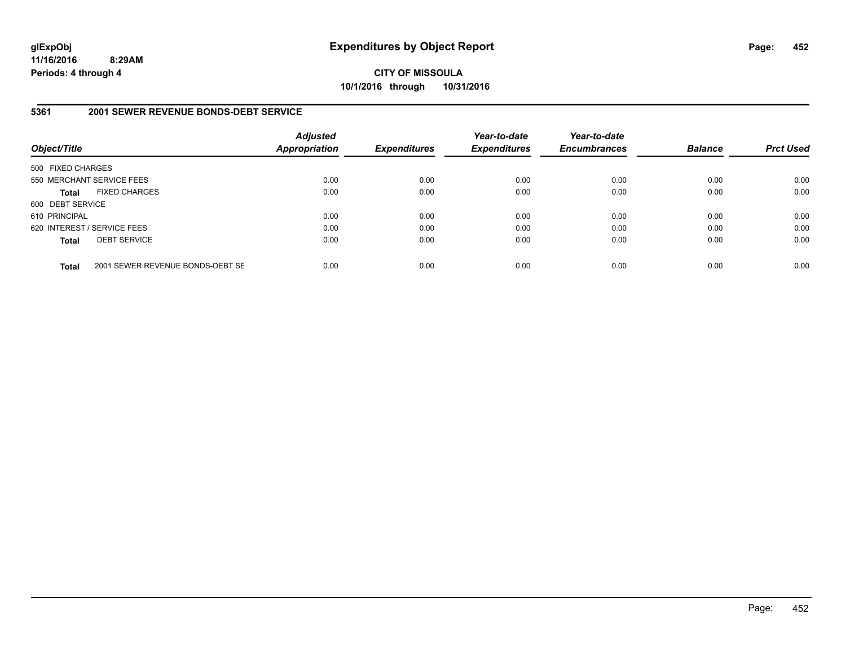**CITY OF MISSOULA 10/1/2016 through 10/31/2016**

### **5361 2001 SEWER REVENUE BONDS-DEBT SERVICE**

| Object/Title      |                                  | <b>Adjusted</b><br><b>Appropriation</b> | <b>Expenditures</b> | Year-to-date<br><b>Expenditures</b> | Year-to-date<br><b>Encumbrances</b> | <b>Balance</b> | <b>Prct Used</b> |
|-------------------|----------------------------------|-----------------------------------------|---------------------|-------------------------------------|-------------------------------------|----------------|------------------|
| 500 FIXED CHARGES |                                  |                                         |                     |                                     |                                     |                |                  |
|                   | 550 MERCHANT SERVICE FEES        | 0.00                                    | 0.00                | 0.00                                | 0.00                                | 0.00           | 0.00             |
| <b>Total</b>      | <b>FIXED CHARGES</b>             | 0.00                                    | 0.00                | 0.00                                | 0.00                                | 0.00           | 0.00             |
| 600 DEBT SERVICE  |                                  |                                         |                     |                                     |                                     |                |                  |
| 610 PRINCIPAL     |                                  | 0.00                                    | 0.00                | 0.00                                | 0.00                                | 0.00           | 0.00             |
|                   | 620 INTEREST / SERVICE FEES      | 0.00                                    | 0.00                | 0.00                                | 0.00                                | 0.00           | 0.00             |
| <b>Total</b>      | <b>DEBT SERVICE</b>              | 0.00                                    | 0.00                | 0.00                                | 0.00                                | 0.00           | 0.00             |
| <b>Total</b>      | 2001 SEWER REVENUE BONDS-DEBT SE | 0.00                                    | 0.00                | 0.00                                | 0.00                                | 0.00           | 0.00             |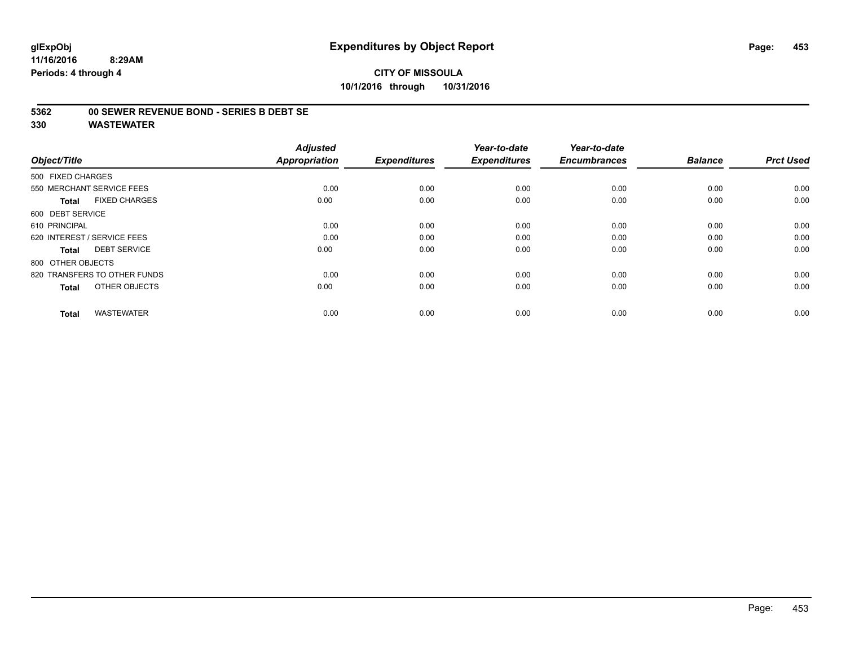# **CITY OF MISSOULA 10/1/2016 through 10/31/2016**

### **5362 00 SEWER REVENUE BOND - SERIES B DEBT SE**

| Object/Title                         | <b>Adjusted</b><br><b>Appropriation</b> | <b>Expenditures</b> | Year-to-date<br><b>Expenditures</b> | Year-to-date<br><b>Encumbrances</b> | <b>Balance</b> | <b>Prct Used</b> |
|--------------------------------------|-----------------------------------------|---------------------|-------------------------------------|-------------------------------------|----------------|------------------|
| 500 FIXED CHARGES                    |                                         |                     |                                     |                                     |                |                  |
| 550 MERCHANT SERVICE FEES            | 0.00                                    | 0.00                | 0.00                                | 0.00                                | 0.00           | 0.00             |
| <b>FIXED CHARGES</b><br><b>Total</b> | 0.00                                    | 0.00                | 0.00                                | 0.00                                | 0.00           | 0.00             |
| 600 DEBT SERVICE                     |                                         |                     |                                     |                                     |                |                  |
| 610 PRINCIPAL                        | 0.00                                    | 0.00                | 0.00                                | 0.00                                | 0.00           | 0.00             |
| 620 INTEREST / SERVICE FEES          | 0.00                                    | 0.00                | 0.00                                | 0.00                                | 0.00           | 0.00             |
| <b>DEBT SERVICE</b><br><b>Total</b>  | 0.00                                    | 0.00                | 0.00                                | 0.00                                | 0.00           | 0.00             |
| 800 OTHER OBJECTS                    |                                         |                     |                                     |                                     |                |                  |
| 820 TRANSFERS TO OTHER FUNDS         | 0.00                                    | 0.00                | 0.00                                | 0.00                                | 0.00           | 0.00             |
| OTHER OBJECTS<br><b>Total</b>        | 0.00                                    | 0.00                | 0.00                                | 0.00                                | 0.00           | 0.00             |
|                                      |                                         |                     |                                     |                                     |                |                  |
| <b>WASTEWATER</b><br><b>Total</b>    | 0.00                                    | 0.00                | 0.00                                | 0.00                                | 0.00           | 0.00             |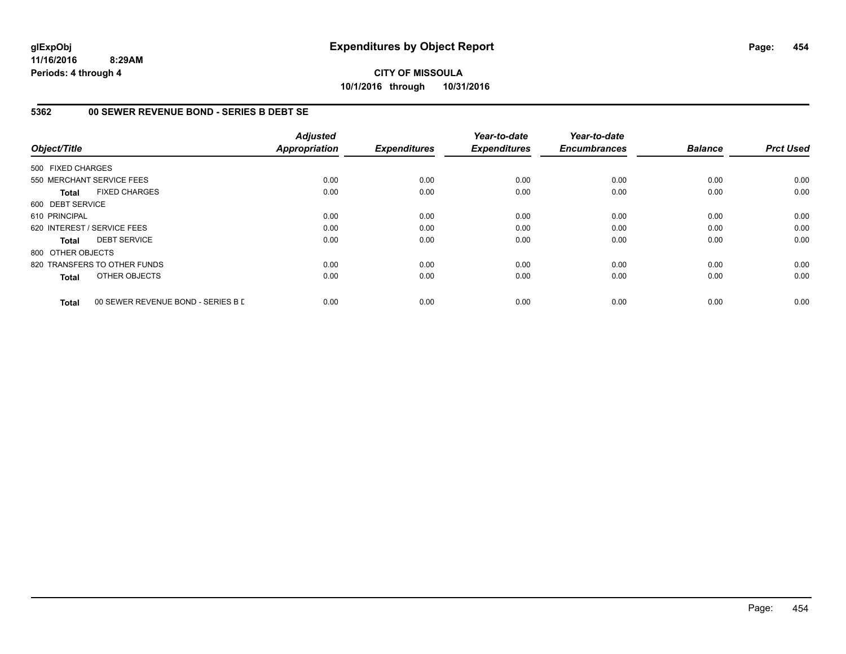**CITY OF MISSOULA 10/1/2016 through 10/31/2016**

### **5362 00 SEWER REVENUE BOND - SERIES B DEBT SE**

| Object/Title      |                                    | <b>Adjusted</b><br><b>Appropriation</b> | <b>Expenditures</b> | Year-to-date<br><b>Expenditures</b> | Year-to-date<br><b>Encumbrances</b> | <b>Balance</b> | <b>Prct Used</b> |
|-------------------|------------------------------------|-----------------------------------------|---------------------|-------------------------------------|-------------------------------------|----------------|------------------|
|                   |                                    |                                         |                     |                                     |                                     |                |                  |
| 500 FIXED CHARGES |                                    |                                         |                     |                                     |                                     |                |                  |
|                   | 550 MERCHANT SERVICE FEES          | 0.00                                    | 0.00                | 0.00                                | 0.00                                | 0.00           | 0.00             |
| <b>Total</b>      | <b>FIXED CHARGES</b>               | 0.00                                    | 0.00                | 0.00                                | 0.00                                | 0.00           | 0.00             |
| 600 DEBT SERVICE  |                                    |                                         |                     |                                     |                                     |                |                  |
| 610 PRINCIPAL     |                                    | 0.00                                    | 0.00                | 0.00                                | 0.00                                | 0.00           | 0.00             |
|                   | 620 INTEREST / SERVICE FEES        | 0.00                                    | 0.00                | 0.00                                | 0.00                                | 0.00           | 0.00             |
| <b>Total</b>      | <b>DEBT SERVICE</b>                | 0.00                                    | 0.00                | 0.00                                | 0.00                                | 0.00           | 0.00             |
| 800 OTHER OBJECTS |                                    |                                         |                     |                                     |                                     |                |                  |
|                   | 820 TRANSFERS TO OTHER FUNDS       | 0.00                                    | 0.00                | 0.00                                | 0.00                                | 0.00           | 0.00             |
| <b>Total</b>      | OTHER OBJECTS                      | 0.00                                    | 0.00                | 0.00                                | 0.00                                | 0.00           | 0.00             |
| <b>Total</b>      | 00 SEWER REVENUE BOND - SERIES B D | 0.00                                    | 0.00                | 0.00                                | 0.00                                | 0.00           | 0.00             |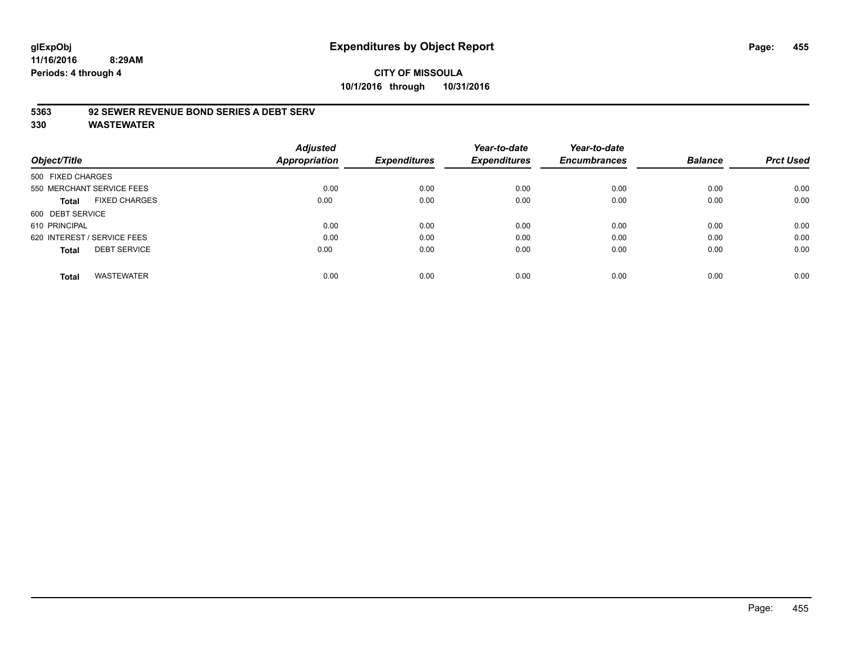# **CITY OF MISSOULA 10/1/2016 through 10/31/2016**

### **5363 92 SEWER REVENUE BOND SERIES A DEBT SERV**

| Object/Title                |                           | <b>Adjusted</b><br>Appropriation | <b>Expenditures</b> | Year-to-date<br><b>Expenditures</b> | Year-to-date<br><b>Encumbrances</b> | <b>Balance</b> | <b>Prct Used</b> |
|-----------------------------|---------------------------|----------------------------------|---------------------|-------------------------------------|-------------------------------------|----------------|------------------|
| 500 FIXED CHARGES           |                           |                                  |                     |                                     |                                     |                |                  |
|                             | 550 MERCHANT SERVICE FEES | 0.00                             | 0.00                | 0.00                                | 0.00                                | 0.00           | 0.00             |
| Total                       | <b>FIXED CHARGES</b>      | 0.00                             | 0.00                | 0.00                                | 0.00                                | 0.00           | 0.00             |
| 600 DEBT SERVICE            |                           |                                  |                     |                                     |                                     |                |                  |
| 610 PRINCIPAL               |                           | 0.00                             | 0.00                | 0.00                                | 0.00                                | 0.00           | 0.00             |
| 620 INTEREST / SERVICE FEES |                           | 0.00                             | 0.00                | 0.00                                | 0.00                                | 0.00           | 0.00             |
| <b>Total</b>                | <b>DEBT SERVICE</b>       | 0.00                             | 0.00                | 0.00                                | 0.00                                | 0.00           | 0.00             |
| <b>Total</b>                | <b>WASTEWATER</b>         | 0.00                             | 0.00                | 0.00                                | 0.00                                | 0.00           | 0.00             |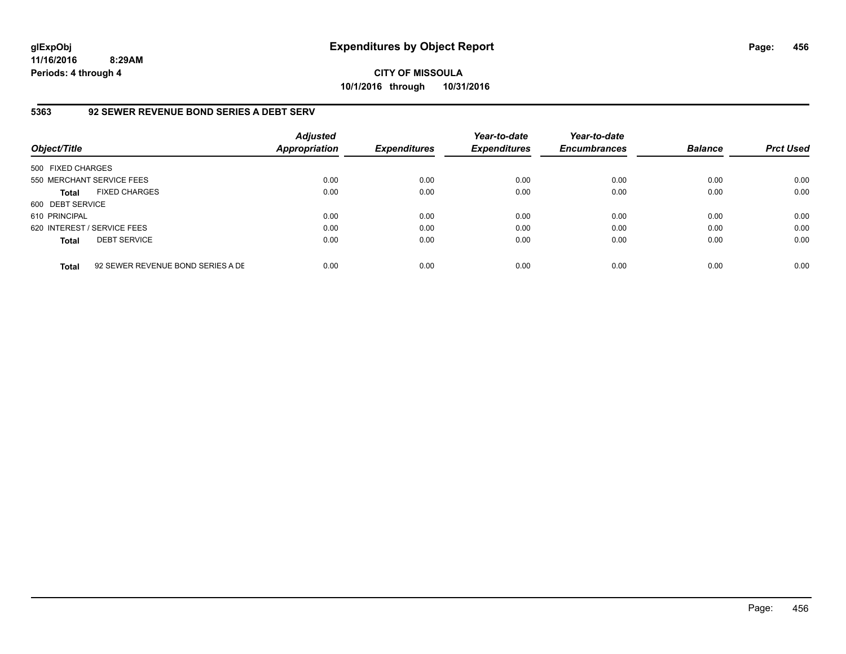**CITY OF MISSOULA 10/1/2016 through 10/31/2016**

### **5363 92 SEWER REVENUE BOND SERIES A DEBT SERV**

| Object/Title                |                                   | <b>Adjusted</b><br><b>Appropriation</b> | <b>Expenditures</b> | Year-to-date<br><b>Expenditures</b> | Year-to-date<br><b>Encumbrances</b> | <b>Balance</b> | <b>Prct Used</b> |
|-----------------------------|-----------------------------------|-----------------------------------------|---------------------|-------------------------------------|-------------------------------------|----------------|------------------|
| 500 FIXED CHARGES           |                                   |                                         |                     |                                     |                                     |                |                  |
|                             | 550 MERCHANT SERVICE FEES         | 0.00                                    | 0.00                | 0.00                                | 0.00                                | 0.00           | 0.00             |
| <b>Total</b>                | <b>FIXED CHARGES</b>              | 0.00                                    | 0.00                | 0.00                                | 0.00                                | 0.00           | 0.00             |
| 600 DEBT SERVICE            |                                   |                                         |                     |                                     |                                     |                |                  |
| 610 PRINCIPAL               |                                   | 0.00                                    | 0.00                | 0.00                                | 0.00                                | 0.00           | 0.00             |
| 620 INTEREST / SERVICE FEES |                                   | 0.00                                    | 0.00                | 0.00                                | 0.00                                | 0.00           | 0.00             |
| <b>Total</b>                | <b>DEBT SERVICE</b>               | 0.00                                    | 0.00                | 0.00                                | 0.00                                | 0.00           | 0.00             |
| <b>Total</b>                | 92 SEWER REVENUE BOND SERIES A DE | 0.00                                    | 0.00                | 0.00                                | 0.00                                | 0.00           | 0.00             |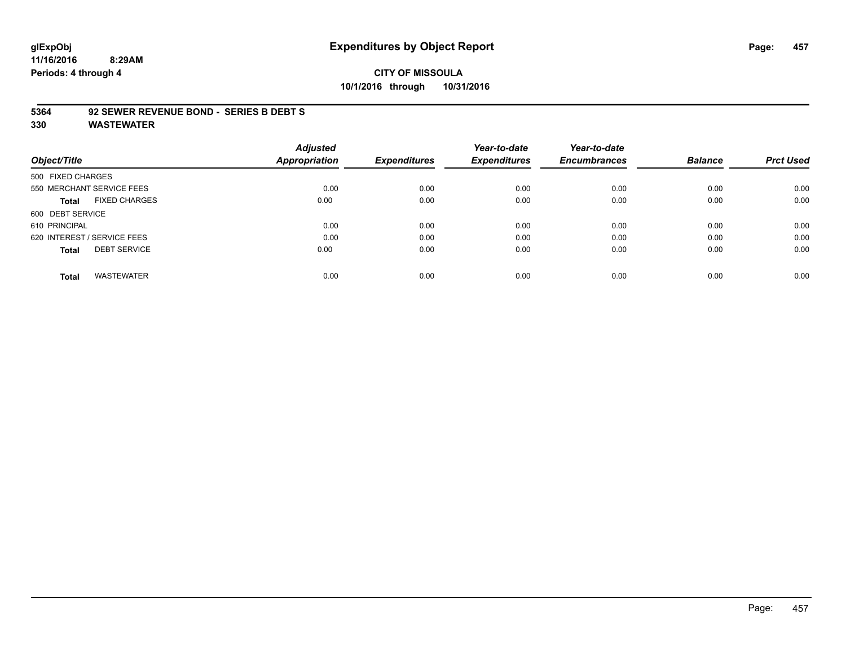# **glExpObj Expenditures by Object Report Page: 457**

**11/16/2016 8:29AM Periods: 4 through 4**

# **CITY OF MISSOULA 10/1/2016 through 10/31/2016**

#### **5364 92 SEWER REVENUE BOND - SERIES B DEBT S**

|                                      | <b>Adjusted</b>      |                     | Year-to-date        | Year-to-date        |                |                  |
|--------------------------------------|----------------------|---------------------|---------------------|---------------------|----------------|------------------|
| Object/Title                         | <b>Appropriation</b> | <b>Expenditures</b> | <b>Expenditures</b> | <b>Encumbrances</b> | <b>Balance</b> | <b>Prct Used</b> |
| 500 FIXED CHARGES                    |                      |                     |                     |                     |                |                  |
| 550 MERCHANT SERVICE FEES            | 0.00                 | 0.00                | 0.00                | 0.00                | 0.00           | 0.00             |
| <b>FIXED CHARGES</b><br><b>Total</b> | 0.00                 | 0.00                | 0.00                | 0.00                | 0.00           | 0.00             |
| 600 DEBT SERVICE                     |                      |                     |                     |                     |                |                  |
| 610 PRINCIPAL                        | 0.00                 | 0.00                | 0.00                | 0.00                | 0.00           | 0.00             |
| 620 INTEREST / SERVICE FEES          | 0.00                 | 0.00                | 0.00                | 0.00                | 0.00           | 0.00             |
| <b>DEBT SERVICE</b><br><b>Total</b>  | 0.00                 | 0.00                | 0.00                | 0.00                | 0.00           | 0.00             |
|                                      |                      |                     |                     |                     |                |                  |
| <b>WASTEWATER</b><br><b>Total</b>    | 0.00                 | 0.00                | 0.00                | 0.00                | 0.00           | 0.00             |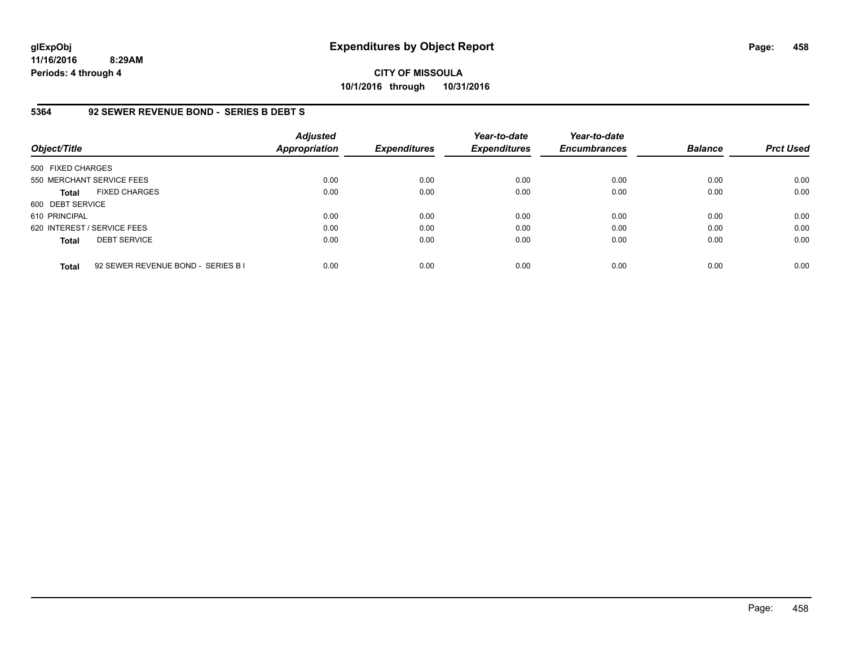# **CITY OF MISSOULA 10/1/2016 through 10/31/2016**

### **5364 92 SEWER REVENUE BOND - SERIES B DEBT S**

| Object/Title                |                                    | <b>Adjusted</b><br><b>Appropriation</b> | <b>Expenditures</b> | Year-to-date<br><b>Expenditures</b> | Year-to-date<br><b>Encumbrances</b> | <b>Balance</b> | <b>Prct Used</b> |
|-----------------------------|------------------------------------|-----------------------------------------|---------------------|-------------------------------------|-------------------------------------|----------------|------------------|
| 500 FIXED CHARGES           |                                    |                                         |                     |                                     |                                     |                |                  |
|                             | 550 MERCHANT SERVICE FEES          | 0.00                                    | 0.00                | 0.00                                | 0.00                                | 0.00           | 0.00             |
| <b>Total</b>                | <b>FIXED CHARGES</b>               | 0.00                                    | 0.00                | 0.00                                | 0.00                                | 0.00           | 0.00             |
| 600 DEBT SERVICE            |                                    |                                         |                     |                                     |                                     |                |                  |
| 610 PRINCIPAL               |                                    | 0.00                                    | 0.00                | 0.00                                | 0.00                                | 0.00           | 0.00             |
| 620 INTEREST / SERVICE FEES |                                    | 0.00                                    | 0.00                | 0.00                                | 0.00                                | 0.00           | 0.00             |
| <b>Total</b>                | <b>DEBT SERVICE</b>                | 0.00                                    | 0.00                | 0.00                                | 0.00                                | 0.00           | 0.00             |
| <b>Total</b>                | 92 SEWER REVENUE BOND - SERIES B I | 0.00                                    | 0.00                | 0.00                                | 0.00                                | 0.00           | 0.00             |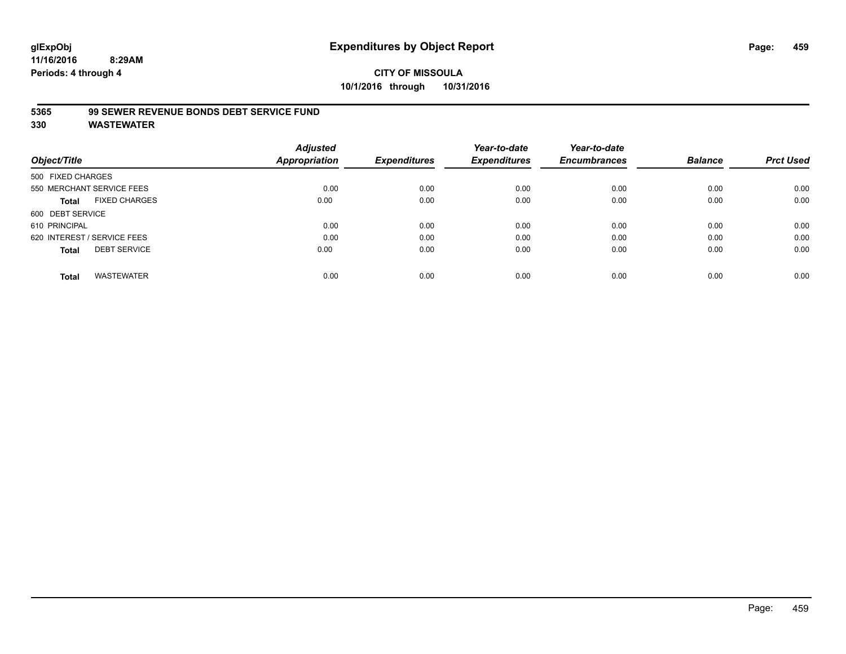### **5365 99 SEWER REVENUE BONDS DEBT SERVICE FUND**

|                   |                             | <b>Adjusted</b>      |                     | Year-to-date        | Year-to-date        |                |                  |
|-------------------|-----------------------------|----------------------|---------------------|---------------------|---------------------|----------------|------------------|
| Object/Title      |                             | <b>Appropriation</b> | <b>Expenditures</b> | <b>Expenditures</b> | <b>Encumbrances</b> | <b>Balance</b> | <b>Prct Used</b> |
| 500 FIXED CHARGES |                             |                      |                     |                     |                     |                |                  |
|                   | 550 MERCHANT SERVICE FEES   | 0.00                 | 0.00                | 0.00                | 0.00                | 0.00           | 0.00             |
| Total             | <b>FIXED CHARGES</b>        | 0.00                 | 0.00                | 0.00                | 0.00                | 0.00           | 0.00             |
| 600 DEBT SERVICE  |                             |                      |                     |                     |                     |                |                  |
| 610 PRINCIPAL     |                             | 0.00                 | 0.00                | 0.00                | 0.00                | 0.00           | 0.00             |
|                   | 620 INTEREST / SERVICE FEES | 0.00                 | 0.00                | 0.00                | 0.00                | 0.00           | 0.00             |
| <b>Total</b>      | <b>DEBT SERVICE</b>         | 0.00                 | 0.00                | 0.00                | 0.00                | 0.00           | 0.00             |
| <b>Total</b>      | <b>WASTEWATER</b>           | 0.00                 | 0.00                | 0.00                | 0.00                | 0.00           | 0.00             |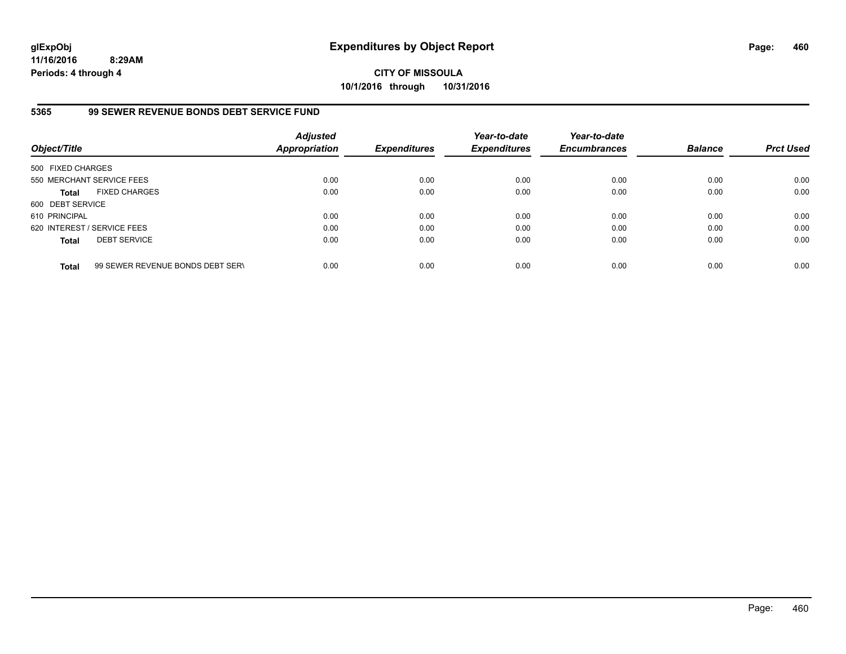**CITY OF MISSOULA 10/1/2016 through 10/31/2016**

### **5365 99 SEWER REVENUE BONDS DEBT SERVICE FUND**

| Object/Title                |                                  | <b>Adjusted</b><br><b>Appropriation</b> | <b>Expenditures</b> | Year-to-date<br><b>Expenditures</b> | Year-to-date<br><b>Encumbrances</b> | <b>Balance</b> | <b>Prct Used</b> |
|-----------------------------|----------------------------------|-----------------------------------------|---------------------|-------------------------------------|-------------------------------------|----------------|------------------|
| 500 FIXED CHARGES           |                                  |                                         |                     |                                     |                                     |                |                  |
| 550 MERCHANT SERVICE FEES   |                                  | 0.00                                    | 0.00                | 0.00                                | 0.00                                | 0.00           | 0.00             |
| <b>Total</b>                | <b>FIXED CHARGES</b>             | 0.00                                    | 0.00                | 0.00                                | 0.00                                | 0.00           | 0.00             |
| 600 DEBT SERVICE            |                                  |                                         |                     |                                     |                                     |                |                  |
| 610 PRINCIPAL               |                                  | 0.00                                    | 0.00                | 0.00                                | 0.00                                | 0.00           | 0.00             |
| 620 INTEREST / SERVICE FEES |                                  | 0.00                                    | 0.00                | 0.00                                | 0.00                                | 0.00           | 0.00             |
| <b>Total</b>                | <b>DEBT SERVICE</b>              | 0.00                                    | 0.00                | 0.00                                | 0.00                                | 0.00           | 0.00             |
| <b>Total</b>                | 99 SEWER REVENUE BONDS DEBT SERV | 0.00                                    | 0.00                | 0.00                                | 0.00                                | 0.00           | 0.00             |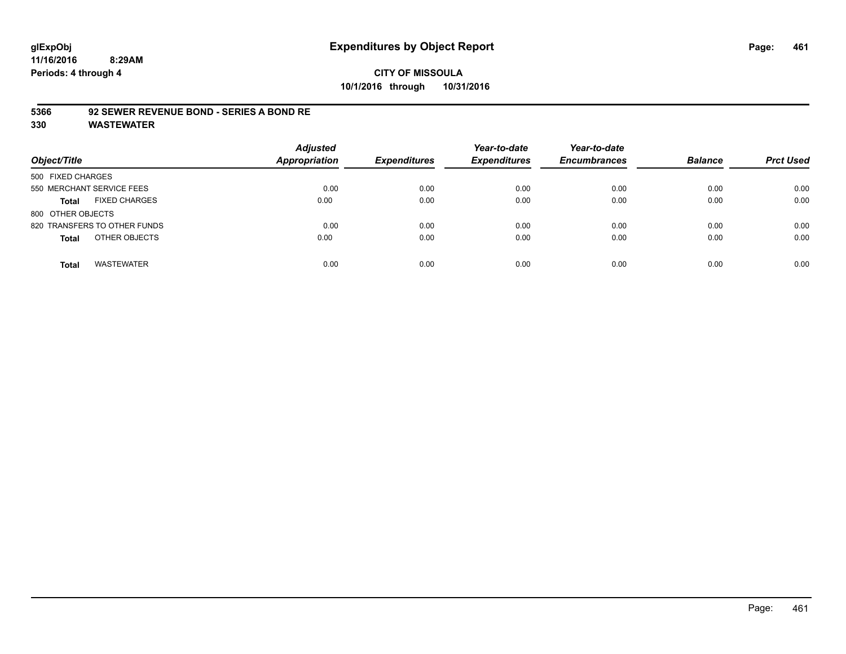# **CITY OF MISSOULA 10/1/2016 through 10/31/2016**

### **5366 92 SEWER REVENUE BOND - SERIES A BOND RE**

| Object/Title                         | <b>Adjusted</b><br><b>Appropriation</b> | <b>Expenditures</b> | Year-to-date<br><b>Expenditures</b> | Year-to-date<br><b>Encumbrances</b> | <b>Balance</b> | <b>Prct Used</b> |
|--------------------------------------|-----------------------------------------|---------------------|-------------------------------------|-------------------------------------|----------------|------------------|
| 500 FIXED CHARGES                    |                                         |                     |                                     |                                     |                |                  |
| 550 MERCHANT SERVICE FEES            | 0.00                                    | 0.00                | 0.00                                | 0.00                                | 0.00           | 0.00             |
| <b>FIXED CHARGES</b><br><b>Total</b> | 0.00                                    | 0.00                | 0.00                                | 0.00                                | 0.00           | 0.00             |
| 800 OTHER OBJECTS                    |                                         |                     |                                     |                                     |                |                  |
| 820 TRANSFERS TO OTHER FUNDS         | 0.00                                    | 0.00                | 0.00                                | 0.00                                | 0.00           | 0.00             |
| OTHER OBJECTS<br><b>Total</b>        | 0.00                                    | 0.00                | 0.00                                | 0.00                                | 0.00           | 0.00             |
| <b>WASTEWATER</b><br><b>Total</b>    | 0.00                                    | 0.00                | 0.00                                | 0.00                                | 0.00           | 0.00             |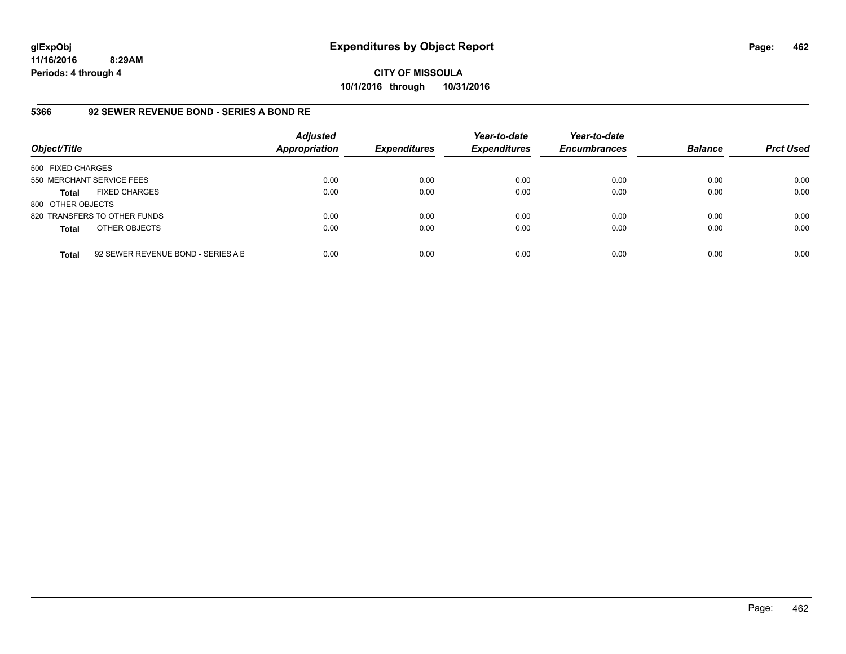**CITY OF MISSOULA 10/1/2016 through 10/31/2016**

### **5366 92 SEWER REVENUE BOND - SERIES A BOND RE**

| Object/Title              |                                    | <b>Adjusted</b><br>Appropriation | <b>Expenditures</b> | Year-to-date<br><b>Expenditures</b> | Year-to-date<br><b>Encumbrances</b> | <b>Balance</b> | <b>Prct Used</b> |
|---------------------------|------------------------------------|----------------------------------|---------------------|-------------------------------------|-------------------------------------|----------------|------------------|
| 500 FIXED CHARGES         |                                    |                                  |                     |                                     |                                     |                |                  |
| 550 MERCHANT SERVICE FEES |                                    | 0.00                             | 0.00                | 0.00                                | 0.00                                | 0.00           | 0.00             |
| <b>Total</b>              | <b>FIXED CHARGES</b>               | 0.00                             | 0.00                | 0.00                                | 0.00                                | 0.00           | 0.00             |
| 800 OTHER OBJECTS         |                                    |                                  |                     |                                     |                                     |                |                  |
|                           | 820 TRANSFERS TO OTHER FUNDS       | 0.00                             | 0.00                | 0.00                                | 0.00                                | 0.00           | 0.00             |
| <b>Total</b>              | OTHER OBJECTS                      | 0.00                             | 0.00                | 0.00                                | 0.00                                | 0.00           | 0.00             |
| <b>Total</b>              | 92 SEWER REVENUE BOND - SERIES A B | 0.00                             | 0.00                | 0.00                                | 0.00                                | 0.00           | 0.00             |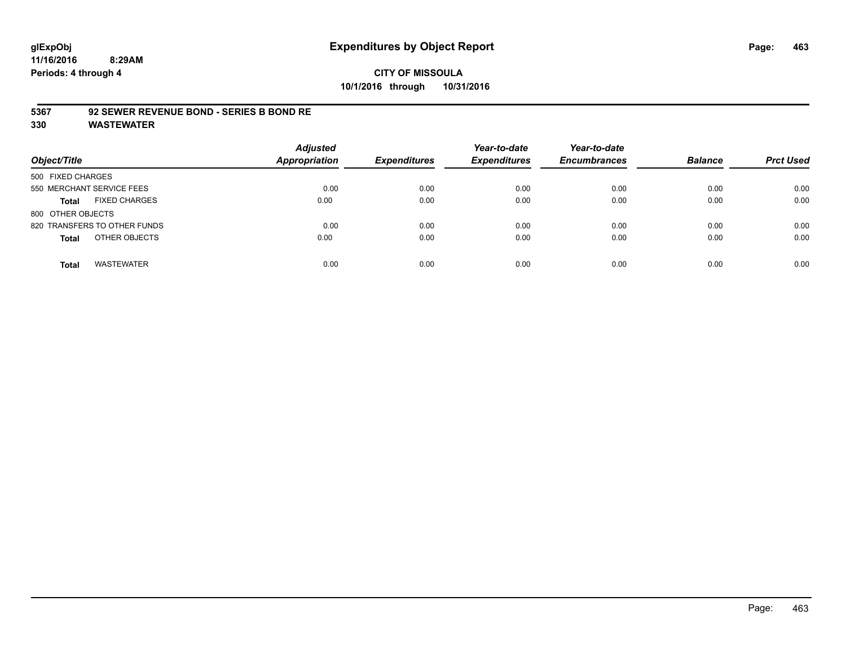# **CITY OF MISSOULA 10/1/2016 through 10/31/2016**

### **5367 92 SEWER REVENUE BOND - SERIES B BOND RE**

| Object/Title                         | <b>Adjusted</b><br><b>Appropriation</b> | <b>Expenditures</b> | Year-to-date<br><b>Expenditures</b> | Year-to-date<br><b>Encumbrances</b> | <b>Balance</b> | <b>Prct Used</b> |
|--------------------------------------|-----------------------------------------|---------------------|-------------------------------------|-------------------------------------|----------------|------------------|
| 500 FIXED CHARGES                    |                                         |                     |                                     |                                     |                |                  |
| 550 MERCHANT SERVICE FEES            | 0.00                                    | 0.00                | 0.00                                | 0.00                                | 0.00           | 0.00             |
| <b>FIXED CHARGES</b><br><b>Total</b> | 0.00                                    | 0.00                | 0.00                                | 0.00                                | 0.00           | 0.00             |
| 800 OTHER OBJECTS                    |                                         |                     |                                     |                                     |                |                  |
| 820 TRANSFERS TO OTHER FUNDS         | 0.00                                    | 0.00                | 0.00                                | 0.00                                | 0.00           | 0.00             |
| OTHER OBJECTS<br><b>Total</b>        | 0.00                                    | 0.00                | 0.00                                | 0.00                                | 0.00           | 0.00             |
| <b>WASTEWATER</b><br><b>Total</b>    | 0.00                                    | 0.00                | 0.00                                | 0.00                                | 0.00           | 0.00             |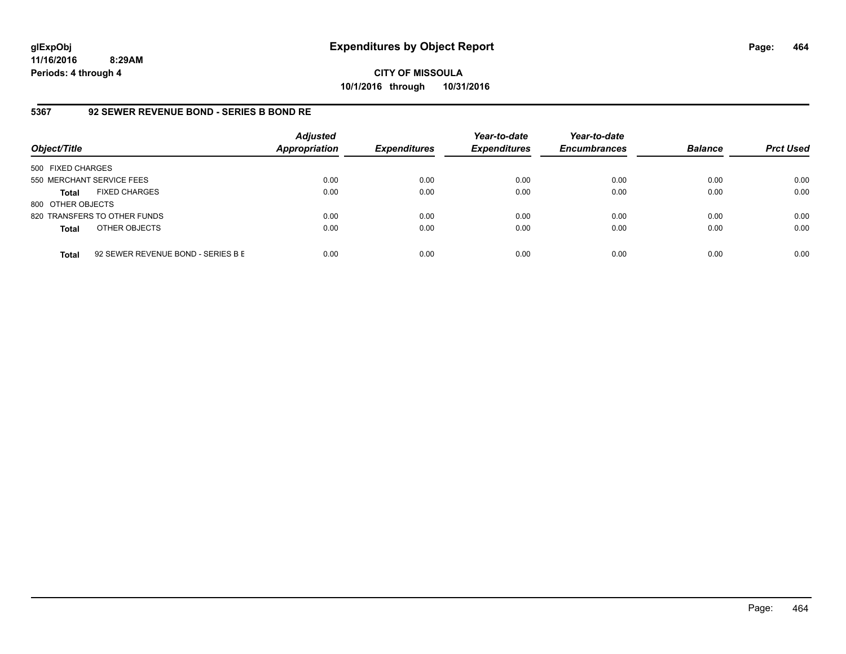**CITY OF MISSOULA 10/1/2016 through 10/31/2016**

### **5367 92 SEWER REVENUE BOND - SERIES B BOND RE**

| Object/Title              |                                    | <b>Adjusted</b><br>Appropriation | <b>Expenditures</b> | Year-to-date<br><b>Expenditures</b> | Year-to-date<br><b>Encumbrances</b> | <b>Balance</b> | <b>Prct Used</b> |
|---------------------------|------------------------------------|----------------------------------|---------------------|-------------------------------------|-------------------------------------|----------------|------------------|
| 500 FIXED CHARGES         |                                    |                                  |                     |                                     |                                     |                |                  |
| 550 MERCHANT SERVICE FEES |                                    | 0.00                             | 0.00                | 0.00                                | 0.00                                | 0.00           | 0.00             |
| Total                     | <b>FIXED CHARGES</b>               | 0.00                             | 0.00                | 0.00                                | 0.00                                | 0.00           | 0.00             |
| 800 OTHER OBJECTS         |                                    |                                  |                     |                                     |                                     |                |                  |
|                           | 820 TRANSFERS TO OTHER FUNDS       | 0.00                             | 0.00                | 0.00                                | 0.00                                | 0.00           | 0.00             |
| <b>Total</b>              | OTHER OBJECTS                      | 0.00                             | 0.00                | 0.00                                | 0.00                                | 0.00           | 0.00             |
| <b>Total</b>              | 92 SEWER REVENUE BOND - SERIES B E | 0.00                             | 0.00                | 0.00                                | 0.00                                | 0.00           | 0.00             |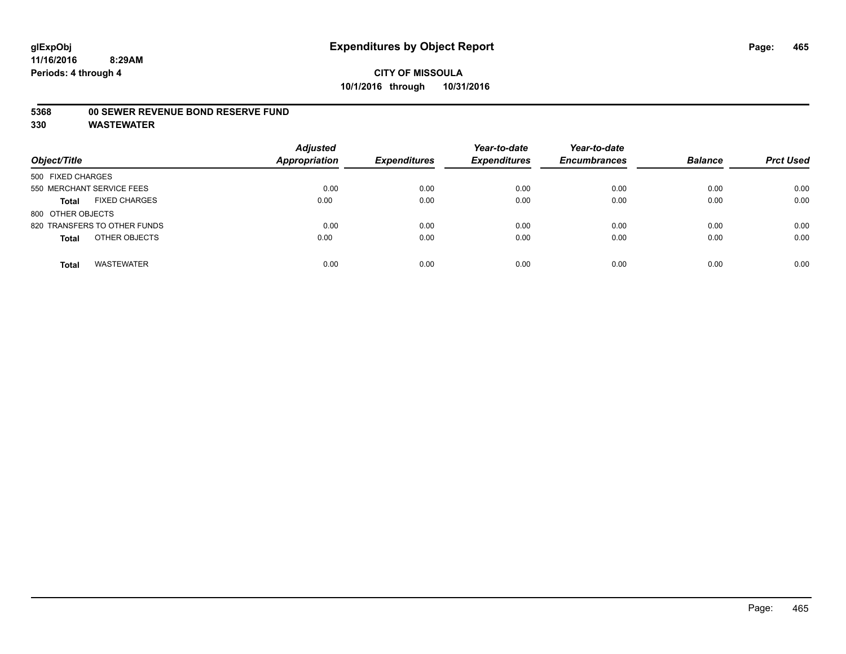#### **5368 00 SEWER REVENUE BOND RESERVE FUND**

| Object/Title                         | <b>Adjusted</b><br><b>Appropriation</b> | <b>Expenditures</b> | Year-to-date<br><b>Expenditures</b> | Year-to-date<br><b>Encumbrances</b> | <b>Balance</b> | <b>Prct Used</b> |
|--------------------------------------|-----------------------------------------|---------------------|-------------------------------------|-------------------------------------|----------------|------------------|
| 500 FIXED CHARGES                    |                                         |                     |                                     |                                     |                |                  |
| 550 MERCHANT SERVICE FEES            | 0.00                                    | 0.00                | 0.00                                | 0.00                                | 0.00           | 0.00             |
| <b>FIXED CHARGES</b><br><b>Total</b> | 0.00                                    | 0.00                | 0.00                                | 0.00                                | 0.00           | 0.00             |
| 800 OTHER OBJECTS                    |                                         |                     |                                     |                                     |                |                  |
| 820 TRANSFERS TO OTHER FUNDS         | 0.00                                    | 0.00                | 0.00                                | 0.00                                | 0.00           | 0.00             |
| OTHER OBJECTS<br><b>Total</b>        | 0.00                                    | 0.00                | 0.00                                | 0.00                                | 0.00           | 0.00             |
| <b>WASTEWATER</b><br><b>Total</b>    | 0.00                                    | 0.00                | 0.00                                | 0.00                                | 0.00           | 0.00             |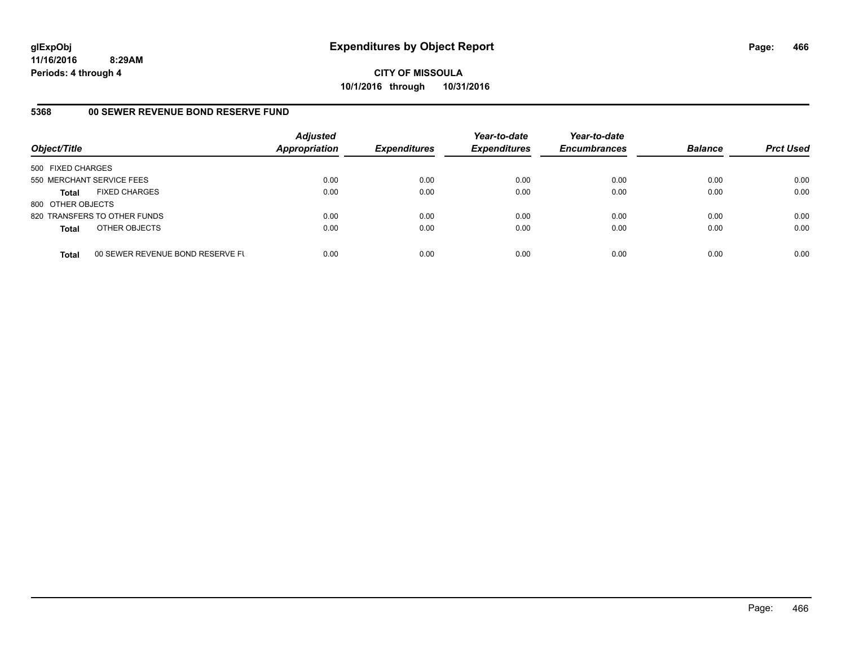**CITY OF MISSOULA 10/1/2016 through 10/31/2016**

### **5368 00 SEWER REVENUE BOND RESERVE FUND**

| Object/Title              |                                  | <b>Adjusted</b><br><b>Appropriation</b> | <b>Expenditures</b> | Year-to-date<br><b>Expenditures</b> | Year-to-date<br><b>Encumbrances</b> | <b>Balance</b> | <b>Prct Used</b> |
|---------------------------|----------------------------------|-----------------------------------------|---------------------|-------------------------------------|-------------------------------------|----------------|------------------|
| 500 FIXED CHARGES         |                                  |                                         |                     |                                     |                                     |                |                  |
| 550 MERCHANT SERVICE FEES |                                  | 0.00                                    | 0.00                | 0.00                                | 0.00                                | 0.00           | 0.00             |
| <b>Total</b>              | <b>FIXED CHARGES</b>             | 0.00                                    | 0.00                | 0.00                                | 0.00                                | 0.00           | 0.00             |
| 800 OTHER OBJECTS         |                                  |                                         |                     |                                     |                                     |                |                  |
|                           | 820 TRANSFERS TO OTHER FUNDS     | 0.00                                    | 0.00                | 0.00                                | 0.00                                | 0.00           | 0.00             |
| <b>Total</b>              | OTHER OBJECTS                    | 0.00                                    | 0.00                | 0.00                                | 0.00                                | 0.00           | 0.00             |
| <b>Total</b>              | 00 SEWER REVENUE BOND RESERVE FL | 0.00                                    | 0.00                | 0.00                                | 0.00                                | 0.00           | 0.00             |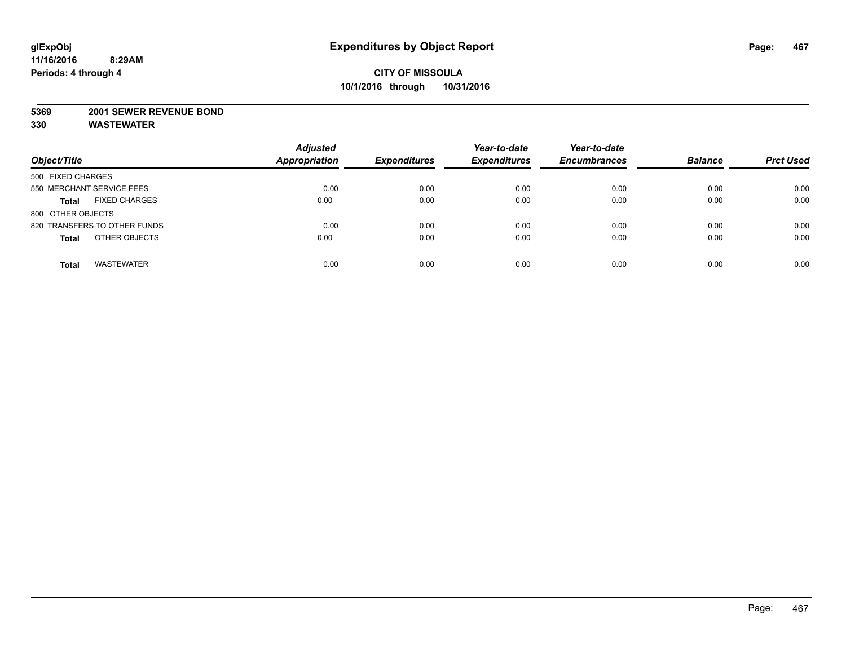#### **5369 2001 SEWER REVENUE BOND**

| Object/Title                         | <b>Adjusted</b><br><b>Appropriation</b> | <b>Expenditures</b> | Year-to-date<br><b>Expenditures</b> | Year-to-date<br><b>Encumbrances</b> | <b>Balance</b> | <b>Prct Used</b> |
|--------------------------------------|-----------------------------------------|---------------------|-------------------------------------|-------------------------------------|----------------|------------------|
| 500 FIXED CHARGES                    |                                         |                     |                                     |                                     |                |                  |
| 550 MERCHANT SERVICE FEES            | 0.00                                    | 0.00                | 0.00                                | 0.00                                | 0.00           | 0.00             |
| <b>FIXED CHARGES</b><br><b>Total</b> | 0.00                                    | 0.00                | 0.00                                | 0.00                                | 0.00           | 0.00             |
| 800 OTHER OBJECTS                    |                                         |                     |                                     |                                     |                |                  |
| 820 TRANSFERS TO OTHER FUNDS         | 0.00                                    | 0.00                | 0.00                                | 0.00                                | 0.00           | 0.00             |
| OTHER OBJECTS<br><b>Total</b>        | 0.00                                    | 0.00                | 0.00                                | 0.00                                | 0.00           | 0.00             |
| <b>WASTEWATER</b><br><b>Total</b>    | 0.00                                    | 0.00                | 0.00                                | 0.00                                | 0.00           | 0.00             |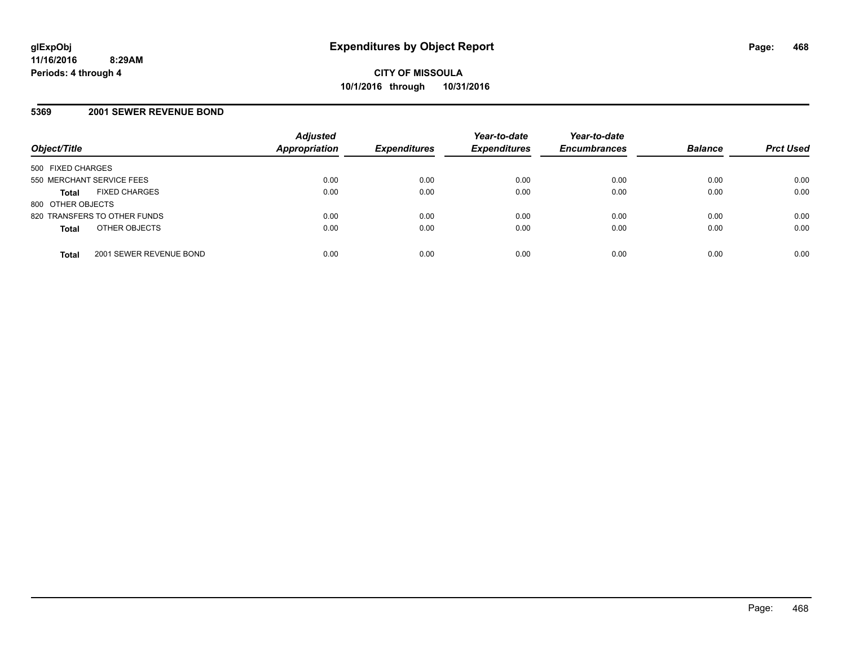### **5369 2001 SEWER REVENUE BOND**

| Object/Title                            | <b>Adjusted</b><br><b>Appropriation</b> | <b>Expenditures</b> | Year-to-date<br><b>Expenditures</b> | Year-to-date<br><b>Encumbrances</b> | <b>Balance</b> | <b>Prct Used</b> |
|-----------------------------------------|-----------------------------------------|---------------------|-------------------------------------|-------------------------------------|----------------|------------------|
| 500 FIXED CHARGES                       |                                         |                     |                                     |                                     |                |                  |
| 550 MERCHANT SERVICE FEES               | 0.00                                    | 0.00                | 0.00                                | 0.00                                | 0.00           | 0.00             |
| <b>FIXED CHARGES</b><br><b>Total</b>    | 0.00                                    | 0.00                | 0.00                                | 0.00                                | 0.00           | 0.00             |
| 800 OTHER OBJECTS                       |                                         |                     |                                     |                                     |                |                  |
| 820 TRANSFERS TO OTHER FUNDS            | 0.00                                    | 0.00                | 0.00                                | 0.00                                | 0.00           | 0.00             |
| OTHER OBJECTS<br><b>Total</b>           | 0.00                                    | 0.00                | 0.00                                | 0.00                                | 0.00           | 0.00             |
| 2001 SEWER REVENUE BOND<br><b>Total</b> | 0.00                                    | 0.00                | 0.00                                | 0.00                                | 0.00           | 0.00             |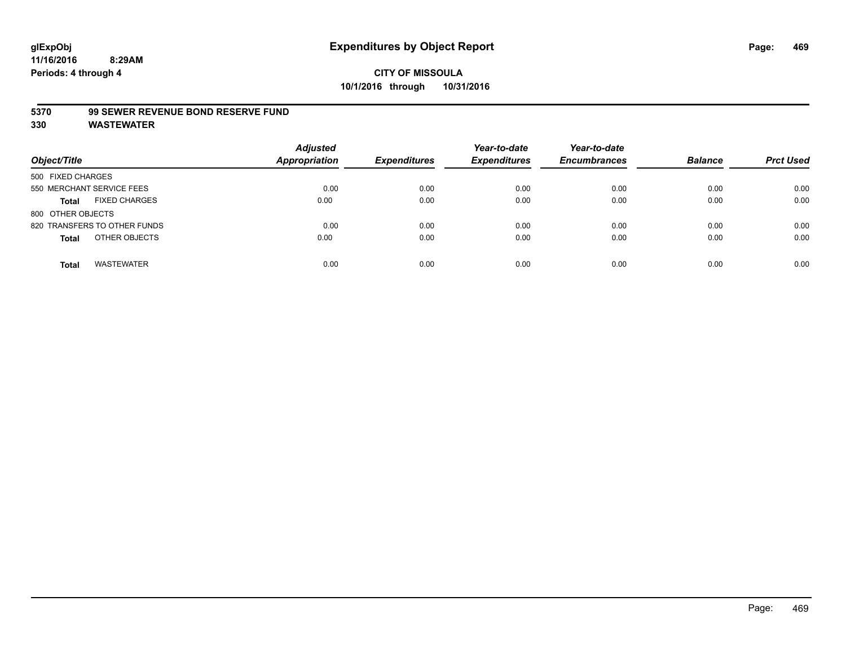#### **5370 99 SEWER REVENUE BOND RESERVE FUND**

| Object/Title                         | <b>Adjusted</b><br><b>Appropriation</b> | <b>Expenditures</b> | Year-to-date<br><b>Expenditures</b> | Year-to-date<br><b>Encumbrances</b> | <b>Balance</b> | <b>Prct Used</b> |
|--------------------------------------|-----------------------------------------|---------------------|-------------------------------------|-------------------------------------|----------------|------------------|
| 500 FIXED CHARGES                    |                                         |                     |                                     |                                     |                |                  |
| 550 MERCHANT SERVICE FEES            | 0.00                                    | 0.00                | 0.00                                | 0.00                                | 0.00           | 0.00             |
| <b>FIXED CHARGES</b><br><b>Total</b> | 0.00                                    | 0.00                | 0.00                                | 0.00                                | 0.00           | 0.00             |
| 800 OTHER OBJECTS                    |                                         |                     |                                     |                                     |                |                  |
| 820 TRANSFERS TO OTHER FUNDS         | 0.00                                    | 0.00                | 0.00                                | 0.00                                | 0.00           | 0.00             |
| OTHER OBJECTS<br><b>Total</b>        | 0.00                                    | 0.00                | 0.00                                | 0.00                                | 0.00           | 0.00             |
| <b>WASTEWATER</b><br><b>Total</b>    | 0.00                                    | 0.00                | 0.00                                | 0.00                                | 0.00           | 0.00             |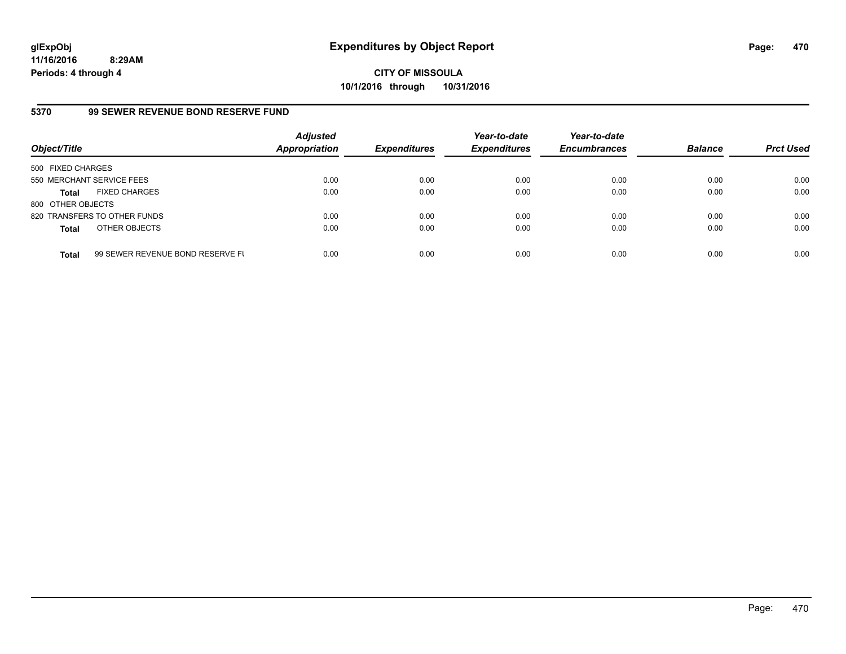**CITY OF MISSOULA 10/1/2016 through 10/31/2016**

#### **5370 99 SEWER REVENUE BOND RESERVE FUND**

| Object/Title              |                                  | <b>Adjusted</b><br>Appropriation | <b>Expenditures</b> | Year-to-date<br><b>Expenditures</b> | Year-to-date<br><b>Encumbrances</b> | <b>Balance</b> | <b>Prct Used</b> |
|---------------------------|----------------------------------|----------------------------------|---------------------|-------------------------------------|-------------------------------------|----------------|------------------|
| 500 FIXED CHARGES         |                                  |                                  |                     |                                     |                                     |                |                  |
| 550 MERCHANT SERVICE FEES |                                  | 0.00                             | 0.00                | 0.00                                | 0.00                                | 0.00           | 0.00             |
| <b>Total</b>              | <b>FIXED CHARGES</b>             | 0.00                             | 0.00                | 0.00                                | 0.00                                | 0.00           | 0.00             |
| 800 OTHER OBJECTS         |                                  |                                  |                     |                                     |                                     |                |                  |
|                           | 820 TRANSFERS TO OTHER FUNDS     | 0.00                             | 0.00                | 0.00                                | 0.00                                | 0.00           | 0.00             |
| <b>Total</b>              | OTHER OBJECTS                    | 0.00                             | 0.00                | 0.00                                | 0.00                                | 0.00           | 0.00             |
| <b>Total</b>              | 99 SEWER REVENUE BOND RESERVE FL | 0.00                             | 0.00                | 0.00                                | 0.00                                | 0.00           | 0.00             |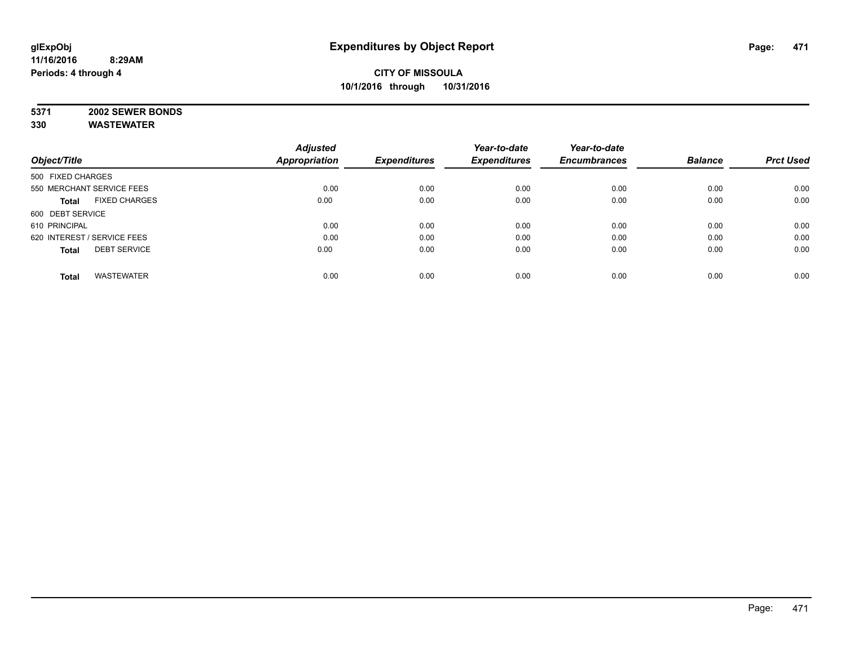# **5371 2002 SEWER BONDS**

|                                      | <b>Adjusted</b>      |                     | Year-to-date        | Year-to-date        |                |                  |
|--------------------------------------|----------------------|---------------------|---------------------|---------------------|----------------|------------------|
| Object/Title                         | <b>Appropriation</b> | <b>Expenditures</b> | <b>Expenditures</b> | <b>Encumbrances</b> | <b>Balance</b> | <b>Prct Used</b> |
| 500 FIXED CHARGES                    |                      |                     |                     |                     |                |                  |
| 550 MERCHANT SERVICE FEES            | 0.00                 | 0.00                | 0.00                | 0.00                | 0.00           | 0.00             |
| <b>FIXED CHARGES</b><br><b>Total</b> | 0.00                 | 0.00                | 0.00                | 0.00                | 0.00           | 0.00             |
| 600 DEBT SERVICE                     |                      |                     |                     |                     |                |                  |
| 610 PRINCIPAL                        | 0.00                 | 0.00                | 0.00                | 0.00                | 0.00           | 0.00             |
| 620 INTEREST / SERVICE FEES          | 0.00                 | 0.00                | 0.00                | 0.00                | 0.00           | 0.00             |
| <b>DEBT SERVICE</b><br><b>Total</b>  | 0.00                 | 0.00                | 0.00                | 0.00                | 0.00           | 0.00             |
| <b>WASTEWATER</b><br><b>Total</b>    | 0.00                 | 0.00                | 0.00                | 0.00                | 0.00           | 0.00             |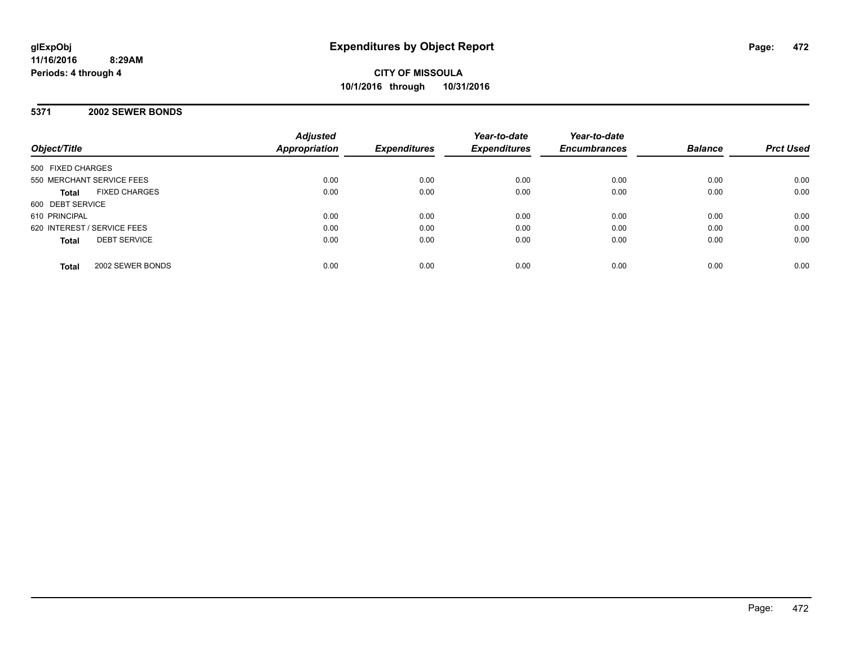**CITY OF MISSOULA 10/1/2016 through 10/31/2016**

**5371 2002 SEWER BONDS**

| Object/Title                         | <b>Adjusted</b><br>Appropriation | <b>Expenditures</b> | Year-to-date<br><b>Expenditures</b> | Year-to-date<br><b>Encumbrances</b> | <b>Balance</b> | <b>Prct Used</b> |
|--------------------------------------|----------------------------------|---------------------|-------------------------------------|-------------------------------------|----------------|------------------|
| 500 FIXED CHARGES                    |                                  |                     |                                     |                                     |                |                  |
| 550 MERCHANT SERVICE FEES            | 0.00                             | 0.00                | 0.00                                | 0.00                                | 0.00           | 0.00             |
| <b>FIXED CHARGES</b><br><b>Total</b> | 0.00                             | 0.00                | 0.00                                | 0.00                                | 0.00           | 0.00             |
| 600 DEBT SERVICE                     |                                  |                     |                                     |                                     |                |                  |
| 610 PRINCIPAL                        | 0.00                             | 0.00                | 0.00                                | 0.00                                | 0.00           | 0.00             |
| 620 INTEREST / SERVICE FEES          | 0.00                             | 0.00                | 0.00                                | 0.00                                | 0.00           | 0.00             |
| <b>DEBT SERVICE</b><br><b>Total</b>  | 0.00                             | 0.00                | 0.00                                | 0.00                                | 0.00           | 0.00             |
| 2002 SEWER BONDS<br><b>Total</b>     | 0.00                             | 0.00                | 0.00                                | 0.00                                | 0.00           | 0.00             |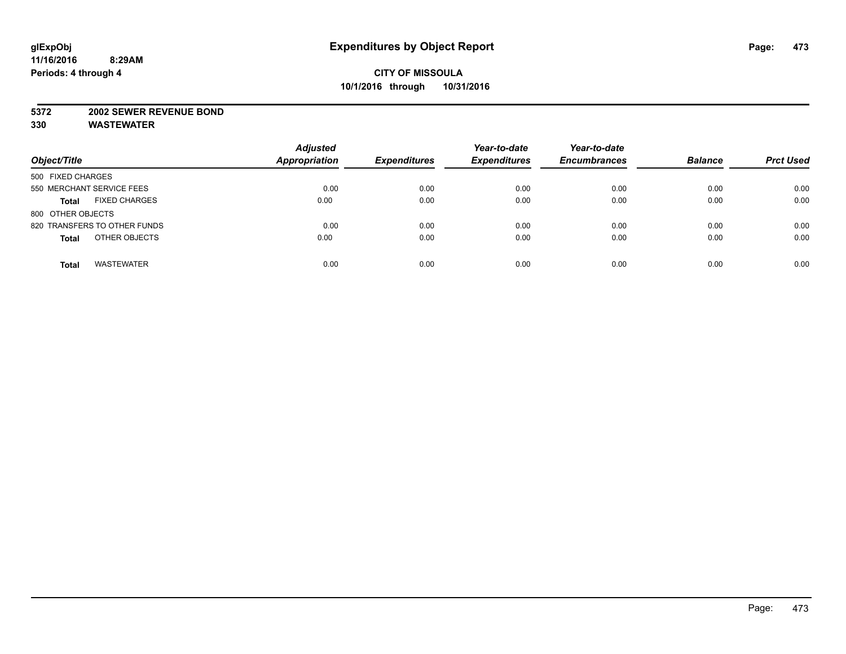#### **5372 2002 SEWER REVENUE BOND**

| Object/Title                         | <b>Adjusted</b><br><b>Appropriation</b> | <b>Expenditures</b> | Year-to-date<br><b>Expenditures</b> | Year-to-date<br><b>Encumbrances</b> | <b>Balance</b> | <b>Prct Used</b> |
|--------------------------------------|-----------------------------------------|---------------------|-------------------------------------|-------------------------------------|----------------|------------------|
| 500 FIXED CHARGES                    |                                         |                     |                                     |                                     |                |                  |
| 550 MERCHANT SERVICE FEES            | 0.00                                    | 0.00                | 0.00                                | 0.00                                | 0.00           | 0.00             |
| <b>FIXED CHARGES</b><br><b>Total</b> | 0.00                                    | 0.00                | 0.00                                | 0.00                                | 0.00           | 0.00             |
| 800 OTHER OBJECTS                    |                                         |                     |                                     |                                     |                |                  |
| 820 TRANSFERS TO OTHER FUNDS         | 0.00                                    | 0.00                | 0.00                                | 0.00                                | 0.00           | 0.00             |
| OTHER OBJECTS<br><b>Total</b>        | 0.00                                    | 0.00                | 0.00                                | 0.00                                | 0.00           | 0.00             |
| <b>WASTEWATER</b><br><b>Total</b>    | 0.00                                    | 0.00                | 0.00                                | 0.00                                | 0.00           | 0.00             |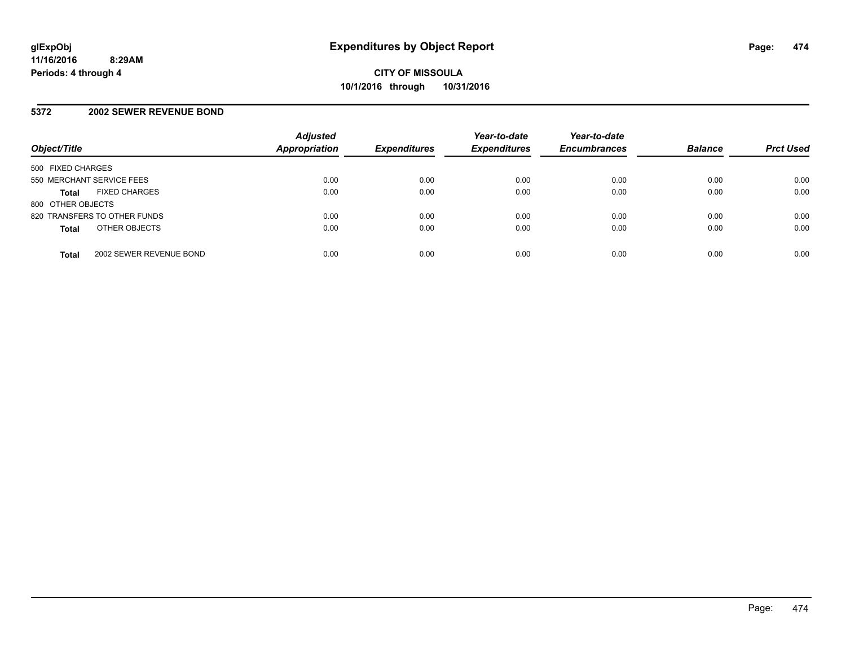### **5372 2002 SEWER REVENUE BOND**

| Object/Title                            | <b>Adjusted</b><br><b>Appropriation</b> | <b>Expenditures</b> | Year-to-date<br><b>Expenditures</b> | Year-to-date<br><b>Encumbrances</b> | <b>Balance</b> | <b>Prct Used</b> |
|-----------------------------------------|-----------------------------------------|---------------------|-------------------------------------|-------------------------------------|----------------|------------------|
| 500 FIXED CHARGES                       |                                         |                     |                                     |                                     |                |                  |
| 550 MERCHANT SERVICE FEES               | 0.00                                    | 0.00                | 0.00                                | 0.00                                | 0.00           | 0.00             |
| <b>FIXED CHARGES</b><br><b>Total</b>    | 0.00                                    | 0.00                | 0.00                                | 0.00                                | 0.00           | 0.00             |
| 800 OTHER OBJECTS                       |                                         |                     |                                     |                                     |                |                  |
| 820 TRANSFERS TO OTHER FUNDS            | 0.00                                    | 0.00                | 0.00                                | 0.00                                | 0.00           | 0.00             |
| OTHER OBJECTS<br><b>Total</b>           | 0.00                                    | 0.00                | 0.00                                | 0.00                                | 0.00           | 0.00             |
| 2002 SEWER REVENUE BOND<br><b>Total</b> | 0.00                                    | 0.00                | 0.00                                | 0.00                                | 0.00           | 0.00             |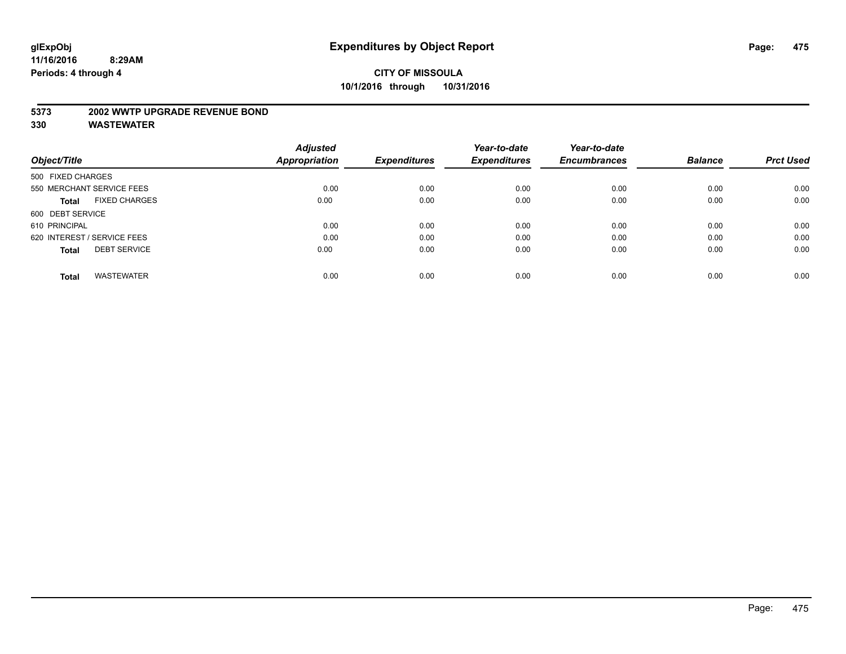#### **5373 2002 WWTP UPGRADE REVENUE BOND**

|                                      | <b>Adjusted</b> |                     | Year-to-date        | Year-to-date        |                |                  |
|--------------------------------------|-----------------|---------------------|---------------------|---------------------|----------------|------------------|
| Object/Title                         | Appropriation   | <b>Expenditures</b> | <b>Expenditures</b> | <b>Encumbrances</b> | <b>Balance</b> | <b>Prct Used</b> |
| 500 FIXED CHARGES                    |                 |                     |                     |                     |                |                  |
| 550 MERCHANT SERVICE FEES            | 0.00            | 0.00                | 0.00                | 0.00                | 0.00           | 0.00             |
| <b>FIXED CHARGES</b><br><b>Total</b> | 0.00            | 0.00                | 0.00                | 0.00                | 0.00           | 0.00             |
| 600 DEBT SERVICE                     |                 |                     |                     |                     |                |                  |
| 610 PRINCIPAL                        | 0.00            | 0.00                | 0.00                | 0.00                | 0.00           | 0.00             |
| 620 INTEREST / SERVICE FEES          | 0.00            | 0.00                | 0.00                | 0.00                | 0.00           | 0.00             |
| <b>DEBT SERVICE</b><br><b>Total</b>  | 0.00            | 0.00                | 0.00                | 0.00                | 0.00           | 0.00             |
| <b>WASTEWATER</b><br><b>Total</b>    | 0.00            | 0.00                | 0.00                | 0.00                | 0.00           | 0.00             |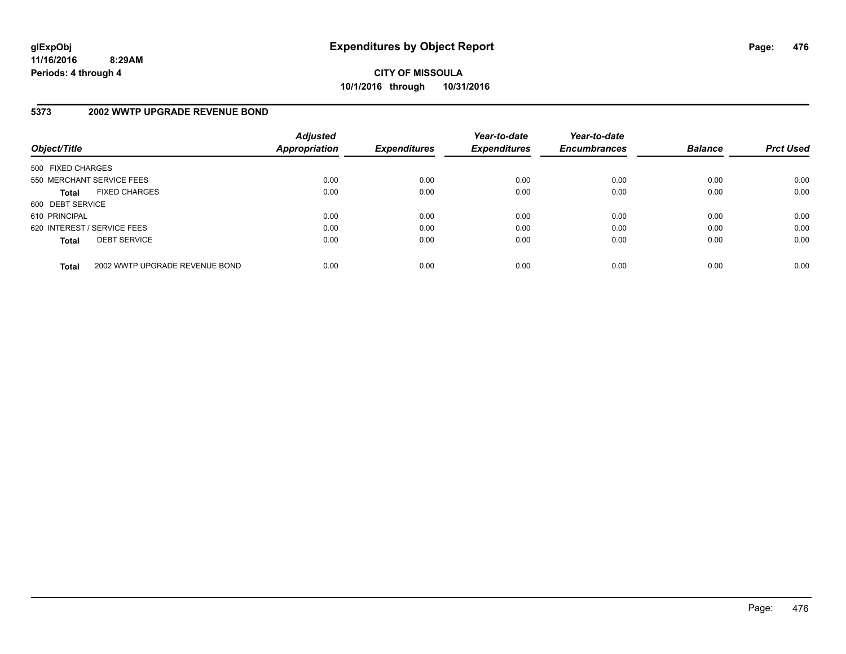**CITY OF MISSOULA 10/1/2016 through 10/31/2016**

### **5373 2002 WWTP UPGRADE REVENUE BOND**

| Object/Title      |                                | <b>Adjusted</b><br>Appropriation | <b>Expenditures</b> | Year-to-date<br><b>Expenditures</b> | Year-to-date<br><b>Encumbrances</b> | <b>Balance</b> | <b>Prct Used</b> |
|-------------------|--------------------------------|----------------------------------|---------------------|-------------------------------------|-------------------------------------|----------------|------------------|
| 500 FIXED CHARGES |                                |                                  |                     |                                     |                                     |                |                  |
|                   | 550 MERCHANT SERVICE FEES      | 0.00                             | 0.00                | 0.00                                | 0.00                                | 0.00           | 0.00             |
| <b>Total</b>      | <b>FIXED CHARGES</b>           | 0.00                             | 0.00                | 0.00                                | 0.00                                | 0.00           | 0.00             |
| 600 DEBT SERVICE  |                                |                                  |                     |                                     |                                     |                |                  |
| 610 PRINCIPAL     |                                | 0.00                             | 0.00                | 0.00                                | 0.00                                | 0.00           | 0.00             |
|                   | 620 INTEREST / SERVICE FEES    | 0.00                             | 0.00                | 0.00                                | 0.00                                | 0.00           | 0.00             |
| <b>Total</b>      | <b>DEBT SERVICE</b>            | 0.00                             | 0.00                | 0.00                                | 0.00                                | 0.00           | 0.00             |
| <b>Total</b>      | 2002 WWTP UPGRADE REVENUE BOND | 0.00                             | 0.00                | 0.00                                | 0.00                                | 0.00           | 0.00             |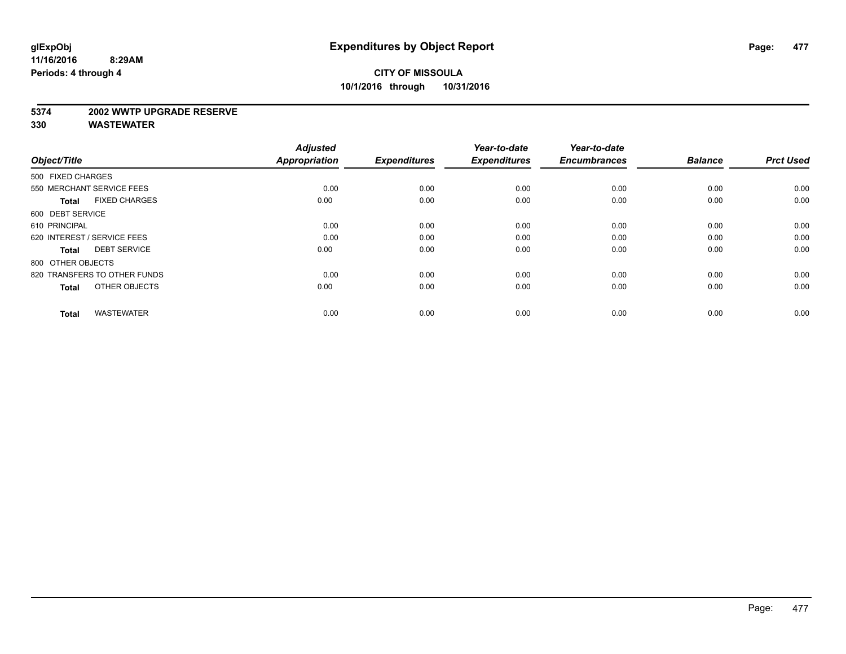#### **5374 2002 WWTP UPGRADE RESERVE**

| Object/Title                         | <b>Adjusted</b><br><b>Appropriation</b> | <b>Expenditures</b> | Year-to-date<br><b>Expenditures</b> | Year-to-date<br><b>Encumbrances</b> | <b>Balance</b> | <b>Prct Used</b> |
|--------------------------------------|-----------------------------------------|---------------------|-------------------------------------|-------------------------------------|----------------|------------------|
| 500 FIXED CHARGES                    |                                         |                     |                                     |                                     |                |                  |
| 550 MERCHANT SERVICE FEES            | 0.00                                    | 0.00                | 0.00                                | 0.00                                | 0.00           | 0.00             |
| <b>FIXED CHARGES</b><br><b>Total</b> | 0.00                                    | 0.00                | 0.00                                | 0.00                                | 0.00           | 0.00             |
| 600 DEBT SERVICE                     |                                         |                     |                                     |                                     |                |                  |
| 610 PRINCIPAL                        | 0.00                                    | 0.00                | 0.00                                | 0.00                                | 0.00           | 0.00             |
| 620 INTEREST / SERVICE FEES          | 0.00                                    | 0.00                | 0.00                                | 0.00                                | 0.00           | 0.00             |
| <b>DEBT SERVICE</b><br><b>Total</b>  | 0.00                                    | 0.00                | 0.00                                | 0.00                                | 0.00           | 0.00             |
| 800 OTHER OBJECTS                    |                                         |                     |                                     |                                     |                |                  |
| 820 TRANSFERS TO OTHER FUNDS         | 0.00                                    | 0.00                | 0.00                                | 0.00                                | 0.00           | 0.00             |
| OTHER OBJECTS<br><b>Total</b>        | 0.00                                    | 0.00                | 0.00                                | 0.00                                | 0.00           | 0.00             |
|                                      |                                         |                     |                                     |                                     |                |                  |
| <b>WASTEWATER</b><br><b>Total</b>    | 0.00                                    | 0.00                | 0.00                                | 0.00                                | 0.00           | 0.00             |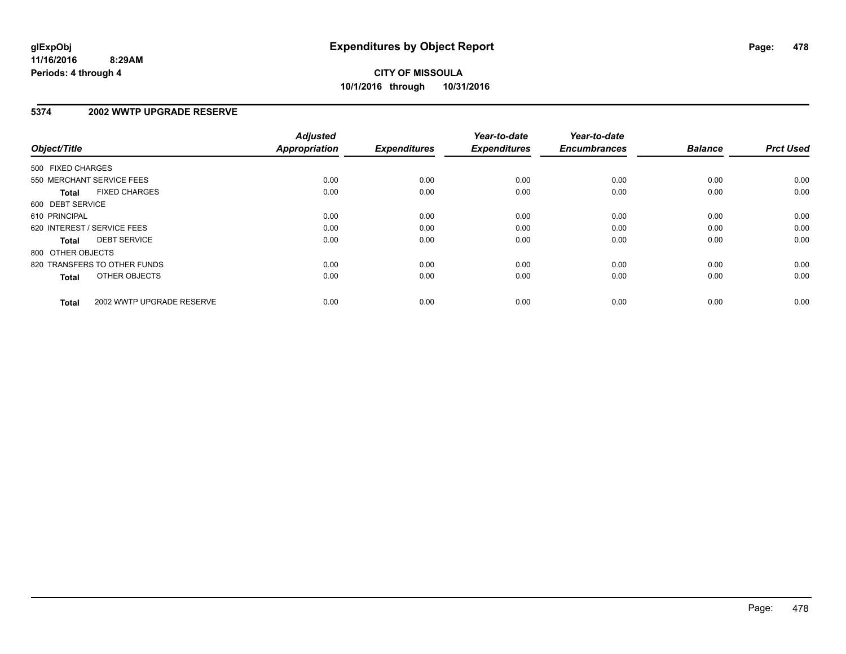#### **5374 2002 WWTP UPGRADE RESERVE**

| Object/Title      |                              | <b>Adjusted</b><br>Appropriation | <b>Expenditures</b> | Year-to-date<br><b>Expenditures</b> | Year-to-date<br><b>Encumbrances</b> | <b>Balance</b> | <b>Prct Used</b> |
|-------------------|------------------------------|----------------------------------|---------------------|-------------------------------------|-------------------------------------|----------------|------------------|
| 500 FIXED CHARGES |                              |                                  |                     |                                     |                                     |                |                  |
|                   | 550 MERCHANT SERVICE FEES    | 0.00                             | 0.00                | 0.00                                | 0.00                                | 0.00           | 0.00             |
| <b>Total</b>      | <b>FIXED CHARGES</b>         | 0.00                             | 0.00                | 0.00                                | 0.00                                | 0.00           | 0.00             |
| 600 DEBT SERVICE  |                              |                                  |                     |                                     |                                     |                |                  |
| 610 PRINCIPAL     |                              | 0.00                             | 0.00                | 0.00                                | 0.00                                | 0.00           | 0.00             |
|                   | 620 INTEREST / SERVICE FEES  | 0.00                             | 0.00                | 0.00                                | 0.00                                | 0.00           | 0.00             |
| Total             | <b>DEBT SERVICE</b>          | 0.00                             | 0.00                | 0.00                                | 0.00                                | 0.00           | 0.00             |
| 800 OTHER OBJECTS |                              |                                  |                     |                                     |                                     |                |                  |
|                   | 820 TRANSFERS TO OTHER FUNDS | 0.00                             | 0.00                | 0.00                                | 0.00                                | 0.00           | 0.00             |
| <b>Total</b>      | OTHER OBJECTS                | 0.00                             | 0.00                | 0.00                                | 0.00                                | 0.00           | 0.00             |
| <b>Total</b>      | 2002 WWTP UPGRADE RESERVE    | 0.00                             | 0.00                | 0.00                                | 0.00                                | 0.00           | 0.00             |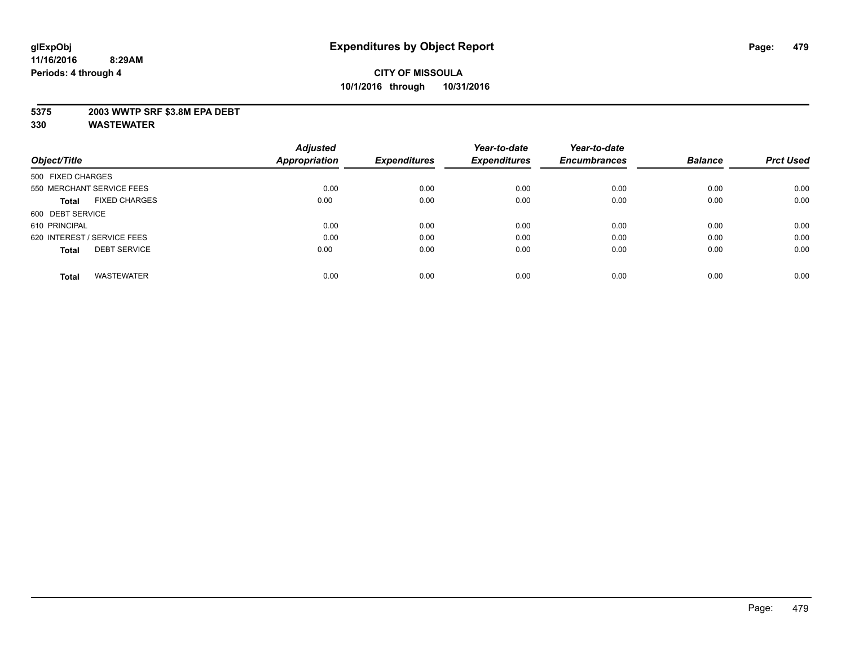#### **5375 2003 WWTP SRF \$3.8M EPA DEBT**

|                                      | <b>Adjusted</b> |                     | Year-to-date        | Year-to-date        |                |                  |
|--------------------------------------|-----------------|---------------------|---------------------|---------------------|----------------|------------------|
| Object/Title                         | Appropriation   | <b>Expenditures</b> | <b>Expenditures</b> | <b>Encumbrances</b> | <b>Balance</b> | <b>Prct Used</b> |
| 500 FIXED CHARGES                    |                 |                     |                     |                     |                |                  |
| 550 MERCHANT SERVICE FEES            | 0.00            | 0.00                | 0.00                | 0.00                | 0.00           | 0.00             |
| <b>FIXED CHARGES</b><br><b>Total</b> | 0.00            | 0.00                | 0.00                | 0.00                | 0.00           | 0.00             |
| 600 DEBT SERVICE                     |                 |                     |                     |                     |                |                  |
| 610 PRINCIPAL                        | 0.00            | 0.00                | 0.00                | 0.00                | 0.00           | 0.00             |
| 620 INTEREST / SERVICE FEES          | 0.00            | 0.00                | 0.00                | 0.00                | 0.00           | 0.00             |
| <b>DEBT SERVICE</b><br><b>Total</b>  | 0.00            | 0.00                | 0.00                | 0.00                | 0.00           | 0.00             |
| <b>WASTEWATER</b><br><b>Total</b>    | 0.00            | 0.00                | 0.00                | 0.00                | 0.00           | 0.00             |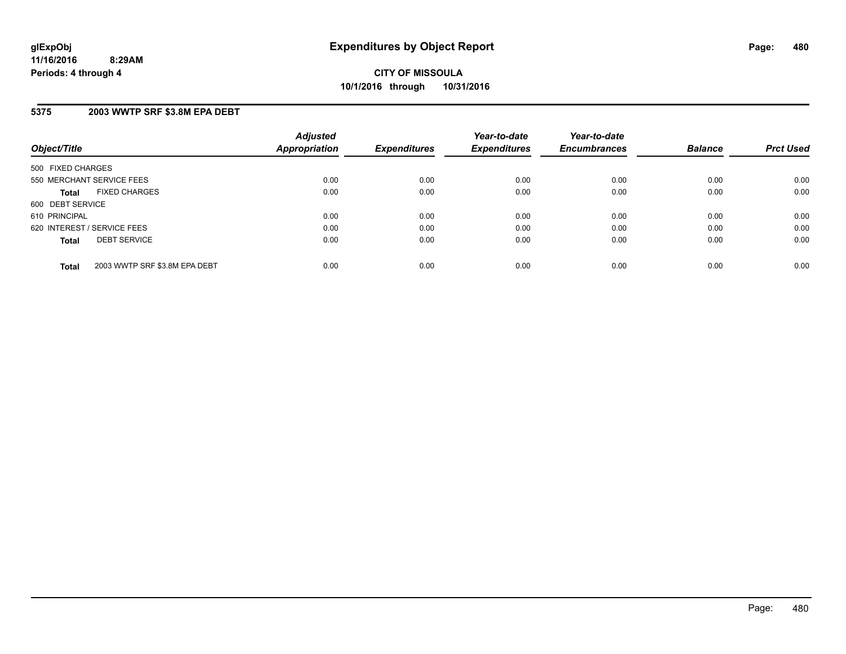#### **5375 2003 WWTP SRF \$3.8M EPA DEBT**

| Object/Title                                  | <b>Adjusted</b><br><b>Appropriation</b> | <b>Expenditures</b> | Year-to-date<br><b>Expenditures</b> | Year-to-date<br><b>Encumbrances</b> | <b>Balance</b> | <b>Prct Used</b> |
|-----------------------------------------------|-----------------------------------------|---------------------|-------------------------------------|-------------------------------------|----------------|------------------|
| 500 FIXED CHARGES                             |                                         |                     |                                     |                                     |                |                  |
| 550 MERCHANT SERVICE FEES                     | 0.00                                    | 0.00                | 0.00                                | 0.00                                | 0.00           | 0.00             |
| <b>FIXED CHARGES</b><br><b>Total</b>          | 0.00                                    | 0.00                | 0.00                                | 0.00                                | 0.00           | 0.00             |
| 600 DEBT SERVICE                              |                                         |                     |                                     |                                     |                |                  |
| 610 PRINCIPAL                                 | 0.00                                    | 0.00                | 0.00                                | 0.00                                | 0.00           | 0.00             |
| 620 INTEREST / SERVICE FEES                   | 0.00                                    | 0.00                | 0.00                                | 0.00                                | 0.00           | 0.00             |
| <b>DEBT SERVICE</b><br><b>Total</b>           | 0.00                                    | 0.00                | 0.00                                | 0.00                                | 0.00           | 0.00             |
| 2003 WWTP SRF \$3.8M EPA DEBT<br><b>Total</b> | 0.00                                    | 0.00                | 0.00                                | 0.00                                | 0.00           | 0.00             |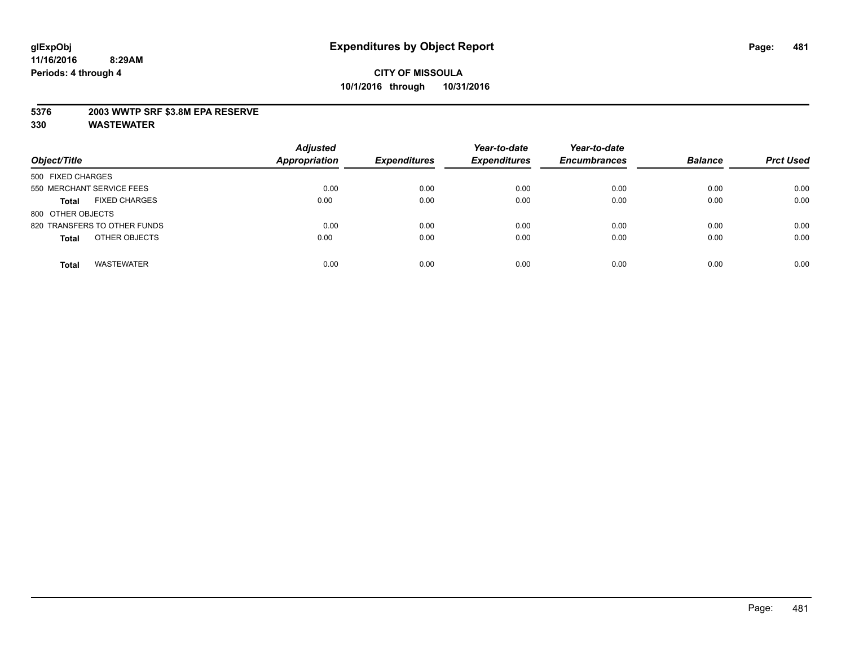#### **5376 2003 WWTP SRF \$3.8M EPA RESERVE**

| Object/Title                         | <b>Adjusted</b><br><b>Appropriation</b> | <b>Expenditures</b> | Year-to-date<br><b>Expenditures</b> | Year-to-date<br><b>Encumbrances</b> | <b>Balance</b> | <b>Prct Used</b> |
|--------------------------------------|-----------------------------------------|---------------------|-------------------------------------|-------------------------------------|----------------|------------------|
|                                      |                                         |                     |                                     |                                     |                |                  |
| 500 FIXED CHARGES                    |                                         |                     |                                     |                                     |                |                  |
| 550 MERCHANT SERVICE FEES            | 0.00                                    | 0.00                | 0.00                                | 0.00                                | 0.00           | 0.00             |
| <b>FIXED CHARGES</b><br><b>Total</b> | 0.00                                    | 0.00                | 0.00                                | 0.00                                | 0.00           | 0.00             |
| 800 OTHER OBJECTS                    |                                         |                     |                                     |                                     |                |                  |
| 820 TRANSFERS TO OTHER FUNDS         | 0.00                                    | 0.00                | 0.00                                | 0.00                                | 0.00           | 0.00             |
| OTHER OBJECTS<br><b>Total</b>        | 0.00                                    | 0.00                | 0.00                                | 0.00                                | 0.00           | 0.00             |
| <b>WASTEWATER</b><br><b>Total</b>    | 0.00                                    | 0.00                | 0.00                                | 0.00                                | 0.00           | 0.00             |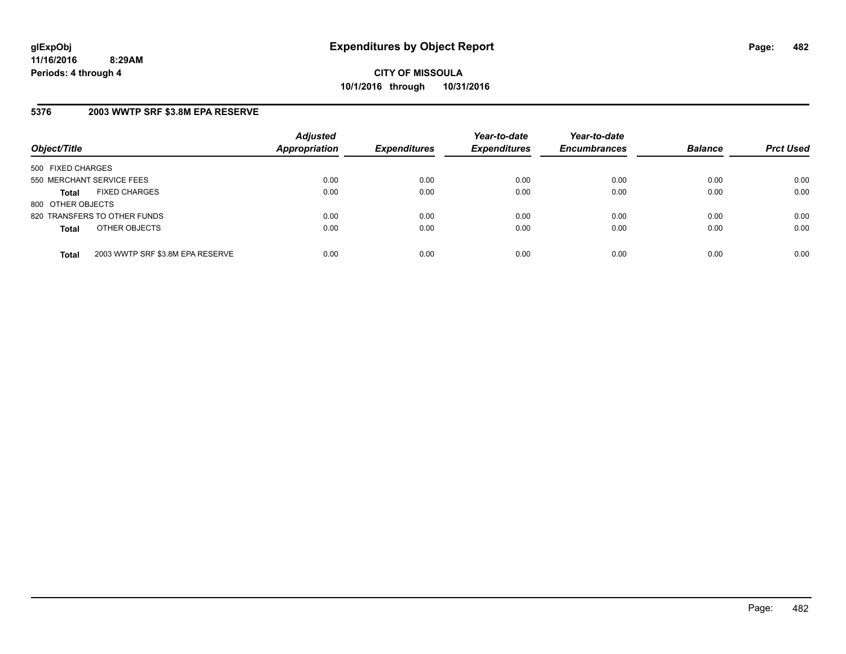**CITY OF MISSOULA 10/1/2016 through 10/31/2016**

### **5376 2003 WWTP SRF \$3.8M EPA RESERVE**

| Object/Title              |                                  | <b>Adjusted</b><br><b>Appropriation</b> | <b>Expenditures</b> | Year-to-date<br><b>Expenditures</b> | Year-to-date<br><b>Encumbrances</b> | <b>Balance</b> | <b>Prct Used</b> |
|---------------------------|----------------------------------|-----------------------------------------|---------------------|-------------------------------------|-------------------------------------|----------------|------------------|
| 500 FIXED CHARGES         |                                  |                                         |                     |                                     |                                     |                |                  |
| 550 MERCHANT SERVICE FEES |                                  | 0.00                                    | 0.00                | 0.00                                | 0.00                                | 0.00           | 0.00             |
| <b>Total</b>              | <b>FIXED CHARGES</b>             | 0.00                                    | 0.00                | 0.00                                | 0.00                                | 0.00           | 0.00             |
| 800 OTHER OBJECTS         |                                  |                                         |                     |                                     |                                     |                |                  |
|                           | 820 TRANSFERS TO OTHER FUNDS     | 0.00                                    | 0.00                | 0.00                                | 0.00                                | 0.00           | 0.00             |
| <b>Total</b>              | OTHER OBJECTS                    | 0.00                                    | 0.00                | 0.00                                | 0.00                                | 0.00           | 0.00             |
| <b>Total</b>              | 2003 WWTP SRF \$3.8M EPA RESERVE | 0.00                                    | 0.00                | 0.00                                | 0.00                                | 0.00           | 0.00             |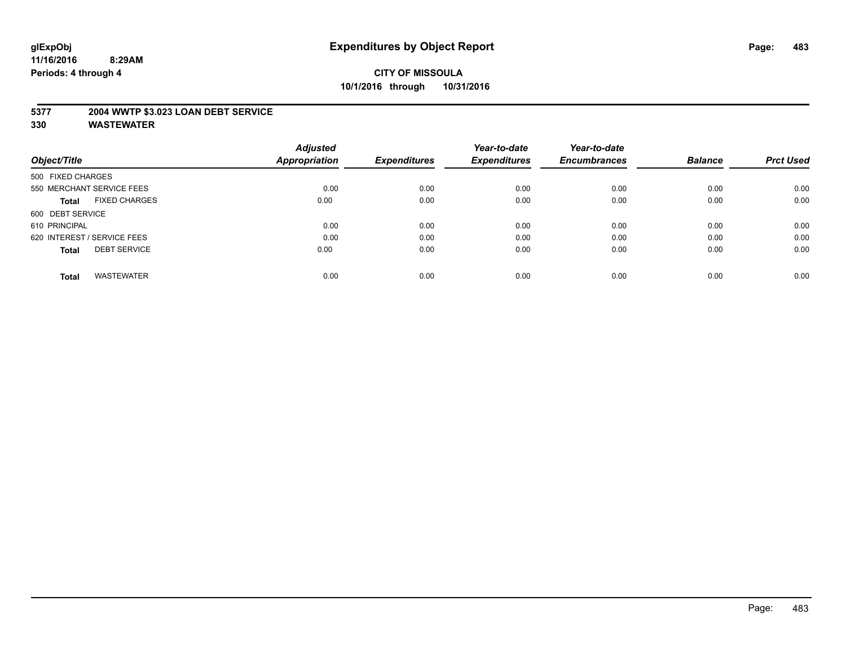#### **5377 2004 WWTP \$3.023 LOAN DEBT SERVICE**

|                                      | <b>Adjusted</b> |                     | Year-to-date        | Year-to-date        |                |                  |
|--------------------------------------|-----------------|---------------------|---------------------|---------------------|----------------|------------------|
| Object/Title                         | Appropriation   | <b>Expenditures</b> | <b>Expenditures</b> | <b>Encumbrances</b> | <b>Balance</b> | <b>Prct Used</b> |
| 500 FIXED CHARGES                    |                 |                     |                     |                     |                |                  |
| 550 MERCHANT SERVICE FEES            | 0.00            | 0.00                | 0.00                | 0.00                | 0.00           | 0.00             |
| <b>FIXED CHARGES</b><br><b>Total</b> | 0.00            | 0.00                | 0.00                | 0.00                | 0.00           | 0.00             |
| 600 DEBT SERVICE                     |                 |                     |                     |                     |                |                  |
| 610 PRINCIPAL                        | 0.00            | 0.00                | 0.00                | 0.00                | 0.00           | 0.00             |
| 620 INTEREST / SERVICE FEES          | 0.00            | 0.00                | 0.00                | 0.00                | 0.00           | 0.00             |
| <b>DEBT SERVICE</b><br><b>Total</b>  | 0.00            | 0.00                | 0.00                | 0.00                | 0.00           | 0.00             |
| <b>WASTEWATER</b><br><b>Total</b>    | 0.00            | 0.00                | 0.00                | 0.00                | 0.00           | 0.00             |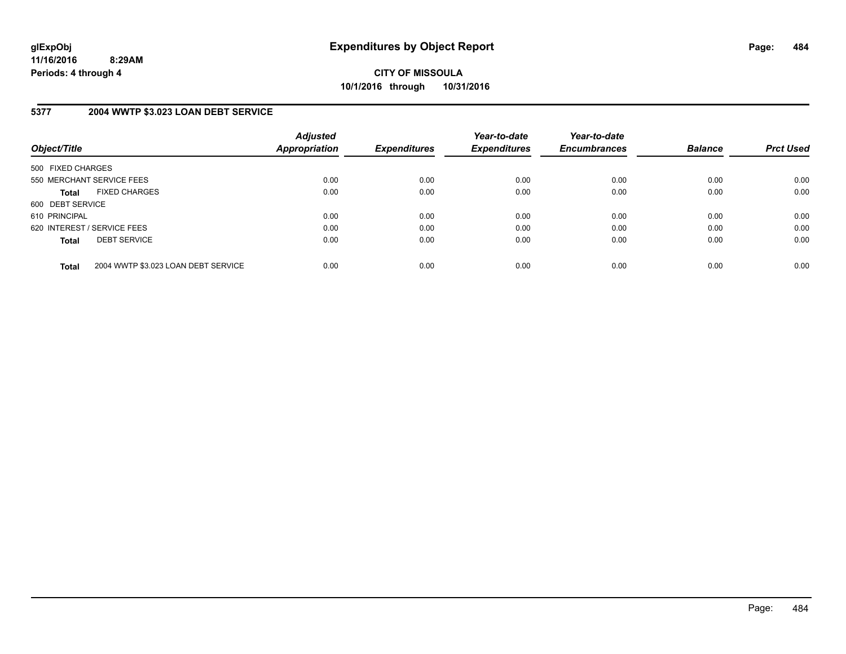**CITY OF MISSOULA 10/1/2016 through 10/31/2016**

#### **5377 2004 WWTP \$3.023 LOAN DEBT SERVICE**

| Object/Title      |                                     | <b>Adjusted</b><br><b>Appropriation</b> | <b>Expenditures</b> | Year-to-date<br><b>Expenditures</b> | Year-to-date<br><b>Encumbrances</b> | <b>Balance</b> | <b>Prct Used</b> |
|-------------------|-------------------------------------|-----------------------------------------|---------------------|-------------------------------------|-------------------------------------|----------------|------------------|
| 500 FIXED CHARGES |                                     |                                         |                     |                                     |                                     |                |                  |
|                   | 550 MERCHANT SERVICE FEES           | 0.00                                    | 0.00                | 0.00                                | 0.00                                | 0.00           | 0.00             |
| <b>Total</b>      | <b>FIXED CHARGES</b>                | 0.00                                    | 0.00                | 0.00                                | 0.00                                | 0.00           | 0.00             |
| 600 DEBT SERVICE  |                                     |                                         |                     |                                     |                                     |                |                  |
| 610 PRINCIPAL     |                                     | 0.00                                    | 0.00                | 0.00                                | 0.00                                | 0.00           | 0.00             |
|                   | 620 INTEREST / SERVICE FEES         | 0.00                                    | 0.00                | 0.00                                | 0.00                                | 0.00           | 0.00             |
| <b>Total</b>      | <b>DEBT SERVICE</b>                 | 0.00                                    | 0.00                | 0.00                                | 0.00                                | 0.00           | 0.00             |
| <b>Total</b>      | 2004 WWTP \$3.023 LOAN DEBT SERVICE | 0.00                                    | 0.00                | 0.00                                | 0.00                                | 0.00           | 0.00             |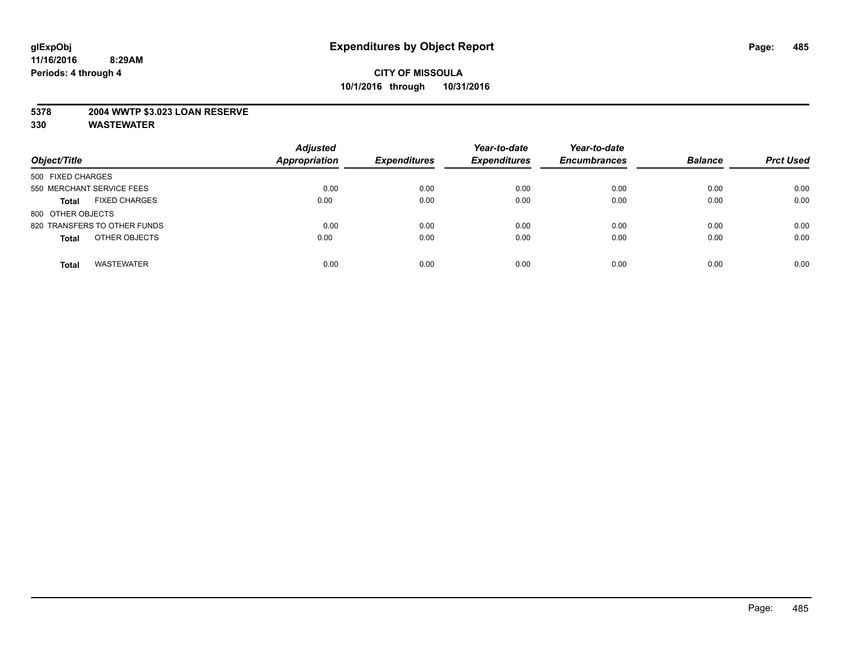#### **5378 2004 WWTP \$3.023 LOAN RESERVE**

| Object/Title                         | <b>Adjusted</b><br><b>Appropriation</b> | <b>Expenditures</b> | Year-to-date<br><b>Expenditures</b> | Year-to-date<br><b>Encumbrances</b> | <b>Balance</b> | <b>Prct Used</b> |
|--------------------------------------|-----------------------------------------|---------------------|-------------------------------------|-------------------------------------|----------------|------------------|
| 500 FIXED CHARGES                    |                                         |                     |                                     |                                     |                |                  |
| 550 MERCHANT SERVICE FEES            | 0.00                                    | 0.00                | 0.00                                | 0.00                                | 0.00           | 0.00             |
| <b>FIXED CHARGES</b><br><b>Total</b> | 0.00                                    | 0.00                | 0.00                                | 0.00                                | 0.00           | 0.00             |
| 800 OTHER OBJECTS                    |                                         |                     |                                     |                                     |                |                  |
| 820 TRANSFERS TO OTHER FUNDS         | 0.00                                    | 0.00                | 0.00                                | 0.00                                | 0.00           | 0.00             |
| OTHER OBJECTS<br><b>Total</b>        | 0.00                                    | 0.00                | 0.00                                | 0.00                                | 0.00           | 0.00             |
| <b>WASTEWATER</b><br><b>Total</b>    | 0.00                                    | 0.00                | 0.00                                | 0.00                                | 0.00           | 0.00             |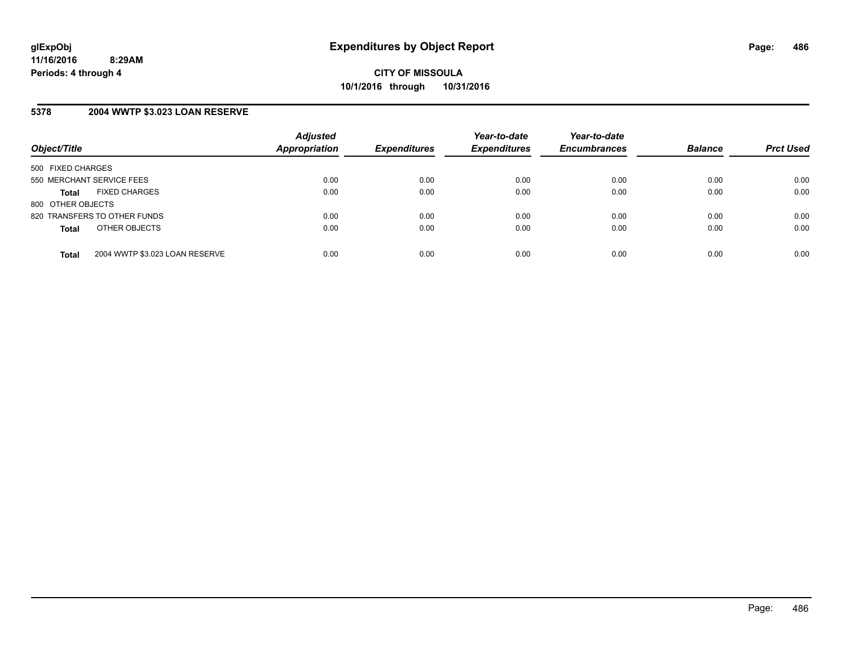#### **5378 2004 WWTP \$3.023 LOAN RESERVE**

| Object/Title              |                                | <b>Adjusted</b><br>Appropriation | <b>Expenditures</b> | Year-to-date<br><b>Expenditures</b> | Year-to-date<br><b>Encumbrances</b> | <b>Balance</b> | <b>Prct Used</b> |
|---------------------------|--------------------------------|----------------------------------|---------------------|-------------------------------------|-------------------------------------|----------------|------------------|
| 500 FIXED CHARGES         |                                |                                  |                     |                                     |                                     |                |                  |
| 550 MERCHANT SERVICE FEES |                                | 0.00                             | 0.00                | 0.00                                | 0.00                                | 0.00           | 0.00             |
| <b>Total</b>              | <b>FIXED CHARGES</b>           | 0.00                             | 0.00                | 0.00                                | 0.00                                | 0.00           | 0.00             |
| 800 OTHER OBJECTS         |                                |                                  |                     |                                     |                                     |                |                  |
|                           | 820 TRANSFERS TO OTHER FUNDS   | 0.00                             | 0.00                | 0.00                                | 0.00                                | 0.00           | 0.00             |
| <b>Total</b>              | OTHER OBJECTS                  | 0.00                             | 0.00                | 0.00                                | 0.00                                | 0.00           | 0.00             |
| <b>Total</b>              | 2004 WWTP \$3.023 LOAN RESERVE | 0.00                             | 0.00                | 0.00                                | 0.00                                | 0.00           | 0.00             |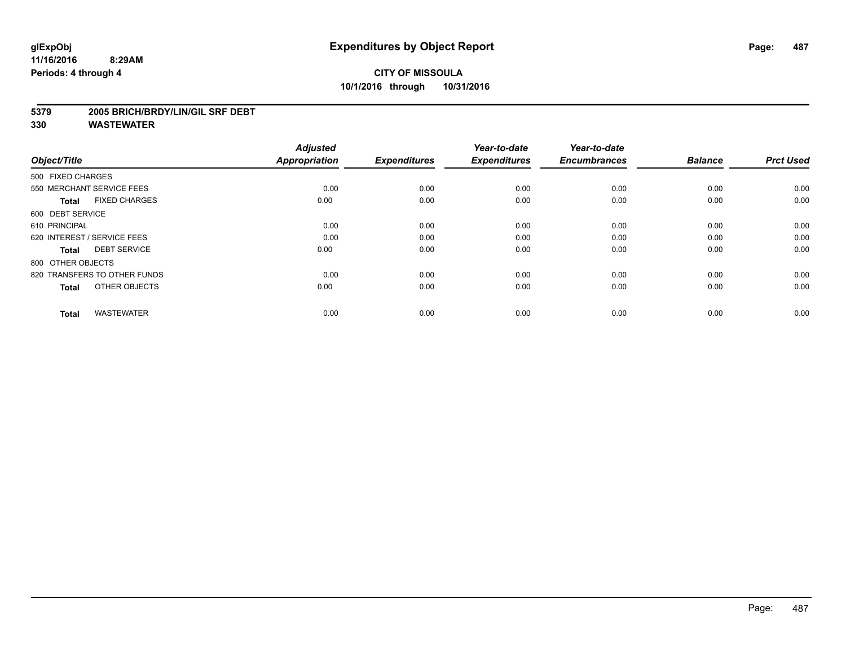#### **5379 2005 BRICH/BRDY/LIN/GIL SRF DEBT**

| Object/Title                         | <b>Adjusted</b><br><b>Appropriation</b> | <b>Expenditures</b> | Year-to-date<br><b>Expenditures</b> | Year-to-date<br><b>Encumbrances</b> | <b>Balance</b> | <b>Prct Used</b> |
|--------------------------------------|-----------------------------------------|---------------------|-------------------------------------|-------------------------------------|----------------|------------------|
| 500 FIXED CHARGES                    |                                         |                     |                                     |                                     |                |                  |
| 550 MERCHANT SERVICE FEES            | 0.00                                    | 0.00                | 0.00                                | 0.00                                | 0.00           | 0.00             |
| <b>FIXED CHARGES</b><br><b>Total</b> | 0.00                                    | 0.00                | 0.00                                | 0.00                                | 0.00           | 0.00             |
| 600 DEBT SERVICE                     |                                         |                     |                                     |                                     |                |                  |
| 610 PRINCIPAL                        | 0.00                                    | 0.00                | 0.00                                | 0.00                                | 0.00           | 0.00             |
| 620 INTEREST / SERVICE FEES          | 0.00                                    | 0.00                | 0.00                                | 0.00                                | 0.00           | 0.00             |
| <b>DEBT SERVICE</b><br><b>Total</b>  | 0.00                                    | 0.00                | 0.00                                | 0.00                                | 0.00           | 0.00             |
| 800 OTHER OBJECTS                    |                                         |                     |                                     |                                     |                |                  |
| 820 TRANSFERS TO OTHER FUNDS         | 0.00                                    | 0.00                | 0.00                                | 0.00                                | 0.00           | 0.00             |
| OTHER OBJECTS<br><b>Total</b>        | 0.00                                    | 0.00                | 0.00                                | 0.00                                | 0.00           | 0.00             |
|                                      |                                         |                     |                                     |                                     |                |                  |
| <b>WASTEWATER</b><br><b>Total</b>    | 0.00                                    | 0.00                | 0.00                                | 0.00                                | 0.00           | 0.00             |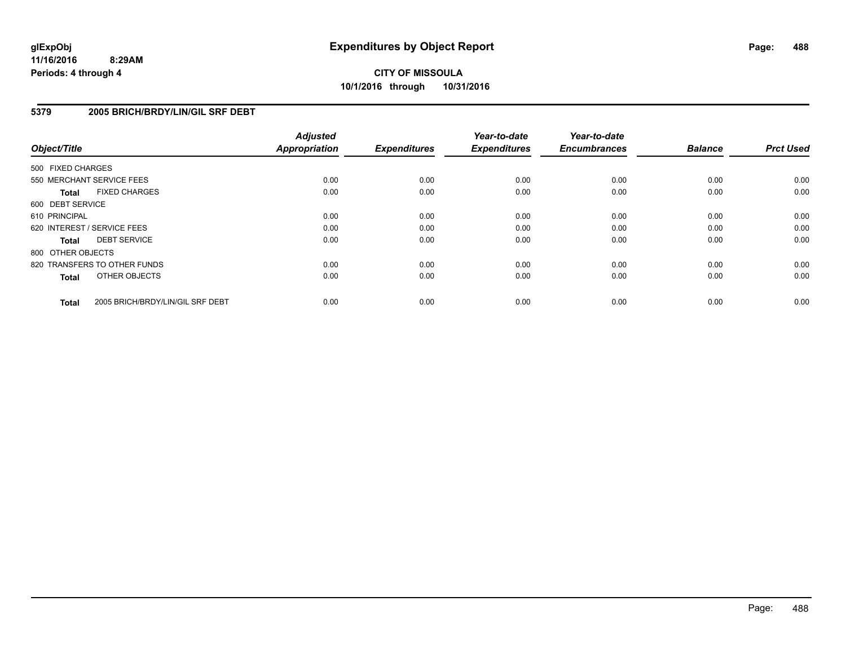#### **5379 2005 BRICH/BRDY/LIN/GIL SRF DEBT**

| Object/Title      |                                  | <b>Adjusted</b><br><b>Appropriation</b> | <b>Expenditures</b> | Year-to-date<br><b>Expenditures</b> | Year-to-date<br><b>Encumbrances</b> | <b>Balance</b> | <b>Prct Used</b> |
|-------------------|----------------------------------|-----------------------------------------|---------------------|-------------------------------------|-------------------------------------|----------------|------------------|
| 500 FIXED CHARGES |                                  |                                         |                     |                                     |                                     |                |                  |
|                   | 550 MERCHANT SERVICE FEES        | 0.00                                    | 0.00                | 0.00                                | 0.00                                | 0.00           | 0.00             |
| <b>Total</b>      | <b>FIXED CHARGES</b>             | 0.00                                    | 0.00                | 0.00                                | 0.00                                | 0.00           | 0.00             |
| 600 DEBT SERVICE  |                                  |                                         |                     |                                     |                                     |                |                  |
| 610 PRINCIPAL     |                                  | 0.00                                    | 0.00                | 0.00                                | 0.00                                | 0.00           | 0.00             |
|                   | 620 INTEREST / SERVICE FEES      | 0.00                                    | 0.00                | 0.00                                | 0.00                                | 0.00           | 0.00             |
| <b>Total</b>      | <b>DEBT SERVICE</b>              | 0.00                                    | 0.00                | 0.00                                | 0.00                                | 0.00           | 0.00             |
| 800 OTHER OBJECTS |                                  |                                         |                     |                                     |                                     |                |                  |
|                   | 820 TRANSFERS TO OTHER FUNDS     | 0.00                                    | 0.00                | 0.00                                | 0.00                                | 0.00           | 0.00             |
| <b>Total</b>      | OTHER OBJECTS                    | 0.00                                    | 0.00                | 0.00                                | 0.00                                | 0.00           | 0.00             |
| <b>Total</b>      | 2005 BRICH/BRDY/LIN/GIL SRF DEBT | 0.00                                    | 0.00                | 0.00                                | 0.00                                | 0.00           | 0.00             |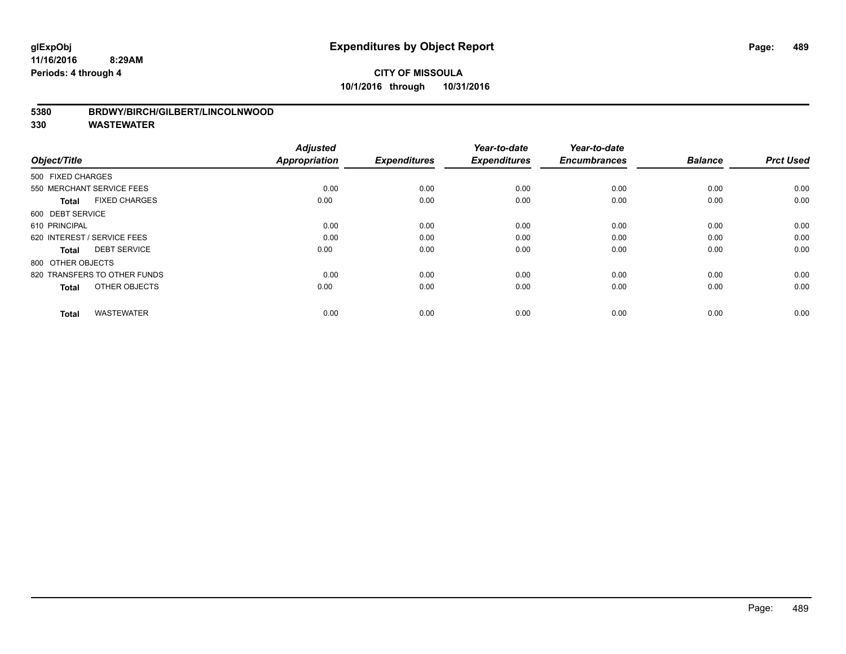#### **5380 BRDWY/BIRCH/GILBERT/LINCOLNWOOD**

| Object/Title                         | <b>Adjusted</b><br><b>Appropriation</b> | <b>Expenditures</b> | Year-to-date<br><b>Expenditures</b> | Year-to-date<br><b>Encumbrances</b> | <b>Balance</b> | <b>Prct Used</b> |
|--------------------------------------|-----------------------------------------|---------------------|-------------------------------------|-------------------------------------|----------------|------------------|
| 500 FIXED CHARGES                    |                                         |                     |                                     |                                     |                |                  |
| 550 MERCHANT SERVICE FEES            | 0.00                                    | 0.00                | 0.00                                | 0.00                                | 0.00           | 0.00             |
| <b>FIXED CHARGES</b><br><b>Total</b> | 0.00                                    | 0.00                | 0.00                                | 0.00                                | 0.00           | 0.00             |
| 600 DEBT SERVICE                     |                                         |                     |                                     |                                     |                |                  |
| 610 PRINCIPAL                        | 0.00                                    | 0.00                | 0.00                                | 0.00                                | 0.00           | 0.00             |
| 620 INTEREST / SERVICE FEES          | 0.00                                    | 0.00                | 0.00                                | 0.00                                | 0.00           | 0.00             |
| <b>DEBT SERVICE</b><br><b>Total</b>  | 0.00                                    | 0.00                | 0.00                                | 0.00                                | 0.00           | 0.00             |
| 800 OTHER OBJECTS                    |                                         |                     |                                     |                                     |                |                  |
| 820 TRANSFERS TO OTHER FUNDS         | 0.00                                    | 0.00                | 0.00                                | 0.00                                | 0.00           | 0.00             |
| OTHER OBJECTS<br><b>Total</b>        | 0.00                                    | 0.00                | 0.00                                | 0.00                                | 0.00           | 0.00             |
|                                      |                                         |                     |                                     |                                     |                |                  |
| <b>WASTEWATER</b><br><b>Total</b>    | 0.00                                    | 0.00                | 0.00                                | 0.00                                | 0.00           | 0.00             |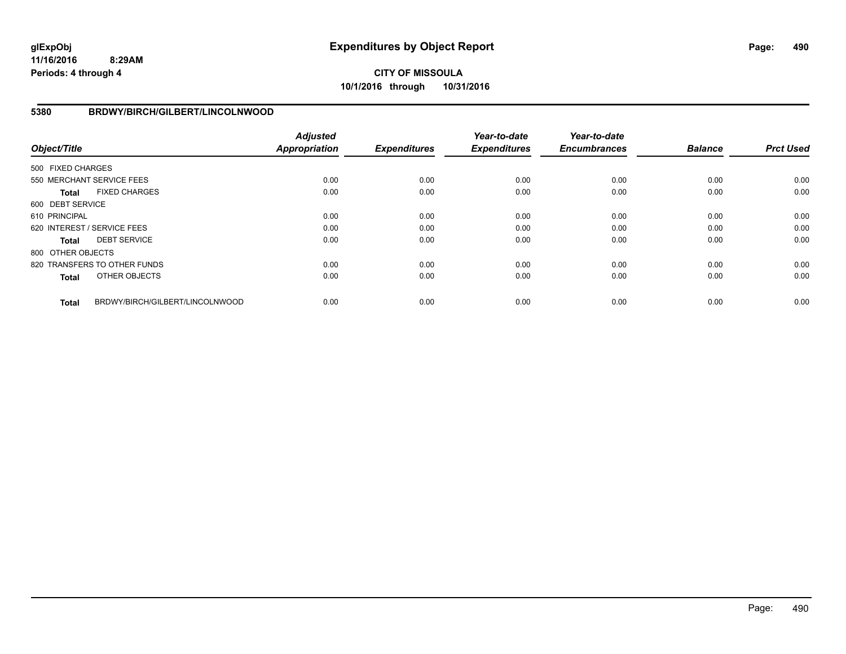# **CITY OF MISSOULA 10/1/2016 through 10/31/2016**

#### **5380 BRDWY/BIRCH/GILBERT/LINCOLNWOOD**

| Object/Title      |                                 | <b>Adjusted</b><br><b>Appropriation</b> | <b>Expenditures</b> | Year-to-date<br><b>Expenditures</b> | Year-to-date<br><b>Encumbrances</b> | <b>Balance</b> | <b>Prct Used</b> |
|-------------------|---------------------------------|-----------------------------------------|---------------------|-------------------------------------|-------------------------------------|----------------|------------------|
| 500 FIXED CHARGES |                                 |                                         |                     |                                     |                                     |                |                  |
|                   | 550 MERCHANT SERVICE FEES       | 0.00                                    | 0.00                | 0.00                                | 0.00                                | 0.00           | 0.00             |
| Total             | <b>FIXED CHARGES</b>            | 0.00                                    | 0.00                | 0.00                                | 0.00                                | 0.00           | 0.00             |
| 600 DEBT SERVICE  |                                 |                                         |                     |                                     |                                     |                |                  |
| 610 PRINCIPAL     |                                 | 0.00                                    | 0.00                | 0.00                                | 0.00                                | 0.00           | 0.00             |
|                   | 620 INTEREST / SERVICE FEES     | 0.00                                    | 0.00                | 0.00                                | 0.00                                | 0.00           | 0.00             |
| Total             | <b>DEBT SERVICE</b>             | 0.00                                    | 0.00                | 0.00                                | 0.00                                | 0.00           | 0.00             |
| 800 OTHER OBJECTS |                                 |                                         |                     |                                     |                                     |                |                  |
|                   | 820 TRANSFERS TO OTHER FUNDS    | 0.00                                    | 0.00                | 0.00                                | 0.00                                | 0.00           | 0.00             |
| <b>Total</b>      | OTHER OBJECTS                   | 0.00                                    | 0.00                | 0.00                                | 0.00                                | 0.00           | 0.00             |
| <b>Total</b>      | BRDWY/BIRCH/GILBERT/LINCOLNWOOD | 0.00                                    | 0.00                | 0.00                                | 0.00                                | 0.00           | 0.00             |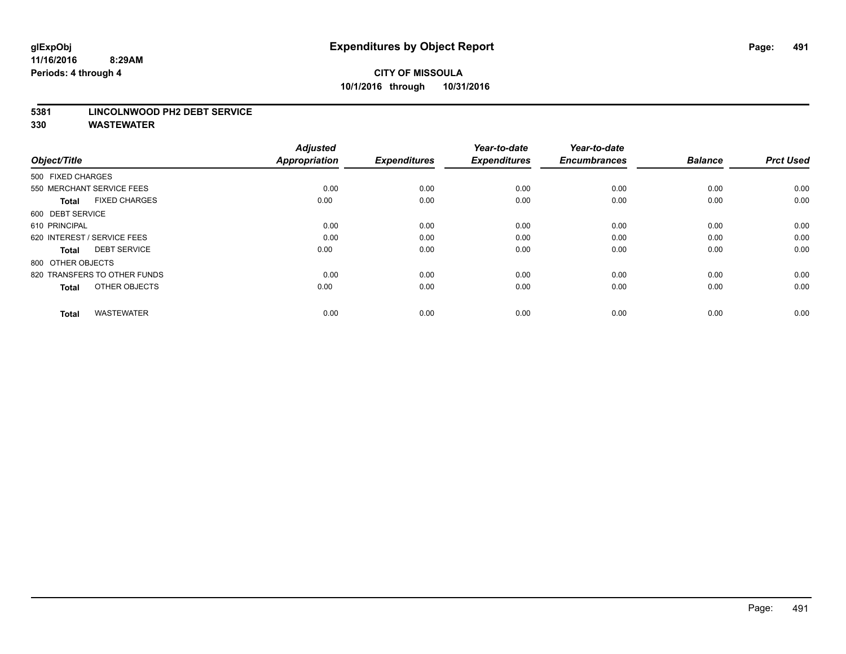#### **5381 LINCOLNWOOD PH2 DEBT SERVICE**

| Object/Title                         | <b>Adjusted</b><br><b>Appropriation</b> | <b>Expenditures</b> | Year-to-date<br><b>Expenditures</b> | Year-to-date<br><b>Encumbrances</b> | <b>Balance</b> | <b>Prct Used</b> |
|--------------------------------------|-----------------------------------------|---------------------|-------------------------------------|-------------------------------------|----------------|------------------|
| 500 FIXED CHARGES                    |                                         |                     |                                     |                                     |                |                  |
| 550 MERCHANT SERVICE FEES            | 0.00                                    | 0.00                | 0.00                                | 0.00                                | 0.00           | 0.00             |
| <b>FIXED CHARGES</b><br><b>Total</b> | 0.00                                    | 0.00                | 0.00                                | 0.00                                | 0.00           | 0.00             |
| 600 DEBT SERVICE                     |                                         |                     |                                     |                                     |                |                  |
| 610 PRINCIPAL                        | 0.00                                    | 0.00                | 0.00                                | 0.00                                | 0.00           | 0.00             |
| 620 INTEREST / SERVICE FEES          | 0.00                                    | 0.00                | 0.00                                | 0.00                                | 0.00           | 0.00             |
| <b>DEBT SERVICE</b><br><b>Total</b>  | 0.00                                    | 0.00                | 0.00                                | 0.00                                | 0.00           | 0.00             |
| 800 OTHER OBJECTS                    |                                         |                     |                                     |                                     |                |                  |
| 820 TRANSFERS TO OTHER FUNDS         | 0.00                                    | 0.00                | 0.00                                | 0.00                                | 0.00           | 0.00             |
| OTHER OBJECTS<br><b>Total</b>        | 0.00                                    | 0.00                | 0.00                                | 0.00                                | 0.00           | 0.00             |
|                                      |                                         |                     |                                     |                                     |                |                  |
| <b>WASTEWATER</b><br><b>Total</b>    | 0.00                                    | 0.00                | 0.00                                | 0.00                                | 0.00           | 0.00             |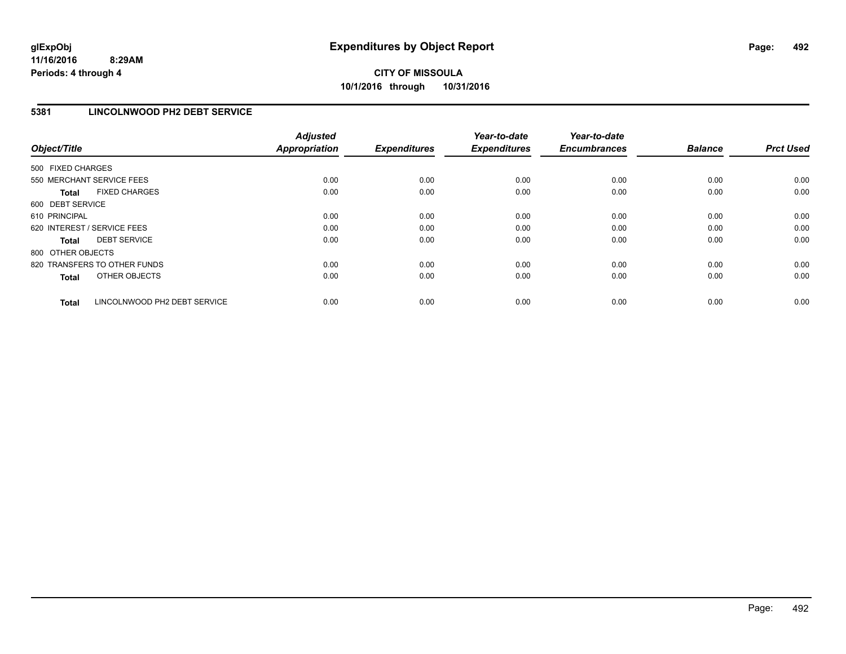#### **5381 LINCOLNWOOD PH2 DEBT SERVICE**

| Object/Title                 |                              | <b>Adjusted</b><br><b>Appropriation</b> | <b>Expenditures</b> | Year-to-date<br><b>Expenditures</b> | Year-to-date<br><b>Encumbrances</b> | <b>Balance</b> | <b>Prct Used</b> |
|------------------------------|------------------------------|-----------------------------------------|---------------------|-------------------------------------|-------------------------------------|----------------|------------------|
| 500 FIXED CHARGES            |                              |                                         |                     |                                     |                                     |                |                  |
| 550 MERCHANT SERVICE FEES    |                              | 0.00                                    | 0.00                | 0.00                                | 0.00                                | 0.00           | 0.00             |
| <b>Total</b>                 | <b>FIXED CHARGES</b>         | 0.00                                    | 0.00                | 0.00                                | 0.00                                | 0.00           | 0.00             |
| 600 DEBT SERVICE             |                              |                                         |                     |                                     |                                     |                |                  |
| 610 PRINCIPAL                |                              | 0.00                                    | 0.00                | 0.00                                | 0.00                                | 0.00           | 0.00             |
| 620 INTEREST / SERVICE FEES  |                              | 0.00                                    | 0.00                | 0.00                                | 0.00                                | 0.00           | 0.00             |
| Total                        | <b>DEBT SERVICE</b>          | 0.00                                    | 0.00                | 0.00                                | 0.00                                | 0.00           | 0.00             |
| 800 OTHER OBJECTS            |                              |                                         |                     |                                     |                                     |                |                  |
| 820 TRANSFERS TO OTHER FUNDS |                              | 0.00                                    | 0.00                | 0.00                                | 0.00                                | 0.00           | 0.00             |
| <b>Total</b>                 | OTHER OBJECTS                | 0.00                                    | 0.00                | 0.00                                | 0.00                                | 0.00           | 0.00             |
| <b>Total</b>                 | LINCOLNWOOD PH2 DEBT SERVICE | 0.00                                    | 0.00                | 0.00                                | 0.00                                | 0.00           | 0.00             |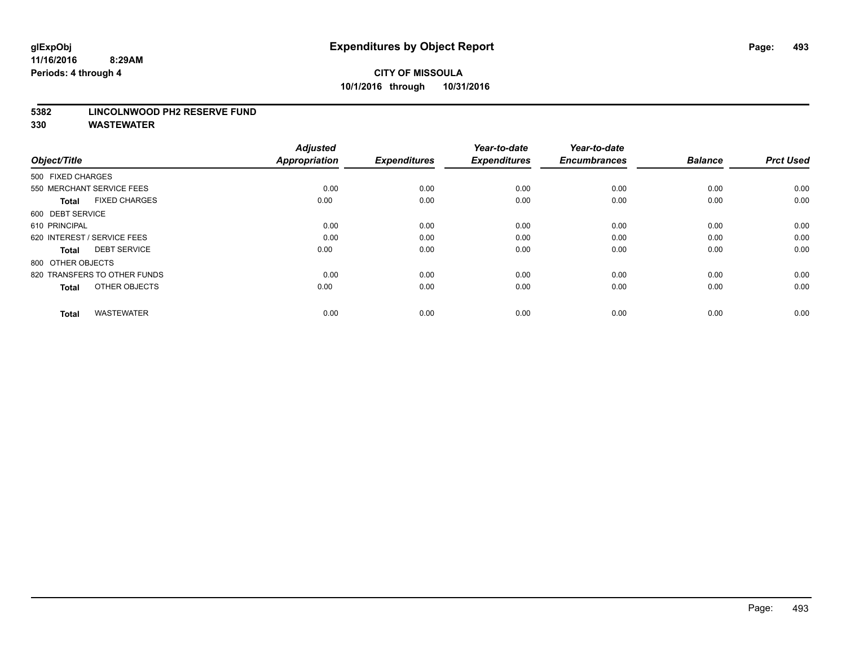#### **5382 LINCOLNWOOD PH2 RESERVE FUND**

| Object/Title                         | <b>Adjusted</b><br><b>Appropriation</b> | <b>Expenditures</b> | Year-to-date<br><b>Expenditures</b> | Year-to-date<br><b>Encumbrances</b> | <b>Balance</b> | <b>Prct Used</b> |
|--------------------------------------|-----------------------------------------|---------------------|-------------------------------------|-------------------------------------|----------------|------------------|
| 500 FIXED CHARGES                    |                                         |                     |                                     |                                     |                |                  |
| 550 MERCHANT SERVICE FEES            | 0.00                                    | 0.00                | 0.00                                | 0.00                                | 0.00           | 0.00             |
| <b>FIXED CHARGES</b><br><b>Total</b> | 0.00                                    | 0.00                | 0.00                                | 0.00                                | 0.00           | 0.00             |
| 600 DEBT SERVICE                     |                                         |                     |                                     |                                     |                |                  |
| 610 PRINCIPAL                        | 0.00                                    | 0.00                | 0.00                                | 0.00                                | 0.00           | 0.00             |
| 620 INTEREST / SERVICE FEES          | 0.00                                    | 0.00                | 0.00                                | 0.00                                | 0.00           | 0.00             |
| <b>DEBT SERVICE</b><br><b>Total</b>  | 0.00                                    | 0.00                | 0.00                                | 0.00                                | 0.00           | 0.00             |
| 800 OTHER OBJECTS                    |                                         |                     |                                     |                                     |                |                  |
| 820 TRANSFERS TO OTHER FUNDS         | 0.00                                    | 0.00                | 0.00                                | 0.00                                | 0.00           | 0.00             |
| OTHER OBJECTS<br><b>Total</b>        | 0.00                                    | 0.00                | 0.00                                | 0.00                                | 0.00           | 0.00             |
|                                      |                                         |                     |                                     |                                     |                |                  |
| <b>WASTEWATER</b><br><b>Total</b>    | 0.00                                    | 0.00                | 0.00                                | 0.00                                | 0.00           | 0.00             |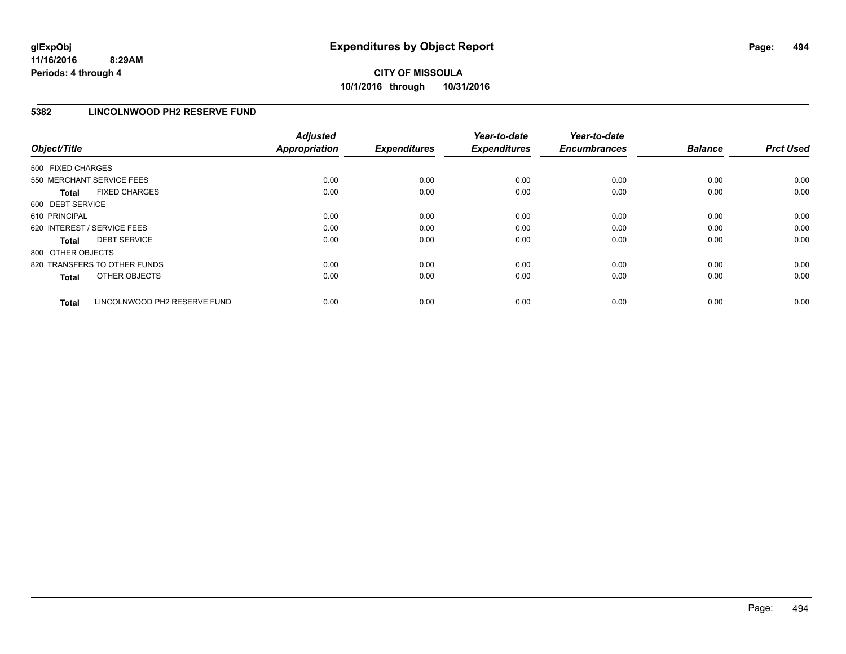### **5382 LINCOLNWOOD PH2 RESERVE FUND**

| Object/Title                                 | <b>Adjusted</b><br><b>Appropriation</b> | <b>Expenditures</b> | Year-to-date<br><b>Expenditures</b> | Year-to-date<br><b>Encumbrances</b> | <b>Balance</b> | <b>Prct Used</b> |
|----------------------------------------------|-----------------------------------------|---------------------|-------------------------------------|-------------------------------------|----------------|------------------|
| 500 FIXED CHARGES                            |                                         |                     |                                     |                                     |                |                  |
| 550 MERCHANT SERVICE FEES                    | 0.00                                    | 0.00                | 0.00                                | 0.00                                | 0.00           | 0.00             |
| <b>FIXED CHARGES</b><br><b>Total</b>         | 0.00                                    | 0.00                | 0.00                                | 0.00                                | 0.00           | 0.00             |
| 600 DEBT SERVICE                             |                                         |                     |                                     |                                     |                |                  |
| 610 PRINCIPAL                                | 0.00                                    | 0.00                | 0.00                                | 0.00                                | 0.00           | 0.00             |
| 620 INTEREST / SERVICE FEES                  | 0.00                                    | 0.00                | 0.00                                | 0.00                                | 0.00           | 0.00             |
| <b>DEBT SERVICE</b><br><b>Total</b>          | 0.00                                    | 0.00                | 0.00                                | 0.00                                | 0.00           | 0.00             |
| 800 OTHER OBJECTS                            |                                         |                     |                                     |                                     |                |                  |
| 820 TRANSFERS TO OTHER FUNDS                 | 0.00                                    | 0.00                | 0.00                                | 0.00                                | 0.00           | 0.00             |
| OTHER OBJECTS<br><b>Total</b>                | 0.00                                    | 0.00                | 0.00                                | 0.00                                | 0.00           | 0.00             |
| LINCOLNWOOD PH2 RESERVE FUND<br><b>Total</b> | 0.00                                    | 0.00                | 0.00                                | 0.00                                | 0.00           | 0.00             |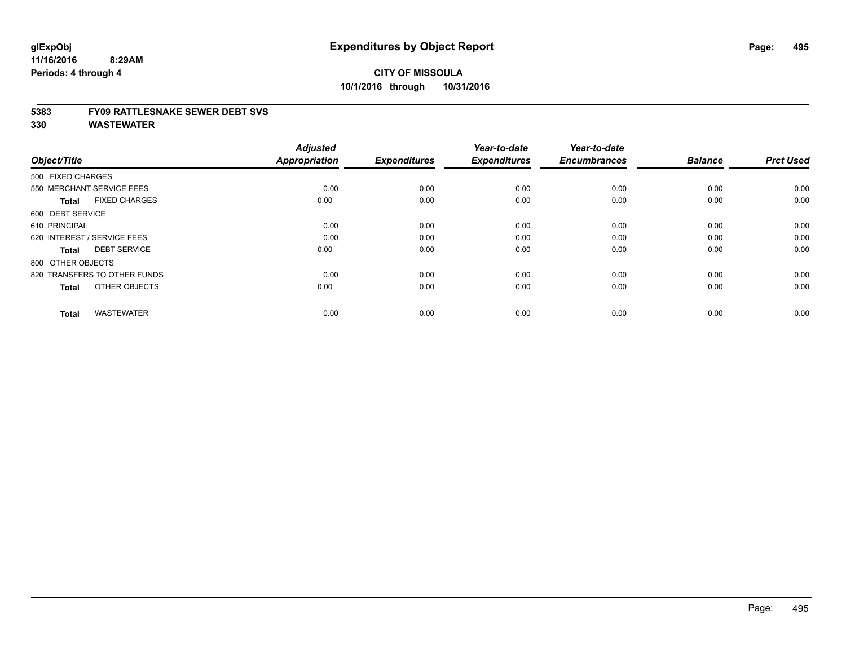#### **5383 FY09 RATTLESNAKE SEWER DEBT SVS**

| Object/Title                         | <b>Adjusted</b><br><b>Appropriation</b> | <b>Expenditures</b> | Year-to-date<br><b>Expenditures</b> | Year-to-date<br><b>Encumbrances</b> | <b>Balance</b> | <b>Prct Used</b> |
|--------------------------------------|-----------------------------------------|---------------------|-------------------------------------|-------------------------------------|----------------|------------------|
| 500 FIXED CHARGES                    |                                         |                     |                                     |                                     |                |                  |
| 550 MERCHANT SERVICE FEES            | 0.00                                    | 0.00                | 0.00                                | 0.00                                | 0.00           | 0.00             |
| <b>FIXED CHARGES</b><br><b>Total</b> | 0.00                                    | 0.00                | 0.00                                | 0.00                                | 0.00           | 0.00             |
| 600 DEBT SERVICE                     |                                         |                     |                                     |                                     |                |                  |
| 610 PRINCIPAL                        | 0.00                                    | 0.00                | 0.00                                | 0.00                                | 0.00           | 0.00             |
| 620 INTEREST / SERVICE FEES          | 0.00                                    | 0.00                | 0.00                                | 0.00                                | 0.00           | 0.00             |
| <b>DEBT SERVICE</b><br><b>Total</b>  | 0.00                                    | 0.00                | 0.00                                | 0.00                                | 0.00           | 0.00             |
| 800 OTHER OBJECTS                    |                                         |                     |                                     |                                     |                |                  |
| 820 TRANSFERS TO OTHER FUNDS         | 0.00                                    | 0.00                | 0.00                                | 0.00                                | 0.00           | 0.00             |
| OTHER OBJECTS<br><b>Total</b>        | 0.00                                    | 0.00                | 0.00                                | 0.00                                | 0.00           | 0.00             |
|                                      |                                         |                     |                                     |                                     |                |                  |
| <b>WASTEWATER</b><br><b>Total</b>    | 0.00                                    | 0.00                | 0.00                                | 0.00                                | 0.00           | 0.00             |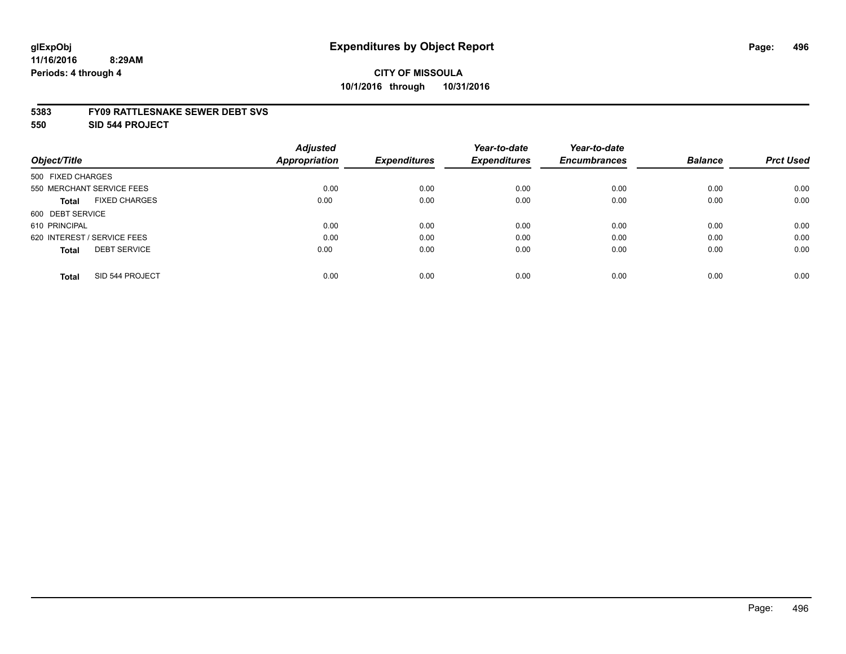#### **5383 FY09 RATTLESNAKE SEWER DEBT SVS**

**550 SID 544 PROJECT**

|                                      | <b>Adjusted</b>      |                     | Year-to-date        | Year-to-date        |                |                  |
|--------------------------------------|----------------------|---------------------|---------------------|---------------------|----------------|------------------|
| Object/Title                         | <b>Appropriation</b> | <b>Expenditures</b> | <b>Expenditures</b> | <b>Encumbrances</b> | <b>Balance</b> | <b>Prct Used</b> |
| 500 FIXED CHARGES                    |                      |                     |                     |                     |                |                  |
| 550 MERCHANT SERVICE FEES            | 0.00                 | 0.00                | 0.00                | 0.00                | 0.00           | 0.00             |
| <b>FIXED CHARGES</b><br><b>Total</b> | 0.00                 | 0.00                | 0.00                | 0.00                | 0.00           | 0.00             |
| 600 DEBT SERVICE                     |                      |                     |                     |                     |                |                  |
| 610 PRINCIPAL                        | 0.00                 | 0.00                | 0.00                | 0.00                | 0.00           | 0.00             |
| 620 INTEREST / SERVICE FEES          | 0.00                 | 0.00                | 0.00                | 0.00                | 0.00           | 0.00             |
| <b>DEBT SERVICE</b><br><b>Total</b>  | 0.00                 | 0.00                | 0.00                | 0.00                | 0.00           | 0.00             |
| SID 544 PROJECT<br><b>Total</b>      | 0.00                 | 0.00                | 0.00                | 0.00                | 0.00           | 0.00             |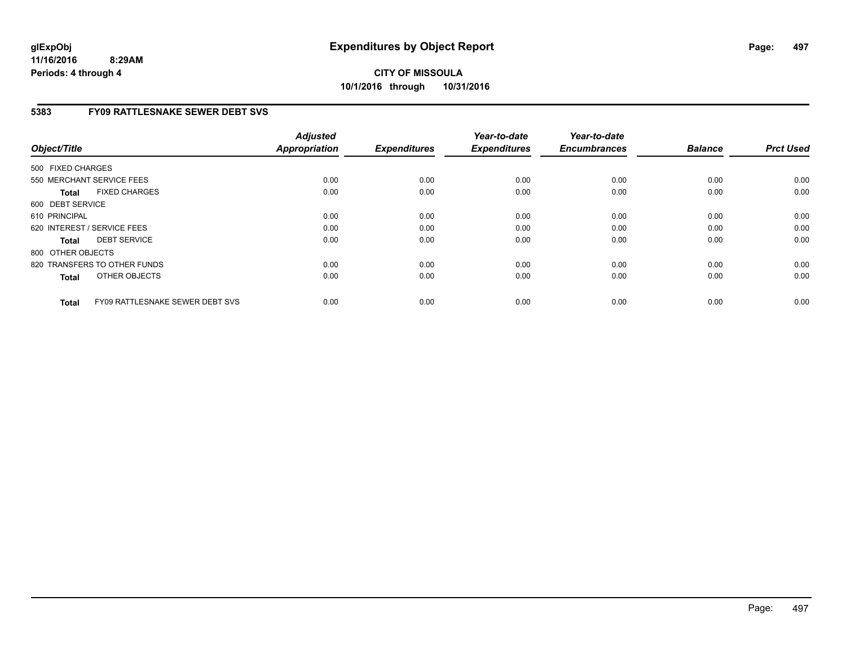**CITY OF MISSOULA 10/1/2016 through 10/31/2016**

### **5383 FY09 RATTLESNAKE SEWER DEBT SVS**

| Object/Title      |                                 | <b>Adjusted</b><br><b>Appropriation</b> | <b>Expenditures</b> | Year-to-date<br><b>Expenditures</b> | Year-to-date<br><b>Encumbrances</b> | <b>Balance</b> | <b>Prct Used</b> |
|-------------------|---------------------------------|-----------------------------------------|---------------------|-------------------------------------|-------------------------------------|----------------|------------------|
| 500 FIXED CHARGES |                                 |                                         |                     |                                     |                                     |                |                  |
|                   | 550 MERCHANT SERVICE FEES       | 0.00                                    | 0.00                | 0.00                                | 0.00                                | 0.00           | 0.00             |
| <b>Total</b>      | <b>FIXED CHARGES</b>            | 0.00                                    | 0.00                | 0.00                                | 0.00                                | 0.00           | 0.00             |
| 600 DEBT SERVICE  |                                 |                                         |                     |                                     |                                     |                |                  |
| 610 PRINCIPAL     |                                 | 0.00                                    | 0.00                | 0.00                                | 0.00                                | 0.00           | 0.00             |
|                   | 620 INTEREST / SERVICE FEES     | 0.00                                    | 0.00                | 0.00                                | 0.00                                | 0.00           | 0.00             |
| <b>Total</b>      | <b>DEBT SERVICE</b>             | 0.00                                    | 0.00                | 0.00                                | 0.00                                | 0.00           | 0.00             |
| 800 OTHER OBJECTS |                                 |                                         |                     |                                     |                                     |                |                  |
|                   | 820 TRANSFERS TO OTHER FUNDS    | 0.00                                    | 0.00                | 0.00                                | 0.00                                | 0.00           | 0.00             |
| <b>Total</b>      | OTHER OBJECTS                   | 0.00                                    | 0.00                | 0.00                                | 0.00                                | 0.00           | 0.00             |
| <b>Total</b>      | FY09 RATTLESNAKE SEWER DEBT SVS | 0.00                                    | 0.00                | 0.00                                | 0.00                                | 0.00           | 0.00             |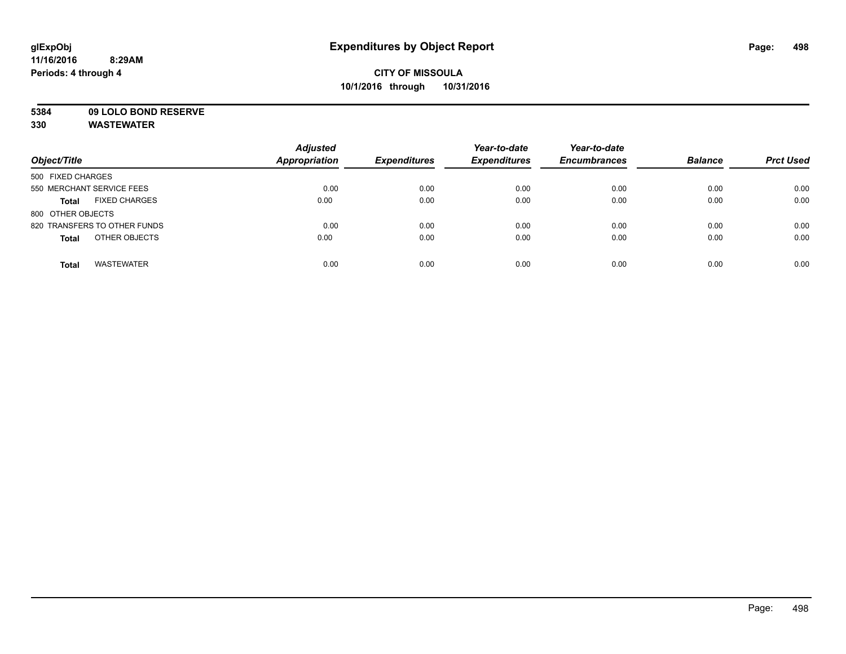**5384 09 LOLO BOND RESERVE**

| Object/Title                         | <b>Adjusted</b><br><b>Appropriation</b> | <b>Expenditures</b> | Year-to-date<br><b>Expenditures</b> | Year-to-date<br><b>Encumbrances</b> | <b>Balance</b> | <b>Prct Used</b> |
|--------------------------------------|-----------------------------------------|---------------------|-------------------------------------|-------------------------------------|----------------|------------------|
| 500 FIXED CHARGES                    |                                         |                     |                                     |                                     |                |                  |
| 550 MERCHANT SERVICE FEES            | 0.00                                    | 0.00                | 0.00                                | 0.00                                | 0.00           | 0.00             |
| <b>FIXED CHARGES</b><br><b>Total</b> | 0.00                                    | 0.00                | 0.00                                | 0.00                                | 0.00           | 0.00             |
| 800 OTHER OBJECTS                    |                                         |                     |                                     |                                     |                |                  |
| 820 TRANSFERS TO OTHER FUNDS         | 0.00                                    | 0.00                | 0.00                                | 0.00                                | 0.00           | 0.00             |
| OTHER OBJECTS<br><b>Total</b>        | 0.00                                    | 0.00                | 0.00                                | 0.00                                | 0.00           | 0.00             |
| <b>WASTEWATER</b><br><b>Total</b>    | 0.00                                    | 0.00                | 0.00                                | 0.00                                | 0.00           | 0.00             |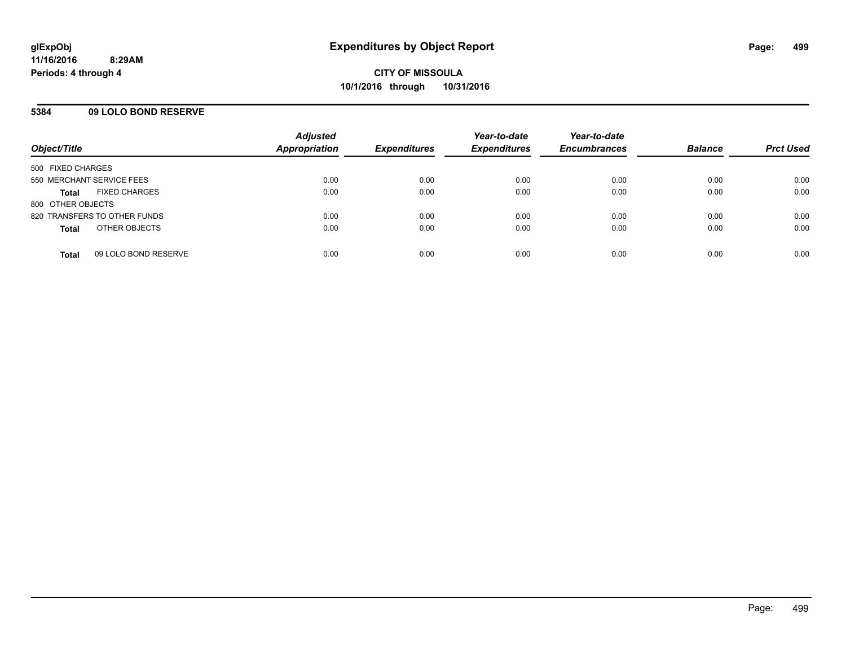#### **5384 09 LOLO BOND RESERVE**

| Object/Title                         | <b>Adjusted</b><br><b>Appropriation</b> | <b>Expenditures</b> | Year-to-date<br><b>Expenditures</b> | Year-to-date<br><b>Encumbrances</b> | <b>Balance</b> | <b>Prct Used</b> |
|--------------------------------------|-----------------------------------------|---------------------|-------------------------------------|-------------------------------------|----------------|------------------|
| 500 FIXED CHARGES                    |                                         |                     |                                     |                                     |                |                  |
| 550 MERCHANT SERVICE FEES            | 0.00                                    | 0.00                | 0.00                                | 0.00                                | 0.00           | 0.00             |
| <b>FIXED CHARGES</b><br><b>Total</b> | 0.00                                    | 0.00                | 0.00                                | 0.00                                | 0.00           | 0.00             |
| 800 OTHER OBJECTS                    |                                         |                     |                                     |                                     |                |                  |
| 820 TRANSFERS TO OTHER FUNDS         | 0.00                                    | 0.00                | 0.00                                | 0.00                                | 0.00           | 0.00             |
| OTHER OBJECTS<br><b>Total</b>        | 0.00                                    | 0.00                | 0.00                                | 0.00                                | 0.00           | 0.00             |
| 09 LOLO BOND RESERVE<br><b>Total</b> | 0.00                                    | 0.00                | 0.00                                | 0.00                                | 0.00           | 0.00             |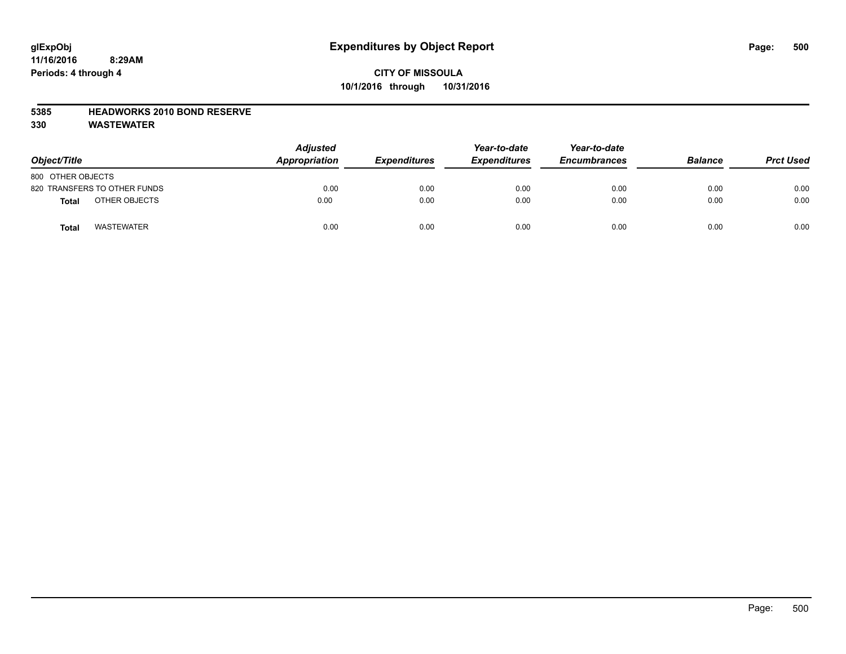# **CITY OF MISSOULA 10/1/2016 through 10/31/2016**

#### **5385 HEADWORKS 2010 BOND RESERVE**

| Object/Title                 | <b>Adjusted</b><br>Appropriation | <b>Expenditures</b> | Year-to-date<br><b>Expenditures</b> | Year-to-date<br><b>Encumbrances</b> | <b>Balance</b> | <b>Prct Used</b> |
|------------------------------|----------------------------------|---------------------|-------------------------------------|-------------------------------------|----------------|------------------|
| 800 OTHER OBJECTS            |                                  |                     |                                     |                                     |                |                  |
| 820 TRANSFERS TO OTHER FUNDS | 0.00                             | 0.00                | 0.00                                | 0.00                                | 0.00           | 0.00             |
| OTHER OBJECTS<br>Total       | 0.00                             | 0.00                | 0.00                                | 0.00                                | 0.00           | 0.00             |
| <b>WASTEWATER</b><br>Total   | 0.00                             | 0.00                | 0.00                                | 0.00                                | 0.00           | 0.00             |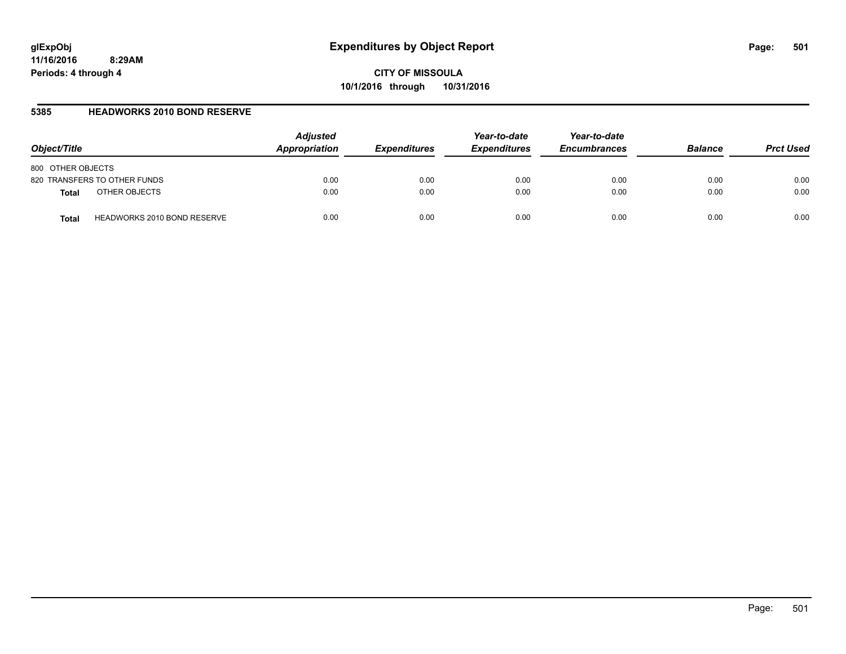**CITY OF MISSOULA 10/1/2016 through 10/31/2016**

#### **5385 HEADWORKS 2010 BOND RESERVE**

| Object/Title                                | <b>Adjusted</b><br>Appropriation | <b>Expenditures</b> | Year-to-date<br><b>Expenditures</b> | Year-to-date<br><b>Encumbrances</b> | <b>Balance</b> | <b>Prct Used</b> |
|---------------------------------------------|----------------------------------|---------------------|-------------------------------------|-------------------------------------|----------------|------------------|
| 800 OTHER OBJECTS                           |                                  |                     |                                     |                                     |                |                  |
| 820 TRANSFERS TO OTHER FUNDS                | 0.00                             | 0.00                | 0.00                                | 0.00                                | 0.00           | 0.00             |
| OTHER OBJECTS<br><b>Total</b>               | 0.00                             | 0.00                | 0.00                                | 0.00                                | 0.00           | 0.00             |
| <b>HEADWORKS 2010 BOND RESERVE</b><br>Total | 0.00                             | 0.00                | 0.00                                | 0.00                                | 0.00           | 0.00             |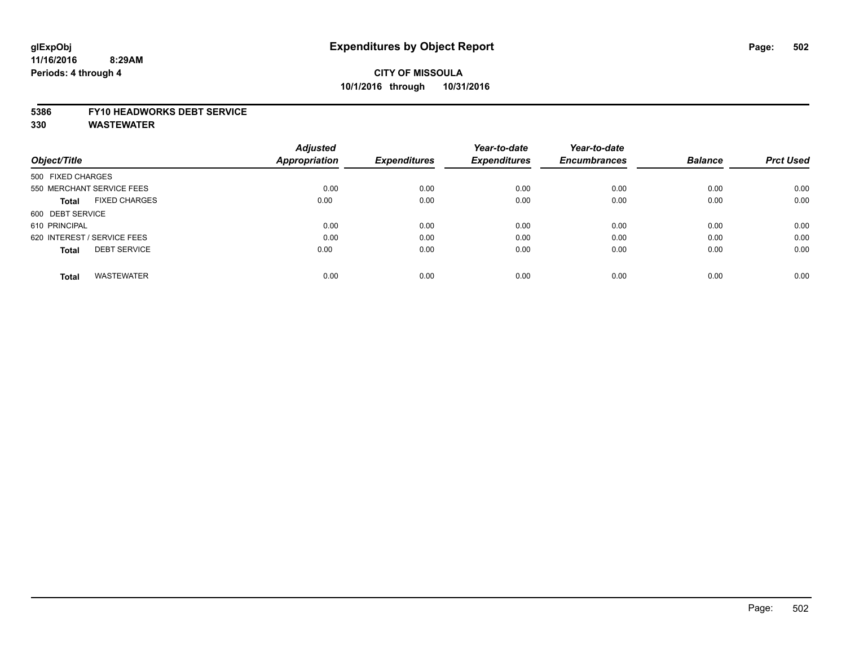# **CITY OF MISSOULA 10/1/2016 through 10/31/2016**

#### **5386 FY10 HEADWORKS DEBT SERVICE**

|                                      | <b>Adjusted</b> |                     | Year-to-date        | Year-to-date        |                |                  |
|--------------------------------------|-----------------|---------------------|---------------------|---------------------|----------------|------------------|
| Object/Title                         | Appropriation   | <b>Expenditures</b> | <b>Expenditures</b> | <b>Encumbrances</b> | <b>Balance</b> | <b>Prct Used</b> |
| 500 FIXED CHARGES                    |                 |                     |                     |                     |                |                  |
| 550 MERCHANT SERVICE FEES            | 0.00            | 0.00                | 0.00                | 0.00                | 0.00           | 0.00             |
| <b>FIXED CHARGES</b><br><b>Total</b> | 0.00            | 0.00                | 0.00                | 0.00                | 0.00           | 0.00             |
| 600 DEBT SERVICE                     |                 |                     |                     |                     |                |                  |
| 610 PRINCIPAL                        | 0.00            | 0.00                | 0.00                | 0.00                | 0.00           | 0.00             |
| 620 INTEREST / SERVICE FEES          | 0.00            | 0.00                | 0.00                | 0.00                | 0.00           | 0.00             |
| <b>DEBT SERVICE</b><br><b>Total</b>  | 0.00            | 0.00                | 0.00                | 0.00                | 0.00           | 0.00             |
| <b>WASTEWATER</b><br><b>Total</b>    | 0.00            | 0.00                | 0.00                | 0.00                | 0.00           | 0.00             |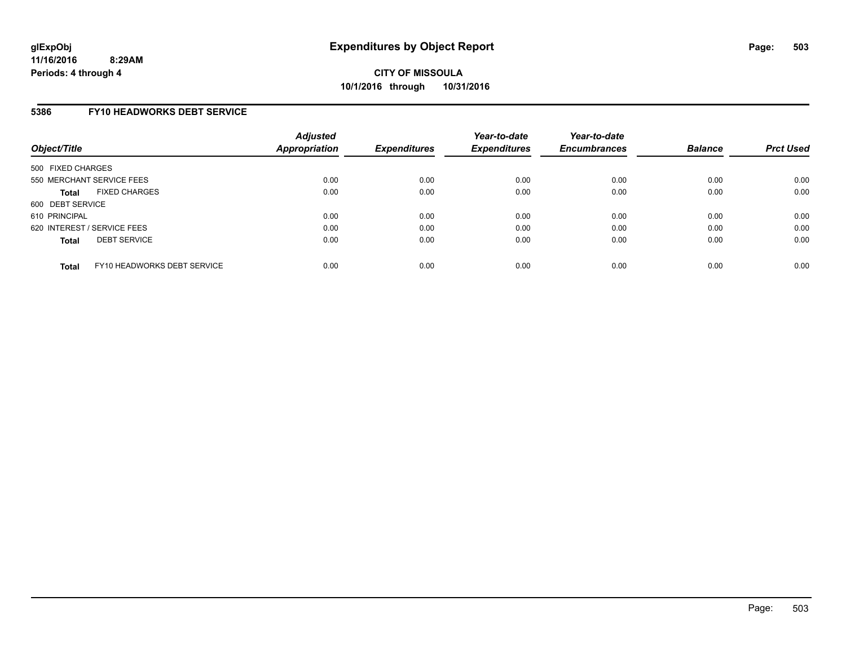#### **5386 FY10 HEADWORKS DEBT SERVICE**

| Object/Title      |                             | <b>Adjusted</b><br>Appropriation | <b>Expenditures</b> | Year-to-date<br><b>Expenditures</b> | Year-to-date<br><b>Encumbrances</b> | <b>Balance</b> | <b>Prct Used</b> |
|-------------------|-----------------------------|----------------------------------|---------------------|-------------------------------------|-------------------------------------|----------------|------------------|
| 500 FIXED CHARGES |                             |                                  |                     |                                     |                                     |                |                  |
|                   | 550 MERCHANT SERVICE FEES   | 0.00                             | 0.00                | 0.00                                | 0.00                                | 0.00           | 0.00             |
| <b>Total</b>      | <b>FIXED CHARGES</b>        | 0.00                             | 0.00                | 0.00                                | 0.00                                | 0.00           | 0.00             |
| 600 DEBT SERVICE  |                             |                                  |                     |                                     |                                     |                |                  |
| 610 PRINCIPAL     |                             | 0.00                             | 0.00                | 0.00                                | 0.00                                | 0.00           | 0.00             |
|                   | 620 INTEREST / SERVICE FEES | 0.00                             | 0.00                | 0.00                                | 0.00                                | 0.00           | 0.00             |
| <b>Total</b>      | <b>DEBT SERVICE</b>         | 0.00                             | 0.00                | 0.00                                | 0.00                                | 0.00           | 0.00             |
| <b>Total</b>      | FY10 HEADWORKS DEBT SERVICE | 0.00                             | 0.00                | 0.00                                | 0.00                                | 0.00           | 0.00             |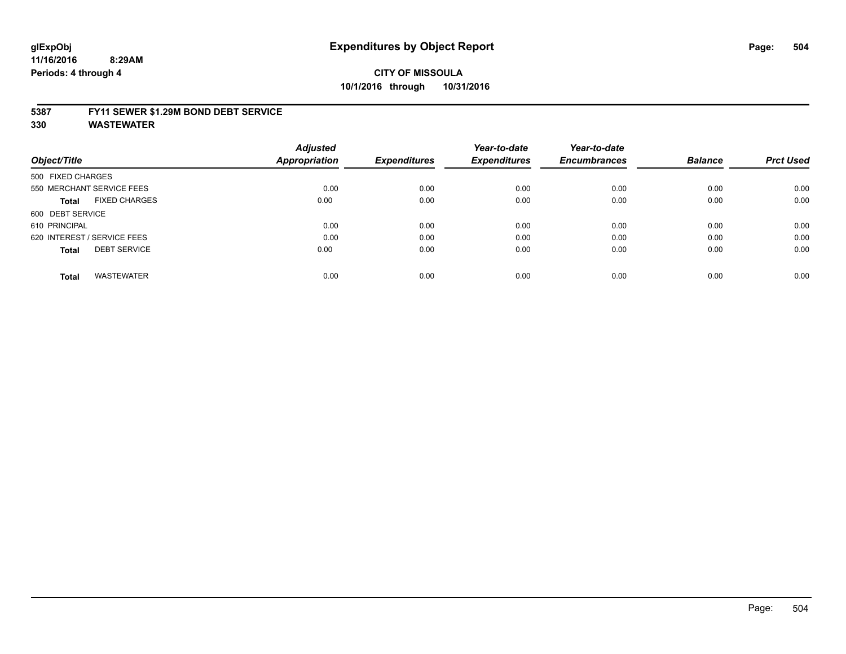# **CITY OF MISSOULA 10/1/2016 through 10/31/2016**

#### **5387 FY11 SEWER \$1.29M BOND DEBT SERVICE**

|                                      | <b>Adjusted</b>      |                     | Year-to-date        | Year-to-date        |                |                  |
|--------------------------------------|----------------------|---------------------|---------------------|---------------------|----------------|------------------|
| Object/Title                         | <b>Appropriation</b> | <b>Expenditures</b> | <b>Expenditures</b> | <b>Encumbrances</b> | <b>Balance</b> | <b>Prct Used</b> |
| 500 FIXED CHARGES                    |                      |                     |                     |                     |                |                  |
| 550 MERCHANT SERVICE FEES            | 0.00                 | 0.00                | 0.00                | 0.00                | 0.00           | 0.00             |
| <b>FIXED CHARGES</b><br><b>Total</b> | 0.00                 | 0.00                | 0.00                | 0.00                | 0.00           | 0.00             |
| 600 DEBT SERVICE                     |                      |                     |                     |                     |                |                  |
| 610 PRINCIPAL                        | 0.00                 | 0.00                | 0.00                | 0.00                | 0.00           | 0.00             |
| 620 INTEREST / SERVICE FEES          | 0.00                 | 0.00                | 0.00                | 0.00                | 0.00           | 0.00             |
| <b>DEBT SERVICE</b><br><b>Total</b>  | 0.00                 | 0.00                | 0.00                | 0.00                | 0.00           | 0.00             |
| <b>WASTEWATER</b><br><b>Total</b>    | 0.00                 | 0.00                | 0.00                | 0.00                | 0.00           | 0.00             |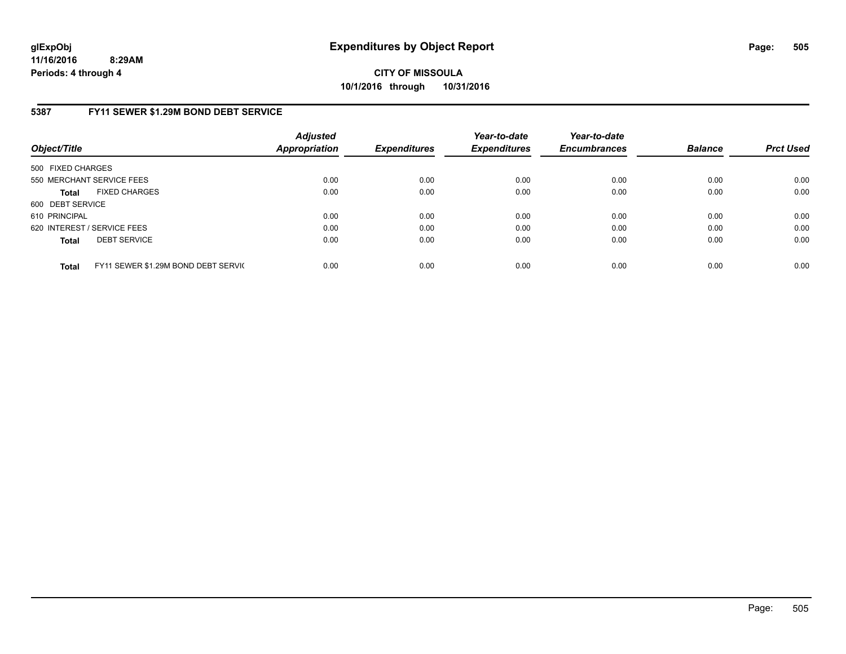**CITY OF MISSOULA 10/1/2016 through 10/31/2016**

## **5387 FY11 SEWER \$1.29M BOND DEBT SERVICE**

| Object/Title      |                                     | <b>Adjusted</b><br><b>Appropriation</b> | <b>Expenditures</b> | Year-to-date<br><b>Expenditures</b> | Year-to-date<br><b>Encumbrances</b> | <b>Balance</b> | <b>Prct Used</b> |
|-------------------|-------------------------------------|-----------------------------------------|---------------------|-------------------------------------|-------------------------------------|----------------|------------------|
| 500 FIXED CHARGES |                                     |                                         |                     |                                     |                                     |                |                  |
|                   | 550 MERCHANT SERVICE FEES           | 0.00                                    | 0.00                | 0.00                                | 0.00                                | 0.00           | 0.00             |
| <b>Total</b>      | <b>FIXED CHARGES</b>                | 0.00                                    | 0.00                | 0.00                                | 0.00                                | 0.00           | 0.00             |
| 600 DEBT SERVICE  |                                     |                                         |                     |                                     |                                     |                |                  |
| 610 PRINCIPAL     |                                     | 0.00                                    | 0.00                | 0.00                                | 0.00                                | 0.00           | 0.00             |
|                   | 620 INTEREST / SERVICE FEES         | 0.00                                    | 0.00                | 0.00                                | 0.00                                | 0.00           | 0.00             |
| <b>Total</b>      | <b>DEBT SERVICE</b>                 | 0.00                                    | 0.00                | 0.00                                | 0.00                                | 0.00           | 0.00             |
| <b>Total</b>      | FY11 SEWER \$1.29M BOND DEBT SERVIC | 0.00                                    | 0.00                | 0.00                                | 0.00                                | 0.00           | 0.00             |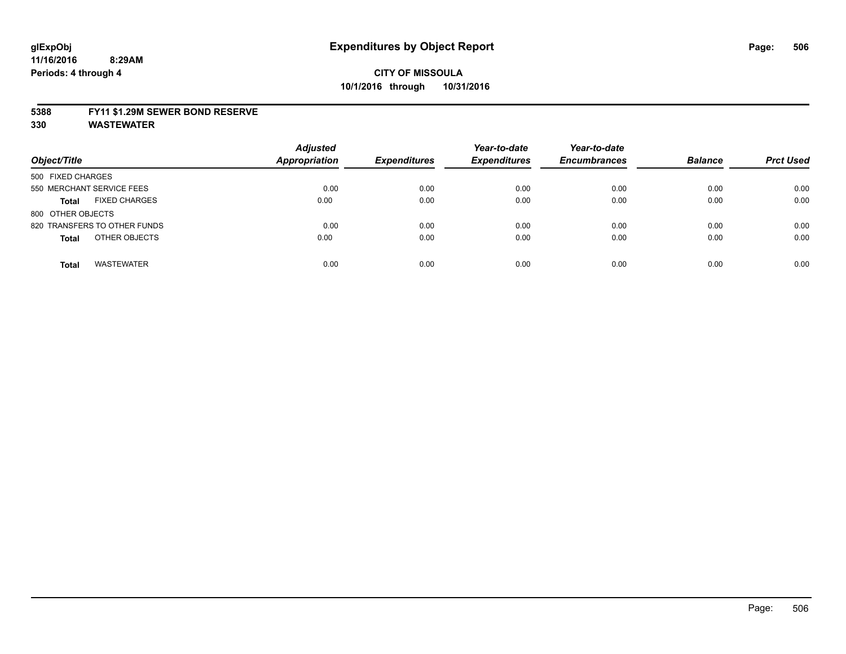### **5388 FY11 \$1.29M SEWER BOND RESERVE**

**330 WASTEWATER**

| Object/Title                         | <b>Adjusted</b><br><b>Appropriation</b> | <b>Expenditures</b> | Year-to-date<br><b>Expenditures</b> | Year-to-date<br><b>Encumbrances</b> | <b>Balance</b> | <b>Prct Used</b> |
|--------------------------------------|-----------------------------------------|---------------------|-------------------------------------|-------------------------------------|----------------|------------------|
| 500 FIXED CHARGES                    |                                         |                     |                                     |                                     |                |                  |
| 550 MERCHANT SERVICE FEES            | 0.00                                    | 0.00                | 0.00                                | 0.00                                | 0.00           | 0.00             |
| <b>FIXED CHARGES</b><br><b>Total</b> | 0.00                                    | 0.00                | 0.00                                | 0.00                                | 0.00           | 0.00             |
| 800 OTHER OBJECTS                    |                                         |                     |                                     |                                     |                |                  |
| 820 TRANSFERS TO OTHER FUNDS         | 0.00                                    | 0.00                | 0.00                                | 0.00                                | 0.00           | 0.00             |
| OTHER OBJECTS<br><b>Total</b>        | 0.00                                    | 0.00                | 0.00                                | 0.00                                | 0.00           | 0.00             |
| <b>WASTEWATER</b><br><b>Total</b>    | 0.00                                    | 0.00                | 0.00                                | 0.00                                | 0.00           | 0.00             |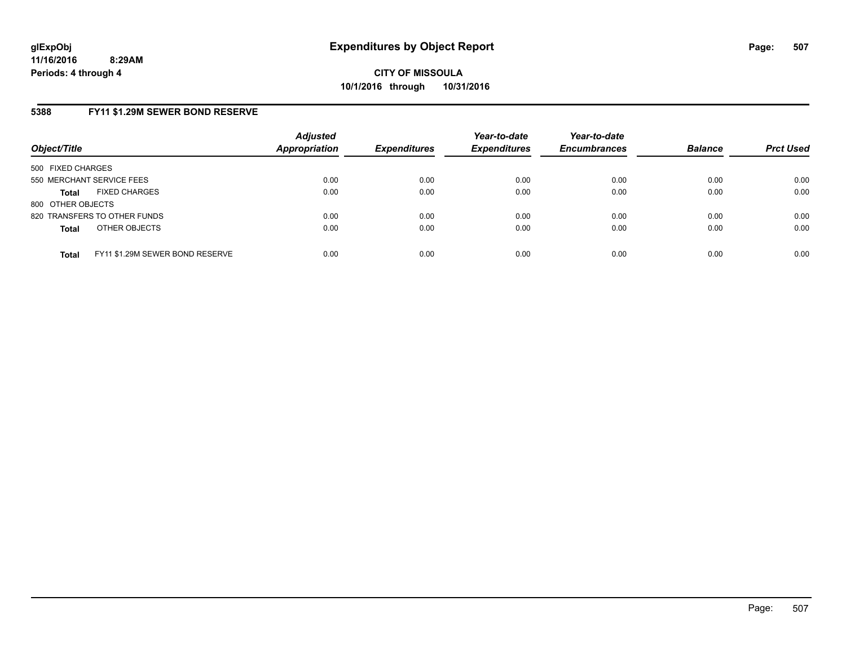**CITY OF MISSOULA 10/1/2016 through 10/31/2016**

## **5388 FY11 \$1.29M SEWER BOND RESERVE**

| Object/Title                                    | <b>Adjusted</b><br>Appropriation | <b>Expenditures</b> | Year-to-date<br><b>Expenditures</b> | Year-to-date<br><b>Encumbrances</b> | <b>Balance</b> | <b>Prct Used</b> |
|-------------------------------------------------|----------------------------------|---------------------|-------------------------------------|-------------------------------------|----------------|------------------|
| 500 FIXED CHARGES                               |                                  |                     |                                     |                                     |                |                  |
| 550 MERCHANT SERVICE FEES                       | 0.00                             | 0.00                | 0.00                                | 0.00                                | 0.00           | 0.00             |
| <b>FIXED CHARGES</b><br><b>Total</b>            | 0.00                             | 0.00                | 0.00                                | 0.00                                | 0.00           | 0.00             |
| 800 OTHER OBJECTS                               |                                  |                     |                                     |                                     |                |                  |
| 820 TRANSFERS TO OTHER FUNDS                    | 0.00                             | 0.00                | 0.00                                | 0.00                                | 0.00           | 0.00             |
| OTHER OBJECTS<br><b>Total</b>                   | 0.00                             | 0.00                | 0.00                                | 0.00                                | 0.00           | 0.00             |
| FY11 \$1.29M SEWER BOND RESERVE<br><b>Total</b> | 0.00                             | 0.00                | 0.00                                | 0.00                                | 0.00           | 0.00             |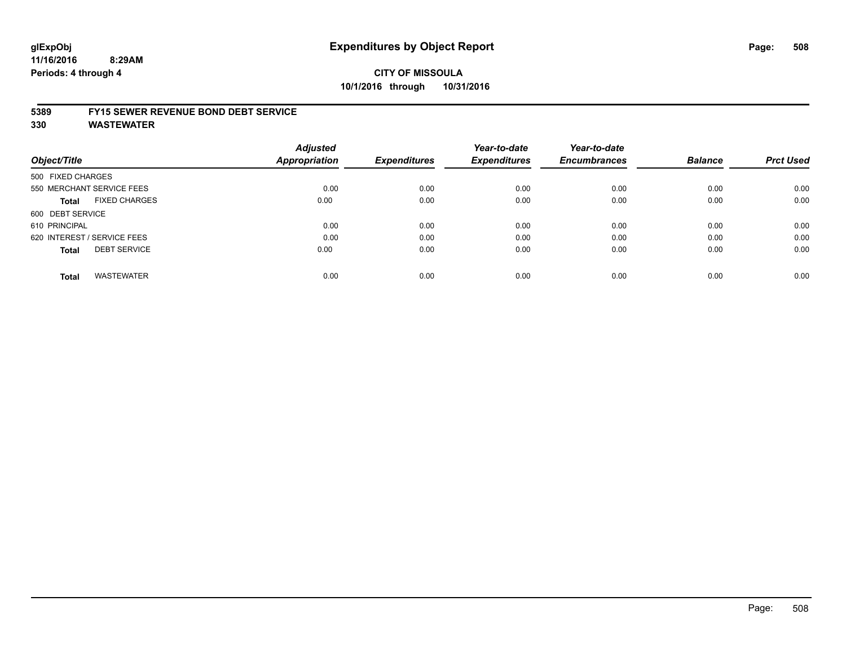# **CITY OF MISSOULA 10/1/2016 through 10/31/2016**

### **5389 FY15 SEWER REVENUE BOND DEBT SERVICE**

**330 WASTEWATER**

| Object/Title                |                           | <b>Adjusted</b><br>Appropriation | <b>Expenditures</b> | Year-to-date<br><b>Expenditures</b> | Year-to-date<br><b>Encumbrances</b> | <b>Balance</b> | <b>Prct Used</b> |
|-----------------------------|---------------------------|----------------------------------|---------------------|-------------------------------------|-------------------------------------|----------------|------------------|
| 500 FIXED CHARGES           |                           |                                  |                     |                                     |                                     |                |                  |
|                             | 550 MERCHANT SERVICE FEES | 0.00                             | 0.00                | 0.00                                | 0.00                                | 0.00           | 0.00             |
| Total                       | <b>FIXED CHARGES</b>      | 0.00                             | 0.00                | 0.00                                | 0.00                                | 0.00           | 0.00             |
| 600 DEBT SERVICE            |                           |                                  |                     |                                     |                                     |                |                  |
| 610 PRINCIPAL               |                           | 0.00                             | 0.00                | 0.00                                | 0.00                                | 0.00           | 0.00             |
| 620 INTEREST / SERVICE FEES |                           | 0.00                             | 0.00                | 0.00                                | 0.00                                | 0.00           | 0.00             |
| <b>Total</b>                | <b>DEBT SERVICE</b>       | 0.00                             | 0.00                | 0.00                                | 0.00                                | 0.00           | 0.00             |
| <b>Total</b>                | <b>WASTEWATER</b>         | 0.00                             | 0.00                | 0.00                                | 0.00                                | 0.00           | 0.00             |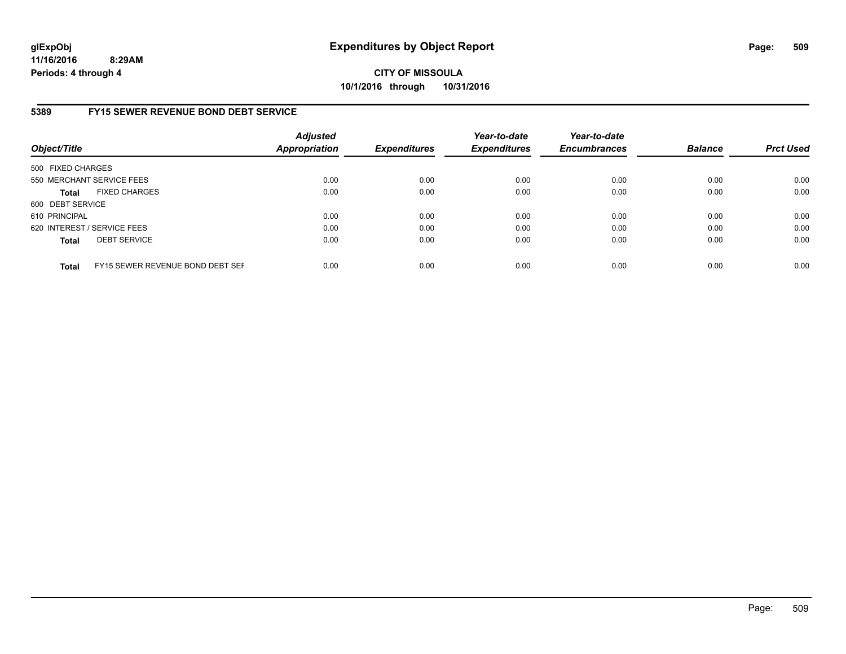**CITY OF MISSOULA 10/1/2016 through 10/31/2016**

## **5389 FY15 SEWER REVENUE BOND DEBT SERVICE**

| Object/Title      |                                  | <b>Adjusted</b><br><b>Appropriation</b> | <b>Expenditures</b> | Year-to-date<br><b>Expenditures</b> | Year-to-date<br><b>Encumbrances</b> | <b>Balance</b> | <b>Prct Used</b> |
|-------------------|----------------------------------|-----------------------------------------|---------------------|-------------------------------------|-------------------------------------|----------------|------------------|
| 500 FIXED CHARGES |                                  |                                         |                     |                                     |                                     |                |                  |
|                   | 550 MERCHANT SERVICE FEES        | 0.00                                    | 0.00                | 0.00                                | 0.00                                | 0.00           | 0.00             |
| <b>Total</b>      | <b>FIXED CHARGES</b>             | 0.00                                    | 0.00                | 0.00                                | 0.00                                | 0.00           | 0.00             |
| 600 DEBT SERVICE  |                                  |                                         |                     |                                     |                                     |                |                  |
| 610 PRINCIPAL     |                                  | 0.00                                    | 0.00                | 0.00                                | 0.00                                | 0.00           | 0.00             |
|                   | 620 INTEREST / SERVICE FEES      | 0.00                                    | 0.00                | 0.00                                | 0.00                                | 0.00           | 0.00             |
| <b>Total</b>      | <b>DEBT SERVICE</b>              | 0.00                                    | 0.00                | 0.00                                | 0.00                                | 0.00           | 0.00             |
| <b>Total</b>      | FY15 SEWER REVENUE BOND DEBT SEF | 0.00                                    | 0.00                | 0.00                                | 0.00                                | 0.00           | 0.00             |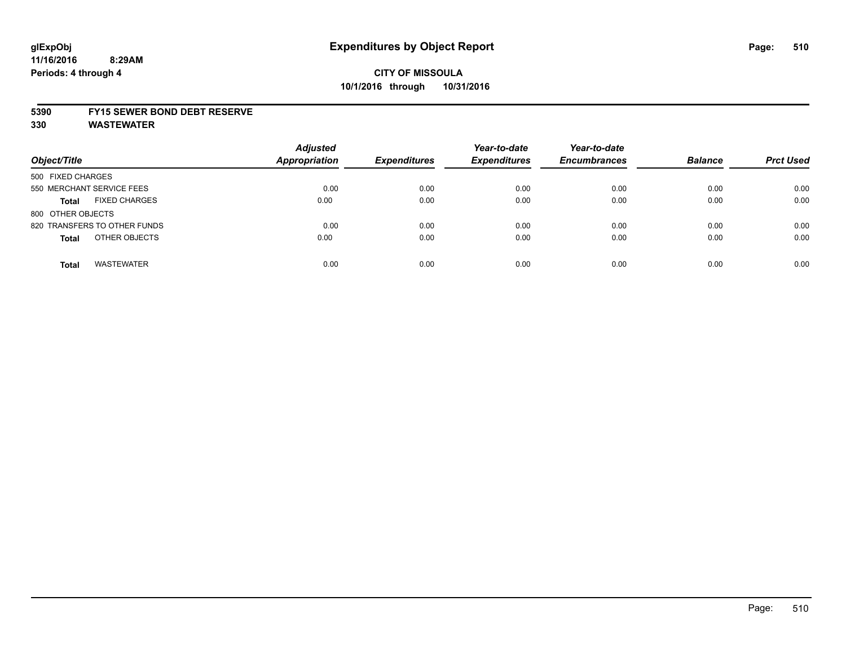### **5390 FY15 SEWER BOND DEBT RESERVE**

**330 WASTEWATER**

| Object/Title                         | <b>Adjusted</b><br><b>Appropriation</b> | <b>Expenditures</b> | Year-to-date<br><b>Expenditures</b> | Year-to-date<br><b>Encumbrances</b> | <b>Balance</b> | <b>Prct Used</b> |
|--------------------------------------|-----------------------------------------|---------------------|-------------------------------------|-------------------------------------|----------------|------------------|
| 500 FIXED CHARGES                    |                                         |                     |                                     |                                     |                |                  |
| 550 MERCHANT SERVICE FEES            | 0.00                                    | 0.00                | 0.00                                | 0.00                                | 0.00           | 0.00             |
| <b>FIXED CHARGES</b><br><b>Total</b> | 0.00                                    | 0.00                | 0.00                                | 0.00                                | 0.00           | 0.00             |
| 800 OTHER OBJECTS                    |                                         |                     |                                     |                                     |                |                  |
| 820 TRANSFERS TO OTHER FUNDS         | 0.00                                    | 0.00                | 0.00                                | 0.00                                | 0.00           | 0.00             |
| OTHER OBJECTS<br><b>Total</b>        | 0.00                                    | 0.00                | 0.00                                | 0.00                                | 0.00           | 0.00             |
| <b>WASTEWATER</b><br><b>Total</b>    | 0.00                                    | 0.00                | 0.00                                | 0.00                                | 0.00           | 0.00             |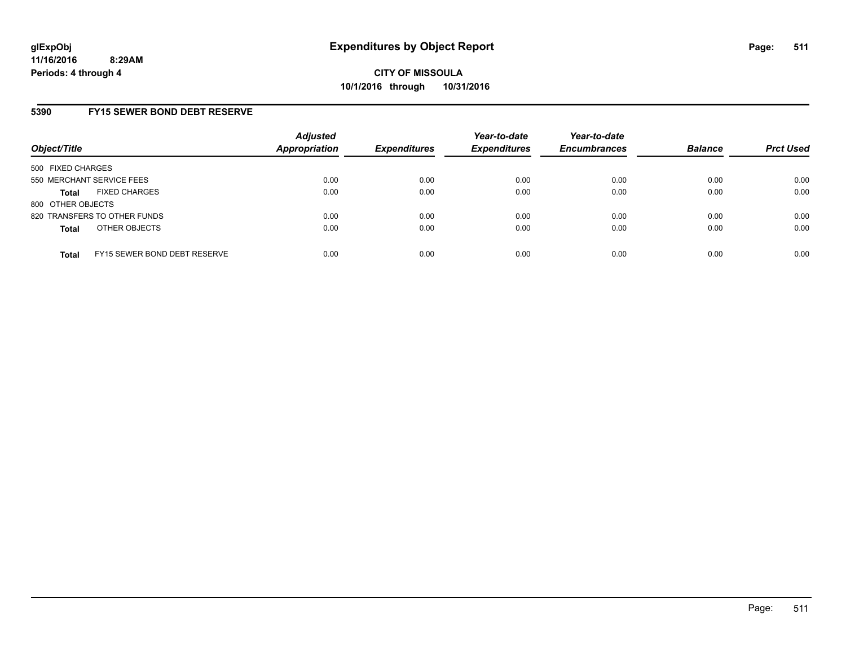## **5390 FY15 SEWER BOND DEBT RESERVE**

| Object/Title              |                              | <b>Adjusted</b><br><b>Appropriation</b> | <b>Expenditures</b> | Year-to-date<br><b>Expenditures</b> | Year-to-date<br><b>Encumbrances</b> | <b>Balance</b> | <b>Prct Used</b> |
|---------------------------|------------------------------|-----------------------------------------|---------------------|-------------------------------------|-------------------------------------|----------------|------------------|
| 500 FIXED CHARGES         |                              |                                         |                     |                                     |                                     |                |                  |
| 550 MERCHANT SERVICE FEES |                              | 0.00                                    | 0.00                | 0.00                                | 0.00                                | 0.00           | 0.00             |
| <b>Total</b>              | <b>FIXED CHARGES</b>         | 0.00                                    | 0.00                | 0.00                                | 0.00                                | 0.00           | 0.00             |
| 800 OTHER OBJECTS         |                              |                                         |                     |                                     |                                     |                |                  |
|                           | 820 TRANSFERS TO OTHER FUNDS | 0.00                                    | 0.00                | 0.00                                | 0.00                                | 0.00           | 0.00             |
| <b>Total</b>              | OTHER OBJECTS                | 0.00                                    | 0.00                | 0.00                                | 0.00                                | 0.00           | 0.00             |
| <b>Total</b>              | FY15 SEWER BOND DEBT RESERVE | 0.00                                    | 0.00                | 0.00                                | 0.00                                | 0.00           | 0.00             |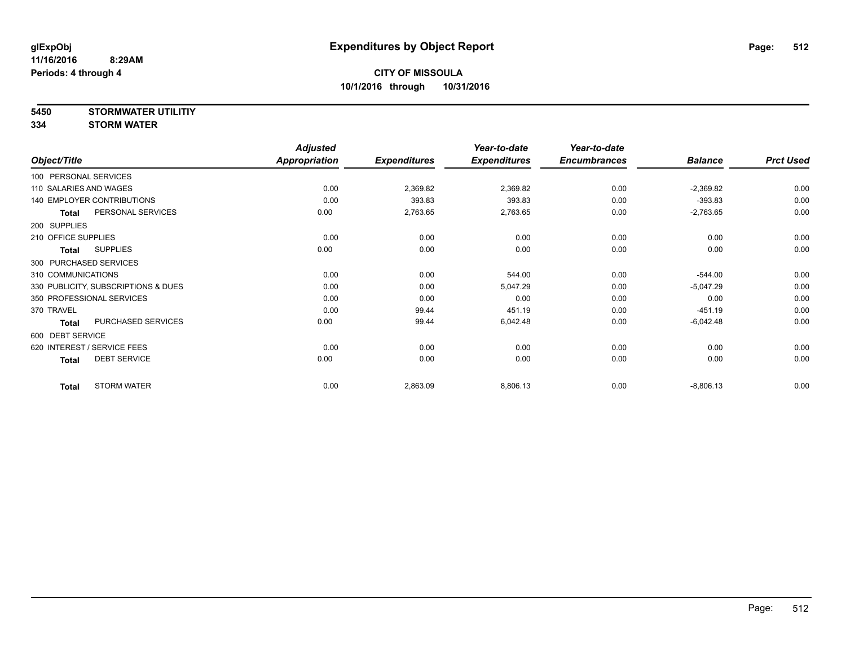**5450 STORMWATER UTILITIY**

**334 STORM WATER**

|                                     | <b>Adjusted</b>      |                     | Year-to-date        | Year-to-date        |                |                  |
|-------------------------------------|----------------------|---------------------|---------------------|---------------------|----------------|------------------|
| Object/Title                        | <b>Appropriation</b> | <b>Expenditures</b> | <b>Expenditures</b> | <b>Encumbrances</b> | <b>Balance</b> | <b>Prct Used</b> |
| 100 PERSONAL SERVICES               |                      |                     |                     |                     |                |                  |
| 110 SALARIES AND WAGES              | 0.00                 | 2,369.82            | 2,369.82            | 0.00                | $-2,369.82$    | 0.00             |
| <b>140 EMPLOYER CONTRIBUTIONS</b>   | 0.00                 | 393.83              | 393.83              | 0.00                | $-393.83$      | 0.00             |
| PERSONAL SERVICES<br><b>Total</b>   | 0.00                 | 2,763.65            | 2,763.65            | 0.00                | $-2,763.65$    | 0.00             |
| 200 SUPPLIES                        |                      |                     |                     |                     |                |                  |
| 210 OFFICE SUPPLIES                 | 0.00                 | 0.00                | 0.00                | 0.00                | 0.00           | 0.00             |
| <b>SUPPLIES</b><br>Total            | 0.00                 | 0.00                | 0.00                | 0.00                | 0.00           | 0.00             |
| 300 PURCHASED SERVICES              |                      |                     |                     |                     |                |                  |
| 310 COMMUNICATIONS                  | 0.00                 | 0.00                | 544.00              | 0.00                | $-544.00$      | 0.00             |
| 330 PUBLICITY, SUBSCRIPTIONS & DUES | 0.00                 | 0.00                | 5,047.29            | 0.00                | $-5,047.29$    | 0.00             |
| 350 PROFESSIONAL SERVICES           | 0.00                 | 0.00                | 0.00                | 0.00                | 0.00           | 0.00             |
| 370 TRAVEL                          | 0.00                 | 99.44               | 451.19              | 0.00                | $-451.19$      | 0.00             |
| PURCHASED SERVICES<br><b>Total</b>  | 0.00                 | 99.44               | 6,042.48            | 0.00                | $-6,042.48$    | 0.00             |
| 600 DEBT SERVICE                    |                      |                     |                     |                     |                |                  |
| 620 INTEREST / SERVICE FEES         | 0.00                 | 0.00                | 0.00                | 0.00                | 0.00           | 0.00             |
| <b>DEBT SERVICE</b><br><b>Total</b> | 0.00                 | 0.00                | 0.00                | 0.00                | 0.00           | 0.00             |
| <b>STORM WATER</b><br><b>Total</b>  | 0.00                 | 2,863.09            | 8,806.13            | 0.00                | $-8,806.13$    | 0.00             |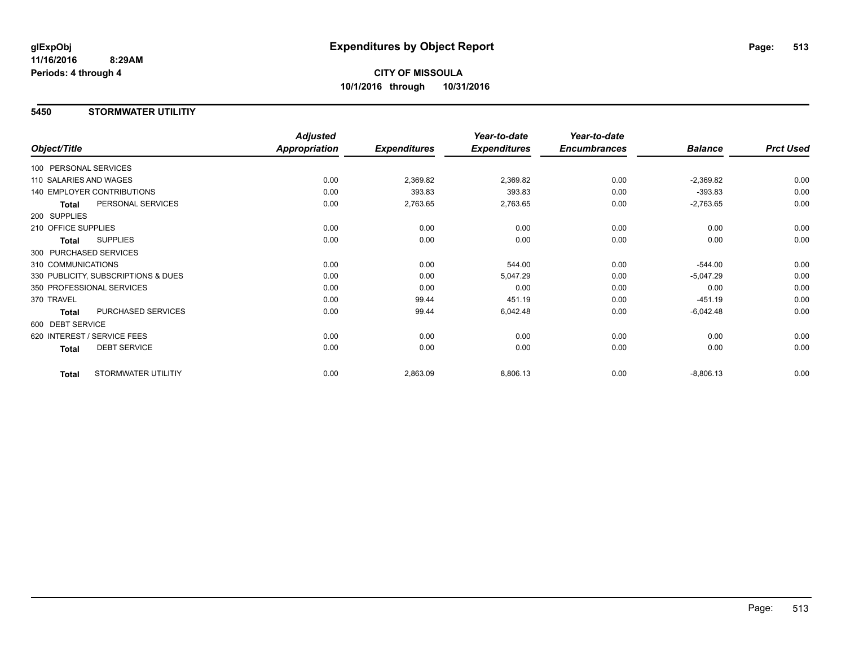# **CITY OF MISSOULA 10/1/2016 through 10/31/2016**

### **5450 STORMWATER UTILITIY**

|                                     |                     | <b>Adjusted</b>      |                     | Year-to-date        | Year-to-date        |                |                  |
|-------------------------------------|---------------------|----------------------|---------------------|---------------------|---------------------|----------------|------------------|
| Object/Title                        |                     | <b>Appropriation</b> | <b>Expenditures</b> | <b>Expenditures</b> | <b>Encumbrances</b> | <b>Balance</b> | <b>Prct Used</b> |
| 100 PERSONAL SERVICES               |                     |                      |                     |                     |                     |                |                  |
| 110 SALARIES AND WAGES              |                     | 0.00                 | 2,369.82            | 2,369.82            | 0.00                | $-2,369.82$    | 0.00             |
| 140 EMPLOYER CONTRIBUTIONS          |                     | 0.00                 | 393.83              | 393.83              | 0.00                | $-393.83$      | 0.00             |
| <b>Total</b>                        | PERSONAL SERVICES   | 0.00                 | 2,763.65            | 2,763.65            | 0.00                | $-2,763.65$    | 0.00             |
| 200 SUPPLIES                        |                     |                      |                     |                     |                     |                |                  |
| 210 OFFICE SUPPLIES                 |                     | 0.00                 | 0.00                | 0.00                | 0.00                | 0.00           | 0.00             |
| <b>SUPPLIES</b><br>Total            |                     | 0.00                 | 0.00                | 0.00                | 0.00                | 0.00           | 0.00             |
| 300 PURCHASED SERVICES              |                     |                      |                     |                     |                     |                |                  |
| 310 COMMUNICATIONS                  |                     | 0.00                 | 0.00                | 544.00              | 0.00                | $-544.00$      | 0.00             |
| 330 PUBLICITY, SUBSCRIPTIONS & DUES |                     | 0.00                 | 0.00                | 5,047.29            | 0.00                | $-5,047.29$    | 0.00             |
| 350 PROFESSIONAL SERVICES           |                     | 0.00                 | 0.00                | 0.00                | 0.00                | 0.00           | 0.00             |
| 370 TRAVEL                          |                     | 0.00                 | 99.44               | 451.19              | 0.00                | $-451.19$      | 0.00             |
| <b>Total</b>                        | PURCHASED SERVICES  | 0.00                 | 99.44               | 6,042.48            | 0.00                | $-6,042.48$    | 0.00             |
| 600 DEBT SERVICE                    |                     |                      |                     |                     |                     |                |                  |
| 620 INTEREST / SERVICE FEES         |                     | 0.00                 | 0.00                | 0.00                | 0.00                | 0.00           | 0.00             |
| <b>DEBT SERVICE</b><br>Total        |                     | 0.00                 | 0.00                | 0.00                | 0.00                | 0.00           | 0.00             |
| <b>Total</b>                        | STORMWATER UTILITIY | 0.00                 | 2,863.09            | 8,806.13            | 0.00                | $-8,806.13$    | 0.00             |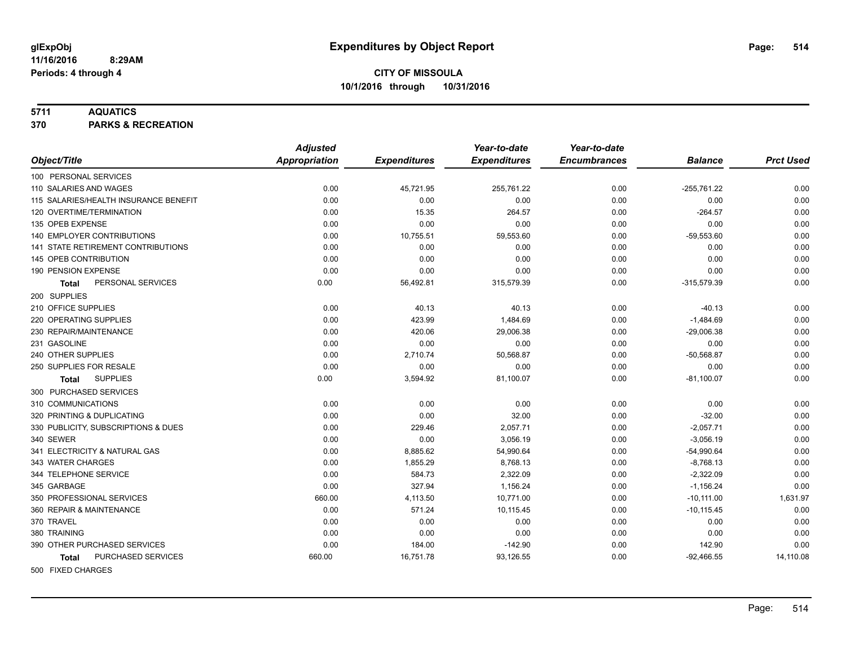### **5711 AQUATICS**

**370 PARKS & RECREATION**

|                                       | <b>Adjusted</b>      |                     | Year-to-date        | Year-to-date        |                |                  |
|---------------------------------------|----------------------|---------------------|---------------------|---------------------|----------------|------------------|
| Object/Title                          | <b>Appropriation</b> | <b>Expenditures</b> | <b>Expenditures</b> | <b>Encumbrances</b> | <b>Balance</b> | <b>Prct Used</b> |
| 100 PERSONAL SERVICES                 |                      |                     |                     |                     |                |                  |
| 110 SALARIES AND WAGES                | 0.00                 | 45,721.95           | 255,761.22          | 0.00                | $-255,761.22$  | 0.00             |
| 115 SALARIES/HEALTH INSURANCE BENEFIT | 0.00                 | 0.00                | 0.00                | 0.00                | 0.00           | 0.00             |
| 120 OVERTIME/TERMINATION              | 0.00                 | 15.35               | 264.57              | 0.00                | $-264.57$      | 0.00             |
| 135 OPEB EXPENSE                      | 0.00                 | 0.00                | 0.00                | 0.00                | 0.00           | 0.00             |
| 140 EMPLOYER CONTRIBUTIONS            | 0.00                 | 10,755.51           | 59,553.60           | 0.00                | $-59,553.60$   | 0.00             |
| 141 STATE RETIREMENT CONTRIBUTIONS    | 0.00                 | 0.00                | 0.00                | 0.00                | 0.00           | 0.00             |
| 145 OPEB CONTRIBUTION                 | 0.00                 | 0.00                | 0.00                | 0.00                | 0.00           | 0.00             |
| 190 PENSION EXPENSE                   | 0.00                 | 0.00                | 0.00                | 0.00                | 0.00           | 0.00             |
| PERSONAL SERVICES<br><b>Total</b>     | 0.00                 | 56,492.81           | 315,579.39          | 0.00                | $-315,579.39$  | 0.00             |
| 200 SUPPLIES                          |                      |                     |                     |                     |                |                  |
| 210 OFFICE SUPPLIES                   | 0.00                 | 40.13               | 40.13               | 0.00                | $-40.13$       | 0.00             |
| 220 OPERATING SUPPLIES                | 0.00                 | 423.99              | 1,484.69            | 0.00                | $-1,484.69$    | 0.00             |
| 230 REPAIR/MAINTENANCE                | 0.00                 | 420.06              | 29,006.38           | 0.00                | $-29,006.38$   | 0.00             |
| 231 GASOLINE                          | 0.00                 | 0.00                | 0.00                | 0.00                | 0.00           | 0.00             |
| 240 OTHER SUPPLIES                    | 0.00                 | 2,710.74            | 50,568.87           | 0.00                | $-50,568.87$   | 0.00             |
| 250 SUPPLIES FOR RESALE               | 0.00                 | 0.00                | 0.00                | 0.00                | 0.00           | 0.00             |
| <b>SUPPLIES</b><br><b>Total</b>       | 0.00                 | 3,594.92            | 81,100.07           | 0.00                | $-81,100.07$   | 0.00             |
| 300 PURCHASED SERVICES                |                      |                     |                     |                     |                |                  |
| 310 COMMUNICATIONS                    | 0.00                 | 0.00                | 0.00                | 0.00                | 0.00           | 0.00             |
| 320 PRINTING & DUPLICATING            | 0.00                 | 0.00                | 32.00               | 0.00                | $-32.00$       | 0.00             |
| 330 PUBLICITY, SUBSCRIPTIONS & DUES   | 0.00                 | 229.46              | 2,057.71            | 0.00                | $-2,057.71$    | 0.00             |
| 340 SEWER                             | 0.00                 | 0.00                | 3.056.19            | 0.00                | $-3,056.19$    | 0.00             |
| 341 ELECTRICITY & NATURAL GAS         | 0.00                 | 8,885.62            | 54,990.64           | 0.00                | $-54,990.64$   | 0.00             |
| 343 WATER CHARGES                     | 0.00                 | 1,855.29            | 8,768.13            | 0.00                | $-8,768.13$    | 0.00             |
| 344 TELEPHONE SERVICE                 | 0.00                 | 584.73              | 2,322.09            | 0.00                | $-2,322.09$    | 0.00             |
| 345 GARBAGE                           | 0.00                 | 327.94              | 1,156.24            | 0.00                | $-1,156.24$    | 0.00             |
| 350 PROFESSIONAL SERVICES             | 660.00               | 4,113.50            | 10,771.00           | 0.00                | $-10,111.00$   | 1,631.97         |
| 360 REPAIR & MAINTENANCE              | 0.00                 | 571.24              | 10,115.45           | 0.00                | $-10, 115.45$  | 0.00             |
| 370 TRAVEL                            | 0.00                 | 0.00                | 0.00                | 0.00                | 0.00           | 0.00             |
| 380 TRAINING                          | 0.00                 | 0.00                | 0.00                | 0.00                | 0.00           | 0.00             |
| 390 OTHER PURCHASED SERVICES          | 0.00                 | 184.00              | $-142.90$           | 0.00                | 142.90         | 0.00             |
| PURCHASED SERVICES<br><b>Total</b>    | 660.00               | 16,751.78           | 93,126.55           | 0.00                | $-92,466.55$   | 14,110.08        |
| 500 FIXED CHARGES                     |                      |                     |                     |                     |                |                  |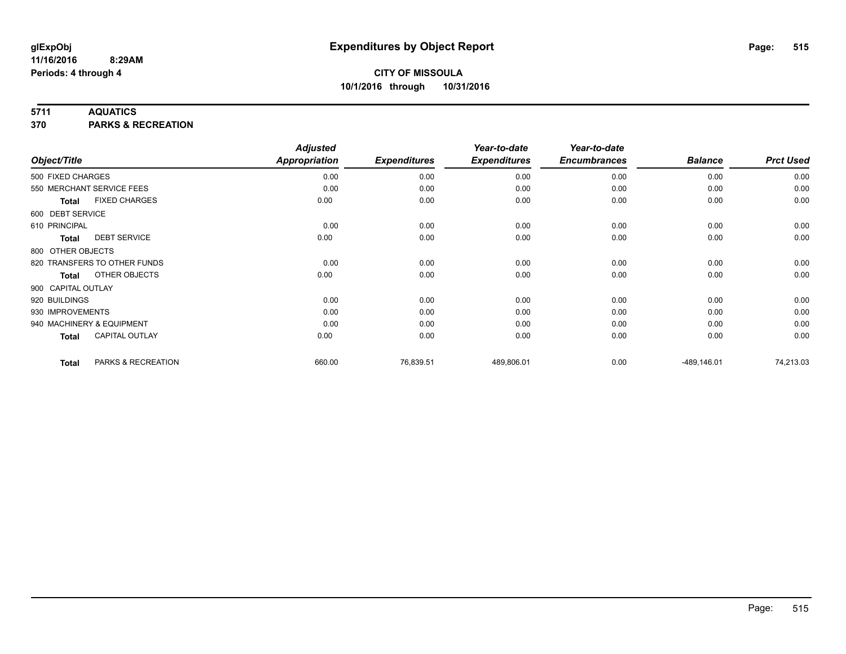### **5711 AQUATICS**

**370 PARKS & RECREATION**

| Object/Title       |                              | <b>Adjusted</b><br><b>Appropriation</b> | <b>Expenditures</b> | Year-to-date<br><b>Expenditures</b> | Year-to-date<br><b>Encumbrances</b> | <b>Balance</b> | <b>Prct Used</b> |
|--------------------|------------------------------|-----------------------------------------|---------------------|-------------------------------------|-------------------------------------|----------------|------------------|
| 500 FIXED CHARGES  |                              | 0.00                                    | 0.00                | 0.00                                | 0.00                                | 0.00           | 0.00             |
|                    | 550 MERCHANT SERVICE FEES    | 0.00                                    | 0.00                | 0.00                                | 0.00                                | 0.00           | 0.00             |
| Total              | <b>FIXED CHARGES</b>         | 0.00                                    | 0.00                | 0.00                                | 0.00                                | 0.00           | 0.00             |
| 600 DEBT SERVICE   |                              |                                         |                     |                                     |                                     |                |                  |
| 610 PRINCIPAL      |                              | 0.00                                    | 0.00                | 0.00                                | 0.00                                | 0.00           | 0.00             |
| <b>Total</b>       | <b>DEBT SERVICE</b>          | 0.00                                    | 0.00                | 0.00                                | 0.00                                | 0.00           | 0.00             |
| 800 OTHER OBJECTS  |                              |                                         |                     |                                     |                                     |                |                  |
|                    | 820 TRANSFERS TO OTHER FUNDS | 0.00                                    | 0.00                | 0.00                                | 0.00                                | 0.00           | 0.00             |
| <b>Total</b>       | OTHER OBJECTS                | 0.00                                    | 0.00                | 0.00                                | 0.00                                | 0.00           | 0.00             |
| 900 CAPITAL OUTLAY |                              |                                         |                     |                                     |                                     |                |                  |
| 920 BUILDINGS      |                              | 0.00                                    | 0.00                | 0.00                                | 0.00                                | 0.00           | 0.00             |
| 930 IMPROVEMENTS   |                              | 0.00                                    | 0.00                | 0.00                                | 0.00                                | 0.00           | 0.00             |
|                    | 940 MACHINERY & EQUIPMENT    | 0.00                                    | 0.00                | 0.00                                | 0.00                                | 0.00           | 0.00             |
| <b>Total</b>       | <b>CAPITAL OUTLAY</b>        | 0.00                                    | 0.00                | 0.00                                | 0.00                                | 0.00           | 0.00             |
| <b>Total</b>       | PARKS & RECREATION           | 660.00                                  | 76,839.51           | 489,806.01                          | 0.00                                | $-489, 146.01$ | 74,213.03        |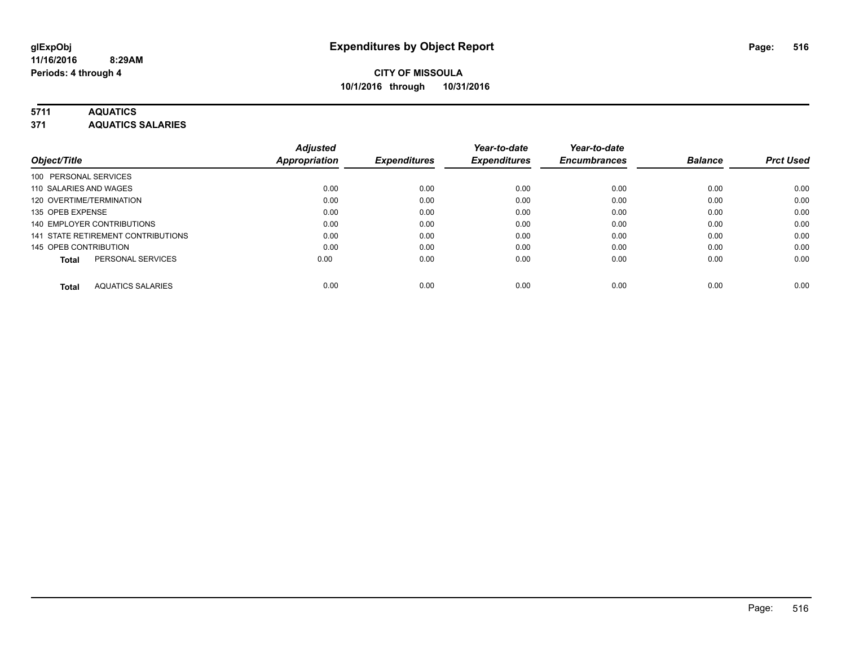# **5711 AQUATICS**

**371 AQUATICS SALARIES**

|                                          | <b>Adjusted</b>      |                     | Year-to-date        | Year-to-date        |                |                  |
|------------------------------------------|----------------------|---------------------|---------------------|---------------------|----------------|------------------|
| Object/Title                             | <b>Appropriation</b> | <b>Expenditures</b> | <b>Expenditures</b> | <b>Encumbrances</b> | <b>Balance</b> | <b>Prct Used</b> |
| 100 PERSONAL SERVICES                    |                      |                     |                     |                     |                |                  |
| 110 SALARIES AND WAGES                   | 0.00                 | 0.00                | 0.00                | 0.00                | 0.00           | 0.00             |
| 120 OVERTIME/TERMINATION                 | 0.00                 | 0.00                | 0.00                | 0.00                | 0.00           | 0.00             |
| 135 OPEB EXPENSE                         | 0.00                 | 0.00                | 0.00                | 0.00                | 0.00           | 0.00             |
| 140 EMPLOYER CONTRIBUTIONS               | 0.00                 | 0.00                | 0.00                | 0.00                | 0.00           | 0.00             |
| 141 STATE RETIREMENT CONTRIBUTIONS       | 0.00                 | 0.00                | 0.00                | 0.00                | 0.00           | 0.00             |
| 145 OPEB CONTRIBUTION                    | 0.00                 | 0.00                | 0.00                | 0.00                | 0.00           | 0.00             |
| PERSONAL SERVICES<br><b>Total</b>        | 0.00                 | 0.00                | 0.00                | 0.00                | 0.00           | 0.00             |
| <b>AQUATICS SALARIES</b><br><b>Total</b> | 0.00                 | 0.00                | 0.00                | 0.00                | 0.00           | 0.00             |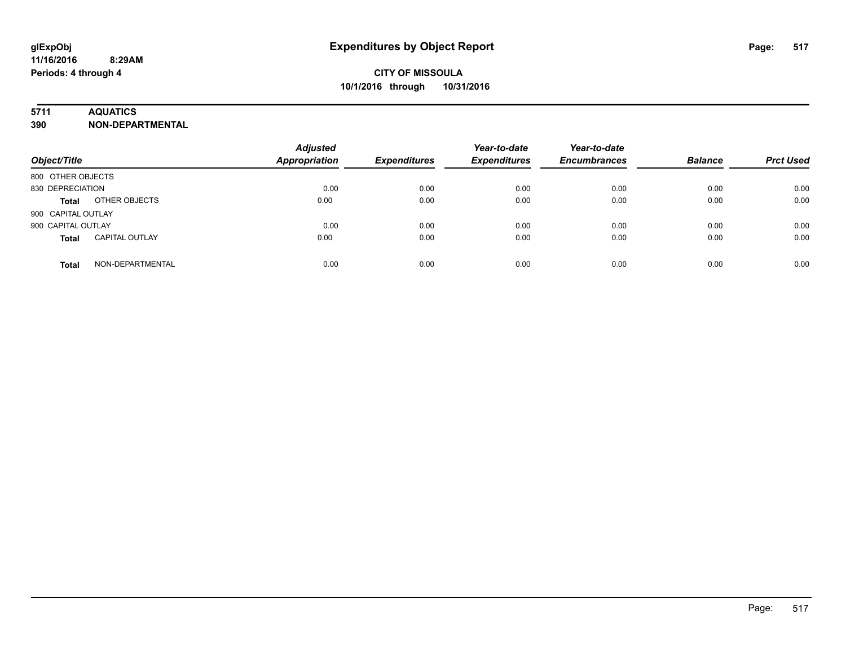# **5711 AQUATICS**

**390 NON-DEPARTMENTAL**

| Object/Title                          | <b>Adjusted</b><br><b>Appropriation</b> | <b>Expenditures</b> | Year-to-date<br><b>Expenditures</b> | Year-to-date<br><b>Encumbrances</b> | <b>Balance</b> | <b>Prct Used</b> |
|---------------------------------------|-----------------------------------------|---------------------|-------------------------------------|-------------------------------------|----------------|------------------|
| 800 OTHER OBJECTS                     |                                         |                     |                                     |                                     |                |                  |
| 830 DEPRECIATION                      | 0.00                                    | 0.00                | 0.00                                | 0.00                                | 0.00           | 0.00             |
| OTHER OBJECTS<br><b>Total</b>         | 0.00                                    | 0.00                | 0.00                                | 0.00                                | 0.00           | 0.00             |
| 900 CAPITAL OUTLAY                    |                                         |                     |                                     |                                     |                |                  |
| 900 CAPITAL OUTLAY                    | 0.00                                    | 0.00                | 0.00                                | 0.00                                | 0.00           | 0.00             |
| <b>CAPITAL OUTLAY</b><br><b>Total</b> | 0.00                                    | 0.00                | 0.00                                | 0.00                                | 0.00           | 0.00             |
| NON-DEPARTMENTAL<br><b>Total</b>      | 0.00                                    | 0.00                | 0.00                                | 0.00                                | 0.00           | 0.00             |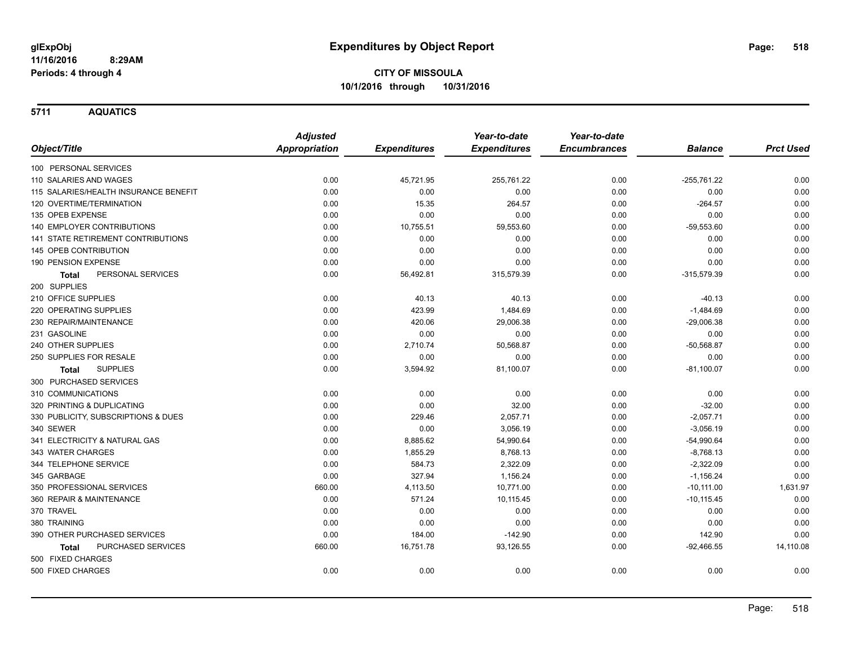**5711 AQUATICS**

|                                           | <b>Adjusted</b>      |                     | Year-to-date        | Year-to-date        |                |                  |
|-------------------------------------------|----------------------|---------------------|---------------------|---------------------|----------------|------------------|
| Object/Title                              | <b>Appropriation</b> | <b>Expenditures</b> | <b>Expenditures</b> | <b>Encumbrances</b> | <b>Balance</b> | <b>Prct Used</b> |
| 100 PERSONAL SERVICES                     |                      |                     |                     |                     |                |                  |
| 110 SALARIES AND WAGES                    | 0.00                 | 45,721.95           | 255,761.22          | 0.00                | $-255,761.22$  | 0.00             |
| 115 SALARIES/HEALTH INSURANCE BENEFIT     | 0.00                 | 0.00                | 0.00                | 0.00                | 0.00           | 0.00             |
| 120 OVERTIME/TERMINATION                  | 0.00                 | 15.35               | 264.57              | 0.00                | $-264.57$      | 0.00             |
| 135 OPEB EXPENSE                          | 0.00                 | 0.00                | 0.00                | 0.00                | 0.00           | 0.00             |
| 140 EMPLOYER CONTRIBUTIONS                | 0.00                 | 10,755.51           | 59,553.60           | 0.00                | $-59,553.60$   | 0.00             |
| 141 STATE RETIREMENT CONTRIBUTIONS        | 0.00                 | 0.00                | 0.00                | 0.00                | 0.00           | 0.00             |
| <b>145 OPEB CONTRIBUTION</b>              | 0.00                 | 0.00                | 0.00                | 0.00                | 0.00           | 0.00             |
| 190 PENSION EXPENSE                       | 0.00                 | 0.00                | 0.00                | 0.00                | 0.00           | 0.00             |
| PERSONAL SERVICES<br>Total                | 0.00                 | 56,492.81           | 315,579.39          | 0.00                | $-315,579.39$  | 0.00             |
| 200 SUPPLIES                              |                      |                     |                     |                     |                |                  |
| 210 OFFICE SUPPLIES                       | 0.00                 | 40.13               | 40.13               | 0.00                | $-40.13$       | 0.00             |
| 220 OPERATING SUPPLIES                    | 0.00                 | 423.99              | 1,484.69            | 0.00                | $-1,484.69$    | 0.00             |
| 230 REPAIR/MAINTENANCE                    | 0.00                 | 420.06              | 29,006.38           | 0.00                | $-29,006.38$   | 0.00             |
| 231 GASOLINE                              | 0.00                 | 0.00                | 0.00                | 0.00                | 0.00           | 0.00             |
| 240 OTHER SUPPLIES                        | 0.00                 | 2,710.74            | 50,568.87           | 0.00                | $-50,568.87$   | 0.00             |
| 250 SUPPLIES FOR RESALE                   | 0.00                 | 0.00                | 0.00                | 0.00                | 0.00           | 0.00             |
| <b>SUPPLIES</b><br>Total                  | 0.00                 | 3,594.92            | 81,100.07           | 0.00                | $-81,100.07$   | 0.00             |
| 300 PURCHASED SERVICES                    |                      |                     |                     |                     |                |                  |
| 310 COMMUNICATIONS                        | 0.00                 | 0.00                | 0.00                | 0.00                | 0.00           | 0.00             |
| 320 PRINTING & DUPLICATING                | 0.00                 | 0.00                | 32.00               | 0.00                | $-32.00$       | 0.00             |
| 330 PUBLICITY, SUBSCRIPTIONS & DUES       | 0.00                 | 229.46              | 2,057.71            | 0.00                | $-2,057.71$    | 0.00             |
| 340 SEWER                                 | 0.00                 | 0.00                | 3,056.19            | 0.00                | $-3,056.19$    | 0.00             |
| 341 ELECTRICITY & NATURAL GAS             | 0.00                 | 8,885.62            | 54,990.64           | 0.00                | $-54,990.64$   | 0.00             |
| 343 WATER CHARGES                         | 0.00                 | 1,855.29            | 8,768.13            | 0.00                | $-8,768.13$    | 0.00             |
| 344 TELEPHONE SERVICE                     | 0.00                 | 584.73              | 2,322.09            | 0.00                | $-2,322.09$    | 0.00             |
| 345 GARBAGE                               | 0.00                 | 327.94              | 1,156.24            | 0.00                | $-1,156.24$    | 0.00             |
| 350 PROFESSIONAL SERVICES                 | 660.00               | 4,113.50            | 10,771.00           | 0.00                | $-10, 111.00$  | 1,631.97         |
| 360 REPAIR & MAINTENANCE                  | 0.00                 | 571.24              | 10,115.45           | 0.00                | $-10, 115.45$  | 0.00             |
| 370 TRAVEL                                | 0.00                 | 0.00                | 0.00                | 0.00                | 0.00           | 0.00             |
| 380 TRAINING                              | 0.00                 | 0.00                | 0.00                | 0.00                | 0.00           | 0.00             |
| 390 OTHER PURCHASED SERVICES              | 0.00                 | 184.00              | $-142.90$           | 0.00                | 142.90         | 0.00             |
| <b>PURCHASED SERVICES</b><br><b>Total</b> | 660.00               | 16,751.78           | 93,126.55           | 0.00                | $-92,466.55$   | 14,110.08        |
| 500 FIXED CHARGES                         |                      |                     |                     |                     |                |                  |
| 500 FIXED CHARGES                         | 0.00                 | 0.00                | 0.00                | 0.00                | 0.00           | 0.00             |
|                                           |                      |                     |                     |                     |                |                  |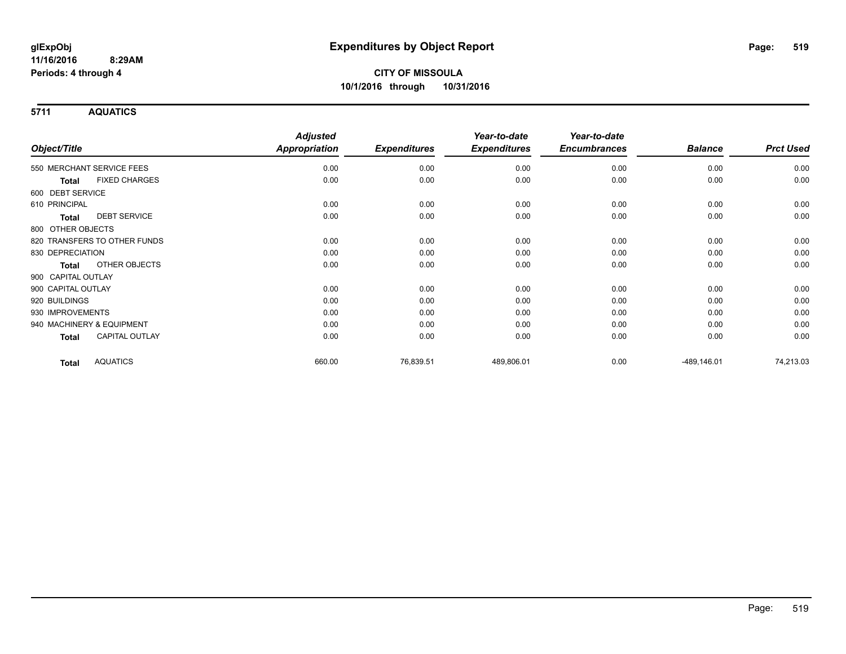**5711 AQUATICS**

|                                       | <b>Adjusted</b>      |                     | Year-to-date        | Year-to-date        |                |                  |
|---------------------------------------|----------------------|---------------------|---------------------|---------------------|----------------|------------------|
| Object/Title                          | <b>Appropriation</b> | <b>Expenditures</b> | <b>Expenditures</b> | <b>Encumbrances</b> | <b>Balance</b> | <b>Prct Used</b> |
| 550 MERCHANT SERVICE FEES             | 0.00                 | 0.00                | 0.00                | 0.00                | 0.00           | 0.00             |
| <b>FIXED CHARGES</b><br><b>Total</b>  | 0.00                 | 0.00                | 0.00                | 0.00                | 0.00           | 0.00             |
| 600 DEBT SERVICE                      |                      |                     |                     |                     |                |                  |
| 610 PRINCIPAL                         | 0.00                 | 0.00                | 0.00                | 0.00                | 0.00           | 0.00             |
| <b>DEBT SERVICE</b><br>Total          | 0.00                 | 0.00                | 0.00                | 0.00                | 0.00           | 0.00             |
| 800 OTHER OBJECTS                     |                      |                     |                     |                     |                |                  |
| 820 TRANSFERS TO OTHER FUNDS          | 0.00                 | 0.00                | 0.00                | 0.00                | 0.00           | 0.00             |
| 830 DEPRECIATION                      | 0.00                 | 0.00                | 0.00                | 0.00                | 0.00           | 0.00             |
| OTHER OBJECTS<br><b>Total</b>         | 0.00                 | 0.00                | 0.00                | 0.00                | 0.00           | 0.00             |
| 900 CAPITAL OUTLAY                    |                      |                     |                     |                     |                |                  |
| 900 CAPITAL OUTLAY                    | 0.00                 | 0.00                | 0.00                | 0.00                | 0.00           | 0.00             |
| 920 BUILDINGS                         | 0.00                 | 0.00                | 0.00                | 0.00                | 0.00           | 0.00             |
| 930 IMPROVEMENTS                      | 0.00                 | 0.00                | 0.00                | 0.00                | 0.00           | 0.00             |
| 940 MACHINERY & EQUIPMENT             | 0.00                 | 0.00                | 0.00                | 0.00                | 0.00           | 0.00             |
| <b>CAPITAL OUTLAY</b><br><b>Total</b> | 0.00                 | 0.00                | 0.00                | 0.00                | 0.00           | 0.00             |
| <b>AQUATICS</b><br><b>Total</b>       | 660.00               | 76,839.51           | 489,806.01          | 0.00                | $-489, 146.01$ | 74,213.03        |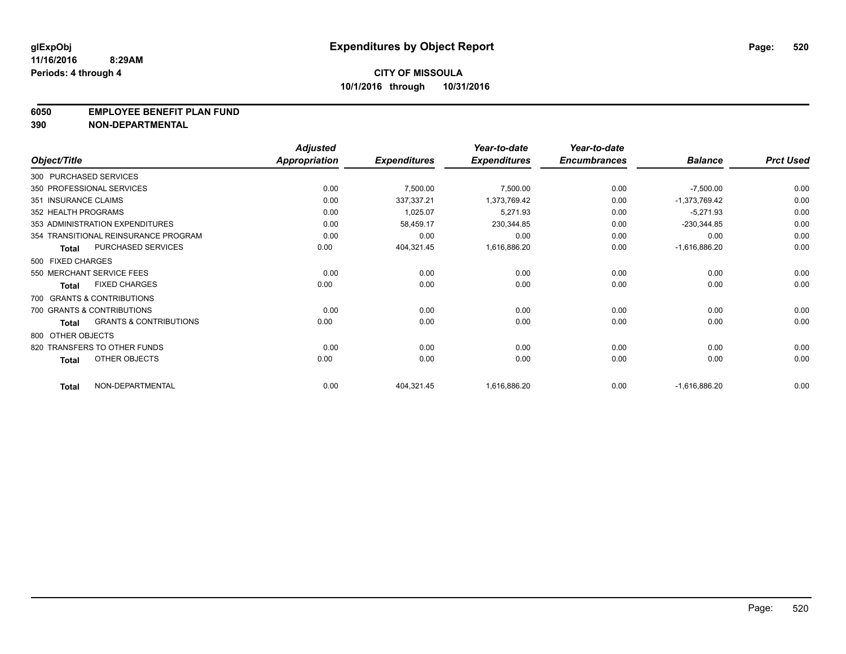### **6050 EMPLOYEE BENEFIT PLAN FUND**

**390 NON-DEPARTMENTAL**

|                      |                                      | <b>Adjusted</b>      |                     | Year-to-date        | Year-to-date        |                 |                  |
|----------------------|--------------------------------------|----------------------|---------------------|---------------------|---------------------|-----------------|------------------|
| Object/Title         |                                      | <b>Appropriation</b> | <b>Expenditures</b> | <b>Expenditures</b> | <b>Encumbrances</b> | <b>Balance</b>  | <b>Prct Used</b> |
|                      | 300 PURCHASED SERVICES               |                      |                     |                     |                     |                 |                  |
|                      | 350 PROFESSIONAL SERVICES            | 0.00                 | 7,500.00            | 7,500.00            | 0.00                | $-7,500.00$     | 0.00             |
| 351 INSURANCE CLAIMS |                                      | 0.00                 | 337,337.21          | 1,373,769.42        | 0.00                | $-1,373,769.42$ | 0.00             |
| 352 HEALTH PROGRAMS  |                                      | 0.00                 | 1,025.07            | 5,271.93            | 0.00                | $-5,271.93$     | 0.00             |
|                      | 353 ADMINISTRATION EXPENDITURES      | 0.00                 | 58,459.17           | 230,344.85          | 0.00                | $-230,344.85$   | 0.00             |
|                      | 354 TRANSITIONAL REINSURANCE PROGRAM | 0.00                 | 0.00                | 0.00                | 0.00                | 0.00            | 0.00             |
| <b>Total</b>         | <b>PURCHASED SERVICES</b>            | 0.00                 | 404,321.45          | 1,616,886.20        | 0.00                | $-1,616,886.20$ | 0.00             |
| 500 FIXED CHARGES    |                                      |                      |                     |                     |                     |                 |                  |
|                      | 550 MERCHANT SERVICE FEES            | 0.00                 | 0.00                | 0.00                | 0.00                | 0.00            | 0.00             |
| <b>Total</b>         | <b>FIXED CHARGES</b>                 | 0.00                 | 0.00                | 0.00                | 0.00                | 0.00            | 0.00             |
|                      | 700 GRANTS & CONTRIBUTIONS           |                      |                     |                     |                     |                 |                  |
|                      | 700 GRANTS & CONTRIBUTIONS           | 0.00                 | 0.00                | 0.00                | 0.00                | 0.00            | 0.00             |
| <b>Total</b>         | <b>GRANTS &amp; CONTRIBUTIONS</b>    | 0.00                 | 0.00                | 0.00                | 0.00                | 0.00            | 0.00             |
| 800 OTHER OBJECTS    |                                      |                      |                     |                     |                     |                 |                  |
|                      | 820 TRANSFERS TO OTHER FUNDS         | 0.00                 | 0.00                | 0.00                | 0.00                | 0.00            | 0.00             |
| <b>Total</b>         | OTHER OBJECTS                        | 0.00                 | 0.00                | 0.00                | 0.00                | 0.00            | 0.00             |
| <b>Total</b>         | NON-DEPARTMENTAL                     | 0.00                 | 404,321.45          | 1,616,886.20        | 0.00                | $-1,616,886.20$ | 0.00             |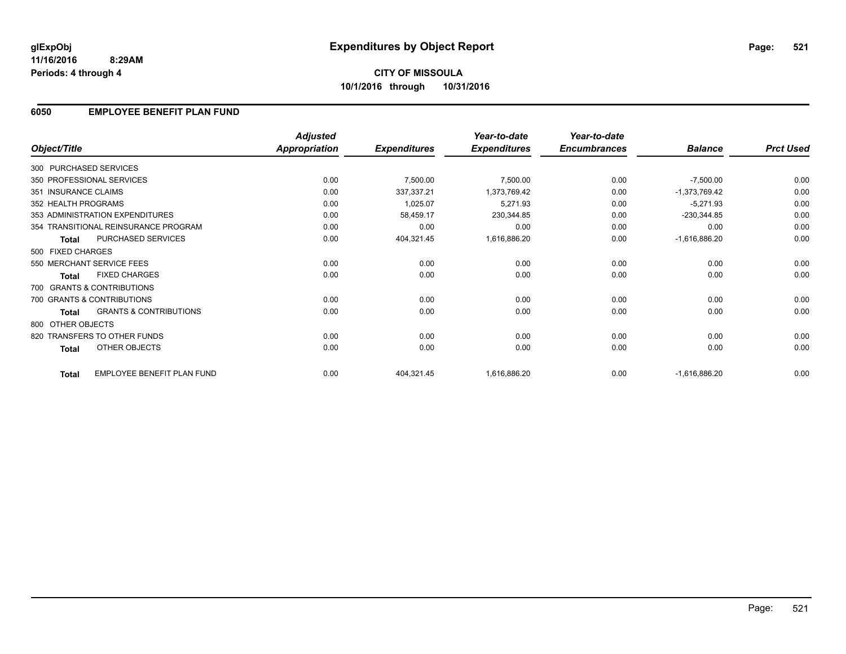# **CITY OF MISSOULA 10/1/2016 through 10/31/2016**

### **6050 EMPLOYEE BENEFIT PLAN FUND**

|                        |                                      | <b>Adjusted</b>      |                     | Year-to-date        | Year-to-date        |                 |                  |
|------------------------|--------------------------------------|----------------------|---------------------|---------------------|---------------------|-----------------|------------------|
| Object/Title           |                                      | <b>Appropriation</b> | <b>Expenditures</b> | <b>Expenditures</b> | <b>Encumbrances</b> | <b>Balance</b>  | <b>Prct Used</b> |
| 300 PURCHASED SERVICES |                                      |                      |                     |                     |                     |                 |                  |
|                        | 350 PROFESSIONAL SERVICES            | 0.00                 | 7,500.00            | 7,500.00            | 0.00                | $-7,500.00$     | 0.00             |
| 351 INSURANCE CLAIMS   |                                      | 0.00                 | 337,337.21          | 1,373,769.42        | 0.00                | $-1,373,769.42$ | 0.00             |
| 352 HEALTH PROGRAMS    |                                      | 0.00                 | 1,025.07            | 5,271.93            | 0.00                | $-5,271.93$     | 0.00             |
|                        | 353 ADMINISTRATION EXPENDITURES      | 0.00                 | 58,459.17           | 230,344.85          | 0.00                | $-230,344.85$   | 0.00             |
|                        | 354 TRANSITIONAL REINSURANCE PROGRAM | 0.00                 | 0.00                | 0.00                | 0.00                | 0.00            | 0.00             |
| <b>Total</b>           | <b>PURCHASED SERVICES</b>            | 0.00                 | 404,321.45          | 1,616,886.20        | 0.00                | $-1,616,886.20$ | 0.00             |
| 500 FIXED CHARGES      |                                      |                      |                     |                     |                     |                 |                  |
|                        | 550 MERCHANT SERVICE FEES            | 0.00                 | 0.00                | 0.00                | 0.00                | 0.00            | 0.00             |
| <b>Total</b>           | <b>FIXED CHARGES</b>                 | 0.00                 | 0.00                | 0.00                | 0.00                | 0.00            | 0.00             |
|                        | 700 GRANTS & CONTRIBUTIONS           |                      |                     |                     |                     |                 |                  |
|                        | 700 GRANTS & CONTRIBUTIONS           | 0.00                 | 0.00                | 0.00                | 0.00                | 0.00            | 0.00             |
| Total                  | <b>GRANTS &amp; CONTRIBUTIONS</b>    | 0.00                 | 0.00                | 0.00                | 0.00                | 0.00            | 0.00             |
| 800 OTHER OBJECTS      |                                      |                      |                     |                     |                     |                 |                  |
|                        | 820 TRANSFERS TO OTHER FUNDS         | 0.00                 | 0.00                | 0.00                | 0.00                | 0.00            | 0.00             |
| Total                  | OTHER OBJECTS                        | 0.00                 | 0.00                | 0.00                | 0.00                | 0.00            | 0.00             |
| <b>Total</b>           | EMPLOYEE BENEFIT PLAN FUND           | 0.00                 | 404,321.45          | 1,616,886.20        | 0.00                | $-1,616,886.20$ | 0.00             |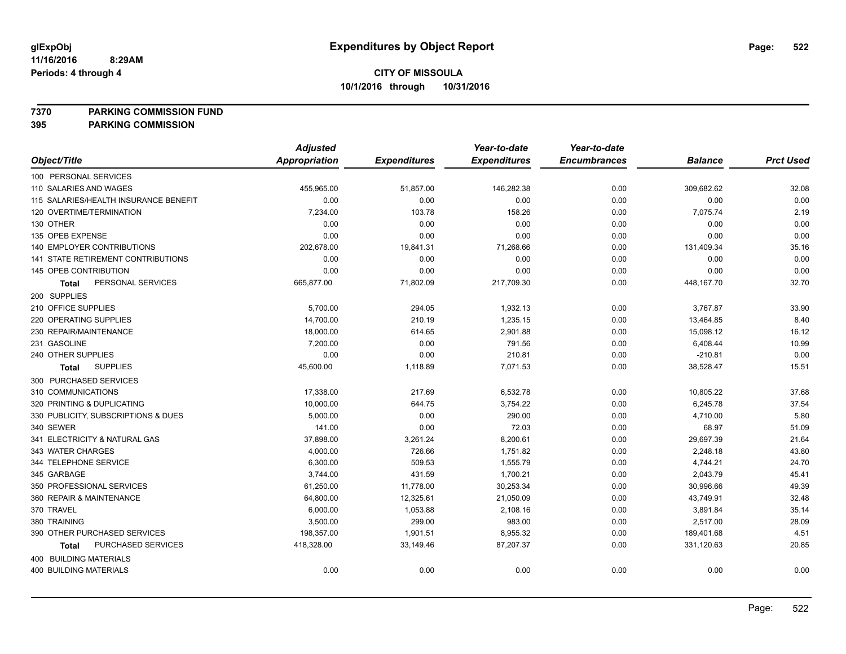**7370 PARKING COMMISSION FUND**

|                                       | <b>Adjusted</b>      |                     | Year-to-date        | Year-to-date        |                |                  |
|---------------------------------------|----------------------|---------------------|---------------------|---------------------|----------------|------------------|
| Object/Title                          | <b>Appropriation</b> | <b>Expenditures</b> | <b>Expenditures</b> | <b>Encumbrances</b> | <b>Balance</b> | <b>Prct Used</b> |
| 100 PERSONAL SERVICES                 |                      |                     |                     |                     |                |                  |
| 110 SALARIES AND WAGES                | 455,965.00           | 51,857.00           | 146,282.38          | 0.00                | 309,682.62     | 32.08            |
| 115 SALARIES/HEALTH INSURANCE BENEFIT | 0.00                 | 0.00                | 0.00                | 0.00                | 0.00           | 0.00             |
| 120 OVERTIME/TERMINATION              | 7,234.00             | 103.78              | 158.26              | 0.00                | 7,075.74       | 2.19             |
| 130 OTHER                             | 0.00                 | 0.00                | 0.00                | 0.00                | 0.00           | 0.00             |
| 135 OPEB EXPENSE                      | 0.00                 | 0.00                | 0.00                | 0.00                | 0.00           | 0.00             |
| 140 EMPLOYER CONTRIBUTIONS            | 202,678.00           | 19,841.31           | 71,268.66           | 0.00                | 131,409.34     | 35.16            |
| 141 STATE RETIREMENT CONTRIBUTIONS    | 0.00                 | 0.00                | 0.00                | 0.00                | 0.00           | 0.00             |
| 145 OPEB CONTRIBUTION                 | 0.00                 | 0.00                | 0.00                | 0.00                | 0.00           | 0.00             |
| PERSONAL SERVICES<br>Total            | 665,877.00           | 71,802.09           | 217,709.30          | 0.00                | 448, 167. 70   | 32.70            |
| 200 SUPPLIES                          |                      |                     |                     |                     |                |                  |
| 210 OFFICE SUPPLIES                   | 5,700.00             | 294.05              | 1,932.13            | 0.00                | 3,767.87       | 33.90            |
| 220 OPERATING SUPPLIES                | 14,700.00            | 210.19              | 1,235.15            | 0.00                | 13,464.85      | 8.40             |
| 230 REPAIR/MAINTENANCE                | 18,000.00            | 614.65              | 2,901.88            | 0.00                | 15,098.12      | 16.12            |
| 231 GASOLINE                          | 7,200.00             | 0.00                | 791.56              | 0.00                | 6,408.44       | 10.99            |
| 240 OTHER SUPPLIES                    | 0.00                 | 0.00                | 210.81              | 0.00                | $-210.81$      | 0.00             |
| <b>SUPPLIES</b><br>Total              | 45,600.00            | 1,118.89            | 7,071.53            | 0.00                | 38,528.47      | 15.51            |
| 300 PURCHASED SERVICES                |                      |                     |                     |                     |                |                  |
| 310 COMMUNICATIONS                    | 17,338.00            | 217.69              | 6,532.78            | 0.00                | 10,805.22      | 37.68            |
| 320 PRINTING & DUPLICATING            | 10,000.00            | 644.75              | 3,754.22            | 0.00                | 6,245.78       | 37.54            |
| 330 PUBLICITY, SUBSCRIPTIONS & DUES   | 5,000.00             | 0.00                | 290.00              | 0.00                | 4,710.00       | 5.80             |
| 340 SEWER                             | 141.00               | 0.00                | 72.03               | 0.00                | 68.97          | 51.09            |
| 341 ELECTRICITY & NATURAL GAS         | 37,898.00            | 3,261.24            | 8,200.61            | 0.00                | 29,697.39      | 21.64            |
| 343 WATER CHARGES                     | 4,000.00             | 726.66              | 1,751.82            | 0.00                | 2,248.18       | 43.80            |
| 344 TELEPHONE SERVICE                 | 6,300.00             | 509.53              | 1,555.79            | 0.00                | 4,744.21       | 24.70            |
| 345 GARBAGE                           | 3,744.00             | 431.59              | 1,700.21            | 0.00                | 2,043.79       | 45.41            |
| 350 PROFESSIONAL SERVICES             | 61,250.00            | 11,778.00           | 30,253.34           | 0.00                | 30,996.66      | 49.39            |
| 360 REPAIR & MAINTENANCE              | 64,800.00            | 12,325.61           | 21,050.09           | 0.00                | 43,749.91      | 32.48            |
| 370 TRAVEL                            | 6,000.00             | 1,053.88            | 2,108.16            | 0.00                | 3,891.84       | 35.14            |
| 380 TRAINING                          | 3,500.00             | 299.00              | 983.00              | 0.00                | 2,517.00       | 28.09            |
| 390 OTHER PURCHASED SERVICES          | 198,357.00           | 1,901.51            | 8,955.32            | 0.00                | 189,401.68     | 4.51             |
| PURCHASED SERVICES<br>Total           | 418,328.00           | 33,149.46           | 87,207.37           | 0.00                | 331,120.63     | 20.85            |
| 400 BUILDING MATERIALS                |                      |                     |                     |                     |                |                  |
| <b>400 BUILDING MATERIALS</b>         | 0.00                 | 0.00                | 0.00                | 0.00                | 0.00           | 0.00             |
|                                       |                      |                     |                     |                     |                |                  |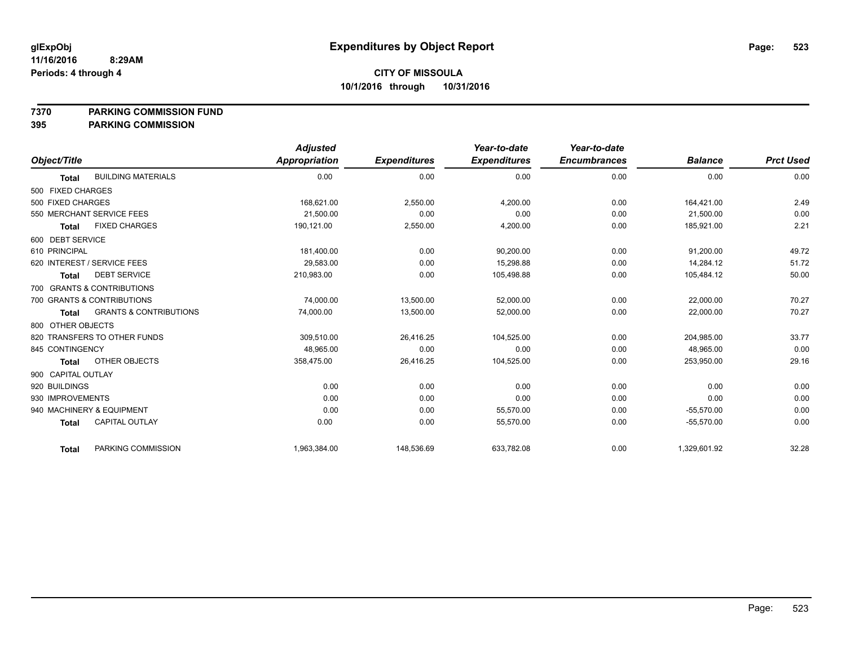**7370 PARKING COMMISSION FUND**

|                    |                                   | <b>Adjusted</b> |                     | Year-to-date        | Year-to-date        |                |                  |
|--------------------|-----------------------------------|-----------------|---------------------|---------------------|---------------------|----------------|------------------|
| Object/Title       |                                   | Appropriation   | <b>Expenditures</b> | <b>Expenditures</b> | <b>Encumbrances</b> | <b>Balance</b> | <b>Prct Used</b> |
| <b>Total</b>       | <b>BUILDING MATERIALS</b>         | 0.00            | 0.00                | 0.00                | 0.00                | 0.00           | 0.00             |
| 500 FIXED CHARGES  |                                   |                 |                     |                     |                     |                |                  |
| 500 FIXED CHARGES  |                                   | 168,621.00      | 2,550.00            | 4,200.00            | 0.00                | 164,421.00     | 2.49             |
|                    | 550 MERCHANT SERVICE FEES         | 21,500.00       | 0.00                | 0.00                | 0.00                | 21.500.00      | 0.00             |
| <b>Total</b>       | <b>FIXED CHARGES</b>              | 190,121.00      | 2,550.00            | 4,200.00            | 0.00                | 185,921.00     | 2.21             |
| 600 DEBT SERVICE   |                                   |                 |                     |                     |                     |                |                  |
| 610 PRINCIPAL      |                                   | 181,400.00      | 0.00                | 90,200.00           | 0.00                | 91,200.00      | 49.72            |
|                    | 620 INTEREST / SERVICE FEES       | 29,583.00       | 0.00                | 15,298.88           | 0.00                | 14,284.12      | 51.72            |
| <b>Total</b>       | <b>DEBT SERVICE</b>               | 210,983.00      | 0.00                | 105,498.88          | 0.00                | 105,484.12     | 50.00            |
|                    | 700 GRANTS & CONTRIBUTIONS        |                 |                     |                     |                     |                |                  |
|                    | 700 GRANTS & CONTRIBUTIONS        | 74,000.00       | 13,500.00           | 52,000.00           | 0.00                | 22,000.00      | 70.27            |
| <b>Total</b>       | <b>GRANTS &amp; CONTRIBUTIONS</b> | 74,000.00       | 13,500.00           | 52.000.00           | 0.00                | 22.000.00      | 70.27            |
| 800 OTHER OBJECTS  |                                   |                 |                     |                     |                     |                |                  |
|                    | 820 TRANSFERS TO OTHER FUNDS      | 309,510.00      | 26,416.25           | 104,525.00          | 0.00                | 204,985.00     | 33.77            |
| 845 CONTINGENCY    |                                   | 48,965.00       | 0.00                | 0.00                | 0.00                | 48,965.00      | 0.00             |
| <b>Total</b>       | OTHER OBJECTS                     | 358,475.00      | 26,416.25           | 104,525.00          | 0.00                | 253,950.00     | 29.16            |
| 900 CAPITAL OUTLAY |                                   |                 |                     |                     |                     |                |                  |
| 920 BUILDINGS      |                                   | 0.00            | 0.00                | 0.00                | 0.00                | 0.00           | 0.00             |
| 930 IMPROVEMENTS   |                                   | 0.00            | 0.00                | 0.00                | 0.00                | 0.00           | 0.00             |
|                    | 940 MACHINERY & EQUIPMENT         | 0.00            | 0.00                | 55,570.00           | 0.00                | $-55,570.00$   | 0.00             |
| <b>Total</b>       | <b>CAPITAL OUTLAY</b>             | 0.00            | 0.00                | 55,570.00           | 0.00                | $-55,570.00$   | 0.00             |
| <b>Total</b>       | PARKING COMMISSION                | 1,963,384.00    | 148,536.69          | 633,782.08          | 0.00                | 1,329,601.92   | 32.28            |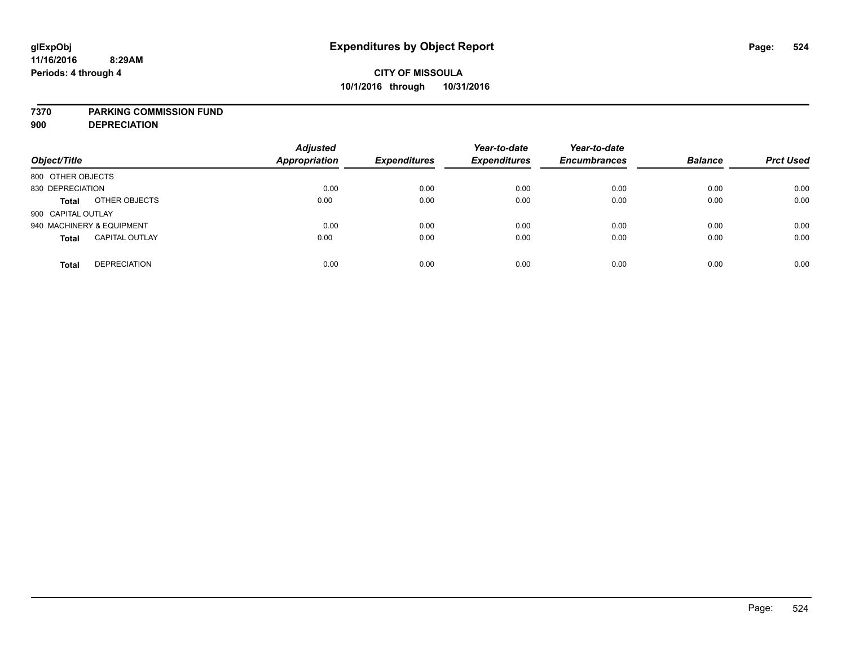### **7370 PARKING COMMISSION FUND**

**900 DEPRECIATION**

| Object/Title                          | <b>Adjusted</b><br><b>Appropriation</b> | <b>Expenditures</b> | Year-to-date<br><b>Expenditures</b> | Year-to-date<br><b>Encumbrances</b> | <b>Balance</b> | <b>Prct Used</b> |
|---------------------------------------|-----------------------------------------|---------------------|-------------------------------------|-------------------------------------|----------------|------------------|
| 800 OTHER OBJECTS                     |                                         |                     |                                     |                                     |                |                  |
| 830 DEPRECIATION                      | 0.00                                    | 0.00                | 0.00                                | 0.00                                | 0.00           | 0.00             |
| OTHER OBJECTS<br><b>Total</b>         | 0.00                                    | 0.00                | 0.00                                | 0.00                                | 0.00           | 0.00             |
| 900 CAPITAL OUTLAY                    |                                         |                     |                                     |                                     |                |                  |
| 940 MACHINERY & EQUIPMENT             | 0.00                                    | 0.00                | 0.00                                | 0.00                                | 0.00           | 0.00             |
| <b>CAPITAL OUTLAY</b><br><b>Total</b> | 0.00                                    | 0.00                | 0.00                                | 0.00                                | 0.00           | 0.00             |
| <b>DEPRECIATION</b><br><b>Total</b>   | 0.00                                    | 0.00                | 0.00                                | 0.00                                | 0.00           | 0.00             |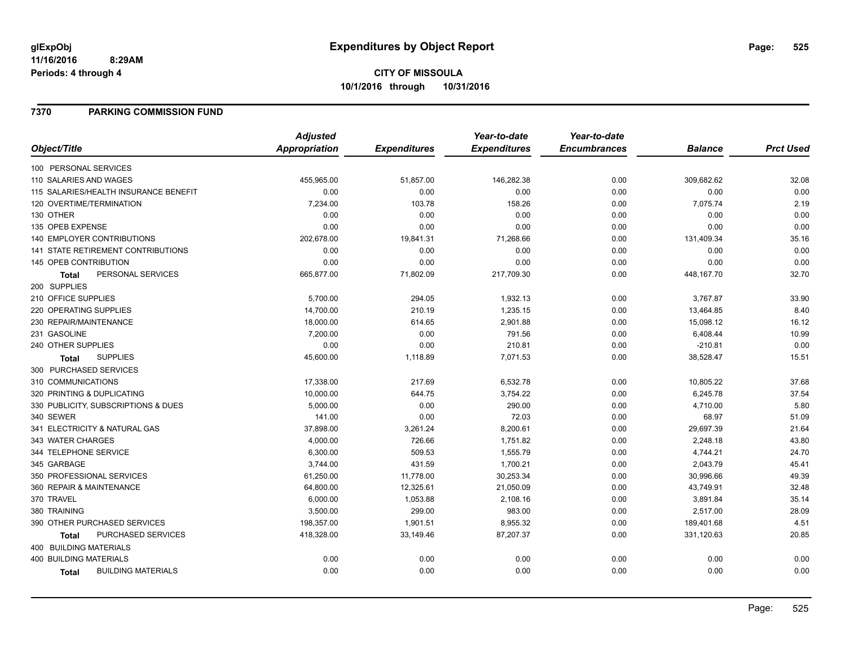### **7370 PARKING COMMISSION FUND**

|                                           | <b>Adjusted</b>      |                     | Year-to-date        | Year-to-date        |                |                  |
|-------------------------------------------|----------------------|---------------------|---------------------|---------------------|----------------|------------------|
| Object/Title                              | <b>Appropriation</b> | <b>Expenditures</b> | <b>Expenditures</b> | <b>Encumbrances</b> | <b>Balance</b> | <b>Prct Used</b> |
| 100 PERSONAL SERVICES                     |                      |                     |                     |                     |                |                  |
| 110 SALARIES AND WAGES                    | 455,965.00           | 51,857.00           | 146,282.38          | 0.00                | 309,682.62     | 32.08            |
| 115 SALARIES/HEALTH INSURANCE BENEFIT     | 0.00                 | 0.00                | 0.00                | 0.00                | 0.00           | 0.00             |
| 120 OVERTIME/TERMINATION                  | 7,234.00             | 103.78              | 158.26              | 0.00                | 7,075.74       | 2.19             |
| 130 OTHER                                 | 0.00                 | 0.00                | 0.00                | 0.00                | 0.00           | 0.00             |
| 135 OPEB EXPENSE                          | 0.00                 | 0.00                | 0.00                | 0.00                | 0.00           | 0.00             |
| 140 EMPLOYER CONTRIBUTIONS                | 202,678.00           | 19,841.31           | 71,268.66           | 0.00                | 131,409.34     | 35.16            |
| 141 STATE RETIREMENT CONTRIBUTIONS        | 0.00                 | 0.00                | 0.00                | 0.00                | 0.00           | 0.00             |
| 145 OPEB CONTRIBUTION                     | 0.00                 | 0.00                | 0.00                | 0.00                | 0.00           | 0.00             |
| PERSONAL SERVICES<br><b>Total</b>         | 665,877.00           | 71,802.09           | 217,709.30          | 0.00                | 448,167.70     | 32.70            |
| 200 SUPPLIES                              |                      |                     |                     |                     |                |                  |
| 210 OFFICE SUPPLIES                       | 5,700.00             | 294.05              | 1,932.13            | 0.00                | 3,767.87       | 33.90            |
| 220 OPERATING SUPPLIES                    | 14,700.00            | 210.19              | 1,235.15            | 0.00                | 13,464.85      | 8.40             |
| 230 REPAIR/MAINTENANCE                    | 18,000.00            | 614.65              | 2,901.88            | 0.00                | 15,098.12      | 16.12            |
| 231 GASOLINE                              | 7,200.00             | 0.00                | 791.56              | 0.00                | 6,408.44       | 10.99            |
| 240 OTHER SUPPLIES                        | 0.00                 | 0.00                | 210.81              | 0.00                | $-210.81$      | 0.00             |
| <b>SUPPLIES</b><br>Total                  | 45,600.00            | 1,118.89            | 7,071.53            | 0.00                | 38,528.47      | 15.51            |
| 300 PURCHASED SERVICES                    |                      |                     |                     |                     |                |                  |
| 310 COMMUNICATIONS                        | 17,338.00            | 217.69              | 6,532.78            | 0.00                | 10,805.22      | 37.68            |
| 320 PRINTING & DUPLICATING                | 10,000.00            | 644.75              | 3,754.22            | 0.00                | 6,245.78       | 37.54            |
| 330 PUBLICITY, SUBSCRIPTIONS & DUES       | 5,000.00             | 0.00                | 290.00              | 0.00                | 4,710.00       | 5.80             |
| 340 SEWER                                 | 141.00               | 0.00                | 72.03               | 0.00                | 68.97          | 51.09            |
| 341 ELECTRICITY & NATURAL GAS             | 37,898.00            | 3,261.24            | 8,200.61            | 0.00                | 29,697.39      | 21.64            |
| 343 WATER CHARGES                         | 4,000.00             | 726.66              | 1,751.82            | 0.00                | 2,248.18       | 43.80            |
| 344 TELEPHONE SERVICE                     | 6,300.00             | 509.53              | 1,555.79            | 0.00                | 4,744.21       | 24.70            |
| 345 GARBAGE                               | 3,744.00             | 431.59              | 1,700.21            | 0.00                | 2,043.79       | 45.41            |
| 350 PROFESSIONAL SERVICES                 | 61,250.00            | 11,778.00           | 30,253.34           | 0.00                | 30,996.66      | 49.39            |
| 360 REPAIR & MAINTENANCE                  | 64,800.00            | 12,325.61           | 21,050.09           | 0.00                | 43,749.91      | 32.48            |
| 370 TRAVEL                                | 6,000.00             | 1,053.88            | 2,108.16            | 0.00                | 3,891.84       | 35.14            |
| 380 TRAINING                              | 3,500.00             | 299.00              | 983.00              | 0.00                | 2,517.00       | 28.09            |
| 390 OTHER PURCHASED SERVICES              | 198,357.00           | 1,901.51            | 8,955.32            | 0.00                | 189,401.68     | 4.51             |
| PURCHASED SERVICES<br>Total               | 418,328.00           | 33,149.46           | 87,207.37           | 0.00                | 331,120.63     | 20.85            |
| 400 BUILDING MATERIALS                    |                      |                     |                     |                     |                |                  |
| <b>400 BUILDING MATERIALS</b>             | 0.00                 | 0.00                | 0.00                | 0.00                | 0.00           | 0.00             |
| <b>BUILDING MATERIALS</b><br><b>Total</b> | 0.00                 | 0.00                | 0.00                | 0.00                | 0.00           | 0.00             |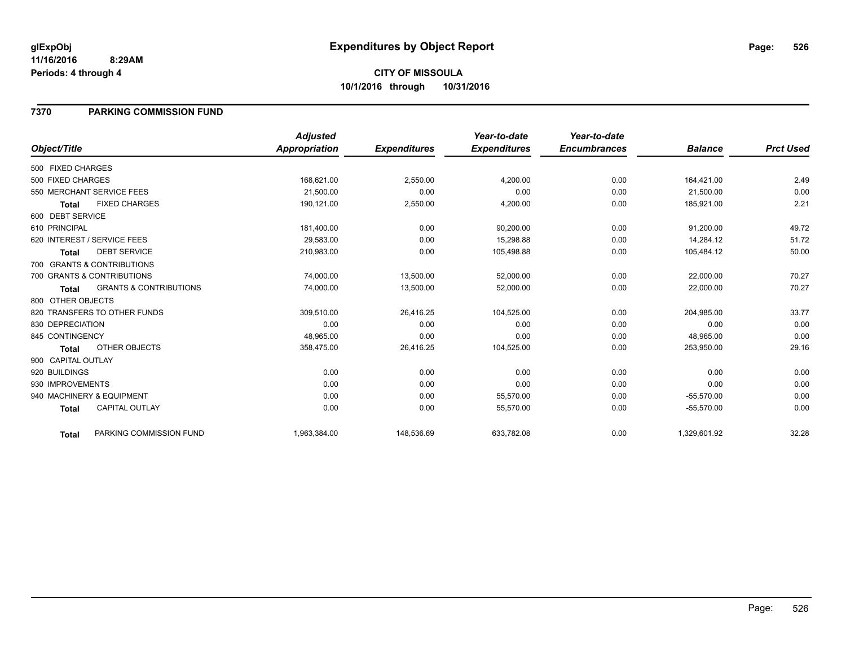### **7370 PARKING COMMISSION FUND**

|                    |                                   | <b>Adjusted</b> |                     | Year-to-date        | Year-to-date        |                |                  |
|--------------------|-----------------------------------|-----------------|---------------------|---------------------|---------------------|----------------|------------------|
| Object/Title       |                                   | Appropriation   | <b>Expenditures</b> | <b>Expenditures</b> | <b>Encumbrances</b> | <b>Balance</b> | <b>Prct Used</b> |
| 500 FIXED CHARGES  |                                   |                 |                     |                     |                     |                |                  |
| 500 FIXED CHARGES  |                                   | 168,621.00      | 2,550.00            | 4,200.00            | 0.00                | 164,421.00     | 2.49             |
|                    | 550 MERCHANT SERVICE FEES         | 21,500.00       | 0.00                | 0.00                | 0.00                | 21,500.00      | 0.00             |
| <b>Total</b>       | <b>FIXED CHARGES</b>              | 190,121.00      | 2,550.00            | 4,200.00            | 0.00                | 185,921.00     | 2.21             |
| 600 DEBT SERVICE   |                                   |                 |                     |                     |                     |                |                  |
| 610 PRINCIPAL      |                                   | 181,400.00      | 0.00                | 90,200.00           | 0.00                | 91,200.00      | 49.72            |
|                    | 620 INTEREST / SERVICE FEES       | 29,583.00       | 0.00                | 15,298.88           | 0.00                | 14,284.12      | 51.72            |
| <b>Total</b>       | <b>DEBT SERVICE</b>               | 210,983.00      | 0.00                | 105,498.88          | 0.00                | 105,484.12     | 50.00            |
|                    | 700 GRANTS & CONTRIBUTIONS        |                 |                     |                     |                     |                |                  |
|                    | 700 GRANTS & CONTRIBUTIONS        | 74,000.00       | 13,500.00           | 52,000.00           | 0.00                | 22,000.00      | 70.27            |
| <b>Total</b>       | <b>GRANTS &amp; CONTRIBUTIONS</b> | 74,000.00       | 13,500.00           | 52,000.00           | 0.00                | 22,000.00      | 70.27            |
| 800 OTHER OBJECTS  |                                   |                 |                     |                     |                     |                |                  |
|                    | 820 TRANSFERS TO OTHER FUNDS      | 309,510.00      | 26,416.25           | 104,525.00          | 0.00                | 204,985.00     | 33.77            |
| 830 DEPRECIATION   |                                   | 0.00            | 0.00                | 0.00                | 0.00                | 0.00           | 0.00             |
| 845 CONTINGENCY    |                                   | 48,965.00       | 0.00                | 0.00                | 0.00                | 48,965.00      | 0.00             |
| <b>Total</b>       | <b>OTHER OBJECTS</b>              | 358,475.00      | 26,416.25           | 104,525.00          | 0.00                | 253,950.00     | 29.16            |
| 900 CAPITAL OUTLAY |                                   |                 |                     |                     |                     |                |                  |
| 920 BUILDINGS      |                                   | 0.00            | 0.00                | 0.00                | 0.00                | 0.00           | 0.00             |
| 930 IMPROVEMENTS   |                                   | 0.00            | 0.00                | 0.00                | 0.00                | 0.00           | 0.00             |
|                    | 940 MACHINERY & EQUIPMENT         | 0.00            | 0.00                | 55,570.00           | 0.00                | $-55,570.00$   | 0.00             |
| <b>Total</b>       | <b>CAPITAL OUTLAY</b>             | 0.00            | 0.00                | 55,570.00           | 0.00                | $-55,570.00$   | 0.00             |
| <b>Total</b>       | PARKING COMMISSION FUND           | 1,963,384.00    | 148,536.69          | 633,782.08          | 0.00                | 1,329,601.92   | 32.28            |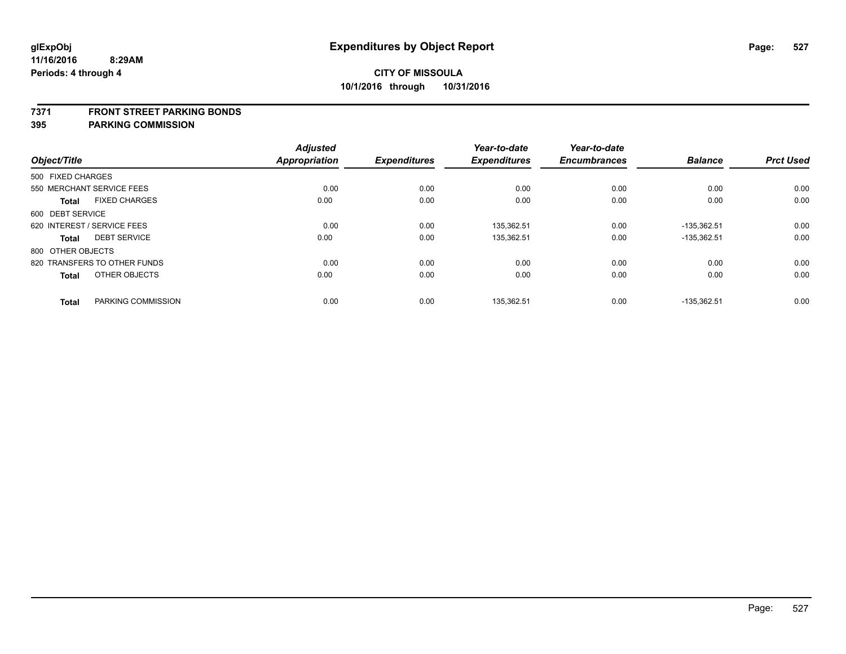### **7371 FRONT STREET PARKING BONDS**

|                              |                      | <b>Adjusted</b>      |                     | Year-to-date        | Year-to-date        |                |                  |
|------------------------------|----------------------|----------------------|---------------------|---------------------|---------------------|----------------|------------------|
| Object/Title                 |                      | <b>Appropriation</b> | <b>Expenditures</b> | <b>Expenditures</b> | <b>Encumbrances</b> | <b>Balance</b> | <b>Prct Used</b> |
| 500 FIXED CHARGES            |                      |                      |                     |                     |                     |                |                  |
| 550 MERCHANT SERVICE FEES    |                      | 0.00                 | 0.00                | 0.00                | 0.00                | 0.00           | 0.00             |
| <b>Total</b>                 | <b>FIXED CHARGES</b> | 0.00                 | 0.00                | 0.00                | 0.00                | 0.00           | 0.00             |
| 600 DEBT SERVICE             |                      |                      |                     |                     |                     |                |                  |
| 620 INTEREST / SERVICE FEES  |                      | 0.00                 | 0.00                | 135,362.51          | 0.00                | $-135,362.51$  | 0.00             |
| <b>Total</b>                 | <b>DEBT SERVICE</b>  | 0.00                 | 0.00                | 135,362.51          | 0.00                | $-135,362.51$  | 0.00             |
| 800 OTHER OBJECTS            |                      |                      |                     |                     |                     |                |                  |
| 820 TRANSFERS TO OTHER FUNDS |                      | 0.00                 | 0.00                | 0.00                | 0.00                | 0.00           | 0.00             |
| <b>Total</b>                 | OTHER OBJECTS        | 0.00                 | 0.00                | 0.00                | 0.00                | 0.00           | 0.00             |
| <b>Total</b>                 | PARKING COMMISSION   | 0.00                 | 0.00                | 135,362.51          | 0.00                | -135,362.51    | 0.00             |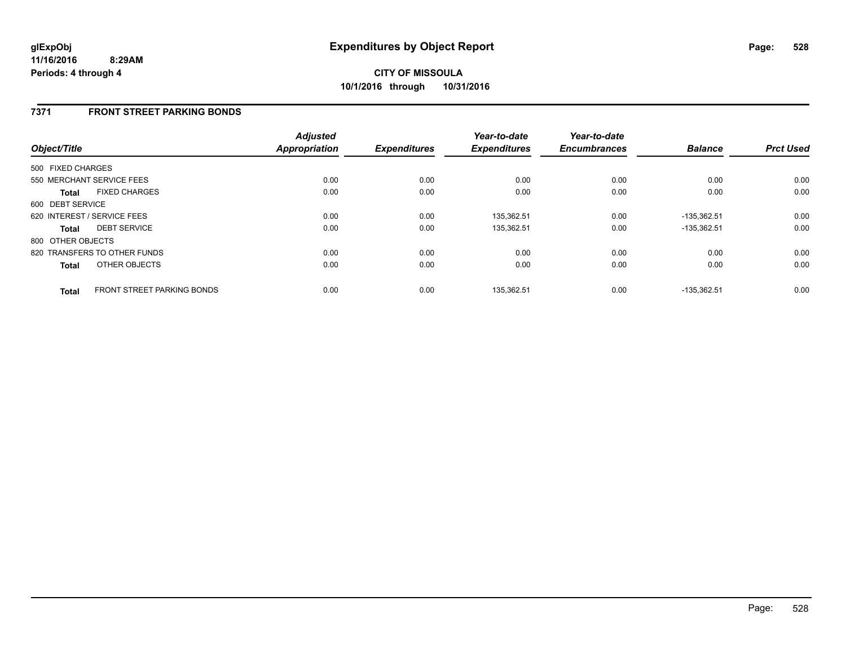### **7371 FRONT STREET PARKING BONDS**

| Object/Title      |                                   | <b>Adjusted</b><br>Appropriation | <b>Expenditures</b> | Year-to-date<br><b>Expenditures</b> | Year-to-date<br><b>Encumbrances</b> | <b>Balance</b> | <b>Prct Used</b> |
|-------------------|-----------------------------------|----------------------------------|---------------------|-------------------------------------|-------------------------------------|----------------|------------------|
| 500 FIXED CHARGES |                                   |                                  |                     |                                     |                                     |                |                  |
|                   | 550 MERCHANT SERVICE FEES         | 0.00                             | 0.00                | 0.00                                | 0.00                                | 0.00           | 0.00             |
| <b>Total</b>      | <b>FIXED CHARGES</b>              | 0.00                             | 0.00                | 0.00                                | 0.00                                | 0.00           | 0.00             |
| 600 DEBT SERVICE  |                                   |                                  |                     |                                     |                                     |                |                  |
|                   | 620 INTEREST / SERVICE FEES       | 0.00                             | 0.00                | 135,362.51                          | 0.00                                | $-135,362.51$  | 0.00             |
| <b>Total</b>      | <b>DEBT SERVICE</b>               | 0.00                             | 0.00                | 135,362.51                          | 0.00                                | $-135.362.51$  | 0.00             |
| 800 OTHER OBJECTS |                                   |                                  |                     |                                     |                                     |                |                  |
|                   | 820 TRANSFERS TO OTHER FUNDS      | 0.00                             | 0.00                | 0.00                                | 0.00                                | 0.00           | 0.00             |
| <b>Total</b>      | OTHER OBJECTS                     | 0.00                             | 0.00                | 0.00                                | 0.00                                | 0.00           | 0.00             |
| <b>Total</b>      | <b>FRONT STREET PARKING BONDS</b> | 0.00                             | 0.00                | 135.362.51                          | 0.00                                | -135.362.51    | 0.00             |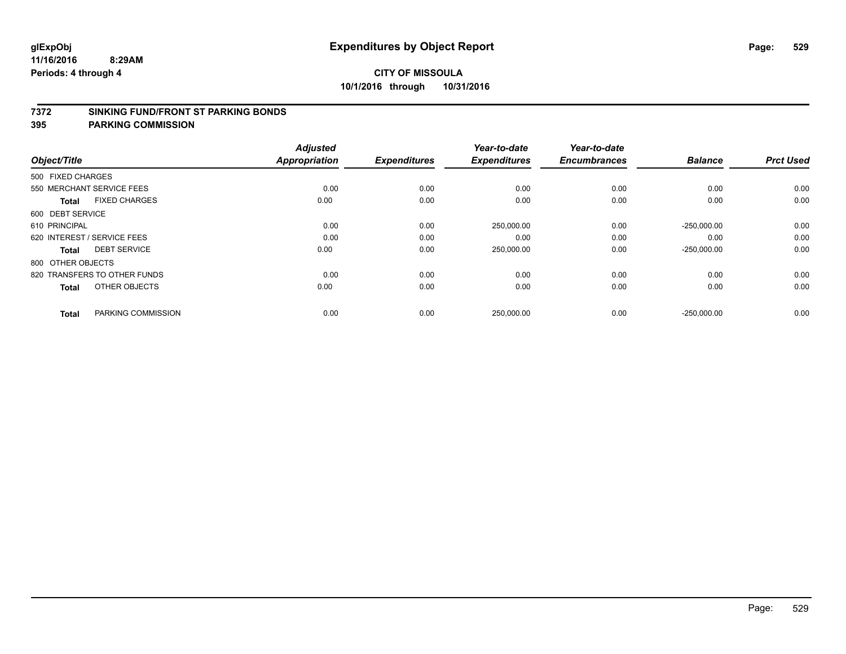### **7372 SINKING FUND/FRONT ST PARKING BONDS**

| Object/Title                 |                      | <b>Adjusted</b><br><b>Appropriation</b> | <b>Expenditures</b> | Year-to-date<br><b>Expenditures</b> | Year-to-date<br><b>Encumbrances</b> | <b>Balance</b> | <b>Prct Used</b> |
|------------------------------|----------------------|-----------------------------------------|---------------------|-------------------------------------|-------------------------------------|----------------|------------------|
| 500 FIXED CHARGES            |                      |                                         |                     |                                     |                                     |                |                  |
| 550 MERCHANT SERVICE FEES    |                      | 0.00                                    | 0.00                | 0.00                                | 0.00                                | 0.00           | 0.00             |
| <b>Total</b>                 | <b>FIXED CHARGES</b> | 0.00                                    | 0.00                | 0.00                                | 0.00                                | 0.00           | 0.00             |
| 600 DEBT SERVICE             |                      |                                         |                     |                                     |                                     |                |                  |
| 610 PRINCIPAL                |                      | 0.00                                    | 0.00                | 250,000.00                          | 0.00                                | $-250,000.00$  | 0.00             |
| 620 INTEREST / SERVICE FEES  |                      | 0.00                                    | 0.00                | 0.00                                | 0.00                                | 0.00           | 0.00             |
| <b>Total</b>                 | <b>DEBT SERVICE</b>  | 0.00                                    | 0.00                | 250,000.00                          | 0.00                                | $-250,000.00$  | 0.00             |
| 800 OTHER OBJECTS            |                      |                                         |                     |                                     |                                     |                |                  |
| 820 TRANSFERS TO OTHER FUNDS |                      | 0.00                                    | 0.00                | 0.00                                | 0.00                                | 0.00           | 0.00             |
| <b>Total</b>                 | OTHER OBJECTS        | 0.00                                    | 0.00                | 0.00                                | 0.00                                | 0.00           | 0.00             |
|                              |                      |                                         |                     |                                     |                                     |                |                  |
| <b>Total</b>                 | PARKING COMMISSION   | 0.00                                    | 0.00                | 250,000.00                          | 0.00                                | $-250,000.00$  | 0.00             |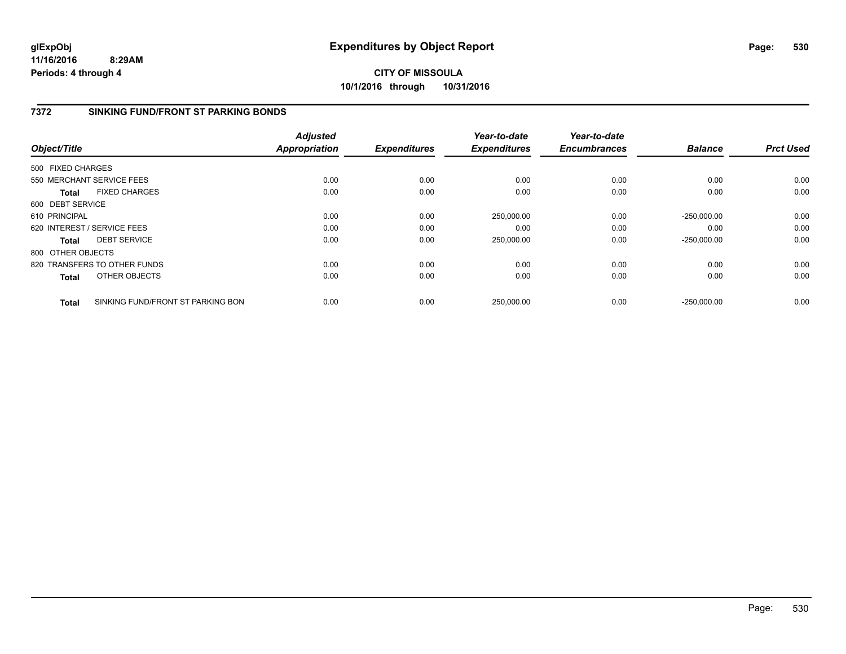# **CITY OF MISSOULA 10/1/2016 through 10/31/2016**

## **7372 SINKING FUND/FRONT ST PARKING BONDS**

| Object/Title      |                                   | <b>Adjusted</b><br>Appropriation | <b>Expenditures</b> | Year-to-date<br><b>Expenditures</b> | Year-to-date<br><b>Encumbrances</b> | <b>Balance</b> | <b>Prct Used</b> |
|-------------------|-----------------------------------|----------------------------------|---------------------|-------------------------------------|-------------------------------------|----------------|------------------|
| 500 FIXED CHARGES |                                   |                                  |                     |                                     |                                     |                |                  |
|                   | 550 MERCHANT SERVICE FEES         | 0.00                             | 0.00                | 0.00                                | 0.00                                | 0.00           | 0.00             |
| <b>Total</b>      | <b>FIXED CHARGES</b>              | 0.00                             | 0.00                | 0.00                                | 0.00                                | 0.00           | 0.00             |
| 600 DEBT SERVICE  |                                   |                                  |                     |                                     |                                     |                |                  |
| 610 PRINCIPAL     |                                   | 0.00                             | 0.00                | 250,000.00                          | 0.00                                | $-250.000.00$  | 0.00             |
|                   | 620 INTEREST / SERVICE FEES       | 0.00                             | 0.00                | 0.00                                | 0.00                                | 0.00           | 0.00             |
| <b>Total</b>      | <b>DEBT SERVICE</b>               | 0.00                             | 0.00                | 250,000.00                          | 0.00                                | $-250,000.00$  | 0.00             |
| 800 OTHER OBJECTS |                                   |                                  |                     |                                     |                                     |                |                  |
|                   | 820 TRANSFERS TO OTHER FUNDS      | 0.00                             | 0.00                | 0.00                                | 0.00                                | 0.00           | 0.00             |
| <b>Total</b>      | OTHER OBJECTS                     | 0.00                             | 0.00                | 0.00                                | 0.00                                | 0.00           | 0.00             |
| Total             | SINKING FUND/FRONT ST PARKING BON | 0.00                             | 0.00                | 250,000.00                          | 0.00                                | $-250.000.00$  | 0.00             |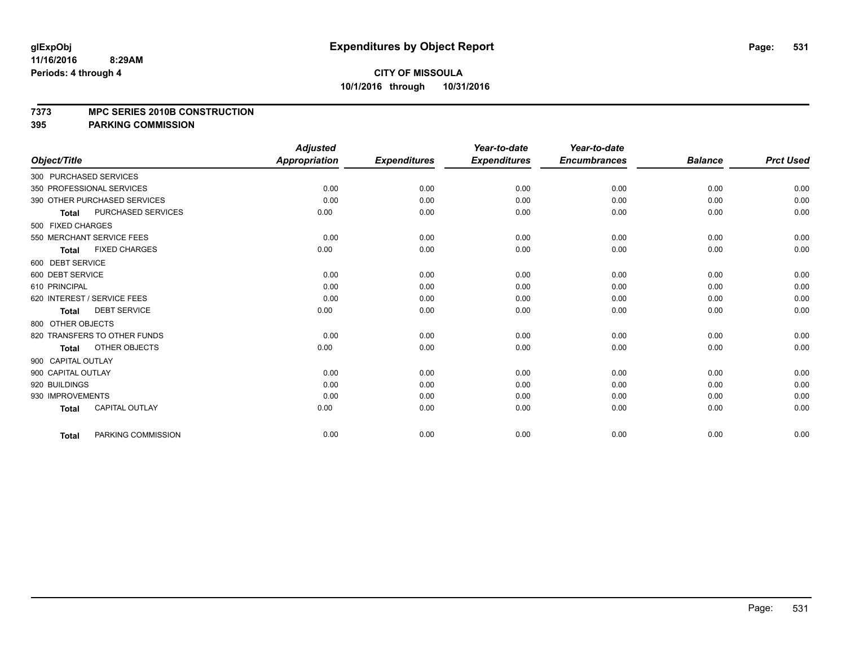### **7373 MPC SERIES 2010B CONSTRUCTION**

|                                           | <b>Adjusted</b>      |                     | Year-to-date        | Year-to-date        |                |                  |
|-------------------------------------------|----------------------|---------------------|---------------------|---------------------|----------------|------------------|
| Object/Title                              | <b>Appropriation</b> | <b>Expenditures</b> | <b>Expenditures</b> | <b>Encumbrances</b> | <b>Balance</b> | <b>Prct Used</b> |
| 300 PURCHASED SERVICES                    |                      |                     |                     |                     |                |                  |
| 350 PROFESSIONAL SERVICES                 | 0.00                 | 0.00                | 0.00                | 0.00                | 0.00           | 0.00             |
| 390 OTHER PURCHASED SERVICES              | 0.00                 | 0.00                | 0.00                | 0.00                | 0.00           | 0.00             |
| <b>PURCHASED SERVICES</b><br><b>Total</b> | 0.00                 | 0.00                | 0.00                | 0.00                | 0.00           | 0.00             |
| 500 FIXED CHARGES                         |                      |                     |                     |                     |                |                  |
| 550 MERCHANT SERVICE FEES                 | 0.00                 | 0.00                | 0.00                | 0.00                | 0.00           | 0.00             |
| <b>FIXED CHARGES</b><br><b>Total</b>      | 0.00                 | 0.00                | 0.00                | 0.00                | 0.00           | 0.00             |
| 600 DEBT SERVICE                          |                      |                     |                     |                     |                |                  |
| 600 DEBT SERVICE                          | 0.00                 | 0.00                | 0.00                | 0.00                | 0.00           | 0.00             |
| 610 PRINCIPAL                             | 0.00                 | 0.00                | 0.00                | 0.00                | 0.00           | 0.00             |
| 620 INTEREST / SERVICE FEES               | 0.00                 | 0.00                | 0.00                | 0.00                | 0.00           | 0.00             |
| <b>DEBT SERVICE</b><br><b>Total</b>       | 0.00                 | 0.00                | 0.00                | 0.00                | 0.00           | 0.00             |
| 800 OTHER OBJECTS                         |                      |                     |                     |                     |                |                  |
| 820 TRANSFERS TO OTHER FUNDS              | 0.00                 | 0.00                | 0.00                | 0.00                | 0.00           | 0.00             |
| OTHER OBJECTS<br><b>Total</b>             | 0.00                 | 0.00                | 0.00                | 0.00                | 0.00           | 0.00             |
| 900 CAPITAL OUTLAY                        |                      |                     |                     |                     |                |                  |
| 900 CAPITAL OUTLAY                        | 0.00                 | 0.00                | 0.00                | 0.00                | 0.00           | 0.00             |
| 920 BUILDINGS                             | 0.00                 | 0.00                | 0.00                | 0.00                | 0.00           | 0.00             |
| 930 IMPROVEMENTS                          | 0.00                 | 0.00                | 0.00                | 0.00                | 0.00           | 0.00             |
| CAPITAL OUTLAY<br><b>Total</b>            | 0.00                 | 0.00                | 0.00                | 0.00                | 0.00           | 0.00             |
| PARKING COMMISSION<br><b>Total</b>        | 0.00                 | 0.00                | 0.00                | 0.00                | 0.00           | 0.00             |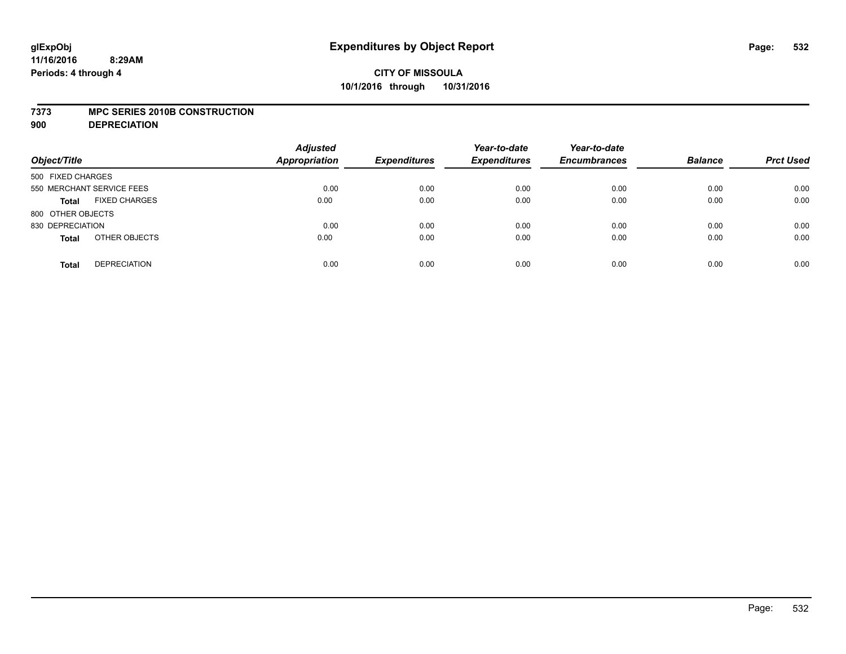### **7373 MPC SERIES 2010B CONSTRUCTION**

**900 DEPRECIATION**

| Object/Title                         | <b>Adjusted</b><br><b>Appropriation</b> | <b>Expenditures</b> | Year-to-date<br><b>Expenditures</b> | Year-to-date<br><b>Encumbrances</b> | <b>Balance</b> | <b>Prct Used</b> |
|--------------------------------------|-----------------------------------------|---------------------|-------------------------------------|-------------------------------------|----------------|------------------|
| 500 FIXED CHARGES                    |                                         |                     |                                     |                                     |                |                  |
| 550 MERCHANT SERVICE FEES            | 0.00                                    | 0.00                | 0.00                                | 0.00                                | 0.00           | 0.00             |
| <b>FIXED CHARGES</b><br><b>Total</b> | 0.00                                    | 0.00                | 0.00                                | 0.00                                | 0.00           | 0.00             |
| 800 OTHER OBJECTS                    |                                         |                     |                                     |                                     |                |                  |
| 830 DEPRECIATION                     | 0.00                                    | 0.00                | 0.00                                | 0.00                                | 0.00           | 0.00             |
| OTHER OBJECTS<br><b>Total</b>        | 0.00                                    | 0.00                | 0.00                                | 0.00                                | 0.00           | 0.00             |
| <b>DEPRECIATION</b><br><b>Total</b>  | 0.00                                    | 0.00                | 0.00                                | 0.00                                | 0.00           | 0.00             |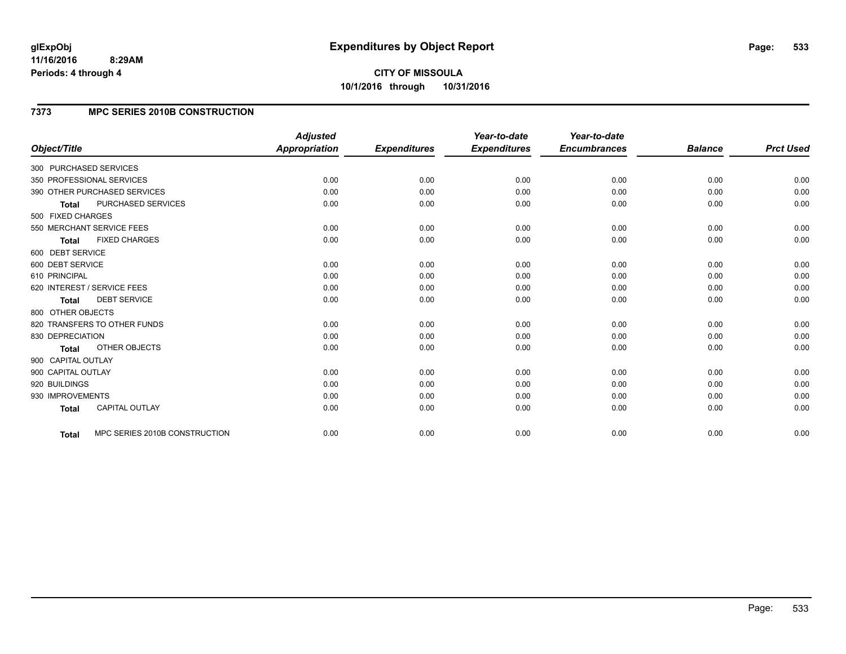**CITY OF MISSOULA 10/1/2016 through 10/31/2016**

## **7373 MPC SERIES 2010B CONSTRUCTION**

|                                      |                               | <b>Adjusted</b>      |                     | Year-to-date        | Year-to-date        |                |                  |
|--------------------------------------|-------------------------------|----------------------|---------------------|---------------------|---------------------|----------------|------------------|
| Object/Title                         |                               | <b>Appropriation</b> | <b>Expenditures</b> | <b>Expenditures</b> | <b>Encumbrances</b> | <b>Balance</b> | <b>Prct Used</b> |
| 300 PURCHASED SERVICES               |                               |                      |                     |                     |                     |                |                  |
| 350 PROFESSIONAL SERVICES            |                               | 0.00                 | 0.00                | 0.00                | 0.00                | 0.00           | 0.00             |
| 390 OTHER PURCHASED SERVICES         |                               | 0.00                 | 0.00                | 0.00                | 0.00                | 0.00           | 0.00             |
| PURCHASED SERVICES<br><b>Total</b>   |                               | 0.00                 | 0.00                | 0.00                | 0.00                | 0.00           | 0.00             |
| 500 FIXED CHARGES                    |                               |                      |                     |                     |                     |                |                  |
| 550 MERCHANT SERVICE FEES            |                               | 0.00                 | 0.00                | 0.00                | 0.00                | 0.00           | 0.00             |
| <b>FIXED CHARGES</b><br><b>Total</b> |                               | 0.00                 | 0.00                | 0.00                | 0.00                | 0.00           | 0.00             |
| 600 DEBT SERVICE                     |                               |                      |                     |                     |                     |                |                  |
| 600 DEBT SERVICE                     |                               | 0.00                 | 0.00                | 0.00                | 0.00                | 0.00           | 0.00             |
| 610 PRINCIPAL                        |                               | 0.00                 | 0.00                | 0.00                | 0.00                | 0.00           | 0.00             |
| 620 INTEREST / SERVICE FEES          |                               | 0.00                 | 0.00                | 0.00                | 0.00                | 0.00           | 0.00             |
| <b>DEBT SERVICE</b><br><b>Total</b>  |                               | 0.00                 | 0.00                | 0.00                | 0.00                | 0.00           | 0.00             |
| 800 OTHER OBJECTS                    |                               |                      |                     |                     |                     |                |                  |
| 820 TRANSFERS TO OTHER FUNDS         |                               | 0.00                 | 0.00                | 0.00                | 0.00                | 0.00           | 0.00             |
| 830 DEPRECIATION                     |                               | 0.00                 | 0.00                | 0.00                | 0.00                | 0.00           | 0.00             |
| <b>OTHER OBJECTS</b><br><b>Total</b> |                               | 0.00                 | 0.00                | 0.00                | 0.00                | 0.00           | 0.00             |
| 900 CAPITAL OUTLAY                   |                               |                      |                     |                     |                     |                |                  |
| 900 CAPITAL OUTLAY                   |                               | 0.00                 | 0.00                | 0.00                | 0.00                | 0.00           | 0.00             |
| 920 BUILDINGS                        |                               | 0.00                 | 0.00                | 0.00                | 0.00                | 0.00           | 0.00             |
| 930 IMPROVEMENTS                     |                               | 0.00                 | 0.00                | 0.00                | 0.00                | 0.00           | 0.00             |
| CAPITAL OUTLAY<br><b>Total</b>       |                               | 0.00                 | 0.00                | 0.00                | 0.00                | 0.00           | 0.00             |
|                                      |                               |                      |                     |                     |                     |                | 0.00             |
| Total                                | MPC SERIES 2010B CONSTRUCTION | 0.00                 | 0.00                | 0.00                | 0.00                | 0.00           |                  |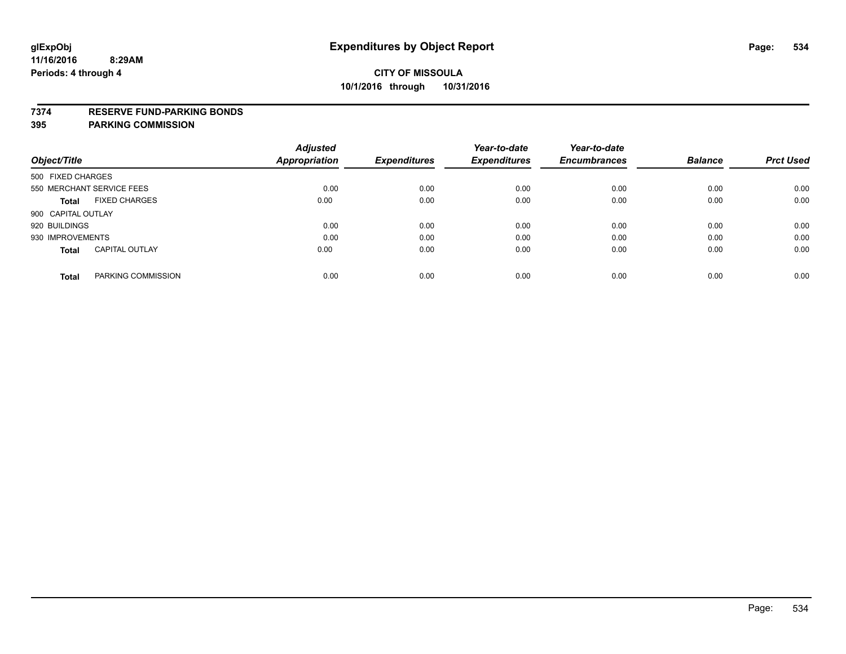### **7374 RESERVE FUND-PARKING BONDS**

|                    |                           | <b>Adjusted</b> |                     | Year-to-date        | Year-to-date        |                |                  |
|--------------------|---------------------------|-----------------|---------------------|---------------------|---------------------|----------------|------------------|
| Object/Title       |                           | Appropriation   | <b>Expenditures</b> | <b>Expenditures</b> | <b>Encumbrances</b> | <b>Balance</b> | <b>Prct Used</b> |
| 500 FIXED CHARGES  |                           |                 |                     |                     |                     |                |                  |
|                    | 550 MERCHANT SERVICE FEES | 0.00            | 0.00                | 0.00                | 0.00                | 0.00           | 0.00             |
| <b>Total</b>       | <b>FIXED CHARGES</b>      | 0.00            | 0.00                | 0.00                | 0.00                | 0.00           | 0.00             |
| 900 CAPITAL OUTLAY |                           |                 |                     |                     |                     |                |                  |
| 920 BUILDINGS      |                           | 0.00            | 0.00                | 0.00                | 0.00                | 0.00           | 0.00             |
| 930 IMPROVEMENTS   |                           | 0.00            | 0.00                | 0.00                | 0.00                | 0.00           | 0.00             |
| <b>Total</b>       | <b>CAPITAL OUTLAY</b>     | 0.00            | 0.00                | 0.00                | 0.00                | 0.00           | 0.00             |
| <b>Total</b>       | PARKING COMMISSION        | 0.00            | 0.00                | 0.00                | 0.00                | 0.00           | 0.00             |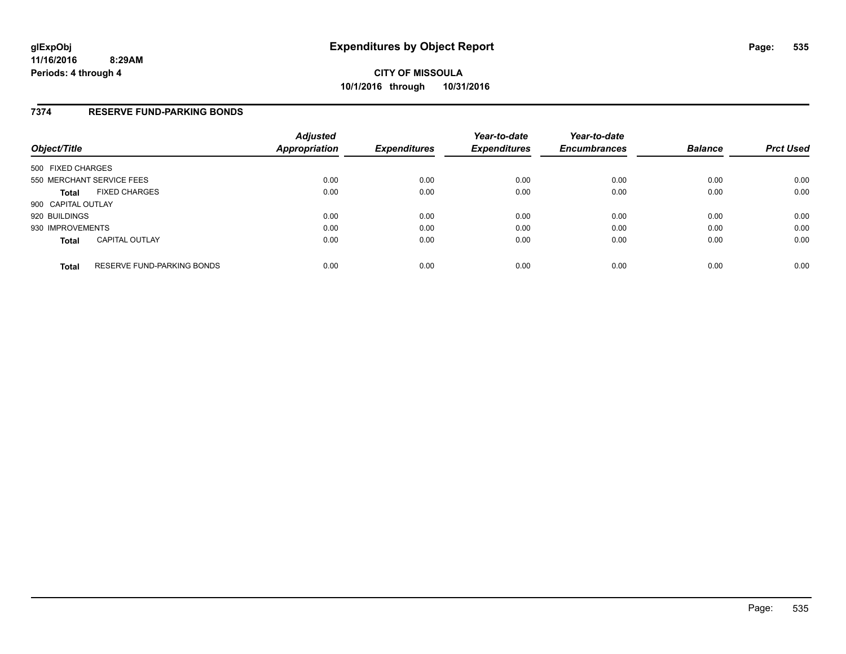### **7374 RESERVE FUND-PARKING BONDS**

| Object/Title       |                                   | <b>Adjusted</b><br>Appropriation | <b>Expenditures</b> | Year-to-date<br><b>Expenditures</b> | Year-to-date<br><b>Encumbrances</b> | <b>Balance</b> | <b>Prct Used</b> |
|--------------------|-----------------------------------|----------------------------------|---------------------|-------------------------------------|-------------------------------------|----------------|------------------|
| 500 FIXED CHARGES  |                                   |                                  |                     |                                     |                                     |                |                  |
|                    | 550 MERCHANT SERVICE FEES         | 0.00                             | 0.00                | 0.00                                | 0.00                                | 0.00           | 0.00             |
| <b>Total</b>       | <b>FIXED CHARGES</b>              | 0.00                             | 0.00                | 0.00                                | 0.00                                | 0.00           | 0.00             |
| 900 CAPITAL OUTLAY |                                   |                                  |                     |                                     |                                     |                |                  |
| 920 BUILDINGS      |                                   | 0.00                             | 0.00                | 0.00                                | 0.00                                | 0.00           | 0.00             |
| 930 IMPROVEMENTS   |                                   | 0.00                             | 0.00                | 0.00                                | 0.00                                | 0.00           | 0.00             |
| <b>Total</b>       | <b>CAPITAL OUTLAY</b>             | 0.00                             | 0.00                | 0.00                                | 0.00                                | 0.00           | 0.00             |
| <b>Total</b>       | <b>RESERVE FUND-PARKING BONDS</b> | 0.00                             | 0.00                | 0.00                                | 0.00                                | 0.00           | 0.00             |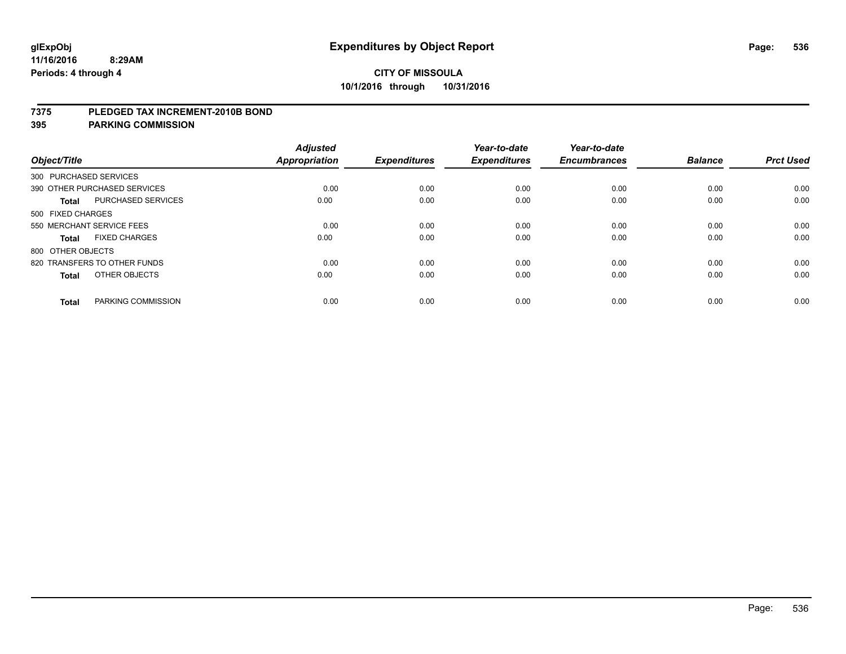### **7375 PLEDGED TAX INCREMENT-2010B BOND**

| Object/Title      |                              | <b>Adjusted</b><br><b>Appropriation</b> | <b>Expenditures</b> | Year-to-date<br><b>Expenditures</b> | Year-to-date<br><b>Encumbrances</b> | <b>Balance</b> | <b>Prct Used</b> |
|-------------------|------------------------------|-----------------------------------------|---------------------|-------------------------------------|-------------------------------------|----------------|------------------|
|                   | 300 PURCHASED SERVICES       |                                         |                     |                                     |                                     |                |                  |
|                   | 390 OTHER PURCHASED SERVICES | 0.00                                    | 0.00                | 0.00                                | 0.00                                | 0.00           | 0.00             |
| <b>Total</b>      | <b>PURCHASED SERVICES</b>    | 0.00                                    | 0.00                | 0.00                                | 0.00                                | 0.00           | 0.00             |
| 500 FIXED CHARGES |                              |                                         |                     |                                     |                                     |                |                  |
|                   | 550 MERCHANT SERVICE FEES    | 0.00                                    | 0.00                | 0.00                                | 0.00                                | 0.00           | 0.00             |
| <b>Total</b>      | <b>FIXED CHARGES</b>         | 0.00                                    | 0.00                | 0.00                                | 0.00                                | 0.00           | 0.00             |
| 800 OTHER OBJECTS |                              |                                         |                     |                                     |                                     |                |                  |
|                   | 820 TRANSFERS TO OTHER FUNDS | 0.00                                    | 0.00                | 0.00                                | 0.00                                | 0.00           | 0.00             |
| <b>Total</b>      | OTHER OBJECTS                | 0.00                                    | 0.00                | 0.00                                | 0.00                                | 0.00           | 0.00             |
| <b>Total</b>      | PARKING COMMISSION           | 0.00                                    | 0.00                | 0.00                                | 0.00                                | 0.00           | 0.00             |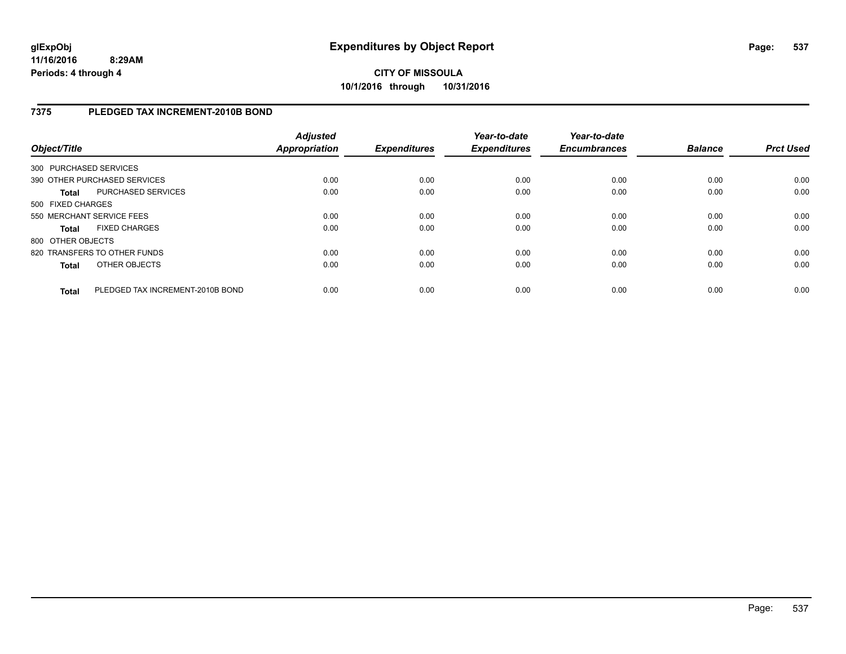**CITY OF MISSOULA 10/1/2016 through 10/31/2016**

## **7375 PLEDGED TAX INCREMENT-2010B BOND**

| Object/Title           |                                  | <b>Adjusted</b><br><b>Appropriation</b> | <b>Expenditures</b> | Year-to-date<br><b>Expenditures</b> | Year-to-date<br><b>Encumbrances</b> | <b>Balance</b> | <b>Prct Used</b> |
|------------------------|----------------------------------|-----------------------------------------|---------------------|-------------------------------------|-------------------------------------|----------------|------------------|
| 300 PURCHASED SERVICES |                                  |                                         |                     |                                     |                                     |                |                  |
|                        | 390 OTHER PURCHASED SERVICES     | 0.00                                    | 0.00                | 0.00                                | 0.00                                | 0.00           | 0.00             |
| <b>Total</b>           | PURCHASED SERVICES               | 0.00                                    | 0.00                | 0.00                                | 0.00                                | 0.00           | 0.00             |
| 500 FIXED CHARGES      |                                  |                                         |                     |                                     |                                     |                |                  |
|                        | 550 MERCHANT SERVICE FEES        | 0.00                                    | 0.00                | 0.00                                | 0.00                                | 0.00           | 0.00             |
| <b>Total</b>           | <b>FIXED CHARGES</b>             | 0.00                                    | 0.00                | 0.00                                | 0.00                                | 0.00           | 0.00             |
| 800 OTHER OBJECTS      |                                  |                                         |                     |                                     |                                     |                |                  |
|                        | 820 TRANSFERS TO OTHER FUNDS     | 0.00                                    | 0.00                | 0.00                                | 0.00                                | 0.00           | 0.00             |
| <b>Total</b>           | OTHER OBJECTS                    | 0.00                                    | 0.00                | 0.00                                | 0.00                                | 0.00           | 0.00             |
| Total                  | PLEDGED TAX INCREMENT-2010B BOND | 0.00                                    | 0.00                | 0.00                                | 0.00                                | 0.00           | 0.00             |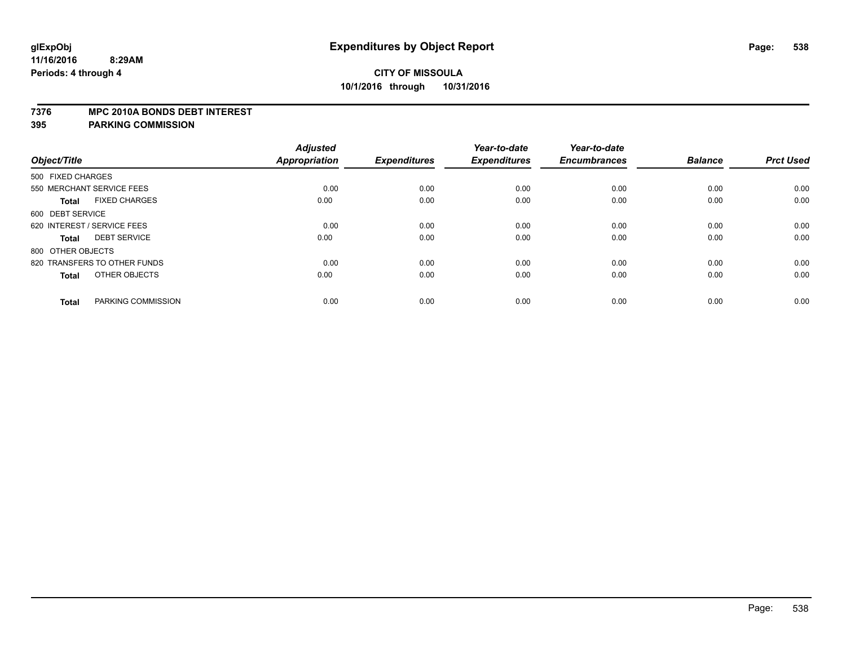### **7376 MPC 2010A BONDS DEBT INTEREST**

| Object/Title                         | <b>Adjusted</b><br><b>Appropriation</b> | <b>Expenditures</b> | Year-to-date<br><b>Expenditures</b> | Year-to-date<br><b>Encumbrances</b> | <b>Balance</b> | <b>Prct Used</b> |
|--------------------------------------|-----------------------------------------|---------------------|-------------------------------------|-------------------------------------|----------------|------------------|
|                                      |                                         |                     |                                     |                                     |                |                  |
| 500 FIXED CHARGES                    |                                         |                     |                                     |                                     |                |                  |
| 550 MERCHANT SERVICE FEES            | 0.00                                    | 0.00                | 0.00                                | 0.00                                | 0.00           | 0.00             |
| <b>FIXED CHARGES</b><br><b>Total</b> | 0.00                                    | 0.00                | 0.00                                | 0.00                                | 0.00           | 0.00             |
| 600 DEBT SERVICE                     |                                         |                     |                                     |                                     |                |                  |
| 620 INTEREST / SERVICE FEES          | 0.00                                    | 0.00                | 0.00                                | 0.00                                | 0.00           | 0.00             |
| <b>DEBT SERVICE</b><br><b>Total</b>  | 0.00                                    | 0.00                | 0.00                                | 0.00                                | 0.00           | 0.00             |
| 800 OTHER OBJECTS                    |                                         |                     |                                     |                                     |                |                  |
| 820 TRANSFERS TO OTHER FUNDS         | 0.00                                    | 0.00                | 0.00                                | 0.00                                | 0.00           | 0.00             |
| OTHER OBJECTS<br><b>Total</b>        | 0.00                                    | 0.00                | 0.00                                | 0.00                                | 0.00           | 0.00             |
| PARKING COMMISSION<br><b>Total</b>   | 0.00                                    | 0.00                | 0.00                                | 0.00                                | 0.00           | 0.00             |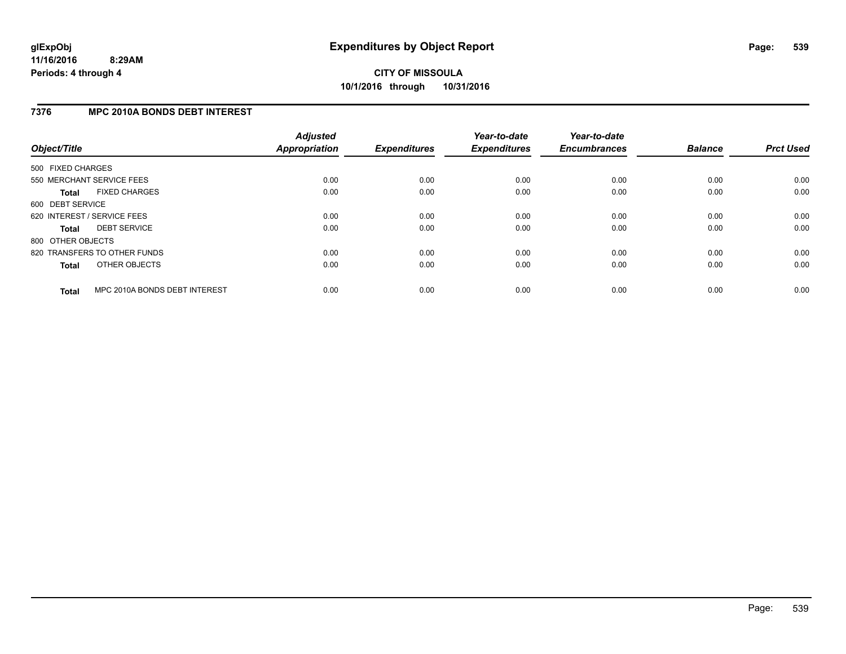## **7376 MPC 2010A BONDS DEBT INTEREST**

| Object/Title      |                               | <b>Adjusted</b><br><b>Appropriation</b> | <b>Expenditures</b> | Year-to-date<br><b>Expenditures</b> | Year-to-date<br><b>Encumbrances</b> | <b>Balance</b> | <b>Prct Used</b> |
|-------------------|-------------------------------|-----------------------------------------|---------------------|-------------------------------------|-------------------------------------|----------------|------------------|
| 500 FIXED CHARGES |                               |                                         |                     |                                     |                                     |                |                  |
|                   | 550 MERCHANT SERVICE FEES     | 0.00                                    | 0.00                | 0.00                                | 0.00                                | 0.00           | 0.00             |
| <b>Total</b>      | <b>FIXED CHARGES</b>          | 0.00                                    | 0.00                | 0.00                                | 0.00                                | 0.00           | 0.00             |
| 600 DEBT SERVICE  |                               |                                         |                     |                                     |                                     |                |                  |
|                   | 620 INTEREST / SERVICE FEES   | 0.00                                    | 0.00                | 0.00                                | 0.00                                | 0.00           | 0.00             |
| <b>Total</b>      | <b>DEBT SERVICE</b>           | 0.00                                    | 0.00                | 0.00                                | 0.00                                | 0.00           | 0.00             |
| 800 OTHER OBJECTS |                               |                                         |                     |                                     |                                     |                |                  |
|                   | 820 TRANSFERS TO OTHER FUNDS  | 0.00                                    | 0.00                | 0.00                                | 0.00                                | 0.00           | 0.00             |
| <b>Total</b>      | OTHER OBJECTS                 | 0.00                                    | 0.00                | 0.00                                | 0.00                                | 0.00           | 0.00             |
| <b>Total</b>      | MPC 2010A BONDS DEBT INTEREST | 0.00                                    | 0.00                | 0.00                                | 0.00                                | 0.00           | 0.00             |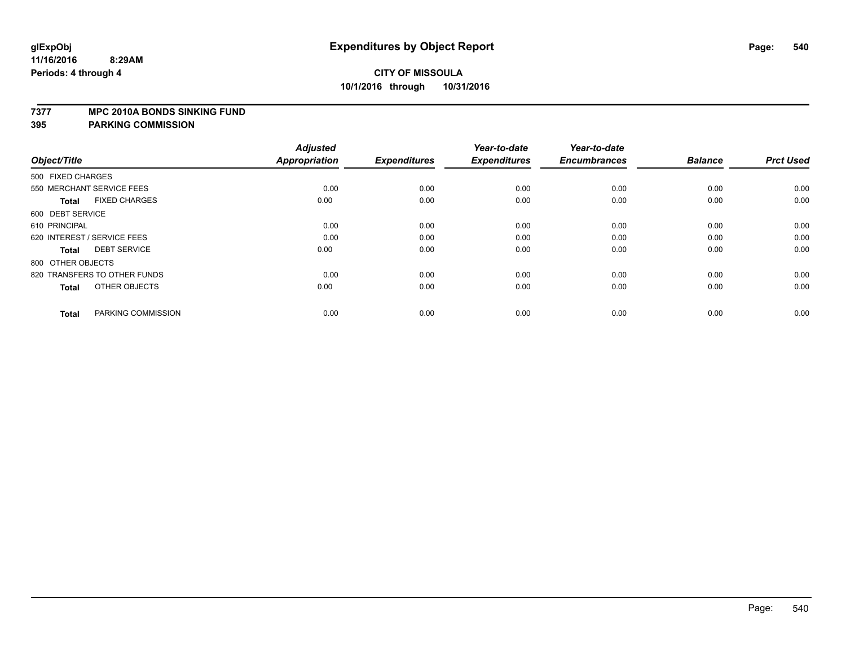### **7377 MPC 2010A BONDS SINKING FUND**

| Object/Title                         | <b>Adjusted</b><br><b>Appropriation</b> | <b>Expenditures</b> | Year-to-date<br><b>Expenditures</b> | Year-to-date<br><b>Encumbrances</b> | <b>Balance</b> | <b>Prct Used</b> |
|--------------------------------------|-----------------------------------------|---------------------|-------------------------------------|-------------------------------------|----------------|------------------|
| 500 FIXED CHARGES                    |                                         |                     |                                     |                                     |                |                  |
| 550 MERCHANT SERVICE FEES            | 0.00                                    | 0.00                | 0.00                                | 0.00                                | 0.00           | 0.00             |
| <b>FIXED CHARGES</b><br><b>Total</b> | 0.00                                    | 0.00                | 0.00                                | 0.00                                | 0.00           | 0.00             |
| 600 DEBT SERVICE                     |                                         |                     |                                     |                                     |                |                  |
| 610 PRINCIPAL                        | 0.00                                    | 0.00                | 0.00                                | 0.00                                | 0.00           | 0.00             |
| 620 INTEREST / SERVICE FEES          | 0.00                                    | 0.00                | 0.00                                | 0.00                                | 0.00           | 0.00             |
| <b>DEBT SERVICE</b><br><b>Total</b>  | 0.00                                    | 0.00                | 0.00                                | 0.00                                | 0.00           | 0.00             |
| 800 OTHER OBJECTS                    |                                         |                     |                                     |                                     |                |                  |
| 820 TRANSFERS TO OTHER FUNDS         | 0.00                                    | 0.00                | 0.00                                | 0.00                                | 0.00           | 0.00             |
| OTHER OBJECTS<br><b>Total</b>        | 0.00                                    | 0.00                | 0.00                                | 0.00                                | 0.00           | 0.00             |
|                                      |                                         |                     |                                     |                                     |                |                  |
| PARKING COMMISSION<br><b>Total</b>   | 0.00                                    | 0.00                | 0.00                                | 0.00                                | 0.00           | 0.00             |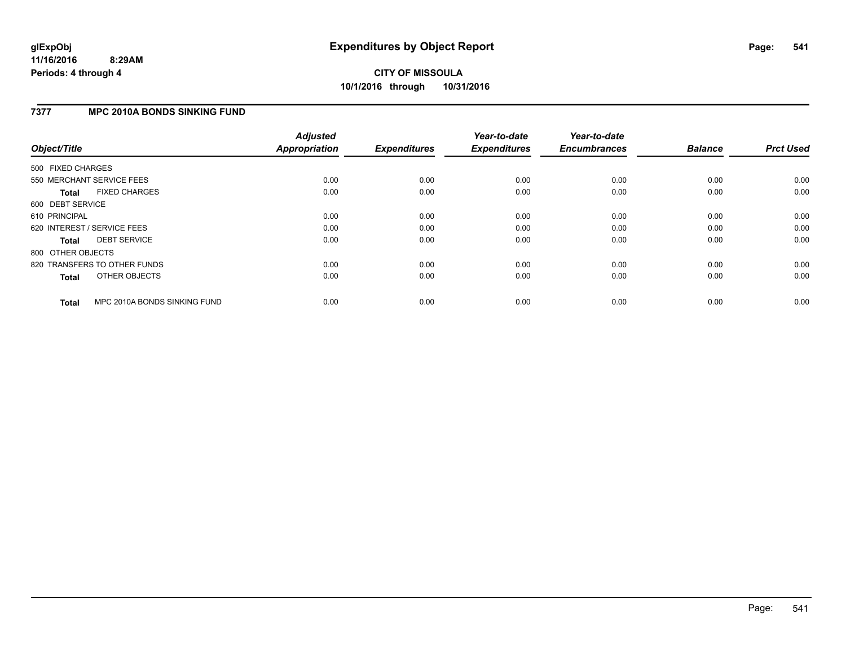# **CITY OF MISSOULA 10/1/2016 through 10/31/2016**

### **7377 MPC 2010A BONDS SINKING FUND**

| Object/Title      |                              | <b>Adjusted</b><br><b>Appropriation</b> | <b>Expenditures</b> | Year-to-date<br><b>Expenditures</b> | Year-to-date<br><b>Encumbrances</b> | <b>Balance</b> | <b>Prct Used</b> |
|-------------------|------------------------------|-----------------------------------------|---------------------|-------------------------------------|-------------------------------------|----------------|------------------|
| 500 FIXED CHARGES |                              |                                         |                     |                                     |                                     |                |                  |
|                   | 550 MERCHANT SERVICE FEES    | 0.00                                    | 0.00                | 0.00                                | 0.00                                | 0.00           | 0.00             |
| <b>Total</b>      | <b>FIXED CHARGES</b>         | 0.00                                    | 0.00                | 0.00                                | 0.00                                | 0.00           | 0.00             |
| 600 DEBT SERVICE  |                              |                                         |                     |                                     |                                     |                |                  |
| 610 PRINCIPAL     |                              | 0.00                                    | 0.00                | 0.00                                | 0.00                                | 0.00           | 0.00             |
|                   | 620 INTEREST / SERVICE FEES  | 0.00                                    | 0.00                | 0.00                                | 0.00                                | 0.00           | 0.00             |
| <b>Total</b>      | <b>DEBT SERVICE</b>          | 0.00                                    | 0.00                | 0.00                                | 0.00                                | 0.00           | 0.00             |
| 800 OTHER OBJECTS |                              |                                         |                     |                                     |                                     |                |                  |
|                   | 820 TRANSFERS TO OTHER FUNDS | 0.00                                    | 0.00                | 0.00                                | 0.00                                | 0.00           | 0.00             |
| <b>Total</b>      | OTHER OBJECTS                | 0.00                                    | 0.00                | 0.00                                | 0.00                                | 0.00           | 0.00             |
| <b>Total</b>      | MPC 2010A BONDS SINKING FUND | 0.00                                    | 0.00                | 0.00                                | 0.00                                | 0.00           | 0.00             |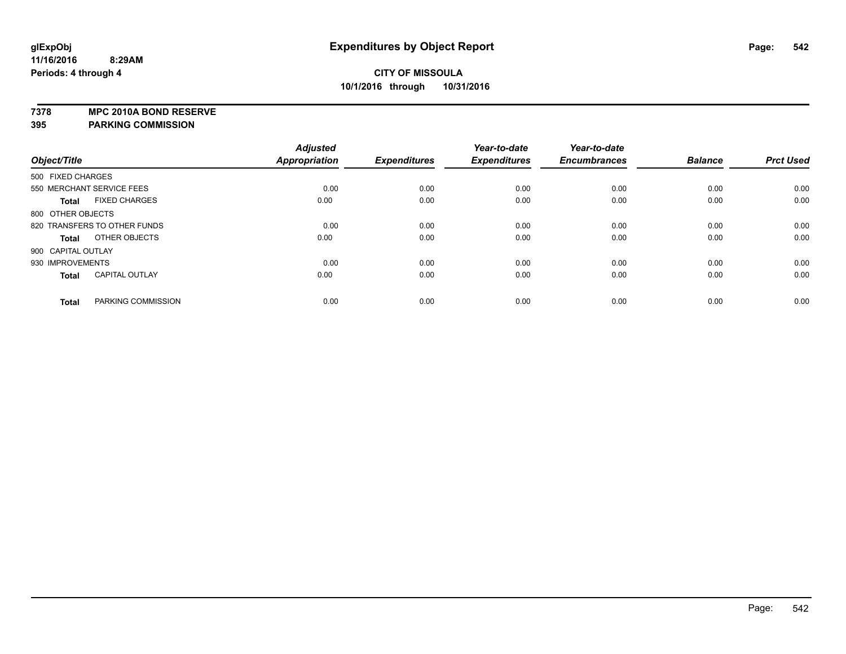**7378 MPC 2010A BOND RESERVE**

**395 PARKING COMMISSION**

|                              |                       | <b>Adjusted</b>      |                     | Year-to-date        | Year-to-date        |                |                  |
|------------------------------|-----------------------|----------------------|---------------------|---------------------|---------------------|----------------|------------------|
| Object/Title                 |                       | <b>Appropriation</b> | <b>Expenditures</b> | <b>Expenditures</b> | <b>Encumbrances</b> | <b>Balance</b> | <b>Prct Used</b> |
| 500 FIXED CHARGES            |                       |                      |                     |                     |                     |                |                  |
| 550 MERCHANT SERVICE FEES    |                       | 0.00                 | 0.00                | 0.00                | 0.00                | 0.00           | 0.00             |
| <b>Total</b>                 | <b>FIXED CHARGES</b>  | 0.00                 | 0.00                | 0.00                | 0.00                | 0.00           | 0.00             |
| 800 OTHER OBJECTS            |                       |                      |                     |                     |                     |                |                  |
| 820 TRANSFERS TO OTHER FUNDS |                       | 0.00                 | 0.00                | 0.00                | 0.00                | 0.00           | 0.00             |
| <b>Total</b>                 | OTHER OBJECTS         | 0.00                 | 0.00                | 0.00                | 0.00                | 0.00           | 0.00             |
| 900 CAPITAL OUTLAY           |                       |                      |                     |                     |                     |                |                  |
| 930 IMPROVEMENTS             |                       | 0.00                 | 0.00                | 0.00                | 0.00                | 0.00           | 0.00             |
| <b>Total</b>                 | <b>CAPITAL OUTLAY</b> | 0.00                 | 0.00                | 0.00                | 0.00                | 0.00           | 0.00             |
| <b>Total</b>                 | PARKING COMMISSION    | 0.00                 | 0.00                | 0.00                | 0.00                | 0.00           | 0.00             |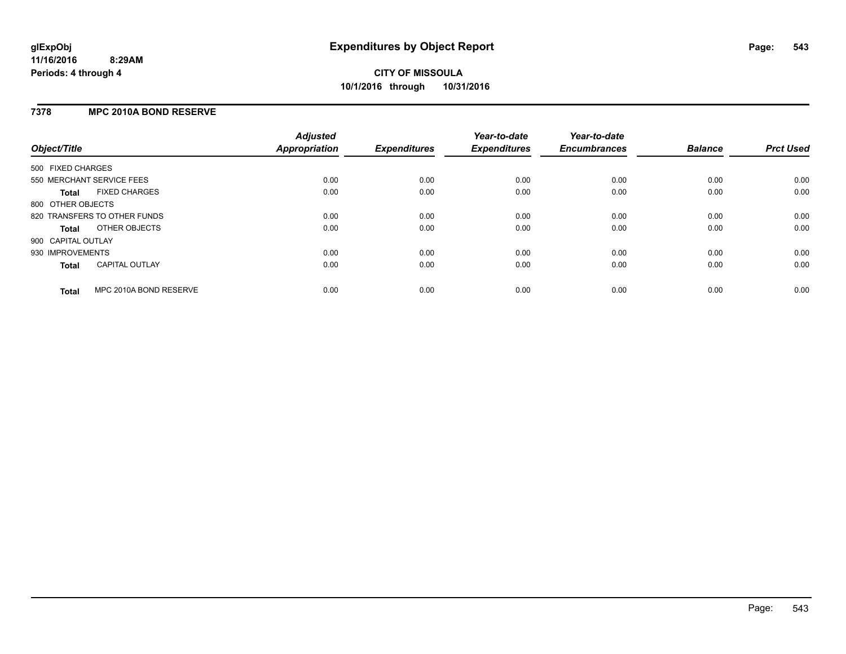### **7378 MPC 2010A BOND RESERVE**

| Object/Title              |                              | <b>Adjusted</b><br><b>Appropriation</b> | <b>Expenditures</b> | Year-to-date<br><b>Expenditures</b> | Year-to-date<br><b>Encumbrances</b> | <b>Balance</b> | <b>Prct Used</b> |
|---------------------------|------------------------------|-----------------------------------------|---------------------|-------------------------------------|-------------------------------------|----------------|------------------|
| 500 FIXED CHARGES         |                              |                                         |                     |                                     |                                     |                |                  |
| 550 MERCHANT SERVICE FEES |                              | 0.00                                    | 0.00                | 0.00                                | 0.00                                | 0.00           | 0.00             |
| Total                     | <b>FIXED CHARGES</b>         | 0.00                                    | 0.00                | 0.00                                | 0.00                                | 0.00           | 0.00             |
| 800 OTHER OBJECTS         |                              |                                         |                     |                                     |                                     |                |                  |
|                           | 820 TRANSFERS TO OTHER FUNDS | 0.00                                    | 0.00                | 0.00                                | 0.00                                | 0.00           | 0.00             |
| Total                     | OTHER OBJECTS                | 0.00                                    | 0.00                | 0.00                                | 0.00                                | 0.00           | 0.00             |
| 900 CAPITAL OUTLAY        |                              |                                         |                     |                                     |                                     |                |                  |
| 930 IMPROVEMENTS          |                              | 0.00                                    | 0.00                | 0.00                                | 0.00                                | 0.00           | 0.00             |
| Total                     | <b>CAPITAL OUTLAY</b>        | 0.00                                    | 0.00                | 0.00                                | 0.00                                | 0.00           | 0.00             |
| <b>Total</b>              | MPC 2010A BOND RESERVE       | 0.00                                    | 0.00                | 0.00                                | 0.00                                | 0.00           | 0.00             |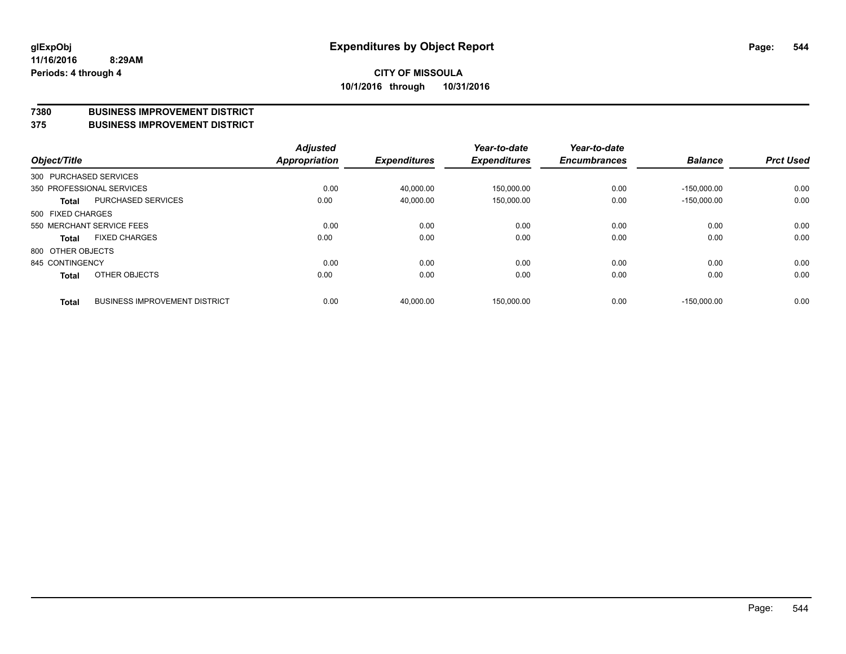#### **7380 BUSINESS IMPROVEMENT DISTRICT**

**375 BUSINESS IMPROVEMENT DISTRICT**

| Object/Title      |                                      | <b>Adjusted</b><br>Appropriation | <b>Expenditures</b> | Year-to-date<br><b>Expenditures</b> | Year-to-date<br><b>Encumbrances</b> | <b>Balance</b> | <b>Prct Used</b> |
|-------------------|--------------------------------------|----------------------------------|---------------------|-------------------------------------|-------------------------------------|----------------|------------------|
|                   | 300 PURCHASED SERVICES               |                                  |                     |                                     |                                     |                |                  |
|                   | 350 PROFESSIONAL SERVICES            | 0.00                             | 40,000.00           | 150,000.00                          | 0.00                                | $-150.000.00$  | 0.00             |
| <b>Total</b>      | PURCHASED SERVICES                   | 0.00                             | 40,000.00           | 150,000.00                          | 0.00                                | $-150,000.00$  | 0.00             |
| 500 FIXED CHARGES |                                      |                                  |                     |                                     |                                     |                |                  |
|                   | 550 MERCHANT SERVICE FEES            | 0.00                             | 0.00                | 0.00                                | 0.00                                | 0.00           | 0.00             |
| <b>Total</b>      | <b>FIXED CHARGES</b>                 | 0.00                             | 0.00                | 0.00                                | 0.00                                | 0.00           | 0.00             |
| 800 OTHER OBJECTS |                                      |                                  |                     |                                     |                                     |                |                  |
| 845 CONTINGENCY   |                                      | 0.00                             | 0.00                | 0.00                                | 0.00                                | 0.00           | 0.00             |
| <b>Total</b>      | OTHER OBJECTS                        | 0.00                             | 0.00                | 0.00                                | 0.00                                | 0.00           | 0.00             |
| <b>Total</b>      | <b>BUSINESS IMPROVEMENT DISTRICT</b> | 0.00                             | 40.000.00           | 150,000.00                          | 0.00                                | $-150.000.00$  | 0.00             |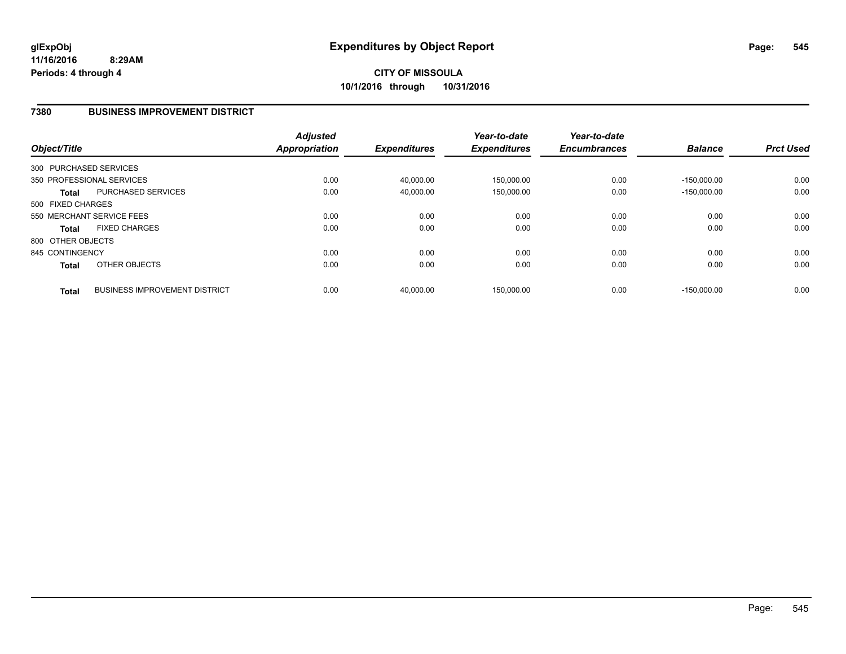### **7380 BUSINESS IMPROVEMENT DISTRICT**

| Object/Title      |                                      | <b>Adjusted</b><br><b>Appropriation</b> | <b>Expenditures</b> | Year-to-date<br><b>Expenditures</b> | Year-to-date<br><b>Encumbrances</b> | <b>Balance</b> | <b>Prct Used</b> |
|-------------------|--------------------------------------|-----------------------------------------|---------------------|-------------------------------------|-------------------------------------|----------------|------------------|
|                   | 300 PURCHASED SERVICES               |                                         |                     |                                     |                                     |                |                  |
|                   | 350 PROFESSIONAL SERVICES            | 0.00                                    | 40,000.00           | 150,000.00                          | 0.00                                | $-150.000.00$  | 0.00             |
| <b>Total</b>      | <b>PURCHASED SERVICES</b>            | 0.00                                    | 40,000.00           | 150,000.00                          | 0.00                                | $-150.000.00$  | 0.00             |
| 500 FIXED CHARGES |                                      |                                         |                     |                                     |                                     |                |                  |
|                   | 550 MERCHANT SERVICE FEES            | 0.00                                    | 0.00                | 0.00                                | 0.00                                | 0.00           | 0.00             |
| <b>Total</b>      | <b>FIXED CHARGES</b>                 | 0.00                                    | 0.00                | 0.00                                | 0.00                                | 0.00           | 0.00             |
| 800 OTHER OBJECTS |                                      |                                         |                     |                                     |                                     |                |                  |
| 845 CONTINGENCY   |                                      | 0.00                                    | 0.00                | 0.00                                | 0.00                                | 0.00           | 0.00             |
| <b>Total</b>      | OTHER OBJECTS                        | 0.00                                    | 0.00                | 0.00                                | 0.00                                | 0.00           | 0.00             |
| <b>Total</b>      | <b>BUSINESS IMPROVEMENT DISTRICT</b> | 0.00                                    | 40.000.00           | 150.000.00                          | 0.00                                | $-150.000.00$  | 0.00             |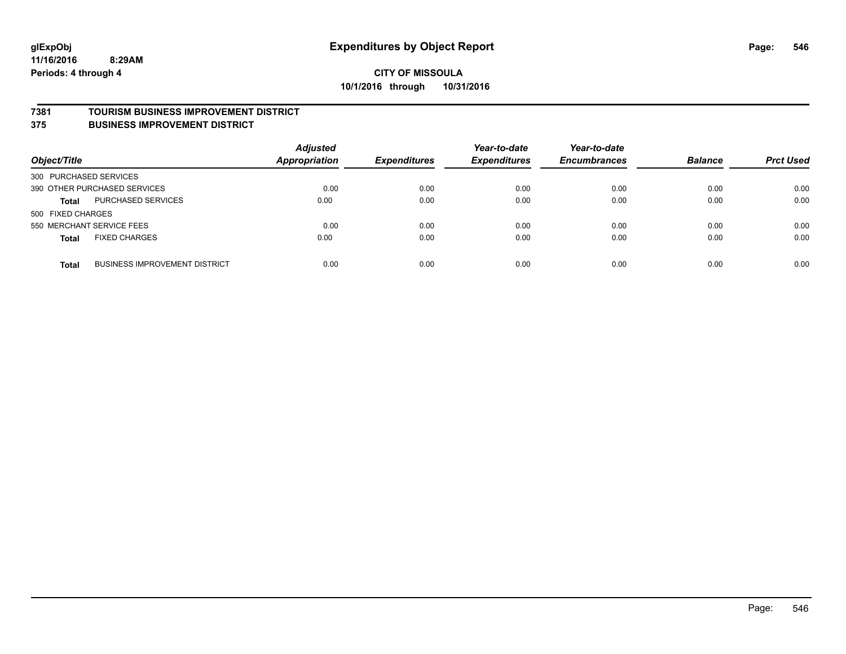#### **7381 TOURISM BUSINESS IMPROVEMENT DISTRICT**

**375 BUSINESS IMPROVEMENT DISTRICT**

| Object/Title              |                                      | <b>Adjusted</b><br><b>Appropriation</b> | <b>Expenditures</b> | Year-to-date<br><b>Expenditures</b> | Year-to-date<br><b>Encumbrances</b> | <b>Balance</b> | <b>Prct Used</b> |
|---------------------------|--------------------------------------|-----------------------------------------|---------------------|-------------------------------------|-------------------------------------|----------------|------------------|
| 300 PURCHASED SERVICES    |                                      |                                         |                     |                                     |                                     |                |                  |
|                           | 390 OTHER PURCHASED SERVICES         | 0.00                                    | 0.00                | 0.00                                | 0.00                                | 0.00           | 0.00             |
| <b>Total</b>              | <b>PURCHASED SERVICES</b>            | 0.00                                    | 0.00                | 0.00                                | 0.00                                | 0.00           | 0.00             |
| 500 FIXED CHARGES         |                                      |                                         |                     |                                     |                                     |                |                  |
| 550 MERCHANT SERVICE FEES |                                      | 0.00                                    | 0.00                | 0.00                                | 0.00                                | 0.00           | 0.00             |
| <b>Total</b>              | <b>FIXED CHARGES</b>                 | 0.00                                    | 0.00                | 0.00                                | 0.00                                | 0.00           | 0.00             |
| <b>Total</b>              | <b>BUSINESS IMPROVEMENT DISTRICT</b> | 0.00                                    | 0.00                | 0.00                                | 0.00                                | 0.00           | 0.00             |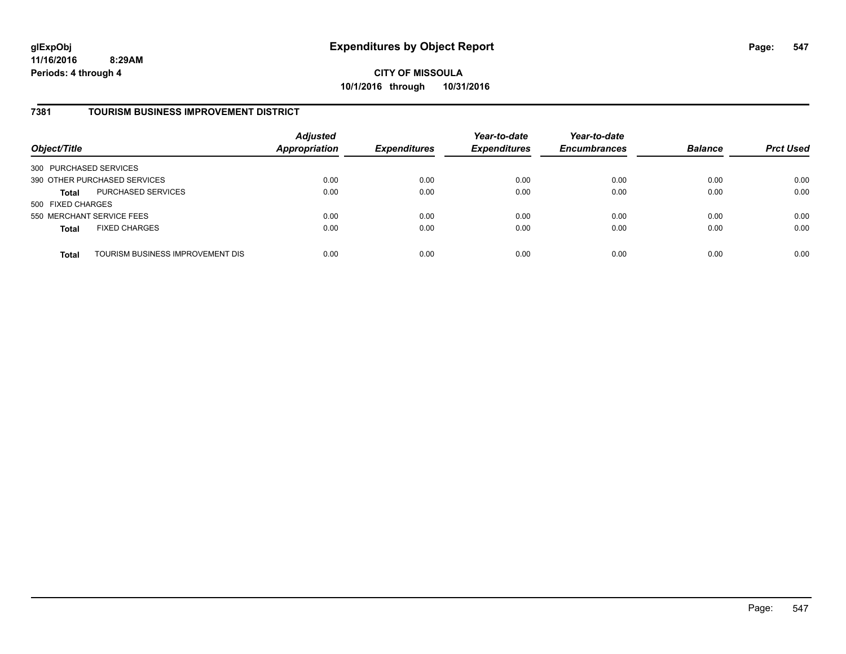**CITY OF MISSOULA 10/1/2016 through 10/31/2016**

### **7381 TOURISM BUSINESS IMPROVEMENT DISTRICT**

| Object/Title                 |                                  | <b>Adjusted</b><br><b>Appropriation</b> | <b>Expenditures</b> | Year-to-date<br><b>Expenditures</b> | Year-to-date<br><b>Encumbrances</b> | <b>Balance</b> | <b>Prct Used</b> |
|------------------------------|----------------------------------|-----------------------------------------|---------------------|-------------------------------------|-------------------------------------|----------------|------------------|
| 300 PURCHASED SERVICES       |                                  |                                         |                     |                                     |                                     |                |                  |
| 390 OTHER PURCHASED SERVICES |                                  | 0.00                                    | 0.00                | 0.00                                | 0.00                                | 0.00           | 0.00             |
| <b>Total</b>                 | PURCHASED SERVICES               | 0.00                                    | 0.00                | 0.00                                | 0.00                                | 0.00           | 0.00             |
| 500 FIXED CHARGES            |                                  |                                         |                     |                                     |                                     |                |                  |
| 550 MERCHANT SERVICE FEES    |                                  | 0.00                                    | 0.00                | 0.00                                | 0.00                                | 0.00           | 0.00             |
| <b>Total</b>                 | <b>FIXED CHARGES</b>             | 0.00                                    | 0.00                | 0.00                                | 0.00                                | 0.00           | 0.00             |
| <b>Total</b>                 | TOURISM BUSINESS IMPROVEMENT DIS | 0.00                                    | 0.00                | 0.00                                | 0.00                                | 0.00           | 0.00             |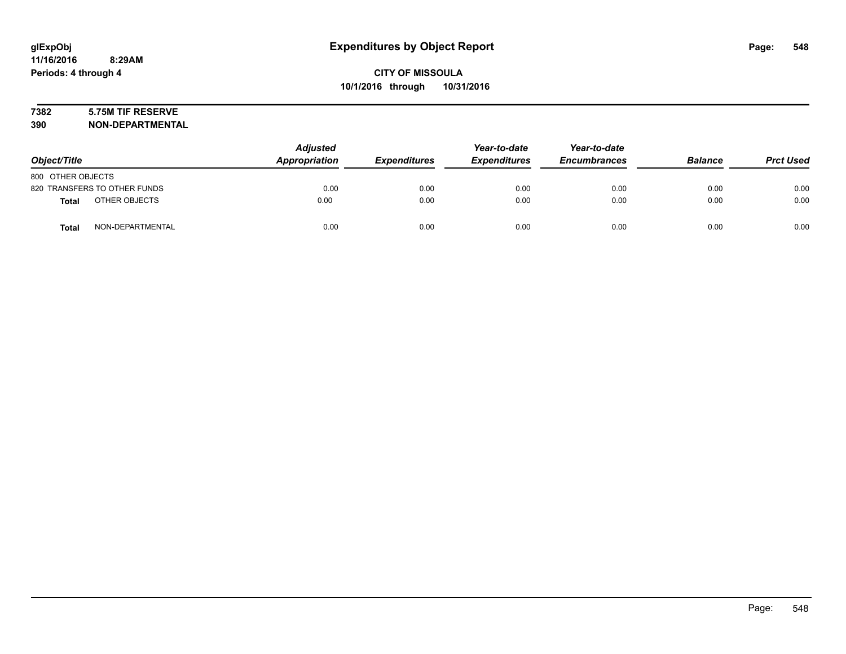# **7382 5.75M TIF RESERVE**

**390 NON-DEPARTMENTAL**

| Object/Title      |                              | <b>Adjusted</b><br>Appropriation | <b>Expenditures</b> | Year-to-date<br><b>Expenditures</b> | Year-to-date<br><b>Encumbrances</b> | <b>Balance</b> | <b>Prct Used</b> |
|-------------------|------------------------------|----------------------------------|---------------------|-------------------------------------|-------------------------------------|----------------|------------------|
| 800 OTHER OBJECTS |                              |                                  |                     |                                     |                                     |                |                  |
|                   | 820 TRANSFERS TO OTHER FUNDS | 0.00                             | 0.00                | 0.00                                | 0.00                                | 0.00           | 0.00             |
| <b>Total</b>      | OTHER OBJECTS                | 0.00                             | 0.00                | 0.00                                | 0.00                                | 0.00           | 0.00             |
| <b>Total</b>      | NON-DEPARTMENTAL             | 0.00                             | 0.00                | 0.00                                | 0.00                                | 0.00           | 0.00             |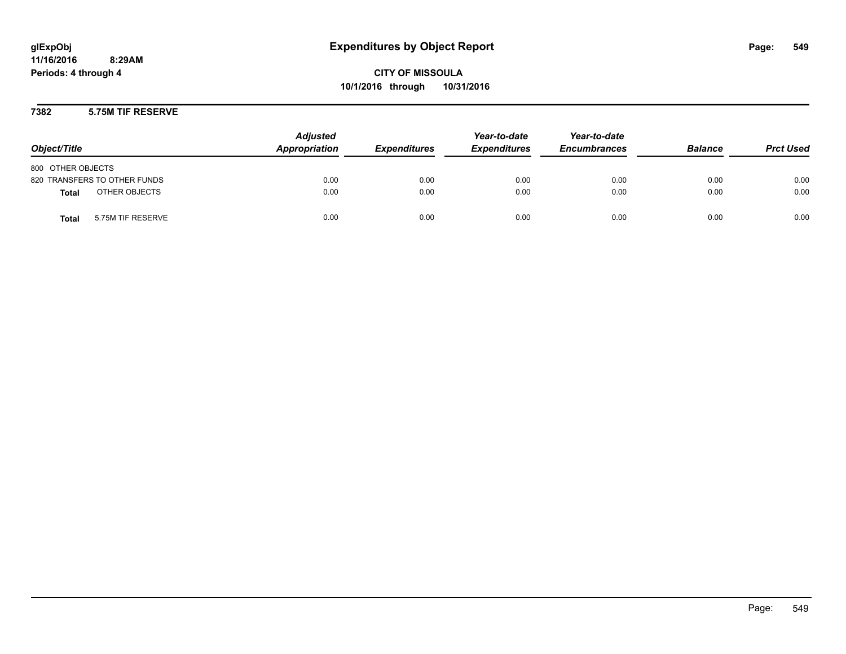**CITY OF MISSOULA 10/1/2016 through 10/31/2016**

**7382 5.75M TIF RESERVE**

| Object/Title                      | <b>Adjusted</b><br>Appropriation | <b>Expenditures</b> | Year-to-date<br><b>Expenditures</b> | Year-to-date<br><b>Encumbrances</b> | <b>Balance</b> | <b>Prct Used</b> |
|-----------------------------------|----------------------------------|---------------------|-------------------------------------|-------------------------------------|----------------|------------------|
| 800 OTHER OBJECTS                 |                                  |                     |                                     |                                     |                |                  |
| 820 TRANSFERS TO OTHER FUNDS      | 0.00                             | 0.00                | 0.00                                | 0.00                                | 0.00           | 0.00             |
| OTHER OBJECTS<br><b>Total</b>     | 0.00                             | 0.00                | 0.00                                | 0.00                                | 0.00           | 0.00             |
| 5.75M TIF RESERVE<br><b>Total</b> | 0.00                             | 0.00                | 0.00                                | 0.00                                | 0.00           | 0.00             |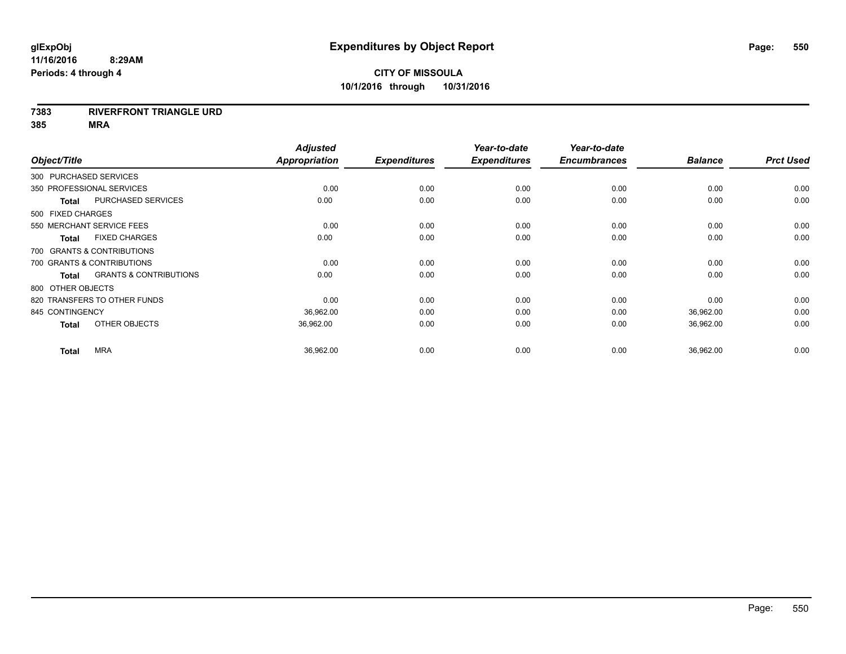#### **7383 RIVERFRONT TRIANGLE URD**

| Object/Title              |                                   | <b>Adjusted</b><br>Appropriation | <b>Expenditures</b> | Year-to-date<br><b>Expenditures</b> | Year-to-date<br><b>Encumbrances</b> | <b>Balance</b> | <b>Prct Used</b> |
|---------------------------|-----------------------------------|----------------------------------|---------------------|-------------------------------------|-------------------------------------|----------------|------------------|
| 300 PURCHASED SERVICES    |                                   |                                  |                     |                                     |                                     |                |                  |
| 350 PROFESSIONAL SERVICES |                                   | 0.00                             | 0.00                | 0.00                                | 0.00                                | 0.00           | 0.00             |
| <b>Total</b>              | PURCHASED SERVICES                | 0.00                             | 0.00                | 0.00                                | 0.00                                | 0.00           | 0.00             |
| 500 FIXED CHARGES         |                                   |                                  |                     |                                     |                                     |                |                  |
|                           | 550 MERCHANT SERVICE FEES         | 0.00                             | 0.00                | 0.00                                | 0.00                                | 0.00           | 0.00             |
| <b>Total</b>              | <b>FIXED CHARGES</b>              | 0.00                             | 0.00                | 0.00                                | 0.00                                | 0.00           | 0.00             |
|                           | 700 GRANTS & CONTRIBUTIONS        |                                  |                     |                                     |                                     |                |                  |
|                           | 700 GRANTS & CONTRIBUTIONS        | 0.00                             | 0.00                | 0.00                                | 0.00                                | 0.00           | 0.00             |
| <b>Total</b>              | <b>GRANTS &amp; CONTRIBUTIONS</b> | 0.00                             | 0.00                | 0.00                                | 0.00                                | 0.00           | 0.00             |
| 800 OTHER OBJECTS         |                                   |                                  |                     |                                     |                                     |                |                  |
|                           | 820 TRANSFERS TO OTHER FUNDS      | 0.00                             | 0.00                | 0.00                                | 0.00                                | 0.00           | 0.00             |
| 845 CONTINGENCY           |                                   | 36,962.00                        | 0.00                | 0.00                                | 0.00                                | 36,962.00      | 0.00             |
| <b>Total</b>              | OTHER OBJECTS                     | 36,962.00                        | 0.00                | 0.00                                | 0.00                                | 36,962.00      | 0.00             |
| <b>Total</b>              | <b>MRA</b>                        | 36,962.00                        | 0.00                | 0.00                                | 0.00                                | 36,962.00      | 0.00             |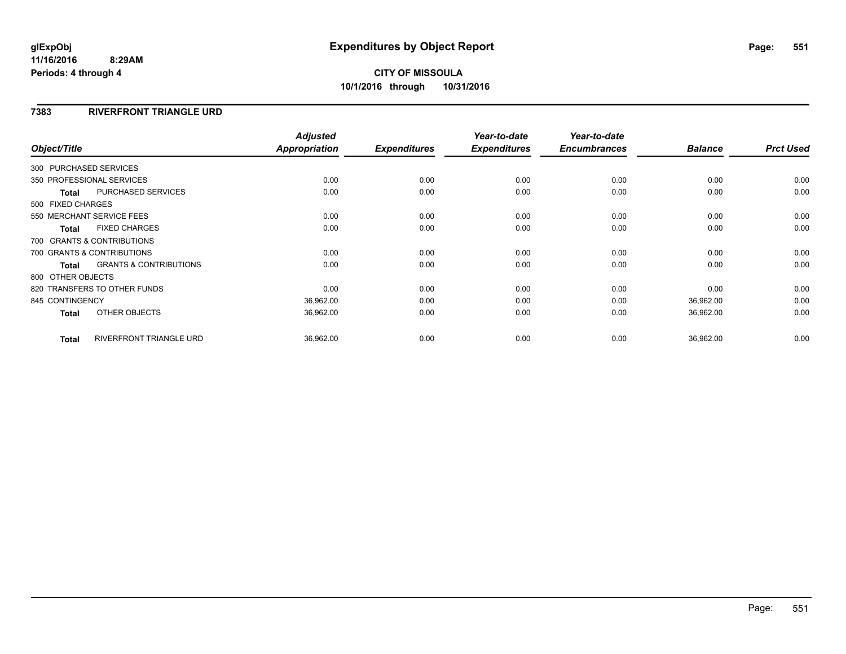### **7383 RIVERFRONT TRIANGLE URD**

| Object/Title           |                                   | <b>Adjusted</b><br>Appropriation | <b>Expenditures</b> | Year-to-date<br><b>Expenditures</b> | Year-to-date<br><b>Encumbrances</b> | <b>Balance</b> | <b>Prct Used</b> |
|------------------------|-----------------------------------|----------------------------------|---------------------|-------------------------------------|-------------------------------------|----------------|------------------|
| 300 PURCHASED SERVICES |                                   |                                  |                     |                                     |                                     |                |                  |
|                        | 350 PROFESSIONAL SERVICES         | 0.00                             | 0.00                | 0.00                                | 0.00                                | 0.00           | 0.00             |
| <b>Total</b>           | PURCHASED SERVICES                | 0.00                             | 0.00                | 0.00                                | 0.00                                | 0.00           | 0.00             |
| 500 FIXED CHARGES      |                                   |                                  |                     |                                     |                                     |                |                  |
|                        | 550 MERCHANT SERVICE FEES         | 0.00                             | 0.00                | 0.00                                | 0.00                                | 0.00           | 0.00             |
| <b>Total</b>           | <b>FIXED CHARGES</b>              | 0.00                             | 0.00                | 0.00                                | 0.00                                | 0.00           | 0.00             |
|                        | 700 GRANTS & CONTRIBUTIONS        |                                  |                     |                                     |                                     |                |                  |
|                        | 700 GRANTS & CONTRIBUTIONS        | 0.00                             | 0.00                | 0.00                                | 0.00                                | 0.00           | 0.00             |
| <b>Total</b>           | <b>GRANTS &amp; CONTRIBUTIONS</b> | 0.00                             | 0.00                | 0.00                                | 0.00                                | 0.00           | 0.00             |
| 800 OTHER OBJECTS      |                                   |                                  |                     |                                     |                                     |                |                  |
|                        | 820 TRANSFERS TO OTHER FUNDS      | 0.00                             | 0.00                | 0.00                                | 0.00                                | 0.00           | 0.00             |
| 845 CONTINGENCY        |                                   | 36,962.00                        | 0.00                | 0.00                                | 0.00                                | 36,962.00      | 0.00             |
| <b>Total</b>           | OTHER OBJECTS                     | 36,962.00                        | 0.00                | 0.00                                | 0.00                                | 36,962.00      | 0.00             |
| <b>Total</b>           | <b>RIVERFRONT TRIANGLE URD</b>    | 36,962.00                        | 0.00                | 0.00                                | 0.00                                | 36,962.00      | 0.00             |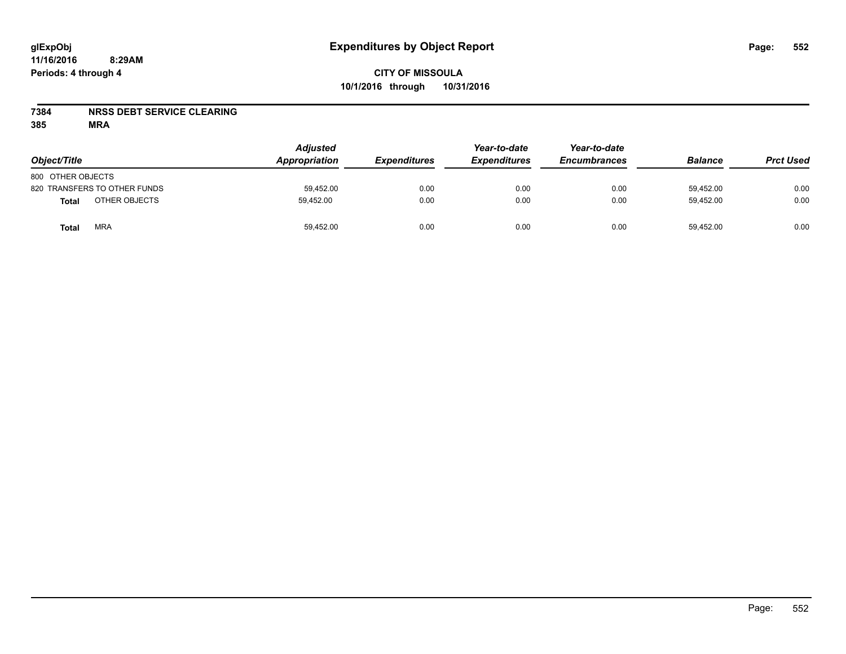### **7384 NRSS DEBT SERVICE CLEARING**

| Object/Title                  | <b>Adjusted</b><br>Appropriation | <b>Expenditures</b> | Year-to-date<br><b>Expenditures</b> | Year-to-date<br><b>Encumbrances</b> | <b>Balance</b> | <b>Prct Used</b> |
|-------------------------------|----------------------------------|---------------------|-------------------------------------|-------------------------------------|----------------|------------------|
| 800 OTHER OBJECTS             |                                  |                     |                                     |                                     |                |                  |
| 820 TRANSFERS TO OTHER FUNDS  | 59.452.00                        | 0.00                | 0.00                                | 0.00                                | 59.452.00      | 0.00             |
| OTHER OBJECTS<br><b>Total</b> | 59,452.00                        | 0.00                | 0.00                                | 0.00                                | 59,452.00      | 0.00             |
| <b>MRA</b><br>Total           | 59,452.00                        | 0.00                | 0.00                                | 0.00                                | 59,452.00      | 0.00             |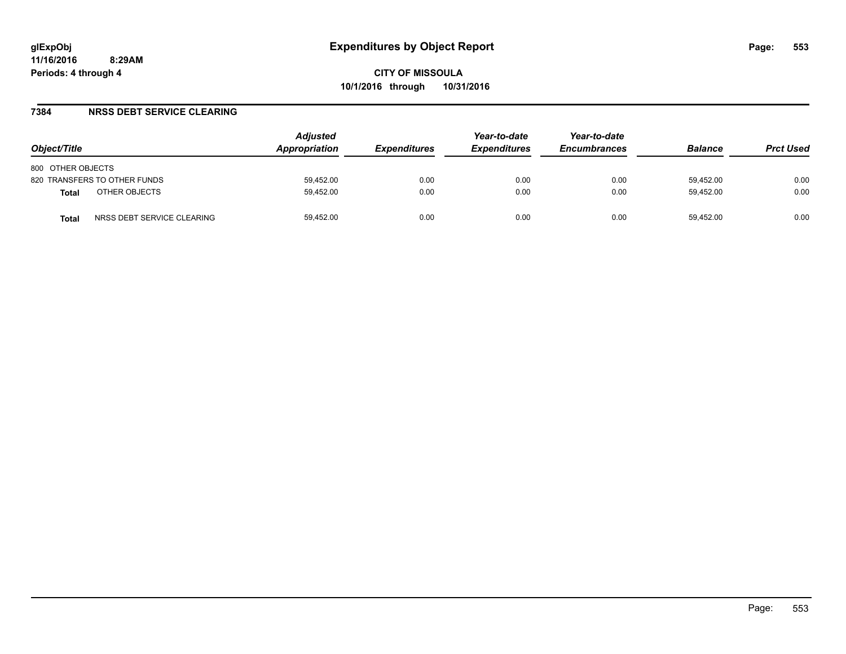### **7384 NRSS DEBT SERVICE CLEARING**

| Object/Title                               | <b>Adjusted</b><br>Appropriation | <i><b>Expenditures</b></i> | Year-to-date<br><b>Expenditures</b> | Year-to-date<br><b>Encumbrances</b> | <b>Balance</b> | <b>Prct Used</b> |
|--------------------------------------------|----------------------------------|----------------------------|-------------------------------------|-------------------------------------|----------------|------------------|
| 800 OTHER OBJECTS                          |                                  |                            |                                     |                                     |                |                  |
| 820 TRANSFERS TO OTHER FUNDS               | 59.452.00                        | 0.00                       | 0.00                                | 0.00                                | 59.452.00      | 0.00             |
| OTHER OBJECTS<br><b>Total</b>              | 59.452.00                        | 0.00                       | 0.00                                | 0.00                                | 59.452.00      | 0.00             |
| NRSS DEBT SERVICE CLEARING<br><b>Total</b> | 59.452.00                        | 0.00                       | 0.00                                | 0.00                                | 59.452.00      | 0.00             |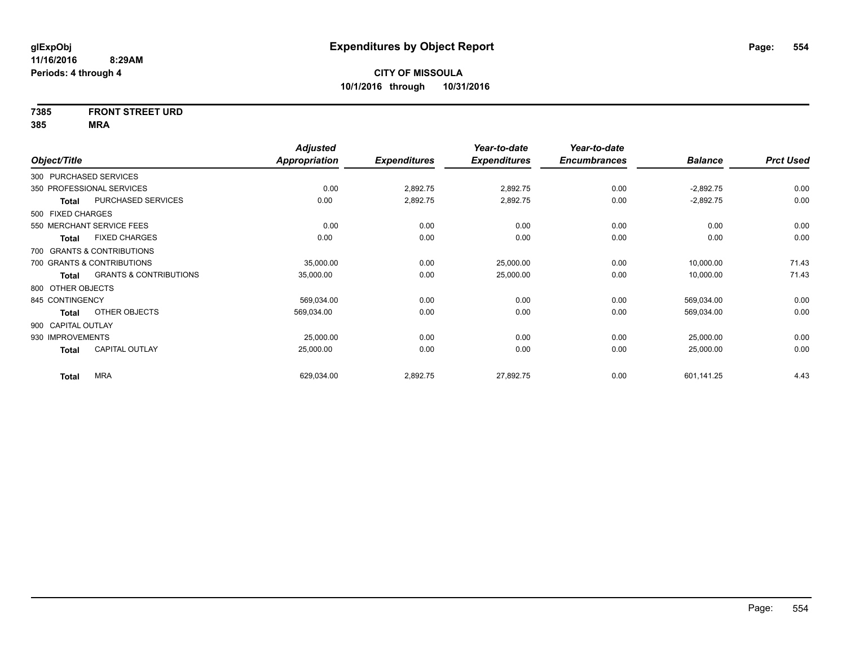# **7385 FRONT STREET URD**

|                    |                                   | <b>Adjusted</b>      |                     | Year-to-date        | Year-to-date        |                |                  |
|--------------------|-----------------------------------|----------------------|---------------------|---------------------|---------------------|----------------|------------------|
| Object/Title       |                                   | <b>Appropriation</b> | <b>Expenditures</b> | <b>Expenditures</b> | <b>Encumbrances</b> | <b>Balance</b> | <b>Prct Used</b> |
|                    | 300 PURCHASED SERVICES            |                      |                     |                     |                     |                |                  |
|                    | 350 PROFESSIONAL SERVICES         | 0.00                 | 2,892.75            | 2,892.75            | 0.00                | $-2,892.75$    | 0.00             |
| <b>Total</b>       | PURCHASED SERVICES                | 0.00                 | 2,892.75            | 2,892.75            | 0.00                | $-2,892.75$    | 0.00             |
| 500 FIXED CHARGES  |                                   |                      |                     |                     |                     |                |                  |
|                    | 550 MERCHANT SERVICE FEES         | 0.00                 | 0.00                | 0.00                | 0.00                | 0.00           | 0.00             |
| Total              | <b>FIXED CHARGES</b>              | 0.00                 | 0.00                | 0.00                | 0.00                | 0.00           | 0.00             |
|                    | 700 GRANTS & CONTRIBUTIONS        |                      |                     |                     |                     |                |                  |
|                    | 700 GRANTS & CONTRIBUTIONS        | 35,000.00            | 0.00                | 25,000.00           | 0.00                | 10,000.00      | 71.43            |
| <b>Total</b>       | <b>GRANTS &amp; CONTRIBUTIONS</b> | 35,000.00            | 0.00                | 25,000.00           | 0.00                | 10,000.00      | 71.43            |
| 800 OTHER OBJECTS  |                                   |                      |                     |                     |                     |                |                  |
| 845 CONTINGENCY    |                                   | 569,034.00           | 0.00                | 0.00                | 0.00                | 569,034.00     | 0.00             |
| <b>Total</b>       | OTHER OBJECTS                     | 569,034.00           | 0.00                | 0.00                | 0.00                | 569,034.00     | 0.00             |
| 900 CAPITAL OUTLAY |                                   |                      |                     |                     |                     |                |                  |
| 930 IMPROVEMENTS   |                                   | 25,000.00            | 0.00                | 0.00                | 0.00                | 25,000.00      | 0.00             |
| <b>Total</b>       | <b>CAPITAL OUTLAY</b>             | 25,000.00            | 0.00                | 0.00                | 0.00                | 25,000.00      | 0.00             |
| <b>Total</b>       | <b>MRA</b>                        | 629,034.00           | 2,892.75            | 27,892.75           | 0.00                | 601,141.25     | 4.43             |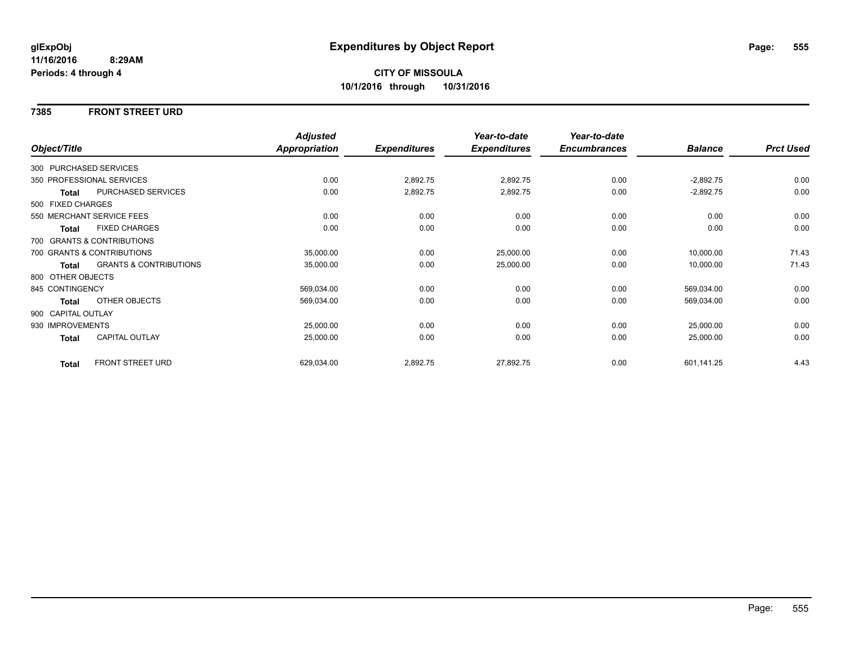### **7385 FRONT STREET URD**

|                        |                                   | <b>Adjusted</b>      |                     | Year-to-date        | Year-to-date        |                |                  |
|------------------------|-----------------------------------|----------------------|---------------------|---------------------|---------------------|----------------|------------------|
| Object/Title           |                                   | <b>Appropriation</b> | <b>Expenditures</b> | <b>Expenditures</b> | <b>Encumbrances</b> | <b>Balance</b> | <b>Prct Used</b> |
| 300 PURCHASED SERVICES |                                   |                      |                     |                     |                     |                |                  |
|                        | 350 PROFESSIONAL SERVICES         | 0.00                 | 2,892.75            | 2,892.75            | 0.00                | $-2,892.75$    | 0.00             |
| <b>Total</b>           | PURCHASED SERVICES                | 0.00                 | 2,892.75            | 2,892.75            | 0.00                | $-2,892.75$    | 0.00             |
| 500 FIXED CHARGES      |                                   |                      |                     |                     |                     |                |                  |
|                        | 550 MERCHANT SERVICE FEES         | 0.00                 | 0.00                | 0.00                | 0.00                | 0.00           | 0.00             |
| <b>Total</b>           | <b>FIXED CHARGES</b>              | 0.00                 | 0.00                | 0.00                | 0.00                | 0.00           | 0.00             |
|                        | 700 GRANTS & CONTRIBUTIONS        |                      |                     |                     |                     |                |                  |
|                        | 700 GRANTS & CONTRIBUTIONS        | 35,000.00            | 0.00                | 25,000.00           | 0.00                | 10,000.00      | 71.43            |
| <b>Total</b>           | <b>GRANTS &amp; CONTRIBUTIONS</b> | 35,000.00            | 0.00                | 25,000.00           | 0.00                | 10,000.00      | 71.43            |
| 800 OTHER OBJECTS      |                                   |                      |                     |                     |                     |                |                  |
| 845 CONTINGENCY        |                                   | 569,034.00           | 0.00                | 0.00                | 0.00                | 569,034.00     | 0.00             |
| Total                  | <b>OTHER OBJECTS</b>              | 569,034.00           | 0.00                | 0.00                | 0.00                | 569,034.00     | 0.00             |
| 900 CAPITAL OUTLAY     |                                   |                      |                     |                     |                     |                |                  |
| 930 IMPROVEMENTS       |                                   | 25,000.00            | 0.00                | 0.00                | 0.00                | 25,000.00      | 0.00             |
| Total                  | <b>CAPITAL OUTLAY</b>             | 25,000.00            | 0.00                | 0.00                | 0.00                | 25,000.00      | 0.00             |
| <b>Total</b>           | FRONT STREET URD                  | 629,034.00           | 2,892.75            | 27,892.75           | 0.00                | 601,141.25     | 4.43             |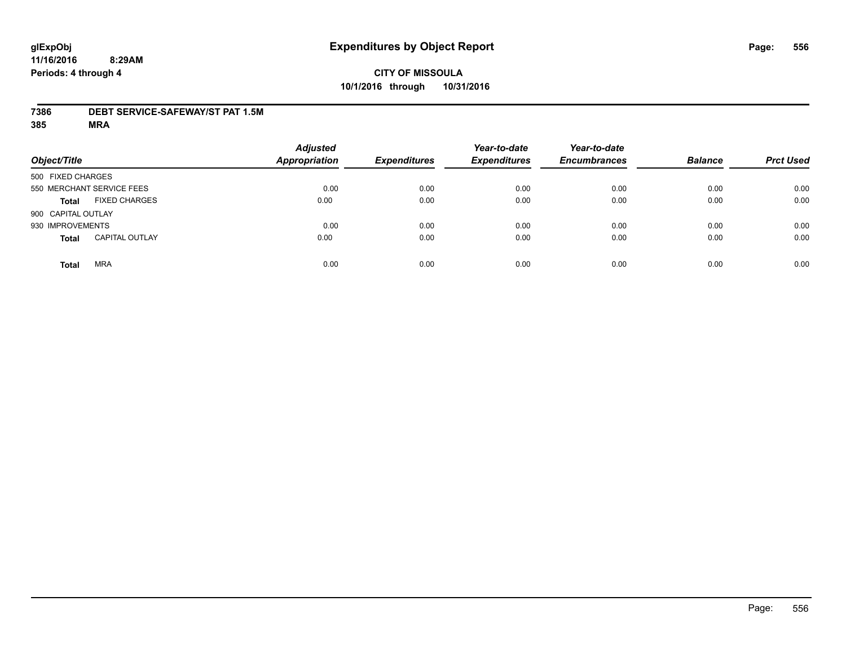### **7386 DEBT SERVICE-SAFEWAY/ST PAT 1.5M**

| Object/Title               |                       | <b>Adjusted</b><br><b>Appropriation</b> | <b>Expenditures</b> | Year-to-date<br><b>Expenditures</b> | Year-to-date<br><b>Encumbrances</b> | <b>Balance</b> | <b>Prct Used</b> |
|----------------------------|-----------------------|-----------------------------------------|---------------------|-------------------------------------|-------------------------------------|----------------|------------------|
| 500 FIXED CHARGES          |                       |                                         |                     |                                     |                                     |                |                  |
| 550 MERCHANT SERVICE FEES  |                       | 0.00                                    | 0.00                | 0.00                                | 0.00                                | 0.00           | 0.00             |
| <b>Total</b>               | <b>FIXED CHARGES</b>  | 0.00                                    | 0.00                | 0.00                                | 0.00                                | 0.00           | 0.00             |
| 900 CAPITAL OUTLAY         |                       |                                         |                     |                                     |                                     |                |                  |
| 930 IMPROVEMENTS           |                       | 0.00                                    | 0.00                | 0.00                                | 0.00                                | 0.00           | 0.00             |
| <b>Total</b>               | <b>CAPITAL OUTLAY</b> | 0.00                                    | 0.00                | 0.00                                | 0.00                                | 0.00           | 0.00             |
| <b>MRA</b><br><b>Total</b> |                       | 0.00                                    | 0.00                | 0.00                                | 0.00                                | 0.00           | 0.00             |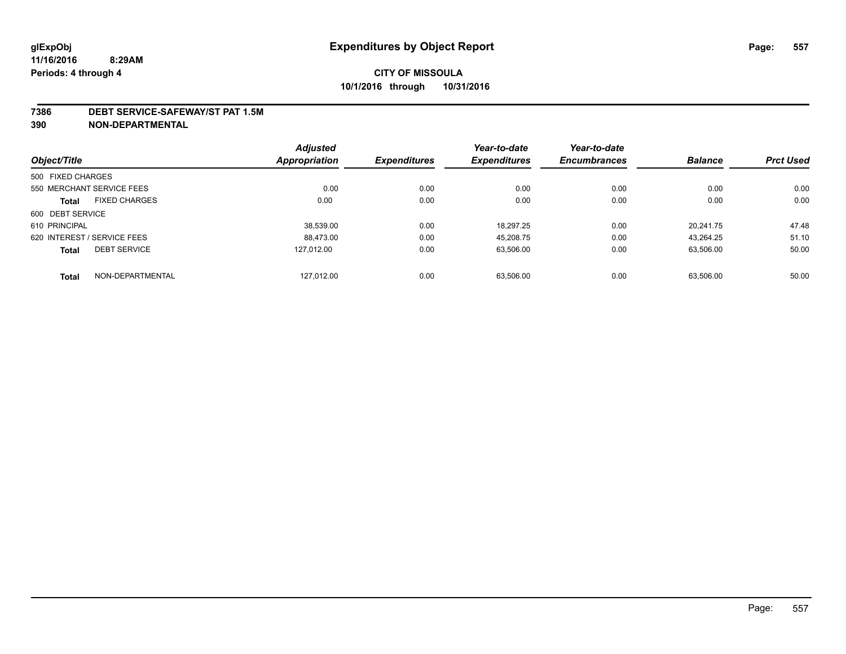#### **7386 DEBT SERVICE-SAFEWAY/ST PAT 1.5M**

**390 NON-DEPARTMENTAL**

|                                      | <b>Adjusted</b> |                     | Year-to-date        | Year-to-date        |                |                  |
|--------------------------------------|-----------------|---------------------|---------------------|---------------------|----------------|------------------|
| Object/Title                         | Appropriation   | <b>Expenditures</b> | <b>Expenditures</b> | <b>Encumbrances</b> | <b>Balance</b> | <b>Prct Used</b> |
| 500 FIXED CHARGES                    |                 |                     |                     |                     |                |                  |
| 550 MERCHANT SERVICE FEES            | 0.00            | 0.00                | 0.00                | 0.00                | 0.00           | 0.00             |
| <b>FIXED CHARGES</b><br><b>Total</b> | 0.00            | 0.00                | 0.00                | 0.00                | 0.00           | 0.00             |
| 600 DEBT SERVICE                     |                 |                     |                     |                     |                |                  |
| 610 PRINCIPAL                        | 38.539.00       | 0.00                | 18.297.25           | 0.00                | 20.241.75      | 47.48            |
| 620 INTEREST / SERVICE FEES          | 88.473.00       | 0.00                | 45.208.75           | 0.00                | 43.264.25      | 51.10            |
| <b>DEBT SERVICE</b><br><b>Total</b>  | 127.012.00      | 0.00                | 63,506.00           | 0.00                | 63,506.00      | 50.00            |
| NON-DEPARTMENTAL<br><b>Total</b>     | 127,012.00      | 0.00                | 63.506.00           | 0.00                | 63.506.00      | 50.00            |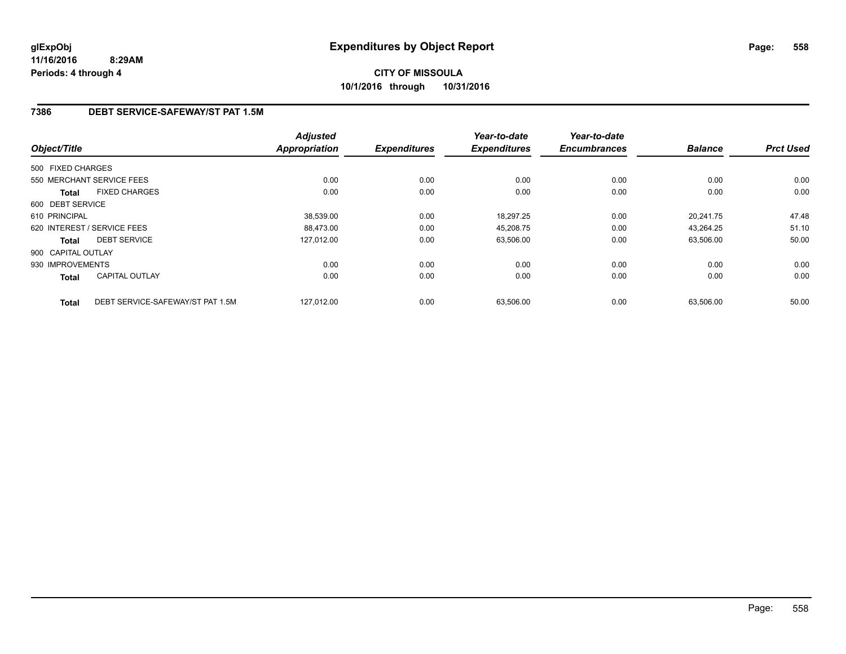### **7386 DEBT SERVICE-SAFEWAY/ST PAT 1.5M**

| Object/Title       |                                  | <b>Adjusted</b><br><b>Appropriation</b> | <b>Expenditures</b> | Year-to-date<br><b>Expenditures</b> | Year-to-date<br><b>Encumbrances</b> | <b>Balance</b> | <b>Prct Used</b> |
|--------------------|----------------------------------|-----------------------------------------|---------------------|-------------------------------------|-------------------------------------|----------------|------------------|
| 500 FIXED CHARGES  |                                  |                                         |                     |                                     |                                     |                |                  |
|                    |                                  |                                         |                     |                                     |                                     |                |                  |
|                    | 550 MERCHANT SERVICE FEES        | 0.00                                    | 0.00                | 0.00                                | 0.00                                | 0.00           | 0.00             |
| <b>Total</b>       | <b>FIXED CHARGES</b>             | 0.00                                    | 0.00                | 0.00                                | 0.00                                | 0.00           | 0.00             |
| 600 DEBT SERVICE   |                                  |                                         |                     |                                     |                                     |                |                  |
| 610 PRINCIPAL      |                                  | 38.539.00                               | 0.00                | 18,297.25                           | 0.00                                | 20.241.75      | 47.48            |
|                    | 620 INTEREST / SERVICE FEES      | 88,473.00                               | 0.00                | 45,208.75                           | 0.00                                | 43,264.25      | 51.10            |
| Total              | <b>DEBT SERVICE</b>              | 127,012.00                              | 0.00                | 63,506.00                           | 0.00                                | 63,506.00      | 50.00            |
| 900 CAPITAL OUTLAY |                                  |                                         |                     |                                     |                                     |                |                  |
| 930 IMPROVEMENTS   |                                  | 0.00                                    | 0.00                | 0.00                                | 0.00                                | 0.00           | 0.00             |
| Total              | <b>CAPITAL OUTLAY</b>            | 0.00                                    | 0.00                | 0.00                                | 0.00                                | 0.00           | 0.00             |
| <b>Total</b>       | DEBT SERVICE-SAFEWAY/ST PAT 1.5M | 127.012.00                              | 0.00                | 63,506.00                           | 0.00                                | 63.506.00      | 50.00            |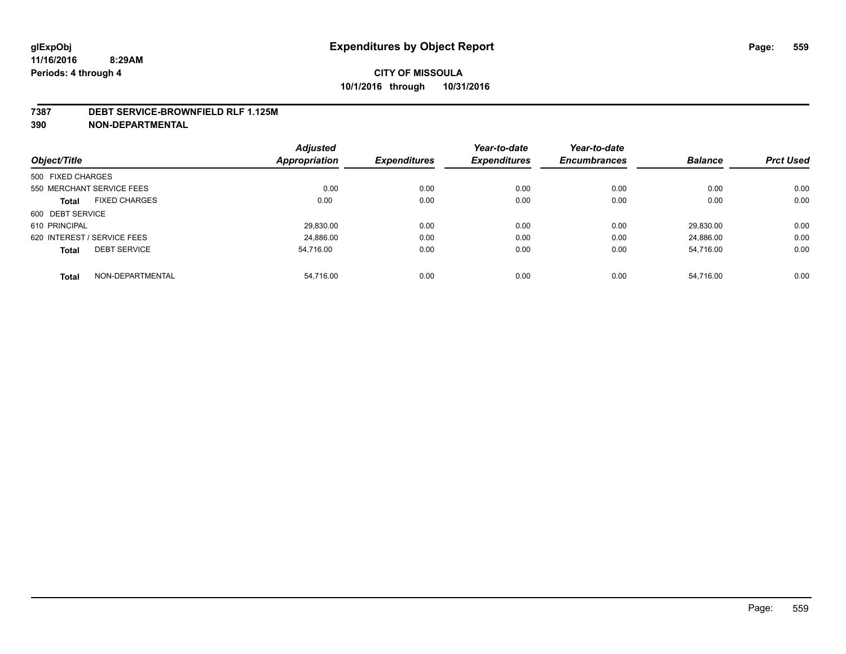#### **7387 DEBT SERVICE-BROWNFIELD RLF 1.125M**

**390 NON-DEPARTMENTAL**

|                                      | <b>Adjusted</b>      |                     | Year-to-date        | Year-to-date        |                |                  |
|--------------------------------------|----------------------|---------------------|---------------------|---------------------|----------------|------------------|
| Object/Title                         | <b>Appropriation</b> | <b>Expenditures</b> | <b>Expenditures</b> | <b>Encumbrances</b> | <b>Balance</b> | <b>Prct Used</b> |
| 500 FIXED CHARGES                    |                      |                     |                     |                     |                |                  |
| 550 MERCHANT SERVICE FEES            | 0.00                 | 0.00                | 0.00                | 0.00                | 0.00           | 0.00             |
| <b>FIXED CHARGES</b><br><b>Total</b> | 0.00                 | 0.00                | 0.00                | 0.00                | 0.00           | 0.00             |
| 600 DEBT SERVICE                     |                      |                     |                     |                     |                |                  |
| 610 PRINCIPAL                        | 29,830.00            | 0.00                | 0.00                | 0.00                | 29.830.00      | 0.00             |
| 620 INTEREST / SERVICE FEES          | 24,886.00            | 0.00                | 0.00                | 0.00                | 24.886.00      | 0.00             |
| <b>DEBT SERVICE</b><br><b>Total</b>  | 54.716.00            | 0.00                | 0.00                | 0.00                | 54,716.00      | 0.00             |
| NON-DEPARTMENTAL<br><b>Total</b>     | 54,716.00            | 0.00                | 0.00                | 0.00                | 54.716.00      | 0.00             |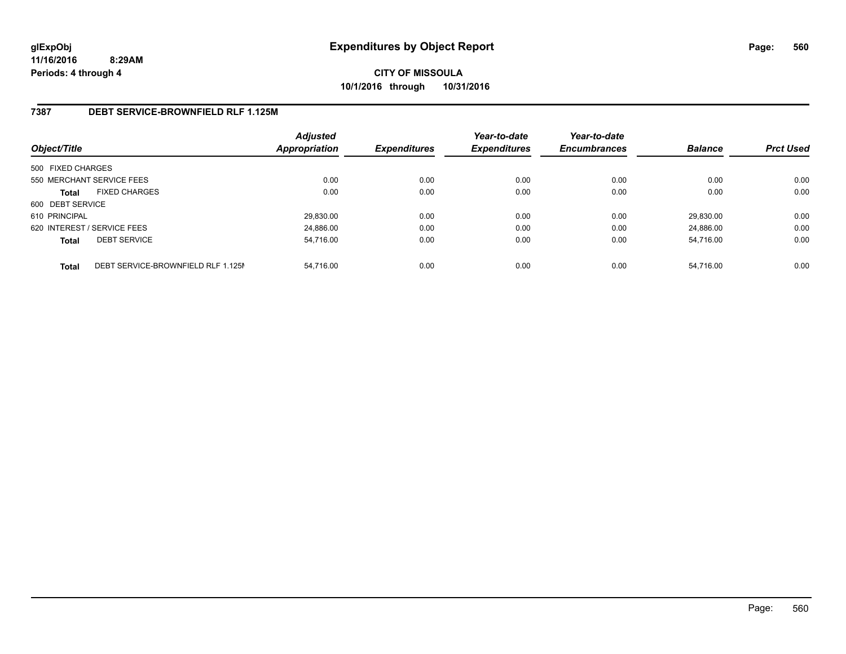**CITY OF MISSOULA 10/1/2016 through 10/31/2016**

### **7387 DEBT SERVICE-BROWNFIELD RLF 1.125M**

| Object/Title                |                                    | <b>Adjusted</b><br>Appropriation | <b>Expenditures</b> | Year-to-date<br><b>Expenditures</b> | Year-to-date<br><b>Encumbrances</b> | <b>Balance</b> | <b>Prct Used</b> |
|-----------------------------|------------------------------------|----------------------------------|---------------------|-------------------------------------|-------------------------------------|----------------|------------------|
| 500 FIXED CHARGES           |                                    |                                  |                     |                                     |                                     |                |                  |
| 550 MERCHANT SERVICE FEES   |                                    | 0.00                             | 0.00                | 0.00                                | 0.00                                | 0.00           | 0.00             |
| <b>Total</b>                | <b>FIXED CHARGES</b>               | 0.00                             | 0.00                | 0.00                                | 0.00                                | 0.00           | 0.00             |
| 600 DEBT SERVICE            |                                    |                                  |                     |                                     |                                     |                |                  |
| 610 PRINCIPAL               |                                    | 29.830.00                        | 0.00                | 0.00                                | 0.00                                | 29,830.00      | 0.00             |
| 620 INTEREST / SERVICE FEES |                                    | 24,886.00                        | 0.00                | 0.00                                | 0.00                                | 24.886.00      | 0.00             |
| <b>Total</b>                | <b>DEBT SERVICE</b>                | 54,716.00                        | 0.00                | 0.00                                | 0.00                                | 54.716.00      | 0.00             |
| <b>Total</b>                | DEBT SERVICE-BROWNFIELD RLF 1.125M | 54.716.00                        | 0.00                | 0.00                                | 0.00                                | 54.716.00      | 0.00             |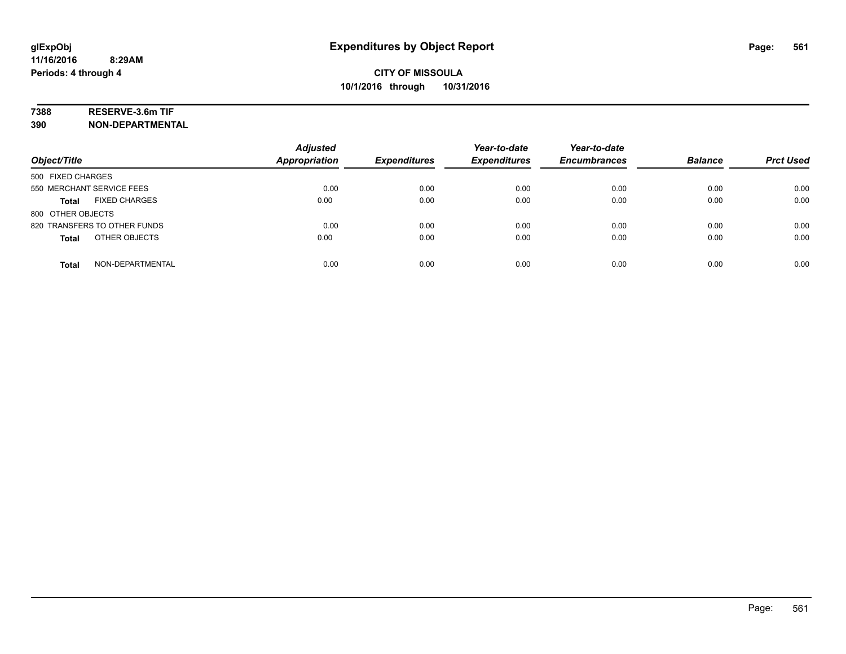# **7388 RESERVE-3.6m TIF**

**390 NON-DEPARTMENTAL**

| Object/Title                         | <b>Adjusted</b><br><b>Appropriation</b> | <b>Expenditures</b> | Year-to-date<br><b>Expenditures</b> | Year-to-date<br><b>Encumbrances</b> | <b>Balance</b> | <b>Prct Used</b> |
|--------------------------------------|-----------------------------------------|---------------------|-------------------------------------|-------------------------------------|----------------|------------------|
| 500 FIXED CHARGES                    |                                         |                     |                                     |                                     |                |                  |
| 550 MERCHANT SERVICE FEES            | 0.00                                    | 0.00                | 0.00                                | 0.00                                | 0.00           | 0.00             |
| <b>FIXED CHARGES</b><br><b>Total</b> | 0.00                                    | 0.00                | 0.00                                | 0.00                                | 0.00           | 0.00             |
| 800 OTHER OBJECTS                    |                                         |                     |                                     |                                     |                |                  |
| 820 TRANSFERS TO OTHER FUNDS         | 0.00                                    | 0.00                | 0.00                                | 0.00                                | 0.00           | 0.00             |
| OTHER OBJECTS<br><b>Total</b>        | 0.00                                    | 0.00                | 0.00                                | 0.00                                | 0.00           | 0.00             |
| NON-DEPARTMENTAL<br><b>Total</b>     | 0.00                                    | 0.00                | 0.00                                | 0.00                                | 0.00           | 0.00             |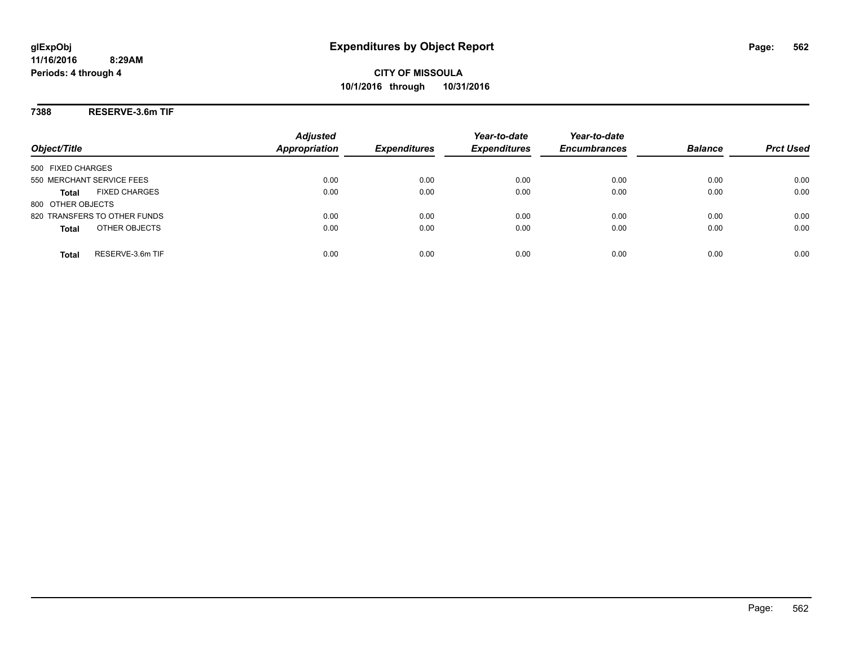**CITY OF MISSOULA 10/1/2016 through 10/31/2016**

**7388 RESERVE-3.6m TIF**

| Object/Title                         | <b>Adjusted</b><br><b>Appropriation</b> | <b>Expenditures</b> | Year-to-date<br><b>Expenditures</b> | Year-to-date<br><b>Encumbrances</b> | <b>Balance</b> | <b>Prct Used</b> |
|--------------------------------------|-----------------------------------------|---------------------|-------------------------------------|-------------------------------------|----------------|------------------|
|                                      |                                         |                     |                                     |                                     |                |                  |
| 500 FIXED CHARGES                    |                                         |                     |                                     |                                     |                |                  |
| 550 MERCHANT SERVICE FEES            | 0.00                                    | 0.00                | 0.00                                | 0.00                                | 0.00           | 0.00             |
| <b>FIXED CHARGES</b><br><b>Total</b> | 0.00                                    | 0.00                | 0.00                                | 0.00                                | 0.00           | 0.00             |
| 800 OTHER OBJECTS                    |                                         |                     |                                     |                                     |                |                  |
| 820 TRANSFERS TO OTHER FUNDS         | 0.00                                    | 0.00                | 0.00                                | 0.00                                | 0.00           | 0.00             |
| OTHER OBJECTS<br><b>Total</b>        | 0.00                                    | 0.00                | 0.00                                | 0.00                                | 0.00           | 0.00             |
|                                      |                                         |                     |                                     |                                     |                |                  |
| RESERVE-3.6m TIF<br><b>Total</b>     | 0.00                                    | 0.00                | 0.00                                | 0.00                                | 0.00           | 0.00             |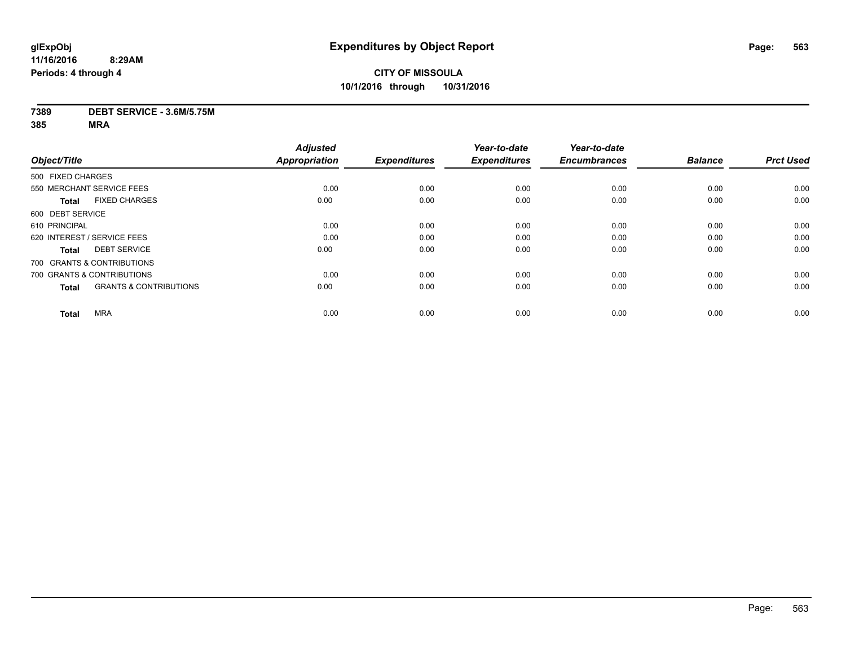### **7389 DEBT SERVICE - 3.6M/5.75M**

|                                                   | <b>Adjusted</b> |                     | Year-to-date        | Year-to-date        |                |                  |
|---------------------------------------------------|-----------------|---------------------|---------------------|---------------------|----------------|------------------|
| Object/Title                                      | Appropriation   | <b>Expenditures</b> | <b>Expenditures</b> | <b>Encumbrances</b> | <b>Balance</b> | <b>Prct Used</b> |
| 500 FIXED CHARGES                                 |                 |                     |                     |                     |                |                  |
| 550 MERCHANT SERVICE FEES                         | 0.00            | 0.00                | 0.00                | 0.00                | 0.00           | 0.00             |
| <b>FIXED CHARGES</b><br><b>Total</b>              | 0.00            | 0.00                | 0.00                | 0.00                | 0.00           | 0.00             |
| 600 DEBT SERVICE                                  |                 |                     |                     |                     |                |                  |
| 610 PRINCIPAL                                     | 0.00            | 0.00                | 0.00                | 0.00                | 0.00           | 0.00             |
| 620 INTEREST / SERVICE FEES                       | 0.00            | 0.00                | 0.00                | 0.00                | 0.00           | 0.00             |
| <b>DEBT SERVICE</b><br><b>Total</b>               | 0.00            | 0.00                | 0.00                | 0.00                | 0.00           | 0.00             |
| 700 GRANTS & CONTRIBUTIONS                        |                 |                     |                     |                     |                |                  |
| 700 GRANTS & CONTRIBUTIONS                        | 0.00            | 0.00                | 0.00                | 0.00                | 0.00           | 0.00             |
| <b>GRANTS &amp; CONTRIBUTIONS</b><br><b>Total</b> | 0.00            | 0.00                | 0.00                | 0.00                | 0.00           | 0.00             |
| <b>MRA</b><br><b>Total</b>                        | 0.00            | 0.00                | 0.00                | 0.00                | 0.00           | 0.00             |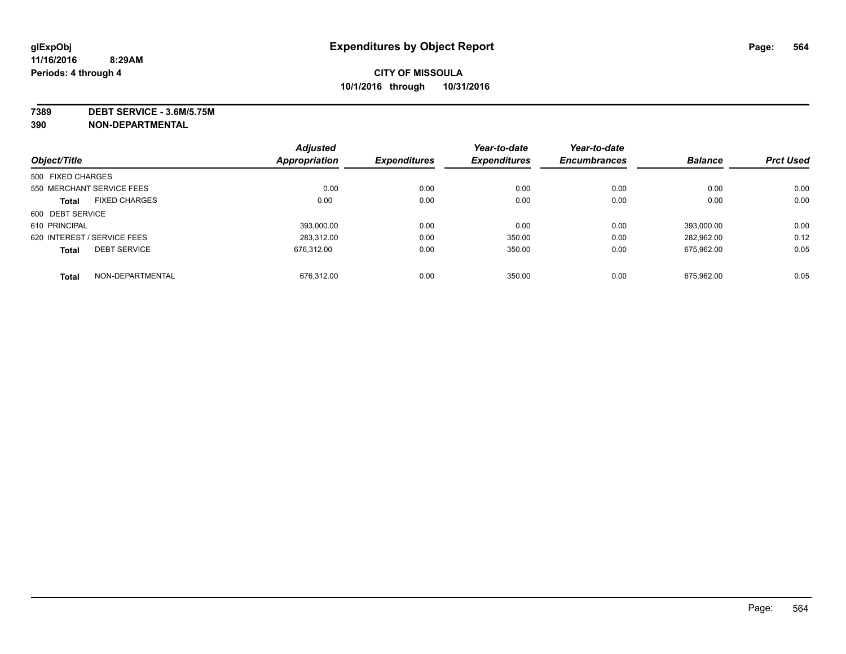**7389 DEBT SERVICE - 3.6M/5.75M**

**390 NON-DEPARTMENTAL**

|                   |                             | <b>Adjusted</b> |                     | Year-to-date        | Year-to-date        |                |                  |
|-------------------|-----------------------------|-----------------|---------------------|---------------------|---------------------|----------------|------------------|
| Object/Title      |                             | Appropriation   | <b>Expenditures</b> | <b>Expenditures</b> | <b>Encumbrances</b> | <b>Balance</b> | <b>Prct Used</b> |
| 500 FIXED CHARGES |                             |                 |                     |                     |                     |                |                  |
|                   | 550 MERCHANT SERVICE FEES   | 0.00            | 0.00                | 0.00                | 0.00                | 0.00           | 0.00             |
| <b>Total</b>      | <b>FIXED CHARGES</b>        | 0.00            | 0.00                | 0.00                | 0.00                | 0.00           | 0.00             |
| 600 DEBT SERVICE  |                             |                 |                     |                     |                     |                |                  |
| 610 PRINCIPAL     |                             | 393.000.00      | 0.00                | 0.00                | 0.00                | 393.000.00     | 0.00             |
|                   | 620 INTEREST / SERVICE FEES | 283.312.00      | 0.00                | 350.00              | 0.00                | 282.962.00     | 0.12             |
| <b>Total</b>      | <b>DEBT SERVICE</b>         | 676.312.00      | 0.00                | 350.00              | 0.00                | 675,962.00     | 0.05             |
| <b>Total</b>      | NON-DEPARTMENTAL            | 676.312.00      | 0.00                | 350.00              | 0.00                | 675.962.00     | 0.05             |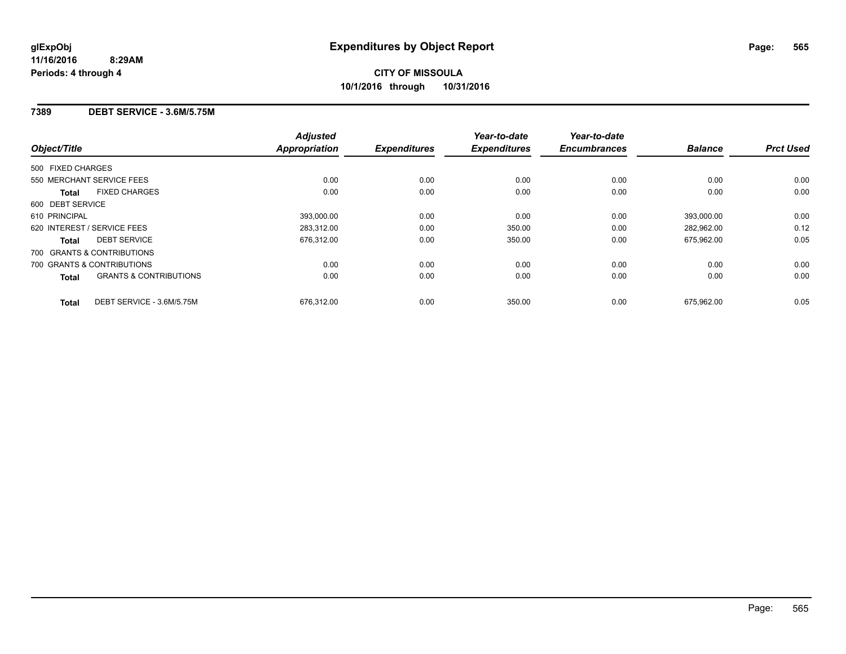### **7389 DEBT SERVICE - 3.6M/5.75M**

| Object/Title                                      | <b>Adjusted</b><br><b>Appropriation</b> | <b>Expenditures</b> | Year-to-date<br><b>Expenditures</b> | Year-to-date<br><b>Encumbrances</b> | <b>Balance</b> | <b>Prct Used</b> |
|---------------------------------------------------|-----------------------------------------|---------------------|-------------------------------------|-------------------------------------|----------------|------------------|
| 500 FIXED CHARGES                                 |                                         |                     |                                     |                                     |                |                  |
| 550 MERCHANT SERVICE FEES                         | 0.00                                    | 0.00                | 0.00                                | 0.00                                | 0.00           | 0.00             |
| <b>FIXED CHARGES</b><br><b>Total</b>              | 0.00                                    | 0.00                | 0.00                                | 0.00                                | 0.00           | 0.00             |
| 600 DEBT SERVICE                                  |                                         |                     |                                     |                                     |                |                  |
| 610 PRINCIPAL                                     | 393.000.00                              | 0.00                | 0.00                                | 0.00                                | 393.000.00     | 0.00             |
| 620 INTEREST / SERVICE FEES                       | 283,312.00                              | 0.00                | 350.00                              | 0.00                                | 282,962.00     | 0.12             |
| <b>DEBT SERVICE</b><br><b>Total</b>               | 676,312.00                              | 0.00                | 350.00                              | 0.00                                | 675,962.00     | 0.05             |
| 700 GRANTS & CONTRIBUTIONS                        |                                         |                     |                                     |                                     |                |                  |
| 700 GRANTS & CONTRIBUTIONS                        | 0.00                                    | 0.00                | 0.00                                | 0.00                                | 0.00           | 0.00             |
| <b>GRANTS &amp; CONTRIBUTIONS</b><br><b>Total</b> | 0.00                                    | 0.00                | 0.00                                | 0.00                                | 0.00           | 0.00             |
| DEBT SERVICE - 3.6M/5.75M<br><b>Total</b>         | 676.312.00                              | 0.00                | 350.00                              | 0.00                                | 675.962.00     | 0.05             |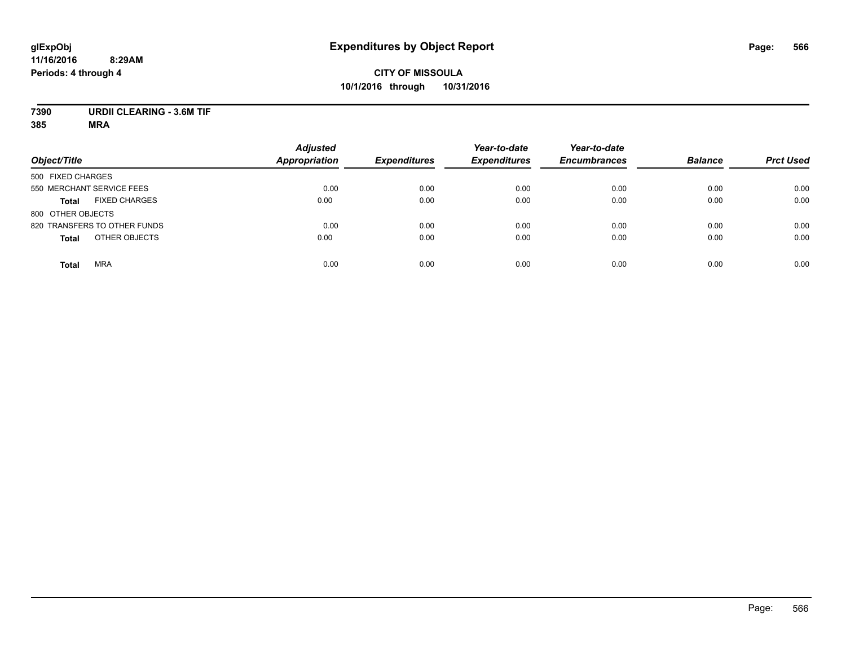### **CITY OF MISSOULA 10/1/2016 through 10/31/2016**

### **7390 URDII CLEARING - 3.6M TIF**

|                                      | <b>Adjusted</b>      |                     | Year-to-date        | Year-to-date        | <b>Balance</b> |                  |
|--------------------------------------|----------------------|---------------------|---------------------|---------------------|----------------|------------------|
| Object/Title                         | <b>Appropriation</b> | <b>Expenditures</b> | <b>Expenditures</b> | <b>Encumbrances</b> |                | <b>Prct Used</b> |
| 500 FIXED CHARGES                    |                      |                     |                     |                     |                |                  |
| 550 MERCHANT SERVICE FEES            | 0.00                 | 0.00                | 0.00                | 0.00                | 0.00           | 0.00             |
| <b>FIXED CHARGES</b><br><b>Total</b> | 0.00                 | 0.00                | 0.00                | 0.00                | 0.00           | 0.00             |
| 800 OTHER OBJECTS                    |                      |                     |                     |                     |                |                  |
| 820 TRANSFERS TO OTHER FUNDS         | 0.00                 | 0.00                | 0.00                | 0.00                | 0.00           | 0.00             |
| OTHER OBJECTS<br><b>Total</b>        | 0.00                 | 0.00                | 0.00                | 0.00                | 0.00           | 0.00             |
| <b>MRA</b><br><b>Total</b>           | 0.00                 | 0.00                | 0.00                | 0.00                | 0.00           | 0.00             |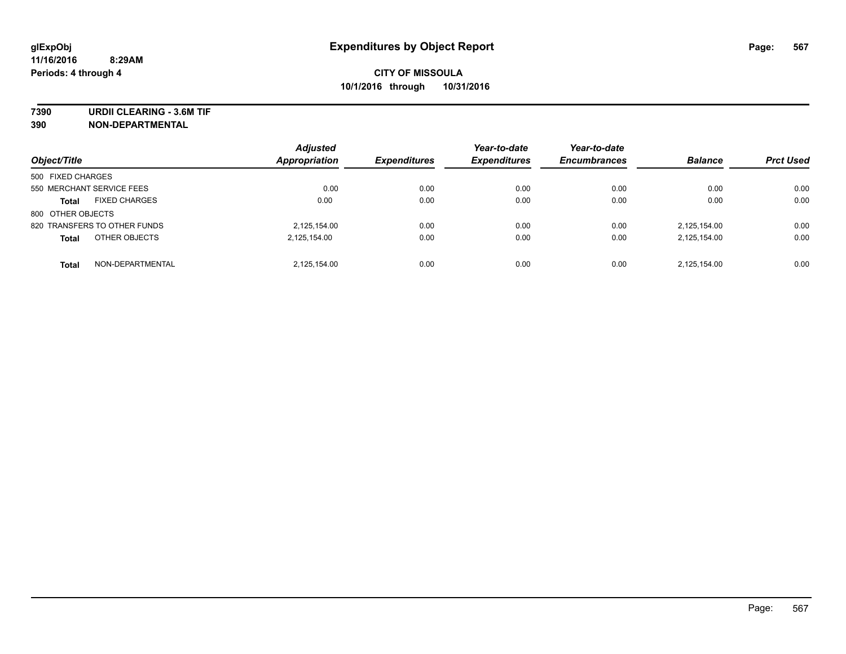**7390 URDII CLEARING - 3.6M TIF**

**390 NON-DEPARTMENTAL**

| Object/Title                         | <b>Adjusted</b><br>Appropriation | <b>Expenditures</b> | Year-to-date<br><b>Expenditures</b> | Year-to-date<br><b>Encumbrances</b> | <b>Balance</b> | <b>Prct Used</b> |
|--------------------------------------|----------------------------------|---------------------|-------------------------------------|-------------------------------------|----------------|------------------|
| 500 FIXED CHARGES                    |                                  |                     |                                     |                                     |                |                  |
| 550 MERCHANT SERVICE FEES            | 0.00                             | 0.00                | 0.00                                | 0.00                                | 0.00           | 0.00             |
| <b>FIXED CHARGES</b><br><b>Total</b> | 0.00                             | 0.00                | 0.00                                | 0.00                                | 0.00           | 0.00             |
| 800 OTHER OBJECTS                    |                                  |                     |                                     |                                     |                |                  |
| 820 TRANSFERS TO OTHER FUNDS         | 2,125,154.00                     | 0.00                | 0.00                                | 0.00                                | 2,125,154.00   | 0.00             |
| OTHER OBJECTS<br><b>Total</b>        | 2,125,154.00                     | 0.00                | 0.00                                | 0.00                                | 2,125,154.00   | 0.00             |
| NON-DEPARTMENTAL<br><b>Total</b>     | 2.125.154.00                     | 0.00                | 0.00                                | 0.00                                | 2.125.154.00   | 0.00             |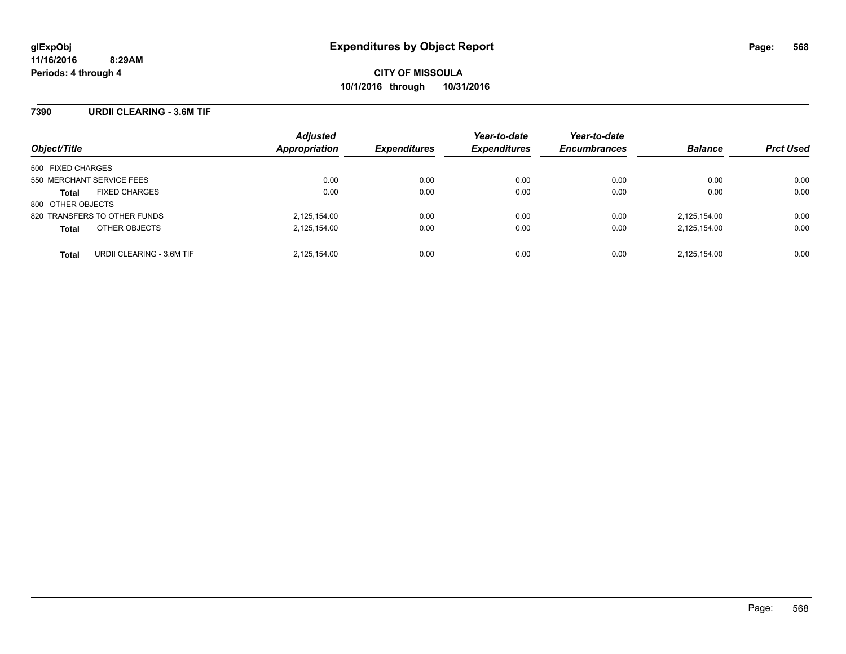### **7390 URDII CLEARING - 3.6M TIF**

| Object/Title                              | <b>Adjusted</b><br>Appropriation | <b>Expenditures</b> | Year-to-date<br><b>Expenditures</b> | Year-to-date<br><b>Encumbrances</b> | <b>Balance</b> | <b>Prct Used</b> |
|-------------------------------------------|----------------------------------|---------------------|-------------------------------------|-------------------------------------|----------------|------------------|
| 500 FIXED CHARGES                         |                                  |                     |                                     |                                     |                |                  |
| 550 MERCHANT SERVICE FEES                 | 0.00                             | 0.00                | 0.00                                | 0.00                                | 0.00           | 0.00             |
| <b>FIXED CHARGES</b><br><b>Total</b>      | 0.00                             | 0.00                | 0.00                                | 0.00                                | 0.00           | 0.00             |
| 800 OTHER OBJECTS                         |                                  |                     |                                     |                                     |                |                  |
| 820 TRANSFERS TO OTHER FUNDS              | 2,125,154.00                     | 0.00                | 0.00                                | 0.00                                | 2,125,154.00   | 0.00             |
| OTHER OBJECTS<br><b>Total</b>             | 2,125,154.00                     | 0.00                | 0.00                                | 0.00                                | 2,125,154.00   | 0.00             |
| URDII CLEARING - 3.6M TIF<br><b>Total</b> | 2,125,154.00                     | 0.00                | 0.00                                | 0.00                                | 2.125.154.00   | 0.00             |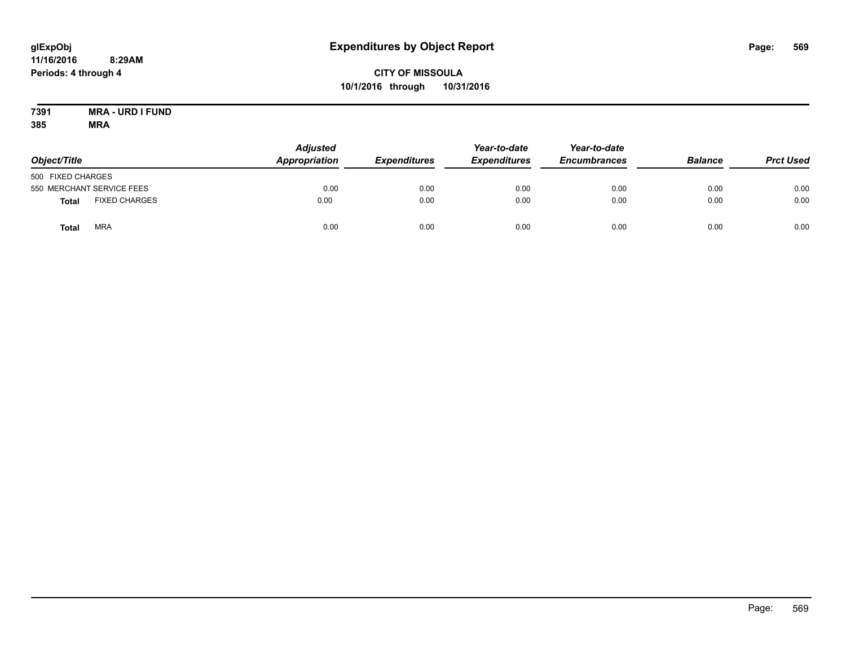### **CITY OF MISSOULA 10/1/2016 through 10/31/2016**

#### **7391 MRA - URD I FUND 385 MRA**

| Object/Title      |                           | <b>Adjusted</b><br>Appropriation | <b>Expenditures</b> | Year-to-date<br><b>Expenditures</b> | Year-to-date<br><b>Encumbrances</b> | <b>Balance</b> | <b>Prct Used</b> |
|-------------------|---------------------------|----------------------------------|---------------------|-------------------------------------|-------------------------------------|----------------|------------------|
| 500 FIXED CHARGES |                           |                                  |                     |                                     |                                     |                |                  |
|                   | 550 MERCHANT SERVICE FEES | 0.00                             | 0.00                | 0.00                                | 0.00                                | 0.00           | 0.00             |
| Total             | <b>FIXED CHARGES</b>      | 0.00                             | 0.00                | 0.00                                | 0.00                                | 0.00           | 0.00             |
| Total             | <b>MRA</b>                | 0.00                             | 0.00                | 0.00                                | 0.00                                | 0.00           | 0.00             |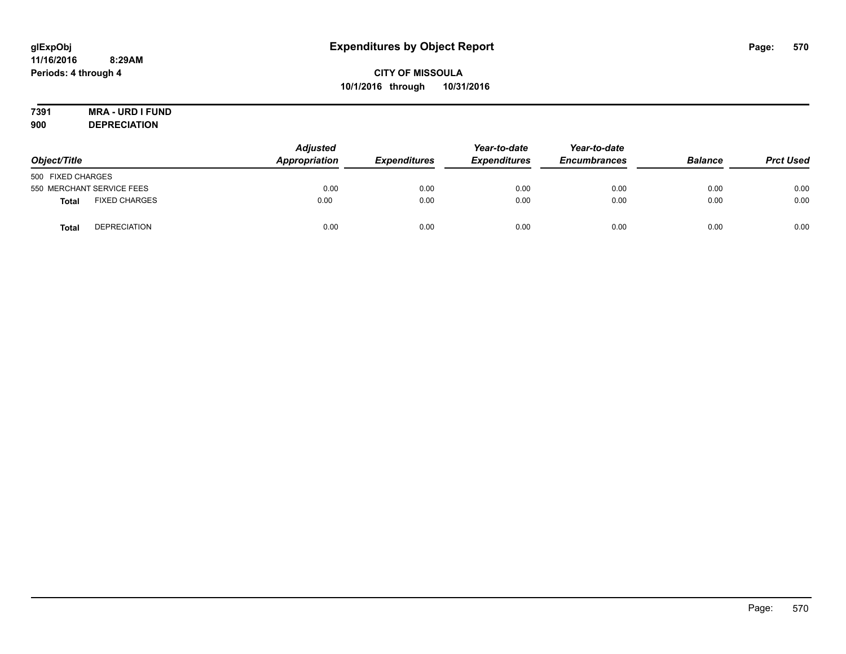# **7391 MRA - URD I FUND**

**900 DEPRECIATION**

| Object/Title                         | <b>Adjusted</b><br>Appropriation | <b>Expenditures</b> | Year-to-date<br><b>Expenditures</b> | Year-to-date<br><b>Encumbrances</b> | <b>Balance</b> | <b>Prct Used</b> |
|--------------------------------------|----------------------------------|---------------------|-------------------------------------|-------------------------------------|----------------|------------------|
| 500 FIXED CHARGES                    |                                  |                     |                                     |                                     |                |                  |
| 550 MERCHANT SERVICE FEES            | 0.00                             | 0.00                | 0.00                                | 0.00                                | 0.00           | 0.00             |
| <b>FIXED CHARGES</b><br><b>Total</b> | 0.00                             | 0.00                | 0.00                                | 0.00                                | 0.00           | 0.00             |
| <b>DEPRECIATION</b><br><b>Total</b>  | 0.00                             | 0.00                | 0.00                                | 0.00                                | 0.00           | 0.00             |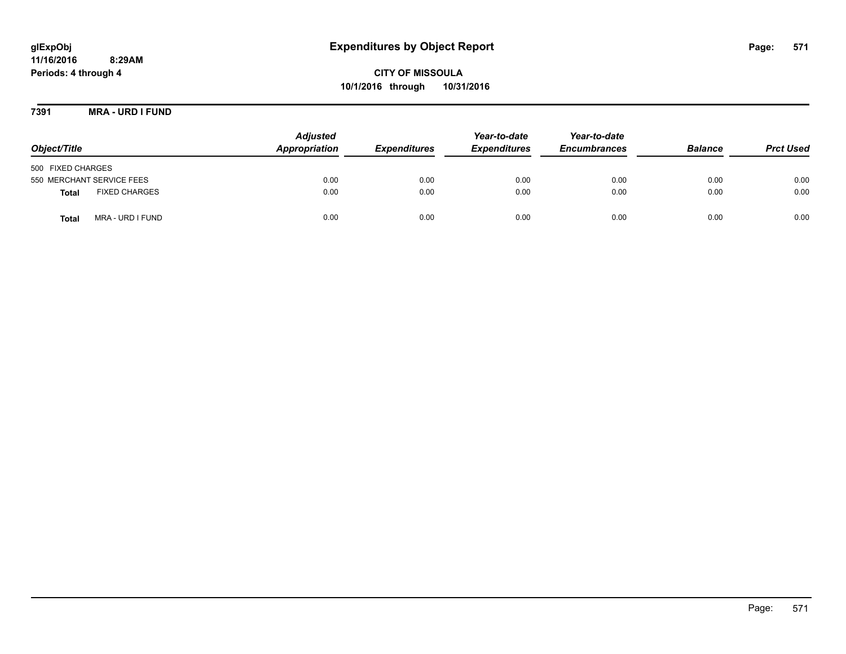**CITY OF MISSOULA 10/1/2016 through 10/31/2016**

**7391 MRA - URD I FUND**

| Object/Title                         | <b>Adjusted</b><br>Appropriation | <b>Expenditures</b> | Year-to-date<br><b>Expenditures</b> | Year-to-date<br><b>Encumbrances</b> | <b>Balance</b> | <b>Prct Used</b> |
|--------------------------------------|----------------------------------|---------------------|-------------------------------------|-------------------------------------|----------------|------------------|
| 500 FIXED CHARGES                    |                                  |                     |                                     |                                     |                |                  |
| 550 MERCHANT SERVICE FEES            | 0.00                             | 0.00                | 0.00                                | 0.00                                | 0.00           | 0.00             |
| <b>FIXED CHARGES</b><br><b>Total</b> | 0.00                             | 0.00                | 0.00                                | 0.00                                | 0.00           | 0.00             |
| MRA - URD I FUND<br>Total            | 0.00                             | 0.00                | 0.00                                | 0.00                                | 0.00           | 0.00             |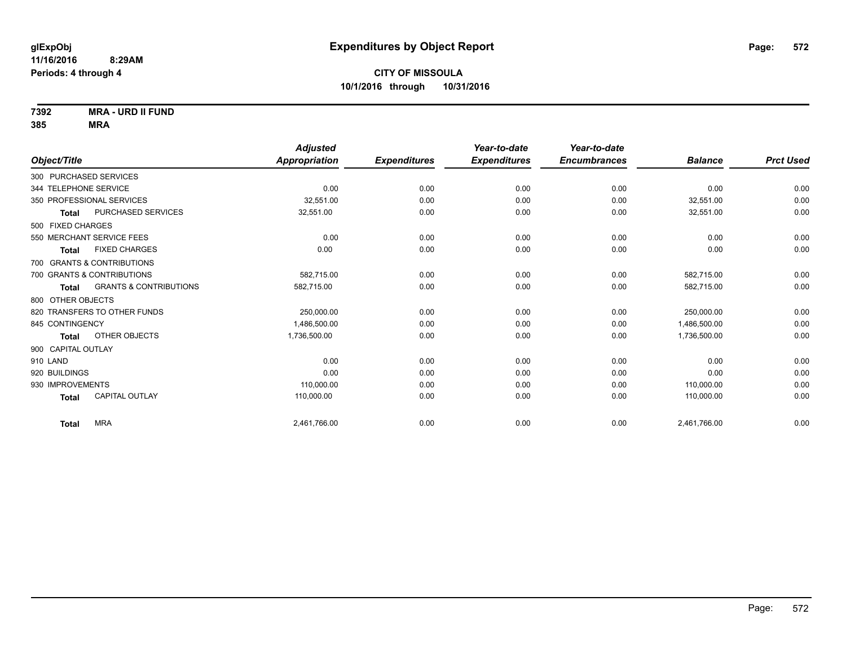**7392 MRA - URD II FUND**

|                       |                                   | <b>Adjusted</b> |                     | Year-to-date        | Year-to-date        |                |                  |
|-----------------------|-----------------------------------|-----------------|---------------------|---------------------|---------------------|----------------|------------------|
| Object/Title          |                                   | Appropriation   | <b>Expenditures</b> | <b>Expenditures</b> | <b>Encumbrances</b> | <b>Balance</b> | <b>Prct Used</b> |
|                       | 300 PURCHASED SERVICES            |                 |                     |                     |                     |                |                  |
| 344 TELEPHONE SERVICE |                                   | 0.00            | 0.00                | 0.00                | 0.00                | 0.00           | 0.00             |
|                       | 350 PROFESSIONAL SERVICES         | 32.551.00       | 0.00                | 0.00                | 0.00                | 32,551.00      | 0.00             |
| <b>Total</b>          | <b>PURCHASED SERVICES</b>         | 32,551.00       | 0.00                | 0.00                | 0.00                | 32,551.00      | 0.00             |
| 500 FIXED CHARGES     |                                   |                 |                     |                     |                     |                |                  |
|                       | 550 MERCHANT SERVICE FEES         | 0.00            | 0.00                | 0.00                | 0.00                | 0.00           | 0.00             |
| <b>Total</b>          | <b>FIXED CHARGES</b>              | 0.00            | 0.00                | 0.00                | 0.00                | 0.00           | 0.00             |
|                       | 700 GRANTS & CONTRIBUTIONS        |                 |                     |                     |                     |                |                  |
|                       | 700 GRANTS & CONTRIBUTIONS        | 582,715.00      | 0.00                | 0.00                | 0.00                | 582,715.00     | 0.00             |
| <b>Total</b>          | <b>GRANTS &amp; CONTRIBUTIONS</b> | 582,715.00      | 0.00                | 0.00                | 0.00                | 582,715.00     | 0.00             |
| 800 OTHER OBJECTS     |                                   |                 |                     |                     |                     |                |                  |
|                       | 820 TRANSFERS TO OTHER FUNDS      | 250,000.00      | 0.00                | 0.00                | 0.00                | 250,000.00     | 0.00             |
| 845 CONTINGENCY       |                                   | 1,486,500.00    | 0.00                | 0.00                | 0.00                | 1,486,500.00   | 0.00             |
| <b>Total</b>          | OTHER OBJECTS                     | 1,736,500.00    | 0.00                | 0.00                | 0.00                | 1,736,500.00   | 0.00             |
| 900 CAPITAL OUTLAY    |                                   |                 |                     |                     |                     |                |                  |
| 910 LAND              |                                   | 0.00            | 0.00                | 0.00                | 0.00                | 0.00           | 0.00             |
| 920 BUILDINGS         |                                   | 0.00            | 0.00                | 0.00                | 0.00                | 0.00           | 0.00             |
| 930 IMPROVEMENTS      |                                   | 110,000.00      | 0.00                | 0.00                | 0.00                | 110,000.00     | 0.00             |
| <b>Total</b>          | <b>CAPITAL OUTLAY</b>             | 110,000.00      | 0.00                | 0.00                | 0.00                | 110,000.00     | 0.00             |
| <b>Total</b>          | <b>MRA</b>                        | 2,461,766.00    | 0.00                | 0.00                | 0.00                | 2,461,766.00   | 0.00             |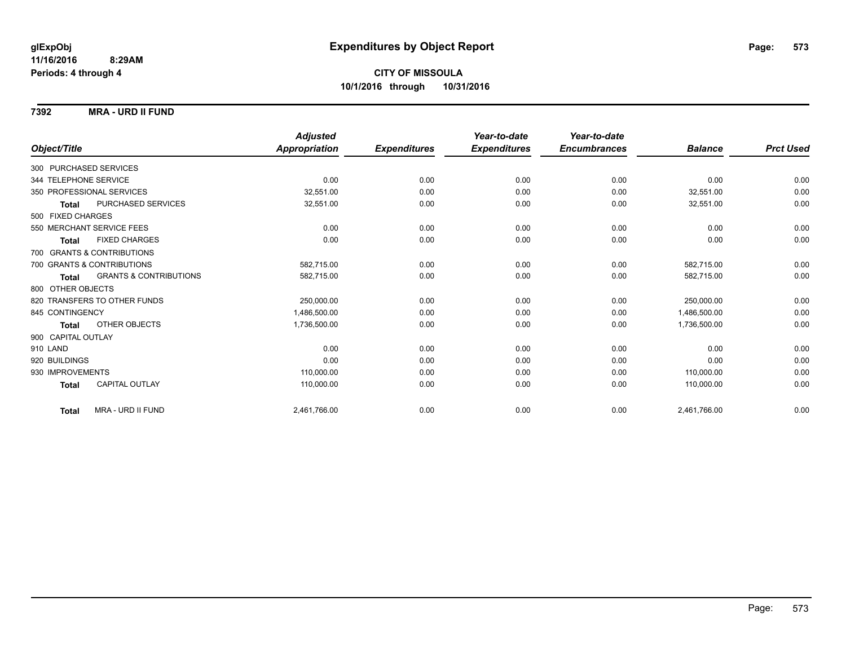**7392 MRA - URD II FUND**

|                        |                                   | <b>Adjusted</b>      |                     | Year-to-date        | Year-to-date        |                |                  |
|------------------------|-----------------------------------|----------------------|---------------------|---------------------|---------------------|----------------|------------------|
| Object/Title           |                                   | <b>Appropriation</b> | <b>Expenditures</b> | <b>Expenditures</b> | <b>Encumbrances</b> | <b>Balance</b> | <b>Prct Used</b> |
| 300 PURCHASED SERVICES |                                   |                      |                     |                     |                     |                |                  |
| 344 TELEPHONE SERVICE  |                                   | 0.00                 | 0.00                | 0.00                | 0.00                | 0.00           | 0.00             |
|                        | 350 PROFESSIONAL SERVICES         | 32,551.00            | 0.00                | 0.00                | 0.00                | 32,551.00      | 0.00             |
| <b>Total</b>           | PURCHASED SERVICES                | 32,551.00            | 0.00                | 0.00                | 0.00                | 32,551.00      | 0.00             |
| 500 FIXED CHARGES      |                                   |                      |                     |                     |                     |                |                  |
|                        | 550 MERCHANT SERVICE FEES         | 0.00                 | 0.00                | 0.00                | 0.00                | 0.00           | 0.00             |
| <b>Total</b>           | <b>FIXED CHARGES</b>              | 0.00                 | 0.00                | 0.00                | 0.00                | 0.00           | 0.00             |
|                        | 700 GRANTS & CONTRIBUTIONS        |                      |                     |                     |                     |                |                  |
|                        | 700 GRANTS & CONTRIBUTIONS        | 582,715.00           | 0.00                | 0.00                | 0.00                | 582.715.00     | 0.00             |
| <b>Total</b>           | <b>GRANTS &amp; CONTRIBUTIONS</b> | 582,715.00           | 0.00                | 0.00                | 0.00                | 582,715.00     | 0.00             |
| 800 OTHER OBJECTS      |                                   |                      |                     |                     |                     |                |                  |
|                        | 820 TRANSFERS TO OTHER FUNDS      | 250,000.00           | 0.00                | 0.00                | 0.00                | 250,000.00     | 0.00             |
| 845 CONTINGENCY        |                                   | 1,486,500.00         | 0.00                | 0.00                | 0.00                | 1,486,500.00   | 0.00             |
| <b>Total</b>           | OTHER OBJECTS                     | 1,736,500.00         | 0.00                | 0.00                | 0.00                | 1,736,500.00   | 0.00             |
| 900 CAPITAL OUTLAY     |                                   |                      |                     |                     |                     |                |                  |
| 910 LAND               |                                   | 0.00                 | 0.00                | 0.00                | 0.00                | 0.00           | 0.00             |
| 920 BUILDINGS          |                                   | 0.00                 | 0.00                | 0.00                | 0.00                | 0.00           | 0.00             |
| 930 IMPROVEMENTS       |                                   | 110,000.00           | 0.00                | 0.00                | 0.00                | 110.000.00     | 0.00             |
| <b>Total</b>           | <b>CAPITAL OUTLAY</b>             | 110,000.00           | 0.00                | 0.00                | 0.00                | 110,000.00     | 0.00             |
| <b>Total</b>           | MRA - URD II FUND                 | 2,461,766.00         | 0.00                | 0.00                | 0.00                | 2,461,766.00   | 0.00             |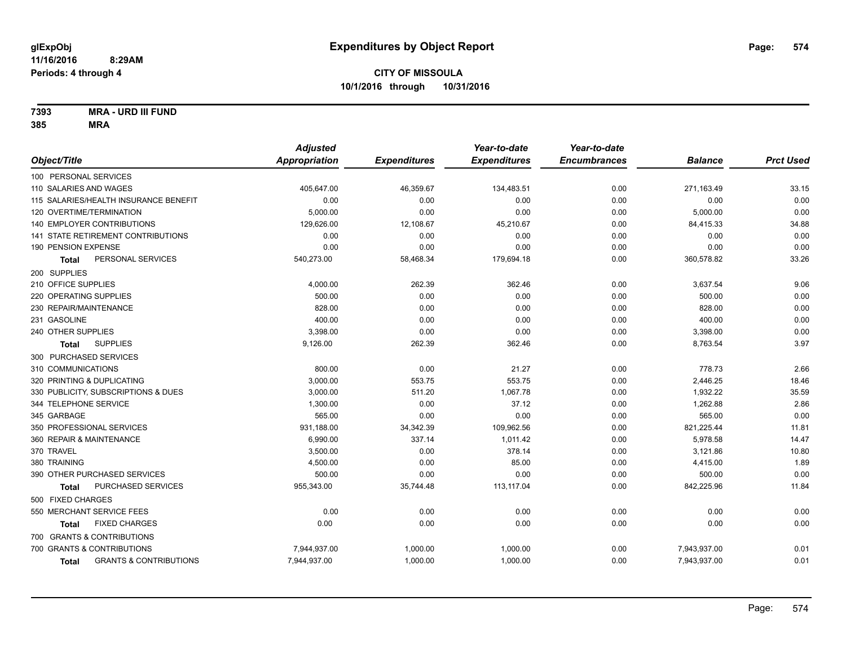**7393 MRA - URD III FUND**

|                                            | <b>Adjusted</b> |                     | Year-to-date        | Year-to-date        |                |                  |
|--------------------------------------------|-----------------|---------------------|---------------------|---------------------|----------------|------------------|
| Object/Title                               | Appropriation   | <b>Expenditures</b> | <b>Expenditures</b> | <b>Encumbrances</b> | <b>Balance</b> | <b>Prct Used</b> |
| 100 PERSONAL SERVICES                      |                 |                     |                     |                     |                |                  |
| 110 SALARIES AND WAGES                     | 405,647.00      | 46,359.67           | 134,483.51          | 0.00                | 271,163.49     | 33.15            |
| 115 SALARIES/HEALTH INSURANCE BENEFIT      | 0.00            | 0.00                | 0.00                | 0.00                | 0.00           | 0.00             |
| 120 OVERTIME/TERMINATION                   | 5,000.00        | 0.00                | 0.00                | 0.00                | 5,000.00       | 0.00             |
| 140 EMPLOYER CONTRIBUTIONS                 | 129,626.00      | 12,108.67           | 45,210.67           | 0.00                | 84,415.33      | 34.88            |
| 141 STATE RETIREMENT CONTRIBUTIONS         | 0.00            | 0.00                | 0.00                | 0.00                | 0.00           | 0.00             |
| 190 PENSION EXPENSE                        | 0.00            | 0.00                | 0.00                | 0.00                | 0.00           | 0.00             |
| PERSONAL SERVICES<br>Total                 | 540,273.00      | 58,468.34           | 179,694.18          | 0.00                | 360,578.82     | 33.26            |
| 200 SUPPLIES                               |                 |                     |                     |                     |                |                  |
| 210 OFFICE SUPPLIES                        | 4,000.00        | 262.39              | 362.46              | 0.00                | 3,637.54       | 9.06             |
| 220 OPERATING SUPPLIES                     | 500.00          | 0.00                | 0.00                | 0.00                | 500.00         | 0.00             |
| 230 REPAIR/MAINTENANCE                     | 828.00          | 0.00                | 0.00                | 0.00                | 828.00         | 0.00             |
| 231 GASOLINE                               | 400.00          | 0.00                | 0.00                | 0.00                | 400.00         | 0.00             |
| 240 OTHER SUPPLIES                         | 3,398.00        | 0.00                | 0.00                | 0.00                | 3,398.00       | 0.00             |
| <b>SUPPLIES</b><br><b>Total</b>            | 9,126.00        | 262.39              | 362.46              | 0.00                | 8,763.54       | 3.97             |
| 300 PURCHASED SERVICES                     |                 |                     |                     |                     |                |                  |
| 310 COMMUNICATIONS                         | 800.00          | 0.00                | 21.27               | 0.00                | 778.73         | 2.66             |
| 320 PRINTING & DUPLICATING                 | 3,000.00        | 553.75              | 553.75              | 0.00                | 2,446.25       | 18.46            |
| 330 PUBLICITY, SUBSCRIPTIONS & DUES        | 3,000.00        | 511.20              | 1,067.78            | 0.00                | 1,932.22       | 35.59            |
| 344 TELEPHONE SERVICE                      | 1,300.00        | 0.00                | 37.12               | 0.00                | 1,262.88       | 2.86             |
| 345 GARBAGE                                | 565.00          | 0.00                | 0.00                | 0.00                | 565.00         | 0.00             |
| 350 PROFESSIONAL SERVICES                  | 931,188.00      | 34,342.39           | 109,962.56          | 0.00                | 821,225.44     | 11.81            |
| 360 REPAIR & MAINTENANCE                   | 6,990.00        | 337.14              | 1,011.42            | 0.00                | 5,978.58       | 14.47            |
| 370 TRAVEL                                 | 3,500.00        | 0.00                | 378.14              | 0.00                | 3,121.86       | 10.80            |
| 380 TRAINING                               | 4,500.00        | 0.00                | 85.00               | 0.00                | 4,415.00       | 1.89             |
| 390 OTHER PURCHASED SERVICES               | 500.00          | 0.00                | 0.00                | 0.00                | 500.00         | 0.00             |
| PURCHASED SERVICES<br><b>Total</b>         | 955,343.00      | 35,744.48           | 113,117.04          | 0.00                | 842,225.96     | 11.84            |
| 500 FIXED CHARGES                          |                 |                     |                     |                     |                |                  |
| 550 MERCHANT SERVICE FEES                  | 0.00            | 0.00                | 0.00                | 0.00                | 0.00           | 0.00             |
| <b>FIXED CHARGES</b><br>Total              | 0.00            | 0.00                | 0.00                | 0.00                | 0.00           | 0.00             |
| 700 GRANTS & CONTRIBUTIONS                 |                 |                     |                     |                     |                |                  |
| 700 GRANTS & CONTRIBUTIONS                 | 7,944,937.00    | 1,000.00            | 1,000.00            | 0.00                | 7,943,937.00   | 0.01             |
| <b>GRANTS &amp; CONTRIBUTIONS</b><br>Total | 7,944,937.00    | 1,000.00            | 1,000.00            | 0.00                | 7,943,937.00   | 0.01             |
|                                            |                 |                     |                     |                     |                |                  |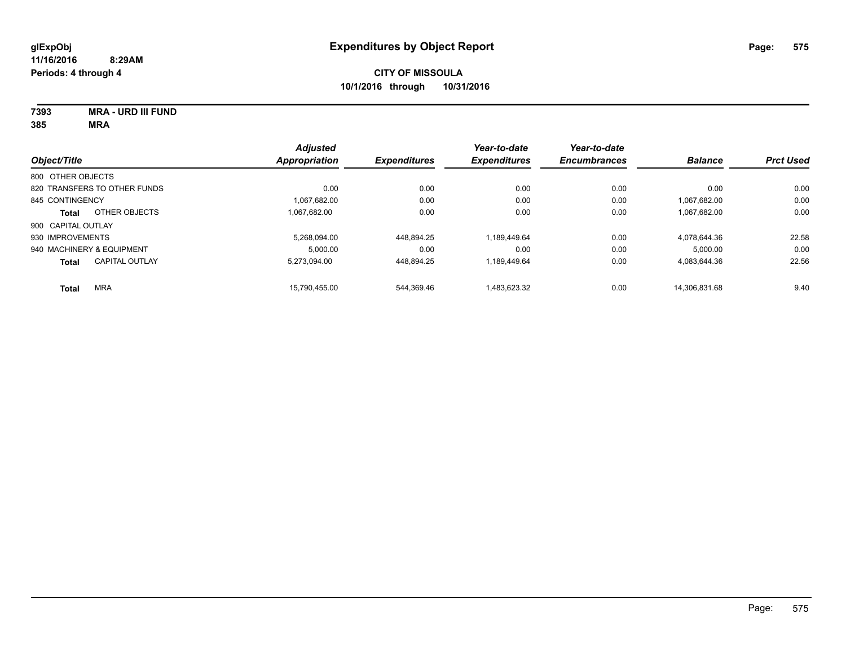**7393 MRA - URD III FUND 385 MRA**

|                              |                       | <b>Adjusted</b>      |                     | Year-to-date        | Year-to-date        |                |                  |
|------------------------------|-----------------------|----------------------|---------------------|---------------------|---------------------|----------------|------------------|
| Object/Title                 |                       | <b>Appropriation</b> | <b>Expenditures</b> | <b>Expenditures</b> | <b>Encumbrances</b> | <b>Balance</b> | <b>Prct Used</b> |
| 800 OTHER OBJECTS            |                       |                      |                     |                     |                     |                |                  |
| 820 TRANSFERS TO OTHER FUNDS |                       | 0.00                 | 0.00                | 0.00                | 0.00                | 0.00           | 0.00             |
| 845 CONTINGENCY              |                       | 1,067,682.00         | 0.00                | 0.00                | 0.00                | 1.067.682.00   | 0.00             |
| <b>Total</b>                 | OTHER OBJECTS         | 1.067.682.00         | 0.00                | 0.00                | 0.00                | 1,067,682.00   | 0.00             |
| 900 CAPITAL OUTLAY           |                       |                      |                     |                     |                     |                |                  |
| 930 IMPROVEMENTS             |                       | 5.268.094.00         | 448.894.25          | 1.189.449.64        | 0.00                | 4.078.644.36   | 22.58            |
| 940 MACHINERY & EQUIPMENT    |                       | 5.000.00             | 0.00                | 0.00                | 0.00                | 5.000.00       | 0.00             |
| <b>Total</b>                 | <b>CAPITAL OUTLAY</b> | 5.273.094.00         | 448.894.25          | 1.189.449.64        | 0.00                | 4.083.644.36   | 22.56            |
| <b>Total</b>                 | <b>MRA</b>            | 15.790.455.00        | 544.369.46          | 1,483,623.32        | 0.00                | 14.306.831.68  | 9.40             |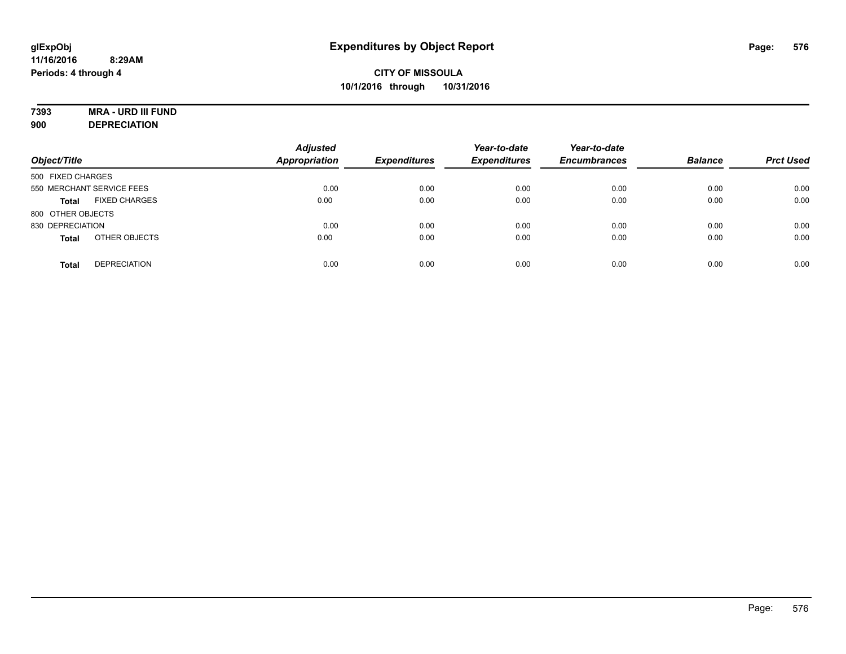# **7393 MRA - URD III FUND**

**900 DEPRECIATION**

| Object/Title                         | <b>Adjusted</b><br><b>Appropriation</b> | <b>Expenditures</b> | Year-to-date<br><b>Expenditures</b> | Year-to-date<br><b>Encumbrances</b> | <b>Balance</b> | <b>Prct Used</b> |
|--------------------------------------|-----------------------------------------|---------------------|-------------------------------------|-------------------------------------|----------------|------------------|
| 500 FIXED CHARGES                    |                                         |                     |                                     |                                     |                |                  |
| 550 MERCHANT SERVICE FEES            | 0.00                                    | 0.00                | 0.00                                | 0.00                                | 0.00           | 0.00             |
| <b>FIXED CHARGES</b><br><b>Total</b> | 0.00                                    | 0.00                | 0.00                                | 0.00                                | 0.00           | 0.00             |
| 800 OTHER OBJECTS                    |                                         |                     |                                     |                                     |                |                  |
| 830 DEPRECIATION                     | 0.00                                    | 0.00                | 0.00                                | 0.00                                | 0.00           | 0.00             |
| OTHER OBJECTS<br><b>Total</b>        | 0.00                                    | 0.00                | 0.00                                | 0.00                                | 0.00           | 0.00             |
| <b>DEPRECIATION</b><br><b>Total</b>  | 0.00                                    | 0.00                | 0.00                                | 0.00                                | 0.00           | 0.00             |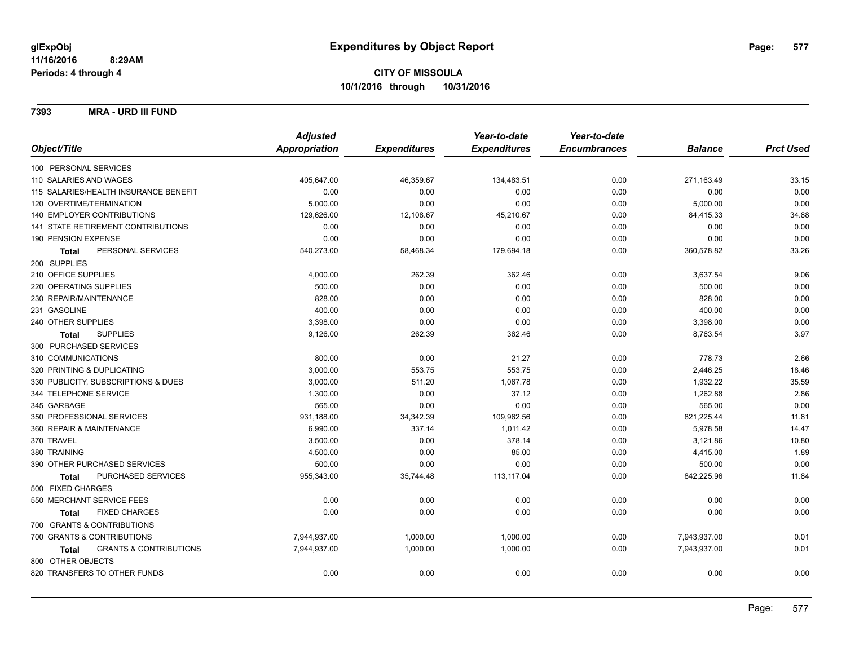**7393 MRA - URD III FUND**

|                                            | <b>Adjusted</b> |                     | Year-to-date        | Year-to-date        |                |                  |
|--------------------------------------------|-----------------|---------------------|---------------------|---------------------|----------------|------------------|
| Object/Title                               | Appropriation   | <b>Expenditures</b> | <b>Expenditures</b> | <b>Encumbrances</b> | <b>Balance</b> | <b>Prct Used</b> |
| 100 PERSONAL SERVICES                      |                 |                     |                     |                     |                |                  |
| 110 SALARIES AND WAGES                     | 405,647.00      | 46,359.67           | 134,483.51          | 0.00                | 271,163.49     | 33.15            |
| 115 SALARIES/HEALTH INSURANCE BENEFIT      | 0.00            | 0.00                | 0.00                | 0.00                | 0.00           | 0.00             |
| 120 OVERTIME/TERMINATION                   | 5,000.00        | 0.00                | 0.00                | 0.00                | 5,000.00       | 0.00             |
| 140 EMPLOYER CONTRIBUTIONS                 | 129,626.00      | 12,108.67           | 45,210.67           | 0.00                | 84,415.33      | 34.88            |
| <b>141 STATE RETIREMENT CONTRIBUTIONS</b>  | 0.00            | 0.00                | 0.00                | 0.00                | 0.00           | 0.00             |
| 190 PENSION EXPENSE                        | 0.00            | 0.00                | 0.00                | 0.00                | 0.00           | 0.00             |
| PERSONAL SERVICES<br><b>Total</b>          | 540,273.00      | 58,468.34           | 179,694.18          | 0.00                | 360,578.82     | 33.26            |
| 200 SUPPLIES                               |                 |                     |                     |                     |                |                  |
| 210 OFFICE SUPPLIES                        | 4,000.00        | 262.39              | 362.46              | 0.00                | 3,637.54       | 9.06             |
| 220 OPERATING SUPPLIES                     | 500.00          | 0.00                | 0.00                | 0.00                | 500.00         | 0.00             |
| 230 REPAIR/MAINTENANCE                     | 828.00          | 0.00                | 0.00                | 0.00                | 828.00         | 0.00             |
| 231 GASOLINE                               | 400.00          | 0.00                | 0.00                | 0.00                | 400.00         | 0.00             |
| 240 OTHER SUPPLIES                         | 3,398.00        | 0.00                | 0.00                | 0.00                | 3,398.00       | 0.00             |
| <b>SUPPLIES</b><br>Total                   | 9,126.00        | 262.39              | 362.46              | 0.00                | 8,763.54       | 3.97             |
| 300 PURCHASED SERVICES                     |                 |                     |                     |                     |                |                  |
| 310 COMMUNICATIONS                         | 800.00          | 0.00                | 21.27               | 0.00                | 778.73         | 2.66             |
| 320 PRINTING & DUPLICATING                 | 3,000.00        | 553.75              | 553.75              | 0.00                | 2,446.25       | 18.46            |
| 330 PUBLICITY, SUBSCRIPTIONS & DUES        | 3,000.00        | 511.20              | 1,067.78            | 0.00                | 1,932.22       | 35.59            |
| 344 TELEPHONE SERVICE                      | 1,300.00        | 0.00                | 37.12               | 0.00                | 1,262.88       | 2.86             |
| 345 GARBAGE                                | 565.00          | 0.00                | 0.00                | 0.00                | 565.00         | 0.00             |
| 350 PROFESSIONAL SERVICES                  | 931,188.00      | 34,342.39           | 109,962.56          | 0.00                | 821,225.44     | 11.81            |
| 360 REPAIR & MAINTENANCE                   | 6,990.00        | 337.14              | 1,011.42            | 0.00                | 5,978.58       | 14.47            |
| 370 TRAVEL                                 | 3,500.00        | 0.00                | 378.14              | 0.00                | 3,121.86       | 10.80            |
| 380 TRAINING                               | 4,500.00        | 0.00                | 85.00               | 0.00                | 4,415.00       | 1.89             |
| 390 OTHER PURCHASED SERVICES               | 500.00          | 0.00                | 0.00                | 0.00                | 500.00         | 0.00             |
| PURCHASED SERVICES<br><b>Total</b>         | 955,343.00      | 35,744.48           | 113, 117.04         | 0.00                | 842,225.96     | 11.84            |
| 500 FIXED CHARGES                          |                 |                     |                     |                     |                |                  |
| 550 MERCHANT SERVICE FEES                  | 0.00            | 0.00                | 0.00                | 0.00                | 0.00           | 0.00             |
| <b>FIXED CHARGES</b><br><b>Total</b>       | 0.00            | 0.00                | 0.00                | 0.00                | 0.00           | 0.00             |
| 700 GRANTS & CONTRIBUTIONS                 |                 |                     |                     |                     |                |                  |
| 700 GRANTS & CONTRIBUTIONS                 | 7,944,937.00    | 1,000.00            | 1,000.00            | 0.00                | 7,943,937.00   | 0.01             |
| <b>GRANTS &amp; CONTRIBUTIONS</b><br>Total | 7,944,937.00    | 1,000.00            | 1,000.00            | 0.00                | 7,943,937.00   | 0.01             |
| 800 OTHER OBJECTS                          |                 |                     |                     |                     |                |                  |
| 820 TRANSFERS TO OTHER FUNDS               | 0.00            | 0.00                | 0.00                | 0.00                | 0.00           | 0.00             |
|                                            |                 |                     |                     |                     |                |                  |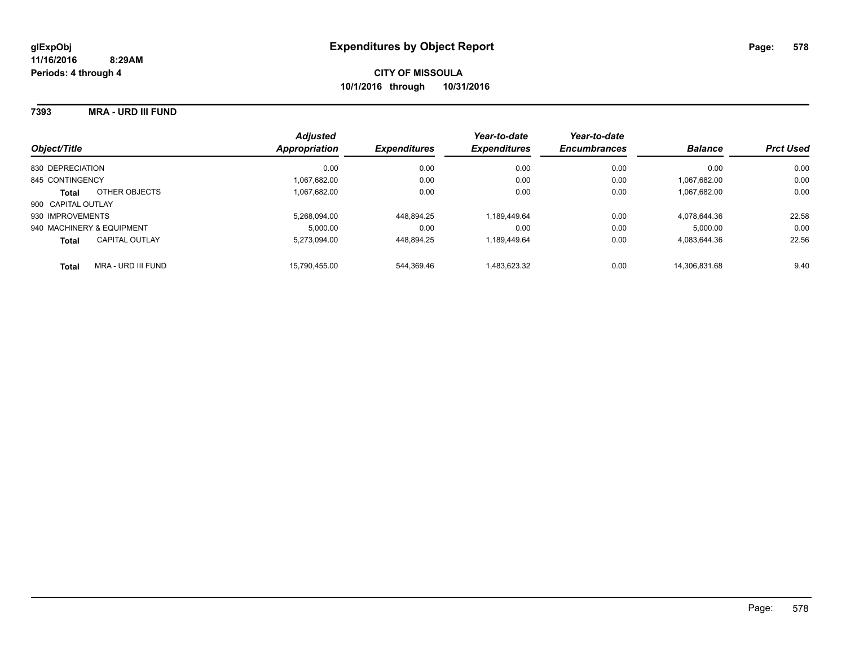## **7393 MRA - URD III FUND**

| Object/Title                          | <b>Adjusted</b><br>Appropriation | <b>Expenditures</b> | Year-to-date<br><b>Expenditures</b> | Year-to-date<br><b>Encumbrances</b> | <b>Balance</b> | <b>Prct Used</b> |
|---------------------------------------|----------------------------------|---------------------|-------------------------------------|-------------------------------------|----------------|------------------|
| 830 DEPRECIATION                      | 0.00                             | 0.00                | 0.00                                | 0.00                                | 0.00           | 0.00             |
| 845 CONTINGENCY                       | 1.067.682.00                     | 0.00                | 0.00                                | 0.00                                | 1.067.682.00   | 0.00             |
| OTHER OBJECTS<br><b>Total</b>         | 1.067.682.00                     | 0.00                | 0.00                                | 0.00                                | 1.067.682.00   | 0.00             |
| 900 CAPITAL OUTLAY                    |                                  |                     |                                     |                                     |                |                  |
| 930 IMPROVEMENTS                      | 5.268.094.00                     | 448,894.25          | 1.189.449.64                        | 0.00                                | 4.078.644.36   | 22.58            |
| 940 MACHINERY & EQUIPMENT             | 5.000.00                         | 0.00                | 0.00                                | 0.00                                | 5.000.00       | 0.00             |
| <b>CAPITAL OUTLAY</b><br><b>Total</b> | 5.273.094.00                     | 448.894.25          | 1.189.449.64                        | 0.00                                | 4.083.644.36   | 22.56            |
| MRA - URD III FUND<br><b>Total</b>    | 15.790.455.00                    | 544.369.46          | 1.483.623.32                        | 0.00                                | 14.306.831.68  | 9.40             |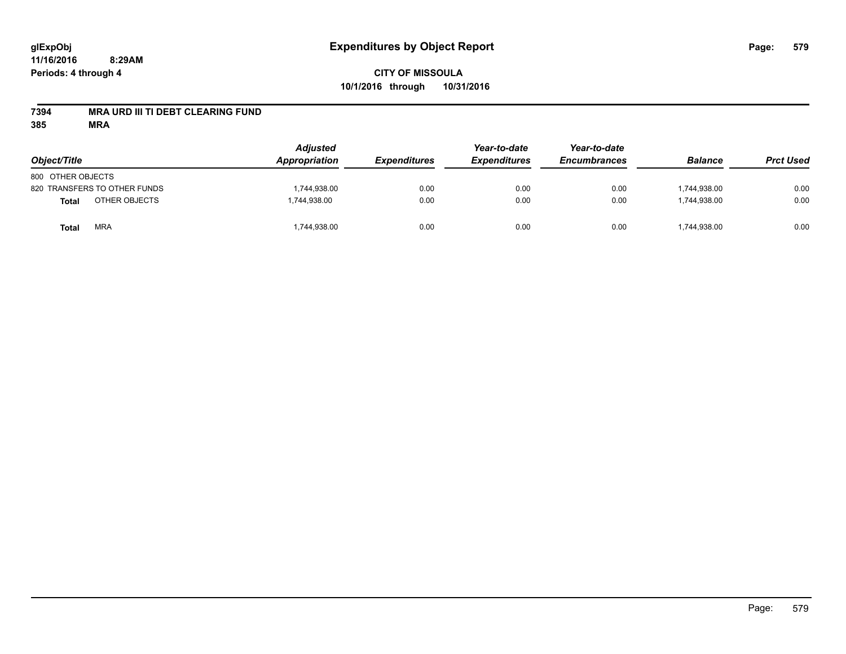## **7394 MRA URD III TI DEBT CLEARING FUND**

| Object/Title                  | <b>Adjusted</b><br>Appropriation | <b>Expenditures</b> | Year-to-date<br><b>Expenditures</b> | Year-to-date<br><b>Encumbrances</b> | <b>Balance</b> | <b>Prct Used</b> |
|-------------------------------|----------------------------------|---------------------|-------------------------------------|-------------------------------------|----------------|------------------|
| 800 OTHER OBJECTS             |                                  |                     |                                     |                                     |                |                  |
| 820 TRANSFERS TO OTHER FUNDS  | 1,744,938.00                     | 0.00                | 0.00                                | 0.00                                | 1.744.938.00   | 0.00             |
| OTHER OBJECTS<br><b>Total</b> | 1,744,938.00                     | 0.00                | 0.00                                | 0.00                                | 1,744,938.00   | 0.00             |
| <b>MRA</b><br>Total           | 1,744,938.00                     | 0.00                | 0.00                                | 0.00                                | 1,744,938.00   | 0.00             |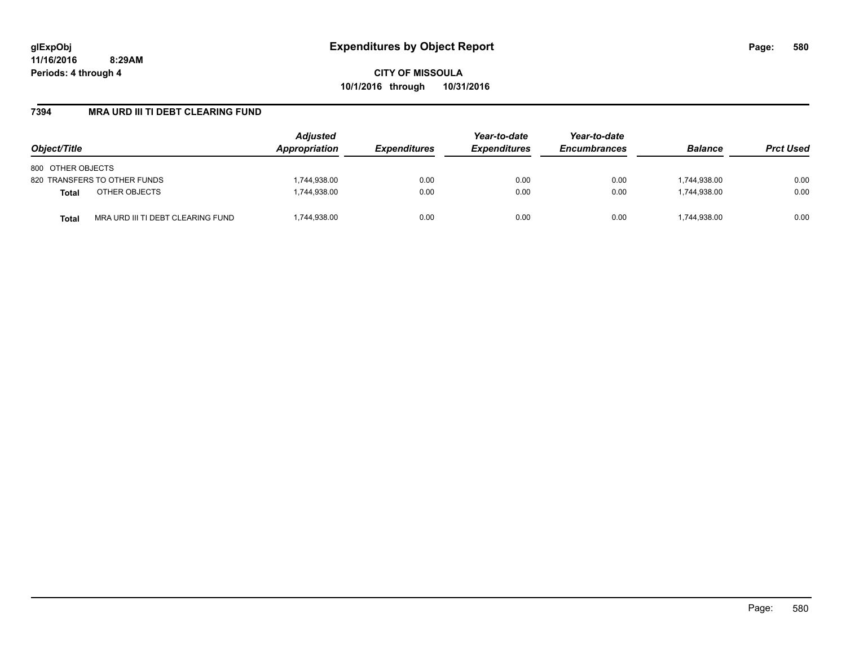**CITY OF MISSOULA 10/1/2016 through 10/31/2016**

## **7394 MRA URD III TI DEBT CLEARING FUND**

| Object/Title                                      | <b>Adjusted</b><br>Appropriation | <b>Expenditures</b> | Year-to-date<br><b>Expenditures</b> | Year-to-date<br><b>Encumbrances</b> | <b>Balance</b> | <b>Prct Used</b> |
|---------------------------------------------------|----------------------------------|---------------------|-------------------------------------|-------------------------------------|----------------|------------------|
| 800 OTHER OBJECTS                                 |                                  |                     |                                     |                                     |                |                  |
| 820 TRANSFERS TO OTHER FUNDS                      | 1,744,938.00                     | 0.00                | 0.00                                | 0.00                                | 1,744,938.00   | 0.00             |
| OTHER OBJECTS<br><b>Total</b>                     | 1,744,938.00                     | 0.00                | 0.00                                | 0.00                                | 1.744.938.00   | 0.00             |
| MRA URD III TI DEBT CLEARING FUND<br><b>Total</b> | ,744,938.00                      | 0.00                | 0.00                                | 0.00                                | 1,744,938.00   | 0.00             |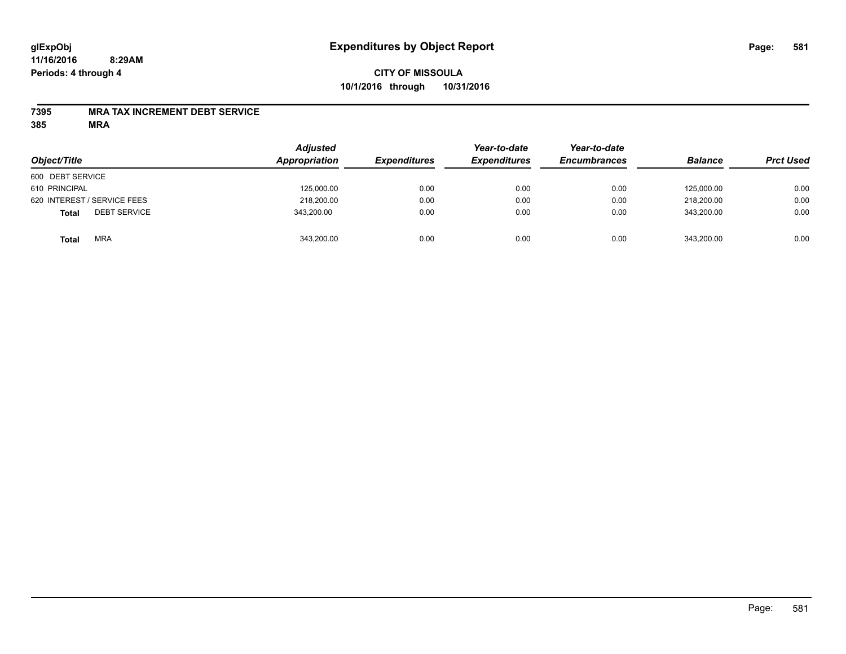# **CITY OF MISSOULA 10/1/2016 through 10/31/2016**

## **7395 MRA TAX INCREMENT DEBT SERVICE**

| Object/Title                        | <b>Adjusted</b><br>Appropriation | <b>Expenditures</b> | Year-to-date<br><b>Expenditures</b> | Year-to-date<br><b>Encumbrances</b> | <b>Balance</b> | <b>Prct Used</b> |
|-------------------------------------|----------------------------------|---------------------|-------------------------------------|-------------------------------------|----------------|------------------|
| 600 DEBT SERVICE                    |                                  |                     |                                     |                                     |                |                  |
| 610 PRINCIPAL                       | 125,000.00                       | 0.00                | 0.00                                | 0.00                                | 125.000.00     | 0.00             |
| 620 INTEREST / SERVICE FEES         | 218,200.00                       | 0.00                | 0.00                                | 0.00                                | 218,200.00     | 0.00             |
| <b>DEBT SERVICE</b><br><b>Total</b> | 343,200.00                       | 0.00                | 0.00                                | 0.00                                | 343.200.00     | 0.00             |
| <b>MRA</b><br><b>Total</b>          | 343,200.00                       | 0.00                | 0.00                                | 0.00                                | 343,200.00     | 0.00             |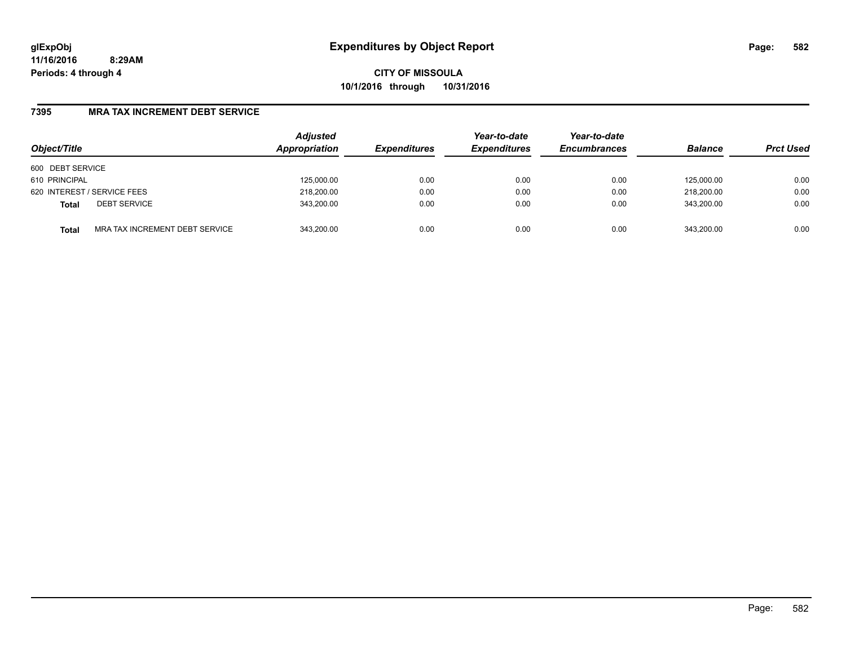**CITY OF MISSOULA 10/1/2016 through 10/31/2016**

## **7395 MRA TAX INCREMENT DEBT SERVICE**

| Object/Title                |                                | <b>Adjusted</b><br>Appropriation | <b>Expenditures</b> | Year-to-date<br><b>Expenditures</b> | Year-to-date<br><b>Encumbrances</b> | <b>Balance</b> | <b>Prct Used</b> |
|-----------------------------|--------------------------------|----------------------------------|---------------------|-------------------------------------|-------------------------------------|----------------|------------------|
| 600 DEBT SERVICE            |                                |                                  |                     |                                     |                                     |                |                  |
| 610 PRINCIPAL               |                                | 125,000.00                       | 0.00                | 0.00                                | 0.00                                | 125.000.00     | 0.00             |
| 620 INTEREST / SERVICE FEES |                                | 218,200.00                       | 0.00                | 0.00                                | 0.00                                | 218,200.00     | 0.00             |
| <b>Total</b>                | <b>DEBT SERVICE</b>            | 343,200.00                       | 0.00                | 0.00                                | 0.00                                | 343.200.00     | 0.00             |
| <b>Total</b>                | MRA TAX INCREMENT DEBT SERVICE | 343.200.00                       | 0.00                | 0.00                                | 0.00                                | 343.200.00     | 0.00             |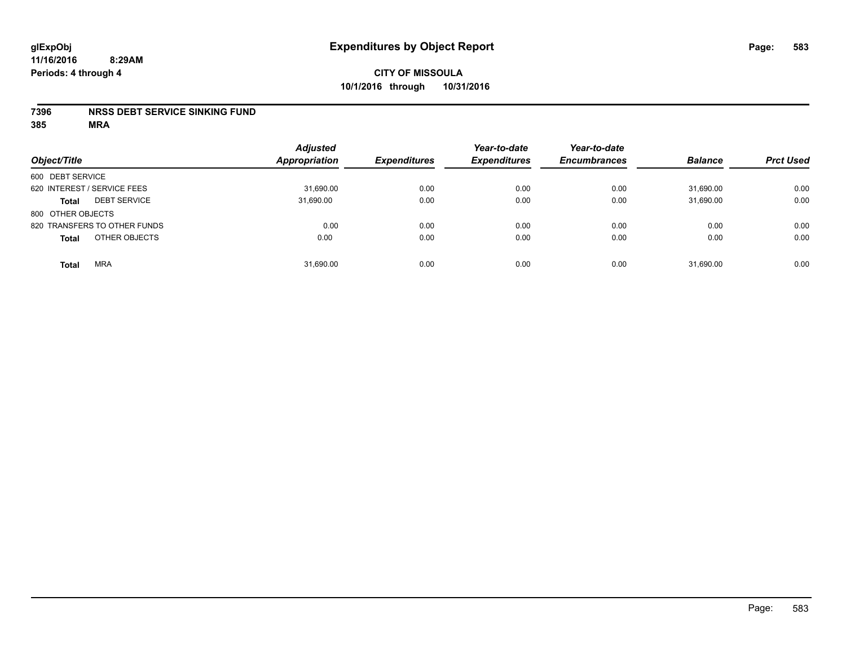### **7396 NRSS DEBT SERVICE SINKING FUND**

| Object/Title                        | <b>Adjusted</b><br><b>Appropriation</b> | <b>Expenditures</b> | Year-to-date<br><b>Expenditures</b> | Year-to-date<br><b>Encumbrances</b> | <b>Balance</b> | <b>Prct Used</b> |
|-------------------------------------|-----------------------------------------|---------------------|-------------------------------------|-------------------------------------|----------------|------------------|
| 600 DEBT SERVICE                    |                                         |                     |                                     |                                     |                |                  |
| 620 INTEREST / SERVICE FEES         | 31,690.00                               | 0.00                | 0.00                                | 0.00                                | 31,690.00      | 0.00             |
| <b>DEBT SERVICE</b><br><b>Total</b> | 31,690.00                               | 0.00                | 0.00                                | 0.00                                | 31,690.00      | 0.00             |
| 800 OTHER OBJECTS                   |                                         |                     |                                     |                                     |                |                  |
| 820 TRANSFERS TO OTHER FUNDS        | 0.00                                    | 0.00                | 0.00                                | 0.00                                | 0.00           | 0.00             |
| OTHER OBJECTS<br><b>Total</b>       | 0.00                                    | 0.00                | 0.00                                | 0.00                                | 0.00           | 0.00             |
| <b>MRA</b><br><b>Total</b>          | 31,690.00                               | 0.00                | 0.00                                | 0.00                                | 31,690.00      | 0.00             |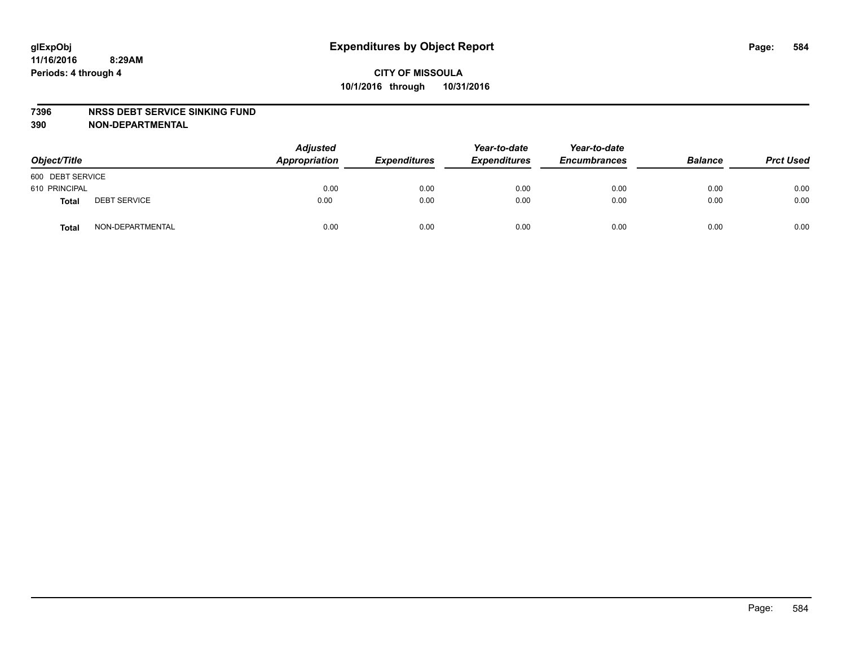#### **7396 NRSS DEBT SERVICE SINKING FUND**

**390 NON-DEPARTMENTAL**

| Object/Title     |                     | <b>Adjusted</b><br>Appropriation | <b>Expenditures</b> | Year-to-date<br><b>Expenditures</b> | Year-to-date<br><b>Encumbrances</b> | <b>Balance</b> | <b>Prct Used</b> |
|------------------|---------------------|----------------------------------|---------------------|-------------------------------------|-------------------------------------|----------------|------------------|
| 600 DEBT SERVICE |                     |                                  |                     |                                     |                                     |                |                  |
| 610 PRINCIPAL    |                     | 0.00                             | 0.00                | 0.00                                | 0.00                                | 0.00           | 0.00             |
| Total            | <b>DEBT SERVICE</b> | 0.00                             | 0.00                | 0.00                                | 0.00                                | 0.00           | 0.00             |
| Total            | NON-DEPARTMENTAL    | 0.00                             | 0.00                | 0.00                                | 0.00                                | 0.00           | 0.00             |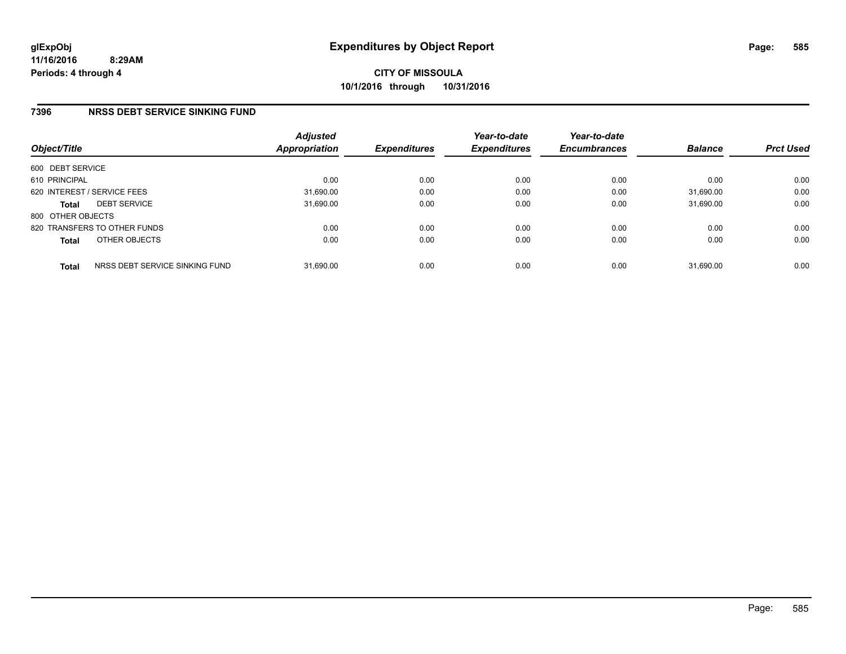## **7396 NRSS DEBT SERVICE SINKING FUND**

| Object/Title      |                                | <b>Adjusted</b><br>Appropriation | <b>Expenditures</b> | Year-to-date<br><b>Expenditures</b> | Year-to-date<br><b>Encumbrances</b> | <b>Balance</b> | <b>Prct Used</b> |
|-------------------|--------------------------------|----------------------------------|---------------------|-------------------------------------|-------------------------------------|----------------|------------------|
| 600 DEBT SERVICE  |                                |                                  |                     |                                     |                                     |                |                  |
| 610 PRINCIPAL     |                                | 0.00                             | 0.00                | 0.00                                | 0.00                                | 0.00           | 0.00             |
|                   | 620 INTEREST / SERVICE FEES    | 31,690.00                        | 0.00                | 0.00                                | 0.00                                | 31,690.00      | 0.00             |
| <b>Total</b>      | <b>DEBT SERVICE</b>            | 31,690.00                        | 0.00                | 0.00                                | 0.00                                | 31.690.00      | 0.00             |
| 800 OTHER OBJECTS |                                |                                  |                     |                                     |                                     |                |                  |
|                   | 820 TRANSFERS TO OTHER FUNDS   | 0.00                             | 0.00                | 0.00                                | 0.00                                | 0.00           | 0.00             |
| <b>Total</b>      | OTHER OBJECTS                  | 0.00                             | 0.00                | 0.00                                | 0.00                                | 0.00           | 0.00             |
| <b>Total</b>      | NRSS DEBT SERVICE SINKING FUND | 31,690.00                        | 0.00                | 0.00                                | 0.00                                | 31.690.00      | 0.00             |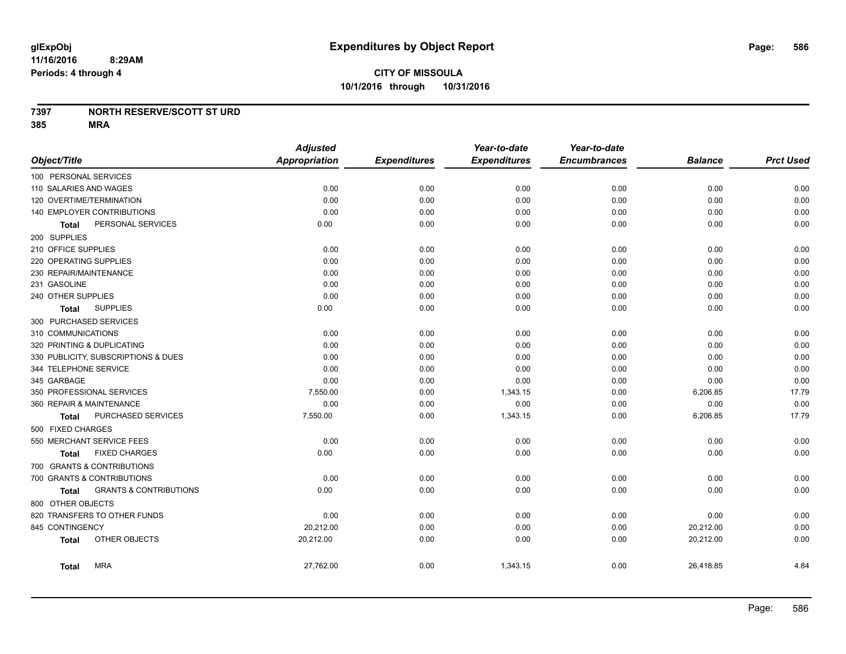**10/1/2016 through 10/31/2016**

## **7397 NORTH RESERVE/SCOTT ST URD**

|                                                   | <b>Adjusted</b> |                     | Year-to-date        | Year-to-date        |                |                  |
|---------------------------------------------------|-----------------|---------------------|---------------------|---------------------|----------------|------------------|
| Object/Title                                      | Appropriation   | <b>Expenditures</b> | <b>Expenditures</b> | <b>Encumbrances</b> | <b>Balance</b> | <b>Prct Used</b> |
| 100 PERSONAL SERVICES                             |                 |                     |                     |                     |                |                  |
| 110 SALARIES AND WAGES                            | 0.00            | 0.00                | 0.00                | 0.00                | 0.00           | 0.00             |
| 120 OVERTIME/TERMINATION                          | 0.00            | 0.00                | 0.00                | 0.00                | 0.00           | 0.00             |
| 140 EMPLOYER CONTRIBUTIONS                        | 0.00            | 0.00                | 0.00                | 0.00                | 0.00           | 0.00             |
| PERSONAL SERVICES<br><b>Total</b>                 | 0.00            | 0.00                | 0.00                | 0.00                | 0.00           | 0.00             |
| 200 SUPPLIES                                      |                 |                     |                     |                     |                |                  |
| 210 OFFICE SUPPLIES                               | 0.00            | 0.00                | 0.00                | 0.00                | 0.00           | 0.00             |
| 220 OPERATING SUPPLIES                            | 0.00            | 0.00                | 0.00                | 0.00                | 0.00           | 0.00             |
| 230 REPAIR/MAINTENANCE                            | 0.00            | 0.00                | 0.00                | 0.00                | 0.00           | 0.00             |
| 231 GASOLINE                                      | 0.00            | 0.00                | 0.00                | 0.00                | 0.00           | 0.00             |
| 240 OTHER SUPPLIES                                | 0.00            | 0.00                | 0.00                | 0.00                | 0.00           | 0.00             |
| <b>SUPPLIES</b><br><b>Total</b>                   | 0.00            | 0.00                | 0.00                | 0.00                | 0.00           | 0.00             |
| 300 PURCHASED SERVICES                            |                 |                     |                     |                     |                |                  |
| 310 COMMUNICATIONS                                | 0.00            | 0.00                | 0.00                | 0.00                | 0.00           | 0.00             |
| 320 PRINTING & DUPLICATING                        | 0.00            | 0.00                | 0.00                | 0.00                | 0.00           | 0.00             |
| 330 PUBLICITY, SUBSCRIPTIONS & DUES               | 0.00            | 0.00                | 0.00                | 0.00                | 0.00           | 0.00             |
| 344 TELEPHONE SERVICE                             | 0.00            | 0.00                | 0.00                | 0.00                | 0.00           | 0.00             |
| 345 GARBAGE                                       | 0.00            | 0.00                | 0.00                | 0.00                | 0.00           | 0.00             |
| 350 PROFESSIONAL SERVICES                         | 7,550.00        | 0.00                | 1,343.15            | 0.00                | 6,206.85       | 17.79            |
| 360 REPAIR & MAINTENANCE                          | 0.00            | 0.00                | 0.00                | 0.00                | 0.00           | 0.00             |
| PURCHASED SERVICES<br><b>Total</b>                | 7,550.00        | 0.00                | 1,343.15            | 0.00                | 6,206.85       | 17.79            |
| 500 FIXED CHARGES                                 |                 |                     |                     |                     |                |                  |
| 550 MERCHANT SERVICE FEES                         | 0.00            | 0.00                | 0.00                | 0.00                | 0.00           | 0.00             |
| <b>FIXED CHARGES</b><br><b>Total</b>              | 0.00            | 0.00                | 0.00                | 0.00                | 0.00           | 0.00             |
| 700 GRANTS & CONTRIBUTIONS                        |                 |                     |                     |                     |                |                  |
| 700 GRANTS & CONTRIBUTIONS                        | 0.00            | 0.00                | 0.00                | 0.00                | 0.00           | 0.00             |
| <b>GRANTS &amp; CONTRIBUTIONS</b><br><b>Total</b> | 0.00            | 0.00                | 0.00                | 0.00                | 0.00           | 0.00             |
| 800 OTHER OBJECTS                                 |                 |                     |                     |                     |                |                  |
| 820 TRANSFERS TO OTHER FUNDS                      | 0.00            | 0.00                | 0.00                | 0.00                | 0.00           | 0.00             |
| 845 CONTINGENCY                                   | 20,212.00       | 0.00                | 0.00                | 0.00                | 20,212.00      | 0.00             |
| OTHER OBJECTS<br><b>Total</b>                     | 20,212.00       | 0.00                | 0.00                | 0.00                | 20,212.00      | 0.00             |
| <b>MRA</b><br><b>Total</b>                        | 27,762.00       | 0.00                | 1,343.15            | 0.00                | 26,418.85      | 4.84             |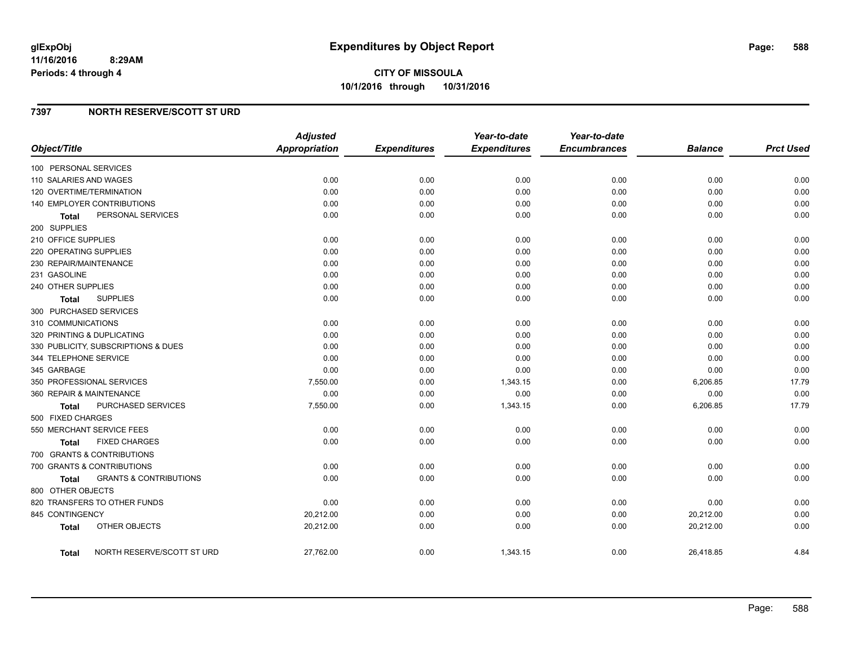# **7397 NORTH RESERVE/SCOTT ST URD**

|                                            | <b>Adjusted</b> |                     | Year-to-date        | Year-to-date        |                |                  |
|--------------------------------------------|-----------------|---------------------|---------------------|---------------------|----------------|------------------|
| Object/Title                               | Appropriation   | <b>Expenditures</b> | <b>Expenditures</b> | <b>Encumbrances</b> | <b>Balance</b> | <b>Prct Used</b> |
| 100 PERSONAL SERVICES                      |                 |                     |                     |                     |                |                  |
| 110 SALARIES AND WAGES                     | 0.00            | 0.00                | 0.00                | 0.00                | 0.00           | 0.00             |
| 120 OVERTIME/TERMINATION                   | 0.00            | 0.00                | 0.00                | 0.00                | 0.00           | 0.00             |
| 140 EMPLOYER CONTRIBUTIONS                 | 0.00            | 0.00                | 0.00                | 0.00                | 0.00           | 0.00             |
| PERSONAL SERVICES<br>Total                 | 0.00            | 0.00                | 0.00                | 0.00                | 0.00           | 0.00             |
| 200 SUPPLIES                               |                 |                     |                     |                     |                |                  |
| 210 OFFICE SUPPLIES                        | 0.00            | 0.00                | 0.00                | 0.00                | 0.00           | 0.00             |
| 220 OPERATING SUPPLIES                     | 0.00            | 0.00                | 0.00                | 0.00                | 0.00           | 0.00             |
| 230 REPAIR/MAINTENANCE                     | 0.00            | 0.00                | 0.00                | 0.00                | 0.00           | 0.00             |
| 231 GASOLINE                               | 0.00            | 0.00                | 0.00                | 0.00                | 0.00           | 0.00             |
| 240 OTHER SUPPLIES                         | 0.00            | 0.00                | 0.00                | 0.00                | 0.00           | 0.00             |
| <b>SUPPLIES</b><br>Total                   | 0.00            | 0.00                | 0.00                | 0.00                | 0.00           | 0.00             |
| 300 PURCHASED SERVICES                     |                 |                     |                     |                     |                |                  |
| 310 COMMUNICATIONS                         | 0.00            | 0.00                | 0.00                | 0.00                | 0.00           | 0.00             |
| 320 PRINTING & DUPLICATING                 | 0.00            | 0.00                | 0.00                | 0.00                | 0.00           | 0.00             |
| 330 PUBLICITY, SUBSCRIPTIONS & DUES        | 0.00            | 0.00                | 0.00                | 0.00                | 0.00           | 0.00             |
| 344 TELEPHONE SERVICE                      | 0.00            | 0.00                | 0.00                | 0.00                | 0.00           | 0.00             |
| 345 GARBAGE                                | 0.00            | 0.00                | 0.00                | 0.00                | 0.00           | 0.00             |
| 350 PROFESSIONAL SERVICES                  | 7,550.00        | 0.00                | 1,343.15            | 0.00                | 6,206.85       | 17.79            |
| 360 REPAIR & MAINTENANCE                   | 0.00            | 0.00                | 0.00                | 0.00                | 0.00           | 0.00             |
| PURCHASED SERVICES<br>Total                | 7,550.00        | 0.00                | 1,343.15            | 0.00                | 6,206.85       | 17.79            |
| 500 FIXED CHARGES                          |                 |                     |                     |                     |                |                  |
| 550 MERCHANT SERVICE FEES                  | 0.00            | 0.00                | 0.00                | 0.00                | 0.00           | 0.00             |
| <b>FIXED CHARGES</b><br><b>Total</b>       | 0.00            | 0.00                | 0.00                | 0.00                | 0.00           | 0.00             |
| 700 GRANTS & CONTRIBUTIONS                 |                 |                     |                     |                     |                |                  |
| 700 GRANTS & CONTRIBUTIONS                 | 0.00            | 0.00                | 0.00                | 0.00                | 0.00           | 0.00             |
| <b>GRANTS &amp; CONTRIBUTIONS</b><br>Total | 0.00            | 0.00                | 0.00                | 0.00                | 0.00           | 0.00             |
| 800 OTHER OBJECTS                          |                 |                     |                     |                     |                |                  |
| 820 TRANSFERS TO OTHER FUNDS               | 0.00            | 0.00                | 0.00                | 0.00                | 0.00           | 0.00             |
| 845 CONTINGENCY                            | 20,212.00       | 0.00                | 0.00                | 0.00                | 20,212.00      | 0.00             |
| OTHER OBJECTS<br><b>Total</b>              | 20,212.00       | 0.00                | 0.00                | 0.00                | 20,212.00      | 0.00             |
| NORTH RESERVE/SCOTT ST URD<br>Total        | 27,762.00       | 0.00                | 1,343.15            | 0.00                | 26,418.85      | 4.84             |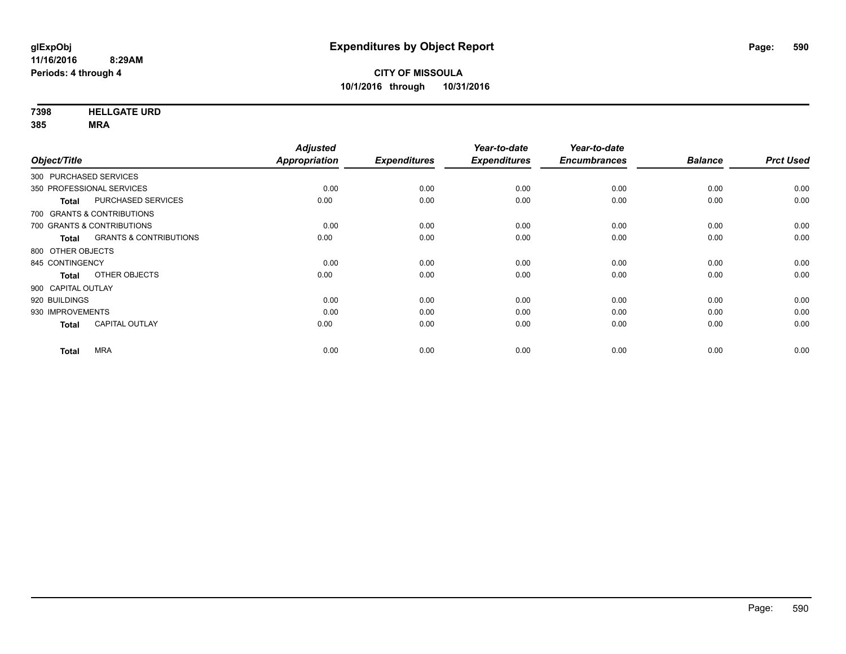**7398 HELLGATE URD**

|                            |                                   | <b>Adjusted</b> |                     | Year-to-date        | Year-to-date        |                |                  |
|----------------------------|-----------------------------------|-----------------|---------------------|---------------------|---------------------|----------------|------------------|
| Object/Title               |                                   | Appropriation   | <b>Expenditures</b> | <b>Expenditures</b> | <b>Encumbrances</b> | <b>Balance</b> | <b>Prct Used</b> |
| 300 PURCHASED SERVICES     |                                   |                 |                     |                     |                     |                |                  |
| 350 PROFESSIONAL SERVICES  |                                   | 0.00            | 0.00                | 0.00                | 0.00                | 0.00           | 0.00             |
| <b>Total</b>               | PURCHASED SERVICES                | 0.00            | 0.00                | 0.00                | 0.00                | 0.00           | 0.00             |
| 700 GRANTS & CONTRIBUTIONS |                                   |                 |                     |                     |                     |                |                  |
| 700 GRANTS & CONTRIBUTIONS |                                   | 0.00            | 0.00                | 0.00                | 0.00                | 0.00           | 0.00             |
| <b>Total</b>               | <b>GRANTS &amp; CONTRIBUTIONS</b> | 0.00            | 0.00                | 0.00                | 0.00                | 0.00           | 0.00             |
| 800 OTHER OBJECTS          |                                   |                 |                     |                     |                     |                |                  |
| 845 CONTINGENCY            |                                   | 0.00            | 0.00                | 0.00                | 0.00                | 0.00           | 0.00             |
| <b>Total</b>               | OTHER OBJECTS                     | 0.00            | 0.00                | 0.00                | 0.00                | 0.00           | 0.00             |
| 900 CAPITAL OUTLAY         |                                   |                 |                     |                     |                     |                |                  |
| 920 BUILDINGS              |                                   | 0.00            | 0.00                | 0.00                | 0.00                | 0.00           | 0.00             |
| 930 IMPROVEMENTS           |                                   | 0.00            | 0.00                | 0.00                | 0.00                | 0.00           | 0.00             |
| <b>Total</b>               | CAPITAL OUTLAY                    | 0.00            | 0.00                | 0.00                | 0.00                | 0.00           | 0.00             |
| <b>Total</b>               | <b>MRA</b>                        | 0.00            | 0.00                | 0.00                | 0.00                | 0.00           | 0.00             |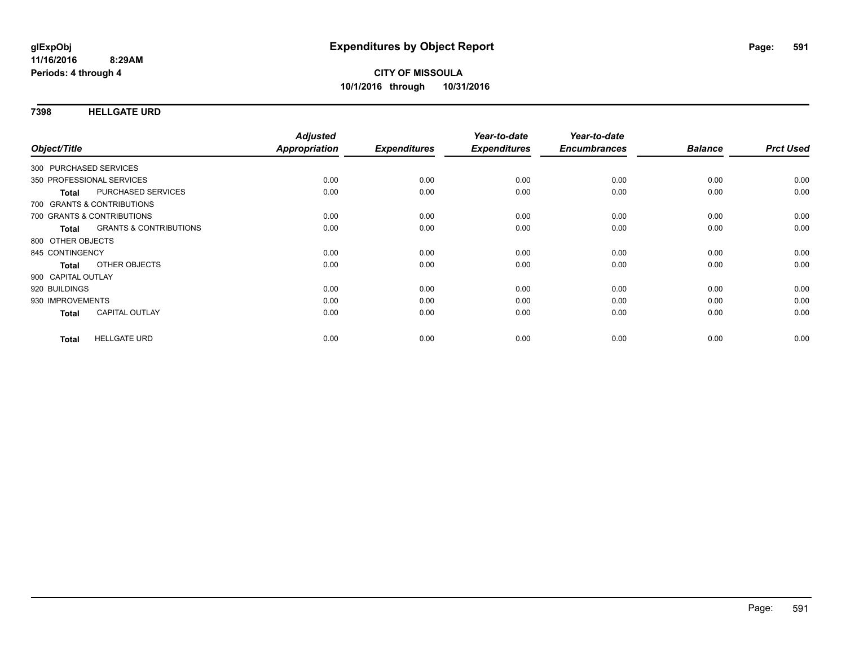**7398 HELLGATE URD**

| Object/Title                               | <b>Adjusted</b><br>Appropriation | <b>Expenditures</b> | Year-to-date<br><b>Expenditures</b> | Year-to-date<br><b>Encumbrances</b> | <b>Balance</b> | <b>Prct Used</b> |
|--------------------------------------------|----------------------------------|---------------------|-------------------------------------|-------------------------------------|----------------|------------------|
|                                            |                                  |                     |                                     |                                     |                |                  |
| 300 PURCHASED SERVICES                     |                                  |                     |                                     |                                     |                |                  |
| 350 PROFESSIONAL SERVICES                  | 0.00                             | 0.00                | 0.00                                | 0.00                                | 0.00           | 0.00             |
| PURCHASED SERVICES<br><b>Total</b>         | 0.00                             | 0.00                | 0.00                                | 0.00                                | 0.00           | 0.00             |
| 700 GRANTS & CONTRIBUTIONS                 |                                  |                     |                                     |                                     |                |                  |
| 700 GRANTS & CONTRIBUTIONS                 | 0.00                             | 0.00                | 0.00                                | 0.00                                | 0.00           | 0.00             |
| <b>GRANTS &amp; CONTRIBUTIONS</b><br>Total | 0.00                             | 0.00                | 0.00                                | 0.00                                | 0.00           | 0.00             |
| 800 OTHER OBJECTS                          |                                  |                     |                                     |                                     |                |                  |
| 845 CONTINGENCY                            | 0.00                             | 0.00                | 0.00                                | 0.00                                | 0.00           | 0.00             |
| OTHER OBJECTS<br><b>Total</b>              | 0.00                             | 0.00                | 0.00                                | 0.00                                | 0.00           | 0.00             |
| 900 CAPITAL OUTLAY                         |                                  |                     |                                     |                                     |                |                  |
| 920 BUILDINGS                              | 0.00                             | 0.00                | 0.00                                | 0.00                                | 0.00           | 0.00             |
| 930 IMPROVEMENTS                           | 0.00                             | 0.00                | 0.00                                | 0.00                                | 0.00           | 0.00             |
| <b>CAPITAL OUTLAY</b><br><b>Total</b>      | 0.00                             | 0.00                | 0.00                                | 0.00                                | 0.00           | 0.00             |
| <b>HELLGATE URD</b><br><b>Total</b>        | 0.00                             | 0.00                | 0.00                                | 0.00                                | 0.00           | 0.00             |
|                                            |                                  |                     |                                     |                                     |                |                  |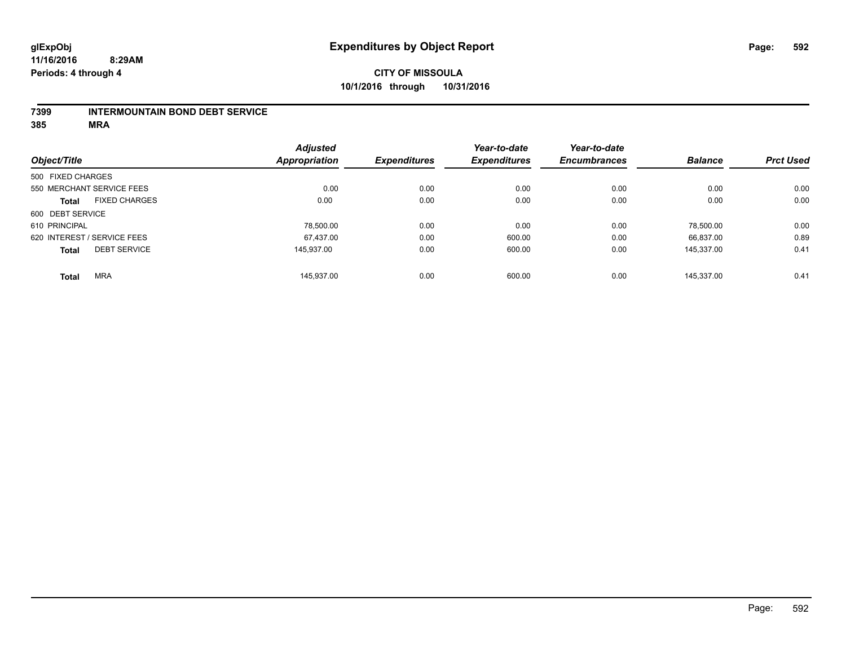### **7399 INTERMOUNTAIN BOND DEBT SERVICE**

|                   |                             | <b>Adjusted</b>      |                     | Year-to-date        | Year-to-date        |                |                  |
|-------------------|-----------------------------|----------------------|---------------------|---------------------|---------------------|----------------|------------------|
| Object/Title      |                             | <b>Appropriation</b> | <b>Expenditures</b> | <b>Expenditures</b> | <b>Encumbrances</b> | <b>Balance</b> | <b>Prct Used</b> |
| 500 FIXED CHARGES |                             |                      |                     |                     |                     |                |                  |
|                   | 550 MERCHANT SERVICE FEES   | 0.00                 | 0.00                | 0.00                | 0.00                | 0.00           | 0.00             |
| <b>Total</b>      | <b>FIXED CHARGES</b>        | 0.00                 | 0.00                | 0.00                | 0.00                | 0.00           | 0.00             |
| 600 DEBT SERVICE  |                             |                      |                     |                     |                     |                |                  |
| 610 PRINCIPAL     |                             | 78,500.00            | 0.00                | 0.00                | 0.00                | 78.500.00      | 0.00             |
|                   | 620 INTEREST / SERVICE FEES | 67.437.00            | 0.00                | 600.00              | 0.00                | 66.837.00      | 0.89             |
| <b>Total</b>      | <b>DEBT SERVICE</b>         | 145.937.00           | 0.00                | 600.00              | 0.00                | 145.337.00     | 0.41             |
| <b>Total</b>      | <b>MRA</b>                  | 145.937.00           | 0.00                | 600.00              | 0.00                | 145.337.00     | 0.41             |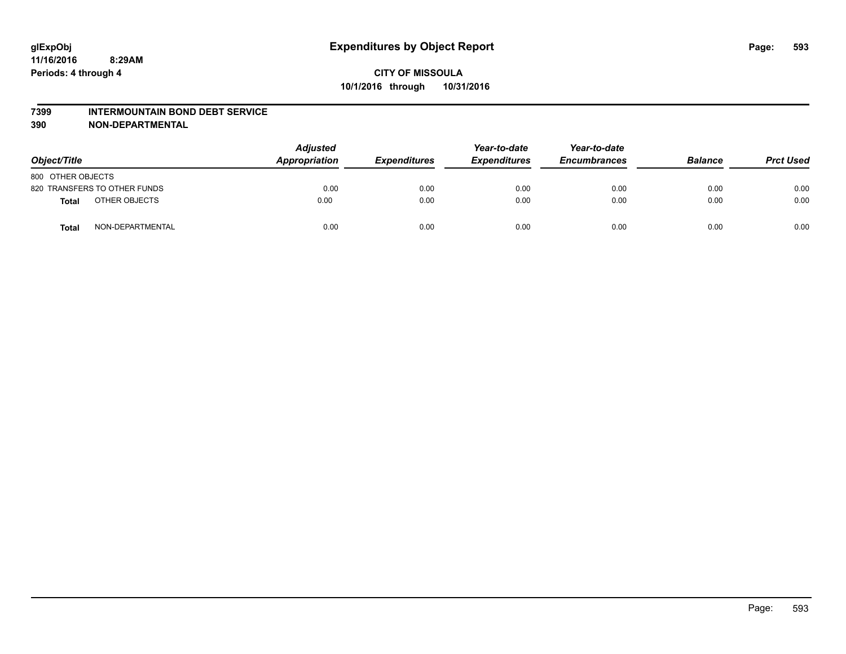#### **7399 INTERMOUNTAIN BOND DEBT SERVICE**

**390 NON-DEPARTMENTAL**

| Object/Title      |                              | <b>Adjusted</b><br>Appropriation | <b>Expenditures</b> | Year-to-date<br><b>Expenditures</b> | Year-to-date<br><b>Encumbrances</b> | <b>Balance</b> | <b>Prct Used</b> |
|-------------------|------------------------------|----------------------------------|---------------------|-------------------------------------|-------------------------------------|----------------|------------------|
| 800 OTHER OBJECTS |                              |                                  |                     |                                     |                                     |                |                  |
|                   | 820 TRANSFERS TO OTHER FUNDS | 0.00                             | 0.00                | 0.00                                | 0.00                                | 0.00           | 0.00             |
| Total             | OTHER OBJECTS                | 0.00                             | 0.00                | 0.00                                | 0.00                                | 0.00           | 0.00             |
| Total             | NON-DEPARTMENTAL             | 0.00                             | 0.00                | 0.00                                | 0.00                                | 0.00           | 0.00             |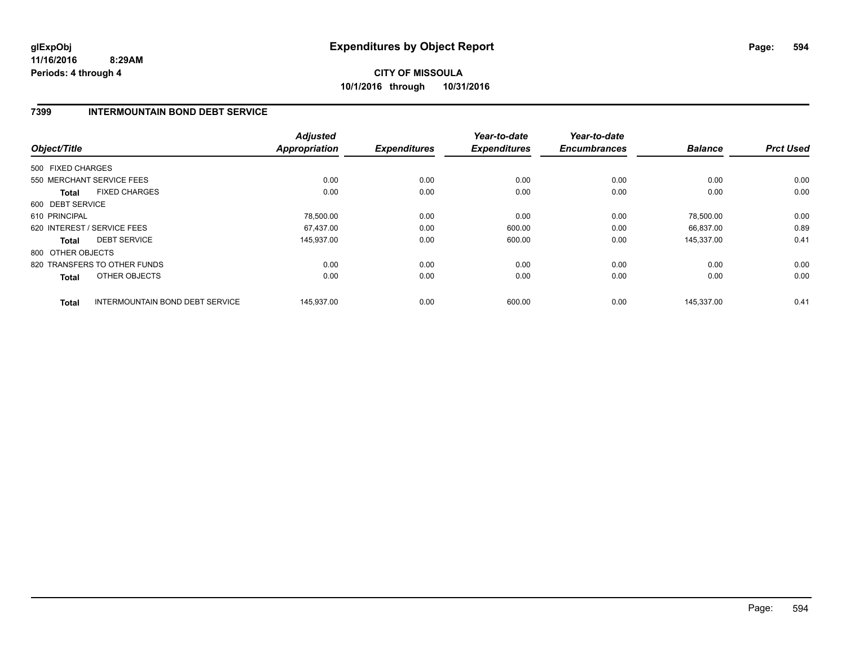# **CITY OF MISSOULA 10/1/2016 through 10/31/2016**

## **7399 INTERMOUNTAIN BOND DEBT SERVICE**

| Object/Title                                           | <b>Adjusted</b><br><b>Appropriation</b> | <b>Expenditures</b> | Year-to-date<br><b>Expenditures</b> | Year-to-date<br><b>Encumbrances</b> | <b>Balance</b> | <b>Prct Used</b> |
|--------------------------------------------------------|-----------------------------------------|---------------------|-------------------------------------|-------------------------------------|----------------|------------------|
| 500 FIXED CHARGES                                      |                                         |                     |                                     |                                     |                |                  |
| 550 MERCHANT SERVICE FEES                              | 0.00                                    | 0.00                | 0.00                                | 0.00                                | 0.00           | 0.00             |
| <b>FIXED CHARGES</b><br><b>Total</b>                   | 0.00                                    | 0.00                | 0.00                                | 0.00                                | 0.00           | 0.00             |
| 600 DEBT SERVICE                                       |                                         |                     |                                     |                                     |                |                  |
| 610 PRINCIPAL                                          | 78,500.00                               | 0.00                | 0.00                                | 0.00                                | 78,500.00      | 0.00             |
| 620 INTEREST / SERVICE FEES                            | 67.437.00                               | 0.00                | 600.00                              | 0.00                                | 66,837.00      | 0.89             |
| <b>DEBT SERVICE</b><br><b>Total</b>                    | 145,937.00                              | 0.00                | 600.00                              | 0.00                                | 145.337.00     | 0.41             |
| 800 OTHER OBJECTS                                      |                                         |                     |                                     |                                     |                |                  |
| 820 TRANSFERS TO OTHER FUNDS                           | 0.00                                    | 0.00                | 0.00                                | 0.00                                | 0.00           | 0.00             |
| OTHER OBJECTS<br><b>Total</b>                          | 0.00                                    | 0.00                | 0.00                                | 0.00                                | 0.00           | 0.00             |
| <b>INTERMOUNTAIN BOND DEBT SERVICE</b><br><b>Total</b> | 145.937.00                              | 0.00                | 600.00                              | 0.00                                | 145,337.00     | 0.41             |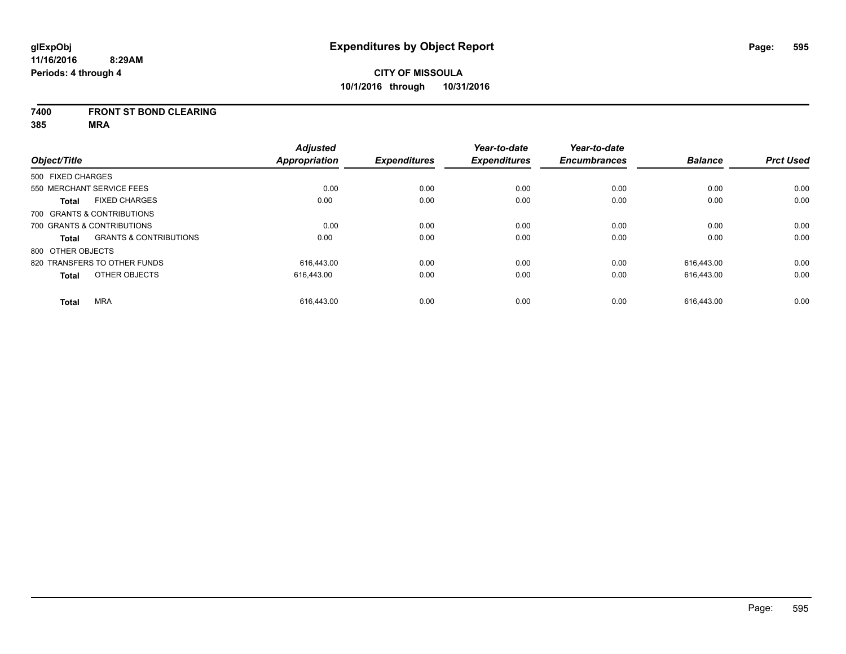## **7400 FRONT ST BOND CLEARING**

|                   |                                   | <b>Adjusted</b>      |                     | Year-to-date        | Year-to-date        |                |                  |
|-------------------|-----------------------------------|----------------------|---------------------|---------------------|---------------------|----------------|------------------|
| Object/Title      |                                   | <b>Appropriation</b> | <b>Expenditures</b> | <b>Expenditures</b> | <b>Encumbrances</b> | <b>Balance</b> | <b>Prct Used</b> |
| 500 FIXED CHARGES |                                   |                      |                     |                     |                     |                |                  |
|                   | 550 MERCHANT SERVICE FEES         | 0.00                 | 0.00                | 0.00                | 0.00                | 0.00           | 0.00             |
| <b>Total</b>      | <b>FIXED CHARGES</b>              | 0.00                 | 0.00                | 0.00                | 0.00                | 0.00           | 0.00             |
|                   | 700 GRANTS & CONTRIBUTIONS        |                      |                     |                     |                     |                |                  |
|                   | 700 GRANTS & CONTRIBUTIONS        | 0.00                 | 0.00                | 0.00                | 0.00                | 0.00           | 0.00             |
| Total             | <b>GRANTS &amp; CONTRIBUTIONS</b> | 0.00                 | 0.00                | 0.00                | 0.00                | 0.00           | 0.00             |
| 800 OTHER OBJECTS |                                   |                      |                     |                     |                     |                |                  |
|                   | 820 TRANSFERS TO OTHER FUNDS      | 616.443.00           | 0.00                | 0.00                | 0.00                | 616.443.00     | 0.00             |
| <b>Total</b>      | OTHER OBJECTS                     | 616.443.00           | 0.00                | 0.00                | 0.00                | 616.443.00     | 0.00             |
| <b>Total</b>      | <b>MRA</b>                        | 616.443.00           | 0.00                | 0.00                | 0.00                | 616.443.00     | 0.00             |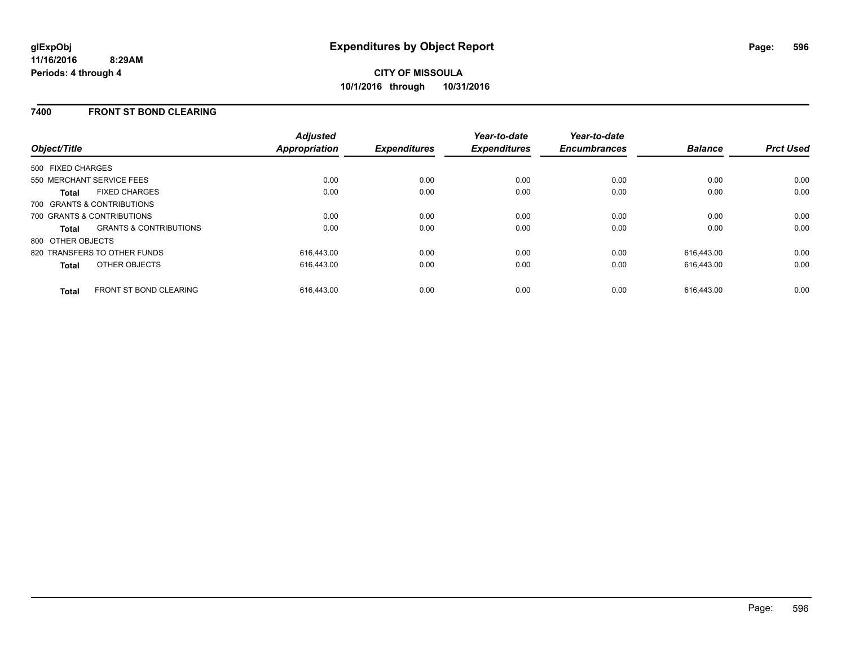## **7400 FRONT ST BOND CLEARING**

| Object/Title      |                                   | <b>Adjusted</b><br><b>Appropriation</b> | <b>Expenditures</b> | Year-to-date<br><b>Expenditures</b> | Year-to-date<br><b>Encumbrances</b> | <b>Balance</b> | <b>Prct Used</b> |
|-------------------|-----------------------------------|-----------------------------------------|---------------------|-------------------------------------|-------------------------------------|----------------|------------------|
| 500 FIXED CHARGES |                                   |                                         |                     |                                     |                                     |                |                  |
|                   | 550 MERCHANT SERVICE FEES         | 0.00                                    | 0.00                | 0.00                                | 0.00                                | 0.00           | 0.00             |
| Total             | <b>FIXED CHARGES</b>              | 0.00                                    | 0.00                | 0.00                                | 0.00                                | 0.00           | 0.00             |
|                   | 700 GRANTS & CONTRIBUTIONS        |                                         |                     |                                     |                                     |                |                  |
|                   | 700 GRANTS & CONTRIBUTIONS        | 0.00                                    | 0.00                | 0.00                                | 0.00                                | 0.00           | 0.00             |
| Total             | <b>GRANTS &amp; CONTRIBUTIONS</b> | 0.00                                    | 0.00                | 0.00                                | 0.00                                | 0.00           | 0.00             |
| 800 OTHER OBJECTS |                                   |                                         |                     |                                     |                                     |                |                  |
|                   | 820 TRANSFERS TO OTHER FUNDS      | 616.443.00                              | 0.00                | 0.00                                | 0.00                                | 616.443.00     | 0.00             |
| <b>Total</b>      | OTHER OBJECTS                     | 616,443.00                              | 0.00                | 0.00                                | 0.00                                | 616,443.00     | 0.00             |
| <b>Total</b>      | <b>FRONT ST BOND CLEARING</b>     | 616.443.00                              | 0.00                | 0.00                                | 0.00                                | 616.443.00     | 0.00             |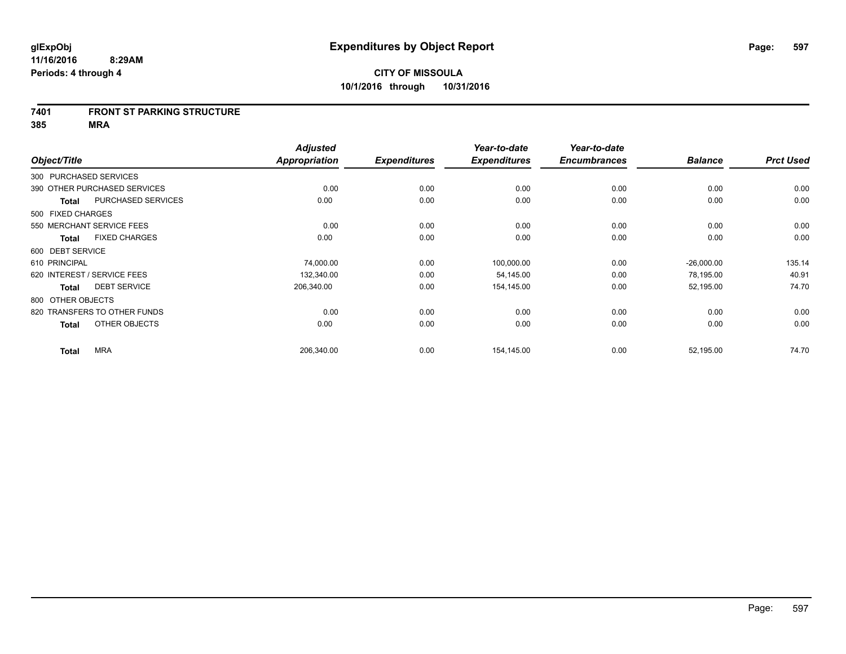#### **7401 FRONT ST PARKING STRUCTURE**

|                        |                              | <b>Adjusted</b> |                     | Year-to-date        | Year-to-date        |                |                  |
|------------------------|------------------------------|-----------------|---------------------|---------------------|---------------------|----------------|------------------|
| Object/Title           |                              | Appropriation   | <b>Expenditures</b> | <b>Expenditures</b> | <b>Encumbrances</b> | <b>Balance</b> | <b>Prct Used</b> |
| 300 PURCHASED SERVICES |                              |                 |                     |                     |                     |                |                  |
|                        | 390 OTHER PURCHASED SERVICES | 0.00            | 0.00                | 0.00                | 0.00                | 0.00           | 0.00             |
| Total                  | <b>PURCHASED SERVICES</b>    | 0.00            | 0.00                | 0.00                | 0.00                | 0.00           | 0.00             |
| 500 FIXED CHARGES      |                              |                 |                     |                     |                     |                |                  |
|                        | 550 MERCHANT SERVICE FEES    | 0.00            | 0.00                | 0.00                | 0.00                | 0.00           | 0.00             |
| Total                  | <b>FIXED CHARGES</b>         | 0.00            | 0.00                | 0.00                | 0.00                | 0.00           | 0.00             |
| 600 DEBT SERVICE       |                              |                 |                     |                     |                     |                |                  |
| 610 PRINCIPAL          |                              | 74,000.00       | 0.00                | 100,000.00          | 0.00                | $-26,000.00$   | 135.14           |
|                        | 620 INTEREST / SERVICE FEES  | 132,340.00      | 0.00                | 54,145.00           | 0.00                | 78,195.00      | 40.91            |
| <b>Total</b>           | <b>DEBT SERVICE</b>          | 206,340.00      | 0.00                | 154,145.00          | 0.00                | 52,195.00      | 74.70            |
| 800 OTHER OBJECTS      |                              |                 |                     |                     |                     |                |                  |
|                        | 820 TRANSFERS TO OTHER FUNDS | 0.00            | 0.00                | 0.00                | 0.00                | 0.00           | 0.00             |
| Total                  | OTHER OBJECTS                | 0.00            | 0.00                | 0.00                | 0.00                | 0.00           | 0.00             |
| <b>Total</b>           | <b>MRA</b>                   | 206,340.00      | 0.00                | 154,145.00          | 0.00                | 52,195.00      | 74.70            |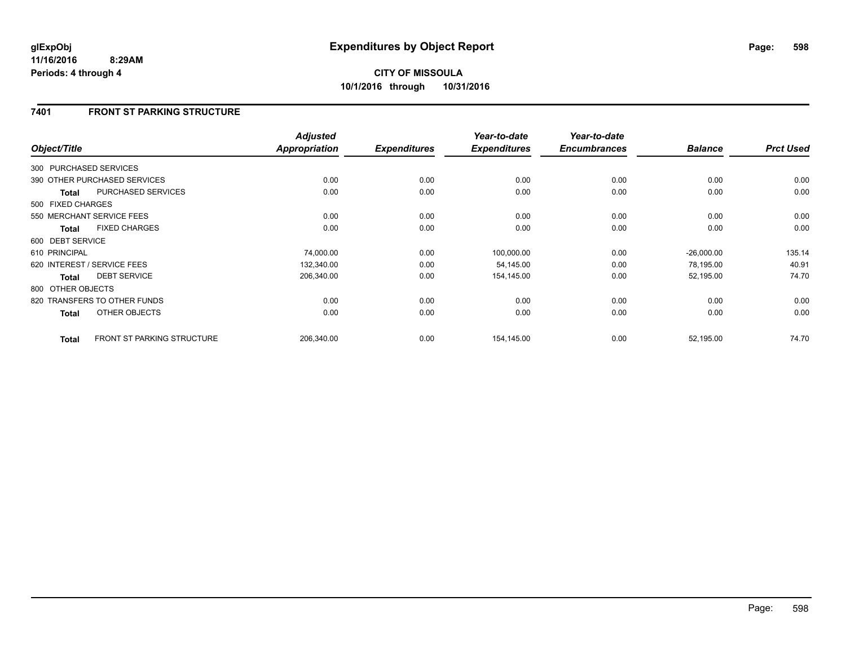# **7401 FRONT ST PARKING STRUCTURE**

|                        |                                   | <b>Adjusted</b> |                     | Year-to-date        | Year-to-date        |                |                  |
|------------------------|-----------------------------------|-----------------|---------------------|---------------------|---------------------|----------------|------------------|
| Object/Title           |                                   | Appropriation   | <b>Expenditures</b> | <b>Expenditures</b> | <b>Encumbrances</b> | <b>Balance</b> | <b>Prct Used</b> |
| 300 PURCHASED SERVICES |                                   |                 |                     |                     |                     |                |                  |
|                        | 390 OTHER PURCHASED SERVICES      | 0.00            | 0.00                | 0.00                | 0.00                | 0.00           | 0.00             |
| <b>Total</b>           | <b>PURCHASED SERVICES</b>         | 0.00            | 0.00                | 0.00                | 0.00                | 0.00           | 0.00             |
| 500 FIXED CHARGES      |                                   |                 |                     |                     |                     |                |                  |
|                        | 550 MERCHANT SERVICE FEES         | 0.00            | 0.00                | 0.00                | 0.00                | 0.00           | 0.00             |
| <b>Total</b>           | <b>FIXED CHARGES</b>              | 0.00            | 0.00                | 0.00                | 0.00                | 0.00           | 0.00             |
| 600 DEBT SERVICE       |                                   |                 |                     |                     |                     |                |                  |
| 610 PRINCIPAL          |                                   | 74,000.00       | 0.00                | 100,000.00          | 0.00                | $-26,000.00$   | 135.14           |
|                        | 620 INTEREST / SERVICE FEES       | 132,340.00      | 0.00                | 54,145.00           | 0.00                | 78,195.00      | 40.91            |
| <b>Total</b>           | <b>DEBT SERVICE</b>               | 206,340.00      | 0.00                | 154,145.00          | 0.00                | 52,195.00      | 74.70            |
| 800 OTHER OBJECTS      |                                   |                 |                     |                     |                     |                |                  |
|                        | 820 TRANSFERS TO OTHER FUNDS      | 0.00            | 0.00                | 0.00                | 0.00                | 0.00           | 0.00             |
| Total                  | OTHER OBJECTS                     | 0.00            | 0.00                | 0.00                | 0.00                | 0.00           | 0.00             |
| <b>Total</b>           | <b>FRONT ST PARKING STRUCTURE</b> | 206,340.00      | 0.00                | 154,145.00          | 0.00                | 52,195.00      | 74.70            |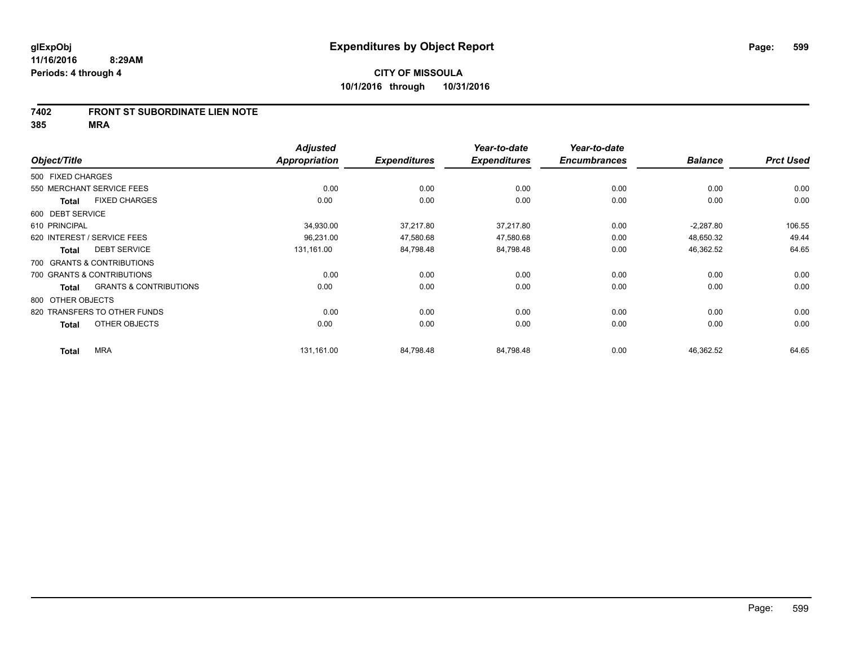### **7402 FRONT ST SUBORDINATE LIEN NOTE**

|                   |                                   | <b>Adjusted</b>      |                     | Year-to-date        | Year-to-date        |                |                  |
|-------------------|-----------------------------------|----------------------|---------------------|---------------------|---------------------|----------------|------------------|
| Object/Title      |                                   | <b>Appropriation</b> | <b>Expenditures</b> | <b>Expenditures</b> | <b>Encumbrances</b> | <b>Balance</b> | <b>Prct Used</b> |
| 500 FIXED CHARGES |                                   |                      |                     |                     |                     |                |                  |
|                   | 550 MERCHANT SERVICE FEES         | 0.00                 | 0.00                | 0.00                | 0.00                | 0.00           | 0.00             |
| Total             | <b>FIXED CHARGES</b>              | 0.00                 | 0.00                | 0.00                | 0.00                | 0.00           | 0.00             |
| 600 DEBT SERVICE  |                                   |                      |                     |                     |                     |                |                  |
| 610 PRINCIPAL     |                                   | 34,930.00            | 37,217.80           | 37,217.80           | 0.00                | $-2,287.80$    | 106.55           |
|                   | 620 INTEREST / SERVICE FEES       | 96,231.00            | 47,580.68           | 47,580.68           | 0.00                | 48,650.32      | 49.44            |
| <b>Total</b>      | <b>DEBT SERVICE</b>               | 131,161.00           | 84,798.48           | 84,798.48           | 0.00                | 46,362.52      | 64.65            |
|                   | 700 GRANTS & CONTRIBUTIONS        |                      |                     |                     |                     |                |                  |
|                   | 700 GRANTS & CONTRIBUTIONS        | 0.00                 | 0.00                | 0.00                | 0.00                | 0.00           | 0.00             |
| Total             | <b>GRANTS &amp; CONTRIBUTIONS</b> | 0.00                 | 0.00                | 0.00                | 0.00                | 0.00           | 0.00             |
| 800 OTHER OBJECTS |                                   |                      |                     |                     |                     |                |                  |
|                   | 820 TRANSFERS TO OTHER FUNDS      | 0.00                 | 0.00                | 0.00                | 0.00                | 0.00           | 0.00             |
| <b>Total</b>      | OTHER OBJECTS                     | 0.00                 | 0.00                | 0.00                | 0.00                | 0.00           | 0.00             |
| <b>Total</b>      | <b>MRA</b>                        | 131,161.00           | 84,798.48           | 84,798.48           | 0.00                | 46,362.52      | 64.65            |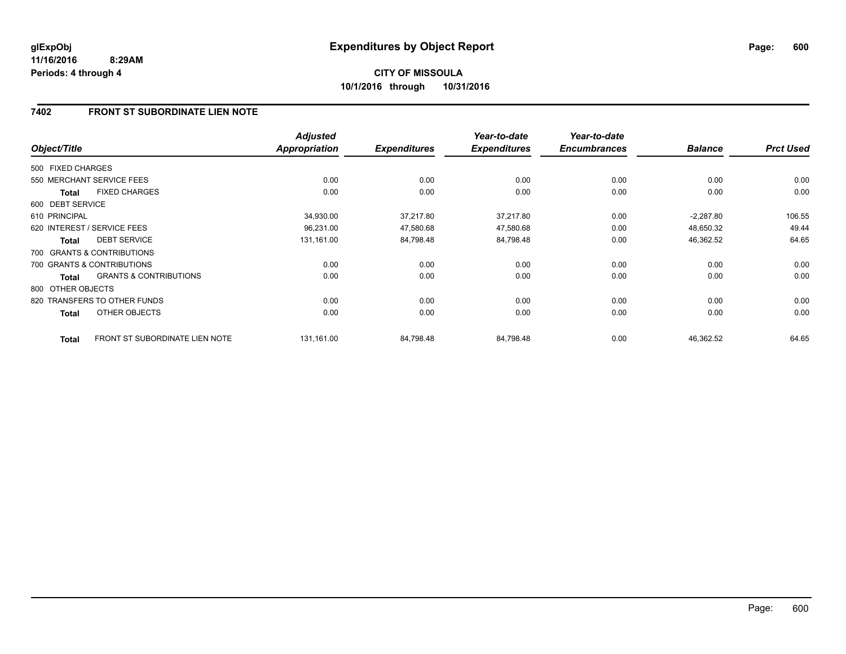# **7402 FRONT ST SUBORDINATE LIEN NOTE**

| Object/Title      |                                       | <b>Adjusted</b><br><b>Appropriation</b> | <b>Expenditures</b> | Year-to-date<br><b>Expenditures</b> | Year-to-date<br><b>Encumbrances</b> | <b>Balance</b> | <b>Prct Used</b> |
|-------------------|---------------------------------------|-----------------------------------------|---------------------|-------------------------------------|-------------------------------------|----------------|------------------|
| 500 FIXED CHARGES |                                       |                                         |                     |                                     |                                     |                |                  |
|                   | 550 MERCHANT SERVICE FEES             | 0.00                                    | 0.00                | 0.00                                | 0.00                                | 0.00           | 0.00             |
| <b>Total</b>      | <b>FIXED CHARGES</b>                  | 0.00                                    | 0.00                | 0.00                                | 0.00                                | 0.00           | 0.00             |
| 600 DEBT SERVICE  |                                       |                                         |                     |                                     |                                     |                |                  |
| 610 PRINCIPAL     |                                       | 34,930.00                               | 37,217.80           | 37,217.80                           | 0.00                                | $-2,287.80$    | 106.55           |
|                   | 620 INTEREST / SERVICE FEES           | 96,231.00                               | 47,580.68           | 47,580.68                           | 0.00                                | 48,650.32      | 49.44            |
| <b>Total</b>      | <b>DEBT SERVICE</b>                   | 131,161.00                              | 84,798.48           | 84,798.48                           | 0.00                                | 46,362.52      | 64.65            |
|                   | 700 GRANTS & CONTRIBUTIONS            |                                         |                     |                                     |                                     |                |                  |
|                   | 700 GRANTS & CONTRIBUTIONS            | 0.00                                    | 0.00                | 0.00                                | 0.00                                | 0.00           | 0.00             |
| <b>Total</b>      | <b>GRANTS &amp; CONTRIBUTIONS</b>     | 0.00                                    | 0.00                | 0.00                                | 0.00                                | 0.00           | 0.00             |
| 800 OTHER OBJECTS |                                       |                                         |                     |                                     |                                     |                |                  |
|                   | 820 TRANSFERS TO OTHER FUNDS          | 0.00                                    | 0.00                | 0.00                                | 0.00                                | 0.00           | 0.00             |
| <b>Total</b>      | OTHER OBJECTS                         | 0.00                                    | 0.00                | 0.00                                | 0.00                                | 0.00           | 0.00             |
| <b>Total</b>      | <b>FRONT ST SUBORDINATE LIEN NOTE</b> | 131,161.00                              | 84,798.48           | 84,798.48                           | 0.00                                | 46,362.52      | 64.65            |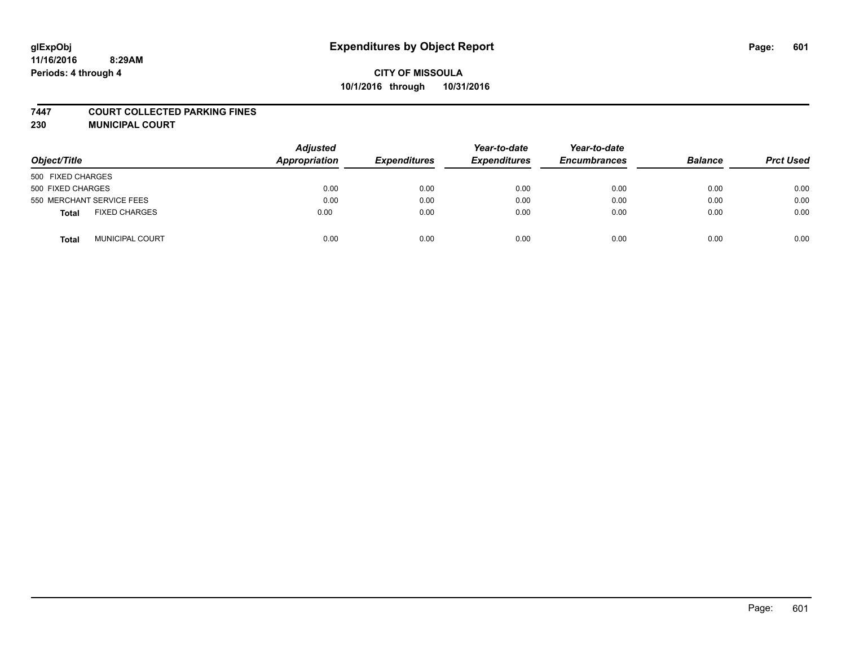#### **7447 COURT COLLECTED PARKING FINES**

**230 MUNICIPAL COURT**

| Object/Title                         | <b>Adjusted</b><br>Appropriation | <b>Expenditures</b> | Year-to-date<br><b>Expenditures</b> | Year-to-date<br><b>Encumbrances</b> | <b>Balance</b> | <b>Prct Used</b> |
|--------------------------------------|----------------------------------|---------------------|-------------------------------------|-------------------------------------|----------------|------------------|
| 500 FIXED CHARGES                    |                                  |                     |                                     |                                     |                |                  |
| 500 FIXED CHARGES                    | 0.00                             | 0.00                | 0.00                                | 0.00                                | 0.00           | 0.00             |
| 550 MERCHANT SERVICE FEES            | 0.00                             | 0.00                | 0.00                                | 0.00                                | 0.00           | 0.00             |
| <b>FIXED CHARGES</b><br><b>Total</b> | 0.00                             | 0.00                | 0.00                                | 0.00                                | 0.00           | 0.00             |
| <b>MUNICIPAL COURT</b><br>Total      | 0.00                             | 0.00                | 0.00                                | 0.00                                | 0.00           | 0.00             |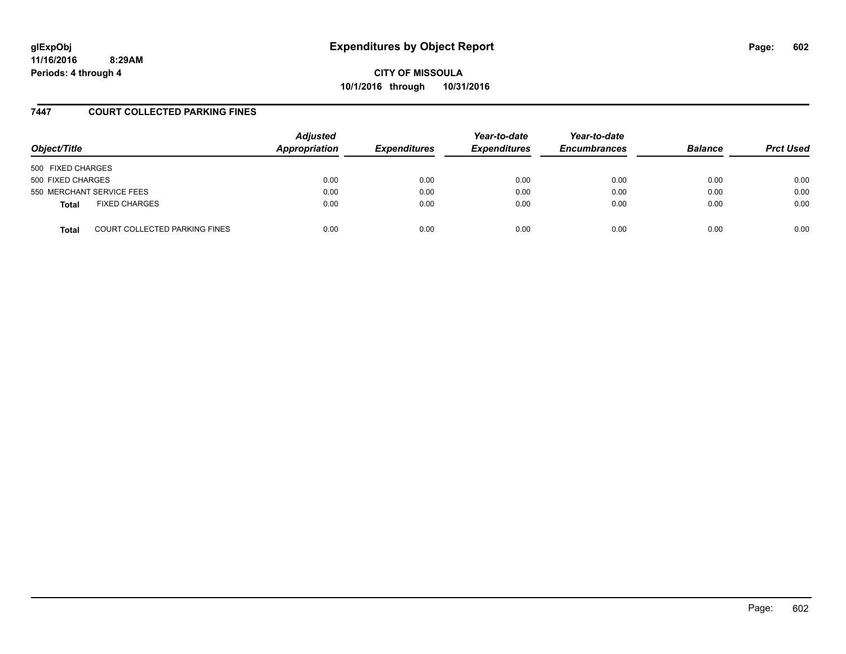**CITY OF MISSOULA 10/1/2016 through 10/31/2016**

## **7447 COURT COLLECTED PARKING FINES**

| Object/Title      |                               | <b>Adjusted</b><br>Appropriation | <b>Expenditures</b> | Year-to-date<br><b>Expenditures</b> | Year-to-date<br><b>Encumbrances</b> | <b>Balance</b> | <b>Prct Used</b> |
|-------------------|-------------------------------|----------------------------------|---------------------|-------------------------------------|-------------------------------------|----------------|------------------|
| 500 FIXED CHARGES |                               |                                  |                     |                                     |                                     |                |                  |
| 500 FIXED CHARGES |                               | 0.00                             | 0.00                | 0.00                                | 0.00                                | 0.00           | 0.00             |
|                   | 550 MERCHANT SERVICE FEES     | 0.00                             | 0.00                | 0.00                                | 0.00                                | 0.00           | 0.00             |
| <b>Total</b>      | <b>FIXED CHARGES</b>          | 0.00                             | 0.00                | 0.00                                | 0.00                                | 0.00           | 0.00             |
| <b>Total</b>      | COURT COLLECTED PARKING FINES | 0.00                             | 0.00                | 0.00                                | 0.00                                | 0.00           | 0.00             |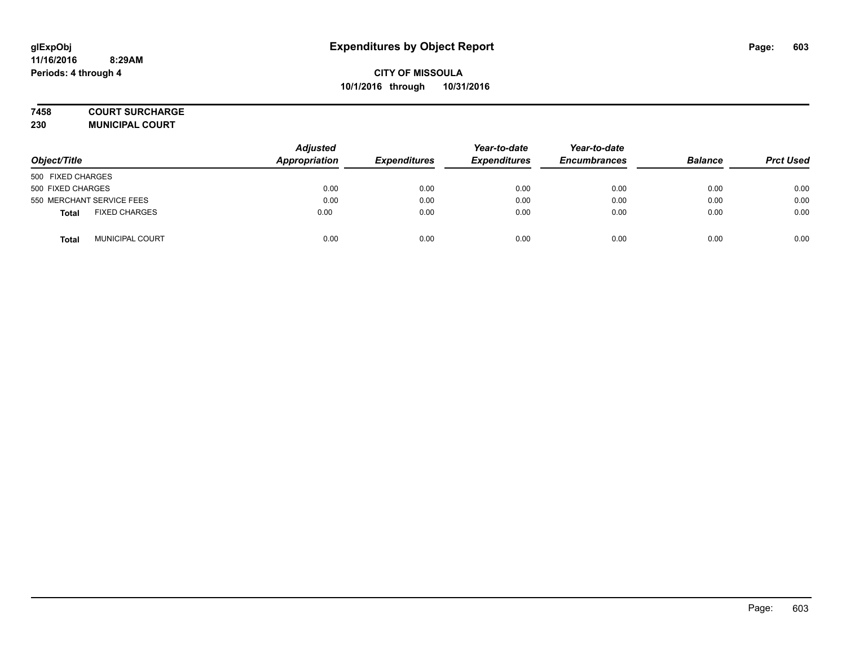### **7458 COURT SURCHARGE**

**230 MUNICIPAL COURT**

| Object/Title                         | <b>Adjusted</b><br>Appropriation | <b>Expenditures</b> | Year-to-date<br><b>Expenditures</b> | Year-to-date<br><b>Encumbrances</b> | <b>Balance</b> | <b>Prct Used</b> |
|--------------------------------------|----------------------------------|---------------------|-------------------------------------|-------------------------------------|----------------|------------------|
| 500 FIXED CHARGES                    |                                  |                     |                                     |                                     |                |                  |
| 500 FIXED CHARGES                    | 0.00                             | 0.00                | 0.00                                | 0.00                                | 0.00           | 0.00             |
| 550 MERCHANT SERVICE FEES            | 0.00                             | 0.00                | 0.00                                | 0.00                                | 0.00           | 0.00             |
| <b>FIXED CHARGES</b><br><b>Total</b> | 0.00                             | 0.00                | 0.00                                | 0.00                                | 0.00           | 0.00             |
| <b>MUNICIPAL COURT</b><br>Total      | 0.00                             | 0.00                | 0.00                                | 0.00                                | 0.00           | 0.00             |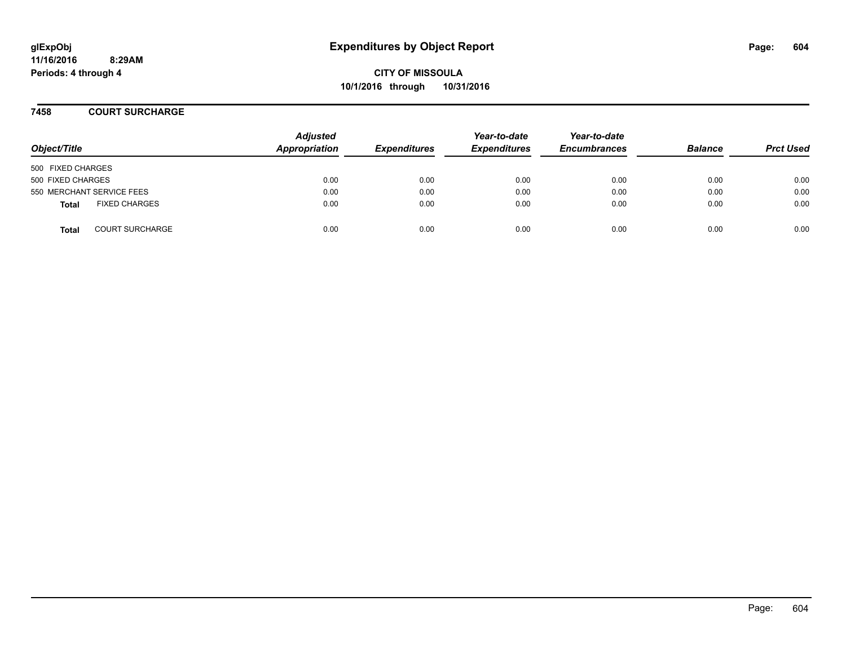**CITY OF MISSOULA 10/1/2016 through 10/31/2016**

**7458 COURT SURCHARGE**

| Object/Title              |                        | <b>Adjusted</b><br>Appropriation | <b>Expenditures</b> | Year-to-date<br><b>Expenditures</b> | Year-to-date<br><b>Encumbrances</b> | <b>Balance</b> | <b>Prct Used</b> |
|---------------------------|------------------------|----------------------------------|---------------------|-------------------------------------|-------------------------------------|----------------|------------------|
| 500 FIXED CHARGES         |                        |                                  |                     |                                     |                                     |                |                  |
| 500 FIXED CHARGES         |                        | 0.00                             | 0.00                | 0.00                                | 0.00                                | 0.00           | 0.00             |
| 550 MERCHANT SERVICE FEES |                        | 0.00                             | 0.00                | 0.00                                | 0.00                                | 0.00           | 0.00             |
| <b>Total</b>              | <b>FIXED CHARGES</b>   | 0.00                             | 0.00                | 0.00                                | 0.00                                | 0.00           | 0.00             |
| <b>Total</b>              | <b>COURT SURCHARGE</b> | 0.00                             | 0.00                | 0.00                                | 0.00                                | 0.00           | 0.00             |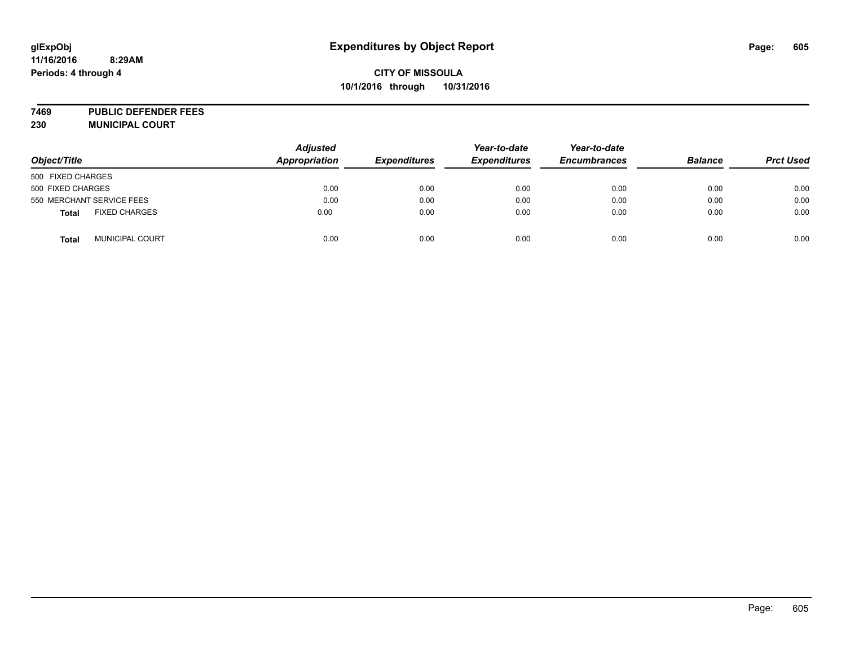# **CITY OF MISSOULA 10/1/2016 through 10/31/2016**

**7469 PUBLIC DEFENDER FEES 230 MUNICIPAL COURT**

| Object/Title                           | <b>Adjusted</b><br><b>Appropriation</b> | <b>Expenditures</b> | Year-to-date<br><b>Expenditures</b> | Year-to-date<br><b>Encumbrances</b> | <b>Balance</b> | <b>Prct Used</b> |
|----------------------------------------|-----------------------------------------|---------------------|-------------------------------------|-------------------------------------|----------------|------------------|
| 500 FIXED CHARGES                      |                                         |                     |                                     |                                     |                |                  |
| 500 FIXED CHARGES                      | 0.00                                    | 0.00                | 0.00                                | 0.00                                | 0.00           | 0.00             |
| 550 MERCHANT SERVICE FEES              | 0.00                                    | 0.00                | 0.00                                | 0.00                                | 0.00           | 0.00             |
| <b>FIXED CHARGES</b><br><b>Total</b>   | 0.00                                    | 0.00                | 0.00                                | 0.00                                | 0.00           | 0.00             |
| <b>MUNICIPAL COURT</b><br><b>Total</b> | 0.00                                    | 0.00                | 0.00                                | 0.00                                | 0.00           | 0.00             |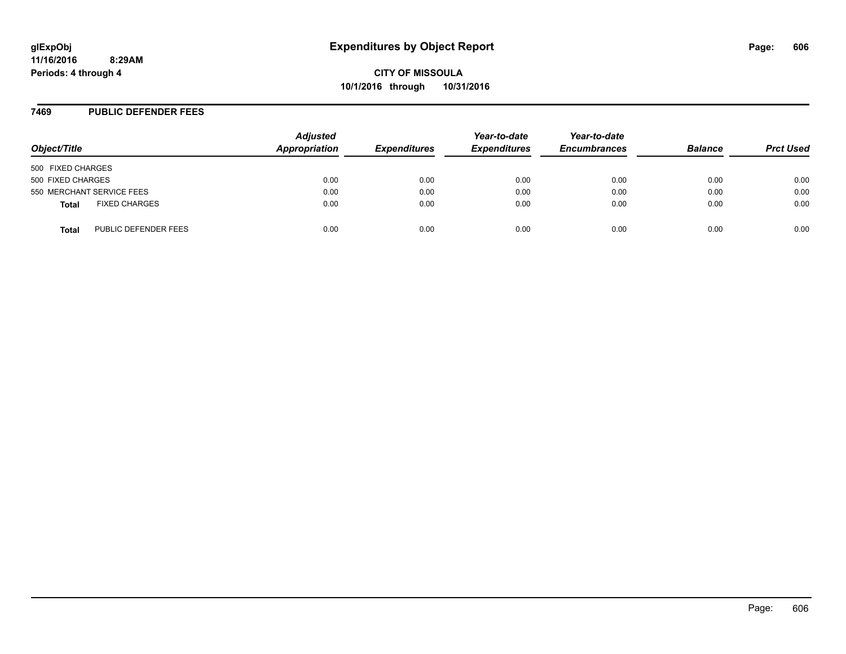**CITY OF MISSOULA 10/1/2016 through 10/31/2016**

## **7469 PUBLIC DEFENDER FEES**

| Object/Title                         | <b>Adjusted</b><br>Appropriation | <b>Expenditures</b> | Year-to-date<br><b>Expenditures</b> | Year-to-date<br><b>Encumbrances</b> | <b>Balance</b> | <b>Prct Used</b> |
|--------------------------------------|----------------------------------|---------------------|-------------------------------------|-------------------------------------|----------------|------------------|
| 500 FIXED CHARGES                    |                                  |                     |                                     |                                     |                |                  |
| 500 FIXED CHARGES                    | 0.00                             | 0.00                | 0.00                                | 0.00                                | 0.00           | 0.00             |
| 550 MERCHANT SERVICE FEES            | 0.00                             | 0.00                | 0.00                                | 0.00                                | 0.00           | 0.00             |
| <b>FIXED CHARGES</b><br><b>Total</b> | 0.00                             | 0.00                | 0.00                                | 0.00                                | 0.00           | 0.00             |
| PUBLIC DEFENDER FEES<br>Total        | 0.00                             | 0.00                | 0.00                                | 0.00                                | 0.00           | 0.00             |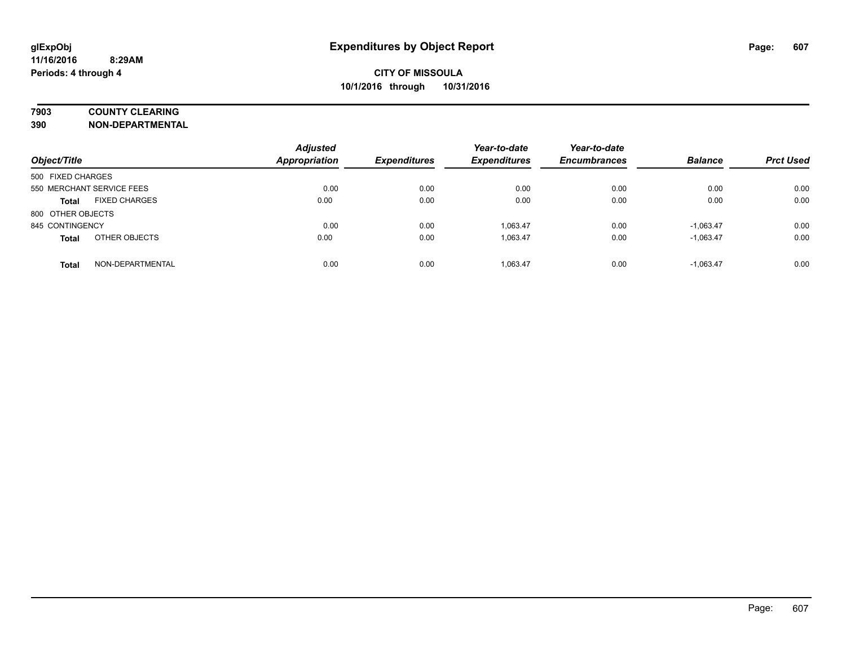# **7903 COUNTY CLEARING**

**390 NON-DEPARTMENTAL**

| Object/Title                     | <b>Adjusted</b><br><b>Appropriation</b> | <b>Expenditures</b> | Year-to-date<br><b>Expenditures</b> | Year-to-date<br><b>Encumbrances</b> | <b>Balance</b> | <b>Prct Used</b> |
|----------------------------------|-----------------------------------------|---------------------|-------------------------------------|-------------------------------------|----------------|------------------|
| 500 FIXED CHARGES                |                                         |                     |                                     |                                     |                |                  |
| 550 MERCHANT SERVICE FEES        | 0.00                                    | 0.00                | 0.00                                | 0.00                                | 0.00           | 0.00             |
| <b>FIXED CHARGES</b><br>Total    | 0.00                                    | 0.00                | 0.00                                | 0.00                                | 0.00           | 0.00             |
| 800 OTHER OBJECTS                |                                         |                     |                                     |                                     |                |                  |
| 845 CONTINGENCY                  | 0.00                                    | 0.00                | 1.063.47                            | 0.00                                | $-1.063.47$    | 0.00             |
| OTHER OBJECTS<br><b>Total</b>    | 0.00                                    | 0.00                | 1.063.47                            | 0.00                                | $-1.063.47$    | 0.00             |
| NON-DEPARTMENTAL<br><b>Total</b> | 0.00                                    | 0.00                | 1.063.47                            | 0.00                                | $-1.063.47$    | 0.00             |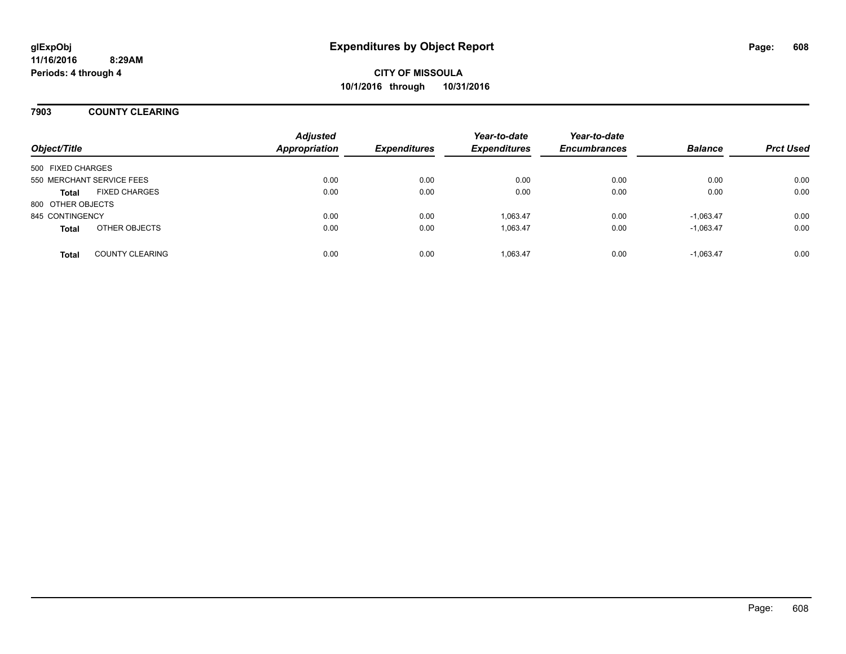## **7903 COUNTY CLEARING**

| Object/Title              |                        | <b>Adjusted</b><br><b>Appropriation</b> | <b>Expenditures</b> | Year-to-date<br><b>Expenditures</b> | Year-to-date<br><b>Encumbrances</b> | <b>Balance</b> | <b>Prct Used</b> |
|---------------------------|------------------------|-----------------------------------------|---------------------|-------------------------------------|-------------------------------------|----------------|------------------|
| 500 FIXED CHARGES         |                        |                                         |                     |                                     |                                     |                |                  |
| 550 MERCHANT SERVICE FEES |                        | 0.00                                    | 0.00                | 0.00                                | 0.00                                | 0.00           | 0.00             |
| <b>Total</b>              | <b>FIXED CHARGES</b>   | 0.00                                    | 0.00                | 0.00                                | 0.00                                | 0.00           | 0.00             |
| 800 OTHER OBJECTS         |                        |                                         |                     |                                     |                                     |                |                  |
| 845 CONTINGENCY           |                        | 0.00                                    | 0.00                | 1.063.47                            | 0.00                                | $-1.063.47$    | 0.00             |
| <b>Total</b>              | OTHER OBJECTS          | 0.00                                    | 0.00                | 1,063.47                            | 0.00                                | $-1,063.47$    | 0.00             |
| <b>Total</b>              | <b>COUNTY CLEARING</b> | 0.00                                    | 0.00                | 1,063.47                            | 0.00                                | $-1.063.47$    | 0.00             |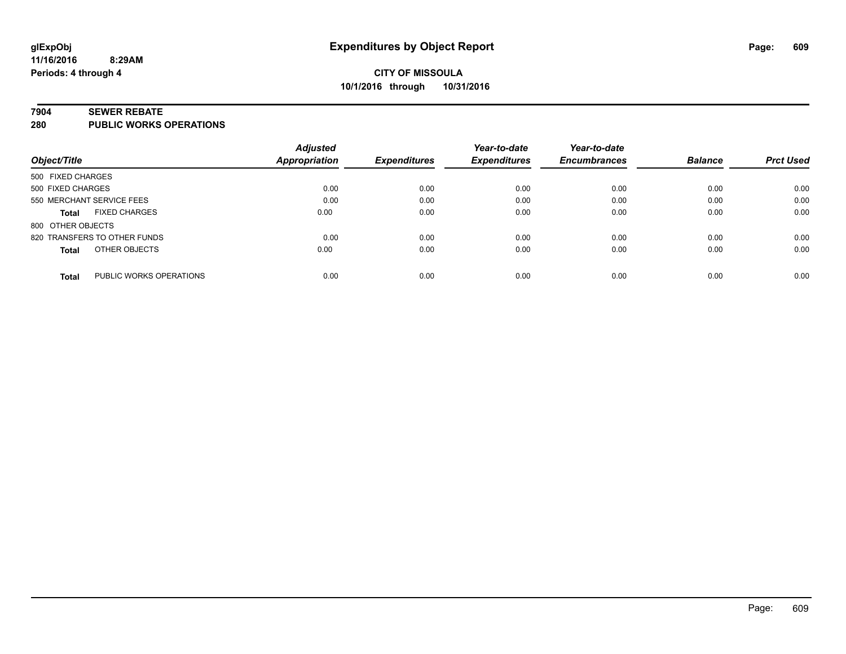#### **7904 SEWER REBATE**

**280 PUBLIC WORKS OPERATIONS**

|                                         | <b>Adjusted</b>      |                     | Year-to-date        | Year-to-date        |                |                  |
|-----------------------------------------|----------------------|---------------------|---------------------|---------------------|----------------|------------------|
| Object/Title                            | <b>Appropriation</b> | <b>Expenditures</b> | <b>Expenditures</b> | <b>Encumbrances</b> | <b>Balance</b> | <b>Prct Used</b> |
| 500 FIXED CHARGES                       |                      |                     |                     |                     |                |                  |
| 500 FIXED CHARGES                       | 0.00                 | 0.00                | 0.00                | 0.00                | 0.00           | 0.00             |
| 550 MERCHANT SERVICE FEES               | 0.00                 | 0.00                | 0.00                | 0.00                | 0.00           | 0.00             |
| <b>FIXED CHARGES</b><br><b>Total</b>    | 0.00                 | 0.00                | 0.00                | 0.00                | 0.00           | 0.00             |
| 800 OTHER OBJECTS                       |                      |                     |                     |                     |                |                  |
| 820 TRANSFERS TO OTHER FUNDS            | 0.00                 | 0.00                | 0.00                | 0.00                | 0.00           | 0.00             |
| OTHER OBJECTS<br><b>Total</b>           | 0.00                 | 0.00                | 0.00                | 0.00                | 0.00           | 0.00             |
| PUBLIC WORKS OPERATIONS<br><b>Total</b> | 0.00                 | 0.00                | 0.00                | 0.00                | 0.00           | 0.00             |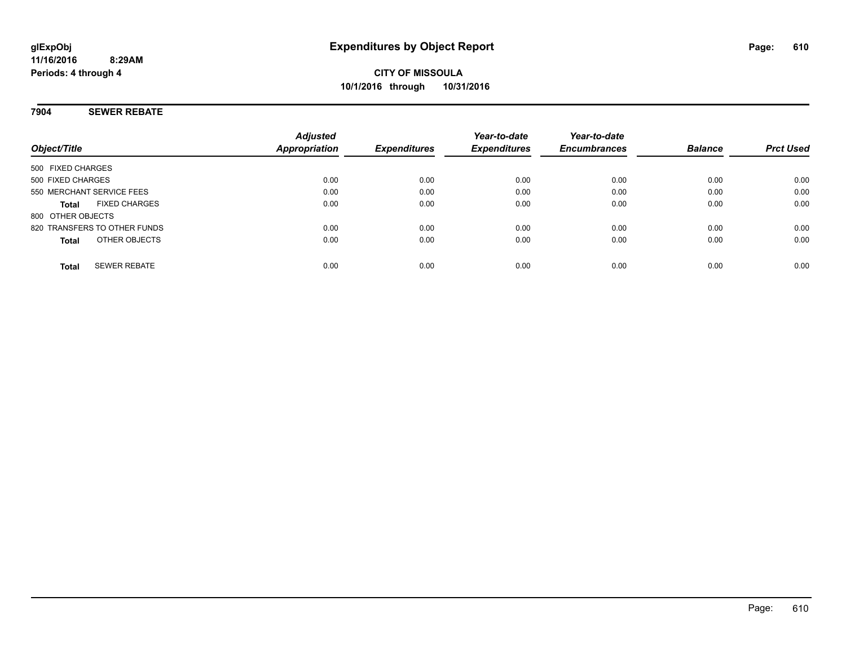## **7904 SEWER REBATE**

| Object/Title                         | <b>Adjusted</b><br>Appropriation | <b>Expenditures</b> | Year-to-date<br><b>Expenditures</b> | Year-to-date<br><b>Encumbrances</b> | <b>Balance</b> | <b>Prct Used</b> |
|--------------------------------------|----------------------------------|---------------------|-------------------------------------|-------------------------------------|----------------|------------------|
| 500 FIXED CHARGES                    |                                  |                     |                                     |                                     |                |                  |
| 500 FIXED CHARGES                    | 0.00                             | 0.00                | 0.00                                | 0.00                                | 0.00           | 0.00             |
| 550 MERCHANT SERVICE FEES            | 0.00                             | 0.00                | 0.00                                | 0.00                                | 0.00           | 0.00             |
| <b>FIXED CHARGES</b><br><b>Total</b> | 0.00                             | 0.00                | 0.00                                | 0.00                                | 0.00           | 0.00             |
| 800 OTHER OBJECTS                    |                                  |                     |                                     |                                     |                |                  |
| 820 TRANSFERS TO OTHER FUNDS         | 0.00                             | 0.00                | 0.00                                | 0.00                                | 0.00           | 0.00             |
| OTHER OBJECTS<br><b>Total</b>        | 0.00                             | 0.00                | 0.00                                | 0.00                                | 0.00           | 0.00             |
| <b>SEWER REBATE</b><br><b>Total</b>  | 0.00                             | 0.00                | 0.00                                | 0.00                                | 0.00           | 0.00             |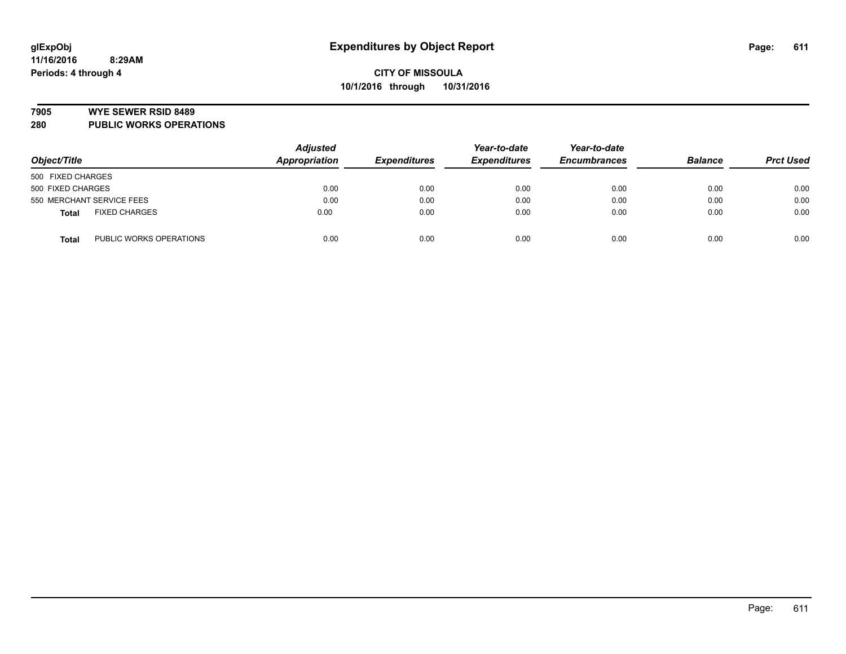#### **7905 WYE SEWER RSID 8489**

**280 PUBLIC WORKS OPERATIONS**

| Object/Title                            | <b>Adjusted</b><br>Appropriation | <b>Expenditures</b> | Year-to-date<br><b>Expenditures</b> | Year-to-date<br><b>Encumbrances</b> | <b>Balance</b> | <b>Prct Used</b> |
|-----------------------------------------|----------------------------------|---------------------|-------------------------------------|-------------------------------------|----------------|------------------|
| 500 FIXED CHARGES                       |                                  |                     |                                     |                                     |                |                  |
| 500 FIXED CHARGES                       | 0.00                             | 0.00                | 0.00                                | 0.00                                | 0.00           | 0.00             |
| 550 MERCHANT SERVICE FEES               | 0.00                             | 0.00                | 0.00                                | 0.00                                | 0.00           | 0.00             |
| <b>FIXED CHARGES</b><br><b>Total</b>    | 0.00                             | 0.00                | 0.00                                | 0.00                                | 0.00           | 0.00             |
| PUBLIC WORKS OPERATIONS<br><b>Total</b> | 0.00                             | 0.00                | 0.00                                | 0.00                                | 0.00           | 0.00             |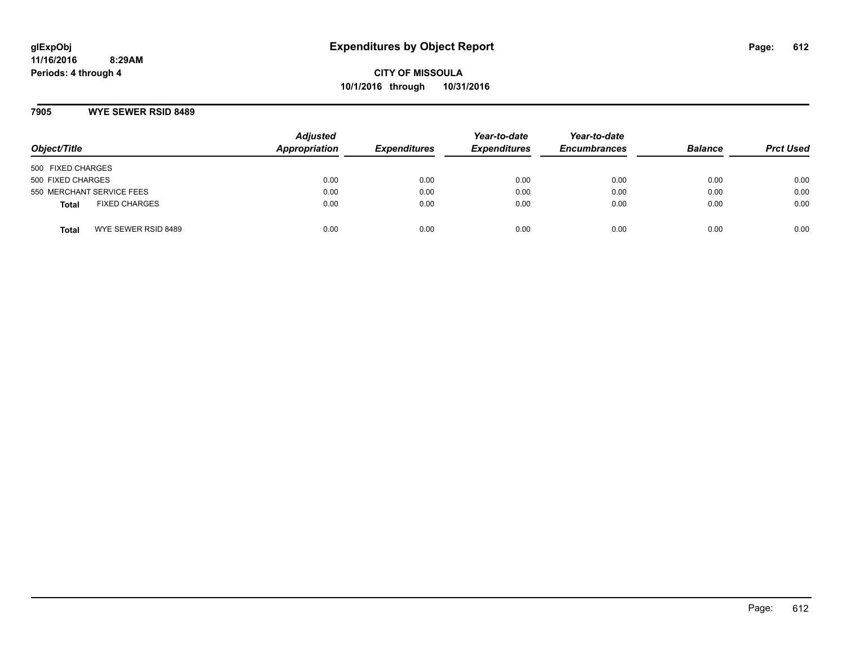## **7905 WYE SEWER RSID 8489**

| Object/Title                         | <b>Adjusted</b><br>Appropriation | <b>Expenditures</b> | Year-to-date<br><b>Expenditures</b> | Year-to-date<br><b>Encumbrances</b> | <b>Balance</b> | <b>Prct Used</b> |
|--------------------------------------|----------------------------------|---------------------|-------------------------------------|-------------------------------------|----------------|------------------|
| 500 FIXED CHARGES                    |                                  |                     |                                     |                                     |                |                  |
| 500 FIXED CHARGES                    | 0.00                             | 0.00                | 0.00                                | 0.00                                | 0.00           | 0.00             |
| 550 MERCHANT SERVICE FEES            | 0.00                             | 0.00                | 0.00                                | 0.00                                | 0.00           | 0.00             |
| <b>FIXED CHARGES</b><br><b>Total</b> | 0.00                             | 0.00                | 0.00                                | 0.00                                | 0.00           | 0.00             |
| WYE SEWER RSID 8489<br>Total         | 0.00                             | 0.00                | 0.00                                | 0.00                                | 0.00           | 0.00             |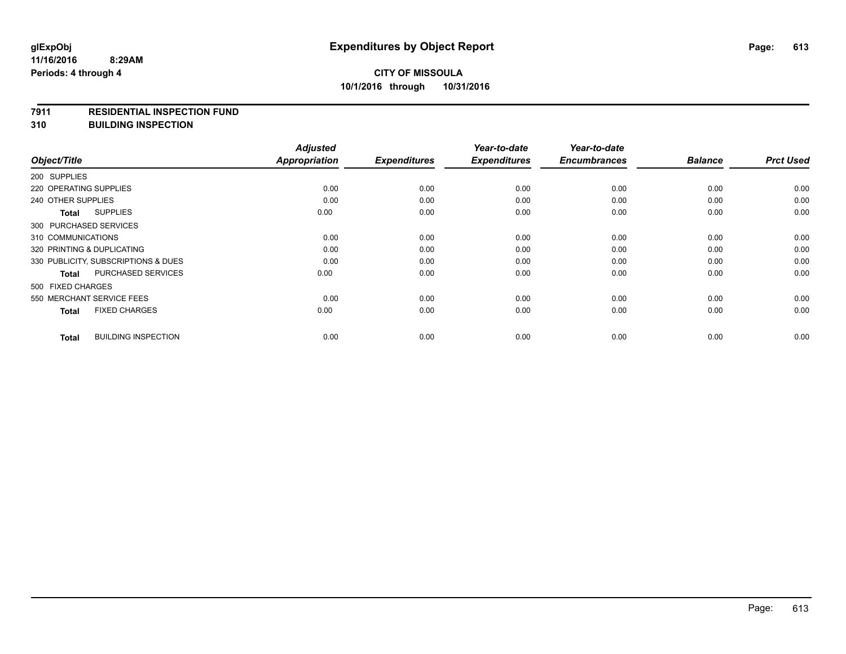#### **7911 RESIDENTIAL INSPECTION FUND**

**310 BUILDING INSPECTION**

|                                     |                            | <b>Adjusted</b>      |                     | Year-to-date        | Year-to-date        |                |                  |
|-------------------------------------|----------------------------|----------------------|---------------------|---------------------|---------------------|----------------|------------------|
| Object/Title                        |                            | <b>Appropriation</b> | <b>Expenditures</b> | <b>Expenditures</b> | <b>Encumbrances</b> | <b>Balance</b> | <b>Prct Used</b> |
| 200 SUPPLIES                        |                            |                      |                     |                     |                     |                |                  |
| 220 OPERATING SUPPLIES              |                            | 0.00                 | 0.00                | 0.00                | 0.00                | 0.00           | 0.00             |
| 240 OTHER SUPPLIES                  |                            | 0.00                 | 0.00                | 0.00                | 0.00                | 0.00           | 0.00             |
| <b>Total</b>                        | <b>SUPPLIES</b>            | 0.00                 | 0.00                | 0.00                | 0.00                | 0.00           | 0.00             |
| 300 PURCHASED SERVICES              |                            |                      |                     |                     |                     |                |                  |
| 310 COMMUNICATIONS                  |                            | 0.00                 | 0.00                | 0.00                | 0.00                | 0.00           | 0.00             |
| 320 PRINTING & DUPLICATING          |                            | 0.00                 | 0.00                | 0.00                | 0.00                | 0.00           | 0.00             |
| 330 PUBLICITY, SUBSCRIPTIONS & DUES |                            | 0.00                 | 0.00                | 0.00                | 0.00                | 0.00           | 0.00             |
| <b>Total</b>                        | <b>PURCHASED SERVICES</b>  | 0.00                 | 0.00                | 0.00                | 0.00                | 0.00           | 0.00             |
| 500 FIXED CHARGES                   |                            |                      |                     |                     |                     |                |                  |
| 550 MERCHANT SERVICE FEES           |                            | 0.00                 | 0.00                | 0.00                | 0.00                | 0.00           | 0.00             |
| <b>Total</b>                        | <b>FIXED CHARGES</b>       | 0.00                 | 0.00                | 0.00                | 0.00                | 0.00           | 0.00             |
| <b>Total</b>                        | <b>BUILDING INSPECTION</b> | 0.00                 | 0.00                | 0.00                | 0.00                | 0.00           | 0.00             |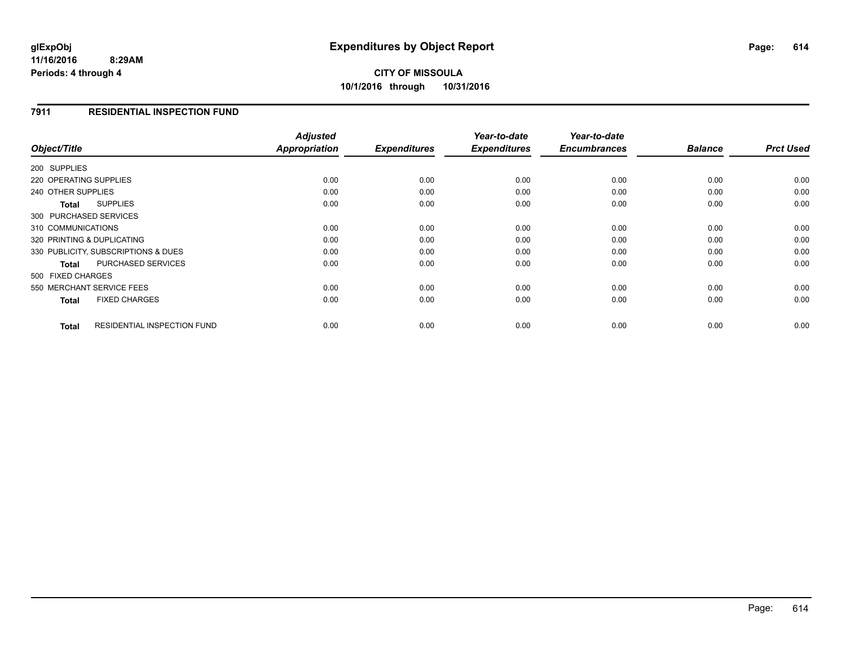#### **11/16/2016 8:29AM Periods: 4 through 4**

# **CITY OF MISSOULA 10/1/2016 through 10/31/2016**

### **7911 RESIDENTIAL INSPECTION FUND**

|                                                    | <b>Adjusted</b> | <b>Expenditures</b> | Year-to-date        | Year-to-date<br><b>Encumbrances</b> | <b>Balance</b> | <b>Prct Used</b> |
|----------------------------------------------------|-----------------|---------------------|---------------------|-------------------------------------|----------------|------------------|
| Object/Title                                       | Appropriation   |                     | <b>Expenditures</b> |                                     |                |                  |
| 200 SUPPLIES                                       |                 |                     |                     |                                     |                |                  |
| 220 OPERATING SUPPLIES                             | 0.00            | 0.00                | 0.00                | 0.00                                | 0.00           | 0.00             |
| 240 OTHER SUPPLIES                                 | 0.00            | 0.00                | 0.00                | 0.00                                | 0.00           | 0.00             |
| <b>SUPPLIES</b><br><b>Total</b>                    | 0.00            | 0.00                | 0.00                | 0.00                                | 0.00           | 0.00             |
| 300 PURCHASED SERVICES                             |                 |                     |                     |                                     |                |                  |
| 310 COMMUNICATIONS                                 | 0.00            | 0.00                | 0.00                | 0.00                                | 0.00           | 0.00             |
| 320 PRINTING & DUPLICATING                         | 0.00            | 0.00                | 0.00                | 0.00                                | 0.00           | 0.00             |
| 330 PUBLICITY, SUBSCRIPTIONS & DUES                | 0.00            | 0.00                | 0.00                | 0.00                                | 0.00           | 0.00             |
| <b>PURCHASED SERVICES</b><br><b>Total</b>          | 0.00            | 0.00                | 0.00                | 0.00                                | 0.00           | 0.00             |
| 500 FIXED CHARGES                                  |                 |                     |                     |                                     |                |                  |
| 550 MERCHANT SERVICE FEES                          | 0.00            | 0.00                | 0.00                | 0.00                                | 0.00           | 0.00             |
| <b>FIXED CHARGES</b><br><b>Total</b>               | 0.00            | 0.00                | 0.00                | 0.00                                | 0.00           | 0.00             |
| <b>RESIDENTIAL INSPECTION FUND</b><br><b>Total</b> | 0.00            | 0.00                | 0.00                | 0.00                                | 0.00           | 0.00             |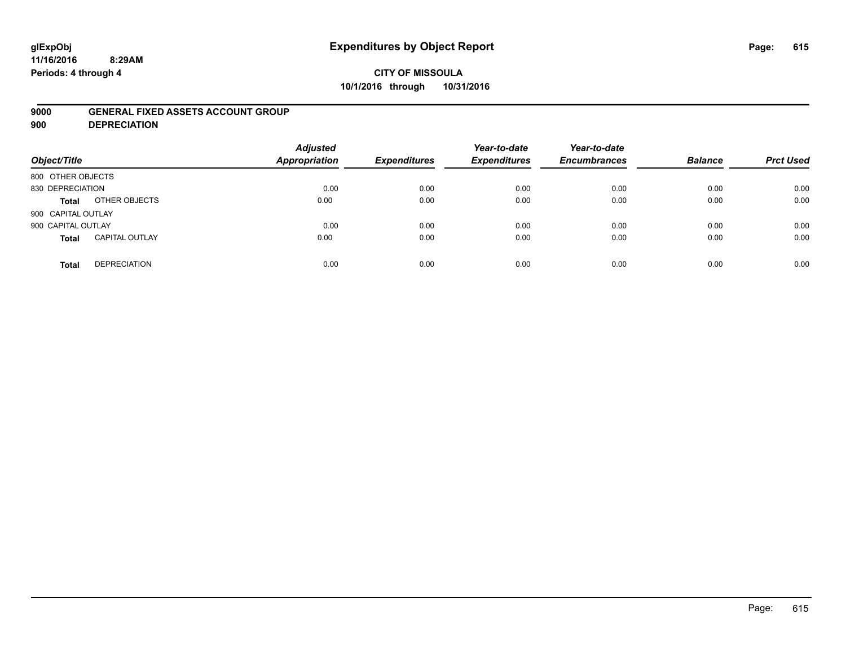# **glExpObj Expenditures by Object Report Page: 615**

#### **11/16/2016 8:29AM Periods: 4 through 4**

### **CITY OF MISSOULA 10/1/2016 through 10/31/2016**

### **9000 GENERAL FIXED ASSETS ACCOUNT GROUP**

**900 DEPRECIATION**

| Object/Title                          | <b>Adjusted</b><br><b>Appropriation</b> | <b>Expenditures</b> | Year-to-date<br><b>Expenditures</b> | Year-to-date<br><b>Encumbrances</b> | <b>Balance</b> | <b>Prct Used</b> |
|---------------------------------------|-----------------------------------------|---------------------|-------------------------------------|-------------------------------------|----------------|------------------|
| 800 OTHER OBJECTS                     |                                         |                     |                                     |                                     |                |                  |
| 830 DEPRECIATION                      | 0.00                                    | 0.00                | 0.00                                | 0.00                                | 0.00           | 0.00             |
| OTHER OBJECTS<br><b>Total</b>         | 0.00                                    | 0.00                | 0.00                                | 0.00                                | 0.00           | 0.00             |
| 900 CAPITAL OUTLAY                    |                                         |                     |                                     |                                     |                |                  |
| 900 CAPITAL OUTLAY                    | 0.00                                    | 0.00                | 0.00                                | 0.00                                | 0.00           | 0.00             |
| <b>CAPITAL OUTLAY</b><br><b>Total</b> | 0.00                                    | 0.00                | 0.00                                | 0.00                                | 0.00           | 0.00             |
| <b>DEPRECIATION</b><br><b>Total</b>   | 0.00                                    | 0.00                | 0.00                                | 0.00                                | 0.00           | 0.00             |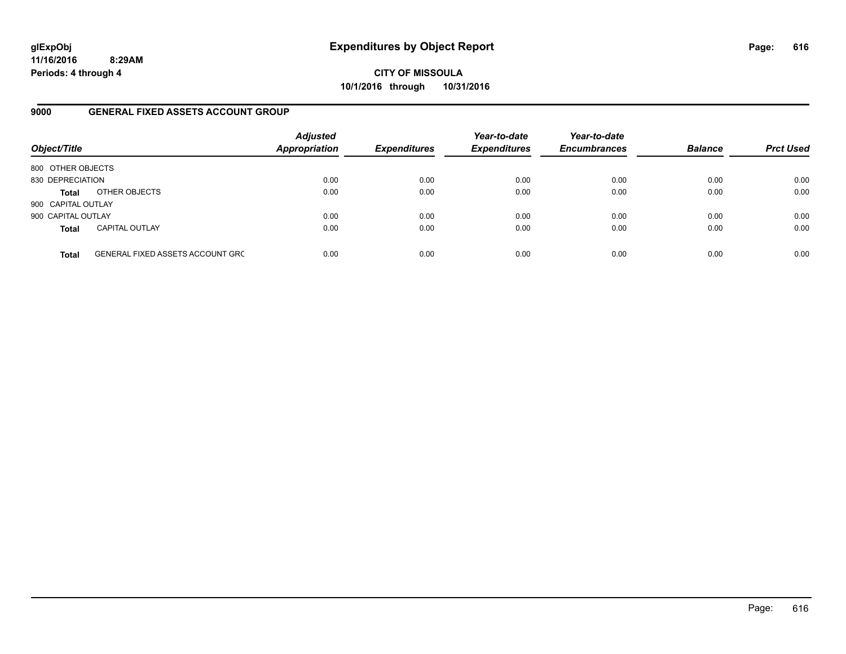**11/16/2016 8:29AM Periods: 4 through 4**

**CITY OF MISSOULA 10/1/2016 through 10/31/2016**

### **9000 GENERAL FIXED ASSETS ACCOUNT GROUP**

| Object/Title       |                                         | <b>Adjusted</b><br><b>Appropriation</b> | <b>Expenditures</b> | Year-to-date<br><b>Expenditures</b> | Year-to-date<br><b>Encumbrances</b> | <b>Balance</b> | <b>Prct Used</b> |
|--------------------|-----------------------------------------|-----------------------------------------|---------------------|-------------------------------------|-------------------------------------|----------------|------------------|
| 800 OTHER OBJECTS  |                                         |                                         |                     |                                     |                                     |                |                  |
| 830 DEPRECIATION   |                                         | 0.00                                    | 0.00                | 0.00                                | 0.00                                | 0.00           | 0.00             |
| <b>Total</b>       | OTHER OBJECTS                           | 0.00                                    | 0.00                | 0.00                                | 0.00                                | 0.00           | 0.00             |
| 900 CAPITAL OUTLAY |                                         |                                         |                     |                                     |                                     |                |                  |
| 900 CAPITAL OUTLAY |                                         | 0.00                                    | 0.00                | 0.00                                | 0.00                                | 0.00           | 0.00             |
| <b>Total</b>       | <b>CAPITAL OUTLAY</b>                   | 0.00                                    | 0.00                | 0.00                                | 0.00                                | 0.00           | 0.00             |
| <b>Total</b>       | <b>GENERAL FIXED ASSETS ACCOUNT GRC</b> | 0.00                                    | 0.00                | 0.00                                | 0.00                                | 0.00           | 0.00             |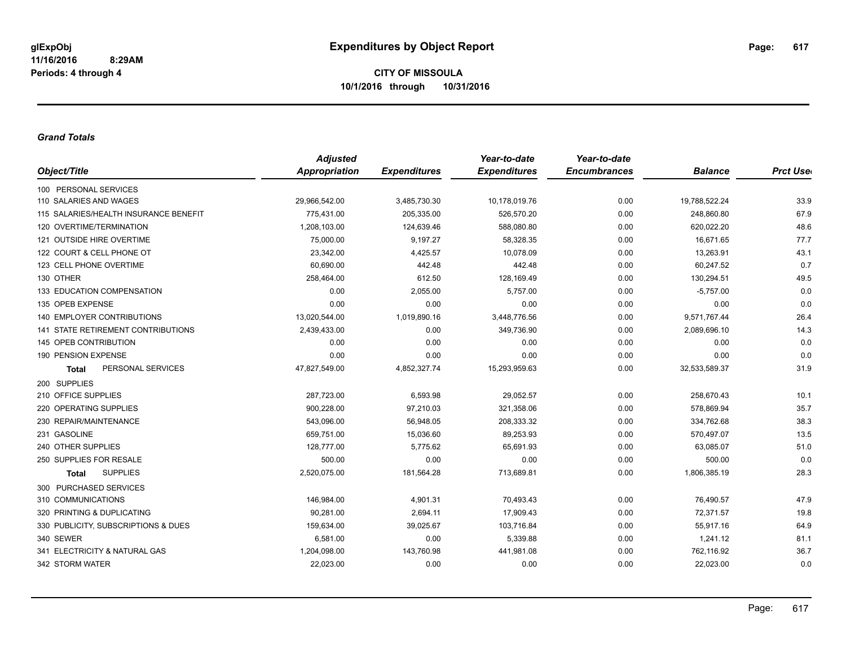#### *Grand Totals*

|                                           | <b>Adjusted</b><br><b>Appropriation</b><br><b>Expenditures</b> |              | Year-to-date        | Year-to-date        |                | <b>Prct User</b> |
|-------------------------------------------|----------------------------------------------------------------|--------------|---------------------|---------------------|----------------|------------------|
| Object/Title                              |                                                                |              | <b>Expenditures</b> | <b>Encumbrances</b> | <b>Balance</b> |                  |
| 100 PERSONAL SERVICES                     |                                                                |              |                     |                     |                |                  |
| 110 SALARIES AND WAGES                    | 29,966,542.00                                                  | 3,485,730.30 | 10,178,019.76       | 0.00                | 19,788,522.24  | 33.9             |
| 115 SALARIES/HEALTH INSURANCE BENEFIT     | 775,431.00                                                     | 205,335.00   | 526,570.20          | 0.00                | 248,860.80     | 67.9             |
| 120 OVERTIME/TERMINATION                  | 1,208,103.00                                                   | 124,639.46   | 588,080.80          | 0.00                | 620,022.20     | 48.6             |
| 121 OUTSIDE HIRE OVERTIME                 | 75,000.00                                                      | 9,197.27     | 58,328.35           | 0.00                | 16,671.65      | 77.7             |
| 122 COURT & CELL PHONE OT                 | 23,342.00                                                      | 4,425.57     | 10,078.09           | 0.00                | 13,263.91      | 43.1             |
| 123 CELL PHONE OVERTIME                   | 60,690.00                                                      | 442.48       | 442.48              | 0.00                | 60,247.52      | 0.7              |
| 130 OTHER                                 | 258,464.00                                                     | 612.50       | 128,169.49          | 0.00                | 130,294.51     | 49.5             |
| 133 EDUCATION COMPENSATION                | 0.00                                                           | 2,055.00     | 5,757.00            | 0.00                | $-5,757.00$    | 0.0              |
| 135 OPEB EXPENSE                          | 0.00                                                           | 0.00         | 0.00                | 0.00                | 0.00           | 0.0              |
| <b>140 EMPLOYER CONTRIBUTIONS</b>         | 13,020,544.00                                                  | 1,019,890.16 | 3,448,776.56        | 0.00                | 9,571,767.44   | 26.4             |
| <b>141 STATE RETIREMENT CONTRIBUTIONS</b> | 2,439,433.00                                                   | 0.00         | 349,736.90          | 0.00                | 2,089,696.10   | 14.3             |
| 145 OPEB CONTRIBUTION                     | 0.00                                                           | 0.00         | 0.00                | 0.00                | 0.00           | 0.0              |
| 190 PENSION EXPENSE                       | 0.00                                                           | 0.00         | 0.00                | 0.00                | 0.00           | 0.0              |
| PERSONAL SERVICES<br><b>Total</b>         | 47,827,549.00                                                  | 4,852,327.74 | 15,293,959.63       | 0.00                | 32,533,589.37  | 31.9             |
| 200 SUPPLIES                              |                                                                |              |                     |                     |                |                  |
| 210 OFFICE SUPPLIES                       | 287,723.00                                                     | 6,593.98     | 29,052.57           | 0.00                | 258,670.43     | 10.1             |
| 220 OPERATING SUPPLIES                    | 900,228.00                                                     | 97,210.03    | 321,358.06          | 0.00                | 578,869.94     | 35.7             |
| 230 REPAIR/MAINTENANCE                    | 543,096.00                                                     | 56,948.05    | 208,333.32          | 0.00                | 334,762.68     | 38.3             |
| 231 GASOLINE                              | 659,751.00                                                     | 15,036.60    | 89,253.93           | 0.00                | 570,497.07     | 13.5             |
| 240 OTHER SUPPLIES                        | 128,777.00                                                     | 5,775.62     | 65,691.93           | 0.00                | 63,085.07      | 51.0             |
| 250 SUPPLIES FOR RESALE                   | 500.00                                                         | 0.00         | 0.00                | 0.00                | 500.00         | 0.0              |
| <b>SUPPLIES</b><br><b>Total</b>           | 2,520,075.00                                                   | 181,564.28   | 713,689.81          | 0.00                | 1,806,385.19   | 28.3             |
| 300 PURCHASED SERVICES                    |                                                                |              |                     |                     |                |                  |
| 310 COMMUNICATIONS                        | 146.984.00                                                     | 4,901.31     | 70,493.43           | 0.00                | 76,490.57      | 47.9             |
| 320 PRINTING & DUPLICATING                | 90,281.00                                                      | 2,694.11     | 17,909.43           | 0.00                | 72,371.57      | 19.8             |
| 330 PUBLICITY, SUBSCRIPTIONS & DUES       | 159,634.00                                                     | 39,025.67    | 103,716.84          | 0.00                | 55,917.16      | 64.9             |
| 340 SEWER                                 | 6,581.00                                                       | 0.00         | 5,339.88            | 0.00                | 1,241.12       | 81.1             |
| 341 ELECTRICITY & NATURAL GAS             | 1,204,098.00                                                   | 143,760.98   | 441,981.08          | 0.00                | 762,116.92     | 36.7             |
| 342 STORM WATER                           | 22,023.00                                                      | 0.00         | 0.00                | 0.00                | 22,023.00      | 0.0              |
|                                           |                                                                |              |                     |                     |                |                  |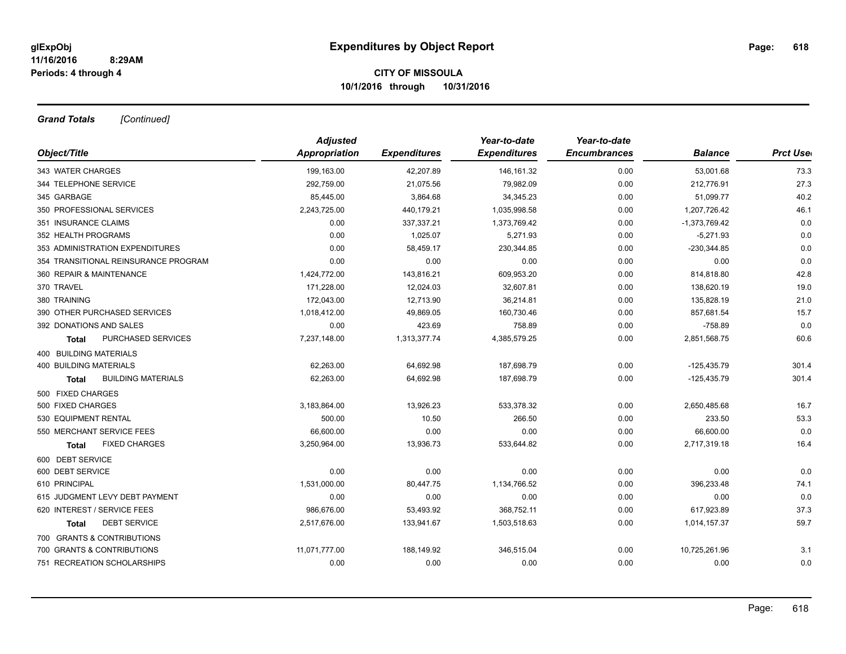*Grand Totals [Continued]*

|                                           | <b>Adjusted</b> |                     | Year-to-date        | Year-to-date<br><b>Encumbrances</b> | <b>Balance</b>  | <b>Prct Use</b> |
|-------------------------------------------|-----------------|---------------------|---------------------|-------------------------------------|-----------------|-----------------|
| Object/Title                              | Appropriation   | <b>Expenditures</b> | <b>Expenditures</b> |                                     |                 |                 |
| 343 WATER CHARGES                         | 199,163.00      | 42,207.89           | 146, 161.32         | 0.00                                | 53,001.68       | 73.3            |
| 344 TELEPHONE SERVICE                     | 292,759.00      | 21,075.56           | 79,982.09           | 0.00                                | 212,776.91      | 27.3            |
| 345 GARBAGE                               | 85,445.00       | 3,864.68            | 34,345.23           | 0.00                                | 51,099.77       | 40.2            |
| 350 PROFESSIONAL SERVICES                 | 2,243,725.00    | 440,179.21          | 1,035,998.58        | 0.00                                | 1,207,726.42    | 46.1            |
| 351 INSURANCE CLAIMS                      | 0.00            | 337,337.21          | 1,373,769.42        | 0.00                                | $-1,373,769.42$ | 0.0             |
| 352 HEALTH PROGRAMS                       | 0.00            | 1,025.07            | 5,271.93            | 0.00                                | $-5,271.93$     | 0.0             |
| 353 ADMINISTRATION EXPENDITURES           | 0.00            | 58,459.17           | 230,344.85          | 0.00                                | $-230,344.85$   | 0.0             |
| 354 TRANSITIONAL REINSURANCE PROGRAM      | 0.00            | 0.00                | 0.00                | 0.00                                | 0.00            | 0.0             |
| 360 REPAIR & MAINTENANCE                  | 1,424,772.00    | 143,816.21          | 609,953.20          | 0.00                                | 814,818.80      | 42.8            |
| 370 TRAVEL                                | 171,228.00      | 12,024.03           | 32,607.81           | 0.00                                | 138,620.19      | 19.0            |
| 380 TRAINING                              | 172,043.00      | 12,713.90           | 36,214.81           | 0.00                                | 135,828.19      | 21.0            |
| 390 OTHER PURCHASED SERVICES              | 1,018,412.00    | 49,869.05           | 160,730.46          | 0.00                                | 857,681.54      | 15.7            |
| 392 DONATIONS AND SALES                   | 0.00            | 423.69              | 758.89              | 0.00                                | $-758.89$       | 0.0             |
| PURCHASED SERVICES<br><b>Total</b>        | 7,237,148.00    | 1,313,377.74        | 4,385,579.25        | 0.00                                | 2,851,568.75    | 60.6            |
| <b>400 BUILDING MATERIALS</b>             |                 |                     |                     |                                     |                 |                 |
| <b>400 BUILDING MATERIALS</b>             | 62,263.00       | 64,692.98           | 187,698.79          | 0.00                                | $-125,435.79$   | 301.4           |
| <b>BUILDING MATERIALS</b><br><b>Total</b> | 62,263.00       | 64,692.98           | 187,698.79          | 0.00                                | $-125,435.79$   | 301.4           |
| 500 FIXED CHARGES                         |                 |                     |                     |                                     |                 |                 |
| 500 FIXED CHARGES                         | 3,183,864.00    | 13,926.23           | 533,378.32          | 0.00                                | 2,650,485.68    | 16.7            |
| 530 EQUIPMENT RENTAL                      | 500.00          | 10.50               | 266.50              | 0.00                                | 233.50          | 53.3            |
| 550 MERCHANT SERVICE FEES                 | 66,600.00       | 0.00                | 0.00                | 0.00                                | 66,600.00       | 0.0             |
| <b>FIXED CHARGES</b><br>Total             | 3,250,964.00    | 13,936.73           | 533,644.82          | 0.00                                | 2,717,319.18    | 16.4            |
| 600 DEBT SERVICE                          |                 |                     |                     |                                     |                 |                 |
| 600 DEBT SERVICE                          | 0.00            | 0.00                | 0.00                | 0.00                                | 0.00            | 0.0             |
| 610 PRINCIPAL                             | 1,531,000.00    | 80,447.75           | 1,134,766.52        | 0.00                                | 396,233.48      | 74.1            |
| 615 JUDGMENT LEVY DEBT PAYMENT            | 0.00            | 0.00                | 0.00                | 0.00                                | 0.00            | 0.0             |
| 620 INTEREST / SERVICE FEES               | 986,676.00      | 53,493.92           | 368,752.11          | 0.00                                | 617,923.89      | 37.3            |
| <b>DEBT SERVICE</b><br><b>Total</b>       | 2,517,676.00    | 133,941.67          | 1,503,518.63        | 0.00                                | 1,014,157.37    | 59.7            |
| 700 GRANTS & CONTRIBUTIONS                |                 |                     |                     |                                     |                 |                 |
| 700 GRANTS & CONTRIBUTIONS                | 11,071,777.00   | 188,149.92          | 346,515.04          | 0.00                                | 10,725,261.96   | 3.1             |
| 751 RECREATION SCHOLARSHIPS               | 0.00            | 0.00                | 0.00                | 0.00                                | 0.00            | 0.0             |